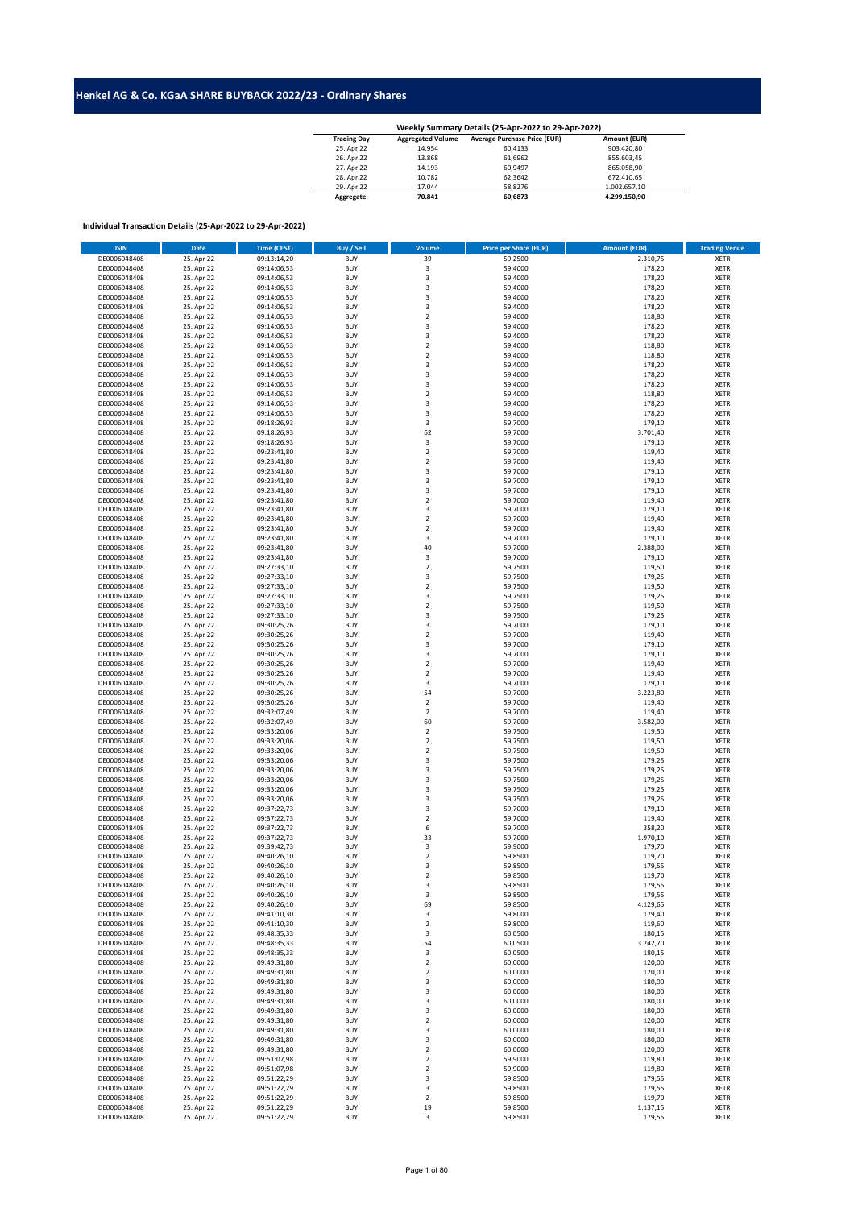## **Henkel AG & Co. KGaA SHARE BUYBACK 2022/23 - Ordinary Shares**

| Weekly Summary Details (25-Apr-2022 to 29-Apr-2022) |                          |                                     |              |  |  |  |  |  |  |
|-----------------------------------------------------|--------------------------|-------------------------------------|--------------|--|--|--|--|--|--|
| <b>Trading Day</b>                                  | <b>Aggregated Volume</b> | <b>Average Purchase Price (EUR)</b> | Amount (EUR) |  |  |  |  |  |  |
| 25. Apr 22                                          | 14.954                   | 60.4133                             | 903.420.80   |  |  |  |  |  |  |
| 26. Apr 22                                          | 13.868                   | 61.6962                             | 855.603.45   |  |  |  |  |  |  |
| 27. Apr 22                                          | 14.193                   | 60.9497                             | 865.058.90   |  |  |  |  |  |  |
| 28. Apr 22                                          | 10.782                   | 62.3642                             | 672.410.65   |  |  |  |  |  |  |
| 29. Apr 22                                          | 17.044                   | 58.8276                             | 1.002.657.10 |  |  |  |  |  |  |
| Aggregate:                                          | 70.841                   | 60.6873                             | 4.299.150.90 |  |  |  |  |  |  |

## **Individual Transaction Details (25-Apr-2022 to 29-Apr-2022)**

| <b>ISIN</b>  | <b>Date</b> | <b>Time (CEST)</b> | <b>Buy / Sell</b> | Volume                  | <b>Price per Share (EUR)</b> | <b>Amount (EUR)</b> | <b>Trading Venue</b> |
|--------------|-------------|--------------------|-------------------|-------------------------|------------------------------|---------------------|----------------------|
| DE0006048408 | 25. Apr 22  | 09:13:14,20        | <b>BUY</b>        | 39                      | 59,2500                      | 2.310,75            | <b>XETR</b>          |
| DE0006048408 | 25. Apr 22  | 09:14:06,53        | <b>BUY</b>        | 3                       | 59,4000                      | 178,20              | <b>XETR</b>          |
| DE0006048408 | 25. Apr 22  | 09:14:06,53        | <b>BUY</b>        | $\mathsf 3$             | 59,4000                      | 178,20              | <b>XETR</b>          |
| DE0006048408 |             |                    | <b>BUY</b>        | $\mathsf 3$             |                              |                     | <b>XETR</b>          |
|              | 25. Apr 22  | 09:14:06,53        |                   |                         | 59,4000                      | 178,20              |                      |
| DE0006048408 | 25. Apr 22  | 09:14:06,53        | <b>BUY</b>        | $\mathsf 3$             | 59,4000                      | 178,20              | <b>XETR</b>          |
| DE0006048408 | 25. Apr 22  | 09:14:06,53        | <b>BUY</b>        | $\overline{\mathbf{3}}$ | 59,4000                      | 178,20              | <b>XETR</b>          |
| DE0006048408 | 25. Apr 22  | 09:14:06,53        | <b>BUY</b>        | $\overline{2}$          | 59,4000                      | 118,80              | <b>XETR</b>          |
| DE0006048408 | 25. Apr 22  | 09:14:06,53        | <b>BUY</b>        | 3                       | 59,4000                      | 178,20              | <b>XETR</b>          |
| DE0006048408 | 25. Apr 22  | 09:14:06,53        | <b>BUY</b>        | $\overline{\mathbf{3}}$ | 59,4000                      | 178,20              | <b>XETR</b>          |
| DE0006048408 | 25. Apr 22  | 09:14:06,53        | <b>BUY</b>        | $\overline{2}$          | 59,4000                      | 118,80              | <b>XETR</b>          |
| DE0006048408 | 25. Apr 22  | 09:14:06,53        | <b>BUY</b>        | $\sqrt{2}$              | 59,4000                      | 118,80              | <b>XETR</b>          |
| DE0006048408 | 25. Apr 22  | 09:14:06,53        | <b>BUY</b>        | $\overline{\mathbf{3}}$ | 59,4000                      | 178,20              | <b>XETR</b>          |
| DE0006048408 | 25. Apr 22  | 09:14:06,53        | <b>BUY</b>        | $\mathsf 3$             | 59,4000                      | 178,20              | XETR                 |
| DE0006048408 | 25. Apr 22  | 09:14:06,53        | <b>BUY</b>        | 3                       | 59,4000                      | 178,20              | <b>XETR</b>          |
| DE0006048408 | 25. Apr 22  | 09:14:06,53        | <b>BUY</b>        | $\mathbf 2$             | 59,4000                      | 118,80              | <b>XETR</b>          |
| DE0006048408 | 25. Apr 22  | 09:14:06,53        | <b>BUY</b>        | $\overline{\mathbf{3}}$ | 59,4000                      | 178,20              | <b>XETR</b>          |
| DE0006048408 | 25. Apr 22  | 09:14:06,53        | <b>BUY</b>        | 3                       | 59,4000                      | 178,20              | <b>XETR</b>          |
| DE0006048408 | 25. Apr 22  | 09:18:26,93        | <b>BUY</b>        | 3                       | 59,7000                      | 179,10              | <b>XETR</b>          |
| DE0006048408 | 25. Apr 22  | 09:18:26,93        | <b>BUY</b>        | 62                      | 59,7000                      | 3.701,40            | <b>XETR</b>          |
| DE0006048408 | 25. Apr 22  | 09:18:26,93        | <b>BUY</b>        | 3                       | 59,7000                      | 179,10              | <b>XETR</b>          |
| DE0006048408 | 25. Apr 22  | 09:23:41,80        | <b>BUY</b>        | $\mathbf 2$             | 59,7000                      | 119,40              | XETR                 |
|              |             |                    |                   |                         |                              |                     |                      |
| DE0006048408 | 25. Apr 22  | 09:23:41,80        | <b>BUY</b>        | $\overline{2}$          | 59,7000                      | 119,40              | <b>XETR</b>          |
| DE0006048408 | 25. Apr 22  | 09:23:41,80        | <b>BUY</b>        | $\overline{\mathbf{3}}$ | 59,7000                      | 179,10              | <b>XETR</b>          |
| DE0006048408 | 25. Apr 22  | 09:23:41,80        | <b>BUY</b>        | $\overline{\mathbf{3}}$ | 59,7000                      | 179,10              | <b>XETR</b>          |
| DE0006048408 | 25. Apr 22  | 09:23:41,80        | <b>BUY</b>        | 3                       | 59,7000                      | 179,10              | <b>XETR</b>          |
| DE0006048408 | 25. Apr 22  | 09:23:41,80        | <b>BUY</b>        | $\overline{2}$          | 59,7000                      | 119,40              | <b>XETR</b>          |
| DE0006048408 | 25. Apr 22  | 09:23:41,80        | <b>BUY</b>        | 3                       | 59,7000                      | 179,10              | <b>XETR</b>          |
| DE0006048408 | 25. Apr 22  | 09:23:41,80        | <b>BUY</b>        | $\mathbf 2$             | 59,7000                      | 119,40              | <b>XETR</b>          |
| DE0006048408 | 25. Apr 22  | 09:23:41,80        | <b>BUY</b>        | $\mathbf 2$             | 59,7000                      | 119,40              | <b>XETR</b>          |
| DE0006048408 | 25. Apr 22  | 09:23:41,80        | <b>BUY</b>        | $\mathsf 3$             | 59,7000                      | 179,10              | <b>XETR</b>          |
| DE0006048408 | 25. Apr 22  | 09:23:41,80        | <b>BUY</b>        | 40                      | 59,7000                      | 2.388,00            | <b>XETR</b>          |
| DE0006048408 | 25. Apr 22  | 09:23:41,80        | <b>BUY</b>        | 3                       | 59,7000                      | 179,10              | <b>XETR</b>          |
| DE0006048408 | 25. Apr 22  | 09:27:33,10        | <b>BUY</b>        | $\boldsymbol{2}$        | 59,7500                      | 119,50              | <b>XETR</b>          |
| DE0006048408 | 25. Apr 22  | 09:27:33,10        | <b>BUY</b>        | 3                       | 59,7500                      | 179,25              | <b>XETR</b>          |
| DE0006048408 | 25. Apr 22  | 09:27:33,10        | <b>BUY</b>        | $\overline{2}$          | 59,7500                      | 119,50              | <b>XETR</b>          |
| DE0006048408 | 25. Apr 22  | 09:27:33,10        | <b>BUY</b>        | $\mathsf 3$             | 59,7500                      | 179,25              | <b>XETR</b>          |
| DE0006048408 | 25. Apr 22  | 09:27:33,10        | <b>BUY</b>        | $\mathbf 2$             | 59,7500                      | 119,50              | <b>XETR</b>          |
| DE0006048408 | 25. Apr 22  | 09:27:33,10        | <b>BUY</b>        | 3                       | 59,7500                      | 179,25              | XETR                 |
| DE0006048408 | 25. Apr 22  | 09:30:25,26        | <b>BUY</b>        | 3                       | 59,7000                      | 179,10              | <b>XETR</b>          |
|              |             |                    |                   | $\overline{2}$          |                              |                     |                      |
| DE0006048408 | 25. Apr 22  | 09:30:25,26        | <b>BUY</b>        |                         | 59,7000                      | 119,40              | <b>XETR</b>          |
| DE0006048408 | 25. Apr 22  | 09:30:25,26        | <b>BUY</b>        | $\overline{\mathbf{3}}$ | 59,7000                      | 179,10              | <b>XETR</b>          |
| DE0006048408 | 25. Apr 22  | 09:30:25,26        | <b>BUY</b>        | 3                       | 59,7000                      | 179,10              | XETR                 |
| DE0006048408 | 25. Apr 22  | 09:30:25,26        | <b>BUY</b>        | $\overline{2}$          | 59,7000                      | 119,40              | <b>XETR</b>          |
| DE0006048408 | 25. Apr 22  | 09:30:25,26        | <b>BUY</b>        | $\mathbf 2$             | 59,7000                      | 119,40              | <b>XETR</b>          |
| DE0006048408 | 25. Apr 22  | 09:30:25,26        | <b>BUY</b>        | 3                       | 59,7000                      | 179,10              | <b>XETR</b>          |
| DE0006048408 | 25. Apr 22  | 09:30:25,26        | <b>BUY</b>        | 54                      | 59,7000                      | 3.223,80            | XETR                 |
| DE0006048408 | 25. Apr 22  | 09:30:25,26        | <b>BUY</b>        | $\boldsymbol{2}$        | 59,7000                      | 119,40              | <b>XETR</b>          |
| DE0006048408 | 25. Apr 22  | 09:32:07,49        | <b>BUY</b>        | $\mathbf 2$             | 59,7000                      | 119,40              | <b>XETR</b>          |
| DE0006048408 | 25. Apr 22  | 09:32:07,49        | <b>BUY</b>        | 60                      | 59,7000                      | 3.582,00            | <b>XETR</b>          |
| DE0006048408 | 25. Apr 22  | 09:33:20,06        | <b>BUY</b>        | $\boldsymbol{2}$        | 59,7500                      | 119,50              | <b>XETR</b>          |
| DE0006048408 | 25. Apr 22  | 09:33:20,06        | <b>BUY</b>        | $\overline{\mathbf{c}}$ | 59,7500                      | 119,50              | <b>XETR</b>          |
| DE0006048408 | 25. Apr 22  | 09:33:20,06        | <b>BUY</b>        | $\overline{2}$          | 59,7500                      | 119,50              | <b>XETR</b>          |
| DE0006048408 | 25. Apr 22  | 09:33:20,06        | <b>BUY</b>        | $\mathsf 3$             | 59,7500                      | 179,25              | <b>XETR</b>          |
| DE0006048408 | 25. Apr 22  | 09:33:20,06        | <b>BUY</b>        | $\mathsf 3$             | 59,7500                      | 179,25              | <b>XETR</b>          |
| DE0006048408 | 25. Apr 22  | 09:33:20,06        | <b>BUY</b>        | $\mathsf 3$             | 59,7500                      | 179,25              | <b>XETR</b>          |
| DE0006048408 | 25. Apr 22  | 09:33:20,06        | <b>BUY</b>        | $\overline{\mathbf{3}}$ | 59,7500                      | 179,25              | <b>XETR</b>          |
| DE0006048408 | 25. Apr 22  | 09:33:20,06        | <b>BUY</b>        | $\overline{\mathbf{3}}$ | 59,7500                      | 179,25              | <b>XETR</b>          |
| DE0006048408 | 25. Apr 22  | 09:37:22,73        | <b>BUY</b>        | 3                       | 59,7000                      | 179,10              | <b>XETR</b>          |
| DE0006048408 | 25. Apr 22  | 09:37:22,73        | <b>BUY</b>        | $\mathbf 2$             | 59,7000                      | 119,40              | <b>XETR</b>          |
| DE0006048408 | 25. Apr 22  | 09:37:22,73        | <b>BUY</b>        | 6                       | 59,7000                      | 358,20              | <b>XETR</b>          |
|              | 25. Apr 22  |                    | <b>BUY</b>        | 33                      |                              |                     |                      |
| DE0006048408 |             | 09:37:22,73        |                   |                         | 59,7000                      | 1.970,10            | <b>XETR</b>          |
| DE0006048408 | 25. Apr 22  | 09:39:42,73        | <b>BUY</b>        | 3                       | 59,9000                      | 179,70              | <b>XETR</b>          |
| DE0006048408 | 25. Apr 22  | 09:40:26,10        | <b>BUY</b>        | $\mathbf 2$             | 59,8500                      | 119,70              | <b>XETR</b>          |
| DE0006048408 | 25. Apr 22  | 09:40:26,10        | <b>BUY</b>        | 3                       | 59,8500                      | 179,55              | <b>XETR</b>          |
| DE0006048408 | 25. Apr 22  | 09:40:26,10        | <b>BUY</b>        | $\overline{2}$          | 59,8500                      | 119,70              | <b>XETR</b>          |
| DE0006048408 | 25. Apr 22  | 09:40:26,10        | <b>BUY</b>        | 3                       | 59,8500                      | 179,55              | XETR                 |
| DE0006048408 | 25. Apr 22  | 09:40:26,10        | <b>BUY</b>        | 3                       | 59,8500                      | 179,55              | <b>XETR</b>          |
| DE0006048408 | 25. Apr 22  | 09:40:26,10        | <b>BUY</b>        | 69                      | 59,8500                      | 4.129,65            | <b>XETR</b>          |
| DE0006048408 | 25. Apr 22  | 09:41:10,30        | <b>BUY</b>        | 3                       | 59,8000                      | 179,40              | XETR                 |
| DE0006048408 | 25. Apr 22  | 09:41:10,30        | <b>BUY</b>        | $\mathbf 2$             | 59,8000                      | 119,60              | <b>XETR</b>          |
| DE0006048408 | 25. Apr 22  | 09:48:35,33        | <b>BUY</b>        | 3                       | 60,0500                      | 180,15              | XETR                 |
| DE0006048408 | 25. Apr 22  | 09:48:35,33        | <b>BUY</b>        | 54                      | 60,0500                      | 3.242,70            | XETR                 |
| DE0006048408 | 25. Apr 22  | 09:48:35,33        | <b>BUY</b>        | 3                       | 60,0500                      | 180,15              | <b>XETR</b>          |
| DE0006048408 | 25. Apr 22  | 09:49:31,80        | <b>BUY</b>        | $\overline{2}$          | 60,0000                      | 120,00              | <b>XETR</b>          |
| DE0006048408 | 25. Apr 22  | 09:49:31,80        | <b>BUY</b>        | $\overline{\mathbf{c}}$ | 60,0000                      | 120,00              | XETR                 |
| DE0006048408 | 25. Apr 22  | 09:49:31,80        | <b>BUY</b>        | 3                       | 60,0000                      | 180,00              | XETR                 |
| DE0006048408 | 25. Apr 22  | 09:49:31,80        | <b>BUY</b>        | 3                       | 60,0000                      | 180,00              | <b>XETR</b>          |
| DE0006048408 | 25. Apr 22  | 09:49:31,80        | <b>BUY</b>        | 3                       | 60,0000                      | 180,00              | <b>XETR</b>          |
| DE0006048408 | 25. Apr 22  | 09:49:31,80        | <b>BUY</b>        | 3                       | 60,0000                      | 180,00              | XETR                 |
| DE0006048408 | 25. Apr 22  | 09:49:31,80        | <b>BUY</b>        | $\sqrt{2}$              | 60,0000                      | 120,00              | <b>XETR</b>          |
| DE0006048408 | 25. Apr 22  | 09:49:31,80        | <b>BUY</b>        | 3                       | 60,0000                      | 180,00              | <b>XETR</b>          |
| DE0006048408 | 25. Apr 22  | 09:49:31,80        | <b>BUY</b>        | 3                       | 60,0000                      | 180,00              | <b>XETR</b>          |
| DE0006048408 | 25. Apr 22  | 09:49:31,80        | <b>BUY</b>        | $\mathbf 2$             | 60,0000                      | 120,00              | XETR                 |
| DE0006048408 | 25. Apr 22  | 09:51:07,98        | <b>BUY</b>        | $\overline{\mathbf{c}}$ | 59,9000                      | 119,80              | <b>XETR</b>          |
| DE0006048408 | 25. Apr 22  | 09:51:07,98        | <b>BUY</b>        | $\sqrt{2}$              | 59,9000                      | 119,80              | <b>XETR</b>          |
| DE0006048408 | 25. Apr 22  | 09:51:22,29        | <b>BUY</b>        | 3                       | 59,8500                      | 179,55              | <b>XETR</b>          |
| DE0006048408 | 25. Apr 22  | 09:51:22,29        | <b>BUY</b>        | 3                       | 59,8500                      | 179,55              | <b>XETR</b>          |
|              |             |                    |                   | $\mathbf 2$             |                              |                     |                      |
| DE0006048408 | 25. Apr 22  | 09:51:22,29        | <b>BUY</b>        |                         | 59,8500                      | 119,70              | <b>XETR</b>          |
| DE0006048408 | 25. Apr 22  | 09:51:22,29        | <b>BUY</b>        | 19                      | 59,8500                      | 1.137,15            | <b>XETR</b>          |
| DE0006048408 | 25. Apr 22  | 09:51:22,29        | <b>BUY</b>        | 3                       | 59,8500                      | 179,55              | <b>XETR</b>          |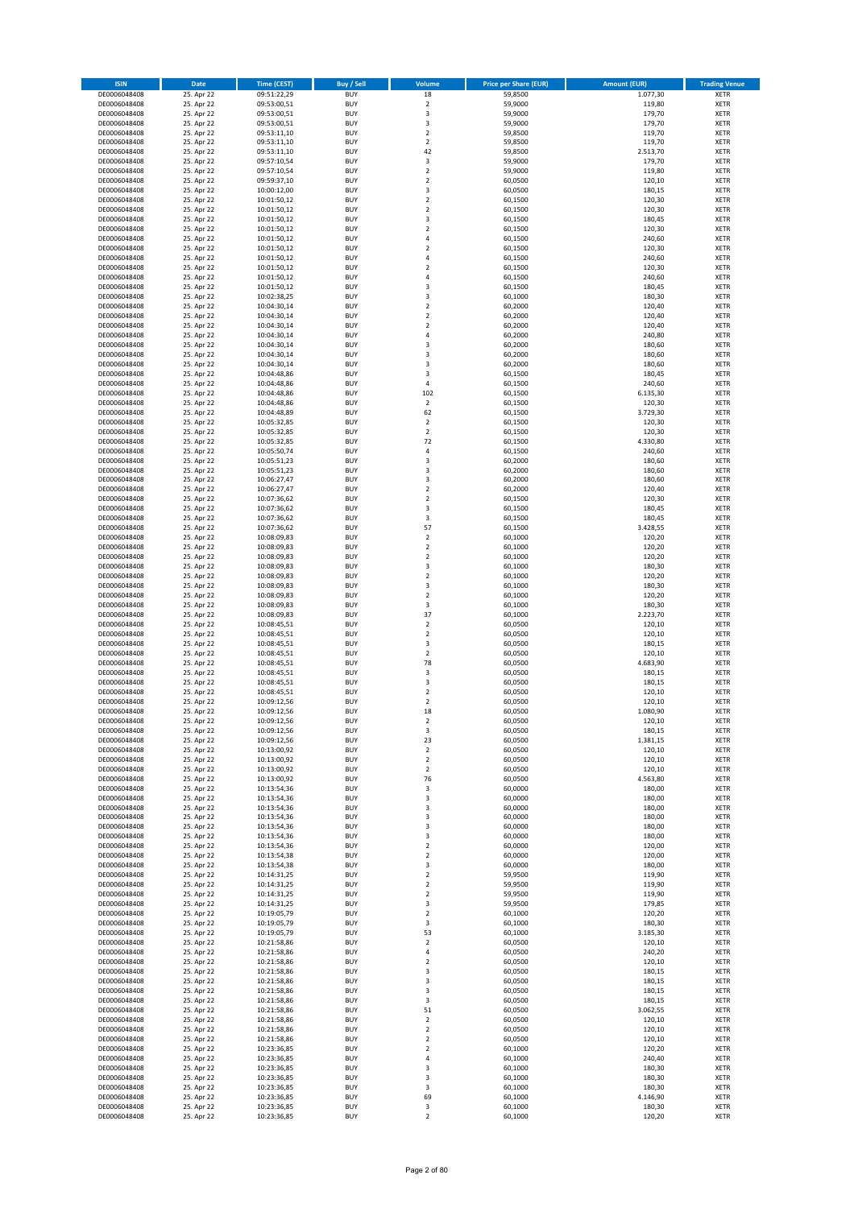| <b>ISIN</b>                  | Date                     | <b>Time (CEST)</b>         | Buy / Sell               | Volume                        | <b>Price per Share (EUR)</b> | <b>Amount (EUR)</b> | <b>Trading Venue</b>       |
|------------------------------|--------------------------|----------------------------|--------------------------|-------------------------------|------------------------------|---------------------|----------------------------|
| DE0006048408                 | 25. Apr 22               | 09:51:22,29                | <b>BUY</b>               | 18                            | 59,8500                      | 1.077,30            | XETR                       |
| DE0006048408                 | 25. Apr 22               | 09:53:00,51                | <b>BUY</b>               | $\mathbf 2$                   | 59,9000                      | 119,80              | XETR                       |
| DE0006048408<br>DE0006048408 | 25. Apr 22<br>25. Apr 22 | 09:53:00,51<br>09:53:00,51 | <b>BUY</b><br><b>BUY</b> | 3<br>3                        | 59,9000<br>59,9000           | 179,70<br>179,70    | <b>XETR</b><br><b>XETR</b> |
| DE0006048408                 | 25. Apr 22               | 09:53:11,10                | <b>BUY</b>               | $\mathbf 2$                   | 59,8500                      | 119,70              | <b>XETR</b>                |
| DE0006048408                 | 25. Apr 22               | 09:53:11,10                | <b>BUY</b>               | $\mathbf 2$                   | 59,8500                      | 119,70              | <b>XETR</b>                |
| DE0006048408                 | 25. Apr 22               | 09:53:11,10                | <b>BUY</b>               | 42                            | 59,8500                      | 2.513,70            | <b>XETR</b>                |
| DE0006048408                 | 25. Apr 22               | 09:57:10,54                | <b>BUY</b>               | 3                             | 59,9000                      | 179,70              | <b>XETR</b>                |
| DE0006048408<br>DE0006048408 | 25. Apr 22<br>25. Apr 22 | 09:57:10,54                | <b>BUY</b><br><b>BUY</b> | $\mathbf 2$<br>$\mathbf 2$    | 59,9000<br>60,0500           | 119,80<br>120,10    | <b>XETR</b><br><b>XETR</b> |
| DE0006048408                 | 25. Apr 22               | 09:59:37,10<br>10:00:12,00 | <b>BUY</b>               | 3                             | 60,0500                      | 180,15              | XETR                       |
| DE0006048408                 | 25. Apr 22               | 10:01:50,12                | <b>BUY</b>               | $\overline{2}$                | 60,1500                      | 120,30              | <b>XETR</b>                |
| DE0006048408                 | 25. Apr 22               | 10:01:50,12                | <b>BUY</b>               | $\mathbf 2$                   | 60,1500                      | 120,30              | XETR                       |
| DE0006048408                 | 25. Apr 22               | 10:01:50,12                | <b>BUY</b>               | 3                             | 60,1500                      | 180,45              | <b>XETR</b>                |
| DE0006048408                 | 25. Apr 22               | 10:01:50,12                | <b>BUY</b>               | $\mathbf 2$                   | 60,1500                      | 120,30              | XETR                       |
| DE0006048408<br>DE0006048408 | 25. Apr 22<br>25. Apr 22 | 10:01:50,12<br>10:01:50,12 | <b>BUY</b><br><b>BUY</b> | 4<br>$\mathbf 2$              | 60,1500<br>60,1500           | 240,60<br>120,30    | <b>XETR</b><br>XETR        |
| DE0006048408                 | 25. Apr 22               | 10:01:50,12                | <b>BUY</b>               | 4                             | 60,1500                      | 240,60              | <b>XETR</b>                |
| DE0006048408                 | 25. Apr 22               | 10:01:50,12                | <b>BUY</b>               | $\mathbf 2$                   | 60,1500                      | 120,30              | XETR                       |
| DE0006048408                 | 25. Apr 22               | 10:01:50,12                | <b>BUY</b>               | 4                             | 60,1500                      | 240,60              | <b>XETR</b>                |
| DE0006048408<br>DE0006048408 | 25. Apr 22<br>25. Apr 22 | 10:01:50,12<br>10:02:38,25 | <b>BUY</b><br><b>BUY</b> | 3<br>3                        | 60,1500<br>60,1000           | 180,45<br>180,30    | <b>XETR</b><br><b>XETR</b> |
| DE0006048408                 | 25. Apr 22               | 10:04:30,14                | <b>BUY</b>               | $\mathbf 2$                   | 60,2000                      | 120,40              | <b>XETR</b>                |
| DE0006048408                 | 25. Apr 22               | 10:04:30,14                | <b>BUY</b>               | $\mathbf 2$                   | 60,2000                      | 120,40              | <b>XETR</b>                |
| DE0006048408                 | 25. Apr 22               | 10:04:30,14                | <b>BUY</b>               | $\mathbf 2$                   | 60,2000                      | 120,40              | <b>XETR</b>                |
| DE0006048408                 | 25. Apr 22               | 10:04:30,14                | <b>BUY</b>               | 4                             | 60,2000                      | 240,80              | <b>XETR</b>                |
| DE0006048408                 | 25. Apr 22               | 10:04:30,14                | <b>BUY</b>               | 3                             | 60,2000                      | 180,60              | <b>XETR</b>                |
| DE0006048408<br>DE0006048408 | 25. Apr 22<br>25. Apr 22 | 10:04:30,14<br>10:04:30,14 | <b>BUY</b><br><b>BUY</b> | 3<br>3                        | 60,2000<br>60,2000           | 180,60<br>180,60    | <b>XETR</b><br><b>XETR</b> |
| DE0006048408                 | 25. Apr 22               | 10:04:48,86                | <b>BUY</b>               | 3                             | 60,1500                      | 180,45              | <b>XETR</b>                |
| DE0006048408                 | 25. Apr 22               | 10:04:48,86                | <b>BUY</b>               | 4                             | 60,1500                      | 240,60              | <b>XETR</b>                |
| DE0006048408                 | 25. Apr 22               | 10:04:48,86                | <b>BUY</b>               | 102                           | 60,1500                      | 6.135,30            | <b>XETR</b>                |
| DE0006048408                 | 25. Apr 22               | 10:04:48,86                | <b>BUY</b><br><b>BUY</b> | 2<br>62                       | 60,1500                      | 120,30<br>3.729,30  | <b>XETR</b><br>XETR        |
| DE0006048408<br>DE0006048408 | 25. Apr 22<br>25. Apr 22 | 10:04:48,89<br>10:05:32,85 | <b>BUY</b>               | $\mathbf 2$                   | 60,1500<br>60,1500           | 120,30              | <b>XETR</b>                |
| DE0006048408                 | 25. Apr 22               | 10:05:32,85                | <b>BUY</b>               | $\mathbf 2$                   | 60,1500                      | 120,30              | XETR                       |
| DE0006048408                 | 25. Apr 22               | 10:05:32,85                | <b>BUY</b>               | 72                            | 60,1500                      | 4.330,80            | <b>XETR</b>                |
| DE0006048408                 | 25. Apr 22               | 10:05:50,74                | <b>BUY</b>               | 4                             | 60,1500                      | 240,60              | XETR                       |
| DE0006048408                 | 25. Apr 22               | 10:05:51,23                | <b>BUY</b>               | 3                             | 60,2000                      | 180,60              | <b>XETR</b>                |
| DE0006048408<br>DE0006048408 | 25. Apr 22<br>25. Apr 22 | 10:05:51,23                | <b>BUY</b><br><b>BUY</b> | 3<br>3                        | 60,2000<br>60,2000           | 180,60<br>180,60    | <b>XETR</b><br><b>XETR</b> |
| DE0006048408                 | 25. Apr 22               | 10:06:27,47<br>10:06:27,47 | <b>BUY</b>               | $\mathbf 2$                   | 60,2000                      | 120,40              | <b>XETR</b>                |
| DE0006048408                 | 25. Apr 22               | 10:07:36,62                | <b>BUY</b>               | $\mathbf 2$                   | 60,1500                      | 120,30              | <b>XETR</b>                |
| DE0006048408                 | 25. Apr 22               | 10:07:36,62                | <b>BUY</b>               | 3                             | 60,1500                      | 180,45              | <b>XETR</b>                |
| DE0006048408                 | 25. Apr 22               | 10:07:36,62                | <b>BUY</b>               | 3                             | 60,1500                      | 180,45              | <b>XETR</b>                |
| DE0006048408                 | 25. Apr 22               | 10:07:36,62                | <b>BUY</b>               | 57                            | 60,1500                      | 3.428,55            | XETR                       |
| DE0006048408<br>DE0006048408 | 25. Apr 22<br>25. Apr 22 | 10:08:09,83<br>10:08:09,83 | <b>BUY</b><br><b>BUY</b> | 2<br>$\mathbf 2$              | 60,1000<br>60,1000           | 120,20<br>120,20    | XETR<br><b>XETR</b>        |
| DE0006048408                 | 25. Apr 22               | 10:08:09,83                | <b>BUY</b>               | $\mathbf 2$                   | 60,1000                      | 120,20              | <b>XETR</b>                |
| DE0006048408                 | 25. Apr 22               | 10:08:09,83                | <b>BUY</b>               | 3                             | 60,1000                      | 180,30              | XETR                       |
| DE0006048408                 | 25. Apr 22               | 10:08:09,83                | <b>BUY</b>               | 2                             | 60,1000                      | 120,20              | <b>XETR</b>                |
| DE0006048408                 | 25. Apr 22               | 10:08:09,83                | <b>BUY</b><br><b>BUY</b> | 3                             | 60,1000                      | 180,30              | <b>XETR</b>                |
| DE0006048408<br>DE0006048408 | 25. Apr 22<br>25. Apr 22 | 10:08:09,83<br>10:08:09,83 | <b>BUY</b>               | $\mathbf 2$<br>3              | 60,1000<br>60,1000           | 120,20<br>180,30    | <b>XETR</b><br><b>XETR</b> |
| DE0006048408                 | 25. Apr 22               | 10:08:09,83                | <b>BUY</b>               | 37                            | 60,1000                      | 2.223,70            | <b>XETR</b>                |
| DE0006048408                 | 25. Apr 22               | 10:08:45,51                | <b>BUY</b>               | $\mathbf 2$                   | 60,0500                      | 120,10              | <b>XETR</b>                |
| DE0006048408                 | 25. Apr 22               | 10:08:45,51                | <b>BUY</b>               | $\mathbf 2$                   | 60,0500                      | 120,10              | <b>XETR</b>                |
| DE0006048408                 | 25. Apr 22<br>25. Apr 22 | 10:08:45,51                | <b>BUY</b><br><b>BUY</b> | 3<br>$\overline{\mathbf{c}}$  | 60,0500                      | 180,15<br>120,10    | <b>XETR</b><br><b>XETR</b> |
| DE0006048408<br>DE0006048408 | 25. Apr 22               | 10:08:45,51<br>10:08:45,51 | <b>BUY</b>               | 78                            | 60,0500<br>60,0500           | 4.683,90            | <b>XETR</b>                |
| DE0006048408                 | 25. Apr 22               | 10:08:45,51                | <b>BUY</b>               | 3                             | 60,0500                      | 180,15              | XETR                       |
| DE0006048408                 | 25. Apr 22               | 10:08:45,51                | <b>BUY</b>               | 3                             | 60,0500                      | 180,15              | <b>XETR</b>                |
| DE0006048408                 | 25. Apr 22               | 10:08:45,51                | <b>BUY</b>               | 2                             | 60,0500                      | 120,10              | XETR                       |
| DE0006048408<br>DE0006048408 | 25. Apr 22<br>25. Apr 22 | 10:09:12,56<br>10:09:12,56 | <b>BUY</b><br><b>BUY</b> | $\overline{\mathbf{c}}$<br>18 | 60,0500<br>60,0500           | 120,10<br>1.080,90  | <b>XETR</b><br>XETR        |
| DE0006048408                 | 25. Apr 22               | 10:09:12,56                | <b>BUY</b>               | 2                             | 60,0500                      | 120,10              | XETR                       |
| DE0006048408                 | 25. Apr 22               | 10:09:12,56                | <b>BUY</b>               | 3                             | 60,0500                      | 180,15              | XETR                       |
| DE0006048408                 | 25. Apr 22               | 10:09:12,56                | <b>BUY</b>               | 23                            | 60,0500                      | 1.381,15            | XETR                       |
| DE0006048408                 | 25. Apr 22               | 10:13:00,92                | <b>BUY</b>               | 2                             | 60,0500                      | 120,10              | <b>XETR</b>                |
| DE0006048408<br>DE0006048408 | 25. Apr 22<br>25. Apr 22 | 10:13:00,92<br>10:13:00,92 | <b>BUY</b><br><b>BUY</b> | $\mathbf 2$<br>2              | 60,0500<br>60,0500           | 120,10<br>120,10    | <b>XETR</b><br>XETR        |
| DE0006048408                 | 25. Apr 22               | 10:13:00,92                | <b>BUY</b>               | 76                            | 60,0500                      | 4.563,80            | <b>XETR</b>                |
| DE0006048408                 | 25. Apr 22               | 10:13:54,36                | <b>BUY</b>               | 3                             | 60,0000                      | 180,00              | XETR                       |
| DE0006048408                 | 25. Apr 22               | 10:13:54,36                | <b>BUY</b>               | 3                             | 60,0000                      | 180,00              | <b>XETR</b>                |
| DE0006048408                 | 25. Apr 22<br>25. Apr 22 | 10:13:54,36                | <b>BUY</b><br><b>BUY</b> | 3                             | 60,0000<br>60,0000           | 180,00<br>180,00    | XETR                       |
| DE0006048408<br>DE0006048408 | 25. Apr 22               | 10:13:54,36<br>10:13:54,36 | <b>BUY</b>               | 3<br>3                        | 60,0000                      | 180,00              | <b>XETR</b><br>XETR        |
| DE0006048408                 | 25. Apr 22               | 10:13:54,36                | <b>BUY</b>               | 3                             | 60,0000                      | 180,00              | <b>XETR</b>                |
| DE0006048408                 | 25. Apr 22               | 10:13:54,36                | <b>BUY</b>               | $\boldsymbol{2}$              | 60,0000                      | 120,00              | XETR                       |
| DE0006048408                 | 25. Apr 22               | 10:13:54,38                | <b>BUY</b>               | 2                             | 60,0000                      | 120,00              | <b>XETR</b>                |
| DE0006048408                 | 25. Apr 22<br>25. Apr 22 | 10:13:54,38<br>10:14:31,25 | <b>BUY</b>               | 3                             | 60,0000                      | 180,00              | XETR                       |
| DE0006048408<br>DE0006048408 | 25. Apr 22               | 10:14:31,25                | <b>BUY</b><br><b>BUY</b> | $\mathbf 2$<br>2              | 59,9500<br>59,9500           | 119,90<br>119,90    | <b>XETR</b><br><b>XETR</b> |
| DE0006048408                 | 25. Apr 22               | 10:14:31,25                | <b>BUY</b>               | 2                             | 59,9500                      | 119,90              | <b>XETR</b>                |
| DE0006048408                 | 25. Apr 22               | 10:14:31,25                | <b>BUY</b>               | 3                             | 59,9500                      | 179,85              | XETR                       |
| DE0006048408                 | 25. Apr 22               | 10:19:05,79                | <b>BUY</b>               | $\mathbf 2$                   | 60,1000                      | 120,20              | <b>XETR</b>                |
| DE0006048408                 | 25. Apr 22               | 10:19:05,79                | <b>BUY</b><br><b>BUY</b> | 3                             | 60,1000<br>60,1000           | 180,30<br>3.185,30  | <b>XETR</b><br>XETR        |
| DE0006048408<br>DE0006048408 | 25. Apr 22<br>25. Apr 22 | 10:19:05,79<br>10:21:58,86 | <b>BUY</b>               | 53<br>$\overline{\mathbf{c}}$ | 60,0500                      | 120,10              | <b>XETR</b>                |
| DE0006048408                 | 25. Apr 22               | 10:21:58,86                | <b>BUY</b>               | 4                             | 60,0500                      | 240,20              | XETR                       |
| DE0006048408                 | 25. Apr 22               | 10:21:58,86                | <b>BUY</b>               | $\overline{\mathbf{c}}$       | 60,0500                      | 120,10              | <b>XETR</b>                |
| DE0006048408                 | 25. Apr 22               | 10:21:58,86                | <b>BUY</b>               | 3                             | 60,0500                      | 180,15              | <b>XETR</b>                |
| DE0006048408                 | 25. Apr 22               | 10:21:58,86                | <b>BUY</b>               | 3                             | 60,0500                      | 180,15              | <b>XETR</b>                |
| DE0006048408<br>DE0006048408 | 25. Apr 22<br>25. Apr 22 | 10:21:58,86<br>10:21:58,86 | <b>BUY</b><br><b>BUY</b> | 3<br>3                        | 60,0500<br>60,0500           | 180,15<br>180,15    | XETR<br><b>XETR</b>        |
| DE0006048408                 | 25. Apr 22               | 10:21:58,86                | <b>BUY</b>               | 51                            | 60,0500                      | 3.062,55            | XETR                       |
| DE0006048408                 | 25. Apr 22               | 10:21:58,86                | <b>BUY</b>               | $\mathbf 2$                   | 60,0500                      | 120,10              | <b>XETR</b>                |
| DE0006048408                 | 25. Apr 22               | 10:21:58,86                | <b>BUY</b>               | $\mathbf 2$                   | 60,0500                      | 120,10              | XETR                       |
| DE0006048408                 | 25. Apr 22               | 10:21:58,86                | <b>BUY</b><br><b>BUY</b> | $\overline{\mathbf{2}}$       | 60,0500<br>60,1000           | 120,10<br>120,20    | <b>XETR</b><br><b>XETR</b> |
| DE0006048408<br>DE0006048408 | 25. Apr 22<br>25. Apr 22 | 10:23:36,85<br>10:23:36,85 | <b>BUY</b>               | 2<br>4                        | 60,1000                      | 240,40              | <b>XETR</b>                |
| DE0006048408                 | 25. Apr 22               | 10:23:36,85                | <b>BUY</b>               | 3                             | 60,1000                      | 180,30              | XETR                       |
| DE0006048408                 | 25. Apr 22               | 10:23:36,85                | <b>BUY</b>               | 3                             | 60,1000                      | 180,30              | <b>XETR</b>                |
| DE0006048408                 | 25. Apr 22               | 10:23:36,85                | <b>BUY</b>               | 3                             | 60,1000                      | 180,30              | XETR                       |
| DE0006048408<br>DE0006048408 | 25. Apr 22               | 10:23:36,85<br>10:23:36,85 | <b>BUY</b><br><b>BUY</b> | 69<br>3                       | 60,1000<br>60,1000           | 4.146,90<br>180,30  | <b>XETR</b><br>XETR        |
| DE0006048408                 | 25. Apr 22<br>25. Apr 22 | 10:23:36,85                | <b>BUY</b>               | $\mathbf 2$                   | 60,1000                      | 120,20              | <b>XETR</b>                |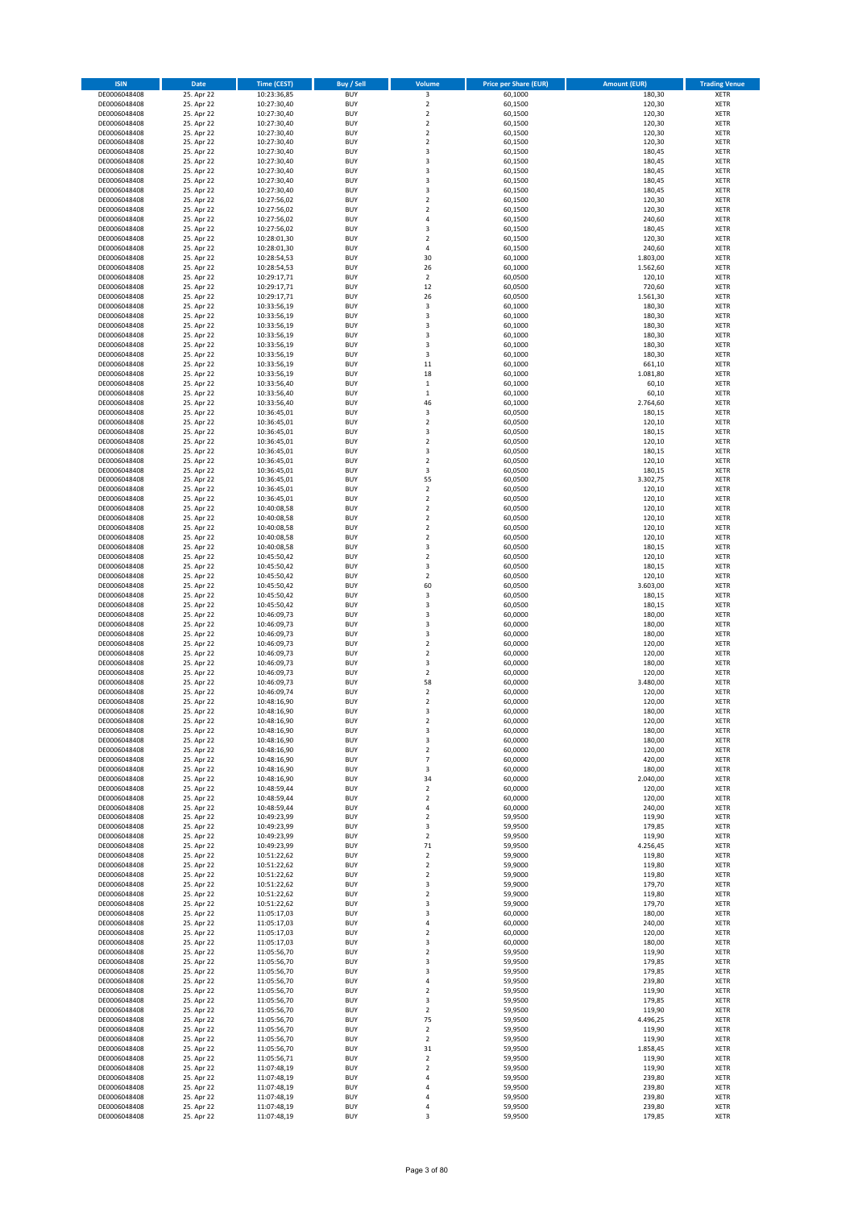| <b>ISIN</b>                  | Date                     | <b>Time (CEST)</b>         | Buy / Sell               | Volume                       | <b>Price per Share (EUR)</b> | <b>Amount (EUR)</b> | <b>Trading Venue</b>       |
|------------------------------|--------------------------|----------------------------|--------------------------|------------------------------|------------------------------|---------------------|----------------------------|
| DE0006048408                 | 25. Apr 22               | 10:23:36,85                | <b>BUY</b>               | 3                            | 60,1000                      | 180,30              | XETR                       |
| DE0006048408                 | 25. Apr 22               | 10:27:30,40                | <b>BUY</b>               | $\mathbf 2$                  | 60,1500                      | 120,30              | XETR                       |
| DE0006048408<br>DE0006048408 | 25. Apr 22<br>25. Apr 22 | 10:27:30,40<br>10:27:30,40 | <b>BUY</b><br><b>BUY</b> | $\mathbf 2$<br>$\mathbf 2$   | 60,1500<br>60,1500           | 120,30<br>120,30    | <b>XETR</b><br><b>XETR</b> |
| DE0006048408                 | 25. Apr 22               | 10:27:30,40                | <b>BUY</b>               | $\mathbf 2$                  | 60,1500                      | 120,30              | <b>XETR</b>                |
| DE0006048408                 | 25. Apr 22               | 10:27:30,40                | <b>BUY</b>               | $\overline{\mathbf{c}}$      | 60,1500                      | 120,30              | <b>XETR</b>                |
| DE0006048408                 | 25. Apr 22               | 10:27:30,40                | <b>BUY</b>               | 3                            | 60,1500                      | 180,45              | <b>XETR</b>                |
| DE0006048408                 | 25. Apr 22               | 10:27:30,40                | <b>BUY</b>               | 3                            | 60,1500                      | 180,45              | <b>XETR</b>                |
| DE0006048408                 | 25. Apr 22<br>25. Apr 22 | 10:27:30,40                | <b>BUY</b><br><b>BUY</b> | 3<br>3                       | 60,1500<br>60,1500           | 180,45<br>180,45    | <b>XETR</b><br><b>XETR</b> |
| DE0006048408<br>DE0006048408 | 25. Apr 22               | 10:27:30,40<br>10:27:30,40 | <b>BUY</b>               | 3                            | 60,1500                      | 180,45              | XETR                       |
| DE0006048408                 | 25. Apr 22               | 10:27:56,02                | <b>BUY</b>               | $\overline{\mathbf{c}}$      | 60,1500                      | 120,30              | <b>XETR</b>                |
| DE0006048408                 | 25. Apr 22               | 10:27:56,02                | <b>BUY</b>               | $\mathbf 2$                  | 60,1500                      | 120,30              | XETR                       |
| DE0006048408                 | 25. Apr 22               | 10:27:56,02                | <b>BUY</b>               | 4                            | 60,1500                      | 240,60              | <b>XETR</b>                |
| DE0006048408                 | 25. Apr 22               | 10:27:56,02                | <b>BUY</b>               | 3                            | 60,1500                      | 180,45              | XETR                       |
| DE0006048408<br>DE0006048408 | 25. Apr 22<br>25. Apr 22 | 10:28:01,30<br>10:28:01,30 | <b>BUY</b><br><b>BUY</b> | $\overline{\mathbf{c}}$<br>4 | 60,1500<br>60,1500           | 120,30<br>240,60    | <b>XETR</b><br>XETR        |
| DE0006048408                 | 25. Apr 22               | 10:28:54,53                | <b>BUY</b>               | 30                           | 60,1000                      | 1.803,00            | <b>XETR</b>                |
| DE0006048408                 | 25. Apr 22               | 10:28:54,53                | <b>BUY</b>               | 26                           | 60,1000                      | 1.562,60            | XETR                       |
| DE0006048408                 | 25. Apr 22               | 10:29:17,71                | <b>BUY</b>               | $\mathbf 2$                  | 60,0500                      | 120,10              | <b>XETR</b>                |
| DE0006048408                 | 25. Apr 22               | 10:29:17,71                | <b>BUY</b>               | 12                           | 60,0500                      | 720,60              | XETR                       |
| DE0006048408<br>DE0006048408 | 25. Apr 22<br>25. Apr 22 | 10:29:17,71<br>10:33:56,19 | <b>BUY</b><br><b>BUY</b> | 26<br>3                      | 60,0500<br>60,1000           | 1.561,30<br>180,30  | XETR<br><b>XETR</b>        |
| DE0006048408                 | 25. Apr 22               | 10:33:56,19                | <b>BUY</b>               | 3                            | 60,1000                      | 180,30              | <b>XETR</b>                |
| DE0006048408                 | 25. Apr 22               | 10:33:56,19                | <b>BUY</b>               | 3                            | 60,1000                      | 180,30              | <b>XETR</b>                |
| DE0006048408                 | 25. Apr 22               | 10:33:56,19                | <b>BUY</b>               | 3                            | 60,1000                      | 180,30              | <b>XETR</b>                |
| DE0006048408                 | 25. Apr 22               | 10:33:56,19                | <b>BUY</b>               | 3                            | 60,1000                      | 180,30              | <b>XETR</b>                |
| DE0006048408<br>DE0006048408 | 25. Apr 22               | 10:33:56,19                | <b>BUY</b><br><b>BUY</b> | 3<br>$11\,$                  | 60,1000                      | 180,30              | <b>XETR</b><br><b>XETR</b> |
| DE0006048408                 | 25. Apr 22<br>25. Apr 22 | 10:33:56,19<br>10:33:56,19 | <b>BUY</b>               | 18                           | 60,1000<br>60,1000           | 661,10<br>1.081,80  | <b>XETR</b>                |
| DE0006048408                 | 25. Apr 22               | 10:33:56,40                | <b>BUY</b>               | $\,$ 1                       | 60,1000                      | 60,10               | <b>XETR</b>                |
| DE0006048408                 | 25. Apr 22               | 10:33:56,40                | <b>BUY</b>               | $\mathbf 1$                  | 60,1000                      | 60,10               | <b>XETR</b>                |
| DE0006048408                 | 25. Apr 22               | 10:33:56,40                | <b>BUY</b>               | 46                           | 60,1000                      | 2.764,60            | <b>XETR</b>                |
| DE0006048408                 | 25. Apr 22               | 10:36:45,01                | <b>BUY</b><br><b>BUY</b> | 3<br>$\overline{\mathbf{c}}$ | 60,0500                      | 180,15              | XETR<br><b>XETR</b>        |
| DE0006048408<br>DE0006048408 | 25. Apr 22<br>25. Apr 22 | 10:36:45,01<br>10:36:45,01 | <b>BUY</b>               | 3                            | 60,0500<br>60,0500           | 120,10<br>180,15    | XETR                       |
| DE0006048408                 | 25. Apr 22               | 10:36:45,01                | <b>BUY</b>               | $\overline{\mathbf{c}}$      | 60,0500                      | 120,10              | <b>XETR</b>                |
| DE0006048408                 | 25. Apr 22               | 10:36:45,01                | <b>BUY</b>               | 3                            | 60,0500                      | 180,15              | XETR                       |
| DE0006048408                 | 25. Apr 22               | 10:36:45,01                | <b>BUY</b>               | $\overline{\mathbf{c}}$      | 60,0500                      | 120,10              | <b>XETR</b>                |
| DE0006048408                 | 25. Apr 22               | 10:36:45,01                | <b>BUY</b>               | 3                            | 60,0500                      | 180,15              | <b>XETR</b>                |
| DE0006048408<br>DE0006048408 | 25. Apr 22<br>25. Apr 22 | 10:36:45,01<br>10:36:45,01 | <b>BUY</b><br><b>BUY</b> | 55<br>$\mathbf 2$            | 60,0500<br>60,0500           | 3.302,75<br>120,10  | <b>XETR</b><br><b>XETR</b> |
| DE0006048408                 | 25. Apr 22               | 10:36:45,01                | <b>BUY</b>               | $\overline{\mathbf{c}}$      | 60,0500                      | 120,10              | <b>XETR</b>                |
| DE0006048408                 | 25. Apr 22               | 10:40:08,58                | <b>BUY</b>               | $\overline{\mathbf{c}}$      | 60,0500                      | 120,10              | <b>XETR</b>                |
| DE0006048408                 | 25. Apr 22               | 10:40:08,58                | <b>BUY</b>               | $\overline{\mathbf{c}}$      | 60,0500                      | 120,10              | <b>XETR</b>                |
| DE0006048408                 | 25. Apr 22               | 10:40:08,58                | <b>BUY</b>               | $\mathbf 2$                  | 60,0500                      | 120,10              | XETR                       |
| DE0006048408<br>DE0006048408 | 25. Apr 22<br>25. Apr 22 | 10:40:08,58                | <b>BUY</b><br><b>BUY</b> | 2<br>3                       | 60,0500<br>60,0500           | 120,10<br>180,15    | XETR<br><b>XETR</b>        |
| DE0006048408                 | 25. Apr 22               | 10:40:08,58<br>10:45:50,42 | <b>BUY</b>               | $\mathbf 2$                  | 60,0500                      | 120,10              | <b>XETR</b>                |
| DE0006048408                 | 25. Apr 22               | 10:45:50,42                | <b>BUY</b>               | 3                            | 60,0500                      | 180,15              | XETR                       |
| DE0006048408                 | 25. Apr 22               | 10:45:50,42                | <b>BUY</b>               | 2                            | 60,0500                      | 120,10              | <b>XETR</b>                |
| DE0006048408                 | 25. Apr 22               | 10:45:50,42                | <b>BUY</b>               | 60                           | 60,0500                      | 3.603,00            | <b>XETR</b>                |
| DE0006048408                 | 25. Apr 22               | 10:45:50,42                | <b>BUY</b>               | 3                            | 60,0500                      | 180,15              | <b>XETR</b>                |
| DE0006048408<br>DE0006048408 | 25. Apr 22<br>25. Apr 22 | 10:45:50,42<br>10:46:09,73 | <b>BUY</b><br><b>BUY</b> | 3<br>3                       | 60,0500<br>60,0000           | 180,15<br>180,00    | <b>XETR</b><br>XETR        |
| DE0006048408                 | 25. Apr 22               | 10:46:09,73                | <b>BUY</b>               | 3                            | 60,0000                      | 180,00              | <b>XETR</b>                |
| DE0006048408                 | 25. Apr 22               | 10:46:09,73                | <b>BUY</b>               | 3                            | 60,0000                      | 180,00              | <b>XETR</b>                |
| DE0006048408                 | 25. Apr 22               | 10:46:09,73                | <b>BUY</b>               | $\overline{\mathbf{c}}$      | 60,0000                      | 120,00              | <b>XETR</b>                |
| DE0006048408                 | 25. Apr 22               | 10:46:09,73                | <b>BUY</b>               | $\overline{\mathbf{c}}$      | 60,0000                      | 120,00              | <b>XETR</b>                |
| DE0006048408<br>DE0006048408 | 25. Apr 22<br>25. Apr 22 | 10:46:09,73<br>10:46:09,73 | <b>BUY</b><br><b>BUY</b> | 3<br>$\mathbf 2$             | 60,0000<br>60,0000           | 180,00<br>120,00    | <b>XETR</b><br>XETR        |
| DE0006048408                 | 25. Apr 22               | 10:46:09,73                | <b>BUY</b>               | 58                           | 60,0000                      | 3.480,00            | <b>XETR</b>                |
| DE0006048408                 | 25. Apr 22               | 10:46:09,74                | <b>BUY</b>               | $\mathbf 2$                  | 60,0000                      | 120,00              | XETR                       |
| DE0006048408                 | 25. Apr 22               | 10:48:16,90                | <b>BUY</b>               | $\overline{\mathbf{c}}$      | 60,0000                      | 120,00              | <b>XETR</b>                |
| DE0006048408                 | 25. Apr 22               | 10:48:16,90                | <b>BUY</b>               | 3                            | 60,0000                      | 180,00              | XETR                       |
| DE0006048408<br>DE0006048408 | 25. Apr 22               | 10:48:16,90<br>10:48:16,90 | <b>BUY</b>               | 2                            | 60,0000                      | 120,00              | XETR                       |
| DE0006048408                 | 25. Apr 22<br>25. Apr 22 | 10:48:16,90                | <b>BUY</b><br><b>BUY</b> | 3<br>3                       | 60,0000<br>60,0000           | 180,00<br>180,00    | XETR<br>XETR               |
| DE0006048408                 | 25. Apr 22               | 10:48:16,90                | <b>BUY</b>               | $\mathbf 2$                  | 60,0000                      | 120,00              | XETR                       |
| DE0006048408                 | 25. Apr 22               | 10:48:16,90                | <b>BUY</b>               | $\overline{7}$               | 60,0000                      | 420,00              | <b>XETR</b>                |
| DE0006048408                 | 25. Apr 22               | 10:48:16,90                | <b>BUY</b>               | 3                            | 60,0000                      | 180,00              | XETR                       |
| DE0006048408<br>DE0006048408 | 25. Apr 22<br>25. Apr 22 | 10:48:16,90<br>10:48:59,44 | <b>BUY</b><br><b>BUY</b> | 34<br>$\mathbf 2$            | 60,0000<br>60,0000           | 2.040,00<br>120,00  | <b>XETR</b><br>XETR        |
| DE0006048408                 | 25. Apr 22               | 10:48:59,44                | <b>BUY</b>               | $\mathbf 2$                  | 60,0000                      | 120,00              | <b>XETR</b>                |
| DE0006048408                 | 25. Apr 22               | 10:48:59,44                | <b>BUY</b>               | 4                            | 60,0000                      | 240,00              | XETR                       |
| DE0006048408                 | 25. Apr 22               | 10:49:23,99                | <b>BUY</b>               | 2                            | 59,9500                      | 119,90              | <b>XETR</b>                |
| DE0006048408                 | 25. Apr 22               | 10:49:23,99                | <b>BUY</b>               | 3                            | 59,9500                      | 179,85              | XETR                       |
| DE0006048408<br>DE0006048408 | 25. Apr 22<br>25. Apr 22 | 10:49:23,99<br>10:49:23,99 | <b>BUY</b><br><b>BUY</b> | $\mathbf 2$<br>71            | 59,9500<br>59,9500           | 119,90<br>4.256,45  | <b>XETR</b><br>XETR        |
| DE0006048408                 | 25. Apr 22               | 10:51:22,62                | <b>BUY</b>               | $\mathbf 2$                  | 59,9000                      | 119,80              | <b>XETR</b>                |
| DE0006048408                 | 25. Apr 22               | 10:51:22,62                | <b>BUY</b>               | $\mathbf 2$                  | 59,9000                      | 119,80              | XETR                       |
| DE0006048408                 | 25. Apr 22               | 10:51:22,62                | <b>BUY</b>               | $\mathbf 2$                  | 59,9000                      | 119,80              | <b>XETR</b>                |
| DE0006048408                 | 25. Apr 22               | 10:51:22,62                | <b>BUY</b>               | 3                            | 59,9000                      | 179,70              | <b>XETR</b>                |
| DE0006048408                 | 25. Apr 22               | 10:51:22,62                | <b>BUY</b><br><b>BUY</b> | 2<br>3                       | 59,9000<br>59,9000           | 119,80              | <b>XETR</b><br>XETR        |
| DE0006048408<br>DE0006048408 | 25. Apr 22<br>25. Apr 22 | 10:51:22,62<br>11:05:17,03 | <b>BUY</b>               | 3                            | 60,0000                      | 179,70<br>180,00    | <b>XETR</b>                |
| DE0006048408                 | 25. Apr 22               | 11:05:17,03                | <b>BUY</b>               | 4                            | 60,0000                      | 240,00              | <b>XETR</b>                |
| DE0006048408                 | 25. Apr 22               | 11:05:17,03                | <b>BUY</b>               | 2                            | 60,0000                      | 120,00              | XETR                       |
| DE0006048408                 | 25. Apr 22               | 11:05:17,03                | <b>BUY</b>               | 3                            | 60,0000                      | 180,00              | <b>XETR</b>                |
| DE0006048408                 | 25. Apr 22               | 11:05:56,70                | <b>BUY</b>               | $\mathbf 2$                  | 59,9500                      | 119,90              | XETR                       |
| DE0006048408<br>DE0006048408 | 25. Apr 22<br>25. Apr 22 | 11:05:56,70<br>11:05:56,70 | <b>BUY</b><br><b>BUY</b> | 3<br>3                       | 59,9500<br>59,9500           | 179,85<br>179,85    | <b>XETR</b><br>XETR        |
| DE0006048408                 | 25. Apr 22               | 11:05:56,70                | <b>BUY</b>               | 4                            | 59,9500                      | 239,80              | <b>XETR</b>                |
| DE0006048408                 | 25. Apr 22               | 11:05:56,70                | <b>BUY</b>               | 2                            | 59,9500                      | 119,90              | XETR                       |
| DE0006048408                 | 25. Apr 22               | 11:05:56,70                | <b>BUY</b>               | 3                            | 59,9500                      | 179,85              | <b>XETR</b>                |
| DE0006048408                 | 25. Apr 22               | 11:05:56,70                | <b>BUY</b>               | 2                            | 59,9500                      | 119,90              | XETR                       |
| DE0006048408<br>DE0006048408 | 25. Apr 22<br>25. Apr 22 | 11:05:56,70<br>11:05:56,70 | <b>BUY</b><br><b>BUY</b> | 75<br>2                      | 59,9500<br>59,9500           | 4.496,25<br>119,90  | <b>XETR</b><br>XETR        |
| DE0006048408                 | 25. Apr 22               | 11:05:56,70                | <b>BUY</b>               | $\mathbf 2$                  | 59,9500                      | 119,90              | <b>XETR</b>                |
| DE0006048408                 | 25. Apr 22               | 11:05:56,70                | <b>BUY</b>               | 31                           | 59,9500                      | 1.858,45            | <b>XETR</b>                |
| DE0006048408                 | 25. Apr 22               | 11:05:56,71                | <b>BUY</b>               | 2                            | 59,9500                      | 119,90              | <b>XETR</b>                |
| DE0006048408                 | 25. Apr 22               | 11:07:48,19                | <b>BUY</b>               | $\mathbf 2$                  | 59,9500                      | 119,90              | XETR                       |
| DE0006048408<br>DE0006048408 | 25. Apr 22<br>25. Apr 22 | 11:07:48,19<br>11:07:48,19 | <b>BUY</b><br><b>BUY</b> | 4<br>4                       | 59,9500<br>59,9500           | 239,80<br>239,80    | <b>XETR</b><br>XETR        |
| DE0006048408                 | 25. Apr 22               | 11:07:48,19                | <b>BUY</b>               | 4                            | 59,9500                      | 239,80              | XETR                       |
| DE0006048408                 | 25. Apr 22               | 11:07:48,19                | <b>BUY</b>               | 4                            | 59,9500                      | 239,80              | XETR                       |
| DE0006048408                 | 25. Apr 22               | 11:07:48,19                | <b>BUY</b>               | 3                            | 59,9500                      | 179,85              | <b>XETR</b>                |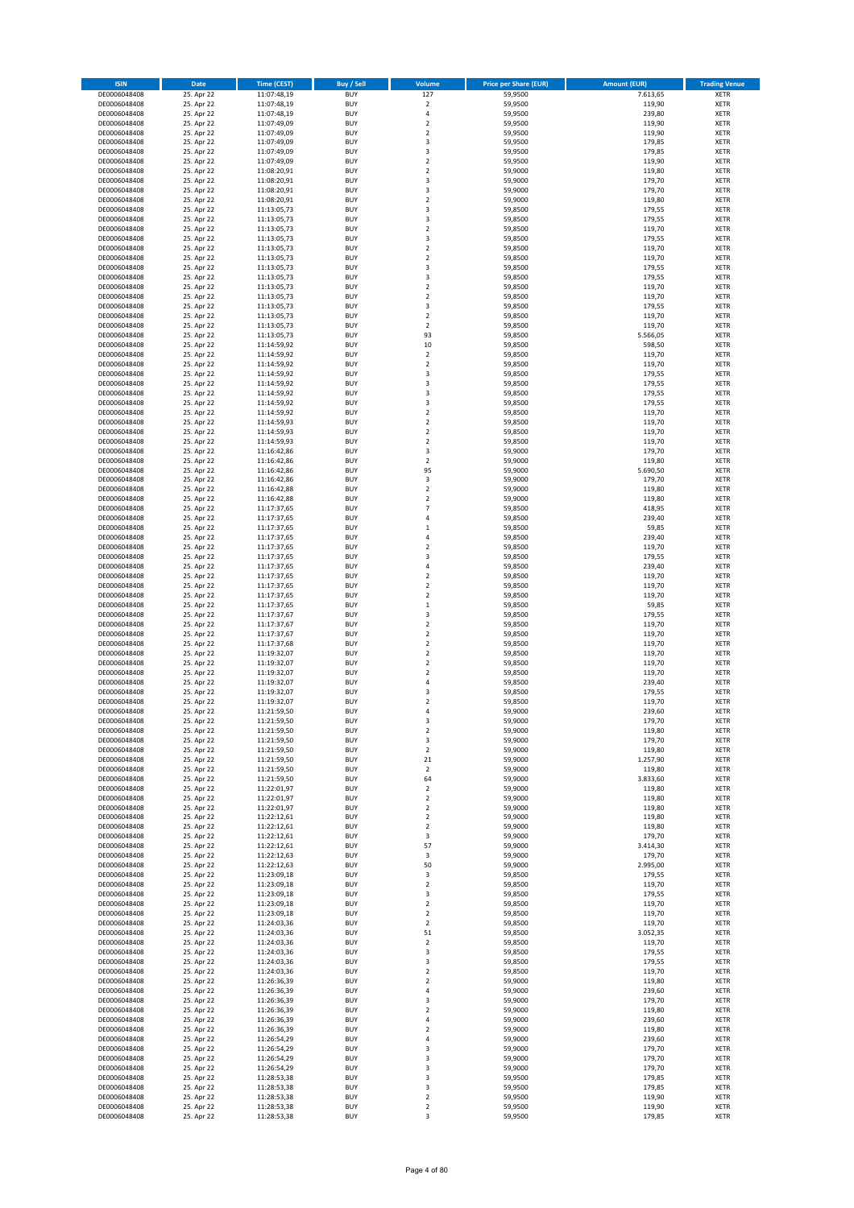| <b>ISIN</b>                  | Date                     | <b>Time (CEST)</b>         | Buy / Sell               | Volume                       | <b>Price per Share (EUR)</b> | <b>Amount (EUR)</b> | <b>Trading Venue</b>       |
|------------------------------|--------------------------|----------------------------|--------------------------|------------------------------|------------------------------|---------------------|----------------------------|
| DE0006048408                 | 25. Apr 22               | 11:07:48,19                | <b>BUY</b>               | 127                          | 59,9500                      | 7.613,65            | XETR                       |
| DE0006048408                 | 25. Apr 22               | 11:07:48,19                | <b>BUY</b>               | $\mathbf 2$                  | 59,9500                      | 119,90              | XETR                       |
| DE0006048408<br>DE0006048408 | 25. Apr 22<br>25. Apr 22 | 11:07:48,19<br>11:07:49,09 | <b>BUY</b><br><b>BUY</b> | 4<br>$\mathbf 2$             | 59,9500<br>59,9500           | 239,80<br>119,90    | XETR<br>XETR               |
| DE0006048408                 | 25. Apr 22               | 11:07:49,09                | <b>BUY</b>               | $\mathbf 2$                  | 59,9500                      | 119,90              | XETR                       |
| DE0006048408                 | 25. Apr 22               | 11:07:49,09                | <b>BUY</b>               | 3                            | 59,9500                      | 179,85              | <b>XETR</b>                |
| DE0006048408                 | 25. Apr 22               | 11:07:49,09                | <b>BUY</b>               | 3                            | 59,9500                      | 179,85              | <b>XETR</b>                |
| DE0006048408                 | 25. Apr 22               | 11:07:49,09                | <b>BUY</b>               | $\overline{\mathbf{c}}$      | 59,9500                      | 119,90              | <b>XETR</b>                |
| DE0006048408<br>DE0006048408 | 25. Apr 22<br>25. Apr 22 | 11:08:20,91                | <b>BUY</b><br><b>BUY</b> | $\mathbf 2$<br>3             | 59,9000<br>59,9000           | 119,80<br>179,70    | <b>XETR</b><br><b>XETR</b> |
| DE0006048408                 | 25. Apr 22               | 11:08:20,91<br>11:08:20,91 | <b>BUY</b>               | 3                            | 59,9000                      | 179,70              | <b>XETR</b>                |
| DE0006048408                 | 25. Apr 22               | 11:08:20,91                | <b>BUY</b>               | $\overline{\mathbf{c}}$      | 59,9000                      | 119,80              | <b>XETR</b>                |
| DE0006048408                 | 25. Apr 22               | 11:13:05,73                | <b>BUY</b>               | 3                            | 59,8500                      | 179,55              | XETR                       |
| DE0006048408                 | 25. Apr 22               | 11:13:05,73                | <b>BUY</b>               | 3                            | 59,8500                      | 179,55              | <b>XETR</b>                |
| DE0006048408                 | 25. Apr 22               | 11:13:05,73                | <b>BUY</b>               | $\mathbf 2$                  | 59,8500                      | 119,70              | XETR                       |
| DE0006048408<br>DE0006048408 | 25. Apr 22<br>25. Apr 22 | 11:13:05,73<br>11:13:05,73 | <b>BUY</b><br><b>BUY</b> | 3<br>$\mathbf 2$             | 59,8500<br>59,8500           | 179,55<br>119,70    | <b>XETR</b><br>XETR        |
| DE0006048408                 | 25. Apr 22               | 11:13:05,73                | <b>BUY</b>               | $\overline{\mathbf{c}}$      | 59,8500                      | 119,70              | <b>XETR</b>                |
| DE0006048408                 | 25. Apr 22               | 11:13:05,73                | <b>BUY</b>               | 3                            | 59,8500                      | 179,55              | XETR                       |
| DE0006048408                 | 25. Apr 22               | 11:13:05,73                | <b>BUY</b>               | 3                            | 59,8500                      | 179,55              | <b>XETR</b>                |
| DE0006048408                 | 25. Apr 22               | 11:13:05,73                | <b>BUY</b>               | $\mathbf 2$                  | 59,8500                      | 119,70              | <b>XETR</b>                |
| DE0006048408<br>DE0006048408 | 25. Apr 22<br>25. Apr 22 | 11:13:05,73<br>11:13:05,73 | <b>BUY</b><br><b>BUY</b> | $\mathbf 2$<br>3             | 59,8500<br>59,8500           | 119,70<br>179,55    | <b>XETR</b><br><b>XETR</b> |
| DE0006048408                 | 25. Apr 22               | 11:13:05,73                | <b>BUY</b>               | $\mathbf 2$                  | 59,8500                      | 119,70              | <b>XETR</b>                |
| DE0006048408                 | 25. Apr 22               | 11:13:05,73                | <b>BUY</b>               | $\mathbf 2$                  | 59,8500                      | 119,70              | <b>XETR</b>                |
| DE0006048408                 | 25. Apr 22               | 11:13:05,73                | <b>BUY</b>               | 93                           | 59,8500                      | 5.566,05            | <b>XETR</b>                |
| DE0006048408                 | 25. Apr 22               | 11:14:59,92                | <b>BUY</b>               | 10                           | 59,8500                      | 598,50              | <b>XETR</b>                |
| DE0006048408<br>DE0006048408 | 25. Apr 22<br>25. Apr 22 | 11:14:59,92<br>11:14:59,92 | <b>BUY</b><br><b>BUY</b> | $\mathbf 2$<br>$\mathbf 2$   | 59,8500<br>59,8500           | 119,70<br>119,70    | <b>XETR</b><br><b>XETR</b> |
| DE0006048408                 | 25. Apr 22               | 11:14:59,92                | <b>BUY</b>               | 3                            | 59,8500                      | 179,55              | <b>XETR</b>                |
| DE0006048408                 | 25. Apr 22               | 11:14:59,92                | <b>BUY</b>               | 3                            | 59,8500                      | 179,55              | <b>XETR</b>                |
| DE0006048408                 | 25. Apr 22               | 11:14:59,92                | <b>BUY</b>               | 3                            | 59,8500                      | 179,55              | <b>XETR</b>                |
| DE0006048408                 | 25. Apr 22               | 11:14:59,92                | <b>BUY</b>               | 3                            | 59,8500                      | 179,55              | <b>XETR</b>                |
| DE0006048408                 | 25. Apr 22               | 11:14:59,92                | <b>BUY</b>               | $\mathbf 2$                  | 59,8500                      | 119,70              | XETR                       |
| DE0006048408<br>DE0006048408 | 25. Apr 22<br>25. Apr 22 | 11:14:59,93<br>11:14:59,93 | <b>BUY</b><br><b>BUY</b> | $\mathbf 2$<br>$\mathbf 2$   | 59,8500<br>59,8500           | 119,70<br>119,70    | <b>XETR</b><br>XETR        |
| DE0006048408                 | 25. Apr 22               | 11:14:59,93                | <b>BUY</b>               | $\mathbf 2$                  | 59,8500                      | 119,70              | <b>XETR</b>                |
| DE0006048408                 | 25. Apr 22               | 11:16:42,86                | <b>BUY</b>               | 3                            | 59,9000                      | 179,70              | XETR                       |
| DE0006048408                 | 25. Apr 22               | 11:16:42,86                | <b>BUY</b>               | $\mathbf 2$                  | 59,9000                      | 119,80              | <b>XETR</b>                |
| DE0006048408                 | 25. Apr 22               | 11:16:42,86                | <b>BUY</b>               | 95                           | 59,9000                      | 5.690,50            | <b>XETR</b>                |
| DE0006048408<br>DE0006048408 | 25. Apr 22<br>25. Apr 22 | 11:16:42,86<br>11:16:42,88 | <b>BUY</b><br><b>BUY</b> | 3<br>$\mathbf 2$             | 59,9000<br>59,9000           | 179,70<br>119,80    | <b>XETR</b><br><b>XETR</b> |
| DE0006048408                 | 25. Apr 22               | 11:16:42,88                | <b>BUY</b>               | $\mathbf 2$                  | 59,9000                      | 119,80              | <b>XETR</b>                |
| DE0006048408                 | 25. Apr 22               | 11:17:37,65                | <b>BUY</b>               | $\overline{7}$               | 59,8500                      | 418,95              | <b>XETR</b>                |
| DE0006048408                 | 25. Apr 22               | 11:17:37,65                | <b>BUY</b>               | 4                            | 59,8500                      | 239,40              | <b>XETR</b>                |
| DE0006048408                 | 25. Apr 22               | 11:17:37,65                | <b>BUY</b>               | $\mathbf 1$                  | 59,8500                      | 59,85               | XETR                       |
| DE0006048408                 | 25. Apr 22               | 11:17:37,65                | <b>BUY</b>               | 4                            | 59,8500                      | 239,40              | XETR                       |
| DE0006048408<br>DE0006048408 | 25. Apr 22<br>25. Apr 22 | 11:17:37,65<br>11:17:37,65 | <b>BUY</b><br><b>BUY</b> | $\mathbf 2$<br>3             | 59,8500<br>59,8500           | 119,70<br>179,55    | <b>XETR</b><br><b>XETR</b> |
| DE0006048408                 | 25. Apr 22               | 11:17:37,65                | <b>BUY</b>               | 4                            | 59,8500                      | 239,40              | <b>XETR</b>                |
| DE0006048408                 | 25. Apr 22               | 11:17:37,65                | <b>BUY</b>               | $\mathbf 2$                  | 59,8500                      | 119,70              | <b>XETR</b>                |
| DE0006048408                 | 25. Apr 22               | 11:17:37,65                | <b>BUY</b>               | $\mathbf 2$                  | 59,8500                      | 119,70              | <b>XETR</b>                |
| DE0006048408                 | 25. Apr 22               | 11:17:37,65                | <b>BUY</b>               | $\mathbf 2$                  | 59,8500                      | 119,70              | <b>XETR</b>                |
| DE0006048408<br>DE0006048408 | 25. Apr 22<br>25. Apr 22 | 11:17:37,65<br>11:17:37,67 | <b>BUY</b><br><b>BUY</b> | $\mathbf 1$<br>3             | 59,8500<br>59,8500           | 59,85<br>179,55     | <b>XETR</b><br><b>XETR</b> |
| DE0006048408                 | 25. Apr 22               | 11:17:37,67                | <b>BUY</b>               | $\mathbf 2$                  | 59,8500                      | 119,70              | <b>XETR</b>                |
| DE0006048408                 | 25. Apr 22               | 11:17:37,67                | <b>BUY</b>               | $\mathbf 2$                  | 59,8500                      | 119,70              | <b>XETR</b>                |
| DE0006048408                 | 25. Apr 22               | 11:17:37,68                | <b>BUY</b>               | $\mathbf 2$                  | 59,8500                      | 119,70              | <b>XETR</b>                |
| DE0006048408                 | 25. Apr 22               | 11:19:32,07                | <b>BUY</b>               | $\mathbf 2$                  | 59,8500                      | 119,70              | <b>XETR</b>                |
| DE0006048408                 | 25. Apr 22               | 11:19:32,07                | <b>BUY</b>               | $\mathbf 2$                  | 59,8500                      | 119,70              | <b>XETR</b>                |
| DE0006048408<br>DE0006048408 | 25. Apr 22<br>25. Apr 22 | 11:19:32,07<br>11:19:32,07 | <b>BUY</b><br><b>BUY</b> | $\mathbf 2$<br>4             | 59,8500<br>59,8500           | 119,70<br>239,40    | XETR<br><b>XETR</b>        |
| DE0006048408                 | 25. Apr 22               | 11:19:32,07                | <b>BUY</b>               | 3                            | 59,8500                      | 179,55              | XETR                       |
| DE0006048408                 | 25. Apr 22               | 11:19:32,07                | <b>BUY</b>               | $\mathbf 2$                  | 59,8500                      | 119,70              | <b>XETR</b>                |
| DE0006048408                 | 25. Apr 22               | 11:21:59,50                | <b>BUY</b>               | 4                            | 59,9000                      | 239,60              | XETR                       |
| DE0006048408                 | 25. Apr 22               | 11:21:59,50                | <b>BUY</b>               | 3                            | 59,9000                      | 179,70              | XETR                       |
| DE0006048408<br>DE0006048408 | 25. Apr 22<br>25. Apr 22 | 11:21:59,50<br>11:21:59,50 | <b>BUY</b><br><b>BUY</b> | $\boldsymbol{2}$<br>3        | 59,9000<br>59,9000           | 119,80<br>179,70    | XETR<br>XETR               |
| DE0006048408                 | 25. Apr 22               | 11:21:59,50                | <b>BUY</b>               | $\mathbf 2$                  | 59,9000                      | 119,80              | XETR                       |
| DE0006048408                 | 25. Apr 22               | 11:21:59,50                | <b>BUY</b>               | 21                           | 59,9000                      | 1.257,90            | <b>XETR</b>                |
| DE0006048408                 | 25. Apr 22               | 11:21:59,50                | <b>BUY</b>               | $\mathbf 2$                  | 59,9000                      | 119,80              | XETR                       |
| DE0006048408                 | 25. Apr 22               | 11:21:59,50                | <b>BUY</b>               | 64                           | 59,9000                      | 3.833,60            | <b>XETR</b>                |
| DE0006048408<br>DE0006048408 | 25. Apr 22<br>25. Apr 22 | 11:22:01,97<br>11:22:01,97 | <b>BUY</b><br><b>BUY</b> | $\mathbf 2$<br>$\mathbf 2$   | 59,9000<br>59,9000           | 119,80<br>119,80    | XETR<br><b>XETR</b>        |
| DE0006048408                 | 25. Apr 22               | 11:22:01,97                | <b>BUY</b>               | $\mathbf 2$                  | 59,9000                      | 119,80              | XETR                       |
| DE0006048408                 | 25. Apr 22               | 11:22:12,61                | <b>BUY</b>               | $\mathbf 2$                  | 59,9000                      | 119,80              | <b>XETR</b>                |
| DE0006048408                 | 25. Apr 22               | 11:22:12,61                | <b>BUY</b>               | $\mathbf 2$                  | 59,9000                      | 119,80              | XETR                       |
| DE0006048408                 | 25. Apr 22               | 11:22:12,61                | <b>BUY</b>               | 3                            | 59,9000                      | 179,70              | <b>XETR</b>                |
| DE0006048408<br>DE0006048408 | 25. Apr 22<br>25. Apr 22 | 11:22:12,61<br>11:22:12,63 | <b>BUY</b><br><b>BUY</b> | 57<br>3                      | 59,9000<br>59,9000           | 3.414,30<br>179,70  | XETR<br><b>XETR</b>        |
| DE0006048408                 | 25. Apr 22               | 11:22:12,63                | <b>BUY</b>               | 50                           | 59,9000                      | 2.995,00            | XETR                       |
| DE0006048408                 | 25. Apr 22               | 11:23:09,18                | <b>BUY</b>               | 3                            | 59,8500                      | 179,55              | <b>XETR</b>                |
| DE0006048408                 | 25. Apr 22               | 11:23:09,18                | <b>BUY</b>               | $\boldsymbol{2}$             | 59,8500                      | 119,70              | <b>XETR</b>                |
| DE0006048408                 | 25. Apr 22               | 11:23:09,18                | <b>BUY</b>               | 3                            | 59,8500                      | 179,55              | <b>XETR</b>                |
| DE0006048408                 | 25. Apr 22<br>25. Apr 22 | 11:23:09,18                | <b>BUY</b><br><b>BUY</b> | $\mathbf 2$<br>$\mathbf 2$   | 59,8500<br>59,8500           | 119,70<br>119,70    | XETR                       |
| DE0006048408<br>DE0006048408 | 25. Apr 22               | 11:23:09,18<br>11:24:03,36 | <b>BUY</b>               | $\mathbf 2$                  | 59,8500                      | 119,70              | <b>XETR</b><br><b>XETR</b> |
| DE0006048408                 | 25. Apr 22               | 11:24:03,36                | <b>BUY</b>               | 51                           | 59,8500                      | 3.052,35            | XETR                       |
| DE0006048408                 | 25. Apr 22               | 11:24:03,36                | <b>BUY</b>               | $\overline{\mathbf{c}}$      | 59,8500                      | 119,70              | <b>XETR</b>                |
| DE0006048408                 | 25. Apr 22               | 11:24:03,36                | <b>BUY</b>               | 3                            | 59,8500                      | 179,55              | XETR                       |
| DE0006048408                 | 25. Apr 22               | 11:24:03,36                | <b>BUY</b>               | 3                            | 59,8500                      | 179,55              | <b>XETR</b>                |
| DE0006048408<br>DE0006048408 | 25. Apr 22<br>25. Apr 22 | 11:24:03,36<br>11:26:36,39 | <b>BUY</b><br><b>BUY</b> | 2<br>$\overline{\mathbf{c}}$ | 59,8500<br>59,9000           | 119,70<br>119,80    | XETR<br><b>XETR</b>        |
| DE0006048408                 | 25. Apr 22               | 11:26:36,39                | <b>BUY</b>               | 4                            | 59,9000                      | 239,60              | XETR                       |
| DE0006048408                 | 25. Apr 22               | 11:26:36,39                | <b>BUY</b>               | 3                            | 59,9000                      | 179,70              | <b>XETR</b>                |
| DE0006048408                 | 25. Apr 22               | 11:26:36,39                | <b>BUY</b>               | 2                            | 59,9000                      | 119,80              | XETR                       |
| DE0006048408                 | 25. Apr 22               | 11:26:36,39                | <b>BUY</b>               | 4                            | 59,9000                      | 239,60              | <b>XETR</b>                |
| DE0006048408<br>DE0006048408 | 25. Apr 22<br>25. Apr 22 | 11:26:36,39<br>11:26:54,29 | <b>BUY</b><br><b>BUY</b> | 2<br>4                       | 59,9000<br>59,9000           | 119,80<br>239,60    | XETR<br><b>XETR</b>        |
| DE0006048408                 | 25. Apr 22               | 11:26:54,29                | <b>BUY</b>               | 3                            | 59,9000                      | 179,70              | <b>XETR</b>                |
| DE0006048408                 | 25. Apr 22               | 11:26:54,29                | <b>BUY</b>               | 3                            | 59,9000                      | 179,70              | <b>XETR</b>                |
| DE0006048408                 | 25. Apr 22               | 11:26:54,29                | <b>BUY</b>               | 3                            | 59,9000                      | 179,70              | XETR                       |
| DE0006048408                 | 25. Apr 22               | 11:28:53,38                | <b>BUY</b>               | 3                            | 59,9500                      | 179,85              | <b>XETR</b>                |
| DE0006048408<br>DE0006048408 | 25. Apr 22<br>25. Apr 22 | 11:28:53,38<br>11:28:53,38 | <b>BUY</b><br><b>BUY</b> | 3<br>$\mathbf 2$             | 59,9500<br>59,9500           | 179,85<br>119,90    | XETR<br>XETR               |
| DE0006048408                 | 25. Apr 22               | 11:28:53,38                | <b>BUY</b>               | $\mathbf 2$                  | 59,9500                      | 119,90              | XETR                       |
| DE0006048408                 | 25. Apr 22               | 11:28:53,38                | <b>BUY</b>               | 3                            | 59,9500                      | 179,85              | XETR                       |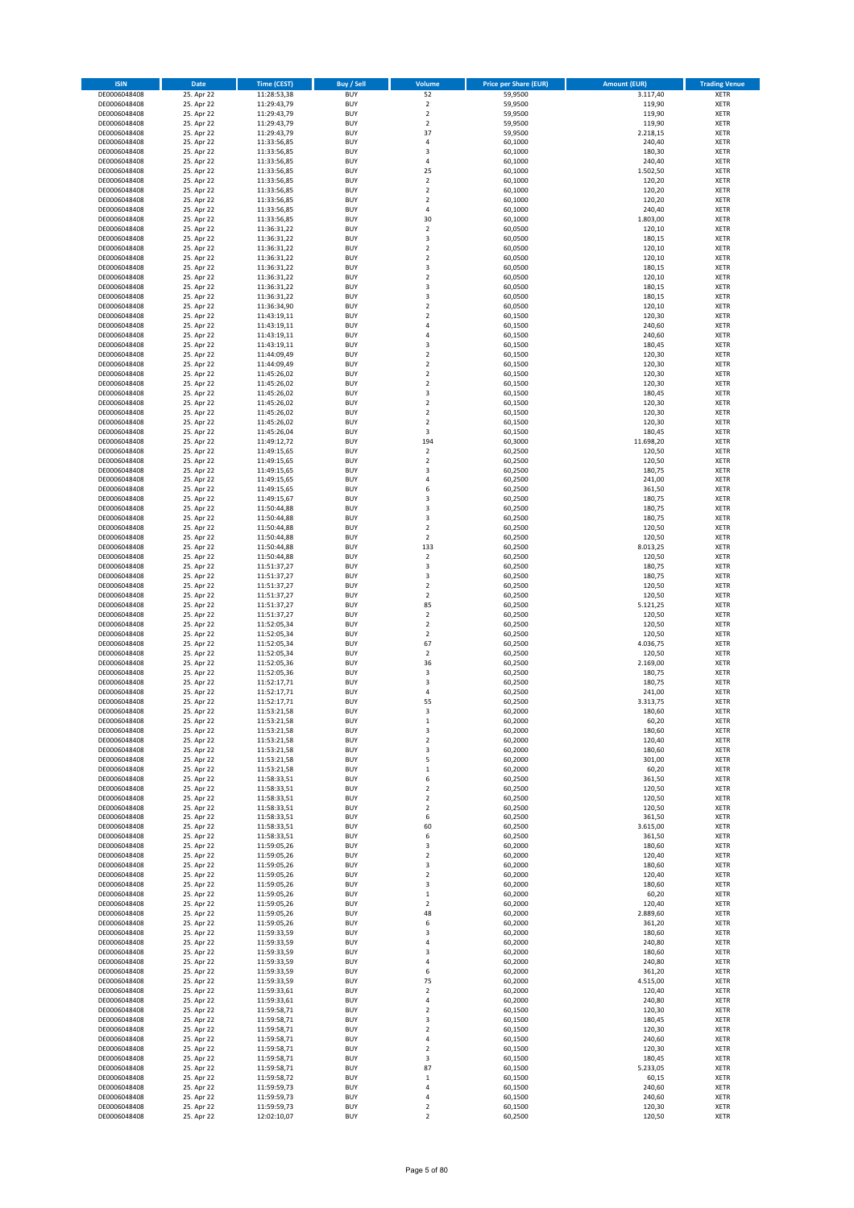| <b>ISIN</b>                  | <b>Date</b>              | <b>Time (CEST)</b>         | Buy / Sell               | Volume                                 | <b>Price per Share (EUR)</b> | <b>Amount (EUR)</b> | <b>Trading Venue</b>       |
|------------------------------|--------------------------|----------------------------|--------------------------|----------------------------------------|------------------------------|---------------------|----------------------------|
| DE0006048408                 | 25. Apr 22               | 11:28:53,38                | <b>BUY</b>               | 52                                     | 59,9500                      | 3.117,40            | XETR                       |
| DE0006048408                 | 25. Apr 22               | 11:29:43,79                | <b>BUY</b>               | $\mathbf 2$                            | 59,9500                      | 119,90              | XETR                       |
| DE0006048408<br>DE0006048408 | 25. Apr 22<br>25. Apr 22 | 11:29:43,79<br>11:29:43,79 | <b>BUY</b><br><b>BUY</b> | $\mathbf 2$<br>$\mathbf 2$             | 59,9500<br>59,9500           | 119,90<br>119,90    | <b>XETR</b><br><b>XETR</b> |
| DE0006048408                 | 25. Apr 22               | 11:29:43,79                | <b>BUY</b>               | 37                                     | 59,9500                      | 2.218,15            | <b>XETR</b>                |
| DE0006048408                 | 25. Apr 22               | 11:33:56,85                | <b>BUY</b>               | $\overline{4}$                         | 60,1000                      | 240,40              | <b>XETR</b>                |
| DE0006048408                 | 25. Apr 22               | 11:33:56,85                | <b>BUY</b>               | 3                                      | 60,1000                      | 180,30              | <b>XETR</b>                |
| DE0006048408                 | 25. Apr 22               | 11:33:56,85                | <b>BUY</b>               | $\overline{4}$                         | 60,1000                      | 240,40              | <b>XETR</b>                |
| DE0006048408<br>DE0006048408 | 25. Apr 22<br>25. Apr 22 | 11:33:56,85                | <b>BUY</b><br><b>BUY</b> | 25<br>$\mathbf 2$                      | 60,1000<br>60,1000           | 1.502,50<br>120,20  | <b>XETR</b><br><b>XETR</b> |
| DE0006048408                 | 25. Apr 22               | 11:33:56,85<br>11:33:56,85 | <b>BUY</b>               | $\mathbf 2$                            | 60,1000                      | 120,20              | <b>XETR</b>                |
| DE0006048408                 | 25. Apr 22               | 11:33:56,85                | <b>BUY</b>               | $\mathbf 2$                            | 60,1000                      | 120,20              | <b>XETR</b>                |
| DE0006048408                 | 25. Apr 22               | 11:33:56,85                | <b>BUY</b>               | 4                                      | 60,1000                      | 240,40              | XETR                       |
| DE0006048408                 | 25. Apr 22               | 11:33:56,85                | <b>BUY</b>               | 30                                     | 60,1000                      | 1.803,00            | <b>XETR</b>                |
| DE0006048408                 | 25. Apr 22               | 11:36:31,22                | <b>BUY</b>               | $\mathbf 2$                            | 60,0500                      | 120,10              | XETR                       |
| DE0006048408<br>DE0006048408 | 25. Apr 22<br>25. Apr 22 | 11:36:31,22<br>11:36:31,22 | <b>BUY</b><br><b>BUY</b> | 3<br>$\mathbf 2$                       | 60,0500<br>60,0500           | 180,15<br>120,10    | <b>XETR</b><br>XETR        |
| DE0006048408                 | 25. Apr 22               | 11:36:31,22                | <b>BUY</b>               | $\mathbf 2$                            | 60,0500                      | 120,10              | <b>XETR</b>                |
| DE0006048408                 | 25. Apr 22               | 11:36:31,22                | <b>BUY</b>               | 3                                      | 60,0500                      | 180,15              | XETR                       |
| DE0006048408                 | 25. Apr 22               | 11:36:31,22                | <b>BUY</b>               | $\mathbf 2$                            | 60,0500                      | 120,10              | <b>XETR</b>                |
| DE0006048408                 | 25. Apr 22<br>25. Apr 22 | 11:36:31,22                | <b>BUY</b><br><b>BUY</b> | 3<br>3                                 | 60,0500<br>60,0500           | 180,15<br>180,15    | <b>XETR</b><br><b>XETR</b> |
| DE0006048408<br>DE0006048408 | 25. Apr 22               | 11:36:31,22<br>11:36:34,90 | <b>BUY</b>               | $\mathbf 2$                            | 60,0500                      | 120,10              | <b>XETR</b>                |
| DE0006048408                 | 25. Apr 22               | 11:43:19,11                | <b>BUY</b>               | $\mathbf 2$                            | 60,1500                      | 120,30              | <b>XETR</b>                |
| DE0006048408                 | 25. Apr 22               | 11:43:19,11                | <b>BUY</b>               | 4                                      | 60,1500                      | 240,60              | <b>XETR</b>                |
| DE0006048408                 | 25. Apr 22               | 11:43:19,11                | <b>BUY</b>               | 4                                      | 60,1500                      | 240,60              | <b>XETR</b>                |
| DE0006048408                 | 25. Apr 22<br>25. Apr 22 | 11:43:19,11                | <b>BUY</b>               | 3                                      | 60,1500                      | 180,45              | <b>XETR</b>                |
| DE0006048408<br>DE0006048408 | 25. Apr 22               | 11:44:09,49<br>11:44:09,49 | <b>BUY</b><br><b>BUY</b> | $\overline{\mathbf{c}}$<br>$\mathbf 2$ | 60,1500<br>60,1500           | 120,30<br>120,30    | <b>XETR</b><br><b>XETR</b> |
| DE0006048408                 | 25. Apr 22               | 11:45:26,02                | <b>BUY</b>               | $\mathbf 2$                            | 60,1500                      | 120,30              | <b>XETR</b>                |
| DE0006048408                 | 25. Apr 22               | 11:45:26,02                | <b>BUY</b>               | $\mathbf 2$                            | 60,1500                      | 120,30              | <b>XETR</b>                |
| DE0006048408                 | 25. Apr 22               | 11:45:26,02                | <b>BUY</b>               | 3                                      | 60,1500                      | 180,45              | <b>XETR</b>                |
| DE0006048408                 | 25. Apr 22               | 11:45:26,02<br>11:45:26,02 | <b>BUY</b><br><b>BUY</b> | $\overline{\mathbf{c}}$<br>$\mathbf 2$ | 60,1500                      | 120,30<br>120,30    | <b>XETR</b><br>XETR        |
| DE0006048408<br>DE0006048408 | 25. Apr 22<br>25. Apr 22 | 11:45:26,02                | <b>BUY</b>               | $\overline{\mathbf{c}}$                | 60,1500<br>60,1500           | 120,30              | <b>XETR</b>                |
| DE0006048408                 | 25. Apr 22               | 11:45:26,04                | <b>BUY</b>               | 3                                      | 60,1500                      | 180,45              | XETR                       |
| DE0006048408                 | 25. Apr 22               | 11:49:12,72                | <b>BUY</b>               | 194                                    | 60,3000                      | 11.698,20           | <b>XETR</b>                |
| DE0006048408                 | 25. Apr 22               | 11:49:15,65                | <b>BUY</b>               | $\mathbf 2$                            | 60,2500                      | 120,50              | XETR                       |
| DE0006048408                 | 25. Apr 22               | 11:49:15,65                | <b>BUY</b>               | $\overline{\mathbf{c}}$                | 60,2500                      | 120,50              | <b>XETR</b>                |
| DE0006048408<br>DE0006048408 | 25. Apr 22<br>25. Apr 22 | 11:49:15,65<br>11:49:15,65 | <b>BUY</b><br><b>BUY</b> | 3<br>$\overline{4}$                    | 60,2500<br>60,2500           | 180,75<br>241,00    | <b>XETR</b><br><b>XETR</b> |
| DE0006048408                 | 25. Apr 22               | 11:49:15,65                | <b>BUY</b>               | 6                                      | 60,2500                      | 361,50              | <b>XETR</b>                |
| DE0006048408                 | 25. Apr 22               | 11:49:15,67                | <b>BUY</b>               | 3                                      | 60,2500                      | 180,75              | <b>XETR</b>                |
| DE0006048408                 | 25. Apr 22               | 11:50:44,88                | <b>BUY</b>               | 3                                      | 60,2500                      | 180,75              | <b>XETR</b>                |
| DE0006048408                 | 25. Apr 22               | 11:50:44,88                | <b>BUY</b>               | 3                                      | 60,2500                      | 180,75              | <b>XETR</b>                |
| DE0006048408                 | 25. Apr 22               | 11:50:44,88                | <b>BUY</b>               | $\mathbf 2$                            | 60,2500                      | 120,50              | XETR                       |
| DE0006048408<br>DE0006048408 | 25. Apr 22<br>25. Apr 22 | 11:50:44,88<br>11:50:44,88 | <b>BUY</b><br><b>BUY</b> | 2<br>133                               | 60,2500<br>60,2500           | 120,50<br>8.013,25  | XETR<br><b>XETR</b>        |
| DE0006048408                 | 25. Apr 22               | 11:50:44,88                | <b>BUY</b>               | $\mathbf 2$                            | 60,2500                      | 120,50              | <b>XETR</b>                |
| DE0006048408                 | 25. Apr 22               | 11:51:37,27                | <b>BUY</b>               | 3                                      | 60,2500                      | 180,75              | <b>XETR</b>                |
| DE0006048408                 | 25. Apr 22               | 11:51:37,27                | <b>BUY</b>               | 3                                      | 60,2500                      | 180,75              | <b>XETR</b>                |
| DE0006048408                 | 25. Apr 22               | 11:51:37,27                | <b>BUY</b><br><b>BUY</b> | $\mathbf 2$<br>$\mathbf 2$             | 60,2500<br>60,2500           | 120,50<br>120,50    | <b>XETR</b><br><b>XETR</b> |
| DE0006048408<br>DE0006048408 | 25. Apr 22<br>25. Apr 22 | 11:51:37,27<br>11:51:37,27 | <b>BUY</b>               | 85                                     | 60,2500                      | 5.121,25            | <b>XETR</b>                |
| DE0006048408                 | 25. Apr 22               | 11:51:37,27                | <b>BUY</b>               | $\mathbf 2$                            | 60,2500                      | 120,50              | <b>XETR</b>                |
| DE0006048408                 | 25. Apr 22               | 11:52:05,34                | <b>BUY</b>               | $\mathbf 2$                            | 60,2500                      | 120,50              | <b>XETR</b>                |
| DE0006048408                 | 25. Apr 22               | 11:52:05,34                | <b>BUY</b>               | $\mathbf 2$                            | 60,2500                      | 120,50              | <b>XETR</b>                |
| DE0006048408                 | 25. Apr 22<br>25. Apr 22 | 11:52:05,34                | <b>BUY</b><br><b>BUY</b> | 67<br>$\mathbf 2$                      | 60,2500                      | 4.036,75<br>120,50  | <b>XETR</b><br><b>XETR</b> |
| DE0006048408<br>DE0006048408 | 25. Apr 22               | 11:52:05,34<br>11:52:05,36 | <b>BUY</b>               | 36                                     | 60,2500<br>60,2500           | 2.169,00            | <b>XETR</b>                |
| DE0006048408                 | 25. Apr 22               | 11:52:05,36                | <b>BUY</b>               | 3                                      | 60,2500                      | 180,75              | XETR                       |
| DE0006048408                 | 25. Apr 22               | 11:52:17,71                | <b>BUY</b>               | 3                                      | 60,2500                      | 180,75              | <b>XETR</b>                |
| DE0006048408                 | 25. Apr 22               | 11:52:17,71                | <b>BUY</b>               | 4                                      | 60,2500                      | 241,00              | XETR                       |
| DE0006048408<br>DE0006048408 | 25. Apr 22<br>25. Apr 22 | 11:52:17,71<br>11:53:21,58 | <b>BUY</b><br><b>BUY</b> | 55<br>3                                | 60,2500<br>60,2000           | 3.313,75<br>180,60  | <b>XETR</b><br>XETR        |
| DE0006048408                 | 25. Apr 22               | 11:53:21,58                | <b>BUY</b>               | 1                                      | 60,2000                      | 60,20               | XETR                       |
| DE0006048408                 | 25. Apr 22               | 11:53:21,58                | <b>BUY</b>               | 3                                      | 60,2000                      | 180,60              | XETR                       |
| DE0006048408                 | 25. Apr 22               | 11:53:21,58                | <b>BUY</b>               | $\mathbf 2$                            | 60,2000                      | 120,40              | XETR                       |
| DE0006048408                 | 25. Apr 22               | 11:53:21,58                | <b>BUY</b>               | 3                                      | 60,2000                      | 180,60              | XETR                       |
| DE0006048408<br>DE0006048408 | 25. Apr 22<br>25. Apr 22 | 11:53:21,58<br>11:53:21,58 | <b>BUY</b><br><b>BUY</b> | 5<br>$\mathbf 1$                       | 60,2000<br>60,2000           | 301,00<br>60,20     | <b>XETR</b><br>XETR        |
| DE0006048408                 | 25. Apr 22               | 11:58:33,51                | <b>BUY</b>               | 6                                      | 60,2500                      | 361,50              | <b>XETR</b>                |
| DE0006048408                 | 25. Apr 22               | 11:58:33,51                | <b>BUY</b>               | $\overline{\mathbf{c}}$                | 60,2500                      | 120,50              | XETR                       |
| DE0006048408                 | 25. Apr 22               | 11:58:33,51                | <b>BUY</b>               | $\mathbf 2$                            | 60,2500                      | 120,50              | <b>XETR</b>                |
| DE0006048408                 | 25. Apr 22               | 11:58:33,51                | <b>BUY</b>               | $\mathbf 2$                            | 60,2500                      | 120,50              | XETR                       |
| DE0006048408<br>DE0006048408 | 25. Apr 22<br>25. Apr 22 | 11:58:33,51<br>11:58:33,51 | <b>BUY</b><br><b>BUY</b> | 6<br>60                                | 60,2500<br>60,2500           | 361,50<br>3.615,00  | <b>XETR</b><br>XETR        |
| DE0006048408                 | 25. Apr 22               | 11:58:33,51                | <b>BUY</b>               | 6                                      | 60,2500                      | 361,50              | <b>XETR</b>                |
| DE0006048408                 | 25. Apr 22               | 11:59:05,26                | <b>BUY</b>               | 3                                      | 60,2000                      | 180,60              | XETR                       |
| DE0006048408                 | 25. Apr 22               | 11:59:05,26                | <b>BUY</b>               | 2                                      | 60,2000                      | 120,40              | <b>XETR</b>                |
| DE0006048408<br>DE0006048408 | 25. Apr 22<br>25. Apr 22 | 11:59:05,26<br>11:59:05,26 | <b>BUY</b><br><b>BUY</b> | 3<br>2                                 | 60,2000<br>60,2000           | 180,60<br>120,40    | XETR<br><b>XETR</b>        |
| DE0006048408                 | 25. Apr 22               | 11:59:05,26                | <b>BUY</b>               | 3                                      | 60,2000                      | 180,60              | <b>XETR</b>                |
| DE0006048408                 | 25. Apr 22               | 11:59:05,26                | <b>BUY</b>               | $\mathbf 1$                            | 60,2000                      | 60,20               | <b>XETR</b>                |
| DE0006048408                 | 25. Apr 22               | 11:59:05,26                | <b>BUY</b>               | $\mathbf 2$                            | 60,2000                      | 120,40              | XETR                       |
| DE0006048408                 | 25. Apr 22               | 11:59:05,26                | <b>BUY</b>               | 48                                     | 60,2000                      | 2.889,60            | <b>XETR</b>                |
| DE0006048408<br>DE0006048408 | 25. Apr 22<br>25. Apr 22 | 11:59:05,26<br>11:59:33,59 | <b>BUY</b><br><b>BUY</b> | 6<br>3                                 | 60,2000<br>60,2000           | 361,20<br>180,60    | <b>XETR</b><br>XETR        |
| DE0006048408                 | 25. Apr 22               | 11:59:33,59                | <b>BUY</b>               | 4                                      | 60,2000                      | 240,80              | <b>XETR</b>                |
| DE0006048408                 | 25. Apr 22               | 11:59:33,59                | <b>BUY</b>               | 3                                      | 60,2000                      | 180,60              | XETR                       |
| DE0006048408                 | 25. Apr 22               | 11:59:33,59                | <b>BUY</b>               | 4                                      | 60,2000                      | 240,80              | <b>XETR</b>                |
| DE0006048408                 | 25. Apr 22               | 11:59:33,59                | <b>BUY</b>               | 6                                      | 60,2000                      | 361,20              | <b>XETR</b>                |
| DE0006048408                 | 25. Apr 22               | 11:59:33,59                | <b>BUY</b>               | 75                                     | 60,2000                      | 4.515,00            | <b>XETR</b>                |
| DE0006048408<br>DE0006048408 | 25. Apr 22<br>25. Apr 22 | 11:59:33,61<br>11:59:33,61 | <b>BUY</b><br><b>BUY</b> | $\mathbf 2$<br>4                       | 60,2000<br>60,2000           | 120,40<br>240,80    | XETR<br><b>XETR</b>        |
| DE0006048408                 | 25. Apr 22               | 11:59:58,71                | <b>BUY</b>               | 2                                      | 60,1500                      | 120,30              | XETR                       |
| DE0006048408                 | 25. Apr 22               | 11:59:58,71                | <b>BUY</b>               | 3                                      | 60,1500                      | 180,45              | <b>XETR</b>                |
| DE0006048408                 | 25. Apr 22               | 11:59:58,71                | <b>BUY</b>               | $\mathbf 2$                            | 60,1500                      | 120,30              | XETR                       |
| DE0006048408                 | 25. Apr 22               | 11:59:58,71                | <b>BUY</b><br><b>BUY</b> | 4<br>2                                 | 60,1500                      | 240,60<br>120,30    | <b>XETR</b><br><b>XETR</b> |
| DE0006048408<br>DE0006048408 | 25. Apr 22<br>25. Apr 22 | 11:59:58,71<br>11:59:58,71 | <b>BUY</b>               | 3                                      | 60,1500<br>60,1500           | 180,45              | <b>XETR</b>                |
| DE0006048408                 | 25. Apr 22               | 11:59:58,71                | <b>BUY</b>               | 87                                     | 60,1500                      | 5.233,05            | XETR                       |
| DE0006048408                 | 25. Apr 22               | 11:59:58,72                | <b>BUY</b>               | $\mathbf 1$                            | 60,1500                      | 60,15               | <b>XETR</b>                |
| DE0006048408                 | 25. Apr 22               | 11:59:59,73                | <b>BUY</b>               | 4                                      | 60,1500                      | 240,60              | XETR                       |
| DE0006048408<br>DE0006048408 | 25. Apr 22<br>25. Apr 22 | 11:59:59,73<br>11:59:59,73 | <b>BUY</b><br><b>BUY</b> | 4<br>$\mathbf 2$                       | 60,1500<br>60,1500           | 240,60<br>120,30    | XETR<br>XETR               |
| DE0006048408                 | 25. Apr 22               | 12:02:10,07                | <b>BUY</b>               | $\mathbf 2$                            | 60,2500                      | 120,50              | <b>XETR</b>                |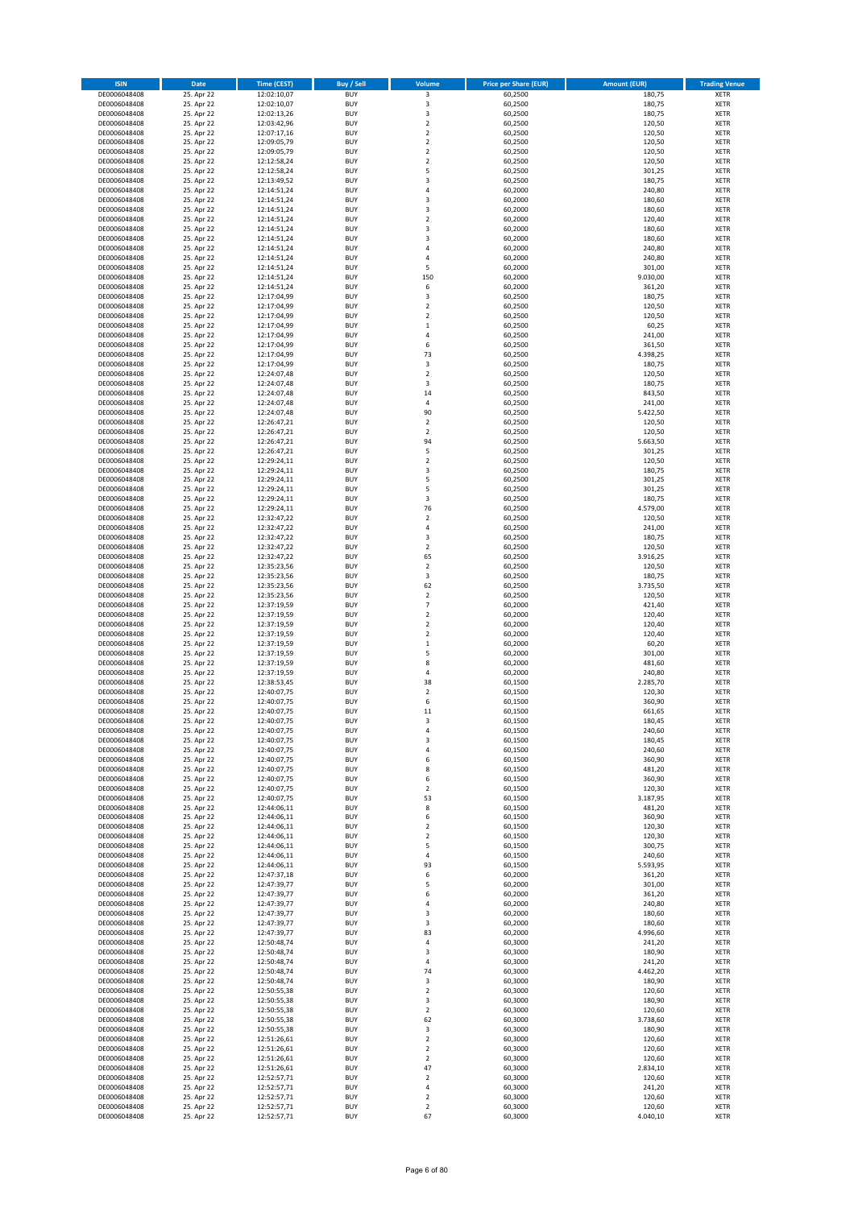| <b>ISIN</b>                  | Date                     | <b>Time (CEST)</b>         | <b>Buy / Sell</b>        | Volume                        | <b>Price per Share (EUR)</b> | <b>Amount (EUR)</b> | <b>Trading Venue</b>       |
|------------------------------|--------------------------|----------------------------|--------------------------|-------------------------------|------------------------------|---------------------|----------------------------|
| DE0006048408                 | 25. Apr 22               | 12:02:10,07                | <b>BUY</b>               | 3                             | 60,2500                      | 180,75              | <b>XETR</b>                |
| DE0006048408                 | 25. Apr 22               | 12:02:10,07                | <b>BUY</b>               | 3                             | 60,2500                      | 180,75              | <b>XETR</b>                |
| DE0006048408<br>DE0006048408 | 25. Apr 22<br>25. Apr 22 | 12:02:13,26<br>12:03:42,96 | <b>BUY</b><br><b>BUY</b> | 3<br>$\mathbf 2$              | 60,2500<br>60,2500           | 180,75<br>120,50    | <b>XETR</b><br><b>XETR</b> |
| DE0006048408                 | 25. Apr 22               | 12:07:17,16                | <b>BUY</b>               | $\mathbf 2$                   | 60,2500                      | 120,50              | <b>XETR</b>                |
| DE0006048408                 | 25. Apr 22               | 12:09:05,79                | <b>BUY</b>               | $\overline{2}$                | 60,2500                      | 120,50              | <b>XETR</b>                |
| DE0006048408                 | 25. Apr 22               | 12:09:05,79                | <b>BUY</b>               | $\mathbf 2$                   | 60,2500                      | 120,50              | <b>XETR</b>                |
| DE0006048408                 | 25. Apr 22               | 12:12:58,24                | <b>BUY</b>               | $\overline{2}$                | 60,2500                      | 120,50              | <b>XETR</b>                |
| DE0006048408<br>DE0006048408 | 25. Apr 22<br>25. Apr 22 | 12:12:58,24<br>12:13:49,52 | <b>BUY</b><br><b>BUY</b> | 5<br>3                        | 60,2500<br>60,2500           | 301,25<br>180,75    | XETR<br><b>XETR</b>        |
| DE0006048408                 | 25. Apr 22               | 12:14:51,24                | <b>BUY</b>               | $\sqrt{4}$                    | 60,2000                      | 240,80              | XETR                       |
| DE0006048408                 | 25. Apr 22               | 12:14:51,24                | <b>BUY</b>               | 3                             | 60,2000                      | 180,60              | <b>XETR</b>                |
| DE0006048408                 | 25. Apr 22               | 12:14:51,24                | <b>BUY</b>               | 3                             | 60,2000                      | 180,60              | XETR                       |
| DE0006048408                 | 25. Apr 22               | 12:14:51,24                | <b>BUY</b>               | $\overline{2}$                | 60,2000                      | 120,40              | <b>XETR</b>                |
| DE0006048408                 | 25. Apr 22               | 12:14:51,24                | <b>BUY</b>               | 3                             | 60,2000                      | 180,60              | XETR                       |
| DE0006048408<br>DE0006048408 | 25. Apr 22<br>25. Apr 22 | 12:14:51,24<br>12:14:51,24 | <b>BUY</b><br><b>BUY</b> | 3<br>$\sqrt{4}$               | 60,2000<br>60,2000           | 180,60<br>240,80    | <b>XETR</b><br>XETR        |
| DE0006048408                 | 25. Apr 22               | 12:14:51,24                | <b>BUY</b>               | 4                             | 60,2000                      | 240,80              | <b>XETR</b>                |
| DE0006048408                 | 25. Apr 22               | 12:14:51,24                | <b>BUY</b>               | 5                             | 60,2000                      | 301,00              | XETR                       |
| DE0006048408                 | 25. Apr 22               | 12:14:51,24                | <b>BUY</b>               | 150                           | 60,2000                      | 9.030,00            | <b>XETR</b>                |
| DE0006048408                 | 25. Apr 22               | 12:14:51,24                | <b>BUY</b>               | 6                             | 60,2000                      | 361,20              | <b>XETR</b>                |
| DE0006048408<br>DE0006048408 | 25. Apr 22<br>25. Apr 22 | 12:17:04,99<br>12:17:04,99 | <b>BUY</b><br><b>BUY</b> | 3<br>$\overline{2}$           | 60,2500<br>60,2500           | 180,75<br>120,50    | <b>XETR</b><br><b>XETR</b> |
| DE0006048408                 | 25. Apr 22               | 12:17:04,99                | <b>BUY</b>               | $\mathbf 2$                   | 60,2500                      | 120,50              | <b>XETR</b>                |
| DE0006048408                 | 25. Apr 22               | 12:17:04,99                | <b>BUY</b>               | $\,1\,$                       | 60,2500                      | 60,25               | <b>XETR</b>                |
| DE0006048408                 | 25. Apr 22               | 12:17:04,99                | <b>BUY</b>               | 4                             | 60,2500                      | 241,00              | <b>XETR</b>                |
| DE0006048408                 | 25. Apr 22               | 12:17:04,99                | <b>BUY</b>               | 6                             | 60,2500                      | 361,50              | <b>XETR</b>                |
| DE0006048408<br>DE0006048408 | 25. Apr 22<br>25. Apr 22 | 12:17:04,99<br>12:17:04,99 | <b>BUY</b><br><b>BUY</b> | 73<br>3                       | 60,2500<br>60,2500           | 4.398,25<br>180,75  | <b>XETR</b><br><b>XETR</b> |
| DE0006048408                 | 25. Apr 22               | 12:24:07,48                | <b>BUY</b>               | $\mathbf 2$                   | 60,2500                      | 120,50              | <b>XETR</b>                |
| DE0006048408                 | 25. Apr 22               | 12:24:07,48                | <b>BUY</b>               | 3                             | 60,2500                      | 180,75              | <b>XETR</b>                |
| DE0006048408                 | 25. Apr 22               | 12:24:07,48                | <b>BUY</b>               | 14                            | 60,2500                      | 843,50              | <b>XETR</b>                |
| DE0006048408                 | 25. Apr 22               | 12:24:07,48                | <b>BUY</b>               | 4                             | 60,2500                      | 241,00              | <b>XETR</b>                |
| DE0006048408                 | 25. Apr 22               | 12:24:07,48                | <b>BUY</b>               | 90                            | 60,2500                      | 5.422,50            | XETR                       |
| DE0006048408<br>DE0006048408 | 25. Apr 22<br>25. Apr 22 | 12:26:47,21<br>12:26:47,21 | <b>BUY</b><br><b>BUY</b> | $\overline{2}$<br>$\mathbf 2$ | 60,2500<br>60,2500           | 120,50<br>120,50    | <b>XETR</b><br>XETR        |
| DE0006048408                 | 25. Apr 22               | 12:26:47,21                | <b>BUY</b>               | 94                            | 60,2500                      | 5.663,50            | <b>XETR</b>                |
| DE0006048408                 | 25. Apr 22               | 12:26:47,21                | <b>BUY</b>               | 5                             | 60,2500                      | 301,25              | XETR                       |
| DE0006048408                 | 25. Apr 22               | 12:29:24,11                | <b>BUY</b>               | $\overline{2}$                | 60,2500                      | 120,50              | <b>XETR</b>                |
| DE0006048408                 | 25. Apr 22               | 12:29:24,11                | <b>BUY</b>               | $\overline{\mathbf{3}}$       | 60,2500                      | 180,75              | <b>XETR</b>                |
| DE0006048408                 | 25. Apr 22<br>25. Apr 22 | 12:29:24,11<br>12:29:24,11 | <b>BUY</b><br><b>BUY</b> | 5<br>5                        | 60,2500                      | 301,25<br>301,25    | <b>XETR</b><br>XETR        |
| DE0006048408<br>DE0006048408 | 25. Apr 22               | 12:29:24,11                | <b>BUY</b>               | 3                             | 60,2500<br>60,2500           | 180,75              | <b>XETR</b>                |
| DE0006048408                 | 25. Apr 22               | 12:29:24,11                | <b>BUY</b>               | 76                            | 60,2500                      | 4.579,00            | <b>XETR</b>                |
| DE0006048408                 | 25. Apr 22               | 12:32:47,22                | <b>BUY</b>               | $\overline{2}$                | 60,2500                      | 120,50              | <b>XETR</b>                |
| DE0006048408                 | 25. Apr 22               | 12:32:47,22                | <b>BUY</b>               | 4                             | 60,2500                      | 241,00              | XETR                       |
| DE0006048408                 | 25. Apr 22               | 12:32:47,22                | <b>BUY</b>               | 3                             | 60,2500                      | 180,75              | <b>XETR</b>                |
| DE0006048408<br>DE0006048408 | 25. Apr 22<br>25. Apr 22 | 12:32:47,22<br>12:32:47,22 | <b>BUY</b><br><b>BUY</b> | $\sqrt{2}$<br>65              | 60,2500<br>60,2500           | 120,50<br>3.916,25  | <b>XETR</b><br><b>XETR</b> |
| DE0006048408                 | 25. Apr 22               | 12:35:23,56                | <b>BUY</b>               | $\mathbf 2$                   | 60,2500                      | 120,50              | <b>XETR</b>                |
| DE0006048408                 | 25. Apr 22               | 12:35:23,56                | <b>BUY</b>               | 3                             | 60,2500                      | 180,75              | <b>XETR</b>                |
| DE0006048408                 | 25. Apr 22               | 12:35:23,56                | <b>BUY</b>               | 62                            | 60,2500                      | 3.735,50            | <b>XETR</b>                |
| DE0006048408                 | 25. Apr 22               | 12:35:23,56                | <b>BUY</b>               | $\overline{2}$                | 60,2500                      | 120,50              | <b>XETR</b>                |
| DE0006048408<br>DE0006048408 | 25. Apr 22<br>25. Apr 22 | 12:37:19,59<br>12:37:19,59 | <b>BUY</b><br><b>BUY</b> | $\overline{7}$<br>$\mathbf 2$ | 60,2000<br>60,2000           | 421,40<br>120,40    | <b>XETR</b><br><b>XETR</b> |
| DE0006048408                 | 25. Apr 22               | 12:37:19,59                | <b>BUY</b>               | $\overline{2}$                | 60,2000                      | 120,40              | <b>XETR</b>                |
| DE0006048408                 | 25. Apr 22               | 12:37:19,59                | <b>BUY</b>               | $\overline{2}$                | 60,2000                      | 120,40              | <b>XETR</b>                |
| DE0006048408                 | 25. Apr 22               | 12:37:19,59                | <b>BUY</b>               | $\,1\,$                       | 60,2000                      | 60,20               | <b>XETR</b>                |
| DE0006048408                 | 25. Apr 22               | 12:37:19,59                | <b>BUY</b>               | 5                             | 60,2000                      | 301,00              | <b>XETR</b>                |
| DE0006048408                 | 25. Apr 22               | 12:37:19,59                | <b>BUY</b>               | 8                             | 60,2000                      | 481,60              | <b>XETR</b>                |
| DE0006048408<br>DE0006048408 | 25. Apr 22<br>25. Apr 22 | 12:37:19,59<br>12:38:53,45 | <b>BUY</b><br><b>BUY</b> | $\sqrt{4}$<br>38              | 60,2000<br>60,1500           | 240,80<br>2.285,70  | XETR<br><b>XETR</b>        |
| DE0006048408                 | 25. Apr 22               | 12:40:07,75                | <b>BUY</b>               | $\sqrt{2}$                    | 60,1500                      | 120,30              | XETR                       |
| DE0006048408                 | 25. Apr 22               | 12:40:07,75                | <b>BUY</b>               | 6                             | 60,1500                      | 360,90              | <b>XETR</b>                |
| DE0006048408                 | 25. Apr 22               | 12:40:07,75                | <b>BUY</b>               | 11                            | 60,1500                      | 661,65              | <b>XETR</b>                |
| DE0006048408                 | 25. Apr 22               | 12:40:07,75                | <b>BUY</b>               | 3                             | 60,1500                      | 180,45              | XETR                       |
| DE0006048408<br>DE0006048408 | 25. Apr 22<br>25. Apr 22 | 12:40:07,75<br>12:40:07,75 | <b>BUY</b><br><b>BUY</b> | 4<br>3                        | 60,1500<br>60,1500           | 240,60<br>180,45    | XETR<br>XETR               |
| DE0006048408                 | 25. Apr 22               | 12:40:07,75                | <b>BUY</b>               | 4                             | 60,1500                      | 240,60              | XETR                       |
| DE0006048408                 | 25. Apr 22               | 12:40:07,75                | <b>BUY</b>               | 6                             | 60,1500                      | 360,90              | XETR                       |
| DE0006048408                 | 25. Apr 22               | 12:40:07,75                | <b>BUY</b>               | 8                             | 60,1500                      | 481,20              | XETR                       |
| DE0006048408                 | 25. Apr 22               | 12:40:07,75                | <b>BUY</b>               | 6                             | 60,1500                      | 360,90              | <b>XETR</b>                |
| DE0006048408<br>DE0006048408 | 25. Apr 22<br>25. Apr 22 | 12:40:07,75<br>12:40:07,75 | <b>BUY</b><br><b>BUY</b> | $\sqrt{2}$<br>53              | 60,1500<br>60,1500           | 120,30<br>3.187,95  | XETR<br><b>XETR</b>        |
| DE0006048408                 | 25. Apr 22               | 12:44:06,11                | <b>BUY</b>               | 8                             | 60,1500                      | 481,20              | XETR                       |
| DE0006048408                 | 25. Apr 22               | 12:44:06,11                | <b>BUY</b>               | 6                             | 60,1500                      | 360,90              | <b>XETR</b>                |
| DE0006048408                 | 25. Apr 22               | 12:44:06,11                | <b>BUY</b>               | $\overline{2}$                | 60,1500                      | 120,30              | <b>XETR</b>                |
| DE0006048408                 | 25. Apr 22               | 12:44:06,11                | <b>BUY</b>               | $\overline{2}$                | 60,1500                      | 120,30              | XETR                       |
| DE0006048408<br>DE0006048408 | 25. Apr 22<br>25. Apr 22 | 12:44:06,11<br>12:44:06,11 | <b>BUY</b><br><b>BUY</b> | 5<br>4                        | 60,1500<br>60,1500           | 300,75<br>240,60    | XETR<br><b>XETR</b>        |
| DE0006048408                 | 25. Apr 22               | 12:44:06,11                | <b>BUY</b>               | 93                            | 60,1500                      | 5.593,95            | <b>XETR</b>                |
| DE0006048408                 | 25. Apr 22               | 12:47:37,18                | <b>BUY</b>               | 6                             | 60,2000                      | 361,20              | <b>XETR</b>                |
| DE0006048408                 | 25. Apr 22               | 12:47:39,77                | <b>BUY</b>               | 5                             | 60,2000                      | 301,00              | <b>XETR</b>                |
| DE0006048408                 | 25. Apr 22               | 12:47:39,77                | <b>BUY</b>               | 6                             | 60,2000                      | 361,20              | <b>XETR</b>                |
| DE0006048408                 | 25. Apr 22               | 12:47:39,77                | <b>BUY</b>               | $\sqrt{4}$                    | 60,2000                      | 240,80              | <b>XETR</b>                |
| DE0006048408<br>DE0006048408 | 25. Apr 22<br>25. Apr 22 | 12:47:39,77<br>12:47:39,77 | <b>BUY</b><br><b>BUY</b> | 3<br>3                        | 60,2000<br>60,2000           | 180,60<br>180,60    | <b>XETR</b><br>XETR        |
| DE0006048408                 | 25. Apr 22               | 12:47:39,77                | <b>BUY</b>               | 83                            | 60,2000                      | 4.996,60            | XETR                       |
| DE0006048408                 | 25. Apr 22               | 12:50:48,74                | <b>BUY</b>               | 4                             | 60,3000                      | 241,20              | XETR                       |
| DE0006048408                 | 25. Apr 22               | 12:50:48,74                | <b>BUY</b>               | 3                             | 60,3000                      | 180,90              | XETR                       |
| DE0006048408                 | 25. Apr 22<br>25. Apr 22 | 12:50:48,74                | <b>BUY</b><br><b>BUY</b> | $\sqrt{4}$<br>74              | 60,3000<br>60,3000           | 241,20<br>4.462,20  | <b>XETR</b><br>XETR        |
| DE0006048408<br>DE0006048408 | 25. Apr 22               | 12:50:48,74<br>12:50:48,74 | <b>BUY</b>               | 3                             | 60,3000                      | 180,90              | XETR                       |
| DE0006048408                 | 25. Apr 22               | 12:50:55,38                | <b>BUY</b>               | $\mathbf 2$                   | 60,3000                      | 120,60              | XETR                       |
| DE0006048408                 | 25. Apr 22               | 12:50:55,38                | <b>BUY</b>               | 3                             | 60,3000                      | 180,90              | XETR                       |
| DE0006048408                 | 25. Apr 22               | 12:50:55,38                | <b>BUY</b>               | $\mathbf 2$                   | 60,3000                      | 120,60              | XETR                       |
| DE0006048408                 | 25. Apr 22               | 12:50:55,38                | <b>BUY</b>               | 62                            | 60,3000                      | 3.738,60            | XETR                       |
| DE0006048408<br>DE0006048408 | 25. Apr 22<br>25. Apr 22 | 12:50:55,38                | <b>BUY</b><br><b>BUY</b> | 3<br>$\mathbf 2$              | 60,3000<br>60,3000           | 180,90<br>120,60    | XETR                       |
| DE0006048408                 | 25. Apr 22               | 12:51:26,61<br>12:51:26,61 | <b>BUY</b>               | $\overline{2}$                | 60,3000                      | 120,60              | <b>XETR</b><br><b>XETR</b> |
| DE0006048408                 | 25. Apr 22               | 12:51:26,61                | <b>BUY</b>               | $\overline{2}$                | 60,3000                      | 120,60              | <b>XETR</b>                |
| DE0006048408                 | 25. Apr 22               | 12:51:26,61                | <b>BUY</b>               | 47                            | 60,3000                      | 2.834,10            | <b>XETR</b>                |
| DE0006048408                 | 25. Apr 22               | 12:52:57,71                | <b>BUY</b>               | $\mathbf 2$                   | 60,3000                      | 120,60              | <b>XETR</b>                |
| DE0006048408<br>DE0006048408 | 25. Apr 22<br>25. Apr 22 | 12:52:57,71<br>12:52:57,71 | <b>BUY</b><br><b>BUY</b> | $\pmb{4}$<br>$\overline{2}$   | 60,3000<br>60,3000           | 241,20<br>120,60    | <b>XETR</b><br><b>XETR</b> |
| DE0006048408                 | 25. Apr 22               | 12:52:57,71                | <b>BUY</b>               | $\mathbf 2$                   | 60,3000                      | 120,60              | <b>XETR</b>                |
| DE0006048408                 | 25. Apr 22               | 12:52:57,71                | <b>BUY</b>               | 67                            | 60,3000                      | 4.040,10            | XETR                       |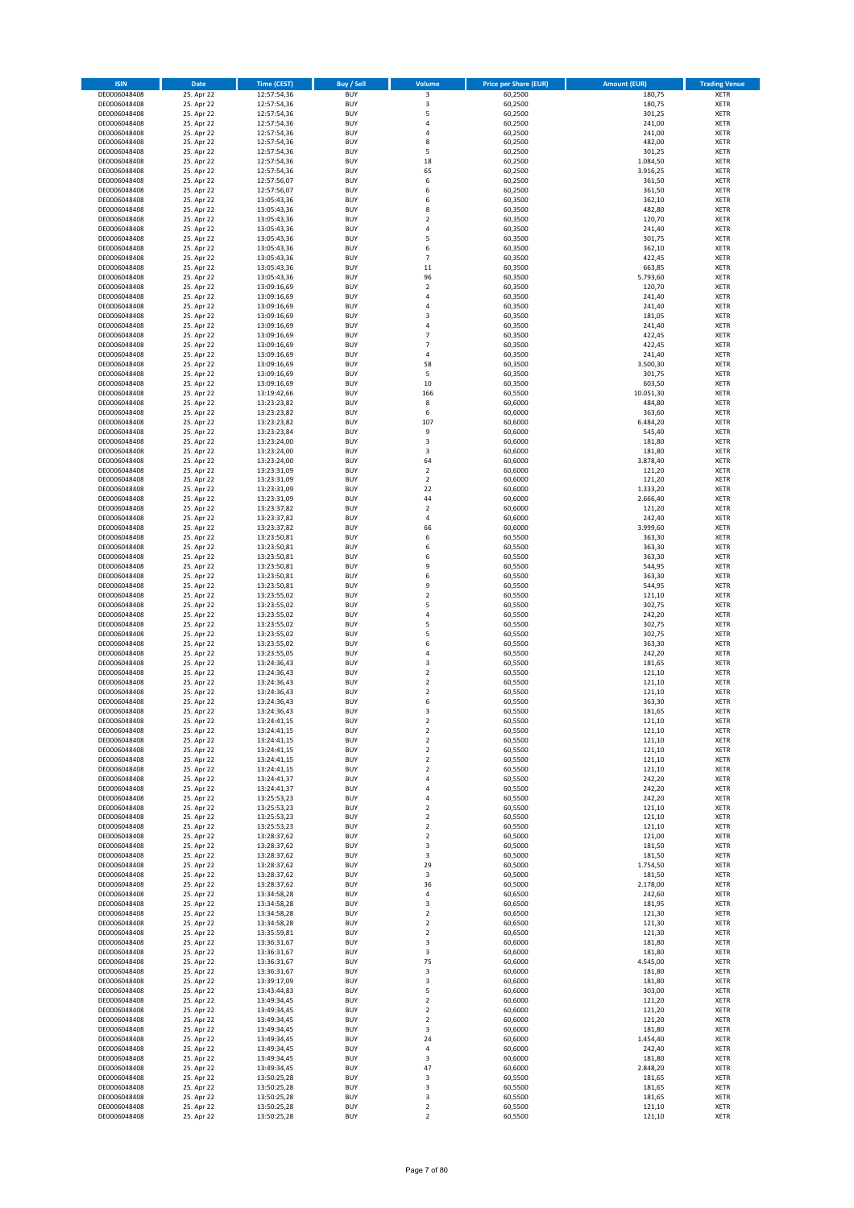| <b>ISIN</b>                  | <b>Date</b>              | <b>Time (CEST)</b>         | Buy / Sell               | Volume                     | <b>Price per Share (EUR)</b> | <b>Amount (EUR)</b> | <b>Trading Venue</b>       |
|------------------------------|--------------------------|----------------------------|--------------------------|----------------------------|------------------------------|---------------------|----------------------------|
| DE0006048408                 | 25. Apr 22               | 12:57:54,36                | <b>BUY</b>               | 3                          | 60,2500                      | 180,75              | XETR                       |
| DE0006048408                 | 25. Apr 22<br>25. Apr 22 | 12:57:54,36                | <b>BUY</b>               | 3<br>5                     | 60,2500                      | 180,75              | XETR                       |
| DE0006048408<br>DE0006048408 | 25. Apr 22               | 12:57:54,36<br>12:57:54,36 | <b>BUY</b><br><b>BUY</b> | 4                          | 60,2500<br>60,2500           | 301,25<br>241,00    | XETR<br>XETR               |
| DE0006048408                 | 25. Apr 22               | 12:57:54,36                | <b>BUY</b>               | 4                          | 60,2500                      | 241,00              | XETR                       |
| DE0006048408                 | 25. Apr 22               | 12:57:54,36                | <b>BUY</b>               | 8                          | 60,2500                      | 482,00              | <b>XETR</b>                |
| DE0006048408                 | 25. Apr 22               | 12:57:54,36                | <b>BUY</b>               | 5                          | 60,2500                      | 301,25              | <b>XETR</b>                |
| DE0006048408                 | 25. Apr 22               | 12:57:54,36                | <b>BUY</b>               | 18                         | 60,2500                      | 1.084,50            | <b>XETR</b>                |
| DE0006048408                 | 25. Apr 22               | 12:57:54,36                | <b>BUY</b><br><b>BUY</b> | 65<br>6                    | 60,2500                      | 3.916,25            | <b>XETR</b><br><b>XETR</b> |
| DE0006048408<br>DE0006048408 | 25. Apr 22<br>25. Apr 22 | 12:57:56,07<br>12:57:56,07 | <b>BUY</b>               | 6                          | 60,2500<br>60,2500           | 361,50<br>361,50    | XETR                       |
| DE0006048408                 | 25. Apr 22               | 13:05:43,36                | <b>BUY</b>               | 6                          | 60,3500                      | 362,10              | <b>XETR</b>                |
| DE0006048408                 | 25. Apr 22               | 13:05:43,36                | <b>BUY</b>               | 8                          | 60,3500                      | 482,80              | XETR                       |
| DE0006048408                 | 25. Apr 22               | 13:05:43,36                | <b>BUY</b>               | $\overline{\mathbf{c}}$    | 60,3500                      | 120,70              | <b>XETR</b>                |
| DE0006048408                 | 25. Apr 22               | 13:05:43,36                | <b>BUY</b>               | 4                          | 60,3500                      | 241,40              | XETR                       |
| DE0006048408                 | 25. Apr 22<br>25. Apr 22 | 13:05:43,36                | <b>BUY</b>               | 5                          | 60,3500                      | 301,75              | <b>XETR</b>                |
| DE0006048408<br>DE0006048408 | 25. Apr 22               | 13:05:43,36<br>13:05:43,36 | <b>BUY</b><br><b>BUY</b> | 6<br>$\overline{7}$        | 60,3500<br>60,3500           | 362,10<br>422,45    | XETR<br><b>XETR</b>        |
| DE0006048408                 | 25. Apr 22               | 13:05:43,36                | <b>BUY</b>               | 11                         | 60,3500                      | 663,85              | XETR                       |
| DE0006048408                 | 25. Apr 22               | 13:05:43,36                | <b>BUY</b>               | 96                         | 60,3500                      | 5.793,60            | <b>XETR</b>                |
| DE0006048408                 | 25. Apr 22               | 13:09:16,69                | <b>BUY</b>               | $\mathbf 2$                | 60,3500                      | 120,70              | XETR                       |
| DE0006048408                 | 25. Apr 22               | 13:09:16,69                | <b>BUY</b>               | 4                          | 60,3500                      | 241,40              | XETR                       |
| DE0006048408                 | 25. Apr 22<br>25. Apr 22 | 13:09:16,69                | <b>BUY</b><br><b>BUY</b> | $\overline{4}$<br>3        | 60,3500<br>60,3500           | 241,40<br>181,05    | <b>XETR</b><br><b>XETR</b> |
| DE0006048408<br>DE0006048408 | 25. Apr 22               | 13:09:16,69<br>13:09:16,69 | <b>BUY</b>               | $\overline{4}$             | 60,3500                      | 241,40              | <b>XETR</b>                |
| DE0006048408                 | 25. Apr 22               | 13:09:16,69                | <b>BUY</b>               | $\overline{7}$             | 60,3500                      | 422,45              | <b>XETR</b>                |
| DE0006048408                 | 25. Apr 22               | 13:09:16,69                | <b>BUY</b>               | $\overline{7}$             | 60,3500                      | 422,45              | <b>XETR</b>                |
| DE0006048408                 | 25. Apr 22               | 13:09:16,69                | <b>BUY</b>               | 4                          | 60,3500                      | 241,40              | <b>XETR</b>                |
| DE0006048408                 | 25. Apr 22               | 13:09:16,69                | <b>BUY</b>               | 58                         | 60,3500                      | 3.500,30            | <b>XETR</b>                |
| DE0006048408                 | 25. Apr 22               | 13:09:16,69<br>13:09:16,69 | <b>BUY</b><br><b>BUY</b> | 5                          | 60,3500                      | 301,75              | <b>XETR</b><br><b>XETR</b> |
| DE0006048408<br>DE0006048408 | 25. Apr 22<br>25. Apr 22 | 13:19:42,66                | <b>BUY</b>               | 10<br>166                  | 60,3500<br>60,5500           | 603,50<br>10.051,30 | <b>XETR</b>                |
| DE0006048408                 | 25. Apr 22               | 13:23:23,82                | <b>BUY</b>               | 8                          | 60,6000                      | 484,80              | <b>XETR</b>                |
| DE0006048408                 | 25. Apr 22               | 13:23:23,82                | <b>BUY</b>               | 6                          | 60,6000                      | 363,60              | XETR                       |
| DE0006048408                 | 25. Apr 22               | 13:23:23,82                | <b>BUY</b>               | 107                        | 60,6000                      | 6.484,20            | <b>XETR</b>                |
| DE0006048408                 | 25. Apr 22               | 13:23:23,84                | <b>BUY</b>               | 9                          | 60,6000                      | 545,40              | XETR                       |
| DE0006048408                 | 25. Apr 22<br>25. Apr 22 | 13:23:24,00<br>13:23:24,00 | <b>BUY</b><br><b>BUY</b> | 3<br>3                     | 60,6000<br>60,6000           | 181,80<br>181,80    | <b>XETR</b><br>XETR        |
| DE0006048408<br>DE0006048408 | 25. Apr 22               | 13:23:24,00                | <b>BUY</b>               | 64                         | 60,6000                      | 3.878,40            | <b>XETR</b>                |
| DE0006048408                 | 25. Apr 22               | 13:23:31,09                | <b>BUY</b>               | $\overline{\mathbf{c}}$    | 60,6000                      | 121,20              | <b>XETR</b>                |
| DE0006048408                 | 25. Apr 22               | 13:23:31,09                | <b>BUY</b>               | $\overline{\mathbf{c}}$    | 60,6000                      | 121,20              | <b>XETR</b>                |
| DE0006048408                 | 25. Apr 22               | 13:23:31,09                | <b>BUY</b>               | 22                         | 60,6000                      | 1.333,20            | <b>XETR</b>                |
| DE0006048408                 | 25. Apr 22               | 13:23:31,09                | <b>BUY</b>               | 44                         | 60,6000                      | 2.666,40            | <b>XETR</b>                |
| DE0006048408                 | 25. Apr 22               | 13:23:37,82                | <b>BUY</b><br><b>BUY</b> | $\mathbf 2$<br>4           | 60,6000                      | 121,20              | <b>XETR</b><br><b>XETR</b> |
| DE0006048408<br>DE0006048408 | 25. Apr 22<br>25. Apr 22 | 13:23:37,82<br>13:23:37,82 | <b>BUY</b>               | 66                         | 60,6000<br>60,6000           | 242,40<br>3.999,60  | XETR                       |
| DE0006048408                 | 25. Apr 22               | 13:23:50,81                | <b>BUY</b>               | 6                          | 60,5500                      | 363,30              | XETR                       |
| DE0006048408                 | 25. Apr 22               | 13:23:50,81                | <b>BUY</b>               | 6                          | 60,5500                      | 363,30              | <b>XETR</b>                |
| DE0006048408                 | 25. Apr 22               | 13:23:50,81                | <b>BUY</b>               | 6                          | 60,5500                      | 363,30              | <b>XETR</b>                |
| DE0006048408                 | 25. Apr 22               | 13:23:50,81                | <b>BUY</b>               | 9                          | 60,5500                      | 544,95              | XETR                       |
| DE0006048408<br>DE0006048408 | 25. Apr 22<br>25. Apr 22 | 13:23:50,81<br>13:23:50,81 | <b>BUY</b><br><b>BUY</b> | 6<br>9                     | 60,5500<br>60,5500           | 363,30<br>544,95    | <b>XETR</b><br><b>XETR</b> |
| DE0006048408                 | 25. Apr 22               | 13:23:55,02                | <b>BUY</b>               | $\mathbf 2$                | 60,5500                      | 121,10              | <b>XETR</b>                |
| DE0006048408                 | 25. Apr 22               | 13:23:55,02                | <b>BUY</b>               | 5                          | 60,5500                      | 302,75              | XETR                       |
| DE0006048408                 | 25. Apr 22               | 13:23:55,02                | <b>BUY</b>               | 4                          | 60,5500                      | 242,20              | XETR                       |
| DE0006048408                 | 25. Apr 22               | 13:23:55,02                | <b>BUY</b>               | 5                          | 60,5500                      | 302,75              | <b>XETR</b>                |
| DE0006048408                 | 25. Apr 22               | 13:23:55,02                | <b>BUY</b>               | 5                          | 60,5500                      | 302,75              | <b>XETR</b>                |
| DE0006048408<br>DE0006048408 | 25. Apr 22<br>25. Apr 22 | 13:23:55,02<br>13:23:55,05 | <b>BUY</b><br><b>BUY</b> | 6<br>4                     | 60,5500<br>60,5500           | 363,30<br>242,20    | <b>XETR</b><br>XETR        |
| DE0006048408                 | 25. Apr 22               | 13:24:36,43                | <b>BUY</b>               | 3                          | 60,5500                      | 181,65              | <b>XETR</b>                |
| DE0006048408                 | 25. Apr 22               | 13:24:36,43                | <b>BUY</b>               | $\mathbf 2$                | 60,5500                      | 121,10              | XETR                       |
| DE0006048408                 | 25. Apr 22               | 13:24:36,43                | <b>BUY</b>               | $\overline{\mathbf{c}}$    | 60,5500                      | 121,10              | <b>XETR</b>                |
| DE0006048408                 | 25. Apr 22               | 13:24:36,43                | <b>BUY</b>               | 2                          | 60,5500                      | 121,10              | XETR                       |
| DE0006048408                 | 25. Apr 22               | 13:24:36,43                | <b>BUY</b><br><b>BUY</b> | 6<br>3                     | 60,5500                      | 363,30              | <b>XETR</b>                |
| DE0006048408<br>DE0006048408 | 25. Apr 22<br>25. Apr 22 | 13:24:36,43<br>13:24:41,15 | <b>BUY</b>               | 2                          | 60,5500<br>60,5500           | 181,65<br>121,10    | XETR<br>XETR               |
| DE0006048408                 | 25. Apr 22               | 13:24:41,15                | <b>BUY</b>               | $\boldsymbol{2}$           | 60,5500                      | 121,10              | XETR                       |
| DE0006048408                 | 25. Apr 22               | 13:24:41,15                | <b>BUY</b>               | $\mathbf 2$                | 60,5500                      | 121,10              | XETR                       |
| DE0006048408                 | 25. Apr 22               | 13:24:41,15                | <b>BUY</b>               | 2                          | 60,5500                      | 121,10              | <b>XETR</b>                |
| DE0006048408                 | 25. Apr 22               | 13:24:41,15                | <b>BUY</b>               | $\mathbf 2$                | 60,5500                      | 121,10              | <b>XETR</b>                |
| DE0006048408                 | 25. Apr 22               | 13:24:41,15                | <b>BUY</b>               | 2                          | 60,5500                      | 121,10              | XETR                       |
| DE0006048408<br>DE0006048408 | 25. Apr 22<br>25. Apr 22 | 13:24:41,37<br>13:24:41,37 | <b>BUY</b><br><b>BUY</b> | 4<br>4                     | 60,5500<br>60,5500           | 242,20<br>242,20    | <b>XETR</b><br>XETR        |
| DE0006048408                 | 25. Apr 22               | 13:25:53,23                | <b>BUY</b>               | 4                          | 60,5500                      | 242,20              | <b>XETR</b>                |
| DE0006048408                 | 25. Apr 22               | 13:25:53,23                | <b>BUY</b>               | $\mathbf 2$                | 60,5500                      | 121,10              | XETR                       |
| DE0006048408                 | 25. Apr 22               | 13:25:53,23                | <b>BUY</b>               | 2                          | 60,5500                      | 121,10              | <b>XETR</b>                |
| DE0006048408                 | 25. Apr 22               | 13:25:53,23                | <b>BUY</b>               | $\mathbf 2$                | 60,5500                      | 121,10              | XETR                       |
| DE0006048408<br>DE0006048408 | 25. Apr 22<br>25. Apr 22 | 13:28:37,62<br>13:28:37,62 | <b>BUY</b><br><b>BUY</b> | $\mathbf 2$<br>3           | 60,5000<br>60,5000           | 121,00<br>181,50    | <b>XETR</b><br>XETR        |
| DE0006048408                 | 25. Apr 22               | 13:28:37,62                | <b>BUY</b>               | 3                          | 60,5000                      | 181,50              | <b>XETR</b>                |
| DE0006048408                 | 25. Apr 22               | 13:28:37,62                | <b>BUY</b>               | 29                         | 60,5000                      | 1.754,50            | XETR                       |
| DE0006048408                 | 25. Apr 22               | 13:28:37,62                | <b>BUY</b>               | 3                          | 60,5000                      | 181,50              | <b>XETR</b>                |
| DE0006048408                 | 25. Apr 22               | 13:28:37,62                | <b>BUY</b>               | 36                         | 60,5000                      | 2.178,00            | <b>XETR</b>                |
| DE0006048408                 | 25. Apr 22               | 13:34:58,28                | <b>BUY</b>               | 4                          | 60,6500                      | 242,60              | <b>XETR</b>                |
| DE0006048408<br>DE0006048408 | 25. Apr 22<br>25. Apr 22 | 13:34:58,28<br>13:34:58,28 | <b>BUY</b><br><b>BUY</b> | 3<br>2                     | 60,6500<br>60,6500           | 181,95<br>121,30    | XETR<br><b>XETR</b>        |
| DE0006048408                 | 25. Apr 22               | 13:34:58,28                | <b>BUY</b>               | 2                          | 60,6500                      | 121,30              | <b>XETR</b>                |
| DE0006048408                 | 25. Apr 22               | 13:35:59,81                | <b>BUY</b>               | 2                          | 60,6500                      | 121,30              | XETR                       |
| DE0006048408                 | 25. Apr 22               | 13:36:31,67                | <b>BUY</b>               | 3                          | 60,6000                      | 181,80              | <b>XETR</b>                |
| DE0006048408                 | 25. Apr 22               | 13:36:31,67                | <b>BUY</b>               | 3                          | 60,6000                      | 181,80              | XETR                       |
| DE0006048408                 | 25. Apr 22               | 13:36:31,67                | <b>BUY</b>               | 75                         | 60,6000                      | 4.545,00            | <b>XETR</b>                |
| DE0006048408<br>DE0006048408 | 25. Apr 22<br>25. Apr 22 | 13:36:31,67<br>13:39:17,09 | <b>BUY</b><br><b>BUY</b> | 3<br>3                     | 60,6000<br>60,6000           | 181,80<br>181,80    | <b>XETR</b><br><b>XETR</b> |
| DE0006048408                 | 25. Apr 22               | 13:43:44,83                | <b>BUY</b>               | 5                          | 60,6000                      | 303,00              | XETR                       |
| DE0006048408                 | 25. Apr 22               | 13:49:34,45                | <b>BUY</b>               | $\mathbf 2$                | 60,6000                      | 121,20              | <b>XETR</b>                |
| DE0006048408                 | 25. Apr 22               | 13:49:34,45                | <b>BUY</b>               | 2                          | 60,6000                      | 121,20              | XETR                       |
| DE0006048408                 | 25. Apr 22               | 13:49:34,45                | <b>BUY</b>               | $\mathbf 2$                | 60,6000                      | 121,20              | <b>XETR</b>                |
| DE0006048408                 | 25. Apr 22               | 13:49:34,45                | <b>BUY</b>               | 3                          | 60,6000                      | 181,80              | XETR                       |
| DE0006048408<br>DE0006048408 | 25. Apr 22<br>25. Apr 22 | 13:49:34,45<br>13:49:34,45 | <b>BUY</b><br><b>BUY</b> | 24<br>4                    | 60,6000<br>60,6000           | 1.454,40<br>242,40  | <b>XETR</b><br><b>XETR</b> |
| DE0006048408                 | 25. Apr 22               | 13:49:34,45                | <b>BUY</b>               | 3                          | 60,6000                      | 181,80              | <b>XETR</b>                |
| DE0006048408                 | 25. Apr 22               | 13:49:34,45                | <b>BUY</b>               | 47                         | 60,6000                      | 2.848,20            | XETR                       |
| DE0006048408                 | 25. Apr 22               | 13:50:25,28                | <b>BUY</b>               | 3                          | 60,5500                      | 181,65              | <b>XETR</b>                |
| DE0006048408                 | 25. Apr 22               | 13:50:25,28                | <b>BUY</b>               | 3                          | 60,5500                      | 181,65              | XETR                       |
| DE0006048408                 | 25. Apr 22               | 13:50:25,28                | <b>BUY</b>               | 3                          | 60,5500                      | 181,65              | XETR                       |
| DE0006048408<br>DE0006048408 | 25. Apr 22<br>25. Apr 22 | 13:50:25,28<br>13:50:25,28 | <b>BUY</b><br><b>BUY</b> | $\mathbf 2$<br>$\mathbf 2$ | 60,5500<br>60,5500           | 121,10<br>121,10    | XETR<br><b>XETR</b>        |
|                              |                          |                            |                          |                            |                              |                     |                            |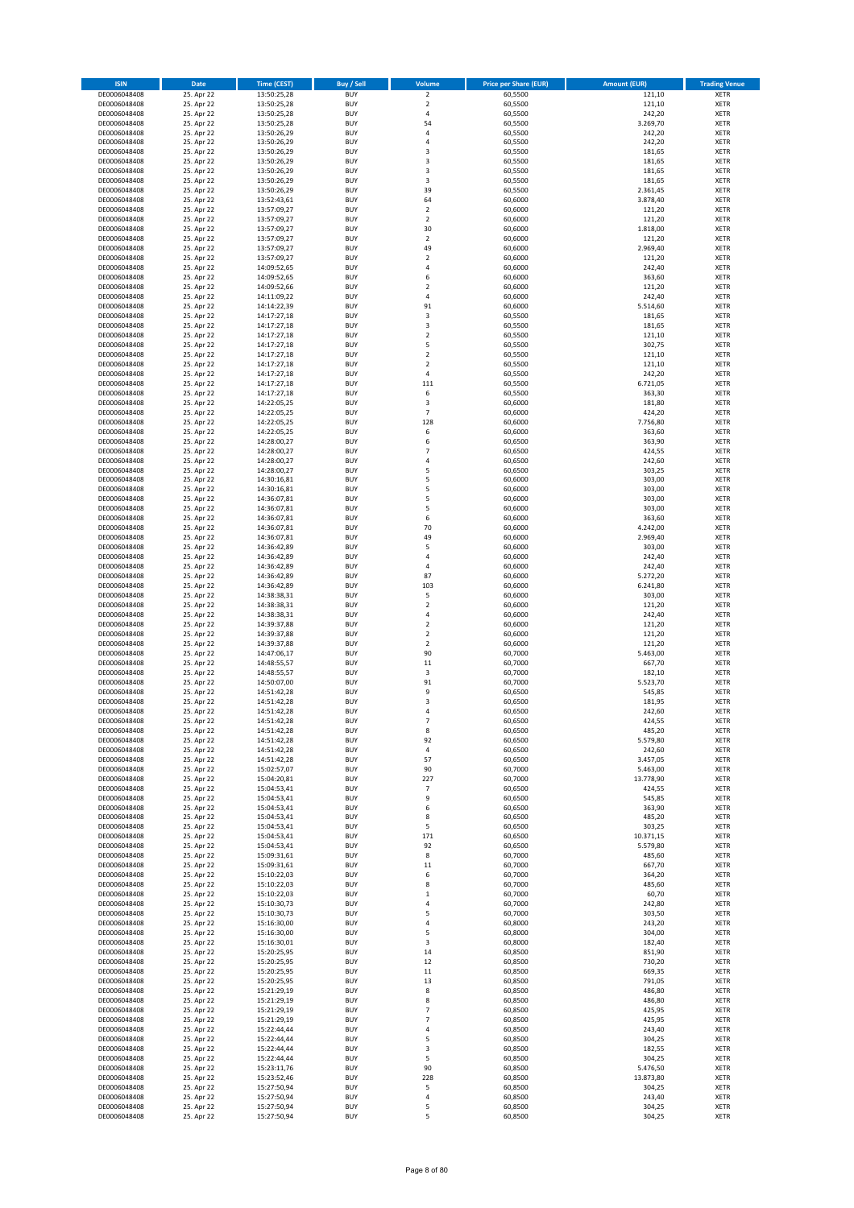| <b>ISIN</b>                  | Date                     | <b>Time (CEST)</b>         | <b>Buy / Sell</b>        | Volume                           | <b>Price per Share (EUR)</b> | <b>Amount (EUR)</b>   | <b>Trading Venue</b>       |
|------------------------------|--------------------------|----------------------------|--------------------------|----------------------------------|------------------------------|-----------------------|----------------------------|
| DE0006048408                 | 25. Apr 22               | 13:50:25,28                | <b>BUY</b>               | $\overline{2}$                   | 60,5500                      | 121,10                | <b>XETR</b>                |
| DE0006048408                 | 25. Apr 22               | 13:50:25,28                | <b>BUY</b>               | $\mathbf 2$                      | 60,5500                      | 121,10                | <b>XETR</b>                |
| DE0006048408<br>DE0006048408 | 25. Apr 22<br>25. Apr 22 | 13:50:25,28<br>13:50:25,28 | <b>BUY</b><br><b>BUY</b> | $\sqrt{4}$<br>54                 | 60,5500<br>60,5500           | 242,20<br>3.269,70    | <b>XETR</b><br><b>XETR</b> |
| DE0006048408                 | 25. Apr 22               | 13:50:26,29                | <b>BUY</b>               | 4                                | 60,5500                      | 242,20                | <b>XETR</b>                |
| DE0006048408                 | 25. Apr 22               | 13:50:26,29                | <b>BUY</b>               | $\overline{4}$                   | 60,5500                      | 242,20                | <b>XETR</b>                |
| DE0006048408                 | 25. Apr 22               | 13:50:26,29                | <b>BUY</b>               | 3                                | 60,5500                      | 181,65                | <b>XETR</b>                |
| DE0006048408                 | 25. Apr 22               | 13:50:26,29                | <b>BUY</b>               | 3                                | 60,5500                      | 181,65                | <b>XETR</b>                |
| DE0006048408<br>DE0006048408 | 25. Apr 22<br>25. Apr 22 | 13:50:26,29                | <b>BUY</b><br><b>BUY</b> | 3<br>3                           | 60,5500<br>60,5500           | 181,65<br>181,65      | XETR<br><b>XETR</b>        |
| DE0006048408                 | 25. Apr 22               | 13:50:26,29<br>13:50:26,29 | <b>BUY</b>               | 39                               | 60,5500                      | 2.361,45              | XETR                       |
| DE0006048408                 | 25. Apr 22               | 13:52:43,61                | <b>BUY</b>               | 64                               | 60,6000                      | 3.878,40              | <b>XETR</b>                |
| DE0006048408                 | 25. Apr 22               | 13:57:09,27                | <b>BUY</b>               | $\mathbf 2$                      | 60,6000                      | 121,20                | XETR                       |
| DE0006048408                 | 25. Apr 22               | 13:57:09,27                | <b>BUY</b>               | $\overline{2}$                   | 60,6000                      | 121,20                | <b>XETR</b>                |
| DE0006048408                 | 25. Apr 22               | 13:57:09,27                | <b>BUY</b>               | 30                               | 60,6000                      | 1.818,00              | XETR                       |
| DE0006048408<br>DE0006048408 | 25. Apr 22<br>25. Apr 22 | 13:57:09,27<br>13:57:09,27 | <b>BUY</b><br><b>BUY</b> | $\overline{2}$<br>49             | 60,6000<br>60,6000           | 121,20<br>2.969,40    | <b>XETR</b><br>XETR        |
| DE0006048408                 | 25. Apr 22               | 13:57:09,27                | <b>BUY</b>               | $\overline{2}$                   | 60,6000                      | 121,20                | <b>XETR</b>                |
| DE0006048408                 | 25. Apr 22               | 14:09:52,65                | <b>BUY</b>               | $\overline{4}$                   | 60,6000                      | 242,40                | XETR                       |
| DE0006048408                 | 25. Apr 22               | 14:09:52,65                | <b>BUY</b>               | 6                                | 60,6000                      | 363,60                | <b>XETR</b>                |
| DE0006048408<br>DE0006048408 | 25. Apr 22<br>25. Apr 22 | 14:09:52,66<br>14:11:09,22 | <b>BUY</b><br><b>BUY</b> | $\overline{2}$<br>4              | 60,6000<br>60,6000           | 121,20<br>242,40      | <b>XETR</b><br><b>XETR</b> |
| DE0006048408                 | 25. Apr 22               | 14:14:22,39                | <b>BUY</b>               | 91                               | 60,6000                      | 5.514,60              | <b>XETR</b>                |
| DE0006048408                 | 25. Apr 22               | 14:17:27,18                | <b>BUY</b>               | 3                                | 60,5500                      | 181,65                | <b>XETR</b>                |
| DE0006048408                 | 25. Apr 22               | 14:17:27,18                | <b>BUY</b>               | 3                                | 60,5500                      | 181,65                | <b>XETR</b>                |
| DE0006048408                 | 25. Apr 22               | 14:17:27,18                | <b>BUY</b>               | $\overline{2}$                   | 60,5500                      | 121,10                | <b>XETR</b>                |
| DE0006048408                 | 25. Apr 22               | 14:17:27,18                | <b>BUY</b>               | 5                                | 60,5500                      | 302,75                | <b>XETR</b>                |
| DE0006048408<br>DE0006048408 | 25. Apr 22<br>25. Apr 22 | 14:17:27,18<br>14:17:27,18 | <b>BUY</b><br><b>BUY</b> | $\overline{2}$<br>$\overline{2}$ | 60,5500<br>60,5500           | 121,10<br>121,10      | <b>XETR</b><br><b>XETR</b> |
| DE0006048408                 | 25. Apr 22               | 14:17:27,18                | <b>BUY</b>               | 4                                | 60,5500                      | 242,20                | <b>XETR</b>                |
| DE0006048408                 | 25. Apr 22               | 14:17:27,18                | <b>BUY</b>               | 111                              | 60,5500                      | 6.721,05              | <b>XETR</b>                |
| DE0006048408                 | 25. Apr 22               | 14:17:27,18                | <b>BUY</b>               | 6                                | 60,5500                      | 363,30                | <b>XETR</b>                |
| DE0006048408                 | 25. Apr 22               | 14:22:05,25                | <b>BUY</b><br><b>BUY</b> | 3<br>$\overline{\phantom{a}}$    | 60,6000                      | 181,80<br>424,20      | <b>XETR</b><br>XETR        |
| DE0006048408<br>DE0006048408 | 25. Apr 22<br>25. Apr 22 | 14:22:05,25<br>14:22:05,25 | <b>BUY</b>               | 128                              | 60,6000<br>60,6000           | 7.756,80              | <b>XETR</b>                |
| DE0006048408                 | 25. Apr 22               | 14:22:05,25                | <b>BUY</b>               | 6                                | 60,6000                      | 363,60                | XETR                       |
| DE0006048408                 | 25. Apr 22               | 14:28:00,27                | <b>BUY</b>               | 6                                | 60,6500                      | 363,90                | <b>XETR</b>                |
| DE0006048408                 | 25. Apr 22               | 14:28:00,27                | <b>BUY</b>               | $\overline{7}$                   | 60,6500                      | 424,55                | XETR                       |
| DE0006048408                 | 25. Apr 22               | 14:28:00,27                | <b>BUY</b>               | $\sqrt{4}$                       | 60,6500                      | 242,60                | <b>XETR</b>                |
| DE0006048408<br>DE0006048408 | 25. Apr 22<br>25. Apr 22 | 14:28:00,27<br>14:30:16,81 | <b>BUY</b><br><b>BUY</b> | 5<br>5                           | 60,6500<br>60,6000           | 303,25<br>303,00      | <b>XETR</b><br><b>XETR</b> |
| DE0006048408                 | 25. Apr 22               | 14:30:16,81                | <b>BUY</b>               | 5                                | 60,6000                      | 303,00                | XETR                       |
| DE0006048408                 | 25. Apr 22               | 14:36:07,81                | <b>BUY</b>               | 5                                | 60,6000                      | 303,00                | <b>XETR</b>                |
| DE0006048408                 | 25. Apr 22               | 14:36:07,81                | <b>BUY</b>               | 5                                | 60,6000                      | 303,00                | XETR                       |
| DE0006048408                 | 25. Apr 22               | 14:36:07,81                | <b>BUY</b>               | 6                                | 60,6000                      | 363,60                | <b>XETR</b>                |
| DE0006048408                 | 25. Apr 22               | 14:36:07,81                | <b>BUY</b><br><b>BUY</b> | 70<br>49                         | 60,6000                      | 4.242,00              | XETR                       |
| DE0006048408<br>DE0006048408 | 25. Apr 22<br>25. Apr 22 | 14:36:07,81<br>14:36:42,89 | <b>BUY</b>               | 5                                | 60,6000<br>60,6000           | 2.969,40<br>303,00    | <b>XETR</b><br><b>XETR</b> |
| DE0006048408                 | 25. Apr 22               | 14:36:42,89                | <b>BUY</b>               | 4                                | 60,6000                      | 242,40                | <b>XETR</b>                |
| DE0006048408                 | 25. Apr 22               | 14:36:42,89                | <b>BUY</b>               | $\sqrt{4}$                       | 60,6000                      | 242,40                | <b>XETR</b>                |
| DE0006048408                 | 25. Apr 22               | 14:36:42,89                | <b>BUY</b>               | 87                               | 60,6000                      | 5.272,20              | <b>XETR</b>                |
| DE0006048408<br>DE0006048408 | 25. Apr 22<br>25. Apr 22 | 14:36:42,89<br>14:38:38,31 | <b>BUY</b><br><b>BUY</b> | 103<br>5                         | 60,6000<br>60,6000           | 6.241,80<br>303,00    | <b>XETR</b><br><b>XETR</b> |
| DE0006048408                 | 25. Apr 22               | 14:38:38,31                | <b>BUY</b>               | $\overline{2}$                   | 60,6000                      | 121,20                | <b>XETR</b>                |
| DE0006048408                 | 25. Apr 22               | 14:38:38,31                | <b>BUY</b>               | 4                                | 60,6000                      | 242,40                | <b>XETR</b>                |
| DE0006048408                 | 25. Apr 22               | 14:39:37,88                | <b>BUY</b>               | $\overline{2}$                   | 60,6000                      | 121,20                | <b>XETR</b>                |
| DE0006048408                 | 25. Apr 22               | 14:39:37,88                | <b>BUY</b>               | $\overline{2}$                   | 60,6000                      | 121,20                | <b>XETR</b>                |
| DE0006048408                 | 25. Apr 22<br>25. Apr 22 | 14:39:37,88                | <b>BUY</b><br><b>BUY</b> | $\overline{2}$<br>90             | 60,6000<br>60,7000           | 121,20<br>5.463,00    | <b>XETR</b><br><b>XETR</b> |
| DE0006048408<br>DE0006048408 | 25. Apr 22               | 14:47:06,17<br>14:48:55,57 | <b>BUY</b>               | 11                               | 60,7000                      | 667,70                | <b>XETR</b>                |
| DE0006048408                 | 25. Apr 22               | 14:48:55,57                | <b>BUY</b>               | $\mathsf 3$                      | 60,7000                      | 182,10                | XETR                       |
| DE0006048408                 | 25. Apr 22               | 14:50:07,00                | <b>BUY</b>               | 91                               | 60,7000                      | 5.523,70              | <b>XETR</b>                |
| DE0006048408                 | 25. Apr 22               | 14:51:42,28                | <b>BUY</b>               | 9                                | 60,6500                      | 545,85                | XETR                       |
| DE0006048408<br>DE0006048408 | 25. Apr 22               | 14:51:42,28                | <b>BUY</b><br><b>BUY</b> | 3<br>$\overline{a}$              | 60,6500<br>60,6500           | 181,95<br>242,60      | <b>XETR</b><br><b>XETR</b> |
| DE0006048408                 | 25. Apr 22<br>25. Apr 22 | 14:51:42,28<br>14:51:42,28 | <b>BUY</b>               | $\overline{7}$                   | 60,6500                      | 424,55                | XETR                       |
| DE0006048408                 | 25. Apr 22               | 14:51:42,28                | <b>BUY</b>               | 8                                | 60,6500                      | 485,20                | XETR                       |
| DE0006048408                 | 25. Apr 22               | 14:51:42,28                | <b>BUY</b>               | 92                               | 60,6500                      | 5.579,80              | XETR                       |
| DE0006048408                 | 25. Apr 22               | 14:51:42,28                | <b>BUY</b>               | 4                                | 60,6500                      | 242,60                | <b>XETR</b>                |
| DE0006048408                 | 25. Apr 22<br>25. Apr 22 | 14:51:42,28                | <b>BUY</b>               | 57                               | 60,6500                      | 3.457,05              | <b>XETR</b>                |
| DE0006048408<br>DE0006048408 | 25. Apr 22               | 15:02:57,07<br>15:04:20,81 | <b>BUY</b><br><b>BUY</b> | 90<br>227                        | 60,7000<br>60,7000           | 5.463,00<br>13.778,90 | XETR<br><b>XETR</b>        |
| DE0006048408                 | 25. Apr 22               | 15:04:53,41                | <b>BUY</b>               | $\overline{7}$                   | 60,6500                      | 424,55                | XETR                       |
| DE0006048408                 | 25. Apr 22               | 15:04:53,41                | <b>BUY</b>               | 9                                | 60,6500                      | 545,85                | <b>XETR</b>                |
| DE0006048408                 | 25. Apr 22               | 15:04:53,41                | <b>BUY</b>               | 6                                | 60,6500                      | 363,90                | XETR                       |
| DE0006048408<br>DE0006048408 | 25. Apr 22<br>25. Apr 22 | 15:04:53,41<br>15:04:53,41 | <b>BUY</b><br><b>BUY</b> | 8<br>5                           | 60,6500<br>60,6500           | 485,20<br>303,25      | <b>XETR</b><br>XETR        |
| DE0006048408                 | 25. Apr 22               | 15:04:53,41                | <b>BUY</b>               | 171                              | 60,6500                      | 10.371,15             | <b>XETR</b>                |
| DE0006048408                 | 25. Apr 22               | 15:04:53,41                | <b>BUY</b>               | 92                               | 60,6500                      | 5.579,80              | XETR                       |
| DE0006048408                 | 25. Apr 22               | 15:09:31,61                | <b>BUY</b>               | 8                                | 60,7000                      | 485,60                | <b>XETR</b>                |
| DE0006048408                 | 25. Apr 22               | 15:09:31,61                | <b>BUY</b>               | $11\,$                           | 60,7000                      | 667,70                | <b>XETR</b>                |
| DE0006048408<br>DE0006048408 | 25. Apr 22<br>25. Apr 22 | 15:10:22,03<br>15:10:22,03 | <b>BUY</b><br><b>BUY</b> | 6<br>8                           | 60,7000<br>60,7000           | 364,20<br>485,60      | <b>XETR</b><br><b>XETR</b> |
| DE0006048408                 | 25. Apr 22               | 15:10:22,03                | <b>BUY</b>               | $\,$ 1                           | 60,7000                      | 60,70                 | <b>XETR</b>                |
| DE0006048408                 | 25. Apr 22               | 15:10:30,73                | <b>BUY</b>               | $\sqrt{4}$                       | 60,7000                      | 242,80                | <b>XETR</b>                |
| DE0006048408                 | 25. Apr 22               | 15:10:30,73                | <b>BUY</b>               | 5                                | 60,7000                      | 303,50                | <b>XETR</b>                |
| DE0006048408                 | 25. Apr 22               | 15:16:30,00                | <b>BUY</b>               | 4                                | 60,8000                      | 243,20                | <b>XETR</b>                |
| DE0006048408<br>DE0006048408 | 25. Apr 22<br>25. Apr 22 | 15:16:30,00<br>15:16:30,01 | <b>BUY</b><br><b>BUY</b> | 5<br>3                           | 60,8000<br>60,8000           | 304,00<br>182,40      | XETR<br>XETR               |
| DE0006048408                 | 25. Apr 22               | 15:20:25,95                | <b>BUY</b>               | 14                               | 60,8500                      | 851,90                | <b>XETR</b>                |
| DE0006048408                 | 25. Apr 22               | 15:20:25,95                | <b>BUY</b>               | 12                               | 60,8500                      | 730,20                | <b>XETR</b>                |
| DE0006048408                 | 25. Apr 22               | 15:20:25,95                | <b>BUY</b>               | 11                               | 60,8500                      | 669,35                | XETR                       |
| DE0006048408                 | 25. Apr 22               | 15:20:25,95                | <b>BUY</b>               | 13                               | 60,8500                      | 791,05                | XETR                       |
| DE0006048408                 | 25. Apr 22               | 15:21:29,19                | <b>BUY</b>               | 8                                | 60,8500                      | 486,80                | <b>XETR</b>                |
| DE0006048408<br>DE0006048408 | 25. Apr 22<br>25. Apr 22 | 15:21:29,19<br>15:21:29,19 | <b>BUY</b><br><b>BUY</b> | 8<br>$\overline{\phantom{a}}$    | 60,8500<br>60,8500           | 486,80<br>425,95      | <b>XETR</b><br>XETR        |
| DE0006048408                 | 25. Apr 22               | 15:21:29,19                | <b>BUY</b>               | $\overline{7}$                   | 60,8500                      | 425,95                | XETR                       |
| DE0006048408                 | 25. Apr 22               | 15:22:44,44                | <b>BUY</b>               | 4                                | 60,8500                      | 243,40                | <b>XETR</b>                |
| DE0006048408                 | 25. Apr 22               | 15:22:44,44                | <b>BUY</b>               | 5                                | 60,8500                      | 304,25                | <b>XETR</b>                |
| DE0006048408<br>DE0006048408 | 25. Apr 22<br>25. Apr 22 | 15:22:44,44<br>15:22:44,44 | <b>BUY</b><br><b>BUY</b> | 3<br>5                           | 60,8500<br>60,8500           | 182,55<br>304,25      | <b>XETR</b><br><b>XETR</b> |
| DE0006048408                 | 25. Apr 22               | 15:23:11,76                | <b>BUY</b>               | 90                               | 60,8500                      | 5.476,50              | <b>XETR</b>                |
| DE0006048408                 | 25. Apr 22               | 15:23:52,46                | <b>BUY</b>               | 228                              | 60,8500                      | 13.873,80             | <b>XETR</b>                |
| DE0006048408                 | 25. Apr 22               | 15:27:50,94                | <b>BUY</b>               | 5                                | 60,8500                      | 304,25                | <b>XETR</b>                |
| DE0006048408                 | 25. Apr 22               | 15:27:50,94                | <b>BUY</b>               | 4                                | 60,8500                      | 243,40                | <b>XETR</b>                |
| DE0006048408<br>DE0006048408 | 25. Apr 22<br>25. Apr 22 | 15:27:50,94<br>15:27:50,94 | <b>BUY</b><br><b>BUY</b> | 5<br>5                           | 60,8500<br>60,8500           | 304,25<br>304,25      | <b>XETR</b><br><b>XETR</b> |
|                              |                          |                            |                          |                                  |                              |                       |                            |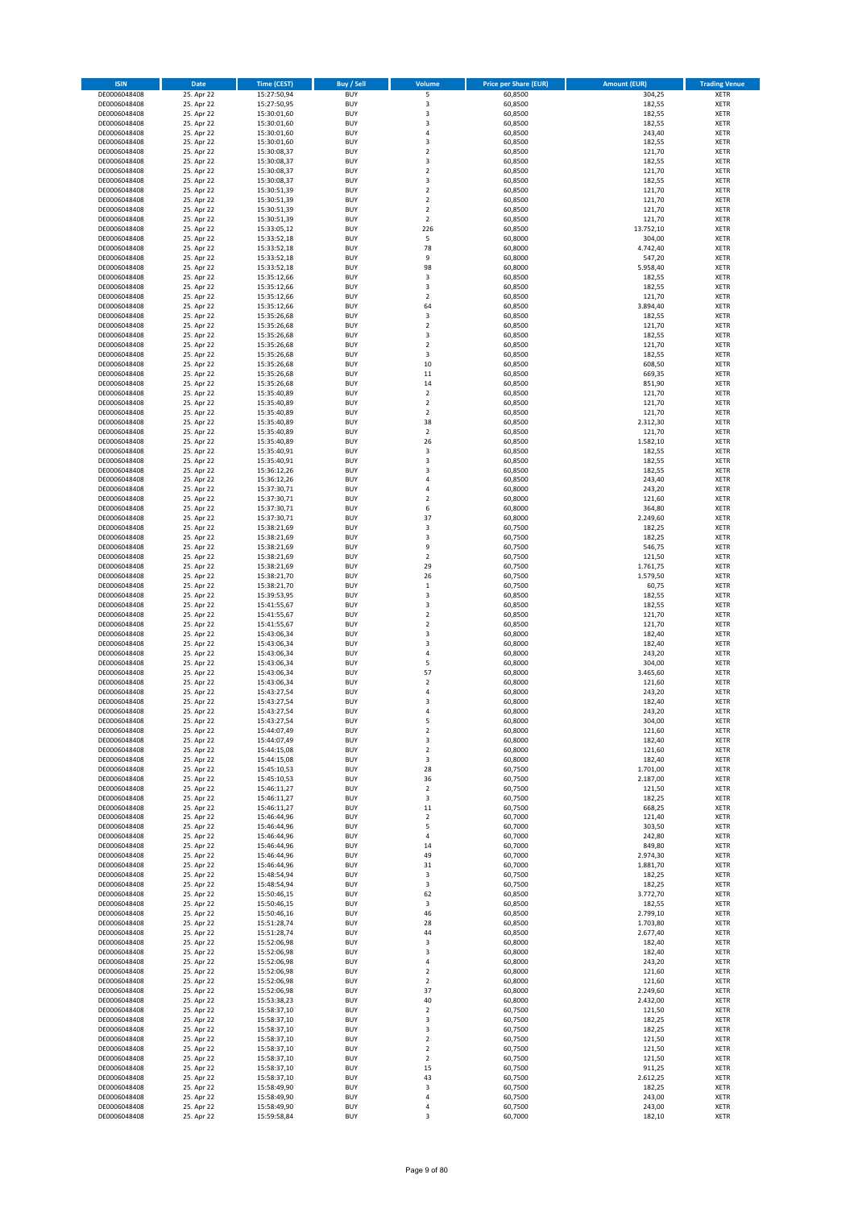| <b>ISIN</b>                  | Date                     | <b>Time (CEST)</b>         | <b>Buy / Sell</b>        | Volume                                    | <b>Price per Share (EUR)</b> | <b>Amount (EUR)</b>  | <b>Trading Venue</b>       |
|------------------------------|--------------------------|----------------------------|--------------------------|-------------------------------------------|------------------------------|----------------------|----------------------------|
| DE0006048408                 | 25. Apr 22               | 15:27:50,94                | <b>BUY</b>               | 5                                         | 60,8500                      | 304,25               | <b>XETR</b>                |
| DE0006048408                 | 25. Apr 22               | 15:27:50,95                | <b>BUY</b>               | 3                                         | 60,8500                      | 182,55               | <b>XETR</b>                |
| DE0006048408<br>DE0006048408 | 25. Apr 22<br>25. Apr 22 | 15:30:01,60<br>15:30:01,60 | <b>BUY</b><br><b>BUY</b> | 3<br>3                                    | 60,8500<br>60,8500           | 182,55<br>182,55     | <b>XETR</b><br><b>XETR</b> |
| DE0006048408                 | 25. Apr 22               | 15:30:01,60                | <b>BUY</b>               | 4                                         | 60,8500                      | 243,40               | <b>XETR</b>                |
| DE0006048408                 | 25. Apr 22               | 15:30:01,60                | <b>BUY</b>               | 3                                         | 60,8500                      | 182,55               | <b>XETR</b>                |
| DE0006048408                 | 25. Apr 22               | 15:30:08,37                | <b>BUY</b>               | $\overline{2}$                            | 60,8500                      | 121,70               | <b>XETR</b>                |
| DE0006048408                 | 25. Apr 22               | 15:30:08,37                | <b>BUY</b>               | 3                                         | 60,8500                      | 182,55               | <b>XETR</b>                |
| DE0006048408<br>DE0006048408 | 25. Apr 22<br>25. Apr 22 | 15:30:08,37                | <b>BUY</b><br><b>BUY</b> | $\mathbf 2$<br>3                          | 60,8500<br>60,8500           | 121,70<br>182,55     | XETR<br><b>XETR</b>        |
| DE0006048408                 | 25. Apr 22               | 15:30:08,37<br>15:30:51,39 | <b>BUY</b>               | $\overline{2}$                            | 60,8500                      | 121,70               | XETR                       |
| DE0006048408                 | 25. Apr 22               | 15:30:51,39                | <b>BUY</b>               | $\overline{2}$                            | 60,8500                      | 121,70               | <b>XETR</b>                |
| DE0006048408                 | 25. Apr 22               | 15:30:51,39                | <b>BUY</b>               | $\mathbf 2$                               | 60,8500                      | 121,70               | XETR                       |
| DE0006048408                 | 25. Apr 22               | 15:30:51,39                | <b>BUY</b>               | $\overline{2}$                            | 60,8500                      | 121,70               | <b>XETR</b>                |
| DE0006048408                 | 25. Apr 22               | 15:33:05,12                | <b>BUY</b>               | 226                                       | 60,8500                      | 13.752,10            | XETR                       |
| DE0006048408<br>DE0006048408 | 25. Apr 22<br>25. Apr 22 | 15:33:52,18<br>15:33:52,18 | <b>BUY</b><br><b>BUY</b> | 5<br>78                                   | 60,8000<br>60,8000           | 304,00<br>4.742,40   | <b>XETR</b><br>XETR        |
| DE0006048408                 | 25. Apr 22               | 15:33:52,18                | <b>BUY</b>               | 9                                         | 60,8000                      | 547,20               | <b>XETR</b>                |
| DE0006048408                 | 25. Apr 22               | 15:33:52,18                | <b>BUY</b>               | 98                                        | 60,8000                      | 5.958,40             | XETR                       |
| DE0006048408                 | 25. Apr 22               | 15:35:12,66                | <b>BUY</b>               | 3                                         | 60,8500                      | 182,55               | <b>XETR</b>                |
| DE0006048408                 | 25. Apr 22               | 15:35:12,66                | <b>BUY</b>               | 3                                         | 60,8500                      | 182,55               | <b>XETR</b>                |
| DE0006048408<br>DE0006048408 | 25. Apr 22<br>25. Apr 22 | 15:35:12,66<br>15:35:12,66 | <b>BUY</b><br><b>BUY</b> | $\overline{2}$<br>64                      | 60,8500<br>60,8500           | 121,70<br>3.894,40   | <b>XETR</b><br><b>XETR</b> |
| DE0006048408                 | 25. Apr 22               | 15:35:26,68                | <b>BUY</b>               | 3                                         | 60,8500                      | 182,55               | <b>XETR</b>                |
| DE0006048408                 | 25. Apr 22               | 15:35:26,68                | <b>BUY</b>               | $\overline{2}$                            | 60,8500                      | 121,70               | <b>XETR</b>                |
| DE0006048408                 | 25. Apr 22               | 15:35:26,68                | <b>BUY</b>               | 3                                         | 60,8500                      | 182,55               | <b>XETR</b>                |
| DE0006048408                 | 25. Apr 22               | 15:35:26,68                | <b>BUY</b>               | $\overline{2}$                            | 60,8500                      | 121,70               | <b>XETR</b>                |
| DE0006048408<br>DE0006048408 | 25. Apr 22<br>25. Apr 22 | 15:35:26,68<br>15:35:26,68 | <b>BUY</b><br><b>BUY</b> | 3<br>10                                   | 60,8500<br>60,8500           | 182,55<br>608,50     | <b>XETR</b><br><b>XETR</b> |
| DE0006048408                 | 25. Apr 22               | 15:35:26,68                | <b>BUY</b>               | $11\,$                                    | 60,8500                      | 669,35               | <b>XETR</b>                |
| DE0006048408                 | 25. Apr 22               | 15:35:26,68                | <b>BUY</b>               | 14                                        | 60,8500                      | 851,90               | <b>XETR</b>                |
| DE0006048408                 | 25. Apr 22               | 15:35:40,89                | <b>BUY</b>               | $\mathbf 2$                               | 60,8500                      | 121,70               | <b>XETR</b>                |
| DE0006048408                 | 25. Apr 22               | 15:35:40,89                | <b>BUY</b>               | $\overline{2}$                            | 60,8500                      | 121,70               | <b>XETR</b>                |
| DE0006048408                 | 25. Apr 22               | 15:35:40,89                | <b>BUY</b><br><b>BUY</b> | $\overline{2}$<br>38                      | 60,8500                      | 121,70               | XETR<br><b>XETR</b>        |
| DE0006048408<br>DE0006048408 | 25. Apr 22<br>25. Apr 22 | 15:35:40,89<br>15:35:40,89 | <b>BUY</b>               | $\mathbf 2$                               | 60,8500<br>60,8500           | 2.312,30<br>121,70   | XETR                       |
| DE0006048408                 | 25. Apr 22               | 15:35:40,89                | <b>BUY</b>               | 26                                        | 60,8500                      | 1.582,10             | <b>XETR</b>                |
| DE0006048408                 | 25. Apr 22               | 15:35:40,91                | <b>BUY</b>               | 3                                         | 60,8500                      | 182,55               | XETR                       |
| DE0006048408                 | 25. Apr 22               | 15:35:40,91                | <b>BUY</b>               | 3                                         | 60,8500                      | 182,55               | <b>XETR</b>                |
| DE0006048408                 | 25. Apr 22               | 15:36:12,26                | <b>BUY</b>               | $\overline{\mathbf{3}}$                   | 60,8500                      | 182,55               | <b>XETR</b>                |
| DE0006048408<br>DE0006048408 | 25. Apr 22<br>25. Apr 22 | 15:36:12,26<br>15:37:30,71 | <b>BUY</b><br><b>BUY</b> | $\sqrt{4}$<br>$\sqrt{4}$                  | 60,8500<br>60,8000           | 243,40<br>243,20     | <b>XETR</b><br>XETR        |
| DE0006048408                 | 25. Apr 22               | 15:37:30,71                | <b>BUY</b>               | $\overline{2}$                            | 60,8000                      | 121,60               | <b>XETR</b>                |
| DE0006048408                 | 25. Apr 22               | 15:37:30,71                | <b>BUY</b>               | 6                                         | 60,8000                      | 364,80               | XETR                       |
| DE0006048408                 | 25. Apr 22               | 15:37:30,71                | <b>BUY</b>               | 37                                        | 60,8000                      | 2.249,60             | <b>XETR</b>                |
| DE0006048408                 | 25. Apr 22               | 15:38:21,69                | <b>BUY</b>               | 3                                         | 60,7500                      | 182,25               | XETR                       |
| DE0006048408                 | 25. Apr 22               | 15:38:21,69                | <b>BUY</b>               | 3                                         | 60,7500                      | 182,25               | <b>XETR</b>                |
| DE0006048408<br>DE0006048408 | 25. Apr 22<br>25. Apr 22 | 15:38:21,69<br>15:38:21,69 | <b>BUY</b><br><b>BUY</b> | 9<br>$\mathbf 2$                          | 60,7500<br>60,7500           | 546,75<br>121,50     | <b>XETR</b><br><b>XETR</b> |
| DE0006048408                 | 25. Apr 22               | 15:38:21,69                | <b>BUY</b>               | 29                                        | 60,7500                      | 1.761,75             | <b>XETR</b>                |
| DE0006048408                 | 25. Apr 22               | 15:38:21,70                | <b>BUY</b>               | 26                                        | 60,7500                      | 1.579,50             | <b>XETR</b>                |
| DE0006048408                 | 25. Apr 22               | 15:38:21,70                | <b>BUY</b>               | $\,$ 1                                    | 60,7500                      | 60,75                | <b>XETR</b>                |
| DE0006048408                 | 25. Apr 22               | 15:39:53,95                | <b>BUY</b>               | 3                                         | 60,8500                      | 182,55               | <b>XETR</b>                |
| DE0006048408<br>DE0006048408 | 25. Apr 22<br>25. Apr 22 | 15:41:55,67<br>15:41:55,67 | <b>BUY</b><br><b>BUY</b> | 3<br>$\mathbf 2$                          | 60,8500<br>60,8500           | 182,55<br>121,70     | <b>XETR</b><br><b>XETR</b> |
| DE0006048408                 | 25. Apr 22               | 15:41:55,67                | <b>BUY</b>               | $\overline{2}$                            | 60,8500                      | 121,70               | <b>XETR</b>                |
| DE0006048408                 | 25. Apr 22               | 15:43:06,34                | <b>BUY</b>               | 3                                         | 60,8000                      | 182,40               | <b>XETR</b>                |
| DE0006048408                 | 25. Apr 22               | 15:43:06,34                | <b>BUY</b>               | 3                                         | 60,8000                      | 182,40               | <b>XETR</b>                |
| DE0006048408                 | 25. Apr 22               | 15:43:06,34                | <b>BUY</b>               | 4                                         | 60,8000                      | 243,20               | <b>XETR</b>                |
| DE0006048408                 | 25. Apr 22               | 15:43:06,34                | <b>BUY</b><br><b>BUY</b> | 5<br>57                                   | 60,8000<br>60,8000           | 304,00               | <b>XETR</b><br>XETR        |
| DE0006048408<br>DE0006048408 | 25. Apr 22<br>25. Apr 22 | 15:43:06,34<br>15:43:06,34 | <b>BUY</b>               | $\overline{2}$                            | 60,8000                      | 3.465,60<br>121,60   | <b>XETR</b>                |
| DE0006048408                 | 25. Apr 22               | 15:43:27,54                | <b>BUY</b>               | 4                                         | 60,8000                      | 243,20               | XETR                       |
| DE0006048408                 | 25. Apr 22               | 15:43:27,54                | <b>BUY</b>               | 3                                         | 60,8000                      | 182,40               | <b>XETR</b>                |
| DE0006048408                 | 25. Apr 22               | 15:43:27,54                | <b>BUY</b>               | $\overline{a}$                            | 60,8000                      | 243,20               | <b>XETR</b>                |
| DE0006048408                 | 25. Apr 22               | 15:43:27,54                | <b>BUY</b>               | 5                                         | 60,8000                      | 304,00               | XETR                       |
| DE0006048408<br>DE0006048408 | 25. Apr 22<br>25. Apr 22 | 15:44:07,49<br>15:44:07,49 | <b>BUY</b><br><b>BUY</b> | $\mathbf 2$<br>3                          | 60,8000<br>60,8000           | 121,60<br>182,40     | XETR<br>XETR               |
| DE0006048408                 | 25. Apr 22               | 15:44:15,08                | <b>BUY</b>               | $\mathbf 2$                               | 60,8000                      | 121,60               | <b>XETR</b>                |
| DE0006048408                 | 25. Apr 22               | 15:44:15,08                | <b>BUY</b>               | 3                                         | 60,8000                      | 182,40               | <b>XETR</b>                |
| DE0006048408                 | 25. Apr 22               | 15:45:10,53                | <b>BUY</b>               | 28                                        | 60,7500                      | 1.701,00             | XETR                       |
| DE0006048408                 | 25. Apr 22               | 15:45:10,53                | <b>BUY</b>               | 36                                        | 60,7500                      | 2.187,00             | <b>XETR</b>                |
| DE0006048408<br>DE0006048408 | 25. Apr 22<br>25. Apr 22 | 15:46:11,27<br>15:46:11,27 | <b>BUY</b><br><b>BUY</b> | $\mathbf 2$<br>3                          | 60,7500<br>60,7500           | 121,50<br>182,25     | XETR<br><b>XETR</b>        |
| DE0006048408                 | 25. Apr 22               | 15:46:11,27                | <b>BUY</b>               | 11                                        | 60,7500                      | 668,25               | XETR                       |
| DE0006048408                 | 25. Apr 22               | 15:46:44,96                | <b>BUY</b>               | $\mathbf 2$                               | 60,7000                      | 121,40               | <b>XETR</b>                |
| DE0006048408                 | 25. Apr 22               | 15:46:44,96                | <b>BUY</b>               | 5                                         | 60,7000                      | 303,50               | XETR                       |
| DE0006048408                 | 25. Apr 22               | 15:46:44,96                | <b>BUY</b>               | 4                                         | 60,7000                      | 242,80               | <b>XETR</b>                |
| DE0006048408<br>DE0006048408 | 25. Apr 22<br>25. Apr 22 | 15:46:44,96<br>15:46:44,96 | <b>BUY</b><br><b>BUY</b> | 14<br>49                                  | 60,7000<br>60,7000           | 849,80<br>2.974,30   | XETR<br><b>XETR</b>        |
| DE0006048408                 | 25. Apr 22               | 15:46:44,96                | <b>BUY</b>               | 31                                        | 60,7000                      | 1.881,70             | <b>XETR</b>                |
| DE0006048408                 | 25. Apr 22               | 15:48:54,94                | <b>BUY</b>               | 3                                         | 60,7500                      | 182,25               | <b>XETR</b>                |
| DE0006048408                 | 25. Apr 22               | 15:48:54,94                | <b>BUY</b>               | 3                                         | 60,7500                      | 182,25               | <b>XETR</b>                |
| DE0006048408                 | 25. Apr 22               | 15:50:46,15                | <b>BUY</b>               | 62                                        | 60,8500                      | 3.772,70             | <b>XETR</b>                |
| DE0006048408                 | 25. Apr 22               | 15:50:46,15                | <b>BUY</b>               | 3                                         | 60,8500                      | 182,55               | <b>XETR</b>                |
| DE0006048408<br>DE0006048408 | 25. Apr 22<br>25. Apr 22 | 15:50:46,16<br>15:51:28,74 | <b>BUY</b><br><b>BUY</b> | 46<br>28                                  | 60,8500<br>60,8500           | 2.799,10<br>1.703,80 | <b>XETR</b><br><b>XETR</b> |
| DE0006048408                 | 25. Apr 22               | 15:51:28,74                | <b>BUY</b>               | 44                                        | 60,8500                      | 2.677,40             | XETR                       |
| DE0006048408                 | 25. Apr 22               | 15:52:06,98                | <b>BUY</b>               | 3                                         | 60,8000                      | 182,40               | XETR                       |
| DE0006048408                 | 25. Apr 22               | 15:52:06,98                | <b>BUY</b>               | 3                                         | 60,8000                      | 182,40               | <b>XETR</b>                |
| DE0006048408                 | 25. Apr 22               | 15:52:06,98                | <b>BUY</b>               | 4                                         | 60,8000                      | 243,20               | <b>XETR</b>                |
| DE0006048408<br>DE0006048408 | 25. Apr 22<br>25. Apr 22 | 15:52:06,98<br>15:52:06,98 | <b>BUY</b><br><b>BUY</b> | $\overline{\mathbf{c}}$<br>$\overline{2}$ | 60,8000<br>60,8000           | 121,60<br>121,60     | XETR<br>XETR               |
| DE0006048408                 | 25. Apr 22               | 15:52:06,98                | <b>BUY</b>               | 37                                        | 60,8000                      | 2.249,60             | <b>XETR</b>                |
| DE0006048408                 | 25. Apr 22               | 15:53:38,23                | <b>BUY</b>               | 40                                        | 60,8000                      | 2.432,00             | <b>XETR</b>                |
| DE0006048408                 | 25. Apr 22               | 15:58:37,10                | <b>BUY</b>               | $\sqrt{2}$                                | 60,7500                      | 121,50               | XETR                       |
| DE0006048408                 | 25. Apr 22               | 15:58:37,10                | <b>BUY</b>               | 3                                         | 60,7500                      | 182,25               | XETR                       |
| DE0006048408                 | 25. Apr 22               | 15:58:37,10                | <b>BUY</b>               | 3                                         | 60,7500                      | 182,25               | <b>XETR</b>                |
| DE0006048408<br>DE0006048408 | 25. Apr 22<br>25. Apr 22 | 15:58:37,10<br>15:58:37,10 | <b>BUY</b><br><b>BUY</b> | $\mathbf 2$<br>$\overline{2}$             | 60,7500<br>60,7500           | 121,50<br>121,50     | <b>XETR</b><br><b>XETR</b> |
| DE0006048408                 | 25. Apr 22               | 15:58:37,10                | <b>BUY</b>               | $\overline{2}$                            | 60,7500                      | 121,50               | <b>XETR</b>                |
| DE0006048408                 | 25. Apr 22               | 15:58:37,10                | <b>BUY</b>               | 15                                        | 60,7500                      | 911,25               | <b>XETR</b>                |
| DE0006048408                 | 25. Apr 22               | 15:58:37,10                | <b>BUY</b>               | 43                                        | 60,7500                      | 2.612,25             | <b>XETR</b>                |
| DE0006048408                 | 25. Apr 22               | 15:58:49,90                | <b>BUY</b>               | 3                                         | 60,7500                      | 182,25               | <b>XETR</b>                |
| DE0006048408<br>DE0006048408 | 25. Apr 22<br>25. Apr 22 | 15:58:49,90<br>15:58:49,90 | <b>BUY</b><br><b>BUY</b> | 4<br>4                                    | 60,7500<br>60,7500           | 243,00<br>243,00     | <b>XETR</b><br><b>XETR</b> |
| DE0006048408                 | 25. Apr 22               | 15:59:58,84                | <b>BUY</b>               | 3                                         | 60,7000                      | 182,10               | <b>XETR</b>                |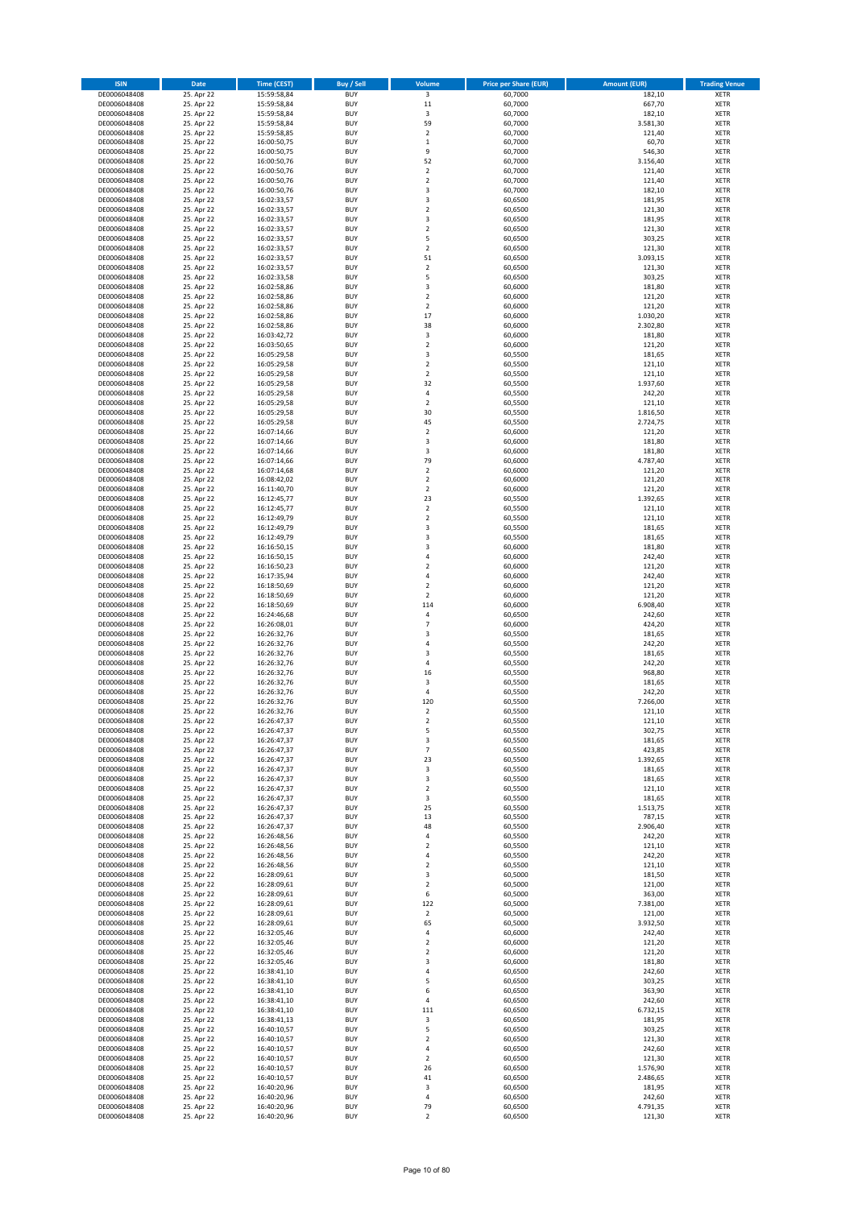| <b>ISIN</b>                  | Date                     | <b>Time (CEST)</b>         | <b>Buy / Sell</b>        | Volume                                    | <b>Price per Share (EUR)</b> | <b>Amount (EUR)</b>  | <b>Trading Venue</b>       |
|------------------------------|--------------------------|----------------------------|--------------------------|-------------------------------------------|------------------------------|----------------------|----------------------------|
| DE0006048408                 | 25. Apr 22               | 15:59:58,84                | <b>BUY</b>               | $\overline{\mathbf{3}}$                   | 60,7000                      | 182,10               | <b>XETR</b>                |
| DE0006048408                 | 25. Apr 22               | 15:59:58,84                | <b>BUY</b>               | 11                                        | 60,7000                      | 667,70               | <b>XETR</b>                |
| DE0006048408<br>DE0006048408 | 25. Apr 22<br>25. Apr 22 | 15:59:58,84<br>15:59:58,84 | <b>BUY</b><br><b>BUY</b> | 3<br>59                                   | 60,7000<br>60,7000           | 182,10<br>3.581,30   | <b>XETR</b><br><b>XETR</b> |
| DE0006048408                 | 25. Apr 22               | 15:59:58,85                | <b>BUY</b>               | $\mathbf 2$                               | 60,7000                      | 121,40               | <b>XETR</b>                |
| DE0006048408                 | 25. Apr 22               | 16:00:50,75                | <b>BUY</b>               | $\,1\,$                                   | 60,7000                      | 60,70                | <b>XETR</b>                |
| DE0006048408                 | 25. Apr 22               | 16:00:50,75                | <b>BUY</b>               | 9                                         | 60,7000                      | 546,30               | <b>XETR</b>                |
| DE0006048408                 | 25. Apr 22               | 16:00:50,76                | <b>BUY</b>               | 52                                        | 60,7000                      | 3.156,40             | <b>XETR</b>                |
| DE0006048408<br>DE0006048408 | 25. Apr 22<br>25. Apr 22 | 16:00:50,76                | <b>BUY</b><br><b>BUY</b> | $\mathbf 2$<br>$\overline{2}$             | 60,7000<br>60,7000           | 121,40<br>121,40     | XETR<br><b>XETR</b>        |
| DE0006048408                 | 25. Apr 22               | 16:00:50,76<br>16:00:50,76 | <b>BUY</b>               | 3                                         | 60,7000                      | 182,10               | XETR                       |
| DE0006048408                 | 25. Apr 22               | 16:02:33,57                | <b>BUY</b>               | 3                                         | 60,6500                      | 181,95               | <b>XETR</b>                |
| DE0006048408                 | 25. Apr 22               | 16:02:33,57                | <b>BUY</b>               | $\mathbf 2$                               | 60,6500                      | 121,30               | XETR                       |
| DE0006048408                 | 25. Apr 22               | 16:02:33,57                | <b>BUY</b>               | 3                                         | 60,6500                      | 181,95               | <b>XETR</b>                |
| DE0006048408                 | 25. Apr 22               | 16:02:33,57                | <b>BUY</b>               | $\sqrt{2}$                                | 60,6500                      | 121,30               | XETR                       |
| DE0006048408<br>DE0006048408 | 25. Apr 22<br>25. Apr 22 | 16:02:33,57<br>16:02:33,57 | <b>BUY</b><br><b>BUY</b> | 5<br>$\mathbf 2$                          | 60,6500<br>60,6500           | 303,25<br>121,30     | <b>XETR</b><br>XETR        |
| DE0006048408                 | 25. Apr 22               | 16:02:33,57                | <b>BUY</b>               | 51                                        | 60,6500                      | 3.093,15             | <b>XETR</b>                |
| DE0006048408                 | 25. Apr 22               | 16:02:33,57                | <b>BUY</b>               | $\mathbf 2$                               | 60,6500                      | 121,30               | XETR                       |
| DE0006048408                 | 25. Apr 22               | 16:02:33,58                | <b>BUY</b>               | 5                                         | 60,6500                      | 303,25               | <b>XETR</b>                |
| DE0006048408                 | 25. Apr 22               | 16:02:58,86                | <b>BUY</b>               | 3                                         | 60,6000                      | 181,80               | <b>XETR</b>                |
| DE0006048408<br>DE0006048408 | 25. Apr 22<br>25. Apr 22 | 16:02:58,86<br>16:02:58,86 | <b>BUY</b><br><b>BUY</b> | $\mathbf 2$<br>$\overline{2}$             | 60,6000<br>60,6000           | 121,20<br>121,20     | <b>XETR</b><br><b>XETR</b> |
| DE0006048408                 | 25. Apr 22               | 16:02:58,86                | <b>BUY</b>               | 17                                        | 60,6000                      | 1.030,20             | <b>XETR</b>                |
| DE0006048408                 | 25. Apr 22               | 16:02:58,86                | <b>BUY</b>               | 38                                        | 60,6000                      | 2.302,80             | <b>XETR</b>                |
| DE0006048408                 | 25. Apr 22               | 16:03:42,72                | <b>BUY</b>               | 3                                         | 60,6000                      | 181,80               | <b>XETR</b>                |
| DE0006048408                 | 25. Apr 22               | 16:03:50,65                | <b>BUY</b>               | $\overline{2}$                            | 60,6000                      | 121,20               | <b>XETR</b>                |
| DE0006048408<br>DE0006048408 | 25. Apr 22<br>25. Apr 22 | 16:05:29,58                | <b>BUY</b><br><b>BUY</b> | 3<br>$\boldsymbol{2}$                     | 60,5500<br>60,5500           | 181,65<br>121,10     | <b>XETR</b><br><b>XETR</b> |
| DE0006048408                 | 25. Apr 22               | 16:05:29,58<br>16:05:29,58 | <b>BUY</b>               | $\boldsymbol{2}$                          | 60,5500                      | 121,10               | <b>XETR</b>                |
| DE0006048408                 | 25. Apr 22               | 16:05:29,58                | <b>BUY</b>               | 32                                        | 60,5500                      | 1.937,60             | <b>XETR</b>                |
| DE0006048408                 | 25. Apr 22               | 16:05:29,58                | <b>BUY</b>               | 4                                         | 60,5500                      | 242,20               | <b>XETR</b>                |
| DE0006048408                 | 25. Apr 22               | 16:05:29,58                | <b>BUY</b>               | $\overline{2}$                            | 60,5500                      | 121,10               | <b>XETR</b>                |
| DE0006048408<br>DE0006048408 | 25. Apr 22<br>25. Apr 22 | 16:05:29,58<br>16:05:29,58 | <b>BUY</b><br><b>BUY</b> | 30<br>45                                  | 60,5500<br>60,5500           | 1.816,50<br>2.724,75 | XETR<br><b>XETR</b>        |
| DE0006048408                 | 25. Apr 22               | 16:07:14,66                | <b>BUY</b>               | $\mathbf 2$                               | 60,6000                      | 121,20               | XETR                       |
| DE0006048408                 | 25. Apr 22               | 16:07:14,66                | <b>BUY</b>               | 3                                         | 60,6000                      | 181,80               | <b>XETR</b>                |
| DE0006048408                 | 25. Apr 22               | 16:07:14,66                | <b>BUY</b>               | 3                                         | 60,6000                      | 181,80               | XETR                       |
| DE0006048408                 | 25. Apr 22               | 16:07:14,66                | <b>BUY</b>               | 79                                        | 60,6000                      | 4.787,40             | <b>XETR</b>                |
| DE0006048408                 | 25. Apr 22               | 16:07:14,68                | <b>BUY</b>               | $\overline{2}$                            | 60,6000                      | 121,20               | <b>XETR</b>                |
| DE0006048408<br>DE0006048408 | 25. Apr 22<br>25. Apr 22 | 16:08:42,02<br>16:11:40,70 | <b>BUY</b><br><b>BUY</b> | $\overline{2}$<br>$\sqrt{2}$              | 60,6000<br>60,6000           | 121,20<br>121,20     | <b>XETR</b><br>XETR        |
| DE0006048408                 | 25. Apr 22               | 16:12:45,77                | <b>BUY</b>               | 23                                        | 60,5500                      | 1.392,65             | <b>XETR</b>                |
| DE0006048408                 | 25. Apr 22               | 16:12:45,77                | <b>BUY</b>               | $\overline{2}$                            | 60,5500                      | 121,10               | <b>XETR</b>                |
| DE0006048408                 | 25. Apr 22               | 16:12:49,79                | <b>BUY</b>               | $\overline{2}$                            | 60,5500                      | 121,10               | <b>XETR</b>                |
| DE0006048408                 | 25. Apr 22               | 16:12:49,79                | <b>BUY</b>               | 3                                         | 60,5500                      | 181,65               | XETR                       |
| DE0006048408<br>DE0006048408 | 25. Apr 22<br>25. Apr 22 | 16:12:49,79<br>16:16:50,15 | <b>BUY</b><br><b>BUY</b> | 3<br>3                                    | 60,5500<br>60,6000           | 181,65<br>181,80     | <b>XETR</b><br><b>XETR</b> |
| DE0006048408                 | 25. Apr 22               | 16:16:50,15                | <b>BUY</b>               | 4                                         | 60,6000                      | 242,40               | <b>XETR</b>                |
| DE0006048408                 | 25. Apr 22               | 16:16:50,23                | <b>BUY</b>               | $\boldsymbol{2}$                          | 60,6000                      | 121,20               | <b>XETR</b>                |
| DE0006048408                 | 25. Apr 22               | 16:17:35,94                | <b>BUY</b>               | 4                                         | 60,6000                      | 242,40               | <b>XETR</b>                |
| DE0006048408                 | 25. Apr 22               | 16:18:50,69                | <b>BUY</b>               | $\overline{2}$                            | 60,6000                      | 121,20               | <b>XETR</b>                |
| DE0006048408<br>DE0006048408 | 25. Apr 22<br>25. Apr 22 | 16:18:50,69<br>16:18:50,69 | <b>BUY</b><br><b>BUY</b> | $\overline{2}$<br>114                     | 60,6000<br>60,6000           | 121,20<br>6.908,40   | <b>XETR</b><br><b>XETR</b> |
| DE0006048408                 | 25. Apr 22               | 16:24:46,68                | <b>BUY</b>               | 4                                         | 60,6500                      | 242,60               | <b>XETR</b>                |
| DE0006048408                 | 25. Apr 22               | 16:26:08,01                | <b>BUY</b>               | $\overline{7}$                            | 60,6000                      | 424,20               | <b>XETR</b>                |
| DE0006048408                 | 25. Apr 22               | 16:26:32,76                | <b>BUY</b>               | $\overline{\mathbf{3}}$                   | 60,5500                      | 181,65               | <b>XETR</b>                |
| DE0006048408                 | 25. Apr 22               | 16:26:32,76                | <b>BUY</b>               | $\overline{4}$                            | 60,5500                      | 242,20               | <b>XETR</b>                |
| DE0006048408<br>DE0006048408 | 25. Apr 22<br>25. Apr 22 | 16:26:32,76<br>16:26:32,76 | <b>BUY</b><br><b>BUY</b> | 3<br>4                                    | 60,5500<br>60,5500           | 181,65<br>242,20     | <b>XETR</b><br><b>XETR</b> |
| DE0006048408                 | 25. Apr 22               | 16:26:32,76                | <b>BUY</b>               | 16                                        | 60,5500                      | 968,80               | XETR                       |
| DE0006048408                 | 25. Apr 22               | 16:26:32,76                | <b>BUY</b>               | 3                                         | 60,5500                      | 181,65               | <b>XETR</b>                |
| DE0006048408                 | 25. Apr 22               | 16:26:32,76                | <b>BUY</b>               | 4                                         | 60,5500                      | 242,20               | XETR                       |
| DE0006048408                 | 25. Apr 22               | 16:26:32,76                | <b>BUY</b>               | 120                                       | 60,5500                      | 7.266,00             | <b>XETR</b>                |
| DE0006048408<br>DE0006048408 | 25. Apr 22<br>25. Apr 22 | 16:26:32,76<br>16:26:47,37 | <b>BUY</b><br><b>BUY</b> | $\overline{2}$<br>$\overline{\mathbf{c}}$ | 60,5500                      | 121,10<br>121,10     | <b>XETR</b><br>XETR        |
| DE0006048408                 | 25. Apr 22               | 16:26:47,37                | <b>BUY</b>               | 5                                         | 60,5500<br>60,5500           | 302,75               | <b>XETR</b>                |
| DE0006048408                 | 25. Apr 22               | 16:26:47,37                | <b>BUY</b>               | 3                                         | 60,5500                      | 181,65               | XETR                       |
| DE0006048408                 | 25. Apr 22               | 16:26:47,37                | <b>BUY</b>               | $\overline{7}$                            | 60,5500                      | 423,85               | <b>XETR</b>                |
| DE0006048408                 | 25. Apr 22               | 16:26:47,37                | <b>BUY</b>               | 23                                        | 60,5500                      | 1.392,65             | <b>XETR</b>                |
| DE0006048408<br>DE0006048408 | 25. Apr 22<br>25. Apr 22 | 16:26:47,37<br>16:26:47,37 | <b>BUY</b><br><b>BUY</b> | 3<br>3                                    | 60,5500<br>60,5500           | 181,65<br>181,65     | XETR<br><b>XETR</b>        |
| DE0006048408                 | 25. Apr 22               | 16:26:47,37                | <b>BUY</b>               | $\sqrt{2}$                                | 60,5500                      | 121,10               | XETR                       |
| DE0006048408                 | 25. Apr 22               | 16:26:47,37                | <b>BUY</b>               | 3                                         | 60,5500                      | 181,65               | <b>XETR</b>                |
| DE0006048408                 | 25. Apr 22               | 16:26:47,37                | <b>BUY</b>               | 25                                        | 60,5500                      | 1.513,75             | XETR                       |
| DE0006048408                 | 25. Apr 22               | 16:26:47,37                | <b>BUY</b>               | 13                                        | 60,5500                      | 787,15               | <b>XETR</b>                |
| DE0006048408<br>DE0006048408 | 25. Apr 22<br>25. Apr 22 | 16:26:47,37<br>16:26:48,56 | <b>BUY</b><br><b>BUY</b> | 48<br>4                                   | 60,5500<br>60,5500           | 2.906,40<br>242,20   | XETR<br><b>XETR</b>        |
| DE0006048408                 | 25. Apr 22               | 16:26:48,56                | <b>BUY</b>               | $\boldsymbol{2}$                          | 60,5500                      | 121,10               | XETR                       |
| DE0006048408                 | 25. Apr 22               | 16:26:48,56                | <b>BUY</b>               | 4                                         | 60,5500                      | 242,20               | <b>XETR</b>                |
| DE0006048408                 | 25. Apr 22               | 16:26:48,56                | <b>BUY</b>               | $\sqrt{2}$                                | 60,5500                      | 121,10               | <b>XETR</b>                |
| DE0006048408                 | 25. Apr 22               | 16:28:09,61                | <b>BUY</b>               | 3                                         | 60,5000                      | 181,50               | <b>XETR</b>                |
| DE0006048408<br>DE0006048408 | 25. Apr 22<br>25. Apr 22 | 16:28:09,61<br>16:28:09,61 | <b>BUY</b><br><b>BUY</b> | $\boldsymbol{2}$<br>6                     | 60,5000<br>60,5000           | 121,00<br>363,00     | <b>XETR</b><br><b>XETR</b> |
| DE0006048408                 | 25. Apr 22               | 16:28:09,61                | <b>BUY</b>               | 122                                       | 60,5000                      | 7.381,00             | <b>XETR</b>                |
| DE0006048408                 | 25. Apr 22               | 16:28:09,61                | <b>BUY</b>               | $\overline{2}$                            | 60,5000                      | 121,00               | <b>XETR</b>                |
| DE0006048408                 | 25. Apr 22               | 16:28:09,61                | <b>BUY</b>               | 65                                        | 60,5000                      | 3.932,50             | <b>XETR</b>                |
| DE0006048408                 | 25. Apr 22               | 16:32:05,46                | <b>BUY</b>               | 4                                         | 60,6000                      | 242,40               | XETR                       |
| DE0006048408<br>DE0006048408 | 25. Apr 22<br>25. Apr 22 | 16:32:05,46<br>16:32:05,46 | <b>BUY</b><br><b>BUY</b> | $\overline{2}$<br>$\sqrt{2}$              | 60,6000<br>60,6000           | 121,20<br>121,20     | XETR<br><b>XETR</b>        |
| DE0006048408                 | 25. Apr 22               | 16:32:05,46                | <b>BUY</b>               | 3                                         | 60,6000                      | 181,80               | <b>XETR</b>                |
| DE0006048408                 | 25. Apr 22               | 16:38:41,10                | <b>BUY</b>               | 4                                         | 60,6500                      | 242,60               | XETR                       |
| DE0006048408                 | 25. Apr 22               | 16:38:41,10                | <b>BUY</b>               | 5                                         | 60,6500                      | 303,25               | XETR                       |
| DE0006048408                 | 25. Apr 22               | 16:38:41,10                | <b>BUY</b>               | 6                                         | 60,6500                      | 363,90               | XETR                       |
| DE0006048408<br>DE0006048408 | 25. Apr 22<br>25. Apr 22 | 16:38:41,10<br>16:38:41,10 | <b>BUY</b><br><b>BUY</b> | 4<br>111                                  | 60,6500<br>60,6500           | 242,60<br>6.732,15   | XETR<br>XETR               |
| DE0006048408                 | 25. Apr 22               | 16:38:41,13                | <b>BUY</b>               | 3                                         | 60,6500                      | 181,95               | XETR                       |
| DE0006048408                 | 25. Apr 22               | 16:40:10,57                | <b>BUY</b>               | 5                                         | 60,6500                      | 303,25               | XETR                       |
| DE0006048408                 | 25. Apr 22               | 16:40:10,57                | <b>BUY</b>               | $\overline{2}$                            | 60,6500                      | 121,30               | <b>XETR</b>                |
| DE0006048408                 | 25. Apr 22               | 16:40:10,57                | <b>BUY</b>               | 4                                         | 60,6500                      | 242,60               | <b>XETR</b>                |
| DE0006048408<br>DE0006048408 | 25. Apr 22<br>25. Apr 22 | 16:40:10,57                | <b>BUY</b><br><b>BUY</b> | $\overline{2}$<br>26                      | 60,6500<br>60,6500           | 121,30<br>1.576,90   | <b>XETR</b><br><b>XETR</b> |
| DE0006048408                 | 25. Apr 22               | 16:40:10,57<br>16:40:10,57 | <b>BUY</b>               | 41                                        | 60,6500                      | 2.486,65             | <b>XETR</b>                |
| DE0006048408                 | 25. Apr 22               | 16:40:20,96                | <b>BUY</b>               | 3                                         | 60,6500                      | 181,95               | <b>XETR</b>                |
| DE0006048408                 | 25. Apr 22               | 16:40:20,96                | <b>BUY</b>               | 4                                         | 60,6500                      | 242,60               | <b>XETR</b>                |
| DE0006048408                 | 25. Apr 22               | 16:40:20,96                | <b>BUY</b>               | 79                                        | 60,6500                      | 4.791,35             | <b>XETR</b>                |
| DE0006048408                 | 25. Apr 22               | 16:40:20,96                | <b>BUY</b>               | $\boldsymbol{2}$                          | 60,6500                      | 121,30               | <b>XETR</b>                |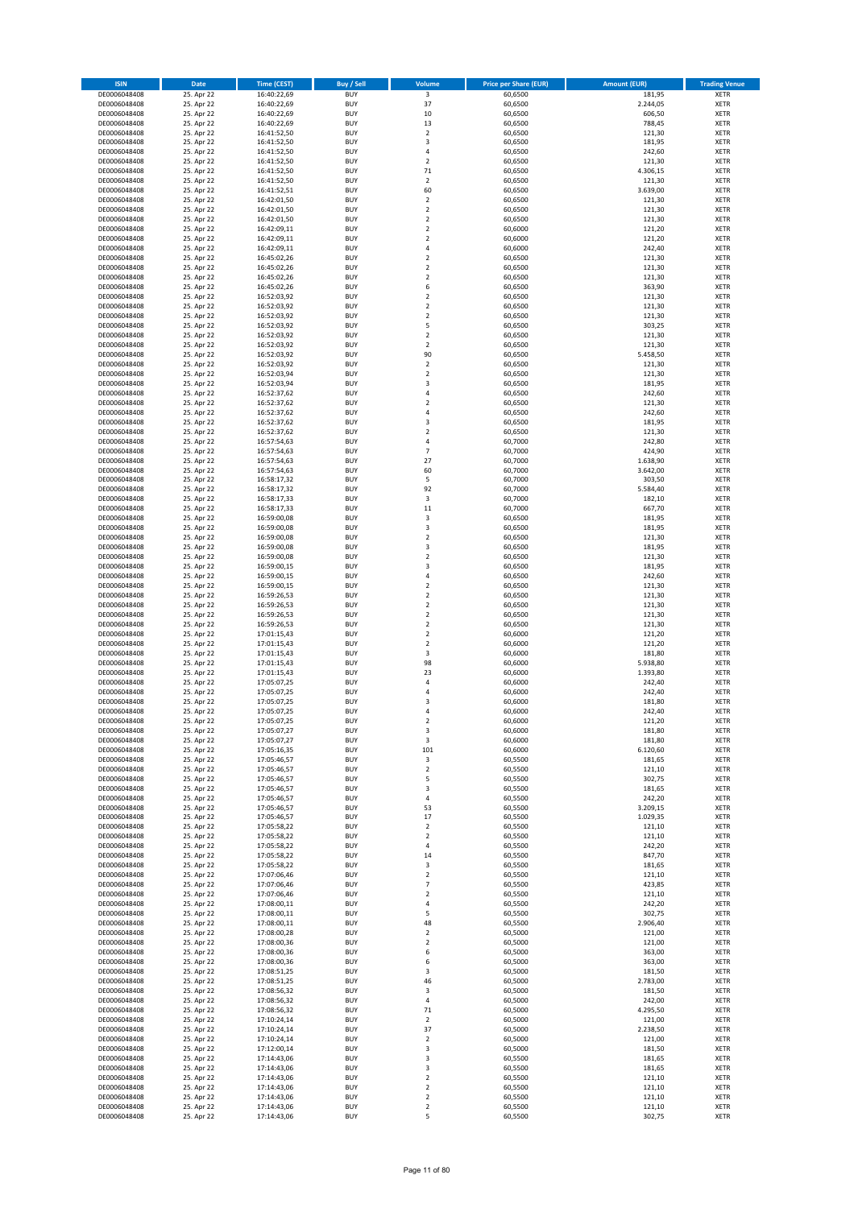| <b>ISIN</b>                  | Date                     | <b>Time (CEST)</b>         | Buy / Sell               | Volume                                 | <b>Price per Share (EUR)</b> | <b>Amount (EUR)</b>  | <b>Trading Venue</b>       |
|------------------------------|--------------------------|----------------------------|--------------------------|----------------------------------------|------------------------------|----------------------|----------------------------|
| DE0006048408                 | 25. Apr 22               | 16:40:22,69                | <b>BUY</b>               | $\overline{\mathbf{3}}$                | 60,6500                      | 181,95               | XETR                       |
| DE0006048408<br>DE0006048408 | 25. Apr 22<br>25. Apr 22 | 16:40:22,69<br>16:40:22,69 | <b>BUY</b><br><b>BUY</b> | 37<br>10                               | 60,6500<br>60,6500           | 2.244,05<br>606,50   | XETR<br>XETR               |
| DE0006048408                 | 25. Apr 22               | 16:40:22,69                | <b>BUY</b>               | 13                                     | 60,6500                      | 788,45               | XETR                       |
| DE0006048408                 | 25. Apr 22               | 16:41:52,50                | <b>BUY</b>               | $\mathbf 2$                            | 60,6500                      | 121,30               | XETR                       |
| DE0006048408                 | 25. Apr 22               | 16:41:52,50                | <b>BUY</b>               | 3                                      | 60,6500                      | 181,95               | <b>XETR</b>                |
| DE0006048408<br>DE0006048408 | 25. Apr 22<br>25. Apr 22 | 16:41:52,50<br>16:41:52,50 | <b>BUY</b><br><b>BUY</b> | 4<br>$\overline{\mathbf{c}}$           | 60,6500<br>60,6500           | 242,60<br>121,30     | <b>XETR</b><br><b>XETR</b> |
| DE0006048408                 | 25. Apr 22               | 16:41:52,50                | <b>BUY</b>               | 71                                     | 60,6500                      | 4.306,15             | <b>XETR</b>                |
| DE0006048408                 | 25. Apr 22               | 16:41:52,50                | <b>BUY</b>               | $\overline{\mathbf{c}}$                | 60,6500                      | 121,30               | <b>XETR</b>                |
| DE0006048408                 | 25. Apr 22               | 16:41:52,51                | <b>BUY</b>               | 60                                     | 60,6500                      | 3.639,00             | XETR                       |
| DE0006048408                 | 25. Apr 22               | 16:42:01,50                | <b>BUY</b>               | $\overline{\mathbf{c}}$                | 60,6500                      | 121,30               | <b>XETR</b>                |
| DE0006048408<br>DE0006048408 | 25. Apr 22<br>25. Apr 22 | 16:42:01,50<br>16:42:01,50 | <b>BUY</b><br><b>BUY</b> | $\mathbf 2$<br>$\overline{\mathbf{c}}$ | 60,6500<br>60,6500           | 121,30<br>121,30     | XETR<br><b>XETR</b>        |
| DE0006048408                 | 25. Apr 22               | 16:42:09,11                | <b>BUY</b>               | $\mathbf 2$                            | 60,6000                      | 121,20               | XETR                       |
| DE0006048408                 | 25. Apr 22               | 16:42:09,11                | <b>BUY</b>               | $\overline{\mathbf{c}}$                | 60,6000                      | 121,20               | <b>XETR</b>                |
| DE0006048408                 | 25. Apr 22               | 16:42:09,11                | <b>BUY</b>               | 4                                      | 60,6000                      | 242,40               | XETR                       |
| DE0006048408<br>DE0006048408 | 25. Apr 22<br>25. Apr 22 | 16:45:02,26<br>16:45:02,26 | <b>BUY</b><br><b>BUY</b> | $\overline{\mathbf{c}}$<br>$\mathbf 2$ | 60,6500<br>60,6500           | 121,30<br>121,30     | <b>XETR</b><br>XETR        |
| DE0006048408                 | 25. Apr 22               | 16:45:02,26                | <b>BUY</b>               | $\mathbf 2$                            | 60,6500                      | 121,30               | <b>XETR</b>                |
| DE0006048408                 | 25. Apr 22               | 16:45:02,26                | <b>BUY</b>               | 6                                      | 60,6500                      | 363,90               | XETR                       |
| DE0006048408                 | 25. Apr 22               | 16:52:03,92                | <b>BUY</b>               | $\mathbf 2$                            | 60,6500                      | 121,30               | XETR                       |
| DE0006048408<br>DE0006048408 | 25. Apr 22<br>25. Apr 22 | 16:52:03,92<br>16:52:03,92 | <b>BUY</b><br><b>BUY</b> | $\overline{\mathbf{c}}$<br>$\mathbf 2$ | 60,6500<br>60,6500           | 121,30<br>121,30     | <b>XETR</b><br><b>XETR</b> |
| DE0006048408                 | 25. Apr 22               | 16:52:03,92                | <b>BUY</b>               | 5                                      | 60,6500                      | 303,25               | <b>XETR</b>                |
| DE0006048408                 | 25. Apr 22               | 16:52:03,92                | <b>BUY</b>               | $\overline{\mathbf{c}}$                | 60,6500                      | 121,30               | <b>XETR</b>                |
| DE0006048408                 | 25. Apr 22               | 16:52:03,92                | <b>BUY</b>               | $\overline{\mathbf{c}}$                | 60,6500                      | 121,30               | <b>XETR</b>                |
| DE0006048408                 | 25. Apr 22               | 16:52:03,92                | <b>BUY</b><br><b>BUY</b> | 90                                     | 60,6500                      | 5.458,50             | <b>XETR</b><br><b>XETR</b> |
| DE0006048408<br>DE0006048408 | 25. Apr 22<br>25. Apr 22 | 16:52:03,92<br>16:52:03,94 | <b>BUY</b>               | $\mathbf 2$<br>$\mathbf 2$             | 60,6500<br>60,6500           | 121,30<br>121,30     | <b>XETR</b>                |
| DE0006048408                 | 25. Apr 22               | 16:52:03,94                | <b>BUY</b>               | 3                                      | 60,6500                      | 181,95               | <b>XETR</b>                |
| DE0006048408                 | 25. Apr 22               | 16:52:37,62                | <b>BUY</b>               | 4                                      | 60,6500                      | 242,60               | <b>XETR</b>                |
| DE0006048408                 | 25. Apr 22               | 16:52:37,62                | <b>BUY</b>               | $\overline{\mathbf{c}}$                | 60,6500                      | 121,30               | <b>XETR</b>                |
| DE0006048408<br>DE0006048408 | 25. Apr 22<br>25. Apr 22 | 16:52:37,62<br>16:52:37,62 | <b>BUY</b><br><b>BUY</b> | 4<br>3                                 | 60,6500<br>60,6500           | 242,60<br>181,95     | XETR<br><b>XETR</b>        |
| DE0006048408                 | 25. Apr 22               | 16:52:37,62                | <b>BUY</b>               | $\mathbf 2$                            | 60,6500                      | 121,30               | XETR                       |
| DE0006048408                 | 25. Apr 22               | 16:57:54,63                | <b>BUY</b>               | 4                                      | 60,7000                      | 242,80               | <b>XETR</b>                |
| DE0006048408                 | 25. Apr 22               | 16:57:54,63                | <b>BUY</b>               | $\overline{7}$                         | 60,7000                      | 424,90               | XETR                       |
| DE0006048408<br>DE0006048408 | 25. Apr 22<br>25. Apr 22 | 16:57:54,63                | <b>BUY</b><br><b>BUY</b> | 27<br>60                               | 60,7000<br>60,7000           | 1.638,90<br>3.642,00 | <b>XETR</b><br><b>XETR</b> |
| DE0006048408                 | 25. Apr 22               | 16:57:54,63<br>16:58:17,32 | <b>BUY</b>               | 5                                      | 60,7000                      | 303,50               | <b>XETR</b>                |
| DE0006048408                 | 25. Apr 22               | 16:58:17,32                | <b>BUY</b>               | 92                                     | 60,7000                      | 5.584,40             | <b>XETR</b>                |
| DE0006048408                 | 25. Apr 22               | 16:58:17,33                | <b>BUY</b>               | 3                                      | 60,7000                      | 182,10               | <b>XETR</b>                |
| DE0006048408                 | 25. Apr 22               | 16:58:17,33                | <b>BUY</b>               | 11                                     | 60,7000                      | 667,70               | <b>XETR</b>                |
| DE0006048408<br>DE0006048408 | 25. Apr 22<br>25. Apr 22 | 16:59:00,08<br>16:59:00,08 | <b>BUY</b><br><b>BUY</b> | 3<br>3                                 | 60,6500<br>60,6500           | 181,95<br>181,95     | <b>XETR</b><br>XETR        |
| DE0006048408                 | 25. Apr 22               | 16:59:00,08                | <b>BUY</b>               | 2                                      | 60,6500                      | 121,30               | <b>XETR</b>                |
| DE0006048408                 | 25. Apr 22               | 16:59:00,08                | <b>BUY</b>               | 3                                      | 60,6500                      | 181,95               | <b>XETR</b>                |
| DE0006048408                 | 25. Apr 22               | 16:59:00,08                | <b>BUY</b>               | $\mathbf 2$                            | 60,6500                      | 121,30               | <b>XETR</b>                |
| DE0006048408                 | 25. Apr 22               | 16:59:00,15                | <b>BUY</b><br><b>BUY</b> | 3<br>4                                 | 60,6500                      | 181,95<br>242,60     | XETR                       |
| DE0006048408<br>DE0006048408 | 25. Apr 22<br>25. Apr 22 | 16:59:00,15<br>16:59:00,15 | <b>BUY</b>               | $\overline{\mathbf{c}}$                | 60,6500<br>60,6500           | 121,30               | <b>XETR</b><br><b>XETR</b> |
| DE0006048408                 | 25. Apr 22               | 16:59:26,53                | <b>BUY</b>               | $\mathbf 2$                            | 60,6500                      | 121,30               | <b>XETR</b>                |
| DE0006048408                 | 25. Apr 22               | 16:59:26,53                | <b>BUY</b>               | $\mathbf 2$                            | 60,6500                      | 121,30               | <b>XETR</b>                |
| DE0006048408                 | 25. Apr 22               | 16:59:26,53                | <b>BUY</b>               | $\mathbf 2$                            | 60,6500                      | 121,30               | <b>XETR</b>                |
| DE0006048408<br>DE0006048408 | 25. Apr 22<br>25. Apr 22 | 16:59:26,53<br>17:01:15,43 | <b>BUY</b><br><b>BUY</b> | $\mathbf 2$<br>$\mathbf 2$             | 60,6500<br>60,6000           | 121,30<br>121,20     | <b>XETR</b><br><b>XETR</b> |
| DE0006048408                 | 25. Apr 22               | 17:01:15,43                | <b>BUY</b>               | $\mathbf 2$                            | 60,6000                      | 121,20               | <b>XETR</b>                |
| DE0006048408                 | 25. Apr 22               | 17:01:15,43                | <b>BUY</b>               | 3                                      | 60,6000                      | 181,80               | <b>XETR</b>                |
| DE0006048408                 | 25. Apr 22               | 17:01:15,43                | <b>BUY</b>               | 98                                     | 60,6000                      | 5.938,80             | <b>XETR</b>                |
| DE0006048408<br>DE0006048408 | 25. Apr 22<br>25. Apr 22 | 17:01:15,43<br>17:05:07,25 | <b>BUY</b><br><b>BUY</b> | 23<br>4                                | 60,6000<br>60,6000           | 1.393,80<br>242,40   | XETR<br><b>XETR</b>        |
| DE0006048408                 | 25. Apr 22               | 17:05:07,25                | <b>BUY</b>               | 4                                      | 60,6000                      | 242,40               | XETR                       |
| DE0006048408                 | 25. Apr 22               | 17:05:07,25                | <b>BUY</b>               | 3                                      | 60,6000                      | 181,80               | <b>XETR</b>                |
| DE0006048408                 | 25. Apr 22               | 17:05:07,25                | <b>BUY</b>               | $\overline{a}$                         | 60,6000                      | 242,40               | XETR                       |
| DE0006048408<br>DE0006048408 | 25. Apr 22<br>25. Apr 22 | 17:05:07,25<br>17:05:07,27 | <b>BUY</b><br><b>BUY</b> | 2<br>3                                 | 60,6000<br>60,6000           | 121,20<br>181,80     | XETR<br>XETR               |
| DE0006048408                 | 25. Apr 22               | 17:05:07,27                | <b>BUY</b>               | 3                                      | 60,6000                      | 181,80               | XETR                       |
| DE0006048408                 | 25. Apr 22               | 17:05:16,35                | <b>BUY</b>               | 101                                    | 60,6000                      | 6.120,60             | <b>XETR</b>                |
| DE0006048408                 | 25. Apr 22               | 17:05:46,57                | <b>BUY</b>               | 3                                      | 60,5500                      | 181,65               | <b>XETR</b>                |
| DE0006048408<br>DE0006048408 | 25. Apr 22<br>25. Apr 22 | 17:05:46,57<br>17:05:46,57 | <b>BUY</b><br><b>BUY</b> | $\mathbf 2$<br>5                       | 60,5500<br>60,5500           | 121,10<br>302,75     | XETR<br><b>XETR</b>        |
| DE0006048408                 | 25. Apr 22               | 17:05:46,57                | <b>BUY</b>               | 3                                      | 60,5500                      | 181,65               | XETR                       |
| DE0006048408                 | 25. Apr 22               | 17:05:46,57                | <b>BUY</b>               | 4                                      | 60,5500                      | 242,20               | <b>XETR</b>                |
| DE0006048408                 | 25. Apr 22               | 17:05:46,57                | <b>BUY</b>               | 53                                     | 60,5500                      | 3.209,15             | XETR                       |
| DE0006048408<br>DE0006048408 | 25. Apr 22<br>25. Apr 22 | 17:05:46,57<br>17:05:58,22 | <b>BUY</b><br><b>BUY</b> | 17<br>$\mathbf 2$                      | 60,5500<br>60,5500           | 1.029,35<br>121,10   | <b>XETR</b><br>XETR        |
| DE0006048408                 | 25. Apr 22               | 17:05:58,22                | <b>BUY</b>               | $\mathbf 2$                            | 60,5500                      | 121,10               | <b>XETR</b>                |
| DE0006048408                 | 25. Apr 22               | 17:05:58,22                | <b>BUY</b>               | 4                                      | 60,5500                      | 242,20               | XETR                       |
| DE0006048408                 | 25. Apr 22               | 17:05:58,22<br>17:05:58,22 | <b>BUY</b>               | 14                                     | 60,5500                      | 847,70               | <b>XETR</b>                |
| DE0006048408<br>DE0006048408 | 25. Apr 22<br>25. Apr 22 | 17:07:06,46                | <b>BUY</b><br><b>BUY</b> | 3<br>$\mathbf 2$                       | 60,5500<br>60,5500           | 181,65<br>121,10     | XETR<br><b>XETR</b>        |
| DE0006048408                 | 25. Apr 22               | 17:07:06,46                | <b>BUY</b>               | $\overline{7}$                         | 60,5500                      | 423,85               | <b>XETR</b>                |
| DE0006048408                 | 25. Apr 22               | 17:07:06,46                | <b>BUY</b>               | 2                                      | 60,5500                      | 121,10               | <b>XETR</b>                |
| DE0006048408                 | 25. Apr 22               | 17:08:00,11                | <b>BUY</b>               | 4                                      | 60,5500                      | 242,20               | XETR                       |
| DE0006048408<br>DE0006048408 | 25. Apr 22<br>25. Apr 22 | 17:08:00,11<br>17:08:00,11 | <b>BUY</b><br><b>BUY</b> | 5<br>48                                | 60,5500<br>60,5500           | 302,75<br>2.906,40   | <b>XETR</b><br><b>XETR</b> |
| DE0006048408                 | 25. Apr 22               | 17:08:00,28                | <b>BUY</b>               | 2                                      | 60,5000                      | 121,00               | XETR                       |
| DE0006048408                 | 25. Apr 22               | 17:08:00,36                | <b>BUY</b>               | $\mathbf 2$                            | 60,5000                      | 121,00               | <b>XETR</b>                |
| DE0006048408                 | 25. Apr 22               | 17:08:00,36                | <b>BUY</b>               | 6                                      | 60,5000                      | 363,00               | XETR                       |
| DE0006048408<br>DE0006048408 | 25. Apr 22<br>25. Apr 22 | 17:08:00,36<br>17:08:51,25 | <b>BUY</b><br><b>BUY</b> | 6<br>3                                 | 60,5000<br>60,5000           | 363,00<br>181,50     | <b>XETR</b><br><b>XETR</b> |
| DE0006048408                 | 25. Apr 22               | 17:08:51,25                | <b>BUY</b>               | 46                                     | 60,5000                      | 2.783,00             | <b>XETR</b>                |
| DE0006048408                 | 25. Apr 22               | 17:08:56,32                | <b>BUY</b>               | 3                                      | 60,5000                      | 181,50               | XETR                       |
| DE0006048408                 | 25. Apr 22               | 17:08:56,32                | <b>BUY</b>               | 4                                      | 60,5000                      | 242,00               | <b>XETR</b>                |
| DE0006048408<br>DE0006048408 | 25. Apr 22<br>25. Apr 22 | 17:08:56,32<br>17:10:24,14 | <b>BUY</b><br><b>BUY</b> | 71<br>2                                | 60,5000<br>60,5000           | 4.295,50<br>121,00   | XETR<br><b>XETR</b>        |
| DE0006048408                 | 25. Apr 22               | 17:10:24,14                | <b>BUY</b>               | 37                                     | 60,5000                      | 2.238,50             | XETR                       |
| DE0006048408                 | 25. Apr 22               | 17:10:24,14                | <b>BUY</b>               | 2                                      | 60,5000                      | 121,00               | <b>XETR</b>                |
| DE0006048408                 | 25. Apr 22               | 17:12:00,14                | <b>BUY</b>               | 3                                      | 60,5000                      | 181,50               | <b>XETR</b>                |
| DE0006048408<br>DE0006048408 | 25. Apr 22<br>25. Apr 22 | 17:14:43,06                | <b>BUY</b><br><b>BUY</b> | 3<br>3                                 | 60,5500<br>60,5500           | 181,65<br>181,65     | <b>XETR</b><br>XETR        |
| DE0006048408                 | 25. Apr 22               | 17:14:43,06<br>17:14:43,06 | <b>BUY</b>               | $\mathbf 2$                            | 60,5500                      | 121,10               | <b>XETR</b>                |
| DE0006048408                 | 25. Apr 22               | 17:14:43,06                | <b>BUY</b>               | $\boldsymbol{2}$                       | 60,5500                      | 121,10               | XETR                       |
| DE0006048408                 | 25. Apr 22               | 17:14:43,06                | <b>BUY</b>               | $\mathbf 2$                            | 60,5500                      | 121,10               | XETR                       |
| DE0006048408<br>DE0006048408 | 25. Apr 22<br>25. Apr 22 | 17:14:43,06<br>17:14:43,06 | <b>BUY</b><br><b>BUY</b> | $\mathbf 2$<br>5                       | 60,5500<br>60,5500           | 121,10<br>302,75     | XETR<br><b>XETR</b>        |
|                              |                          |                            |                          |                                        |                              |                      |                            |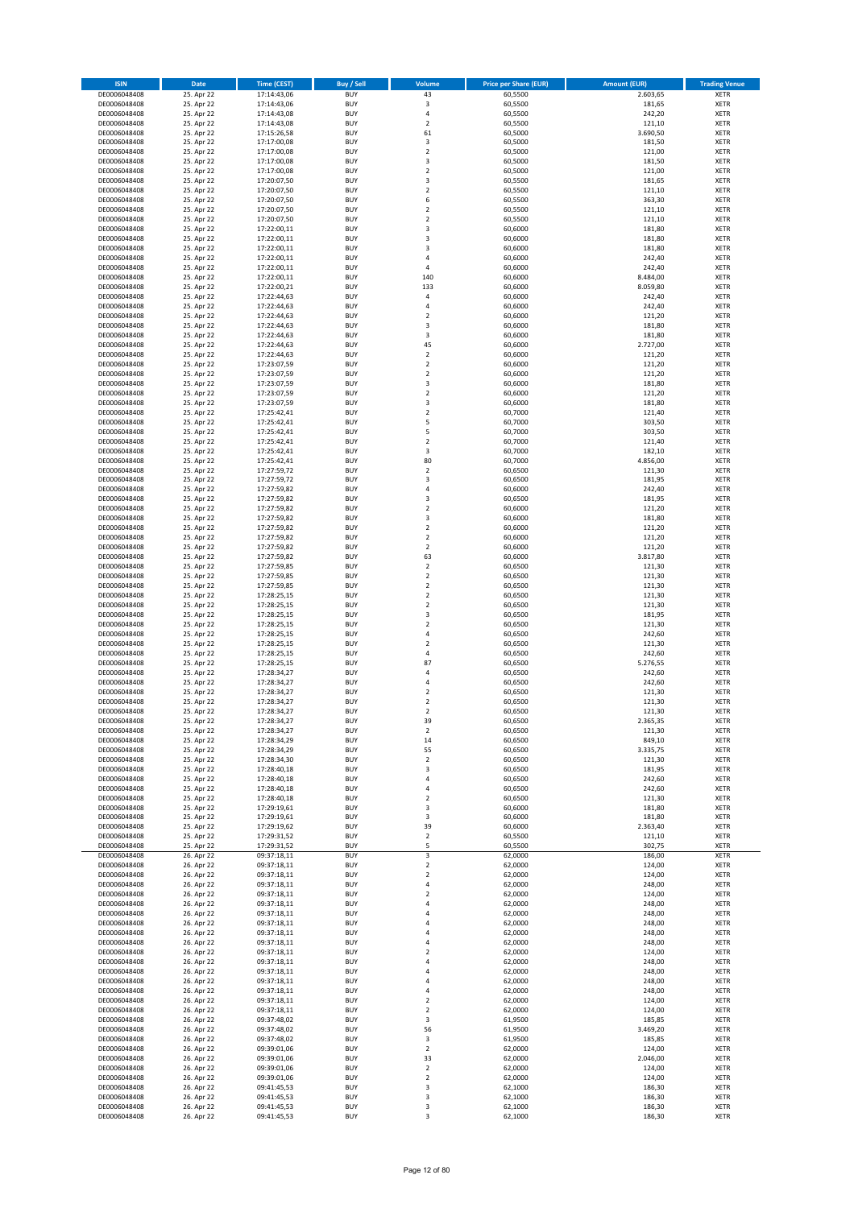| <b>ISIN</b>                  | Date                     | <b>Time (CEST)</b>         | <b>Buy / Sell</b>        | <b>Volume</b>                             | <b>Price per Share (EUR)</b> | <b>Amount (EUR)</b> | <b>Trading Venue</b>       |
|------------------------------|--------------------------|----------------------------|--------------------------|-------------------------------------------|------------------------------|---------------------|----------------------------|
| DE0006048408                 | 25. Apr 22               | 17:14:43,06                | <b>BUY</b>               | 43                                        | 60,5500                      | 2.603,65            | XETR                       |
| DE0006048408                 | 25. Apr 22               | 17:14:43,06                | <b>BUY</b>               | 3                                         | 60,5500                      | 181,65              | XETR                       |
| DE0006048408                 | 25. Apr 22               | 17:14:43,08                | <b>BUY</b>               | $\overline{4}$                            | 60,5500                      | 242,20              | <b>XETR</b>                |
| DE0006048408<br>DE0006048408 | 25. Apr 22<br>25. Apr 22 | 17:14:43,08<br>17:15:26,58 | <b>BUY</b><br><b>BUY</b> | $\overline{2}$<br>61                      | 60,5500<br>60,5000           | 121,10<br>3.690,50  | <b>XETR</b><br><b>XETR</b> |
| DE0006048408                 | 25. Apr 22               | 17:17:00,08                | <b>BUY</b>               | 3                                         | 60,5000                      | 181,50              | <b>XETR</b>                |
| DE0006048408                 | 25. Apr 22               | 17:17:00,08                | <b>BUY</b>               | $\mathbf 2$                               | 60,5000                      | 121,00              | <b>XETR</b>                |
| DE0006048408                 | 25. Apr 22               | 17:17:00,08                | <b>BUY</b>               | $\overline{\mathbf{3}}$                   | 60,5000                      | 181,50              | <b>XETR</b>                |
| DE0006048408                 | 25. Apr 22               | 17:17:00,08                | <b>BUY</b>               | $\mathbf 2$                               | 60,5000                      | 121,00              | <b>XETR</b>                |
| DE0006048408<br>DE0006048408 | 25. Apr 22<br>25. Apr 22 | 17:20:07,50<br>17:20:07,50 | <b>BUY</b><br><b>BUY</b> | $\overline{\mathbf{3}}$<br>$\mathbf 2$    | 60,5500<br>60,5500           | 181,65<br>121,10    | <b>XETR</b><br><b>XETR</b> |
| DE0006048408                 | 25. Apr 22               | 17:20:07,50                | <b>BUY</b>               | 6                                         | 60,5500                      | 363,30              | <b>XETR</b>                |
| DE0006048408                 | 25. Apr 22               | 17:20:07,50                | <b>BUY</b>               | $\overline{2}$                            | 60,5500                      | 121,10              | XETR                       |
| DE0006048408                 | 25. Apr 22               | 17:20:07.50                | <b>BUY</b>               | $\overline{2}$                            | 60,5500                      | 121,10              | <b>XETR</b>                |
| DE0006048408                 | 25. Apr 22               | 17:22:00,11                | <b>BUY</b>               | $\mathsf 3$                               | 60,6000                      | 181,80              | XETR                       |
| DE0006048408<br>DE0006048408 | 25. Apr 22<br>25. Apr 22 | 17:22:00,11                | <b>BUY</b>               | $\overline{\mathbf{3}}$<br>3              | 60,6000                      | 181,80<br>181,80    | <b>XETR</b><br>XETR        |
| DE0006048408                 | 25. Apr 22               | 17:22:00,11<br>17:22:00,11 | <b>BUY</b><br><b>BUY</b> | $\overline{4}$                            | 60,6000<br>60,6000           | 242,40              | <b>XETR</b>                |
| DE0006048408                 | 25. Apr 22               | 17:22:00,11                | <b>BUY</b>               | $\overline{4}$                            | 60,6000                      | 242,40              | <b>XETR</b>                |
| DE0006048408                 | 25. Apr 22               | 17:22:00,11                | <b>BUY</b>               | 140                                       | 60,6000                      | 8.484,00            | <b>XETR</b>                |
| DE0006048408                 | 25. Apr 22               | 17:22:00,21                | <b>BUY</b>               | 133                                       | 60,6000                      | 8.059,80            | <b>XETR</b>                |
| DE0006048408<br>DE0006048408 | 25. Apr 22<br>25. Apr 22 | 17:22:44,63<br>17:22:44,63 | <b>BUY</b><br><b>BUY</b> | 4<br>$\overline{4}$                       | 60,6000<br>60,6000           | 242,40<br>242,40    | <b>XETR</b><br><b>XETR</b> |
| DE0006048408                 | 25. Apr 22               | 17:22:44,63                | <b>BUY</b>               | $\mathbf 2$                               | 60,6000                      | 121,20              | <b>XETR</b>                |
| DE0006048408                 | 25. Apr 22               | 17:22:44,63                | <b>BUY</b>               | 3                                         | 60,6000                      | 181,80              | <b>XETR</b>                |
| DE0006048408                 | 25. Apr 22               | 17:22:44,63                | <b>BUY</b>               | 3                                         | 60,6000                      | 181,80              | <b>XETR</b>                |
| DE0006048408                 | 25. Apr 22               | 17:22:44,63                | <b>BUY</b>               | 45                                        | 60,6000                      | 2.727,00            | XETR                       |
| DE0006048408                 | 25. Apr 22               | 17:22:44,63                | <b>BUY</b>               | $\mathbf 2$                               | 60,6000                      | 121,20              | <b>XETR</b>                |
| DE0006048408<br>DE0006048408 | 25. Apr 22<br>25. Apr 22 | 17:23:07,59<br>17:23:07,59 | <b>BUY</b><br><b>BUY</b> | $\mathbf 2$<br>$\mathbf 2$                | 60,6000<br>60,6000           | 121,20<br>121,20    | <b>XETR</b><br><b>XETR</b> |
| DE0006048408                 | 25. Apr 22               | 17:23:07,59                | <b>BUY</b>               | $\mathsf 3$                               | 60,6000                      | 181,80              | <b>XETR</b>                |
| DE0006048408                 | 25. Apr 22               | 17:23:07,59                | <b>BUY</b>               | $\mathbf 2$                               | 60,6000                      | 121,20              | <b>XETR</b>                |
| DE0006048408                 | 25. Apr 22               | 17:23:07,59                | <b>BUY</b>               | $\overline{\mathbf{3}}$                   | 60,6000                      | 181,80              | <b>XETR</b>                |
| DE0006048408                 | 25. Apr 22               | 17:25:42,41                | <b>BUY</b>               | $\overline{2}$<br>5                       | 60,7000                      | 121,40              | XETR                       |
| DE0006048408<br>DE0006048408 | 25. Apr 22<br>25. Apr 22 | 17:25:42,41<br>17:25:42,41 | <b>BUY</b><br><b>BUY</b> | 5                                         | 60,7000<br>60,7000           | 303,50<br>303,50    | <b>XETR</b><br><b>XETR</b> |
| DE0006048408                 | 25. Apr 22               | 17:25:42,41                | <b>BUY</b>               | $\mathbf 2$                               | 60,7000                      | 121,40              | <b>XETR</b>                |
| DE0006048408                 | 25. Apr 22               | 17:25:42,41                | <b>BUY</b>               | 3                                         | 60,7000                      | 182,10              | XETR                       |
| DE0006048408                 | 25. Apr 22               | 17:25:42.41                | <b>BUY</b>               | 80                                        | 60,7000                      | 4.856,00            | <b>XETR</b>                |
| DE0006048408                 | 25. Apr 22               | 17:27:59,72                | <b>BUY</b>               | $\mathbf 2$                               | 60,6500                      | 121,30              | XETR                       |
| DE0006048408<br>DE0006048408 | 25. Apr 22<br>25. Apr 22 | 17:27:59.72<br>17:27:59,82 | <b>BUY</b><br><b>BUY</b> | $\overline{\mathbf{3}}$<br>$\overline{4}$ | 60,6500<br>60,6000           | 181,95<br>242,40    | <b>XETR</b><br>XETR        |
| DE0006048408                 | 25. Apr 22               | 17:27:59,82                | <b>BUY</b>               | $\overline{\mathbf{3}}$                   | 60,6500                      | 181,95              | <b>XETR</b>                |
| DE0006048408                 | 25. Apr 22               | 17:27:59,82                | <b>BUY</b>               | $\mathbf 2$                               | 60,6000                      | 121,20              | <b>XETR</b>                |
| DE0006048408                 | 25. Apr 22               | 17:27:59,82                | <b>BUY</b>               | 3                                         | 60,6000                      | 181,80              | <b>XETR</b>                |
| DE0006048408                 | 25. Apr 22               | 17:27:59,82                | <b>BUY</b>               | $\mathbf 2$                               | 60,6000                      | 121,20              | XETR                       |
| DE0006048408                 | 25. Apr 22<br>25. Apr 22 | 17:27:59,82                | <b>BUY</b><br><b>BUY</b> | $\overline{\mathbf{c}}$<br>$\mathbf 2$    | 60,6000<br>60,6000           | 121,20<br>121,20    | <b>XETR</b><br><b>XETR</b> |
| DE0006048408<br>DE0006048408 | 25. Apr 22               | 17:27:59,82<br>17:27:59,82 | <b>BUY</b>               | 63                                        | 60,6000                      | 3.817,80            | <b>XETR</b>                |
| DE0006048408                 | 25. Apr 22               | 17:27:59,85                | <b>BUY</b>               | $\overline{2}$                            | 60,6500                      | 121,30              | <b>XETR</b>                |
| DE0006048408                 | 25. Apr 22               | 17:27:59,85                | <b>BUY</b>               | $\overline{2}$                            | 60,6500                      | 121,30              | <b>XETR</b>                |
| DE0006048408                 | 25. Apr 22               | 17:27:59,85                | <b>BUY</b>               | $\mathbf 2$                               | 60,6500                      | 121,30              | <b>XETR</b>                |
| DE0006048408                 | 25. Apr 22<br>25. Apr 22 | 17:28:25,15<br>17:28:25,15 | <b>BUY</b><br><b>BUY</b> | $\mathbf 2$<br>$\mathbf 2$                | 60,6500                      | 121,30              | <b>XETR</b><br><b>XETR</b> |
| DE0006048408<br>DE0006048408 | 25. Apr 22               | 17:28:25,15                | <b>BUY</b>               | 3                                         | 60,6500<br>60,6500           | 121,30<br>181,95    | <b>XETR</b>                |
| DE0006048408                 | 25. Apr 22               | 17:28:25,15                | <b>BUY</b>               | $\mathbf 2$                               | 60,6500                      | 121,30              | <b>XETR</b>                |
| DE0006048408                 | 25. Apr 22               | 17:28:25,15                | <b>BUY</b>               | $\overline{4}$                            | 60,6500                      | 242,60              | <b>XETR</b>                |
| DE0006048408                 | 25. Apr 22               | 17:28:25,15                | <b>BUY</b>               | $\mathbf 2$                               | 60,6500                      | 121,30              | <b>XETR</b>                |
| DE0006048408                 | 25. Apr 22               | 17:28:25,15                | <b>BUY</b>               | $\overline{4}$                            | 60,6500                      | 242,60              | <b>XETR</b>                |
| DE0006048408<br>DE0006048408 | 25. Apr 22<br>25. Apr 22 | 17:28:25,15<br>17:28:34,27 | <b>BUY</b><br><b>BUY</b> | 87<br>$\overline{4}$                      | 60,6500<br>60,6500           | 5.276,55<br>242,60  | <b>XETR</b><br><b>XETR</b> |
| DE0006048408                 | 25. Apr 22               | 17:28:34,27                | <b>BUY</b>               | $\overline{4}$                            | 60,6500                      | 242,60              | <b>XETR</b>                |
| DE0006048408                 | 25. Apr 22               | 17:28:34,27                | <b>BUY</b>               | $\overline{\mathbf{c}}$                   | 60,6500                      | 121,30              | XETR                       |
| DE0006048408                 | 25. Apr 22               | 17:28:34.27                | <b>BUY</b>               | $\mathbf 2$                               | 60,6500                      | 121,30              | <b>XETR</b>                |
| DE0006048408                 | 25. Apr 22               | 17:28:34,27                | <b>BUY</b>               | $\mathbf 2$                               | 60,6500                      | 121,30              | XETR                       |
| DE0006048408<br>DE0006048408 | 25. Apr 22<br>25. Apr 22 | 17:28:34,27<br>17:28:34,27 | <b>BUY</b><br><b>BUY</b> | 39<br>$\mathbf 2$                         | 60,6500<br>60,6500           | 2.365,35<br>121,30  | XETR<br><b>XETR</b>        |
| DE0006048408                 | 25. Apr 22               | 17:28:34,29                | <b>BUY</b>               | 14                                        | 60,6500                      | 849,10              | <b>XETR</b>                |
| DE0006048408                 | 25. Apr 22               | 17:28:34,29                | <b>BUY</b>               | 55                                        | 60,6500                      | 3.335,75            | <b>XETR</b>                |
| DE0006048408                 | 25. Apr 22               | 17:28:34,30                | <b>BUY</b>               | $\mathbf 2$                               | 60,6500                      | 121,30              | <b>XETR</b>                |
| DE0006048408<br>DE0006048408 | 25. Apr 22<br>25. Apr 22 | 17:28:40,18<br>17:28:40,18 | <b>BUY</b><br><b>BUY</b> | 3<br>4                                    | 60,6500<br>60,6500           | 181,95<br>242,60    | <b>XETR</b><br><b>XETR</b> |
| DE0006048408                 | 25. Apr 22               | 17:28:40,18                | <b>BUY</b>               | 4                                         | 60,6500                      | 242,60              | <b>XETR</b>                |
| DE0006048408                 | 25. Apr 22               | 17:28:40,18                | <b>BUY</b>               | $\overline{\mathbf{c}}$                   | 60,6500                      | 121,30              | <b>XETR</b>                |
| DE0006048408                 | 25. Apr 22               | 17:29:19,61                | <b>BUY</b>               | 3                                         | 60,6000                      | 181,80              | <b>XETR</b>                |
| DE0006048408                 | 25. Apr 22               | 17:29:19,61                | <b>BUY</b><br><b>BUY</b> | 3<br>39                                   | 60,6000<br>60,6000           | 181,80              | <b>XETR</b>                |
| DE0006048408<br>DE0006048408 | 25. Apr 22<br>25. Apr 22 | 17:29:19,62<br>17:29:31,52 | <b>BUY</b>               | $\mathbf 2$                               | 60,5500                      | 2.363,40<br>121,10  | <b>XETR</b><br><b>XETR</b> |
| DE0006048408                 | 25. Apr 22               | 17:29:31,52                | <b>BUY</b>               | 5                                         | 60,5500                      | 302,75              | XETR                       |
| DE0006048408                 | 26. Apr 22               | 09:37:18,11                | <b>BUY</b>               | 3                                         | 62,0000                      | 186,00              | <b>XETR</b>                |
| DE0006048408                 | 26. Apr 22               | 09:37:18,11                | <b>BUY</b>               | $\mathbf 2$                               | 62,0000                      | 124,00              | XETR                       |
| DE0006048408                 | 26. Apr 22               | 09:37:18,11<br>09:37:18,11 | <b>BUY</b><br><b>BUY</b> | $\mathbf 2$<br>4                          | 62,0000                      | 124,00              | <b>XETR</b>                |
| DE0006048408<br>DE0006048408 | 26. Apr 22<br>26. Apr 22 | 09:37:18,11                | <b>BUY</b>               | $\overline{\mathbf{c}}$                   | 62,0000<br>62,0000           | 248,00<br>124,00    | <b>XETR</b><br><b>XETR</b> |
| DE0006048408                 | 26. Apr 22               | 09:37:18,11                | <b>BUY</b>               | 4                                         | 62,0000                      | 248,00              | <b>XETR</b>                |
| DE0006048408                 | 26. Apr 22               | 09:37:18,11                | <b>BUY</b>               | 4                                         | 62,0000                      | 248,00              | <b>XETR</b>                |
| DE0006048408                 | 26. Apr 22               | 09:37:18,11                | <b>BUY</b>               | $\overline{4}$                            | 62,0000                      | 248,00              | <b>XETR</b>                |
| DE0006048408<br>DE0006048408 | 26. Apr 22<br>26. Apr 22 | 09:37:18,11<br>09:37:18,11 | <b>BUY</b><br><b>BUY</b> | 4<br>4                                    | 62,0000<br>62,0000           | 248,00<br>248,00    | <b>XETR</b><br><b>XETR</b> |
| DE0006048408                 | 26. Apr 22               | 09:37:18,11                | <b>BUY</b>               | $\overline{\mathbf{c}}$                   | 62,0000                      | 124,00              | <b>XETR</b>                |
| DE0006048408                 | 26. Apr 22               | 09:37:18,11                | <b>BUY</b>               | $\overline{4}$                            | 62,0000                      | 248,00              | <b>XETR</b>                |
| DE0006048408                 | 26. Apr 22               | 09:37:18,11                | <b>BUY</b>               | 4                                         | 62,0000                      | 248,00              | <b>XETR</b>                |
| DE0006048408                 | 26. Apr 22               | 09:37:18,11                | <b>BUY</b>               | $\overline{4}$                            | 62,0000                      | 248,00              | <b>XETR</b>                |
| DE0006048408                 | 26. Apr 22               | 09:37:18,11                | <b>BUY</b>               | 4                                         | 62,0000                      | 248,00              | <b>XETR</b>                |
| DE0006048408<br>DE0006048408 | 26. Apr 22<br>26. Apr 22 | 09:37:18,11<br>09:37:18,11 | <b>BUY</b><br><b>BUY</b> | $\mathbf 2$<br>2                          | 62,0000<br>62,0000           | 124,00<br>124,00    | <b>XETR</b><br><b>XETR</b> |
| DE0006048408                 | 26. Apr 22               | 09:37:48,02                | <b>BUY</b>               | 3                                         | 61,9500                      | 185,85              | <b>XETR</b>                |
| DE0006048408                 | 26. Apr 22               | 09:37:48,02                | <b>BUY</b>               | 56                                        | 61,9500                      | 3.469,20            | <b>XETR</b>                |
| DE0006048408                 | 26. Apr 22               | 09:37:48,02                | <b>BUY</b>               | 3                                         | 61,9500                      | 185,85              | <b>XETR</b>                |
| DE0006048408<br>DE0006048408 | 26. Apr 22<br>26. Apr 22 | 09:39:01,06<br>09:39:01,06 | <b>BUY</b><br><b>BUY</b> | $\mathbf 2$<br>33                         | 62,0000<br>62,0000           | 124,00<br>2.046,00  | <b>XETR</b><br><b>XETR</b> |
| DE0006048408                 | 26. Apr 22               | 09:39:01,06                | <b>BUY</b>               | $\mathbf 2$                               | 62,0000                      | 124,00              | <b>XETR</b>                |
| DE0006048408                 | 26. Apr 22               | 09:39:01,06                | <b>BUY</b>               | $\mathbf 2$                               | 62,0000                      | 124,00              | <b>XETR</b>                |
| DE0006048408                 | 26. Apr 22               | 09:41:45,53                | <b>BUY</b>               | 3                                         | 62,1000                      | 186,30              | <b>XETR</b>                |
| DE0006048408                 | 26. Apr 22               | 09:41:45,53                | <b>BUY</b>               | 3                                         | 62,1000                      | 186,30              | <b>XETR</b>                |
| DE0006048408<br>DE0006048408 | 26. Apr 22<br>26. Apr 22 | 09:41:45,53<br>09:41:45,53 | <b>BUY</b><br><b>BUY</b> | 3<br>3                                    | 62,1000<br>62,1000           | 186,30<br>186,30    | <b>XETR</b><br><b>XETR</b> |
|                              |                          |                            |                          |                                           |                              |                     |                            |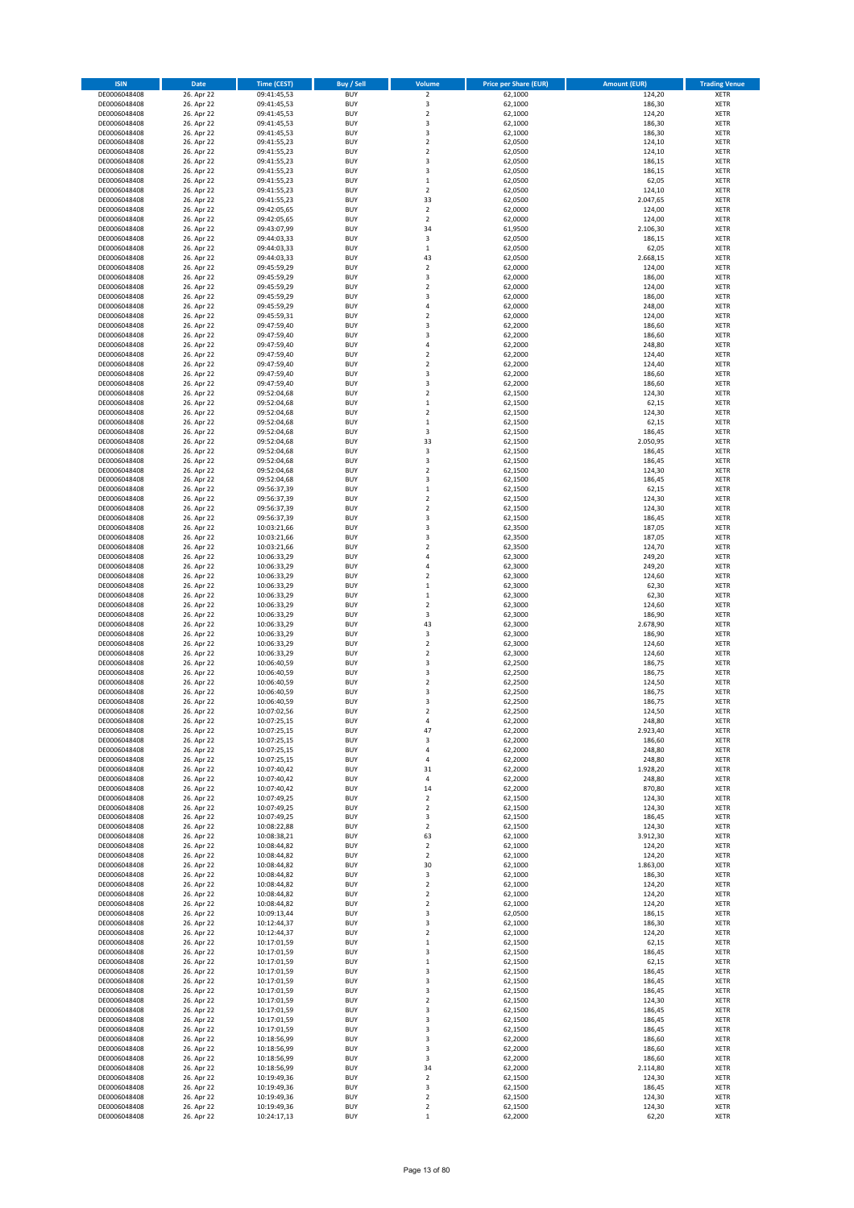| <b>ISIN</b>                  | Date                     | <b>Time (CEST)</b>         | Buy / Sell               | Volume                                 | <b>Price per Share (EUR)</b> | <b>Amount (EUR)</b> | <b>Trading Venue</b>       |
|------------------------------|--------------------------|----------------------------|--------------------------|----------------------------------------|------------------------------|---------------------|----------------------------|
| DE0006048408                 | 26. Apr 22               | 09:41:45,53                | <b>BUY</b>               | $\mathbf 2$                            | 62,1000                      | 124,20              | XETR                       |
| DE0006048408<br>DE0006048408 | 26. Apr 22<br>26. Apr 22 | 09:41:45,53<br>09:41:45,53 | <b>BUY</b><br><b>BUY</b> | 3<br>$\mathbf 2$                       | 62,1000<br>62,1000           | 186,30<br>124,20    | XETR<br><b>XETR</b>        |
| DE0006048408                 | 26. Apr 22               | 09:41:45,53                | <b>BUY</b>               | 3                                      | 62,1000                      | 186,30              | <b>XETR</b>                |
| DE0006048408                 | 26. Apr 22               | 09:41:45,53                | <b>BUY</b>               | 3                                      | 62,1000                      | 186,30              | <b>XETR</b>                |
| DE0006048408                 | 26. Apr 22               | 09:41:55,23                | <b>BUY</b>               | $\overline{\mathbf{c}}$                | 62,0500                      | 124,10              | <b>XETR</b>                |
| DE0006048408<br>DE0006048408 | 26. Apr 22<br>26. Apr 22 | 09:41:55,23<br>09:41:55,23 | <b>BUY</b><br><b>BUY</b> | $\overline{\mathbf{c}}$<br>3           | 62,0500<br>62,0500           | 124,10<br>186,15    | <b>XETR</b><br><b>XETR</b> |
| DE0006048408                 | 26. Apr 22               | 09:41:55,23                | <b>BUY</b>               | 3                                      | 62,0500                      | 186,15              | <b>XETR</b>                |
| DE0006048408                 | 26. Apr 22               | 09:41:55,23                | <b>BUY</b>               | $\mathbf 1$                            | 62,0500                      | 62,05               | <b>XETR</b>                |
| DE0006048408                 | 26. Apr 22               | 09:41:55,23                | <b>BUY</b>               | $\mathbf 2$                            | 62,0500                      | 124,10              | XETR                       |
| DE0006048408                 | 26. Apr 22               | 09:41:55,23                | <b>BUY</b>               | 33                                     | 62,0500                      | 2.047,65            | <b>XETR</b>                |
| DE0006048408<br>DE0006048408 | 26. Apr 22<br>26. Apr 22 | 09:42:05,65<br>09:42:05,65 | <b>BUY</b><br><b>BUY</b> | $\mathbf 2$<br>$\overline{\mathbf{c}}$ | 62,0000<br>62,0000           | 124,00<br>124,00    | XETR<br><b>XETR</b>        |
| DE0006048408                 | 26. Apr 22               | 09:43:07,99                | <b>BUY</b>               | 34                                     | 61,9500                      | 2.106,30            | XETR                       |
| DE0006048408                 | 26. Apr 22               | 09:44:03,33                | <b>BUY</b>               | 3                                      | 62,0500                      | 186,15              | <b>XETR</b>                |
| DE0006048408                 | 26. Apr 22               | 09:44:03,33                | <b>BUY</b>               | $\mathbf 1$                            | 62,0500                      | 62,05               | XETR                       |
| DE0006048408<br>DE0006048408 | 26. Apr 22<br>26. Apr 22 | 09:44:03,33<br>09:45:59,29 | <b>BUY</b><br><b>BUY</b> | 43<br>$\mathbf 2$                      | 62,0500<br>62,0000           | 2.668,15<br>124,00  | <b>XETR</b><br>XETR        |
| DE0006048408                 | 26. Apr 22               | 09:45:59,29                | <b>BUY</b>               | 3                                      | 62,0000                      | 186,00              | <b>XETR</b>                |
| DE0006048408                 | 26. Apr 22               | 09:45:59,29                | <b>BUY</b>               | $\overline{\mathbf{c}}$                | 62,0000                      | 124,00              | <b>XETR</b>                |
| DE0006048408                 | 26. Apr 22               | 09:45:59,29                | <b>BUY</b>               | 3                                      | 62,0000                      | 186,00              | <b>XETR</b>                |
| DE0006048408<br>DE0006048408 | 26. Apr 22<br>26. Apr 22 | 09:45:59,29<br>09:45:59,31 | <b>BUY</b><br><b>BUY</b> | $\overline{4}$<br>$\mathbf 2$          | 62,0000<br>62,0000           | 248,00<br>124,00    | <b>XETR</b><br><b>XETR</b> |
| DE0006048408                 | 26. Apr 22               | 09:47:59,40                | <b>BUY</b>               | 3                                      | 62,2000                      | 186,60              | <b>XETR</b>                |
| DE0006048408                 | 26. Apr 22               | 09:47:59,40                | <b>BUY</b>               | 3                                      | 62,2000                      | 186,60              | <b>XETR</b>                |
| DE0006048408                 | 26. Apr 22               | 09:47:59,40                | <b>BUY</b>               | $\overline{4}$                         | 62,2000                      | 248,80              | <b>XETR</b>                |
| DE0006048408                 | 26. Apr 22               | 09:47:59,40                | <b>BUY</b><br><b>BUY</b> | $\overline{\mathbf{c}}$                | 62,2000                      | 124,40              | <b>XETR</b><br><b>XETR</b> |
| DE0006048408<br>DE0006048408 | 26. Apr 22<br>26. Apr 22 | 09:47:59,40<br>09:47:59,40 | <b>BUY</b>               | $\mathbf 2$<br>3                       | 62,2000<br>62,2000           | 124,40<br>186,60    | <b>XETR</b>                |
| DE0006048408                 | 26. Apr 22               | 09:47:59,40                | <b>BUY</b>               | 3                                      | 62,2000                      | 186,60              | <b>XETR</b>                |
| DE0006048408                 | 26. Apr 22               | 09:52:04,68                | <b>BUY</b>               | $\overline{\mathbf{c}}$                | 62,1500                      | 124,30              | <b>XETR</b>                |
| DE0006048408                 | 26. Apr 22               | 09:52:04,68                | <b>BUY</b>               | $\mathbf 1$                            | 62,1500                      | 62,15               | <b>XETR</b>                |
| DE0006048408<br>DE0006048408 | 26. Apr 22<br>26. Apr 22 | 09:52:04,68<br>09:52:04,68 | <b>BUY</b><br><b>BUY</b> | $\mathbf 2$<br>$\mathbf 1$             | 62,1500<br>62,1500           | 124,30<br>62,15     | XETR<br><b>XETR</b>        |
| DE0006048408                 | 26. Apr 22               | 09:52:04,68                | <b>BUY</b>               | 3                                      | 62,1500                      | 186,45              | XETR                       |
| DE0006048408                 | 26. Apr 22               | 09:52:04,68                | <b>BUY</b>               | 33                                     | 62,1500                      | 2.050,95            | <b>XETR</b>                |
| DE0006048408                 | 26. Apr 22               | 09:52:04,68                | <b>BUY</b>               | 3                                      | 62,1500                      | 186,45              | XETR                       |
| DE0006048408<br>DE0006048408 | 26. Apr 22<br>26. Apr 22 | 09:52:04,68<br>09:52:04,68 | <b>BUY</b><br><b>BUY</b> | 3<br>$\overline{\mathbf{c}}$           | 62,1500<br>62,1500           | 186,45<br>124,30    | <b>XETR</b><br><b>XETR</b> |
| DE0006048408                 | 26. Apr 22               | 09:52:04,68                | <b>BUY</b>               | 3                                      | 62,1500                      | 186,45              | <b>XETR</b>                |
| DE0006048408                 | 26. Apr 22               | 09:56:37,39                | <b>BUY</b>               | $\mathbf 1$                            | 62,1500                      | 62,15               | <b>XETR</b>                |
| DE0006048408                 | 26. Apr 22               | 09:56:37,39                | <b>BUY</b>               | $\overline{\mathbf{c}}$                | 62,1500                      | 124,30              | <b>XETR</b>                |
| DE0006048408                 | 26. Apr 22               | 09:56:37,39                | <b>BUY</b>               | $\overline{\mathbf{c}}$                | 62,1500                      | 124,30              | <b>XETR</b>                |
| DE0006048408<br>DE0006048408 | 26. Apr 22<br>26. Apr 22 | 09:56:37,39<br>10:03:21,66 | <b>BUY</b><br><b>BUY</b> | 3<br>3                                 | 62,1500<br>62,3500           | 186,45<br>187,05    | <b>XETR</b><br>XETR        |
| DE0006048408                 | 26. Apr 22               | 10:03:21,66                | <b>BUY</b>               | 3                                      | 62,3500                      | 187,05              | XETR                       |
| DE0006048408                 | 26. Apr 22               | 10:03:21,66                | <b>BUY</b>               | $\mathbf 2$                            | 62,3500                      | 124,70              | <b>XETR</b>                |
| DE0006048408                 | 26. Apr 22               | 10:06:33,29                | <b>BUY</b>               | 4                                      | 62,3000                      | 249,20              | <b>XETR</b>                |
| DE0006048408<br>DE0006048408 | 26. Apr 22<br>26. Apr 22 | 10:06:33,29<br>10:06:33,29 | <b>BUY</b><br><b>BUY</b> | 4<br>$\overline{\mathbf{2}}$           | 62,3000<br>62,3000           | 249,20<br>124,60    | XETR<br><b>XETR</b>        |
| DE0006048408                 | 26. Apr 22               | 10:06:33,29                | <b>BUY</b>               | $\mathbf 1$                            | 62,3000                      | 62,30               | <b>XETR</b>                |
| DE0006048408                 | 26. Apr 22               | 10:06:33,29                | <b>BUY</b>               | $\mathbf 1$                            | 62,3000                      | 62,30               | <b>XETR</b>                |
| DE0006048408                 | 26. Apr 22               | 10:06:33,29                | <b>BUY</b>               | $\mathbf 2$                            | 62,3000                      | 124,60              | <b>XETR</b>                |
| DE0006048408<br>DE0006048408 | 26. Apr 22<br>26. Apr 22 | 10:06:33,29<br>10:06:33,29 | <b>BUY</b><br><b>BUY</b> | 3<br>43                                | 62,3000<br>62,3000           | 186,90<br>2.678,90  | <b>XETR</b><br><b>XETR</b> |
| DE0006048408                 | 26. Apr 22               | 10:06:33,29                | <b>BUY</b>               | 3                                      | 62,3000                      | 186,90              | <b>XETR</b>                |
| DE0006048408                 | 26. Apr 22               | 10:06:33,29                | <b>BUY</b>               | $\mathbf 2$                            | 62,3000                      | 124,60              | <b>XETR</b>                |
| DE0006048408                 | 26. Apr 22               | 10:06:33,29                | <b>BUY</b>               | $\mathbf 2$                            | 62,3000                      | 124,60              | <b>XETR</b>                |
| DE0006048408<br>DE0006048408 | 26. Apr 22<br>26. Apr 22 | 10:06:40,59<br>10:06:40,59 | <b>BUY</b><br><b>BUY</b> | 3<br>3                                 | 62,2500                      | 186,75<br>186,75    | <b>XETR</b><br>XETR        |
| DE0006048408                 | 26. Apr 22               | 10:06:40,59                | <b>BUY</b>               | $\mathbf 2$                            | 62,2500<br>62,2500           | 124,50              | <b>XETR</b>                |
| DE0006048408                 | 26. Apr 22               | 10:06:40,59                | <b>BUY</b>               | 3                                      | 62,2500                      | 186,75              | XETR                       |
| DE0006048408                 | 26. Apr 22               | 10:06:40,59                | <b>BUY</b>               | 3                                      | 62,2500                      | 186,75              | <b>XETR</b>                |
| DE0006048408                 | 26. Apr 22<br>26. Apr 22 | 10:07:02,56                | <b>BUY</b>               | $\mathbf 2$<br>4                       | 62,2500                      | 124,50              | XETR                       |
| DE0006048408<br>DE0006048408 | 26. Apr 22               | 10:07:25,15<br>10:07:25,15 | <b>BUY</b><br><b>BUY</b> | 47                                     | 62,2000<br>62,2000           | 248,80<br>2.923,40  | <b>XETR</b><br>XETR        |
| DE0006048408                 | 26. Apr 22               | 10:07:25,15                | <b>BUY</b>               | 3                                      | 62,2000                      | 186,60              | XETR                       |
| DE0006048408                 | 26. Apr 22               | 10:07:25,15                | <b>BUY</b>               | 4                                      | 62,2000                      | 248,80              | <b>XETR</b>                |
| DE0006048408                 | 26. Apr 22               | 10:07:25,15<br>10:07:40,42 | <b>BUY</b>               | 4                                      | 62,2000                      | 248,80              | <b>XETR</b>                |
| DE0006048408<br>DE0006048408 | 26. Apr 22<br>26. Apr 22 | 10:07:40,42                | <b>BUY</b><br><b>BUY</b> | 31<br>4                                | 62,2000<br>62,2000           | 1.928,20<br>248,80  | XETR<br><b>XETR</b>        |
| DE0006048408                 | 26. Apr 22               | 10:07:40,42                | <b>BUY</b>               | 14                                     | 62,2000                      | 870,80              | XETR                       |
| DE0006048408                 | 26. Apr 22               | 10:07:49,25                | <b>BUY</b>               | $\mathbf 2$                            | 62,1500                      | 124,30              | <b>XETR</b>                |
| DE0006048408                 | 26. Apr 22<br>26. Apr 22 | 10:07:49,25                | <b>BUY</b>               | $\mathbf 2$                            | 62,1500<br>62,1500           | 124,30              | XETR                       |
| DE0006048408<br>DE0006048408 | 26. Apr 22               | 10:07:49,25<br>10:08:22,88 | <b>BUY</b><br><b>BUY</b> | 3<br>$\mathbf 2$                       | 62,1500                      | 186,45<br>124,30    | <b>XETR</b><br>XETR        |
| DE0006048408                 | 26. Apr 22               | 10:08:38,21                | <b>BUY</b>               | 63                                     | 62,1000                      | 3.912,30            | <b>XETR</b>                |
| DE0006048408                 | 26. Apr 22               | 10:08:44,82                | <b>BUY</b>               | $\boldsymbol{2}$                       | 62,1000                      | 124,20              | XETR                       |
| DE0006048408<br>DE0006048408 | 26. Apr 22<br>26. Apr 22 | 10:08:44,82<br>10:08:44,82 | <b>BUY</b><br><b>BUY</b> | $\mathbf 2$<br>30                      | 62,1000<br>62,1000           | 124,20<br>1.863,00  | <b>XETR</b><br>XETR        |
| DE0006048408                 | 26. Apr 22               | 10:08:44,82                | <b>BUY</b>               | 3                                      | 62,1000                      | 186,30              | <b>XETR</b>                |
| DE0006048408                 | 26. Apr 22               | 10:08:44,82                | <b>BUY</b>               | 2                                      | 62,1000                      | 124,20              | <b>XETR</b>                |
| DE0006048408                 | 26. Apr 22               | 10:08:44,82                | <b>BUY</b>               | 2                                      | 62,1000                      | 124,20              | <b>XETR</b>                |
| DE0006048408                 | 26. Apr 22               | 10:08:44,82                | <b>BUY</b>               | $\mathbf 2$                            | 62,1000<br>62,0500           | 124,20              | XETR                       |
| DE0006048408<br>DE0006048408 | 26. Apr 22<br>26. Apr 22 | 10:09:13,44<br>10:12:44,37 | <b>BUY</b><br><b>BUY</b> | 3<br>3                                 | 62,1000                      | 186,15<br>186,30    | <b>XETR</b><br><b>XETR</b> |
| DE0006048408                 | 26. Apr 22               | 10:12:44,37                | <b>BUY</b>               | 2                                      | 62,1000                      | 124,20              | XETR                       |
| DE0006048408                 | 26. Apr 22               | 10:17:01,59                | <b>BUY</b>               | $\mathbf 1$                            | 62,1500                      | 62,15               | <b>XETR</b>                |
| DE0006048408                 | 26. Apr 22               | 10:17:01,59                | <b>BUY</b><br><b>BUY</b> | 3                                      | 62,1500                      | 186,45              | XETR                       |
| DE0006048408<br>DE0006048408 | 26. Apr 22<br>26. Apr 22 | 10:17:01,59<br>10:17:01,59 | <b>BUY</b>               | $\mathbf 1$<br>3                       | 62,1500<br>62,1500           | 62,15<br>186,45     | <b>XETR</b><br>XETR        |
| DE0006048408                 | 26. Apr 22               | 10:17:01,59                | <b>BUY</b>               | 3                                      | 62,1500                      | 186,45              | <b>XETR</b>                |
| DE0006048408                 | 26. Apr 22               | 10:17:01,59                | <b>BUY</b>               | 3                                      | 62,1500                      | 186,45              | XETR                       |
| DE0006048408                 | 26. Apr 22               | 10:17:01,59                | <b>BUY</b>               | $\mathbf 2$                            | 62,1500                      | 124,30              | <b>XETR</b>                |
| DE0006048408<br>DE0006048408 | 26. Apr 22<br>26. Apr 22 | 10:17:01,59<br>10:17:01,59 | <b>BUY</b><br><b>BUY</b> | 3<br>3                                 | 62,1500<br>62,1500           | 186,45<br>186,45    | XETR<br><b>XETR</b>        |
| DE0006048408                 | 26. Apr 22               | 10:17:01,59                | <b>BUY</b>               | 3                                      | 62,1500                      | 186,45              | XETR                       |
| DE0006048408                 | 26. Apr 22               | 10:18:56,99                | <b>BUY</b>               | 3                                      | 62,2000                      | 186,60              | <b>XETR</b>                |
| DE0006048408                 | 26. Apr 22               | 10:18:56,99                | <b>BUY</b>               | 3                                      | 62,2000                      | 186,60              | <b>XETR</b>                |
| DE0006048408<br>DE0006048408 | 26. Apr 22<br>26. Apr 22 | 10:18:56,99<br>10:18:56,99 | <b>BUY</b><br><b>BUY</b> | 3<br>34                                | 62,2000<br>62,2000           | 186,60<br>2.114,80  | <b>XETR</b><br>XETR        |
| DE0006048408                 | 26. Apr 22               | 10:19:49,36                | <b>BUY</b>               | $\mathbf 2$                            | 62,1500                      | 124,30              | <b>XETR</b>                |
| DE0006048408                 | 26. Apr 22               | 10:19:49,36                | <b>BUY</b>               | 3                                      | 62,1500                      | 186,45              | XETR                       |
| DE0006048408                 | 26. Apr 22               | 10:19:49,36                | <b>BUY</b>               | $\mathbf 2$                            | 62,1500                      | 124,30              | XETR                       |
| DE0006048408<br>DE0006048408 | 26. Apr 22<br>26. Apr 22 | 10:19:49,36<br>10:24:17,13 | <b>BUY</b><br><b>BUY</b> | $\mathbf 2$<br>$\mathbf 1$             | 62,1500<br>62,2000           | 124,30<br>62,20     | XETR<br><b>XETR</b>        |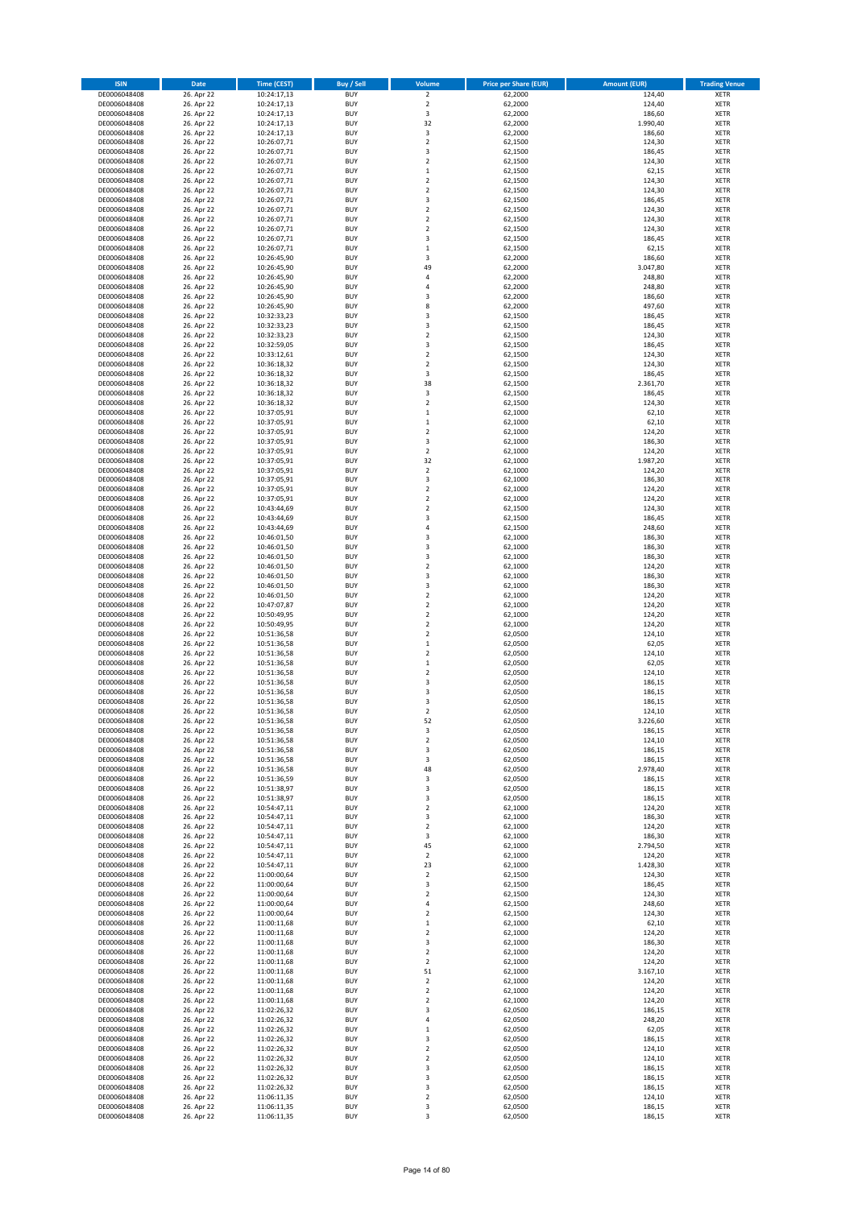| <b>ISIN</b>                  | Date                     | <b>Time (CEST)</b>         | <b>Buy / Sell</b>        | Volume                                | <b>Price per Share (EUR)</b> | <b>Amount (EUR)</b> | <b>Trading Venue</b>       |
|------------------------------|--------------------------|----------------------------|--------------------------|---------------------------------------|------------------------------|---------------------|----------------------------|
| DE0006048408                 | 26. Apr 22               | 10:24:17,13                | <b>BUY</b>               | $\overline{2}$                        | 62,2000                      | 124,40              | <b>XETR</b>                |
| DE0006048408                 | 26. Apr 22               | 10:24:17,13                | <b>BUY</b>               | $\mathbf 2$                           | 62,2000                      | 124,40              | <b>XETR</b>                |
| DE0006048408<br>DE0006048408 | 26. Apr 22<br>26. Apr 22 | 10:24:17,13<br>10:24:17,13 | <b>BUY</b><br><b>BUY</b> | $\overline{\mathbf{3}}$<br>32         | 62,2000<br>62,2000           | 186,60<br>1.990,40  | <b>XETR</b><br><b>XETR</b> |
| DE0006048408                 | 26. Apr 22               | 10:24:17,13                | <b>BUY</b>               | $\mathsf 3$                           | 62,2000                      | 186,60              | <b>XETR</b>                |
| DE0006048408                 | 26. Apr 22               | 10:26:07,71                | <b>BUY</b>               | $\overline{2}$                        | 62,1500                      | 124,30              | <b>XETR</b>                |
| DE0006048408                 | 26. Apr 22               | 10:26:07,71                | <b>BUY</b>               | 3                                     | 62,1500                      | 186,45              | <b>XETR</b>                |
| DE0006048408                 | 26. Apr 22               | 10:26:07,71                | <b>BUY</b>               | $\overline{2}$                        | 62,1500                      | 124,30              | <b>XETR</b>                |
| DE0006048408<br>DE0006048408 | 26. Apr 22<br>26. Apr 22 | 10:26:07,71                | <b>BUY</b><br><b>BUY</b> | $\,$ 1<br>$\overline{2}$              | 62,1500<br>62,1500           | 62,15<br>124,30     | XETR<br><b>XETR</b>        |
| DE0006048408                 | 26. Apr 22               | 10:26:07,71<br>10:26:07,71 | <b>BUY</b>               | $\overline{2}$                        | 62,1500                      | 124,30              | XETR                       |
| DE0006048408                 | 26. Apr 22               | 10:26:07,71                | <b>BUY</b>               | 3                                     | 62,1500                      | 186,45              | <b>XETR</b>                |
| DE0006048408                 | 26. Apr 22               | 10:26:07,71                | <b>BUY</b>               | $\mathbf 2$                           | 62,1500                      | 124,30              | XETR                       |
| DE0006048408                 | 26. Apr 22               | 10:26:07,71                | <b>BUY</b>               | $\overline{2}$                        | 62,1500                      | 124,30              | <b>XETR</b>                |
| DE0006048408                 | 26. Apr 22               | 10:26:07,71                | <b>BUY</b>               | $\mathbf 2$                           | 62,1500                      | 124,30              | <b>XETR</b>                |
| DE0006048408<br>DE0006048408 | 26. Apr 22<br>26. Apr 22 | 10:26:07,71<br>10:26:07,71 | <b>BUY</b><br><b>BUY</b> | 3<br>$\,$ 1                           | 62,1500<br>62,1500           | 186,45<br>62,15     | <b>XETR</b><br>XETR        |
| DE0006048408                 | 26. Apr 22               | 10:26:45,90                | <b>BUY</b>               | 3                                     | 62,2000                      | 186,60              | <b>XETR</b>                |
| DE0006048408                 | 26. Apr 22               | 10:26:45,90                | <b>BUY</b>               | 49                                    | 62,2000                      | 3.047,80            | XETR                       |
| DE0006048408                 | 26. Apr 22               | 10:26:45,90                | <b>BUY</b>               | 4                                     | 62,2000                      | 248,80              | <b>XETR</b>                |
| DE0006048408                 | 26. Apr 22               | 10:26:45,90                | <b>BUY</b>               | $\sqrt{4}$                            | 62,2000                      | 248,80              | <b>XETR</b>                |
| DE0006048408<br>DE0006048408 | 26. Apr 22<br>26. Apr 22 | 10:26:45,90<br>10:26:45,90 | <b>BUY</b><br><b>BUY</b> | 3<br>8                                | 62,2000<br>62,2000           | 186,60<br>497,60    | <b>XETR</b><br><b>XETR</b> |
| DE0006048408                 | 26. Apr 22               | 10:32:33,23                | <b>BUY</b>               | 3                                     | 62,1500                      | 186,45              | <b>XETR</b>                |
| DE0006048408                 | 26. Apr 22               | 10:32:33,23                | <b>BUY</b>               | 3                                     | 62,1500                      | 186,45              | <b>XETR</b>                |
| DE0006048408                 | 26. Apr 22               | 10:32:33,23                | <b>BUY</b>               | $\overline{2}$                        | 62,1500                      | 124,30              | <b>XETR</b>                |
| DE0006048408                 | 26. Apr 22               | 10:32:59,05                | <b>BUY</b>               | 3                                     | 62,1500                      | 186,45              | <b>XETR</b>                |
| DE0006048408<br>DE0006048408 | 26. Apr 22<br>26. Apr 22 | 10:33:12,61                | <b>BUY</b><br><b>BUY</b> | $\overline{2}$<br>$\mathbf 2$         | 62,1500<br>62,1500           | 124,30<br>124,30    | <b>XETR</b><br><b>XETR</b> |
| DE0006048408                 | 26. Apr 22               | 10:36:18,32<br>10:36:18,32 | <b>BUY</b>               | 3                                     | 62,1500                      | 186,45              | <b>XETR</b>                |
| DE0006048408                 | 26. Apr 22               | 10:36:18,32                | <b>BUY</b>               | 38                                    | 62,1500                      | 2.361,70            | <b>XETR</b>                |
| DE0006048408                 | 26. Apr 22               | 10:36:18,32                | <b>BUY</b>               | 3                                     | 62,1500                      | 186,45              | <b>XETR</b>                |
| DE0006048408                 | 26. Apr 22               | 10:36:18,32                | <b>BUY</b>               | $\overline{2}$                        | 62,1500                      | 124,30              | <b>XETR</b>                |
| DE0006048408                 | 26. Apr 22<br>26. Apr 22 | 10:37:05,91                | <b>BUY</b><br><b>BUY</b> | $\,$ 1<br>$\mathbf 1$                 | 62,1000<br>62,1000           | 62,10<br>62,10      | XETR<br><b>XETR</b>        |
| DE0006048408<br>DE0006048408 | 26. Apr 22               | 10:37:05,91<br>10:37:05,91 | <b>BUY</b>               | $\overline{2}$                        | 62,1000                      | 124,20              | XETR                       |
| DE0006048408                 | 26. Apr 22               | 10:37:05,91                | <b>BUY</b>               | 3                                     | 62,1000                      | 186,30              | <b>XETR</b>                |
| DE0006048408                 | 26. Apr 22               | 10:37:05,91                | <b>BUY</b>               | $\mathbf 2$                           | 62,1000                      | 124,20              | XETR                       |
| DE0006048408                 | 26. Apr 22               | 10:37:05,91                | <b>BUY</b>               | 32                                    | 62,1000                      | 1.987,20            | <b>XETR</b>                |
| DE0006048408                 | 26. Apr 22               | 10:37:05,91                | <b>BUY</b>               | $\overline{2}$                        | 62,1000                      | 124,20              | <b>XETR</b>                |
| DE0006048408<br>DE0006048408 | 26. Apr 22<br>26. Apr 22 | 10:37:05,91<br>10:37:05,91 | <b>BUY</b><br><b>BUY</b> | 3<br>$\overline{2}$                   | 62,1000<br>62,1000           | 186,30<br>124,20    | <b>XETR</b><br>XETR        |
| DE0006048408                 | 26. Apr 22               | 10:37:05,91                | <b>BUY</b>               | $\overline{2}$                        | 62,1000                      | 124,20              | <b>XETR</b>                |
| DE0006048408                 | 26. Apr 22               | 10:43:44,69                | <b>BUY</b>               | $\overline{2}$                        | 62,1500                      | 124,30              | <b>XETR</b>                |
| DE0006048408                 | 26. Apr 22               | 10:43:44,69                | <b>BUY</b>               | 3                                     | 62,1500                      | 186,45              | <b>XETR</b>                |
| DE0006048408                 | 26. Apr 22               | 10:43:44,69                | <b>BUY</b>               | $\sqrt{4}$                            | 62,1500                      | 248,60              | XETR                       |
| DE0006048408<br>DE0006048408 | 26. Apr 22<br>26. Apr 22 | 10:46:01,50<br>10:46:01,50 | <b>BUY</b><br><b>BUY</b> | 3<br>3                                | 62,1000<br>62,1000           | 186,30<br>186,30    | <b>XETR</b><br><b>XETR</b> |
| DE0006048408                 | 26. Apr 22               | 10:46:01,50                | <b>BUY</b>               | 3                                     | 62,1000                      | 186,30              | <b>XETR</b>                |
| DE0006048408                 | 26. Apr 22               | 10:46:01,50                | <b>BUY</b>               | $\mathbf 2$                           | 62,1000                      | 124,20              | <b>XETR</b>                |
| DE0006048408                 | 26. Apr 22               | 10:46:01,50                | <b>BUY</b>               | 3                                     | 62,1000                      | 186,30              | <b>XETR</b>                |
| DE0006048408                 | 26. Apr 22               | 10:46:01,50                | <b>BUY</b>               | 3                                     | 62,1000                      | 186,30              | <b>XETR</b>                |
| DE0006048408                 | 26. Apr 22               | 10:46:01,50                | <b>BUY</b>               | $\mathbf 2$                           | 62,1000                      | 124,20              | <b>XETR</b>                |
| DE0006048408<br>DE0006048408 | 26. Apr 22<br>26. Apr 22 | 10:47:07,87<br>10:50:49,95 | <b>BUY</b><br><b>BUY</b> | $\overline{2}$<br>$\mathbf 2$         | 62,1000<br>62,1000           | 124,20<br>124,20    | <b>XETR</b><br><b>XETR</b> |
| DE0006048408                 | 26. Apr 22               | 10:50:49,95                | <b>BUY</b>               | $\overline{2}$                        | 62,1000                      | 124,20              | <b>XETR</b>                |
| DE0006048408                 | 26. Apr 22               | 10:51:36,58                | <b>BUY</b>               | $\mathbf 2$                           | 62,0500                      | 124,10              | <b>XETR</b>                |
| DE0006048408                 | 26. Apr 22               | 10:51:36,58                | <b>BUY</b>               | $\,1\,$                               | 62,0500                      | 62,05               | <b>XETR</b>                |
| DE0006048408                 | 26. Apr 22               | 10:51:36,58                | <b>BUY</b>               | $\overline{2}$                        | 62,0500                      | 124,10              | <b>XETR</b>                |
| DE0006048408<br>DE0006048408 | 26. Apr 22<br>26. Apr 22 | 10:51:36,58<br>10:51:36,58 | <b>BUY</b><br><b>BUY</b> | $\mathbf 1$<br>$\overline{2}$         | 62,0500<br>62,0500           | 62,05<br>124,10     | <b>XETR</b><br>XETR        |
| DE0006048408                 | 26. Apr 22               | 10:51:36,58                | <b>BUY</b>               | 3                                     | 62,0500                      | 186,15              | <b>XETR</b>                |
| DE0006048408                 | 26. Apr 22               | 10:51:36,58                | <b>BUY</b>               | 3                                     | 62,0500                      | 186,15              | <b>XETR</b>                |
| DE0006048408                 | 26. Apr 22               | 10:51:36,58                | <b>BUY</b>               | 3                                     | 62,0500                      | 186,15              | <b>XETR</b>                |
| DE0006048408                 | 26. Apr 22               | 10:51:36,58                | <b>BUY</b>               | $\overline{2}$                        | 62,0500                      | 124,10              | <b>XETR</b>                |
| DE0006048408<br>DE0006048408 | 26. Apr 22<br>26. Apr 22 | 10:51:36,58<br>10:51:36,58 | <b>BUY</b><br><b>BUY</b> | 52<br>3                               | 62,0500<br>62,0500           | 3.226,60<br>186,15  | XETR<br>XETR               |
| DE0006048408                 | 26. Apr 22               | 10:51:36,58                | <b>BUY</b>               | $\mathbf 2$                           | 62,0500                      | 124,10              | XETR                       |
| DE0006048408                 | 26. Apr 22               | 10:51:36,58                | <b>BUY</b>               | 3                                     | 62,0500                      | 186,15              | XETR                       |
| DE0006048408                 | 26. Apr 22               | 10:51:36,58                | <b>BUY</b>               | 3                                     | 62,0500                      | 186,15              | XETR                       |
| DE0006048408                 | 26. Apr 22               | 10:51:36,58                | <b>BUY</b>               | 48                                    | 62,0500                      | 2.978,40            | XETR                       |
| DE0006048408<br>DE0006048408 | 26. Apr 22<br>26. Apr 22 | 10:51:36,59<br>10:51:38,97 | <b>BUY</b><br><b>BUY</b> | 3<br>3                                | 62,0500<br>62,0500           | 186,15<br>186,15    | <b>XETR</b><br><b>XETR</b> |
| DE0006048408                 | 26. Apr 22               | 10:51:38,97                | <b>BUY</b>               | 3                                     | 62,0500                      | 186,15              | <b>XETR</b>                |
| DE0006048408                 | 26. Apr 22               | 10:54:47,11                | <b>BUY</b>               | $\mathbf 2$                           | 62,1000                      | 124,20              | <b>XETR</b>                |
| DE0006048408                 | 26. Apr 22               | 10:54:47,11                | <b>BUY</b>               | 3                                     | 62,1000                      | 186,30              | <b>XETR</b>                |
| DE0006048408                 | 26. Apr 22               | 10:54:47,11                | <b>BUY</b>               | $\overline{2}$                        | 62,1000                      | 124,20              | <b>XETR</b>                |
| DE0006048408<br>DE0006048408 | 26. Apr 22<br>26. Apr 22 | 10:54:47,11<br>10:54:47,11 | <b>BUY</b><br><b>BUY</b> | 3<br>45                               | 62,1000<br>62,1000           | 186,30<br>2.794,50  | <b>XETR</b><br>XETR        |
| DE0006048408                 | 26. Apr 22               | 10:54:47,11                | <b>BUY</b>               | $\overline{2}$                        | 62,1000                      | 124,20              | <b>XETR</b>                |
| DE0006048408                 | 26. Apr 22               | 10:54:47,11                | <b>BUY</b>               | 23                                    | 62,1000                      | 1.428,30            | <b>XETR</b>                |
| DE0006048408                 | 26. Apr 22               | 11:00:00,64                | <b>BUY</b>               | $\overline{2}$                        | 62,1500                      | 124,30              | <b>XETR</b>                |
| DE0006048408                 | 26. Apr 22               | 11:00:00,64                | <b>BUY</b>               | 3                                     | 62,1500                      | 186,45              | <b>XETR</b>                |
| DE0006048408<br>DE0006048408 | 26. Apr 22<br>26. Apr 22 | 11:00:00,64<br>11:00:00,64 | <b>BUY</b><br><b>BUY</b> | $\overline{\mathbf{c}}$<br>$\sqrt{4}$ | 62,1500<br>62,1500           | 124,30<br>248,60    | <b>XETR</b><br><b>XETR</b> |
| DE0006048408                 | 26. Apr 22               | 11:00:00,64                | <b>BUY</b>               | $\mathbf 2$                           | 62,1500                      | 124,30              | <b>XETR</b>                |
| DE0006048408                 | 26. Apr 22               | 11:00:11,68                | <b>BUY</b>               | $\,$ 1                                | 62,1000                      | 62,10               | XETR                       |
| DE0006048408                 | 26. Apr 22               | 11:00:11,68                | <b>BUY</b>               | $\mathbf 2$                           | 62,1000                      | 124,20              | XETR                       |
| DE0006048408                 | 26. Apr 22               | 11:00:11,68                | <b>BUY</b>               | 3                                     | 62,1000                      | 186,30              | XETR                       |
| DE0006048408<br>DE0006048408 | 26. Apr 22<br>26. Apr 22 | 11:00:11,68<br>11:00:11,68 | <b>BUY</b><br><b>BUY</b> | $\sqrt{2}$<br>$\overline{2}$          | 62,1000<br>62,1000           | 124,20<br>124,20    | XETR<br><b>XETR</b>        |
| DE0006048408                 | 26. Apr 22               | 11:00:11,68                | <b>BUY</b>               | 51                                    | 62,1000                      | 3.167,10            | XETR                       |
| DE0006048408                 | 26. Apr 22               | 11:00:11,68                | <b>BUY</b>               | $\overline{2}$                        | 62,1000                      | 124,20              | XETR                       |
| DE0006048408                 | 26. Apr 22               | 11:00:11,68                | <b>BUY</b>               | $\mathbf 2$                           | 62,1000                      | 124,20              | XETR                       |
| DE0006048408                 | 26. Apr 22               | 11:00:11,68                | <b>BUY</b>               | $\mathbf 2$                           | 62,1000                      | 124,20              | <b>XETR</b>                |
| DE0006048408                 | 26. Apr 22               | 11:02:26,32                | <b>BUY</b>               | 3                                     | 62,0500                      | 186,15              | XETR                       |
| DE0006048408<br>DE0006048408 | 26. Apr 22<br>26. Apr 22 | 11:02:26,32<br>11:02:26,32 | <b>BUY</b><br><b>BUY</b> | 4<br>$\,$ 1                           | 62,0500<br>62,0500           | 248,20<br>62,05     | XETR<br><b>XETR</b>        |
| DE0006048408                 | 26. Apr 22               | 11:02:26,32                | <b>BUY</b>               | 3                                     | 62,0500                      | 186,15              | <b>XETR</b>                |
| DE0006048408                 | 26. Apr 22               | 11:02:26,32                | <b>BUY</b>               | $\mathbf 2$                           | 62,0500                      | 124,10              | <b>XETR</b>                |
| DE0006048408                 | 26. Apr 22               | 11:02:26,32                | <b>BUY</b>               | $\mathbf 2$                           | 62,0500                      | 124,10              | <b>XETR</b>                |
| DE0006048408                 | 26. Apr 22               | 11:02:26,32                | <b>BUY</b>               | 3                                     | 62,0500                      | 186,15              | <b>XETR</b>                |
| DE0006048408<br>DE0006048408 | 26. Apr 22<br>26. Apr 22 | 11:02:26,32<br>11:02:26,32 | <b>BUY</b><br><b>BUY</b> | 3<br>3                                | 62,0500<br>62,0500           | 186,15<br>186,15    | <b>XETR</b><br><b>XETR</b> |
| DE0006048408                 | 26. Apr 22               | 11:06:11,35                | <b>BUY</b>               | $\overline{2}$                        | 62,0500                      | 124,10              | <b>XETR</b>                |
| DE0006048408                 | 26. Apr 22               | 11:06:11,35                | <b>BUY</b>               | 3                                     | 62,0500                      | 186,15              | <b>XETR</b>                |
| DE0006048408                 | 26. Apr 22               | 11:06:11,35                | <b>BUY</b>               | 3                                     | 62,0500                      | 186,15              | XETR                       |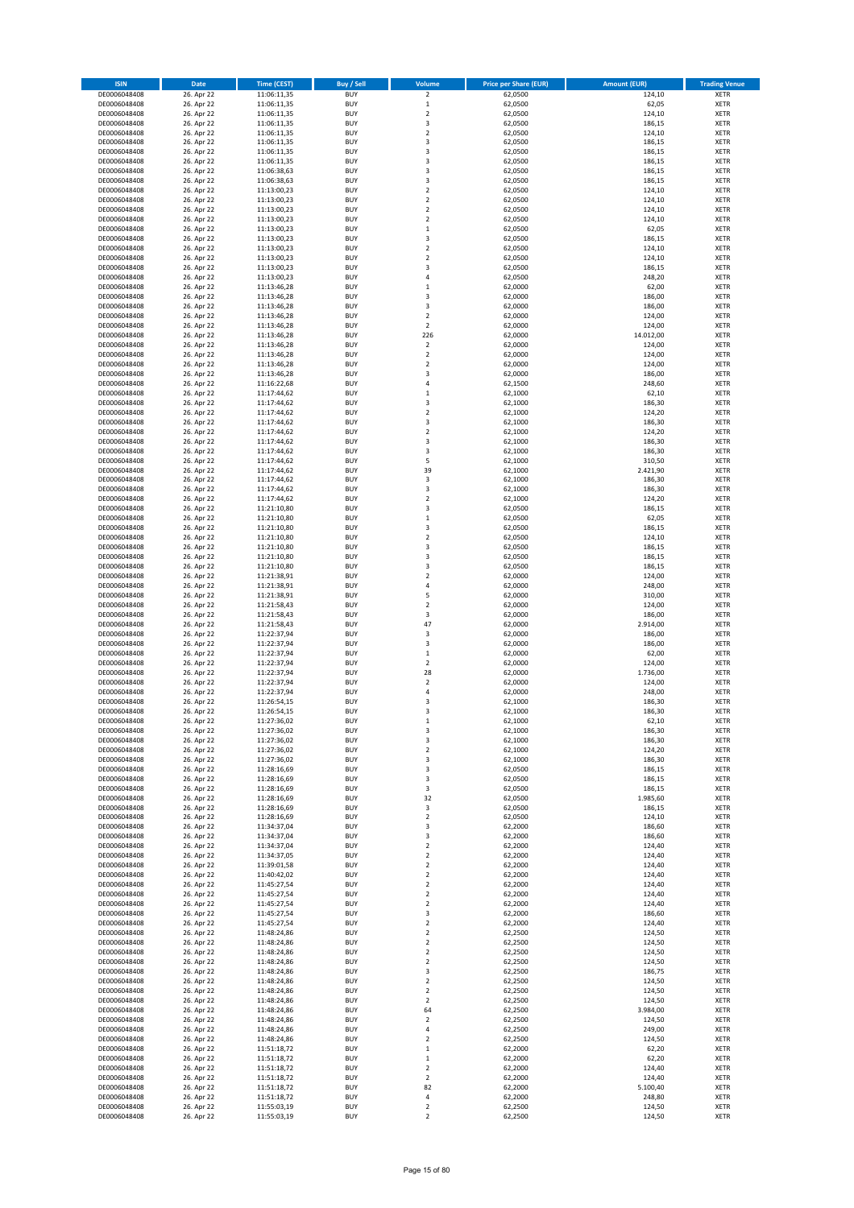| <b>ISIN</b>                  | Date                     | <b>Time (CEST)</b>         | <b>Buy / Sell</b>        | Volume                                 | <b>Price per Share (EUR)</b> | <b>Amount (EUR)</b> | <b>Trading Venue</b>       |
|------------------------------|--------------------------|----------------------------|--------------------------|----------------------------------------|------------------------------|---------------------|----------------------------|
| DE0006048408                 | 26. Apr 22               | 11:06:11,35                | <b>BUY</b>               | $\overline{\mathbf{c}}$                | 62,0500                      | 124,10              | XETR                       |
| DE0006048408                 | 26. Apr 22               | 11:06:11,35                | <b>BUY</b>               | $\mathbf 1$                            | 62,0500                      | 62,05               | XETR                       |
| DE0006048408<br>DE0006048408 | 26. Apr 22<br>26. Apr 22 | 11:06:11,35<br>11:06:11,35 | <b>BUY</b><br><b>BUY</b> | $\mathbf 2$<br>3                       | 62,0500<br>62,0500           | 124,10<br>186,15    | XETR<br>XETR               |
| DE0006048408                 | 26. Apr 22               | 11:06:11,35                | <b>BUY</b>               | $\mathbf 2$                            | 62,0500                      | 124,10              | XETR                       |
| DE0006048408                 | 26. Apr 22               | 11:06:11,35                | <b>BUY</b>               | 3                                      | 62,0500                      | 186,15              | <b>XETR</b>                |
| DE0006048408                 | 26. Apr 22               | 11:06:11,35                | <b>BUY</b>               | 3                                      | 62,0500                      | 186,15              | <b>XETR</b>                |
| DE0006048408                 | 26. Apr 22               | 11:06:11,35                | <b>BUY</b>               | 3                                      | 62,0500                      | 186,15              | <b>XETR</b>                |
| DE0006048408<br>DE0006048408 | 26. Apr 22<br>26. Apr 22 | 11:06:38,63<br>11:06:38,63 | <b>BUY</b><br><b>BUY</b> | 3<br>3                                 | 62,0500<br>62,0500           | 186,15<br>186,15    | <b>XETR</b><br><b>XETR</b> |
| DE0006048408                 | 26. Apr 22               | 11:13:00,23                | <b>BUY</b>               | $\mathbf 2$                            | 62,0500                      | 124,10              | <b>XETR</b>                |
| DE0006048408                 | 26. Apr 22               | 11:13:00,23                | <b>BUY</b>               | $\overline{\mathbf{c}}$                | 62,0500                      | 124,10              | <b>XETR</b>                |
| DE0006048408                 | 26. Apr 22               | 11:13:00,23                | <b>BUY</b>               | $\mathbf 2$                            | 62,0500                      | 124,10              | XETR                       |
| DE0006048408                 | 26. Apr 22               | 11:13:00,23                | <b>BUY</b>               | $\mathbf 2$                            | 62,0500                      | 124,10              | <b>XETR</b>                |
| DE0006048408                 | 26. Apr 22               | 11:13:00,23                | <b>BUY</b>               | $\mathbf 1$                            | 62,0500                      | 62,05               | XETR                       |
| DE0006048408<br>DE0006048408 | 26. Apr 22<br>26. Apr 22 | 11:13:00,23<br>11:13:00,23 | <b>BUY</b><br><b>BUY</b> | 3<br>$\mathbf 2$                       | 62,0500<br>62,0500           | 186,15<br>124,10    | <b>XETR</b><br>XETR        |
| DE0006048408                 | 26. Apr 22               | 11:13:00,23                | <b>BUY</b>               | $\mathbf 2$                            | 62,0500                      | 124,10              | <b>XETR</b>                |
| DE0006048408                 | 26. Apr 22               | 11:13:00,23                | <b>BUY</b>               | 3                                      | 62,0500                      | 186,15              | XETR                       |
| DE0006048408                 | 26. Apr 22               | 11:13:00,23                | <b>BUY</b>               | 4                                      | 62,0500                      | 248,20              | <b>XETR</b>                |
| DE0006048408<br>DE0006048408 | 26. Apr 22<br>26. Apr 22 | 11:13:46,28<br>11:13:46,28 | <b>BUY</b><br><b>BUY</b> | $\mathbf 1$<br>3                       | 62,0000<br>62,0000           | 62,00<br>186,00     | XETR<br>XETR               |
| DE0006048408                 | 26. Apr 22               | 11:13:46,28                | <b>BUY</b>               | 3                                      | 62,0000                      | 186,00              | <b>XETR</b>                |
| DE0006048408                 | 26. Apr 22               | 11:13:46,28                | <b>BUY</b>               | $\mathbf 2$                            | 62,0000                      | 124,00              | <b>XETR</b>                |
| DE0006048408                 | 26. Apr 22               | 11:13:46,28                | <b>BUY</b>               | $\mathbf 2$                            | 62,0000                      | 124,00              | <b>XETR</b>                |
| DE0006048408                 | 26. Apr 22               | 11:13:46,28                | <b>BUY</b>               | 226                                    | 62,0000                      | 14.012,00           | <b>XETR</b>                |
| DE0006048408                 | 26. Apr 22               | 11:13:46,28                | <b>BUY</b>               | $\mathbf 2$                            | 62,0000                      | 124,00              | <b>XETR</b>                |
| DE0006048408<br>DE0006048408 | 26. Apr 22<br>26. Apr 22 | 11:13:46,28<br>11:13:46,28 | <b>BUY</b><br><b>BUY</b> | $\mathbf 2$<br>$\mathbf 2$             | 62,0000<br>62,0000           | 124,00<br>124,00    | <b>XETR</b><br><b>XETR</b> |
| DE0006048408                 | 26. Apr 22               | 11:13:46,28                | <b>BUY</b>               | 3                                      | 62,0000                      | 186,00              | XETR                       |
| DE0006048408                 | 26. Apr 22               | 11:16:22,68                | <b>BUY</b>               | 4                                      | 62,1500                      | 248,60              | <b>XETR</b>                |
| DE0006048408                 | 26. Apr 22               | 11:17:44,62                | <b>BUY</b>               | $\mathbf 1$                            | 62,1000                      | 62,10               | <b>XETR</b>                |
| DE0006048408<br>DE0006048408 | 26. Apr 22               | 11:17:44,62<br>11:17:44,62 | <b>BUY</b><br><b>BUY</b> | 3<br>$\mathbf 2$                       | 62,1000                      | 186,30<br>124,20    | <b>XETR</b><br>XETR        |
| DE0006048408                 | 26. Apr 22<br>26. Apr 22 | 11:17:44,62                | <b>BUY</b>               | 3                                      | 62,1000<br>62,1000           | 186,30              | <b>XETR</b>                |
| DE0006048408                 | 26. Apr 22               | 11:17:44,62                | <b>BUY</b>               | $\mathbf 2$                            | 62,1000                      | 124,20              | XETR                       |
| DE0006048408                 | 26. Apr 22               | 11:17:44,62                | <b>BUY</b>               | 3                                      | 62,1000                      | 186,30              | <b>XETR</b>                |
| DE0006048408                 | 26. Apr 22               | 11:17:44,62                | <b>BUY</b>               | 3                                      | 62,1000                      | 186,30              | XETR                       |
| DE0006048408                 | 26. Apr 22               | 11:17:44,62                | <b>BUY</b>               | 5                                      | 62,1000                      | 310,50              | <b>XETR</b>                |
| DE0006048408<br>DE0006048408 | 26. Apr 22<br>26. Apr 22 | 11:17:44,62<br>11:17:44,62 | <b>BUY</b><br><b>BUY</b> | 39<br>3                                | 62,1000<br>62,1000           | 2.421,90<br>186,30  | <b>XETR</b><br><b>XETR</b> |
| DE0006048408                 | 26. Apr 22               | 11:17:44,62                | <b>BUY</b>               | 3                                      | 62,1000                      | 186,30              | <b>XETR</b>                |
| DE0006048408                 | 26. Apr 22               | 11:17:44,62                | <b>BUY</b>               | $\mathbf 2$                            | 62,1000                      | 124,20              | <b>XETR</b>                |
| DE0006048408                 | 26. Apr 22               | 11:21:10,80                | <b>BUY</b>               | 3                                      | 62,0500                      | 186,15              | <b>XETR</b>                |
| DE0006048408                 | 26. Apr 22               | 11:21:10,80                | <b>BUY</b>               | $\mathbf 1$                            | 62,0500                      | 62,05               | <b>XETR</b>                |
| DE0006048408                 | 26. Apr 22               | 11:21:10,80                | <b>BUY</b><br><b>BUY</b> | 3                                      | 62,0500                      | 186,15              | XETR                       |
| DE0006048408<br>DE0006048408 | 26. Apr 22<br>26. Apr 22 | 11:21:10,80<br>11:21:10,80 | <b>BUY</b>               | 2<br>3                                 | 62,0500<br>62,0500           | 124,10<br>186,15    | XETR<br><b>XETR</b>        |
| DE0006048408                 | 26. Apr 22               | 11:21:10,80                | <b>BUY</b>               | 3                                      | 62,0500                      | 186,15              | <b>XETR</b>                |
| DE0006048408                 | 26. Apr 22               | 11:21:10,80                | <b>BUY</b>               | 3                                      | 62,0500                      | 186,15              | <b>XETR</b>                |
| DE0006048408                 | 26. Apr 22               | 11:21:38,91                | <b>BUY</b>               | $\mathbf 2$                            | 62,0000                      | 124,00              | <b>XETR</b>                |
| DE0006048408                 | 26. Apr 22               | 11:21:38,91                | <b>BUY</b><br><b>BUY</b> | $\overline{4}$<br>5                    | 62,0000<br>62,0000           | 248,00<br>310,00    | <b>XETR</b><br><b>XETR</b> |
| DE0006048408<br>DE0006048408 | 26. Apr 22<br>26. Apr 22 | 11:21:38,91<br>11:21:58,43 | <b>BUY</b>               | $\mathbf 2$                            | 62,0000                      | 124,00              | <b>XETR</b>                |
| DE0006048408                 | 26. Apr 22               | 11:21:58,43                | <b>BUY</b>               | 3                                      | 62,0000                      | 186,00              | XETR                       |
| DE0006048408                 | 26. Apr 22               | 11:21:58,43                | <b>BUY</b>               | 47                                     | 62,0000                      | 2.914,00            | <b>XETR</b>                |
| DE0006048408                 | 26. Apr 22               | 11:22:37,94                | <b>BUY</b>               | 3                                      | 62,0000                      | 186,00              | <b>XETR</b>                |
| DE0006048408                 | 26. Apr 22<br>26. Apr 22 | 11:22:37,94<br>11:22:37,94 | <b>BUY</b><br><b>BUY</b> | 3<br>$\mathbf 1$                       | 62,0000<br>62,0000           | 186,00<br>62,00     | <b>XETR</b><br><b>XETR</b> |
| DE0006048408<br>DE0006048408 | 26. Apr 22               | 11:22:37,94                | <b>BUY</b>               | $\mathbf 2$                            | 62,0000                      | 124,00              | <b>XETR</b>                |
| DE0006048408                 | 26. Apr 22               | 11:22:37,94                | <b>BUY</b>               | 28                                     | 62,0000                      | 1.736,00            | XETR                       |
| DE0006048408                 | 26. Apr 22               | 11:22:37,94                | <b>BUY</b>               | $\mathbf 2$                            | 62,0000                      | 124,00              | <b>XETR</b>                |
| DE0006048408                 | 26. Apr 22               | 11:22:37,94                | <b>BUY</b>               | 4                                      | 62,0000                      | 248,00              | XETR                       |
| DE0006048408<br>DE0006048408 | 26. Apr 22<br>26. Apr 22 | 11:26:54,15<br>11:26:54,15 | <b>BUY</b><br><b>BUY</b> | 3<br>3                                 | 62,1000<br>62,1000           | 186,30<br>186,30    | <b>XETR</b><br><b>XETR</b> |
| DE0006048408                 | 26. Apr 22               | 11:27:36,02                | <b>BUY</b>               | 1                                      | 62,1000                      | 62,10               | XETR                       |
| DE0006048408                 | 26. Apr 22               | 11:27:36,02                | <b>BUY</b>               | 3                                      | 62,1000                      | 186,30              | XETR                       |
| DE0006048408                 | 26. Apr 22               | 11:27:36,02                | <b>BUY</b>               | 3                                      | 62,1000                      | 186,30              | XETR                       |
| DE0006048408                 | 26. Apr 22               | 11:27:36,02                | <b>BUY</b>               | $\mathbf 2$                            | 62,1000                      | 124,20              | XETR                       |
| DE0006048408<br>DE0006048408 | 26. Apr 22<br>26. Apr 22 | 11:27:36,02<br>11:28:16,69 | <b>BUY</b><br><b>BUY</b> | 3<br>3                                 | 62,1000<br>62,0500           | 186,30<br>186,15    | <b>XETR</b><br>XETR        |
| DE0006048408                 | 26. Apr 22               | 11:28:16,69                | <b>BUY</b>               | 3                                      | 62.0500                      | 186,15              | <b>XETR</b>                |
| DE0006048408                 | 26. Apr 22               | 11:28:16,69                | <b>BUY</b>               | 3                                      | 62,0500                      | 186,15              | XETR                       |
| DE0006048408                 | 26. Apr 22               | 11:28:16,69                | <b>BUY</b>               | 32                                     | 62,0500                      | 1.985,60            | <b>XETR</b>                |
| DE0006048408                 | 26. Apr 22               | 11:28:16,69                | <b>BUY</b>               | 3                                      | 62,0500                      | 186,15              | XETR                       |
| DE0006048408<br>DE0006048408 | 26. Apr 22<br>26. Apr 22 | 11:28:16,69<br>11:34:37,04 | <b>BUY</b><br><b>BUY</b> | 2<br>3                                 | 62,0500<br>62,2000           | 124,10<br>186,60    | <b>XETR</b><br>XETR        |
| DE0006048408                 | 26. Apr 22               | 11:34:37,04                | <b>BUY</b>               | 3                                      | 62,2000                      | 186,60              | <b>XETR</b>                |
| DE0006048408                 | 26. Apr 22               | 11:34:37,04                | <b>BUY</b>               | $\boldsymbol{2}$                       | 62,2000                      | 124,40              | XETR                       |
| DE0006048408                 | 26. Apr 22               | 11:34:37,05                | <b>BUY</b>               | 2                                      | 62,2000                      | 124,40              | <b>XETR</b>                |
| DE0006048408<br>DE0006048408 | 26. Apr 22<br>26. Apr 22 | 11:39:01,58<br>11:40:42,02 | <b>BUY</b><br><b>BUY</b> | $\mathbf 2$<br>$\mathbf 2$             | 62,2000<br>62,2000           | 124,40<br>124,40    | XETR<br><b>XETR</b>        |
| DE0006048408                 | 26. Apr 22               | 11:45:27,54                | <b>BUY</b>               | 2                                      | 62,2000                      | 124,40              | <b>XETR</b>                |
| DE0006048408                 | 26. Apr 22               | 11:45:27,54                | <b>BUY</b>               | 2                                      | 62,2000                      | 124,40              | <b>XETR</b>                |
| DE0006048408                 | 26. Apr 22               | 11:45:27,54                | <b>BUY</b>               | $\mathbf 2$                            | 62,2000                      | 124,40              | XETR                       |
| DE0006048408                 | 26. Apr 22               | 11:45:27,54                | <b>BUY</b>               | 3                                      | 62,2000                      | 186,60              | <b>XETR</b>                |
| DE0006048408<br>DE0006048408 | 26. Apr 22<br>26. Apr 22 | 11:45:27,54<br>11:48:24,86 | <b>BUY</b><br><b>BUY</b> | 2<br>2                                 | 62,2000<br>62,2500           | 124,40<br>124,50    | <b>XETR</b><br>XETR        |
| DE0006048408                 | 26. Apr 22               | 11:48:24,86                | <b>BUY</b>               | $\overline{\mathbf{c}}$                | 62,2500                      | 124,50              | <b>XETR</b>                |
| DE0006048408                 | 26. Apr 22               | 11:48:24,86                | <b>BUY</b>               | $\mathbf 2$                            | 62,2500                      | 124,50              | XETR                       |
| DE0006048408                 | 26. Apr 22               | 11:48:24,86                | <b>BUY</b>               | $\overline{\mathbf{c}}$                | 62,2500                      | 124,50              | <b>XETR</b>                |
| DE0006048408                 | 26. Apr 22               | 11:48:24,86                | <b>BUY</b>               | 3                                      | 62,2500                      | 186,75              | XETR                       |
| DE0006048408<br>DE0006048408 | 26. Apr 22<br>26. Apr 22 | 11:48:24,86<br>11:48:24,86 | <b>BUY</b><br><b>BUY</b> | $\overline{\mathbf{c}}$<br>$\mathbf 2$ | 62,2500<br>62,2500           | 124,50<br>124,50    | <b>XETR</b><br>XETR        |
| DE0006048408                 | 26. Apr 22               | 11:48:24,86                | <b>BUY</b>               | $\mathbf 2$                            | 62,2500                      | 124,50              | <b>XETR</b>                |
| DE0006048408                 | 26. Apr 22               | 11:48:24,86                | <b>BUY</b>               | 64                                     | 62,2500                      | 3.984,00            | XETR                       |
| DE0006048408                 | 26. Apr 22               | 11:48:24,86                | <b>BUY</b>               | 2                                      | 62,2500                      | 124,50              | <b>XETR</b>                |
| DE0006048408                 | 26. Apr 22               | 11:48:24,86                | <b>BUY</b>               | 4                                      | 62,2500                      | 249,00              | XETR                       |
| DE0006048408<br>DE0006048408 | 26. Apr 22<br>26. Apr 22 | 11:48:24,86<br>11:51:18,72 | <b>BUY</b><br><b>BUY</b> | $\overline{\mathbf{2}}$<br>1           | 62,2500<br>62,2000           | 124,50<br>62,20     | <b>XETR</b><br><b>XETR</b> |
| DE0006048408                 | 26. Apr 22               | 11:51:18,72                | <b>BUY</b>               | $\mathbf 1$                            | 62,2000                      | 62,20               | <b>XETR</b>                |
| DE0006048408                 | 26. Apr 22               | 11:51:18,72                | <b>BUY</b>               | $\mathbf 2$                            | 62,2000                      | 124,40              | XETR                       |
| DE0006048408                 | 26. Apr 22               | 11:51:18,72                | <b>BUY</b>               | $\mathbf 2$                            | 62,2000                      | 124,40              | <b>XETR</b>                |
| DE0006048408                 | 26. Apr 22               | 11:51:18,72                | <b>BUY</b>               | 82                                     | 62,2000                      | 5.100,40            | XETR                       |
| DE0006048408<br>DE0006048408 | 26. Apr 22<br>26. Apr 22 | 11:51:18,72<br>11:55:03,19 | <b>BUY</b><br><b>BUY</b> | 4<br>$\boldsymbol{2}$                  | 62,2000<br>62,2500           | 248,80<br>124,50    | XETR<br>XETR               |
| DE0006048408                 | 26. Apr 22               | 11:55:03,19                | <b>BUY</b>               | $\mathbf 2$                            | 62,2500                      | 124,50              | <b>XETR</b>                |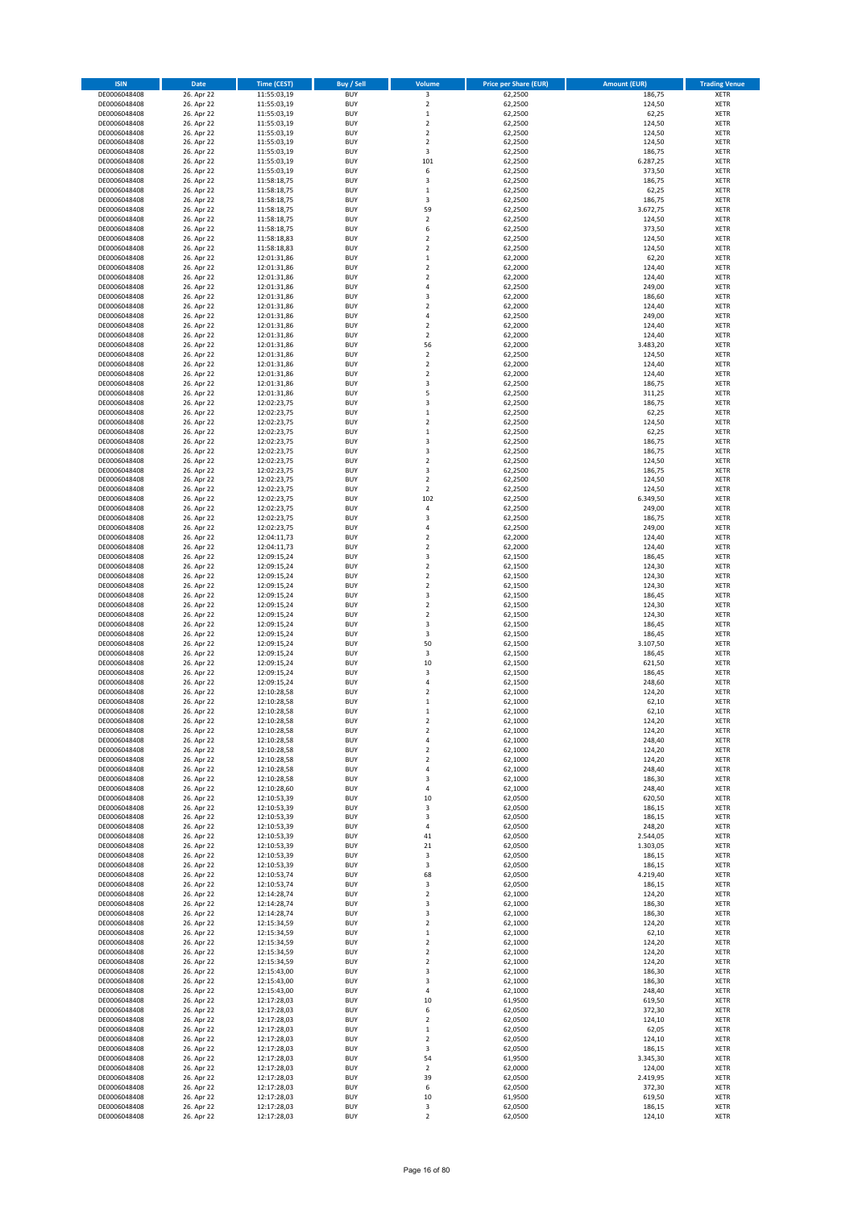| <b>ISIN</b>                  | Date                     | <b>Time (CEST)</b>         | <b>Buy / Sell</b>        | Volume                                      | <b>Price per Share (EUR)</b> | <b>Amount (EUR)</b>  | <b>Trading Venue</b>       |
|------------------------------|--------------------------|----------------------------|--------------------------|---------------------------------------------|------------------------------|----------------------|----------------------------|
| DE0006048408                 | 26. Apr 22               | 11:55:03,19                | <b>BUY</b>               | 3                                           | 62,2500                      | 186,75               | <b>XETR</b>                |
| DE0006048408                 | 26. Apr 22               | 11:55:03,19                | <b>BUY</b>               | $\mathbf 2$                                 | 62,2500                      | 124,50               | <b>XETR</b>                |
| DE0006048408<br>DE0006048408 | 26. Apr 22<br>26. Apr 22 | 11:55:03,19<br>11:55:03,19 | <b>BUY</b><br><b>BUY</b> | $\,$ 1<br>$\mathbf 2$                       | 62,2500<br>62,2500           | 62,25<br>124,50      | <b>XETR</b><br><b>XETR</b> |
| DE0006048408                 | 26. Apr 22               | 11:55:03,19                | <b>BUY</b>               | $\mathbf 2$                                 | 62,2500                      | 124,50               | <b>XETR</b>                |
| DE0006048408                 | 26. Apr 22               | 11:55:03,19                | <b>BUY</b>               | $\overline{2}$                              | 62,2500                      | 124,50               | <b>XETR</b>                |
| DE0006048408                 | 26. Apr 22               | 11:55:03,19                | <b>BUY</b>               | 3                                           | 62,2500                      | 186,75               | <b>XETR</b>                |
| DE0006048408                 | 26. Apr 22               | 11:55:03,19                | <b>BUY</b>               | 101                                         | 62,2500                      | 6.287,25             | <b>XETR</b>                |
| DE0006048408<br>DE0006048408 | 26. Apr 22<br>26. Apr 22 | 11:55:03,19                | <b>BUY</b><br><b>BUY</b> | 6<br>3                                      | 62,2500<br>62,2500           | 373,50<br>186,75     | XETR<br><b>XETR</b>        |
| DE0006048408                 | 26. Apr 22               | 11:58:18,75<br>11:58:18,75 | <b>BUY</b>               | $\,1\,$                                     | 62,2500                      | 62,25                | <b>XETR</b>                |
| DE0006048408                 | 26. Apr 22               | 11:58:18,75                | <b>BUY</b>               | 3                                           | 62,2500                      | 186,75               | <b>XETR</b>                |
| DE0006048408                 | 26. Apr 22               | 11:58:18,75                | <b>BUY</b>               | 59                                          | 62,2500                      | 3.672,75             | XETR                       |
| DE0006048408                 | 26. Apr 22               | 11:58:18,75                | <b>BUY</b>               | $\overline{2}$                              | 62,2500                      | 124,50               | <b>XETR</b>                |
| DE0006048408                 | 26. Apr 22               | 11:58:18,75                | <b>BUY</b>               | 6                                           | 62,2500                      | 373,50               | XETR                       |
| DE0006048408<br>DE0006048408 | 26. Apr 22<br>26. Apr 22 | 11:58:18,83<br>11:58:18,83 | <b>BUY</b><br><b>BUY</b> | $\overline{2}$<br>$\mathbf 2$               | 62,2500<br>62,2500           | 124,50<br>124,50     | <b>XETR</b><br>XETR        |
| DE0006048408                 | 26. Apr 22               | 12:01:31,86                | <b>BUY</b>               | $\,1\,$                                     | 62,2000                      | 62,20                | <b>XETR</b>                |
| DE0006048408                 | 26. Apr 22               | 12:01:31,86                | <b>BUY</b>               | $\overline{2}$                              | 62,2000                      | 124,40               | XETR                       |
| DE0006048408                 | 26. Apr 22               | 12:01:31,86                | <b>BUY</b>               | $\overline{2}$                              | 62,2000                      | 124,40               | <b>XETR</b>                |
| DE0006048408                 | 26. Apr 22               | 12:01:31,86                | <b>BUY</b>               | $\sqrt{4}$                                  | 62,2500                      | 249,00               | <b>XETR</b>                |
| DE0006048408<br>DE0006048408 | 26. Apr 22<br>26. Apr 22 | 12:01:31,86<br>12:01:31,86 | <b>BUY</b><br><b>BUY</b> | 3<br>$\overline{2}$                         | 62,2000<br>62,2000           | 186,60<br>124,40     | <b>XETR</b><br><b>XETR</b> |
| DE0006048408                 | 26. Apr 22               | 12:01:31,86                | <b>BUY</b>               | $\sqrt{4}$                                  | 62,2500                      | 249,00               | <b>XETR</b>                |
| DE0006048408                 | 26. Apr 22               | 12:01:31,86                | <b>BUY</b>               | $\mathbf 2$                                 | 62,2000                      | 124,40               | <b>XETR</b>                |
| DE0006048408                 | 26. Apr 22               | 12:01:31,86                | <b>BUY</b>               | $\overline{2}$                              | 62,2000                      | 124,40               | <b>XETR</b>                |
| DE0006048408                 | 26. Apr 22               | 12:01:31,86                | <b>BUY</b>               | 56                                          | 62,2000                      | 3.483,20             | <b>XETR</b>                |
| DE0006048408<br>DE0006048408 | 26. Apr 22<br>26. Apr 22 | 12:01:31,86                | <b>BUY</b><br><b>BUY</b> | $\mathbf 2$<br>$\boldsymbol{2}$             | 62,2500<br>62,2000           | 124,50<br>124,40     | <b>XETR</b><br><b>XETR</b> |
| DE0006048408                 | 26. Apr 22               | 12:01:31,86<br>12:01:31,86 | <b>BUY</b>               | $\mathbf 2$                                 | 62,2000                      | 124,40               | <b>XETR</b>                |
| DE0006048408                 | 26. Apr 22               | 12:01:31,86                | <b>BUY</b>               | 3                                           | 62,2500                      | 186,75               | <b>XETR</b>                |
| DE0006048408                 | 26. Apr 22               | 12:01:31,86                | <b>BUY</b>               | 5                                           | 62,2500                      | 311,25               | <b>XETR</b>                |
| DE0006048408                 | 26. Apr 22               | 12:02:23,75                | <b>BUY</b>               | 3                                           | 62,2500                      | 186,75               | <b>XETR</b>                |
| DE0006048408<br>DE0006048408 | 26. Apr 22<br>26. Apr 22 | 12:02:23,75<br>12:02:23,75 | <b>BUY</b><br><b>BUY</b> | $\,$ 1<br>$\overline{2}$                    | 62,2500<br>62,2500           | 62,25<br>124,50      | XETR<br><b>XETR</b>        |
| DE0006048408                 | 26. Apr 22               | 12:02:23,75                | <b>BUY</b>               | $\,1\,$                                     | 62,2500                      | 62,25                | XETR                       |
| DE0006048408                 | 26. Apr 22               | 12:02:23,75                | <b>BUY</b>               | 3                                           | 62,2500                      | 186,75               | <b>XETR</b>                |
| DE0006048408                 | 26. Apr 22               | 12:02:23,75                | <b>BUY</b>               | 3                                           | 62,2500                      | 186,75               | <b>XETR</b>                |
| DE0006048408                 | 26. Apr 22               | 12:02:23,75                | <b>BUY</b>               | $\overline{2}$                              | 62,2500                      | 124,50               | <b>XETR</b>                |
| DE0006048408                 | 26. Apr 22               | 12:02:23,75                | <b>BUY</b>               | $\overline{\mathbf{3}}$                     | 62,2500                      | 186,75               | <b>XETR</b>                |
| DE0006048408<br>DE0006048408 | 26. Apr 22<br>26. Apr 22 | 12:02:23,75<br>12:02:23,75 | <b>BUY</b><br><b>BUY</b> | $\overline{2}$<br>$\boldsymbol{2}$          | 62,2500<br>62,2500           | 124,50<br>124,50     | <b>XETR</b><br><b>XETR</b> |
| DE0006048408                 | 26. Apr 22               | 12:02:23,75                | <b>BUY</b>               | 102                                         | 62,2500                      | 6.349,50             | <b>XETR</b>                |
| DE0006048408                 | 26. Apr 22               | 12:02:23,75                | <b>BUY</b>               | $\sqrt{4}$                                  | 62,2500                      | 249,00               | <b>XETR</b>                |
| DE0006048408                 | 26. Apr 22               | 12:02:23,75                | <b>BUY</b>               | 3                                           | 62,2500                      | 186,75               | <b>XETR</b>                |
| DE0006048408                 | 26. Apr 22               | 12:02:23,75                | <b>BUY</b>               | $\sqrt{4}$                                  | 62,2500                      | 249,00               | <b>XETR</b>                |
| DE0006048408<br>DE0006048408 | 26. Apr 22<br>26. Apr 22 | 12:04:11,73<br>12:04:11,73 | <b>BUY</b><br><b>BUY</b> | $\overline{\mathbf{c}}$<br>$\boldsymbol{2}$ | 62,2000<br>62,2000           | 124,40<br>124,40     | <b>XETR</b><br><b>XETR</b> |
| DE0006048408                 | 26. Apr 22               | 12:09:15,24                | <b>BUY</b>               | 3                                           | 62,1500                      | 186,45               | <b>XETR</b>                |
| DE0006048408                 | 26. Apr 22               | 12:09:15,24                | <b>BUY</b>               | $\boldsymbol{2}$                            | 62,1500                      | 124,30               | <b>XETR</b>                |
| DE0006048408                 | 26. Apr 22               | 12:09:15,24                | <b>BUY</b>               | $\boldsymbol{2}$                            | 62,1500                      | 124,30               | <b>XETR</b>                |
| DE0006048408                 | 26. Apr 22               | 12:09:15,24                | <b>BUY</b>               | $\overline{2}$                              | 62,1500                      | 124,30               | <b>XETR</b>                |
| DE0006048408<br>DE0006048408 | 26. Apr 22               | 12:09:15,24                | <b>BUY</b><br><b>BUY</b> | 3<br>$\overline{2}$                         | 62,1500                      | 186,45               | <b>XETR</b><br><b>XETR</b> |
| DE0006048408                 | 26. Apr 22<br>26. Apr 22 | 12:09:15,24<br>12:09:15,24 | <b>BUY</b>               | $\mathbf 2$                                 | 62,1500<br>62,1500           | 124,30<br>124,30     | <b>XETR</b>                |
| DE0006048408                 | 26. Apr 22               | 12:09:15,24                | <b>BUY</b>               | 3                                           | 62,1500                      | 186,45               | <b>XETR</b>                |
| DE0006048408                 | 26. Apr 22               | 12:09:15,24                | <b>BUY</b>               | 3                                           | 62,1500                      | 186,45               | <b>XETR</b>                |
| DE0006048408                 | 26. Apr 22               | 12:09:15,24                | <b>BUY</b>               | 50                                          | 62,1500                      | 3.107,50             | <b>XETR</b>                |
| DE0006048408                 | 26. Apr 22               | 12:09:15,24                | <b>BUY</b><br><b>BUY</b> | 3<br>10                                     | 62,1500                      | 186,45               | <b>XETR</b><br><b>XETR</b> |
| DE0006048408<br>DE0006048408 | 26. Apr 22<br>26. Apr 22 | 12:09:15,24<br>12:09:15,24 | <b>BUY</b>               | $\overline{\mathbf{3}}$                     | 62,1500<br>62,1500           | 621,50<br>186,45     | XETR                       |
| DE0006048408                 | 26. Apr 22               | 12:09:15,24                | <b>BUY</b>               | $\sqrt{4}$                                  | 62,1500                      | 248,60               | <b>XETR</b>                |
| DE0006048408                 | 26. Apr 22               | 12:10:28,58                | <b>BUY</b>               | $\boldsymbol{2}$                            | 62,1000                      | 124,20               | <b>XETR</b>                |
| DE0006048408                 | 26. Apr 22               | 12:10:28,58                | <b>BUY</b>               | $\mathbf 1$                                 | 62,1000                      | 62,10                | <b>XETR</b>                |
| DE0006048408                 | 26. Apr 22               | 12:10:28,58                | <b>BUY</b>               | $\mathbf 1$                                 | 62,1000                      | 62,10                | <b>XETR</b>                |
| DE0006048408<br>DE0006048408 | 26. Apr 22<br>26. Apr 22 | 12:10:28,58<br>12:10:28,58 | <b>BUY</b><br><b>BUY</b> | $\overline{\mathbf{c}}$<br>$\mathbf 2$      | 62,1000<br>62,1000           | 124,20<br>124,20     | XETR<br>XETR               |
| DE0006048408                 | 26. Apr 22               | 12:10:28,58                | <b>BUY</b>               | 4                                           | 62,1000                      | 248,40               | XETR                       |
| DE0006048408                 | 26. Apr 22               | 12:10:28,58                | <b>BUY</b>               | $\overline{\mathbf{c}}$                     | 62,1000                      | 124,20               | XETR                       |
| DE0006048408                 | 26. Apr 22               | 12:10:28,58                | <b>BUY</b>               | $\boldsymbol{2}$                            | 62,1000                      | 124,20               | <b>XETR</b>                |
| DE0006048408                 | 26. Apr 22               | 12:10:28,58                | <b>BUY</b>               | 4                                           | 62,1000                      | 248,40               | XETR                       |
| DE0006048408<br>DE0006048408 | 26. Apr 22<br>26. Apr 22 | 12:10:28,58<br>12:10:28,60 | <b>BUY</b><br><b>BUY</b> | 3<br>$\sqrt{4}$                             | 62,1000<br>62,1000           | 186,30<br>248,40     | <b>XETR</b><br><b>XETR</b> |
| DE0006048408                 | 26. Apr 22               | 12:10:53,39                | <b>BUY</b>               | 10                                          | 62,0500                      | 620,50               | <b>XETR</b>                |
| DE0006048408                 | 26. Apr 22               | 12:10:53,39                | <b>BUY</b>               | 3                                           | 62,0500                      | 186,15               | XETR                       |
| DE0006048408                 | 26. Apr 22               | 12:10:53,39                | <b>BUY</b>               | 3                                           | 62,0500                      | 186,15               | <b>XETR</b>                |
| DE0006048408                 | 26. Apr 22               | 12:10:53,39                | <b>BUY</b>               | $\sqrt{4}$                                  | 62,0500                      | 248,20               | <b>XETR</b>                |
| DE0006048408<br>DE0006048408 | 26. Apr 22<br>26. Apr 22 | 12:10:53,39<br>12:10:53,39 | <b>BUY</b><br><b>BUY</b> | 41<br>21                                    | 62,0500<br>62,0500           | 2.544,05<br>1.303,05 | <b>XETR</b><br>XETR        |
| DE0006048408                 | 26. Apr 22               | 12:10:53,39                | <b>BUY</b>               | 3                                           | 62,0500                      | 186,15               | <b>XETR</b>                |
| DE0006048408                 | 26. Apr 22               | 12:10:53,39                | <b>BUY</b>               | 3                                           | 62,0500                      | 186,15               | <b>XETR</b>                |
| DE0006048408                 | 26. Apr 22               | 12:10:53,74                | <b>BUY</b>               | 68                                          | 62,0500                      | 4.219,40             | <b>XETR</b>                |
| DE0006048408                 | 26. Apr 22               | 12:10:53,74<br>12:14:28,74 | <b>BUY</b>               | 3                                           | 62,0500                      | 186,15               | <b>XETR</b>                |
| DE0006048408<br>DE0006048408 | 26. Apr 22<br>26. Apr 22 | 12:14:28,74                | <b>BUY</b><br><b>BUY</b> | $\overline{2}$<br>3                         | 62,1000<br>62,1000           | 124,20<br>186,30     | <b>XETR</b><br><b>XETR</b> |
| DE0006048408                 | 26. Apr 22               | 12:14:28,74                | <b>BUY</b>               | 3                                           | 62,1000                      | 186,30               | <b>XETR</b>                |
| DE0006048408                 | 26. Apr 22               | 12:15:34,59                | <b>BUY</b>               | $\boldsymbol{2}$                            | 62,1000                      | 124,20               | <b>XETR</b>                |
| DE0006048408                 | 26. Apr 22               | 12:15:34,59                | <b>BUY</b>               | $\,$ 1                                      | 62,1000                      | 62,10                | XETR                       |
| DE0006048408<br>DE0006048408 | 26. Apr 22<br>26. Apr 22 | 12:15:34,59<br>12:15:34,59 | <b>BUY</b><br><b>BUY</b> | $\overline{2}$<br>$\sqrt{2}$                | 62,1000<br>62,1000           | 124,20<br>124,20     | XETR                       |
| DE0006048408                 | 26. Apr 22               | 12:15:34,59                | <b>BUY</b>               | $\overline{2}$                              | 62,1000                      | 124,20               | <b>XETR</b><br><b>XETR</b> |
| DE0006048408                 | 26. Apr 22               | 12:15:43,00                | <b>BUY</b>               | 3                                           | 62,1000                      | 186,30               | XETR                       |
| DE0006048408                 | 26. Apr 22               | 12:15:43,00                | <b>BUY</b>               | 3                                           | 62,1000                      | 186,30               | XETR                       |
| DE0006048408                 | 26. Apr 22               | 12:15:43,00                | <b>BUY</b>               | $\sqrt{4}$                                  | 62,1000                      | 248,40               | <b>XETR</b>                |
| DE0006048408                 | 26. Apr 22               | 12:17:28,03                | <b>BUY</b>               | 10                                          | 61,9500                      | 619,50               | <b>XETR</b>                |
| DE0006048408<br>DE0006048408 | 26. Apr 22<br>26. Apr 22 | 12:17:28,03<br>12:17:28,03 | <b>BUY</b><br><b>BUY</b> | 6<br>$\boldsymbol{2}$                       | 62,0500<br>62,0500           | 372,30<br>124,10     | XETR<br>XETR               |
| DE0006048408                 | 26. Apr 22               | 12:17:28,03                | <b>BUY</b>               | $\,$ 1                                      | 62,0500                      | 62,05                | <b>XETR</b>                |
| DE0006048408                 | 26. Apr 22               | 12:17:28,03                | <b>BUY</b>               | $\boldsymbol{2}$                            | 62,0500                      | 124,10               | <b>XETR</b>                |
| DE0006048408                 | 26. Apr 22               | 12:17:28,03                | <b>BUY</b>               | 3                                           | 62,0500                      | 186,15               | <b>XETR</b>                |
| DE0006048408                 | 26. Apr 22               | 12:17:28,03                | <b>BUY</b>               | 54                                          | 61,9500                      | 3.345,30             | <b>XETR</b>                |
| DE0006048408<br>DE0006048408 | 26. Apr 22<br>26. Apr 22 | 12:17:28,03<br>12:17:28,03 | <b>BUY</b><br><b>BUY</b> | $\boldsymbol{2}$<br>39                      | 62,0000<br>62,0500           | 124,00<br>2.419,95   | <b>XETR</b><br><b>XETR</b> |
| DE0006048408                 | 26. Apr 22               | 12:17:28,03                | <b>BUY</b>               | 6                                           | 62,0500                      | 372,30               | <b>XETR</b>                |
| DE0006048408                 | 26. Apr 22               | 12:17:28,03                | <b>BUY</b>               | 10                                          | 61,9500                      | 619,50               | <b>XETR</b>                |
| DE0006048408                 | 26. Apr 22               | 12:17:28,03                | <b>BUY</b>               | 3                                           | 62,0500                      | 186,15               | <b>XETR</b>                |
| DE0006048408                 | 26. Apr 22               | 12:17:28,03                | <b>BUY</b>               | $\boldsymbol{2}$                            | 62,0500                      | 124,10               | <b>XETR</b>                |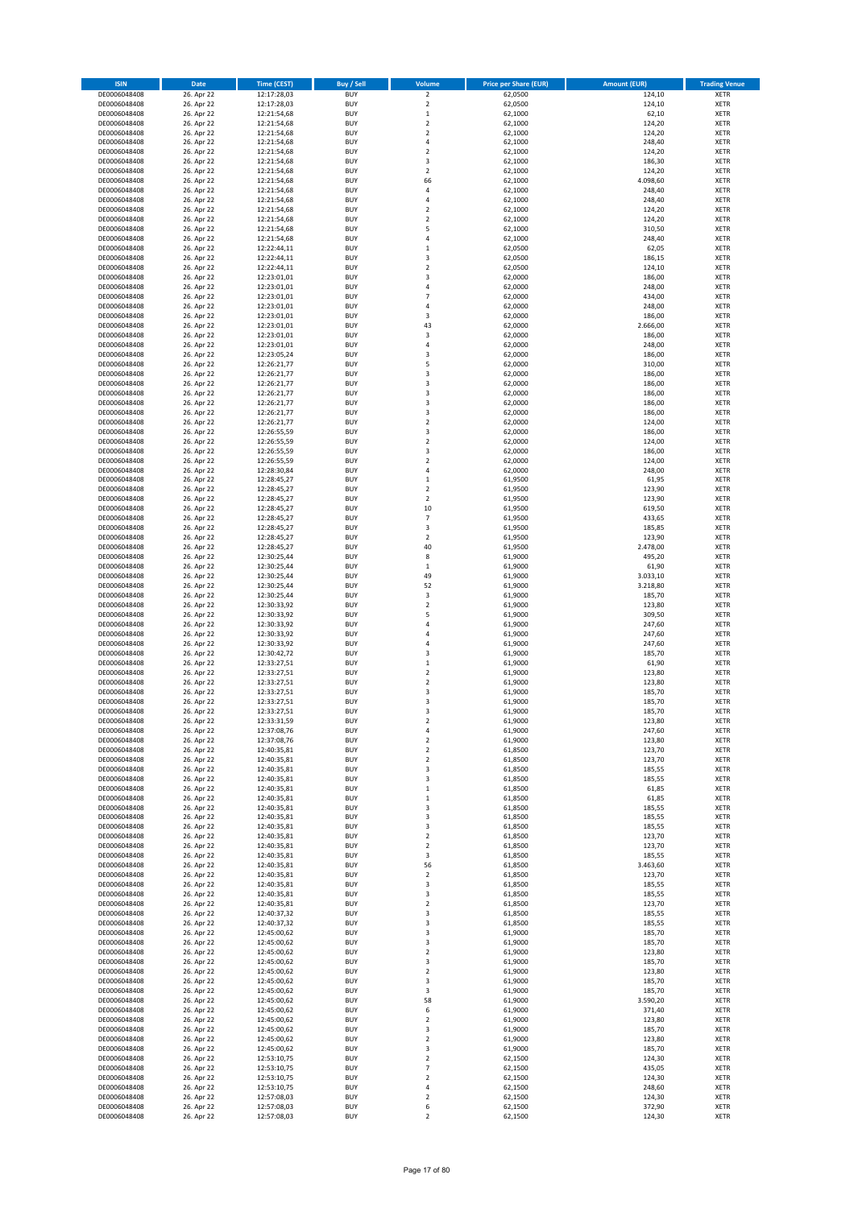| <b>ISIN</b>                  | Date                     | <b>Time (CEST)</b>         | <b>Buy / Sell</b>        | Volume                     | <b>Price per Share (EUR)</b> | <b>Amount (EUR)</b> | <b>Trading Venue</b>       |
|------------------------------|--------------------------|----------------------------|--------------------------|----------------------------|------------------------------|---------------------|----------------------------|
| DE0006048408                 | 26. Apr 22               | 12:17:28,03                | <b>BUY</b>               | $\overline{2}$             | 62,0500                      | 124,10              | <b>XETR</b>                |
| DE0006048408                 | 26. Apr 22               | 12:17:28,03                | <b>BUY</b>               | $\mathbf 2$                | 62,0500                      | 124,10              | <b>XETR</b>                |
| DE0006048408                 | 26. Apr 22               | 12:21:54,68                | <b>BUY</b>               | $\mathbf 1$                | 62,1000                      | 62,10               | <b>XETR</b>                |
| DE0006048408                 | 26. Apr 22               | 12:21:54,68                | <b>BUY</b>               | $\mathbf 2$                | 62,1000                      | 124,20              | <b>XETR</b>                |
| DE0006048408<br>DE0006048408 | 26. Apr 22<br>26. Apr 22 | 12:21:54,68<br>12:21:54,68 | <b>BUY</b><br><b>BUY</b> | $\mathbf 2$<br>$\sqrt{4}$  | 62,1000<br>62,1000           | 124,20<br>248,40    | <b>XETR</b><br><b>XETR</b> |
| DE0006048408                 | 26. Apr 22               | 12:21:54,68                | <b>BUY</b>               | $\overline{2}$             | 62,1000                      | 124,20              | <b>XETR</b>                |
| DE0006048408                 | 26. Apr 22               | 12:21:54,68                | <b>BUY</b>               | 3                          | 62,1000                      | 186,30              | <b>XETR</b>                |
| DE0006048408                 | 26. Apr 22               | 12:21:54,68                | <b>BUY</b>               | $\overline{2}$             | 62,1000                      | 124,20              | <b>XETR</b>                |
| DE0006048408                 | 26. Apr 22               | 12:21:54,68                | <b>BUY</b>               | 66                         | 62,1000                      | 4.098,60            | <b>XETR</b>                |
| DE0006048408<br>DE0006048408 | 26. Apr 22<br>26. Apr 22 | 12:21:54,68<br>12:21:54,68 | <b>BUY</b><br><b>BUY</b> | 4<br>4                     | 62,1000<br>62,1000           | 248,40<br>248,40    | <b>XETR</b><br><b>XETR</b> |
| DE0006048408                 | 26. Apr 22               | 12:21:54,68                | <b>BUY</b>               | $\overline{2}$             | 62,1000                      | 124,20              | <b>XETR</b>                |
| DE0006048408                 | 26. Apr 22               | 12:21:54,68                | <b>BUY</b>               | $\mathbf 2$                | 62,1000                      | 124,20              | <b>XETR</b>                |
| DE0006048408                 | 26. Apr 22               | 12:21:54,68                | <b>BUY</b>               | 5                          | 62,1000                      | 310,50              | <b>XETR</b>                |
| DE0006048408                 | 26. Apr 22               | 12:21:54,68                | <b>BUY</b>               | $\overline{4}$             | 62,1000                      | 248,40              | <b>XETR</b>                |
| DE0006048408                 | 26. Apr 22               | 12:22:44,11                | <b>BUY</b>               | $\mathbf{1}$               | 62,0500                      | 62,05               | <b>XETR</b>                |
| DE0006048408<br>DE0006048408 | 26. Apr 22<br>26. Apr 22 | 12:22:44,11<br>12:22:44,11 | <b>BUY</b><br><b>BUY</b> | 3<br>$\overline{2}$        | 62,0500<br>62,0500           | 186,15<br>124,10    | <b>XETR</b><br><b>XETR</b> |
| DE0006048408                 | 26. Apr 22               | 12:23:01,01                | <b>BUY</b>               | 3                          | 62,0000                      | 186,00              | <b>XETR</b>                |
| DE0006048408                 | 26. Apr 22               | 12:23:01,01                | <b>BUY</b>               | $\sqrt{4}$                 | 62,0000                      | 248,00              | <b>XETR</b>                |
| DE0006048408                 | 26. Apr 22               | 12:23:01,01                | <b>BUY</b>               | $\overline{7}$             | 62,0000                      | 434,00              | <b>XETR</b>                |
| DE0006048408                 | 26. Apr 22               | 12:23:01,01                | <b>BUY</b>               | $\overline{4}$             | 62,0000                      | 248,00              | <b>XETR</b>                |
| DE0006048408                 | 26. Apr 22               | 12:23:01,01                | <b>BUY</b>               | 3                          | 62,0000                      | 186,00              | <b>XETR</b>                |
| DE0006048408<br>DE0006048408 | 26. Apr 22<br>26. Apr 22 | 12:23:01,01                | <b>BUY</b><br><b>BUY</b> | 43<br>3                    | 62,0000<br>62,0000           | 2.666,00<br>186,00  | <b>XETR</b><br><b>XETR</b> |
| DE0006048408                 | 26. Apr 22               | 12:23:01,01<br>12:23:01,01 | <b>BUY</b>               | 4                          | 62,0000                      | 248,00              | <b>XETR</b>                |
| DE0006048408                 | 26. Apr 22               | 12:23:05,24                | <b>BUY</b>               | 3                          | 62,0000                      | 186,00              | <b>XETR</b>                |
| DE0006048408                 | 26. Apr 22               | 12:26:21,77                | <b>BUY</b>               | 5                          | 62,0000                      | 310,00              | <b>XETR</b>                |
| DE0006048408                 | 26. Apr 22               | 12:26:21,77                | <b>BUY</b>               | 3                          | 62,0000                      | 186,00              | <b>XETR</b>                |
| DE0006048408                 | 26. Apr 22               | 12:26:21,77                | <b>BUY</b>               | 3                          | 62,0000                      | 186,00              | <b>XETR</b>                |
| DE0006048408<br>DE0006048408 | 26. Apr 22<br>26. Apr 22 | 12:26:21,77<br>12:26:21,77 | <b>BUY</b><br><b>BUY</b> | 3<br>3                     | 62,0000<br>62,0000           | 186,00<br>186,00    | <b>XETR</b><br><b>XETR</b> |
| DE0006048408                 | 26. Apr 22               | 12:26:21,77                | <b>BUY</b>               | 3                          | 62,0000                      | 186,00              | <b>XETR</b>                |
| DE0006048408                 | 26. Apr 22               | 12:26:21,77                | <b>BUY</b>               | $\mathbf 2$                | 62,0000                      | 124,00              | <b>XETR</b>                |
| DE0006048408                 | 26. Apr 22               | 12:26:55,59                | <b>BUY</b>               | 3                          | 62,0000                      | 186,00              | <b>XETR</b>                |
| DE0006048408                 | 26. Apr 22               | 12:26:55,59                | <b>BUY</b>               | $\mathbf 2$                | 62,0000                      | 124,00              | <b>XETR</b>                |
| DE0006048408                 | 26. Apr 22               | 12:26:55,59                | <b>BUY</b>               | 3                          | 62,0000                      | 186,00              | <b>XETR</b>                |
| DE0006048408<br>DE0006048408 | 26. Apr 22<br>26. Apr 22 | 12:26:55,59<br>12:28:30,84 | <b>BUY</b><br><b>BUY</b> | $\mathbf 2$<br>4           | 62,0000<br>62.0000           | 124,00<br>248,00    | <b>XETR</b><br><b>XETR</b> |
| DE0006048408                 | 26. Apr 22               | 12:28:45,27                | <b>BUY</b>               | $\,$ 1                     | 61,9500                      | 61,95               | XETR                       |
| DE0006048408                 | 26. Apr 22               | 12:28:45,27                | <b>BUY</b>               | $\overline{2}$             | 61,9500                      | 123,90              | <b>XETR</b>                |
| DE0006048408                 | 26. Apr 22               | 12:28:45,27                | <b>BUY</b>               | $\overline{2}$             | 61,9500                      | 123,90              | <b>XETR</b>                |
| DE0006048408                 | 26. Apr 22               | 12:28:45,27                | <b>BUY</b>               | 10                         | 61,9500                      | 619,50              | <b>XETR</b>                |
| DE0006048408                 | 26. Apr 22               | 12:28:45,27                | <b>BUY</b>               | $\overline{\phantom{a}}$   | 61,9500                      | 433,65              | XETR                       |
| DE0006048408<br>DE0006048408 | 26. Apr 22<br>26. Apr 22 | 12:28:45,27<br>12:28:45,27 | <b>BUY</b><br><b>BUY</b> | 3<br>$\boldsymbol{2}$      | 61,9500<br>61,9500           | 185,85<br>123,90    | <b>XETR</b><br><b>XETR</b> |
| DE0006048408                 | 26. Apr 22               | 12:28:45,27                | <b>BUY</b>               | 40                         | 61,9500                      | 2.478,00            | <b>XETR</b>                |
| DE0006048408                 | 26. Apr 22               | 12:30:25,44                | <b>BUY</b>               | 8                          | 61,9000                      | 495,20              | <b>XETR</b>                |
| DE0006048408                 | 26. Apr 22               | 12:30:25,44                | <b>BUY</b>               | $\mathbf 1$                | 61,9000                      | 61,90               | <b>XETR</b>                |
| DE0006048408                 | 26. Apr 22               | 12:30:25,44                | <b>BUY</b>               | 49                         | 61,9000                      | 3.033,10            | <b>XETR</b>                |
| DE0006048408                 | 26. Apr 22               | 12:30:25,44                | <b>BUY</b>               | 52                         | 61,9000                      | 3.218,80            | <b>XETR</b>                |
| DE0006048408<br>DE0006048408 | 26. Apr 22<br>26. Apr 22 | 12:30:25,44<br>12:30:33,92 | <b>BUY</b><br><b>BUY</b> | $\mathsf 3$<br>$\mathbf 2$ | 61,9000<br>61,9000           | 185,70<br>123,80    | <b>XETR</b><br><b>XETR</b> |
| DE0006048408                 | 26. Apr 22               | 12:30:33,92                | <b>BUY</b>               | 5                          | 61,9000                      | 309,50              | <b>XETR</b>                |
| DE0006048408                 | 26. Apr 22               | 12:30:33,92                | <b>BUY</b>               | $\overline{4}$             | 61,9000                      | 247,60              | <b>XETR</b>                |
| DE0006048408                 | 26. Apr 22               | 12:30:33,92                | <b>BUY</b>               | 4                          | 61,9000                      | 247,60              | <b>XETR</b>                |
| DE0006048408                 | 26. Apr 22               | 12:30:33,92                | <b>BUY</b>               | $\overline{4}$             | 61,9000                      | 247,60              | <b>XETR</b>                |
| DE0006048408<br>DE0006048408 | 26. Apr 22<br>26. Apr 22 | 12:30:42.72<br>12:33:27,51 | <b>BUY</b><br><b>BUY</b> | $\overline{3}$<br>$\,1\,$  | 61,9000<br>61,9000           | 185,70<br>61,90     | <b>XETR</b><br><b>XETR</b> |
| DE0006048408                 | 26. Apr 22               | 12:33:27,51                | <b>BUY</b>               | $\overline{2}$             | 61,9000                      | 123,80              | <b>XETR</b>                |
| DE0006048408                 | 26. Apr 22               | 12:33:27,51                | <b>BUY</b>               | $\boldsymbol{2}$           | 61,9000                      | 123,80              | <b>XETR</b>                |
| DE0006048408                 | 26. Apr 22               | 12:33:27,51                | <b>BUY</b>               | $\overline{\mathbf{3}}$    | 61,9000                      | 185,70              | <b>XETR</b>                |
| DE0006048408                 | 26. Apr 22               | 12:33:27,51                | <b>BUY</b>               | 3                          | 61,9000                      | 185,70              | <b>XETR</b>                |
| DE0006048408                 | 26. Apr 22               | 12:33:27,51                | <b>BUY</b>               | 3                          | 61,9000                      | 185,70              | <b>XETR</b>                |
| DE0006048408                 | 26. Apr 22<br>26. Apr 22 | 12:33:31,59                | <b>BUY</b><br><b>BUY</b> | $\mathbf 2$<br>4           | 61,9000<br>61,9000           | 123,80              | XETR<br>XETR               |
| DE0006048408<br>DE0006048408 | 26. Apr 22               | 12:37:08,76<br>12:37:08,76 | <b>BUY</b>               | $\mathbf 2$                | 61,9000                      | 247,60<br>123,80    | XETR                       |
| DE0006048408                 | 26. Apr 22               | 12:40:35,81                | <b>BUY</b>               | $\overline{\mathbf{c}}$    | 61,8500                      | 123,70              | <b>XETR</b>                |
| DE0006048408                 | 26. Apr 22               | 12:40:35,81                | <b>BUY</b>               | $\overline{2}$             | 61,8500                      | 123,70              | XETR                       |
| DE0006048408                 | 26. Apr 22               | 12:40:35,81                | <b>BUY</b>               | 3                          | 61,8500                      | 185,55              | XETR                       |
| DE0006048408                 | 26. Apr 22               | 12:40:35,81                | <b>BUY</b>               | 3                          | 61,8500                      | 185,55              | <b>XETR</b>                |
| DE0006048408<br>DE0006048408 | 26. Apr 22<br>26. Apr 22 | 12:40:35,81<br>12:40:35,81 | <b>BUY</b><br><b>BUY</b> | $\mathbf 1$<br>$\,$ 1 $\,$ | 61,8500<br>61,8500           | 61,85<br>61,85      | <b>XETR</b><br><b>XETR</b> |
| DE0006048408                 | 26. Apr 22               | 12:40:35,81                | <b>BUY</b>               | 3                          | 61,8500                      | 185,55              | <b>XETR</b>                |
| DE0006048408                 | 26. Apr 22               | 12:40:35,81                | <b>BUY</b>               | 3                          | 61,8500                      | 185,55              | <b>XETR</b>                |
| DE0006048408                 | 26. Apr 22               | 12:40:35,81                | <b>BUY</b>               | 3                          | 61,8500                      | 185,55              | <b>XETR</b>                |
| DE0006048408                 | 26. Apr 22               | 12:40:35,81                | <b>BUY</b>               | $\overline{2}$             | 61,8500                      | 123,70              | <b>XETR</b>                |
| DE0006048408                 | 26. Apr 22               | 12:40:35,81                | <b>BUY</b>               | $\mathbf 2$                | 61,8500                      | 123,70              | XETR<br><b>XETR</b>        |
| DE0006048408<br>DE0006048408 | 26. Apr 22<br>26. Apr 22 | 12:40:35,81<br>12:40:35,81 | <b>BUY</b><br><b>BUY</b> | 3<br>56                    | 61,8500<br>61,8500           | 185,55<br>3.463,60  | <b>XETR</b>                |
| DE0006048408                 | 26. Apr 22               | 12:40:35,81                | <b>BUY</b>               | $\overline{2}$             | 61,8500                      | 123,70              | <b>XETR</b>                |
| DE0006048408                 | 26. Apr 22               | 12:40:35,81                | <b>BUY</b>               | 3                          | 61,8500                      | 185,55              | <b>XETR</b>                |
| DE0006048408                 | 26. Apr 22               | 12:40:35,81                | <b>BUY</b>               | 3                          | 61,8500                      | 185,55              | <b>XETR</b>                |
| DE0006048408                 | 26. Apr 22               | 12:40:35,81                | <b>BUY</b>               | $\overline{2}$             | 61,8500                      | 123,70              | <b>XETR</b>                |
| DE0006048408                 | 26. Apr 22               | 12:40:37,32                | <b>BUY</b>               | 3                          | 61,8500                      | 185,55              | <b>XETR</b>                |
| DE0006048408<br>DE0006048408 | 26. Apr 22<br>26. Apr 22 | 12:40:37,32<br>12:45:00,62 | <b>BUY</b><br><b>BUY</b> | 3<br>3                     | 61,8500<br>61,9000           | 185,55<br>185,70    | XETR<br><b>XETR</b>        |
| DE0006048408                 | 26. Apr 22               | 12:45:00,62                | <b>BUY</b>               | 3                          | 61,9000                      | 185,70              | <b>XETR</b>                |
| DE0006048408                 | 26. Apr 22               | 12:45:00,62                | <b>BUY</b>               | $\overline{\mathbf{c}}$    | 61,9000                      | 123,80              | <b>XETR</b>                |
| DE0006048408                 | 26. Apr 22               | 12:45:00,62                | <b>BUY</b>               | 3                          | 61,9000                      | 185,70              | <b>XETR</b>                |
| DE0006048408                 | 26. Apr 22               | 12:45:00,62                | <b>BUY</b>               | $\overline{\mathbf{c}}$    | 61,9000                      | 123,80              | XETR                       |
| DE0006048408                 | 26. Apr 22               | 12:45:00,62                | <b>BUY</b><br><b>BUY</b> | 3<br>3                     | 61,9000                      | 185,70              | <b>XETR</b>                |
| DE0006048408<br>DE0006048408 | 26. Apr 22<br>26. Apr 22 | 12:45:00,62<br>12:45:00,62 | <b>BUY</b>               | 58                         | 61,9000<br>61,9000           | 185,70<br>3.590,20  | <b>XETR</b><br>XETR        |
| DE0006048408                 | 26. Apr 22               | 12:45:00,62                | <b>BUY</b>               | 6                          | 61,9000                      | 371,40              | XETR                       |
| DE0006048408                 | 26. Apr 22               | 12:45:00,62                | <b>BUY</b>               | $\overline{2}$             | 61,9000                      | 123,80              | <b>XETR</b>                |
| DE0006048408                 | 26. Apr 22               | 12:45:00,62                | <b>BUY</b>               | 3                          | 61,9000                      | 185,70              | <b>XETR</b>                |
| DE0006048408                 | 26. Apr 22               | 12:45:00,62                | <b>BUY</b>               | $\mathbf 2$                | 61,9000                      | 123,80              | <b>XETR</b>                |
| DE0006048408                 | 26. Apr 22               | 12:45:00,62                | <b>BUY</b><br><b>BUY</b> | 3<br>$\overline{2}$        | 61,9000                      | 185,70              | <b>XETR</b>                |
| DE0006048408<br>DE0006048408 | 26. Apr 22<br>26. Apr 22 | 12:53:10,75<br>12:53:10,75 | <b>BUY</b>               | $\overline{7}$             | 62,1500<br>62,1500           | 124,30<br>435,05    | <b>XETR</b><br><b>XETR</b> |
| DE0006048408                 | 26. Apr 22               | 12:53:10,75                | <b>BUY</b>               | $\overline{2}$             | 62,1500                      | 124,30              | <b>XETR</b>                |
| DE0006048408                 | 26. Apr 22               | 12:53:10,75                | <b>BUY</b>               | $\sqrt{4}$                 | 62,1500                      | 248,60              | XETR                       |
| DE0006048408                 | 26. Apr 22               | 12:57:08,03                | <b>BUY</b>               | $\mathbf 2$                | 62,1500                      | 124,30              | <b>XETR</b>                |
| DE0006048408                 | 26. Apr 22               | 12:57:08,03                | <b>BUY</b>               | 6                          | 62,1500                      | 372,90              | <b>XETR</b>                |
| DE0006048408                 | 26. Apr 22               | 12:57:08,03                | <b>BUY</b>               | $\overline{2}$             | 62,1500                      | 124,30              | XETR                       |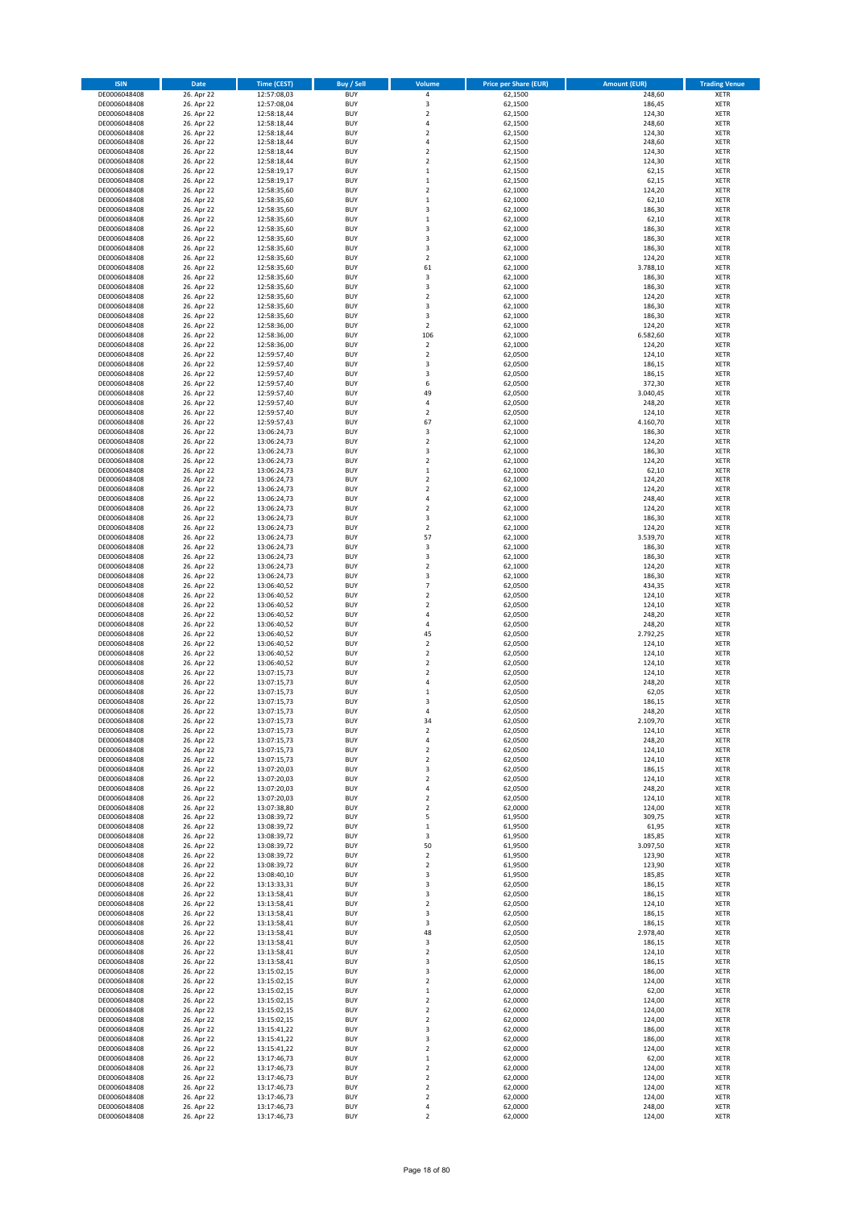| <b>ISIN</b>                  | Date                     | <b>Time (CEST)</b>         | <b>Buy / Sell</b>        | Volume                        | <b>Price per Share (EUR)</b> | <b>Amount (EUR)</b> | <b>Trading Venue</b>       |
|------------------------------|--------------------------|----------------------------|--------------------------|-------------------------------|------------------------------|---------------------|----------------------------|
| DE0006048408                 | 26. Apr 22               | 12:57:08,03                | <b>BUY</b>               | $\pmb{4}$                     | 62,1500                      | 248,60              | <b>XETR</b>                |
| DE0006048408                 | 26. Apr 22               | 12:57:08,04                | <b>BUY</b>               | 3                             | 62,1500                      | 186,45              | <b>XETR</b>                |
| DE0006048408<br>DE0006048408 | 26. Apr 22<br>26. Apr 22 | 12:58:18,44<br>12:58:18,44 | <b>BUY</b><br><b>BUY</b> | $\mathbf 2$<br>$\sqrt{4}$     | 62,1500<br>62,1500           | 124,30<br>248,60    | <b>XETR</b><br><b>XETR</b> |
| DE0006048408                 | 26. Apr 22               | 12:58:18,44                | <b>BUY</b>               | $\overline{2}$                | 62,1500                      | 124,30              | <b>XETR</b>                |
| DE0006048408                 | 26. Apr 22               | 12:58:18,44                | <b>BUY</b>               | $\overline{4}$                | 62,1500                      | 248,60              | <b>XETR</b>                |
| DE0006048408                 | 26. Apr 22               | 12:58:18,44                | <b>BUY</b>               | $\overline{2}$                | 62,1500                      | 124,30              | <b>XETR</b>                |
| DE0006048408                 | 26. Apr 22               | 12:58:18,44                | <b>BUY</b>               | $\overline{2}$                | 62,1500                      | 124,30              | <b>XETR</b>                |
| DE0006048408<br>DE0006048408 | 26. Apr 22<br>26. Apr 22 | 12:58:19,17                | <b>BUY</b><br><b>BUY</b> | $\mathbf 1$<br>$\,1\,$        | 62,1500<br>62,1500           | 62,15<br>62,15      | XETR<br><b>XETR</b>        |
| DE0006048408                 | 26. Apr 22               | 12:58:19,17<br>12:58:35,60 | <b>BUY</b>               | $\overline{2}$                | 62,1000                      | 124,20              | XETR                       |
| DE0006048408                 | 26. Apr 22               | 12:58:35,60                | <b>BUY</b>               | $\,1\,$                       | 62,1000                      | 62,10               | <b>XETR</b>                |
| DE0006048408                 | 26. Apr 22               | 12:58:35,60                | <b>BUY</b>               | 3                             | 62,1000                      | 186,30              | XETR                       |
| DE0006048408                 | 26. Apr 22               | 12:58:35,60                | <b>BUY</b>               | $\,1\,$                       | 62,1000                      | 62,10               | <b>XETR</b>                |
| DE0006048408                 | 26. Apr 22               | 12:58:35,60                | <b>BUY</b>               | 3                             | 62,1000                      | 186,30              | <b>XETR</b>                |
| DE0006048408<br>DE0006048408 | 26. Apr 22<br>26. Apr 22 | 12:58:35,60<br>12:58:35,60 | <b>BUY</b><br><b>BUY</b> | 3<br>3                        | 62,1000<br>62,1000           | 186,30<br>186,30    | <b>XETR</b><br>XETR        |
| DE0006048408                 | 26. Apr 22               | 12:58:35,60                | <b>BUY</b>               | $\overline{2}$                | 62,1000                      | 124,20              | <b>XETR</b>                |
| DE0006048408                 | 26. Apr 22               | 12:58:35,60                | <b>BUY</b>               | 61                            | 62,1000                      | 3.788,10            | XETR                       |
| DE0006048408                 | 26. Apr 22               | 12:58:35,60                | <b>BUY</b>               | 3                             | 62,1000                      | 186,30              | <b>XETR</b>                |
| DE0006048408                 | 26. Apr 22               | 12:58:35,60                | <b>BUY</b><br><b>BUY</b> | 3<br>$\mathbf 2$              | 62,1000                      | 186,30<br>124,20    | <b>XETR</b><br><b>XETR</b> |
| DE0006048408<br>DE0006048408 | 26. Apr 22<br>26. Apr 22 | 12:58:35,60<br>12:58:35,60 | <b>BUY</b>               | 3                             | 62,1000<br>62,1000           | 186,30              | <b>XETR</b>                |
| DE0006048408                 | 26. Apr 22               | 12:58:35,60                | <b>BUY</b>               | 3                             | 62,1000                      | 186,30              | <b>XETR</b>                |
| DE0006048408                 | 26. Apr 22               | 12:58:36,00                | <b>BUY</b>               | $\overline{2}$                | 62,1000                      | 124,20              | <b>XETR</b>                |
| DE0006048408                 | 26. Apr 22               | 12:58:36,00                | <b>BUY</b>               | 106                           | 62,1000                      | 6.582,60            | <b>XETR</b>                |
| DE0006048408                 | 26. Apr 22               | 12:58:36,00                | <b>BUY</b>               | $\overline{2}$                | 62,1000                      | 124,20              | <b>XETR</b>                |
| DE0006048408<br>DE0006048408 | 26. Apr 22<br>26. Apr 22 | 12:59:57,40<br>12:59:57,40 | <b>BUY</b><br><b>BUY</b> | $\mathbf 2$<br>3              | 62,0500<br>62,0500           | 124,10<br>186,15    | <b>XETR</b><br><b>XETR</b> |
| DE0006048408                 | 26. Apr 22               | 12:59:57,40                | <b>BUY</b>               | 3                             | 62,0500                      | 186,15              | <b>XETR</b>                |
| DE0006048408                 | 26. Apr 22               | 12:59:57,40                | <b>BUY</b>               | 6                             | 62,0500                      | 372,30              | <b>XETR</b>                |
| DE0006048408                 | 26. Apr 22               | 12:59:57,40                | <b>BUY</b>               | 49                            | 62,0500                      | 3.040,45            | <b>XETR</b>                |
| DE0006048408                 | 26. Apr 22               | 12:59:57,40                | <b>BUY</b>               | 4                             | 62,0500                      | 248,20              | <b>XETR</b>                |
| DE0006048408<br>DE0006048408 | 26. Apr 22<br>26. Apr 22 | 12:59:57,40<br>12:59:57,43 | <b>BUY</b><br><b>BUY</b> | $\boldsymbol{2}$<br>67        | 62,0500<br>62,1000           | 124,10<br>4.160,70  | XETR<br><b>XETR</b>        |
| DE0006048408                 | 26. Apr 22               | 13:06:24,73                | <b>BUY</b>               | $\overline{\mathbf{3}}$       | 62,1000                      | 186,30              | XETR                       |
| DE0006048408                 | 26. Apr 22               | 13:06:24,73                | <b>BUY</b>               | $\overline{2}$                | 62,1000                      | 124,20              | <b>XETR</b>                |
| DE0006048408                 | 26. Apr 22               | 13:06:24,73                | <b>BUY</b>               | 3                             | 62,1000                      | 186,30              | XETR                       |
| DE0006048408                 | 26. Apr 22               | 13:06:24,73                | <b>BUY</b>               | $\overline{2}$                | 62,1000                      | 124,20              | <b>XETR</b>                |
| DE0006048408<br>DE0006048408 | 26. Apr 22<br>26. Apr 22 | 13:06:24,73                | <b>BUY</b><br><b>BUY</b> | $\,1\,$<br>$\overline{2}$     | 62,1000<br>62,1000           | 62,10<br>124,20     | <b>XETR</b><br><b>XETR</b> |
| DE0006048408                 | 26. Apr 22               | 13:06:24,73<br>13:06:24,73 | <b>BUY</b>               | $\overline{2}$                | 62,1000                      | 124,20              | XETR                       |
| DE0006048408                 | 26. Apr 22               | 13:06:24,73                | <b>BUY</b>               | $\sqrt{4}$                    | 62,1000                      | 248,40              | <b>XETR</b>                |
| DE0006048408                 | 26. Apr 22               | 13:06:24,73                | <b>BUY</b>               | $\overline{2}$                | 62,1000                      | 124,20              | <b>XETR</b>                |
| DE0006048408                 | 26. Apr 22               | 13:06:24,73                | <b>BUY</b>               | 3                             | 62,1000                      | 186,30              | <b>XETR</b>                |
| DE0006048408                 | 26. Apr 22               | 13:06:24,73                | <b>BUY</b>               | $\mathbf 2$                   | 62,1000                      | 124,20              | XETR                       |
| DE0006048408<br>DE0006048408 | 26. Apr 22<br>26. Apr 22 | 13:06:24,73<br>13:06:24,73 | <b>BUY</b><br><b>BUY</b> | 57<br>3                       | 62,1000<br>62,1000           | 3.539,70<br>186,30  | <b>XETR</b><br><b>XETR</b> |
| DE0006048408                 | 26. Apr 22               | 13:06:24,73                | <b>BUY</b>               | 3                             | 62,1000                      | 186,30              | <b>XETR</b>                |
| DE0006048408                 | 26. Apr 22               | 13:06:24,73                | <b>BUY</b>               | $\mathbf 2$                   | 62,1000                      | 124,20              | <b>XETR</b>                |
| DE0006048408                 | 26. Apr 22               | 13:06:24,73                | <b>BUY</b>               | 3                             | 62,1000                      | 186,30              | <b>XETR</b>                |
| DE0006048408                 | 26. Apr 22               | 13:06:40,52                | <b>BUY</b><br><b>BUY</b> | $\overline{7}$<br>$\mathbf 2$ | 62,0500                      | 434,35              | <b>XETR</b>                |
| DE0006048408<br>DE0006048408 | 26. Apr 22<br>26. Apr 22 | 13:06:40,52<br>13:06:40,52 | <b>BUY</b>               | $\overline{2}$                | 62,0500<br>62,0500           | 124,10<br>124,10    | <b>XETR</b><br><b>XETR</b> |
| DE0006048408                 | 26. Apr 22               | 13:06:40,52                | <b>BUY</b>               | 4                             | 62,0500                      | 248,20              | <b>XETR</b>                |
| DE0006048408                 | 26. Apr 22               | 13:06:40,52                | <b>BUY</b>               | $\overline{4}$                | 62,0500                      | 248,20              | <b>XETR</b>                |
| DE0006048408                 | 26. Apr 22               | 13:06:40,52                | <b>BUY</b>               | 45                            | 62,0500                      | 2.792,25            | <b>XETR</b>                |
| DE0006048408                 | 26. Apr 22               | 13:06:40,52                | <b>BUY</b><br><b>BUY</b> | $\overline{2}$<br>$\mathbf 2$ | 62,0500<br>62,0500           | 124,10              | <b>XETR</b><br><b>XETR</b> |
| DE0006048408<br>DE0006048408 | 26. Apr 22<br>26. Apr 22 | 13:06:40,52<br>13:06:40,52 | <b>BUY</b>               | $\overline{2}$                | 62,0500                      | 124,10<br>124,10    | <b>XETR</b>                |
| DE0006048408                 | 26. Apr 22               | 13:07:15,73                | <b>BUY</b>               | $\overline{2}$                | 62,0500                      | 124,10              | XETR                       |
| DE0006048408                 | 26. Apr 22               | 13:07:15,73                | <b>BUY</b>               | $\sqrt{4}$                    | 62,0500                      | 248,20              | <b>XETR</b>                |
| DE0006048408                 | 26. Apr 22               | 13:07:15,73                | <b>BUY</b>               | $\,$ 1                        | 62,0500                      | 62,05               | <b>XETR</b>                |
| DE0006048408<br>DE0006048408 | 26. Apr 22               | 13:07:15,73                | <b>BUY</b><br><b>BUY</b> | 3<br>$\overline{4}$           | 62,0500<br>62,0500           | 186,15<br>248,20    | <b>XETR</b><br><b>XETR</b> |
| DE0006048408                 | 26. Apr 22<br>26. Apr 22 | 13:07:15,73<br>13:07:15,73 | <b>BUY</b>               | 34                            | 62,0500                      | 2.109,70            | XETR                       |
| DE0006048408                 | 26. Apr 22               | 13:07:15,73                | <b>BUY</b>               | $\mathbf 2$                   | 62,0500                      | 124,10              | XETR                       |
| DE0006048408                 | 26. Apr 22               | 13:07:15,73                | <b>BUY</b>               | 4                             | 62,0500                      | 248,20              | XETR                       |
| DE0006048408                 | 26. Apr 22               | 13:07:15,73                | <b>BUY</b>               | $\overline{2}$                | 62,0500                      | 124,10              | <b>XETR</b>                |
| DE0006048408                 | 26. Apr 22               | 13:07:15,73                | <b>BUY</b><br><b>BUY</b> | $\mathbf 2$                   | 62,0500<br>62,0500           | 124,10<br>186,15    | <b>XETR</b><br>XETR        |
| DE0006048408<br>DE0006048408 | 26. Apr 22<br>26. Apr 22 | 13:07:20,03<br>13:07:20,03 | <b>BUY</b>               | 3<br>$\overline{2}$           | 62,0500                      | 124,10              | <b>XETR</b>                |
| DE0006048408                 | 26. Apr 22               | 13:07:20,03                | <b>BUY</b>               | $\sqrt{4}$                    | 62,0500                      | 248,20              | <b>XETR</b>                |
| DE0006048408                 | 26. Apr 22               | 13:07:20,03                | <b>BUY</b>               | $\mathbf 2$                   | 62,0500                      | 124,10              | <b>XETR</b>                |
| DE0006048408                 | 26. Apr 22               | 13:07:38,80                | <b>BUY</b>               | $\mathbf 2$                   | 62,0000                      | 124,00              | <b>XETR</b>                |
| DE0006048408<br>DE0006048408 | 26. Apr 22<br>26. Apr 22 | 13:08:39,72<br>13:08:39,72 | <b>BUY</b><br><b>BUY</b> | 5<br>$\,$ 1                   | 61,9500<br>61,9500           | 309,75<br>61,95     | <b>XETR</b><br><b>XETR</b> |
| DE0006048408                 | 26. Apr 22               | 13:08:39,72                | <b>BUY</b>               | 3                             | 61,9500                      | 185,85              | <b>XETR</b>                |
| DE0006048408                 | 26. Apr 22               | 13:08:39,72                | <b>BUY</b>               | 50                            | 61,9500                      | 3.097,50            | XETR                       |
| DE0006048408                 | 26. Apr 22               | 13:08:39,72                | <b>BUY</b>               | $\mathbf 2$                   | 61,9500                      | 123,90              | <b>XETR</b>                |
| DE0006048408                 | 26. Apr 22               | 13:08:39,72                | <b>BUY</b>               | $\mathbf 2$                   | 61,9500                      | 123,90              | <b>XETR</b>                |
| DE0006048408<br>DE0006048408 | 26. Apr 22<br>26. Apr 22 | 13:08:40,10<br>13:13:33,31 | <b>BUY</b><br><b>BUY</b> | 3<br>3                        | 61,9500<br>62,0500           | 185,85<br>186,15    | <b>XETR</b><br><b>XETR</b> |
| DE0006048408                 | 26. Apr 22               | 13:13:58,41                | <b>BUY</b>               | 3                             | 62,0500                      | 186,15              | <b>XETR</b>                |
| DE0006048408                 | 26. Apr 22               | 13:13:58,41                | <b>BUY</b>               | $\mathbf 2$                   | 62,0500                      | 124,10              | <b>XETR</b>                |
| DE0006048408                 | 26. Apr 22               | 13:13:58,41                | <b>BUY</b>               | 3                             | 62,0500                      | 186,15              | <b>XETR</b>                |
| DE0006048408<br>DE0006048408 | 26. Apr 22               | 13:13:58,41<br>13:13:58,41 | <b>BUY</b><br><b>BUY</b> | 3<br>48                       | 62,0500<br>62,0500           | 186,15<br>2.978,40  | <b>XETR</b><br>XETR        |
| DE0006048408                 | 26. Apr 22<br>26. Apr 22 | 13:13:58,41                | <b>BUY</b>               | 3                             | 62,0500                      | 186,15              | XETR                       |
| DE0006048408                 | 26. Apr 22               | 13:13:58,41                | <b>BUY</b>               | $\boldsymbol{2}$              | 62,0500                      | 124,10              | <b>XETR</b>                |
| DE0006048408                 | 26. Apr 22               | 13:13:58,41                | <b>BUY</b>               | 3                             | 62,0500                      | 186,15              | <b>XETR</b>                |
| DE0006048408                 | 26. Apr 22               | 13:15:02,15                | <b>BUY</b>               | 3                             | 62,0000                      | 186,00              | XETR                       |
| DE0006048408                 | 26. Apr 22               | 13:15:02,15                | <b>BUY</b>               | $\overline{2}$                | 62,0000                      | 124,00              | XETR                       |
| DE0006048408<br>DE0006048408 | 26. Apr 22<br>26. Apr 22 | 13:15:02,15<br>13:15:02,15 | <b>BUY</b><br><b>BUY</b> | $\,$ 1<br>$\mathbf 2$         | 62,0000<br>62,0000           | 62,00<br>124,00     | <b>XETR</b><br><b>XETR</b> |
| DE0006048408                 | 26. Apr 22               | 13:15:02,15                | <b>BUY</b>               | $\overline{\mathbf{c}}$       | 62,0000                      | 124,00              | XETR                       |
| DE0006048408                 | 26. Apr 22               | 13:15:02,15                | <b>BUY</b>               | $\mathbf 2$                   | 62,0000                      | 124,00              | XETR                       |
| DE0006048408                 | 26. Apr 22               | 13:15:41,22                | <b>BUY</b>               | 3                             | 62,0000                      | 186,00              | <b>XETR</b>                |
| DE0006048408                 | 26. Apr 22               | 13:15:41,22                | <b>BUY</b>               | 3                             | 62,0000                      | 186,00              | <b>XETR</b>                |
| DE0006048408<br>DE0006048408 | 26. Apr 22<br>26. Apr 22 | 13:15:41,22<br>13:17:46,73 | <b>BUY</b><br><b>BUY</b> | $\mathbf 2$<br>$\,$ 1         | 62,0000<br>62,0000           | 124,00<br>62,00     | <b>XETR</b><br><b>XETR</b> |
| DE0006048408                 | 26. Apr 22               | 13:17:46,73                | <b>BUY</b>               | $\mathbf 2$                   | 62,0000                      | 124,00              | <b>XETR</b>                |
| DE0006048408                 | 26. Apr 22               | 13:17:46,73                | <b>BUY</b>               | $\overline{2}$                | 62,0000                      | 124,00              | <b>XETR</b>                |
| DE0006048408                 | 26. Apr 22               | 13:17:46,73                | <b>BUY</b>               | $\mathbf 2$                   | 62,0000                      | 124,00              | <b>XETR</b>                |
| DE0006048408<br>DE0006048408 | 26. Apr 22<br>26. Apr 22 | 13:17:46,73<br>13:17:46,73 | <b>BUY</b><br><b>BUY</b> | $\overline{2}$<br>$\pmb{4}$   | 62,0000<br>62,0000           | 124,00<br>248,00    | <b>XETR</b><br><b>XETR</b> |
| DE0006048408                 | 26. Apr 22               | 13:17:46,73                | <b>BUY</b>               | $\overline{2}$                | 62,0000                      | 124,00              | <b>XETR</b>                |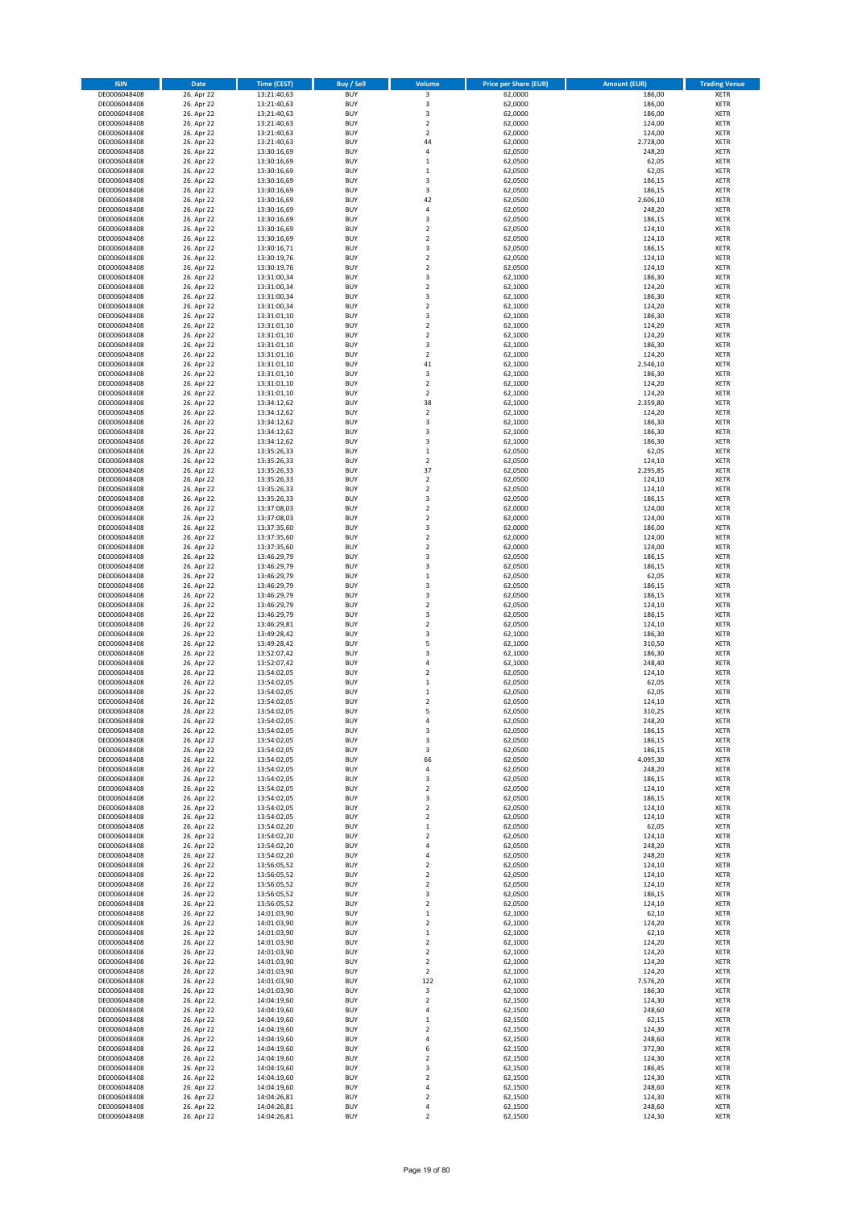| <b>ISIN</b>                  | Date                     | <b>Time (CEST)</b>         | Buy / Sell               | Volume                                 | <b>Price per Share (EUR)</b> | <b>Amount (EUR)</b> | <b>Trading Venue</b>       |
|------------------------------|--------------------------|----------------------------|--------------------------|----------------------------------------|------------------------------|---------------------|----------------------------|
| DE0006048408                 | 26. Apr 22               | 13:21:40,63                | <b>BUY</b>               | 3                                      | 62,0000                      | 186,00              | XETR                       |
| DE0006048408<br>DE0006048408 | 26. Apr 22<br>26. Apr 22 | 13:21:40,63<br>13:21:40,63 | <b>BUY</b><br><b>BUY</b> | 3<br>3                                 | 62,0000<br>62,0000           | 186,00<br>186,00    | XETR<br>XETR               |
| DE0006048408                 | 26. Apr 22               | 13:21:40,63                | <b>BUY</b>               | $\mathbf 2$                            | 62,0000                      | 124,00              | XETR                       |
| DE0006048408                 | 26. Apr 22               | 13:21:40,63                | <b>BUY</b>               | $\overline{\mathbf{c}}$                | 62,0000                      | 124,00              | XETR                       |
| DE0006048408                 | 26. Apr 22               | 13:21:40,63                | <b>BUY</b>               | 44                                     | 62,0000                      | 2.728,00            | <b>XETR</b>                |
| DE0006048408<br>DE0006048408 | 26. Apr 22<br>26. Apr 22 | 13:30:16,69<br>13:30:16,69 | <b>BUY</b><br><b>BUY</b> | 4<br>$\mathbf 1$                       | 62,0500<br>62,0500           | 248,20<br>62,05     | <b>XETR</b><br><b>XETR</b> |
| DE0006048408                 | 26. Apr 22               | 13:30:16,69                | <b>BUY</b>               | $\mathbf 1$                            | 62,0500                      | 62,05               | <b>XETR</b>                |
| DE0006048408                 | 26. Apr 22               | 13:30:16,69                | <b>BUY</b>               | 3                                      | 62,0500                      | 186,15              | <b>XETR</b>                |
| DE0006048408                 | 26. Apr 22               | 13:30:16,69                | <b>BUY</b>               | 3                                      | 62,0500                      | 186,15              | <b>XETR</b>                |
| DE0006048408                 | 26. Apr 22               | 13:30:16,69                | <b>BUY</b>               | 42                                     | 62,0500                      | 2.606,10            | <b>XETR</b>                |
| DE0006048408<br>DE0006048408 | 26. Apr 22<br>26. Apr 22 | 13:30:16,69<br>13:30:16,69 | <b>BUY</b><br><b>BUY</b> | 4<br>3                                 | 62,0500<br>62,0500           | 248,20<br>186,15    | XETR<br><b>XETR</b>        |
| DE0006048408                 | 26. Apr 22               | 13:30:16,69                | <b>BUY</b>               | $\mathbf 2$                            | 62,0500                      | 124,10              | XETR                       |
| DE0006048408                 | 26. Apr 22               | 13:30:16,69                | <b>BUY</b>               | $\overline{\mathbf{c}}$                | 62,0500                      | 124,10              | <b>XETR</b>                |
| DE0006048408                 | 26. Apr 22               | 13:30:16,71                | <b>BUY</b>               | 3                                      | 62,0500                      | 186,15              | XETR                       |
| DE0006048408<br>DE0006048408 | 26. Apr 22<br>26. Apr 22 | 13:30:19,76<br>13:30:19,76 | <b>BUY</b><br><b>BUY</b> | $\overline{\mathbf{c}}$<br>$\mathbf 2$ | 62,0500<br>62,0500           | 124,10<br>124,10    | <b>XETR</b><br>XETR        |
| DE0006048408                 | 26. Apr 22               | 13:31:00,34                | <b>BUY</b>               | 3                                      | 62,1000                      | 186,30              | <b>XETR</b>                |
| DE0006048408                 | 26. Apr 22               | 13:31:00,34                | <b>BUY</b>               | $\overline{\mathbf{c}}$                | 62,1000                      | 124,20              | XETR                       |
| DE0006048408                 | 26. Apr 22               | 13:31:00,34                | <b>BUY</b>               | 3                                      | 62,1000                      | 186,30              | XETR                       |
| DE0006048408<br>DE0006048408 | 26. Apr 22<br>26. Apr 22 | 13:31:00,34<br>13:31:01,10 | <b>BUY</b><br><b>BUY</b> | $\mathbf 2$<br>3                       | 62,1000<br>62,1000           | 124,20<br>186,30    | <b>XETR</b><br><b>XETR</b> |
| DE0006048408                 | 26. Apr 22               | 13:31:01,10                | <b>BUY</b>               | $\overline{\mathbf{c}}$                | 62,1000                      | 124,20              | <b>XETR</b>                |
| DE0006048408                 | 26. Apr 22               | 13:31:01,10                | <b>BUY</b>               | $\overline{\mathbf{c}}$                | 62,1000                      | 124,20              | <b>XETR</b>                |
| DE0006048408                 | 26. Apr 22               | 13:31:01,10                | <b>BUY</b>               | 3                                      | 62,1000                      | 186,30              | <b>XETR</b>                |
| DE0006048408                 | 26. Apr 22               | 13:31:01,10                | <b>BUY</b>               | $\overline{2}$                         | 62,1000                      | 124,20              | <b>XETR</b>                |
| DE0006048408<br>DE0006048408 | 26. Apr 22<br>26. Apr 22 | 13:31:01,10<br>13:31:01,10 | <b>BUY</b><br><b>BUY</b> | 41<br>3                                | 62,1000<br>62,1000           | 2.546,10<br>186,30  | <b>XETR</b><br><b>XETR</b> |
| DE0006048408                 | 26. Apr 22               | 13:31:01,10                | <b>BUY</b>               | $\mathbf 2$                            | 62,1000                      | 124,20              | <b>XETR</b>                |
| DE0006048408                 | 26. Apr 22               | 13:31:01,10                | <b>BUY</b>               | $\mathbf 2$                            | 62,1000                      | 124,20              | <b>XETR</b>                |
| DE0006048408                 | 26. Apr 22               | 13:34:12,62                | <b>BUY</b>               | 38                                     | 62,1000                      | 2.359,80            | <b>XETR</b>                |
| DE0006048408<br>DE0006048408 | 26. Apr 22<br>26. Apr 22 | 13:34:12,62<br>13:34:12,62 | <b>BUY</b><br><b>BUY</b> | $\mathbf 2$<br>3                       | 62,1000<br>62,1000           | 124,20<br>186,30    | XETR<br><b>XETR</b>        |
| DE0006048408                 | 26. Apr 22               | 13:34:12,62                | <b>BUY</b>               | 3                                      | 62,1000                      | 186,30              | XETR                       |
| DE0006048408                 | 26. Apr 22               | 13:34:12,62                | <b>BUY</b>               | 3                                      | 62,1000                      | 186,30              | <b>XETR</b>                |
| DE0006048408                 | 26. Apr 22               | 13:35:26,33                | <b>BUY</b>               | $\mathbf 1$                            | 62,0500                      | 62,05               | XETR                       |
| DE0006048408                 | 26. Apr 22<br>26. Apr 22 | 13:35:26,33                | <b>BUY</b>               | $\overline{\mathbf{c}}$<br>37          | 62,0500                      | 124,10<br>2.295,85  | <b>XETR</b><br><b>XETR</b> |
| DE0006048408<br>DE0006048408 | 26. Apr 22               | 13:35:26,33<br>13:35:26,33 | <b>BUY</b><br><b>BUY</b> | $\overline{\mathbf{c}}$                | 62,0500<br>62,0500           | 124,10              | <b>XETR</b>                |
| DE0006048408                 | 26. Apr 22               | 13:35:26,33                | <b>BUY</b>               | $\mathbf 2$                            | 62,0500                      | 124,10              | <b>XETR</b>                |
| DE0006048408                 | 26. Apr 22               | 13:35:26,33                | <b>BUY</b>               | 3                                      | 62,0500                      | 186,15              | <b>XETR</b>                |
| DE0006048408                 | 26. Apr 22               | 13:37:08,03                | <b>BUY</b>               | $\overline{\mathbf{c}}$                | 62,0000                      | 124,00              | <b>XETR</b>                |
| DE0006048408<br>DE0006048408 | 26. Apr 22<br>26. Apr 22 | 13:37:08,03<br>13:37:35,60 | <b>BUY</b><br><b>BUY</b> | $\overline{\mathbf{c}}$<br>3           | 62,0000<br>62,0000           | 124,00<br>186,00    | <b>XETR</b><br>XETR        |
| DE0006048408                 | 26. Apr 22               | 13:37:35,60                | <b>BUY</b>               | 2                                      | 62,0000                      | 124,00              | XETR                       |
| DE0006048408                 | 26. Apr 22               | 13:37:35,60                | <b>BUY</b>               | $\overline{\mathbf{c}}$                | 62,0000                      | 124,00              | <b>XETR</b>                |
| DE0006048408                 | 26. Apr 22               | 13:46:29,79                | <b>BUY</b>               | 3                                      | 62,0500                      | 186,15              | <b>XETR</b>                |
| DE0006048408                 | 26. Apr 22               | 13:46:29,79                | <b>BUY</b><br><b>BUY</b> | 3                                      | 62,0500                      | 186,15              | <b>XETR</b>                |
| DE0006048408<br>DE0006048408 | 26. Apr 22<br>26. Apr 22 | 13:46:29,79<br>13:46:29,79 | <b>BUY</b>               | $\mathbf 1$<br>3                       | 62,0500<br>62,0500           | 62,05<br>186,15     | <b>XETR</b><br><b>XETR</b> |
| DE0006048408                 | 26. Apr 22               | 13:46:29,79                | <b>BUY</b>               | 3                                      | 62,0500                      | 186,15              | <b>XETR</b>                |
| DE0006048408                 | 26. Apr 22               | 13:46:29,79                | <b>BUY</b>               | $\mathbf 2$                            | 62,0500                      | 124,10              | <b>XETR</b>                |
| DE0006048408                 | 26. Apr 22               | 13:46:29,79                | <b>BUY</b>               | 3                                      | 62,0500                      | 186,15              | XETR                       |
| DE0006048408<br>DE0006048408 | 26. Apr 22<br>26. Apr 22 | 13:46:29,81<br>13:49:28,42 | <b>BUY</b><br><b>BUY</b> | $\mathbf 2$<br>3                       | 62,0500<br>62,1000           | 124,10<br>186,30    | <b>XETR</b><br><b>XETR</b> |
| DE0006048408                 | 26. Apr 22               | 13:49:28,42                | <b>BUY</b>               | 5                                      | 62,1000                      | 310,50              | <b>XETR</b>                |
| DE0006048408                 | 26. Apr 22               | 13:52:07,42                | <b>BUY</b>               | 3                                      | 62,1000                      | 186,30              | <b>XETR</b>                |
| DE0006048408                 | 26. Apr 22               | 13:52:07,42                | <b>BUY</b>               | 4                                      | 62,1000                      | 248,40              | <b>XETR</b>                |
| DE0006048408<br>DE0006048408 | 26. Apr 22<br>26. Apr 22 | 13:54:02,05<br>13:54:02,05 | <b>BUY</b><br><b>BUY</b> | $\mathbf 2$<br>$\mathbf 1$             | 62,0500<br>62,0500           | 124,10<br>62,05     | XETR<br><b>XETR</b>        |
| DE0006048408                 | 26. Apr 22               | 13:54:02,05                | <b>BUY</b>               | $\mathbf 1$                            | 62,0500                      | 62,05               | XETR                       |
| DE0006048408                 | 26. Apr 22               | 13:54:02,05                | <b>BUY</b>               | $\mathbf 2$                            | 62,0500                      | 124,10              | <b>XETR</b>                |
| DE0006048408                 | 26. Apr 22               | 13:54:02,05                | <b>BUY</b>               | 5                                      | 62,0500                      | 310,25              | XETR                       |
| DE0006048408<br>DE0006048408 | 26. Apr 22<br>26. Apr 22 | 13:54:02,05<br>13:54:02,05 | <b>BUY</b><br><b>BUY</b> | 4<br>3                                 | 62,0500<br>62,0500           | 248,20<br>186,15    | <b>XETR</b><br>XETR        |
| DE0006048408                 | 26. Apr 22               | 13:54:02,05                | <b>BUY</b>               | 3                                      | 62,0500                      | 186,15              | XETR                       |
| DE0006048408                 | 26. Apr 22               | 13:54:02,05                | <b>BUY</b>               | 3                                      | 62,0500                      | 186,15              | XETR                       |
| DE0006048408                 | 26. Apr 22               | 13:54:02,05                | <b>BUY</b>               | 66                                     | 62,0500                      | 4.095,30            | <b>XETR</b>                |
| DE0006048408<br>DE0006048408 | 26. Apr 22<br>26. Apr 22 | 13:54:02,05<br>13:54:02,05 | <b>BUY</b><br><b>BUY</b> | 4<br>3                                 | 62,0500<br>62,0500           | 248,20<br>186,15    | XETR<br><b>XETR</b>        |
| DE0006048408                 | 26. Apr 22               | 13:54:02,05                | <b>BUY</b>               | $\mathbf 2$                            | 62,0500                      | 124,10              | XETR                       |
| DE0006048408                 | 26. Apr 22               | 13:54:02,05                | <b>BUY</b>               | 3                                      | 62,0500                      | 186,15              | <b>XETR</b>                |
| DE0006048408                 | 26. Apr 22               | 13:54:02,05                | <b>BUY</b>               | $\mathbf 2$                            | 62,0500                      | 124,10              | XETR                       |
| DE0006048408<br>DE0006048408 | 26. Apr 22<br>26. Apr 22 | 13:54:02,05<br>13:54:02,20 | <b>BUY</b><br><b>BUY</b> | 2<br>$\mathbf 1$                       | 62,0500<br>62,0500           | 124,10<br>62,05     | <b>XETR</b><br>XETR        |
| DE0006048408                 | 26. Apr 22               | 13:54:02,20                | <b>BUY</b>               | $\mathbf 2$                            | 62,0500                      | 124,10              | <b>XETR</b>                |
| DE0006048408                 | 26. Apr 22               | 13:54:02,20                | <b>BUY</b>               | 4                                      | 62,0500                      | 248,20              | XETR                       |
| DE0006048408                 | 26. Apr 22               | 13:54:02,20                | <b>BUY</b>               | 4                                      | 62,0500                      | 248,20              | <b>XETR</b>                |
| DE0006048408<br>DE0006048408 | 26. Apr 22<br>26. Apr 22 | 13:56:05,52<br>13:56:05,52 | <b>BUY</b><br><b>BUY</b> | 2<br>$\mathbf 2$                       | 62,0500<br>62,0500           | 124,10<br>124,10    | XETR<br><b>XETR</b>        |
| DE0006048408                 | 26. Apr 22               | 13:56:05,52                | <b>BUY</b>               | 2                                      | 62,0500                      | 124,10              | <b>XETR</b>                |
| DE0006048408                 | 26. Apr 22               | 13:56:05,52                | <b>BUY</b>               | 3                                      | 62,0500                      | 186,15              | <b>XETR</b>                |
| DE0006048408                 | 26. Apr 22               | 13:56:05,52                | <b>BUY</b>               | $\mathbf 2$                            | 62,0500                      | 124,10              | XETR                       |
| DE0006048408<br>DE0006048408 | 26. Apr 22<br>26. Apr 22 | 14:01:03,90<br>14:01:03,90 | <b>BUY</b><br><b>BUY</b> | $\mathbf 1$<br>2                       | 62,1000<br>62,1000           | 62,10<br>124,20     | <b>XETR</b><br><b>XETR</b> |
| DE0006048408                 | 26. Apr 22               | 14:01:03,90                | <b>BUY</b>               | 1                                      | 62,1000                      | 62,10               | XETR                       |
| DE0006048408                 | 26. Apr 22               | 14:01:03,90                | <b>BUY</b>               | $\mathbf 2$                            | 62,1000                      | 124,20              | <b>XETR</b>                |
| DE0006048408                 | 26. Apr 22               | 14:01:03,90                | <b>BUY</b>               | $\mathbf 2$                            | 62,1000                      | 124,20              | XETR                       |
| DE0006048408                 | 26. Apr 22               | 14:01:03,90                | <b>BUY</b>               | $\mathbf 2$                            | 62,1000                      | 124,20              | <b>XETR</b>                |
| DE0006048408<br>DE0006048408 | 26. Apr 22<br>26. Apr 22 | 14:01:03,90<br>14:01:03,90 | <b>BUY</b><br><b>BUY</b> | 2<br>122                               | 62,1000<br>62,1000           | 124,20<br>7.576,20  | XETR<br><b>XETR</b>        |
| DE0006048408                 | 26. Apr 22               | 14:01:03,90                | <b>BUY</b>               | 3                                      | 62,1000                      | 186,30              | XETR                       |
| DE0006048408                 | 26. Apr 22               | 14:04:19,60                | <b>BUY</b>               | $\mathbf 2$                            | 62,1500                      | 124,30              | <b>XETR</b>                |
| DE0006048408                 | 26. Apr 22               | 14:04:19,60                | <b>BUY</b>               | 4                                      | 62,1500                      | 248,60              | XETR                       |
| DE0006048408<br>DE0006048408 | 26. Apr 22<br>26. Apr 22 | 14:04:19,60<br>14:04:19,60 | <b>BUY</b><br><b>BUY</b> | $\mathbf 1$<br>2                       | 62,1500<br>62,1500           | 62,15<br>124,30     | <b>XETR</b><br>XETR        |
| DE0006048408                 | 26. Apr 22               | 14:04:19,60                | <b>BUY</b>               | 4                                      | 62,1500                      | 248,60              | <b>XETR</b>                |
| DE0006048408                 | 26. Apr 22               | 14:04:19,60                | <b>BUY</b>               | 6                                      | 62,1500                      | 372,90              | <b>XETR</b>                |
| DE0006048408                 | 26. Apr 22               | 14:04:19,60                | <b>BUY</b>               | 2                                      | 62,1500                      | 124,30              | <b>XETR</b>                |
| DE0006048408<br>DE0006048408 | 26. Apr 22<br>26. Apr 22 | 14:04:19,60<br>14:04:19,60 | <b>BUY</b><br><b>BUY</b> | 3<br>$\mathbf 2$                       | 62,1500<br>62,1500           | 186,45<br>124,30    | XETR<br><b>XETR</b>        |
| DE0006048408                 | 26. Apr 22               | 14:04:19,60                | <b>BUY</b>               | 4                                      | 62,1500                      | 248,60              | XETR                       |
| DE0006048408                 | 26. Apr 22               | 14:04:26,81                | <b>BUY</b>               | 2                                      | 62,1500                      | 124,30              | XETR                       |
| DE0006048408                 | 26. Apr 22               | 14:04:26,81                | <b>BUY</b>               | 4                                      | 62,1500                      | 248,60              | XETR                       |
| DE0006048408                 | 26. Apr 22               | 14:04:26,81                | <b>BUY</b>               | $\mathbf 2$                            | 62,1500                      | 124,30              | <b>XETR</b>                |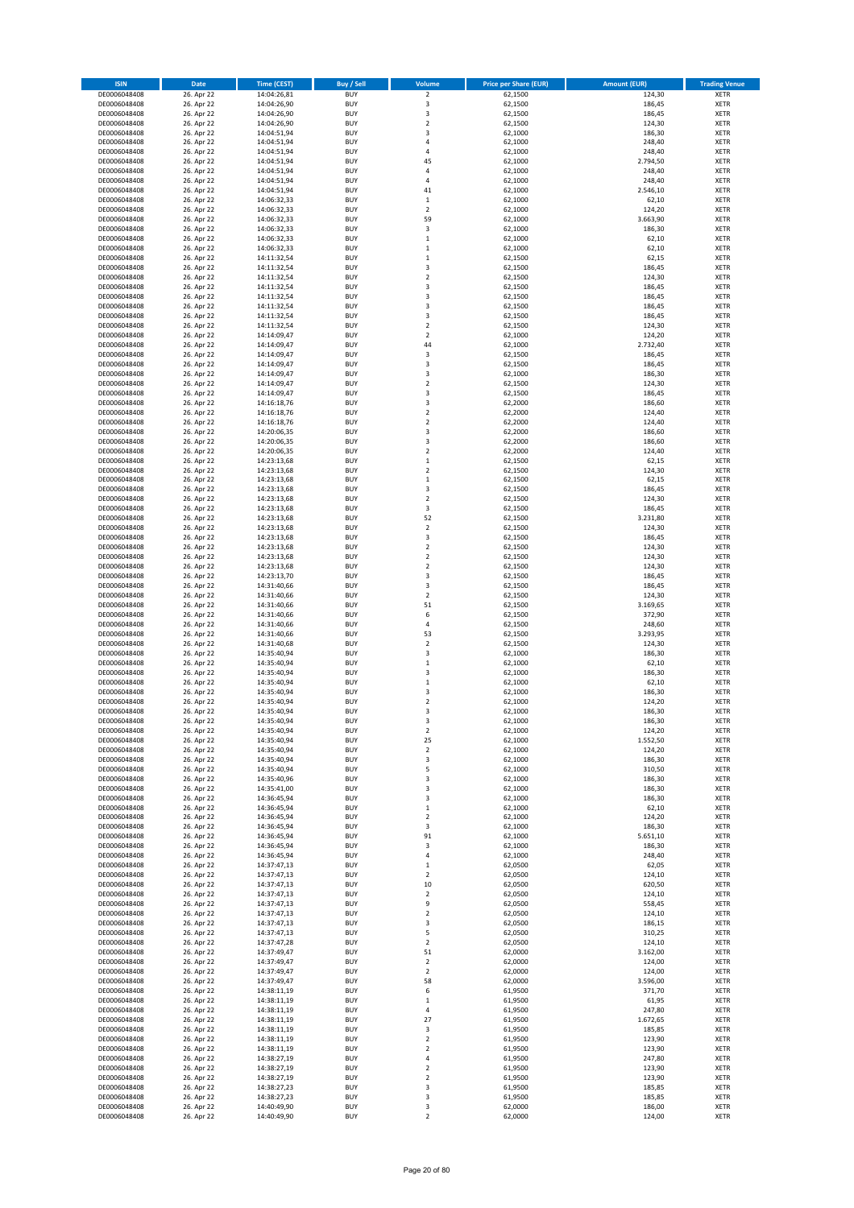| <b>ISIN</b>                  | Date                     | <b>Time (CEST)</b>         | Buy / Sell               | Volume                        | <b>Price per Share (EUR)</b> | <b>Amount (EUR)</b> | <b>Trading Venue</b>       |
|------------------------------|--------------------------|----------------------------|--------------------------|-------------------------------|------------------------------|---------------------|----------------------------|
| DE0006048408                 | 26. Apr 22               | 14:04:26,81                | <b>BUY</b>               | $\overline{\mathbf{c}}$       | 62,1500                      | 124,30              | XETR                       |
| DE0006048408<br>DE0006048408 | 26. Apr 22<br>26. Apr 22 | 14:04:26,90<br>14:04:26,90 | <b>BUY</b><br><b>BUY</b> | 3<br>3                        | 62,1500<br>62,1500           | 186,45<br>186,45    | XETR<br>XETR               |
| DE0006048408                 | 26. Apr 22               | 14:04:26,90                | <b>BUY</b>               | $\mathbf 2$                   | 62,1500                      | 124,30              | XETR                       |
| DE0006048408                 | 26. Apr 22               | 14:04:51,94                | <b>BUY</b>               | 3                             | 62,1000                      | 186,30              | XETR                       |
| DE0006048408                 | 26. Apr 22               | 14:04:51,94                | <b>BUY</b>               | $\overline{4}$                | 62,1000                      | 248,40              | <b>XETR</b>                |
| DE0006048408<br>DE0006048408 | 26. Apr 22<br>26. Apr 22 | 14:04:51,94<br>14:04:51,94 | <b>BUY</b><br><b>BUY</b> | 4<br>45                       | 62,1000<br>62,1000           | 248,40<br>2.794,50  | <b>XETR</b><br><b>XETR</b> |
| DE0006048408                 | 26. Apr 22               | 14:04:51,94                | <b>BUY</b>               | 4                             | 62,1000                      | 248,40              | <b>XETR</b>                |
| DE0006048408                 | 26. Apr 22               | 14:04:51,94                | <b>BUY</b>               | $\overline{a}$                | 62,1000                      | 248,40              | <b>XETR</b>                |
| DE0006048408                 | 26. Apr 22               | 14:04:51,94                | <b>BUY</b>               | 41                            | 62,1000                      | 2.546,10            | <b>XETR</b>                |
| DE0006048408<br>DE0006048408 | 26. Apr 22               | 14:06:32,33<br>14:06:32,33 | <b>BUY</b><br><b>BUY</b> | $\mathbf 1$<br>$\mathbf 2$    | 62,1000<br>62,1000           | 62,10<br>124,20     | <b>XETR</b><br>XETR        |
| DE0006048408                 | 26. Apr 22<br>26. Apr 22 | 14:06:32,33                | <b>BUY</b>               | 59                            | 62,1000                      | 3.663,90            | <b>XETR</b>                |
| DE0006048408                 | 26. Apr 22               | 14:06:32,33                | <b>BUY</b>               | 3                             | 62,1000                      | 186,30              | XETR                       |
| DE0006048408                 | 26. Apr 22               | 14:06:32,33                | <b>BUY</b>               | $\mathbf 1$                   | 62,1000                      | 62,10               | <b>XETR</b>                |
| DE0006048408<br>DE0006048408 | 26. Apr 22<br>26. Apr 22 | 14:06:32,33<br>14:11:32,54 | <b>BUY</b><br><b>BUY</b> | $\mathbf 1$<br>$\mathbf 1$    | 62,1000<br>62,1500           | 62,10<br>62,15      | XETR<br><b>XETR</b>        |
| DE0006048408                 | 26. Apr 22               | 14:11:32,54                | <b>BUY</b>               | 3                             | 62,1500                      | 186,45              | XETR                       |
| DE0006048408                 | 26. Apr 22               | 14:11:32,54                | <b>BUY</b>               | $\overline{\mathbf{c}}$       | 62,1500                      | 124,30              | <b>XETR</b>                |
| DE0006048408                 | 26. Apr 22               | 14:11:32,54                | <b>BUY</b>               | 3                             | 62,1500                      | 186,45              | XETR                       |
| DE0006048408<br>DE0006048408 | 26. Apr 22<br>26. Apr 22 | 14:11:32,54<br>14:11:32,54 | <b>BUY</b><br><b>BUY</b> | 3<br>3                        | 62,1500<br>62,1500           | 186,45<br>186,45    | XETR<br><b>XETR</b>        |
| DE0006048408                 | 26. Apr 22               | 14:11:32,54                | <b>BUY</b>               | 3                             | 62,1500                      | 186,45              | <b>XETR</b>                |
| DE0006048408                 | 26. Apr 22               | 14:11:32,54                | <b>BUY</b>               | $\overline{\mathbf{c}}$       | 62,1500                      | 124,30              | <b>XETR</b>                |
| DE0006048408                 | 26. Apr 22               | 14:14:09,47                | <b>BUY</b>               | $\overline{\mathbf{c}}$       | 62,1000                      | 124,20              | <b>XETR</b>                |
| DE0006048408<br>DE0006048408 | 26. Apr 22<br>26. Apr 22 | 14:14:09,47<br>14:14:09,47 | <b>BUY</b><br><b>BUY</b> | 44<br>3                       | 62,1000<br>62,1500           | 2.732,40<br>186,45  | <b>XETR</b><br><b>XETR</b> |
| DE0006048408                 | 26. Apr 22               | 14:14:09,47                | <b>BUY</b>               | 3                             | 62,1500                      | 186,45              | <b>XETR</b>                |
| DE0006048408                 | 26. Apr 22               | 14:14:09,47                | <b>BUY</b>               | 3                             | 62,1000                      | 186,30              | <b>XETR</b>                |
| DE0006048408                 | 26. Apr 22               | 14:14:09,47                | <b>BUY</b>               | $\mathbf 2$                   | 62,1500                      | 124,30              | <b>XETR</b>                |
| DE0006048408<br>DE0006048408 | 26. Apr 22<br>26. Apr 22 | 14:14:09,47<br>14:16:18,76 | <b>BUY</b><br><b>BUY</b> | 3<br>3                        | 62,1500<br>62,2000           | 186,45<br>186,60    | <b>XETR</b><br><b>XETR</b> |
| DE0006048408                 | 26. Apr 22               | 14:16:18,76                | <b>BUY</b>               | $\mathbf 2$                   | 62,2000                      | 124,40              | XETR                       |
| DE0006048408                 | 26. Apr 22               | 14:16:18,76                | <b>BUY</b>               | $\overline{\mathbf{c}}$       | 62,2000                      | 124,40              | <b>XETR</b>                |
| DE0006048408<br>DE0006048408 | 26. Apr 22<br>26. Apr 22 | 14:20:06,35                | <b>BUY</b><br><b>BUY</b> | 3<br>3                        | 62,2000<br>62,2000           | 186,60<br>186,60    | XETR<br><b>XETR</b>        |
| DE0006048408                 | 26. Apr 22               | 14:20:06,35<br>14:20:06,35 | <b>BUY</b>               | $\mathbf 2$                   | 62,2000                      | 124,40              | XETR                       |
| DE0006048408                 | 26. Apr 22               | 14:23:13,68                | <b>BUY</b>               | $\mathbf 1$                   | 62,1500                      | 62,15               | <b>XETR</b>                |
| DE0006048408                 | 26. Apr 22               | 14:23:13,68                | <b>BUY</b>               | $\mathbf 2$                   | 62,1500                      | 124,30              | <b>XETR</b>                |
| DE0006048408<br>DE0006048408 | 26. Apr 22<br>26. Apr 22 | 14:23:13,68<br>14:23:13,68 | <b>BUY</b><br><b>BUY</b> | $\mathbf 1$<br>3              | 62,1500<br>62,1500           | 62,15<br>186,45     | <b>XETR</b><br><b>XETR</b> |
| DE0006048408                 | 26. Apr 22               | 14:23:13,68                | <b>BUY</b>               | $\overline{\mathbf{c}}$       | 62,1500                      | 124,30              | <b>XETR</b>                |
| DE0006048408                 | 26. Apr 22               | 14:23:13,68                | <b>BUY</b>               | 3                             | 62,1500                      | 186,45              | <b>XETR</b>                |
| DE0006048408                 | 26. Apr 22               | 14:23:13,68                | <b>BUY</b>               | 52                            | 62,1500                      | 3.231,80            | <b>XETR</b>                |
| DE0006048408<br>DE0006048408 | 26. Apr 22<br>26. Apr 22 | 14:23:13,68<br>14:23:13,68 | <b>BUY</b><br><b>BUY</b> | $\mathbf 2$<br>3              | 62,1500<br>62,1500           | 124,30<br>186,45    | XETR<br>XETR               |
| DE0006048408                 | 26. Apr 22               | 14:23:13,68                | <b>BUY</b>               | $\overline{\mathbf{c}}$       | 62,1500                      | 124,30              | <b>XETR</b>                |
| DE0006048408                 | 26. Apr 22               | 14:23:13,68                | <b>BUY</b>               | $\mathbf 2$                   | 62,1500                      | 124,30              | <b>XETR</b>                |
| DE0006048408                 | 26. Apr 22               | 14:23:13,68                | <b>BUY</b>               | $\mathbf 2$                   | 62,1500                      | 124,30              | <b>XETR</b>                |
| DE0006048408<br>DE0006048408 | 26. Apr 22<br>26. Apr 22 | 14:23:13,70<br>14:31:40,66 | <b>BUY</b><br><b>BUY</b> | 3<br>3                        | 62,1500<br>62,1500           | 186,45<br>186,45    | <b>XETR</b><br><b>XETR</b> |
| DE0006048408                 | 26. Apr 22               | 14:31:40,66                | <b>BUY</b>               | $\mathbf 2$                   | 62,1500                      | 124,30              | <b>XETR</b>                |
| DE0006048408                 | 26. Apr 22               | 14:31:40,66                | <b>BUY</b>               | 51                            | 62,1500                      | 3.169,65            | XETR                       |
| DE0006048408                 | 26. Apr 22               | 14:31:40,66                | <b>BUY</b>               | 6                             | 62,1500                      | 372,90              | XETR                       |
| DE0006048408<br>DE0006048408 | 26. Apr 22<br>26. Apr 22 | 14:31:40,66<br>14:31:40,66 | <b>BUY</b><br><b>BUY</b> | $\overline{4}$<br>53          | 62,1500<br>62,1500           | 248,60<br>3.293,95  | <b>XETR</b><br><b>XETR</b> |
| DE0006048408                 | 26. Apr 22               | 14:31:40,68                | <b>BUY</b>               | $\overline{\mathbf{c}}$       | 62,1500                      | 124,30              | <b>XETR</b>                |
| DE0006048408                 | 26. Apr 22               | 14:35:40,94                | <b>BUY</b>               | 3                             | 62,1000                      | 186,30              | <b>XETR</b>                |
| DE0006048408                 | 26. Apr 22               | 14:35:40,94                | <b>BUY</b><br><b>BUY</b> | $\mathbf 1$<br>3              | 62,1000<br>62,1000           | 62,10<br>186,30     | <b>XETR</b><br>XETR        |
| DE0006048408<br>DE0006048408 | 26. Apr 22<br>26. Apr 22 | 14:35:40,94<br>14:35:40,94 | <b>BUY</b>               | $\mathbf 1$                   | 62,1000                      | 62,10               | <b>XETR</b>                |
| DE0006048408                 | 26. Apr 22               | 14:35:40,94                | <b>BUY</b>               | 3                             | 62,1000                      | 186,30              | XETR                       |
| DE0006048408                 | 26. Apr 22               | 14:35:40,94                | <b>BUY</b>               | $\overline{\mathbf{c}}$       | 62,1000                      | 124,20              | <b>XETR</b>                |
| DE0006048408<br>DE0006048408 | 26. Apr 22<br>26. Apr 22 | 14:35:40,94<br>14:35:40,94 | <b>BUY</b><br><b>BUY</b> | 3<br>3                        | 62,1000<br>62,1000           | 186,30<br>186,30    | XETR<br>XETR               |
| DE0006048408                 | 26. Apr 22               | 14:35:40,94                | <b>BUY</b>               | 2                             | 62,1000                      | 124,20              | XETR                       |
| DE0006048408                 | 26. Apr 22               | 14:35:40,94                | <b>BUY</b>               | 25                            | 62,1000                      | 1.552,50            | XETR                       |
| DE0006048408                 | 26. Apr 22               | 14:35:40,94                | <b>BUY</b>               | 2                             | 62,1000                      | 124,20              | <b>XETR</b>                |
| DE0006048408<br>DE0006048408 | 26. Apr 22<br>26. Apr 22 | 14:35:40,94<br>14:35:40,94 | <b>BUY</b><br><b>BUY</b> | 3<br>5                        | 62,1000<br>62,1000           | 186,30<br>310,50    | <b>XETR</b><br>XETR        |
| DE0006048408                 | 26. Apr 22               | 14:35:40,96                | <b>BUY</b>               | 3                             | 62,1000                      | 186,30              | <b>XETR</b>                |
| DE0006048408                 | 26. Apr 22               | 14:35:41,00                | <b>BUY</b>               | 3                             | 62,1000                      | 186,30              | XETR                       |
| DE0006048408<br>DE0006048408 | 26. Apr 22<br>26. Apr 22 | 14:36:45,94<br>14:36:45,94 | <b>BUY</b><br><b>BUY</b> | 3<br>$\mathbf 1$              | 62,1000<br>62,1000           | 186,30<br>62,10     | <b>XETR</b><br>XETR        |
| DE0006048408                 | 26. Apr 22               | 14:36:45,94                | <b>BUY</b>               | 2                             | 62,1000                      | 124,20              | <b>XETR</b>                |
| DE0006048408                 | 26. Apr 22               | 14:36:45,94                | <b>BUY</b>               | 3                             | 62,1000                      | 186,30              | XETR                       |
| DE0006048408                 | 26. Apr 22               | 14:36:45,94                | <b>BUY</b>               | 91                            | 62,1000                      | 5.651,10            | <b>XETR</b>                |
| DE0006048408<br>DE0006048408 | 26. Apr 22<br>26. Apr 22 | 14:36:45,94<br>14:36:45,94 | <b>BUY</b><br><b>BUY</b> | 3<br>4                        | 62,1000<br>62,1000           | 186,30<br>248,40    | XETR<br><b>XETR</b>        |
| DE0006048408                 | 26. Apr 22               | 14:37:47,13                | <b>BUY</b>               | 1                             | 62,0500                      | 62,05               | XETR                       |
| DE0006048408                 | 26. Apr 22               | 14:37:47,13                | <b>BUY</b>               | 2                             | 62,0500                      | 124,10              | <b>XETR</b>                |
| DE0006048408                 | 26. Apr 22               | 14:37:47,13                | <b>BUY</b>               | 10                            | 62,0500                      | 620,50              | <b>XETR</b>                |
| DE0006048408<br>DE0006048408 | 26. Apr 22<br>26. Apr 22 | 14:37:47,13<br>14:37:47,13 | <b>BUY</b><br><b>BUY</b> | 2<br>9                        | 62,0500<br>62,0500           | 124,10<br>558,45    | <b>XETR</b><br>XETR        |
| DE0006048408                 | 26. Apr 22               | 14:37:47,13                | <b>BUY</b>               | $\mathbf 2$                   | 62,0500                      | 124,10              | <b>XETR</b>                |
| DE0006048408                 | 26. Apr 22               | 14:37:47,13                | <b>BUY</b>               | 3                             | 62,0500                      | 186,15              | <b>XETR</b>                |
| DE0006048408                 | 26. Apr 22               | 14:37:47,13                | <b>BUY</b>               | 5                             | 62,0500                      | 310,25              | XETR                       |
| DE0006048408<br>DE0006048408 | 26. Apr 22<br>26. Apr 22 | 14:37:47,28<br>14:37:49,47 | <b>BUY</b><br><b>BUY</b> | $\overline{\mathbf{c}}$<br>51 | 62,0500<br>62,0000           | 124,10<br>3.162,00  | <b>XETR</b><br>XETR        |
| DE0006048408                 | 26. Apr 22               | 14:37:49,47                | <b>BUY</b>               | $\overline{\mathbf{c}}$       | 62,0000                      | 124,00              | <b>XETR</b>                |
| DE0006048408                 | 26. Apr 22               | 14:37:49,47                | <b>BUY</b>               | 2                             | 62,0000                      | 124,00              | XETR                       |
| DE0006048408                 | 26. Apr 22               | 14:37:49,47                | <b>BUY</b><br><b>BUY</b> | 58                            | 62,0000<br>61,9500           | 3.596,00<br>371,70  | <b>XETR</b><br>XETR        |
| DE0006048408<br>DE0006048408 | 26. Apr 22<br>26. Apr 22 | 14:38:11,19<br>14:38:11,19 | <b>BUY</b>               | 6<br>$\mathbf 1$              | 61,9500                      | 61,95               | <b>XETR</b>                |
| DE0006048408                 | 26. Apr 22               | 14:38:11,19                | <b>BUY</b>               | 4                             | 61,9500                      | 247,80              | XETR                       |
| DE0006048408                 | 26. Apr 22               | 14:38:11,19                | <b>BUY</b>               | 27                            | 61,9500                      | 1.672,65            | <b>XETR</b>                |
| DE0006048408<br>DE0006048408 | 26. Apr 22<br>26. Apr 22 | 14:38:11,19<br>14:38:11,19 | <b>BUY</b><br><b>BUY</b> | 3<br>$\overline{\mathbf{2}}$  | 61,9500<br>61,9500           | 185,85<br>123,90    | XETR<br><b>XETR</b>        |
| DE0006048408                 | 26. Apr 22               | 14:38:11,19                | <b>BUY</b>               | 2                             | 61,9500                      | 123,90              | <b>XETR</b>                |
| DE0006048408                 | 26. Apr 22               | 14:38:27,19                | <b>BUY</b>               | 4                             | 61,9500                      | 247,80              | <b>XETR</b>                |
| DE0006048408                 | 26. Apr 22               | 14:38:27,19                | <b>BUY</b>               | 2                             | 61,9500                      | 123,90              | XETR                       |
| DE0006048408<br>DE0006048408 | 26. Apr 22<br>26. Apr 22 | 14:38:27,19<br>14:38:27,23 | <b>BUY</b><br><b>BUY</b> | $\mathbf 2$<br>3              | 61,9500<br>61,9500           | 123,90<br>185,85    | <b>XETR</b><br>XETR        |
| DE0006048408                 | 26. Apr 22               | 14:38:27,23                | <b>BUY</b>               | 3                             | 61,9500                      | 185,85              | XETR                       |
| DE0006048408                 | 26. Apr 22               | 14:40:49,90                | <b>BUY</b>               | 3                             | 62,0000                      | 186,00              | XETR                       |
| DE0006048408                 | 26. Apr 22               | 14:40:49,90                | <b>BUY</b>               | $\mathbf 2$                   | 62,0000                      | 124,00              | <b>XETR</b>                |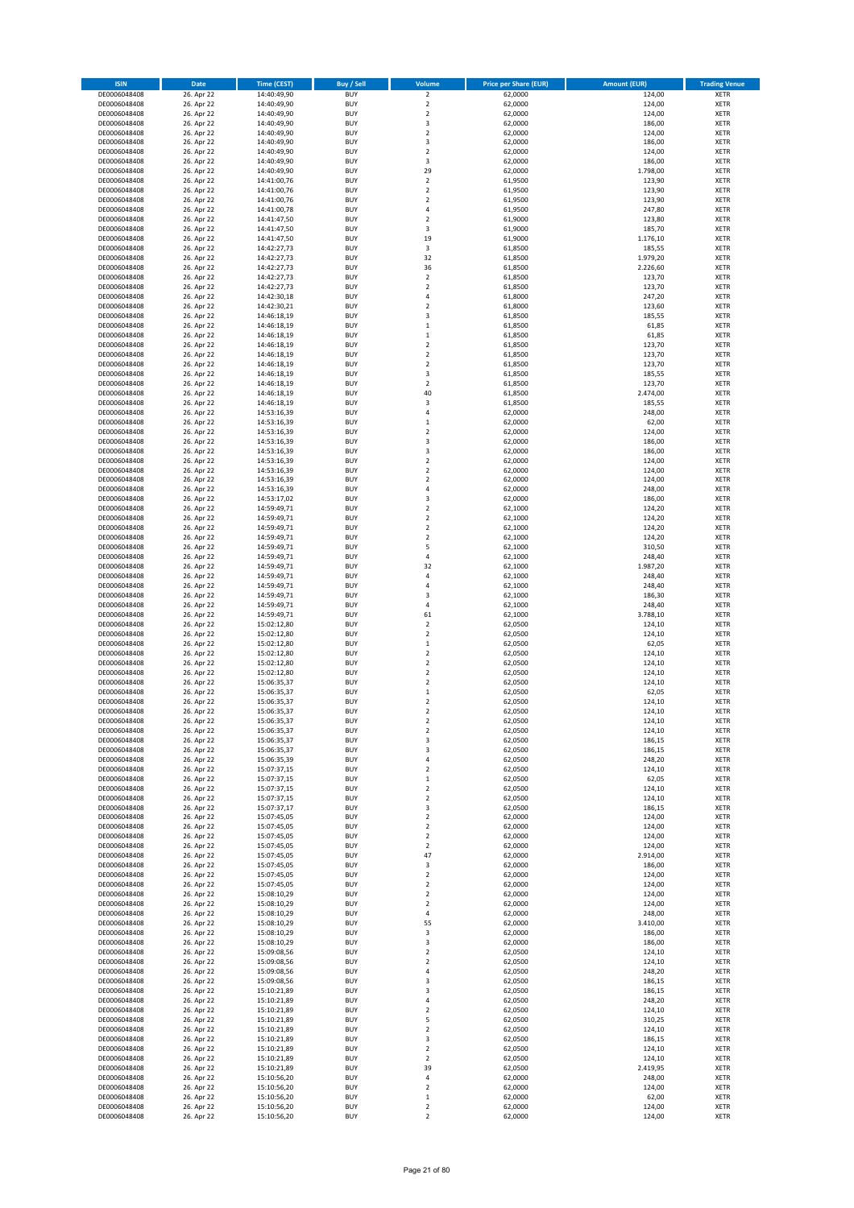| <b>ISIN</b>                  | Date                     | <b>Time (CEST)</b>         | <b>Buy / Sell</b>        | Volume                           | <b>Price per Share (EUR)</b> | <b>Amount (EUR)</b> | <b>Trading Venue</b>       |
|------------------------------|--------------------------|----------------------------|--------------------------|----------------------------------|------------------------------|---------------------|----------------------------|
| DE0006048408                 | 26. Apr 22               | 14:40:49,90                | <b>BUY</b>               | $\overline{2}$                   | 62,0000                      | 124,00              | <b>XETR</b>                |
| DE0006048408                 | 26. Apr 22               | 14:40:49,90                | <b>BUY</b>               | $\mathbf 2$                      | 62,0000                      | 124,00              | <b>XETR</b>                |
| DE0006048408<br>DE0006048408 | 26. Apr 22<br>26. Apr 22 | 14:40:49,90<br>14:40:49,90 | <b>BUY</b><br><b>BUY</b> | $\mathbf 2$<br>3                 | 62,0000<br>62,0000           | 124,00<br>186,00    | <b>XETR</b><br><b>XETR</b> |
| DE0006048408                 | 26. Apr 22               | 14:40:49,90                | <b>BUY</b>               | $\mathbf 2$                      | 62,0000                      | 124,00              | <b>XETR</b>                |
| DE0006048408                 | 26. Apr 22               | 14:40:49,90                | <b>BUY</b>               | 3                                | 62,0000                      | 186,00              | <b>XETR</b>                |
| DE0006048408                 | 26. Apr 22               | 14:40:49,90                | <b>BUY</b>               | $\overline{2}$                   | 62,0000                      | 124,00              | <b>XETR</b>                |
| DE0006048408                 | 26. Apr 22               | 14:40:49,90                | <b>BUY</b>               | 3                                | 62,0000                      | 186,00              | <b>XETR</b>                |
| DE0006048408<br>DE0006048408 | 26. Apr 22<br>26. Apr 22 | 14:40:49,90                | <b>BUY</b><br><b>BUY</b> | 29<br>$\overline{2}$             | 62,0000<br>61,9500           | 1.798,00<br>123,90  | XETR<br><b>XETR</b>        |
| DE0006048408                 | 26. Apr 22               | 14:41:00,76<br>14:41:00,76 | <b>BUY</b>               | $\overline{2}$                   | 61,9500                      | 123,90              | XETR                       |
| DE0006048408                 | 26. Apr 22               | 14:41:00,76                | <b>BUY</b>               | $\overline{2}$                   | 61,9500                      | 123,90              | <b>XETR</b>                |
| DE0006048408                 | 26. Apr 22               | 14:41:00,78                | <b>BUY</b>               | 4                                | 61,9500                      | 247,80              | XETR                       |
| DE0006048408                 | 26. Apr 22               | 14:41:47,50                | <b>BUY</b>               | $\overline{2}$                   | 61,9000                      | 123,80              | <b>XETR</b>                |
| DE0006048408                 | 26. Apr 22               | 14:41:47,50                | <b>BUY</b>               | 3                                | 61,9000                      | 185,70              | XETR                       |
| DE0006048408<br>DE0006048408 | 26. Apr 22<br>26. Apr 22 | 14:41:47,50<br>14:42:27,73 | <b>BUY</b><br><b>BUY</b> | 19<br>3                          | 61,9000<br>61,8500           | 1.176,10<br>185,55  | <b>XETR</b><br>XETR        |
| DE0006048408                 | 26. Apr 22               | 14:42:27,73                | <b>BUY</b>               | 32                               | 61,8500                      | 1.979,20            | <b>XETR</b>                |
| DE0006048408                 | 26. Apr 22               | 14:42:27,73                | <b>BUY</b>               | 36                               | 61,8500                      | 2.226,60            | XETR                       |
| DE0006048408                 | 26. Apr 22               | 14:42:27,73                | <b>BUY</b>               | $\overline{2}$                   | 61,8500                      | 123,70              | <b>XETR</b>                |
| DE0006048408                 | 26. Apr 22               | 14:42:27,73                | <b>BUY</b>               | $\overline{2}$                   | 61,8500                      | 123,70              | <b>XETR</b>                |
| DE0006048408<br>DE0006048408 | 26. Apr 22<br>26. Apr 22 | 14:42:30,18<br>14:42:30,21 | <b>BUY</b><br><b>BUY</b> | $\sqrt{4}$<br>$\overline{2}$     | 61,8000<br>61,8000           | 247,20<br>123,60    | <b>XETR</b><br><b>XETR</b> |
| DE0006048408                 | 26. Apr 22               | 14:46:18,19                | <b>BUY</b>               | $\overline{\mathbf{3}}$          | 61,8500                      | 185,55              | <b>XETR</b>                |
| DE0006048408                 | 26. Apr 22               | 14:46:18,19                | <b>BUY</b>               | $\,1\,$                          | 61,8500                      | 61,85               | <b>XETR</b>                |
| DE0006048408                 | 26. Apr 22               | 14:46:18,19                | <b>BUY</b>               | $\mathbf 1$                      | 61,8500                      | 61,85               | <b>XETR</b>                |
| DE0006048408                 | 26. Apr 22               | 14:46:18,19                | <b>BUY</b>               | $\overline{2}$                   | 61,8500                      | 123,70              | <b>XETR</b>                |
| DE0006048408<br>DE0006048408 | 26. Apr 22               | 14:46:18,19                | <b>BUY</b><br><b>BUY</b> | $\overline{2}$<br>$\mathbf 2$    | 61,8500<br>61,8500           | 123,70              | <b>XETR</b><br><b>XETR</b> |
| DE0006048408                 | 26. Apr 22<br>26. Apr 22 | 14:46:18,19<br>14:46:18,19 | <b>BUY</b>               | 3                                | 61,8500                      | 123,70<br>185,55    | <b>XETR</b>                |
| DE0006048408                 | 26. Apr 22               | 14:46:18,19                | <b>BUY</b>               | $\sqrt{2}$                       | 61,8500                      | 123,70              | <b>XETR</b>                |
| DE0006048408                 | 26. Apr 22               | 14:46:18,19                | <b>BUY</b>               | 40                               | 61,8500                      | 2.474,00            | <b>XETR</b>                |
| DE0006048408                 | 26. Apr 22               | 14:46:18,19                | <b>BUY</b>               | 3                                | 61,8500                      | 185,55              | <b>XETR</b>                |
| DE0006048408                 | 26. Apr 22               | 14:53:16,39                | <b>BUY</b><br><b>BUY</b> | 4                                | 62,0000                      | 248,00              | XETR<br><b>XETR</b>        |
| DE0006048408<br>DE0006048408 | 26. Apr 22<br>26. Apr 22 | 14:53:16,39<br>14:53:16,39 | <b>BUY</b>               | $\mathbf 1$<br>$\overline{2}$    | 62,0000<br>62,0000           | 62,00<br>124,00     | XETR                       |
| DE0006048408                 | 26. Apr 22               | 14:53:16,39                | <b>BUY</b>               | 3                                | 62,0000                      | 186,00              | <b>XETR</b>                |
| DE0006048408                 | 26. Apr 22               | 14:53:16,39                | <b>BUY</b>               | 3                                | 62,0000                      | 186,00              | XETR                       |
| DE0006048408                 | 26. Apr 22               | 14:53:16,39                | <b>BUY</b>               | $\overline{2}$                   | 62,0000                      | 124,00              | <b>XETR</b>                |
| DE0006048408                 | 26. Apr 22               | 14:53:16,39                | <b>BUY</b>               | $\overline{2}$                   | 62,0000                      | 124,00              | <b>XETR</b>                |
| DE0006048408<br>DE0006048408 | 26. Apr 22<br>26. Apr 22 | 14:53:16,39<br>14:53:16,39 | <b>BUY</b><br><b>BUY</b> | $\overline{2}$<br>$\sqrt{4}$     | 62,0000<br>62,0000           | 124,00<br>248,00    | <b>XETR</b><br>XETR        |
| DE0006048408                 | 26. Apr 22               | 14:53:17,02                | <b>BUY</b>               | 3                                | 62,0000                      | 186,00              | <b>XETR</b>                |
| DE0006048408                 | 26. Apr 22               | 14:59:49,71                | <b>BUY</b>               | $\overline{2}$                   | 62,1000                      | 124,20              | <b>XETR</b>                |
| DE0006048408                 | 26. Apr 22               | 14:59:49,71                | <b>BUY</b>               | $\overline{2}$                   | 62,1000                      | 124,20              | <b>XETR</b>                |
| DE0006048408                 | 26. Apr 22               | 14:59:49,71                | <b>BUY</b>               | $\mathbf 2$                      | 62,1000                      | 124,20              | XETR                       |
| DE0006048408                 | 26. Apr 22               | 14:59:49,71                | <b>BUY</b><br><b>BUY</b> | $\mathbf 2$<br>5                 | 62,1000                      | 124,20              | <b>XETR</b><br><b>XETR</b> |
| DE0006048408<br>DE0006048408 | 26. Apr 22<br>26. Apr 22 | 14:59:49,71<br>14:59:49,71 | <b>BUY</b>               | 4                                | 62,1000<br>62,1000           | 310,50<br>248,40    | <b>XETR</b>                |
| DE0006048408                 | 26. Apr 22               | 14:59:49,71                | <b>BUY</b>               | 32                               | 62,1000                      | 1.987,20            | <b>XETR</b>                |
| DE0006048408                 | 26. Apr 22               | 14:59:49,71                | <b>BUY</b>               | 4                                | 62,1000                      | 248,40              | <b>XETR</b>                |
| DE0006048408                 | 26. Apr 22               | 14:59:49,71                | <b>BUY</b>               | $\overline{4}$                   | 62,1000                      | 248,40              | <b>XETR</b>                |
| DE0006048408                 | 26. Apr 22               | 14:59:49,71                | <b>BUY</b>               | 3                                | 62,1000                      | 186,30              | <b>XETR</b>                |
| DE0006048408<br>DE0006048408 | 26. Apr 22<br>26. Apr 22 | 14:59:49,71<br>14:59:49,71 | <b>BUY</b><br><b>BUY</b> | $\sqrt{4}$<br>61                 | 62,1000<br>62,1000           | 248,40<br>3.788,10  | <b>XETR</b><br><b>XETR</b> |
| DE0006048408                 | 26. Apr 22               | 15:02:12,80                | <b>BUY</b>               | $\overline{2}$                   | 62,0500                      | 124,10              | <b>XETR</b>                |
| DE0006048408                 | 26. Apr 22               | 15:02:12,80                | <b>BUY</b>               | $\mathbf 2$                      | 62,0500                      | 124,10              | <b>XETR</b>                |
| DE0006048408                 | 26. Apr 22               | 15:02:12,80                | <b>BUY</b>               | $\,1\,$                          | 62,0500                      | 62,05               | <b>XETR</b>                |
| DE0006048408                 | 26. Apr 22               | 15:02:12,80                | <b>BUY</b>               | $\mathbf 2$                      | 62,0500                      | 124,10              | <b>XETR</b>                |
| DE0006048408                 | 26. Apr 22               | 15:02:12,80                | <b>BUY</b><br><b>BUY</b> | $\overline{2}$<br>$\mathbf 2$    | 62,0500<br>62,0500           | 124,10              | <b>XETR</b><br>XETR        |
| DE0006048408<br>DE0006048408 | 26. Apr 22<br>26. Apr 22 | 15:02:12,80<br>15:06:35,37 | <b>BUY</b>               | $\overline{2}$                   | 62,0500                      | 124,10<br>124,10    | <b>XETR</b>                |
| DE0006048408                 | 26. Apr 22               | 15:06:35,37                | <b>BUY</b>               | $\,$ 1                           | 62,0500                      | 62,05               | <b>XETR</b>                |
| DE0006048408                 | 26. Apr 22               | 15:06:35,37                | <b>BUY</b>               | $\overline{2}$                   | 62,0500                      | 124,10              | <b>XETR</b>                |
| DE0006048408                 | 26. Apr 22               | 15:06:35,37                | <b>BUY</b>               | $\overline{2}$                   | 62,0500                      | 124,10              | <b>XETR</b>                |
| DE0006048408<br>DE0006048408 | 26. Apr 22               | 15:06:35,37                | <b>BUY</b>               | $\overline{\mathbf{c}}$          | 62,0500                      | 124,10              | XETR                       |
| DE0006048408                 | 26. Apr 22<br>26. Apr 22 | 15:06:35,37<br>15:06:35,37 | <b>BUY</b><br><b>BUY</b> | $\mathbf 2$<br>3                 | 62,0500<br>62,0500           | 124,10<br>186,15    | <b>XETR</b><br>XETR        |
| DE0006048408                 | 26. Apr 22               | 15:06:35,37                | <b>BUY</b>               | 3                                | 62,0500                      | 186,15              | <b>XETR</b>                |
| DE0006048408                 | 26. Apr 22               | 15:06:35,39                | <b>BUY</b>               | $\sqrt{4}$                       | 62,0500                      | 248,20              | <b>XETR</b>                |
| DE0006048408                 | 26. Apr 22               | 15:07:37,15                | <b>BUY</b>               | $\overline{\mathbf{c}}$          | 62,0500                      | 124,10              | XETR                       |
| DE0006048408<br>DE0006048408 | 26. Apr 22<br>26. Apr 22 | 15:07:37,15<br>15:07:37,15 | <b>BUY</b><br><b>BUY</b> | $\mathbf 1$<br>$\sqrt{2}$        | 62,0500<br>62,0500           | 62,05<br>124,10     | <b>XETR</b><br><b>XETR</b> |
| DE0006048408                 | 26. Apr 22               | 15:07:37,15                | <b>BUY</b>               | $\mathbf 2$                      | 62,0500                      | 124,10              | <b>XETR</b>                |
| DE0006048408                 | 26. Apr 22               | 15:07:37,17                | <b>BUY</b>               | 3                                | 62,0500                      | 186,15              | XETR                       |
| DE0006048408                 | 26. Apr 22               | 15:07:45,05                | <b>BUY</b>               | $\mathbf 2$                      | 62,0000                      | 124,00              | <b>XETR</b>                |
| DE0006048408                 | 26. Apr 22               | 15:07:45,05                | <b>BUY</b>               | $\mathbf 2$                      | 62,0000                      | 124,00              | <b>XETR</b>                |
| DE0006048408<br>DE0006048408 | 26. Apr 22<br>26. Apr 22 | 15:07:45,05                | <b>BUY</b><br><b>BUY</b> | $\overline{2}$<br>$\overline{2}$ | 62,0000<br>62,0000           | 124,00<br>124,00    | <b>XETR</b><br>XETR        |
| DE0006048408                 | 26. Apr 22               | 15:07:45,05<br>15:07:45,05 | <b>BUY</b>               | 47                               | 62,0000                      | 2.914,00            | <b>XETR</b>                |
| DE0006048408                 | 26. Apr 22               | 15:07:45,05                | <b>BUY</b>               | 3                                | 62,0000                      | 186,00              | <b>XETR</b>                |
| DE0006048408                 | 26. Apr 22               | 15:07:45,05                | <b>BUY</b>               | $\mathbf 2$                      | 62,0000                      | 124,00              | <b>XETR</b>                |
| DE0006048408                 | 26. Apr 22               | 15:07:45,05                | <b>BUY</b>               | $\mathbf 2$                      | 62,0000                      | 124,00              | <b>XETR</b>                |
| DE0006048408                 | 26. Apr 22               | 15:08:10,29                | <b>BUY</b><br><b>BUY</b> | $\overline{2}$                   | 62,0000<br>62,0000           | 124,00              | <b>XETR</b>                |
| DE0006048408<br>DE0006048408 | 26. Apr 22<br>26. Apr 22 | 15:08:10,29<br>15:08:10,29 | <b>BUY</b>               | $\mathbf 2$<br>4                 | 62,0000                      | 124,00<br>248,00    | <b>XETR</b><br><b>XETR</b> |
| DE0006048408                 | 26. Apr 22               | 15:08:10,29                | <b>BUY</b>               | 55                               | 62,0000                      | 3.410,00            | <b>XETR</b>                |
| DE0006048408                 | 26. Apr 22               | 15:08:10,29                | <b>BUY</b>               | 3                                | 62,0000                      | 186,00              | XETR                       |
| DE0006048408                 | 26. Apr 22               | 15:08:10,29                | <b>BUY</b>               | 3                                | 62,0000                      | 186,00              | XETR                       |
| DE0006048408                 | 26. Apr 22<br>26. Apr 22 | 15:09:08,56                | <b>BUY</b><br><b>BUY</b> | $\sqrt{2}$<br>$\overline{2}$     | 62,0500<br>62,0500           | 124,10<br>124,10    | <b>XETR</b><br><b>XETR</b> |
| DE0006048408<br>DE0006048408 | 26. Apr 22               | 15:09:08,56<br>15:09:08,56 | <b>BUY</b>               | 4                                | 62,0500                      | 248,20              | XETR                       |
| DE0006048408                 | 26. Apr 22               | 15:09:08,56                | <b>BUY</b>               | 3                                | 62,0500                      | 186,15              | XETR                       |
| DE0006048408                 | 26. Apr 22               | 15:10:21,89                | <b>BUY</b>               | 3                                | 62,0500                      | 186,15              | XETR                       |
| DE0006048408                 | 26. Apr 22               | 15:10:21,89                | <b>BUY</b>               | $\sqrt{4}$                       | 62,0500                      | 248,20              | XETR                       |
| DE0006048408                 | 26. Apr 22               | 15:10:21,89                | <b>BUY</b>               | $\overline{\mathbf{c}}$          | 62,0500                      | 124,10              | XETR                       |
| DE0006048408<br>DE0006048408 | 26. Apr 22<br>26. Apr 22 | 15:10:21,89<br>15:10:21,89 | <b>BUY</b><br><b>BUY</b> | 5<br>$\sqrt{2}$                  | 62,0500<br>62,0500           | 310,25<br>124,10    | XETR<br><b>XETR</b>        |
| DE0006048408                 | 26. Apr 22               | 15:10:21,89                | <b>BUY</b>               | 3                                | 62,0500                      | 186,15              | <b>XETR</b>                |
| DE0006048408                 | 26. Apr 22               | 15:10:21,89                | <b>BUY</b>               | $\overline{2}$                   | 62,0500                      | 124,10              | <b>XETR</b>                |
| DE0006048408                 | 26. Apr 22               | 15:10:21,89                | <b>BUY</b>               | $\overline{2}$                   | 62,0500                      | 124,10              | <b>XETR</b>                |
| DE0006048408                 | 26. Apr 22               | 15:10:21,89                | <b>BUY</b>               | 39                               | 62,0500                      | 2.419,95            | <b>XETR</b>                |
| DE0006048408<br>DE0006048408 | 26. Apr 22<br>26. Apr 22 | 15:10:56,20<br>15:10:56,20 | <b>BUY</b><br><b>BUY</b> | 4<br>$\mathbf 2$                 | 62,0000<br>62,0000           | 248,00<br>124,00    | <b>XETR</b><br><b>XETR</b> |
| DE0006048408                 | 26. Apr 22               | 15:10:56,20                | <b>BUY</b>               | $\,$ 1                           | 62,0000                      | 62,00               | <b>XETR</b>                |
| DE0006048408                 | 26. Apr 22               | 15:10:56,20                | <b>BUY</b>               | $\mathbf 2$                      | 62,0000                      | 124,00              | <b>XETR</b>                |
| DE0006048408                 | 26. Apr 22               | 15:10:56,20                | <b>BUY</b>               | $\mathbf 2$                      | 62,0000                      | 124,00              | <b>XETR</b>                |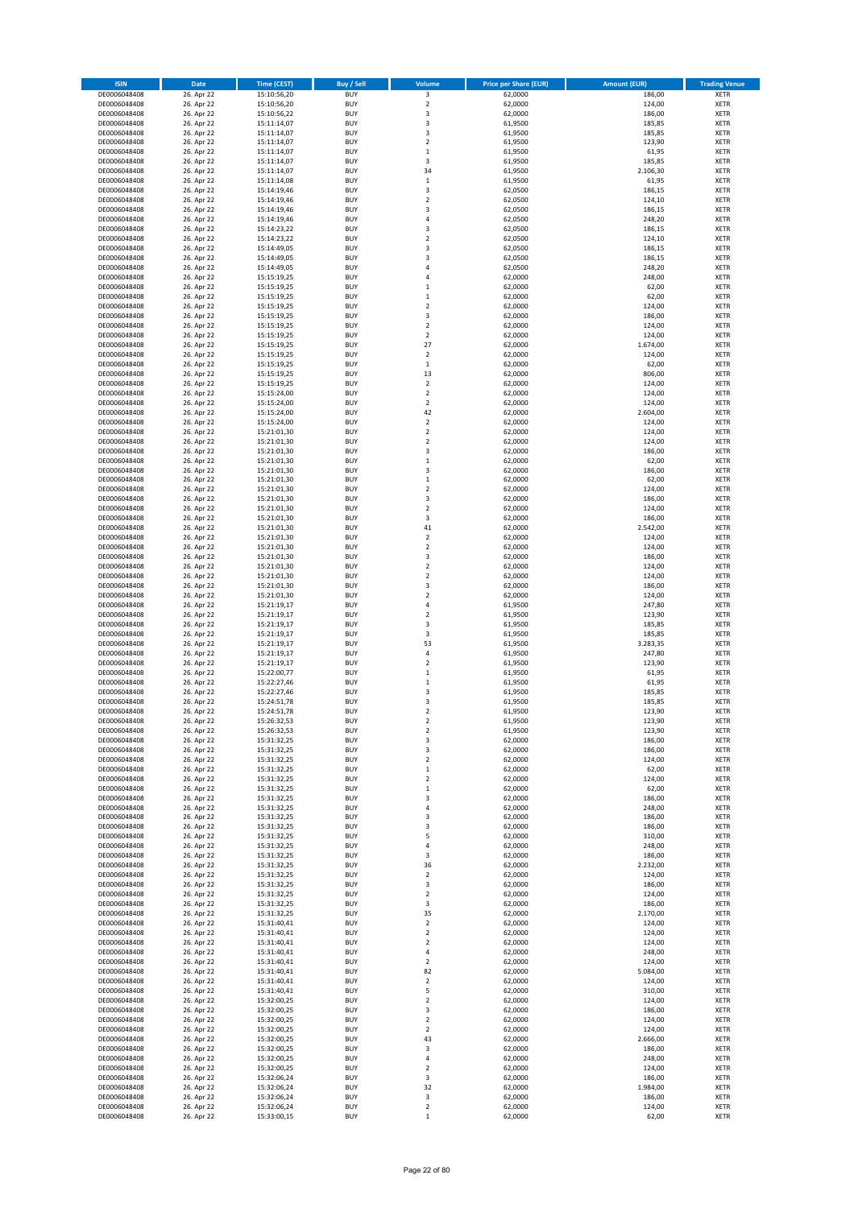| <b>ISIN</b>                  | Date                     | <b>Time (CEST)</b>         | <b>Buy / Sell</b>        | Volume                                    | <b>Price per Share (EUR)</b> | <b>Amount (EUR)</b> | <b>Trading Venue</b>       |
|------------------------------|--------------------------|----------------------------|--------------------------|-------------------------------------------|------------------------------|---------------------|----------------------------|
| DE0006048408                 | 26. Apr 22               | 15:10:56,20                | <b>BUY</b>               | 3                                         | 62,0000                      | 186,00              | <b>XETR</b>                |
| DE0006048408                 | 26. Apr 22               | 15:10:56,20                | <b>BUY</b>               | $\mathbf 2$                               | 62,0000                      | 124,00              | <b>XETR</b>                |
| DE0006048408<br>DE0006048408 | 26. Apr 22<br>26. Apr 22 | 15:10:56,22<br>15:11:14,07 | <b>BUY</b><br><b>BUY</b> | 3<br>3                                    | 62,0000<br>61,9500           | 186,00<br>185,85    | <b>XETR</b><br><b>XETR</b> |
| DE0006048408                 | 26. Apr 22               | 15:11:14,07                | <b>BUY</b>               | 3                                         | 61,9500                      | 185,85              | <b>XETR</b>                |
| DE0006048408                 | 26. Apr 22               | 15:11:14,07                | <b>BUY</b>               | $\overline{2}$                            | 61,9500                      | 123,90              | <b>XETR</b>                |
| DE0006048408                 | 26. Apr 22               | 15:11:14,07                | <b>BUY</b>               | $\,1\,$                                   | 61,9500                      | 61,95               | <b>XETR</b>                |
| DE0006048408                 | 26. Apr 22               | 15:11:14,07                | <b>BUY</b>               | 3                                         | 61,9500                      | 185,85              | <b>XETR</b>                |
| DE0006048408<br>DE0006048408 | 26. Apr 22<br>26. Apr 22 | 15:11:14,07                | <b>BUY</b><br><b>BUY</b> | 34<br>$\,1\,$                             | 61,9500<br>61,9500           | 2.106,30<br>61,95   | XETR<br><b>XETR</b>        |
| DE0006048408                 | 26. Apr 22               | 15:11:14,08<br>15:14:19,46 | <b>BUY</b>               | $\overline{\mathbf{3}}$                   | 62,0500                      | 186,15              | XETR                       |
| DE0006048408                 | 26. Apr 22               | 15:14:19,46                | <b>BUY</b>               | $\overline{2}$                            | 62,0500                      | 124,10              | <b>XETR</b>                |
| DE0006048408                 | 26. Apr 22               | 15:14:19,46                | <b>BUY</b>               | 3                                         | 62,0500                      | 186,15              | XETR                       |
| DE0006048408                 | 26. Apr 22               | 15:14:19,46                | <b>BUY</b>               | $\sqrt{4}$                                | 62,0500                      | 248,20              | <b>XETR</b>                |
| DE0006048408                 | 26. Apr 22               | 15:14:23,22<br>15:14:23,22 | <b>BUY</b><br><b>BUY</b> | 3<br>$\overline{2}$                       | 62,0500                      | 186,15              | XETR                       |
| DE0006048408<br>DE0006048408 | 26. Apr 22<br>26. Apr 22 | 15:14:49,05                | <b>BUY</b>               | 3                                         | 62,0500<br>62,0500           | 124,10<br>186,15    | <b>XETR</b><br>XETR        |
| DE0006048408                 | 26. Apr 22               | 15:14:49,05                | <b>BUY</b>               | 3                                         | 62,0500                      | 186,15              | <b>XETR</b>                |
| DE0006048408                 | 26. Apr 22               | 15:14:49,05                | <b>BUY</b>               | $\overline{4}$                            | 62,0500                      | 248,20              | XETR                       |
| DE0006048408                 | 26. Apr 22               | 15:15:19,25                | <b>BUY</b>               | 4                                         | 62,0000                      | 248,00              | <b>XETR</b>                |
| DE0006048408                 | 26. Apr 22<br>26. Apr 22 | 15:15:19,25                | <b>BUY</b><br><b>BUY</b> | $\,1\,$<br>$\,$ 1                         | 62,0000                      | 62,00<br>62,00      | <b>XETR</b><br><b>XETR</b> |
| DE0006048408<br>DE0006048408 | 26. Apr 22               | 15:15:19,25<br>15:15:19,25 | <b>BUY</b>               | $\overline{2}$                            | 62,0000<br>62,0000           | 124,00              | <b>XETR</b>                |
| DE0006048408                 | 26. Apr 22               | 15:15:19,25                | <b>BUY</b>               | 3                                         | 62,0000                      | 186,00              | <b>XETR</b>                |
| DE0006048408                 | 26. Apr 22               | 15:15:19,25                | <b>BUY</b>               | $\overline{2}$                            | 62,0000                      | 124,00              | <b>XETR</b>                |
| DE0006048408                 | 26. Apr 22               | 15:15:19,25                | <b>BUY</b>               | $\overline{2}$                            | 62,0000                      | 124,00              | <b>XETR</b>                |
| DE0006048408                 | 26. Apr 22               | 15:15:19,25                | <b>BUY</b>               | 27                                        | 62,0000                      | 1.674,00            | <b>XETR</b>                |
| DE0006048408<br>DE0006048408 | 26. Apr 22<br>26. Apr 22 | 15:15:19,25<br>15:15:19,25 | <b>BUY</b><br><b>BUY</b> | $\mathbf 2$<br>$\,$ 1                     | 62,0000<br>62,0000           | 124,00<br>62,00     | <b>XETR</b><br><b>XETR</b> |
| DE0006048408                 | 26. Apr 22               | 15:15:19,25                | <b>BUY</b>               | 13                                        | 62,0000                      | 806,00              | <b>XETR</b>                |
| DE0006048408                 | 26. Apr 22               | 15:15:19,25                | <b>BUY</b>               | $\sqrt{2}$                                | 62,0000                      | 124,00              | <b>XETR</b>                |
| DE0006048408                 | 26. Apr 22               | 15:15:24,00                | <b>BUY</b>               | $\mathbf 2$                               | 62,0000                      | 124,00              | <b>XETR</b>                |
| DE0006048408<br>DE0006048408 | 26. Apr 22               | 15:15:24,00                | <b>BUY</b><br><b>BUY</b> | $\overline{2}$<br>42                      | 62,0000                      | 124,00<br>2.604,00  | <b>XETR</b><br>XETR        |
| DE0006048408                 | 26. Apr 22<br>26. Apr 22 | 15:15:24,00<br>15:15:24,00 | <b>BUY</b>               | $\overline{2}$                            | 62,0000<br>62,0000           | 124,00              | <b>XETR</b>                |
| DE0006048408                 | 26. Apr 22               | 15:21:01,30                | <b>BUY</b>               | $\mathbf 2$                               | 62,0000                      | 124,00              | XETR                       |
| DE0006048408                 | 26. Apr 22               | 15:21:01,30                | <b>BUY</b>               | $\overline{2}$                            | 62,0000                      | 124,00              | <b>XETR</b>                |
| DE0006048408                 | 26. Apr 22               | 15:21:01,30                | <b>BUY</b>               | 3                                         | 62,0000                      | 186,00              | <b>XETR</b>                |
| DE0006048408                 | 26. Apr 22               | 15:21:01,30                | <b>BUY</b>               | $\,1\,$                                   | 62,0000                      | 62,00               | <b>XETR</b>                |
| DE0006048408<br>DE0006048408 | 26. Apr 22<br>26. Apr 22 | 15:21:01,30<br>15:21:01,30 | <b>BUY</b><br><b>BUY</b> | $\overline{\mathbf{3}}$<br>$\,1\,$        | 62,0000<br>62,0000           | 186,00<br>62,00     | <b>XETR</b><br><b>XETR</b> |
| DE0006048408                 | 26. Apr 22               | 15:21:01,30                | <b>BUY</b>               | $\overline{2}$                            | 62,0000                      | 124,00              | <b>XETR</b>                |
| DE0006048408                 | 26. Apr 22               | 15:21:01,30                | <b>BUY</b>               | 3                                         | 62,0000                      | 186,00              | <b>XETR</b>                |
| DE0006048408                 | 26. Apr 22               | 15:21:01,30                | <b>BUY</b>               | $\overline{2}$                            | 62,0000                      | 124,00              | <b>XETR</b>                |
| DE0006048408                 | 26. Apr 22               | 15:21:01,30                | <b>BUY</b>               | 3                                         | 62,0000                      | 186,00              | <b>XETR</b>                |
| DE0006048408                 | 26. Apr 22               | 15:21:01,30                | <b>BUY</b>               | 41                                        | 62,0000                      | 2.542,00            | <b>XETR</b>                |
| DE0006048408<br>DE0006048408 | 26. Apr 22<br>26. Apr 22 | 15:21:01,30<br>15:21:01,30 | <b>BUY</b><br><b>BUY</b> | $\overline{\mathbf{c}}$<br>$\mathbf 2$    | 62,0000<br>62,0000           | 124,00<br>124,00    | <b>XETR</b><br><b>XETR</b> |
| DE0006048408                 | 26. Apr 22               | 15:21:01,30                | <b>BUY</b>               | 3                                         | 62,0000                      | 186,00              | <b>XETR</b>                |
| DE0006048408                 | 26. Apr 22               | 15:21:01,30                | <b>BUY</b>               | $\mathbf 2$                               | 62,0000                      | 124,00              | <b>XETR</b>                |
| DE0006048408                 | 26. Apr 22               | 15:21:01,30                | <b>BUY</b>               | $\mathbf 2$                               | 62,0000                      | 124,00              | <b>XETR</b>                |
| DE0006048408                 | 26. Apr 22               | 15:21:01,30                | <b>BUY</b><br><b>BUY</b> | 3<br>$\mathbf 2$                          | 62,0000                      | 186,00              | <b>XETR</b>                |
| DE0006048408<br>DE0006048408 | 26. Apr 22<br>26. Apr 22 | 15:21:01,30<br>15:21:19,17 | <b>BUY</b>               | $\sqrt{4}$                                | 62,0000<br>61,9500           | 124,00<br>247,80    | <b>XETR</b><br><b>XETR</b> |
| DE0006048408                 | 26. Apr 22               | 15:21:19,17                | <b>BUY</b>               | $\mathbf 2$                               | 61,9500                      | 123,90              | <b>XETR</b>                |
| DE0006048408                 | 26. Apr 22               | 15:21:19,17                | <b>BUY</b>               | 3                                         | 61,9500                      | 185,85              | <b>XETR</b>                |
| DE0006048408                 | 26. Apr 22               | 15:21:19,17                | <b>BUY</b>               | 3                                         | 61,9500                      | 185,85              | <b>XETR</b>                |
| DE0006048408                 | 26. Apr 22               | 15:21:19,17                | <b>BUY</b>               | 53                                        | 61,9500                      | 3.283,35            | <b>XETR</b>                |
| DE0006048408<br>DE0006048408 | 26. Apr 22<br>26. Apr 22 | 15:21:19,17<br>15:21:19,17 | <b>BUY</b><br><b>BUY</b> | $\sqrt{4}$<br>$\overline{2}$              | 61,9500<br>61,9500           | 247,80<br>123,90    | <b>XETR</b><br><b>XETR</b> |
| DE0006048408                 | 26. Apr 22               | 15:22:00,77                | <b>BUY</b>               | $\,1\,$                                   | 61,9500                      | 61,95               | XETR                       |
| DE0006048408                 | 26. Apr 22               | 15:22:27,46                | <b>BUY</b>               | $\,1\,$                                   | 61,9500                      | 61,95               | <b>XETR</b>                |
| DE0006048408                 | 26. Apr 22               | 15:22:27,46                | <b>BUY</b>               | 3                                         | 61,9500                      | 185,85              | <b>XETR</b>                |
| DE0006048408                 | 26. Apr 22               | 15:24:51,78                | <b>BUY</b>               | 3                                         | 61,9500                      | 185,85              | <b>XETR</b>                |
| DE0006048408<br>DE0006048408 | 26. Apr 22<br>26. Apr 22 | 15:24:51,78<br>15:26:32,53 | <b>BUY</b><br><b>BUY</b> | $\overline{2}$<br>$\overline{\mathbf{c}}$ | 61,9500<br>61,9500           | 123,90<br>123,90    | <b>XETR</b><br>XETR        |
| DE0006048408                 | 26. Apr 22               | 15:26:32,53                | <b>BUY</b>               | $\mathbf 2$                               | 61,9500                      | 123,90              | XETR                       |
| DE0006048408                 | 26. Apr 22               | 15:31:32,25                | <b>BUY</b>               | 3                                         | 62,0000                      | 186,00              | XETR                       |
| DE0006048408                 | 26. Apr 22               | 15:31:32,25                | <b>BUY</b>               | 3                                         | 62,0000                      | 186,00              | <b>XETR</b>                |
| DE0006048408                 | 26. Apr 22               | 15:31:32,25                | <b>BUY</b>               | $\mathbf 2$                               | 62,0000                      | 124,00              | <b>XETR</b>                |
| DE0006048408<br>DE0006048408 | 26. Apr 22<br>26. Apr 22 | 15:31:32,25<br>15:31:32,25 | <b>BUY</b><br><b>BUY</b> | $\,$ 1<br>$\overline{2}$                  | 62,0000<br>62,0000           | 62,00<br>124,00     | XETR<br><b>XETR</b>        |
| DE0006048408                 | 26. Apr 22               | 15:31:32,25                | <b>BUY</b>               | $\,$ 1                                    | 62,0000                      | 62,00               | <b>XETR</b>                |
| DE0006048408                 | 26. Apr 22               | 15:31:32,25                | <b>BUY</b>               | 3                                         | 62,0000                      | 186,00              | <b>XETR</b>                |
| DE0006048408                 | 26. Apr 22               | 15:31:32,25                | <b>BUY</b>               | $\sqrt{4}$                                | 62,0000                      | 248,00              | XETR                       |
| DE0006048408<br>DE0006048408 | 26. Apr 22<br>26. Apr 22 | 15:31:32,25<br>15:31:32,25 | <b>BUY</b><br><b>BUY</b> | 3<br>3                                    | 62,0000<br>62,0000           | 186,00<br>186,00    | <b>XETR</b><br><b>XETR</b> |
| DE0006048408                 | 26. Apr 22               | 15:31:32,25                | <b>BUY</b>               | 5                                         | 62,0000                      | 310,00              | <b>XETR</b>                |
| DE0006048408                 | 26. Apr 22               | 15:31:32,25                | <b>BUY</b>               | $\sqrt{4}$                                | 62,0000                      | 248,00              | XETR                       |
| DE0006048408                 | 26. Apr 22               | 15:31:32,25                | <b>BUY</b>               | 3                                         | 62,0000                      | 186,00              | <b>XETR</b>                |
| DE0006048408                 | 26. Apr 22               | 15:31:32,25                | <b>BUY</b>               | 36                                        | 62,0000                      | 2.232,00            | <b>XETR</b>                |
| DE0006048408                 | 26. Apr 22               | 15:31:32,25                | <b>BUY</b><br><b>BUY</b> | $\overline{2}$                            | 62,0000<br>62,0000           | 124,00              | <b>XETR</b><br><b>XETR</b> |
| DE0006048408<br>DE0006048408 | 26. Apr 22<br>26. Apr 22 | 15:31:32,25<br>15:31:32,25 | <b>BUY</b>               | 3<br>$\overline{2}$                       | 62,0000                      | 186,00<br>124,00    | <b>XETR</b>                |
| DE0006048408                 | 26. Apr 22               | 15:31:32,25                | <b>BUY</b>               | 3                                         | 62,0000                      | 186,00              | <b>XETR</b>                |
| DE0006048408                 | 26. Apr 22               | 15:31:32,25                | <b>BUY</b>               | 35                                        | 62,0000                      | 2.170,00            | <b>XETR</b>                |
| DE0006048408                 | 26. Apr 22               | 15:31:40,41                | <b>BUY</b>               | $\overline{2}$                            | 62,0000                      | 124,00              | <b>XETR</b>                |
| DE0006048408<br>DE0006048408 | 26. Apr 22<br>26. Apr 22 | 15:31:40,41<br>15:31:40,41 | <b>BUY</b><br><b>BUY</b> | $\boldsymbol{2}$<br>$\overline{2}$        | 62,0000<br>62,0000           | 124,00<br>124,00    | XETR<br>XETR               |
| DE0006048408                 | 26. Apr 22               | 15:31:40,41                | <b>BUY</b>               | $\sqrt{4}$                                | 62,0000                      | 248,00              | XETR                       |
| DE0006048408                 | 26. Apr 22               | 15:31:40,41                | <b>BUY</b>               | $\overline{2}$                            | 62,0000                      | 124,00              | <b>XETR</b>                |
| DE0006048408                 | 26. Apr 22               | 15:31:40,41                | <b>BUY</b>               | 82                                        | 62,0000                      | 5.084,00            | XETR                       |
| DE0006048408                 | 26. Apr 22               | 15:31:40,41                | <b>BUY</b>               | $\overline{2}$                            | 62,0000                      | 124,00              | XETR                       |
| DE0006048408                 | 26. Apr 22               | 15:31:40,41                | <b>BUY</b><br><b>BUY</b> | 5                                         | 62,0000                      | 310,00              | XETR                       |
| DE0006048408<br>DE0006048408 | 26. Apr 22<br>26. Apr 22 | 15:32:00,25<br>15:32:00,25 | <b>BUY</b>               | $\overline{2}$<br>3                       | 62,0000<br>62,0000           | 124,00<br>186,00    | <b>XETR</b><br>XETR        |
| DE0006048408                 | 26. Apr 22               | 15:32:00,25                | <b>BUY</b>               | $\boldsymbol{2}$                          | 62,0000                      | 124,00              | XETR                       |
| DE0006048408                 | 26. Apr 22               | 15:32:00,25                | <b>BUY</b>               | $\boldsymbol{2}$                          | 62,0000                      | 124,00              | <b>XETR</b>                |
| DE0006048408                 | 26. Apr 22               | 15:32:00,25                | <b>BUY</b>               | 43                                        | 62,0000                      | 2.666,00            | <b>XETR</b>                |
| DE0006048408<br>DE0006048408 | 26. Apr 22<br>26. Apr 22 | 15:32:00,25<br>15:32:00,25 | <b>BUY</b><br><b>BUY</b> | 3<br>4                                    | 62,0000<br>62,0000           | 186,00<br>248,00    | <b>XETR</b><br><b>XETR</b> |
| DE0006048408                 | 26. Apr 22               | 15:32:00,25                | <b>BUY</b>               | $\boldsymbol{2}$                          | 62,0000                      | 124,00              | <b>XETR</b>                |
| DE0006048408                 | 26. Apr 22               | 15:32:06,24                | <b>BUY</b>               | 3                                         | 62,0000                      | 186,00              | <b>XETR</b>                |
| DE0006048408                 | 26. Apr 22               | 15:32:06,24                | <b>BUY</b>               | 32                                        | 62,0000                      | 1.984,00            | <b>XETR</b>                |
| DE0006048408                 | 26. Apr 22               | 15:32:06,24                | <b>BUY</b>               | 3                                         | 62,0000                      | 186,00              | <b>XETR</b>                |
| DE0006048408                 | 26. Apr 22               | 15:32:06,24                | <b>BUY</b>               | $\boldsymbol{2}$                          | 62,0000<br>62,0000           | 124,00<br>62,00     | <b>XETR</b>                |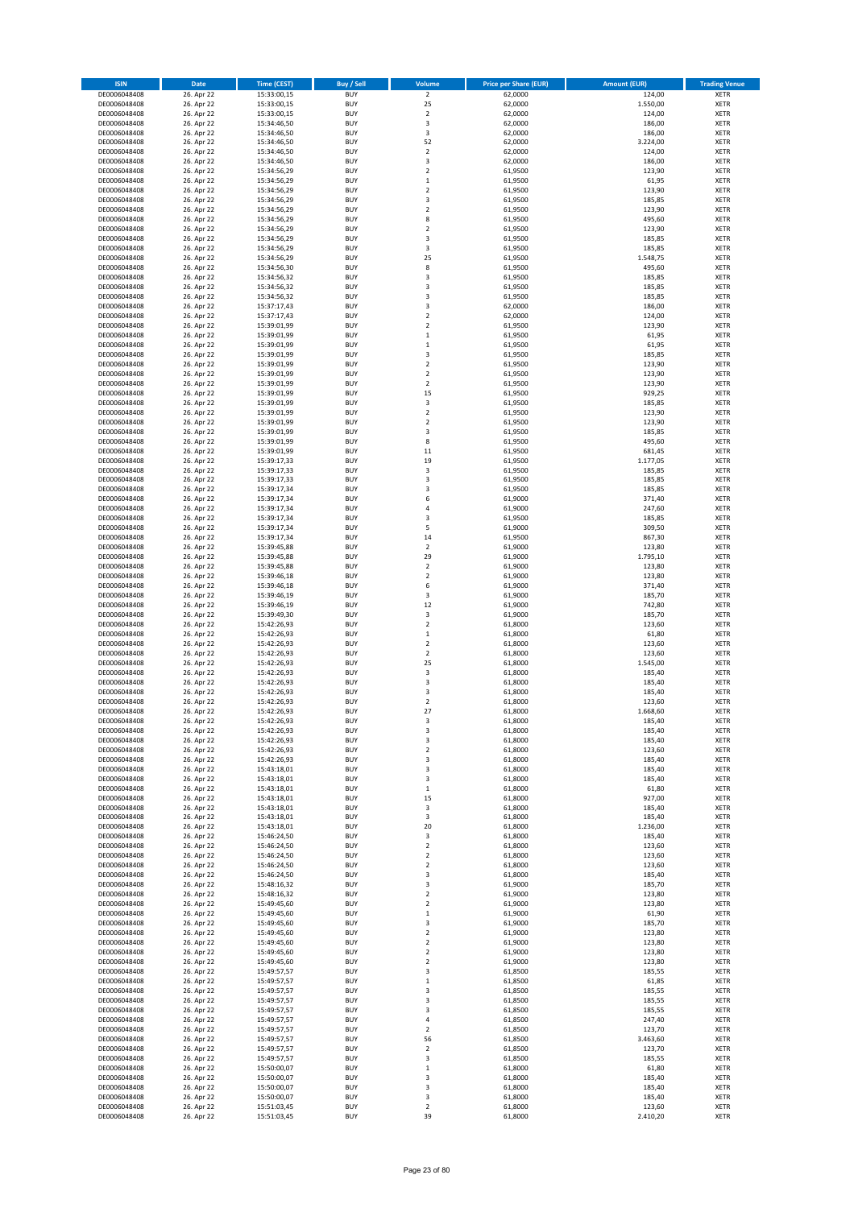| <b>ISIN</b>                  | Date                     | <b>Time (CEST)</b>         | <b>Buy / Sell</b>        | Volume                             | <b>Price per Share (EUR)</b> | <b>Amount (EUR)</b> | <b>Trading Venue</b>       |
|------------------------------|--------------------------|----------------------------|--------------------------|------------------------------------|------------------------------|---------------------|----------------------------|
| DE0006048408                 | 26. Apr 22               | 15:33:00,15                | <b>BUY</b>               | $\overline{2}$                     | 62,0000                      | 124,00              | <b>XETR</b>                |
| DE0006048408                 | 26. Apr 22               | 15:33:00,15                | <b>BUY</b>               | 25                                 | 62,0000                      | 1.550,00            | <b>XETR</b>                |
| DE0006048408<br>DE0006048408 | 26. Apr 22<br>26. Apr 22 | 15:33:00,15<br>15:34:46,50 | <b>BUY</b><br><b>BUY</b> | $\mathbf 2$<br>$\mathsf 3$         | 62,0000<br>62,0000           | 124,00<br>186,00    | <b>XETR</b><br><b>XETR</b> |
| DE0006048408                 | 26. Apr 22               | 15:34:46,50                | <b>BUY</b>               | $\mathsf 3$                        | 62,0000                      | 186,00              | <b>XETR</b>                |
| DE0006048408                 | 26. Apr 22               | 15:34:46,50                | <b>BUY</b>               | 52                                 | 62,0000                      | 3.224,00            | <b>XETR</b>                |
| DE0006048408                 | 26. Apr 22               | 15:34:46,50                | <b>BUY</b>               | $\overline{2}$                     | 62,0000                      | 124,00              | <b>XETR</b>                |
| DE0006048408                 | 26. Apr 22               | 15:34:46,50                | <b>BUY</b>               | 3                                  | 62,0000                      | 186,00              | <b>XETR</b>                |
| DE0006048408<br>DE0006048408 | 26. Apr 22<br>26. Apr 22 | 15:34:56,29                | <b>BUY</b><br><b>BUY</b> | $\overline{2}$<br>$\,1\,$          | 61,9500<br>61,9500           | 123,90<br>61,95     | XETR<br><b>XETR</b>        |
| DE0006048408                 | 26. Apr 22               | 15:34:56,29<br>15:34:56,29 | <b>BUY</b>               | $\overline{2}$                     | 61,9500                      | 123,90              | XETR                       |
| DE0006048408                 | 26. Apr 22               | 15:34:56,29                | <b>BUY</b>               | 3                                  | 61,9500                      | 185,85              | <b>XETR</b>                |
| DE0006048408                 | 26. Apr 22               | 15:34:56,29                | <b>BUY</b>               | $\boldsymbol{2}$                   | 61,9500                      | 123,90              | XETR                       |
| DE0006048408                 | 26. Apr 22               | 15:34:56,29                | <b>BUY</b>               | 8                                  | 61,9500                      | 495,60              | <b>XETR</b>                |
| DE0006048408                 | 26. Apr 22               | 15:34:56,29                | <b>BUY</b>               | $\mathbf 2$                        | 61,9500                      | 123,90              | XETR                       |
| DE0006048408<br>DE0006048408 | 26. Apr 22<br>26. Apr 22 | 15:34:56,29<br>15:34:56,29 | <b>BUY</b><br><b>BUY</b> | 3<br>3                             | 61,9500<br>61,9500           | 185,85<br>185,85    | <b>XETR</b><br>XETR        |
| DE0006048408                 | 26. Apr 22               | 15:34:56,29                | <b>BUY</b>               | 25                                 | 61,9500                      | 1.548,75            | <b>XETR</b>                |
| DE0006048408                 | 26. Apr 22               | 15:34:56,30                | <b>BUY</b>               | 8                                  | 61,9500                      | 495,60              | XETR                       |
| DE0006048408                 | 26. Apr 22               | 15:34:56,32                | <b>BUY</b>               | 3                                  | 61,9500                      | 185,85              | <b>XETR</b>                |
| DE0006048408                 | 26. Apr 22               | 15:34:56,32                | <b>BUY</b>               | 3                                  | 61,9500                      | 185,85              | <b>XETR</b>                |
| DE0006048408<br>DE0006048408 | 26. Apr 22<br>26. Apr 22 | 15:34:56,32<br>15:37:17,43 | <b>BUY</b><br><b>BUY</b> | 3<br>3                             | 61,9500<br>62,0000           | 185,85<br>186,00    | <b>XETR</b><br><b>XETR</b> |
| DE0006048408                 | 26. Apr 22               | 15:37:17,43                | <b>BUY</b>               | $\mathbf 2$                        | 62,0000                      | 124,00              | <b>XETR</b>                |
| DE0006048408                 | 26. Apr 22               | 15:39:01,99                | <b>BUY</b>               | $\overline{2}$                     | 61,9500                      | 123,90              | <b>XETR</b>                |
| DE0006048408                 | 26. Apr 22               | 15:39:01,99                | <b>BUY</b>               | $\mathbf 1$                        | 61,9500                      | 61,95               | <b>XETR</b>                |
| DE0006048408                 | 26. Apr 22               | 15:39:01,99                | <b>BUY</b>               | $\,1\,$                            | 61,9500                      | 61,95               | <b>XETR</b>                |
| DE0006048408<br>DE0006048408 | 26. Apr 22<br>26. Apr 22 | 15:39:01,99                | <b>BUY</b><br><b>BUY</b> | 3<br>$\overline{2}$                | 61,9500<br>61,9500           | 185,85<br>123,90    | <b>XETR</b><br><b>XETR</b> |
| DE0006048408                 | 26. Apr 22               | 15:39:01,99<br>15:39:01,99 | <b>BUY</b>               | $\boldsymbol{2}$                   | 61,9500                      | 123,90              | <b>XETR</b>                |
| DE0006048408                 | 26. Apr 22               | 15:39:01,99                | <b>BUY</b>               | $\boldsymbol{2}$                   | 61,9500                      | 123,90              | <b>XETR</b>                |
| DE0006048408                 | 26. Apr 22               | 15:39:01,99                | <b>BUY</b>               | 15                                 | 61,9500                      | 929,25              | <b>XETR</b>                |
| DE0006048408                 | 26. Apr 22               | 15:39:01,99                | <b>BUY</b>               | 3                                  | 61,9500                      | 185,85              | <b>XETR</b>                |
| DE0006048408<br>DE0006048408 | 26. Apr 22<br>26. Apr 22 | 15:39:01,99<br>15:39:01,99 | <b>BUY</b><br><b>BUY</b> | $\boldsymbol{2}$<br>$\overline{2}$ | 61,9500<br>61,9500           | 123,90<br>123,90    | XETR<br><b>XETR</b>        |
| DE0006048408                 | 26. Apr 22               | 15:39:01,99                | <b>BUY</b>               | 3                                  | 61,9500                      | 185,85              | XETR                       |
| DE0006048408                 | 26. Apr 22               | 15:39:01,99                | <b>BUY</b>               | 8                                  | 61,9500                      | 495,60              | <b>XETR</b>                |
| DE0006048408                 | 26. Apr 22               | 15:39:01,99                | <b>BUY</b>               | $11\,$                             | 61,9500                      | 681,45              | XETR                       |
| DE0006048408                 | 26. Apr 22               | 15:39:17,33                | <b>BUY</b>               | 19                                 | 61,9500                      | 1.177,05            | <b>XETR</b>                |
| DE0006048408                 | 26. Apr 22               | 15:39:17,33                | <b>BUY</b>               | $\overline{\mathbf{3}}$            | 61,9500                      | 185,85              | <b>XETR</b>                |
| DE0006048408<br>DE0006048408 | 26. Apr 22<br>26. Apr 22 | 15:39:17,33<br>15:39:17,34 | <b>BUY</b><br><b>BUY</b> | 3<br>3                             | 61,9500<br>61,9500           | 185,85<br>185,85    | <b>XETR</b><br><b>XETR</b> |
| DE0006048408                 | 26. Apr 22               | 15:39:17,34                | <b>BUY</b>               | 6                                  | 61,9000                      | 371,40              | <b>XETR</b>                |
| DE0006048408                 | 26. Apr 22               | 15:39:17,34                | <b>BUY</b>               | $\sqrt{4}$                         | 61,9000                      | 247,60              | <b>XETR</b>                |
| DE0006048408                 | 26. Apr 22               | 15:39:17,34                | <b>BUY</b>               | 3                                  | 61,9500                      | 185,85              | <b>XETR</b>                |
| DE0006048408                 | 26. Apr 22               | 15:39:17,34                | <b>BUY</b>               | 5                                  | 61,9000                      | 309,50              | <b>XETR</b>                |
| DE0006048408<br>DE0006048408 | 26. Apr 22<br>26. Apr 22 | 15:39:17,34<br>15:39:45,88 | <b>BUY</b><br><b>BUY</b> | 14<br>$\boldsymbol{2}$             | 61,9500<br>61,9000           | 867,30<br>123,80    | <b>XETR</b><br><b>XETR</b> |
| DE0006048408                 | 26. Apr 22               | 15:39:45,88                | <b>BUY</b>               | 29                                 | 61,9000                      | 1.795,10            | <b>XETR</b>                |
| DE0006048408                 | 26. Apr 22               | 15:39:45,88                | <b>BUY</b>               | $\boldsymbol{2}$                   | 61,9000                      | 123,80              | <b>XETR</b>                |
| DE0006048408                 | 26. Apr 22               | 15:39:46,18                | <b>BUY</b>               | $\boldsymbol{2}$                   | 61,9000                      | 123,80              | <b>XETR</b>                |
| DE0006048408                 | 26. Apr 22               | 15:39:46,18                | <b>BUY</b>               | 6                                  | 61,9000                      | 371,40              | <b>XETR</b>                |
| DE0006048408<br>DE0006048408 | 26. Apr 22<br>26. Apr 22 | 15:39:46,19<br>15:39:46,19 | <b>BUY</b><br><b>BUY</b> | 3<br>12                            | 61,9000<br>61,9000           | 185,70<br>742,80    | <b>XETR</b><br><b>XETR</b> |
| DE0006048408                 | 26. Apr 22               | 15:39:49,30                | <b>BUY</b>               | 3                                  | 61,9000                      | 185,70              | <b>XETR</b>                |
| DE0006048408                 | 26. Apr 22               | 15:42:26,93                | <b>BUY</b>               | $\overline{2}$                     | 61,8000                      | 123,60              | <b>XETR</b>                |
| DE0006048408                 | 26. Apr 22               | 15:42:26,93                | <b>BUY</b>               | $\,1\,$                            | 61,8000                      | 61,80               | <b>XETR</b>                |
| DE0006048408                 | 26. Apr 22               | 15:42:26,93                | <b>BUY</b>               | $\overline{2}$                     | 61,8000                      | 123,60              | <b>XETR</b>                |
| DE0006048408<br>DE0006048408 | 26. Apr 22<br>26. Apr 22 | 15:42:26,93<br>15:42:26,93 | <b>BUY</b><br><b>BUY</b> | $\overline{2}$<br>25               | 61,8000<br>61,8000           | 123,60<br>1.545,00  | <b>XETR</b><br><b>XETR</b> |
| DE0006048408                 | 26. Apr 22               | 15:42:26,93                | <b>BUY</b>               | $\mathsf 3$                        | 61,8000                      | 185,40              | XETR                       |
| DE0006048408                 | 26. Apr 22               | 15:42:26,93                | <b>BUY</b>               | 3                                  | 61,8000                      | 185,40              | <b>XETR</b>                |
| DE0006048408                 | 26. Apr 22               | 15:42:26,93                | <b>BUY</b>               | 3                                  | 61,8000                      | 185,40              | XETR                       |
| DE0006048408                 | 26. Apr 22               | 15:42:26,93                | <b>BUY</b>               | $\overline{2}$                     | 61,8000                      | 123,60              | <b>XETR</b>                |
| DE0006048408                 | 26. Apr 22<br>26. Apr 22 | 15:42:26,93                | <b>BUY</b><br><b>BUY</b> | 27                                 | 61,8000                      | 1.668,60            | <b>XETR</b>                |
| DE0006048408<br>DE0006048408 | 26. Apr 22               | 15:42:26,93<br>15:42:26,93 | <b>BUY</b>               | 3<br>3                             | 61,8000<br>61,8000           | 185,40<br>185,40    | XETR<br>XETR               |
| DE0006048408                 | 26. Apr 22               | 15:42:26,93                | <b>BUY</b>               | 3                                  | 61,8000                      | 185,40              | XETR                       |
| DE0006048408                 | 26. Apr 22               | 15:42:26,93                | <b>BUY</b>               | $\mathbf 2$                        | 61,8000                      | 123,60              | XETR                       |
| DE0006048408                 | 26. Apr 22               | 15:42:26,93                | <b>BUY</b>               | 3                                  | 61,8000                      | 185,40              | XETR                       |
| DE0006048408<br>DE0006048408 | 26. Apr 22<br>26. Apr 22 | 15:43:18,01<br>15:43:18,01 | <b>BUY</b><br><b>BUY</b> | 3<br>3                             | 61,8000<br>61,8000           | 185,40<br>185,40    | XETR<br><b>XETR</b>        |
| DE0006048408                 | 26. Apr 22               | 15:43:18,01                | <b>BUY</b>               | $\,$ 1                             | 61,8000                      | 61,80               | <b>XETR</b>                |
| DE0006048408                 | 26. Apr 22               | 15:43:18,01                | <b>BUY</b>               | 15                                 | 61,8000                      | 927,00              | <b>XETR</b>                |
| DE0006048408                 | 26. Apr 22               | 15:43:18,01                | <b>BUY</b>               | 3                                  | 61,8000                      | 185,40              | <b>XETR</b>                |
| DE0006048408                 | 26. Apr 22               | 15:43:18,01                | <b>BUY</b>               | 3                                  | 61,8000                      | 185,40              | <b>XETR</b>                |
| DE0006048408<br>DE0006048408 | 26. Apr 22<br>26. Apr 22 | 15:43:18,01<br>15:46:24,50 | <b>BUY</b><br><b>BUY</b> | 20<br>3                            | 61,8000<br>61,8000           | 1.236,00<br>185,40  | <b>XETR</b><br><b>XETR</b> |
| DE0006048408                 | 26. Apr 22               | 15:46:24,50                | <b>BUY</b>               | $\mathbf 2$                        | 61,8000                      | 123,60              | XETR                       |
| DE0006048408                 | 26. Apr 22               | 15:46:24,50                | <b>BUY</b>               | $\mathbf 2$                        | 61,8000                      | 123,60              | <b>XETR</b>                |
| DE0006048408                 | 26. Apr 22               | 15:46:24,50                | <b>BUY</b>               | $\mathbf 2$                        | 61,8000                      | 123,60              | <b>XETR</b>                |
| DE0006048408                 | 26. Apr 22               | 15:46:24,50                | <b>BUY</b>               | 3                                  | 61,8000                      | 185,40              | <b>XETR</b>                |
| DE0006048408<br>DE0006048408 | 26. Apr 22<br>26. Apr 22 | 15:48:16,32<br>15:48:16,32 | <b>BUY</b><br><b>BUY</b> | 3<br>$\overline{2}$                | 61,9000<br>61,9000           | 185,70<br>123,80    | <b>XETR</b><br><b>XETR</b> |
| DE0006048408                 | 26. Apr 22               | 15:49:45,60                | <b>BUY</b>               | $\mathbf 2$                        | 61,9000                      | 123,80              | <b>XETR</b>                |
| DE0006048408                 | 26. Apr 22               | 15:49:45,60                | <b>BUY</b>               | $\,$ 1                             | 61,9000                      | 61,90               | <b>XETR</b>                |
| DE0006048408                 | 26. Apr 22               | 15:49:45,60                | <b>BUY</b>               | 3                                  | 61,9000                      | 185,70              | XETR                       |
| DE0006048408                 | 26. Apr 22               | 15:49:45,60                | <b>BUY</b>               | $\overline{2}$                     | 61,9000                      | 123,80              | XETR                       |
| DE0006048408<br>DE0006048408 | 26. Apr 22<br>26. Apr 22 | 15:49:45,60<br>15:49:45,60 | <b>BUY</b><br><b>BUY</b> | $\overline{2}$<br>$\boldsymbol{2}$ | 61,9000<br>61,9000           | 123,80<br>123,80    | XETR<br>XETR               |
| DE0006048408                 | 26. Apr 22               | 15:49:45,60                | <b>BUY</b>               | $\overline{2}$                     | 61,9000                      | 123,80              | <b>XETR</b>                |
| DE0006048408                 | 26. Apr 22               | 15:49:57,57                | <b>BUY</b>               | 3                                  | 61,8500                      | 185,55              | XETR                       |
| DE0006048408                 | 26. Apr 22               | 15:49:57,57                | <b>BUY</b>               | $\mathbf 1$                        | 61,8500                      | 61,85               | XETR                       |
| DE0006048408                 | 26. Apr 22               | 15:49:57,57                | <b>BUY</b>               | 3                                  | 61,8500                      | 185,55              | XETR                       |
| DE0006048408<br>DE0006048408 | 26. Apr 22<br>26. Apr 22 | 15:49:57,57<br>15:49:57,57 | <b>BUY</b><br><b>BUY</b> | 3<br>3                             | 61,8500<br>61,8500           | 185,55<br>185,55    | <b>XETR</b><br>XETR        |
| DE0006048408                 | 26. Apr 22               | 15:49:57,57                | <b>BUY</b>               | 4                                  | 61,8500                      | 247,40              | XETR                       |
| DE0006048408                 | 26. Apr 22               | 15:49:57,57                | <b>BUY</b>               | $\overline{\mathbf{c}}$            | 61,8500                      | 123,70              | <b>XETR</b>                |
| DE0006048408                 | 26. Apr 22               | 15:49:57,57                | <b>BUY</b>               | 56                                 | 61,8500                      | 3.463,60            | <b>XETR</b>                |
| DE0006048408                 | 26. Apr 22               | 15:49:57,57                | <b>BUY</b>               | $\overline{\mathbf{c}}$            | 61,8500                      | 123,70              | <b>XETR</b>                |
| DE0006048408<br>DE0006048408 | 26. Apr 22<br>26. Apr 22 | 15:49:57,57<br>15:50:00,07 | <b>BUY</b><br><b>BUY</b> | 3<br>$\,$ 1                        | 61,8500<br>61,8000           | 185,55              | <b>XETR</b><br><b>XETR</b> |
| DE0006048408                 | 26. Apr 22               | 15:50:00,07                | <b>BUY</b>               | 3                                  | 61,8000                      | 61,80<br>185,40     | <b>XETR</b>                |
| DE0006048408                 | 26. Apr 22               | 15:50:00,07                | <b>BUY</b>               | 3                                  | 61,8000                      | 185,40              | <b>XETR</b>                |
| DE0006048408                 | 26. Apr 22               | 15:50:00,07                | <b>BUY</b>               | 3                                  | 61,8000                      | 185,40              | <b>XETR</b>                |
| DE0006048408                 | 26. Apr 22               | 15:51:03,45                | <b>BUY</b>               | $\mathbf 2$                        | 61,8000                      | 123,60              | <b>XETR</b>                |
| DE0006048408                 | 26. Apr 22               | 15:51:03,45                | <b>BUY</b>               | 39                                 | 61,8000                      | 2.410,20            | <b>XETR</b>                |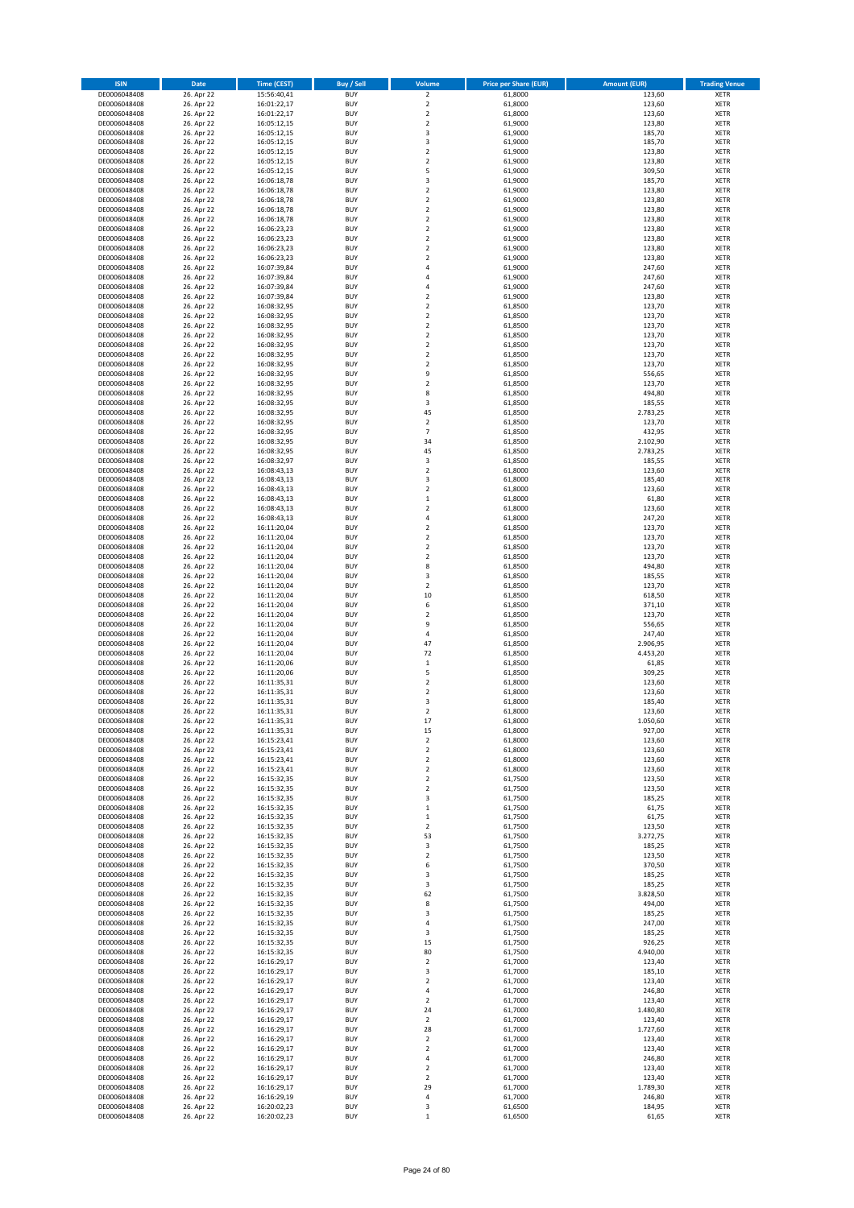| <b>ISIN</b>                  | Date                     | <b>Time (CEST)</b>         | Buy / Sell               | Volume                                 | <b>Price per Share (EUR)</b> | <b>Amount (EUR)</b> | <b>Trading Venue</b>       |
|------------------------------|--------------------------|----------------------------|--------------------------|----------------------------------------|------------------------------|---------------------|----------------------------|
| DE0006048408                 | 26. Apr 22               | 15:56:40,41                | <b>BUY</b>               | $\overline{\mathbf{c}}$                | 61,8000                      | 123,60              | XETR                       |
| DE0006048408                 | 26. Apr 22               | 16:01:22,17                | <b>BUY</b>               | $\mathbf 2$                            | 61,8000                      | 123,60              | XETR                       |
| DE0006048408<br>DE0006048408 | 26. Apr 22<br>26. Apr 22 | 16:01:22,17<br>16:05:12,15 | <b>BUY</b><br><b>BUY</b> | $\mathbf 2$<br>$\mathbf 2$             | 61,8000<br>61,9000           | 123,60<br>123,80    | XETR<br>XETR               |
| DE0006048408                 | 26. Apr 22               | 16:05:12,15                | <b>BUY</b>               | 3                                      | 61,9000                      | 185,70              | XETR                       |
| DE0006048408                 | 26. Apr 22               | 16:05:12,15                | <b>BUY</b>               | 3                                      | 61,9000                      | 185,70              | <b>XETR</b>                |
| DE0006048408                 | 26. Apr 22               | 16:05:12,15                | <b>BUY</b>               | $\overline{\mathbf{c}}$                | 61,9000                      | 123,80              | <b>XETR</b>                |
| DE0006048408                 | 26. Apr 22               | 16:05:12,15                | <b>BUY</b>               | $\overline{\mathbf{c}}$                | 61,9000                      | 123,80              | <b>XETR</b>                |
| DE0006048408<br>DE0006048408 | 26. Apr 22<br>26. Apr 22 | 16:05:12,15                | <b>BUY</b><br><b>BUY</b> | 5<br>3                                 | 61,9000<br>61,9000           | 309,50<br>185,70    | <b>XETR</b><br><b>XETR</b> |
| DE0006048408                 | 26. Apr 22               | 16:06:18,78<br>16:06:18,78 | <b>BUY</b>               | $\overline{\mathbf{c}}$                | 61,9000                      | 123,80              | XETR                       |
| DE0006048408                 | 26. Apr 22               | 16:06:18,78                | <b>BUY</b>               | $\overline{\mathbf{c}}$                | 61,9000                      | 123,80              | <b>XETR</b>                |
| DE0006048408                 | 26. Apr 22               | 16:06:18,78                | <b>BUY</b>               | $\mathbf 2$                            | 61,9000                      | 123,80              | XETR                       |
| DE0006048408                 | 26. Apr 22               | 16:06:18,78                | <b>BUY</b>               | $\overline{\mathbf{c}}$                | 61,9000                      | 123,80              | <b>XETR</b>                |
| DE0006048408                 | 26. Apr 22               | 16:06:23,23                | <b>BUY</b>               | $\mathbf 2$                            | 61,9000                      | 123,80              | XETR                       |
| DE0006048408<br>DE0006048408 | 26. Apr 22<br>26. Apr 22 | 16:06:23,23<br>16:06:23,23 | <b>BUY</b><br><b>BUY</b> | $\overline{\mathbf{c}}$<br>$\mathbf 2$ | 61,9000<br>61,9000           | 123,80<br>123,80    | <b>XETR</b><br>XETR        |
| DE0006048408                 | 26. Apr 22               | 16:06:23,23                | <b>BUY</b>               | $\overline{\mathbf{c}}$                | 61,9000                      | 123,80              | <b>XETR</b>                |
| DE0006048408                 | 26. Apr 22               | 16:07:39,84                | <b>BUY</b>               | 4                                      | 61,9000                      | 247,60              | XETR                       |
| DE0006048408                 | 26. Apr 22               | 16:07:39,84                | <b>BUY</b>               | 4                                      | 61,9000                      | 247,60              | <b>XETR</b>                |
| DE0006048408                 | 26. Apr 22               | 16:07:39,84                | <b>BUY</b><br><b>BUY</b> | 4<br>$\overline{\mathbf{c}}$           | 61,9000                      | 247,60<br>123,80    | <b>XETR</b><br>XETR        |
| DE0006048408<br>DE0006048408 | 26. Apr 22<br>26. Apr 22 | 16:07:39,84<br>16:08:32,95 | <b>BUY</b>               | $\overline{\mathbf{c}}$                | 61,9000<br>61,8500           | 123,70              | <b>XETR</b>                |
| DE0006048408                 | 26. Apr 22               | 16:08:32,95                | <b>BUY</b>               | $\mathbf 2$                            | 61,8500                      | 123,70              | <b>XETR</b>                |
| DE0006048408                 | 26. Apr 22               | 16:08:32,95                | <b>BUY</b>               | $\overline{\mathbf{c}}$                | 61,8500                      | 123,70              | <b>XETR</b>                |
| DE0006048408                 | 26. Apr 22               | 16:08:32,95                | <b>BUY</b>               | $\overline{\mathbf{c}}$                | 61,8500                      | 123,70              | <b>XETR</b>                |
| DE0006048408                 | 26. Apr 22               | 16:08:32,95                | <b>BUY</b>               | $\overline{\mathbf{c}}$                | 61,8500                      | 123,70              | <b>XETR</b>                |
| DE0006048408<br>DE0006048408 | 26. Apr 22<br>26. Apr 22 | 16:08:32,95<br>16:08:32,95 | <b>BUY</b><br><b>BUY</b> | $\mathbf 2$<br>$\mathbf 2$             | 61,8500<br>61,8500           | 123,70<br>123,70    | <b>XETR</b><br><b>XETR</b> |
| DE0006048408                 | 26. Apr 22               | 16:08:32,95                | <b>BUY</b>               | 9                                      | 61,8500                      | 556,65              | <b>XETR</b>                |
| DE0006048408                 | 26. Apr 22               | 16:08:32,95                | <b>BUY</b>               | $\overline{\mathbf{c}}$                | 61,8500                      | 123,70              | <b>XETR</b>                |
| DE0006048408                 | 26. Apr 22               | 16:08:32,95                | <b>BUY</b>               | 8                                      | 61,8500                      | 494,80              | <b>XETR</b>                |
| DE0006048408                 | 26. Apr 22               | 16:08:32,95                | <b>BUY</b><br><b>BUY</b> | 3<br>45                                | 61,8500                      | 185,55<br>2.783,25  | <b>XETR</b><br>XETR        |
| DE0006048408<br>DE0006048408 | 26. Apr 22<br>26. Apr 22 | 16:08:32,95<br>16:08:32,95 | <b>BUY</b>               | $\overline{\mathbf{c}}$                | 61,8500<br>61,8500           | 123,70              | <b>XETR</b>                |
| DE0006048408                 | 26. Apr 22               | 16:08:32,95                | <b>BUY</b>               | $\overline{7}$                         | 61,8500                      | 432,95              | XETR                       |
| DE0006048408                 | 26. Apr 22               | 16:08:32,95                | <b>BUY</b>               | 34                                     | 61,8500                      | 2.102,90            | <b>XETR</b>                |
| DE0006048408                 | 26. Apr 22               | 16:08:32,95                | <b>BUY</b>               | 45                                     | 61,8500                      | 2.783,25            | XETR                       |
| DE0006048408                 | 26. Apr 22               | 16:08:32,97                | <b>BUY</b>               | 3                                      | 61,8500                      | 185,55              | <b>XETR</b>                |
| DE0006048408<br>DE0006048408 | 26. Apr 22<br>26. Apr 22 | 16:08:43,13                | <b>BUY</b><br><b>BUY</b> | $\mathbf 2$<br>3                       | 61,8000<br>61,8000           | 123,60<br>185,40    | <b>XETR</b><br><b>XETR</b> |
| DE0006048408                 | 26. Apr 22               | 16:08:43,13<br>16:08:43,13 | <b>BUY</b>               | $\overline{\mathbf{c}}$                | 61,8000                      | 123,60              | <b>XETR</b>                |
| DE0006048408                 | 26. Apr 22               | 16:08:43,13                | <b>BUY</b>               | $\mathbf 1$                            | 61,8000                      | 61,80               | <b>XETR</b>                |
| DE0006048408                 | 26. Apr 22               | 16:08:43,13                | <b>BUY</b>               | $\overline{\mathbf{c}}$                | 61,8000                      | 123,60              | <b>XETR</b>                |
| DE0006048408                 | 26. Apr 22               | 16:08:43,13                | <b>BUY</b>               | 4                                      | 61,8000                      | 247,20              | <b>XETR</b>                |
| DE0006048408                 | 26. Apr 22               | 16:11:20,04                | <b>BUY</b>               | $\mathbf 2$                            | 61,8500                      | 123,70              | XETR                       |
| DE0006048408<br>DE0006048408 | 26. Apr 22<br>26. Apr 22 | 16:11:20,04<br>16:11:20,04 | <b>BUY</b><br><b>BUY</b> | 2<br>$\overline{\mathbf{c}}$           | 61,8500<br>61,8500           | 123,70<br>123,70    | XETR<br><b>XETR</b>        |
| DE0006048408                 | 26. Apr 22               | 16:11:20,04                | <b>BUY</b>               | $\mathbf 2$                            | 61,8500                      | 123,70              | <b>XETR</b>                |
| DE0006048408                 | 26. Apr 22               | 16:11:20,04                | <b>BUY</b>               | 8                                      | 61,8500                      | 494,80              | <b>XETR</b>                |
| DE0006048408                 | 26. Apr 22               | 16:11:20,04                | <b>BUY</b>               | 3                                      | 61,8500                      | 185,55              | <b>XETR</b>                |
| DE0006048408                 | 26. Apr 22               | 16:11:20,04                | <b>BUY</b><br><b>BUY</b> | $\mathbf 2$                            | 61,8500                      | 123,70              | <b>XETR</b>                |
| DE0006048408<br>DE0006048408 | 26. Apr 22<br>26. Apr 22 | 16:11:20,04<br>16:11:20,04 | <b>BUY</b>               | 10<br>6                                | 61,8500<br>61,8500           | 618,50<br>371,10    | <b>XETR</b><br><b>XETR</b> |
| DE0006048408                 | 26. Apr 22               | 16:11:20,04                | <b>BUY</b>               | $\overline{\mathbf{c}}$                | 61,8500                      | 123,70              | XETR                       |
| DE0006048408                 | 26. Apr 22               | 16:11:20,04                | <b>BUY</b>               | 9                                      | 61,8500                      | 556,65              | <b>XETR</b>                |
| DE0006048408                 | 26. Apr 22               | 16:11:20,04                | <b>BUY</b>               | 4                                      | 61,8500                      | 247,40              | <b>XETR</b>                |
| DE0006048408                 | 26. Apr 22               | 16:11:20,04                | <b>BUY</b>               | 47                                     | 61,8500                      | 2.906,95            | <b>XETR</b>                |
| DE0006048408<br>DE0006048408 | 26. Apr 22<br>26. Apr 22 | 16:11:20,04<br>16:11:20,06 | <b>BUY</b><br><b>BUY</b> | 72<br>$\mathbf 1$                      | 61,8500<br>61,8500           | 4.453,20<br>61,85   | <b>XETR</b><br><b>XETR</b> |
| DE0006048408                 | 26. Apr 22               | 16:11:20,06                | <b>BUY</b>               | 5                                      | 61,8500                      | 309,25              | XETR                       |
| DE0006048408                 | 26. Apr 22               | 16:11:35,31                | <b>BUY</b>               | $\overline{\mathbf{c}}$                | 61,8000                      | 123,60              | <b>XETR</b>                |
| DE0006048408                 | 26. Apr 22               | 16:11:35,31                | <b>BUY</b>               | 2                                      | 61,8000                      | 123,60              | XETR                       |
| DE0006048408                 | 26. Apr 22               | 16:11:35.31                | <b>BUY</b>               | 3                                      | 61,8000                      | 185,40              | <b>XETR</b>                |
| DE0006048408<br>DE0006048408 | 26. Apr 22<br>26. Apr 22 | 16:11:35,31<br>16:11:35,31 | <b>BUY</b><br><b>BUY</b> | $\mathbf 2$<br>17                      | 61,8000<br>61,8000           | 123,60<br>1.050,60  | XETR<br>XETR               |
| DE0006048408                 | 26. Apr 22               | 16:11:35,31                | <b>BUY</b>               | 15                                     | 61,8000                      | 927,00              | XETR                       |
| DE0006048408                 | 26. Apr 22               | 16:15:23,41                | <b>BUY</b>               | $\mathbf 2$                            | 61,8000                      | 123,60              | XETR                       |
| DE0006048408                 | 26. Apr 22               | 16:15:23,41                | <b>BUY</b>               | $\mathbf 2$                            | 61,8000                      | 123,60              | XETR                       |
| DE0006048408                 | 26. Apr 22<br>26. Apr 22 | 16:15:23,41<br>16:15:23,41 | <b>BUY</b>               | $\mathbf 2$                            | 61,8000                      | 123,60              | <b>XETR</b>                |
| DE0006048408<br>DE0006048408 | 26. Apr 22               | 16:15:32,35                | <b>BUY</b><br><b>BUY</b> | 2<br>$\overline{\mathbf{c}}$           | 61,8000<br>61,7500           | 123,60<br>123,50    | XETR<br><b>XETR</b>        |
| DE0006048408                 | 26. Apr 22               | 16:15:32,35                | <b>BUY</b>               | $\mathbf 2$                            | 61,7500                      | 123,50              | XETR                       |
| DE0006048408                 | 26. Apr 22               | 16:15:32,35                | <b>BUY</b>               | 3                                      | 61,7500                      | 185,25              | <b>XETR</b>                |
| DE0006048408                 | 26. Apr 22               | 16:15:32,35                | <b>BUY</b>               | $\mathbf 1$                            | 61,7500                      | 61,75               | XETR                       |
| DE0006048408<br>DE0006048408 | 26. Apr 22<br>26. Apr 22 | 16:15:32,35<br>16:15:32,35 | <b>BUY</b><br><b>BUY</b> | $\mathbf 1$<br>$\mathbf 2$             | 61,7500<br>61,7500           | 61,75<br>123,50     | <b>XETR</b><br>XETR        |
| DE0006048408                 | 26. Apr 22               | 16:15:32,35                | <b>BUY</b>               | 53                                     | 61,7500                      | 3.272,75            | <b>XETR</b>                |
| DE0006048408                 | 26. Apr 22               | 16:15:32,35                | <b>BUY</b>               | 3                                      | 61,7500                      | 185,25              | XETR                       |
| DE0006048408                 | 26. Apr 22               | 16:15:32,35                | <b>BUY</b>               | $\mathbf 2$                            | 61,7500                      | 123,50              | <b>XETR</b>                |
| DE0006048408                 | 26. Apr 22               | 16:15:32,35                | <b>BUY</b>               | 6                                      | 61,7500                      | 370,50              | XETR                       |
| DE0006048408<br>DE0006048408 | 26. Apr 22<br>26. Apr 22 | 16:15:32,35<br>16:15:32,35 | <b>BUY</b><br><b>BUY</b> | 3<br>3                                 | 61,7500<br>61,7500           | 185,25<br>185,25    | <b>XETR</b><br><b>XETR</b> |
| DE0006048408                 | 26. Apr 22               | 16:15:32,35                | <b>BUY</b>               | 62                                     | 61,7500                      | 3.828,50            | <b>XETR</b>                |
| DE0006048408                 | 26. Apr 22               | 16:15:32,35                | <b>BUY</b>               | 8                                      | 61,7500                      | 494,00              | XETR                       |
| DE0006048408                 | 26. Apr 22               | 16:15:32,35                | <b>BUY</b>               | 3                                      | 61,7500                      | 185,25              | <b>XETR</b>                |
| DE0006048408                 | 26. Apr 22               | 16:15:32,35                | <b>BUY</b>               | 4                                      | 61,7500                      | 247,00              | <b>XETR</b>                |
| DE0006048408<br>DE0006048408 | 26. Apr 22<br>26. Apr 22 | 16:15:32,35<br>16:15:32,35 | <b>BUY</b><br><b>BUY</b> | 3<br>15                                | 61,7500<br>61,7500           | 185,25<br>926,25    | XETR<br><b>XETR</b>        |
| DE0006048408                 | 26. Apr 22               | 16:15:32,35                | <b>BUY</b>               | 80                                     | 61,7500                      | 4.940,00            | XETR                       |
| DE0006048408                 | 26. Apr 22               | 16:16:29,17                | <b>BUY</b>               | $\mathbf 2$                            | 61,7000                      | 123,40              | <b>XETR</b>                |
| DE0006048408                 | 26. Apr 22               | 16:16:29,17                | <b>BUY</b>               | 3                                      | 61,7000                      | 185,10              | XETR                       |
| DE0006048408                 | 26. Apr 22               | 16:16:29,17                | <b>BUY</b>               | $\mathbf 2$                            | 61,7000                      | 123,40              | <b>XETR</b>                |
| DE0006048408                 | 26. Apr 22               | 16:16:29,17                | <b>BUY</b><br><b>BUY</b> | 4                                      | 61,7000                      | 246,80              | XETR<br><b>XETR</b>        |
| DE0006048408<br>DE0006048408 | 26. Apr 22<br>26. Apr 22 | 16:16:29,17<br>16:16:29,17 | <b>BUY</b>               | $\overline{2}$<br>24                   | 61,7000<br>61,7000           | 123,40<br>1.480,80  | XETR                       |
| DE0006048408                 | 26. Apr 22               | 16:16:29,17                | <b>BUY</b>               | $\mathbf 2$                            | 61,7000                      | 123,40              | <b>XETR</b>                |
| DE0006048408                 | 26. Apr 22               | 16:16:29,17                | <b>BUY</b>               | 28                                     | 61,7000                      | 1.727,60            | XETR                       |
| DE0006048408                 | 26. Apr 22               | 16:16:29,17                | <b>BUY</b>               | $\overline{\mathbf{2}}$                | 61,7000                      | 123,40              | <b>XETR</b>                |
| DE0006048408<br>DE0006048408 | 26. Apr 22<br>26. Apr 22 | 16:16:29,17<br>16:16:29,17 | <b>BUY</b><br><b>BUY</b> | 2<br>4                                 | 61,7000<br>61,7000           | 123,40<br>246,80    | <b>XETR</b><br><b>XETR</b> |
| DE0006048408                 | 26. Apr 22               | 16:16:29,17                | <b>BUY</b>               | 2                                      | 61,7000                      | 123,40              | XETR                       |
| DE0006048408                 | 26. Apr 22               | 16:16:29,17                | <b>BUY</b>               | $\mathbf 2$                            | 61,7000                      | 123,40              | <b>XETR</b>                |
| DE0006048408                 | 26. Apr 22               | 16:16:29,17                | <b>BUY</b>               | 29                                     | 61,7000                      | 1.789,30            | XETR                       |
| DE0006048408                 | 26. Apr 22               | 16:16:29,19                | <b>BUY</b>               | 4                                      | 61,7000                      | 246,80              | XETR                       |
| DE0006048408<br>DE0006048408 | 26. Apr 22<br>26. Apr 22 | 16:20:02,23<br>16:20:02,23 | <b>BUY</b><br><b>BUY</b> | 3<br>$\mathbf 1$                       | 61,6500<br>61,6500           | 184,95<br>61,65     | XETR<br>XETR               |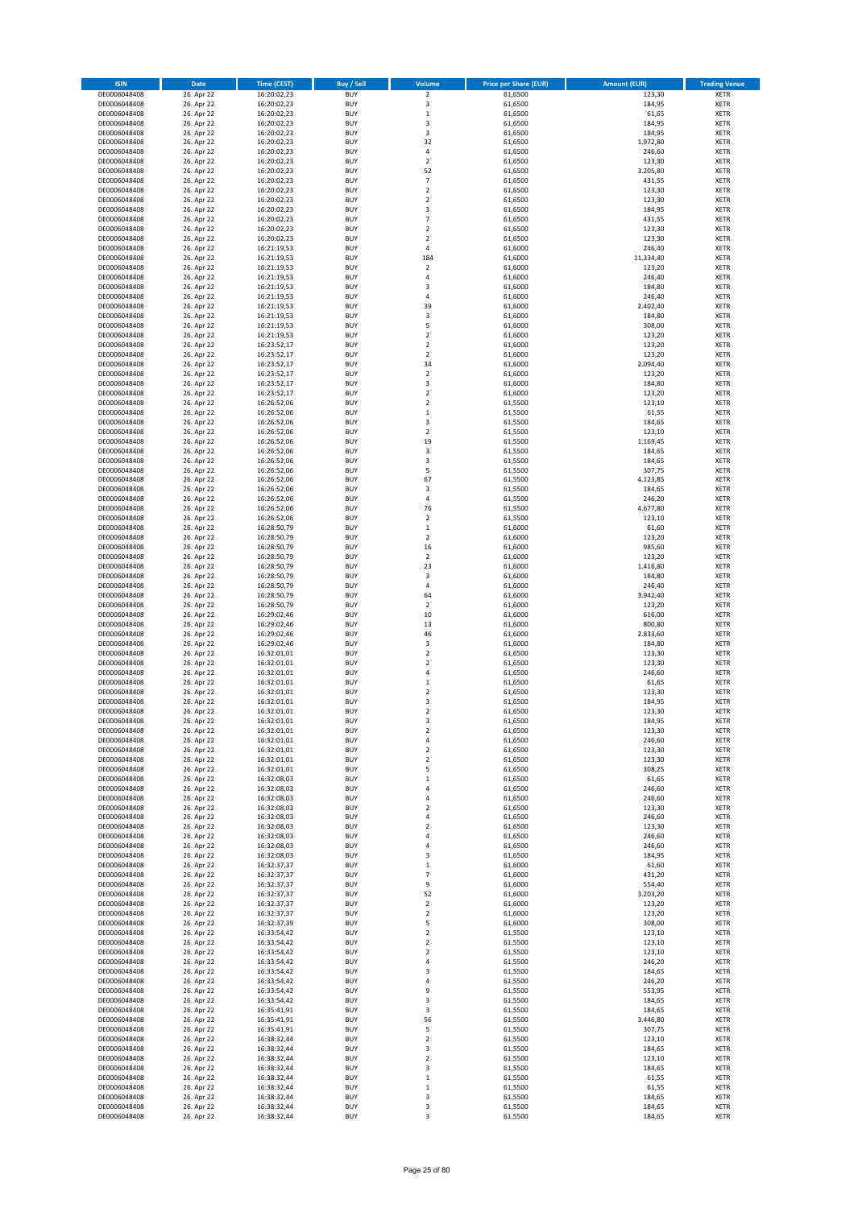| <b>ISIN</b>                  | Date                     | <b>Time (CEST)</b>         | <b>Buy / Sell</b>        | Volume                           | <b>Price per Share (EUR)</b> | <b>Amount (EUR)</b> | <b>Trading Venue</b>       |
|------------------------------|--------------------------|----------------------------|--------------------------|----------------------------------|------------------------------|---------------------|----------------------------|
| DE0006048408                 | 26. Apr 22               | 16:20:02,23                | <b>BUY</b>               | $\overline{2}$                   | 61,6500                      | 123,30              | <b>XETR</b>                |
| DE0006048408                 | 26. Apr 22               | 16:20:02,23                | <b>BUY</b>               | $\mathsf 3$                      | 61,6500                      | 184,95              | <b>XETR</b>                |
| DE0006048408<br>DE0006048408 | 26. Apr 22<br>26. Apr 22 | 16:20:02,23<br>16:20:02,23 | <b>BUY</b><br><b>BUY</b> | $\,$ 1<br>3                      | 61,6500<br>61,6500           | 61,65<br>184,95     | XETR<br><b>XETR</b>        |
| DE0006048408                 | 26. Apr 22               | 16:20:02,23                | <b>BUY</b>               | 3                                | 61,6500                      | 184,95              | <b>XETR</b>                |
| DE0006048408                 | 26. Apr 22               | 16:20:02,23                | <b>BUY</b>               | 32                               | 61,6500                      | 1.972,80            | <b>XETR</b>                |
| DE0006048408                 | 26. Apr 22               | 16:20:02,23                | <b>BUY</b>               | $\sqrt{4}$                       | 61,6500                      | 246,60              | <b>XETR</b>                |
| DE0006048408                 | 26. Apr 22               | 16:20:02,23                | <b>BUY</b>               | $\overline{2}$                   | 61,6500                      | 123,30              | <b>XETR</b>                |
| DE0006048408<br>DE0006048408 | 26. Apr 22<br>26. Apr 22 | 16:20:02,23                | <b>BUY</b><br><b>BUY</b> | 52<br>$\overline{7}$             | 61,6500<br>61,6500           | 3.205,80<br>431,55  | XETR<br><b>XETR</b>        |
| DE0006048408                 | 26. Apr 22               | 16:20:02,23<br>16:20:02,23 | <b>BUY</b>               | $\mathbf 2$                      | 61,6500                      | 123,30              | XETR                       |
| DE0006048408                 | 26. Apr 22               | 16:20:02,23                | <b>BUY</b>               | $\overline{2}$                   | 61,6500                      | 123,30              | <b>XETR</b>                |
| DE0006048408                 | 26. Apr 22               | 16:20:02,23                | <b>BUY</b>               | 3                                | 61,6500                      | 184,95              | XETR                       |
| DE0006048408                 | 26. Apr 22               | 16:20:02,23                | <b>BUY</b>               | $\overline{7}$                   | 61,6500                      | 431,55              | <b>XETR</b>                |
| DE0006048408                 | 26. Apr 22<br>26. Apr 22 | 16:20:02,23                | <b>BUY</b><br><b>BUY</b> | $\mathbf 2$<br>$\overline{2}$    | 61,6500                      | 123,30              | XETR                       |
| DE0006048408<br>DE0006048408 | 26. Apr 22               | 16:20:02,23<br>16:21:19,53 | <b>BUY</b>               | 4                                | 61,6500<br>61,6000           | 123,30<br>246,40    | <b>XETR</b><br>XETR        |
| DE0006048408                 | 26. Apr 22               | 16:21:19,53                | <b>BUY</b>               | 184                              | 61,6000                      | 11.334,40           | <b>XETR</b>                |
| DE0006048408                 | 26. Apr 22               | 16:21:19,53                | <b>BUY</b>               | $\mathbf 2$                      | 61,6000                      | 123,20              | XETR                       |
| DE0006048408                 | 26. Apr 22               | 16:21:19,53                | <b>BUY</b>               | $\sqrt{4}$                       | 61,6000                      | 246,40              | <b>XETR</b>                |
| DE0006048408<br>DE0006048408 | 26. Apr 22<br>26. Apr 22 | 16:21:19,53<br>16:21:19,53 | <b>BUY</b><br><b>BUY</b> | 3<br>4                           | 61,6000<br>61,6000           | 184,80<br>246,40    | <b>XETR</b><br><b>XETR</b> |
| DE0006048408                 | 26. Apr 22               | 16:21:19,53                | <b>BUY</b>               | 39                               | 61,6000                      | 2.402,40            | <b>XETR</b>                |
| DE0006048408                 | 26. Apr 22               | 16:21:19,53                | <b>BUY</b>               | 3                                | 61,6000                      | 184,80              | <b>XETR</b>                |
| DE0006048408                 | 26. Apr 22               | 16:21:19,53                | <b>BUY</b>               | 5                                | 61,6000                      | 308,00              | <b>XETR</b>                |
| DE0006048408                 | 26. Apr 22               | 16:21:19,53                | <b>BUY</b>               | $\overline{2}$                   | 61,6000                      | 123,20              | <b>XETR</b>                |
| DE0006048408                 | 26. Apr 22               | 16:23:52,17                | <b>BUY</b><br><b>BUY</b> | $\overline{2}$<br>$\overline{2}$ | 61,6000                      | 123,20              | <b>XETR</b>                |
| DE0006048408<br>DE0006048408 | 26. Apr 22<br>26. Apr 22 | 16:23:52,17<br>16:23:52,17 | <b>BUY</b>               | 34                               | 61,6000<br>61,6000           | 123,20<br>2.094,40  | <b>XETR</b><br><b>XETR</b> |
| DE0006048408                 | 26. Apr 22               | 16:23:52,17                | <b>BUY</b>               | $\mathbf 2$                      | 61,6000                      | 123,20              | <b>XETR</b>                |
| DE0006048408                 | 26. Apr 22               | 16:23:52,17                | <b>BUY</b>               | 3                                | 61,6000                      | 184,80              | <b>XETR</b>                |
| DE0006048408                 | 26. Apr 22               | 16:23:52,17                | <b>BUY</b>               | $\mathbf 2$                      | 61,6000                      | 123,20              | <b>XETR</b>                |
| DE0006048408                 | 26. Apr 22               | 16:26:52,06<br>16:26:52,06 | <b>BUY</b>               | $\overline{2}$                   | 61,5500                      | 123,10              | <b>XETR</b>                |
| DE0006048408<br>DE0006048408 | 26. Apr 22<br>26. Apr 22 | 16:26:52,06                | <b>BUY</b><br><b>BUY</b> | $\,$ 1<br>3                      | 61,5500<br>61,5500           | 61,55<br>184,65     | XETR<br><b>XETR</b>        |
| DE0006048408                 | 26. Apr 22               | 16:26:52,06                | <b>BUY</b>               | $\mathbf 2$                      | 61,5500                      | 123,10              | XETR                       |
| DE0006048408                 | 26. Apr 22               | 16:26:52,06                | <b>BUY</b>               | 19                               | 61,5500                      | 1.169,45            | <b>XETR</b>                |
| DE0006048408                 | 26. Apr 22               | 16:26:52,06                | <b>BUY</b>               | $\mathsf 3$                      | 61,5500                      | 184,65              | XETR                       |
| DE0006048408                 | 26. Apr 22               | 16:26:52,06                | <b>BUY</b>               | 3                                | 61,5500                      | 184,65              | <b>XETR</b>                |
| DE0006048408<br>DE0006048408 | 26. Apr 22<br>26. Apr 22 | 16:26:52,06<br>16:26:52,06 | <b>BUY</b><br><b>BUY</b> | 5<br>67                          | 61,5500<br>61,5500           | 307,75<br>4.123,85  | <b>XETR</b><br><b>XETR</b> |
| DE0006048408                 | 26. Apr 22               | 16:26:52,06                | <b>BUY</b>               | 3                                | 61,5500                      | 184,65              | XETR                       |
| DE0006048408                 | 26. Apr 22               | 16:26:52,06                | <b>BUY</b>               | $\sqrt{4}$                       | 61,5500                      | 246,20              | <b>XETR</b>                |
| DE0006048408                 | 26. Apr 22               | 16:26:52,06                | <b>BUY</b>               | 76                               | 61,5500                      | 4.677,80            | <b>XETR</b>                |
| DE0006048408                 | 26. Apr 22               | 16:26:52,06                | <b>BUY</b>               | $\overline{2}$                   | 61,5500                      | 123,10              | <b>XETR</b>                |
| DE0006048408                 | 26. Apr 22               | 16:28:50,79                | <b>BUY</b>               | $\,$ 1                           | 61,6000                      | 61,60               | XETR                       |
| DE0006048408<br>DE0006048408 | 26. Apr 22<br>26. Apr 22 | 16:28:50,79<br>16:28:50,79 | <b>BUY</b><br><b>BUY</b> | $\mathbf 2$<br>16                | 61,6000<br>61,6000           | 123,20<br>985,60    | <b>XETR</b><br><b>XETR</b> |
| DE0006048408                 | 26. Apr 22               | 16:28:50,79                | <b>BUY</b>               | $\mathbf 2$                      | 61,6000                      | 123,20              | <b>XETR</b>                |
| DE0006048408                 | 26. Apr 22               | 16:28:50,79                | <b>BUY</b>               | 23                               | 61,6000                      | 1.416,80            | <b>XETR</b>                |
| DE0006048408                 | 26. Apr 22               | 16:28:50,79                | <b>BUY</b>               | 3                                | 61,6000                      | 184,80              | <b>XETR</b>                |
| DE0006048408                 | 26. Apr 22               | 16:28:50,79                | <b>BUY</b><br><b>BUY</b> | $\overline{4}$                   | 61,6000                      | 246,40              | <b>XETR</b>                |
| DE0006048408<br>DE0006048408 | 26. Apr 22<br>26. Apr 22 | 16:28:50,79<br>16:28:50,79 | <b>BUY</b>               | 64<br>$\overline{2}$             | 61,6000<br>61,6000           | 3.942,40<br>123,20  | <b>XETR</b><br><b>XETR</b> |
| DE0006048408                 | 26. Apr 22               | 16:29:02,46                | <b>BUY</b>               | 10                               | 61,6000                      | 616,00              | <b>XETR</b>                |
| DE0006048408                 | 26. Apr 22               | 16:29:02,46                | <b>BUY</b>               | 13                               | 61,6000                      | 800,80              | <b>XETR</b>                |
| DE0006048408                 | 26. Apr 22               | 16:29:02,46                | <b>BUY</b>               | 46                               | 61,6000                      | 2.833,60            | <b>XETR</b>                |
| DE0006048408                 | 26. Apr 22               | 16:29:02,46                | <b>BUY</b><br><b>BUY</b> | 3<br>$\overline{2}$              | 61,6000<br>61,6500           | 184,80              | <b>XETR</b><br><b>XETR</b> |
| DE0006048408<br>DE0006048408 | 26. Apr 22<br>26. Apr 22 | 16:32:01,01<br>16:32:01,01 | <b>BUY</b>               | $\overline{2}$                   | 61,6500                      | 123,30<br>123,30    | <b>XETR</b>                |
| DE0006048408                 | 26. Apr 22               | 16:32:01,01                | <b>BUY</b>               | $\sqrt{4}$                       | 61,6500                      | 246,60              | XETR                       |
| DE0006048408                 | 26. Apr 22               | 16:32:01,01                | <b>BUY</b>               | $\mathbf 1$                      | 61,6500                      | 61,65               | <b>XETR</b>                |
| DE0006048408                 | 26. Apr 22               | 16:32:01,01                | <b>BUY</b>               | $\sqrt{2}$                       | 61,6500                      | 123,30              | <b>XETR</b>                |
| DE0006048408                 | 26. Apr 22               | 16:32:01,01                | <b>BUY</b><br><b>BUY</b> | 3<br>$\overline{2}$              | 61,6500                      | 184,95              | <b>XETR</b>                |
| DE0006048408<br>DE0006048408 | 26. Apr 22<br>26. Apr 22 | 16:32:01,01<br>16:32:01,01 | <b>BUY</b>               | 3                                | 61,6500<br>61,6500           | 123,30<br>184,95    | <b>XETR</b><br>XETR        |
| DE0006048408                 | 26. Apr 22               | 16:32:01,01                | <b>BUY</b>               | $\mathbf 2$                      | 61,6500                      | 123,30              | XETR                       |
| DE0006048408                 | 26. Apr 22               | 16:32:01,01                | <b>BUY</b>               | 4                                | 61,6500                      | 246,60              | XETR                       |
| DE0006048408                 | 26. Apr 22               | 16:32:01,01                | <b>BUY</b>               | $\overline{2}$                   | 61,6500                      | 123,30              | XETR                       |
| DE0006048408                 | 26. Apr 22               | 16:32:01,01                | <b>BUY</b>               | $\mathbf 2$                      | 61,6500                      | 123,30              | XETR                       |
| DE0006048408<br>DE0006048408 | 26. Apr 22<br>26. Apr 22 | 16:32:01,01<br>16:32:08.03 | <b>BUY</b><br><b>BUY</b> | 5<br>$\,1\,$                     | 61,6500<br>61,6500           | 308,25<br>61,65     | XETR<br><b>XETR</b>        |
| DE0006048408                 | 26. Apr 22               | 16:32:08,03                | <b>BUY</b>               | $\sqrt{4}$                       | 61,6500                      | 246,60              | <b>XETR</b>                |
| DE0006048408                 | 26. Apr 22               | 16:32:08,03                | <b>BUY</b>               | 4                                | 61,6500                      | 246,60              | <b>XETR</b>                |
| DE0006048408                 | 26. Apr 22               | 16:32:08,03                | <b>BUY</b>               | $\overline{2}$                   | 61,6500                      | 123,30              | <b>XETR</b>                |
| DE0006048408<br>DE0006048408 | 26. Apr 22<br>26. Apr 22 | 16:32:08,03<br>16:32:08,03 | <b>BUY</b><br><b>BUY</b> | 4<br>$\overline{2}$              | 61,6500<br>61,6500           | 246,60<br>123,30    | <b>XETR</b><br><b>XETR</b> |
| DE0006048408                 | 26. Apr 22               | 16:32:08,03                | <b>BUY</b>               | 4                                | 61,6500                      | 246,60              | XETR                       |
| DE0006048408                 | 26. Apr 22               | 16:32:08,03                | <b>BUY</b>               | 4                                | 61,6500                      | 246,60              | XETR                       |
| DE0006048408                 | 26. Apr 22               | 16:32:08,03                | <b>BUY</b>               | 3                                | 61,6500                      | 184,95              | <b>XETR</b>                |
| DE0006048408                 | 26. Apr 22               | 16:32:37,37                | <b>BUY</b>               | $\,$ 1                           | 61,6000                      | 61,60               | <b>XETR</b>                |
| DE0006048408<br>DE0006048408 | 26. Apr 22<br>26. Apr 22 | 16:32:37,37<br>16:32:37,37 | <b>BUY</b><br><b>BUY</b> | $\overline{\phantom{a}}$<br>9    | 61,6000<br>61,6000           | 431,20<br>554,40    | <b>XETR</b><br><b>XETR</b> |
| DE0006048408                 | 26. Apr 22               | 16:32:37,37                | <b>BUY</b>               | 52                               | 61,6000                      | 3.203,20            | <b>XETR</b>                |
| DE0006048408                 | 26. Apr 22               | 16:32:37,37                | <b>BUY</b>               | $\mathbf 2$                      | 61,6000                      | 123,20              | <b>XETR</b>                |
| DE0006048408                 | 26. Apr 22               | 16:32:37,37                | <b>BUY</b>               | $\overline{2}$                   | 61,6000                      | 123,20              | <b>XETR</b>                |
| DE0006048408                 | 26. Apr 22               | 16:32:37,39                | <b>BUY</b>               | 5                                | 61,6000                      | 308,00              | XETR                       |
| DE0006048408<br>DE0006048408 | 26. Apr 22<br>26. Apr 22 | 16:33:54,42<br>16:33:54,42 | <b>BUY</b><br><b>BUY</b> | $\mathbf 2$<br>$\overline{2}$    | 61,5500<br>61,5500           | 123,10<br>123,10    | XETR<br>XETR               |
| DE0006048408                 | 26. Apr 22               | 16:33:54,42                | <b>BUY</b>               | $\boldsymbol{2}$                 | 61,5500                      | 123,10              | XETR                       |
| DE0006048408                 | 26. Apr 22               | 16:33:54,42                | <b>BUY</b>               | $\sqrt{4}$                       | 61,5500                      | 246,20              | <b>XETR</b>                |
| DE0006048408                 | 26. Apr 22               | 16:33:54,42                | <b>BUY</b>               | 3                                | 61,5500                      | 184,65              | XETR                       |
| DE0006048408                 | 26. Apr 22               | 16:33:54,42                | <b>BUY</b>               | 4                                | 61,5500                      | 246,20              | XETR                       |
| DE0006048408                 | 26. Apr 22               | 16:33:54,42                | <b>BUY</b><br><b>BUY</b> | 9<br>3                           | 61,5500                      | 553,95              | XETR                       |
| DE0006048408<br>DE0006048408 | 26. Apr 22<br>26. Apr 22 | 16:33:54,42<br>16:35:41,91 | <b>BUY</b>               | 3                                | 61,5500<br>61,5500           | 184,65<br>184,65    | XETR<br>XETR               |
| DE0006048408                 | 26. Apr 22               | 16:35:41,91                | <b>BUY</b>               | 56                               | 61,5500                      | 3.446,80            | XETR                       |
| DE0006048408                 | 26. Apr 22               | 16:35:41,91                | <b>BUY</b>               | 5                                | 61,5500                      | 307,75              | <b>XETR</b>                |
| DE0006048408                 | 26. Apr 22               | 16:38:32,44                | <b>BUY</b>               | $\mathbf 2$                      | 61,5500                      | 123,10              | <b>XETR</b>                |
| DE0006048408<br>DE0006048408 | 26. Apr 22<br>26. Apr 22 | 16:38:32,44<br>16:38:32,44 | <b>BUY</b><br><b>BUY</b> | 3<br>$\overline{2}$              | 61,5500<br>61,5500           | 184,65<br>123,10    | <b>XETR</b><br><b>XETR</b> |
| DE0006048408                 | 26. Apr 22               | 16:38:32,44                | <b>BUY</b>               | 3                                | 61,5500                      | 184,65              | <b>XETR</b>                |
| DE0006048408                 | 26. Apr 22               | 16:38:32,44                | <b>BUY</b>               | $\,$ 1                           | 61,5500                      | 61,55               | <b>XETR</b>                |
| DE0006048408                 | 26. Apr 22               | 16:38:32,44                | <b>BUY</b>               | $\mathbf 1$                      | 61,5500                      | 61,55               | <b>XETR</b>                |
| DE0006048408<br>DE0006048408 | 26. Apr 22               | 16:38:32,44                | <b>BUY</b>               | 3                                | 61,5500                      | 184,65              | <b>XETR</b>                |
|                              | 26. Apr 22               | 16:38:32,44                | <b>BUY</b>               | 3                                | 61,5500                      | 184,65              | <b>XETR</b>                |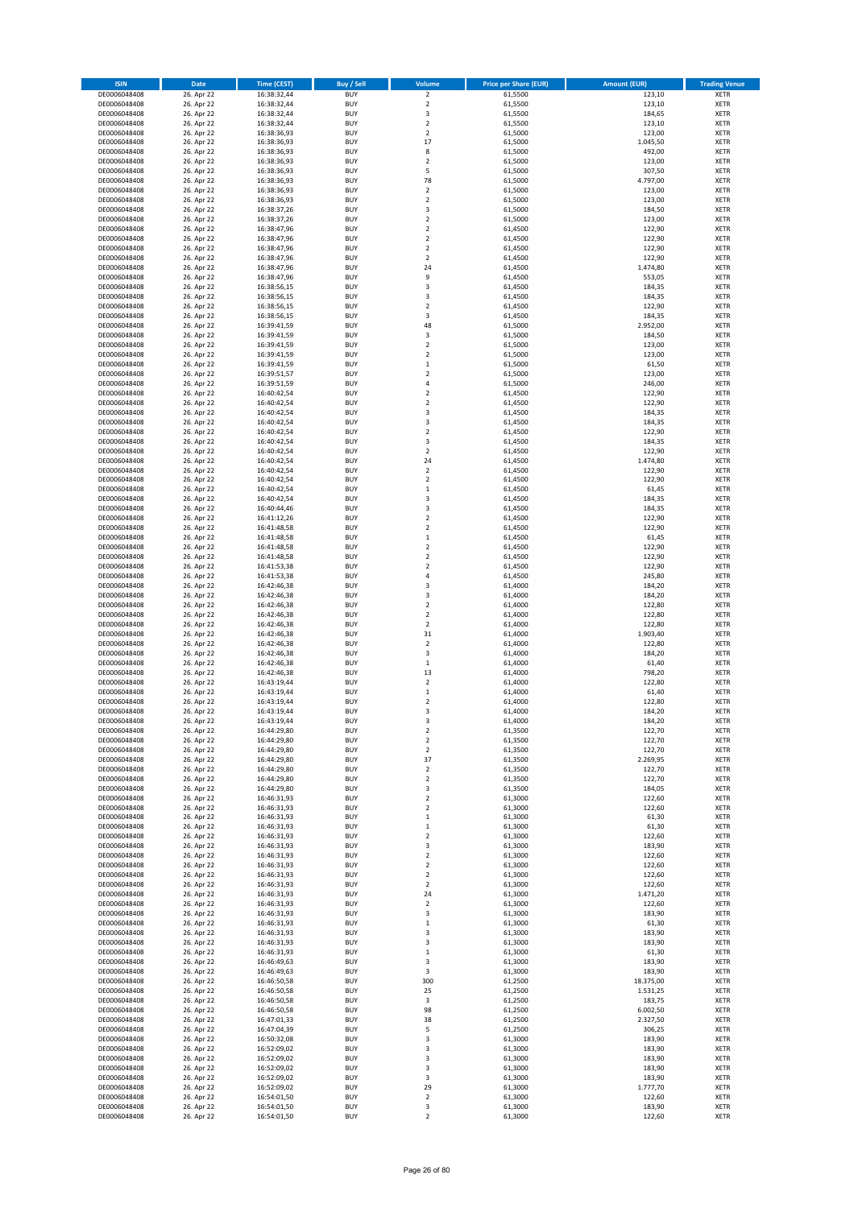| <b>ISIN</b>                  | Date                     | <b>Time (CEST)</b>         | <b>Buy / Sell</b>        | Volume                        | <b>Price per Share (EUR)</b> | <b>Amount (EUR)</b> | <b>Trading Venue</b>       |
|------------------------------|--------------------------|----------------------------|--------------------------|-------------------------------|------------------------------|---------------------|----------------------------|
| DE0006048408                 | 26. Apr 22               | 16:38:32,44                | <b>BUY</b>               | $\overline{2}$                | 61,5500                      | 123,10              | <b>XETR</b>                |
| DE0006048408                 | 26. Apr 22               | 16:38:32,44                | <b>BUY</b>               | $\mathbf 2$                   | 61,5500                      | 123,10              | <b>XETR</b>                |
| DE0006048408<br>DE0006048408 | 26. Apr 22<br>26. Apr 22 | 16:38:32,44<br>16:38:32,44 | <b>BUY</b><br><b>BUY</b> | 3<br>$\overline{2}$           | 61,5500<br>61,5500           | 184,65<br>123,10    | XETR<br><b>XETR</b>        |
| DE0006048408                 | 26. Apr 22               | 16:38:36,93                | <b>BUY</b>               | $\mathbf 2$                   | 61,5000                      | 123,00              | <b>XETR</b>                |
| DE0006048408                 | 26. Apr 22               | 16:38:36,93                | <b>BUY</b>               | 17                            | 61,5000                      | 1.045,50            | <b>XETR</b>                |
| DE0006048408                 | 26. Apr 22               | 16:38:36,93                | <b>BUY</b>               | 8                             | 61,5000                      | 492,00              | <b>XETR</b>                |
| DE0006048408                 | 26. Apr 22               | 16:38:36,93                | <b>BUY</b>               | $\overline{2}$                | 61,5000                      | 123,00              | <b>XETR</b>                |
| DE0006048408<br>DE0006048408 | 26. Apr 22<br>26. Apr 22 | 16:38:36,93                | <b>BUY</b><br><b>BUY</b> | 5<br>78                       | 61,5000<br>61,5000           | 307,50<br>4.797,00  | XETR<br><b>XETR</b>        |
| DE0006048408                 | 26. Apr 22               | 16:38:36,93<br>16:38:36,93 | <b>BUY</b>               | $\mathbf 2$                   | 61,5000                      | 123,00              | XETR                       |
| DE0006048408                 | 26. Apr 22               | 16:38:36,93                | <b>BUY</b>               | $\overline{2}$                | 61,5000                      | 123,00              | <b>XETR</b>                |
| DE0006048408                 | 26. Apr 22               | 16:38:37,26                | <b>BUY</b>               | 3                             | 61,5000                      | 184,50              | XETR                       |
| DE0006048408                 | 26. Apr 22               | 16:38:37,26                | <b>BUY</b>               | $\overline{2}$                | 61,5000                      | 123,00              | <b>XETR</b>                |
| DE0006048408                 | 26. Apr 22               | 16:38:47,96                | <b>BUY</b>               | $\mathbf 2$                   | 61,4500                      | 122,90              | XETR                       |
| DE0006048408<br>DE0006048408 | 26. Apr 22<br>26. Apr 22 | 16:38:47,96<br>16:38:47,96 | <b>BUY</b><br><b>BUY</b> | $\overline{2}$<br>$\mathbf 2$ | 61,4500<br>61,4500           | 122,90<br>122,90    | <b>XETR</b><br>XETR        |
| DE0006048408                 | 26. Apr 22               | 16:38:47,96                | <b>BUY</b>               | $\overline{2}$                | 61,4500                      | 122,90              | <b>XETR</b>                |
| DE0006048408                 | 26. Apr 22               | 16:38:47,96                | <b>BUY</b>               | 24                            | 61,4500                      | 1.474,80            | XETR                       |
| DE0006048408                 | 26. Apr 22               | 16:38:47,96                | <b>BUY</b>               | 9                             | 61,4500                      | 553,05              | <b>XETR</b>                |
| DE0006048408                 | 26. Apr 22               | 16:38:56,15                | <b>BUY</b>               | 3                             | 61,4500                      | 184,35              | <b>XETR</b>                |
| DE0006048408<br>DE0006048408 | 26. Apr 22<br>26. Apr 22 | 16:38:56,15<br>16:38:56,15 | <b>BUY</b><br><b>BUY</b> | 3<br>$\overline{2}$           | 61,4500<br>61,4500           | 184,35<br>122,90    | <b>XETR</b><br><b>XETR</b> |
| DE0006048408                 | 26. Apr 22               | 16:38:56,15                | <b>BUY</b>               | 3                             | 61,4500                      | 184,35              | <b>XETR</b>                |
| DE0006048408                 | 26. Apr 22               | 16:39:41,59                | <b>BUY</b>               | 48                            | 61,5000                      | 2.952,00            | <b>XETR</b>                |
| DE0006048408                 | 26. Apr 22               | 16:39:41,59                | <b>BUY</b>               | 3                             | 61,5000                      | 184,50              | <b>XETR</b>                |
| DE0006048408                 | 26. Apr 22               | 16:39:41,59                | <b>BUY</b>               | $\overline{2}$                | 61,5000                      | 123,00              | <b>XETR</b>                |
| DE0006048408<br>DE0006048408 | 26. Apr 22<br>26. Apr 22 | 16:39:41,59<br>16:39:41,59 | <b>BUY</b><br><b>BUY</b> | $\mathbf 2$<br>$\,$ 1         | 61,5000<br>61,5000           | 123,00<br>61,50     | <b>XETR</b><br><b>XETR</b> |
| DE0006048408                 | 26. Apr 22               | 16:39:51,57                | <b>BUY</b>               | $\sqrt{2}$                    | 61,5000                      | 123,00              | <b>XETR</b>                |
| DE0006048408                 | 26. Apr 22               | 16:39:51,59                | <b>BUY</b>               | $\sqrt{4}$                    | 61,5000                      | 246,00              | <b>XETR</b>                |
| DE0006048408                 | 26. Apr 22               | 16:40:42,54                | <b>BUY</b>               | $\mathbf 2$                   | 61,4500                      | 122,90              | <b>XETR</b>                |
| DE0006048408                 | 26. Apr 22               | 16:40:42,54                | <b>BUY</b>               | $\overline{2}$                | 61,4500                      | 122,90              | <b>XETR</b>                |
| DE0006048408                 | 26. Apr 22               | 16:40:42,54                | <b>BUY</b>               | 3                             | 61,4500                      | 184,35              | XETR                       |
| DE0006048408<br>DE0006048408 | 26. Apr 22<br>26. Apr 22 | 16:40:42,54<br>16:40:42,54 | <b>BUY</b><br><b>BUY</b> | 3<br>$\overline{2}$           | 61,4500<br>61,4500           | 184,35<br>122,90    | <b>XETR</b><br>XETR        |
| DE0006048408                 | 26. Apr 22               | 16:40:42,54                | <b>BUY</b>               | 3                             | 61,4500                      | 184,35              | <b>XETR</b>                |
| DE0006048408                 | 26. Apr 22               | 16:40:42,54                | <b>BUY</b>               | $\sqrt{2}$                    | 61,4500                      | 122,90              | XETR                       |
| DE0006048408                 | 26. Apr 22               | 16:40:42,54                | <b>BUY</b>               | 24                            | 61,4500                      | 1.474,80            | <b>XETR</b>                |
| DE0006048408                 | 26. Apr 22               | 16:40:42,54                | <b>BUY</b>               | $\overline{2}$                | 61,4500                      | 122,90              | <b>XETR</b>                |
| DE0006048408                 | 26. Apr 22               | 16:40:42,54                | <b>BUY</b><br><b>BUY</b> | $\overline{2}$                | 61,4500                      | 122,90              | <b>XETR</b>                |
| DE0006048408<br>DE0006048408 | 26. Apr 22<br>26. Apr 22 | 16:40:42,54<br>16:40:42,54 | <b>BUY</b>               | $\mathbf 1$<br>3              | 61,4500<br>61,4500           | 61,45<br>184,35     | XETR<br><b>XETR</b>        |
| DE0006048408                 | 26. Apr 22               | 16:40:44,46                | <b>BUY</b>               | $\overline{\mathbf{3}}$       | 61,4500                      | 184,35              | <b>XETR</b>                |
| DE0006048408                 | 26. Apr 22               | 16:41:12,26                | <b>BUY</b>               | $\overline{2}$                | 61,4500                      | 122,90              | <b>XETR</b>                |
| DE0006048408                 | 26. Apr 22               | 16:41:48,58                | <b>BUY</b>               | $\mathbf 2$                   | 61,4500                      | 122,90              | XETR                       |
| DE0006048408                 | 26. Apr 22               | 16:41:48,58                | <b>BUY</b>               | $\,$ 1                        | 61,4500                      | 61,45               | <b>XETR</b>                |
| DE0006048408<br>DE0006048408 | 26. Apr 22<br>26. Apr 22 | 16:41:48,58<br>16:41:48,58 | <b>BUY</b><br><b>BUY</b> | $\sqrt{2}$<br>$\mathbf 2$     | 61,4500<br>61,4500           | 122,90<br>122,90    | <b>XETR</b><br><b>XETR</b> |
| DE0006048408                 | 26. Apr 22               | 16:41:53,38                | <b>BUY</b>               | $\mathbf 2$                   | 61,4500                      | 122,90              | <b>XETR</b>                |
| DE0006048408                 | 26. Apr 22               | 16:41:53,38                | <b>BUY</b>               | 4                             | 61,4500                      | 245,80              | <b>XETR</b>                |
| DE0006048408                 | 26. Apr 22               | 16:42:46,38                | <b>BUY</b>               | 3                             | 61,4000                      | 184,20              | <b>XETR</b>                |
| DE0006048408                 | 26. Apr 22               | 16:42:46,38                | <b>BUY</b>               | 3                             | 61,4000                      | 184,20              | <b>XETR</b>                |
| DE0006048408<br>DE0006048408 | 26. Apr 22<br>26. Apr 22 | 16:42:46,38<br>16:42:46,38 | <b>BUY</b><br><b>BUY</b> | $\overline{2}$<br>$\mathbf 2$ | 61,4000<br>61,4000           | 122,80<br>122,80    | <b>XETR</b><br><b>XETR</b> |
| DE0006048408                 | 26. Apr 22               | 16:42:46,38                | <b>BUY</b>               | $\overline{2}$                | 61,4000                      | 122,80              | <b>XETR</b>                |
| DE0006048408                 | 26. Apr 22               | 16:42:46,38                | <b>BUY</b>               | 31                            | 61,4000                      | 1.903,40            | <b>XETR</b>                |
| DE0006048408                 | 26. Apr 22               | 16:42:46,38                | <b>BUY</b>               | $\overline{2}$                | 61,4000                      | 122,80              | <b>XETR</b>                |
| DE0006048408                 | 26. Apr 22               | 16:42:46,38                | <b>BUY</b>               | 3                             | 61,4000                      | 184,20              | <b>XETR</b>                |
| DE0006048408                 | 26. Apr 22               | 16:42:46,38                | <b>BUY</b>               | $\mathbf 1$                   | 61,4000                      | 61,40               | <b>XETR</b>                |
| DE0006048408<br>DE0006048408 | 26. Apr 22<br>26. Apr 22 | 16:42:46,38<br>16:43:19,44 | <b>BUY</b><br><b>BUY</b> | 13<br>$\overline{2}$          | 61,4000<br>61,4000           | 798,20<br>122,80    | XETR<br><b>XETR</b>        |
| DE0006048408                 | 26. Apr 22               | 16:43:19,44                | <b>BUY</b>               | $\,$ 1                        | 61,4000                      | 61,40               | <b>XETR</b>                |
| DE0006048408                 | 26. Apr 22               | 16:43:19,44                | <b>BUY</b>               | $\overline{2}$                | 61,4000                      | 122,80              | <b>XETR</b>                |
| DE0006048408                 | 26. Apr 22               | 16:43:19,44                | <b>BUY</b>               | 3                             | 61,4000                      | 184,20              | <b>XETR</b>                |
| DE0006048408                 | 26. Apr 22               | 16:43:19,44                | <b>BUY</b>               | 3                             | 61,4000                      | 184,20              | XETR                       |
| DE0006048408<br>DE0006048408 | 26. Apr 22<br>26. Apr 22 | 16:44:29,80<br>16:44:29,80 | <b>BUY</b><br><b>BUY</b> | $\mathbf 2$<br>$\mathbf 2$    | 61,3500<br>61,3500           | 122,70<br>122,70    | XETR<br>XETR               |
| DE0006048408                 | 26. Apr 22               | 16:44:29,80                | <b>BUY</b>               | $\overline{2}$                | 61,3500                      | 122,70              | <b>XETR</b>                |
| DE0006048408                 | 26. Apr 22               | 16:44:29,80                | <b>BUY</b>               | 37                            | 61,3500                      | 2.269,95            | <b>XETR</b>                |
| DE0006048408                 | 26. Apr 22               | 16:44:29,80                | <b>BUY</b>               | $\mathbf 2$                   | 61,3500                      | 122,70              | XETR                       |
| DE0006048408                 | 26. Apr 22               | 16:44:29,80                | <b>BUY</b>               | $\mathbf 2$                   | 61,3500                      | 122,70              | <b>XETR</b>                |
| DE0006048408<br>DE0006048408 | 26. Apr 22<br>26. Apr 22 | 16:44:29,80<br>16:46:31,93 | <b>BUY</b><br><b>BUY</b> | 3<br>$\mathbf 2$              | 61,3500<br>61,3000           | 184,05<br>122,60    | XETR<br><b>XETR</b>        |
| DE0006048408                 | 26. Apr 22               | 16:46:31,93                | <b>BUY</b>               | $\mathbf 2$                   | 61,3000                      | 122,60              | XETR                       |
| DE0006048408                 | 26. Apr 22               | 16:46:31,93                | <b>BUY</b>               | $\,$ 1                        | 61,3000                      | 61,30               | <b>XETR</b>                |
| DE0006048408                 | 26. Apr 22               | 16:46:31,93                | <b>BUY</b>               | $\,$ 1                        | 61,3000                      | 61,30               | XETR                       |
| DE0006048408                 | 26. Apr 22               | 16:46:31,93                | <b>BUY</b>               | $\overline{2}$                | 61,3000                      | 122,60              | <b>XETR</b>                |
| DE0006048408                 | 26. Apr 22               | 16:46:31,93                | <b>BUY</b>               | 3<br>$\mathbf 2$              | 61,3000<br>61,3000           | 183,90<br>122,60    | XETR                       |
| DE0006048408<br>DE0006048408 | 26. Apr 22<br>26. Apr 22 | 16:46:31,93<br>16:46:31,93 | <b>BUY</b><br><b>BUY</b> | $\mathbf 2$                   | 61,3000                      | 122,60              | <b>XETR</b><br><b>XETR</b> |
| DE0006048408                 | 26. Apr 22               | 16:46:31,93                | <b>BUY</b>               | $\overline{2}$                | 61,3000                      | 122,60              | <b>XETR</b>                |
| DE0006048408                 | 26. Apr 22               | 16:46:31,93                | <b>BUY</b>               | $\overline{\mathbf{c}}$       | 61,3000                      | 122,60              | <b>XETR</b>                |
| DE0006048408                 | 26. Apr 22               | 16:46:31,93                | <b>BUY</b>               | 24                            | 61,3000                      | 1.471,20            | <b>XETR</b>                |
| DE0006048408                 | 26. Apr 22               | 16:46:31,93                | <b>BUY</b>               | $\sqrt{2}$                    | 61,3000                      | 122,60              | <b>XETR</b>                |
| DE0006048408<br>DE0006048408 | 26. Apr 22<br>26. Apr 22 | 16:46:31,93<br>16:46:31,93 | <b>BUY</b><br><b>BUY</b> | 3<br>$\,$ 1                   | 61,3000<br>61,3000           | 183,90<br>61,30     | <b>XETR</b><br><b>XETR</b> |
| DE0006048408                 | 26. Apr 22               | 16:46:31,93                | <b>BUY</b>               | 3                             | 61,3000                      | 183,90              | XETR                       |
| DE0006048408                 | 26. Apr 22               | 16:46:31,93                | <b>BUY</b>               | 3                             | 61,3000                      | 183,90              | XETR                       |
| DE0006048408                 | 26. Apr 22               | 16:46:31,93                | <b>BUY</b>               | $\,$ 1                        | 61,3000                      | 61,30               | <b>XETR</b>                |
| DE0006048408                 | 26. Apr 22               | 16:46:49,63                | <b>BUY</b>               | 3                             | 61,3000                      | 183,90              | <b>XETR</b>                |
| DE0006048408<br>DE0006048408 | 26. Apr 22<br>26. Apr 22 | 16:46:49,63<br>16:46:50,58 | <b>BUY</b><br><b>BUY</b> | 3<br>300                      | 61,3000<br>61,2500           | 183,90<br>18.375,00 | XETR<br>XETR               |
| DE0006048408                 | 26. Apr 22               | 16:46:50,58                | <b>BUY</b>               | 25                            | 61,2500                      | 1.531,25            | XETR                       |
| DE0006048408                 | 26. Apr 22               | 16:46:50,58                | <b>BUY</b>               | 3                             | 61,2500                      | 183,75              | XETR                       |
| DE0006048408                 | 26. Apr 22               | 16:46:50,58                | <b>BUY</b>               | 98                            | 61,2500                      | 6.002,50            | XETR                       |
| DE0006048408                 | 26. Apr 22               | 16:47:01,33                | <b>BUY</b>               | 38                            | 61,2500                      | 2.327,50            | XETR                       |
| DE0006048408                 | 26. Apr 22               | 16:47:04,39                | <b>BUY</b>               | 5                             | 61,2500                      | 306,25              | XETR                       |
| DE0006048408<br>DE0006048408 | 26. Apr 22<br>26. Apr 22 | 16:50:32,08<br>16:52:09,02 | <b>BUY</b><br><b>BUY</b> | 3<br>3                        | 61,3000<br>61,3000           | 183,90<br>183,90    | <b>XETR</b><br><b>XETR</b> |
| DE0006048408                 | 26. Apr 22               | 16:52:09,02                | <b>BUY</b>               | 3                             | 61,3000                      | 183,90              | <b>XETR</b>                |
| DE0006048408                 | 26. Apr 22               | 16:52:09,02                | <b>BUY</b>               | 3                             | 61,3000                      | 183,90              | <b>XETR</b>                |
| DE0006048408                 | 26. Apr 22               | 16:52:09,02                | <b>BUY</b>               | 3                             | 61,3000                      | 183,90              | <b>XETR</b>                |
| DE0006048408                 | 26. Apr 22               | 16:52:09,02                | <b>BUY</b>               | 29                            | 61,3000                      | 1.777,70            | <b>XETR</b>                |
| DE0006048408<br>DE0006048408 | 26. Apr 22<br>26. Apr 22 | 16:54:01,50<br>16:54:01,50 | <b>BUY</b><br><b>BUY</b> | $\overline{2}$<br>3           | 61,3000<br>61,3000           | 122,60<br>183,90    | <b>XETR</b><br><b>XETR</b> |
| DE0006048408                 | 26. Apr 22               | 16:54:01,50                | <b>BUY</b>               | $\overline{2}$                | 61,3000                      | 122,60              | XETR                       |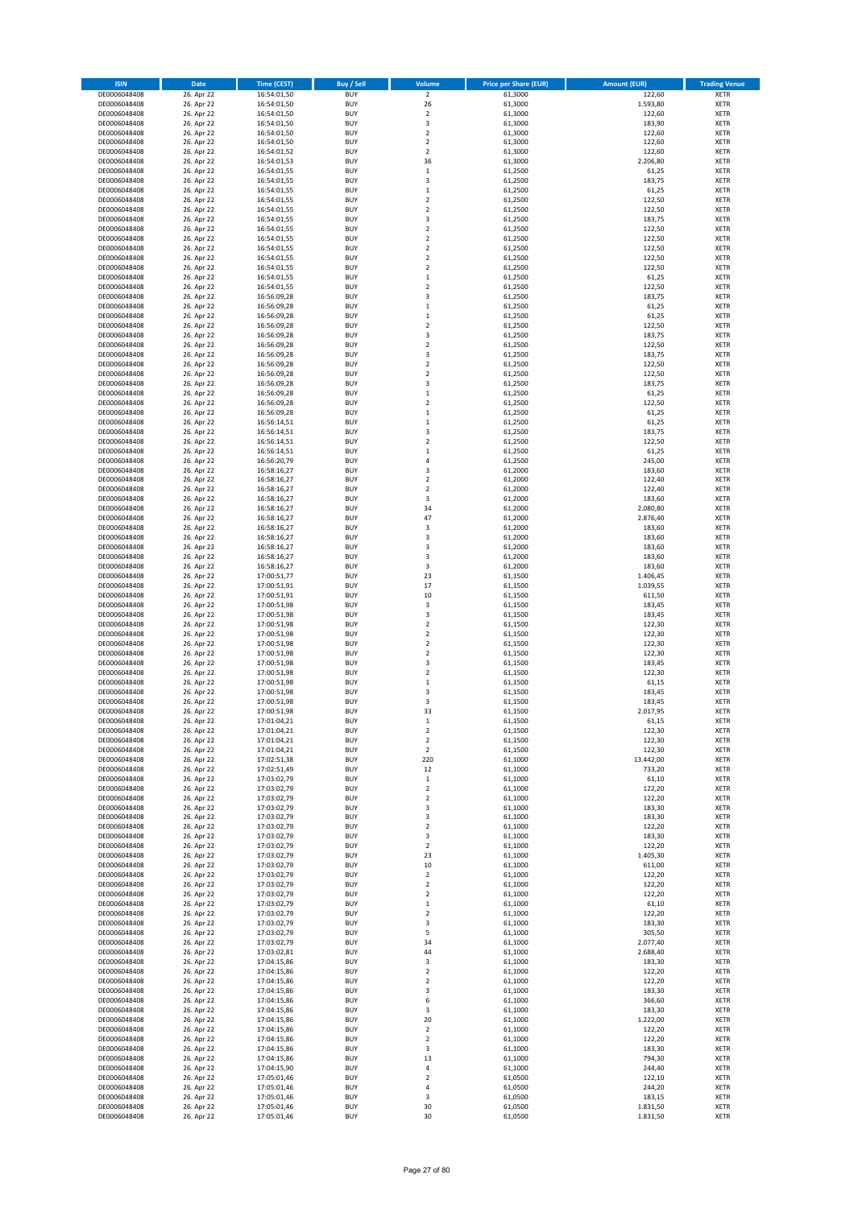| <b>ISIN</b>                  | Date                     | <b>Time (CEST)</b>         | <b>Buy / Sell</b>        | Volume                           | <b>Price per Share (EUR)</b> | <b>Amount (EUR)</b>  | <b>Trading Venue</b>       |
|------------------------------|--------------------------|----------------------------|--------------------------|----------------------------------|------------------------------|----------------------|----------------------------|
| DE0006048408                 | 26. Apr 22               | 16:54:01,50                | <b>BUY</b>               | $\overline{2}$                   | 61,3000                      | 122,60               | <b>XETR</b>                |
| DE0006048408                 | 26. Apr 22<br>26. Apr 22 | 16:54:01,50                | <b>BUY</b>               | 26                               | 61,3000                      | 1.593,80             | <b>XETR</b>                |
| DE0006048408<br>DE0006048408 | 26. Apr 22               | 16:54:01,50<br>16:54:01,50 | <b>BUY</b><br><b>BUY</b> | $\mathbf 2$<br>3                 | 61,3000<br>61,3000           | 122,60<br>183,90     | XETR<br><b>XETR</b>        |
| DE0006048408                 | 26. Apr 22               | 16:54:01,50                | <b>BUY</b>               | $\mathbf 2$                      | 61,3000                      | 122,60               | <b>XETR</b>                |
| DE0006048408                 | 26. Apr 22               | 16:54:01,50                | <b>BUY</b>               | $\overline{2}$                   | 61,3000                      | 122,60               | <b>XETR</b>                |
| DE0006048408                 | 26. Apr 22               | 16:54:01,52                | <b>BUY</b>               | $\overline{2}$                   | 61,3000                      | 122,60               | <b>XETR</b>                |
| DE0006048408                 | 26. Apr 22               | 16:54:01,53                | <b>BUY</b>               | 36                               | 61,3000                      | 2.206,80             | <b>XETR</b>                |
| DE0006048408                 | 26. Apr 22               | 16:54:01,55                | <b>BUY</b><br><b>BUY</b> | $\,$ 1<br>3                      | 61,2500                      | 61,25<br>183,75      | XETR<br><b>XETR</b>        |
| DE0006048408<br>DE0006048408 | 26. Apr 22<br>26. Apr 22 | 16:54:01,55<br>16:54:01,55 | <b>BUY</b>               | $\,1\,$                          | 61,2500<br>61,2500           | 61,25                | XETR                       |
| DE0006048408                 | 26. Apr 22               | 16:54:01,55                | <b>BUY</b>               | $\overline{2}$                   | 61,2500                      | 122,50               | <b>XETR</b>                |
| DE0006048408                 | 26. Apr 22               | 16:54:01,55                | <b>BUY</b>               | $\mathbf 2$                      | 61,2500                      | 122,50               | XETR                       |
| DE0006048408                 | 26. Apr 22               | 16:54:01,55                | <b>BUY</b>               | 3                                | 61,2500                      | 183,75               | <b>XETR</b>                |
| DE0006048408                 | 26. Apr 22               | 16:54:01,55                | <b>BUY</b>               | $\mathbf 2$                      | 61,2500                      | 122,50               | XETR                       |
| DE0006048408<br>DE0006048408 | 26. Apr 22               | 16:54:01,55                | <b>BUY</b>               | $\overline{2}$                   | 61,2500                      | 122,50               | <b>XETR</b>                |
| DE0006048408                 | 26. Apr 22<br>26. Apr 22 | 16:54:01,55<br>16:54:01,55 | <b>BUY</b><br><b>BUY</b> | $\mathbf 2$<br>$\overline{2}$    | 61,2500<br>61,2500           | 122,50<br>122,50     | XETR<br><b>XETR</b>        |
| DE0006048408                 | 26. Apr 22               | 16:54:01,55                | <b>BUY</b>               | $\overline{2}$                   | 61,2500                      | 122,50               | XETR                       |
| DE0006048408                 | 26. Apr 22               | 16:54:01,55                | <b>BUY</b>               | $\mathbf 1$                      | 61,2500                      | 61,25                | <b>XETR</b>                |
| DE0006048408                 | 26. Apr 22               | 16:54:01,55                | <b>BUY</b>               | $\overline{2}$                   | 61,2500                      | 122,50               | <b>XETR</b>                |
| DE0006048408                 | 26. Apr 22               | 16:56:09,28                | <b>BUY</b>               | 3                                | 61,2500                      | 183,75               | <b>XETR</b>                |
| DE0006048408                 | 26. Apr 22<br>26. Apr 22 | 16:56:09,28                | <b>BUY</b><br><b>BUY</b> | $\,1\,$<br>$\,1\,$               | 61,2500<br>61,2500           | 61,25                | <b>XETR</b><br><b>XETR</b> |
| DE0006048408<br>DE0006048408 | 26. Apr 22               | 16:56:09,28<br>16:56:09,28 | <b>BUY</b>               | $\overline{2}$                   | 61,2500                      | 61,25<br>122,50      | <b>XETR</b>                |
| DE0006048408                 | 26. Apr 22               | 16:56:09,28                | <b>BUY</b>               | 3                                | 61,2500                      | 183,75               | <b>XETR</b>                |
| DE0006048408                 | 26. Apr 22               | 16:56:09,28                | <b>BUY</b>               | $\overline{2}$                   | 61,2500                      | 122,50               | <b>XETR</b>                |
| DE0006048408                 | 26. Apr 22               | 16:56:09,28                | <b>BUY</b>               | 3                                | 61,2500                      | 183,75               | <b>XETR</b>                |
| DE0006048408                 | 26. Apr 22               | 16:56:09,28                | <b>BUY</b>               | $\mathbf 2$                      | 61,2500                      | 122,50               | <b>XETR</b>                |
| DE0006048408                 | 26. Apr 22<br>26. Apr 22 | 16:56:09,28<br>16:56:09,28 | <b>BUY</b><br><b>BUY</b> | $\mathbf 2$<br>3                 | 61,2500                      | 122,50               | <b>XETR</b><br><b>XETR</b> |
| DE0006048408<br>DE0006048408 | 26. Apr 22               | 16:56:09,28                | <b>BUY</b>               | $\mathbf 1$                      | 61,2500<br>61,2500           | 183,75<br>61,25      | <b>XETR</b>                |
| DE0006048408                 | 26. Apr 22               | 16:56:09,28                | <b>BUY</b>               | $\overline{2}$                   | 61,2500                      | 122,50               | <b>XETR</b>                |
| DE0006048408                 | 26. Apr 22               | 16:56:09,28                | <b>BUY</b>               | $\,$ 1                           | 61,2500                      | 61,25                | XETR                       |
| DE0006048408                 | 26. Apr 22               | 16:56:14,51                | <b>BUY</b>               | $\,1\,$                          | 61,2500                      | 61,25                | <b>XETR</b>                |
| DE0006048408                 | 26. Apr 22               | 16:56:14,51                | <b>BUY</b>               | $\overline{\mathbf{3}}$          | 61,2500                      | 183,75               | XETR                       |
| DE0006048408                 | 26. Apr 22               | 16:56:14,51                | <b>BUY</b><br><b>BUY</b> | $\overline{2}$                   | 61,2500                      | 122,50               | <b>XETR</b>                |
| DE0006048408<br>DE0006048408 | 26. Apr 22<br>26. Apr 22 | 16:56:14,51<br>16:56:20,79 | <b>BUY</b>               | $\mathbf 1$<br>$\sqrt{4}$        | 61,2500<br>61,2500           | 61,25<br>245,00      | XETR<br><b>XETR</b>        |
| DE0006048408                 | 26. Apr 22               | 16:58:16,27                | <b>BUY</b>               | $\overline{\mathbf{3}}$          | 61,2000                      | 183,60               | <b>XETR</b>                |
| DE0006048408                 | 26. Apr 22               | 16:58:16,27                | <b>BUY</b>               | $\overline{2}$                   | 61,2000                      | 122,40               | <b>XETR</b>                |
| DE0006048408                 | 26. Apr 22               | 16:58:16,27                | <b>BUY</b>               | $\overline{2}$                   | 61,2000                      | 122,40               | XETR                       |
| DE0006048408                 | 26. Apr 22               | 16:58:16,27                | <b>BUY</b>               | 3                                | 61,2000                      | 183,60               | <b>XETR</b>                |
| DE0006048408                 | 26. Apr 22               | 16:58:16,27                | <b>BUY</b><br><b>BUY</b> | 34<br>47                         | 61,2000                      | 2.080,80             | <b>XETR</b><br><b>XETR</b> |
| DE0006048408<br>DE0006048408 | 26. Apr 22<br>26. Apr 22 | 16:58:16,27<br>16:58:16,27 | <b>BUY</b>               | 3                                | 61,2000<br>61,2000           | 2.876,40<br>183,60   | XETR                       |
| DE0006048408                 | 26. Apr 22               | 16:58:16,27                | <b>BUY</b>               | 3                                | 61,2000                      | 183,60               | <b>XETR</b>                |
| DE0006048408                 | 26. Apr 22               | 16:58:16,27                | <b>BUY</b>               | 3                                | 61,2000                      | 183,60               | <b>XETR</b>                |
| DE0006048408                 | 26. Apr 22               | 16:58:16,27                | <b>BUY</b>               | 3                                | 61,2000                      | 183,60               | <b>XETR</b>                |
| DE0006048408                 | 26. Apr 22               | 16:58:16,27                | <b>BUY</b>               | 3                                | 61,2000                      | 183,60               | <b>XETR</b>                |
| DE0006048408<br>DE0006048408 | 26. Apr 22<br>26. Apr 22 | 17:00:51,77<br>17:00:51,91 | <b>BUY</b><br><b>BUY</b> | 23<br>17                         | 61,1500<br>61,1500           | 1.406,45<br>1.039,55 | <b>XETR</b><br><b>XETR</b> |
| DE0006048408                 | 26. Apr 22               | 17:00:51,91                | <b>BUY</b>               | 10                               | 61,1500                      | 611,50               | <b>XETR</b>                |
| DE0006048408                 | 26. Apr 22               | 17:00:51,98                | <b>BUY</b>               | 3                                | 61,1500                      | 183,45               | <b>XETR</b>                |
| DE0006048408                 | 26. Apr 22               | 17:00:51,98                | <b>BUY</b>               | 3                                | 61,1500                      | 183,45               | <b>XETR</b>                |
| DE0006048408                 | 26. Apr 22               | 17:00:51,98                | <b>BUY</b>               | $\overline{2}$                   | 61,1500                      | 122,30               | <b>XETR</b>                |
| DE0006048408                 | 26. Apr 22               | 17:00:51,98                | <b>BUY</b>               | $\mathbf 2$                      | 61,1500                      | 122,30               | <b>XETR</b>                |
| DE0006048408<br>DE0006048408 | 26. Apr 22<br>26. Apr 22 | 17:00:51,98<br>17:00:51,98 | <b>BUY</b><br><b>BUY</b> | $\overline{2}$<br>$\overline{2}$ | 61,1500<br>61,1500           | 122,30<br>122,30     | <b>XETR</b><br><b>XETR</b> |
| DE0006048408                 | 26. Apr 22               | 17:00:51,98                | <b>BUY</b>               | 3                                | 61,1500                      | 183,45               | <b>XETR</b>                |
| DE0006048408                 | 26. Apr 22               | 17:00:51,98                | <b>BUY</b>               | $\overline{2}$                   | 61,1500                      | 122,30               | XETR                       |
| DE0006048408                 | 26. Apr 22               | 17:00:51,98                | <b>BUY</b>               | $\,1\,$                          | 61,1500                      | 61,15                | <b>XETR</b>                |
| DE0006048408                 | 26. Apr 22               | 17:00:51,98                | <b>BUY</b>               | 3                                | 61,1500                      | 183,45               | <b>XETR</b>                |
| DE0006048408                 | 26. Apr 22               | 17:00:51,98<br>17:00:51,98 | <b>BUY</b><br><b>BUY</b> | 3<br>33                          | 61,1500                      | 183,45               | <b>XETR</b>                |
| DE0006048408<br>DE0006048408 | 26. Apr 22<br>26. Apr 22 | 17:01:04,21                | <b>BUY</b>               | $\,$ 1                           | 61,1500<br>61,1500           | 2.017,95<br>61,15    | <b>XETR</b><br>XETR        |
| DE0006048408                 | 26. Apr 22               | 17:01:04,21                | <b>BUY</b>               | $\mathbf 2$                      | 61,1500                      | 122,30               | XETR                       |
| DE0006048408                 | 26. Apr 22               | 17:01:04,21                | <b>BUY</b>               | $\mathbf 2$                      | 61,1500                      | 122,30               | XETR                       |
| DE0006048408                 | 26. Apr 22               | 17:01:04,21                | <b>BUY</b>               | $\overline{2}$                   | 61,1500                      | 122,30               | XETR                       |
| DE0006048408                 | 26. Apr 22               | 17:02:51,38                | <b>BUY</b>               | 220                              | 61,1000                      | 13.442,00            | XETR                       |
| DE0006048408<br>DE0006048408 | 26. Apr 22<br>26. Apr 22 | 17:02:51,49<br>17:03:02,79 | <b>BUY</b><br><b>BUY</b> | 12<br>$\,$ 1                     | 61,1000<br>61,1000           | 733,20<br>61,10      | XETR<br><b>XETR</b>        |
| DE0006048408                 | 26. Apr 22               | 17:03:02,79                | <b>BUY</b>               | $\sqrt{2}$                       | 61,1000                      | 122,20               | <b>XETR</b>                |
| DE0006048408                 | 26. Apr 22               | 17:03:02,79                | <b>BUY</b>               | $\mathbf 2$                      | 61,1000                      | 122,20               | <b>XETR</b>                |
| DE0006048408                 | 26. Apr 22               | 17:03:02,79                | <b>BUY</b>               | 3                                | 61,1000                      | 183,30               | XETR                       |
| DE0006048408                 | 26. Apr 22               | 17:03:02,79                | <b>BUY</b>               | 3                                | 61,1000                      | 183,30               | <b>XETR</b>                |
| DE0006048408<br>DE0006048408 | 26. Apr 22<br>26. Apr 22 | 17:03:02,79<br>17:03:02,79 | <b>BUY</b><br><b>BUY</b> | $\sqrt{2}$<br>3                  | 61,1000<br>61,1000           | 122,20<br>183,30     | <b>XETR</b><br><b>XETR</b> |
| DE0006048408                 | 26. Apr 22               | 17:03:02,79                | <b>BUY</b>               | $\overline{2}$                   | 61,1000                      | 122,20               | XETR                       |
| DE0006048408                 | 26. Apr 22               | 17:03:02,79                | <b>BUY</b>               | 23                               | 61,1000                      | 1.405,30             | <b>XETR</b>                |
| DE0006048408                 | 26. Apr 22               | 17:03:02,79                | <b>BUY</b>               | 10                               | 61,1000                      | 611,00               | <b>XETR</b>                |
| DE0006048408                 | 26. Apr 22               | 17:03:02,79                | <b>BUY</b>               | $\mathbf 2$                      | 61,1000                      | 122,20               | <b>XETR</b>                |
| DE0006048408                 | 26. Apr 22               | 17:03:02,79                | <b>BUY</b>               | $\mathbf 2$                      | 61,1000                      | 122,20               | <b>XETR</b>                |
| DE0006048408<br>DE0006048408 | 26. Apr 22<br>26. Apr 22 | 17:03:02,79<br>17:03:02,79 | <b>BUY</b><br><b>BUY</b> | $\overline{2}$<br>$\,$ 1         | 61,1000<br>61,1000           | 122,20<br>61,10      | <b>XETR</b><br><b>XETR</b> |
| DE0006048408                 | 26. Apr 22               | 17:03:02,79                | <b>BUY</b>               | $\overline{2}$                   | 61,1000                      | 122,20               | <b>XETR</b>                |
| DE0006048408                 | 26. Apr 22               | 17:03:02,79                | <b>BUY</b>               | 3                                | 61,1000                      | 183,30               | XETR                       |
| DE0006048408                 | 26. Apr 22               | 17:03:02,79                | <b>BUY</b>               | 5                                | 61,1000                      | 305,50               | XETR                       |
| DE0006048408                 | 26. Apr 22               | 17:03:02,79                | <b>BUY</b>               | 34                               | 61,1000                      | 2.077,40             | XETR                       |
| DE0006048408<br>DE0006048408 | 26. Apr 22<br>26. Apr 22 | 17:03:02,81                | <b>BUY</b><br><b>BUY</b> | 44<br>3                          | 61,1000<br>61,1000           | 2.688,40<br>183,30   | XETR<br><b>XETR</b>        |
| DE0006048408                 | 26. Apr 22               | 17:04:15,86<br>17:04:15,86 | <b>BUY</b>               | $\overline{\mathbf{c}}$          | 61,1000                      | 122,20               | XETR                       |
| DE0006048408                 | 26. Apr 22               | 17:04:15,86                | <b>BUY</b>               | $\overline{2}$                   | 61,1000                      | 122,20               | XETR                       |
| DE0006048408                 | 26. Apr 22               | 17:04:15,86                | <b>BUY</b>               | 3                                | 61,1000                      | 183,30               | XETR                       |
| DE0006048408                 | 26. Apr 22               | 17:04:15,86                | <b>BUY</b>               | 6                                | 61,1000                      | 366,60               | XETR                       |
| DE0006048408                 | 26. Apr 22               | 17:04:15,86                | <b>BUY</b>               | 3                                | 61,1000                      | 183,30               | XETR                       |
| DE0006048408                 | 26. Apr 22               | 17:04:15,86                | <b>BUY</b>               | 20                               | 61,1000                      | 1.222,00             | XETR                       |
| DE0006048408<br>DE0006048408 | 26. Apr 22<br>26. Apr 22 | 17:04:15,86<br>17:04:15,86 | <b>BUY</b><br><b>BUY</b> | $\mathbf 2$<br>$\mathbf 2$       | 61,1000<br>61,1000           | 122,20<br>122,20     | <b>XETR</b><br><b>XETR</b> |
| DE0006048408                 | 26. Apr 22               | 17:04:15,86                | <b>BUY</b>               | 3                                | 61,1000                      | 183,30               | <b>XETR</b>                |
| DE0006048408                 | 26. Apr 22               | 17:04:15,86                | <b>BUY</b>               | 13                               | 61,1000                      | 794,30               | <b>XETR</b>                |
| DE0006048408                 | 26. Apr 22               | 17:04:15,90                | <b>BUY</b>               | 4                                | 61,1000                      | 244,40               | <b>XETR</b>                |
| DE0006048408                 | 26. Apr 22               | 17:05:01,46                | <b>BUY</b>               | $\mathbf 2$                      | 61,0500                      | 122,10               | <b>XETR</b>                |
| DE0006048408                 | 26. Apr 22               | 17:05:01,46                | <b>BUY</b>               | $\sqrt{4}$                       | 61,0500                      | 244,20<br>183,15     | <b>XETR</b>                |
| DE0006048408<br>DE0006048408 | 26. Apr 22<br>26. Apr 22 | 17:05:01,46<br>17:05:01,46 | <b>BUY</b><br><b>BUY</b> | 3<br>30                          | 61,0500<br>61,0500           | 1.831,50             | <b>XETR</b><br><b>XETR</b> |
| DE0006048408                 | 26. Apr 22               | 17:05:01,46                | <b>BUY</b>               | 30                               | 61,0500                      | 1.831,50             | <b>XETR</b>                |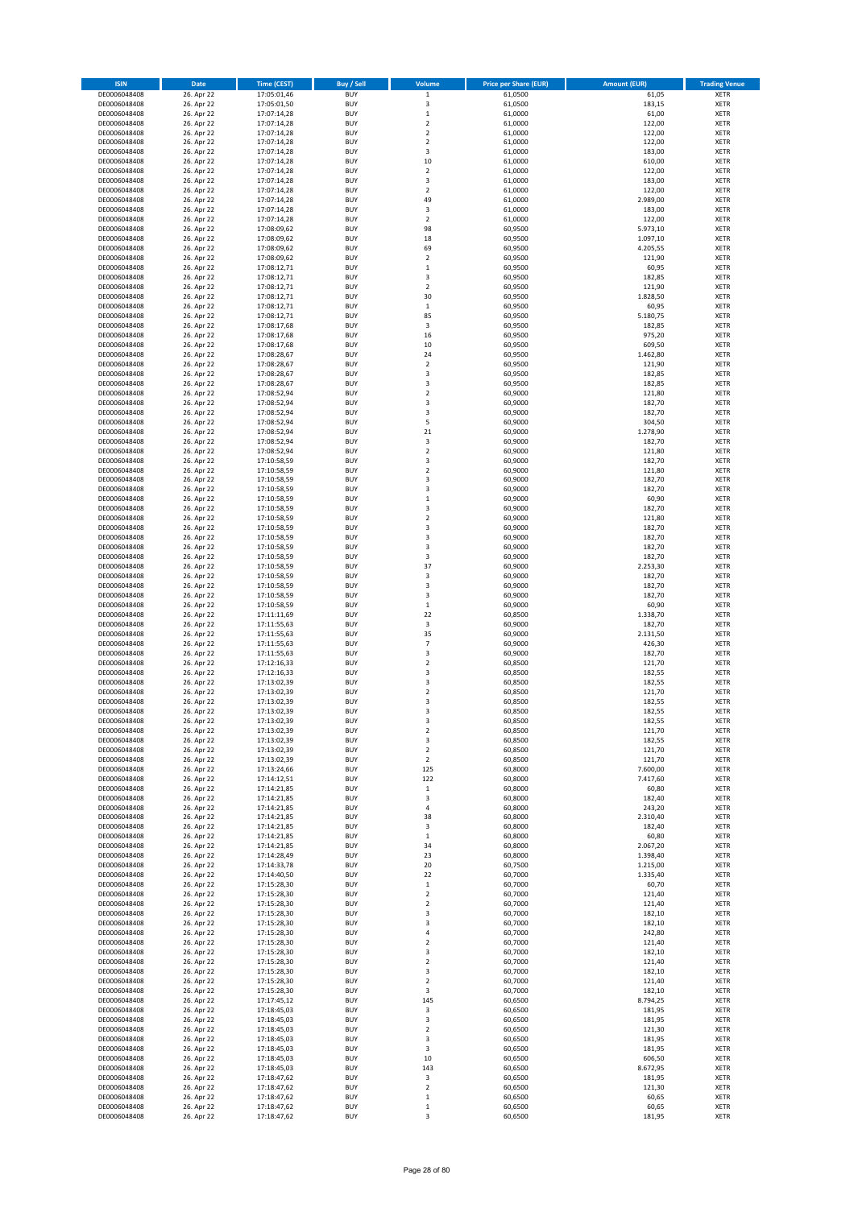| <b>ISIN</b>                  | Date                     | <b>Time (CEST)</b>         | <b>Buy / Sell</b>        | Volume                  | <b>Price per Share (EUR)</b> | <b>Amount (EUR)</b>  | <b>Trading Venue</b>       |
|------------------------------|--------------------------|----------------------------|--------------------------|-------------------------|------------------------------|----------------------|----------------------------|
| DE0006048408                 | 26. Apr 22               | 17:05:01,46                | <b>BUY</b>               | $\mathbf 1$             | 61,0500                      | 61,05                | <b>XETR</b>                |
| DE0006048408                 | 26. Apr 22               | 17:05:01,50                | <b>BUY</b>               | 3                       | 61,0500                      | 183,15               | <b>XETR</b>                |
| DE0006048408<br>DE0006048408 | 26. Apr 22<br>26. Apr 22 | 17:07:14,28<br>17:07:14,28 | <b>BUY</b><br><b>BUY</b> | $\,$ 1<br>$\mathbf 2$   | 61,0000<br>61,0000           | 61,00<br>122,00      | <b>XETR</b><br><b>XETR</b> |
| DE0006048408                 | 26. Apr 22               | 17:07:14,28                | <b>BUY</b>               | $\mathbf 2$             | 61,0000                      | 122,00               | <b>XETR</b>                |
| DE0006048408                 | 26. Apr 22               | 17:07:14,28                | <b>BUY</b>               | $\overline{2}$          | 61,0000                      | 122,00               | <b>XETR</b>                |
| DE0006048408                 | 26. Apr 22               | 17:07:14,28                | <b>BUY</b>               | 3                       | 61,0000                      | 183,00               | <b>XETR</b>                |
| DE0006048408                 | 26. Apr 22               | 17:07:14,28                | <b>BUY</b>               | 10                      | 61,0000                      | 610,00               | <b>XETR</b>                |
| DE0006048408<br>DE0006048408 | 26. Apr 22<br>26. Apr 22 | 17:07:14,28                | <b>BUY</b><br><b>BUY</b> | $\mathbf 2$<br>3        | 61,0000<br>61,0000           | 122,00<br>183,00     | XETR<br><b>XETR</b>        |
| DE0006048408                 | 26. Apr 22               | 17:07:14,28<br>17:07:14,28 | <b>BUY</b>               | $\overline{2}$          | 61,0000                      | 122,00               | XETR                       |
| DE0006048408                 | 26. Apr 22               | 17:07:14,28                | <b>BUY</b>               | 49                      | 61,0000                      | 2.989,00             | <b>XETR</b>                |
| DE0006048408                 | 26. Apr 22               | 17:07:14,28                | <b>BUY</b>               | 3                       | 61,0000                      | 183,00               | XETR                       |
| DE0006048408                 | 26. Apr 22               | 17:07:14,28                | <b>BUY</b>               | $\overline{2}$          | 61,0000                      | 122,00               | <b>XETR</b>                |
| DE0006048408                 | 26. Apr 22               | 17:08:09,62                | <b>BUY</b>               | 98                      | 60,9500                      | 5.973,10             | XETR                       |
| DE0006048408<br>DE0006048408 | 26. Apr 22<br>26. Apr 22 | 17:08:09,62<br>17:08:09,62 | <b>BUY</b><br><b>BUY</b> | 18<br>69                | 60,9500<br>60,9500           | 1.097,10<br>4.205,55 | <b>XETR</b><br>XETR        |
| DE0006048408                 | 26. Apr 22               | 17:08:09,62                | <b>BUY</b>               | $\overline{2}$          | 60,9500                      | 121,90               | <b>XETR</b>                |
| DE0006048408                 | 26. Apr 22               | 17:08:12,71                | <b>BUY</b>               | $\,1\,$                 | 60,9500                      | 60,95                | XETR                       |
| DE0006048408                 | 26. Apr 22               | 17:08:12,71                | <b>BUY</b>               | 3                       | 60,9500                      | 182,85               | <b>XETR</b>                |
| DE0006048408<br>DE0006048408 | 26. Apr 22<br>26. Apr 22 | 17:08:12,71<br>17:08:12,71 | <b>BUY</b><br><b>BUY</b> | $\overline{2}$<br>30    | 60,9500<br>60,9500           | 121,90<br>1.828,50   | <b>XETR</b><br><b>XETR</b> |
| DE0006048408                 | 26. Apr 22               | 17:08:12,71                | <b>BUY</b>               | $\,1\,$                 | 60,9500                      | 60,95                | <b>XETR</b>                |
| DE0006048408                 | 26. Apr 22               | 17:08:12,71                | <b>BUY</b>               | 85                      | 60,9500                      | 5.180,75             | <b>XETR</b>                |
| DE0006048408                 | 26. Apr 22               | 17:08:17,68                | <b>BUY</b>               | 3                       | 60,9500                      | 182,85               | <b>XETR</b>                |
| DE0006048408                 | 26. Apr 22               | 17:08:17,68                | <b>BUY</b>               | 16                      | 60,9500                      | 975,20               | <b>XETR</b>                |
| DE0006048408                 | 26. Apr 22               | 17:08:17,68                | <b>BUY</b>               | 10                      | 60,9500                      | 609,50               | <b>XETR</b>                |
| DE0006048408<br>DE0006048408 | 26. Apr 22<br>26. Apr 22 | 17:08:28,67<br>17:08:28,67 | <b>BUY</b><br><b>BUY</b> | 24<br>$\boldsymbol{2}$  | 60,9500<br>60,9500           | 1.462,80<br>121,90   | <b>XETR</b><br><b>XETR</b> |
| DE0006048408                 | 26. Apr 22               | 17:08:28,67                | <b>BUY</b>               | 3                       | 60,9500                      | 182,85               | <b>XETR</b>                |
| DE0006048408                 | 26. Apr 22               | 17:08:28,67                | <b>BUY</b>               | 3                       | 60,9500                      | 182,85               | <b>XETR</b>                |
| DE0006048408                 | 26. Apr 22               | 17:08:52,94                | <b>BUY</b>               | $\boldsymbol{2}$        | 60,9000                      | 121,80               | <b>XETR</b>                |
| DE0006048408                 | 26. Apr 22               | 17:08:52,94                | <b>BUY</b><br><b>BUY</b> | 3<br>3                  | 60,9000                      | 182,70<br>182,70     | <b>XETR</b><br>XETR        |
| DE0006048408<br>DE0006048408 | 26. Apr 22<br>26. Apr 22 | 17:08:52,94<br>17:08:52,94 | <b>BUY</b>               | 5                       | 60,9000<br>60,9000           | 304,50               | <b>XETR</b>                |
| DE0006048408                 | 26. Apr 22               | 17:08:52,94                | <b>BUY</b>               | 21                      | 60,9000                      | 1.278,90             | XETR                       |
| DE0006048408                 | 26. Apr 22               | 17:08:52,94                | <b>BUY</b>               | 3                       | 60,9000                      | 182,70               | <b>XETR</b>                |
| DE0006048408                 | 26. Apr 22               | 17:08:52,94                | <b>BUY</b>               | $\mathbf 2$             | 60,9000                      | 121,80               | XETR                       |
| DE0006048408                 | 26. Apr 22               | 17:10:58,59                | <b>BUY</b>               | 3                       | 60,9000                      | 182,70               | <b>XETR</b>                |
| DE0006048408<br>DE0006048408 | 26. Apr 22<br>26. Apr 22 | 17:10:58,59<br>17:10:58,59 | <b>BUY</b><br><b>BUY</b> | $\overline{2}$<br>3     | 60,9000<br>60,9000           | 121,80<br>182,70     | <b>XETR</b><br><b>XETR</b> |
| DE0006048408                 | 26. Apr 22               | 17:10:58,59                | <b>BUY</b>               | 3                       | 60,9000                      | 182,70               | <b>XETR</b>                |
| DE0006048408                 | 26. Apr 22               | 17:10:58,59                | <b>BUY</b>               | $\,1\,$                 | 60,9000                      | 60,90                | <b>XETR</b>                |
| DE0006048408                 | 26. Apr 22               | 17:10:58,59                | <b>BUY</b>               | $\overline{\mathbf{3}}$ | 60,9000                      | 182,70               | <b>XETR</b>                |
| DE0006048408                 | 26. Apr 22               | 17:10:58,59                | <b>BUY</b>               | $\overline{2}$          | 60,9000                      | 121,80               | <b>XETR</b>                |
| DE0006048408                 | 26. Apr 22               | 17:10:58,59                | <b>BUY</b>               | 3                       | 60,9000                      | 182,70               | XETR                       |
| DE0006048408<br>DE0006048408 | 26. Apr 22<br>26. Apr 22 | 17:10:58,59<br>17:10:58,59 | <b>BUY</b><br><b>BUY</b> | 3<br>3                  | 60,9000<br>60,9000           | 182,70<br>182,70     | <b>XETR</b><br><b>XETR</b> |
| DE0006048408                 | 26. Apr 22               | 17:10:58,59                | <b>BUY</b>               | 3                       | 60,9000                      | 182,70               | <b>XETR</b>                |
| DE0006048408                 | 26. Apr 22               | 17:10:58,59                | <b>BUY</b>               | 37                      | 60,9000                      | 2.253,30             | <b>XETR</b>                |
| DE0006048408                 | 26. Apr 22               | 17:10:58,59                | <b>BUY</b>               | 3                       | 60,9000                      | 182,70               | <b>XETR</b>                |
| DE0006048408                 | 26. Apr 22               | 17:10:58,59                | <b>BUY</b><br><b>BUY</b> | 3<br>3                  | 60,9000<br>60,9000           | 182,70<br>182,70     | <b>XETR</b><br><b>XETR</b> |
| DE0006048408<br>DE0006048408 | 26. Apr 22<br>26. Apr 22 | 17:10:58,59<br>17:10:58,59 | <b>BUY</b>               | $\,$ 1                  | 60,9000                      | 60,90                | <b>XETR</b>                |
| DE0006048408                 | 26. Apr 22               | 17:11:11,69                | <b>BUY</b>               | 22                      | 60,8500                      | 1.338,70             | <b>XETR</b>                |
| DE0006048408                 | 26. Apr 22               | 17:11:55,63                | <b>BUY</b>               | 3                       | 60,9000                      | 182,70               | <b>XETR</b>                |
| DE0006048408                 | 26. Apr 22               | 17:11:55,63                | <b>BUY</b>               | 35                      | 60,9000                      | 2.131,50             | <b>XETR</b>                |
| DE0006048408                 | 26. Apr 22<br>26. Apr 22 | 17:11:55,63                | <b>BUY</b><br><b>BUY</b> | $\overline{7}$<br>3     | 60,9000<br>60,9000           | 426,30<br>182,70     | <b>XETR</b><br><b>XETR</b> |
| DE0006048408<br>DE0006048408 | 26. Apr 22               | 17:11:55,63<br>17:12:16,33 | <b>BUY</b>               | $\overline{2}$          | 60,8500                      | 121,70               | <b>XETR</b>                |
| DE0006048408                 | 26. Apr 22               | 17:12:16,33                | <b>BUY</b>               | 3                       | 60,8500                      | 182,55               | XETR                       |
| DE0006048408                 | 26. Apr 22               | 17:13:02,39                | <b>BUY</b>               | 3                       | 60,8500                      | 182,55               | <b>XETR</b>                |
| DE0006048408                 | 26. Apr 22               | 17:13:02,39                | <b>BUY</b>               | $\sqrt{2}$              | 60,8500                      | 121,70               | <b>XETR</b>                |
| DE0006048408<br>DE0006048408 | 26. Apr 22<br>26. Apr 22 | 17:13:02,39<br>17:13:02,39 | <b>BUY</b><br><b>BUY</b> | 3<br>3                  | 60,8500<br>60,8500           | 182,55<br>182,55     | <b>XETR</b><br><b>XETR</b> |
| DE0006048408                 | 26. Apr 22               | 17:13:02,39                | <b>BUY</b>               | 3                       | 60,8500                      | 182,55               | XETR                       |
| DE0006048408                 | 26. Apr 22               | 17:13:02,39                | <b>BUY</b>               | $\mathbf 2$             | 60,8500                      | 121,70               | XETR                       |
| DE0006048408                 | 26. Apr 22               | 17:13:02,39                | <b>BUY</b>               | 3                       | 60,8500                      | 182,55               | XETR                       |
| DE0006048408                 | 26. Apr 22               | 17:13:02,39                | <b>BUY</b>               | $\boldsymbol{2}$        | 60,8500                      | 121,70               | XETR                       |
| DE0006048408<br>DE0006048408 | 26. Apr 22<br>26. Apr 22 | 17:13:02,39<br>17:13:24,66 | <b>BUY</b><br><b>BUY</b> | $\overline{2}$<br>125   | 60,8500<br>60,8000           | 121,70<br>7.600,00   | XETR<br>XETR               |
| DE0006048408                 | 26. Apr 22               | 17:14:12,51                | <b>BUY</b>               | 122                     | 60,8000                      | 7.417,60             | <b>XETR</b>                |
| DE0006048408                 | 26. Apr 22               | 17:14:21,85                | <b>BUY</b>               | $\mathbf 1$             | 60,8000                      | 60,80                | <b>XETR</b>                |
| DE0006048408                 | 26. Apr 22               | 17:14:21,85                | <b>BUY</b>               | 3                       | 60,8000                      | 182,40               | <b>XETR</b>                |
| DE0006048408                 | 26. Apr 22               | 17:14:21,85                | <b>BUY</b>               | $\pmb{4}$               | 60,8000                      | 243,20               | XETR                       |
| DE0006048408<br>DE0006048408 | 26. Apr 22<br>26. Apr 22 | 17:14:21,85<br>17:14:21,85 | <b>BUY</b><br><b>BUY</b> | 38<br>3                 | 60,8000<br>60,8000           | 2.310,40<br>182,40   | <b>XETR</b><br><b>XETR</b> |
| DE0006048408                 | 26. Apr 22               | 17:14:21,85                | <b>BUY</b>               | $\,$ 1                  | 60,8000                      | 60,80                | XETR                       |
| DE0006048408                 | 26. Apr 22               | 17:14:21,85                | <b>BUY</b>               | 34                      | 60,8000                      | 2.067,20             | XETR                       |
| DE0006048408                 | 26. Apr 22               | 17:14:28,49                | <b>BUY</b>               | 23                      | 60,8000                      | 1.398,40             | <b>XETR</b>                |
| DE0006048408                 | 26. Apr 22               | 17:14:33,78<br>17:14:40,50 | <b>BUY</b>               | 20                      | 60,7500                      | 1.215,00             | <b>XETR</b>                |
| DE0006048408<br>DE0006048408 | 26. Apr 22<br>26. Apr 22 | 17:15:28,30                | <b>BUY</b><br><b>BUY</b> | 22<br>$\mathbf 1$       | 60,7000<br>60,7000           | 1.335,40<br>60,70    | <b>XETR</b><br><b>XETR</b> |
| DE0006048408                 | 26. Apr 22               | 17:15:28,30                | <b>BUY</b>               | $\overline{2}$          | 60,7000                      | 121,40               | <b>XETR</b>                |
| DE0006048408                 | 26. Apr 22               | 17:15:28,30                | <b>BUY</b>               | $\boldsymbol{2}$        | 60,7000                      | 121,40               | <b>XETR</b>                |
| DE0006048408                 | 26. Apr 22               | 17:15:28,30                | <b>BUY</b>               | 3                       | 60,7000                      | 182,10               | <b>XETR</b>                |
| DE0006048408                 | 26. Apr 22               | 17:15:28,30                | <b>BUY</b><br><b>BUY</b> | 3                       | 60,7000<br>60,7000           | 182,10               | XETR<br>XETR               |
| DE0006048408<br>DE0006048408 | 26. Apr 22<br>26. Apr 22 | 17:15:28,30<br>17:15:28,30 | <b>BUY</b>               | 4<br>$\overline{2}$     | 60,7000                      | 242,80<br>121,40     | XETR                       |
| DE0006048408                 | 26. Apr 22               | 17:15:28,30                | <b>BUY</b>               | 3                       | 60,7000                      | 182,10               | XETR                       |
| DE0006048408                 | 26. Apr 22               | 17:15:28,30                | <b>BUY</b>               | $\overline{2}$          | 60,7000                      | 121,40               | <b>XETR</b>                |
| DE0006048408                 | 26. Apr 22               | 17:15:28,30                | <b>BUY</b>               | 3                       | 60,7000                      | 182,10               | XETR                       |
| DE0006048408                 | 26. Apr 22               | 17:15:28,30                | <b>BUY</b>               | $\overline{2}$          | 60,7000                      | 121,40               | XETR                       |
| DE0006048408<br>DE0006048408 | 26. Apr 22<br>26. Apr 22 | 17:15:28,30<br>17:17:45,12 | <b>BUY</b><br><b>BUY</b> | 3<br>145                | 60,7000<br>60,6500           | 182,10<br>8.794,25   | XETR<br><b>XETR</b>        |
| DE0006048408                 | 26. Apr 22               | 17:18:45,03                | <b>BUY</b>               | 3                       | 60,6500                      | 181,95               | XETR                       |
| DE0006048408                 | 26. Apr 22               | 17:18:45,03                | <b>BUY</b>               | 3                       | 60,6500                      | 181,95               | XETR                       |
| DE0006048408                 | 26. Apr 22               | 17:18:45,03                | <b>BUY</b>               | $\boldsymbol{2}$        | 60,6500                      | 121,30               | XETR                       |
| DE0006048408                 | 26. Apr 22               | 17:18:45,03                | <b>BUY</b><br><b>BUY</b> | 3<br>3                  | 60,6500<br>60,6500           | 181,95<br>181,95     | <b>XETR</b><br><b>XETR</b> |
| DE0006048408<br>DE0006048408 | 26. Apr 22<br>26. Apr 22 | 17:18:45,03<br>17:18:45,03 | <b>BUY</b>               | 10                      | 60,6500                      | 606,50               | <b>XETR</b>                |
| DE0006048408                 | 26. Apr 22               | 17:18:45,03                | <b>BUY</b>               | 143                     | 60,6500                      | 8.672,95             | <b>XETR</b>                |
| DE0006048408                 | 26. Apr 22               | 17:18:47,62                | <b>BUY</b>               | 3                       | 60,6500                      | 181,95               | <b>XETR</b>                |
| DE0006048408                 | 26. Apr 22               | 17:18:47,62                | <b>BUY</b>               | $\mathbf 2$             | 60,6500                      | 121,30               | <b>XETR</b>                |
| DE0006048408<br>DE0006048408 | 26. Apr 22<br>26. Apr 22 | 17:18:47,62<br>17:18:47,62 | <b>BUY</b><br><b>BUY</b> | $\,$ 1<br>$\mathbf 1$   | 60,6500<br>60,6500           | 60,65<br>60,65       | <b>XETR</b><br><b>XETR</b> |
| DE0006048408                 | 26. Apr 22               | 17:18:47,62                | <b>BUY</b>               | 3                       | 60,6500                      | 181,95               | <b>XETR</b>                |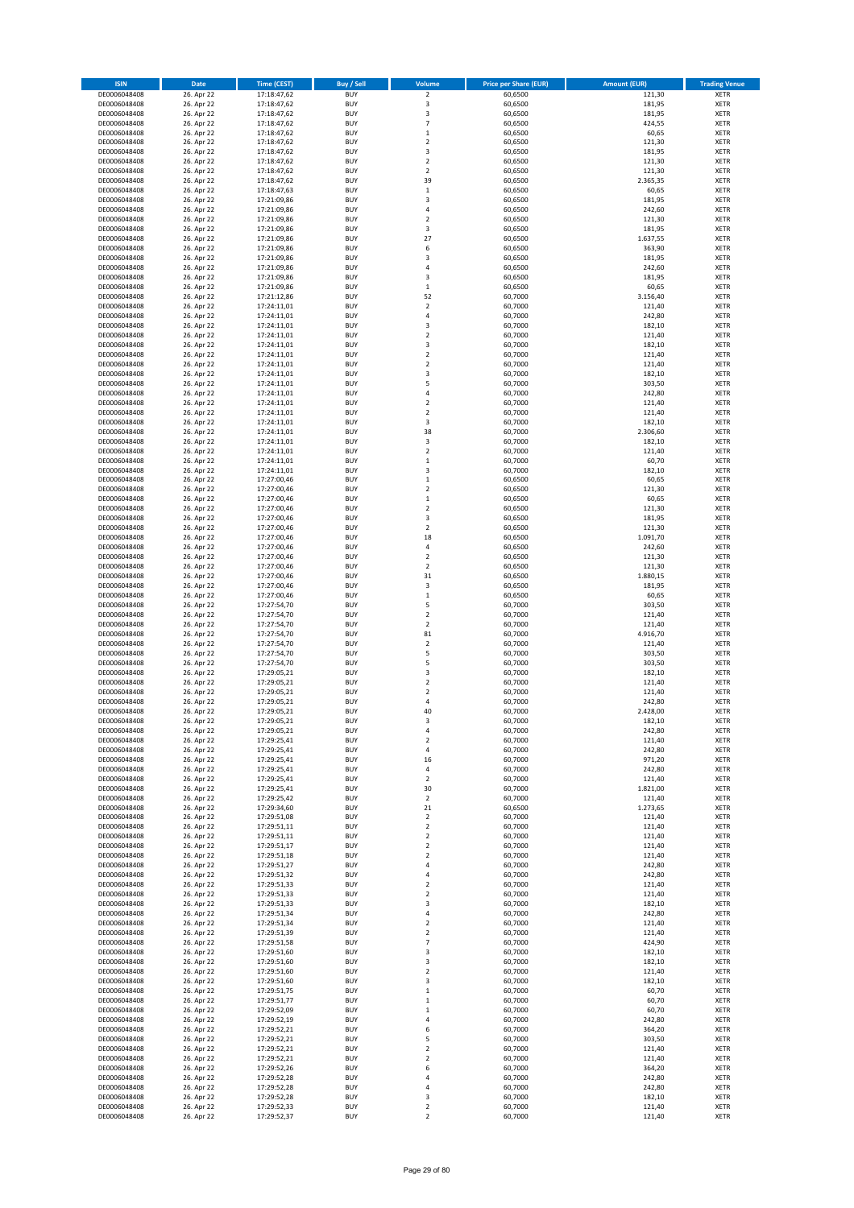| <b>ISIN</b>                  | Date                     | <b>Time (CEST)</b>         | <b>Buy / Sell</b>        | Volume                               | <b>Price per Share (EUR)</b> | <b>Amount (EUR)</b> | <b>Trading Venue</b>       |
|------------------------------|--------------------------|----------------------------|--------------------------|--------------------------------------|------------------------------|---------------------|----------------------------|
| DE0006048408                 | 26. Apr 22               | 17:18:47,62                | <b>BUY</b>               | $\overline{2}$                       | 60,6500                      | 121,30              | <b>XETR</b>                |
| DE0006048408                 | 26. Apr 22               | 17:18:47,62                | <b>BUY</b>               | $\mathsf 3$<br>3                     | 60,6500                      | 181,95              | <b>XETR</b>                |
| DE0006048408<br>DE0006048408 | 26. Apr 22<br>26. Apr 22 | 17:18:47,62<br>17:18:47,62 | <b>BUY</b><br><b>BUY</b> | $\overline{7}$                       | 60,6500<br>60,6500           | 181,95<br>424,55    | <b>XETR</b><br><b>XETR</b> |
| DE0006048408                 | 26. Apr 22               | 17:18:47,62                | <b>BUY</b>               | $\,$ 1                               | 60,6500                      | 60,65               | <b>XETR</b>                |
| DE0006048408                 | 26. Apr 22               | 17:18:47,62                | <b>BUY</b>               | $\overline{2}$                       | 60,6500                      | 121,30              | <b>XETR</b>                |
| DE0006048408                 | 26. Apr 22               | 17:18:47,62                | <b>BUY</b>               | 3                                    | 60,6500                      | 181,95              | <b>XETR</b>                |
| DE0006048408                 | 26. Apr 22               | 17:18:47,62                | <b>BUY</b>               | $\overline{2}$                       | 60,6500                      | 121,30              | <b>XETR</b>                |
| DE0006048408                 | 26. Apr 22               | 17:18:47,62                | <b>BUY</b><br><b>BUY</b> | $\boldsymbol{2}$<br>39               | 60,6500                      | 121,30              | XETR<br><b>XETR</b>        |
| DE0006048408<br>DE0006048408 | 26. Apr 22<br>26. Apr 22 | 17:18:47,62<br>17:18:47,63 | <b>BUY</b>               | $\,$ 1                               | 60,6500<br>60,6500           | 2.365,35<br>60,65   | XETR                       |
| DE0006048408                 | 26. Apr 22               | 17:21:09,86                | <b>BUY</b>               | 3                                    | 60,6500                      | 181,95              | <b>XETR</b>                |
| DE0006048408                 | 26. Apr 22               | 17:21:09,86                | <b>BUY</b>               | 4                                    | 60,6500                      | 242,60              | XETR                       |
| DE0006048408                 | 26. Apr 22               | 17:21:09,86                | <b>BUY</b>               | $\overline{2}$                       | 60,6500                      | 121,30              | <b>XETR</b>                |
| DE0006048408                 | 26. Apr 22               | 17:21:09,86                | <b>BUY</b>               | 3                                    | 60,6500                      | 181,95              | XETR                       |
| DE0006048408                 | 26. Apr 22<br>26. Apr 22 | 17:21:09,86                | <b>BUY</b>               | 27                                   | 60,6500                      | 1.637,55            | <b>XETR</b>                |
| DE0006048408<br>DE0006048408 | 26. Apr 22               | 17:21:09,86<br>17:21:09,86 | <b>BUY</b><br><b>BUY</b> | 6<br>3                               | 60,6500<br>60,6500           | 363,90<br>181,95    | XETR<br><b>XETR</b>        |
| DE0006048408                 | 26. Apr 22               | 17:21:09,86                | <b>BUY</b>               | $\overline{4}$                       | 60,6500                      | 242,60              | XETR                       |
| DE0006048408                 | 26. Apr 22               | 17:21:09,86                | <b>BUY</b>               | 3                                    | 60,6500                      | 181,95              | <b>XETR</b>                |
| DE0006048408                 | 26. Apr 22               | 17:21:09,86                | <b>BUY</b>               | $\,$ 1                               | 60,6500                      | 60,65               | <b>XETR</b>                |
| DE0006048408                 | 26. Apr 22               | 17:21:12,86                | <b>BUY</b>               | 52                                   | 60,7000                      | 3.156,40            | <b>XETR</b>                |
| DE0006048408                 | 26. Apr 22<br>26. Apr 22 | 17:24:11,01                | <b>BUY</b><br><b>BUY</b> | $\overline{2}$<br>$\sqrt{4}$         | 60,7000<br>60,7000           | 121,40<br>242,80    | <b>XETR</b><br><b>XETR</b> |
| DE0006048408<br>DE0006048408 | 26. Apr 22               | 17:24:11,01<br>17:24:11,01 | <b>BUY</b>               | 3                                    | 60,7000                      | 182,10              | <b>XETR</b>                |
| DE0006048408                 | 26. Apr 22               | 17:24:11,01                | <b>BUY</b>               | $\overline{2}$                       | 60,7000                      | 121,40              | <b>XETR</b>                |
| DE0006048408                 | 26. Apr 22               | 17:24:11,01                | <b>BUY</b>               | 3                                    | 60,7000                      | 182,10              | <b>XETR</b>                |
| DE0006048408                 | 26. Apr 22               | 17:24:11,01                | <b>BUY</b>               | $\mathbf 2$                          | 60,7000                      | 121,40              | <b>XETR</b>                |
| DE0006048408                 | 26. Apr 22               | 17:24:11,01                | <b>BUY</b>               | $\boldsymbol{2}$                     | 60,7000                      | 121,40              | <b>XETR</b>                |
| DE0006048408                 | 26. Apr 22               | 17:24:11,01                | <b>BUY</b><br><b>BUY</b> | 3<br>5                               | 60,7000                      | 182,10              | <b>XETR</b><br><b>XETR</b> |
| DE0006048408<br>DE0006048408 | 26. Apr 22<br>26. Apr 22 | 17:24:11,01<br>17:24:11,01 | <b>BUY</b>               | 4                                    | 60,7000<br>60,7000           | 303,50<br>242,80    | <b>XETR</b>                |
| DE0006048408                 | 26. Apr 22               | 17:24:11,01                | <b>BUY</b>               | $\overline{2}$                       | 60,7000                      | 121,40              | <b>XETR</b>                |
| DE0006048408                 | 26. Apr 22               | 17:24:11,01                | <b>BUY</b>               | $\boldsymbol{2}$                     | 60,7000                      | 121,40              | XETR                       |
| DE0006048408                 | 26. Apr 22               | 17:24:11,01                | <b>BUY</b>               | 3                                    | 60,7000                      | 182,10              | <b>XETR</b>                |
| DE0006048408                 | 26. Apr 22               | 17:24:11,01                | <b>BUY</b>               | 38                                   | 60,7000                      | 2.306,60            | XETR                       |
| DE0006048408                 | 26. Apr 22               | 17:24:11,01                | <b>BUY</b><br><b>BUY</b> | 3                                    | 60,7000                      | 182,10<br>121,40    | <b>XETR</b>                |
| DE0006048408<br>DE0006048408 | 26. Apr 22<br>26. Apr 22 | 17:24:11,01<br>17:24:11,01 | <b>BUY</b>               | $\boldsymbol{2}$<br>$\,1\,$          | 60,7000<br>60,7000           | 60,70               | XETR<br><b>XETR</b>        |
| DE0006048408                 | 26. Apr 22               | 17:24:11,01                | <b>BUY</b>               | $\overline{\mathbf{3}}$              | 60,7000                      | 182,10              | <b>XETR</b>                |
| DE0006048408                 | 26. Apr 22               | 17:27:00,46                | <b>BUY</b>               | $\,1\,$                              | 60,6500                      | 60,65               | <b>XETR</b>                |
| DE0006048408                 | 26. Apr 22               | 17:27:00,46                | <b>BUY</b>               | $\overline{2}$                       | 60,6500                      | 121,30              | <b>XETR</b>                |
| DE0006048408                 | 26. Apr 22               | 17:27:00,46                | <b>BUY</b>               | $\,1\,$                              | 60,6500                      | 60,65               | <b>XETR</b>                |
| DE0006048408                 | 26. Apr 22               | 17:27:00,46                | <b>BUY</b><br><b>BUY</b> | $\overline{2}$<br>3                  | 60,6500                      | 121,30              | <b>XETR</b><br><b>XETR</b> |
| DE0006048408<br>DE0006048408 | 26. Apr 22<br>26. Apr 22 | 17:27:00,46<br>17:27:00,46 | <b>BUY</b>               | $\boldsymbol{2}$                     | 60,6500<br>60,6500           | 181,95<br>121,30    | XETR                       |
| DE0006048408                 | 26. Apr 22               | 17:27:00,46                | <b>BUY</b>               | 18                                   | 60,6500                      | 1.091,70            | <b>XETR</b>                |
| DE0006048408                 | 26. Apr 22               | 17:27:00,46                | <b>BUY</b>               | $\sqrt{4}$                           | 60,6500                      | 242,60              | <b>XETR</b>                |
| DE0006048408                 | 26. Apr 22               | 17:27:00,46                | <b>BUY</b>               | $\boldsymbol{2}$                     | 60,6500                      | 121,30              | <b>XETR</b>                |
| DE0006048408                 | 26. Apr 22               | 17:27:00,46                | <b>BUY</b>               | $\boldsymbol{2}$                     | 60,6500                      | 121,30              | <b>XETR</b>                |
| DE0006048408<br>DE0006048408 | 26. Apr 22<br>26. Apr 22 | 17:27:00,46<br>17:27:00,46 | <b>BUY</b><br><b>BUY</b> | 31<br>3                              | 60,6500<br>60,6500           | 1.880,15<br>181,95  | <b>XETR</b><br><b>XETR</b> |
| DE0006048408                 | 26. Apr 22               | 17:27:00,46                | <b>BUY</b>               | $\,$ 1                               | 60,6500                      | 60,65               | <b>XETR</b>                |
| DE0006048408                 | 26. Apr 22               | 17:27:54,70                | <b>BUY</b>               | 5                                    | 60,7000                      | 303,50              | <b>XETR</b>                |
| DE0006048408                 | 26. Apr 22               | 17:27:54,70                | <b>BUY</b>               | $\mathbf 2$                          | 60,7000                      | 121,40              | <b>XETR</b>                |
| DE0006048408                 | 26. Apr 22               | 17:27:54,70                | <b>BUY</b>               | $\overline{2}$                       | 60,7000                      | 121,40              | <b>XETR</b>                |
| DE0006048408                 | 26. Apr 22               | 17:27:54,70                | <b>BUY</b>               | 81                                   | 60,7000                      | 4.916,70            | <b>XETR</b>                |
| DE0006048408                 | 26. Apr 22<br>26. Apr 22 | 17:27:54,70                | <b>BUY</b><br><b>BUY</b> | $\overline{2}$<br>5                  | 60,7000<br>60,7000           | 121,40<br>303,50    | <b>XETR</b><br><b>XETR</b> |
| DE0006048408<br>DE0006048408 | 26. Apr 22               | 17:27:54,70<br>17:27:54,70 | <b>BUY</b>               | 5                                    | 60,7000                      | 303,50              | <b>XETR</b>                |
| DE0006048408                 | 26. Apr 22               | 17:29:05,21                | <b>BUY</b>               | 3                                    | 60,7000                      | 182,10              | XETR                       |
| DE0006048408                 | 26. Apr 22               | 17:29:05,21                | <b>BUY</b>               | $\overline{2}$                       | 60,7000                      | 121,40              | <b>XETR</b>                |
| DE0006048408                 | 26. Apr 22               | 17:29:05,21                | <b>BUY</b>               | $\overline{\mathbf{c}}$              | 60,7000                      | 121,40              | XETR                       |
| DE0006048408                 | 26. Apr 22               | 17:29:05,21                | <b>BUY</b>               | 4                                    | 60,7000                      | 242,80              | <b>XETR</b>                |
| DE0006048408                 | 26. Apr 22<br>26. Apr 22 | 17:29:05,21                | <b>BUY</b><br><b>BUY</b> | 40<br>3                              | 60,7000                      | 2.428,00            | <b>XETR</b>                |
| DE0006048408<br>DE0006048408 | 26. Apr 22               | 17:29:05,21<br>17:29:05,21 | <b>BUY</b>               | 4                                    | 60,7000<br>60,7000           | 182,10<br>242,80    | XETR<br>XETR               |
| DE0006048408                 | 26. Apr 22               | 17:29:25,41                | <b>BUY</b>               | $\boldsymbol{2}$                     | 60,7000                      | 121,40              | XETR                       |
| DE0006048408                 | 26. Apr 22               | 17:29:25,41                | <b>BUY</b>               | 4                                    | 60,7000                      | 242,80              | <b>XETR</b>                |
| DE0006048408                 | 26. Apr 22               | 17:29:25,41                | <b>BUY</b>               | 16                                   | 60,7000                      | 971,20              | <b>XETR</b>                |
| DE0006048408                 | 26. Apr 22               | 17:29:25,41                | <b>BUY</b>               | 4                                    | 60,7000                      | 242,80              | XETR                       |
| DE0006048408<br>DE0006048408 | 26. Apr 22<br>26. Apr 22 | 17:29:25,41<br>17:29:25,41 | <b>BUY</b><br><b>BUY</b> | $\overline{2}$<br>30                 | 60,7000<br>60,7000           | 121,40<br>1.821,00  | <b>XETR</b><br><b>XETR</b> |
| DE0006048408                 | 26. Apr 22               | 17:29:25,42                | <b>BUY</b>               | $\boldsymbol{2}$                     | 60,7000                      | 121,40              | <b>XETR</b>                |
| DE0006048408                 | 26. Apr 22               | 17:29:34,60                | <b>BUY</b>               | 21                                   | 60,6500                      | 1.273,65            | XETR                       |
| DE0006048408                 | 26. Apr 22               | 17:29:51,08                | <b>BUY</b>               | $\boldsymbol{2}$                     | 60,7000                      | 121,40              | <b>XETR</b>                |
| DE0006048408                 | 26. Apr 22               | 17:29:51,11                | <b>BUY</b>               | $\boldsymbol{2}$                     | 60,7000                      | 121,40              | <b>XETR</b>                |
| DE0006048408<br>DE0006048408 | 26. Apr 22<br>26. Apr 22 | 17:29:51,11                | <b>BUY</b><br><b>BUY</b> | $\overline{2}$<br>$\mathbf 2$        | 60,7000<br>60,7000           | 121,40<br>121,40    | <b>XETR</b><br>XETR        |
| DE0006048408                 | 26. Apr 22               | 17:29:51,17<br>17:29:51,18 | <b>BUY</b>               | $\boldsymbol{2}$                     | 60,7000                      | 121,40              | <b>XETR</b>                |
| DE0006048408                 | 26. Apr 22               | 17:29:51,27                | <b>BUY</b>               | 4                                    | 60,7000                      | 242,80              | <b>XETR</b>                |
| DE0006048408                 | 26. Apr 22               | 17:29:51,32                | <b>BUY</b>               | 4                                    | 60,7000                      | 242,80              | <b>XETR</b>                |
| DE0006048408                 | 26. Apr 22               | 17:29:51,33                | <b>BUY</b>               | $\boldsymbol{2}$                     | 60,7000                      | 121,40              | <b>XETR</b>                |
| DE0006048408                 | 26. Apr 22               | 17:29:51,33                | <b>BUY</b>               | $\overline{2}$                       | 60,7000                      | 121,40              | <b>XETR</b>                |
| DE0006048408                 | 26. Apr 22               | 17:29:51,33                | <b>BUY</b>               | 3                                    | 60,7000                      | 182,10              | <b>XETR</b>                |
| DE0006048408<br>DE0006048408 | 26. Apr 22<br>26. Apr 22 | 17:29:51,34<br>17:29:51,34 | <b>BUY</b><br><b>BUY</b> | 4<br>$\boldsymbol{2}$                | 60,7000<br>60,7000           | 242,80<br>121,40    | <b>XETR</b><br>XETR        |
| DE0006048408                 | 26. Apr 22               | 17:29:51,39                | <b>BUY</b>               | $\overline{\mathbf{c}}$              | 60,7000                      | 121,40              | XETR                       |
| DE0006048408                 | 26. Apr 22               | 17:29:51,58                | <b>BUY</b>               | $\overline{7}$                       | 60,7000                      | 424,90              | XETR                       |
| DE0006048408                 | 26. Apr 22               | 17:29:51,60                | <b>BUY</b>               | 3                                    | 60,7000                      | 182,10              | XETR                       |
| DE0006048408                 | 26. Apr 22               | 17:29:51,60                | <b>BUY</b>               | 3                                    | 60,7000                      | 182,10              | <b>XETR</b>                |
| DE0006048408                 | 26. Apr 22               | 17:29:51,60                | <b>BUY</b>               | $\boldsymbol{2}$                     | 60,7000                      | 121,40              | XETR                       |
| DE0006048408<br>DE0006048408 | 26. Apr 22<br>26. Apr 22 | 17:29:51,60<br>17:29:51,75 | <b>BUY</b><br><b>BUY</b> | 3<br>$\,$ 1                          | 60,7000<br>60,7000           | 182,10<br>60,70     | XETR<br>XETR               |
| DE0006048408                 | 26. Apr 22               | 17:29:51,77                | <b>BUY</b>               | $\,1\,$                              | 60,7000                      | 60,70               | <b>XETR</b>                |
| DE0006048408                 | 26. Apr 22               | 17:29:52,09                | <b>BUY</b>               | $\,$ 1                               | 60,7000                      | 60,70               | XETR                       |
| DE0006048408                 | 26. Apr 22               | 17:29:52,19                | <b>BUY</b>               | $\sqrt{4}$                           | 60,7000                      | 242,80              | XETR                       |
| DE0006048408                 | 26. Apr 22               | 17:29:52,21                | <b>BUY</b>               | 6                                    | 60,7000                      | 364,20              | <b>XETR</b>                |
| DE0006048408                 | 26. Apr 22               | 17:29:52,21                | <b>BUY</b><br><b>BUY</b> | 5<br>$\boldsymbol{2}$                | 60,7000<br>60,7000           | 303,50              | <b>XETR</b>                |
| DE0006048408<br>DE0006048408 | 26. Apr 22<br>26. Apr 22 | 17:29:52,21<br>17:29:52,21 | <b>BUY</b>               | $\overline{2}$                       | 60,7000                      | 121,40<br>121,40    | <b>XETR</b><br><b>XETR</b> |
| DE0006048408                 | 26. Apr 22               | 17:29:52,26                | <b>BUY</b>               | 6                                    | 60,7000                      | 364,20              | <b>XETR</b>                |
| DE0006048408                 | 26. Apr 22               | 17:29:52,28                | <b>BUY</b>               | 4                                    | 60,7000                      | 242,80              | <b>XETR</b>                |
| DE0006048408                 | 26. Apr 22               | 17:29:52,28                | <b>BUY</b>               | $\pmb{4}$                            | 60,7000                      | 242,80              | <b>XETR</b>                |
| DE0006048408                 | 26. Apr 22               | 17:29:52,28                | <b>BUY</b>               | 3                                    | 60,7000                      | 182,10              | <b>XETR</b>                |
| DE0006048408<br>DE0006048408 | 26. Apr 22<br>26. Apr 22 | 17:29:52,33<br>17:29:52,37 | <b>BUY</b><br><b>BUY</b> | $\boldsymbol{2}$<br>$\boldsymbol{2}$ | 60,7000<br>60,7000           | 121,40<br>121,40    | <b>XETR</b><br><b>XETR</b> |
|                              |                          |                            |                          |                                      |                              |                     |                            |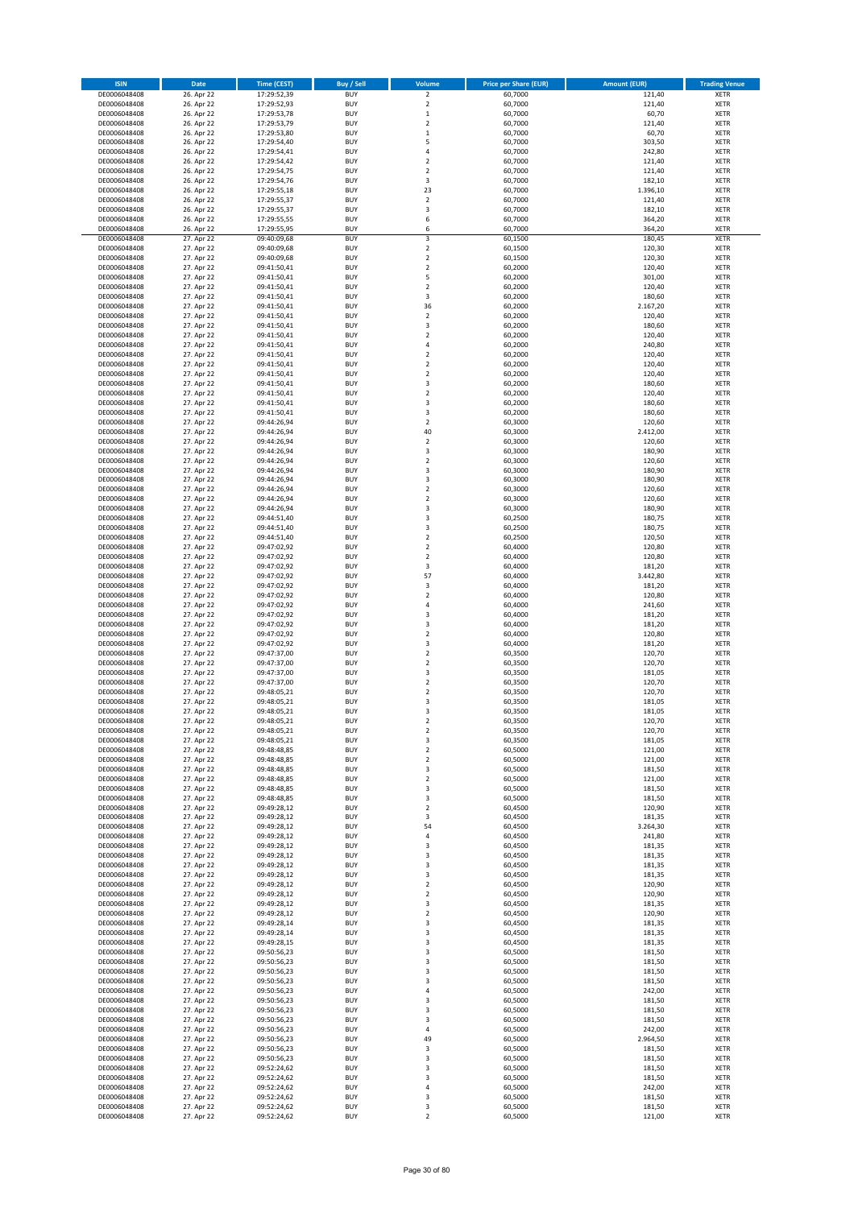| <b>ISIN</b>                  | Date                     | <b>Time (CEST)</b>         | Buy / Sell               | Volume                           | <b>Price per Share (EUR)</b> | <b>Amount (EUR)</b> | <b>Trading Venue</b>       |
|------------------------------|--------------------------|----------------------------|--------------------------|----------------------------------|------------------------------|---------------------|----------------------------|
|                              |                          |                            |                          |                                  |                              |                     |                            |
| DE0006048408                 | 26. Apr 22               | 17:29:52,39                | <b>BUY</b>               | $\overline{2}$                   | 60,7000                      | 121,40              | <b>XETR</b>                |
| DE0006048408                 | 26. Apr 22               | 17:29:52,93                | <b>BUY</b>               | $\overline{2}$                   | 60,7000                      | 121,40              | <b>XETR</b>                |
| DE0006048408<br>DE0006048408 | 26. Apr 22<br>26. Apr 22 | 17:29:53,78<br>17:29:53,79 | <b>BUY</b><br><b>BUY</b> | $\,$ 1<br>$\overline{2}$         | 60,7000<br>60,7000           | 60,70<br>121,40     | <b>XETR</b><br><b>XETR</b> |
| DE0006048408                 | 26. Apr 22               | 17:29:53,80                | <b>BUY</b>               | $\,$ 1                           | 60,7000                      | 60,70               | <b>XETR</b>                |
| DE0006048408                 | 26. Apr 22               | 17:29:54,40                | <b>BUY</b>               | 5                                | 60,7000                      | 303,50              | <b>XETR</b>                |
| DE0006048408                 | 26. Apr 22               | 17:29:54,41                | <b>BUY</b>               | $\overline{4}$                   | 60,7000                      | 242,80              | <b>XETR</b>                |
| DE0006048408                 | 26. Apr 22               | 17:29:54,42                | <b>BUY</b>               | $\overline{2}$                   | 60,7000                      | 121,40              | <b>XETR</b>                |
| DE0006048408                 | 26. Apr 22               | 17:29:54,75                | <b>BUY</b>               | $\overline{2}$                   | 60,7000                      | 121,40              | <b>XETR</b>                |
| DE0006048408                 | 26. Apr 22               | 17:29:54,76                | <b>BUY</b>               | 3                                | 60,7000                      | 182,10              | <b>XETR</b>                |
| DE0006048408                 | 26. Apr 22               | 17:29:55,18                | <b>BUY</b>               | 23                               | 60,7000                      | 1.396,10            | <b>XETR</b>                |
| DE0006048408                 | 26. Apr 22               | 17:29:55,37                | <b>BUY</b>               | $\boldsymbol{2}$                 | 60,7000                      | 121,40              | <b>XETR</b>                |
| DE0006048408                 | 26. Apr 22               | 17:29:55,37                | <b>BUY</b>               | 3                                | 60,7000                      | 182,10              | <b>XETR</b>                |
| DE0006048408                 | 26. Apr 22               | 17:29:55,55                | <b>BUY</b>               | 6                                | 60,7000                      | 364,20              | <b>XETR</b>                |
| DE0006048408                 | 26. Apr 22               | 17:29:55,95                | <b>BUY</b>               | 6                                | 60,7000                      | 364,20              | <b>XETR</b>                |
| DE0006048408                 | 27. Apr 22               | 09:40:09,68                | <b>BUY</b>               | 3                                | 60,1500                      | 180,45              | <b>XETR</b>                |
| DE0006048408                 | 27. Apr 22               | 09:40:09,68                | <b>BUY</b>               | $\overline{2}$                   | 60,1500                      | 120,30              | <b>XETR</b>                |
| DE0006048408                 | 27. Apr 22               | 09:40:09,68                | <b>BUY</b>               | $\overline{2}$                   | 60,1500                      | 120,30              | <b>XETR</b>                |
| DE0006048408                 | 27. Apr 22               | 09:41:50,41                | <b>BUY</b>               | $\boldsymbol{2}$                 | 60,2000                      | 120,40              | <b>XETR</b>                |
| DE0006048408                 | 27. Apr 22               | 09:41:50,41                | <b>BUY</b>               | 5                                | 60,2000                      | 301,00              | <b>XETR</b>                |
| DE0006048408                 | 27. Apr 22               | 09:41:50,41                | <b>BUY</b>               | $\overline{2}$                   | 60,2000                      | 120,40              | <b>XETR</b>                |
| DE0006048408                 | 27. Apr 22               | 09:41:50,41                | <b>BUY</b>               | 3                                | 60,2000                      | 180,60              | <b>XETR</b>                |
| DE0006048408                 | 27. Apr 22               | 09:41:50,41                | <b>BUY</b>               | 36                               | 60,2000                      | 2.167,20            | <b>XETR</b>                |
| DE0006048408                 | 27. Apr 22               | 09:41:50,41                | <b>BUY</b>               | $\boldsymbol{2}$                 | 60,2000                      | 120,40              | <b>XETR</b>                |
| DE0006048408                 | 27. Apr 22               | 09:41:50,41                | <b>BUY</b>               | 3                                | 60,2000                      | 180,60              | <b>XETR</b>                |
| DE0006048408                 | 27. Apr 22               | 09:41:50,41                | <b>BUY</b>               | $\boldsymbol{2}$                 | 60,2000                      | 120,40              | <b>XETR</b>                |
| DE0006048408                 | 27. Apr 22               | 09:41:50,41                | <b>BUY</b>               | 4                                | 60,2000                      | 240,80              | <b>XETR</b>                |
| DE0006048408                 | 27. Apr 22               | 09:41:50,41                | <b>BUY</b>               | $\mathbf 2$                      | 60,2000                      | 120,40              | <b>XETR</b>                |
| DE0006048408                 | 27. Apr 22               | 09:41:50,41                | <b>BUY</b>               | $\boldsymbol{2}$                 | 60,2000                      | 120,40              | <b>XETR</b>                |
| DE0006048408                 | 27. Apr 22               | 09:41:50,41                | <b>BUY</b>               | $\boldsymbol{2}$                 | 60,2000                      | 120,40              | <b>XETR</b>                |
| DE0006048408                 | 27. Apr 22               | 09:41:50,41                | <b>BUY</b>               | 3                                | 60,2000                      | 180,60              | <b>XETR</b>                |
| DE0006048408<br>DE0006048408 | 27. Apr 22<br>27. Apr 22 | 09:41:50,41<br>09:41:50,41 | <b>BUY</b><br><b>BUY</b> | $\overline{2}$<br>3              | 60,2000<br>60,2000           | 120,40<br>180,60    | <b>XETR</b><br><b>XETR</b> |
| DE0006048408                 | 27. Apr 22               | 09:41:50,41                | <b>BUY</b>               | 3                                | 60,2000                      | 180,60              | <b>XETR</b>                |
| DE0006048408                 | 27. Apr 22               | 09:44:26,94                | <b>BUY</b>               | $\overline{2}$                   | 60,3000                      | 120,60              | <b>XETR</b>                |
| DE0006048408                 | 27. Apr 22               | 09:44:26,94                | <b>BUY</b>               | 40                               | 60,3000                      | 2.412,00            | <b>XETR</b>                |
| DE0006048408                 | 27. Apr 22               | 09:44:26.94                | <b>BUY</b>               | $\overline{2}$                   | 60,3000                      | 120,60              | <b>XETR</b>                |
| DE0006048408                 | 27. Apr 22               | 09:44:26,94                | <b>BUY</b>               | $\mathsf 3$                      | 60,3000                      | 180,90              | <b>XETR</b>                |
| DE0006048408                 | 27. Apr 22               | 09:44:26.94                | <b>BUY</b>               | $\overline{2}$                   | 60,3000                      | 120,60              | <b>XETR</b>                |
| DE0006048408                 | 27. Apr 22               | 09:44:26,94                | <b>BUY</b>               | 3                                | 60,3000                      | 180,90              | <b>XETR</b>                |
| DE0006048408                 | 27. Apr 22               | 09:44:26,94                | <b>BUY</b>               | 3                                | 60,3000                      | 180,90              | <b>XETR</b>                |
| DE0006048408                 | 27. Apr 22               | 09:44:26,94                | <b>BUY</b>               | $\boldsymbol{2}$                 | 60,3000                      | 120,60              | <b>XETR</b>                |
| DE0006048408                 | 27. Apr 22               | 09:44:26,94                | <b>BUY</b>               | $\overline{2}$                   | 60,3000                      | 120,60              | <b>XETR</b>                |
| DE0006048408                 | 27. Apr 22               | 09:44:26,94                | <b>BUY</b>               | 3                                | 60,3000                      | 180,90              | <b>XETR</b>                |
| DE0006048408                 | 27. Apr 22               | 09:44:51,40                | <b>BUY</b>               | 3                                | 60,2500                      | 180,75              | <b>XETR</b>                |
| DE0006048408                 | 27. Apr 22               | 09:44:51,40                | <b>BUY</b>               | 3                                | 60,2500                      | 180,75              | <b>XETR</b>                |
| DE0006048408                 | 27. Apr 22               | 09:44:51,40                | <b>BUY</b>               | $\overline{2}$                   | 60,2500                      | 120,50              | <b>XETR</b>                |
| DE0006048408                 | 27. Apr 22               | 09:47:02,92                | <b>BUY</b>               | $\overline{2}$                   | 60,4000                      | 120,80              | <b>XETR</b>                |
| DE0006048408                 | 27. Apr 22               | 09:47:02,92                | <b>BUY</b>               | $\boldsymbol{2}$                 | 60,4000                      | 120,80              | <b>XETR</b>                |
| DE0006048408                 | 27. Apr 22               | 09:47:02,92                | <b>BUY</b>               | 3                                | 60,4000                      | 181,20              | <b>XETR</b>                |
| DE0006048408                 | 27. Apr 22               | 09:47:02,92                | <b>BUY</b>               | 57                               | 60,4000                      | 3.442,80            | <b>XETR</b>                |
| DE0006048408                 | 27. Apr 22               | 09:47:02,92                | <b>BUY</b>               | 3                                | 60,4000                      | 181,20              | <b>XETR</b>                |
| DE0006048408                 | 27. Apr 22               | 09:47:02,92                | <b>BUY</b>               | $\overline{2}$                   | 60,4000                      | 120,80              | <b>XETR</b>                |
| DE0006048408                 | 27. Apr 22               | 09:47:02,92                | <b>BUY</b>               | 4                                | 60,4000                      | 241,60              | <b>XETR</b>                |
| DE0006048408                 | 27. Apr 22               | 09:47:02,92                | <b>BUY</b>               | 3                                | 60,4000                      | 181,20              | <b>XETR</b>                |
| DE0006048408                 | 27. Apr 22               | 09:47:02,92                | <b>BUY</b>               | 3                                | 60,4000                      | 181,20              | <b>XETR</b>                |
| DE0006048408                 | 27. Apr 22               | 09:47:02,92                | <b>BUY</b>               | $\mathbf 2$                      | 60,4000                      | 120,80              | <b>XETR</b>                |
| DE0006048408                 | 27. Apr 22               | 09:47:02,92                | <b>BUY</b>               | 3                                | 60,4000                      | 181,20              | <b>XETR</b>                |
| DE0006048408                 | 27. Apr 22               | 09:47:37,00                | <b>BUY</b>               | $\mathbf 2$                      | 60,3500                      | 120,70              | <b>XETR</b>                |
| DE0006048408                 | 27. Apr 22               | 09:47:37,00                | <b>BUY</b>               | $\overline{2}$                   | 60,3500                      | 120,70              | <b>XETR</b>                |
| DE0006048408                 | 27. Apr 22               | 09:47:37,00                | <b>BUY</b>               | 3                                | 60,3500                      | 181,05              | <b>XETR</b>                |
| DE0006048408                 | 27. Apr 22               | 09:47:37,00                | <b>BUY</b>               | $\mathbf 2$                      | 60,3500                      | 120,70              | <b>XETR</b>                |
| DE0006048408                 | 27. Apr 22               | 09:48:05,21                | <b>BUY</b>               | $\mathbf 2$                      | 60,3500                      | 120,70              | <b>XETR</b>                |
| DE0006048408                 | 27. Apr 22               | 09:48:05,21                | <b>BUY</b>               | 3                                | 60,3500                      | 181,05              | <b>XETR</b>                |
| DE0006048408                 | 27. Apr 22               | 09:48:05,21                | <b>BUY</b>               | 3                                | 60,3500                      | 181,05              | <b>XETR</b>                |
| DE0006048408<br>DE0006048408 | 27. Apr 22<br>27. Apr 22 | 09:48:05,21<br>09:48:05,21 | <b>BUY</b><br><b>BUY</b> | $\overline{2}$<br>$\overline{2}$ | 60,3500<br>60,3500           | 120,70<br>120,70    | <b>XETR</b><br><b>XETR</b> |
| DE0006048408                 | 27. Apr 22               | 09:48:05,21                | <b>BUY</b>               | 3                                | 60,3500                      | 181,05              | <b>XETR</b>                |
| DE0006048408                 | 27. Apr 22               | 09:48:48,85                | <b>BUY</b>               | $\mathbf 2$                      | 60,5000                      | 121,00              | <b>XETR</b>                |
| DE0006048408                 | 27. Apr 22               | 09:48:48,85                | <b>BUY</b>               | $\overline{2}$                   | 60,5000                      | 121,00              | <b>XETR</b>                |
| DE0006048408                 | 27. Apr 22               | 09:48:48,85                | <b>BUY</b>               | 3                                | 60,5000                      | 181,50              | <b>XETR</b>                |
| DE0006048408                 | 27. Apr 22               | 09:48:48,85                | <b>BUY</b>               | $\overline{2}$                   | 60,5000                      | 121,00              | <b>XETR</b>                |
| DE0006048408                 | 27. Apr 22               | 09:48:48,85                | <b>BUY</b>               | 3                                | 60,5000                      | 181,50              | <b>XETR</b>                |
| DE0006048408                 | 27. Apr 22               | 09:48:48,85                | <b>BUY</b>               | 3                                | 60,5000                      | 181,50              | <b>XETR</b>                |
| DE0006048408                 | 27. Apr 22               | 09:49:28,12                | <b>BUY</b>               | $\overline{2}$                   | 60,4500                      | 120,90              | <b>XETR</b>                |
| DE0006048408                 | 27. Apr 22               | 09:49:28,12                | <b>BUY</b>               | 3                                | 60,4500                      | 181,35              | <b>XETR</b>                |
| DE0006048408                 | 27. Apr 22               | 09:49:28,12                | <b>BUY</b>               | 54                               | 60,4500                      | 3.264,30            | <b>XETR</b>                |
| DE0006048408                 | 27. Apr 22               | 09:49:28,12                | <b>BUY</b>               | 4                                | 60,4500                      | 241,80              | <b>XETR</b>                |
| DE0006048408                 | 27. Apr 22               | 09:49:28,12                | <b>BUY</b>               | 3                                | 60,4500                      | 181,35              | <b>XETR</b>                |
| DE0006048408                 | 27. Apr 22               | 09:49:28,12                | <b>BUY</b>               | 3                                | 60,4500                      | 181,35              | <b>XETR</b>                |
| DE0006048408                 | 27. Apr 22               | 09:49:28,12                | <b>BUY</b>               | 3                                | 60,4500                      | 181,35              | <b>XETR</b>                |
| DE0006048408                 | 27. Apr 22               | 09:49:28,12                | <b>BUY</b>               | 3                                | 60,4500                      | 181,35              | <b>XETR</b>                |
| DE0006048408                 | 27. Apr 22               | 09:49:28,12                | <b>BUY</b>               | $\overline{2}$                   | 60,4500                      | 120,90              | <b>XETR</b>                |
| DE0006048408<br>DE0006048408 | 27. Apr 22               | 09:49:28,12                | <b>BUY</b><br><b>BUY</b> | $\mathbf 2$<br>3                 | 60,4500                      | 120,90<br>181,35    | <b>XETR</b><br><b>XETR</b> |
| DE0006048408                 | 27. Apr 22<br>27. Apr 22 | 09:49:28,12<br>09:49:28,12 | <b>BUY</b>               | $\overline{2}$                   | 60,4500<br>60,4500           | 120,90              | <b>XETR</b>                |
| DE0006048408                 | 27. Apr 22               | 09:49:28,14                | <b>BUY</b>               | 3                                | 60,4500                      | 181,35              | <b>XETR</b>                |
| DE0006048408                 | 27. Apr 22               | 09:49:28,14                | <b>BUY</b>               | 3                                | 60,4500                      | 181,35              | <b>XETR</b>                |
| DE0006048408                 | 27. Apr 22               | 09:49:28,15                | <b>BUY</b>               | 3                                | 60,4500                      | 181,35              | <b>XETR</b>                |
| DE0006048408                 | 27. Apr 22               | 09:50:56,23                | <b>BUY</b>               | 3                                | 60,5000                      | 181,50              | <b>XETR</b>                |
| DE0006048408                 | 27. Apr 22               | 09:50:56,23                | <b>BUY</b>               | 3                                | 60,5000                      | 181,50              | <b>XETR</b>                |
| DE0006048408                 | 27. Apr 22               | 09:50:56,23                | <b>BUY</b>               | 3                                | 60,5000                      | 181,50              | <b>XETR</b>                |
| DE0006048408                 | 27. Apr 22               | 09:50:56,23                | <b>BUY</b>               | 3                                | 60,5000                      | 181,50              | <b>XETR</b>                |
| DE0006048408                 | 27. Apr 22               | 09:50:56,23                | <b>BUY</b>               | $\pmb{4}$                        | 60,5000                      | 242,00              | <b>XETR</b>                |
| DE0006048408                 | 27. Apr 22               | 09:50:56,23                | <b>BUY</b>               | 3                                | 60,5000                      | 181,50              | <b>XETR</b>                |
| DE0006048408                 | 27. Apr 22               | 09:50:56,23                | <b>BUY</b>               | 3                                | 60,5000                      | 181,50              | <b>XETR</b>                |
| DE0006048408                 | 27. Apr 22               | 09:50:56,23                | <b>BUY</b>               | 3                                | 60,5000                      | 181,50              | <b>XETR</b>                |
| DE0006048408                 | 27. Apr 22               | 09:50:56,23                | <b>BUY</b>               | 4                                | 60,5000                      | 242,00              | <b>XETR</b>                |
| DE0006048408                 | 27. Apr 22               | 09:50:56,23                | <b>BUY</b>               | 49                               | 60,5000                      | 2.964,50            | <b>XETR</b>                |
| DE0006048408                 | 27. Apr 22               | 09:50:56,23                | <b>BUY</b>               | 3                                | 60,5000                      | 181,50              | <b>XETR</b>                |
| DE0006048408                 | 27. Apr 22               | 09:50:56,23                | <b>BUY</b>               | 3                                | 60,5000                      | 181,50              | <b>XETR</b>                |
| DE0006048408                 | 27. Apr 22               | 09:52:24,62                | <b>BUY</b>               | 3                                | 60,5000                      | 181,50              | <b>XETR</b>                |
| DE0006048408<br>DE0006048408 | 27. Apr 22<br>27. Apr 22 | 09:52:24,62<br>09:52:24,62 | <b>BUY</b><br><b>BUY</b> | 3<br>$\sqrt{4}$                  | 60,5000<br>60,5000           | 181,50<br>242,00    | <b>XETR</b><br><b>XETR</b> |
| DE0006048408                 | 27. Apr 22               | 09:52:24,62                | <b>BUY</b>               | 3                                | 60,5000                      | 181,50              | <b>XETR</b>                |
| DE0006048408                 | 27. Apr 22               | 09:52:24,62                | <b>BUY</b>               | 3                                | 60,5000                      | 181,50              | <b>XETR</b>                |
| DE0006048408                 | 27. Apr 22               | 09:52:24,62                | <b>BUY</b>               | $\mathbf 2$                      | 60,5000                      | 121,00              | <b>XETR</b>                |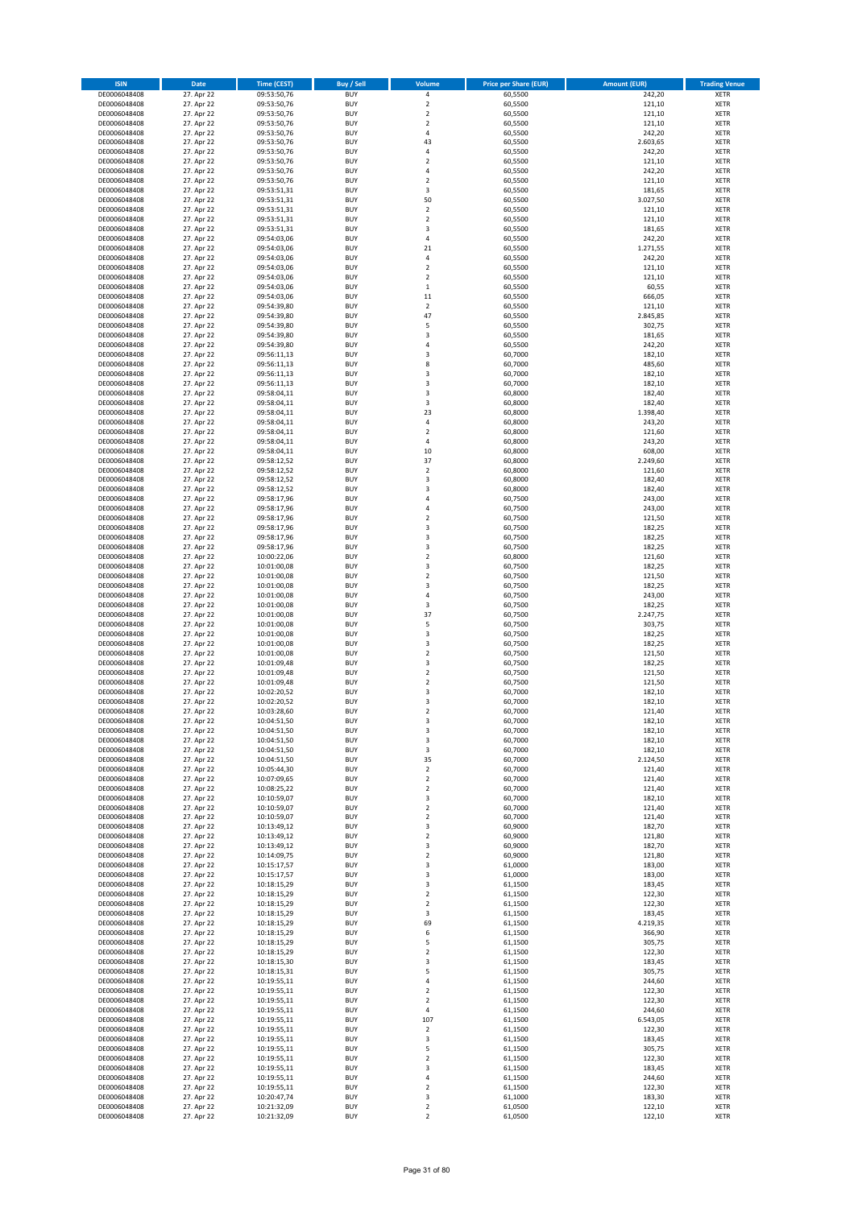| <b>ISIN</b>                  | <b>Date</b>              | <b>Time (CEST)</b>         | <b>Buy / Sell</b>        | Volume                                 | <b>Price per Share (EUR)</b> | <b>Amount (EUR)</b> | <b>Trading Venue</b>       |
|------------------------------|--------------------------|----------------------------|--------------------------|----------------------------------------|------------------------------|---------------------|----------------------------|
| DE0006048408                 | 27. Apr 22               | 09:53:50,76                | <b>BUY</b>               | 4                                      | 60,5500                      | 242,20              | XETR                       |
| DE0006048408<br>DE0006048408 | 27. Apr 22<br>27. Apr 22 | 09:53:50,76<br>09:53:50,76 | <b>BUY</b><br><b>BUY</b> | $\mathbf 2$<br>$\mathbf 2$             | 60,5500<br>60,5500           | 121,10<br>121,10    | XETR<br>XETR               |
| DE0006048408                 | 27. Apr 22               | 09:53:50,76                | <b>BUY</b>               | $\overline{\mathbf{c}}$                | 60,5500                      | 121,10              | XETR                       |
| DE0006048408                 | 27. Apr 22               | 09:53:50,76                | <b>BUY</b>               | 4                                      | 60,5500                      | 242,20              | XETR                       |
| DE0006048408                 | 27. Apr 22               | 09:53:50,76                | <b>BUY</b>               | 43                                     | 60,5500                      | 2.603,65            | <b>XETR</b>                |
| DE0006048408<br>DE0006048408 | 27. Apr 22<br>27. Apr 22 | 09:53:50,76<br>09:53:50,76 | <b>BUY</b><br><b>BUY</b> | 4<br>$\overline{\mathbf{c}}$           | 60,5500<br>60,5500           | 242,20<br>121,10    | <b>XETR</b><br><b>XETR</b> |
| DE0006048408                 | 27. Apr 22               | 09:53:50,76                | <b>BUY</b>               | 4                                      | 60,5500                      | 242,20              | <b>XETR</b>                |
| DE0006048408                 | 27. Apr 22               | 09:53:50,76                | <b>BUY</b>               | $\overline{\mathbf{c}}$                | 60,5500                      | 121,10              | <b>XETR</b>                |
| DE0006048408                 | 27. Apr 22               | 09:53:51,31                | <b>BUY</b>               | 3                                      | 60,5500                      | 181,65              | <b>XETR</b>                |
| DE0006048408                 | 27. Apr 22               | 09:53:51,31                | <b>BUY</b>               | 50                                     | 60,5500                      | 3.027,50            | <b>XETR</b>                |
| DE0006048408<br>DE0006048408 | 27. Apr 22<br>27. Apr 22 | 09:53:51,31<br>09:53:51,31 | <b>BUY</b><br><b>BUY</b> | $\mathbf 2$<br>$\overline{\mathbf{c}}$ | 60,5500<br>60,5500           | 121,10<br>121,10    | XETR<br><b>XETR</b>        |
| DE0006048408                 | 27. Apr 22               | 09:53:51,31                | <b>BUY</b>               | 3                                      | 60,5500                      | 181,65              | XETR                       |
| DE0006048408                 | 27. Apr 22               | 09:54:03,06                | <b>BUY</b>               | 4                                      | 60,5500                      | 242,20              | <b>XETR</b>                |
| DE0006048408                 | 27. Apr 22               | 09:54:03,06                | <b>BUY</b>               | 21                                     | 60,5500                      | 1.271,55            | XETR                       |
| DE0006048408<br>DE0006048408 | 27. Apr 22<br>27. Apr 22 | 09:54:03,06<br>09:54:03,06 | <b>BUY</b><br><b>BUY</b> | 4<br>$\mathbf 2$                       | 60,5500<br>60,5500           | 242,20<br>121,10    | <b>XETR</b><br>XETR        |
| DE0006048408                 | 27. Apr 22               | 09:54:03,06                | <b>BUY</b>               | $\overline{\mathbf{2}}$                | 60,5500                      | 121,10              | <b>XETR</b>                |
| DE0006048408                 | 27. Apr 22               | 09:54:03,06                | <b>BUY</b>               | $\mathbf 1$                            | 60,5500                      | 60,55               | XETR                       |
| DE0006048408                 | 27. Apr 22               | 09:54:03,06                | <b>BUY</b>               | 11                                     | 60,5500                      | 666,05              | XETR                       |
| DE0006048408<br>DE0006048408 | 27. Apr 22<br>27. Apr 22 | 09:54:39,80<br>09:54:39,80 | <b>BUY</b><br><b>BUY</b> | $\overline{\mathbf{c}}$<br>47          | 60,5500<br>60,5500           | 121,10<br>2.845,85  | <b>XETR</b><br><b>XETR</b> |
| DE0006048408                 | 27. Apr 22               | 09:54:39,80                | <b>BUY</b>               | 5                                      | 60,5500                      | 302,75              | <b>XETR</b>                |
| DE0006048408                 | 27. Apr 22               | 09:54:39,80                | <b>BUY</b>               | 3                                      | 60,5500                      | 181,65              | <b>XETR</b>                |
| DE0006048408                 | 27. Apr 22               | 09:54:39,80                | <b>BUY</b>               | $\overline{4}$                         | 60,5500                      | 242,20              | <b>XETR</b>                |
| DE0006048408                 | 27. Apr 22               | 09:56:11,13                | <b>BUY</b><br><b>BUY</b> | 3                                      | 60,7000                      | 182,10              | <b>XETR</b><br><b>XETR</b> |
| DE0006048408<br>DE0006048408 | 27. Apr 22<br>27. Apr 22 | 09:56:11,13<br>09:56:11,13 | <b>BUY</b>               | 8<br>3                                 | 60,7000<br>60,7000           | 485,60<br>182,10    | <b>XETR</b>                |
| DE0006048408                 | 27. Apr 22               | 09:56:11,13                | <b>BUY</b>               | 3                                      | 60,7000                      | 182,10              | <b>XETR</b>                |
| DE0006048408                 | 27. Apr 22               | 09:58:04,11                | <b>BUY</b>               | 3                                      | 60,8000                      | 182,40              | <b>XETR</b>                |
| DE0006048408                 | 27. Apr 22               | 09:58:04,11                | <b>BUY</b>               | 3                                      | 60,8000                      | 182,40              | <b>XETR</b>                |
| DE0006048408<br>DE0006048408 | 27. Apr 22<br>27. Apr 22 | 09:58:04,11<br>09:58:04,11 | <b>BUY</b><br><b>BUY</b> | 23<br>4                                | 60,8000<br>60,8000           | 1.398,40<br>243,20  | XETR<br><b>XETR</b>        |
| DE0006048408                 | 27. Apr 22               | 09:58:04,11                | <b>BUY</b>               | $\mathbf 2$                            | 60,8000                      | 121,60              | XETR                       |
| DE0006048408                 | 27. Apr 22               | 09:58:04,11                | <b>BUY</b>               | 4                                      | 60,8000                      | 243,20              | <b>XETR</b>                |
| DE0006048408                 | 27. Apr 22               | 09:58:04,11                | <b>BUY</b>               | 10                                     | 60,8000                      | 608,00              | XETR                       |
| DE0006048408<br>DE0006048408 | 27. Apr 22<br>27. Apr 22 | 09:58:12,52<br>09:58:12,52 | <b>BUY</b><br><b>BUY</b> | 37<br>$\mathbf 2$                      | 60,8000<br>60,8000           | 2.249,60<br>121,60  | <b>XETR</b><br><b>XETR</b> |
| DE0006048408                 | 27. Apr 22               | 09:58:12,52                | <b>BUY</b>               | 3                                      | 60,8000                      | 182,40              | <b>XETR</b>                |
| DE0006048408                 | 27. Apr 22               | 09:58:12,52                | <b>BUY</b>               | 3                                      | 60,8000                      | 182,40              | <b>XETR</b>                |
| DE0006048408                 | 27. Apr 22               | 09:58:17,96                | <b>BUY</b>               | $\overline{a}$                         | 60,7500                      | 243,00              | <b>XETR</b>                |
| DE0006048408                 | 27. Apr 22               | 09:58:17,96                | <b>BUY</b>               | 4                                      | 60,7500                      | 243,00              | <b>XETR</b>                |
| DE0006048408<br>DE0006048408 | 27. Apr 22<br>27. Apr 22 | 09:58:17,96<br>09:58:17,96 | <b>BUY</b><br><b>BUY</b> | $\overline{\mathbf{c}}$<br>3           | 60,7500<br>60,7500           | 121,50<br>182,25    | <b>XETR</b><br>XETR        |
| DE0006048408                 | 27. Apr 22               | 09:58:17,96                | <b>BUY</b>               | 3                                      | 60,7500                      | 182,25              | XETR                       |
| DE0006048408                 | 27. Apr 22               | 09:58:17,96                | <b>BUY</b>               | 3                                      | 60,7500                      | 182,25              | <b>XETR</b>                |
| DE0006048408                 | 27. Apr 22               | 10:00:22,06                | <b>BUY</b>               | $\mathbf 2$                            | 60,8000                      | 121,60              | <b>XETR</b>                |
| DE0006048408<br>DE0006048408 | 27. Apr 22<br>27. Apr 22 | 10:01:00,08<br>10:01:00,08 | <b>BUY</b><br><b>BUY</b> | 3<br>$\overline{\mathbf{2}}$           | 60,7500<br>60,7500           | 182,25<br>121,50    | <b>XETR</b><br><b>XETR</b> |
| DE0006048408                 | 27. Apr 22               | 10:01:00,08                | <b>BUY</b>               | 3                                      | 60,7500                      | 182,25              | <b>XETR</b>                |
| DE0006048408                 | 27. Apr 22               | 10:01:00,08                | <b>BUY</b>               | 4                                      | 60,7500                      | 243,00              | <b>XETR</b>                |
| DE0006048408                 | 27. Apr 22               | 10:01:00,08                | <b>BUY</b>               | 3                                      | 60,7500                      | 182,25              | XETR                       |
| DE0006048408<br>DE0006048408 | 27. Apr 22<br>27. Apr 22 | 10:01:00,08<br>10:01:00,08 | <b>BUY</b><br><b>BUY</b> | 37<br>5                                | 60,7500<br>60,7500           | 2.247,75<br>303,75  | XETR<br><b>XETR</b>        |
| DE0006048408                 | 27. Apr 22               | 10:01:00,08                | <b>BUY</b>               | 3                                      | 60,7500                      | 182,25              | <b>XETR</b>                |
| DE0006048408                 | 27. Apr 22               | 10:01:00,08                | <b>BUY</b>               | 3                                      | 60,7500                      | 182,25              | <b>XETR</b>                |
| DE0006048408                 | 27. Apr 22               | 10:01:00,08                | <b>BUY</b>               | $\overline{\mathbf{c}}$                | 60,7500                      | 121,50              | XETR                       |
| DE0006048408<br>DE0006048408 | 27. Apr 22<br>27. Apr 22 | 10:01:09,48<br>10:01:09,48 | <b>BUY</b><br><b>BUY</b> | 3<br>$\mathbf 2$                       | 60,7500<br>60,7500           | 182,25<br>121,50    | <b>XETR</b><br>XETR        |
| DE0006048408                 | 27. Apr 22               | 10:01:09,48                | <b>BUY</b>               | $\overline{\mathbf{c}}$                | 60,7500                      | 121,50              | <b>XETR</b>                |
| DE0006048408                 | 27. Apr 22               | 10:02:20,52                | <b>BUY</b>               | 3                                      | 60,7000                      | 182,10              | XETR                       |
| DE0006048408                 | 27. Apr 22               | 10:02:20,52                | <b>BUY</b>               | 3                                      | 60,7000                      | 182,10              | <b>XETR</b>                |
| DE0006048408                 | 27. Apr 22               | 10:03:28,60                | <b>BUY</b><br><b>BUY</b> | $\overline{\mathbf{c}}$<br>3           | 60,7000                      | 121,40              | <b>XETR</b>                |
| DE0006048408<br>DE0006048408 | 27. Apr 22<br>27. Apr 22 | 10:04:51,50<br>10:04:51,50 | <b>BUY</b>               | 3                                      | 60,7000<br>60,7000           | 182,10<br>182,10    | XETR<br>XETR               |
| DE0006048408                 | 27. Apr 22               | 10:04:51,50                | <b>BUY</b>               | 3                                      | 60,7000                      | 182,10              | XETR                       |
| DE0006048408                 | 27. Apr 22               | 10:04:51,50                | <b>BUY</b>               | 3                                      | 60,7000                      | 182,10              | <b>XETR</b>                |
| DE0006048408<br>DE0006048408 | 27. Apr 22<br>27. Apr 22 | 10:04:51,50<br>10:05:44,30 | <b>BUY</b><br><b>BUY</b> | 35<br>$\boldsymbol{2}$                 | 60,7000<br>60,7000           | 2.124,50<br>121,40  | <b>XETR</b><br>XETR        |
| DE0006048408                 | 27. Apr 22               | 10:07:09,65                | <b>BUY</b>               | $\overline{\mathbf{c}}$                | 60,7000                      | 121,40              | <b>XETR</b>                |
| DE0006048408                 | 27. Apr 22               | 10:08:25,22                | <b>BUY</b>               | $\overline{\mathbf{c}}$                | 60,7000                      | 121,40              | XETR                       |
| DE0006048408                 | 27. Apr 22               | 10:10:59,07                | <b>BUY</b>               | 3                                      | 60,7000                      | 182,10              | <b>XETR</b>                |
| DE0006048408<br>DE0006048408 | 27. Apr 22<br>27. Apr 22 | 10:10:59,07<br>10:10:59,07 | <b>BUY</b><br><b>BUY</b> | $\mathbf 2$<br>$\mathbf 2$             | 60,7000<br>60,7000           | 121,40<br>121,40    | XETR<br><b>XETR</b>        |
| DE0006048408                 | 27. Apr 22               | 10:13:49,12                | <b>BUY</b>               | 3                                      | 60,9000                      | 182,70              | XETR                       |
| DE0006048408                 | 27. Apr 22               | 10:13:49,12                | <b>BUY</b>               | $\mathbf 2$                            | 60,9000                      | 121,80              | <b>XETR</b>                |
| DE0006048408                 | 27. Apr 22               | 10:13:49,12                | <b>BUY</b>               | 3                                      | 60,9000                      | 182,70              | XETR                       |
| DE0006048408<br>DE0006048408 | 27. Apr 22<br>27. Apr 22 | 10:14:09,75<br>10:15:17,57 | <b>BUY</b><br><b>BUY</b> | $\mathbf 2$<br>3                       | 60,9000<br>61,0000           | 121,80<br>183,00    | <b>XETR</b><br>XETR        |
| DE0006048408                 | 27. Apr 22               | 10:15:17,57                | <b>BUY</b>               | 3                                      | 61,0000                      | 183,00              | <b>XETR</b>                |
| DE0006048408                 | 27. Apr 22               | 10:18:15,29                | <b>BUY</b>               | 3                                      | 61,1500                      | 183,45              | <b>XETR</b>                |
| DE0006048408                 | 27. Apr 22               | 10:18:15,29                | <b>BUY</b>               | 2                                      | 61,1500                      | 122,30              | <b>XETR</b>                |
| DE0006048408<br>DE0006048408 | 27. Apr 22<br>27. Apr 22 | 10:18:15,29<br>10:18:15,29 | <b>BUY</b><br><b>BUY</b> | $\mathbf 2$<br>3                       | 61,1500<br>61,1500           | 122,30<br>183,45    | XETR<br><b>XETR</b>        |
| DE0006048408                 | 27. Apr 22               | 10:18:15,29                | <b>BUY</b>               | 69                                     | 61,1500                      | 4.219,35            | <b>XETR</b>                |
| DE0006048408                 | 27. Apr 22               | 10:18:15,29                | <b>BUY</b>               | 6                                      | 61,1500                      | 366,90              | XETR                       |
| DE0006048408                 | 27. Apr 22               | 10:18:15,29                | <b>BUY</b>               | 5                                      | 61,1500                      | 305,75              | <b>XETR</b>                |
| DE0006048408<br>DE0006048408 | 27. Apr 22<br>27. Apr 22 | 10:18:15,29<br>10:18:15,30 | <b>BUY</b><br><b>BUY</b> | $\mathbf 2$<br>3                       | 61,1500<br>61,1500           | 122,30<br>183,45    | XETR<br><b>XETR</b>        |
| DE0006048408                 | 27. Apr 22               | 10:18:15,31                | <b>BUY</b>               | 5                                      | 61,1500                      | 305,75              | <b>XETR</b>                |
| DE0006048408                 | 27. Apr 22               | 10:19:55,11                | <b>BUY</b>               | 4                                      | 61,1500                      | 244,60              | <b>XETR</b>                |
| DE0006048408                 | 27. Apr 22               | 10:19:55,11                | <b>BUY</b>               | 2                                      | 61,1500                      | 122,30              | XETR                       |
| DE0006048408                 | 27. Apr 22               | 10:19:55,11                | <b>BUY</b>               | $\overline{2}$                         | 61,1500                      | 122,30              | <b>XETR</b>                |
| DE0006048408<br>DE0006048408 | 27. Apr 22<br>27. Apr 22 | 10:19:55,11<br>10:19:55,11 | <b>BUY</b><br><b>BUY</b> | 4<br>107                               | 61,1500<br>61,1500           | 244,60<br>6.543,05  | XETR<br><b>XETR</b>        |
| DE0006048408                 | 27. Apr 22               | 10:19:55,11                | <b>BUY</b>               | $\boldsymbol{2}$                       | 61,1500                      | 122,30              | XETR                       |
| DE0006048408                 | 27. Apr 22               | 10:19:55,11                | <b>BUY</b>               | 3                                      | 61,1500                      | 183,45              | <b>XETR</b>                |
| DE0006048408                 | 27. Apr 22               | 10:19:55,11                | <b>BUY</b>               | 5                                      | 61,1500                      | 305,75              | <b>XETR</b>                |
| DE0006048408<br>DE0006048408 | 27. Apr 22<br>27. Apr 22 | 10:19:55,11<br>10:19:55,11 | <b>BUY</b><br><b>BUY</b> | 2<br>3                                 | 61,1500<br>61,1500           | 122,30<br>183,45    | <b>XETR</b><br>XETR        |
| DE0006048408                 | 27. Apr 22               | 10:19:55,11                | <b>BUY</b>               | 4                                      | 61,1500                      | 244,60              | <b>XETR</b>                |
| DE0006048408                 | 27. Apr 22               | 10:19:55,11                | <b>BUY</b>               | $\boldsymbol{2}$                       | 61,1500                      | 122,30              | XETR                       |
| DE0006048408                 | 27. Apr 22               | 10:20:47,74                | <b>BUY</b>               | 3                                      | 61,1000                      | 183,30              | XETR                       |
| DE0006048408<br>DE0006048408 | 27. Apr 22<br>27. Apr 22 | 10:21:32,09<br>10:21:32,09 | <b>BUY</b><br><b>BUY</b> | $\mathbf 2$<br>$\mathbf 2$             | 61,0500<br>61,0500           | 122,10<br>122,10    | XETR<br><b>XETR</b>        |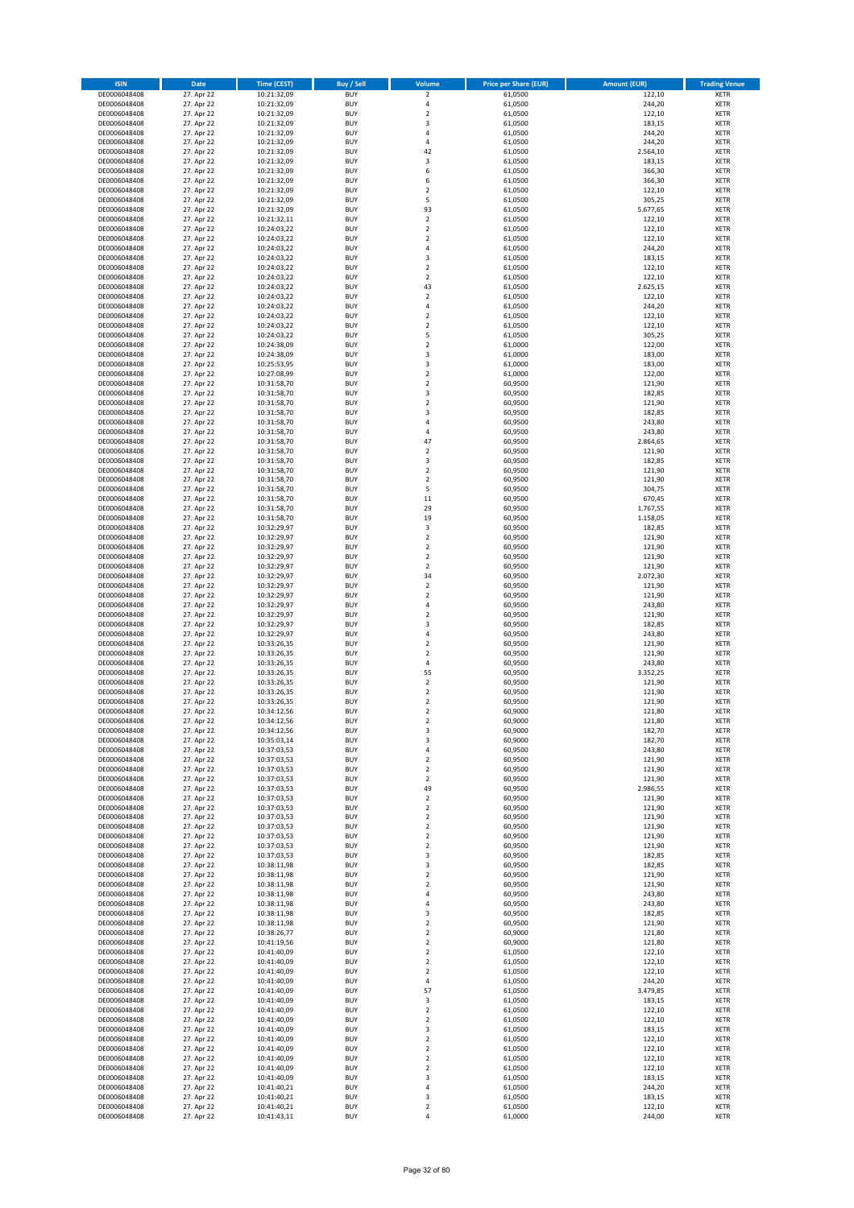| <b>ISIN</b>                  | <b>Date</b>              | <b>Time (CEST)</b>         | Buy / Sell               | Volume                        | <b>Price per Share (EUR)</b> | <b>Amount (EUR)</b> | <b>Trading Venue</b>       |
|------------------------------|--------------------------|----------------------------|--------------------------|-------------------------------|------------------------------|---------------------|----------------------------|
| DE0006048408                 | 27. Apr 22               | 10:21:32,09                | <b>BUY</b>               | $\mathbf 2$                   | 61,0500                      | 122,10              | XETR                       |
| DE0006048408                 | 27. Apr 22               | 10:21:32,09                | <b>BUY</b>               | 4                             | 61,0500                      | 244,20              | XETR                       |
| DE0006048408<br>DE0006048408 | 27. Apr 22<br>27. Apr 22 | 10:21:32,09<br>10:21:32,09 | <b>BUY</b><br><b>BUY</b> | $\mathbf 2$<br>3              | 61,0500<br>61,0500           | 122,10<br>183,15    | <b>XETR</b><br><b>XETR</b> |
| DE0006048408                 | 27. Apr 22               | 10:21:32,09                | <b>BUY</b>               | 4                             | 61,0500                      | 244,20              | <b>XETR</b>                |
| DE0006048408                 | 27. Apr 22               | 10:21:32,09                | <b>BUY</b>               | $\overline{4}$                | 61,0500                      | 244,20              | <b>XETR</b>                |
| DE0006048408                 | 27. Apr 22               | 10:21:32,09                | <b>BUY</b>               | 42                            | 61,0500                      | 2.564,10            | <b>XETR</b>                |
| DE0006048408                 | 27. Apr 22               | 10:21:32,09                | <b>BUY</b>               | 3                             | 61,0500                      | 183,15              | <b>XETR</b>                |
| DE0006048408<br>DE0006048408 | 27. Apr 22<br>27. Apr 22 | 10:21:32,09                | <b>BUY</b><br><b>BUY</b> | 6<br>6                        | 61,0500<br>61,0500           | 366,30<br>366,30    | <b>XETR</b><br><b>XETR</b> |
| DE0006048408                 | 27. Apr 22               | 10:21:32,09<br>10:21:32,09 | <b>BUY</b>               | $\mathbf 2$                   | 61,0500                      | 122,10              | <b>XETR</b>                |
| DE0006048408                 | 27. Apr 22               | 10:21:32,09                | <b>BUY</b>               | 5                             | 61,0500                      | 305,25              | <b>XETR</b>                |
| DE0006048408                 | 27. Apr 22               | 10:21:32,09                | <b>BUY</b>               | 93                            | 61,0500                      | 5.677,65            | XETR                       |
| DE0006048408                 | 27. Apr 22               | 10:21:32,11                | <b>BUY</b>               | $\mathbf 2$                   | 61,0500                      | 122,10              | <b>XETR</b>                |
| DE0006048408                 | 27. Apr 22               | 10:24:03,22                | <b>BUY</b>               | $\mathbf 2$                   | 61,0500                      | 122,10              | XETR                       |
| DE0006048408<br>DE0006048408 | 27. Apr 22<br>27. Apr 22 | 10:24:03,22<br>10:24:03,22 | <b>BUY</b><br><b>BUY</b> | $\mathbf 2$<br>4              | 61,0500<br>61,0500           | 122,10<br>244,20    | <b>XETR</b><br>XETR        |
| DE0006048408                 | 27. Apr 22               | 10:24:03,22                | <b>BUY</b>               | 3                             | 61,0500                      | 183,15              | <b>XETR</b>                |
| DE0006048408                 | 27. Apr 22               | 10:24:03,22                | <b>BUY</b>               | $\mathbf 2$                   | 61,0500                      | 122,10              | XETR                       |
| DE0006048408                 | 27. Apr 22               | 10:24:03,22                | <b>BUY</b>               | $\overline{2}$                | 61,0500                      | 122,10              | <b>XETR</b>                |
| DE0006048408                 | 27. Apr 22               | 10:24:03,22                | <b>BUY</b>               | 43                            | 61,0500                      | 2.625,15            | <b>XETR</b>                |
| DE0006048408<br>DE0006048408 | 27. Apr 22<br>27. Apr 22 | 10:24:03,22<br>10:24:03,22 | <b>BUY</b><br><b>BUY</b> | $\mathbf 2$<br>$\overline{4}$ | 61,0500<br>61,0500           | 122,10<br>244,20    | <b>XETR</b><br><b>XETR</b> |
| DE0006048408                 | 27. Apr 22               | 10:24:03,22                | <b>BUY</b>               | $\mathbf 2$                   | 61,0500                      | 122,10              | <b>XETR</b>                |
| DE0006048408                 | 27. Apr 22               | 10:24:03,22                | <b>BUY</b>               | $\mathbf 2$                   | 61,0500                      | 122,10              | <b>XETR</b>                |
| DE0006048408                 | 27. Apr 22               | 10:24:03,22                | <b>BUY</b>               | 5                             | 61,0500                      | 305,25              | <b>XETR</b>                |
| DE0006048408                 | 27. Apr 22               | 10:24:38,09                | <b>BUY</b>               | $\mathbf 2$                   | 61,0000                      | 122,00              | <b>XETR</b>                |
| DE0006048408<br>DE0006048408 | 27. Apr 22<br>27. Apr 22 | 10:24:38,09<br>10:25:53,95 | <b>BUY</b><br><b>BUY</b> | 3<br>3                        | 61,0000<br>61,0000           | 183,00<br>183,00    | <b>XETR</b><br><b>XETR</b> |
| DE0006048408                 | 27. Apr 22               | 10:27:08,99                | <b>BUY</b>               | $\mathbf 2$                   | 61,0000                      | 122,00              | <b>XETR</b>                |
| DE0006048408                 | 27. Apr 22               | 10:31:58,70                | <b>BUY</b>               | $\mathbf 2$                   | 60,9500                      | 121,90              | <b>XETR</b>                |
| DE0006048408                 | 27. Apr 22               | 10:31:58,70                | <b>BUY</b>               | 3                             | 60,9500                      | 182,85              | <b>XETR</b>                |
| DE0006048408                 | 27. Apr 22               | 10:31:58,70                | <b>BUY</b>               | $\overline{\mathbf{c}}$       | 60,9500                      | 121,90              | <b>XETR</b>                |
| DE0006048408                 | 27. Apr 22               | 10:31:58,70                | <b>BUY</b><br><b>BUY</b> | 3                             | 60,9500                      | 182,85              | XETR<br><b>XETR</b>        |
| DE0006048408<br>DE0006048408 | 27. Apr 22<br>27. Apr 22 | 10:31:58,70<br>10:31:58,70 | <b>BUY</b>               | 4<br>4                        | 60,9500<br>60,9500           | 243,80<br>243,80    | XETR                       |
| DE0006048408                 | 27. Apr 22               | 10:31:58,70                | <b>BUY</b>               | 47                            | 60,9500                      | 2.864,65            | <b>XETR</b>                |
| DE0006048408                 | 27. Apr 22               | 10:31:58,70                | <b>BUY</b>               | $\mathbf 2$                   | 60,9500                      | 121,90              | XETR                       |
| DE0006048408                 | 27. Apr 22               | 10:31:58,70                | <b>BUY</b>               | 3                             | 60,9500                      | 182,85              | <b>XETR</b>                |
| DE0006048408                 | 27. Apr 22               | 10:31:58,70                | <b>BUY</b>               | $\mathbf 2$                   | 60,9500                      | 121,90              | <b>XETR</b>                |
| DE0006048408<br>DE0006048408 | 27. Apr 22<br>27. Apr 22 | 10:31:58,70<br>10:31:58,70 | <b>BUY</b><br><b>BUY</b> | $\overline{\mathbf{c}}$<br>5  | 60,9500<br>60,9500           | 121,90<br>304,75    | <b>XETR</b><br><b>XETR</b> |
| DE0006048408                 | 27. Apr 22               | 10:31:58,70                | <b>BUY</b>               | 11                            | 60,9500                      | 670,45              | <b>XETR</b>                |
| DE0006048408                 | 27. Apr 22               | 10:31:58,70                | <b>BUY</b>               | 29                            | 60,9500                      | 1.767,55            | <b>XETR</b>                |
| DE0006048408                 | 27. Apr 22               | 10:31:58,70                | <b>BUY</b>               | 19                            | 60,9500                      | 1.158,05            | <b>XETR</b>                |
| DE0006048408                 | 27. Apr 22               | 10:32:29,97                | <b>BUY</b>               | 3                             | 60,9500                      | 182,85              | XETR                       |
| DE0006048408                 | 27. Apr 22               | 10:32:29,97                | <b>BUY</b>               | 2                             | 60,9500                      | 121,90              | XETR                       |
| DE0006048408<br>DE0006048408 | 27. Apr 22<br>27. Apr 22 | 10:32:29,97<br>10:32:29,97 | <b>BUY</b><br><b>BUY</b> | $\mathbf 2$<br>$\mathbf 2$    | 60,9500<br>60,9500           | 121,90<br>121,90    | <b>XETR</b><br><b>XETR</b> |
| DE0006048408                 | 27. Apr 22               | 10:32:29,97                | <b>BUY</b>               | $\mathbf 2$                   | 60,9500                      | 121,90              | XETR                       |
| DE0006048408                 | 27. Apr 22               | 10:32:29,97                | <b>BUY</b>               | 34                            | 60,9500                      | 2.072,30            | <b>XETR</b>                |
| DE0006048408                 | 27. Apr 22               | 10:32:29,97                | <b>BUY</b>               | $\mathbf 2$                   | 60,9500                      | 121,90              | <b>XETR</b>                |
| DE0006048408                 | 27. Apr 22               | 10:32:29,97                | <b>BUY</b>               | $\mathbf 2$                   | 60,9500                      | 121,90              | <b>XETR</b>                |
| DE0006048408<br>DE0006048408 | 27. Apr 22<br>27. Apr 22 | 10:32:29,97<br>10:32:29,97 | <b>BUY</b><br><b>BUY</b> | 4<br>$\mathbf 2$              | 60,9500<br>60,9500           | 243,80<br>121,90    | <b>XETR</b><br><b>XETR</b> |
| DE0006048408                 | 27. Apr 22               | 10:32:29,97                | <b>BUY</b>               | 3                             | 60,9500                      | 182,85              | <b>XETR</b>                |
| DE0006048408                 | 27. Apr 22               | 10:32:29,97                | <b>BUY</b>               | 4                             | 60,9500                      | 243,80              | <b>XETR</b>                |
| DE0006048408                 | 27. Apr 22               | 10:33:26,35                | <b>BUY</b>               | $\overline{\mathbf{c}}$       | 60,9500                      | 121,90              | <b>XETR</b>                |
| DE0006048408                 | 27. Apr 22               | 10:33:26,35                | <b>BUY</b>               | $\overline{\mathbf{c}}$       | 60,9500                      | 121,90              | <b>XETR</b>                |
| DE0006048408<br>DE0006048408 | 27. Apr 22<br>27. Apr 22 | 10:33:26,35<br>10:33:26,35 | <b>BUY</b><br><b>BUY</b> | 4<br>55                       | 60,9500<br>60,9500           | 243,80<br>3.352,25  | <b>XETR</b><br>XETR        |
| DE0006048408                 | 27. Apr 22               | 10:33:26,35                | <b>BUY</b>               | $\overline{\mathbf{c}}$       | 60,9500                      | 121,90              | <b>XETR</b>                |
| DE0006048408                 | 27. Apr 22               | 10:33:26,35                | <b>BUY</b>               | $\mathbf 2$                   | 60,9500                      | 121,90              | XETR                       |
| DE0006048408                 | 27. Apr 22               | 10:33:26,35                | <b>BUY</b>               | $\overline{\mathbf{c}}$       | 60,9500                      | 121,90              | <b>XETR</b>                |
| DE0006048408                 | 27. Apr 22               | 10:34:12,56                | <b>BUY</b>               | $\overline{\mathbf{c}}$       | 60,9000                      | 121,80              | <b>XETR</b>                |
| DE0006048408                 | 27. Apr 22               | 10:34:12,56                | <b>BUY</b>               | 2                             | 60,9000                      | 121,80              | XETR                       |
| DE0006048408<br>DE0006048408 | 27. Apr 22<br>27. Apr 22 | 10:34:12,56<br>10:35:03,14 | <b>BUY</b><br><b>BUY</b> | 3<br>3                        | 60,9000<br>60,9000           | 182,70<br>182,70    | XETR<br>XETR               |
| DE0006048408                 | 27. Apr 22               | 10:37:03,53                | <b>BUY</b>               | 4                             | 60,9500                      | 243,80              | XETR                       |
| DE0006048408                 | 27. Apr 22               | 10:37:03,53                | <b>BUY</b>               | 2                             | 60,9500                      | 121,90              | <b>XETR</b>                |
| DE0006048408                 | 27. Apr 22               | 10:37:03,53                | <b>BUY</b>               | 2                             | 60,9500                      | 121,90              | XETR                       |
| DE0006048408                 | 27. Apr 22               | 10:37:03,53                | <b>BUY</b>               | $\mathbf 2$                   | 60,9500                      | 121,90              | <b>XETR</b>                |
| DE0006048408<br>DE0006048408 | 27. Apr 22<br>27. Apr 22 | 10:37:03,53<br>10:37:03,53 | <b>BUY</b><br><b>BUY</b> | 49<br>$\mathbf 2$             | 60,9500<br>60,9500           | 2.986,55<br>121,90  | XETR<br><b>XETR</b>        |
| DE0006048408                 | 27. Apr 22               | 10:37:03,53                | <b>BUY</b>               | $\mathbf 2$                   | 60,9500                      | 121,90              | XETR                       |
| DE0006048408                 | 27. Apr 22               | 10:37:03,53                | <b>BUY</b>               | 2                             | 60,9500                      | 121,90              | <b>XETR</b>                |
| DE0006048408                 | 27. Apr 22               | 10:37:03,53                | <b>BUY</b>               | $\mathbf 2$                   | 60,9500                      | 121,90              | XETR                       |
| DE0006048408                 | 27. Apr 22               | 10:37:03,53                | <b>BUY</b>               | $\mathbf 2$                   | 60,9500                      | 121,90              | <b>XETR</b>                |
| DE0006048408<br>DE0006048408 | 27. Apr 22<br>27. Apr 22 | 10:37:03,53<br>10:37:03,53 | <b>BUY</b><br><b>BUY</b> | $\boldsymbol{2}$<br>3         | 60,9500<br>60,9500           | 121,90<br>182,85    | XETR<br><b>XETR</b>        |
| DE0006048408                 | 27. Apr 22               | 10:38:11,98                | <b>BUY</b>               | 3                             | 60,9500                      | 182,85              | XETR                       |
| DE0006048408                 | 27. Apr 22               | 10:38:11,98                | <b>BUY</b>               | $\mathbf 2$                   | 60,9500                      | 121,90              | <b>XETR</b>                |
| DE0006048408                 | 27. Apr 22               | 10:38:11,98                | <b>BUY</b>               | 2                             | 60,9500                      | 121,90              | <b>XETR</b>                |
| DE0006048408                 | 27. Apr 22               | 10:38:11,98                | <b>BUY</b>               | 4                             | 60,9500                      | 243,80              | <b>XETR</b>                |
| DE0006048408                 | 27. Apr 22<br>27. Apr 22 | 10:38:11,98                | <b>BUY</b><br><b>BUY</b> | 4                             | 60,9500<br>60,9500           | 243,80<br>182,85    | XETR                       |
| DE0006048408<br>DE0006048408 | 27. Apr 22               | 10:38:11,98<br>10:38:11,98 | <b>BUY</b>               | 3<br>2                        | 60,9500                      | 121,90              | <b>XETR</b><br><b>XETR</b> |
| DE0006048408                 | 27. Apr 22               | 10:38:26,77                | <b>BUY</b>               | 2                             | 60,9000                      | 121,80              | XETR                       |
| DE0006048408                 | 27. Apr 22               | 10:41:19,56                | <b>BUY</b>               | $\mathbf 2$                   | 60,9000                      | 121,80              | <b>XETR</b>                |
| DE0006048408                 | 27. Apr 22               | 10:41:40,09                | <b>BUY</b>               | $\mathbf 2$                   | 61,0500                      | 122,10              | XETR                       |
| DE0006048408                 | 27. Apr 22               | 10:41:40,09                | <b>BUY</b>               | $\mathbf 2$                   | 61,0500                      | 122,10              | <b>XETR</b>                |
| DE0006048408<br>DE0006048408 | 27. Apr 22<br>27. Apr 22 | 10:41:40,09<br>10:41:40,09 | <b>BUY</b><br><b>BUY</b> | 2<br>4                        | 61,0500<br>61,0500           | 122,10<br>244,20    | XETR<br><b>XETR</b>        |
| DE0006048408                 | 27. Apr 22               | 10:41:40,09                | <b>BUY</b>               | 57                            | 61,0500                      | 3.479,85            | XETR                       |
| DE0006048408                 | 27. Apr 22               | 10:41:40,09                | <b>BUY</b>               | 3                             | 61,0500                      | 183,15              | <b>XETR</b>                |
| DE0006048408                 | 27. Apr 22               | 10:41:40,09                | <b>BUY</b>               | 2                             | 61,0500                      | 122,10              | XETR                       |
| DE0006048408                 | 27. Apr 22               | 10:41:40,09                | <b>BUY</b>               | $\mathbf 2$                   | 61,0500                      | 122,10              | <b>XETR</b>                |
| DE0006048408                 | 27. Apr 22               | 10:41:40,09                | <b>BUY</b>               | 3                             | 61,0500                      | 183,15              | XETR                       |
| DE0006048408<br>DE0006048408 | 27. Apr 22<br>27. Apr 22 | 10:41:40,09<br>10:41:40,09 | <b>BUY</b><br><b>BUY</b> | $\overline{\mathbf{2}}$<br>2  | 61,0500<br>61,0500           | 122,10<br>122,10    | <b>XETR</b><br><b>XETR</b> |
| DE0006048408                 | 27. Apr 22               | 10:41:40,09                | <b>BUY</b>               | 2                             | 61,0500                      | 122,10              | <b>XETR</b>                |
| DE0006048408                 | 27. Apr 22               | 10:41:40,09                | <b>BUY</b>               | $\mathbf 2$                   | 61,0500                      | 122,10              | XETR                       |
| DE0006048408                 | 27. Apr 22               | 10:41:40,09                | <b>BUY</b>               | 3                             | 61,0500                      | 183,15              | <b>XETR</b>                |
| DE0006048408                 | 27. Apr 22               | 10:41:40,21                | <b>BUY</b>               | 4                             | 61,0500                      | 244,20              | XETR                       |
| DE0006048408<br>DE0006048408 | 27. Apr 22<br>27. Apr 22 | 10:41:40,21<br>10:41:40,21 | <b>BUY</b><br><b>BUY</b> | 3<br>$\mathbf 2$              | 61,0500<br>61,0500           | 183,15<br>122,10    | XETR<br>XETR               |
| DE0006048408                 | 27. Apr 22               | 10:41:43,11                | <b>BUY</b>               | 4                             | 61,0000                      | 244,00              | <b>XETR</b>                |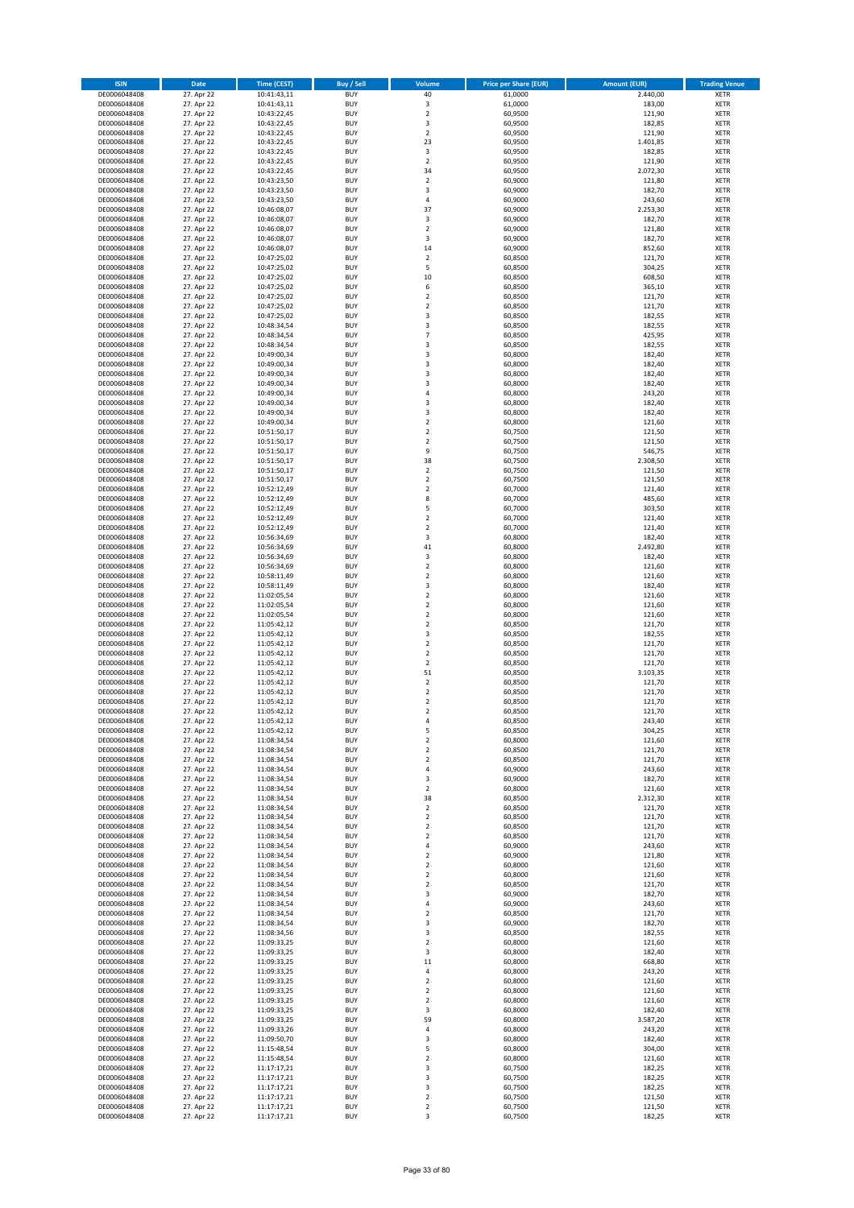| <b>ISIN</b>                  | Date                     | <b>Time (CEST)</b>         | <b>Buy / Sell</b>        | Volume                        | <b>Price per Share (EUR)</b> | <b>Amount (EUR)</b> | <b>Trading Venue</b>       |
|------------------------------|--------------------------|----------------------------|--------------------------|-------------------------------|------------------------------|---------------------|----------------------------|
| DE0006048408                 | 27. Apr 22               | 10:41:43,11                | <b>BUY</b>               | 40                            | 61,0000                      | 2.440,00            | <b>XETR</b>                |
| DE0006048408                 | 27. Apr 22               | 10:41:43,11                | <b>BUY</b>               | 3                             | 61,0000                      | 183,00              | <b>XETR</b>                |
| DE0006048408<br>DE0006048408 | 27. Apr 22<br>27. Apr 22 | 10:43:22,45<br>10:43:22,45 | <b>BUY</b><br><b>BUY</b> | $\mathbf 2$<br>3              | 60,9500<br>60,9500           | 121,90<br>182,85    | <b>XETR</b><br><b>XETR</b> |
| DE0006048408                 | 27. Apr 22               | 10:43:22,45                | <b>BUY</b>               | $\mathbf 2$                   | 60,9500                      | 121,90              | <b>XETR</b>                |
| DE0006048408                 | 27. Apr 22               | 10:43:22,45                | <b>BUY</b>               | 23                            | 60,9500                      | 1.401,85            | <b>XETR</b>                |
| DE0006048408                 | 27. Apr 22               | 10:43:22,45                | <b>BUY</b>               | 3                             | 60,9500                      | 182,85              | <b>XETR</b>                |
| DE0006048408                 | 27. Apr 22               | 10:43:22,45                | <b>BUY</b>               | $\overline{2}$                | 60,9500                      | 121,90              | <b>XETR</b>                |
| DE0006048408<br>DE0006048408 | 27. Apr 22<br>27. Apr 22 | 10:43:22,45                | <b>BUY</b><br><b>BUY</b> | 34<br>$\overline{2}$          | 60,9500<br>60,9000           | 2.072,30<br>121,80  | XETR<br><b>XETR</b>        |
| DE0006048408                 | 27. Apr 22               | 10:43:23,50<br>10:43:23,50 | <b>BUY</b>               | 3                             | 60,9000                      | 182,70              | XETR                       |
| DE0006048408                 | 27. Apr 22               | 10:43:23,50                | <b>BUY</b>               | $\sqrt{4}$                    | 60,9000                      | 243,60              | <b>XETR</b>                |
| DE0006048408                 | 27. Apr 22               | 10:46:08,07                | <b>BUY</b>               | 37                            | 60,9000                      | 2.253,30            | XETR                       |
| DE0006048408                 | 27. Apr 22               | 10:46:08,07                | <b>BUY</b>               | 3                             | 60,9000                      | 182,70              | <b>XETR</b>                |
| DE0006048408                 | 27. Apr 22               | 10:46:08,07                | <b>BUY</b>               | $\sqrt{2}$                    | 60,9000                      | 121,80              | XETR                       |
| DE0006048408<br>DE0006048408 | 27. Apr 22<br>27. Apr 22 | 10:46:08,07<br>10:46:08,07 | <b>BUY</b><br><b>BUY</b> | 3<br>14                       | 60,9000<br>60,9000           | 182,70<br>852,60    | <b>XETR</b><br>XETR        |
| DE0006048408                 | 27. Apr 22               | 10:47:25,02                | <b>BUY</b>               | $\overline{2}$                | 60,8500                      | 121,70              | <b>XETR</b>                |
| DE0006048408                 | 27. Apr 22               | 10:47:25,02                | <b>BUY</b>               | 5                             | 60,8500                      | 304,25              | XETR                       |
| DE0006048408                 | 27. Apr 22               | 10:47:25,02                | <b>BUY</b>               | 10                            | 60,8500                      | 608,50              | <b>XETR</b>                |
| DE0006048408                 | 27. Apr 22<br>27. Apr 22 | 10:47:25,02                | <b>BUY</b><br><b>BUY</b> | 6<br>$\overline{2}$           | 60,8500<br>60,8500           | 365,10<br>121,70    | <b>XETR</b><br><b>XETR</b> |
| DE0006048408<br>DE0006048408 | 27. Apr 22               | 10:47:25,02<br>10:47:25,02 | <b>BUY</b>               | $\overline{2}$                | 60,8500                      | 121,70              | <b>XETR</b>                |
| DE0006048408                 | 27. Apr 22               | 10:47:25,02                | <b>BUY</b>               | 3                             | 60,8500                      | 182,55              | <b>XETR</b>                |
| DE0006048408                 | 27. Apr 22               | 10:48:34,54                | <b>BUY</b>               | 3                             | 60,8500                      | 182,55              | <b>XETR</b>                |
| DE0006048408                 | 27. Apr 22               | 10:48:34,54                | <b>BUY</b>               | $\overline{7}$                | 60,8500                      | 425,95              | <b>XETR</b>                |
| DE0006048408                 | 27. Apr 22               | 10:48:34,54                | <b>BUY</b>               | 3                             | 60,8500                      | 182,55              | <b>XETR</b>                |
| DE0006048408<br>DE0006048408 | 27. Apr 22<br>27. Apr 22 | 10:49:00,34<br>10:49:00,34 | <b>BUY</b><br><b>BUY</b> | 3<br>3                        | 60,8000<br>60,8000           | 182,40<br>182,40    | <b>XETR</b><br><b>XETR</b> |
| DE0006048408                 | 27. Apr 22               | 10:49:00,34                | <b>BUY</b>               | 3                             | 60,8000                      | 182,40              | <b>XETR</b>                |
| DE0006048408                 | 27. Apr 22               | 10:49:00,34                | <b>BUY</b>               | 3                             | 60,8000                      | 182,40              | <b>XETR</b>                |
| DE0006048408                 | 27. Apr 22               | 10:49:00,34                | <b>BUY</b>               | 4                             | 60,8000                      | 243,20              | <b>XETR</b>                |
| DE0006048408                 | 27. Apr 22               | 10:49:00,34                | <b>BUY</b><br><b>BUY</b> | 3<br>3                        | 60,8000                      | 182,40<br>182,40    | <b>XETR</b><br>XETR        |
| DE0006048408<br>DE0006048408 | 27. Apr 22<br>27. Apr 22 | 10:49:00,34<br>10:49:00,34 | <b>BUY</b>               | $\overline{2}$                | 60,8000<br>60,8000           | 121,60              | <b>XETR</b>                |
| DE0006048408                 | 27. Apr 22               | 10:51:50,17                | <b>BUY</b>               | $\mathbf 2$                   | 60,7500                      | 121,50              | XETR                       |
| DE0006048408                 | 27. Apr 22               | 10:51:50,17                | <b>BUY</b>               | $\overline{2}$                | 60,7500                      | 121,50              | <b>XETR</b>                |
| DE0006048408                 | 27. Apr 22               | 10:51:50,17                | <b>BUY</b>               | 9                             | 60,7500                      | 546,75              | XETR                       |
| DE0006048408                 | 27. Apr 22               | 10:51:50,17                | <b>BUY</b>               | 38                            | 60,7500                      | 2.308,50            | <b>XETR</b>                |
| DE0006048408<br>DE0006048408 | 27. Apr 22<br>27. Apr 22 | 10:51:50,17<br>10:51:50,17 | <b>BUY</b><br><b>BUY</b> | $\overline{2}$<br>$\mathbf 2$ | 60,7500<br>60,7500           | 121,50<br>121,50    | <b>XETR</b><br><b>XETR</b> |
| DE0006048408                 | 27. Apr 22               | 10:52:12,49                | <b>BUY</b>               | $\overline{2}$                | 60,7000                      | 121,40              | <b>XETR</b>                |
| DE0006048408                 | 27. Apr 22               | 10:52:12,49                | <b>BUY</b>               | 8                             | 60,7000                      | 485,60              | <b>XETR</b>                |
| DE0006048408                 | 27. Apr 22               | 10:52:12,49                | <b>BUY</b>               | 5                             | 60,7000                      | 303,50              | <b>XETR</b>                |
| DE0006048408                 | 27. Apr 22               | 10:52:12,49                | <b>BUY</b>               | $\overline{2}$                | 60,7000                      | 121,40              | <b>XETR</b>                |
| DE0006048408                 | 27. Apr 22               | 10:52:12,49                | <b>BUY</b>               | $\boldsymbol{2}$              | 60,7000                      | 121,40              | <b>XETR</b>                |
| DE0006048408<br>DE0006048408 | 27. Apr 22<br>27. Apr 22 | 10:56:34,69<br>10:56:34,69 | <b>BUY</b><br><b>BUY</b> | 3<br>41                       | 60,8000<br>60,8000           | 182,40<br>2.492,80  | <b>XETR</b><br><b>XETR</b> |
| DE0006048408                 | 27. Apr 22               | 10:56:34,69                | <b>BUY</b>               | 3                             | 60,8000                      | 182,40              | <b>XETR</b>                |
| DE0006048408                 | 27. Apr 22               | 10:56:34,69                | <b>BUY</b>               | $\mathbf 2$                   | 60,8000                      | 121,60              | <b>XETR</b>                |
| DE0006048408                 | 27. Apr 22               | 10:58:11,49                | <b>BUY</b>               | $\mathbf 2$                   | 60,8000                      | 121,60              | <b>XETR</b>                |
| DE0006048408                 | 27. Apr 22               | 10:58:11,49                | <b>BUY</b><br><b>BUY</b> | 3<br>$\mathbf 2$              | 60,8000                      | 182,40              | <b>XETR</b>                |
| DE0006048408<br>DE0006048408 | 27. Apr 22<br>27. Apr 22 | 11:02:05,54<br>11:02:05,54 | <b>BUY</b>               | $\overline{2}$                | 60,8000<br>60,8000           | 121,60<br>121,60    | <b>XETR</b><br><b>XETR</b> |
| DE0006048408                 | 27. Apr 22               | 11:02:05,54                | <b>BUY</b>               | $\mathbf 2$                   | 60,8000                      | 121,60              | <b>XETR</b>                |
| DE0006048408                 | 27. Apr 22               | 11:05:42,12                | <b>BUY</b>               | $\overline{2}$                | 60,8500                      | 121,70              | <b>XETR</b>                |
| DE0006048408                 | 27. Apr 22               | 11:05:42,12                | <b>BUY</b>               | 3                             | 60,8500                      | 182,55              | <b>XETR</b>                |
| DE0006048408                 | 27. Apr 22               | 11:05:42,12                | <b>BUY</b>               | $\overline{2}$<br>$\mathbf 2$ | 60,8500                      | 121,70              | <b>XETR</b>                |
| DE0006048408<br>DE0006048408 | 27. Apr 22<br>27. Apr 22 | 11:05:42,12<br>11:05:42,12 | <b>BUY</b><br><b>BUY</b> | $\overline{2}$                | 60,8500<br>60,8500           | 121,70<br>121,70    | <b>XETR</b><br><b>XETR</b> |
| DE0006048408                 | 27. Apr 22               | 11:05:42,12                | <b>BUY</b>               | 51                            | 60,8500                      | 3.103,35            | XETR                       |
| DE0006048408                 | 27. Apr 22               | 11:05:42,12                | <b>BUY</b>               | $\overline{2}$                | 60,8500                      | 121,70              | <b>XETR</b>                |
| DE0006048408                 | 27. Apr 22               | 11:05:42,12                | <b>BUY</b>               | $\sqrt{2}$                    | 60,8500                      | 121,70              | XETR                       |
| DE0006048408                 | 27. Apr 22<br>27. Apr 22 | 11:05:42,12                | <b>BUY</b>               | $\overline{2}$                | 60,8500                      | 121,70              | <b>XETR</b>                |
| DE0006048408<br>DE0006048408 | 27. Apr 22               | 11:05:42,12<br>11:05:42,12 | <b>BUY</b><br><b>BUY</b> | $\overline{2}$<br>4           | 60,8500<br>60,8500           | 121,70<br>243,40    | <b>XETR</b><br>XETR        |
| DE0006048408                 | 27. Apr 22               | 11:05:42,12                | <b>BUY</b>               | 5                             | 60,8500                      | 304,25              | XETR                       |
| DE0006048408                 | 27. Apr 22               | 11:08:34,54                | <b>BUY</b>               | $\mathbf 2$                   | 60,8000                      | 121,60              | XETR                       |
| DE0006048408                 | 27. Apr 22               | 11:08:34,54                | <b>BUY</b>               | $\mathbf 2$                   | 60,8500                      | 121,70              | <b>XETR</b>                |
| DE0006048408                 | 27. Apr 22               | 11:08:34,54                | <b>BUY</b>               | $\overline{2}$                | 60,8500                      | 121,70              | <b>XETR</b>                |
| DE0006048408<br>DE0006048408 | 27. Apr 22<br>27. Apr 22 | 11:08:34,54<br>11:08:34,54 | <b>BUY</b><br><b>BUY</b> | 4<br>3                        | 60,9000<br>60,9000           | 243,60<br>182,70    | XETR<br><b>XETR</b>        |
| DE0006048408                 | 27. Apr 22               | 11:08:34,54                | <b>BUY</b>               | $\sqrt{2}$                    | 60,8000                      | 121,60              | XETR                       |
| DE0006048408                 | 27. Apr 22               | 11:08:34,54                | <b>BUY</b>               | 38                            | 60,8500                      | 2.312,30            | <b>XETR</b>                |
| DE0006048408                 | 27. Apr 22               | 11:08:34,54                | <b>BUY</b>               | $\mathbf 2$                   | 60,8500                      | 121,70              | XETR                       |
| DE0006048408<br>DE0006048408 | 27. Apr 22<br>27. Apr 22 | 11:08:34,54<br>11:08:34,54 | <b>BUY</b><br><b>BUY</b> | $\mathbf 2$<br>$\mathbf 2$    | 60,8500<br>60,8500           | 121,70<br>121,70    | <b>XETR</b><br><b>XETR</b> |
| DE0006048408                 | 27. Apr 22               | 11:08:34,54                | <b>BUY</b>               | $\overline{2}$                | 60,8500                      | 121,70              | XETR                       |
| DE0006048408                 | 27. Apr 22               | 11:08:34,54                | <b>BUY</b>               | $\pmb{4}$                     | 60,9000                      | 243,60              | XETR                       |
| DE0006048408                 | 27. Apr 22               | 11:08:34,54                | <b>BUY</b>               | $\mathbf 2$                   | 60,9000                      | 121,80              | <b>XETR</b>                |
| DE0006048408                 | 27. Apr 22               | 11:08:34,54                | <b>BUY</b>               | $\mathbf 2$                   | 60,8000                      | 121,60              | <b>XETR</b>                |
| DE0006048408<br>DE0006048408 | 27. Apr 22               | 11:08:34,54                | <b>BUY</b><br><b>BUY</b> | $\mathbf 2$<br>$\mathbf 2$    | 60,8000<br>60,8500           | 121,60              | <b>XETR</b><br><b>XETR</b> |
| DE0006048408                 | 27. Apr 22<br>27. Apr 22 | 11:08:34,54<br>11:08:34,54 | <b>BUY</b>               | 3                             | 60,9000                      | 121,70<br>182,70    | <b>XETR</b>                |
| DE0006048408                 | 27. Apr 22               | 11:08:34,54                | <b>BUY</b>               | $\sqrt{4}$                    | 60,9000                      | 243,60              | <b>XETR</b>                |
| DE0006048408                 | 27. Apr 22               | 11:08:34,54                | <b>BUY</b>               | $\mathbf 2$                   | 60,8500                      | 121,70              | <b>XETR</b>                |
| DE0006048408                 | 27. Apr 22               | 11:08:34,54                | <b>BUY</b>               | 3                             | 60,9000                      | 182,70              | XETR                       |
| DE0006048408<br>DE0006048408 | 27. Apr 22<br>27. Apr 22 | 11:08:34,56<br>11:09:33,25 | <b>BUY</b><br><b>BUY</b> | 3<br>$\overline{2}$           | 60,8500<br>60,8000           | 182,55<br>121,60    | XETR<br>XETR               |
| DE0006048408                 | 27. Apr 22               | 11:09:33,25                | <b>BUY</b>               | 3                             | 60,8000                      | 182,40              | XETR                       |
| DE0006048408                 | 27. Apr 22               | 11:09:33,25                | <b>BUY</b>               | 11                            | 60,8000                      | 668,80              | <b>XETR</b>                |
| DE0006048408                 | 27. Apr 22               | 11:09:33,25                | <b>BUY</b>               | 4                             | 60,8000                      | 243,20              | XETR                       |
| DE0006048408                 | 27. Apr 22               | 11:09:33,25                | <b>BUY</b>               | $\overline{2}$                | 60,8000                      | 121,60              | XETR                       |
| DE0006048408                 | 27. Apr 22               | 11:09:33,25                | <b>BUY</b><br><b>BUY</b> | $\mathbf 2$                   | 60,8000                      | 121,60              | XETR                       |
| DE0006048408<br>DE0006048408 | 27. Apr 22<br>27. Apr 22 | 11:09:33,25<br>11:09:33,25 | <b>BUY</b>               | $\overline{2}$<br>3           | 60,8000<br>60,8000           | 121,60<br>182,40    | XETR<br>XETR               |
| DE0006048408                 | 27. Apr 22               | 11:09:33,25                | <b>BUY</b>               | 59                            | 60,8000                      | 3.587,20            | XETR                       |
| DE0006048408                 | 27. Apr 22               | 11:09:33,26                | <b>BUY</b>               | 4                             | 60,8000                      | 243,20              | XETR                       |
| DE0006048408                 | 27. Apr 22               | 11:09:50,70                | <b>BUY</b>               | 3                             | 60,8000                      | 182,40              | <b>XETR</b>                |
| DE0006048408<br>DE0006048408 | 27. Apr 22<br>27. Apr 22 | 11:15:48,54<br>11:15:48,54 | <b>BUY</b><br><b>BUY</b> | 5<br>$\mathbf 2$              | 60,8000<br>60,8000           | 304,00<br>121,60    | <b>XETR</b><br><b>XETR</b> |
| DE0006048408                 | 27. Apr 22               | 11:17:17,21                | <b>BUY</b>               | 3                             | 60,7500                      | 182,25              | <b>XETR</b>                |
| DE0006048408                 | 27. Apr 22               | 11:17:17,21                | <b>BUY</b>               | 3                             | 60,7500                      | 182,25              | <b>XETR</b>                |
| DE0006048408                 | 27. Apr 22               | 11:17:17,21                | <b>BUY</b>               | 3                             | 60,7500                      | 182,25              | <b>XETR</b>                |
| DE0006048408                 | 27. Apr 22               | 11:17:17,21                | <b>BUY</b>               | $\overline{2}$                | 60,7500                      | 121,50<br>121,50    | <b>XETR</b><br><b>XETR</b> |
| DE0006048408                 | 27. Apr 22               | 11:17:17,21                | <b>BUY</b>               | $\mathbf 2$                   | 60,7500                      |                     |                            |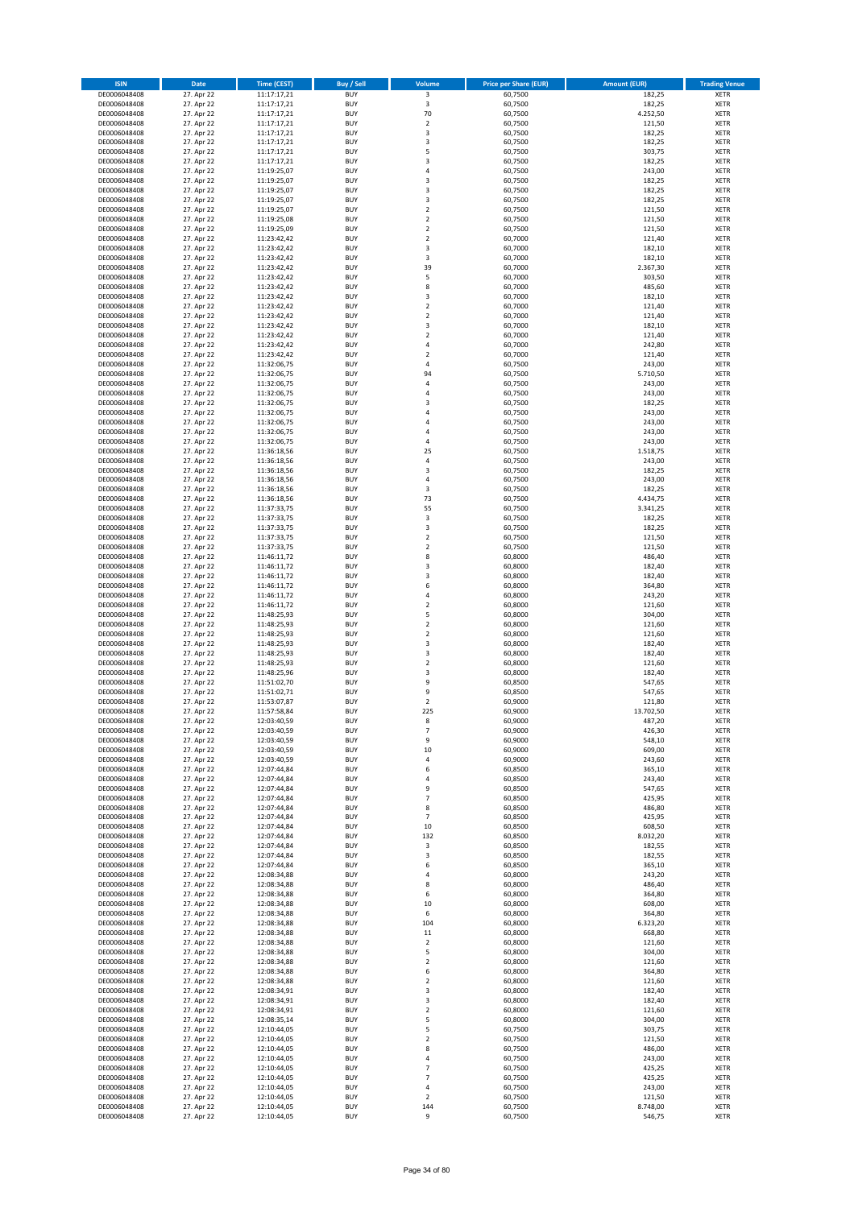| <b>ISIN</b>                  | Date                     | <b>Time (CEST)</b>         | <b>Buy / Sell</b>        | Volume                                | <b>Price per Share (EUR)</b> | <b>Amount (EUR)</b> | <b>Trading Venue</b>       |
|------------------------------|--------------------------|----------------------------|--------------------------|---------------------------------------|------------------------------|---------------------|----------------------------|
| DE0006048408                 | 27. Apr 22               | 11:17:17,21                | <b>BUY</b>               | 3                                     | 60,7500                      | 182,25              | <b>XETR</b>                |
| DE0006048408                 | 27. Apr 22               | 11:17:17,21                | <b>BUY</b>               | 3                                     | 60,7500                      | 182,25              | <b>XETR</b>                |
| DE0006048408<br>DE0006048408 | 27. Apr 22<br>27. Apr 22 | 11:17:17,21<br>11:17:17,21 | <b>BUY</b><br><b>BUY</b> | 70<br>$\mathbf 2$                     | 60,7500<br>60,7500           | 4.252,50<br>121,50  | <b>XETR</b><br><b>XETR</b> |
| DE0006048408                 | 27. Apr 22               | 11:17:17,21                | <b>BUY</b>               | $\mathsf 3$                           | 60,7500                      | 182,25              | <b>XETR</b>                |
| DE0006048408                 | 27. Apr 22               | 11:17:17,21                | <b>BUY</b>               | 3                                     | 60,7500                      | 182,25              | <b>XETR</b>                |
| DE0006048408                 | 27. Apr 22               | 11:17:17,21                | <b>BUY</b>               | 5                                     | 60,7500                      | 303,75              | <b>XETR</b>                |
| DE0006048408                 | 27. Apr 22               | 11:17:17,21                | <b>BUY</b>               | 3                                     | 60,7500                      | 182,25              | <b>XETR</b>                |
| DE0006048408<br>DE0006048408 | 27. Apr 22<br>27. Apr 22 | 11:19:25,07                | <b>BUY</b><br><b>BUY</b> | $\sqrt{4}$<br>3                       | 60,7500<br>60,7500           | 243,00<br>182,25    | XETR<br><b>XETR</b>        |
| DE0006048408                 | 27. Apr 22               | 11:19:25,07<br>11:19:25,07 | <b>BUY</b>               | $\overline{\mathbf{3}}$               | 60,7500                      | 182,25              | <b>XETR</b>                |
| DE0006048408                 | 27. Apr 22               | 11:19:25,07                | <b>BUY</b>               | 3                                     | 60,7500                      | 182,25              | <b>XETR</b>                |
| DE0006048408                 | 27. Apr 22               | 11:19:25,07                | <b>BUY</b>               | $\mathbf 2$                           | 60,7500                      | 121,50              | XETR                       |
| DE0006048408                 | 27. Apr 22               | 11:19:25,08                | <b>BUY</b>               | $\overline{2}$                        | 60,7500                      | 121,50              | <b>XETR</b>                |
| DE0006048408                 | 27. Apr 22               | 11:19:25,09                | <b>BUY</b>               | $\mathbf 2$                           | 60,7500                      | 121,50              | XETR                       |
| DE0006048408<br>DE0006048408 | 27. Apr 22<br>27. Apr 22 | 11:23:42,42<br>11:23:42,42 | <b>BUY</b><br><b>BUY</b> | $\overline{2}$<br>3                   | 60,7000<br>60,7000           | 121,40<br>182,10    | <b>XETR</b><br>XETR        |
| DE0006048408                 | 27. Apr 22               | 11:23:42,42                | <b>BUY</b>               | 3                                     | 60,7000                      | 182,10              | <b>XETR</b>                |
| DE0006048408                 | 27. Apr 22               | 11:23:42,42                | <b>BUY</b>               | 39                                    | 60,7000                      | 2.367,30            | XETR                       |
| DE0006048408                 | 27. Apr 22               | 11:23:42,42                | <b>BUY</b>               | 5                                     | 60,7000                      | 303,50              | <b>XETR</b>                |
| DE0006048408                 | 27. Apr 22<br>27. Apr 22 | 11:23:42,42<br>11:23:42,42 | <b>BUY</b><br><b>BUY</b> | 8<br>3                                | 60,7000<br>60,7000           | 485,60<br>182,10    | <b>XETR</b><br><b>XETR</b> |
| DE0006048408<br>DE0006048408 | 27. Apr 22               | 11:23:42,42                | <b>BUY</b>               | $\overline{2}$                        | 60,7000                      | 121,40              | <b>XETR</b>                |
| DE0006048408                 | 27. Apr 22               | 11:23:42,42                | <b>BUY</b>               | $\mathbf 2$                           | 60,7000                      | 121,40              | <b>XETR</b>                |
| DE0006048408                 | 27. Apr 22               | 11:23:42,42                | <b>BUY</b>               | 3                                     | 60,7000                      | 182,10              | <b>XETR</b>                |
| DE0006048408                 | 27. Apr 22               | 11:23:42,42                | <b>BUY</b>               | $\overline{2}$                        | 60,7000                      | 121,40              | <b>XETR</b>                |
| DE0006048408                 | 27. Apr 22               | 11:23:42,42                | <b>BUY</b>               | $\overline{4}$                        | 60,7000                      | 242,80              | <b>XETR</b>                |
| DE0006048408<br>DE0006048408 | 27. Apr 22<br>27. Apr 22 | 11:23:42,42<br>11:32:06,75 | <b>BUY</b><br><b>BUY</b> | $\overline{2}$<br>$\sqrt{4}$          | 60,7000<br>60,7500           | 121,40<br>243,00    | <b>XETR</b><br><b>XETR</b> |
| DE0006048408                 | 27. Apr 22               | 11:32:06,75                | <b>BUY</b>               | 94                                    | 60,7500                      | 5.710,50            | <b>XETR</b>                |
| DE0006048408                 | 27. Apr 22               | 11:32:06,75                | <b>BUY</b>               | $\sqrt{4}$                            | 60,7500                      | 243,00              | <b>XETR</b>                |
| DE0006048408                 | 27. Apr 22               | 11:32:06,75                | <b>BUY</b>               | $\sqrt{4}$                            | 60,7500                      | 243,00              | <b>XETR</b>                |
| DE0006048408<br>DE0006048408 | 27. Apr 22<br>27. Apr 22 | 11:32:06,75                | <b>BUY</b><br><b>BUY</b> | 3<br>$\sqrt{4}$                       | 60,7500                      | 182,25<br>243,00    | <b>XETR</b><br>XETR        |
| DE0006048408                 | 27. Apr 22               | 11:32:06,75<br>11:32:06,75 | <b>BUY</b>               | $\overline{a}$                        | 60,7500<br>60,7500           | 243,00              | <b>XETR</b>                |
| DE0006048408                 | 27. Apr 22               | 11:32:06,75                | <b>BUY</b>               | $\overline{4}$                        | 60,7500                      | 243,00              | XETR                       |
| DE0006048408                 | 27. Apr 22               | 11:32:06,75                | <b>BUY</b>               | $\overline{4}$                        | 60,7500                      | 243,00              | <b>XETR</b>                |
| DE0006048408                 | 27. Apr 22               | 11:36:18,56                | <b>BUY</b>               | 25                                    | 60,7500                      | 1.518,75            | <b>XETR</b>                |
| DE0006048408                 | 27. Apr 22               | 11:36:18,56                | <b>BUY</b>               | $\sqrt{4}$                            | 60,7500                      | 243,00              | <b>XETR</b>                |
| DE0006048408<br>DE0006048408 | 27. Apr 22<br>27. Apr 22 | 11:36:18,56<br>11:36:18,56 | <b>BUY</b><br><b>BUY</b> | $\overline{\mathbf{3}}$<br>$\sqrt{4}$ | 60,7500<br>60,7500           | 182,25<br>243,00    | <b>XETR</b><br><b>XETR</b> |
| DE0006048408                 | 27. Apr 22               | 11:36:18,56                | <b>BUY</b>               | 3                                     | 60,7500                      | 182,25              | <b>XETR</b>                |
| DE0006048408                 | 27. Apr 22               | 11:36:18,56                | <b>BUY</b>               | 73                                    | 60,7500                      | 4.434,75            | <b>XETR</b>                |
| DE0006048408                 | 27. Apr 22               | 11:37:33,75                | <b>BUY</b>               | 55                                    | 60,7500                      | 3.341,25            | <b>XETR</b>                |
| DE0006048408                 | 27. Apr 22               | 11:37:33,75                | <b>BUY</b>               | 3                                     | 60,7500                      | 182,25              | <b>XETR</b>                |
| DE0006048408                 | 27. Apr 22               | 11:37:33,75                | <b>BUY</b>               | 3                                     | 60,7500                      | 182,25              | <b>XETR</b>                |
| DE0006048408<br>DE0006048408 | 27. Apr 22<br>27. Apr 22 | 11:37:33,75<br>11:37:33,75 | <b>BUY</b><br><b>BUY</b> | $\mathbf 2$<br>$\sqrt{2}$             | 60,7500<br>60,7500           | 121,50<br>121,50    | <b>XETR</b><br><b>XETR</b> |
| DE0006048408                 | 27. Apr 22               | 11:46:11,72                | <b>BUY</b>               | 8                                     | 60,8000                      | 486,40              | <b>XETR</b>                |
| DE0006048408                 | 27. Apr 22               | 11:46:11,72                | <b>BUY</b>               | 3                                     | 60,8000                      | 182,40              | <b>XETR</b>                |
| DE0006048408                 | 27. Apr 22               | 11:46:11,72                | <b>BUY</b>               | 3                                     | 60,8000                      | 182,40              | <b>XETR</b>                |
| DE0006048408                 | 27. Apr 22               | 11:46:11,72                | <b>BUY</b><br><b>BUY</b> | 6<br>$\sqrt{4}$                       | 60,8000                      | 364,80              | <b>XETR</b>                |
| DE0006048408<br>DE0006048408 | 27. Apr 22<br>27. Apr 22 | 11:46:11,72<br>11:46:11,72 | <b>BUY</b>               | $\overline{2}$                        | 60,8000<br>60,8000           | 243,20<br>121,60    | <b>XETR</b><br><b>XETR</b> |
| DE0006048408                 | 27. Apr 22               | 11:48:25,93                | <b>BUY</b>               | 5                                     | 60,8000                      | 304,00              | <b>XETR</b>                |
| DE0006048408                 | 27. Apr 22               | 11:48:25,93                | <b>BUY</b>               | $\overline{2}$                        | 60,8000                      | 121,60              | <b>XETR</b>                |
| DE0006048408                 | 27. Apr 22               | 11:48:25,93                | <b>BUY</b>               | $\mathbf 2$                           | 60,8000                      | 121,60              | <b>XETR</b>                |
| DE0006048408                 | 27. Apr 22               | 11:48:25,93                | <b>BUY</b>               | 3                                     | 60,8000                      | 182,40              | <b>XETR</b>                |
| DE0006048408<br>DE0006048408 | 27. Apr 22<br>27. Apr 22 | 11:48:25,93<br>11:48:25,93 | <b>BUY</b><br><b>BUY</b> | 3<br>$\overline{2}$                   | 60,8000<br>60,8000           | 182,40<br>121,60    | <b>XETR</b><br><b>XETR</b> |
| DE0006048408                 | 27. Apr 22               | 11:48:25,96                | <b>BUY</b>               | 3                                     | 60,8000                      | 182,40              | XETR                       |
| DE0006048408                 | 27. Apr 22               | 11:51:02,70                | <b>BUY</b>               | 9                                     | 60,8500                      | 547,65              | <b>XETR</b>                |
| DE0006048408                 | 27. Apr 22               | 11:51:02,71                | <b>BUY</b>               | 9                                     | 60,8500                      | 547,65              | XETR                       |
| DE0006048408<br>DE0006048408 | 27. Apr 22<br>27. Apr 22 | 11:53:07,87                | <b>BUY</b>               | $\overline{2}$                        | 60,9000                      | 121,80              | <b>XETR</b>                |
| DE0006048408                 | 27. Apr 22               | 11:57:58,84<br>12:03:40,59 | <b>BUY</b><br><b>BUY</b> | 225<br>8                              | 60,9000<br>60,9000           | 13.702,50<br>487,20 | <b>XETR</b><br>XETR        |
| DE0006048408                 | 27. Apr 22               | 12:03:40,59                | <b>BUY</b>               | $\overline{\phantom{a}}$              | 60,9000                      | 426,30              | XETR                       |
| DE0006048408                 | 27. Apr 22               | 12:03:40,59                | <b>BUY</b>               | 9                                     | 60,9000                      | 548,10              | XETR                       |
| DE0006048408                 | 27. Apr 22               | 12:03:40,59                | <b>BUY</b>               | 10                                    | 60,9000                      | 609,00              | <b>XETR</b>                |
| DE0006048408                 | 27. Apr 22<br>27. Apr 22 | 12:03:40,59                | <b>BUY</b>               | 4                                     | 60,9000                      | 243,60              | <b>XETR</b>                |
| DE0006048408<br>DE0006048408 | 27. Apr 22               | 12:07:44,84<br>12:07:44,84 | <b>BUY</b><br><b>BUY</b> | 6<br>4                                | 60,8500<br>60,8500           | 365,10<br>243,40    | XETR<br><b>XETR</b>        |
| DE0006048408                 | 27. Apr 22               | 12:07:44,84                | <b>BUY</b>               | 9                                     | 60,8500                      | 547,65              | XETR                       |
| DE0006048408                 | 27. Apr 22               | 12:07:44,84                | <b>BUY</b>               | $\overline{7}$                        | 60,8500                      | 425,95              | <b>XETR</b>                |
| DE0006048408                 | 27. Apr 22               | 12:07:44,84                | <b>BUY</b>               | 8                                     | 60,8500                      | 486,80              | XETR                       |
| DE0006048408<br>DE0006048408 | 27. Apr 22<br>27. Apr 22 | 12:07:44,84<br>12:07:44,84 | <b>BUY</b><br><b>BUY</b> | $\overline{7}$<br>10                  | 60,8500<br>60,8500           | 425,95<br>608,50    | <b>XETR</b><br><b>XETR</b> |
| DE0006048408                 | 27. Apr 22               | 12:07:44,84                | <b>BUY</b>               | 132                                   | 60,8500                      | 8.032,20            | <b>XETR</b>                |
| DE0006048408                 | 27. Apr 22               | 12:07:44,84                | <b>BUY</b>               | 3                                     | 60,8500                      | 182,55              | XETR                       |
| DE0006048408                 | 27. Apr 22               | 12:07:44,84                | <b>BUY</b>               | 3                                     | 60,8500                      | 182,55              | <b>XETR</b>                |
| DE0006048408                 | 27. Apr 22               | 12:07:44,84                | <b>BUY</b>               | 6                                     | 60,8500                      | 365,10              | <b>XETR</b>                |
| DE0006048408<br>DE0006048408 | 27. Apr 22<br>27. Apr 22 | 12:08:34,88<br>12:08:34,88 | <b>BUY</b><br><b>BUY</b> | 4<br>8                                | 60,8000<br>60,8000           | 243,20<br>486,40    | <b>XETR</b><br><b>XETR</b> |
| DE0006048408                 | 27. Apr 22               | 12:08:34,88                | <b>BUY</b>               | 6                                     | 60,8000                      | 364,80              | <b>XETR</b>                |
| DE0006048408                 | 27. Apr 22               | 12:08:34,88                | <b>BUY</b>               | 10                                    | 60,8000                      | 608,00              | <b>XETR</b>                |
| DE0006048408                 | 27. Apr 22               | 12:08:34,88                | <b>BUY</b>               | 6                                     | 60,8000                      | 364,80              | <b>XETR</b>                |
| DE0006048408                 | 27. Apr 22               | 12:08:34,88                | <b>BUY</b>               | 104                                   | 60,8000                      | 6.323,20            | <b>XETR</b>                |
| DE0006048408<br>DE0006048408 | 27. Apr 22<br>27. Apr 22 | 12:08:34,88<br>12:08:34,88 | <b>BUY</b><br><b>BUY</b> | $11\,$<br>$\overline{2}$              | 60,8000<br>60,8000           | 668,80<br>121,60    | XETR<br>XETR               |
| DE0006048408                 | 27. Apr 22               | 12:08:34,88                | <b>BUY</b>               | 5                                     | 60,8000                      | 304,00              | XETR                       |
| DE0006048408                 | 27. Apr 22               | 12:08:34,88                | <b>BUY</b>               | $\overline{2}$                        | 60,8000                      | 121,60              | <b>XETR</b>                |
| DE0006048408                 | 27. Apr 22               | 12:08:34,88                | <b>BUY</b>               | 6                                     | 60,8000                      | 364,80              | XETR                       |
| DE0006048408                 | 27. Apr 22               | 12:08:34,88                | <b>BUY</b>               | $\overline{2}$                        | 60,8000                      | 121,60              | XETR                       |
| DE0006048408                 | 27. Apr 22               | 12:08:34,91                | <b>BUY</b><br><b>BUY</b> | 3<br>3                                | 60,8000                      | 182,40              | XETR                       |
| DE0006048408<br>DE0006048408 | 27. Apr 22<br>27. Apr 22 | 12:08:34,91<br>12:08:34,91 | <b>BUY</b>               | $\mathbf 2$                           | 60,8000<br>60,8000           | 182,40<br>121,60    | <b>XETR</b><br>XETR        |
| DE0006048408                 | 27. Apr 22               | 12:08:35,14                | <b>BUY</b>               | 5                                     | 60,8000                      | 304,00              | XETR                       |
| DE0006048408                 | 27. Apr 22               | 12:10:44,05                | <b>BUY</b>               | 5                                     | 60,7500                      | 303,75              | <b>XETR</b>                |
| DE0006048408                 | 27. Apr 22               | 12:10:44,05                | <b>BUY</b>               | $\mathbf 2$                           | 60,7500                      | 121,50              | <b>XETR</b>                |
| DE0006048408<br>DE0006048408 | 27. Apr 22<br>27. Apr 22 | 12:10:44,05<br>12:10:44,05 | <b>BUY</b><br><b>BUY</b> | 8<br>4                                | 60,7500<br>60,7500           | 486,00<br>243,00    | <b>XETR</b><br><b>XETR</b> |
| DE0006048408                 | 27. Apr 22               | 12:10:44,05                | <b>BUY</b>               | $\overline{7}$                        | 60,7500                      | 425,25              | <b>XETR</b>                |
| DE0006048408                 | 27. Apr 22               | 12:10:44,05                | <b>BUY</b>               | $\overline{7}$                        | 60,7500                      | 425,25              | <b>XETR</b>                |
| DE0006048408                 | 27. Apr 22               | 12:10:44,05                | <b>BUY</b>               | $\pmb{4}$                             | 60,7500                      | 243,00              | <b>XETR</b>                |
| DE0006048408                 | 27. Apr 22               | 12:10:44,05                | <b>BUY</b>               | $\overline{2}$                        | 60,7500                      | 121,50              | <b>XETR</b>                |
| DE0006048408                 | 27. Apr 22               | 12:10:44,05                | <b>BUY</b>               | 144                                   | 60,7500<br>60,7500           | 8.748,00<br>546,75  | <b>XETR</b>                |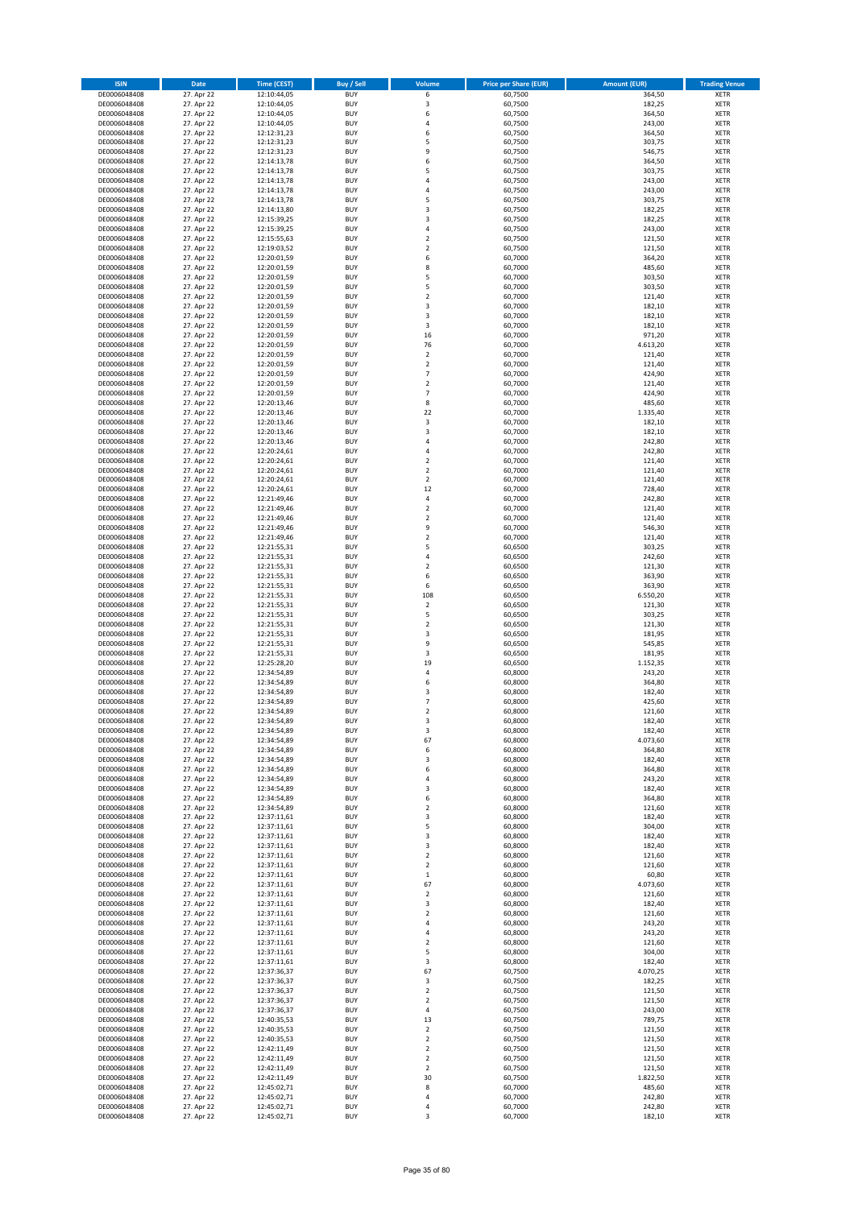| <b>ISIN</b>                  | <b>Date</b>              | <b>Time (CEST)</b>         | <b>Buy / Sell</b>        | Volume                        | <b>Price per Share (EUR)</b> | <b>Amount (EUR)</b> | <b>Trading Venue</b>       |
|------------------------------|--------------------------|----------------------------|--------------------------|-------------------------------|------------------------------|---------------------|----------------------------|
| DE0006048408                 | 27. Apr 22               | 12:10:44,05                | <b>BUY</b>               | 6                             | 60,7500                      | 364,50              | XETR                       |
| DE0006048408<br>DE0006048408 | 27. Apr 22<br>27. Apr 22 | 12:10:44,05<br>12:10:44,05 | <b>BUY</b><br><b>BUY</b> | 3<br>6                        | 60,7500<br>60,7500           | 182,25<br>364,50    | XETR<br>XETR               |
| DE0006048408                 | 27. Apr 22               | 12:10:44,05                | <b>BUY</b>               | 4                             | 60,7500                      | 243,00              | XETR                       |
| DE0006048408                 | 27. Apr 22               | 12:12:31,23                | <b>BUY</b>               | 6                             | 60,7500                      | 364,50              | XETR                       |
| DE0006048408                 | 27. Apr 22               | 12:12:31,23                | <b>BUY</b>               | 5                             | 60,7500                      | 303,75              | <b>XETR</b>                |
| DE0006048408<br>DE0006048408 | 27. Apr 22<br>27. Apr 22 | 12:12:31,23<br>12:14:13,78 | <b>BUY</b><br><b>BUY</b> | 9<br>6                        | 60,7500<br>60,7500           | 546,75<br>364,50    | <b>XETR</b><br><b>XETR</b> |
| DE0006048408                 | 27. Apr 22               | 12:14:13,78                | <b>BUY</b>               | 5                             | 60,7500                      | 303,75              | <b>XETR</b>                |
| DE0006048408                 | 27. Apr 22               | 12:14:13,78                | <b>BUY</b>               | $\overline{4}$                | 60,7500                      | 243,00              | <b>XETR</b>                |
| DE0006048408                 | 27. Apr 22               | 12:14:13,78                | <b>BUY</b>               | 4                             | 60,7500                      | 243,00              | <b>XETR</b>                |
| DE0006048408<br>DE0006048408 | 27. Apr 22<br>27. Apr 22 | 12:14:13,78<br>12:14:13,80 | <b>BUY</b><br><b>BUY</b> | 5<br>3                        | 60,7500<br>60,7500           | 303,75<br>182,25    | <b>XETR</b><br>XETR        |
| DE0006048408                 | 27. Apr 22               | 12:15:39,25                | <b>BUY</b>               | $\overline{\mathbf{3}}$       | 60,7500                      | 182,25              | <b>XETR</b>                |
| DE0006048408                 | 27. Apr 22               | 12:15:39,25                | <b>BUY</b>               | 4                             | 60,7500                      | 243,00              | XETR                       |
| DE0006048408                 | 27. Apr 22               | 12:15:55,63                | <b>BUY</b>               | $\mathbf 2$                   | 60,7500                      | 121,50              | <b>XETR</b>                |
| DE0006048408<br>DE0006048408 | 27. Apr 22<br>27. Apr 22 | 12:19:03,52<br>12:20:01,59 | <b>BUY</b><br><b>BUY</b> | $\mathbf 2$<br>6              | 60,7500<br>60,7000           | 121,50<br>364,20    | XETR<br><b>XETR</b>        |
| DE0006048408                 | 27. Apr 22               | 12:20:01,59                | <b>BUY</b>               | 8                             | 60,7000                      | 485,60              | XETR                       |
| DE0006048408                 | 27. Apr 22               | 12:20:01,59                | <b>BUY</b>               | 5                             | 60,7000                      | 303,50              | <b>XETR</b>                |
| DE0006048408                 | 27. Apr 22               | 12:20:01,59                | <b>BUY</b>               | 5                             | 60,7000                      | 303,50              | XETR                       |
| DE0006048408<br>DE0006048408 | 27. Apr 22<br>27. Apr 22 | 12:20:01,59<br>12:20:01,59 | <b>BUY</b><br><b>BUY</b> | $\mathbf 2$<br>3              | 60,7000<br>60,7000           | 121,40<br>182,10    | XETR<br><b>XETR</b>        |
| DE0006048408                 | 27. Apr 22               | 12:20:01,59                | <b>BUY</b>               | 3                             | 60,7000                      | 182,10              | <b>XETR</b>                |
| DE0006048408                 | 27. Apr 22               | 12:20:01,59                | <b>BUY</b>               | 3                             | 60,7000                      | 182,10              | <b>XETR</b>                |
| DE0006048408                 | 27. Apr 22               | 12:20:01,59                | <b>BUY</b>               | 16                            | 60,7000                      | 971,20              | <b>XETR</b>                |
| DE0006048408<br>DE0006048408 | 27. Apr 22<br>27. Apr 22 | 12:20:01,59<br>12:20:01,59 | <b>BUY</b><br><b>BUY</b> | 76<br>$\mathbf 2$             | 60,7000<br>60,7000           | 4.613,20<br>121,40  | <b>XETR</b><br><b>XETR</b> |
| DE0006048408                 | 27. Apr 22               | 12:20:01,59                | <b>BUY</b>               | $\mathbf 2$                   | 60,7000                      | 121,40              | <b>XETR</b>                |
| DE0006048408                 | 27. Apr 22               | 12:20:01,59                | <b>BUY</b>               | $\overline{7}$                | 60,7000                      | 424,90              | <b>XETR</b>                |
| DE0006048408                 | 27. Apr 22               | 12:20:01,59                | <b>BUY</b>               | $\mathbf 2$                   | 60,7000                      | 121,40              | <b>XETR</b>                |
| DE0006048408<br>DE0006048408 | 27. Apr 22<br>27. Apr 22 | 12:20:01,59<br>12:20:13,46 | <b>BUY</b><br><b>BUY</b> | $\overline{7}$<br>8           | 60,7000<br>60,7000           | 424,90<br>485,60    | <b>XETR</b><br><b>XETR</b> |
| DE0006048408                 | 27. Apr 22               | 12:20:13,46                | <b>BUY</b>               | 22                            | 60,7000                      | 1.335,40            | XETR                       |
| DE0006048408                 | 27. Apr 22               | 12:20:13,46                | <b>BUY</b>               | 3                             | 60,7000                      | 182,10              | <b>XETR</b>                |
| DE0006048408<br>DE0006048408 | 27. Apr 22<br>27. Apr 22 | 12:20:13,46                | <b>BUY</b><br><b>BUY</b> | 3<br>4                        | 60,7000<br>60,7000           | 182,10<br>242,80    | XETR<br><b>XETR</b>        |
| DE0006048408                 | 27. Apr 22               | 12:20:13,46<br>12:20:24,61 | <b>BUY</b>               | 4                             | 60,7000                      | 242,80              | XETR                       |
| DE0006048408                 | 27. Apr 22               | 12:20:24,61                | <b>BUY</b>               | $\mathbf 2$                   | 60,7000                      | 121,40              | <b>XETR</b>                |
| DE0006048408                 | 27. Apr 22               | 12:20:24,61                | <b>BUY</b>               | $\mathbf 2$                   | 60,7000                      | 121,40              | <b>XETR</b>                |
| DE0006048408<br>DE0006048408 | 27. Apr 22<br>27. Apr 22 | 12:20:24,61<br>12:20:24,61 | <b>BUY</b><br><b>BUY</b> | $\mathbf 2$<br>12             | 60,7000<br>60,7000           | 121,40<br>728,40    | <b>XETR</b><br><b>XETR</b> |
| DE0006048408                 | 27. Apr 22               | 12:21:49,46                | <b>BUY</b>               | 4                             | 60,7000                      | 242,80              | <b>XETR</b>                |
| DE0006048408                 | 27. Apr 22               | 12:21:49,46                | <b>BUY</b>               | $\mathbf 2$                   | 60,7000                      | 121,40              | <b>XETR</b>                |
| DE0006048408                 | 27. Apr 22               | 12:21:49,46                | <b>BUY</b>               | $\mathbf 2$                   | 60,7000                      | 121,40              | <b>XETR</b>                |
| DE0006048408<br>DE0006048408 | 27. Apr 22<br>27. Apr 22 | 12:21:49,46<br>12:21:49,46 | <b>BUY</b><br><b>BUY</b> | 9<br>$\mathbf 2$              | 60,7000<br>60,7000           | 546,30<br>121,40    | XETR<br>XETR               |
| DE0006048408                 | 27. Apr 22               | 12:21:55,31                | <b>BUY</b>               | 5                             | 60,6500                      | 303,25              | <b>XETR</b>                |
| DE0006048408                 | 27. Apr 22               | 12:21:55,31                | <b>BUY</b>               | 4                             | 60,6500                      | 242,60              | <b>XETR</b>                |
| DE0006048408                 | 27. Apr 22               | 12:21:55,31                | <b>BUY</b><br><b>BUY</b> | $\mathbf 2$                   | 60,6500                      | 121,30              | <b>XETR</b>                |
| DE0006048408<br>DE0006048408 | 27. Apr 22<br>27. Apr 22 | 12:21:55,31<br>12:21:55,31 | <b>BUY</b>               | 6<br>6                        | 60,6500<br>60,6500           | 363,90<br>363,90    | <b>XETR</b><br><b>XETR</b> |
| DE0006048408                 | 27. Apr 22               | 12:21:55,31                | <b>BUY</b>               | 108                           | 60,6500                      | 6.550,20            | <b>XETR</b>                |
| DE0006048408                 | 27. Apr 22               | 12:21:55,31                | <b>BUY</b>               | $\sqrt{2}$                    | 60,6500                      | 121,30              | XETR                       |
| DE0006048408<br>DE0006048408 | 27. Apr 22<br>27. Apr 22 | 12:21:55,31<br>12:21:55,31 | <b>BUY</b><br><b>BUY</b> | 5<br>$\mathbf 2$              | 60,6500<br>60,6500           | 303,25<br>121,30    | XETR<br><b>XETR</b>        |
| DE0006048408                 | 27. Apr 22               | 12:21:55,31                | <b>BUY</b>               | 3                             | 60,6500                      | 181,95              | <b>XETR</b>                |
| DE0006048408                 | 27. Apr 22               | 12:21:55,31                | <b>BUY</b>               | 9                             | 60,6500                      | 545,85              | <b>XETR</b>                |
| DE0006048408                 | 27. Apr 22               | 12:21:55,31                | <b>BUY</b>               | 3                             | 60,6500                      | 181,95              | XETR                       |
| DE0006048408<br>DE0006048408 | 27. Apr 22<br>27. Apr 22 | 12:25:28,20<br>12:34:54,89 | <b>BUY</b><br><b>BUY</b> | 19<br>4                       | 60,6500<br>60,8000           | 1.152,35<br>243,20  | <b>XETR</b><br>XETR        |
| DE0006048408                 | 27. Apr 22               | 12:34:54,89                | <b>BUY</b>               | 6                             | 60,8000                      | 364,80              | <b>XETR</b>                |
| DE0006048408                 | 27. Apr 22               | 12:34:54,89                | <b>BUY</b>               | 3                             | 60,8000                      | 182,40              | XETR                       |
| DE0006048408<br>DE0006048408 | 27. Apr 22<br>27. Apr 22 | 12:34:54,89<br>12:34:54,89 | <b>BUY</b><br><b>BUY</b> | $\overline{7}$<br>$\mathbf 2$ | 60,8000<br>60,8000           | 425,60<br>121,60    | <b>XETR</b><br><b>XETR</b> |
| DE0006048408                 | 27. Apr 22               | 12:34:54,89                | <b>BUY</b>               | 3                             | 60,8000                      | 182,40              | XETR                       |
| DE0006048408                 | 27. Apr 22               | 12:34:54,89                | <b>BUY</b>               | 3                             | 60,8000                      | 182,40              | XETR                       |
| DE0006048408                 | 27. Apr 22               | 12:34:54,89                | <b>BUY</b>               | 67                            | 60,8000                      | 4.073,60            | XETR                       |
| DE0006048408<br>DE0006048408 | 27. Apr 22<br>27. Apr 22 | 12:34:54,89<br>12:34:54,89 | <b>BUY</b><br><b>BUY</b> | 6<br>3                        | 60,8000<br>60,8000           | 364,80<br>182,40    | XETR<br><b>XETR</b>        |
| DE0006048408                 | 27. Apr 22               | 12:34:54,89                | <b>BUY</b>               | 6                             | 60,8000                      | 364,80              | XETR                       |
| DE0006048408                 | 27. Apr 22               | 12:34:54,89                | <b>BUY</b>               | 4                             | 60,8000                      | 243,20              | <b>XETR</b>                |
| DE0006048408<br>DE0006048408 | 27. Apr 22<br>27. Apr 22 | 12:34:54,89<br>12:34:54,89 | <b>BUY</b><br><b>BUY</b> | 3<br>6                        | 60,8000<br>60,8000           | 182,40<br>364,80    | XETR<br><b>XETR</b>        |
| DE0006048408                 | 27. Apr 22               | 12:34:54,89                | <b>BUY</b>               | $\mathbf 2$                   | 60,8000                      | 121,60              | XETR                       |
| DE0006048408                 | 27. Apr 22               | 12:37:11,61                | <b>BUY</b>               | 3                             | 60,8000                      | 182,40              | <b>XETR</b>                |
| DE0006048408                 | 27. Apr 22               | 12:37:11,61                | <b>BUY</b>               | 5                             | 60,8000                      | 304,00              | XETR                       |
| DE0006048408<br>DE0006048408 | 27. Apr 22<br>27. Apr 22 | 12:37:11,61<br>12:37:11,61 | <b>BUY</b><br><b>BUY</b> | 3<br>3                        | 60,8000<br>60,8000           | 182,40<br>182,40    | <b>XETR</b><br>XETR        |
| DE0006048408                 | 27. Apr 22               | 12:37:11,61                | <b>BUY</b>               | $\mathbf 2$                   | 60,8000                      | 121,60              | <b>XETR</b>                |
| DE0006048408                 | 27. Apr 22               | 12:37:11,61                | <b>BUY</b>               | $\mathbf 2$                   | 60,8000                      | 121,60              | XETR                       |
| DE0006048408                 | 27. Apr 22               | 12:37:11,61                | <b>BUY</b>               | $\mathbf 1$                   | 60,8000                      | 60,80               | <b>XETR</b>                |
| DE0006048408<br>DE0006048408 | 27. Apr 22<br>27. Apr 22 | 12:37:11,61<br>12:37:11,61 | <b>BUY</b><br><b>BUY</b> | 67<br>2                       | 60,8000<br>60,8000           | 4.073,60<br>121,60  | <b>XETR</b><br><b>XETR</b> |
| DE0006048408                 | 27. Apr 22               | 12:37:11,61                | <b>BUY</b>               | 3                             | 60,8000                      | 182,40              | XETR                       |
| DE0006048408                 | 27. Apr 22               | 12:37:11,61                | <b>BUY</b>               | $\mathbf 2$                   | 60,8000                      | 121,60              | <b>XETR</b>                |
| DE0006048408<br>DE0006048408 | 27. Apr 22<br>27. Apr 22 | 12:37:11,61<br>12:37:11,61 | <b>BUY</b><br><b>BUY</b> | 4<br>4                        | 60,8000<br>60,8000           | 243,20<br>243,20    | <b>XETR</b><br>XETR        |
| DE0006048408                 | 27. Apr 22               | 12:37:11,61                | <b>BUY</b>               | $\overline{\mathbf{2}}$       | 60,8000                      | 121,60              | <b>XETR</b>                |
| DE0006048408                 | 27. Apr 22               | 12:37:11,61                | <b>BUY</b>               | 5                             | 60,8000                      | 304,00              | XETR                       |
| DE0006048408                 | 27. Apr 22               | 12:37:11,61                | <b>BUY</b>               | 3                             | 60,8000                      | 182,40              | <b>XETR</b>                |
| DE0006048408<br>DE0006048408 | 27. Apr 22<br>27. Apr 22 | 12:37:36,37<br>12:37:36,37 | <b>BUY</b><br><b>BUY</b> | 67<br>3                       | 60,7500<br>60,7500           | 4.070,25<br>182,25  | XETR<br><b>XETR</b>        |
| DE0006048408                 | 27. Apr 22               | 12:37:36,37                | <b>BUY</b>               | $\mathbf 2$                   | 60,7500                      | 121,50              | XETR                       |
| DE0006048408                 | 27. Apr 22               | 12:37:36,37                | <b>BUY</b>               | $\overline{2}$                | 60,7500                      | 121,50              | <b>XETR</b>                |
| DE0006048408                 | 27. Apr 22               | 12:37:36,37                | <b>BUY</b>               | 4                             | 60,7500                      | 243,00              | XETR                       |
| DE0006048408<br>DE0006048408 | 27. Apr 22<br>27. Apr 22 | 12:40:35,53<br>12:40:35,53 | <b>BUY</b><br><b>BUY</b> | 13<br>$\mathbf 2$             | 60,7500<br>60,7500           | 789,75<br>121,50    | <b>XETR</b><br>XETR        |
| DE0006048408                 | 27. Apr 22               | 12:40:35,53                | <b>BUY</b>               | $\overline{\mathbf{c}}$       | 60,7500                      | 121,50              | <b>XETR</b>                |
| DE0006048408                 | 27. Apr 22               | 12:42:11,49                | <b>BUY</b>               | 2                             | 60,7500                      | 121,50              | <b>XETR</b>                |
| DE0006048408                 | 27. Apr 22               | 12:42:11,49                | <b>BUY</b>               | 2                             | 60,7500                      | 121,50              | <b>XETR</b>                |
| DE0006048408<br>DE0006048408 | 27. Apr 22<br>27. Apr 22 | 12:42:11,49<br>12:42:11,49 | <b>BUY</b><br><b>BUY</b> | $\mathbf 2$<br>30             | 60,7500<br>60,7500           | 121,50<br>1.822,50  | XETR<br><b>XETR</b>        |
| DE0006048408                 | 27. Apr 22               | 12:45:02,71                | <b>BUY</b>               | 8                             | 60,7000                      | 485,60              | XETR                       |
| DE0006048408                 | 27. Apr 22               | 12:45:02,71                | <b>BUY</b>               | 4                             | 60,7000                      | 242,80              | XETR                       |
| DE0006048408<br>DE0006048408 | 27. Apr 22<br>27. Apr 22 | 12:45:02,71<br>12:45:02,71 | <b>BUY</b><br><b>BUY</b> | 4<br>3                        | 60,7000<br>60,7000           | 242,80<br>182,10    | XETR<br><b>XETR</b>        |
|                              |                          |                            |                          |                               |                              |                     |                            |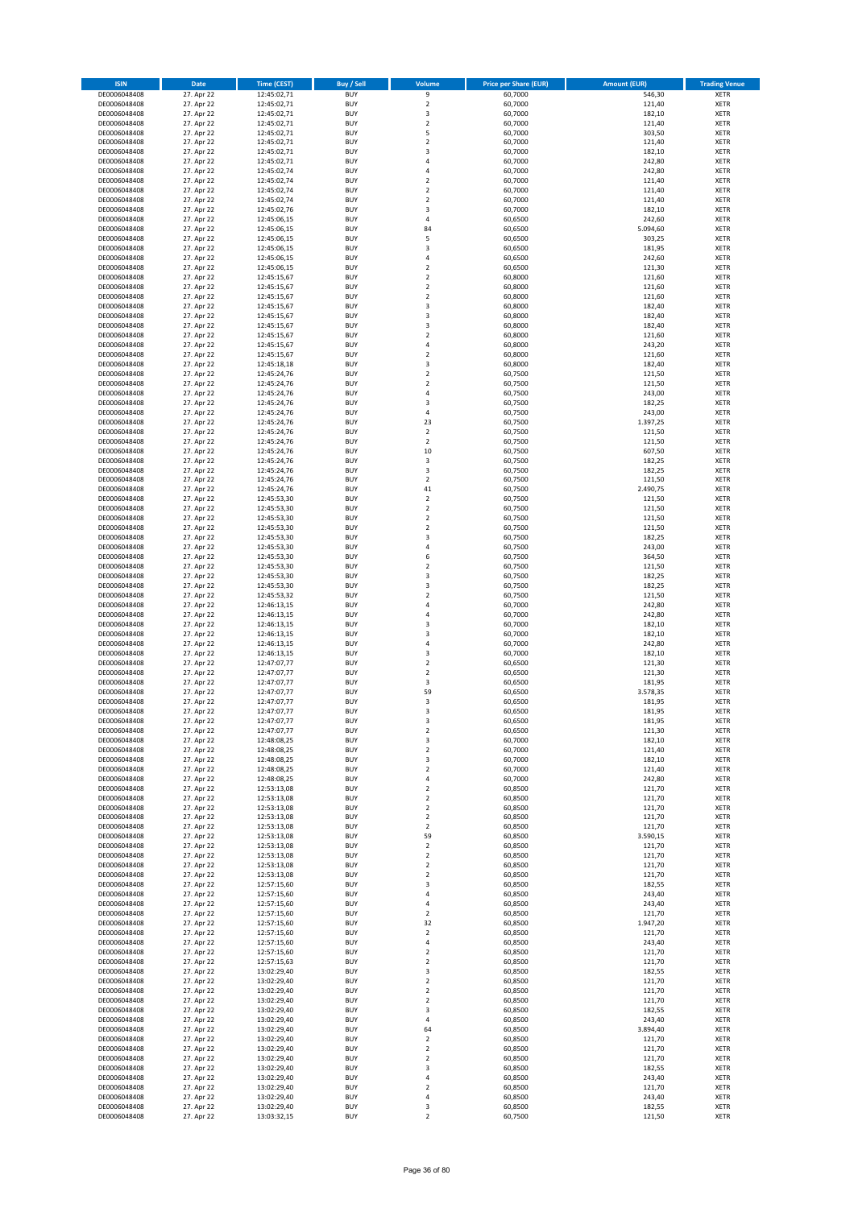| <b>ISIN</b>                  | <b>Date</b>              | <b>Time (CEST)</b>         | Buy / Sell               | Volume                        | <b>Price per Share (EUR)</b> | <b>Amount (EUR)</b> | <b>Trading Venue</b>       |
|------------------------------|--------------------------|----------------------------|--------------------------|-------------------------------|------------------------------|---------------------|----------------------------|
| DE0006048408                 | 27. Apr 22               | 12:45:02,71                | <b>BUY</b>               | 9                             | 60,7000                      | 546,30              | XETR                       |
| DE0006048408                 | 27. Apr 22               | 12:45:02,71                | <b>BUY</b>               | $\mathbf 2$                   | 60,7000                      | 121,40              | XETR                       |
| DE0006048408<br>DE0006048408 | 27. Apr 22<br>27. Apr 22 | 12:45:02,71<br>12:45:02,71 | <b>BUY</b><br><b>BUY</b> | 3<br>$\mathbf 2$              | 60,7000<br>60,7000           | 182,10<br>121,40    | XETR<br>XETR               |
| DE0006048408                 | 27. Apr 22               | 12:45:02,71                | <b>BUY</b>               | 5                             | 60,7000                      | 303,50              | XETR                       |
| DE0006048408                 | 27. Apr 22               | 12:45:02,71                | <b>BUY</b>               | $\overline{\mathbf{c}}$       | 60,7000                      | 121,40              | <b>XETR</b>                |
| DE0006048408                 | 27. Apr 22               | 12:45:02,71                | <b>BUY</b>               | 3                             | 60,7000                      | 182,10              | <b>XETR</b>                |
| DE0006048408                 | 27. Apr 22               | 12:45:02,71                | <b>BUY</b>               | $\overline{4}$                | 60,7000                      | 242,80              | <b>XETR</b>                |
| DE0006048408                 | 27. Apr 22               | 12:45:02,74                | <b>BUY</b><br><b>BUY</b> | 4<br>$\overline{\mathbf{c}}$  | 60,7000                      | 242,80              | <b>XETR</b><br><b>XETR</b> |
| DE0006048408<br>DE0006048408 | 27. Apr 22<br>27. Apr 22 | 12:45:02,74<br>12:45:02,74 | <b>BUY</b>               | $\overline{\mathbf{c}}$       | 60,7000<br>60,7000           | 121,40<br>121,40    | XETR                       |
| DE0006048408                 | 27. Apr 22               | 12:45:02,74                | <b>BUY</b>               | $\overline{2}$                | 60,7000                      | 121,40              | <b>XETR</b>                |
| DE0006048408                 | 27. Apr 22               | 12:45:02,76                | <b>BUY</b>               | 3                             | 60,7000                      | 182,10              | XETR                       |
| DE0006048408                 | 27. Apr 22               | 12:45:06,15                | <b>BUY</b>               | 4                             | 60,6500                      | 242,60              | <b>XETR</b>                |
| DE0006048408                 | 27. Apr 22               | 12:45:06,15                | <b>BUY</b>               | 84                            | 60,6500                      | 5.094,60            | XETR                       |
| DE0006048408                 | 27. Apr 22<br>27. Apr 22 | 12:45:06,15                | <b>BUY</b><br><b>BUY</b> | 5                             | 60,6500                      | 303,25<br>181,95    | <b>XETR</b><br>XETR        |
| DE0006048408<br>DE0006048408 | 27. Apr 22               | 12:45:06,15<br>12:45:06,15 | <b>BUY</b>               | 3<br>4                        | 60,6500<br>60,6500           | 242,60              | <b>XETR</b>                |
| DE0006048408                 | 27. Apr 22               | 12:45:06,15                | <b>BUY</b>               | $\overline{\mathbf{c}}$       | 60,6500                      | 121,30              | XETR                       |
| DE0006048408                 | 27. Apr 22               | 12:45:15,67                | <b>BUY</b>               | $\mathbf 2$                   | 60,8000                      | 121,60              | <b>XETR</b>                |
| DE0006048408                 | 27. Apr 22               | 12:45:15,67                | <b>BUY</b>               | $\mathbf 2$                   | 60,8000                      | 121,60              | XETR                       |
| DE0006048408<br>DE0006048408 | 27. Apr 22               | 12:45:15,67                | <b>BUY</b><br><b>BUY</b> | $\mathbf 2$<br>3              | 60,8000                      | 121,60              | XETR<br><b>XETR</b>        |
| DE0006048408                 | 27. Apr 22<br>27. Apr 22 | 12:45:15,67<br>12:45:15,67 | <b>BUY</b>               | 3                             | 60,8000<br>60,8000           | 182,40<br>182,40    | <b>XETR</b>                |
| DE0006048408                 | 27. Apr 22               | 12:45:15,67                | <b>BUY</b>               | 3                             | 60,8000                      | 182,40              | <b>XETR</b>                |
| DE0006048408                 | 27. Apr 22               | 12:45:15,67                | <b>BUY</b>               | $\mathbf 2$                   | 60,8000                      | 121,60              | <b>XETR</b>                |
| DE0006048408                 | 27. Apr 22               | 12:45:15,67                | <b>BUY</b>               | $\overline{4}$                | 60,8000                      | 243,20              | <b>XETR</b>                |
| DE0006048408                 | 27. Apr 22               | 12:45:15,67                | <b>BUY</b>               | $\mathbf 2$                   | 60,8000                      | 121,60              | <b>XETR</b>                |
| DE0006048408                 | 27. Apr 22               | 12:45:18,18                | <b>BUY</b>               | 3                             | 60,8000                      | 182,40              | XETR                       |
| DE0006048408<br>DE0006048408 | 27. Apr 22<br>27. Apr 22 | 12:45:24,76<br>12:45:24,76 | <b>BUY</b><br><b>BUY</b> | $\mathbf 2$<br>$\mathbf 2$    | 60,7500<br>60,7500           | 121,50<br>121,50    | <b>XETR</b><br><b>XETR</b> |
| DE0006048408                 | 27. Apr 22               | 12:45:24,76                | <b>BUY</b>               | 4                             | 60,7500                      | 243,00              | <b>XETR</b>                |
| DE0006048408                 | 27. Apr 22               | 12:45:24,76                | <b>BUY</b>               | 3                             | 60,7500                      | 182,25              | <b>XETR</b>                |
| DE0006048408                 | 27. Apr 22               | 12:45:24,76                | <b>BUY</b>               | 4                             | 60,7500                      | 243,00              | XETR                       |
| DE0006048408                 | 27. Apr 22               | 12:45:24,76                | <b>BUY</b>               | 23                            | 60,7500                      | 1.397,25            | <b>XETR</b>                |
| DE0006048408<br>DE0006048408 | 27. Apr 22<br>27. Apr 22 | 12:45:24,76<br>12:45:24,76 | <b>BUY</b><br><b>BUY</b> | $\mathbf 2$<br>$\overline{2}$ | 60,7500<br>60,7500           | 121,50<br>121,50    | XETR<br><b>XETR</b>        |
| DE0006048408                 | 27. Apr 22               | 12:45:24,76                | <b>BUY</b>               | 10                            | 60,7500                      | 607,50              | XETR                       |
| DE0006048408                 | 27. Apr 22               | 12:45:24,76                | <b>BUY</b>               | 3                             | 60,7500                      | 182,25              | <b>XETR</b>                |
| DE0006048408                 | 27. Apr 22               | 12:45:24,76                | <b>BUY</b>               | 3                             | 60,7500                      | 182,25              | <b>XETR</b>                |
| DE0006048408                 | 27. Apr 22               | 12:45:24,76                | <b>BUY</b>               | $\mathbf 2$                   | 60,7500                      | 121,50              | <b>XETR</b>                |
| DE0006048408                 | 27. Apr 22               | 12:45:24,76                | <b>BUY</b>               | 41                            | 60,7500                      | 2.490,75            | <b>XETR</b>                |
| DE0006048408<br>DE0006048408 | 27. Apr 22<br>27. Apr 22 | 12:45:53,30<br>12:45:53,30 | <b>BUY</b><br><b>BUY</b> | $\mathbf 2$<br>$\mathbf 2$    | 60,7500<br>60,7500           | 121,50<br>121,50    | <b>XETR</b><br>XETR        |
| DE0006048408                 | 27. Apr 22               | 12:45:53,30                | <b>BUY</b>               | $\mathbf 2$                   | 60,7500                      | 121,50              | <b>XETR</b>                |
| DE0006048408                 | 27. Apr 22               | 12:45:53,30                | <b>BUY</b>               | $\mathbf 2$                   | 60,7500                      | 121,50              | XETR                       |
| DE0006048408                 | 27. Apr 22               | 12:45:53,30                | <b>BUY</b>               | 3                             | 60,7500                      | 182,25              | XETR                       |
| DE0006048408                 | 27. Apr 22               | 12:45:53,30                | <b>BUY</b>               | $\overline{4}$                | 60,7500                      | 243,00              | <b>XETR</b>                |
| DE0006048408                 | 27. Apr 22               | 12:45:53,30                | <b>BUY</b>               | 6                             | 60,7500                      | 364,50              | <b>XETR</b>                |
| DE0006048408<br>DE0006048408 | 27. Apr 22<br>27. Apr 22 | 12:45:53,30<br>12:45:53,30 | <b>BUY</b><br><b>BUY</b> | $\mathbf 2$<br>3              | 60,7500<br>60,7500           | 121,50<br>182,25    | XETR<br><b>XETR</b>        |
| DE0006048408                 | 27. Apr 22               | 12:45:53,30                | <b>BUY</b>               | 3                             | 60,7500                      | 182,25              | <b>XETR</b>                |
| DE0006048408                 | 27. Apr 22               | 12:45:53,32                | <b>BUY</b>               | $\mathbf 2$                   | 60,7500                      | 121,50              | <b>XETR</b>                |
| DE0006048408                 | 27. Apr 22               | 12:46:13,15                | <b>BUY</b>               | 4                             | 60,7000                      | 242,80              | XETR                       |
| DE0006048408                 | 27. Apr 22               | 12:46:13,15                | <b>BUY</b>               | 4                             | 60,7000                      | 242,80              | XETR                       |
| DE0006048408                 | 27. Apr 22               | 12:46:13,15                | <b>BUY</b>               | 3                             | 60,7000                      | 182,10              | <b>XETR</b>                |
| DE0006048408<br>DE0006048408 | 27. Apr 22<br>27. Apr 22 | 12:46:13,15<br>12:46:13,15 | <b>BUY</b><br><b>BUY</b> | 3<br>$\overline{4}$           | 60,7000<br>60,7000           | 182,10<br>242,80    | <b>XETR</b><br><b>XETR</b> |
| DE0006048408                 | 27. Apr 22               | 12:46:13,15                | <b>BUY</b>               | 3                             | 60,7000                      | 182,10              | XETR                       |
| DE0006048408                 | 27. Apr 22               | 12:47:07,77                | <b>BUY</b>               | $\mathbf 2$                   | 60,6500                      | 121,30              | <b>XETR</b>                |
| DE0006048408                 | 27. Apr 22               | 12:47:07,77                | <b>BUY</b>               | $\mathbf 2$                   | 60,6500                      | 121,30              | XETR                       |
| DE0006048408                 | 27. Apr 22               | 12:47:07,77                | <b>BUY</b>               | 3                             | 60,6500                      | 181,95              | <b>XETR</b>                |
| DE0006048408<br>DE0006048408 | 27. Apr 22<br>27. Apr 22 | 12:47:07,77                | <b>BUY</b><br><b>BUY</b> | 59<br>3                       | 60,6500<br>60,6500           | 3.578,35<br>181,95  | XETR<br><b>XETR</b>        |
| DE0006048408                 | 27. Apr 22               | 12:47:07,77<br>12:47:07,77 | <b>BUY</b>               | 3                             | 60,6500                      | 181,95              | <b>XETR</b>                |
| DE0006048408                 | 27. Apr 22               | 12:47:07,77                | <b>BUY</b>               | 3                             | 60,6500                      | 181,95              | <b>XETR</b>                |
| DE0006048408                 | 27. Apr 22               | 12:47:07,77                | <b>BUY</b>               | $\boldsymbol{2}$              | 60,6500                      | 121,30              | XETR                       |
| DE0006048408                 | 27. Apr 22               | 12:48:08,25                | <b>BUY</b>               | 3                             | 60,7000                      | 182,10              | XETR                       |
| DE0006048408                 | 27. Apr 22               | 12:48:08,25                | <b>BUY</b>               | $\mathbf 2$                   | 60,7000                      | 121,40              | XETR                       |
| DE0006048408<br>DE0006048408 | 27. Apr 22<br>27. Apr 22 | 12:48:08,25<br>12:48:08,25 | <b>BUY</b><br><b>BUY</b> | 3<br>2                        | 60,7000<br>60,7000           | 182,10<br>121,40    | <b>XETR</b><br>XETR        |
| DE0006048408                 | 27. Apr 22               | 12:48:08,25                | <b>BUY</b>               | 4                             | 60,7000                      | 242,80              | <b>XETR</b>                |
| DE0006048408                 | 27. Apr 22               | 12:53:13,08                | <b>BUY</b>               | $\mathbf 2$                   | 60,8500                      | 121,70              | XETR                       |
| DE0006048408                 | 27. Apr 22               | 12:53:13,08                | <b>BUY</b>               | $\mathbf 2$                   | 60,8500                      | 121,70              | <b>XETR</b>                |
| DE0006048408                 | 27. Apr 22               | 12:53:13,08                | <b>BUY</b>               | $\mathbf 2$                   | 60,8500                      | 121,70              | XETR                       |
| DE0006048408<br>DE0006048408 | 27. Apr 22<br>27. Apr 22 | 12:53:13,08<br>12:53:13,08 | <b>BUY</b><br><b>BUY</b> | 2<br>$\mathbf 2$              | 60,8500<br>60,8500           | 121,70<br>121,70    | <b>XETR</b><br>XETR        |
| DE0006048408                 | 27. Apr 22               | 12:53:13,08                | <b>BUY</b>               | 59                            | 60,8500                      | 3.590,15            | <b>XETR</b>                |
| DE0006048408                 | 27. Apr 22               | 12:53:13,08                | <b>BUY</b>               | $\boldsymbol{2}$              | 60,8500                      | 121,70              | XETR                       |
| DE0006048408                 | 27. Apr 22               | 12:53:13,08                | <b>BUY</b>               | $\mathbf 2$                   | 60,8500                      | 121,70              | <b>XETR</b>                |
| DE0006048408                 | 27. Apr 22               | 12:53:13,08                | <b>BUY</b>               | $\mathbf 2$                   | 60,8500                      | 121,70              | XETR                       |
| DE0006048408                 | 27. Apr 22               | 12:53:13,08                | <b>BUY</b>               | 2                             | 60,8500                      | 121,70              | <b>XETR</b>                |
| DE0006048408<br>DE0006048408 | 27. Apr 22<br>27. Apr 22 | 12:57:15,60<br>12:57:15,60 | <b>BUY</b><br><b>BUY</b> | 3<br>4                        | 60,8500<br>60,8500           | 182,55<br>243,40    | <b>XETR</b><br><b>XETR</b> |
| DE0006048408                 | 27. Apr 22               | 12:57:15,60                | <b>BUY</b>               | 4                             | 60,8500                      | 243,40              | XETR                       |
| DE0006048408                 | 27. Apr 22               | 12:57:15,60                | <b>BUY</b>               | 2                             | 60,8500                      | 121,70              | <b>XETR</b>                |
| DE0006048408                 | 27. Apr 22               | 12:57:15,60                | <b>BUY</b>               | 32                            | 60,8500                      | 1.947,20            | <b>XETR</b>                |
| DE0006048408                 | 27. Apr 22               | 12:57:15,60                | <b>BUY</b>               | $\mathbf 2$                   | 60,8500                      | 121,70              | XETR                       |
| DE0006048408<br>DE0006048408 | 27. Apr 22<br>27. Apr 22 | 12:57:15,60<br>12:57:15,60 | <b>BUY</b><br><b>BUY</b> | 4<br>2                        | 60,8500<br>60,8500           | 243,40<br>121,70    | <b>XETR</b><br>XETR        |
| DE0006048408                 | 27. Apr 22               | 12:57:15,63                | <b>BUY</b>               | $\mathbf 2$                   | 60,8500                      | 121,70              | <b>XETR</b>                |
| DE0006048408                 | 27. Apr 22               | 13:02:29,40                | <b>BUY</b>               | 3                             | 60,8500                      | 182,55              | <b>XETR</b>                |
| DE0006048408                 | 27. Apr 22               | 13:02:29,40                | <b>BUY</b>               | $\mathbf 2$                   | 60,8500                      | 121,70              | <b>XETR</b>                |
| DE0006048408                 | 27. Apr 22               | 13:02:29,40                | <b>BUY</b>               | $\mathbf 2$                   | 60,8500                      | 121,70              | XETR                       |
| DE0006048408                 | 27. Apr 22               | 13:02:29,40                | <b>BUY</b>               | $\mathbf 2$                   | 60,8500                      | 121,70              | <b>XETR</b>                |
| DE0006048408<br>DE0006048408 | 27. Apr 22<br>27. Apr 22 | 13:02:29,40<br>13:02:29,40 | <b>BUY</b><br><b>BUY</b> | 3<br>4                        | 60,8500<br>60,8500           | 182,55<br>243,40    | XETR<br><b>XETR</b>        |
| DE0006048408                 | 27. Apr 22               | 13:02:29,40                | <b>BUY</b>               | 64                            | 60,8500                      | 3.894,40            | XETR                       |
| DE0006048408                 | 27. Apr 22               | 13:02:29,40                | <b>BUY</b>               | 2                             | 60,8500                      | 121,70              | <b>XETR</b>                |
| DE0006048408                 | 27. Apr 22               | 13:02:29,40                | <b>BUY</b>               | 2                             | 60,8500                      | 121,70              | <b>XETR</b>                |
| DE0006048408                 | 27. Apr 22               | 13:02:29,40                | <b>BUY</b>               | 2                             | 60,8500                      | 121,70              | <b>XETR</b>                |
| DE0006048408                 | 27. Apr 22               | 13:02:29,40                | <b>BUY</b>               | 3                             | 60,8500                      | 182,55              | XETR                       |
| DE0006048408<br>DE0006048408 | 27. Apr 22<br>27. Apr 22 | 13:02:29,40<br>13:02:29,40 | <b>BUY</b><br><b>BUY</b> | 4<br>$\boldsymbol{2}$         | 60,8500<br>60,8500           | 243,40<br>121,70    | <b>XETR</b><br>XETR        |
| DE0006048408                 | 27. Apr 22               | 13:02:29,40                | <b>BUY</b>               | 4                             | 60,8500                      | 243,40              | XETR                       |
| DE0006048408                 | 27. Apr 22               | 13:02:29,40                | <b>BUY</b>               | 3                             | 60,8500                      | 182,55              | XETR                       |
| DE0006048408                 | 27. Apr 22               | 13:03:32,15                | <b>BUY</b>               | $\mathbf 2$                   | 60,7500                      | 121,50              | <b>XETR</b>                |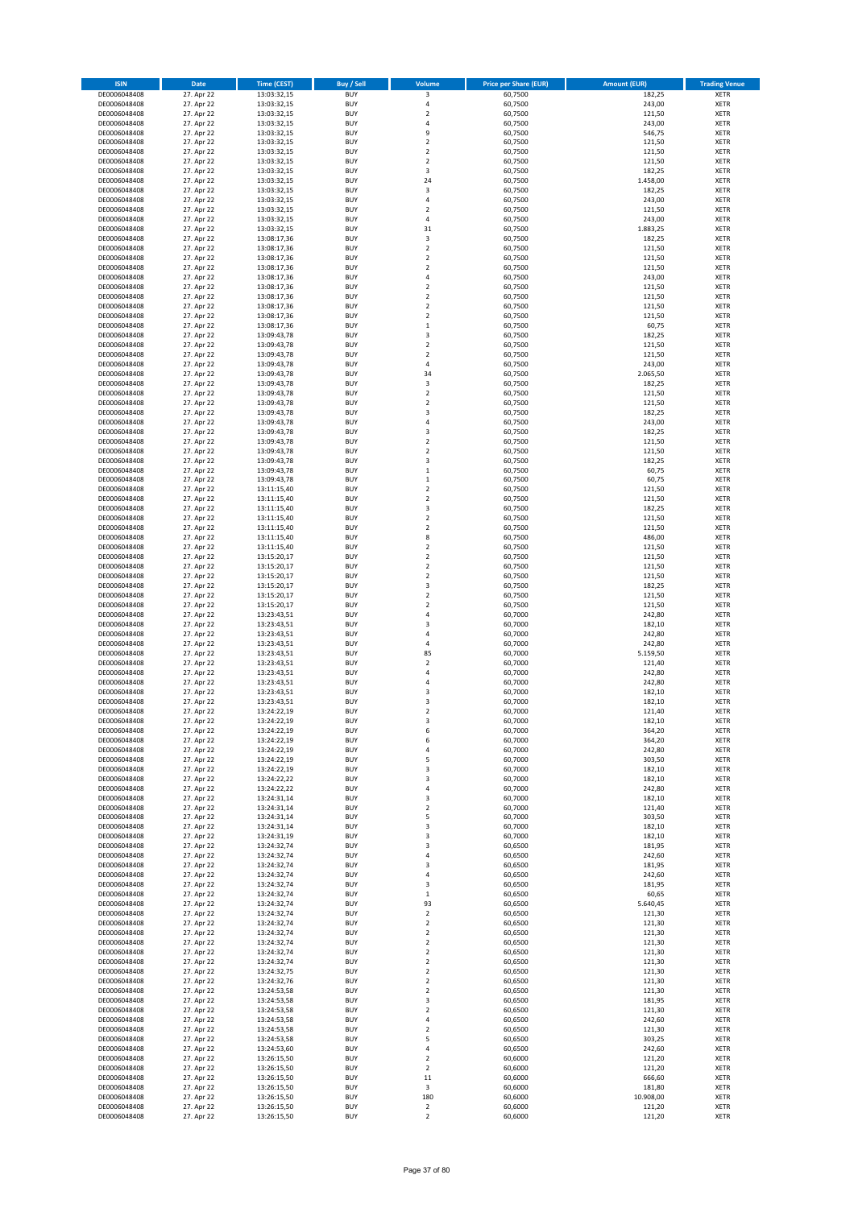| <b>ISIN</b>                  | Date                     | <b>Time (CEST)</b>         | <b>Buy / Sell</b>        | Volume                                             | <b>Price per Share (EUR)</b> | <b>Amount (EUR)</b> | <b>Trading Venue</b>       |
|------------------------------|--------------------------|----------------------------|--------------------------|----------------------------------------------------|------------------------------|---------------------|----------------------------|
| DE0006048408                 | 27. Apr 22               | 13:03:32,15                | <b>BUY</b>               | 3                                                  | 60,7500                      | 182,25              | XETR                       |
| DE0006048408                 | 27. Apr 22               | 13:03:32,15                | <b>BUY</b>               | 4                                                  | 60,7500                      | 243,00              | XETR                       |
| DE0006048408<br>DE0006048408 | 27. Apr 22<br>27. Apr 22 | 13:03:32,15<br>13:03:32,15 | <b>BUY</b><br><b>BUY</b> | $\overline{\mathbf{c}}$<br>4                       | 60,7500<br>60,7500           | 121,50<br>243,00    | <b>XETR</b><br><b>XETR</b> |
| DE0006048408                 | 27. Apr 22               | 13:03:32,15                | <b>BUY</b>               | 9                                                  | 60,7500                      | 546,75              | <b>XETR</b>                |
| DE0006048408                 | 27. Apr 22               | 13:03:32,15                | <b>BUY</b>               | $\overline{\mathbf{c}}$                            | 60,7500                      | 121,50              | <b>XETR</b>                |
| DE0006048408                 | 27. Apr 22               | 13:03:32,15                | <b>BUY</b>               | $\overline{\mathbf{c}}$                            | 60,7500                      | 121,50              | <b>XETR</b>                |
| DE0006048408                 | 27. Apr 22               | 13:03:32,15                | <b>BUY</b>               | $\overline{\mathbf{c}}$                            | 60,7500                      | 121,50              | <b>XETR</b>                |
| DE0006048408<br>DE0006048408 | 27. Apr 22<br>27. Apr 22 | 13:03:32,15                | <b>BUY</b><br><b>BUY</b> | 3<br>24                                            | 60,7500<br>60,7500           | 182,25<br>1.458,00  | <b>XETR</b><br><b>XETR</b> |
| DE0006048408                 | 27. Apr 22               | 13:03:32,15<br>13:03:32,15 | <b>BUY</b>               | 3                                                  | 60,7500                      | 182,25              | <b>XETR</b>                |
| DE0006048408                 | 27. Apr 22               | 13:03:32,15                | <b>BUY</b>               | 4                                                  | 60,7500                      | 243,00              | <b>XETR</b>                |
| DE0006048408                 | 27. Apr 22               | 13:03:32,15                | <b>BUY</b>               | $\mathbf 2$                                        | 60,7500                      | 121,50              | XETR                       |
| DE0006048408                 | 27. Apr 22               | 13:03:32,15                | <b>BUY</b>               | 4                                                  | 60,7500                      | 243,00              | <b>XETR</b>                |
| DE0006048408                 | 27. Apr 22               | 13:03:32,15                | <b>BUY</b>               | 31                                                 | 60,7500                      | 1.883,25            | XETR                       |
| DE0006048408<br>DE0006048408 | 27. Apr 22<br>27. Apr 22 | 13:08:17,36<br>13:08:17,36 | <b>BUY</b><br><b>BUY</b> | 3<br>$\mathbf 2$                                   | 60,7500<br>60,7500           | 182,25<br>121,50    | <b>XETR</b><br>XETR        |
| DE0006048408                 | 27. Apr 22               | 13:08:17,36                | <b>BUY</b>               | $\overline{\mathbf{c}}$                            | 60,7500                      | 121,50              | <b>XETR</b>                |
| DE0006048408                 | 27. Apr 22               | 13:08:17,36                | <b>BUY</b>               | $\mathbf 2$                                        | 60,7500                      | 121,50              | XETR                       |
| DE0006048408                 | 27. Apr 22               | 13:08:17,36                | <b>BUY</b>               | 4                                                  | 60,7500                      | 243,00              | <b>XETR</b>                |
| DE0006048408                 | 27. Apr 22<br>27. Apr 22 | 13:08:17,36                | <b>BUY</b><br><b>BUY</b> | $\overline{\mathbf{c}}$<br>$\overline{\mathbf{c}}$ | 60,7500<br>60,7500           | 121,50<br>121,50    | <b>XETR</b><br><b>XETR</b> |
| DE0006048408<br>DE0006048408 | 27. Apr 22               | 13:08:17,36<br>13:08:17,36 | <b>BUY</b>               | $\overline{\mathbf{c}}$                            | 60,7500                      | 121,50              | <b>XETR</b>                |
| DE0006048408                 | 27. Apr 22               | 13:08:17,36                | <b>BUY</b>               | $\mathbf 2$                                        | 60,7500                      | 121,50              | <b>XETR</b>                |
| DE0006048408                 | 27. Apr 22               | 13:08:17,36                | <b>BUY</b>               | $\mathbf 1$                                        | 60,7500                      | 60,75               | <b>XETR</b>                |
| DE0006048408                 | 27. Apr 22               | 13:09:43,78                | <b>BUY</b>               | 3                                                  | 60,7500                      | 182,25              | <b>XETR</b>                |
| DE0006048408                 | 27. Apr 22               | 13:09:43,78                | <b>BUY</b>               | $\overline{\mathbf{c}}$                            | 60,7500                      | 121,50              | <b>XETR</b>                |
| DE0006048408<br>DE0006048408 | 27. Apr 22<br>27. Apr 22 | 13:09:43,78<br>13:09:43,78 | <b>BUY</b><br><b>BUY</b> | $\overline{\mathbf{c}}$<br>4                       | 60,7500<br>60,7500           | 121,50<br>243,00    | <b>XETR</b><br><b>XETR</b> |
| DE0006048408                 | 27. Apr 22               | 13:09:43,78                | <b>BUY</b>               | 34                                                 | 60,7500                      | 2.065,50            | <b>XETR</b>                |
| DE0006048408                 | 27. Apr 22               | 13:09:43,78                | <b>BUY</b>               | 3                                                  | 60,7500                      | 182,25              | <b>XETR</b>                |
| DE0006048408                 | 27. Apr 22               | 13:09:43,78                | <b>BUY</b>               | $\mathbf 2$                                        | 60,7500                      | 121,50              | <b>XETR</b>                |
| DE0006048408                 | 27. Apr 22               | 13:09:43,78                | <b>BUY</b><br><b>BUY</b> | $\overline{\mathbf{2}}$                            | 60,7500                      | 121,50<br>182,25    | <b>XETR</b><br>XETR        |
| DE0006048408<br>DE0006048408 | 27. Apr 22<br>27. Apr 22 | 13:09:43,78<br>13:09:43,78 | <b>BUY</b>               | 3<br>4                                             | 60,7500<br>60,7500           | 243,00              | <b>XETR</b>                |
| DE0006048408                 | 27. Apr 22               | 13:09:43,78                | <b>BUY</b>               | 3                                                  | 60,7500                      | 182,25              | XETR                       |
| DE0006048408                 | 27. Apr 22               | 13:09:43,78                | <b>BUY</b>               | $\overline{\mathbf{c}}$                            | 60,7500                      | 121,50              | <b>XETR</b>                |
| DE0006048408                 | 27. Apr 22               | 13:09:43,78                | <b>BUY</b>               | $\mathbf 2$                                        | 60,7500                      | 121,50              | XETR                       |
| DE0006048408                 | 27. Apr 22               | 13:09:43,78                | <b>BUY</b>               | 3                                                  | 60,7500                      | 182,25              | <b>XETR</b>                |
| DE0006048408<br>DE0006048408 | 27. Apr 22<br>27. Apr 22 | 13:09:43,78                | <b>BUY</b><br><b>BUY</b> | $\mathbf{1}$<br>$\mathbf 1$                        | 60,7500<br>60,7500           | 60,75<br>60,75      | <b>XETR</b><br><b>XETR</b> |
| DE0006048408                 | 27. Apr 22               | 13:09:43,78<br>13:11:15,40 | <b>BUY</b>               | $\overline{\mathbf{c}}$                            | 60,7500                      | 121,50              | <b>XETR</b>                |
| DE0006048408                 | 27. Apr 22               | 13:11:15,40                | <b>BUY</b>               | $\overline{\mathbf{c}}$                            | 60,7500                      | 121,50              | <b>XETR</b>                |
| DE0006048408                 | 27. Apr 22               | 13:11:15,40                | <b>BUY</b>               | 3                                                  | 60,7500                      | 182,25              | <b>XETR</b>                |
| DE0006048408                 | 27. Apr 22               | 13:11:15,40                | <b>BUY</b>               | $\overline{\mathbf{c}}$                            | 60,7500                      | 121,50              | <b>XETR</b>                |
| DE0006048408                 | 27. Apr 22               | 13:11:15,40                | <b>BUY</b>               | $\mathbf 2$                                        | 60,7500                      | 121,50              | XETR                       |
| DE0006048408<br>DE0006048408 | 27. Apr 22<br>27. Apr 22 | 13:11:15,40<br>13:11:15,40 | <b>BUY</b><br><b>BUY</b> | 8<br>$\mathbf 2$                                   | 60,7500<br>60,7500           | 486,00<br>121,50    | XETR<br><b>XETR</b>        |
| DE0006048408                 | 27. Apr 22               | 13:15:20,17                | <b>BUY</b>               | $\mathbf 2$                                        | 60,7500                      | 121,50              | <b>XETR</b>                |
| DE0006048408                 | 27. Apr 22               | 13:15:20,17                | <b>BUY</b>               | $\mathbf 2$                                        | 60,7500                      | 121,50              | <b>XETR</b>                |
| DE0006048408                 | 27. Apr 22               | 13:15:20,17                | <b>BUY</b>               | $\mathbf 2$                                        | 60,7500                      | 121,50              | <b>XETR</b>                |
| DE0006048408                 | 27. Apr 22               | 13:15:20,17                | <b>BUY</b><br><b>BUY</b> | 3                                                  | 60,7500                      | 182,25              | <b>XETR</b>                |
| DE0006048408<br>DE0006048408 | 27. Apr 22<br>27. Apr 22 | 13:15:20,17<br>13:15:20,17 | <b>BUY</b>               | $\mathbf 2$<br>$\mathbf 2$                         | 60,7500<br>60,7500           | 121,50<br>121,50    | <b>XETR</b><br><b>XETR</b> |
| DE0006048408                 | 27. Apr 22               | 13:23:43,51                | <b>BUY</b>               | 4                                                  | 60,7000                      | 242,80              | <b>XETR</b>                |
| DE0006048408                 | 27. Apr 22               | 13:23:43,51                | <b>BUY</b>               | 3                                                  | 60,7000                      | 182,10              | <b>XETR</b>                |
| DE0006048408                 | 27. Apr 22               | 13:23:43,51                | <b>BUY</b>               | 4                                                  | 60,7000                      | 242,80              | <b>XETR</b>                |
| DE0006048408                 | 27. Apr 22               | 13:23:43,51                | <b>BUY</b><br><b>BUY</b> | 4<br>85                                            | 60,7000                      | 242,80              | <b>XETR</b><br><b>XETR</b> |
| DE0006048408<br>DE0006048408 | 27. Apr 22<br>27. Apr 22 | 13:23:43,51<br>13:23:43,51 | <b>BUY</b>               | $\mathbf 2$                                        | 60,7000<br>60,7000           | 5.159,50<br>121,40  | <b>XETR</b>                |
| DE0006048408                 | 27. Apr 22               | 13:23:43,51                | <b>BUY</b>               | 4                                                  | 60,7000                      | 242,80              | XETR                       |
| DE0006048408                 | 27. Apr 22               | 13:23:43,51                | <b>BUY</b>               | 4                                                  | 60,7000                      | 242,80              | <b>XETR</b>                |
| DE0006048408                 | 27. Apr 22               | 13:23:43,51                | <b>BUY</b>               | 3                                                  | 60,7000                      | 182,10              | XETR                       |
| DE0006048408                 | 27. Apr 22               | 13:23:43,51<br>13:24:22,19 | <b>BUY</b><br><b>BUY</b> | 3<br>$\mathbf 2$                                   | 60,7000                      | 182,10              | <b>XETR</b><br><b>XETR</b> |
| DE0006048408<br>DE0006048408 | 27. Apr 22<br>27. Apr 22 | 13:24:22,19                | <b>BUY</b>               | 3                                                  | 60,7000<br>60,7000           | 121,40<br>182,10    | XETR                       |
| DE0006048408                 | 27. Apr 22               | 13:24:22,19                | <b>BUY</b>               | 6                                                  | 60,7000                      | 364,20              | XETR                       |
| DE0006048408                 | 27. Apr 22               | 13:24:22,19                | <b>BUY</b>               | 6                                                  | 60,7000                      | 364,20              | XETR                       |
| DE0006048408                 | 27. Apr 22               | 13:24:22,19                | <b>BUY</b>               | 4                                                  | 60,7000                      | 242,80              | XETR                       |
| DE0006048408                 | 27. Apr 22<br>27. Apr 22 | 13:24:22,19                | <b>BUY</b>               | 5                                                  | 60,7000                      | 303,50              | <b>XETR</b>                |
| DE0006048408<br>DE0006048408 | 27. Apr 22               | 13:24:22,19<br>13:24:22,22 | <b>BUY</b><br><b>BUY</b> | 3<br>3                                             | 60,7000<br>60,7000           | 182,10<br>182,10    | XETR<br><b>XETR</b>        |
| DE0006048408                 | 27. Apr 22               | 13:24:22,22                | <b>BUY</b>               | 4                                                  | 60,7000                      | 242,80              | XETR                       |
| DE0006048408                 | 27. Apr 22               | 13:24:31,14                | <b>BUY</b>               | 3                                                  | 60,7000                      | 182,10              | <b>XETR</b>                |
| DE0006048408                 | 27. Apr 22               | 13:24:31,14                | <b>BUY</b>               | $\mathbf 2$                                        | 60,7000                      | 121,40              | XETR                       |
| DE0006048408<br>DE0006048408 | 27. Apr 22<br>27. Apr 22 | 13:24:31,14<br>13:24:31,14 | <b>BUY</b><br><b>BUY</b> | 5<br>3                                             | 60,7000<br>60,7000           | 303,50<br>182,10    | XETR<br>XETR               |
| DE0006048408                 | 27. Apr 22               | 13:24:31,19                | <b>BUY</b>               | 3                                                  | 60,7000                      | 182,10              | <b>XETR</b>                |
| DE0006048408                 | 27. Apr 22               | 13:24:32,74                | <b>BUY</b>               | 3                                                  | 60,6500                      | 181,95              | XETR                       |
| DE0006048408                 | 27. Apr 22               | 13:24:32,74                | <b>BUY</b>               | 4                                                  | 60,6500                      | 242,60              | XETR                       |
| DE0006048408                 | 27. Apr 22               | 13:24:32,74                | <b>BUY</b>               | 3                                                  | 60,6500                      | 181,95              | XETR                       |
| DE0006048408<br>DE0006048408 | 27. Apr 22<br>27. Apr 22 | 13:24:32,74<br>13:24:32,74 | <b>BUY</b><br><b>BUY</b> | 4<br>3                                             | 60,6500<br>60,6500           | 242,60<br>181,95    | <b>XETR</b><br><b>XETR</b> |
| DE0006048408                 | 27. Apr 22               | 13:24:32,74                | <b>BUY</b>               | $\mathbf 1$                                        | 60,6500                      | 60,65               | XETR                       |
| DE0006048408                 | 27. Apr 22               | 13:24:32,74                | <b>BUY</b>               | 93                                                 | 60,6500                      | 5.640,45            | XETR                       |
| DE0006048408                 | 27. Apr 22               | 13:24:32,74                | <b>BUY</b>               | $\mathbf 2$                                        | 60,6500                      | 121,30              | <b>XETR</b>                |
| DE0006048408                 | 27. Apr 22               | 13:24:32,74                | <b>BUY</b>               | $\mathbf 2$                                        | 60,6500                      | 121,30              | <b>XETR</b>                |
| DE0006048408<br>DE0006048408 | 27. Apr 22<br>27. Apr 22 | 13:24:32,74<br>13:24:32,74 | <b>BUY</b><br><b>BUY</b> | 2<br>$\mathbf 2$                                   | 60,6500<br>60,6500           | 121,30<br>121,30    | XETR<br><b>XETR</b>        |
| DE0006048408                 | 27. Apr 22               | 13:24:32,74                | <b>BUY</b>               | $\mathbf 2$                                        | 60,6500                      | 121,30              | XETR                       |
| DE0006048408                 | 27. Apr 22               | 13:24:32,74                | <b>BUY</b>               | $\mathbf 2$                                        | 60,6500                      | 121,30              | <b>XETR</b>                |
| DE0006048408                 | 27. Apr 22               | 13:24:32,75                | <b>BUY</b>               | $\mathbf 2$                                        | 60,6500                      | 121,30              | XETR                       |
| DE0006048408                 | 27. Apr 22               | 13:24:32,76                | <b>BUY</b>               | $\mathbf 2$                                        | 60,6500                      | 121,30              | <b>XETR</b>                |
| DE0006048408                 | 27. Apr 22               | 13:24:53,58                | <b>BUY</b><br><b>BUY</b> | $\mathbf 2$                                        | 60,6500                      | 121,30              | XETR<br><b>XETR</b>        |
| DE0006048408<br>DE0006048408 | 27. Apr 22<br>27. Apr 22 | 13:24:53,58<br>13:24:53,58 | <b>BUY</b>               | 3<br>2                                             | 60,6500<br>60,6500           | 181,95<br>121,30    | XETR                       |
| DE0006048408                 | 27. Apr 22               | 13:24:53,58                | <b>BUY</b>               | 4                                                  | 60,6500                      | 242,60              | <b>XETR</b>                |
| DE0006048408                 | 27. Apr 22               | 13:24:53,58                | <b>BUY</b>               | $\mathbf 2$                                        | 60,6500                      | 121,30              | XETR                       |
| DE0006048408                 | 27. Apr 22               | 13:24:53,58                | <b>BUY</b>               | 5                                                  | 60,6500                      | 303,25              | <b>XETR</b>                |
| DE0006048408<br>DE0006048408 | 27. Apr 22<br>27. Apr 22 | 13:24:53,60<br>13:26:15,50 | <b>BUY</b><br><b>BUY</b> | 4<br>2                                             | 60,6500<br>60,6000           | 242,60<br>121,20    | <b>XETR</b><br>XETR        |
| DE0006048408                 | 27. Apr 22               | 13:26:15,50                | <b>BUY</b>               | $\mathbf 2$                                        | 60,6000                      | 121,20              | XETR                       |
| DE0006048408                 | 27. Apr 22               | 13:26:15,50                | <b>BUY</b>               | 11                                                 | 60,6000                      | 666,60              | <b>XETR</b>                |
| DE0006048408                 | 27. Apr 22               | 13:26:15,50                | <b>BUY</b>               | 3                                                  | 60,6000                      | 181,80              | XETR                       |
| DE0006048408                 | 27. Apr 22               | 13:26:15,50                | <b>BUY</b>               | 180                                                | 60,6000                      | 10.908,00           | XETR                       |
| DE0006048408<br>DE0006048408 | 27. Apr 22<br>27. Apr 22 | 13:26:15,50<br>13:26:15,50 | <b>BUY</b><br><b>BUY</b> | $\mathbf 2$<br>$\mathbf 2$                         | 60,6000<br>60,6000           | 121,20<br>121,20    | XETR<br>XETR               |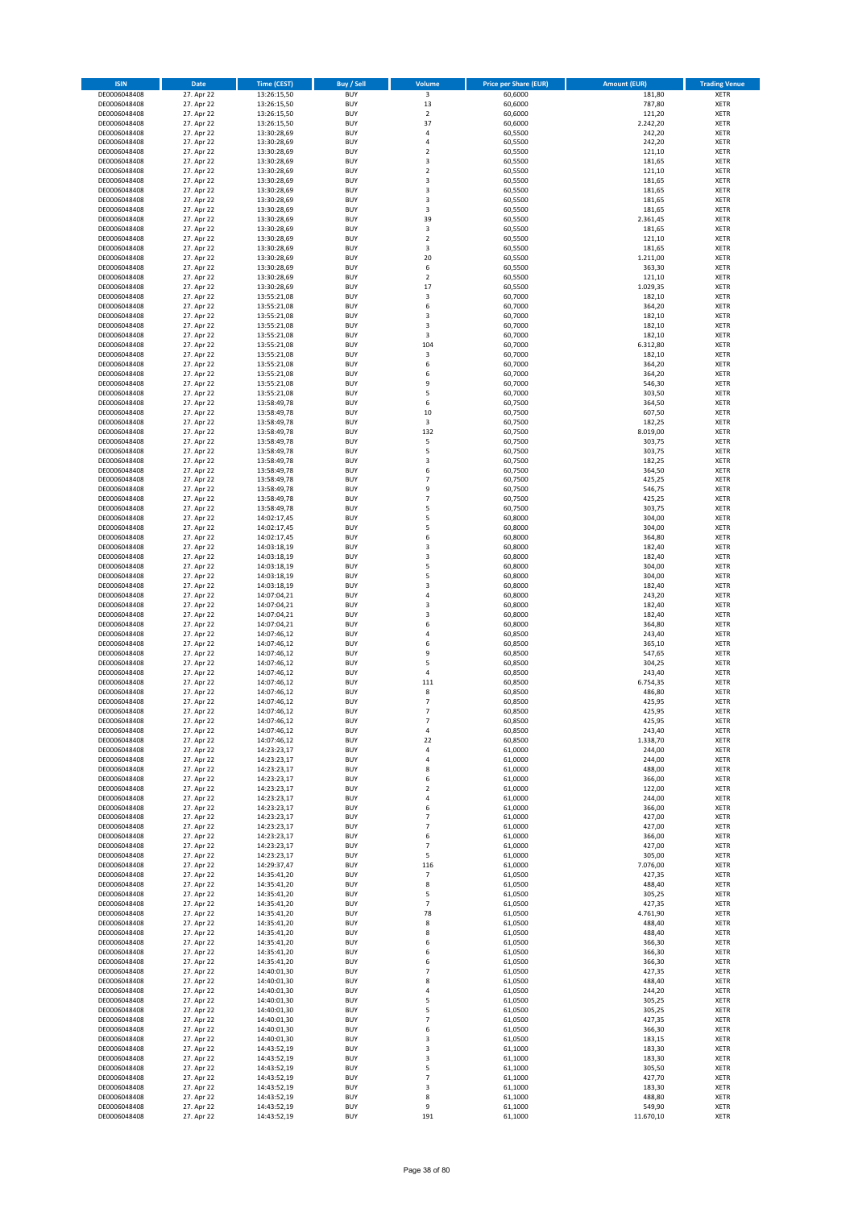| <b>ISIN</b>                  | Date                     | <b>Time (CEST)</b>         | <b>Buy / Sell</b>        | Volume                           | <b>Price per Share (EUR)</b> | <b>Amount (EUR)</b> | <b>Trading Venue</b>       |
|------------------------------|--------------------------|----------------------------|--------------------------|----------------------------------|------------------------------|---------------------|----------------------------|
| DE0006048408                 | 27. Apr 22               | 13:26:15,50                | <b>BUY</b>               | $\overline{\mathbf{3}}$          | 60,6000                      | 181,80              | <b>XETR</b>                |
| DE0006048408                 | 27. Apr 22               | 13:26:15,50                | <b>BUY</b>               | 13                               | 60,6000                      | 787,80              | <b>XETR</b>                |
| DE0006048408<br>DE0006048408 | 27. Apr 22<br>27. Apr 22 | 13:26:15,50<br>13:26:15,50 | <b>BUY</b><br><b>BUY</b> | $\mathbf 2$<br>37                | 60,6000<br>60,6000           | 121,20<br>2.242,20  | <b>XETR</b><br><b>XETR</b> |
| DE0006048408                 | 27. Apr 22               | 13:30:28,69                | <b>BUY</b>               | 4                                | 60,5500                      | 242,20              | <b>XETR</b>                |
| DE0006048408                 | 27. Apr 22               | 13:30:28,69                | <b>BUY</b>               | $\overline{4}$                   | 60,5500                      | 242,20              | <b>XETR</b>                |
| DE0006048408                 | 27. Apr 22               | 13:30:28,69                | <b>BUY</b>               | $\overline{2}$                   | 60,5500                      | 121,10              | <b>XETR</b>                |
| DE0006048408                 | 27. Apr 22               | 13:30:28,69                | <b>BUY</b>               | 3                                | 60,5500                      | 181,65              | <b>XETR</b>                |
| DE0006048408<br>DE0006048408 | 27. Apr 22<br>27. Apr 22 | 13:30:28,69                | <b>BUY</b><br><b>BUY</b> | $\overline{2}$<br>3              | 60,5500<br>60,5500           | 121,10<br>181,65    | XETR<br><b>XETR</b>        |
| DE0006048408                 | 27. Apr 22               | 13:30:28,69<br>13:30:28,69 | <b>BUY</b>               | 3                                | 60,5500                      | 181,65              | XETR                       |
| DE0006048408                 | 27. Apr 22               | 13:30:28,69                | <b>BUY</b>               | 3                                | 60,5500                      | 181,65              | <b>XETR</b>                |
| DE0006048408                 | 27. Apr 22               | 13:30:28,69                | <b>BUY</b>               | 3                                | 60,5500                      | 181,65              | XETR                       |
| DE0006048408                 | 27. Apr 22               | 13:30:28,69                | <b>BUY</b>               | 39                               | 60,5500                      | 2.361,45            | <b>XETR</b>                |
| DE0006048408                 | 27. Apr 22               | 13:30:28,69                | <b>BUY</b><br><b>BUY</b> | 3<br>$\overline{2}$              | 60,5500                      | 181,65              | XETR                       |
| DE0006048408<br>DE0006048408 | 27. Apr 22<br>27. Apr 22 | 13:30:28,69<br>13:30:28,69 | <b>BUY</b>               | 3                                | 60,5500<br>60,5500           | 121,10<br>181,65    | <b>XETR</b><br>XETR        |
| DE0006048408                 | 27. Apr 22               | 13:30:28,69                | <b>BUY</b>               | 20                               | 60,5500                      | 1.211,00            | <b>XETR</b>                |
| DE0006048408                 | 27. Apr 22               | 13:30:28,69                | <b>BUY</b>               | 6                                | 60,5500                      | 363,30              | XETR                       |
| DE0006048408                 | 27. Apr 22               | 13:30:28,69                | <b>BUY</b>               | $\overline{2}$                   | 60,5500                      | 121,10              | <b>XETR</b>                |
| DE0006048408<br>DE0006048408 | 27. Apr 22<br>27. Apr 22 | 13:30:28,69<br>13:55:21,08 | <b>BUY</b><br><b>BUY</b> | 17<br>3                          | 60,5500<br>60,7000           | 1.029,35<br>182,10  | <b>XETR</b><br><b>XETR</b> |
| DE0006048408                 | 27. Apr 22               | 13:55:21,08                | <b>BUY</b>               | 6                                | 60,7000                      | 364,20              | <b>XETR</b>                |
| DE0006048408                 | 27. Apr 22               | 13:55:21,08                | <b>BUY</b>               | 3                                | 60,7000                      | 182,10              | <b>XETR</b>                |
| DE0006048408                 | 27. Apr 22               | 13:55:21,08                | <b>BUY</b>               | 3                                | 60,7000                      | 182,10              | <b>XETR</b>                |
| DE0006048408                 | 27. Apr 22               | 13:55:21,08                | <b>BUY</b>               | 3                                | 60,7000                      | 182,10              | <b>XETR</b>                |
| DE0006048408                 | 27. Apr 22<br>27. Apr 22 | 13:55:21,08                | <b>BUY</b><br><b>BUY</b> | 104                              | 60,7000                      | 6.312,80            | <b>XETR</b>                |
| DE0006048408<br>DE0006048408 | 27. Apr 22               | 13:55:21,08<br>13:55:21,08 | <b>BUY</b>               | 3<br>6                           | 60,7000<br>60,7000           | 182,10<br>364,20    | <b>XETR</b><br><b>XETR</b> |
| DE0006048408                 | 27. Apr 22               | 13:55:21,08                | <b>BUY</b>               | 6                                | 60,7000                      | 364,20              | <b>XETR</b>                |
| DE0006048408                 | 27. Apr 22               | 13:55:21,08                | <b>BUY</b>               | 9                                | 60,7000                      | 546,30              | <b>XETR</b>                |
| DE0006048408                 | 27. Apr 22               | 13:55:21,08                | <b>BUY</b>               | 5                                | 60,7000                      | 303,50              | <b>XETR</b>                |
| DE0006048408                 | 27. Apr 22               | 13:58:49,78                | <b>BUY</b><br><b>BUY</b> | 6<br>10                          | 60,7500                      | 364,50<br>607,50    | <b>XETR</b><br>XETR        |
| DE0006048408<br>DE0006048408 | 27. Apr 22<br>27. Apr 22 | 13:58:49,78<br>13:58:49,78 | <b>BUY</b>               | 3                                | 60,7500<br>60,7500           | 182,25              | <b>XETR</b>                |
| DE0006048408                 | 27. Apr 22               | 13:58:49,78                | <b>BUY</b>               | 132                              | 60,7500                      | 8.019,00            | XETR                       |
| DE0006048408                 | 27. Apr 22               | 13:58:49,78                | <b>BUY</b>               | 5                                | 60,7500                      | 303,75              | <b>XETR</b>                |
| DE0006048408                 | 27. Apr 22               | 13:58:49,78                | <b>BUY</b>               | 5                                | 60,7500                      | 303,75              | XETR                       |
| DE0006048408                 | 27. Apr 22               | 13:58:49,78                | <b>BUY</b>               | 3                                | 60,7500                      | 182,25              | <b>XETR</b>                |
| DE0006048408<br>DE0006048408 | 27. Apr 22<br>27. Apr 22 | 13:58:49,78<br>13:58:49,78 | <b>BUY</b><br><b>BUY</b> | 6<br>$\overline{7}$              | 60,7500<br>60,7500           | 364,50<br>425,25    | <b>XETR</b><br><b>XETR</b> |
| DE0006048408                 | 27. Apr 22               | 13:58:49,78                | <b>BUY</b>               | 9                                | 60,7500                      | 546,75              | XETR                       |
| DE0006048408                 | 27. Apr 22               | 13:58:49,78                | <b>BUY</b>               | $\overline{7}$                   | 60,7500                      | 425,25              | <b>XETR</b>                |
| DE0006048408                 | 27. Apr 22               | 13:58:49,78                | <b>BUY</b>               | 5                                | 60,7500                      | 303,75              | <b>XETR</b>                |
| DE0006048408                 | 27. Apr 22               | 14:02:17,45                | <b>BUY</b>               | 5                                | 60,8000                      | 304,00              | <b>XETR</b>                |
| DE0006048408                 | 27. Apr 22               | 14:02:17,45                | <b>BUY</b>               | 5                                | 60,8000                      | 304,00              | XETR                       |
| DE0006048408<br>DE0006048408 | 27. Apr 22<br>27. Apr 22 | 14:02:17,45<br>14:03:18,19 | <b>BUY</b><br><b>BUY</b> | 6<br>3                           | 60,8000<br>60,8000           | 364,80<br>182,40    | <b>XETR</b><br><b>XETR</b> |
| DE0006048408                 | 27. Apr 22               | 14:03:18,19                | <b>BUY</b>               | 3                                | 60,8000                      | 182,40              | <b>XETR</b>                |
| DE0006048408                 | 27. Apr 22               | 14:03:18,19                | <b>BUY</b>               | 5                                | 60,8000                      | 304,00              | <b>XETR</b>                |
| DE0006048408                 | 27. Apr 22               | 14:03:18,19                | <b>BUY</b>               | 5                                | 60,8000                      | 304,00              | <b>XETR</b>                |
| DE0006048408                 | 27. Apr 22               | 14:03:18,19                | <b>BUY</b><br><b>BUY</b> | 3<br>$\sqrt{4}$                  | 60,8000                      | 182,40              | <b>XETR</b>                |
| DE0006048408<br>DE0006048408 | 27. Apr 22<br>27. Apr 22 | 14:07:04,21<br>14:07:04,21 | <b>BUY</b>               | 3                                | 60,8000<br>60,8000           | 243,20<br>182,40    | <b>XETR</b><br><b>XETR</b> |
| DE0006048408                 | 27. Apr 22               | 14:07:04,21                | <b>BUY</b>               | 3                                | 60,8000                      | 182,40              | <b>XETR</b>                |
| DE0006048408                 | 27. Apr 22               | 14:07:04,21                | <b>BUY</b>               | 6                                | 60,8000                      | 364,80              | <b>XETR</b>                |
| DE0006048408                 | 27. Apr 22               | 14:07:46,12                | <b>BUY</b>               | 4                                | 60,8500                      | 243,40              | <b>XETR</b>                |
| DE0006048408                 | 27. Apr 22               | 14:07:46,12                | <b>BUY</b>               | 6                                | 60,8500                      | 365,10              | <b>XETR</b>                |
| DE0006048408<br>DE0006048408 | 27. Apr 22<br>27. Apr 22 | 14:07:46,12<br>14:07:46,12 | <b>BUY</b><br><b>BUY</b> | 9<br>5                           | 60,8500<br>60,8500           | 547,65<br>304,25    | <b>XETR</b><br><b>XETR</b> |
| DE0006048408                 | 27. Apr 22               | 14:07:46,12                | <b>BUY</b>               | $\sqrt{4}$                       | 60,8500                      | 243,40              | XETR                       |
| DE0006048408                 | 27. Apr 22               | 14:07:46,12                | <b>BUY</b>               | 111                              | 60,8500                      | 6.754,35            | <b>XETR</b>                |
| DE0006048408                 | 27. Apr 22               | 14:07:46,12                | <b>BUY</b>               | 8                                | 60,8500                      | 486,80              | XETR                       |
| DE0006048408                 | 27. Apr 22               | 14:07:46,12                | <b>BUY</b>               | $\overline{7}$<br>$\overline{7}$ | 60,8500                      | 425,95              | <b>XETR</b>                |
| DE0006048408<br>DE0006048408 | 27. Apr 22<br>27. Apr 22 | 14:07:46,12<br>14:07:46,12 | <b>BUY</b><br><b>BUY</b> | $\overline{7}$                   | 60,8500<br>60,8500           | 425,95<br>425,95    | <b>XETR</b><br>XETR        |
| DE0006048408                 | 27. Apr 22               | 14:07:46,12                | <b>BUY</b>               | 4                                | 60,8500                      | 243,40              | XETR                       |
| DE0006048408                 | 27. Apr 22               | 14:07:46,12                | <b>BUY</b>               | 22                               | 60,8500                      | 1.338,70            | XETR                       |
| DE0006048408                 | 27. Apr 22               | 14:23:23,17                | <b>BUY</b>               | 4                                | 61,0000                      | 244,00              | <b>XETR</b>                |
| DE0006048408                 | 27. Apr 22<br>27. Apr 22 | 14:23:23,17                | <b>BUY</b>               | $\sqrt{4}$                       | 61,0000                      | 244,00              | <b>XETR</b>                |
| DE0006048408<br>DE0006048408 | 27. Apr 22               | 14:23:23,17<br>14:23:23,17 | <b>BUY</b><br><b>BUY</b> | 8<br>6                           | 61,0000<br>61,0000           | 488,00<br>366,00    | XETR<br><b>XETR</b>        |
| DE0006048408                 | 27. Apr 22               | 14:23:23,17                | <b>BUY</b>               | $\overline{2}$                   | 61,0000                      | 122,00              | XETR                       |
| DE0006048408                 | 27. Apr 22               | 14:23:23,17                | <b>BUY</b>               | $\sqrt{4}$                       | 61,0000                      | 244,00              | <b>XETR</b>                |
| DE0006048408                 | 27. Apr 22               | 14:23:23,17                | <b>BUY</b>               | 6                                | 61,0000                      | 366,00              | XETR                       |
| DE0006048408<br>DE0006048408 | 27. Apr 22<br>27. Apr 22 | 14:23:23,17<br>14:23:23,17 | <b>BUY</b><br><b>BUY</b> | $\overline{7}$<br>$\overline{7}$ | 61,0000<br>61,0000           | 427,00<br>427,00    | <b>XETR</b><br><b>XETR</b> |
| DE0006048408                 | 27. Apr 22               | 14:23:23,17                | <b>BUY</b>               | 6                                | 61,0000                      | 366,00              | <b>XETR</b>                |
| DE0006048408                 | 27. Apr 22               | 14:23:23,17                | <b>BUY</b>               | $\overline{7}$                   | 61,0000                      | 427,00              | XETR                       |
| DE0006048408                 | 27. Apr 22               | 14:23:23,17                | <b>BUY</b>               | 5                                | 61,0000                      | 305,00              | <b>XETR</b>                |
| DE0006048408                 | 27. Apr 22               | 14:29:37,47                | <b>BUY</b>               | 116                              | 61,0000                      | 7.076,00            | <b>XETR</b>                |
| DE0006048408<br>DE0006048408 | 27. Apr 22<br>27. Apr 22 | 14:35:41,20<br>14:35:41,20 | <b>BUY</b><br><b>BUY</b> | 7<br>8                           | 61,0500<br>61,0500           | 427,35<br>488,40    | <b>XETR</b><br><b>XETR</b> |
| DE0006048408                 | 27. Apr 22               | 14:35:41,20                | <b>BUY</b>               | 5                                | 61,0500                      | 305,25              | <b>XETR</b>                |
| DE0006048408                 | 27. Apr 22               | 14:35:41,20                | <b>BUY</b>               | $\overline{\phantom{a}}$         | 61,0500                      | 427,35              | <b>XETR</b>                |
| DE0006048408                 | 27. Apr 22               | 14:35:41,20                | <b>BUY</b>               | 78                               | 61,0500                      | 4.761,90            | <b>XETR</b>                |
| DE0006048408                 | 27. Apr 22               | 14:35:41,20                | <b>BUY</b>               | 8                                | 61,0500                      | 488,40              | XETR                       |
| DE0006048408<br>DE0006048408 | 27. Apr 22<br>27. Apr 22 | 14:35:41,20<br>14:35:41,20 | <b>BUY</b><br><b>BUY</b> | 8<br>6                           | 61,0500<br>61,0500           | 488,40<br>366,30    | XETR<br>XETR               |
| DE0006048408                 | 27. Apr 22               | 14:35:41,20                | <b>BUY</b>               | 6                                | 61,0500                      | 366,30              | XETR                       |
| DE0006048408                 | 27. Apr 22               | 14:35:41,20                | <b>BUY</b>               | 6                                | 61,0500                      | 366,30              | <b>XETR</b>                |
| DE0006048408                 | 27. Apr 22               | 14:40:01,30                | <b>BUY</b>               | $\overline{7}$                   | 61,0500                      | 427,35              | XETR                       |
| DE0006048408                 | 27. Apr 22               | 14:40:01,30                | <b>BUY</b>               | 8                                | 61,0500                      | 488,40              | XETR                       |
| DE0006048408<br>DE0006048408 | 27. Apr 22<br>27. Apr 22 | 14:40:01,30<br>14:40:01,30 | <b>BUY</b><br><b>BUY</b> | $\sqrt{4}$<br>5                  | 61,0500<br>61,0500           | 244,20<br>305,25    | XETR<br>XETR               |
| DE0006048408                 | 27. Apr 22               | 14:40:01,30                | <b>BUY</b>               | 5                                | 61,0500                      | 305,25              | XETR                       |
| DE0006048408                 | 27. Apr 22               | 14:40:01,30                | <b>BUY</b>               | $\overline{7}$                   | 61,0500                      | 427,35              | XETR                       |
| DE0006048408                 | 27. Apr 22               | 14:40:01,30                | <b>BUY</b>               | 6                                | 61,0500                      | 366,30              | XETR                       |
| DE0006048408                 | 27. Apr 22               | 14:40:01,30                | <b>BUY</b>               | 3                                | 61,0500                      | 183,15              | <b>XETR</b>                |
| DE0006048408<br>DE0006048408 | 27. Apr 22<br>27. Apr 22 | 14:43:52,19<br>14:43:52,19 | <b>BUY</b><br><b>BUY</b> | 3<br>3                           | 61,1000<br>61,1000           | 183,30<br>183,30    | <b>XETR</b><br><b>XETR</b> |
| DE0006048408                 | 27. Apr 22               | 14:43:52,19                | <b>BUY</b>               | 5                                | 61,1000                      | 305,50              | <b>XETR</b>                |
| DE0006048408                 | 27. Apr 22               | 14:43:52,19                | <b>BUY</b>               | $\overline{7}$                   | 61,1000                      | 427,70              | <b>XETR</b>                |
| DE0006048408                 | 27. Apr 22               | 14:43:52,19                | <b>BUY</b>               | 3                                | 61,1000                      | 183,30              | <b>XETR</b>                |
| DE0006048408<br>DE0006048408 | 27. Apr 22<br>27. Apr 22 | 14:43:52,19<br>14:43:52,19 | <b>BUY</b><br><b>BUY</b> | 8<br>9                           | 61,1000<br>61,1000           | 488,80<br>549,90    | <b>XETR</b><br><b>XETR</b> |
| DE0006048408                 | 27. Apr 22               | 14:43:52,19                | <b>BUY</b>               | 191                              | 61,1000                      | 11.670,10           | XETR                       |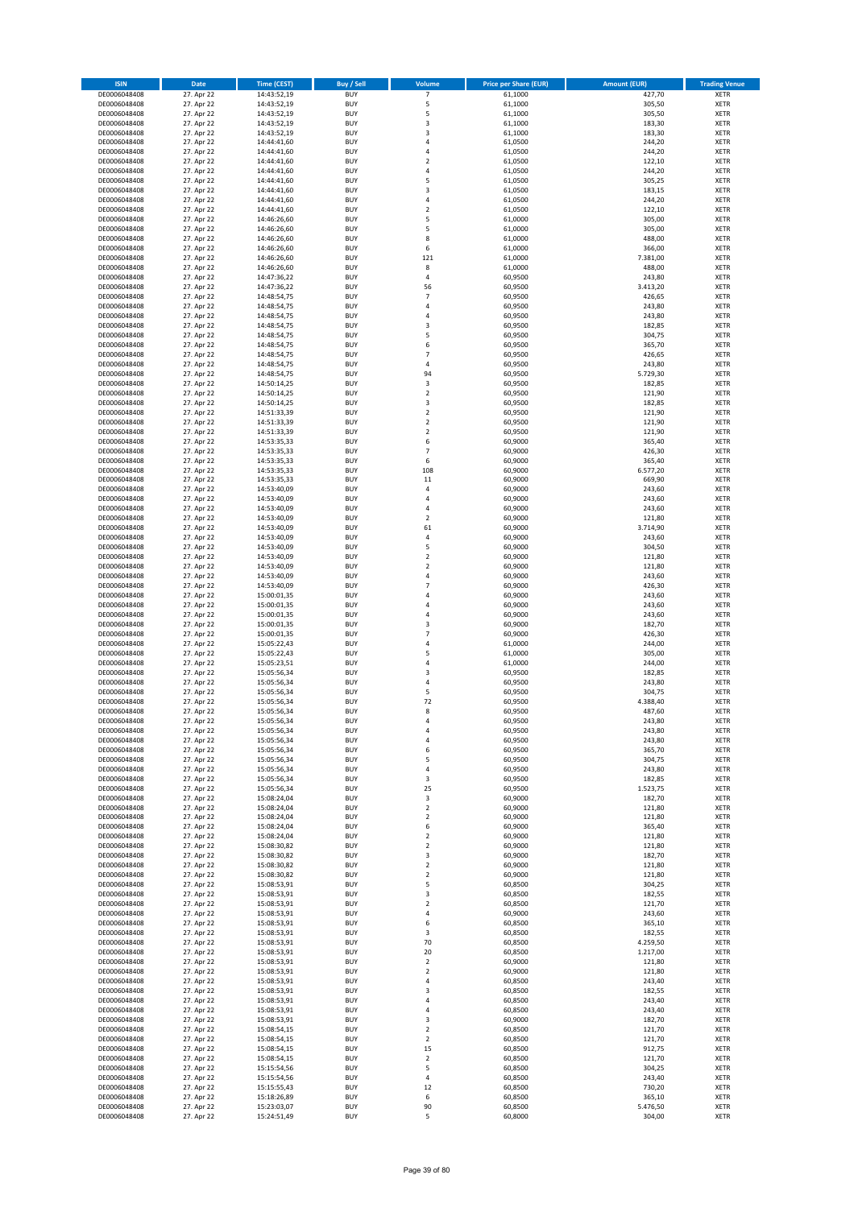| <b>ISIN</b>                  | Date                     | <b>Time (CEST)</b>         | <b>Buy / Sell</b>        | Volume                       | <b>Price per Share (EUR)</b> | <b>Amount (EUR)</b> | <b>Trading Venue</b>       |
|------------------------------|--------------------------|----------------------------|--------------------------|------------------------------|------------------------------|---------------------|----------------------------|
| DE0006048408                 | 27. Apr 22               | 14:43:52,19                | <b>BUY</b>               | $\overline{7}$               | 61,1000                      | 427,70              | <b>XETR</b>                |
| DE0006048408                 | 27. Apr 22               | 14:43:52,19                | <b>BUY</b>               | 5                            | 61,1000                      | 305,50              | <b>XETR</b>                |
| DE0006048408<br>DE0006048408 | 27. Apr 22<br>27. Apr 22 | 14:43:52,19<br>14:43:52,19 | <b>BUY</b><br><b>BUY</b> | 5<br>3                       | 61,1000<br>61,1000           | 305,50<br>183,30    | <b>XETR</b><br><b>XETR</b> |
| DE0006048408                 | 27. Apr 22               | 14:43:52,19                | <b>BUY</b>               | 3                            | 61,1000                      | 183,30              | <b>XETR</b>                |
| DE0006048408                 | 27. Apr 22               | 14:44:41,60                | <b>BUY</b>               | $\overline{4}$               | 61,0500                      | 244,20              | <b>XETR</b>                |
| DE0006048408                 | 27. Apr 22               | 14:44:41,60                | <b>BUY</b>               | $\overline{4}$               | 61,0500                      | 244,20              | <b>XETR</b>                |
| DE0006048408                 | 27. Apr 22               | 14:44:41,60                | <b>BUY</b>               | $\overline{2}$               | 61,0500                      | 122,10              | <b>XETR</b>                |
| DE0006048408<br>DE0006048408 | 27. Apr 22<br>27. Apr 22 | 14:44:41,60                | <b>BUY</b><br><b>BUY</b> | $\sqrt{4}$<br>5              | 61,0500<br>61,0500           | 244,20<br>305,25    | XETR<br><b>XETR</b>        |
| DE0006048408                 | 27. Apr 22               | 14:44:41,60<br>14:44:41,60 | <b>BUY</b>               | 3                            | 61,0500                      | 183,15              | XETR                       |
| DE0006048408                 | 27. Apr 22               | 14:44:41,60                | <b>BUY</b>               | $\sqrt{4}$                   | 61,0500                      | 244,20              | <b>XETR</b>                |
| DE0006048408                 | 27. Apr 22               | 14:44:41,60                | <b>BUY</b>               | $\mathbf 2$                  | 61,0500                      | 122,10              | XETR                       |
| DE0006048408                 | 27. Apr 22               | 14:46:26,60                | <b>BUY</b>               | 5                            | 61,0000                      | 305,00              | <b>XETR</b>                |
| DE0006048408                 | 27. Apr 22               | 14:46:26,60                | <b>BUY</b><br><b>BUY</b> | 5<br>8                       | 61,0000                      | 305,00              | XETR                       |
| DE0006048408<br>DE0006048408 | 27. Apr 22<br>27. Apr 22 | 14:46:26,60<br>14:46:26,60 | <b>BUY</b>               | 6                            | 61,0000<br>61,0000           | 488,00<br>366,00    | <b>XETR</b><br>XETR        |
| DE0006048408                 | 27. Apr 22               | 14:46:26,60                | <b>BUY</b>               | 121                          | 61,0000                      | 7.381,00            | <b>XETR</b>                |
| DE0006048408                 | 27. Apr 22               | 14:46:26,60                | <b>BUY</b>               | 8                            | 61,0000                      | 488,00              | XETR                       |
| DE0006048408                 | 27. Apr 22               | 14:47:36,22                | <b>BUY</b>               | 4                            | 60,9500                      | 243,80              | <b>XETR</b>                |
| DE0006048408<br>DE0006048408 | 27. Apr 22<br>27. Apr 22 | 14:47:36,22<br>14:48:54,75 | <b>BUY</b><br><b>BUY</b> | 56<br>$\overline{7}$         | 60,9500<br>60,9500           | 3.413,20<br>426,65  | <b>XETR</b><br><b>XETR</b> |
| DE0006048408                 | 27. Apr 22               | 14:48:54,75                | <b>BUY</b>               | $\overline{4}$               | 60,9500                      | 243,80              | <b>XETR</b>                |
| DE0006048408                 | 27. Apr 22               | 14:48:54,75                | <b>BUY</b>               | $\sqrt{4}$                   | 60,9500                      | 243,80              | <b>XETR</b>                |
| DE0006048408                 | 27. Apr 22               | 14:48:54,75                | <b>BUY</b>               | 3                            | 60,9500                      | 182,85              | <b>XETR</b>                |
| DE0006048408                 | 27. Apr 22               | 14:48:54,75                | <b>BUY</b>               | 5                            | 60,9500                      | 304,75              | <b>XETR</b>                |
| DE0006048408                 | 27. Apr 22<br>27. Apr 22 | 14:48:54,75                | <b>BUY</b><br><b>BUY</b> | 6<br>$\overline{7}$          | 60,9500                      | 365,70              | <b>XETR</b>                |
| DE0006048408<br>DE0006048408 | 27. Apr 22               | 14:48:54,75<br>14:48:54,75 | <b>BUY</b>               | $\sqrt{4}$                   | 60,9500<br>60,9500           | 426,65<br>243,80    | <b>XETR</b><br><b>XETR</b> |
| DE0006048408                 | 27. Apr 22               | 14:48:54,75                | <b>BUY</b>               | 94                           | 60,9500                      | 5.729,30            | <b>XETR</b>                |
| DE0006048408                 | 27. Apr 22               | 14:50:14,25                | <b>BUY</b>               | 3                            | 60,9500                      | 182,85              | <b>XETR</b>                |
| DE0006048408                 | 27. Apr 22               | 14:50:14,25                | <b>BUY</b>               | $\mathbf 2$                  | 60,9500                      | 121,90              | <b>XETR</b>                |
| DE0006048408                 | 27. Apr 22               | 14:50:14,25                | <b>BUY</b><br><b>BUY</b> | 3<br>$\mathbf 2$             | 60,9500                      | 182,85<br>121,90    | <b>XETR</b><br>XETR        |
| DE0006048408<br>DE0006048408 | 27. Apr 22<br>27. Apr 22 | 14:51:33,39<br>14:51:33,39 | <b>BUY</b>               | $\overline{2}$               | 60,9500<br>60,9500           | 121,90              | <b>XETR</b>                |
| DE0006048408                 | 27. Apr 22               | 14:51:33,39                | <b>BUY</b>               | $\overline{2}$               | 60,9500                      | 121,90              | XETR                       |
| DE0006048408                 | 27. Apr 22               | 14:53:35,33                | <b>BUY</b>               | 6                            | 60,9000                      | 365,40              | <b>XETR</b>                |
| DE0006048408                 | 27. Apr 22               | 14:53:35,33                | <b>BUY</b>               | $\overline{7}$               | 60,9000                      | 426,30              | XETR                       |
| DE0006048408                 | 27. Apr 22               | 14:53:35,33                | <b>BUY</b>               | 6                            | 60,9000                      | 365,40              | <b>XETR</b>                |
| DE0006048408<br>DE0006048408 | 27. Apr 22<br>27. Apr 22 | 14:53:35,33                | <b>BUY</b><br><b>BUY</b> | 108<br>11                    | 60,9000<br>60,9000           | 6.577,20<br>669,90  | <b>XETR</b><br><b>XETR</b> |
| DE0006048408                 | 27. Apr 22               | 14:53:35,33<br>14:53:40,09 | <b>BUY</b>               | $\sqrt{4}$                   | 60,9000                      | 243,60              | XETR                       |
| DE0006048408                 | 27. Apr 22               | 14:53:40,09                | <b>BUY</b>               | $\overline{a}$               | 60,9000                      | 243,60              | <b>XETR</b>                |
| DE0006048408                 | 27. Apr 22               | 14:53:40,09                | <b>BUY</b>               | $\overline{4}$               | 60,9000                      | 243,60              | <b>XETR</b>                |
| DE0006048408                 | 27. Apr 22               | 14:53:40,09                | <b>BUY</b>               | $\overline{2}$               | 60,9000                      | 121,80              | <b>XETR</b>                |
| DE0006048408                 | 27. Apr 22               | 14:53:40,09                | <b>BUY</b>               | 61                           | 60,9000                      | 3.714,90            | XETR                       |
| DE0006048408<br>DE0006048408 | 27. Apr 22<br>27. Apr 22 | 14:53:40,09<br>14:53:40,09 | <b>BUY</b><br><b>BUY</b> | 4<br>5                       | 60,9000<br>60,9000           | 243,60<br>304,50    | <b>XETR</b><br><b>XETR</b> |
| DE0006048408                 | 27. Apr 22               | 14:53:40,09                | <b>BUY</b>               | $\mathbf 2$                  | 60,9000                      | 121,80              | <b>XETR</b>                |
| DE0006048408                 | 27. Apr 22               | 14:53:40,09                | <b>BUY</b>               | $\mathbf 2$                  | 60,9000                      | 121,80              | <b>XETR</b>                |
| DE0006048408                 | 27. Apr 22               | 14:53:40,09                | <b>BUY</b>               | 4                            | 60,9000                      | 243,60              | <b>XETR</b>                |
| DE0006048408                 | 27. Apr 22               | 14:53:40,09                | <b>BUY</b><br><b>BUY</b> | $\overline{7}$<br>$\sqrt{4}$ | 60,9000                      | 426,30              | <b>XETR</b>                |
| DE0006048408<br>DE0006048408 | 27. Apr 22<br>27. Apr 22 | 15:00:01,35<br>15:00:01,35 | <b>BUY</b>               | $\sqrt{4}$                   | 60,9000<br>60,9000           | 243,60<br>243,60    | <b>XETR</b><br><b>XETR</b> |
| DE0006048408                 | 27. Apr 22               | 15:00:01,35                | <b>BUY</b>               | 4                            | 60,9000                      | 243,60              | <b>XETR</b>                |
| DE0006048408                 | 27. Apr 22               | 15:00:01,35                | <b>BUY</b>               | 3                            | 60,9000                      | 182,70              | <b>XETR</b>                |
| DE0006048408                 | 27. Apr 22               | 15:00:01,35                | <b>BUY</b>               | $\overline{7}$               | 60,9000                      | 426,30              | <b>XETR</b>                |
| DE0006048408                 | 27. Apr 22               | 15:05:22,43                | <b>BUY</b>               | $\overline{4}$               | 61,0000                      | 244,00              | <b>XETR</b>                |
| DE0006048408<br>DE0006048408 | 27. Apr 22<br>27. Apr 22 | 15:05:22,43<br>15:05:23,51 | <b>BUY</b><br><b>BUY</b> | 5<br>4                       | 61,0000<br>61,0000           | 305,00<br>244,00    | <b>XETR</b><br><b>XETR</b> |
| DE0006048408                 | 27. Apr 22               | 15:05:56,34                | <b>BUY</b>               | 3                            | 60,9500                      | 182,85              | XETR                       |
| DE0006048408                 | 27. Apr 22               | 15:05:56,34                | <b>BUY</b>               | $\sqrt{4}$                   | 60,9500                      | 243,80              | <b>XETR</b>                |
| DE0006048408                 | 27. Apr 22               | 15:05:56,34                | <b>BUY</b>               | 5                            | 60,9500                      | 304,75              | XETR                       |
| DE0006048408                 | 27. Apr 22               | 15:05:56,34                | <b>BUY</b>               | 72                           | 60,9500                      | 4.388,40            | <b>XETR</b>                |
| DE0006048408<br>DE0006048408 | 27. Apr 22<br>27. Apr 22 | 15:05:56,34<br>15:05:56,34 | <b>BUY</b><br><b>BUY</b> | 8<br>4                       | 60,9500<br>60,9500           | 487,60<br>243,80    | <b>XETR</b><br>XETR        |
| DE0006048408                 | 27. Apr 22               | 15:05:56,34                | <b>BUY</b>               | 4                            | 60,9500                      | 243,80              | XETR                       |
| DE0006048408                 | 27. Apr 22               | 15:05:56,34                | <b>BUY</b>               | 4                            | 60,9500                      | 243,80              | XETR                       |
| DE0006048408                 | 27. Apr 22               | 15:05:56,34                | <b>BUY</b>               | 6                            | 60,9500                      | 365,70              | <b>XETR</b>                |
| DE0006048408                 | 27. Apr 22               | 15:05:56,34                | <b>BUY</b>               | 5                            | 60,9500                      | 304,75              | <b>XETR</b>                |
| DE0006048408<br>DE0006048408 | 27. Apr 22<br>27. Apr 22 | 15:05:56,34<br>15:05:56,34 | <b>BUY</b><br><b>BUY</b> | $\pmb{4}$<br>3               | 60,9500<br>60,9500           | 243,80<br>182,85    | XETR<br><b>XETR</b>        |
| DE0006048408                 | 27. Apr 22               | 15:05:56,34                | <b>BUY</b>               | 25                           | 60,9500                      | 1.523,75            | <b>XETR</b>                |
| DE0006048408                 | 27. Apr 22               | 15:08:24,04                | <b>BUY</b>               | 3                            | 60,9000                      | 182,70              | <b>XETR</b>                |
| DE0006048408                 | 27. Apr 22               | 15:08:24,04                | <b>BUY</b>               | $\mathbf 2$                  | 60,9000                      | 121,80              | XETR                       |
| DE0006048408<br>DE0006048408 | 27. Apr 22<br>27. Apr 22 | 15:08:24,04<br>15:08:24,04 | <b>BUY</b><br><b>BUY</b> | $\mathbf 2$<br>6             | 60,9000<br>60,9000           | 121,80<br>365,40    | <b>XETR</b><br><b>XETR</b> |
| DE0006048408                 | 27. Apr 22               | 15:08:24,04                | <b>BUY</b>               | $\mathbf 2$                  | 60,9000                      | 121,80              | <b>XETR</b>                |
| DE0006048408                 | 27. Apr 22               | 15:08:30,82                | <b>BUY</b>               | $\mathbf 2$                  | 60,9000                      | 121,80              | XETR                       |
| DE0006048408                 | 27. Apr 22               | 15:08:30,82                | <b>BUY</b>               | 3                            | 60,9000                      | 182,70              | <b>XETR</b>                |
| DE0006048408                 | 27. Apr 22               | 15:08:30,82                | <b>BUY</b>               | $\mathbf 2$                  | 60,9000                      | 121,80              | <b>XETR</b>                |
| DE0006048408<br>DE0006048408 | 27. Apr 22<br>27. Apr 22 | 15:08:30,82<br>15:08:53,91 | <b>BUY</b><br><b>BUY</b> | $\mathbf 2$<br>5             | 60,9000<br>60,8500           | 121,80<br>304,25    | <b>XETR</b><br><b>XETR</b> |
| DE0006048408                 | 27. Apr 22               | 15:08:53,91                | <b>BUY</b>               | 3                            | 60,8500                      | 182,55              | <b>XETR</b>                |
| DE0006048408                 | 27. Apr 22               | 15:08:53,91                | <b>BUY</b>               | $\sqrt{2}$                   | 60,8500                      | 121,70              | <b>XETR</b>                |
| DE0006048408                 | 27. Apr 22               | 15:08:53,91                | <b>BUY</b>               | 4                            | 60,9000                      | 243,60              | <b>XETR</b>                |
| DE0006048408                 | 27. Apr 22               | 15:08:53,91                | <b>BUY</b>               | 6                            | 60,8500                      | 365,10              | <b>XETR</b>                |
| DE0006048408<br>DE0006048408 | 27. Apr 22<br>27. Apr 22 | 15:08:53,91<br>15:08:53,91 | <b>BUY</b><br><b>BUY</b> | 3<br>70                      | 60,8500<br>60,8500           | 182,55<br>4.259,50  | XETR<br>XETR               |
| DE0006048408                 | 27. Apr 22               | 15:08:53,91                | <b>BUY</b>               | 20                           | 60,8500                      | 1.217,00            | <b>XETR</b>                |
| DE0006048408                 | 27. Apr 22               | 15:08:53,91                | <b>BUY</b>               | $\overline{2}$               | 60,9000                      | 121,80              | <b>XETR</b>                |
| DE0006048408                 | 27. Apr 22               | 15:08:53,91                | <b>BUY</b>               | $\overline{\mathbf{c}}$      | 60,9000                      | 121,80              | XETR                       |
| DE0006048408                 | 27. Apr 22               | 15:08:53,91                | <b>BUY</b>               | 4                            | 60,8500                      | 243,40              | XETR                       |
| DE0006048408                 | 27. Apr 22               | 15:08:53,91                | <b>BUY</b>               | 3                            | 60,8500                      | 182,55              | <b>XETR</b>                |
| DE0006048408<br>DE0006048408 | 27. Apr 22<br>27. Apr 22 | 15:08:53,91<br>15:08:53,91 | <b>BUY</b><br><b>BUY</b> | 4<br>4                       | 60,8500<br>60,8500           | 243,40<br>243,40    | <b>XETR</b><br>XETR        |
| DE0006048408                 | 27. Apr 22               | 15:08:53,91                | <b>BUY</b>               | 3                            | 60,9000                      | 182,70              | XETR                       |
| DE0006048408                 | 27. Apr 22               | 15:08:54,15                | <b>BUY</b>               | $\boldsymbol{2}$             | 60,8500                      | 121,70              | <b>XETR</b>                |
| DE0006048408                 | 27. Apr 22               | 15:08:54,15                | <b>BUY</b>               | $\boldsymbol{2}$             | 60,8500                      | 121,70              | <b>XETR</b>                |
| DE0006048408                 | 27. Apr 22               | 15:08:54,15                | <b>BUY</b>               | 15                           | 60,8500                      | 912,75              | <b>XETR</b>                |
| DE0006048408<br>DE0006048408 | 27. Apr 22<br>27. Apr 22 | 15:08:54,15<br>15:15:54,56 | <b>BUY</b><br><b>BUY</b> | $\boldsymbol{2}$<br>5        | 60,8500<br>60,8500           | 121,70<br>304,25    | <b>XETR</b><br><b>XETR</b> |
| DE0006048408                 | 27. Apr 22               | 15:15:54,56                | <b>BUY</b>               | 4                            | 60,8500                      | 243,40              | <b>XETR</b>                |
| DE0006048408                 | 27. Apr 22               | 15:15:55,43                | <b>BUY</b>               | 12                           | 60,8500                      | 730,20              | <b>XETR</b>                |
| DE0006048408                 | 27. Apr 22               | 15:18:26,89                | <b>BUY</b>               | 6                            | 60,8500                      | 365,10              | <b>XETR</b>                |
| DE0006048408                 | 27. Apr 22               | 15:23:03,07                | <b>BUY</b>               | 90                           | 60,8500<br>60,8000           | 5.476,50<br>304,00  | <b>XETR</b>                |
| DE0006048408                 | 27. Apr 22               | 15:24:51,49                | <b>BUY</b>               | 5                            |                              |                     | <b>XETR</b>                |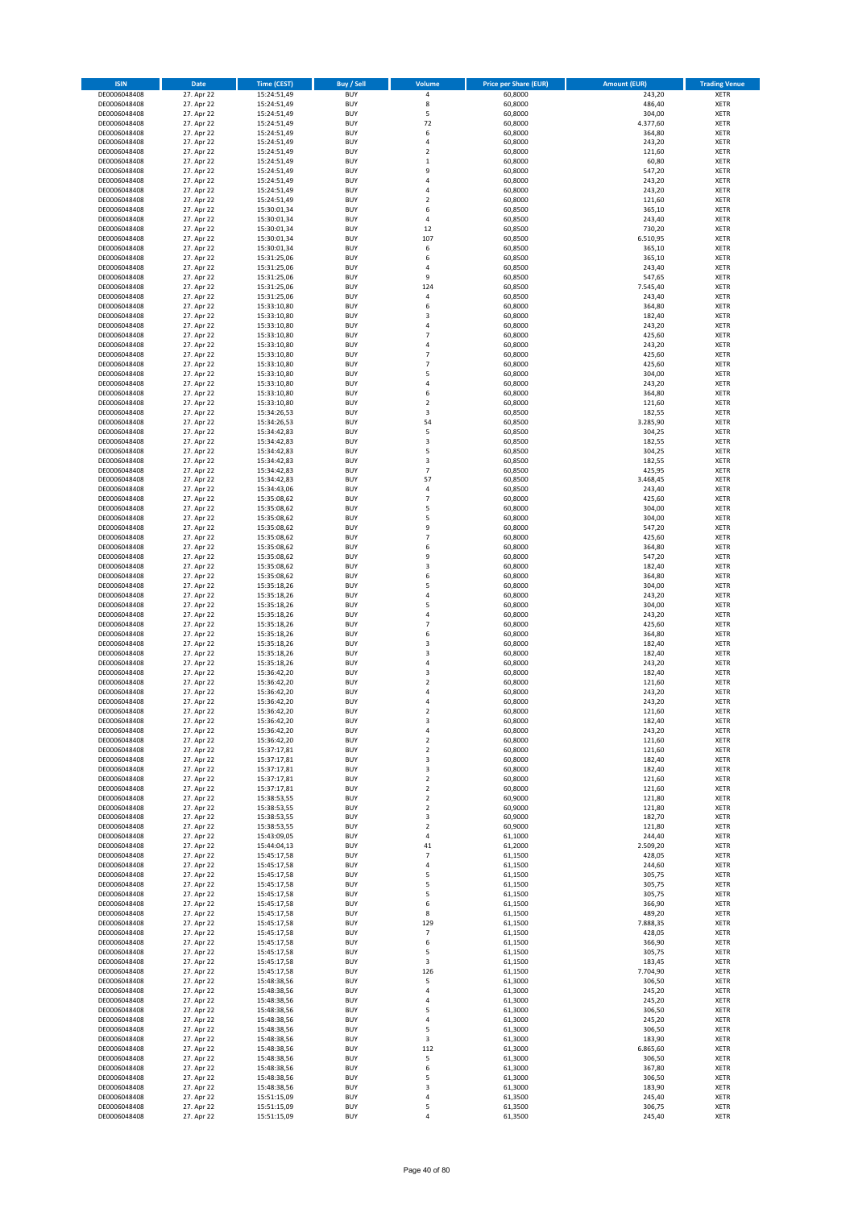| <b>ISIN</b>                  | Date                     | <b>Time (CEST)</b>         | <b>Buy / Sell</b>        | Volume                           | <b>Price per Share (EUR)</b> | <b>Amount (EUR)</b> | <b>Trading Venue</b>       |
|------------------------------|--------------------------|----------------------------|--------------------------|----------------------------------|------------------------------|---------------------|----------------------------|
| DE0006048408                 | 27. Apr 22               | 15:24:51,49                | <b>BUY</b>               | $\pmb{4}$                        | 60,8000                      | 243,20              | <b>XETR</b>                |
| DE0006048408                 | 27. Apr 22               | 15:24:51,49                | <b>BUY</b>               | 8                                | 60,8000                      | 486,40              | <b>XETR</b>                |
| DE0006048408<br>DE0006048408 | 27. Apr 22<br>27. Apr 22 | 15:24:51,49<br>15:24:51,49 | <b>BUY</b><br><b>BUY</b> | 5<br>72                          | 60,8000<br>60,8000           | 304,00<br>4.377,60  | <b>XETR</b><br><b>XETR</b> |
| DE0006048408                 | 27. Apr 22               | 15:24:51,49                | <b>BUY</b>               | 6                                | 60,8000                      | 364,80              | <b>XETR</b>                |
| DE0006048408                 | 27. Apr 22               | 15:24:51,49                | <b>BUY</b>               | $\overline{4}$                   | 60,8000                      | 243,20              | <b>XETR</b>                |
| DE0006048408                 | 27. Apr 22               | 15:24:51,49                | <b>BUY</b>               | $\overline{2}$                   | 60,8000                      | 121,60              | <b>XETR</b>                |
| DE0006048408                 | 27. Apr 22               | 15:24:51,49                | <b>BUY</b>               | $\,1\,$                          | 60,8000                      | 60,80               | <b>XETR</b>                |
| DE0006048408<br>DE0006048408 | 27. Apr 22<br>27. Apr 22 | 15:24:51,49                | <b>BUY</b><br><b>BUY</b> | 9<br>$\sqrt{4}$                  | 60,8000<br>60,8000           | 547,20<br>243,20    | XETR<br><b>XETR</b>        |
| DE0006048408                 | 27. Apr 22               | 15:24:51,49<br>15:24:51,49 | <b>BUY</b>               | $\overline{4}$                   | 60,8000                      | 243,20              | XETR                       |
| DE0006048408                 | 27. Apr 22               | 15:24:51,49                | <b>BUY</b>               | $\overline{2}$                   | 60,8000                      | 121,60              | <b>XETR</b>                |
| DE0006048408                 | 27. Apr 22               | 15:30:01,34                | <b>BUY</b>               | 6                                | 60,8500                      | 365,10              | XETR                       |
| DE0006048408                 | 27. Apr 22               | 15:30:01,34                | <b>BUY</b>               | 4                                | 60,8500                      | 243,40              | <b>XETR</b>                |
| DE0006048408                 | 27. Apr 22               | 15:30:01,34                | <b>BUY</b>               | 12                               | 60,8500                      | 730,20              | XETR                       |
| DE0006048408<br>DE0006048408 | 27. Apr 22<br>27. Apr 22 | 15:30:01,34<br>15:30:01,34 | <b>BUY</b><br><b>BUY</b> | 107<br>6                         | 60,8500<br>60,8500           | 6.510,95<br>365,10  | <b>XETR</b><br>XETR        |
| DE0006048408                 | 27. Apr 22               | 15:31:25,06                | <b>BUY</b>               | 6                                | 60,8500                      | 365,10              | <b>XETR</b>                |
| DE0006048408                 | 27. Apr 22               | 15:31:25,06                | <b>BUY</b>               | $\overline{4}$                   | 60,8500                      | 243,40              | XETR                       |
| DE0006048408                 | 27. Apr 22               | 15:31:25,06                | <b>BUY</b>               | 9                                | 60,8500                      | 547,65              | <b>XETR</b>                |
| DE0006048408                 | 27. Apr 22               | 15:31:25,06                | <b>BUY</b>               | 124                              | 60,8500                      | 7.545,40            | <b>XETR</b>                |
| DE0006048408<br>DE0006048408 | 27. Apr 22<br>27. Apr 22 | 15:31:25,06<br>15:33:10,80 | <b>BUY</b><br><b>BUY</b> | 4<br>6                           | 60,8500<br>60,8000           | 243,40<br>364,80    | <b>XETR</b><br><b>XETR</b> |
| DE0006048408                 | 27. Apr 22               | 15:33:10,80                | <b>BUY</b>               | 3                                | 60,8000                      | 182,40              | <b>XETR</b>                |
| DE0006048408                 | 27. Apr 22               | 15:33:10,80                | <b>BUY</b>               | $\overline{a}$                   | 60,8000                      | 243,20              | <b>XETR</b>                |
| DE0006048408                 | 27. Apr 22               | 15:33:10,80                | <b>BUY</b>               | $\overline{7}$                   | 60,8000                      | 425,60              | <b>XETR</b>                |
| DE0006048408                 | 27. Apr 22               | 15:33:10,80                | <b>BUY</b>               | $\overline{4}$                   | 60,8000                      | 243,20              | <b>XETR</b>                |
| DE0006048408<br>DE0006048408 | 27. Apr 22<br>27. Apr 22 | 15:33:10,80                | <b>BUY</b><br><b>BUY</b> | $\overline{7}$<br>$\overline{7}$ | 60,8000<br>60,8000           | 425,60              | <b>XETR</b><br><b>XETR</b> |
| DE0006048408                 | 27. Apr 22               | 15:33:10,80<br>15:33:10,80 | <b>BUY</b>               | 5                                | 60,8000                      | 425,60<br>304,00    | <b>XETR</b>                |
| DE0006048408                 | 27. Apr 22               | 15:33:10,80                | <b>BUY</b>               | $\sqrt{4}$                       | 60,8000                      | 243,20              | <b>XETR</b>                |
| DE0006048408                 | 27. Apr 22               | 15:33:10,80                | <b>BUY</b>               | 6                                | 60,8000                      | 364,80              | <b>XETR</b>                |
| DE0006048408                 | 27. Apr 22               | 15:33:10,80                | <b>BUY</b>               | $\overline{2}$                   | 60,8000                      | 121,60              | <b>XETR</b>                |
| DE0006048408                 | 27. Apr 22               | 15:34:26,53                | <b>BUY</b><br><b>BUY</b> | 3<br>54                          | 60,8500                      | 182,55              | XETR<br><b>XETR</b>        |
| DE0006048408<br>DE0006048408 | 27. Apr 22<br>27. Apr 22 | 15:34:26,53<br>15:34:42,83 | <b>BUY</b>               | 5                                | 60,8500<br>60,8500           | 3.285,90<br>304,25  | XETR                       |
| DE0006048408                 | 27. Apr 22               | 15:34:42,83                | <b>BUY</b>               | 3                                | 60,8500                      | 182,55              | <b>XETR</b>                |
| DE0006048408                 | 27. Apr 22               | 15:34:42,83                | <b>BUY</b>               | 5                                | 60,8500                      | 304,25              | XETR                       |
| DE0006048408                 | 27. Apr 22               | 15:34:42,83                | <b>BUY</b>               | 3                                | 60,8500                      | 182,55              | <b>XETR</b>                |
| DE0006048408                 | 27. Apr 22               | 15:34:42,83                | <b>BUY</b>               | $\overline{7}$                   | 60,8500                      | 425,95              | <b>XETR</b>                |
| DE0006048408<br>DE0006048408 | 27. Apr 22<br>27. Apr 22 | 15:34:42,83<br>15:34:43,06 | <b>BUY</b><br><b>BUY</b> | 57<br>$\sqrt{4}$                 | 60,8500<br>60,8500           | 3.468,45<br>243,40  | <b>XETR</b><br>XETR        |
| DE0006048408                 | 27. Apr 22               | 15:35:08,62                | <b>BUY</b>               | $\overline{7}$                   | 60,8000                      | 425,60              | <b>XETR</b>                |
| DE0006048408                 | 27. Apr 22               | 15:35:08,62                | <b>BUY</b>               | 5                                | 60,8000                      | 304,00              | <b>XETR</b>                |
| DE0006048408                 | 27. Apr 22               | 15:35:08,62                | <b>BUY</b>               | 5                                | 60,8000                      | 304,00              | <b>XETR</b>                |
| DE0006048408                 | 27. Apr 22               | 15:35:08,62                | <b>BUY</b>               | 9                                | 60,8000                      | 547,20              | XETR                       |
| DE0006048408                 | 27. Apr 22               | 15:35:08,62                | <b>BUY</b><br><b>BUY</b> | $\overline{7}$<br>6              | 60,8000                      | 425,60              | <b>XETR</b><br><b>XETR</b> |
| DE0006048408<br>DE0006048408 | 27. Apr 22<br>27. Apr 22 | 15:35:08,62<br>15:35:08,62 | <b>BUY</b>               | 9                                | 60,8000<br>60,8000           | 364,80<br>547,20    | <b>XETR</b>                |
| DE0006048408                 | 27. Apr 22               | 15:35:08,62                | <b>BUY</b>               | 3                                | 60,8000                      | 182,40              | <b>XETR</b>                |
| DE0006048408                 | 27. Apr 22               | 15:35:08,62                | <b>BUY</b>               | 6                                | 60,8000                      | 364,80              | <b>XETR</b>                |
| DE0006048408                 | 27. Apr 22               | 15:35:18,26                | <b>BUY</b>               | 5                                | 60,8000                      | 304,00              | <b>XETR</b>                |
| DE0006048408                 | 27. Apr 22               | 15:35:18,26                | <b>BUY</b>               | $\sqrt{4}$                       | 60,8000                      | 243,20              | <b>XETR</b>                |
| DE0006048408<br>DE0006048408 | 27. Apr 22<br>27. Apr 22 | 15:35:18,26<br>15:35:18,26 | <b>BUY</b><br><b>BUY</b> | 5<br>4                           | 60,8000<br>60,8000           | 304,00<br>243,20    | <b>XETR</b><br><b>XETR</b> |
| DE0006048408                 | 27. Apr 22               | 15:35:18,26                | <b>BUY</b>               | $\overline{7}$                   | 60,8000                      | 425,60              | <b>XETR</b>                |
| DE0006048408                 | 27. Apr 22               | 15:35:18,26                | <b>BUY</b>               | 6                                | 60,8000                      | 364,80              | <b>XETR</b>                |
| DE0006048408                 | 27. Apr 22               | 15:35:18,26                | <b>BUY</b>               | 3                                | 60,8000                      | 182,40              | <b>XETR</b>                |
| DE0006048408                 | 27. Apr 22               | 15:35:18,26                | <b>BUY</b>               | 3                                | 60,8000                      | 182,40              | <b>XETR</b>                |
| DE0006048408<br>DE0006048408 | 27. Apr 22               | 15:35:18,26<br>15:36:42,20 | <b>BUY</b>               | 4<br>3                           | 60,8000                      | 243,20              | <b>XETR</b>                |
| DE0006048408                 | 27. Apr 22<br>27. Apr 22 | 15:36:42,20                | <b>BUY</b><br><b>BUY</b> | $\overline{2}$                   | 60,8000<br>60,8000           | 182,40<br>121,60    | XETR<br><b>XETR</b>        |
| DE0006048408                 | 27. Apr 22               | 15:36:42,20                | <b>BUY</b>               | 4                                | 60,8000                      | 243,20              | XETR                       |
| DE0006048408                 | 27. Apr 22               | 15:36:42,20                | <b>BUY</b>               | 4                                | 60,8000                      | 243,20              | <b>XETR</b>                |
| DE0006048408                 | 27. Apr 22               | 15:36:42,20                | <b>BUY</b>               | $\overline{2}$                   | 60,8000                      | 121,60              | <b>XETR</b>                |
| DE0006048408                 | 27. Apr 22               | 15:36:42,20                | <b>BUY</b>               | 3                                | 60,8000                      | 182,40              | XETR                       |
| DE0006048408<br>DE0006048408 | 27. Apr 22<br>27. Apr 22 | 15:36:42,20<br>15:36:42,20 | <b>BUY</b><br><b>BUY</b> | 4<br>$\sqrt{2}$                  | 60,8000<br>60,8000           | 243,20<br>121,60    | XETR<br>XETR               |
| DE0006048408                 | 27. Apr 22               | 15:37:17,81                | <b>BUY</b>               | $\overline{2}$                   | 60,8000                      | 121,60              | <b>XETR</b>                |
| DE0006048408                 | 27. Apr 22               | 15:37:17,81                | <b>BUY</b>               | 3                                | 60,8000                      | 182,40              | <b>XETR</b>                |
| DE0006048408                 | 27. Apr 22               | 15:37:17,81                | <b>BUY</b>               | 3                                | 60,8000                      | 182,40              | XETR                       |
| DE0006048408                 | 27. Apr 22               | 15:37:17,81                | <b>BUY</b>               | $\overline{2}$                   | 60,8000                      | 121,60              | <b>XETR</b>                |
| DE0006048408<br>DE0006048408 | 27. Apr 22<br>27. Apr 22 | 15:37:17,81<br>15:38:53,55 | <b>BUY</b><br><b>BUY</b> | $\sqrt{2}$<br>$\overline{2}$     | 60,8000<br>60,9000           | 121,60<br>121,80    | <b>XETR</b><br><b>XETR</b> |
| DE0006048408                 | 27. Apr 22               | 15:38:53,55                | <b>BUY</b>               | $\mathbf 2$                      | 60,9000                      | 121,80              | XETR                       |
| DE0006048408                 | 27. Apr 22               | 15:38:53,55                | <b>BUY</b>               | 3                                | 60,9000                      | 182,70              | <b>XETR</b>                |
| DE0006048408                 | 27. Apr 22               | 15:38:53,55                | <b>BUY</b>               | $\sqrt{2}$                       | 60,9000                      | 121,80              | <b>XETR</b>                |
| DE0006048408<br>DE0006048408 | 27. Apr 22<br>27. Apr 22 | 15:43:09,05                | <b>BUY</b><br><b>BUY</b> | 4                                | 61,1000<br>61,2000           | 244,40<br>2.509,20  | <b>XETR</b><br>XETR        |
| DE0006048408                 | 27. Apr 22               | 15:44:04,13<br>15:45:17,58 | <b>BUY</b>               | 41<br>$\overline{\phantom{a}}$   | 61,1500                      | 428,05              | <b>XETR</b>                |
| DE0006048408                 | 27. Apr 22               | 15:45:17,58                | <b>BUY</b>               | 4                                | 61,1500                      | 244,60              | <b>XETR</b>                |
| DE0006048408                 | 27. Apr 22               | 15:45:17,58                | <b>BUY</b>               | 5                                | 61,1500                      | 305,75              | <b>XETR</b>                |
| DE0006048408                 | 27. Apr 22               | 15:45:17,58                | <b>BUY</b>               | 5                                | 61,1500                      | 305,75              | <b>XETR</b>                |
| DE0006048408                 | 27. Apr 22               | 15:45:17,58                | <b>BUY</b>               | 5                                | 61,1500                      | 305,75              | <b>XETR</b>                |
| DE0006048408<br>DE0006048408 | 27. Apr 22<br>27. Apr 22 | 15:45:17,58<br>15:45:17,58 | <b>BUY</b><br><b>BUY</b> | 6<br>8                           | 61,1500<br>61,1500           | 366,90<br>489,20    | <b>XETR</b><br><b>XETR</b> |
| DE0006048408                 | 27. Apr 22               | 15:45:17,58                | <b>BUY</b>               | 129                              | 61,1500                      | 7.888,35            | <b>XETR</b>                |
| DE0006048408                 | 27. Apr 22               | 15:45:17,58                | <b>BUY</b>               | $\overline{\phantom{a}}$         | 61,1500                      | 428,05              | XETR                       |
| DE0006048408                 | 27. Apr 22               | 15:45:17,58                | <b>BUY</b>               | 6                                | 61,1500                      | 366,90              | XETR                       |
| DE0006048408                 | 27. Apr 22               | 15:45:17,58                | <b>BUY</b>               | 5                                | 61,1500                      | 305,75              | <b>XETR</b>                |
| DE0006048408<br>DE0006048408 | 27. Apr 22<br>27. Apr 22 | 15:45:17,58<br>15:45:17,58 | <b>BUY</b><br><b>BUY</b> | 3<br>126                         | 61,1500<br>61,1500           | 183,45<br>7.704,90  | <b>XETR</b><br>XETR        |
| DE0006048408                 | 27. Apr 22               | 15:48:38,56                | <b>BUY</b>               | 5                                | 61,3000                      | 306,50              | XETR                       |
| DE0006048408                 | 27. Apr 22               | 15:48:38,56                | <b>BUY</b>               | 4                                | 61,3000                      | 245,20              | <b>XETR</b>                |
| DE0006048408                 | 27. Apr 22               | 15:48:38,56                | <b>BUY</b>               | 4                                | 61,3000                      | 245,20              | <b>XETR</b>                |
| DE0006048408                 | 27. Apr 22               | 15:48:38,56                | <b>BUY</b>               | 5                                | 61,3000                      | 306,50              | XETR                       |
| DE0006048408<br>DE0006048408 | 27. Apr 22<br>27. Apr 22 | 15:48:38,56<br>15:48:38,56 | <b>BUY</b><br><b>BUY</b> | 4<br>5                           | 61,3000<br>61,3000           | 245,20<br>306,50    | XETR<br><b>XETR</b>        |
| DE0006048408                 | 27. Apr 22               | 15:48:38,56                | <b>BUY</b>               | 3                                | 61,3000                      | 183,90              | <b>XETR</b>                |
| DE0006048408                 | 27. Apr 22               | 15:48:38,56                | <b>BUY</b>               | 112                              | 61,3000                      | 6.865,60            | <b>XETR</b>                |
| DE0006048408                 | 27. Apr 22               | 15:48:38,56                | <b>BUY</b>               | 5                                | 61,3000                      | 306,50              | <b>XETR</b>                |
| DE0006048408                 | 27. Apr 22               | 15:48:38,56                | <b>BUY</b>               | 6                                | 61,3000                      | 367,80              | <b>XETR</b>                |
| DE0006048408<br>DE0006048408 | 27. Apr 22<br>27. Apr 22 | 15:48:38,56<br>15:48:38,56 | <b>BUY</b><br><b>BUY</b> | 5<br>3                           | 61,3000<br>61,3000           | 306,50<br>183,90    | <b>XETR</b><br><b>XETR</b> |
| DE0006048408                 | 27. Apr 22               | 15:51:15,09                | <b>BUY</b>               | 4                                | 61,3500                      | 245,40              | <b>XETR</b>                |
| DE0006048408                 | 27. Apr 22               | 15:51:15,09                | <b>BUY</b>               | 5                                | 61,3500                      | 306,75              | <b>XETR</b>                |
| DE0006048408                 | 27. Apr 22               | 15:51:15,09                | <b>BUY</b>               | 4                                | 61,3500                      | 245,40              | <b>XETR</b>                |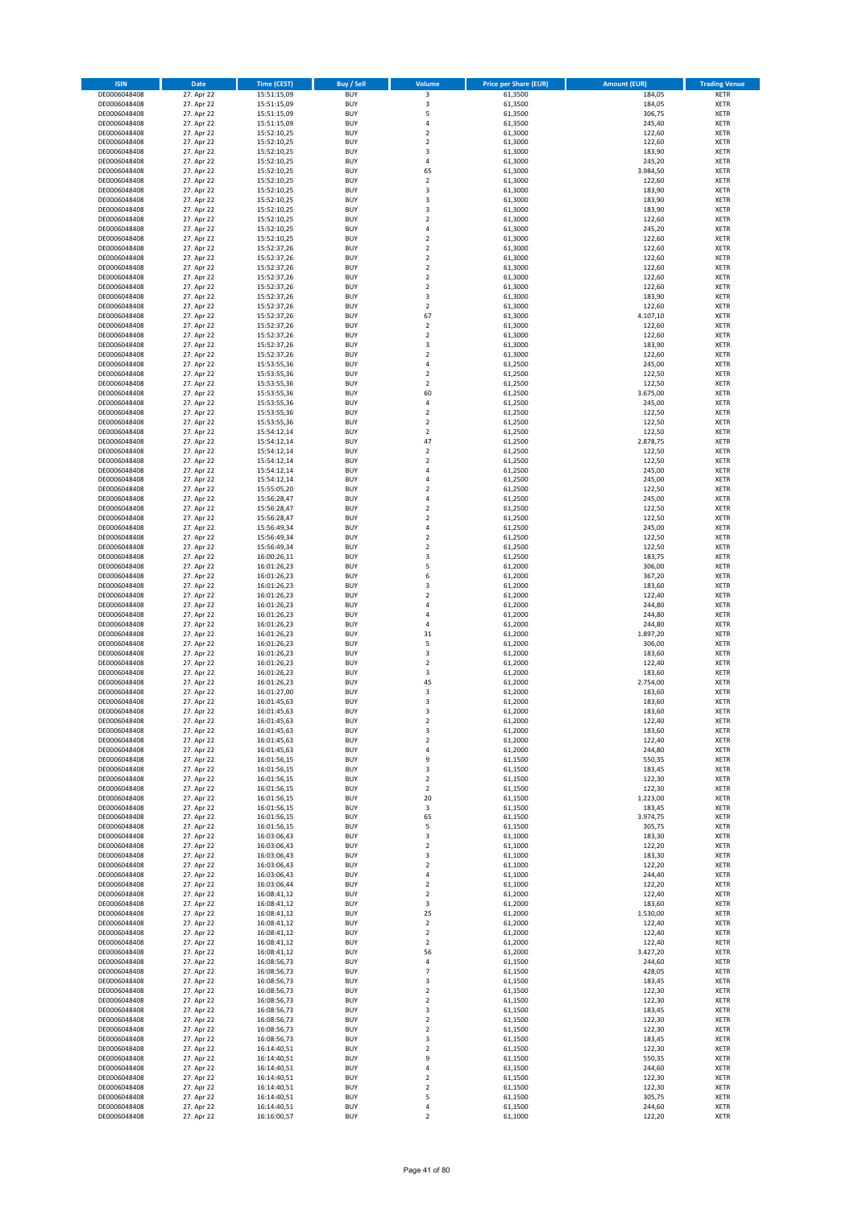| <b>ISIN</b>                  | Date                     | <b>Time (CEST)</b>         | Buy / Sell               | Volume                     | <b>Price per Share (EUR)</b> | <b>Amount (EUR)</b> | <b>Trading Venue</b>       |
|------------------------------|--------------------------|----------------------------|--------------------------|----------------------------|------------------------------|---------------------|----------------------------|
| DE0006048408                 | 27. Apr 22               | 15:51:15,09                | <b>BUY</b>               | 3                          | 61,3500                      | 184,05              | XETR                       |
| DE0006048408                 | 27. Apr 22               | 15:51:15,09                | <b>BUY</b>               | 3                          | 61,3500                      | 184,05              | XETR                       |
| DE0006048408<br>DE0006048408 | 27. Apr 22<br>27. Apr 22 | 15:51:15,09<br>15:51:15,09 | <b>BUY</b><br><b>BUY</b> | 5<br>4                     | 61,3500<br>61,3500           | 306,75<br>245,40    | <b>XETR</b><br><b>XETR</b> |
| DE0006048408                 | 27. Apr 22               | 15:52:10,25                | <b>BUY</b>               | $\mathbf 2$                | 61,3000                      | 122,60              | XETR                       |
| DE0006048408                 | 27. Apr 22               | 15:52:10,25                | <b>BUY</b>               | $\overline{2}$             | 61,3000                      | 122,60              | <b>XETR</b>                |
| DE0006048408                 | 27. Apr 22               | 15:52:10,25                | <b>BUY</b>               | 3                          | 61,3000                      | 183,90              | <b>XETR</b>                |
| DE0006048408                 | 27. Apr 22               | 15:52:10,25                | <b>BUY</b>               | 4                          | 61,3000                      | 245,20              | <b>XETR</b>                |
| DE0006048408<br>DE0006048408 | 27. Apr 22<br>27. Apr 22 | 15:52:10,25                | <b>BUY</b><br><b>BUY</b> | 65<br>$\mathbf 2$          | 61,3000<br>61,3000           | 3.984,50<br>122,60  | <b>XETR</b><br><b>XETR</b> |
| DE0006048408                 | 27. Apr 22               | 15:52:10,25<br>15:52:10,25 | <b>BUY</b>               | 3                          | 61,3000                      | 183,90              | <b>XETR</b>                |
| DE0006048408                 | 27. Apr 22               | 15:52:10,25                | <b>BUY</b>               | 3                          | 61,3000                      | 183,90              | <b>XETR</b>                |
| DE0006048408                 | 27. Apr 22               | 15:52:10,25                | <b>BUY</b>               | 3                          | 61,3000                      | 183,90              | XETR                       |
| DE0006048408                 | 27. Apr 22               | 15:52:10,25                | <b>BUY</b>               | $\mathbf 2$                | 61,3000                      | 122,60              | <b>XETR</b>                |
| DE0006048408                 | 27. Apr 22               | 15:52:10,25                | <b>BUY</b>               | 4                          | 61,3000                      | 245,20              | XETR                       |
| DE0006048408<br>DE0006048408 | 27. Apr 22<br>27. Apr 22 | 15:52:10,25<br>15:52:37,26 | <b>BUY</b><br><b>BUY</b> | $\mathbf 2$<br>$\mathbf 2$ | 61,3000<br>61,3000           | 122,60<br>122,60    | <b>XETR</b><br>XETR        |
| DE0006048408                 | 27. Apr 22               | 15:52:37,26                | <b>BUY</b>               | $\mathbf 2$                | 61,3000                      | 122,60              | <b>XETR</b>                |
| DE0006048408                 | 27. Apr 22               | 15:52:37,26                | <b>BUY</b>               | $\mathbf 2$                | 61,3000                      | 122,60              | XETR                       |
| DE0006048408                 | 27. Apr 22               | 15:52:37,26                | <b>BUY</b>               | $\overline{2}$             | 61,3000                      | 122,60              | <b>XETR</b>                |
| DE0006048408<br>DE0006048408 | 27. Apr 22<br>27. Apr 22 | 15:52:37,26<br>15:52:37,26 | <b>BUY</b><br><b>BUY</b> | $\mathbf 2$<br>3           | 61,3000<br>61,3000           | 122,60<br>183,90    | XETR<br>XETR               |
| DE0006048408                 | 27. Apr 22               | 15:52:37,26                | <b>BUY</b>               | $\mathbf 2$                | 61,3000                      | 122,60              | <b>XETR</b>                |
| DE0006048408                 | 27. Apr 22               | 15:52:37,26                | <b>BUY</b>               | 67                         | 61,3000                      | 4.107,10            | <b>XETR</b>                |
| DE0006048408                 | 27. Apr 22               | 15:52:37,26                | <b>BUY</b>               | $\mathbf 2$                | 61,3000                      | 122,60              | <b>XETR</b>                |
| DE0006048408                 | 27. Apr 22               | 15:52:37,26                | <b>BUY</b>               | $\mathbf 2$                | 61,3000                      | 122,60              | <b>XETR</b>                |
| DE0006048408                 | 27. Apr 22<br>27. Apr 22 | 15:52:37,26                | <b>BUY</b>               | 3                          | 61,3000                      | 183,90              | <b>XETR</b>                |
| DE0006048408<br>DE0006048408 | 27. Apr 22               | 15:52:37,26<br>15:53:55,36 | <b>BUY</b><br><b>BUY</b> | $\mathbf 2$<br>4           | 61,3000<br>61,2500           | 122,60<br>245,00    | <b>XETR</b><br>XETR        |
| DE0006048408                 | 27. Apr 22               | 15:53:55,36                | <b>BUY</b>               | $\mathbf 2$                | 61,2500                      | 122,50              | <b>XETR</b>                |
| DE0006048408                 | 27. Apr 22               | 15:53:55,36                | <b>BUY</b>               | $\mathbf 2$                | 61,2500                      | 122,50              | <b>XETR</b>                |
| DE0006048408                 | 27. Apr 22               | 15:53:55,36                | <b>BUY</b>               | 60                         | 61,2500                      | 3.675,00            | <b>XETR</b>                |
| DE0006048408                 | 27. Apr 22               | 15:53:55,36                | <b>BUY</b><br><b>BUY</b> | 4<br>$\mathbf 2$           | 61,2500                      | 245,00<br>122,50    | <b>XETR</b><br>XETR        |
| DE0006048408<br>DE0006048408 | 27. Apr 22<br>27. Apr 22 | 15:53:55,36<br>15:53:55,36 | <b>BUY</b>               | $\mathbf 2$                | 61,2500<br>61,2500           | 122,50              | <b>XETR</b>                |
| DE0006048408                 | 27. Apr 22               | 15:54:12,14                | <b>BUY</b>               | $\mathbf 2$                | 61,2500                      | 122,50              | XETR                       |
| DE0006048408                 | 27. Apr 22               | 15:54:12,14                | <b>BUY</b>               | 47                         | 61,2500                      | 2.878,75            | <b>XETR</b>                |
| DE0006048408                 | 27. Apr 22               | 15:54:12,14                | <b>BUY</b>               | $\mathbf 2$                | 61,2500                      | 122,50              | XETR                       |
| DE0006048408                 | 27. Apr 22               | 15:54:12,14                | <b>BUY</b>               | $\mathbf 2$                | 61,2500                      | 122,50              | <b>XETR</b>                |
| DE0006048408<br>DE0006048408 | 27. Apr 22<br>27. Apr 22 | 15:54:12,14<br>15:54:12,14 | <b>BUY</b><br><b>BUY</b> | 4<br>$\overline{4}$        | 61,2500<br>61,2500           | 245,00<br>245,00    | <b>XETR</b><br><b>XETR</b> |
| DE0006048408                 | 27. Apr 22               | 15:55:05,20                | <b>BUY</b>               | $\mathbf 2$                | 61,2500                      | 122,50              | <b>XETR</b>                |
| DE0006048408                 | 27. Apr 22               | 15:56:28,47                | <b>BUY</b>               | $\overline{4}$             | 61,2500                      | 245,00              | <b>XETR</b>                |
| DE0006048408                 | 27. Apr 22               | 15:56:28,47                | <b>BUY</b>               | $\mathbf 2$                | 61,2500                      | 122,50              | XETR                       |
| DE0006048408                 | 27. Apr 22               | 15:56:28,47                | <b>BUY</b>               | $\mathbf 2$                | 61,2500                      | 122,50              | <b>XETR</b>                |
| DE0006048408                 | 27. Apr 22               | 15:56:49,34                | <b>BUY</b>               | 4                          | 61,2500                      | 245,00              | XETR                       |
| DE0006048408<br>DE0006048408 | 27. Apr 22<br>27. Apr 22 | 15:56:49,34<br>15:56:49,34 | <b>BUY</b><br><b>BUY</b> | 2<br>$\mathbf 2$           | 61,2500<br>61,2500           | 122,50<br>122,50    | XETR<br><b>XETR</b>        |
| DE0006048408                 | 27. Apr 22               | 16:00:26,11                | <b>BUY</b>               | 3                          | 61,2500                      | 183,75              | <b>XETR</b>                |
| DE0006048408                 | 27. Apr 22               | 16:01:26,23                | <b>BUY</b>               | 5                          | 61,2000                      | 306,00              | <b>XETR</b>                |
| DE0006048408                 | 27. Apr 22               | 16:01:26,23                | <b>BUY</b>               | 6                          | 61,2000                      | 367,20              | <b>XETR</b>                |
| DE0006048408                 | 27. Apr 22<br>27. Apr 22 | 16:01:26,23                | <b>BUY</b><br><b>BUY</b> | 3<br>$\mathbf 2$           | 61,2000<br>61,2000           | 183,60<br>122,40    | <b>XETR</b><br><b>XETR</b> |
| DE0006048408<br>DE0006048408 | 27. Apr 22               | 16:01:26,23<br>16:01:26,23 | <b>BUY</b>               | 4                          | 61,2000                      | 244,80              | XETR                       |
| DE0006048408                 | 27. Apr 22               | 16:01:26,23                | <b>BUY</b>               | 4                          | 61,2000                      | 244,80              | XETR                       |
| DE0006048408                 | 27. Apr 22               | 16:01:26,23                | <b>BUY</b>               | $\overline{4}$             | 61,2000                      | 244,80              | <b>XETR</b>                |
| DE0006048408                 | 27. Apr 22               | 16:01:26,23                | <b>BUY</b>               | 31                         | 61,2000                      | 1.897,20            | <b>XETR</b>                |
| DE0006048408                 | 27. Apr 22<br>27. Apr 22 | 16:01:26,23                | <b>BUY</b><br><b>BUY</b> | 5<br>3                     | 61,2000<br>61,2000           | 306,00<br>183,60    | <b>XETR</b><br><b>XETR</b> |
| DE0006048408<br>DE0006048408 | 27. Apr 22               | 16:01:26,23<br>16:01:26,23 | <b>BUY</b>               | $\mathbf 2$                | 61,2000                      | 122,40              | <b>XETR</b>                |
| DE0006048408                 | 27. Apr 22               | 16:01:26,23                | <b>BUY</b>               | 3                          | 61,2000                      | 183,60              | XETR                       |
| DE0006048408                 | 27. Apr 22               | 16:01:26,23                | <b>BUY</b>               | 45                         | 61,2000                      | 2.754,00            | <b>XETR</b>                |
| DE0006048408                 | 27. Apr 22               | 16:01:27,00                | <b>BUY</b>               | 3                          | 61,2000                      | 183,60              | XETR                       |
| DE0006048408<br>DE0006048408 | 27. Apr 22<br>27. Apr 22 | 16:01:45,63<br>16:01:45,63 | <b>BUY</b><br><b>BUY</b> | 3<br>3                     | 61,2000<br>61,2000           | 183,60<br>183,60    | <b>XETR</b><br><b>XETR</b> |
| DE0006048408                 | 27. Apr 22               | 16:01:45,63                | <b>BUY</b>               | 2                          | 61,2000                      | 122,40              | XETR                       |
| DE0006048408                 | 27. Apr 22               | 16:01:45,63                | <b>BUY</b>               | 3                          | 61,2000                      | 183,60              | XETR                       |
| DE0006048408                 | 27. Apr 22               | 16:01:45,63                | <b>BUY</b>               | $\mathbf 2$                | 61,2000                      | 122,40              | XETR                       |
| DE0006048408                 | 27. Apr 22               | 16:01:45,63                | <b>BUY</b>               | 4                          | 61,2000                      | 244,80              | <b>XETR</b>                |
| DE0006048408<br>DE0006048408 | 27. Apr 22<br>27. Apr 22 | 16:01:56,15<br>16:01:56,15 | <b>BUY</b><br><b>BUY</b> | 9<br>3                     | 61,1500<br>61,1500           | 550,35<br>183,45    | <b>XETR</b><br>XETR        |
| DE0006048408                 | 27. Apr 22               | 16:01:56,15                | <b>BUY</b>               | $\mathbf 2$                | 61,1500                      | 122,30              | <b>XETR</b>                |
| DE0006048408                 | 27. Apr 22               | 16:01:56,15                | <b>BUY</b>               | $\mathbf 2$                | 61,1500                      | 122,30              | XETR                       |
| DE0006048408                 | 27. Apr 22               | 16:01:56,15                | <b>BUY</b>               | 20                         | 61,1500                      | 1.223,00            | <b>XETR</b>                |
| DE0006048408                 | 27. Apr 22               | 16:01:56,15                | <b>BUY</b>               | 3                          | 61,1500                      | 183,45<br>3.974,75  | XETR                       |
| DE0006048408<br>DE0006048408 | 27. Apr 22<br>27. Apr 22 | 16:01:56,15<br>16:01:56,15 | <b>BUY</b><br><b>BUY</b> | 65<br>5                    | 61,1500<br>61,1500           | 305,75              | <b>XETR</b><br>XETR        |
| DE0006048408                 | 27. Apr 22               | 16:03:06,43                | <b>BUY</b>               | 3                          | 61,1000                      | 183,30              | <b>XETR</b>                |
| DE0006048408                 | 27. Apr 22               | 16:03:06,43                | <b>BUY</b>               | $\boldsymbol{2}$           | 61,1000                      | 122,20              | XETR                       |
| DE0006048408                 | 27. Apr 22               | 16:03:06,43                | <b>BUY</b>               | 3                          | 61,1000                      | 183,30              | <b>XETR</b>                |
| DE0006048408<br>DE0006048408 | 27. Apr 22<br>27. Apr 22 | 16:03:06,43<br>16:03:06,43 | <b>BUY</b><br><b>BUY</b> | $\mathbf 2$<br>4           | 61,1000<br>61,1000           | 122,20<br>244,40    | XETR<br><b>XETR</b>        |
| DE0006048408                 | 27. Apr 22               | 16:03:06,44                | <b>BUY</b>               | 2                          | 61,1000                      | 122,20              | <b>XETR</b>                |
| DE0006048408                 | 27. Apr 22               | 16:08:41,12                | <b>BUY</b>               | 2                          | 61,2000                      | 122,40              | <b>XETR</b>                |
| DE0006048408                 | 27. Apr 22               | 16:08:41,12                | <b>BUY</b>               | 3                          | 61,2000                      | 183,60              | XETR                       |
| DE0006048408                 | 27. Apr 22               | 16:08:41,12                | <b>BUY</b>               | 25                         | 61,2000                      | 1.530,00            | <b>XETR</b>                |
| DE0006048408<br>DE0006048408 | 27. Apr 22<br>27. Apr 22 | 16:08:41,12<br>16:08:41,12 | <b>BUY</b><br><b>BUY</b> | 2<br>$\mathbf 2$           | 61,2000<br>61,2000           | 122,40<br>122,40    | <b>XETR</b><br>XETR        |
| DE0006048408                 | 27. Apr 22               | 16:08:41,12                | <b>BUY</b>               | $\mathbf 2$                | 61,2000                      | 122,40              | <b>XETR</b>                |
| DE0006048408                 | 27. Apr 22               | 16:08:41,12                | <b>BUY</b>               | 56                         | 61,2000                      | 3.427,20            | XETR                       |
| DE0006048408                 | 27. Apr 22               | 16:08:56,73                | <b>BUY</b>               | 4                          | 61,1500                      | 244,60              | <b>XETR</b>                |
| DE0006048408                 | 27. Apr 22               | 16:08:56,73                | <b>BUY</b>               | $\overline{7}$             | 61,1500                      | 428,05              | <b>XETR</b>                |
| DE0006048408<br>DE0006048408 | 27. Apr 22<br>27. Apr 22 | 16:08:56,73<br>16:08:56,73 | <b>BUY</b><br><b>BUY</b> | 3<br>$\mathbf 2$           | 61,1500<br>61,1500           | 183,45<br>122,30    | <b>XETR</b><br>XETR        |
| DE0006048408                 | 27. Apr 22               | 16:08:56,73                | <b>BUY</b>               | $\mathbf 2$                | 61,1500                      | 122,30              | <b>XETR</b>                |
| DE0006048408                 | 27. Apr 22               | 16:08:56,73                | <b>BUY</b>               | 3                          | 61,1500                      | 183,45              | XETR                       |
| DE0006048408                 | 27. Apr 22               | 16:08:56,73                | <b>BUY</b>               | $\mathbf 2$                | 61,1500                      | 122,30              | <b>XETR</b>                |
| DE0006048408                 | 27. Apr 22               | 16:08:56,73                | <b>BUY</b>               | $\mathbf 2$                | 61,1500                      | 122,30              | XETR                       |
| DE0006048408                 | 27. Apr 22               | 16:08:56,73                | <b>BUY</b><br><b>BUY</b> | 3<br>2                     | 61,1500                      | 183,45<br>122,30    | <b>XETR</b><br><b>XETR</b> |
| DE0006048408<br>DE0006048408 | 27. Apr 22<br>27. Apr 22 | 16:14:40,51<br>16:14:40,51 | <b>BUY</b>               | 9                          | 61,1500<br>61,1500           | 550,35              | <b>XETR</b>                |
| DE0006048408                 | 27. Apr 22               | 16:14:40,51                | <b>BUY</b>               | 4                          | 61,1500                      | 244,60              | XETR                       |
| DE0006048408                 | 27. Apr 22               | 16:14:40,51                | <b>BUY</b>               | $\mathbf 2$                | 61,1500                      | 122,30              | <b>XETR</b>                |
| DE0006048408                 | 27. Apr 22               | 16:14:40,51                | <b>BUY</b>               | $\boldsymbol{2}$           | 61,1500                      | 122,30              | XETR                       |
| DE0006048408<br>DE0006048408 | 27. Apr 22<br>27. Apr 22 | 16:14:40,51<br>16:14:40,51 | <b>BUY</b><br><b>BUY</b> | 5<br>4                     | 61,1500<br>61,1500           | 305,75<br>244,60    | XETR<br>XETR               |
| DE0006048408                 | 27. Apr 22               | 16:16:00,57                | <b>BUY</b>               | $\mathbf 2$                | 61,1000                      | 122,20              | <b>XETR</b>                |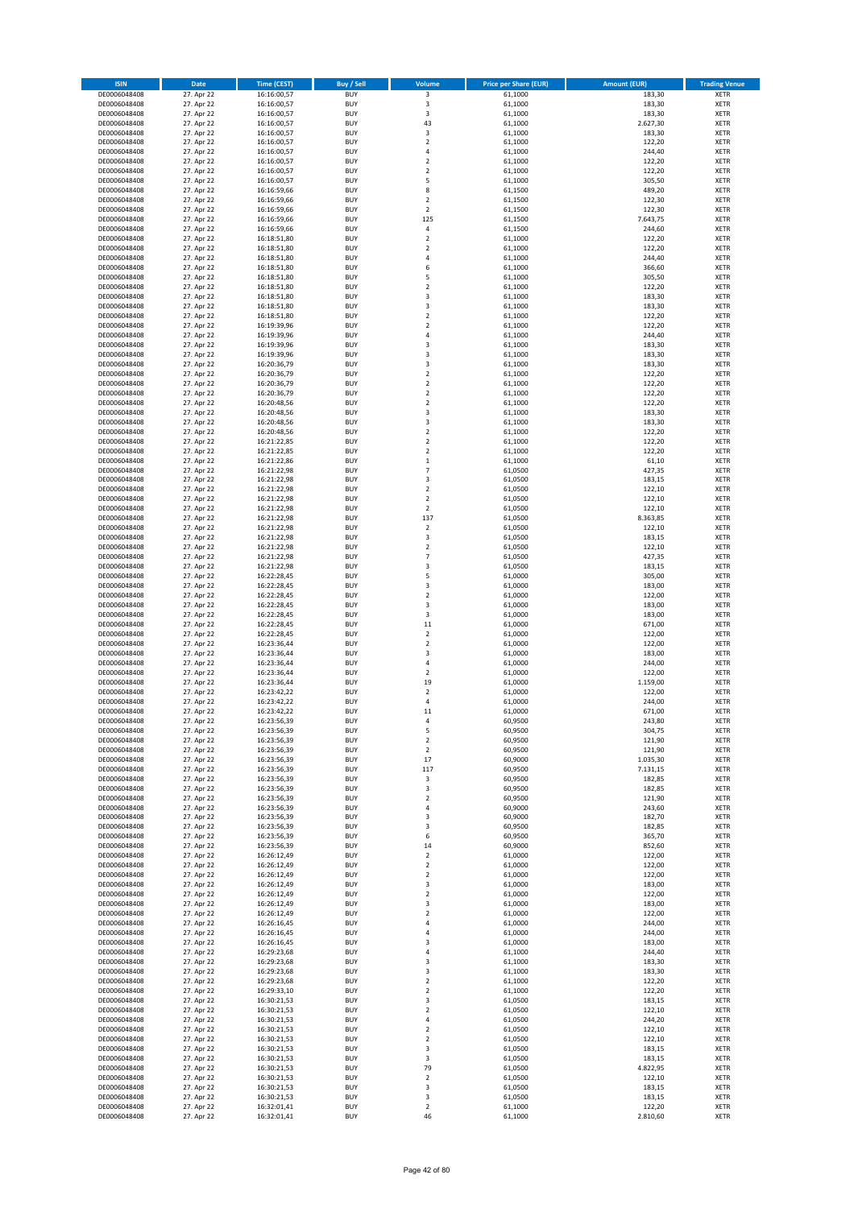| <b>ISIN</b>                  | Date                     | <b>Time (CEST)</b>         | Buy / Sell               | Volume                        | <b>Price per Share (EUR)</b> | <b>Amount (EUR)</b>  | <b>Trading Venue</b>       |
|------------------------------|--------------------------|----------------------------|--------------------------|-------------------------------|------------------------------|----------------------|----------------------------|
| DE0006048408                 | 27. Apr 22               | 16:16:00,57                | <b>BUY</b>               | 3                             | 61,1000                      | 183,30               | XETR                       |
| DE0006048408<br>DE0006048408 | 27. Apr 22<br>27. Apr 22 | 16:16:00,57<br>16:16:00,57 | <b>BUY</b><br><b>BUY</b> | 3<br>3                        | 61,1000<br>61,1000           | 183,30<br>183,30     | XETR<br>XETR               |
| DE0006048408                 | 27. Apr 22               | 16:16:00,57                | <b>BUY</b>               | 43                            | 61,1000                      | 2.627,30             | XETR                       |
| DE0006048408                 | 27. Apr 22               | 16:16:00,57                | <b>BUY</b>               | 3                             | 61,1000                      | 183,30               | XETR                       |
| DE0006048408                 | 27. Apr 22               | 16:16:00,57                | <b>BUY</b>               | $\overline{2}$                | 61,1000                      | 122,20               | <b>XETR</b>                |
| DE0006048408<br>DE0006048408 | 27. Apr 22<br>27. Apr 22 | 16:16:00,57<br>16:16:00,57 | <b>BUY</b><br><b>BUY</b> | 4<br>$\mathbf 2$              | 61,1000<br>61,1000           | 244,40<br>122,20     | <b>XETR</b><br><b>XETR</b> |
| DE0006048408                 | 27. Apr 22               | 16:16:00,57                | <b>BUY</b>               | $\mathbf 2$                   | 61,1000                      | 122,20               | <b>XETR</b>                |
| DE0006048408                 | 27. Apr 22               | 16:16:00,57                | <b>BUY</b>               | 5                             | 61,1000                      | 305,50               | <b>XETR</b>                |
| DE0006048408                 | 27. Apr 22               | 16:16:59,66                | <b>BUY</b>               | 8                             | 61,1500                      | 489,20               | <b>XETR</b>                |
| DE0006048408                 | 27. Apr 22               | 16:16:59,66                | <b>BUY</b>               | $\mathbf 2$                   | 61,1500                      | 122,30               | <b>XETR</b>                |
| DE0006048408<br>DE0006048408 | 27. Apr 22<br>27. Apr 22 | 16:16:59,66<br>16:16:59,66 | <b>BUY</b><br><b>BUY</b> | $\mathbf 2$<br>125            | 61,1500<br>61,1500           | 122,30<br>7.643,75   | XETR<br><b>XETR</b>        |
| DE0006048408                 | 27. Apr 22               | 16:16:59,66                | <b>BUY</b>               | 4                             | 61,1500                      | 244,60               | XETR                       |
| DE0006048408                 | 27. Apr 22               | 16:18:51,80                | <b>BUY</b>               | $\mathbf 2$                   | 61,1000                      | 122,20               | <b>XETR</b>                |
| DE0006048408                 | 27. Apr 22               | 16:18:51,80                | <b>BUY</b>               | $\mathbf 2$                   | 61,1000                      | 122,20               | XETR                       |
| DE0006048408<br>DE0006048408 | 27. Apr 22<br>27. Apr 22 | 16:18:51,80<br>16:18:51,80 | <b>BUY</b><br><b>BUY</b> | 4<br>6                        | 61,1000<br>61,1000           | 244,40<br>366,60     | <b>XETR</b><br>XETR        |
| DE0006048408                 | 27. Apr 22               | 16:18:51,80                | <b>BUY</b>               | 5                             | 61,1000                      | 305,50               | <b>XETR</b>                |
| DE0006048408                 | 27. Apr 22               | 16:18:51,80                | <b>BUY</b>               | $\overline{\mathbf{c}}$       | 61,1000                      | 122,20               | XETR                       |
| DE0006048408                 | 27. Apr 22               | 16:18:51,80                | <b>BUY</b>               | 3                             | 61,1000                      | 183,30               | XETR                       |
| DE0006048408<br>DE0006048408 | 27. Apr 22<br>27. Apr 22 | 16:18:51,80<br>16:18:51,80 | <b>BUY</b><br><b>BUY</b> | 3<br>$\mathbf 2$              | 61,1000<br>61,1000           | 183,30<br>122,20     | <b>XETR</b><br><b>XETR</b> |
| DE0006048408                 | 27. Apr 22               | 16:19:39,96                | <b>BUY</b>               | $\overline{\mathbf{c}}$       | 61,1000                      | 122,20               | <b>XETR</b>                |
| DE0006048408                 | 27. Apr 22               | 16:19:39,96                | <b>BUY</b>               | 4                             | 61,1000                      | 244,40               | <b>XETR</b>                |
| DE0006048408                 | 27. Apr 22               | 16:19:39,96                | <b>BUY</b>               | 3                             | 61,1000                      | 183,30               | <b>XETR</b>                |
| DE0006048408                 | 27. Apr 22               | 16:19:39,96                | <b>BUY</b><br><b>BUY</b> | 3                             | 61,1000                      | 183,30               | <b>XETR</b><br><b>XETR</b> |
| DE0006048408<br>DE0006048408 | 27. Apr 22<br>27. Apr 22 | 16:20:36,79<br>16:20:36,79 | <b>BUY</b>               | 3<br>$\mathbf 2$              | 61,1000<br>61,1000           | 183,30<br>122,20     | <b>XETR</b>                |
| DE0006048408                 | 27. Apr 22               | 16:20:36,79                | <b>BUY</b>               | $\mathbf 2$                   | 61,1000                      | 122,20               | <b>XETR</b>                |
| DE0006048408                 | 27. Apr 22               | 16:20:36,79                | <b>BUY</b>               | $\mathbf 2$                   | 61,1000                      | 122,20               | <b>XETR</b>                |
| DE0006048408                 | 27. Apr 22               | 16:20:48,56                | <b>BUY</b>               | $\overline{\mathbf{c}}$       | 61,1000                      | 122,20               | <b>XETR</b>                |
| DE0006048408<br>DE0006048408 | 27. Apr 22<br>27. Apr 22 | 16:20:48,56<br>16:20:48,56 | <b>BUY</b><br><b>BUY</b> | 3<br>3                        | 61,1000<br>61,1000           | 183,30<br>183,30     | XETR<br><b>XETR</b>        |
| DE0006048408                 | 27. Apr 22               | 16:20:48,56                | <b>BUY</b>               | $\mathbf 2$                   | 61,1000                      | 122,20               | XETR                       |
| DE0006048408                 | 27. Apr 22               | 16:21:22,85                | <b>BUY</b>               | $\overline{\mathbf{c}}$       | 61,1000                      | 122,20               | <b>XETR</b>                |
| DE0006048408                 | 27. Apr 22               | 16:21:22,85                | <b>BUY</b>               | $\mathbf 2$                   | 61,1000                      | 122,20               | XETR                       |
| DE0006048408<br>DE0006048408 | 27. Apr 22<br>27. Apr 22 | 16:21:22,86<br>16:21:22,98 | <b>BUY</b><br><b>BUY</b> | $\mathbf 1$<br>$\overline{7}$ | 61,1000<br>61,0500           | 61,10<br>427,35      | <b>XETR</b><br><b>XETR</b> |
| DE0006048408                 | 27. Apr 22               | 16:21:22,98                | <b>BUY</b>               | 3                             | 61,0500                      | 183,15               | <b>XETR</b>                |
| DE0006048408                 | 27. Apr 22               | 16:21:22,98                | <b>BUY</b>               | $\mathbf 2$                   | 61,0500                      | 122,10               | <b>XETR</b>                |
| DE0006048408                 | 27. Apr 22               | 16:21:22,98                | <b>BUY</b>               | $\mathbf 2$                   | 61,0500                      | 122,10               | <b>XETR</b>                |
| DE0006048408                 | 27. Apr 22               | 16:21:22,98                | <b>BUY</b>               | $\mathbf 2$                   | 61,0500                      | 122,10               | <b>XETR</b>                |
| DE0006048408<br>DE0006048408 | 27. Apr 22<br>27. Apr 22 | 16:21:22,98<br>16:21:22,98 | <b>BUY</b><br><b>BUY</b> | 137<br>$\mathbf 2$            | 61,0500<br>61,0500           | 8.363,85<br>122,10   | <b>XETR</b><br>XETR        |
| DE0006048408                 | 27. Apr 22               | 16:21:22,98                | <b>BUY</b>               | 3                             | 61,0500                      | 183,15               | XETR                       |
| DE0006048408                 | 27. Apr 22               | 16:21:22,98                | <b>BUY</b>               | $\mathbf 2$                   | 61,0500                      | 122,10               | <b>XETR</b>                |
| DE0006048408                 | 27. Apr 22               | 16:21:22,98                | <b>BUY</b>               | $\overline{7}$                | 61,0500                      | 427,35               | <b>XETR</b>                |
| DE0006048408<br>DE0006048408 | 27. Apr 22<br>27. Apr 22 | 16:21:22,98<br>16:22:28,45 | <b>BUY</b><br><b>BUY</b> | 3<br>5                        | 61,0500<br>61,0000           | 183,15<br>305,00     | XETR<br><b>XETR</b>        |
| DE0006048408                 | 27. Apr 22               | 16:22:28,45                | <b>BUY</b>               | 3                             | 61,0000                      | 183,00               | <b>XETR</b>                |
| DE0006048408                 | 27. Apr 22               | 16:22:28,45                | <b>BUY</b>               | $\mathbf 2$                   | 61,0000                      | 122,00               | <b>XETR</b>                |
| DE0006048408                 | 27. Apr 22               | 16:22:28,45                | <b>BUY</b>               | 3                             | 61,0000                      | 183,00               | XETR                       |
| DE0006048408<br>DE0006048408 | 27. Apr 22<br>27. Apr 22 | 16:22:28,45<br>16:22:28,45 | <b>BUY</b><br><b>BUY</b> | 3<br>11                       | 61,0000<br>61,0000           | 183,00<br>671,00     | XETR<br><b>XETR</b>        |
| DE0006048408                 | 27. Apr 22               | 16:22:28,45                | <b>BUY</b>               | $\mathbf 2$                   | 61,0000                      | 122,00               | <b>XETR</b>                |
| DE0006048408                 | 27. Apr 22               | 16:23:36,44                | <b>BUY</b>               | $\mathbf 2$                   | 61,0000                      | 122,00               | <b>XETR</b>                |
| DE0006048408                 | 27. Apr 22               | 16:23:36,44                | <b>BUY</b>               | 3                             | 61,0000                      | 183,00               | XETR                       |
| DE0006048408<br>DE0006048408 | 27. Apr 22<br>27. Apr 22 | 16:23:36,44<br>16:23:36,44 | <b>BUY</b><br><b>BUY</b> | 4<br>$\mathbf 2$              | 61,0000<br>61,0000           | 244,00<br>122,00     | <b>XETR</b><br>XETR        |
| DE0006048408                 | 27. Apr 22               | 16:23:36,44                | <b>BUY</b>               | 19                            | 61,0000                      | 1.159,00             | <b>XETR</b>                |
| DE0006048408                 | 27. Apr 22               | 16:23:42,22                | <b>BUY</b>               | $\mathbf 2$                   | 61,0000                      | 122,00               | XETR                       |
| DE0006048408                 | 27. Apr 22               | 16:23:42,22                | <b>BUY</b>               | 4                             | 61,0000                      | 244,00               | <b>XETR</b>                |
| DE0006048408                 | 27. Apr 22               | 16:23:42,22                | <b>BUY</b><br><b>BUY</b> | 11<br>4                       | 61,0000                      | 671,00               | XETR                       |
| DE0006048408<br>DE0006048408 | 27. Apr 22<br>27. Apr 22 | 16:23:56,39<br>16:23:56,39 | <b>BUY</b>               | 5                             | 60,9500<br>60,9500           | 243,80<br>304,75     | XETR<br>XETR               |
| DE0006048408                 | 27. Apr 22               | 16:23:56,39                | <b>BUY</b>               | $\mathbf 2$                   | 60,9500                      | 121,90               | XETR                       |
| DE0006048408                 | 27. Apr 22               | 16:23:56,39                | <b>BUY</b>               | 2                             | 60,9500                      | 121,90               | XETR                       |
| DE0006048408<br>DE0006048408 | 27. Apr 22<br>27. Apr 22 | 16:23:56,39<br>16:23:56,39 | <b>BUY</b><br><b>BUY</b> | 17<br>117                     | 60,9000<br>60,9500           | 1.035,30<br>7.131,15 | <b>XETR</b><br>XETR        |
| DE0006048408                 | 27. Apr 22               | 16:23:56,39                | <b>BUY</b>               | 3                             | 60,9500                      | 182,85               | <b>XETR</b>                |
| DE0006048408                 | 27. Apr 22               | 16:23:56,39                | <b>BUY</b>               | 3                             | 60,9500                      | 182,85               | XETR                       |
| DE0006048408                 | 27. Apr 22               | 16:23:56,39                | <b>BUY</b>               | $\mathbf 2$                   | 60,9500                      | 121,90               | <b>XETR</b>                |
| DE0006048408<br>DE0006048408 | 27. Apr 22<br>27. Apr 22 | 16:23:56,39<br>16:23:56,39 | <b>BUY</b><br><b>BUY</b> | 4<br>3                        | 60,9000<br>60,9000           | 243,60<br>182,70     | XETR<br><b>XETR</b>        |
| DE0006048408                 | 27. Apr 22               | 16:23:56,39                | <b>BUY</b>               | 3                             | 60,9500                      | 182,85               | XETR                       |
| DE0006048408                 | 27. Apr 22               | 16:23:56,39                | <b>BUY</b>               | 6                             | 60,9500                      | 365,70               | <b>XETR</b>                |
| DE0006048408                 | 27. Apr 22               | 16:23:56,39                | <b>BUY</b>               | 14                            | 60,9000                      | 852,60               | XETR                       |
| DE0006048408<br>DE0006048408 | 27. Apr 22<br>27. Apr 22 | 16:26:12,49<br>16:26:12,49 | <b>BUY</b><br><b>BUY</b> | $\mathbf 2$<br>$\mathbf 2$    | 61,0000<br>61,0000           | 122,00<br>122,00     | <b>XETR</b><br>XETR        |
| DE0006048408                 | 27. Apr 22               | 16:26:12,49                | <b>BUY</b>               | $\mathbf 2$                   | 61,0000                      | 122,00               | <b>XETR</b>                |
| DE0006048408                 | 27. Apr 22               | 16:26:12,49                | <b>BUY</b>               | 3                             | 61,0000                      | 183,00               | <b>XETR</b>                |
| DE0006048408                 | 27. Apr 22               | 16:26:12,49                | <b>BUY</b>               | 2                             | 61,0000                      | 122,00               | <b>XETR</b>                |
| DE0006048408<br>DE0006048408 | 27. Apr 22<br>27. Apr 22 | 16:26:12,49<br>16:26:12,49 | <b>BUY</b><br><b>BUY</b> | 3<br>$\mathbf 2$              | 61,0000<br>61,0000           | 183,00<br>122,00     | XETR<br><b>XETR</b>        |
| DE0006048408                 | 27. Apr 22               | 16:26:16,45                | <b>BUY</b>               | 4                             | 61,0000                      | 244,00               | <b>XETR</b>                |
| DE0006048408                 | 27. Apr 22               | 16:26:16,45                | <b>BUY</b>               | 4                             | 61,0000                      | 244,00               | XETR                       |
| DE0006048408                 | 27. Apr 22               | 16:26:16,45                | <b>BUY</b>               | 3                             | 61,0000                      | 183,00               | <b>XETR</b>                |
| DE0006048408<br>DE0006048408 | 27. Apr 22<br>27. Apr 22 | 16:29:23,68<br>16:29:23,68 | <b>BUY</b><br><b>BUY</b> | 4<br>3                        | 61,1000<br>61,1000           | 244,40<br>183,30     | XETR<br><b>XETR</b>        |
| DE0006048408                 | 27. Apr 22               | 16:29:23,68                | <b>BUY</b>               | 3                             | 61,1000                      | 183,30               | XETR                       |
| DE0006048408                 | 27. Apr 22               | 16:29:23,68                | <b>BUY</b>               | $\mathbf 2$                   | 61,1000                      | 122,20               | <b>XETR</b>                |
| DE0006048408                 | 27. Apr 22               | 16:29:33,10                | <b>BUY</b>               | $\mathbf 2$                   | 61,1000                      | 122,20               | XETR                       |
| DE0006048408<br>DE0006048408 | 27. Apr 22               | 16:30:21,53                | <b>BUY</b>               | 3                             | 61,0500                      | 183,15               | <b>XETR</b>                |
| DE0006048408                 | 27. Apr 22<br>27. Apr 22 | 16:30:21,53<br>16:30:21,53 | <b>BUY</b><br><b>BUY</b> | 2<br>4                        | 61,0500<br>61,0500           | 122,10<br>244,20     | XETR<br><b>XETR</b>        |
| DE0006048408                 | 27. Apr 22               | 16:30:21,53                | <b>BUY</b>               | 2                             | 61,0500                      | 122,10               | XETR                       |
| DE0006048408                 | 27. Apr 22               | 16:30:21,53                | <b>BUY</b>               | $\mathbf 2$                   | 61,0500                      | 122,10               | <b>XETR</b>                |
| DE0006048408                 | 27. Apr 22               | 16:30:21,53                | <b>BUY</b>               | 3                             | 61,0500                      | 183,15               | <b>XETR</b>                |
| DE0006048408<br>DE0006048408 | 27. Apr 22<br>27. Apr 22 | 16:30:21,53<br>16:30:21,53 | <b>BUY</b><br><b>BUY</b> | 3<br>79                       | 61,0500<br>61,0500           | 183,15<br>4.822,95   | <b>XETR</b><br>XETR        |
| DE0006048408                 | 27. Apr 22               | 16:30:21,53                | <b>BUY</b>               | $\mathbf 2$                   | 61,0500                      | 122,10               | <b>XETR</b>                |
| DE0006048408                 | 27. Apr 22               | 16:30:21,53                | <b>BUY</b>               | 3                             | 61,0500                      | 183,15               | XETR                       |
| DE0006048408<br>DE0006048408 | 27. Apr 22<br>27. Apr 22 | 16:30:21,53<br>16:32:01,41 | <b>BUY</b><br><b>BUY</b> | 3<br>$\mathbf 2$              | 61,0500<br>61,1000           | 183,15<br>122,20     | XETR<br>XETR               |
| DE0006048408                 | 27. Apr 22               | 16:32:01,41                | <b>BUY</b>               | 46                            | 61,1000                      | 2.810,60             | <b>XETR</b>                |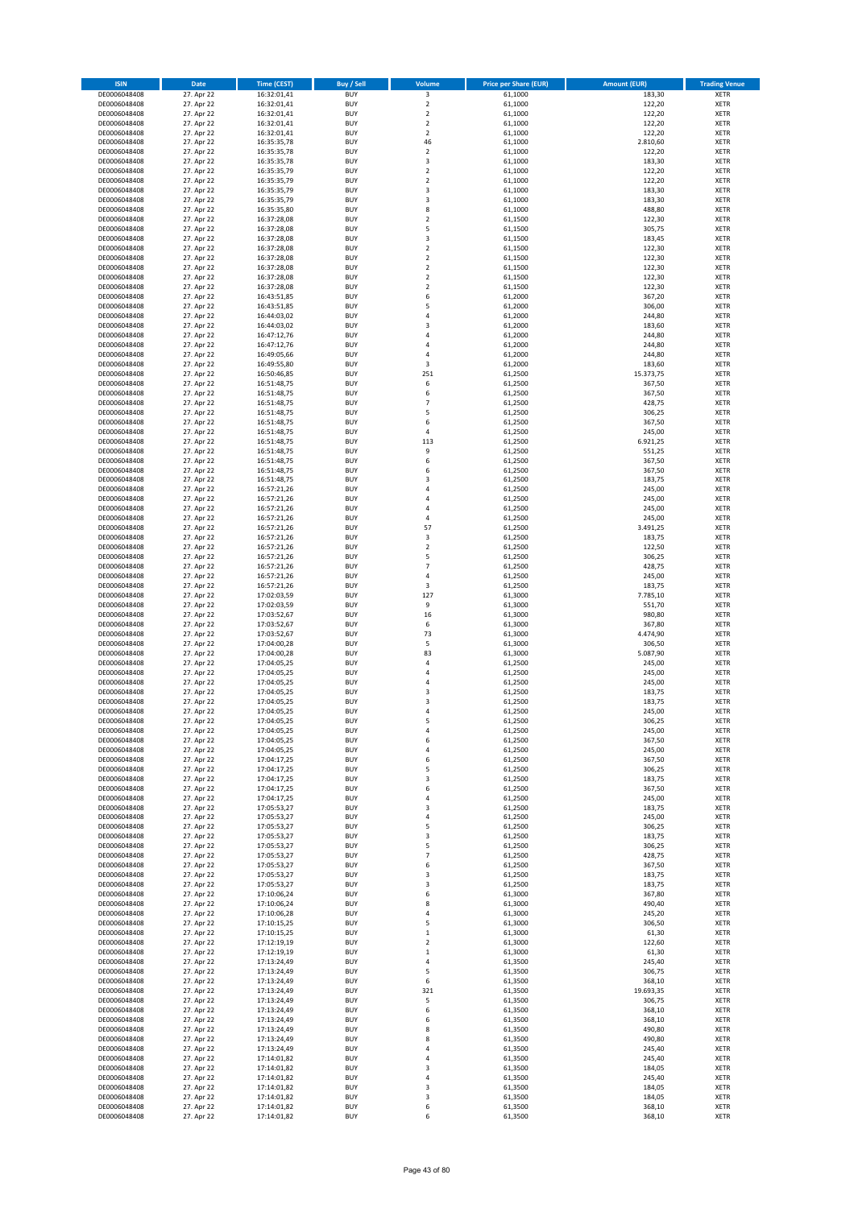| <b>ISIN</b>                  | Date                     | <b>Time (CEST)</b>         | Buy / Sell               | Volume                       | <b>Price per Share (EUR)</b> | <b>Amount (EUR)</b> | <b>Trading Venue</b>       |
|------------------------------|--------------------------|----------------------------|--------------------------|------------------------------|------------------------------|---------------------|----------------------------|
| DE0006048408                 | 27. Apr 22               | 16:32:01,41                | <b>BUY</b>               | 3                            | 61,1000                      | 183,30              | XETR                       |
| DE0006048408                 | 27. Apr 22               | 16:32:01,41                | <b>BUY</b>               | $\mathbf 2$                  | 61,1000                      | 122,20              | XETR                       |
| DE0006048408<br>DE0006048408 | 27. Apr 22<br>27. Apr 22 | 16:32:01,41<br>16:32:01,41 | <b>BUY</b><br><b>BUY</b> | $\mathbf 2$<br>$\mathbf 2$   | 61,1000<br>61,1000           | 122,20<br>122,20    | <b>XETR</b><br><b>XETR</b> |
| DE0006048408                 | 27. Apr 22               | 16:32:01,41                | <b>BUY</b>               | $\mathbf 2$                  | 61,1000                      | 122,20              | <b>XETR</b>                |
| DE0006048408                 | 27. Apr 22               | 16:35:35,78                | <b>BUY</b>               | 46                           | 61,1000                      | 2.810,60            | <b>XETR</b>                |
| DE0006048408                 | 27. Apr 22               | 16:35:35,78                | <b>BUY</b>               | $\mathbf 2$                  | 61,1000                      | 122,20              | <b>XETR</b>                |
| DE0006048408                 | 27. Apr 22               | 16:35:35,78                | <b>BUY</b>               | 3                            | 61,1000                      | 183,30              | <b>XETR</b>                |
| DE0006048408<br>DE0006048408 | 27. Apr 22<br>27. Apr 22 | 16:35:35,79                | <b>BUY</b><br><b>BUY</b> | $\mathbf 2$<br>$\mathbf 2$   | 61,1000<br>61,1000           | 122,20<br>122,20    | <b>XETR</b><br><b>XETR</b> |
| DE0006048408                 | 27. Apr 22               | 16:35:35,79<br>16:35:35,79 | <b>BUY</b>               | 3                            | 61,1000                      | 183,30              | <b>XETR</b>                |
| DE0006048408                 | 27. Apr 22               | 16:35:35,79                | <b>BUY</b>               | 3                            | 61,1000                      | 183,30              | <b>XETR</b>                |
| DE0006048408                 | 27. Apr 22               | 16:35:35,80                | <b>BUY</b>               | 8                            | 61,1000                      | 488,80              | XETR                       |
| DE0006048408                 | 27. Apr 22               | 16:37:28,08                | <b>BUY</b>               | $\overline{\mathbf{c}}$      | 61,1500                      | 122,30              | <b>XETR</b>                |
| DE0006048408                 | 27. Apr 22<br>27. Apr 22 | 16:37:28,08                | <b>BUY</b><br><b>BUY</b> | 5<br>3                       | 61,1500                      | 305,75<br>183,45    | XETR<br><b>XETR</b>        |
| DE0006048408<br>DE0006048408 | 27. Apr 22               | 16:37:28,08<br>16:37:28,08 | <b>BUY</b>               | $\mathbf 2$                  | 61,1500<br>61,1500           | 122,30              | XETR                       |
| DE0006048408                 | 27. Apr 22               | 16:37:28,08                | <b>BUY</b>               | $\overline{\mathbf{c}}$      | 61,1500                      | 122,30              | <b>XETR</b>                |
| DE0006048408                 | 27. Apr 22               | 16:37:28,08                | <b>BUY</b>               | $\mathbf 2$                  | 61,1500                      | 122,30              | XETR                       |
| DE0006048408                 | 27. Apr 22               | 16:37:28,08                | <b>BUY</b>               | $\overline{\mathbf{c}}$      | 61,1500                      | 122,30              | <b>XETR</b>                |
| DE0006048408<br>DE0006048408 | 27. Apr 22<br>27. Apr 22 | 16:37:28,08<br>16:43:51,85 | <b>BUY</b><br><b>BUY</b> | $\overline{\mathbf{c}}$<br>6 | 61,1500<br>61,2000           | 122,30<br>367,20    | <b>XETR</b><br><b>XETR</b> |
| DE0006048408                 | 27. Apr 22               | 16:43:51,85                | <b>BUY</b>               | 5                            | 61,2000                      | 306,00              | <b>XETR</b>                |
| DE0006048408                 | 27. Apr 22               | 16:44:03,02                | <b>BUY</b>               | 4                            | 61,2000                      | 244,80              | <b>XETR</b>                |
| DE0006048408                 | 27. Apr 22               | 16:44:03,02                | <b>BUY</b>               | 3                            | 61,2000                      | 183,60              | <b>XETR</b>                |
| DE0006048408                 | 27. Apr 22               | 16:47:12,76                | <b>BUY</b>               | 4                            | 61,2000                      | 244,80              | <b>XETR</b>                |
| DE0006048408                 | 27. Apr 22<br>27. Apr 22 | 16:47:12,76                | <b>BUY</b>               | $\overline{4}$               | 61,2000                      | 244,80              | <b>XETR</b>                |
| DE0006048408<br>DE0006048408 | 27. Apr 22               | 16:49:05,66<br>16:49:55,80 | <b>BUY</b><br><b>BUY</b> | 4<br>3                       | 61,2000<br>61,2000           | 244,80<br>183,60    | <b>XETR</b><br><b>XETR</b> |
| DE0006048408                 | 27. Apr 22               | 16:50:46,85                | <b>BUY</b>               | 251                          | 61,2500                      | 15.373,75           | <b>XETR</b>                |
| DE0006048408                 | 27. Apr 22               | 16:51:48,75                | <b>BUY</b>               | 6                            | 61,2500                      | 367,50              | <b>XETR</b>                |
| DE0006048408                 | 27. Apr 22               | 16:51:48,75                | <b>BUY</b>               | 6                            | 61,2500                      | 367,50              | <b>XETR</b>                |
| DE0006048408<br>DE0006048408 | 27. Apr 22               | 16:51:48,75                | <b>BUY</b><br><b>BUY</b> | $\overline{7}$<br>5          | 61,2500<br>61,2500           | 428,75<br>306,25    | <b>XETR</b><br>XETR        |
| DE0006048408                 | 27. Apr 22<br>27. Apr 22 | 16:51:48,75<br>16:51:48,75 | <b>BUY</b>               | 6                            | 61,2500                      | 367,50              | <b>XETR</b>                |
| DE0006048408                 | 27. Apr 22               | 16:51:48,75                | <b>BUY</b>               | 4                            | 61,2500                      | 245,00              | XETR                       |
| DE0006048408                 | 27. Apr 22               | 16:51:48,75                | <b>BUY</b>               | 113                          | 61,2500                      | 6.921,25            | <b>XETR</b>                |
| DE0006048408                 | 27. Apr 22               | 16:51:48,75                | <b>BUY</b>               | 9                            | 61,2500                      | 551,25              | XETR                       |
| DE0006048408                 | 27. Apr 22               | 16:51:48,75                | <b>BUY</b>               | 6                            | 61,2500                      | 367,50              | <b>XETR</b>                |
| DE0006048408<br>DE0006048408 | 27. Apr 22<br>27. Apr 22 | 16:51:48,75<br>16:51:48,75 | <b>BUY</b><br><b>BUY</b> | 6<br>3                       | 61,2500<br>61,2500           | 367,50<br>183,75    | <b>XETR</b><br><b>XETR</b> |
| DE0006048408                 | 27. Apr 22               | 16:57:21,26                | <b>BUY</b>               | 4                            | 61,2500                      | 245,00              | <b>XETR</b>                |
| DE0006048408                 | 27. Apr 22               | 16:57:21,26                | <b>BUY</b>               | $\overline{a}$               | 61,2500                      | 245,00              | <b>XETR</b>                |
| DE0006048408                 | 27. Apr 22               | 16:57:21,26                | <b>BUY</b>               | 4                            | 61,2500                      | 245,00              | <b>XETR</b>                |
| DE0006048408                 | 27. Apr 22               | 16:57:21,26                | <b>BUY</b>               | 4                            | 61,2500                      | 245,00              | <b>XETR</b>                |
| DE0006048408                 | 27. Apr 22               | 16:57:21,26                | <b>BUY</b><br><b>BUY</b> | 57                           | 61,2500                      | 3.491,25            | XETR                       |
| DE0006048408<br>DE0006048408 | 27. Apr 22<br>27. Apr 22 | 16:57:21,26<br>16:57:21,26 | <b>BUY</b>               | 3<br>$\mathbf 2$             | 61,2500<br>61,2500           | 183,75<br>122,50    | XETR<br><b>XETR</b>        |
| DE0006048408                 | 27. Apr 22               | 16:57:21,26                | <b>BUY</b>               | 5                            | 61,2500                      | 306,25              | <b>XETR</b>                |
| DE0006048408                 | 27. Apr 22               | 16:57:21,26                | <b>BUY</b>               | $\overline{7}$               | 61,2500                      | 428,75              | XETR                       |
| DE0006048408                 | 27. Apr 22               | 16:57:21,26                | <b>BUY</b>               | 4                            | 61,2500                      | 245,00              | <b>XETR</b>                |
| DE0006048408                 | 27. Apr 22               | 16:57:21,26                | <b>BUY</b>               | 3                            | 61,2500                      | 183,75              | <b>XETR</b>                |
| DE0006048408<br>DE0006048408 | 27. Apr 22<br>27. Apr 22 | 17:02:03,59<br>17:02:03,59 | <b>BUY</b><br><b>BUY</b> | 127<br>9                     | 61,3000<br>61,3000           | 7.785,10<br>551,70  | <b>XETR</b><br><b>XETR</b> |
| DE0006048408                 | 27. Apr 22               | 17:03:52,67                | <b>BUY</b>               | 16                           | 61,3000                      | 980,80              | <b>XETR</b>                |
| DE0006048408                 | 27. Apr 22               | 17:03:52,67                | <b>BUY</b>               | 6                            | 61,3000                      | 367,80              | <b>XETR</b>                |
| DE0006048408                 | 27. Apr 22               | 17:03:52,67                | <b>BUY</b>               | 73                           | 61,3000                      | 4.474,90            | <b>XETR</b>                |
| DE0006048408                 | 27. Apr 22               | 17:04:00,28                | <b>BUY</b>               | 5                            | 61,3000                      | 306,50              | <b>XETR</b>                |
| DE0006048408<br>DE0006048408 | 27. Apr 22<br>27. Apr 22 | 17:04:00,28<br>17:04:05,25 | <b>BUY</b><br><b>BUY</b> | 83<br>4                      | 61,3000<br>61,2500           | 5.087,90<br>245,00  | <b>XETR</b><br><b>XETR</b> |
| DE0006048408                 | 27. Apr 22               | 17:04:05,25                | <b>BUY</b>               | 4                            | 61,2500                      | 245,00              | XETR                       |
| DE0006048408                 | 27. Apr 22               | 17:04:05,25                | <b>BUY</b>               | 4                            | 61,2500                      | 245,00              | <b>XETR</b>                |
| DE0006048408                 | 27. Apr 22               | 17:04:05,25                | <b>BUY</b>               | 3                            | 61,2500                      | 183,75              | XETR                       |
| DE0006048408                 | 27. Apr 22               | 17:04:05,25                | <b>BUY</b>               | 3                            | 61,2500                      | 183,75              | <b>XETR</b>                |
| DE0006048408<br>DE0006048408 | 27. Apr 22<br>27. Apr 22 | 17:04:05,25<br>17:04:05,25 | <b>BUY</b><br><b>BUY</b> | 4<br>5                       | 61,2500<br>61,2500           | 245,00<br>306,25    | XETR<br>XETR               |
| DE0006048408                 | 27. Apr 22               | 17:04:05,25                | <b>BUY</b>               | 4                            | 61,2500                      | 245,00              | XETR                       |
| DE0006048408                 | 27. Apr 22               | 17:04:05,25                | <b>BUY</b>               | 6                            | 61,2500                      | 367,50              | XETR                       |
| DE0006048408                 | 27. Apr 22               | 17:04:05,25                | <b>BUY</b>               | 4                            | 61,2500                      | 245,00              | XETR                       |
| DE0006048408                 | 27. Apr 22               | 17:04:17,25                | <b>BUY</b>               | 6                            | 61,2500                      | 367,50              | <b>XETR</b>                |
| DE0006048408<br>DE0006048408 | 27. Apr 22<br>27. Apr 22 | 17:04:17,25<br>17:04:17,25 | <b>BUY</b><br><b>BUY</b> | 5<br>3                       | 61,2500<br>61,2500           | 306,25<br>183,75    | XETR<br><b>XETR</b>        |
| DE0006048408                 | 27. Apr 22               | 17:04:17,25                | <b>BUY</b>               | 6                            | 61,2500                      | 367,50              | XETR                       |
| DE0006048408                 | 27. Apr 22               | 17:04:17,25                | <b>BUY</b>               | 4                            | 61,2500                      | 245,00              | <b>XETR</b>                |
| DE0006048408                 | 27. Apr 22               | 17:05:53,27                | <b>BUY</b>               | 3                            | 61,2500                      | 183,75              | XETR                       |
| DE0006048408<br>DE0006048408 | 27. Apr 22               | 17:05:53,27                | <b>BUY</b><br><b>BUY</b> | 4                            | 61,2500<br>61,2500           | 245,00              | <b>XETR</b><br>XETR        |
| DE0006048408                 | 27. Apr 22<br>27. Apr 22 | 17:05:53,27<br>17:05:53,27 | <b>BUY</b>               | 5<br>3                       | 61,2500                      | 306,25<br>183,75    | <b>XETR</b>                |
| DE0006048408                 | 27. Apr 22               | 17:05:53,27                | <b>BUY</b>               | 5                            | 61,2500                      | 306,25              | XETR                       |
| DE0006048408                 | 27. Apr 22               | 17:05:53,27                | <b>BUY</b>               | $\overline{7}$               | 61,2500                      | 428,75              | <b>XETR</b>                |
| DE0006048408                 | 27. Apr 22               | 17:05:53,27                | <b>BUY</b>               | 6                            | 61,2500                      | 367,50              | XETR                       |
| DE0006048408                 | 27. Apr 22               | 17:05:53,27                | <b>BUY</b>               | 3                            | 61,2500                      | 183,75              | <b>XETR</b>                |
| DE0006048408<br>DE0006048408 | 27. Apr 22<br>27. Apr 22 | 17:05:53,27<br>17:10:06,24 | <b>BUY</b><br><b>BUY</b> | 3<br>6                       | 61,2500<br>61,3000           | 183,75<br>367,80    | <b>XETR</b><br><b>XETR</b> |
| DE0006048408                 | 27. Apr 22               | 17:10:06,24                | <b>BUY</b>               | 8                            | 61,3000                      | 490,40              | XETR                       |
| DE0006048408                 | 27. Apr 22               | 17:10:06,28                | <b>BUY</b>               | 4                            | 61,3000                      | 245,20              | <b>XETR</b>                |
| DE0006048408                 | 27. Apr 22               | 17:10:15,25                | <b>BUY</b>               | 5                            | 61,3000                      | 306,50              | <b>XETR</b>                |
| DE0006048408<br>DE0006048408 | 27. Apr 22<br>27. Apr 22 | 17:10:15,25<br>17:12:19,19 | <b>BUY</b><br><b>BUY</b> | 1<br>$\overline{\mathbf{c}}$ | 61,3000<br>61,3000           | 61,30<br>122,60     | XETR<br>XETR               |
| DE0006048408                 | 27. Apr 22               | 17:12:19,19                | <b>BUY</b>               | $\mathbf 1$                  | 61,3000                      | 61,30               | XETR                       |
| DE0006048408                 | 27. Apr 22               | 17:13:24,49                | <b>BUY</b>               | 4                            | 61,3500                      | 245,40              | <b>XETR</b>                |
| DE0006048408                 | 27. Apr 22               | 17:13:24,49                | <b>BUY</b>               | 5                            | 61,3500                      | 306,75              | XETR                       |
| DE0006048408                 | 27. Apr 22               | 17:13:24,49                | <b>BUY</b>               | 6                            | 61,3500                      | 368,10              | <b>XETR</b>                |
| DE0006048408                 | 27. Apr 22               | 17:13:24,49                | <b>BUY</b>               | 321                          | 61,3500                      | 19.693,35           | XETR                       |
| DE0006048408<br>DE0006048408 | 27. Apr 22<br>27. Apr 22 | 17:13:24,49<br>17:13:24,49 | <b>BUY</b><br><b>BUY</b> | 5<br>6                       | 61,3500<br>61,3500           | 306,75<br>368,10    | <b>XETR</b><br>XETR        |
| DE0006048408                 | 27. Apr 22               | 17:13:24,49                | <b>BUY</b>               | 6                            | 61,3500                      | 368,10              | XETR                       |
| DE0006048408                 | 27. Apr 22               | 17:13:24,49                | <b>BUY</b>               | 8                            | 61,3500                      | 490,80              | XETR                       |
| DE0006048408                 | 27. Apr 22               | 17:13:24,49                | <b>BUY</b>               | 8                            | 61,3500                      | 490,80              | <b>XETR</b>                |
| DE0006048408<br>DE0006048408 | 27. Apr 22<br>27. Apr 22 | 17:13:24,49<br>17:14:01,82 | <b>BUY</b><br><b>BUY</b> | 4<br>4                       | 61,3500<br>61,3500           | 245,40<br>245,40    | <b>XETR</b><br><b>XETR</b> |
| DE0006048408                 | 27. Apr 22               | 17:14:01,82                | <b>BUY</b>               | 3                            | 61,3500                      | 184,05              | XETR                       |
| DE0006048408                 | 27. Apr 22               | 17:14:01,82                | <b>BUY</b>               | 4                            | 61,3500                      | 245,40              | <b>XETR</b>                |
| DE0006048408                 | 27. Apr 22               | 17:14:01,82                | <b>BUY</b>               | 3                            | 61,3500                      | 184,05              | XETR                       |
| DE0006048408                 | 27. Apr 22               | 17:14:01,82                | <b>BUY</b>               | 3                            | 61,3500                      | 184,05              | XETR                       |
| DE0006048408                 | 27. Apr 22               | 17:14:01,82                | <b>BUY</b>               | 6                            | 61,3500                      | 368,10              | XETR                       |
| DE0006048408                 | 27. Apr 22               | 17:14:01,82                | <b>BUY</b>               | 6                            | 61,3500                      | 368,10              | <b>XETR</b>                |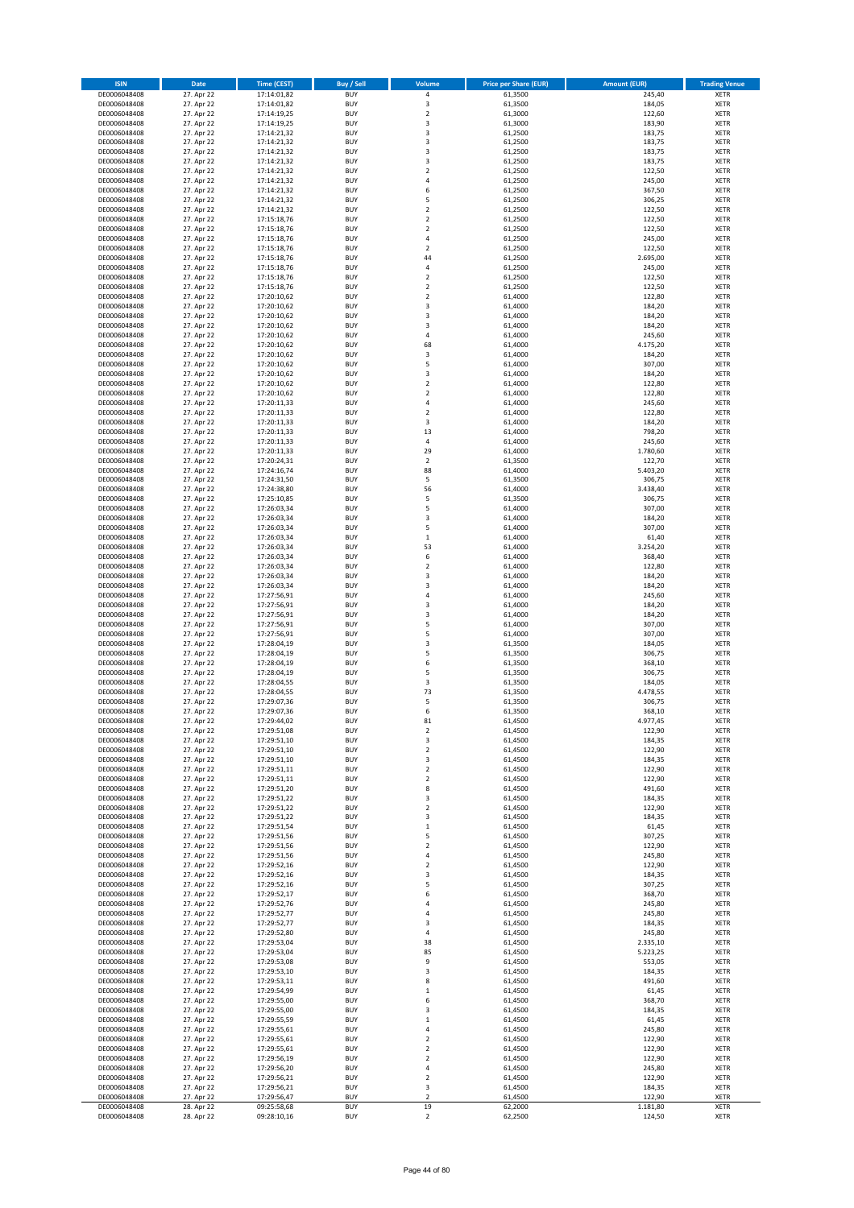| <b>ISIN</b>                  | Date                     | <b>Time (CEST)</b>         | <b>Buy / Sell</b>        | Volume                                    | <b>Price per Share (EUR)</b> | <b>Amount (EUR)</b> | <b>Trading Venue</b>       |
|------------------------------|--------------------------|----------------------------|--------------------------|-------------------------------------------|------------------------------|---------------------|----------------------------|
| DE0006048408                 | 27. Apr 22               | 17:14:01,82                | <b>BUY</b>               | $\sqrt{4}$                                | 61,3500                      | 245,40              | <b>XETR</b>                |
| DE0006048408                 | 27. Apr 22               | 17:14:01,82                | <b>BUY</b>               | 3                                         | 61,3500                      | 184,05              | <b>XETR</b>                |
| DE0006048408                 | 27. Apr 22               | 17:14:19,25                | <b>BUY</b>               | $\mathbf 2$                               | 61,3000                      | 122,60              | <b>XETR</b>                |
| DE0006048408                 | 27. Apr 22               | 17:14:19,25                | <b>BUY</b>               | 3                                         | 61,3000                      | 183,90              | <b>XETR</b>                |
| DE0006048408                 | 27. Apr 22               | 17:14:21,32                | <b>BUY</b>               | 3                                         | 61,2500                      | 183,75              | <b>XETR</b>                |
| DE0006048408                 | 27. Apr 22               | 17:14:21,32                | <b>BUY</b>               | 3                                         | 61,2500                      | 183,75              | <b>XETR</b>                |
| DE0006048408                 | 27. Apr 22               | 17:14:21,32                | <b>BUY</b>               | 3                                         | 61,2500                      | 183,75              | <b>XETR</b>                |
| DE0006048408                 | 27. Apr 22               | 17:14:21,32                | <b>BUY</b>               | 3                                         | 61,2500                      | 183,75              | <b>XETR</b>                |
| DE0006048408                 | 27. Apr 22               | 17:14:21,32                | <b>BUY</b>               | $\overline{\mathbf{c}}$<br>$\overline{a}$ | 61,2500                      | 122,50              | <b>XETR</b>                |
| DE0006048408<br>DE0006048408 | 27. Apr 22<br>27. Apr 22 | 17:14:21,32<br>17:14:21,32 | <b>BUY</b><br><b>BUY</b> | 6                                         | 61,2500<br>61,2500           | 245,00<br>367,50    | <b>XETR</b><br><b>XETR</b> |
| DE0006048408                 | 27. Apr 22               | 17:14:21,32                | <b>BUY</b>               | 5                                         | 61,2500                      | 306,25              | <b>XETR</b>                |
| DE0006048408                 | 27. Apr 22               | 17:14:21,32                | <b>BUY</b>               | $\overline{2}$                            | 61,2500                      | 122,50              | <b>XETR</b>                |
| DE0006048408                 | 27. Apr 22               | 17:15:18,76                | <b>BUY</b>               | $\mathbf 2$                               | 61,2500                      | 122,50              | <b>XETR</b>                |
| DE0006048408                 | 27. Apr 22               | 17:15:18,76                | <b>BUY</b>               | $\overline{2}$                            | 61,2500                      | 122,50              | <b>XETR</b>                |
| DE0006048408                 | 27. Apr 22               | 17:15:18,76                | <b>BUY</b>               | 4                                         | 61,2500                      | 245,00              | <b>XETR</b>                |
| DE0006048408                 | 27. Apr 22               | 17:15:18,76                | <b>BUY</b>               | $\overline{2}$                            | 61,2500                      | 122,50              | <b>XETR</b>                |
| DE0006048408                 | 27. Apr 22               | 17:15:18,76                | <b>BUY</b>               | 44                                        | 61,2500                      | 2.695,00            | <b>XETR</b>                |
| DE0006048408                 | 27. Apr 22               | 17:15:18,76                | <b>BUY</b>               | 4                                         | 61,2500                      | 245,00              | <b>XETR</b>                |
| DE0006048408                 | 27. Apr 22               | 17:15:18,76                | <b>BUY</b>               | $\overline{2}$                            | 61,2500                      | 122,50              | <b>XETR</b>                |
| DE0006048408                 | 27. Apr 22               | 17:15:18,76                | <b>BUY</b>               | $\mathbf 2$                               | 61,2500                      | 122,50              | <b>XETR</b>                |
| DE0006048408                 | 27. Apr 22               | 17:20:10,62                | <b>BUY</b>               | $\mathbf 2$                               | 61,4000                      | 122,80              | <b>XETR</b>                |
| DE0006048408                 | 27. Apr 22               | 17:20:10,62                | <b>BUY</b>               | 3                                         | 61,4000                      | 184,20              | <b>XETR</b>                |
| DE0006048408                 | 27. Apr 22               | 17:20:10,62                | <b>BUY</b><br><b>BUY</b> | 3                                         | 61,4000                      | 184,20              | <b>XETR</b>                |
| DE0006048408<br>DE0006048408 | 27. Apr 22<br>27. Apr 22 | 17:20:10,62<br>17:20:10,62 | <b>BUY</b>               | 3<br>$\overline{4}$                       | 61,4000<br>61,4000           | 184,20<br>245,60    | <b>XETR</b><br><b>XETR</b> |
| DE0006048408                 | 27. Apr 22               | 17:20:10,62                | <b>BUY</b>               | 68                                        | 61,4000                      | 4.175,20            | <b>XETR</b>                |
| DE0006048408                 | 27. Apr 22               | 17:20:10,62                | <b>BUY</b>               | 3                                         | 61,4000                      | 184,20              | <b>XETR</b>                |
| DE0006048408                 | 27. Apr 22               | 17:20:10,62                | <b>BUY</b>               | 5                                         | 61,4000                      | 307,00              | <b>XETR</b>                |
| DE0006048408                 | 27. Apr 22               | 17:20:10,62                | <b>BUY</b>               | 3                                         | 61,4000                      | 184,20              | <b>XETR</b>                |
| DE0006048408                 | 27. Apr 22               | 17:20:10,62                | <b>BUY</b>               | $\overline{2}$                            | 61,4000                      | 122,80              | <b>XETR</b>                |
| DE0006048408                 | 27. Apr 22               | 17:20:10,62                | <b>BUY</b>               | $\overline{2}$                            | 61,4000                      | 122,80              | <b>XETR</b>                |
| DE0006048408                 | 27. Apr 22               | 17:20:11,33                | <b>BUY</b>               | 4                                         | 61,4000                      | 245,60              | <b>XETR</b>                |
| DE0006048408                 | 27. Apr 22               | 17:20:11,33                | <b>BUY</b>               | $\overline{2}$                            | 61,4000                      | 122,80              | <b>XETR</b>                |
| DE0006048408                 | 27. Apr 22               | 17:20:11,33                | <b>BUY</b>               | 3                                         | 61,4000                      | 184,20              | <b>XETR</b>                |
| DE0006048408                 | 27. Apr 22               | 17:20:11,33                | <b>BUY</b>               | 13                                        | 61,4000                      | 798,20              | <b>XETR</b>                |
| DE0006048408                 | 27. Apr 22               | 17:20:11,33                | <b>BUY</b>               | $\pmb{4}$                                 | 61,4000                      | 245,60              | <b>XETR</b>                |
| DE0006048408                 | 27. Apr 22               | 17:20:11,33                | <b>BUY</b>               | 29                                        | 61,4000                      | 1.780,60            | <b>XETR</b>                |
| DE0006048408<br>DE0006048408 | 27. Apr 22<br>27. Apr 22 | 17:20:24,31<br>17:24:16,74 | <b>BUY</b><br><b>BUY</b> | $\overline{2}$<br>88                      | 61,3500<br>61,4000           | 122,70<br>5.403,20  | <b>XETR</b><br><b>XETR</b> |
| DE0006048408                 | 27. Apr 22               | 17:24:31,50                | <b>BUY</b>               | 5                                         | 61,3500                      | 306,75              | <b>XETR</b>                |
| DE0006048408                 | 27. Apr 22               | 17:24:38,80                | <b>BUY</b>               | 56                                        | 61,4000                      | 3.438,40            | <b>XETR</b>                |
| DE0006048408                 | 27. Apr 22               | 17:25:10,85                | <b>BUY</b>               | 5                                         | 61,3500                      | 306,75              | <b>XETR</b>                |
| DE0006048408                 | 27. Apr 22               | 17:26:03,34                | <b>BUY</b>               | 5                                         | 61,4000                      | 307,00              | <b>XETR</b>                |
| DE0006048408                 | 27. Apr 22               | 17:26:03,34                | <b>BUY</b>               | 3                                         | 61,4000                      | 184,20              | <b>XETR</b>                |
| DE0006048408                 | 27. Apr 22               | 17:26:03,34                | <b>BUY</b>               | 5                                         | 61,4000                      | 307,00              | <b>XETR</b>                |
| DE0006048408                 | 27. Apr 22               | 17:26:03,34                | <b>BUY</b>               | $\,1\,$                                   | 61,4000                      | 61,40               | <b>XETR</b>                |
| DE0006048408                 | 27. Apr 22               | 17:26:03,34                | <b>BUY</b>               | 53                                        | 61,4000                      | 3.254,20            | <b>XETR</b>                |
| DE0006048408                 | 27. Apr 22               | 17:26:03,34                | <b>BUY</b>               | 6                                         | 61,4000                      | 368,40              | <b>XETR</b>                |
| DE0006048408                 | 27. Apr 22               | 17:26:03,34                | <b>BUY</b>               | $\overline{2}$                            | 61,4000                      | 122,80              | <b>XETR</b>                |
| DE0006048408                 | 27. Apr 22               | 17:26:03,34                | <b>BUY</b>               | 3                                         | 61,4000                      | 184,20              | <b>XETR</b>                |
| DE0006048408                 | 27. Apr 22               | 17:26:03,34                | <b>BUY</b>               | 3                                         | 61,4000                      | 184,20              | <b>XETR</b>                |
| DE0006048408                 | 27. Apr 22               | 17:27:56,91                | <b>BUY</b>               | 4                                         | 61,4000                      | 245,60              | <b>XETR</b>                |
| DE0006048408<br>DE0006048408 | 27. Apr 22<br>27. Apr 22 | 17:27:56,91                | <b>BUY</b><br><b>BUY</b> | 3<br>3                                    | 61,4000<br>61,4000           | 184,20              | <b>XETR</b><br><b>XETR</b> |
| DE0006048408                 | 27. Apr 22               | 17:27:56,91<br>17:27:56,91 | <b>BUY</b>               | 5                                         | 61,4000                      | 184,20<br>307,00    | <b>XETR</b>                |
| DE0006048408                 | 27. Apr 22               | 17:27:56,91                | <b>BUY</b>               | 5                                         | 61,4000                      | 307,00              | <b>XETR</b>                |
| DE0006048408                 | 27. Apr 22               | 17:28:04,19                | <b>BUY</b>               | 3                                         | 61,3500                      | 184,05              | <b>XETR</b>                |
| DE0006048408                 | 27. Apr 22               | 17:28:04,19                | <b>BUY</b>               | 5                                         | 61,3500                      | 306,75              | <b>XETR</b>                |
| DE0006048408                 | 27. Apr 22               | 17:28:04,19                | <b>BUY</b>               | 6                                         | 61,3500                      | 368,10              | <b>XETR</b>                |
| DE0006048408                 | 27. Apr 22               | 17:28:04,19                | <b>BUY</b>               | 5                                         | 61,3500                      | 306,75              | <b>XETR</b>                |
| DE0006048408                 | 27. Apr 22               | 17:28:04,55                | <b>BUY</b>               | 3                                         | 61,3500                      | 184,05              | <b>XETR</b>                |
| DE0006048408                 | 27. Apr 22               | 17:28:04,55                | <b>BUY</b>               | 73                                        | 61,3500                      | 4.478,55            | <b>XETR</b>                |
| DE0006048408                 | 27. Apr 22               | 17:29:07,36                | <b>BUY</b>               | 5                                         | 61,3500                      | 306,75              | <b>XETR</b>                |
| DE0006048408                 | 27. Apr 22               | 17:29:07,36                | <b>BUY</b>               | 6                                         | 61,3500                      | 368,10              | <b>XETR</b>                |
| DE0006048408                 | 27. Apr 22               | 17:29:44,02                | <b>BUY</b>               | 81                                        | 61,4500                      | 4.977,45            | XETR                       |
| DE0006048408                 | 27. Apr 22               | 17:29:51,08                | <b>BUY</b>               | $\mathbf 2$                               | 61,4500                      | 122,90              | <b>XETR</b>                |
| DE0006048408<br>DE0006048408 | 27. Apr 22<br>27. Apr 22 | 17:29:51,10                | <b>BUY</b><br><b>BUY</b> | 3<br>$\mathbf 2$                          | 61,4500<br>61,4500           | 184,35<br>122,90    | <b>XETR</b><br><b>XETR</b> |
| DE0006048408                 | 27. Apr 22               | 17:29:51,10<br>17:29:51,10 | <b>BUY</b>               | 3                                         | 61,4500                      | 184,35              | <b>XETR</b>                |
| DE0006048408                 | 27. Apr 22               | 17:29:51,11                | <b>BUY</b>               | $\overline{2}$                            | 61,4500                      | 122,90              | <b>XETR</b>                |
| DE0006048408                 | 27. Apr 22               | 17:29:51,11                | <b>BUY</b>               | $\mathbf 2$                               | 61,4500                      | 122,90              | <b>XETR</b>                |
| DE0006048408                 | 27. Apr 22               | 17:29:51,20                | <b>BUY</b>               | 8                                         | 61,4500                      | 491,60              | <b>XETR</b>                |
| DE0006048408                 | 27. Apr 22               | 17:29:51,22                | <b>BUY</b>               | 3                                         | 61,4500                      | 184,35              | <b>XETR</b>                |
| DE0006048408                 | 27. Apr 22               | 17:29:51,22                | <b>BUY</b>               | $\mathbf 2$                               | 61,4500                      | 122,90              | <b>XETR</b>                |
| DE0006048408                 | 27. Apr 22               | 17:29:51,22                | <b>BUY</b>               | 3                                         | 61,4500                      | 184,35              | <b>XETR</b>                |
| DE0006048408                 | 27. Apr 22               | 17:29:51,54                | <b>BUY</b>               | $\mathbf 1$                               | 61,4500                      | 61,45               | <b>XETR</b>                |
| DE0006048408                 | 27. Apr 22               | 17:29:51,56                | <b>BUY</b>               | 5                                         | 61,4500                      | 307,25              | <b>XETR</b>                |
| DE0006048408                 | 27. Apr 22               | 17:29:51,56                | <b>BUY</b>               | $\mathbf 2$<br>4                          | 61,4500                      | 122,90              | <b>XETR</b>                |
| DE0006048408<br>DE0006048408 | 27. Apr 22<br>27. Apr 22 | 17:29:51,56<br>17:29:52,16 | <b>BUY</b><br><b>BUY</b> | $\mathbf 2$                               | 61,4500<br>61,4500           | 245,80<br>122,90    | <b>XETR</b><br><b>XETR</b> |
| DE0006048408                 | 27. Apr 22               | 17:29:52,16                | <b>BUY</b>               | 3                                         | 61,4500                      | 184,35              | <b>XETR</b>                |
| DE0006048408                 | 27. Apr 22               | 17:29:52,16                | <b>BUY</b>               | 5                                         | 61,4500                      | 307,25              | <b>XETR</b>                |
| DE0006048408                 | 27. Apr 22               | 17:29:52,17                | <b>BUY</b>               | 6                                         | 61,4500                      | 368,70              | <b>XETR</b>                |
| DE0006048408                 | 27. Apr 22               | 17:29:52,76                | <b>BUY</b>               | 4                                         | 61,4500                      | 245,80              | <b>XETR</b>                |
| DE0006048408                 | 27. Apr 22               | 17:29:52,77                | <b>BUY</b>               | 4                                         | 61,4500                      | 245,80              | <b>XETR</b>                |
| DE0006048408                 | 27. Apr 22               | 17:29:52,77                | <b>BUY</b>               | 3                                         | 61,4500                      | 184,35              | <b>XETR</b>                |
| DE0006048408                 | 27. Apr 22               | 17:29:52,80                | <b>BUY</b>               | $\sqrt{4}$                                | 61,4500                      | 245,80              | <b>XETR</b>                |
| DE0006048408                 | 27. Apr 22               | 17:29:53,04                | <b>BUY</b>               | 38                                        | 61,4500                      | 2.335,10            | <b>XETR</b>                |
| DE0006048408                 | 27. Apr 22               | 17:29:53,04                | <b>BUY</b>               | 85                                        | 61,4500                      | 5.223,25            | <b>XETR</b>                |
| DE0006048408                 | 27. Apr 22               | 17:29:53,08                | <b>BUY</b>               | 9                                         | 61,4500                      | 553,05              | <b>XETR</b>                |
| DE0006048408                 | 27. Apr 22               | 17:29:53,10                | <b>BUY</b>               | 3                                         | 61,4500                      | 184,35              | <b>XETR</b>                |
| DE0006048408                 | 27. Apr 22               | 17:29:53,11                | <b>BUY</b><br><b>BUY</b> | 8                                         | 61,4500                      | 491,60              | <b>XETR</b>                |
| DE0006048408<br>DE0006048408 | 27. Apr 22               | 17:29:54,99<br>17:29:55,00 | <b>BUY</b>               | $\mathbf 1$<br>6                          | 61,4500                      | 61,45               | <b>XETR</b><br><b>XETR</b> |
| DE0006048408                 | 27. Apr 22<br>27. Apr 22 | 17:29:55,00                | <b>BUY</b>               | 3                                         | 61,4500<br>61,4500           | 368,70<br>184,35    | <b>XETR</b>                |
| DE0006048408                 | 27. Apr 22               | 17:29:55,59                | <b>BUY</b>               | $\,$ 1                                    | 61,4500                      | 61,45               | <b>XETR</b>                |
| DE0006048408                 | 27. Apr 22               | 17:29:55,61                | <b>BUY</b>               | 4                                         | 61,4500                      | 245,80              | <b>XETR</b>                |
| DE0006048408                 | 27. Apr 22               | 17:29:55,61                | <b>BUY</b>               | $\sqrt{2}$                                | 61,4500                      | 122,90              | <b>XETR</b>                |
| DE0006048408                 | 27. Apr 22               | 17:29:55,61                | <b>BUY</b>               | $\overline{2}$                            | 61,4500                      | 122,90              | <b>XETR</b>                |
| DE0006048408                 | 27. Apr 22               | 17:29:56,19                | <b>BUY</b>               | $\mathbf 2$                               | 61,4500                      | 122,90              | <b>XETR</b>                |
| DE0006048408                 | 27. Apr 22               | 17:29:56,20                | <b>BUY</b>               | 4                                         | 61,4500                      | 245,80              | <b>XETR</b>                |
| DE0006048408                 | 27. Apr 22               | 17:29:56,21                | <b>BUY</b>               | $\overline{2}$                            | 61,4500                      | 122,90              | <b>XETR</b>                |
| DE0006048408                 | 27. Apr 22               | 17:29:56,21                | <b>BUY</b>               | 3                                         | 61,4500                      | 184,35              | <b>XETR</b>                |
| DE0006048408                 | 27. Apr 22               | 17:29:56,47                | <b>BUY</b>               | $\overline{2}$                            | 61,4500                      | 122,90              | <b>XETR</b>                |
| DE0006048408                 | 28. Apr 22               | 09:25:58,68                | <b>BUY</b>               | 19                                        | 62,2000                      | 1.181,80            | <b>XETR</b>                |
| DE0006048408                 | 28. Apr 22               | 09:28:10,16                | <b>BUY</b>               | $\mathbf 2$                               | 62,2500                      | 124,50              | <b>XETR</b>                |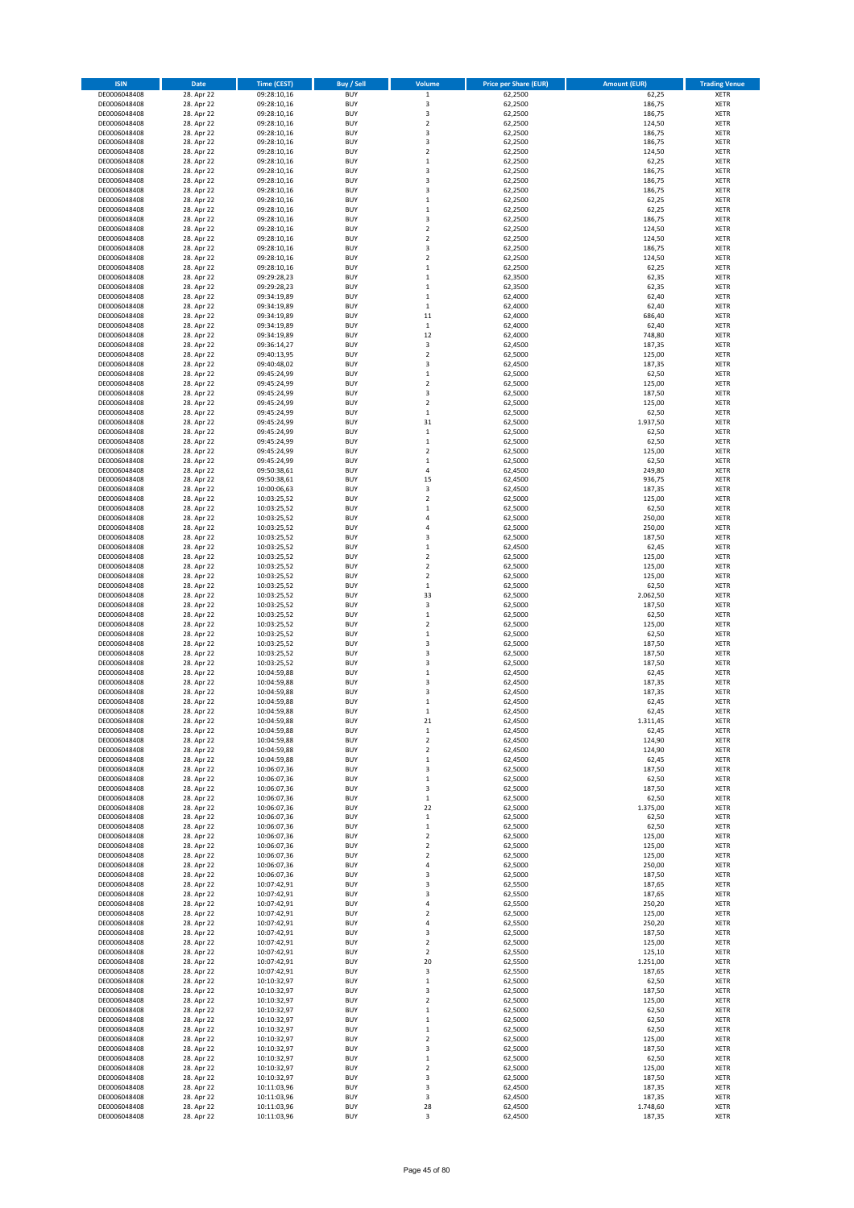| <b>ISIN</b>                  | Date                     | <b>Time (CEST)</b>         | Buy / Sell               | Volume                       | <b>Price per Share (EUR)</b> | <b>Amount (EUR)</b> | <b>Trading Venue</b>       |
|------------------------------|--------------------------|----------------------------|--------------------------|------------------------------|------------------------------|---------------------|----------------------------|
| DE0006048408                 | 28. Apr 22               | 09:28:10,16                | <b>BUY</b>               | $\,$ 1 $\,$                  | 62,2500                      | 62,25               | XETR                       |
| DE0006048408                 | 28. Apr 22               | 09:28:10,16                | <b>BUY</b>               | 3                            | 62,2500                      | 186,75              | XETR                       |
| DE0006048408<br>DE0006048408 | 28. Apr 22<br>28. Apr 22 | 09:28:10,16<br>09:28:10,16 | <b>BUY</b><br><b>BUY</b> | 3<br>$\mathbf 2$             | 62,2500<br>62,2500           | 186,75<br>124,50    | XETR<br>XETR               |
| DE0006048408                 | 28. Apr 22               | 09:28:10,16                | <b>BUY</b>               | 3                            | 62,2500                      | 186,75              | XETR                       |
| DE0006048408                 | 28. Apr 22               | 09:28:10,16                | <b>BUY</b>               | 3                            | 62,2500                      | 186,75              | <b>XETR</b>                |
| DE0006048408                 | 28. Apr 22               | 09:28:10,16                | <b>BUY</b>               | $\overline{\mathbf{c}}$      | 62,2500                      | 124,50              | <b>XETR</b>                |
| DE0006048408                 | 28. Apr 22               | 09:28:10,16                | <b>BUY</b>               | $\mathbf 1$                  | 62,2500                      | 62,25               | <b>XETR</b>                |
| DE0006048408<br>DE0006048408 | 28. Apr 22<br>28. Apr 22 | 09:28:10,16                | <b>BUY</b><br><b>BUY</b> | 3<br>3                       | 62,2500<br>62,2500           | 186,75<br>186,75    | <b>XETR</b><br><b>XETR</b> |
| DE0006048408                 | 28. Apr 22               | 09:28:10,16<br>09:28:10,16 | <b>BUY</b>               | 3                            | 62,2500                      | 186,75              | XETR                       |
| DE0006048408                 | 28. Apr 22               | 09:28:10,16                | <b>BUY</b>               | $\mathbf 1$                  | 62,2500                      | 62,25               | <b>XETR</b>                |
| DE0006048408                 | 28. Apr 22               | 09:28:10,16                | <b>BUY</b>               | $\mathbf 1$                  | 62,2500                      | 62,25               | XETR                       |
| DE0006048408                 | 28. Apr 22               | 09:28:10,16                | <b>BUY</b>               | 3                            | 62,2500                      | 186,75              | <b>XETR</b>                |
| DE0006048408                 | 28. Apr 22               | 09:28:10,16                | <b>BUY</b>               | $\mathbf 2$                  | 62,2500                      | 124,50              | XETR                       |
| DE0006048408<br>DE0006048408 | 28. Apr 22<br>28. Apr 22 | 09:28:10,16<br>09:28:10,16 | <b>BUY</b><br><b>BUY</b> | $\overline{\mathbf{c}}$<br>3 | 62,2500<br>62,2500           | 124,50<br>186,75    | <b>XETR</b><br>XETR        |
| DE0006048408                 | 28. Apr 22               | 09:28:10,16                | <b>BUY</b>               | $\overline{\mathbf{c}}$      | 62,2500                      | 124,50              | <b>XETR</b>                |
| DE0006048408                 | 28. Apr 22               | 09:28:10,16                | <b>BUY</b>               | $\mathbf 1$                  | 62,2500                      | 62,25               | XETR                       |
| DE0006048408                 | 28. Apr 22               | 09:29:28,23                | <b>BUY</b>               | $\mathbf 1$                  | 62,3500                      | 62,35               | <b>XETR</b>                |
| DE0006048408                 | 28. Apr 22               | 09:29:28,23                | <b>BUY</b>               | $\mathbf 1$                  | 62,3500                      | 62,35               | XETR                       |
| DE0006048408<br>DE0006048408 | 28. Apr 22<br>28. Apr 22 | 09:34:19,89<br>09:34:19,89 | <b>BUY</b><br><b>BUY</b> | $\mathbf 1$<br>$\mathbf{1}$  | 62,4000<br>62,4000           | 62,40<br>62,40      | XETR<br><b>XETR</b>        |
| DE0006048408                 | 28. Apr 22               | 09:34:19,89                | <b>BUY</b>               | 11                           | 62,4000                      | 686,40              | <b>XETR</b>                |
| DE0006048408                 | 28. Apr 22               | 09:34:19,89                | <b>BUY</b>               | $\,1\,$                      | 62,4000                      | 62,40               | <b>XETR</b>                |
| DE0006048408                 | 28. Apr 22               | 09:34:19,89                | <b>BUY</b>               | 12                           | 62,4000                      | 748,80              | <b>XETR</b>                |
| DE0006048408                 | 28. Apr 22               | 09:36:14,27                | <b>BUY</b>               | 3                            | 62,4500                      | 187,35              | <b>XETR</b>                |
| DE0006048408                 | 28. Apr 22               | 09:40:13,95                | <b>BUY</b><br><b>BUY</b> | $\mathbf 2$                  | 62,5000                      | 125,00              | <b>XETR</b><br><b>XETR</b> |
| DE0006048408<br>DE0006048408 | 28. Apr 22<br>28. Apr 22 | 09:40:48,02<br>09:45:24,99 | <b>BUY</b>               | 3<br>$\mathbf 1$             | 62,4500<br>62,5000           | 187,35<br>62,50     | <b>XETR</b>                |
| DE0006048408                 | 28. Apr 22               | 09:45:24,99                | <b>BUY</b>               | $\mathbf 2$                  | 62,5000                      | 125,00              | <b>XETR</b>                |
| DE0006048408                 | 28. Apr 22               | 09:45:24,99                | <b>BUY</b>               | 3                            | 62,5000                      | 187,50              | <b>XETR</b>                |
| DE0006048408                 | 28. Apr 22               | 09:45:24,99                | <b>BUY</b>               | $\overline{\mathbf{2}}$      | 62,5000                      | 125,00              | <b>XETR</b>                |
| DE0006048408                 | 28. Apr 22               | 09:45:24,99                | <b>BUY</b>               | $\mathbf 1$                  | 62,5000                      | 62,50               | XETR                       |
| DE0006048408<br>DE0006048408 | 28. Apr 22<br>28. Apr 22 | 09:45:24,99<br>09:45:24,99 | <b>BUY</b><br><b>BUY</b> | 31<br>$\mathbf 1$            | 62,5000<br>62,5000           | 1.937,50<br>62,50   | <b>XETR</b><br>XETR        |
| DE0006048408                 | 28. Apr 22               | 09:45:24,99                | <b>BUY</b>               | $\mathbf 1$                  | 62,5000                      | 62,50               | <b>XETR</b>                |
| DE0006048408                 | 28. Apr 22               | 09:45:24,99                | <b>BUY</b>               | $\mathbf 2$                  | 62,5000                      | 125,00              | XETR                       |
| DE0006048408                 | 28. Apr 22               | 09:45:24,99                | <b>BUY</b>               | $\mathbf{1}$                 | 62,5000                      | 62,50               | <b>XETR</b>                |
| DE0006048408                 | 28. Apr 22               | 09:50:38,61                | <b>BUY</b>               | 4                            | 62,4500                      | 249,80              | <b>XETR</b>                |
| DE0006048408                 | 28. Apr 22<br>28. Apr 22 | 09:50:38,61                | <b>BUY</b>               | 15                           | 62,4500                      | 936,75              | <b>XETR</b><br><b>XETR</b> |
| DE0006048408<br>DE0006048408 | 28. Apr 22               | 10:00:06,63<br>10:03:25,52 | <b>BUY</b><br><b>BUY</b> | 3<br>$\mathbf 2$             | 62,4500<br>62,5000           | 187,35<br>125,00    | <b>XETR</b>                |
| DE0006048408                 | 28. Apr 22               | 10:03:25,52                | <b>BUY</b>               | $\mathbf{1}$                 | 62,5000                      | 62,50               | <b>XETR</b>                |
| DE0006048408                 | 28. Apr 22               | 10:03:25,52                | <b>BUY</b>               | 4                            | 62,5000                      | 250,00              | <b>XETR</b>                |
| DE0006048408                 | 28. Apr 22               | 10:03:25,52                | <b>BUY</b>               | 4                            | 62,5000                      | 250,00              | XETR                       |
| DE0006048408                 | 28. Apr 22               | 10:03:25,52                | <b>BUY</b>               | 3                            | 62,5000                      | 187,50              | XETR                       |
| DE0006048408<br>DE0006048408 | 28. Apr 22<br>28. Apr 22 | 10:03:25,52<br>10:03:25,52 | <b>BUY</b><br><b>BUY</b> | $\mathbf 1$<br>$\mathbf 2$   | 62,4500<br>62,5000           | 62,45<br>125,00     | <b>XETR</b><br><b>XETR</b> |
| DE0006048408                 | 28. Apr 22               | 10:03:25,52                | <b>BUY</b>               | $\mathbf 2$                  | 62,5000                      | 125,00              | XETR                       |
| DE0006048408                 | 28. Apr 22               | 10:03:25,52                | <b>BUY</b>               | 2                            | 62,5000                      | 125,00              | <b>XETR</b>                |
| DE0006048408                 | 28. Apr 22               | 10:03:25,52                | <b>BUY</b>               | $\mathbf 1$                  | 62,5000                      | 62,50               | <b>XETR</b>                |
| DE0006048408                 | 28. Apr 22               | 10:03:25,52                | <b>BUY</b>               | 33                           | 62,5000                      | 2.062,50            | <b>XETR</b>                |
| DE0006048408<br>DE0006048408 | 28. Apr 22<br>28. Apr 22 | 10:03:25,52<br>10:03:25,52 | <b>BUY</b><br><b>BUY</b> | 3<br>$\mathbf 1$             | 62,5000<br>62,5000           | 187,50<br>62,50     | <b>XETR</b><br>XETR        |
| DE0006048408                 | 28. Apr 22               | 10:03:25,52                | <b>BUY</b>               | $\mathbf 2$                  | 62,5000                      | 125,00              | <b>XETR</b>                |
| DE0006048408                 | 28. Apr 22               | 10:03:25,52                | <b>BUY</b>               | $\mathbf 1$                  | 62,5000                      | 62,50               | <b>XETR</b>                |
| DE0006048408                 | 28. Apr 22               | 10:03:25,52                | <b>BUY</b>               | 3                            | 62,5000                      | 187,50              | <b>XETR</b>                |
| DE0006048408                 | 28. Apr 22               | 10:03:25,52                | <b>BUY</b>               | 3                            | 62,5000                      | 187,50              | <b>XETR</b>                |
| DE0006048408                 | 28. Apr 22               | 10:03:25,52                | <b>BUY</b>               | 3                            | 62,5000                      | 187,50              | <b>XETR</b>                |
| DE0006048408<br>DE0006048408 | 28. Apr 22<br>28. Apr 22 | 10:04:59,88<br>10:04:59,88 | <b>BUY</b><br><b>BUY</b> | $\mathbf 1$<br>3             | 62,4500<br>62,4500           | 62,45<br>187,35     | XETR<br><b>XETR</b>        |
| DE0006048408                 | 28. Apr 22               | 10:04:59,88                | <b>BUY</b>               | 3                            | 62,4500                      | 187,35              | XETR                       |
| DE0006048408                 | 28. Apr 22               | 10:04:59,88                | <b>BUY</b>               | $\mathbf 1$                  | 62,4500                      | 62,45               | <b>XETR</b>                |
| DE0006048408                 | 28. Apr 22               | 10:04:59,88                | <b>BUY</b>               | $\mathbf 1$                  | 62,4500                      | 62,45               | XETR                       |
| DE0006048408                 | 28. Apr 22               | 10:04:59,88                | <b>BUY</b>               | 21                           | 62,4500                      | 1.311,45            | <b>XETR</b>                |
| DE0006048408<br>DE0006048408 | 28. Apr 22<br>28. Apr 22 | 10:04:59,88<br>10:04:59,88 | <b>BUY</b><br><b>BUY</b> | $\mathbf 1$<br>$\mathbf 2$   | 62,4500<br>62,4500           | 62,45<br>124,90     | XETR<br>XETR               |
| DE0006048408                 | 28. Apr 22               | 10:04:59,88                | <b>BUY</b>               | 2                            | 62,4500                      | 124,90              | XETR                       |
| DE0006048408                 | 28. Apr 22               | 10:04:59,88                | <b>BUY</b>               | $\mathbf 1$                  | 62,4500                      | 62,45               | <b>XETR</b>                |
| DE0006048408                 | 28. Apr 22               | 10:06:07,36                | <b>BUY</b>               | 3                            | 62,5000                      | 187,50              | XETR                       |
| DE0006048408                 | 28. Apr 22               | 10:06:07,36                | <b>BUY</b>               | $\mathbf 1$                  | 62,5000                      | 62,50               | <b>XETR</b>                |
| DE0006048408<br>DE0006048408 | 28. Apr 22<br>28. Apr 22 | 10:06:07,36<br>10:06:07,36 | <b>BUY</b><br><b>BUY</b> | 3<br>$\mathbf 1$             | 62,5000<br>62,5000           | 187,50<br>62,50     | XETR<br><b>XETR</b>        |
| DE0006048408                 | 28. Apr 22               | 10:06:07,36                | <b>BUY</b>               | 22                           | 62,5000                      | 1.375,00            | XETR                       |
| DE0006048408                 | 28. Apr 22               | 10:06:07,36                | <b>BUY</b>               | $\mathbf 1$                  | 62,5000                      | 62,50               | <b>XETR</b>                |
| DE0006048408                 | 28. Apr 22               | 10:06:07,36                | <b>BUY</b>               | $\mathbf 1$                  | 62,5000                      | 62,50               | XETR                       |
| DE0006048408                 | 28. Apr 22               | 10:06:07,36                | <b>BUY</b>               | $\mathbf 2$                  | 62,5000                      | 125,00              | <b>XETR</b>                |
| DE0006048408<br>DE0006048408 | 28. Apr 22<br>28. Apr 22 | 10:06:07,36<br>10:06:07,36 | <b>BUY</b><br><b>BUY</b> | $\boldsymbol{2}$<br>2        | 62,5000<br>62,5000           | 125,00<br>125,00    | XETR<br><b>XETR</b>        |
| DE0006048408                 | 28. Apr 22               | 10:06:07,36                | <b>BUY</b>               | 4                            | 62,5000                      | 250,00              | XETR                       |
| DE0006048408                 | 28. Apr 22               | 10:06:07,36                | <b>BUY</b>               | 3                            | 62,5000                      | 187,50              | <b>XETR</b>                |
| DE0006048408                 | 28. Apr 22               | 10:07:42,91                | <b>BUY</b>               | 3                            | 62,5500                      | 187,65              | <b>XETR</b>                |
| DE0006048408                 | 28. Apr 22               | 10:07:42,91                | <b>BUY</b>               | 3                            | 62,5500                      | 187,65              | <b>XETR</b>                |
| DE0006048408                 | 28. Apr 22               | 10:07:42,91                | <b>BUY</b>               | 4                            | 62,5500                      | 250,20              | XETR                       |
| DE0006048408<br>DE0006048408 | 28. Apr 22<br>28. Apr 22 | 10:07:42,91<br>10:07:42,91 | <b>BUY</b><br><b>BUY</b> | 2<br>4                       | 62,5000<br>62,5500           | 125,00<br>250,20    | <b>XETR</b><br><b>XETR</b> |
| DE0006048408                 | 28. Apr 22               | 10:07:42,91                | <b>BUY</b>               | 3                            | 62,5000                      | 187,50              | XETR                       |
| DE0006048408                 | 28. Apr 22               | 10:07:42,91                | <b>BUY</b>               | $\overline{\mathbf{c}}$      | 62,5000                      | 125,00              | <b>XETR</b>                |
| DE0006048408                 | 28. Apr 22               | 10:07:42,91                | <b>BUY</b>               | $\mathbf 2$                  | 62,5500                      | 125,10              | XETR                       |
| DE0006048408                 | 28. Apr 22               | 10:07:42,91                | <b>BUY</b>               | 20                           | 62,5500                      | 1.251,00            | <b>XETR</b>                |
| DE0006048408<br>DE0006048408 | 28. Apr 22<br>28. Apr 22 | 10:07:42,91<br>10:10:32,97 | <b>BUY</b><br><b>BUY</b> | 3<br>$\mathbf 1$             | 62,5500<br>62,5000           | 187,65<br>62,50     | XETR<br><b>XETR</b>        |
| DE0006048408                 | 28. Apr 22               | 10:10:32,97                | <b>BUY</b>               | 3                            | 62,5000                      | 187,50              | XETR                       |
| DE0006048408                 | 28. Apr 22               | 10:10:32,97                | <b>BUY</b>               | $\overline{\mathbf{2}}$      | 62,5000                      | 125,00              | <b>XETR</b>                |
| DE0006048408                 | 28. Apr 22               | 10:10:32,97                | <b>BUY</b>               | 1                            | 62,5000                      | 62,50               | XETR                       |
| DE0006048408                 | 28. Apr 22               | 10:10:32,97                | <b>BUY</b>               | $\mathbf 1$                  | 62,5000                      | 62,50               | <b>XETR</b>                |
| DE0006048408                 | 28. Apr 22               | 10:10:32,97                | <b>BUY</b>               | $\mathbf 1$                  | 62,5000                      | 62,50               | XETR                       |
| DE0006048408<br>DE0006048408 | 28. Apr 22<br>28. Apr 22 | 10:10:32,97<br>10:10:32,97 | <b>BUY</b><br><b>BUY</b> | $\overline{\mathbf{2}}$<br>3 | 62,5000<br>62,5000           | 125,00<br>187,50    | <b>XETR</b><br><b>XETR</b> |
| DE0006048408                 | 28. Apr 22               | 10:10:32,97                | <b>BUY</b>               | $\mathbf 1$                  | 62,5000                      | 62,50               | <b>XETR</b>                |
| DE0006048408                 | 28. Apr 22               | 10:10:32,97                | <b>BUY</b>               | $\mathbf 2$                  | 62,5000                      | 125,00              | XETR                       |
| DE0006048408                 | 28. Apr 22               | 10:10:32,97                | <b>BUY</b>               | 3                            | 62,5000                      | 187,50              | <b>XETR</b>                |
| DE0006048408                 | 28. Apr 22               | 10:11:03,96                | <b>BUY</b>               | 3                            | 62,4500                      | 187,35              | XETR                       |
| DE0006048408<br>DE0006048408 | 28. Apr 22<br>28. Apr 22 | 10:11:03,96<br>10:11:03,96 | <b>BUY</b><br><b>BUY</b> | 3<br>28                      | 62,4500<br>62,4500           | 187,35<br>1.748,60  | XETR<br>XETR               |
| DE0006048408                 | 28. Apr 22               | 10:11:03,96                | <b>BUY</b>               | 3                            | 62,4500                      | 187,35              | <b>XETR</b>                |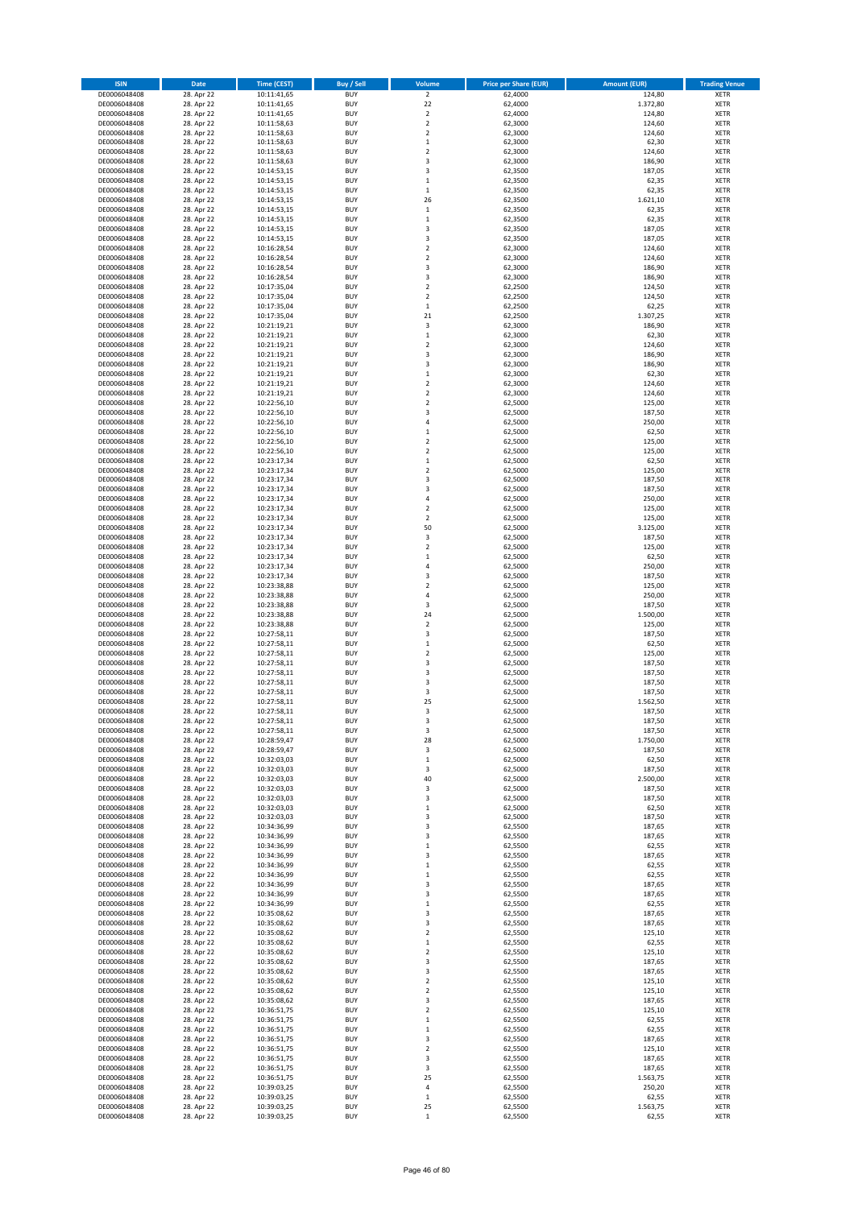| <b>ISIN</b>                  | Date                     | <b>Time (CEST)</b>         | <b>Buy / Sell</b>        | Volume                             | <b>Price per Share (EUR)</b> | <b>Amount (EUR)</b> | <b>Trading Venue</b>       |
|------------------------------|--------------------------|----------------------------|--------------------------|------------------------------------|------------------------------|---------------------|----------------------------|
| DE0006048408                 | 28. Apr 22               | 10:11:41,65                | <b>BUY</b>               | $\overline{2}$                     | 62,4000                      | 124,80              | <b>XETR</b>                |
| DE0006048408<br>DE0006048408 | 28. Apr 22<br>28. Apr 22 | 10:11:41,65<br>10:11:41,65 | <b>BUY</b><br><b>BUY</b> | 22<br>$\mathbf 2$                  | 62,4000<br>62,4000           | 1.372,80<br>124,80  | <b>XETR</b><br><b>XETR</b> |
| DE0006048408                 | 28. Apr 22               | 10:11:58,63                | <b>BUY</b>               | $\mathbf 2$                        | 62,3000                      | 124,60              | <b>XETR</b>                |
| DE0006048408                 | 28. Apr 22               | 10:11:58,63                | <b>BUY</b>               | $\mathbf 2$                        | 62,3000                      | 124,60              | <b>XETR</b>                |
| DE0006048408                 | 28. Apr 22               | 10:11:58,63                | <b>BUY</b>               | $\,1\,$                            | 62,3000                      | 62,30               | <b>XETR</b>                |
| DE0006048408<br>DE0006048408 | 28. Apr 22<br>28. Apr 22 | 10:11:58,63<br>10:11:58,63 | <b>BUY</b><br><b>BUY</b> | $\overline{2}$<br>3                | 62,3000<br>62,3000           | 124,60<br>186,90    | <b>XETR</b><br><b>XETR</b> |
| DE0006048408                 | 28. Apr 22               | 10:14:53,15                | <b>BUY</b>               | 3                                  | 62,3500                      | 187,05              | XETR                       |
| DE0006048408                 | 28. Apr 22               | 10:14:53,15                | <b>BUY</b>               | $\,1\,$                            | 62,3500                      | 62,35               | <b>XETR</b>                |
| DE0006048408                 | 28. Apr 22               | 10:14:53,15                | <b>BUY</b>               | $\,1\,$                            | 62,3500                      | 62,35               | <b>XETR</b>                |
| DE0006048408                 | 28. Apr 22               | 10:14:53,15                | <b>BUY</b><br><b>BUY</b> | 26<br>$\,$ 1                       | 62,3500                      | 1.621,10<br>62,35   | <b>XETR</b><br>XETR        |
| DE0006048408<br>DE0006048408 | 28. Apr 22<br>28. Apr 22 | 10:14:53,15<br>10:14:53,15 | <b>BUY</b>               | $\,1\,$                            | 62,3500<br>62,3500           | 62,35               | <b>XETR</b>                |
| DE0006048408                 | 28. Apr 22               | 10:14:53,15                | <b>BUY</b>               | $\overline{\mathbf{3}}$            | 62,3500                      | 187,05              | <b>XETR</b>                |
| DE0006048408                 | 28. Apr 22               | 10:14:53,15                | <b>BUY</b>               | 3                                  | 62,3500                      | 187,05              | <b>XETR</b>                |
| DE0006048408<br>DE0006048408 | 28. Apr 22<br>28. Apr 22 | 10:16:28,54<br>10:16:28,54 | <b>BUY</b><br><b>BUY</b> | $\mathbf 2$<br>$\overline{2}$      | 62,3000<br>62,3000           | 124,60<br>124,60    | XETR<br><b>XETR</b>        |
| DE0006048408                 | 28. Apr 22               | 10:16:28,54                | <b>BUY</b>               | 3                                  | 62,3000                      | 186,90              | XETR                       |
| DE0006048408                 | 28. Apr 22               | 10:16:28,54                | <b>BUY</b>               | 3                                  | 62,3000                      | 186,90              | <b>XETR</b>                |
| DE0006048408                 | 28. Apr 22               | 10:17:35,04                | <b>BUY</b>               | $\overline{2}$                     | 62,2500                      | 124,50              | <b>XETR</b>                |
| DE0006048408<br>DE0006048408 | 28. Apr 22<br>28. Apr 22 | 10:17:35,04<br>10:17:35,04 | <b>BUY</b><br><b>BUY</b> | $\mathbf 2$<br>$\,1\,$             | 62,2500<br>62,2500           | 124,50<br>62,25     | <b>XETR</b><br><b>XETR</b> |
| DE0006048408                 | 28. Apr 22               | 10:17:35,04                | <b>BUY</b>               | 21                                 | 62,2500                      | 1.307,25            | <b>XETR</b>                |
| DE0006048408                 | 28. Apr 22               | 10:21:19,21                | <b>BUY</b>               | 3                                  | 62,3000                      | 186,90              | <b>XETR</b>                |
| DE0006048408                 | 28. Apr 22               | 10:21:19,21                | <b>BUY</b>               | $\mathbf 1$                        | 62,3000                      | 62,30               | <b>XETR</b>                |
| DE0006048408<br>DE0006048408 | 28. Apr 22<br>28. Apr 22 | 10:21:19,21<br>10:21:19,21 | <b>BUY</b><br><b>BUY</b> | $\overline{2}$<br>3                | 62,3000<br>62,3000           | 124,60<br>186,90    | <b>XETR</b><br><b>XETR</b> |
| DE0006048408                 | 28. Apr 22               | 10:21:19,21                | <b>BUY</b>               | 3                                  | 62,3000                      | 186,90              | <b>XETR</b>                |
| DE0006048408                 | 28. Apr 22               | 10:21:19,21                | <b>BUY</b>               | $\,$ 1                             | 62,3000                      | 62,30               | <b>XETR</b>                |
| DE0006048408                 | 28. Apr 22               | 10:21:19,21                | <b>BUY</b>               | $\sqrt{2}$                         | 62,3000                      | 124,60              | <b>XETR</b>                |
| DE0006048408<br>DE0006048408 | 28. Apr 22<br>28. Apr 22 | 10:21:19,21<br>10:22:56,10 | <b>BUY</b><br><b>BUY</b> | $\boldsymbol{2}$<br>$\overline{2}$ | 62,3000<br>62,5000           | 124,60<br>125,00    | <b>XETR</b><br><b>XETR</b> |
| DE0006048408                 | 28. Apr 22               | 10:22:56,10                | <b>BUY</b>               | 3                                  | 62,5000                      | 187,50              | XETR                       |
| DE0006048408                 | 28. Apr 22               | 10:22:56,10                | <b>BUY</b>               | $\overline{4}$                     | 62,5000                      | 250,00              | <b>XETR</b>                |
| DE0006048408                 | 28. Apr 22               | 10:22:56,10                | <b>BUY</b>               | $\,1\,$                            | 62,5000                      | 62,50               | XETR                       |
| DE0006048408<br>DE0006048408 | 28. Apr 22<br>28. Apr 22 | 10:22:56,10<br>10:22:56,10 | <b>BUY</b><br><b>BUY</b> | $\overline{2}$<br>$\sqrt{2}$       | 62,5000<br>62,5000           | 125,00<br>125,00    | <b>XETR</b><br><b>XETR</b> |
| DE0006048408                 | 28. Apr 22               | 10:23:17,34                | <b>BUY</b>               | $\,1\,$                            | 62,5000                      | 62,50               | <b>XETR</b>                |
| DE0006048408                 | 28. Apr 22               | 10:23:17,34                | <b>BUY</b>               | $\overline{2}$                     | 62,5000                      | 125,00              | <b>XETR</b>                |
| DE0006048408                 | 28. Apr 22               | 10:23:17,34                | <b>BUY</b>               | 3                                  | 62,5000                      | 187,50              | <b>XETR</b>                |
| DE0006048408<br>DE0006048408 | 28. Apr 22<br>28. Apr 22 | 10:23:17,34<br>10:23:17,34 | <b>BUY</b><br><b>BUY</b> | 3<br>$\overline{4}$                | 62,5000<br>62,5000           | 187,50<br>250,00    | <b>XETR</b><br><b>XETR</b> |
| DE0006048408                 | 28. Apr 22               | 10:23:17,34                | <b>BUY</b>               | $\overline{2}$                     | 62,5000                      | 125,00              | <b>XETR</b>                |
| DE0006048408                 | 28. Apr 22               | 10:23:17,34                | <b>BUY</b>               | $\overline{2}$                     | 62,5000                      | 125,00              | <b>XETR</b>                |
| DE0006048408                 | 28. Apr 22               | 10:23:17,34                | <b>BUY</b>               | 50                                 | 62,5000                      | 3.125,00            | <b>XETR</b>                |
| DE0006048408<br>DE0006048408 | 28. Apr 22<br>28. Apr 22 | 10:23:17,34<br>10:23:17,34 | <b>BUY</b><br><b>BUY</b> | 3<br>$\overline{2}$                | 62,5000<br>62,5000           | 187,50<br>125,00    | <b>XETR</b><br><b>XETR</b> |
| DE0006048408                 | 28. Apr 22               | 10:23:17,34                | <b>BUY</b>               | $\,$ 1                             | 62,5000                      | 62,50               | <b>XETR</b>                |
| DE0006048408                 | 28. Apr 22               | 10:23:17,34                | <b>BUY</b>               | $\sqrt{4}$                         | 62,5000                      | 250,00              | <b>XETR</b>                |
| DE0006048408                 | 28. Apr 22               | 10:23:17,34                | <b>BUY</b>               | 3                                  | 62,5000                      | 187,50              | <b>XETR</b>                |
| DE0006048408<br>DE0006048408 | 28. Apr 22<br>28. Apr 22 | 10:23:38,88<br>10:23:38,88 | <b>BUY</b><br><b>BUY</b> | $\overline{2}$<br>$\sqrt{4}$       | 62,5000<br>62,5000           | 125,00<br>250,00    | <b>XETR</b><br><b>XETR</b> |
| DE0006048408                 | 28. Apr 22               | 10:23:38,88                | <b>BUY</b>               | 3                                  | 62,5000                      | 187,50              | <b>XETR</b>                |
| DE0006048408                 | 28. Apr 22               | 10:23:38,88                | <b>BUY</b>               | 24                                 | 62,5000                      | 1.500,00            | <b>XETR</b>                |
| DE0006048408<br>DE0006048408 | 28. Apr 22<br>28. Apr 22 | 10:23:38,88<br>10:27:58,11 | <b>BUY</b><br><b>BUY</b> | $\overline{2}$<br>3                | 62,5000<br>62,5000           | 125,00<br>187,50    | <b>XETR</b><br><b>XETR</b> |
| DE0006048408                 | 28. Apr 22               | 10:27:58,11                | <b>BUY</b>               | $\,1\,$                            | 62,5000                      | 62,50               | <b>XETR</b>                |
| DE0006048408                 | 28. Apr 22               | 10:27:58,11                | <b>BUY</b>               | $\mathbf 2$                        | 62,5000                      | 125,00              | <b>XETR</b>                |
| DE0006048408                 | 28. Apr 22               | 10:27:58,11                | <b>BUY</b>               | 3                                  | 62,5000                      | 187,50              | <b>XETR</b>                |
| DE0006048408<br>DE0006048408 | 28. Apr 22<br>28. Apr 22 | 10:27:58,11<br>10:27:58,11 | <b>BUY</b><br><b>BUY</b> | $\overline{\mathbf{3}}$<br>3       | 62,5000<br>62,5000           | 187,50<br>187,50    | XETR<br><b>XETR</b>        |
| DE0006048408                 | 28. Apr 22               | 10:27:58,11                | <b>BUY</b>               | 3                                  | 62,5000                      | 187,50              | <b>XETR</b>                |
| DE0006048408                 | 28. Apr 22               | 10:27:58,11                | <b>BUY</b>               | 25                                 | 62,5000                      | 1.562,50            | <b>XETR</b>                |
| DE0006048408                 | 28. Apr 22               | 10:27:58,11                | <b>BUY</b>               | 3                                  | 62,5000                      | 187,50              | <b>XETR</b>                |
| DE0006048408<br>DE0006048408 | 28. Apr 22<br>28. Apr 22 | 10:27:58,11<br>10:27:58,11 | <b>BUY</b><br><b>BUY</b> | 3<br>3                             | 62,5000<br>62,5000           | 187,50<br>187,50    | <b>XETR</b><br>XETR        |
| DE0006048408                 | 28. Apr 22               | 10:28:59,47                | <b>BUY</b>               | 28                                 | 62,5000                      | 1.750,00            | XETR                       |
| DE0006048408                 | 28. Apr 22               | 10:28:59,47                | <b>BUY</b>               | 3                                  | 62,5000                      | 187,50              | XETR                       |
| DE0006048408<br>DE0006048408 | 28. Apr 22               | 10:32:03,03                | <b>BUY</b><br><b>BUY</b> | $\,$ 1                             | 62,5000<br>62,5000           | 62,50               | XETR<br>XETR               |
| DE0006048408                 | 28. Apr 22<br>28. Apr 22 | 10:32:03,03<br>10:32:03,03 | <b>BUY</b>               | 3<br>40                            | 62,5000                      | 187,50<br>2.500,00  | <b>XETR</b>                |
| DE0006048408                 | 28. Apr 22               | 10:32:03,03                | <b>BUY</b>               | 3                                  | 62,5000                      | 187,50              | <b>XETR</b>                |
| DE0006048408                 | 28. Apr 22               | 10:32:03,03                | <b>BUY</b>               | 3                                  | 62,5000                      | 187,50              | <b>XETR</b>                |
| DE0006048408<br>DE0006048408 | 28. Apr 22<br>28. Apr 22 | 10:32:03,03<br>10:32:03,03 | <b>BUY</b><br><b>BUY</b> | $\,$ 1<br>3                        | 62,5000<br>62,5000           | 62,50<br>187,50     | <b>XETR</b><br><b>XETR</b> |
| DE0006048408                 | 28. Apr 22               | 10:34:36,99                | <b>BUY</b>               | 3                                  | 62,5500                      | 187,65              | <b>XETR</b>                |
| DE0006048408                 | 28. Apr 22               | 10:34:36,99                | <b>BUY</b>               | 3                                  | 62,5500                      | 187,65              | <b>XETR</b>                |
| DE0006048408                 | 28. Apr 22               | 10:34:36,99                | <b>BUY</b>               | $\,$ 1                             | 62,5500                      | 62,55               | XETR                       |
| DE0006048408<br>DE0006048408 | 28. Apr 22<br>28. Apr 22 | 10:34:36,99<br>10:34:36,99 | <b>BUY</b><br><b>BUY</b> | 3<br>$\,$ 1                        | 62,5500<br>62,5500           | 187,65<br>62,55     | <b>XETR</b><br><b>XETR</b> |
| DE0006048408                 | 28. Apr 22               | 10:34:36,99                | <b>BUY</b>               | $\,$ 1                             | 62,5500                      | 62,55               | <b>XETR</b>                |
| DE0006048408                 | 28. Apr 22               | 10:34:36,99                | <b>BUY</b>               | 3                                  | 62,5500                      | 187,65              | <b>XETR</b>                |
| DE0006048408                 | 28. Apr 22               | 10:34:36,99                | <b>BUY</b><br><b>BUY</b> | 3                                  | 62,5500                      | 187,65              | <b>XETR</b><br><b>XETR</b> |
| DE0006048408<br>DE0006048408 | 28. Apr 22<br>28. Apr 22 | 10:34:36,99<br>10:35:08,62 | <b>BUY</b>               | $\,$ 1<br>3                        | 62,5500<br>62,5500           | 62,55<br>187,65     | <b>XETR</b>                |
| DE0006048408                 | 28. Apr 22               | 10:35:08,62                | <b>BUY</b>               | 3                                  | 62,5500                      | 187,65              | XETR                       |
| DE0006048408                 | 28. Apr 22               | 10:35:08,62                | <b>BUY</b>               | $\overline{\mathbf{c}}$            | 62,5500                      | 125,10              | XETR                       |
| DE0006048408<br>DE0006048408 | 28. Apr 22<br>28. Apr 22 | 10:35:08,62<br>10:35:08,62 | <b>BUY</b><br><b>BUY</b> | $\mathbf 1$<br>$\sqrt{2}$          | 62,5500<br>62,5500           | 62,55<br>125,10     | XETR<br>XETR               |
| DE0006048408                 | 28. Apr 22               | 10:35:08,62                | <b>BUY</b>               | 3                                  | 62,5500                      | 187,65              | <b>XETR</b>                |
| DE0006048408                 | 28. Apr 22               | 10:35:08,62                | <b>BUY</b>               | 3                                  | 62,5500                      | 187,65              | XETR                       |
| DE0006048408                 | 28. Apr 22               | 10:35:08,62                | <b>BUY</b>               | $\overline{2}$                     | 62,5500                      | 125,10              | XETR                       |
| DE0006048408<br>DE0006048408 | 28. Apr 22<br>28. Apr 22 | 10:35:08,62<br>10:35:08,62 | <b>BUY</b><br><b>BUY</b> | $\boldsymbol{2}$<br>3              | 62,5500<br>62,5500           | 125,10<br>187,65    | <b>XETR</b><br><b>XETR</b> |
| DE0006048408                 | 28. Apr 22               | 10:36:51,75                | <b>BUY</b>               | $\overline{\mathbf{c}}$            | 62,5500                      | 125,10              | XETR                       |
| DE0006048408                 | 28. Apr 22               | 10:36:51,75                | <b>BUY</b>               | $\mathbf 1$                        | 62,5500                      | 62,55               | XETR                       |
| DE0006048408                 | 28. Apr 22               | 10:36:51,75                | <b>BUY</b>               | $\,$ 1                             | 62,5500                      | 62,55               | <b>XETR</b>                |
| DE0006048408<br>DE0006048408 | 28. Apr 22<br>28. Apr 22 | 10:36:51,75<br>10:36:51,75 | <b>BUY</b><br><b>BUY</b> | 3<br>$\overline{2}$                | 62,5500<br>62,5500           | 187,65<br>125,10    | <b>XETR</b><br><b>XETR</b> |
| DE0006048408                 | 28. Apr 22               | 10:36:51,75                | <b>BUY</b>               | 3                                  | 62,5500                      | 187,65              | <b>XETR</b>                |
| DE0006048408                 | 28. Apr 22               | 10:36:51,75                | <b>BUY</b>               | 3                                  | 62,5500                      | 187,65              | <b>XETR</b>                |
| DE0006048408<br>DE0006048408 | 28. Apr 22<br>28. Apr 22 | 10:36:51,75<br>10:39:03,25 | <b>BUY</b><br><b>BUY</b> | 25<br>$\pmb{4}$                    | 62,5500<br>62,5500           | 1.563,75<br>250,20  | <b>XETR</b><br><b>XETR</b> |
| DE0006048408                 | 28. Apr 22               | 10:39:03,25                | <b>BUY</b>               | $\,$ 1                             | 62,5500                      | 62,55               | <b>XETR</b>                |
| DE0006048408                 | 28. Apr 22               | 10:39:03,25                | <b>BUY</b>               | 25                                 | 62,5500                      | 1.563,75            | <b>XETR</b>                |
| DE0006048408                 | 28. Apr 22               | 10:39:03,25                | <b>BUY</b>               | $\,$ 1                             | 62,5500                      | 62,55               | <b>XETR</b>                |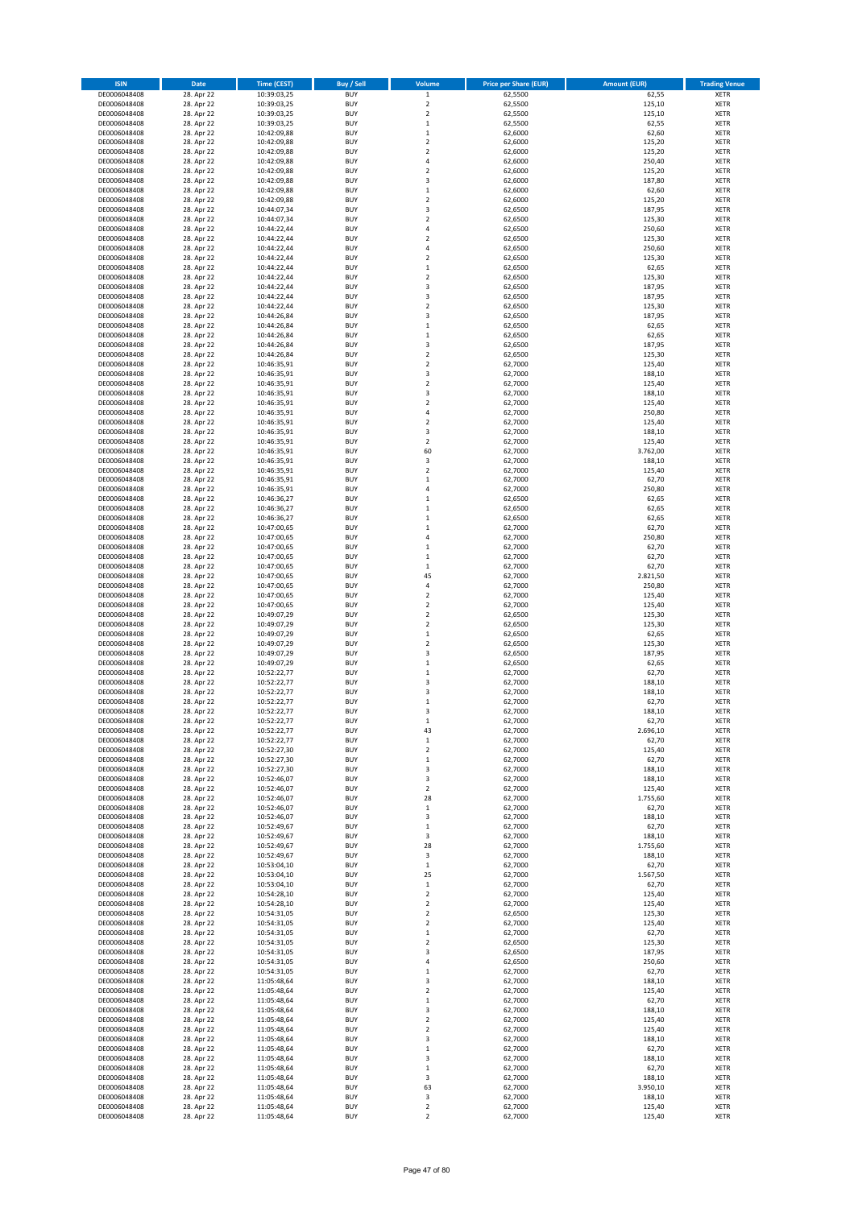| <b>ISIN</b>                  | Date                     | <b>Time (CEST)</b>         | Buy / Sell               | Volume                                 | <b>Price per Share (EUR)</b> | <b>Amount (EUR)</b> | <b>Trading Venue</b>       |
|------------------------------|--------------------------|----------------------------|--------------------------|----------------------------------------|------------------------------|---------------------|----------------------------|
| DE0006048408                 | 28. Apr 22               | 10:39:03,25                | <b>BUY</b>               | $\,$ 1 $\,$                            | 62,5500                      | 62,55               | XETR                       |
| DE0006048408                 | 28. Apr 22               | 10:39:03,25                | <b>BUY</b>               | $\mathbf 2$                            | 62,5500                      | 125,10              | XETR                       |
| DE0006048408<br>DE0006048408 | 28. Apr 22<br>28. Apr 22 | 10:39:03,25<br>10:39:03,25 | <b>BUY</b><br><b>BUY</b> | $\mathbf 2$<br>$\mathbf 1$             | 62,5500<br>62,5500           | 125,10<br>62,55     | XETR<br>XETR               |
| DE0006048408                 | 28. Apr 22               | 10:42:09,88                | <b>BUY</b>               | $\mathbf 1$                            | 62,6000                      | 62,60               | XETR                       |
| DE0006048408                 | 28. Apr 22               | 10:42:09,88                | <b>BUY</b>               | $\overline{\mathbf{c}}$                | 62,6000                      | 125,20              | <b>XETR</b>                |
| DE0006048408                 | 28. Apr 22               | 10:42:09,88                | <b>BUY</b>               | $\overline{\mathbf{c}}$                | 62,6000                      | 125,20              | <b>XETR</b>                |
| DE0006048408                 | 28. Apr 22               | 10:42:09,88                | <b>BUY</b>               | $\overline{4}$                         | 62,6000                      | 250,40              | <b>XETR</b>                |
| DE0006048408                 | 28. Apr 22<br>28. Apr 22 | 10:42:09,88                | <b>BUY</b><br><b>BUY</b> | $\mathbf 2$<br>3                       | 62,6000<br>62,6000           | 125,20<br>187,80    | <b>XETR</b><br><b>XETR</b> |
| DE0006048408<br>DE0006048408 | 28. Apr 22               | 10:42:09,88<br>10:42:09,88 | <b>BUY</b>               | $\mathbf 1$                            | 62,6000                      | 62,60               | XETR                       |
| DE0006048408                 | 28. Apr 22               | 10:42:09,88                | <b>BUY</b>               | $\overline{\mathbf{c}}$                | 62,6000                      | 125,20              | <b>XETR</b>                |
| DE0006048408                 | 28. Apr 22               | 10:44:07,34                | <b>BUY</b>               | 3                                      | 62,6500                      | 187,95              | XETR                       |
| DE0006048408                 | 28. Apr 22               | 10:44:07,34                | <b>BUY</b>               | $\overline{\mathbf{c}}$                | 62,6500                      | 125,30              | <b>XETR</b>                |
| DE0006048408                 | 28. Apr 22               | 10:44:22,44                | <b>BUY</b>               | 4                                      | 62,6500                      | 250,60              | XETR                       |
| DE0006048408<br>DE0006048408 | 28. Apr 22<br>28. Apr 22 | 10:44:22,44<br>10:44:22,44 | <b>BUY</b><br><b>BUY</b> | $\overline{\mathbf{c}}$<br>4           | 62,6500<br>62,6500           | 125,30<br>250,60    | <b>XETR</b><br>XETR        |
| DE0006048408                 | 28. Apr 22               | 10:44:22,44                | <b>BUY</b>               | $\overline{\mathbf{2}}$                | 62,6500                      | 125,30              | <b>XETR</b>                |
| DE0006048408                 | 28. Apr 22               | 10:44:22,44                | <b>BUY</b>               | $\mathbf 1$                            | 62,6500                      | 62,65               | XETR                       |
| DE0006048408                 | 28. Apr 22               | 10:44:22,44                | <b>BUY</b>               | $\overline{\mathbf{c}}$                | 62,6500                      | 125,30              | <b>XETR</b>                |
| DE0006048408                 | 28. Apr 22               | 10:44:22,44                | <b>BUY</b>               | 3                                      | 62,6500                      | 187,95              | XETR                       |
| DE0006048408<br>DE0006048408 | 28. Apr 22<br>28. Apr 22 | 10:44:22,44<br>10:44:22,44 | <b>BUY</b><br><b>BUY</b> | 3<br>$\overline{2}$                    | 62,6500<br>62,6500           | 187,95<br>125,30    | XETR<br><b>XETR</b>        |
| DE0006048408                 | 28. Apr 22               | 10:44:26,84                | <b>BUY</b>               | 3                                      | 62,6500                      | 187,95              | <b>XETR</b>                |
| DE0006048408                 | 28. Apr 22               | 10:44:26,84                | <b>BUY</b>               | $\mathbf 1$                            | 62,6500                      | 62,65               | <b>XETR</b>                |
| DE0006048408                 | 28. Apr 22               | 10:44:26,84                | <b>BUY</b>               | $\mathbf 1$                            | 62,6500                      | 62,65               | <b>XETR</b>                |
| DE0006048408                 | 28. Apr 22               | 10:44:26,84                | <b>BUY</b>               | 3                                      | 62,6500                      | 187,95              | <b>XETR</b>                |
| DE0006048408<br>DE0006048408 | 28. Apr 22<br>28. Apr 22 | 10:44:26,84                | <b>BUY</b><br><b>BUY</b> | $\overline{\mathbf{c}}$<br>$\mathbf 2$ | 62,6500<br>62,7000           | 125,30<br>125,40    | <b>XETR</b><br><b>XETR</b> |
| DE0006048408                 | 28. Apr 22               | 10:46:35,91<br>10:46:35,91 | <b>BUY</b>               | 3                                      | 62,7000                      | 188,10              | <b>XETR</b>                |
| DE0006048408                 | 28. Apr 22               | 10:46:35,91                | <b>BUY</b>               | $\mathbf 2$                            | 62,7000                      | 125,40              | <b>XETR</b>                |
| DE0006048408                 | 28. Apr 22               | 10:46:35,91                | <b>BUY</b>               | 3                                      | 62,7000                      | 188,10              | <b>XETR</b>                |
| DE0006048408                 | 28. Apr 22               | 10:46:35,91                | <b>BUY</b>               | $\overline{\mathbf{2}}$                | 62,7000                      | 125,40              | <b>XETR</b>                |
| DE0006048408                 | 28. Apr 22               | 10:46:35,91                | <b>BUY</b>               | 4                                      | 62,7000                      | 250,80              | XETR                       |
| DE0006048408<br>DE0006048408 | 28. Apr 22<br>28. Apr 22 | 10:46:35,91<br>10:46:35,91 | <b>BUY</b><br><b>BUY</b> | $\overline{\mathbf{c}}$<br>3           | 62,7000<br>62,7000           | 125,40<br>188,10    | <b>XETR</b><br>XETR        |
| DE0006048408                 | 28. Apr 22               | 10:46:35,91                | <b>BUY</b>               | $\overline{\mathbf{c}}$                | 62,7000                      | 125,40              | <b>XETR</b>                |
| DE0006048408                 | 28. Apr 22               | 10:46:35,91                | <b>BUY</b>               | 60                                     | 62,7000                      | 3.762,00            | XETR                       |
| DE0006048408                 | 28. Apr 22               | 10:46:35,91                | <b>BUY</b>               | 3                                      | 62,7000                      | 188,10              | <b>XETR</b>                |
| DE0006048408                 | 28. Apr 22               | 10:46:35,91                | <b>BUY</b>               | $\overline{\mathbf{c}}$                | 62,7000                      | 125,40              | <b>XETR</b>                |
| DE0006048408                 | 28. Apr 22<br>28. Apr 22 | 10:46:35,91                | <b>BUY</b>               | $\mathbf 1$                            | 62,7000                      | 62,70               | <b>XETR</b><br><b>XETR</b> |
| DE0006048408<br>DE0006048408 | 28. Apr 22               | 10:46:35,91<br>10:46:36,27 | <b>BUY</b><br><b>BUY</b> | 4<br>$\mathbf{1}$                      | 62,7000<br>62,6500           | 250,80<br>62,65     | <b>XETR</b>                |
| DE0006048408                 | 28. Apr 22               | 10:46:36,27                | <b>BUY</b>               | $\mathbf{1}$                           | 62,6500                      | 62,65               | <b>XETR</b>                |
| DE0006048408                 | 28. Apr 22               | 10:46:36,27                | <b>BUY</b>               | $\mathbf 1$                            | 62,6500                      | 62,65               | <b>XETR</b>                |
| DE0006048408                 | 28. Apr 22               | 10:47:00,65                | <b>BUY</b>               | $\mathbf 1$                            | 62,7000                      | 62,70               | XETR                       |
| DE0006048408                 | 28. Apr 22               | 10:47:00,65                | <b>BUY</b>               | 4                                      | 62,7000                      | 250,80              | XETR                       |
| DE0006048408<br>DE0006048408 | 28. Apr 22<br>28. Apr 22 | 10:47:00,65<br>10:47:00,65 | <b>BUY</b><br><b>BUY</b> | $\mathbf 1$<br>$\mathbf 1$             | 62,7000<br>62,7000           | 62,70<br>62,70      | <b>XETR</b><br><b>XETR</b> |
| DE0006048408                 | 28. Apr 22               | 10:47:00,65                | <b>BUY</b>               | $\mathbf 1$                            | 62,7000                      | 62,70               | XETR                       |
| DE0006048408                 | 28. Apr 22               | 10:47:00,65                | <b>BUY</b>               | 45                                     | 62,7000                      | 2.821,50            | <b>XETR</b>                |
| DE0006048408                 | 28. Apr 22               | 10:47:00,65                | <b>BUY</b>               | $\overline{4}$                         | 62,7000                      | 250,80              | <b>XETR</b>                |
| DE0006048408                 | 28. Apr 22               | 10:47:00,65                | <b>BUY</b>               | $\overline{\mathbf{c}}$                | 62,7000                      | 125,40              | <b>XETR</b>                |
| DE0006048408<br>DE0006048408 | 28. Apr 22<br>28. Apr 22 | 10:47:00,65<br>10:49:07,29 | <b>BUY</b><br><b>BUY</b> | $\mathbf 2$<br>$\mathbf 2$             | 62,7000<br>62,6500           | 125,40<br>125,30    | <b>XETR</b><br>XETR        |
| DE0006048408                 | 28. Apr 22               | 10:49:07,29                | <b>BUY</b>               | $\overline{\mathbf{c}}$                | 62,6500                      | 125,30              | <b>XETR</b>                |
| DE0006048408                 | 28. Apr 22               | 10:49:07,29                | <b>BUY</b>               | $\mathbf 1$                            | 62,6500                      | 62,65               | <b>XETR</b>                |
| DE0006048408                 | 28. Apr 22               | 10:49:07,29                | <b>BUY</b>               | $\overline{\mathbf{c}}$                | 62,6500                      | 125,30              | <b>XETR</b>                |
| DE0006048408                 | 28. Apr 22               | 10:49:07,29                | <b>BUY</b>               | 3                                      | 62,6500                      | 187,95              | <b>XETR</b>                |
| DE0006048408                 | 28. Apr 22               | 10:49:07,29                | <b>BUY</b>               | $\mathbf{1}$                           | 62,6500                      | 62,65               | <b>XETR</b>                |
| DE0006048408<br>DE0006048408 | 28. Apr 22<br>28. Apr 22 | 10:52:22,77<br>10:52:22,77 | <b>BUY</b><br><b>BUY</b> | $\mathbf 1$<br>3                       | 62,7000<br>62,7000           | 62,70<br>188,10     | XETR<br><b>XETR</b>        |
| DE0006048408                 | 28. Apr 22               | 10:52:22,77                | <b>BUY</b>               | 3                                      | 62,7000                      | 188,10              | XETR                       |
| DE0006048408                 | 28. Apr 22               | 10:52:22,77                | <b>BUY</b>               | $\mathbf 1$                            | 62,7000                      | 62,70               | <b>XETR</b>                |
| DE0006048408                 | 28. Apr 22               | 10:52:22,77                | <b>BUY</b>               | 3                                      | 62,7000                      | 188,10              | XETR                       |
| DE0006048408                 | 28. Apr 22               | 10:52:22,77                | <b>BUY</b>               | $\mathbf{1}$                           | 62,7000                      | 62,70               | <b>XETR</b>                |
| DE0006048408<br>DE0006048408 | 28. Apr 22<br>28. Apr 22 | 10:52:22,77<br>10:52:22,77 | <b>BUY</b><br><b>BUY</b> | 43<br>$\mathbf 1$                      | 62,7000<br>62,7000           | 2.696,10<br>62,70   | XETR<br>XETR               |
| DE0006048408                 | 28. Apr 22               | 10:52:27,30                | <b>BUY</b>               | 2                                      | 62,7000                      | 125,40              | XETR                       |
| DE0006048408                 | 28. Apr 22               | 10:52:27,30                | <b>BUY</b>               | $\mathbf 1$                            | 62,7000                      | 62,70               | XETR                       |
| DE0006048408                 | 28. Apr 22               | 10:52:27,30                | <b>BUY</b>               | 3                                      | 62,7000                      | 188,10              | XETR                       |
| DE0006048408                 | 28. Apr 22               | 10:52:46,07                | <b>BUY</b>               | 3                                      | 62,7000                      | 188,10              | <b>XETR</b>                |
| DE0006048408<br>DE0006048408 | 28. Apr 22<br>28. Apr 22 | 10:52:46,07<br>10:52:46,07 | <b>BUY</b><br><b>BUY</b> | $\overline{\mathbf{c}}$<br>28          | 62,7000<br>62,7000           | 125,40<br>1.755,60  | XETR<br><b>XETR</b>        |
| DE0006048408                 | 28. Apr 22               | 10:52:46,07                | <b>BUY</b>               | $\mathbf 1$                            | 62,7000                      | 62,70               | XETR                       |
| DE0006048408                 | 28. Apr 22               | 10:52:46,07                | <b>BUY</b>               | 3                                      | 62,7000                      | 188,10              | <b>XETR</b>                |
| DE0006048408                 | 28. Apr 22               | 10:52:49,67                | <b>BUY</b>               | $\mathbf 1$                            | 62,7000                      | 62,70               | XETR                       |
| DE0006048408                 | 28. Apr 22               | 10:52:49,67                | <b>BUY</b>               | 3                                      | 62,7000                      | 188,10              | <b>XETR</b>                |
| DE0006048408                 | 28. Apr 22               | 10:52:49,67                | <b>BUY</b>               | 28                                     | 62,7000<br>62,7000           | 1.755,60<br>188,10  | XETR                       |
| DE0006048408<br>DE0006048408 | 28. Apr 22<br>28. Apr 22 | 10:52:49,67<br>10:53:04,10 | <b>BUY</b><br><b>BUY</b> | 3<br>$\mathbf 1$                       | 62,7000                      | 62,70               | <b>XETR</b><br>XETR        |
| DE0006048408                 | 28. Apr 22               | 10:53:04,10                | <b>BUY</b>               | 25                                     | 62,7000                      | 1.567,50            | <b>XETR</b>                |
| DE0006048408                 | 28. Apr 22               | 10:53:04,10                | <b>BUY</b>               | $\mathbf 1$                            | 62,7000                      | 62,70               | XETR                       |
| DE0006048408                 | 28. Apr 22               | 10:54:28,10                | <b>BUY</b>               | 2                                      | 62,7000                      | 125,40              | <b>XETR</b>                |
| DE0006048408                 | 28. Apr 22               | 10:54:28,10                | <b>BUY</b>               | $\mathbf 2$                            | 62,7000                      | 125,40              | XETR                       |
| DE0006048408<br>DE0006048408 | 28. Apr 22<br>28. Apr 22 | 10:54:31,05<br>10:54:31,05 | <b>BUY</b><br><b>BUY</b> | $\mathbf 2$<br>2                       | 62,6500<br>62,7000           | 125,30<br>125,40    | <b>XETR</b><br><b>XETR</b> |
| DE0006048408                 | 28. Apr 22               | 10:54:31,05                | <b>BUY</b>               | $\mathbf 1$                            | 62,7000                      | 62,70               | XETR                       |
| DE0006048408                 | 28. Apr 22               | 10:54:31,05                | <b>BUY</b>               | $\mathbf 2$                            | 62,6500                      | 125,30              | <b>XETR</b>                |
| DE0006048408                 | 28. Apr 22               | 10:54:31,05                | <b>BUY</b>               | 3                                      | 62,6500                      | 187,95              | XETR                       |
| DE0006048408                 | 28. Apr 22               | 10:54:31,05                | <b>BUY</b>               | 4                                      | 62,6500                      | 250,60              | <b>XETR</b>                |
| DE0006048408<br>DE0006048408 | 28. Apr 22<br>28. Apr 22 | 10:54:31,05<br>11:05:48,64 | <b>BUY</b><br><b>BUY</b> | 1<br>3                                 | 62,7000<br>62,7000           | 62,70<br>188,10     | XETR<br><b>XETR</b>        |
| DE0006048408                 | 28. Apr 22               | 11:05:48,64                | <b>BUY</b>               | $\mathbf 2$                            | 62,7000                      | 125,40              | XETR                       |
| DE0006048408                 | 28. Apr 22               | 11:05:48,64                | <b>BUY</b>               | $\mathbf 1$                            | 62,7000                      | 62,70               | <b>XETR</b>                |
| DE0006048408                 | 28. Apr 22               | 11:05:48,64                | <b>BUY</b>               | 3                                      | 62,7000                      | 188,10              | XETR                       |
| DE0006048408                 | 28. Apr 22               | 11:05:48,64                | <b>BUY</b>               | $\mathbf 2$                            | 62,7000                      | 125,40              | <b>XETR</b>                |
| DE0006048408                 | 28. Apr 22               | 11:05:48,64                | <b>BUY</b>               | $\mathbf 2$                            | 62,7000                      | 125,40              | XETR                       |
| DE0006048408<br>DE0006048408 | 28. Apr 22<br>28. Apr 22 | 11:05:48,64<br>11:05:48,64 | <b>BUY</b><br><b>BUY</b> | 3<br>1                                 | 62,7000<br>62,7000           | 188,10<br>62,70     | <b>XETR</b><br><b>XETR</b> |
| DE0006048408                 | 28. Apr 22               | 11:05:48,64                | <b>BUY</b>               | 3                                      | 62,7000                      | 188,10              | <b>XETR</b>                |
| DE0006048408                 | 28. Apr 22               | 11:05:48,64                | <b>BUY</b>               | $\mathbf 1$                            | 62,7000                      | 62,70               | XETR                       |
| DE0006048408                 | 28. Apr 22               | 11:05:48,64                | <b>BUY</b>               | 3                                      | 62,7000                      | 188,10              | <b>XETR</b>                |
| DE0006048408                 | 28. Apr 22               | 11:05:48,64                | <b>BUY</b>               | 63                                     | 62,7000                      | 3.950,10            | XETR                       |
| DE0006048408<br>DE0006048408 | 28. Apr 22<br>28. Apr 22 | 11:05:48,64<br>11:05:48,64 | <b>BUY</b><br><b>BUY</b> | 3<br>$\mathbf 2$                       | 62,7000<br>62,7000           | 188,10<br>125,40    | XETR<br>XETR               |
| DE0006048408                 | 28. Apr 22               | 11:05:48,64                | <b>BUY</b>               | $\mathbf 2$                            | 62,7000                      | 125,40              | <b>XETR</b>                |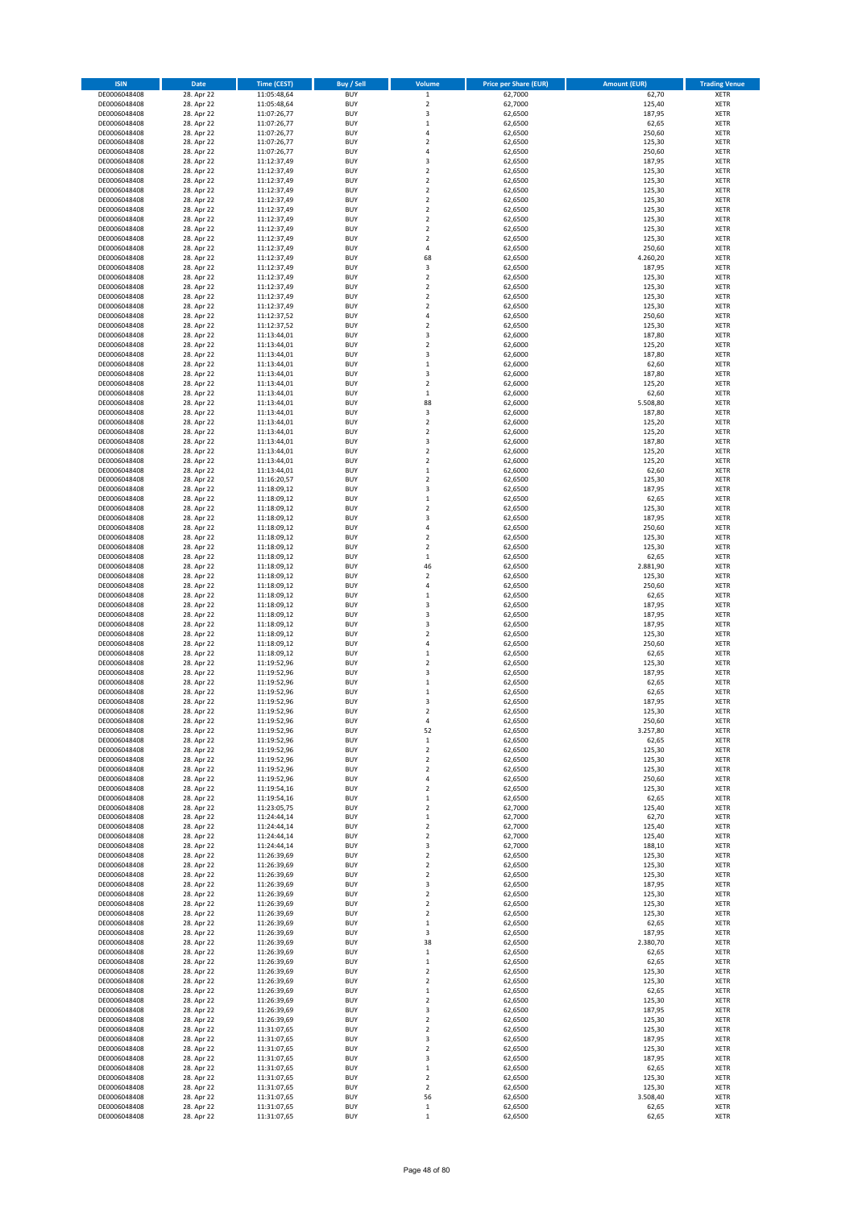| <b>ISIN</b>                  | Date                     | <b>Time (CEST)</b>         | <b>Buy / Sell</b>        | Volume                                | <b>Price per Share (EUR)</b> | <b>Amount (EUR)</b> | <b>Trading Venue</b>       |
|------------------------------|--------------------------|----------------------------|--------------------------|---------------------------------------|------------------------------|---------------------|----------------------------|
| DE0006048408                 | 28. Apr 22               | 11:05:48,64                | <b>BUY</b>               | $\mathbf 1$                           | 62,7000                      | 62,70               | <b>XETR</b>                |
| DE0006048408                 | 28. Apr 22               | 11:05:48,64                | <b>BUY</b>               | $\mathbf 2$                           | 62,7000                      | 125,40              | <b>XETR</b>                |
| DE0006048408<br>DE0006048408 | 28. Apr 22<br>28. Apr 22 | 11:07:26,77<br>11:07:26,77 | <b>BUY</b><br><b>BUY</b> | 3<br>$\,$ 1                           | 62,6500<br>62,6500           | 187,95<br>62,65     | <b>XETR</b><br><b>XETR</b> |
| DE0006048408                 | 28. Apr 22               | 11:07:26,77                | <b>BUY</b>               | $\sqrt{4}$                            | 62,6500                      | 250,60              | <b>XETR</b>                |
| DE0006048408                 | 28. Apr 22               | 11:07:26,77                | <b>BUY</b>               | $\overline{2}$                        | 62,6500                      | 125,30              | <b>XETR</b>                |
| DE0006048408                 | 28. Apr 22               | 11:07:26,77                | <b>BUY</b>               | $\overline{4}$                        | 62,6500                      | 250,60              | <b>XETR</b>                |
| DE0006048408                 | 28. Apr 22               | 11:12:37,49                | <b>BUY</b>               | 3                                     | 62,6500                      | 187,95              | <b>XETR</b>                |
| DE0006048408<br>DE0006048408 | 28. Apr 22<br>28. Apr 22 | 11:12:37,49<br>11:12:37,49 | <b>BUY</b><br><b>BUY</b> | $\overline{2}$<br>$\overline{2}$      | 62,6500<br>62,6500           | 125,30<br>125,30    | <b>XETR</b><br><b>XETR</b> |
| DE0006048408                 | 28. Apr 22               | 11:12:37,49                | <b>BUY</b>               | $\mathbf 2$                           | 62,6500                      | 125,30              | <b>XETR</b>                |
| DE0006048408                 | 28. Apr 22               | 11:12:37,49                | <b>BUY</b>               | $\overline{2}$                        | 62,6500                      | 125,30              | <b>XETR</b>                |
| DE0006048408                 | 28. Apr 22               | 11:12:37,49                | <b>BUY</b>               | $\mathbf 2$                           | 62,6500                      | 125,30              | XETR                       |
| DE0006048408                 | 28. Apr 22               | 11:12:37,49                | <b>BUY</b>               | $\overline{2}$                        | 62,6500                      | 125,30              | <b>XETR</b>                |
| DE0006048408                 | 28. Apr 22               | 11:12:37,49                | <b>BUY</b>               | $\mathbf 2$                           | 62,6500                      | 125,30              | XETR                       |
| DE0006048408<br>DE0006048408 | 28. Apr 22<br>28. Apr 22 | 11:12:37,49<br>11:12:37,49 | <b>BUY</b><br><b>BUY</b> | $\overline{2}$<br>4                   | 62,6500<br>62,6500           | 125,30<br>250,60    | <b>XETR</b><br>XETR        |
| DE0006048408                 | 28. Apr 22               | 11:12:37,49                | <b>BUY</b>               | 68                                    | 62,6500                      | 4.260,20            | <b>XETR</b>                |
| DE0006048408                 | 28. Apr 22               | 11:12:37,49                | <b>BUY</b>               | $\mathsf 3$                           | 62,6500                      | 187,95              | XETR                       |
| DE0006048408                 | 28. Apr 22               | 11:12:37,49                | <b>BUY</b>               | $\mathbf 2$                           | 62,6500                      | 125,30              | <b>XETR</b>                |
| DE0006048408                 | 28. Apr 22               | 11:12:37,49                | <b>BUY</b>               | $\overline{2}$                        | 62,6500                      | 125,30              | <b>XETR</b>                |
| DE0006048408<br>DE0006048408 | 28. Apr 22<br>28. Apr 22 | 11:12:37,49<br>11:12:37,49 | <b>BUY</b><br><b>BUY</b> | $\mathbf 2$<br>$\overline{2}$         | 62,6500<br>62,6500           | 125,30<br>125,30    | <b>XETR</b><br><b>XETR</b> |
| DE0006048408                 | 28. Apr 22               | 11:12:37,52                | <b>BUY</b>               | $\sqrt{4}$                            | 62,6500                      | 250,60              | <b>XETR</b>                |
| DE0006048408                 | 28. Apr 22               | 11:12:37,52                | <b>BUY</b>               | $\overline{2}$                        | 62,6500                      | 125,30              | <b>XETR</b>                |
| DE0006048408                 | 28. Apr 22               | 11:13:44,01                | <b>BUY</b>               | 3                                     | 62,6000                      | 187,80              | <b>XETR</b>                |
| DE0006048408                 | 28. Apr 22               | 11:13:44,01                | <b>BUY</b>               | $\overline{2}$                        | 62,6000                      | 125,20              | <b>XETR</b>                |
| DE0006048408<br>DE0006048408 | 28. Apr 22<br>28. Apr 22 | 11:13:44,01<br>11:13:44,01 | <b>BUY</b><br><b>BUY</b> | 3<br>$\,$ 1                           | 62,6000<br>62,6000           | 187,80<br>62,60     | <b>XETR</b><br><b>XETR</b> |
| DE0006048408                 | 28. Apr 22               | 11:13:44,01                | <b>BUY</b>               | 3                                     | 62,6000                      | 187,80              | <b>XETR</b>                |
| DE0006048408                 | 28. Apr 22               | 11:13:44,01                | <b>BUY</b>               | $\overline{2}$                        | 62,6000                      | 125,20              | <b>XETR</b>                |
| DE0006048408                 | 28. Apr 22               | 11:13:44,01                | <b>BUY</b>               | $\,$ 1                                | 62,6000                      | 62,60               | <b>XETR</b>                |
| DE0006048408                 | 28. Apr 22               | 11:13:44,01                | <b>BUY</b>               | 88                                    | 62,6000                      | 5.508,80            | <b>XETR</b>                |
| DE0006048408<br>DE0006048408 | 28. Apr 22<br>28. Apr 22 | 11:13:44,01<br>11:13:44,01 | <b>BUY</b><br><b>BUY</b> | 3<br>$\overline{2}$                   | 62,6000<br>62,6000           | 187,80<br>125,20    | XETR<br><b>XETR</b>        |
| DE0006048408                 | 28. Apr 22               | 11:13:44,01                | <b>BUY</b>               | $\mathbf 2$                           | 62,6000                      | 125,20              | XETR                       |
| DE0006048408                 | 28. Apr 22               | 11:13:44,01                | <b>BUY</b>               | 3                                     | 62,6000                      | 187,80              | <b>XETR</b>                |
| DE0006048408                 | 28. Apr 22               | 11:13:44,01                | <b>BUY</b>               | $\sqrt{2}$                            | 62,6000                      | 125,20              | <b>XETR</b>                |
| DE0006048408                 | 28. Apr 22               | 11:13:44,01                | <b>BUY</b>               | $\overline{2}$                        | 62,6000                      | 125,20              | <b>XETR</b>                |
| DE0006048408<br>DE0006048408 | 28. Apr 22               | 11:13:44,01                | <b>BUY</b>               | $\,1\,$                               | 62,6000                      | 62,60               | <b>XETR</b>                |
| DE0006048408                 | 28. Apr 22<br>28. Apr 22 | 11:16:20,57<br>11:18:09,12 | <b>BUY</b><br><b>BUY</b> | $\overline{2}$<br>3                   | 62,6500<br>62,6500           | 125,30<br>187,95    | <b>XETR</b><br><b>XETR</b> |
| DE0006048408                 | 28. Apr 22               | 11:18:09,12                | <b>BUY</b>               | $\,1\,$                               | 62,6500                      | 62,65               | <b>XETR</b>                |
| DE0006048408                 | 28. Apr 22               | 11:18:09,12                | <b>BUY</b>               | $\overline{2}$                        | 62,6500                      | 125,30              | <b>XETR</b>                |
| DE0006048408                 | 28. Apr 22               | 11:18:09,12                | <b>BUY</b>               | 3                                     | 62,6500                      | 187,95              | <b>XETR</b>                |
| DE0006048408                 | 28. Apr 22               | 11:18:09,12                | <b>BUY</b>               | 4                                     | 62,6500                      | 250,60              | <b>XETR</b>                |
| DE0006048408<br>DE0006048408 | 28. Apr 22<br>28. Apr 22 | 11:18:09,12<br>11:18:09,12 | <b>BUY</b><br><b>BUY</b> | $\sqrt{2}$<br>$\overline{2}$          | 62,6500<br>62,6500           | 125,30<br>125,30    | <b>XETR</b><br><b>XETR</b> |
| DE0006048408                 | 28. Apr 22               | 11:18:09,12                | <b>BUY</b>               | $\,$ 1                                | 62,6500                      | 62,65               | <b>XETR</b>                |
| DE0006048408                 | 28. Apr 22               | 11:18:09,12                | <b>BUY</b>               | 46                                    | 62,6500                      | 2.881,90            | <b>XETR</b>                |
| DE0006048408                 | 28. Apr 22               | 11:18:09,12                | <b>BUY</b>               | $\sqrt{2}$                            | 62,6500                      | 125,30              | <b>XETR</b>                |
| DE0006048408                 | 28. Apr 22               | 11:18:09,12                | <b>BUY</b>               | $\overline{4}$                        | 62,6500                      | 250,60              | <b>XETR</b>                |
| DE0006048408<br>DE0006048408 | 28. Apr 22<br>28. Apr 22 | 11:18:09,12<br>11:18:09,12 | <b>BUY</b><br><b>BUY</b> | $\,1\,$<br>3                          | 62,6500<br>62,6500           | 62,65<br>187,95     | <b>XETR</b><br><b>XETR</b> |
| DE0006048408                 | 28. Apr 22               | 11:18:09,12                | <b>BUY</b>               | $\mathsf 3$                           | 62,6500                      | 187,95              | <b>XETR</b>                |
| DE0006048408                 | 28. Apr 22               | 11:18:09,12                | <b>BUY</b>               | 3                                     | 62,6500                      | 187,95              | <b>XETR</b>                |
| DE0006048408                 | 28. Apr 22               | 11:18:09,12                | <b>BUY</b>               | $\mathbf 2$                           | 62,6500                      | 125,30              | <b>XETR</b>                |
| DE0006048408                 | 28. Apr 22               | 11:18:09,12                | <b>BUY</b>               | $\overline{4}$                        | 62,6500                      | 250,60              | <b>XETR</b>                |
| DE0006048408<br>DE0006048408 | 28. Apr 22<br>28. Apr 22 | 11:18:09,12<br>11:19:52,96 | <b>BUY</b><br><b>BUY</b> | $\mathbf 1$<br>$\overline{2}$         | 62,6500<br>62,6500           | 62,65<br>125,30     | <b>XETR</b><br><b>XETR</b> |
| DE0006048408                 | 28. Apr 22               | 11:19:52,96                | <b>BUY</b>               | 3                                     | 62,6500                      | 187,95              | XETR                       |
| DE0006048408                 | 28. Apr 22               | 11:19:52,96                | <b>BUY</b>               | $\,1\,$                               | 62,6500                      | 62,65               | <b>XETR</b>                |
| DE0006048408                 | 28. Apr 22               | 11:19:52,96                | <b>BUY</b>               | $\,$ 1                                | 62,6500                      | 62,65               | <b>XETR</b>                |
| DE0006048408                 | 28. Apr 22               | 11:19:52,96                | <b>BUY</b>               | 3                                     | 62,6500                      | 187,95              | <b>XETR</b>                |
| DE0006048408<br>DE0006048408 | 28. Apr 22<br>28. Apr 22 | 11:19:52,96<br>11:19:52,96 | <b>BUY</b><br><b>BUY</b> | $\overline{2}$<br>$\overline{4}$      | 62,6500                      | 125,30<br>250,60    | <b>XETR</b><br><b>XETR</b> |
| DE0006048408                 | 28. Apr 22               | 11:19:52,96                | <b>BUY</b>               | 52                                    | 62,6500<br>62,6500           | 3.257,80            | XETR                       |
| DE0006048408                 | 28. Apr 22               | 11:19:52,96                | <b>BUY</b>               | $\,$ 1                                | 62,6500                      | 62,65               | XETR                       |
| DE0006048408                 | 28. Apr 22               | 11:19:52,96                | <b>BUY</b>               | $\mathbf 2$                           | 62,6500                      | 125,30              | <b>XETR</b>                |
| DE0006048408                 | 28. Apr 22               | 11:19:52,96                | <b>BUY</b>               | $\mathbf 2$                           | 62,6500                      | 125,30              | <b>XETR</b>                |
| DE0006048408<br>DE0006048408 | 28. Apr 22<br>28. Apr 22 | 11:19:52,96<br>11:19:52,96 | <b>BUY</b><br><b>BUY</b> | $\overline{\mathbf{c}}$<br>$\sqrt{4}$ | 62,6500<br>62,6500           | 125,30<br>250,60    | XETR<br><b>XETR</b>        |
| DE0006048408                 | 28. Apr 22               | 11:19:54,16                | <b>BUY</b>               | $\overline{2}$                        | 62,6500                      | 125,30              | <b>XETR</b>                |
| DE0006048408                 | 28. Apr 22               | 11:19:54,16                | <b>BUY</b>               | $\,$ 1                                | 62,6500                      | 62,65               | <b>XETR</b>                |
| DE0006048408                 | 28. Apr 22               | 11:23:05,75                | <b>BUY</b>               | $\mathbf 2$                           | 62,7000                      | 125,40              | <b>XETR</b>                |
| DE0006048408                 | 28. Apr 22               | 11:24:44,14                | <b>BUY</b>               | $\,$ 1                                | 62,7000                      | 62,70               | <b>XETR</b>                |
| DE0006048408<br>DE0006048408 | 28. Apr 22<br>28. Apr 22 | 11:24:44,14<br>11:24:44,14 | <b>BUY</b><br><b>BUY</b> | $\sqrt{2}$<br>$\overline{2}$          | 62,7000<br>62,7000           | 125,40<br>125,40    | <b>XETR</b><br><b>XETR</b> |
| DE0006048408                 | 28. Apr 22               | 11:24:44,14                | <b>BUY</b>               | 3                                     | 62,7000                      | 188,10              | XETR                       |
| DE0006048408                 | 28. Apr 22               | 11:26:39,69                | <b>BUY</b>               | $\mathbf 2$                           | 62,6500                      | 125,30              | <b>XETR</b>                |
| DE0006048408                 | 28. Apr 22               | 11:26:39,69                | <b>BUY</b>               | $\mathbf 2$                           | 62,6500                      | 125,30              | <b>XETR</b>                |
| DE0006048408                 | 28. Apr 22               | 11:26:39,69                | <b>BUY</b>               | $\mathbf 2$                           | 62,6500                      | 125,30              | <b>XETR</b>                |
| DE0006048408<br>DE0006048408 | 28. Apr 22<br>28. Apr 22 | 11:26:39,69<br>11:26:39,69 | <b>BUY</b><br><b>BUY</b> | 3<br>$\mathbf 2$                      | 62,6500<br>62,6500           | 187,95<br>125,30    | <b>XETR</b><br><b>XETR</b> |
| DE0006048408                 | 28. Apr 22               | 11:26:39,69                | <b>BUY</b>               | $\mathbf 2$                           | 62,6500                      | 125,30              | <b>XETR</b>                |
| DE0006048408                 | 28. Apr 22               | 11:26:39,69                | <b>BUY</b>               | $\overline{2}$                        | 62,6500                      | 125,30              | <b>XETR</b>                |
| DE0006048408                 | 28. Apr 22               | 11:26:39,69                | <b>BUY</b>               | $\mathbf 1$                           | 62,6500                      | 62,65               | <b>XETR</b>                |
| DE0006048408                 | 28. Apr 22               | 11:26:39,69                | <b>BUY</b><br><b>BUY</b> | 3<br>38                               | 62,6500                      | 187,95              | XETR                       |
| DE0006048408<br>DE0006048408 | 28. Apr 22<br>28. Apr 22 | 11:26:39,69<br>11:26:39,69 | <b>BUY</b>               | $\,$ 1                                | 62,6500<br>62,6500           | 2.380,70<br>62,65   | XETR<br>XETR               |
| DE0006048408                 | 28. Apr 22               | 11:26:39,69                | <b>BUY</b>               | $\,1\,$                               | 62,6500                      | 62,65               | <b>XETR</b>                |
| DE0006048408                 | 28. Apr 22               | 11:26:39,69                | <b>BUY</b>               | $\overline{\mathbf{c}}$               | 62,6500                      | 125,30              | XETR                       |
| DE0006048408                 | 28. Apr 22               | 11:26:39,69                | <b>BUY</b>               | $\overline{2}$                        | 62,6500                      | 125,30              | XETR                       |
| DE0006048408                 | 28. Apr 22               | 11:26:39,69                | <b>BUY</b>               | $\,$ 1                                | 62,6500                      | 62,65               | XETR                       |
| DE0006048408<br>DE0006048408 | 28. Apr 22<br>28. Apr 22 | 11:26:39,69<br>11:26:39,69 | <b>BUY</b><br><b>BUY</b> | $\mathbf 2$<br>3                      | 62,6500<br>62,6500           | 125,30<br>187,95    | <b>XETR</b><br>XETR        |
| DE0006048408                 | 28. Apr 22               | 11:26:39,69                | <b>BUY</b>               | $\boldsymbol{2}$                      | 62,6500                      | 125,30              | XETR                       |
| DE0006048408                 | 28. Apr 22               | 11:31:07,65                | <b>BUY</b>               | $\boldsymbol{2}$                      | 62,6500                      | 125,30              | <b>XETR</b>                |
| DE0006048408                 | 28. Apr 22               | 11:31:07,65                | <b>BUY</b>               | 3                                     | 62,6500                      | 187,95              | <b>XETR</b>                |
| DE0006048408                 | 28. Apr 22               | 11:31:07,65                | <b>BUY</b>               | $\boldsymbol{2}$                      | 62,6500                      | 125,30              | <b>XETR</b>                |
| DE0006048408<br>DE0006048408 | 28. Apr 22<br>28. Apr 22 | 11:31:07,65<br>11:31:07,65 | <b>BUY</b><br><b>BUY</b> | 3<br>$\,$ 1                           | 62,6500<br>62,6500           | 187,95<br>62,65     | <b>XETR</b><br><b>XETR</b> |
| DE0006048408                 | 28. Apr 22               | 11:31:07,65                | <b>BUY</b>               | $\overline{2}$                        | 62,6500                      | 125,30              | <b>XETR</b>                |
| DE0006048408                 | 28. Apr 22               | 11:31:07,65                | <b>BUY</b>               | $\mathbf 2$                           | 62,6500                      | 125,30              | <b>XETR</b>                |
| DE0006048408                 | 28. Apr 22               | 11:31:07,65                | <b>BUY</b>               | 56                                    | 62,6500                      | 3.508,40            | <b>XETR</b>                |
| DE0006048408                 | 28. Apr 22               | 11:31:07,65                | <b>BUY</b>               | $\mathbf 1$                           | 62,6500                      | 62,65               | <b>XETR</b>                |
| DE0006048408                 | 28. Apr 22               | 11:31:07,65                | <b>BUY</b>               | $\,$ 1                                | 62,6500                      | 62,65               | <b>XETR</b>                |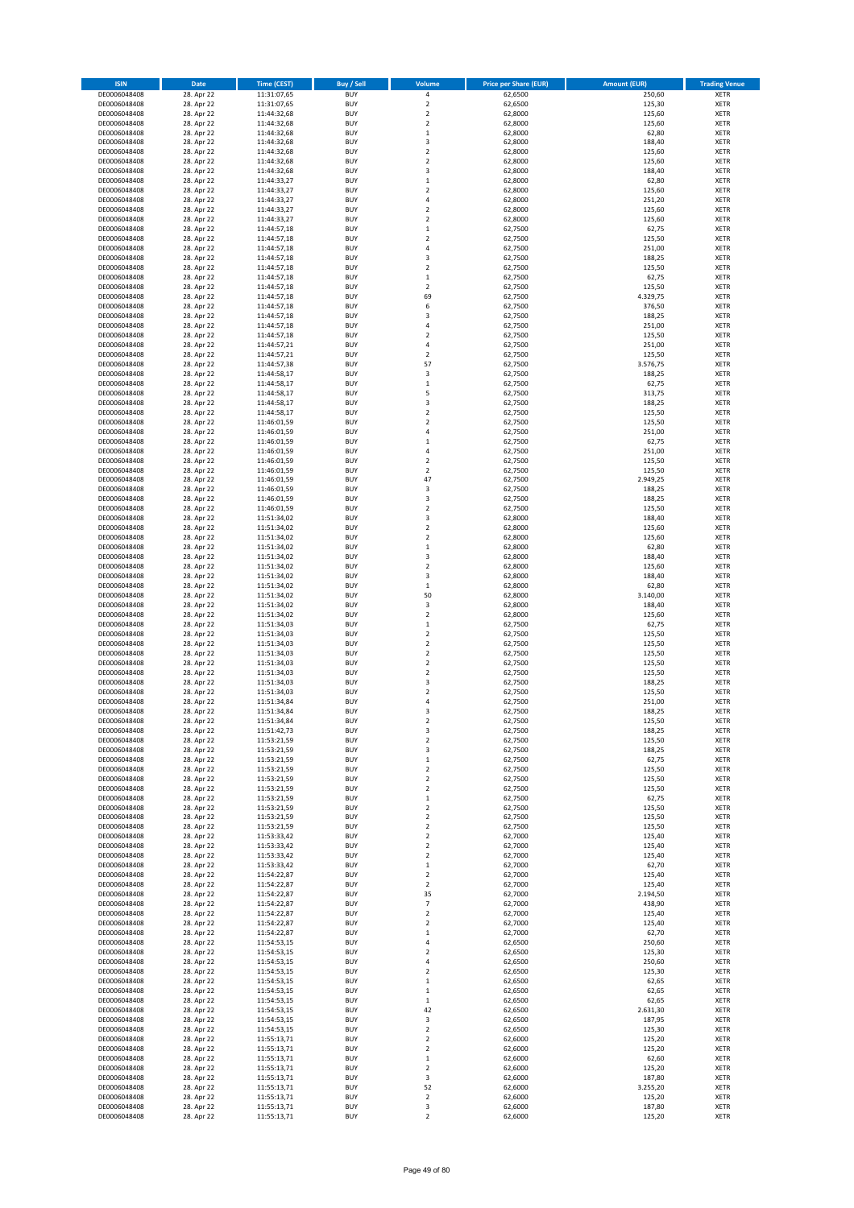| <b>ISIN</b>                  | Date                     | Time (CEST)                | Buy / Sell               | Volume                                 | <b>Price per Share (EUR)</b> | <b>Amount (EUR)</b> | <b>Trading Venue</b>       |
|------------------------------|--------------------------|----------------------------|--------------------------|----------------------------------------|------------------------------|---------------------|----------------------------|
| DE0006048408                 | 28. Apr 22               | 11:31:07,65                | <b>BUY</b>               | 4                                      | 62,6500                      | 250,60              | XETR                       |
| DE0006048408<br>DE0006048408 | 28. Apr 22<br>28. Apr 22 | 11:31:07,65<br>11:44:32,68 | <b>BUY</b><br><b>BUY</b> | $\mathbf 2$<br>$\mathbf 2$             | 62,6500<br>62,8000           | 125,30<br>125,60    | XETR<br>XETR               |
| DE0006048408                 | 28. Apr 22               | 11:44:32,68                | <b>BUY</b>               | $\mathbf 2$                            | 62,8000                      | 125,60              | XETR                       |
| DE0006048408                 | 28. Apr 22               | 11:44:32,68                | <b>BUY</b>               | $\mathbf 1$                            | 62,8000                      | 62,80               | XETR                       |
| DE0006048408                 | 28. Apr 22               | 11:44:32,68                | <b>BUY</b>               | 3                                      | 62,8000                      | 188,40              | <b>XETR</b>                |
| DE0006048408<br>DE0006048408 | 28. Apr 22<br>28. Apr 22 | 11:44:32,68<br>11:44:32,68 | <b>BUY</b><br><b>BUY</b> | $\mathbf 2$<br>$\mathbf 2$             | 62,8000<br>62,8000           | 125,60<br>125,60    | <b>XETR</b><br><b>XETR</b> |
| DE0006048408                 | 28. Apr 22               | 11:44:32,68                | <b>BUY</b>               | 3                                      | 62,8000                      | 188,40              | <b>XETR</b>                |
| DE0006048408                 | 28. Apr 22               | 11:44:33,27                | <b>BUY</b>               | $\mathbf{1}$                           | 62,8000                      | 62,80               | <b>XETR</b>                |
| DE0006048408                 | 28. Apr 22               | 11:44:33,27                | <b>BUY</b>               | $\mathbf 2$                            | 62,8000                      | 125,60              | <b>XETR</b>                |
| DE0006048408<br>DE0006048408 | 28. Apr 22<br>28. Apr 22 | 11:44:33,27<br>11:44:33,27 | <b>BUY</b><br><b>BUY</b> | 4<br>$\mathbf 2$                       | 62,8000<br>62,8000           | 251,20<br>125,60    | <b>XETR</b><br>XETR        |
| DE0006048408                 | 28. Apr 22               | 11:44:33,27                | <b>BUY</b>               | $\mathbf 2$                            | 62,8000                      | 125,60              | <b>XETR</b>                |
| DE0006048408                 | 28. Apr 22               | 11:44:57,18                | <b>BUY</b>               | $\mathbf 1$                            | 62,7500                      | 62,75               | XETR                       |
| DE0006048408                 | 28. Apr 22               | 11:44:57,18                | <b>BUY</b>               | $\mathbf 2$                            | 62,7500                      | 125,50              | <b>XETR</b>                |
| DE0006048408<br>DE0006048408 | 28. Apr 22<br>28. Apr 22 | 11:44:57,18<br>11:44:57,18 | <b>BUY</b><br><b>BUY</b> | 4<br>3                                 | 62,7500<br>62,7500           | 251,00<br>188,25    | XETR<br><b>XETR</b>        |
| DE0006048408                 | 28. Apr 22               | 11:44:57,18                | <b>BUY</b>               | $\mathbf 2$                            | 62,7500                      | 125,50              | XETR                       |
| DE0006048408                 | 28. Apr 22               | 11:44:57,18                | <b>BUY</b>               | $\mathbf 1$                            | 62,7500                      | 62,75               | <b>XETR</b>                |
| DE0006048408                 | 28. Apr 22               | 11:44:57,18                | <b>BUY</b>               | $\mathbf 2$                            | 62,7500                      | 125,50              | XETR                       |
| DE0006048408<br>DE0006048408 | 28. Apr 22<br>28. Apr 22 | 11:44:57,18<br>11:44:57,18 | <b>BUY</b><br><b>BUY</b> | 69<br>6                                | 62,7500<br>62,7500           | 4.329,75<br>376,50  | XETR<br><b>XETR</b>        |
| DE0006048408                 | 28. Apr 22               | 11:44:57,18                | <b>BUY</b>               | 3                                      | 62,7500                      | 188,25              | <b>XETR</b>                |
| DE0006048408                 | 28. Apr 22               | 11:44:57,18                | <b>BUY</b>               | $\overline{4}$                         | 62,7500                      | 251,00              | <b>XETR</b>                |
| DE0006048408                 | 28. Apr 22               | 11:44:57,18                | <b>BUY</b>               | $\mathbf 2$                            | 62,7500                      | 125,50              | <b>XETR</b>                |
| DE0006048408<br>DE0006048408 | 28. Apr 22<br>28. Apr 22 | 11:44:57,21<br>11:44:57,21 | <b>BUY</b><br><b>BUY</b> | $\overline{4}$<br>$\mathbf 2$          | 62,7500<br>62,7500           | 251,00<br>125,50    | <b>XETR</b><br><b>XETR</b> |
| DE0006048408                 | 28. Apr 22               | 11:44:57,38                | <b>BUY</b>               | 57                                     | 62,7500                      | 3.576,75            | <b>XETR</b>                |
| DE0006048408                 | 28. Apr 22               | 11:44:58,17                | <b>BUY</b>               | 3                                      | 62,7500                      | 188,25              | XETR                       |
| DE0006048408                 | 28. Apr 22               | 11:44:58,17                | <b>BUY</b>               | $\mathbf 1$                            | 62,7500                      | 62,75               | <b>XETR</b>                |
| DE0006048408<br>DE0006048408 | 28. Apr 22<br>28. Apr 22 | 11:44:58,17<br>11:44:58,17 | <b>BUY</b><br><b>BUY</b> | 5<br>3                                 | 62,7500<br>62,7500           | 313,75<br>188,25    | <b>XETR</b><br><b>XETR</b> |
| DE0006048408                 | 28. Apr 22               | 11:44:58,17                | <b>BUY</b>               | $\mathbf 2$                            | 62,7500                      | 125,50              | XETR                       |
| DE0006048408                 | 28. Apr 22               | 11:46:01,59                | <b>BUY</b>               | $\overline{\mathbf{c}}$                | 62,7500                      | 125,50              | <b>XETR</b>                |
| DE0006048408                 | 28. Apr 22               | 11:46:01,59                | <b>BUY</b><br><b>BUY</b> | 4                                      | 62,7500                      | 251,00              | XETR<br><b>XETR</b>        |
| DE0006048408<br>DE0006048408 | 28. Apr 22<br>28. Apr 22 | 11:46:01,59<br>11:46:01,59 | <b>BUY</b>               | $\mathbf 1$<br>4                       | 62,7500<br>62,7500           | 62,75<br>251,00     | XETR                       |
| DE0006048408                 | 28. Apr 22               | 11:46:01,59                | <b>BUY</b>               | $\overline{\mathbf{c}}$                | 62,7500                      | 125,50              | <b>XETR</b>                |
| DE0006048408                 | 28. Apr 22               | 11:46:01,59                | <b>BUY</b>               | $\mathbf 2$                            | 62,7500                      | 125,50              | <b>XETR</b>                |
| DE0006048408<br>DE0006048408 | 28. Apr 22<br>28. Apr 22 | 11:46:01,59                | <b>BUY</b><br><b>BUY</b> | 47<br>3                                | 62,7500<br>62,7500           | 2.949,25<br>188,25  | <b>XETR</b><br><b>XETR</b> |
| DE0006048408                 | 28. Apr 22               | 11:46:01,59<br>11:46:01,59 | <b>BUY</b>               | 3                                      | 62,7500                      | 188,25              | <b>XETR</b>                |
| DE0006048408                 | 28. Apr 22               | 11:46:01,59                | <b>BUY</b>               | $\mathbf 2$                            | 62,7500                      | 125,50              | <b>XETR</b>                |
| DE0006048408                 | 28. Apr 22               | 11:51:34,02                | <b>BUY</b>               | 3                                      | 62,8000                      | 188,40              | <b>XETR</b>                |
| DE0006048408<br>DE0006048408 | 28. Apr 22<br>28. Apr 22 | 11:51:34,02<br>11:51:34,02 | <b>BUY</b><br><b>BUY</b> | $\mathbf 2$<br>2                       | 62,8000<br>62,8000           | 125,60<br>125,60    | XETR<br>XETR               |
| DE0006048408                 | 28. Apr 22               | 11:51:34,02                | <b>BUY</b>               | $\mathbf 1$                            | 62,8000                      | 62,80               | <b>XETR</b>                |
| DE0006048408                 | 28. Apr 22               | 11:51:34,02                | <b>BUY</b>               | 3                                      | 62,8000                      | 188,40              | <b>XETR</b>                |
| DE0006048408                 | 28. Apr 22               | 11:51:34,02                | <b>BUY</b>               | $\mathbf 2$                            | 62,8000                      | 125,60              | <b>XETR</b>                |
| DE0006048408<br>DE0006048408 | 28. Apr 22<br>28. Apr 22 | 11:51:34,02<br>11:51:34,02 | <b>BUY</b><br><b>BUY</b> | 3<br>$\mathbf 1$                       | 62,8000<br>62,8000           | 188,40<br>62,80     | <b>XETR</b><br><b>XETR</b> |
| DE0006048408                 | 28. Apr 22               | 11:51:34,02                | <b>BUY</b>               | 50                                     | 62,8000                      | 3.140,00            | <b>XETR</b>                |
| DE0006048408                 | 28. Apr 22               | 11:51:34,02                | <b>BUY</b>               | 3                                      | 62,8000                      | 188,40              | <b>XETR</b>                |
| DE0006048408                 | 28. Apr 22               | 11:51:34,02                | <b>BUY</b>               | $\mathbf 2$                            | 62,8000                      | 125,60              | XETR                       |
| DE0006048408<br>DE0006048408 | 28. Apr 22<br>28. Apr 22 | 11:51:34,03<br>11:51:34,03 | <b>BUY</b><br><b>BUY</b> | $\mathbf{1}$<br>$\mathbf 2$            | 62,7500<br>62,7500           | 62,75<br>125,50     | <b>XETR</b><br><b>XETR</b> |
| DE0006048408                 | 28. Apr 22               | 11:51:34,03                | <b>BUY</b>               | $\mathbf 2$                            | 62,7500                      | 125,50              | <b>XETR</b>                |
| DE0006048408                 | 28. Apr 22               | 11:51:34,03                | <b>BUY</b>               | $\mathbf 2$                            | 62,7500                      | 125,50              | <b>XETR</b>                |
| DE0006048408                 | 28. Apr 22               | 11:51:34,03<br>11:51:34,03 | <b>BUY</b><br><b>BUY</b> | $\mathbf 2$<br>$\mathbf 2$             | 62,7500                      | 125,50<br>125,50    | <b>XETR</b><br>XETR        |
| DE0006048408<br>DE0006048408 | 28. Apr 22<br>28. Apr 22 | 11:51:34,03                | <b>BUY</b>               | 3                                      | 62,7500<br>62,7500           | 188,25              | <b>XETR</b>                |
| DE0006048408                 | 28. Apr 22               | 11:51:34,03                | <b>BUY</b>               | $\mathbf 2$                            | 62,7500                      | 125,50              | XETR                       |
| DE0006048408                 | 28. Apr 22               | 11:51:34,84                | <b>BUY</b>               | 4                                      | 62,7500                      | 251,00              | <b>XETR</b>                |
| DE0006048408<br>DE0006048408 | 28. Apr 22<br>28. Apr 22 | 11:51:34,84<br>11:51:34,84 | <b>BUY</b><br><b>BUY</b> | 3<br>2                                 | 62,7500<br>62,7500           | 188,25<br>125,50    | <b>XETR</b><br>XETR        |
| DE0006048408                 | 28. Apr 22               | 11:51:42,73                | <b>BUY</b>               | 3                                      | 62,7500                      | 188,25              | XETR                       |
| DE0006048408                 | 28. Apr 22               | 11:53:21,59                | <b>BUY</b>               | $\mathbf 2$                            | 62,7500                      | 125,50              | XETR                       |
| DE0006048408                 | 28. Apr 22               | 11:53:21,59                | <b>BUY</b>               | 3                                      | 62,7500                      | 188,25              | XETR                       |
| DE0006048408<br>DE0006048408 | 28. Apr 22<br>28. Apr 22 | 11:53:21,59<br>11:53:21,59 | <b>BUY</b><br><b>BUY</b> | $\mathbf 1$<br>2                       | 62,7500<br>62,7500           | 62,75<br>125,50     | <b>XETR</b><br>XETR        |
| DE0006048408                 | 28. Apr 22               | 11:53:21,59                | <b>BUY</b>               | $\mathbf 2$                            | 62,7500                      | 125,50              | <b>XETR</b>                |
| DE0006048408                 | 28. Apr 22               | 11:53:21,59                | <b>BUY</b>               | $\mathbf 2$                            | 62,7500                      | 125,50              | XETR                       |
| DE0006048408<br>DE0006048408 | 28. Apr 22<br>28. Apr 22 | 11:53:21,59<br>11:53:21,59 | <b>BUY</b><br><b>BUY</b> | $\mathbf 1$<br>$\mathbf 2$             | 62,7500<br>62,7500           | 62,75<br>125,50     | <b>XETR</b><br>XETR        |
| DE0006048408                 | 28. Apr 22               | 11:53:21,59                | <b>BUY</b>               | 2                                      | 62,7500                      | 125,50              | <b>XETR</b>                |
| DE0006048408                 | 28. Apr 22               | 11:53:21,59                | <b>BUY</b>               | $\mathbf 2$                            | 62,7500                      | 125,50              | XETR                       |
| DE0006048408                 | 28. Apr 22               | 11:53:33,42                | <b>BUY</b>               | $\mathbf 2$                            | 62,7000                      | 125,40              | <b>XETR</b>                |
| DE0006048408<br>DE0006048408 | 28. Apr 22<br>28. Apr 22 | 11:53:33,42<br>11:53:33,42 | <b>BUY</b><br><b>BUY</b> | $\boldsymbol{2}$<br>2                  | 62,7000<br>62,7000           | 125,40<br>125,40    | XETR<br><b>XETR</b>        |
| DE0006048408                 | 28. Apr 22               | 11:53:33,42                | <b>BUY</b>               | $\mathbf 1$                            | 62,7000                      | 62,70               | XETR                       |
| DE0006048408                 | 28. Apr 22               | 11:54:22,87                | <b>BUY</b>               | $\mathbf 2$                            | 62,7000                      | 125,40              | <b>XETR</b>                |
| DE0006048408                 | 28. Apr 22               | 11:54:22,87                | <b>BUY</b>               | 2                                      | 62,7000                      | 125,40              | <b>XETR</b>                |
| DE0006048408<br>DE0006048408 | 28. Apr 22<br>28. Apr 22 | 11:54:22,87<br>11:54:22,87 | <b>BUY</b><br><b>BUY</b> | 35<br>$\overline{7}$                   | 62,7000<br>62,7000           | 2.194,50<br>438,90  | <b>XETR</b><br>XETR        |
| DE0006048408                 | 28. Apr 22               | 11:54:22,87                | <b>BUY</b>               | $\mathbf 2$                            | 62,7000                      | 125,40              | <b>XETR</b>                |
| DE0006048408                 | 28. Apr 22               | 11:54:22,87                | <b>BUY</b>               | 2                                      | 62,7000                      | 125,40              | <b>XETR</b>                |
| DE0006048408                 | 28. Apr 22               | 11:54:22,87                | <b>BUY</b><br><b>BUY</b> | 1                                      | 62,7000                      | 62,70               | XETR<br><b>XETR</b>        |
| DE0006048408<br>DE0006048408 | 28. Apr 22<br>28. Apr 22 | 11:54:53,15<br>11:54:53,15 | <b>BUY</b>               | 4<br>2                                 | 62,6500<br>62,6500           | 250,60<br>125,30    | XETR                       |
| DE0006048408                 | 28. Apr 22               | 11:54:53,15                | <b>BUY</b>               | 4                                      | 62,6500                      | 250,60              | <b>XETR</b>                |
| DE0006048408                 | 28. Apr 22               | 11:54:53,15                | <b>BUY</b>               | 2                                      | 62,6500                      | 125,30              | XETR                       |
| DE0006048408                 | 28. Apr 22<br>28. Apr 22 | 11:54:53,15                | <b>BUY</b><br><b>BUY</b> | $\mathbf 1$                            | 62,6500<br>62,6500           | 62,65<br>62,65      | <b>XETR</b><br>XETR        |
| DE0006048408<br>DE0006048408 | 28. Apr 22               | 11:54:53,15<br>11:54:53,15 | <b>BUY</b>               | $\mathbf 1$<br>$\mathbf 1$             | 62,6500                      | 62,65               | <b>XETR</b>                |
| DE0006048408                 | 28. Apr 22               | 11:54:53,15                | <b>BUY</b>               | 42                                     | 62,6500                      | 2.631,30            | XETR                       |
| DE0006048408                 | 28. Apr 22               | 11:54:53,15                | <b>BUY</b>               | 3                                      | 62,6500                      | 187,95              | <b>XETR</b>                |
| DE0006048408<br>DE0006048408 | 28. Apr 22<br>28. Apr 22 | 11:54:53,15<br>11:55:13,71 | <b>BUY</b><br><b>BUY</b> | $\mathbf 2$<br>$\overline{\mathbf{2}}$ | 62,6500<br>62,6000           | 125,30<br>125,20    | XETR<br><b>XETR</b>        |
| DE0006048408                 | 28. Apr 22               | 11:55:13,71                | <b>BUY</b>               | 2                                      | 62,6000                      | 125,20              | <b>XETR</b>                |
| DE0006048408                 | 28. Apr 22               | 11:55:13,71                | <b>BUY</b>               | $\mathbf 1$                            | 62,6000                      | 62,60               | <b>XETR</b>                |
| DE0006048408                 | 28. Apr 22               | 11:55:13,71                | <b>BUY</b>               | $\mathbf 2$                            | 62,6000                      | 125,20              | XETR                       |
| DE0006048408<br>DE0006048408 | 28. Apr 22<br>28. Apr 22 | 11:55:13,71<br>11:55:13,71 | <b>BUY</b><br><b>BUY</b> | 3<br>52                                | 62,6000<br>62,6000           | 187,80<br>3.255,20  | <b>XETR</b><br>XETR        |
| DE0006048408                 | 28. Apr 22               | 11:55:13,71                | <b>BUY</b>               | $\mathbf 2$                            | 62,6000                      | 125,20              | XETR                       |
| DE0006048408                 | 28. Apr 22               | 11:55:13,71                | <b>BUY</b>               | 3                                      | 62,6000                      | 187,80              | XETR                       |
| DE0006048408                 | 28. Apr 22               | 11:55:13,71                | <b>BUY</b>               | $\mathbf 2$                            | 62,6000                      | 125,20              | <b>XETR</b>                |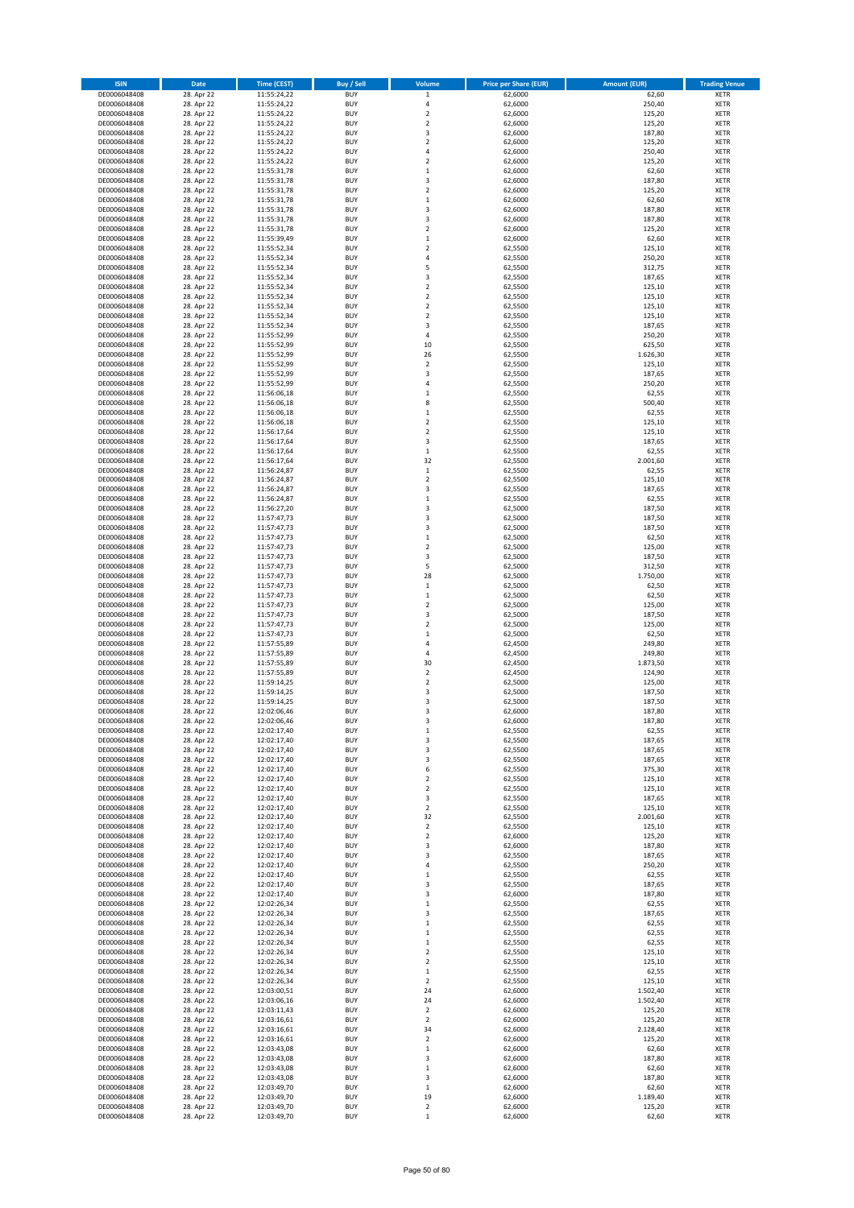| <b>ISIN</b>                  | Date                     | <b>Time (CEST)</b>         | <b>Buy / Sell</b>        | Volume                        | <b>Price per Share (EUR)</b> | <b>Amount (EUR)</b>  | <b>Trading Venue</b>       |
|------------------------------|--------------------------|----------------------------|--------------------------|-------------------------------|------------------------------|----------------------|----------------------------|
| DE0006048408                 | 28. Apr 22               | 11:55:24,22                | <b>BUY</b>               | $\,$ 1 $\,$                   | 62,6000                      | 62,60                | <b>XETR</b>                |
| DE0006048408                 | 28. Apr 22               | 11:55:24,22                | <b>BUY</b>               | $\sqrt{4}$                    | 62,6000                      | 250,40               | <b>XETR</b>                |
| DE0006048408<br>DE0006048408 | 28. Apr 22<br>28. Apr 22 | 11:55:24,22<br>11:55:24,22 | <b>BUY</b><br><b>BUY</b> | $\mathbf 2$<br>$\overline{2}$ | 62,6000<br>62,6000           | 125,20<br>125,20     | <b>XETR</b><br><b>XETR</b> |
| DE0006048408                 | 28. Apr 22               | 11:55:24,22                | <b>BUY</b>               | 3                             | 62,6000                      | 187,80               | <b>XETR</b>                |
| DE0006048408                 | 28. Apr 22               | 11:55:24,22                | <b>BUY</b>               | $\overline{2}$                | 62,6000                      | 125,20               | <b>XETR</b>                |
| DE0006048408                 | 28. Apr 22               | 11:55:24,22                | <b>BUY</b>               | $\overline{4}$                | 62,6000                      | 250,40               | <b>XETR</b>                |
| DE0006048408                 | 28. Apr 22               | 11:55:24,22                | <b>BUY</b>               | $\overline{2}$                | 62,6000                      | 125,20               | <b>XETR</b>                |
| DE0006048408<br>DE0006048408 | 28. Apr 22<br>28. Apr 22 | 11:55:31,78                | <b>BUY</b><br><b>BUY</b> | $\mathbf 1$<br>3              | 62,6000<br>62,6000           | 62,60<br>187,80      | XETR<br><b>XETR</b>        |
| DE0006048408                 | 28. Apr 22               | 11:55:31,78<br>11:55:31,78 | <b>BUY</b>               | $\overline{2}$                | 62,6000                      | 125,20               | XETR                       |
| DE0006048408                 | 28. Apr 22               | 11:55:31,78                | <b>BUY</b>               | $\,1\,$                       | 62,6000                      | 62,60                | <b>XETR</b>                |
| DE0006048408                 | 28. Apr 22               | 11:55:31,78                | <b>BUY</b>               | 3                             | 62,6000                      | 187,80               | XETR                       |
| DE0006048408                 | 28. Apr 22               | 11:55:31,78                | <b>BUY</b>               | 3                             | 62,6000                      | 187,80               | <b>XETR</b>                |
| DE0006048408                 | 28. Apr 22               | 11:55:31,78                | <b>BUY</b>               | $\mathbf 2$                   | 62,6000                      | 125,20               | XETR                       |
| DE0006048408<br>DE0006048408 | 28. Apr 22<br>28. Apr 22 | 11:55:39,49<br>11:55:52,34 | <b>BUY</b><br><b>BUY</b> | $\,1\,$<br>$\boldsymbol{2}$   | 62,6000<br>62,5500           | 62,60<br>125,10      | <b>XETR</b><br>XETR        |
| DE0006048408                 | 28. Apr 22               | 11:55:52,34                | <b>BUY</b>               | $\sqrt{4}$                    | 62,5500                      | 250,20               | <b>XETR</b>                |
| DE0006048408                 | 28. Apr 22               | 11:55:52,34                | <b>BUY</b>               | 5                             | 62,5500                      | 312,75               | XETR                       |
| DE0006048408                 | 28. Apr 22               | 11:55:52,34                | <b>BUY</b>               | 3                             | 62,5500                      | 187,65               | <b>XETR</b>                |
| DE0006048408                 | 28. Apr 22               | 11:55:52,34                | <b>BUY</b><br><b>BUY</b> | $\overline{2}$<br>$\mathbf 2$ | 62,5500                      | 125,10<br>125,10     | <b>XETR</b><br><b>XETR</b> |
| DE0006048408<br>DE0006048408 | 28. Apr 22<br>28. Apr 22 | 11:55:52,34<br>11:55:52,34 | <b>BUY</b>               | $\overline{2}$                | 62,5500<br>62,5500           | 125,10               | <b>XETR</b>                |
| DE0006048408                 | 28. Apr 22               | 11:55:52,34                | <b>BUY</b>               | $\mathbf 2$                   | 62,5500                      | 125,10               | <b>XETR</b>                |
| DE0006048408                 | 28. Apr 22               | 11:55:52,34                | <b>BUY</b>               | 3                             | 62,5500                      | 187,65               | <b>XETR</b>                |
| DE0006048408                 | 28. Apr 22               | 11:55:52,99                | <b>BUY</b>               | 4                             | 62,5500                      | 250,20               | <b>XETR</b>                |
| DE0006048408                 | 28. Apr 22               | 11:55:52,99                | <b>BUY</b>               | 10                            | 62,5500                      | 625,50               | <b>XETR</b>                |
| DE0006048408<br>DE0006048408 | 28. Apr 22<br>28. Apr 22 | 11:55:52,99<br>11:55:52,99 | <b>BUY</b><br><b>BUY</b> | 26<br>$\boldsymbol{2}$        | 62,5500<br>62,5500           | 1.626,30<br>125,10   | <b>XETR</b><br><b>XETR</b> |
| DE0006048408                 | 28. Apr 22               | 11:55:52,99                | <b>BUY</b>               | 3                             | 62,5500                      | 187,65               | <b>XETR</b>                |
| DE0006048408                 | 28. Apr 22               | 11:55:52,99                | <b>BUY</b>               | $\overline{4}$                | 62,5500                      | 250,20               | <b>XETR</b>                |
| DE0006048408                 | 28. Apr 22               | 11:56:06,18                | <b>BUY</b>               | $\,$ 1                        | 62,5500                      | 62,55                | <b>XETR</b>                |
| DE0006048408                 | 28. Apr 22<br>28. Apr 22 | 11:56:06,18                | <b>BUY</b>               | 8                             | 62,5500                      | 500,40               | <b>XETR</b>                |
| DE0006048408<br>DE0006048408 | 28. Apr 22               | 11:56:06,18<br>11:56:06,18 | <b>BUY</b><br><b>BUY</b> | $\,$ 1<br>$\overline{2}$      | 62,5500<br>62,5500           | 62,55<br>125,10      | XETR<br><b>XETR</b>        |
| DE0006048408                 | 28. Apr 22               | 11:56:17,64                | <b>BUY</b>               | $\mathbf 2$                   | 62,5500                      | 125,10               | XETR                       |
| DE0006048408                 | 28. Apr 22               | 11:56:17,64                | <b>BUY</b>               | 3                             | 62,5500                      | 187,65               | <b>XETR</b>                |
| DE0006048408                 | 28. Apr 22               | 11:56:17,64                | <b>BUY</b>               | $\,$ 1                        | 62,5500                      | 62,55                | XETR                       |
| DE0006048408                 | 28. Apr 22               | 11:56:17,64                | <b>BUY</b>               | 32                            | 62,5500                      | 2.001,60             | <b>XETR</b>                |
| DE0006048408<br>DE0006048408 | 28. Apr 22<br>28. Apr 22 | 11:56:24,87                | <b>BUY</b><br><b>BUY</b> | $\,1\,$<br>$\overline{2}$     | 62,5500<br>62,5500           | 62,55<br>125,10      | <b>XETR</b><br><b>XETR</b> |
| DE0006048408                 | 28. Apr 22               | 11:56:24,87<br>11:56:24,87 | <b>BUY</b>               | 3                             | 62,5500                      | 187,65               | XETR                       |
| DE0006048408                 | 28. Apr 22               | 11:56:24,87                | <b>BUY</b>               | $\,1\,$                       | 62,5500                      | 62,55                | <b>XETR</b>                |
| DE0006048408                 | 28. Apr 22               | 11:56:27,20                | <b>BUY</b>               | $\overline{\mathbf{3}}$       | 62,5000                      | 187,50               | <b>XETR</b>                |
| DE0006048408                 | 28. Apr 22               | 11:57:47,73                | <b>BUY</b>               | 3                             | 62,5000                      | 187,50               | <b>XETR</b>                |
| DE0006048408                 | 28. Apr 22               | 11:57:47,73                | <b>BUY</b>               | 3                             | 62,5000                      | 187,50               | XETR                       |
| DE0006048408<br>DE0006048408 | 28. Apr 22<br>28. Apr 22 | 11:57:47,73<br>11:57:47,73 | <b>BUY</b><br><b>BUY</b> | $\,$ 1<br>$\overline{2}$      | 62,5000<br>62,5000           | 62,50<br>125,00      | <b>XETR</b><br><b>XETR</b> |
| DE0006048408                 | 28. Apr 22               | 11:57:47,73                | <b>BUY</b>               | 3                             | 62,5000                      | 187,50               | <b>XETR</b>                |
| DE0006048408                 | 28. Apr 22               | 11:57:47,73                | <b>BUY</b>               | 5                             | 62,5000                      | 312,50               | <b>XETR</b>                |
| DE0006048408                 | 28. Apr 22               | 11:57:47,73                | <b>BUY</b>               | 28                            | 62,5000                      | 1.750,00             | <b>XETR</b>                |
| DE0006048408                 | 28. Apr 22               | 11:57:47,73                | <b>BUY</b><br><b>BUY</b> | $\,$ 1                        | 62,5000                      | 62,50                | <b>XETR</b>                |
| DE0006048408<br>DE0006048408 | 28. Apr 22<br>28. Apr 22 | 11:57:47,73<br>11:57:47,73 | <b>BUY</b>               | $\,$ 1<br>$\overline{2}$      | 62,5000<br>62,5000           | 62,50<br>125,00      | <b>XETR</b><br><b>XETR</b> |
| DE0006048408                 | 28. Apr 22               | 11:57:47,73                | <b>BUY</b>               | 3                             | 62,5000                      | 187,50               | <b>XETR</b>                |
| DE0006048408                 | 28. Apr 22               | 11:57:47,73                | <b>BUY</b>               | $\overline{2}$                | 62,5000                      | 125,00               | <b>XETR</b>                |
| DE0006048408                 | 28. Apr 22               | 11:57:47,73                | <b>BUY</b>               | $\,1\,$                       | 62,5000                      | 62,50                | <b>XETR</b>                |
| DE0006048408                 | 28. Apr 22               | 11:57:55,89                | <b>BUY</b><br><b>BUY</b> | $\sqrt{4}$                    | 62,4500                      | 249,80               | <b>XETR</b><br><b>XETR</b> |
| DE0006048408<br>DE0006048408 | 28. Apr 22<br>28. Apr 22 | 11:57:55,89<br>11:57:55,89 | <b>BUY</b>               | 4<br>30                       | 62,4500<br>62,4500           | 249,80<br>1.873,50   | <b>XETR</b>                |
| DE0006048408                 | 28. Apr 22               | 11:57:55,89                | <b>BUY</b>               | $\mathbf 2$                   | 62,4500                      | 124,90               | XETR                       |
| DE0006048408                 | 28. Apr 22               | 11:59:14,25                | <b>BUY</b>               | $\overline{2}$                | 62,5000                      | 125,00               | <b>XETR</b>                |
| DE0006048408                 | 28. Apr 22               | 11:59:14,25                | <b>BUY</b>               | 3                             | 62,5000                      | 187,50               | <b>XETR</b>                |
| DE0006048408<br>DE0006048408 | 28. Apr 22               | 11:59:14,25<br>12:02:06,46 | <b>BUY</b><br><b>BUY</b> | 3<br>3                        | 62,5000<br>62,6000           | 187,50<br>187,80     | <b>XETR</b><br><b>XETR</b> |
| DE0006048408                 | 28. Apr 22<br>28. Apr 22 | 12:02:06,46                | <b>BUY</b>               | 3                             | 62,6000                      | 187,80               | XETR                       |
| DE0006048408                 | 28. Apr 22               | 12:02:17,40                | <b>BUY</b>               | $\mathbf 1$                   | 62,5500                      | 62,55                | XETR                       |
| DE0006048408                 | 28. Apr 22               | 12:02:17,40                | <b>BUY</b>               | 3                             | 62,5500                      | 187,65               | XETR                       |
| DE0006048408                 | 28. Apr 22               | 12:02:17,40                | <b>BUY</b>               | 3                             | 62,5500                      | 187,65               | <b>XETR</b>                |
| DE0006048408                 | 28. Apr 22<br>28. Apr 22 | 12:02:17,40<br>12:02:17,40 | <b>BUY</b><br><b>BUY</b> | 3<br>6                        | 62,5500<br>62,5500           | 187,65               | <b>XETR</b><br>XETR        |
| DE0006048408<br>DE0006048408 | 28. Apr 22               | 12:02:17.40                | <b>BUY</b>               | $\mathbf 2$                   | 62,5500                      | 375,30<br>125,10     | <b>XETR</b>                |
| DE0006048408                 | 28. Apr 22               | 12:02:17,40                | <b>BUY</b>               | $\overline{2}$                | 62,5500                      | 125,10               | XETR                       |
| DE0006048408                 | 28. Apr 22               | 12:02:17,40                | <b>BUY</b>               | 3                             | 62,5500                      | 187,65               | <b>XETR</b>                |
| DE0006048408                 | 28. Apr 22               | 12:02:17,40                | <b>BUY</b>               | $\mathbf 2$                   | 62,5500                      | 125,10               | XETR                       |
| DE0006048408<br>DE0006048408 | 28. Apr 22<br>28. Apr 22 | 12:02:17,40<br>12:02:17,40 | <b>BUY</b><br><b>BUY</b> | 32<br>$\mathbf 2$             | 62,5500<br>62,5500           | 2.001,60<br>125,10   | <b>XETR</b><br><b>XETR</b> |
| DE0006048408                 | 28. Apr 22               | 12:02:17,40                | <b>BUY</b>               | $\overline{2}$                | 62,6000                      | 125,20               | <b>XETR</b>                |
| DE0006048408                 | 28. Apr 22               | 12:02:17,40                | <b>BUY</b>               | 3                             | 62,6000                      | 187,80               | XETR                       |
| DE0006048408                 | 28. Apr 22               | 12:02:17,40                | <b>BUY</b>               | 3                             | 62,5500                      | 187,65               | <b>XETR</b>                |
| DE0006048408                 | 28. Apr 22               | 12:02:17,40                | <b>BUY</b>               | 4                             | 62,5500                      | 250,20               | <b>XETR</b>                |
| DE0006048408<br>DE0006048408 | 28. Apr 22<br>28. Apr 22 | 12:02:17,40<br>12:02:17,40 | <b>BUY</b><br><b>BUY</b> | $\,$ 1<br>3                   | 62,5500<br>62,5500           | 62,55<br>187,65      | <b>XETR</b><br><b>XETR</b> |
| DE0006048408                 | 28. Apr 22               | 12:02:17,40                | <b>BUY</b>               | 3                             | 62,6000                      | 187,80               | <b>XETR</b>                |
| DE0006048408                 | 28. Apr 22               | 12:02:26,34                | <b>BUY</b>               | $\,$ 1                        | 62,5500                      | 62,55                | <b>XETR</b>                |
| DE0006048408                 | 28. Apr 22               | 12:02:26,34                | <b>BUY</b>               | 3                             | 62,5500                      | 187,65               | <b>XETR</b>                |
| DE0006048408<br>DE0006048408 | 28. Apr 22               | 12:02:26,34<br>12:02:26,34 | <b>BUY</b><br><b>BUY</b> | $\,$ 1<br>$\,$ 1              | 62,5500<br>62,5500           | 62,55<br>62,55       | <b>XETR</b><br>XETR        |
| DE0006048408                 | 28. Apr 22<br>28. Apr 22 | 12:02:26,34                | <b>BUY</b>               | $\mathbf 1$                   | 62,5500                      | 62,55                | XETR                       |
| DE0006048408                 | 28. Apr 22               | 12:02:26,34                | <b>BUY</b>               | $\boldsymbol{2}$              | 62,5500                      | 125,10               | XETR                       |
| DE0006048408                 | 28. Apr 22               | 12:02:26,34                | <b>BUY</b>               | $\overline{2}$                | 62,5500                      | 125,10               | <b>XETR</b>                |
| DE0006048408                 | 28. Apr 22               | 12:02:26,34                | <b>BUY</b>               | $\,$ 1                        | 62,5500                      | 62,55                | XETR                       |
| DE0006048408                 | 28. Apr 22               | 12:02:26,34                | <b>BUY</b>               | $\overline{2}$                | 62,5500                      | 125,10               | XETR                       |
| DE0006048408<br>DE0006048408 | 28. Apr 22<br>28. Apr 22 | 12:03:00,51<br>12:03:06,16 | <b>BUY</b><br><b>BUY</b> | 24<br>24                      | 62,6000<br>62,6000           | 1.502,40<br>1.502,40 | XETR<br><b>XETR</b>        |
| DE0006048408                 | 28. Apr 22               | 12:03:11,43                | <b>BUY</b>               | $\boldsymbol{2}$              | 62,6000                      | 125,20               | XETR                       |
| DE0006048408                 | 28. Apr 22               | 12:03:16,61                | <b>BUY</b>               | $\mathbf 2$                   | 62,6000                      | 125,20               | XETR                       |
| DE0006048408                 | 28. Apr 22               | 12:03:16,61                | <b>BUY</b>               | 34                            | 62,6000                      | 2.128,40             | <b>XETR</b>                |
| DE0006048408                 | 28. Apr 22               | 12:03:16,61                | <b>BUY</b>               | $\mathbf 2$                   | 62,6000                      | 125,20               | <b>XETR</b>                |
| DE0006048408<br>DE0006048408 | 28. Apr 22<br>28. Apr 22 | 12:03:43,08<br>12:03:43,08 | <b>BUY</b><br><b>BUY</b> | $\mathbf{1}$<br>3             | 62,6000<br>62,6000           | 62,60<br>187,80      | <b>XETR</b><br><b>XETR</b> |
| DE0006048408                 | 28. Apr 22               | 12:03:43,08                | <b>BUY</b>               | $\,$ 1                        | 62,6000                      | 62,60                | <b>XETR</b>                |
| DE0006048408                 | 28. Apr 22               | 12:03:43,08                | <b>BUY</b>               | 3                             | 62,6000                      | 187,80               | <b>XETR</b>                |
| DE0006048408                 | 28. Apr 22               | 12:03:49,70                | <b>BUY</b>               | $\,$ 1 $\,$                   | 62,6000                      | 62,60                | <b>XETR</b>                |
| DE0006048408<br>DE0006048408 | 28. Apr 22<br>28. Apr 22 | 12:03:49,70<br>12:03:49,70 | <b>BUY</b><br><b>BUY</b> | 19<br>$\mathbf 2$             | 62,6000<br>62,6000           | 1.189,40<br>125,20   | <b>XETR</b><br><b>XETR</b> |
| DE0006048408                 | 28. Apr 22               | 12:03:49,70                | <b>BUY</b>               | $\,1\,$                       | 62,6000                      | 62,60                | <b>XETR</b>                |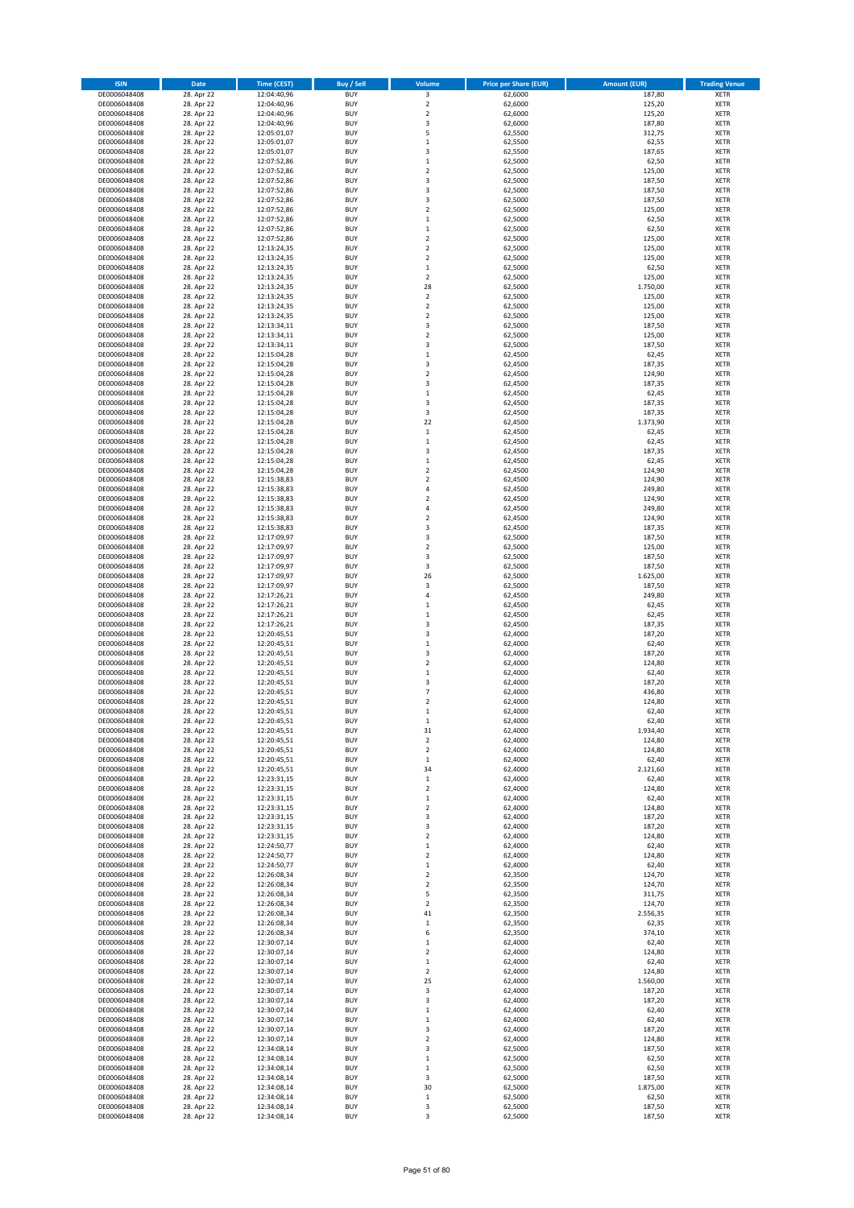| <b>ISIN</b>                  | Date                     | <b>Time (CEST)</b>         | <b>Buy / Sell</b>        | Volume                             | <b>Price per Share (EUR)</b> | <b>Amount (EUR)</b> | <b>Trading Venue</b>       |
|------------------------------|--------------------------|----------------------------|--------------------------|------------------------------------|------------------------------|---------------------|----------------------------|
| DE0006048408                 | 28. Apr 22               | 12:04:40,96                | <b>BUY</b>               | 3                                  | 62,6000                      | 187,80              | <b>XETR</b>                |
| DE0006048408                 | 28. Apr 22               | 12:04:40,96                | <b>BUY</b>               | $\mathbf 2$                        | 62,6000                      | 125,20              | <b>XETR</b>                |
| DE0006048408<br>DE0006048408 | 28. Apr 22<br>28. Apr 22 | 12:04:40,96<br>12:04:40,96 | <b>BUY</b><br><b>BUY</b> | $\mathbf 2$<br>3                   | 62,6000<br>62,6000           | 125,20<br>187,80    | <b>XETR</b><br><b>XETR</b> |
| DE0006048408                 | 28. Apr 22               | 12:05:01,07                | <b>BUY</b>               | 5                                  | 62,5500                      | 312,75              | <b>XETR</b>                |
| DE0006048408                 | 28. Apr 22               | 12:05:01,07                | <b>BUY</b>               | $\,1\,$                            | 62,5500                      | 62,55               | <b>XETR</b>                |
| DE0006048408                 | 28. Apr 22               | 12:05:01,07                | <b>BUY</b>               | 3                                  | 62,5500                      | 187,65              | <b>XETR</b>                |
| DE0006048408                 | 28. Apr 22               | 12:07:52,86                | <b>BUY</b>               | $\,1\,$                            | 62,5000                      | 62,50               | <b>XETR</b>                |
| DE0006048408<br>DE0006048408 | 28. Apr 22<br>28. Apr 22 | 12:07:52,86                | <b>BUY</b><br><b>BUY</b> | $\overline{2}$<br>3                | 62,5000<br>62,5000           | 125,00<br>187,50    | XETR<br><b>XETR</b>        |
| DE0006048408                 | 28. Apr 22               | 12:07:52,86<br>12:07:52,86 | <b>BUY</b>               | $\overline{\mathbf{3}}$            | 62,5000                      | 187,50              | XETR                       |
| DE0006048408                 | 28. Apr 22               | 12:07:52,86                | <b>BUY</b>               | 3                                  | 62,5000                      | 187,50              | <b>XETR</b>                |
| DE0006048408                 | 28. Apr 22               | 12:07:52,86                | <b>BUY</b>               | $\boldsymbol{2}$                   | 62,5000                      | 125,00              | XETR                       |
| DE0006048408                 | 28. Apr 22               | 12:07:52,86                | <b>BUY</b>               | $\mathbf 1$                        | 62,5000                      | 62,50               | <b>XETR</b>                |
| DE0006048408                 | 28. Apr 22               | 12:07:52,86                | <b>BUY</b>               | $\,$ 1                             | 62,5000                      | 62,50               | XETR                       |
| DE0006048408<br>DE0006048408 | 28. Apr 22<br>28. Apr 22 | 12:07:52,86<br>12:13:24,35 | <b>BUY</b><br><b>BUY</b> | $\overline{2}$<br>$\boldsymbol{2}$ | 62,5000<br>62,5000           | 125,00<br>125,00    | <b>XETR</b><br>XETR        |
| DE0006048408                 | 28. Apr 22               | 12:13:24,35                | <b>BUY</b>               | $\overline{2}$                     | 62,5000                      | 125,00              | <b>XETR</b>                |
| DE0006048408                 | 28. Apr 22               | 12:13:24,35                | <b>BUY</b>               | $\,$ 1                             | 62,5000                      | 62,50               | XETR                       |
| DE0006048408                 | 28. Apr 22               | 12:13:24,35                | <b>BUY</b>               | $\overline{2}$                     | 62,5000                      | 125,00              | <b>XETR</b>                |
| DE0006048408                 | 28. Apr 22               | 12:13:24,35                | <b>BUY</b><br><b>BUY</b> | 28<br>$\mathbf 2$                  | 62,5000                      | 1.750,00<br>125,00  | <b>XETR</b><br><b>XETR</b> |
| DE0006048408<br>DE0006048408 | 28. Apr 22<br>28. Apr 22 | 12:13:24,35<br>12:13:24,35 | <b>BUY</b>               | $\overline{2}$                     | 62,5000<br>62,5000           | 125,00              | <b>XETR</b>                |
| DE0006048408                 | 28. Apr 22               | 12:13:24,35                | <b>BUY</b>               | $\mathbf 2$                        | 62,5000                      | 125,00              | <b>XETR</b>                |
| DE0006048408                 | 28. Apr 22               | 12:13:34,11                | <b>BUY</b>               | 3                                  | 62,5000                      | 187,50              | <b>XETR</b>                |
| DE0006048408                 | 28. Apr 22               | 12:13:34,11                | <b>BUY</b>               | $\overline{2}$                     | 62,5000                      | 125,00              | <b>XETR</b>                |
| DE0006048408                 | 28. Apr 22               | 12:13:34,11                | <b>BUY</b>               | 3                                  | 62,5000                      | 187,50              | <b>XETR</b>                |
| DE0006048408<br>DE0006048408 | 28. Apr 22<br>28. Apr 22 | 12:15:04,28<br>12:15:04,28 | <b>BUY</b><br><b>BUY</b> | $\,1\,$<br>3                       | 62,4500<br>62,4500           | 62,45<br>187,35     | <b>XETR</b><br><b>XETR</b> |
| DE0006048408                 | 28. Apr 22               | 12:15:04,28                | <b>BUY</b>               | $\boldsymbol{2}$                   | 62,4500                      | 124,90              | <b>XETR</b>                |
| DE0006048408                 | 28. Apr 22               | 12:15:04,28                | <b>BUY</b>               | 3                                  | 62,4500                      | 187,35              | <b>XETR</b>                |
| DE0006048408                 | 28. Apr 22               | 12:15:04,28                | <b>BUY</b>               | $\mathbf 1$                        | 62,4500                      | 62,45               | <b>XETR</b>                |
| DE0006048408                 | 28. Apr 22<br>28. Apr 22 | 12:15:04,28                | <b>BUY</b><br><b>BUY</b> | 3<br>3                             | 62,4500                      | 187,35<br>187,35    | <b>XETR</b><br>XETR        |
| DE0006048408<br>DE0006048408 | 28. Apr 22               | 12:15:04,28<br>12:15:04,28 | <b>BUY</b>               | 22                                 | 62,4500<br>62,4500           | 1.373,90            | <b>XETR</b>                |
| DE0006048408                 | 28. Apr 22               | 12:15:04,28                | <b>BUY</b>               | $\,$ 1                             | 62,4500                      | 62,45               | XETR                       |
| DE0006048408                 | 28. Apr 22               | 12:15:04,28                | <b>BUY</b>               | $\,1\,$                            | 62,4500                      | 62,45               | <b>XETR</b>                |
| DE0006048408                 | 28. Apr 22               | 12:15:04,28                | <b>BUY</b>               | 3                                  | 62,4500                      | 187,35              | XETR                       |
| DE0006048408                 | 28. Apr 22               | 12:15:04,28                | <b>BUY</b>               | $\,1\,$                            | 62,4500                      | 62,45               | <b>XETR</b>                |
| DE0006048408<br>DE0006048408 | 28. Apr 22<br>28. Apr 22 | 12:15:04,28<br>12:15:38,83 | <b>BUY</b><br><b>BUY</b> | $\overline{2}$<br>$\overline{2}$   | 62,4500<br>62,4500           | 124,90<br>124,90    | <b>XETR</b><br><b>XETR</b> |
| DE0006048408                 | 28. Apr 22               | 12:15:38,83                | <b>BUY</b>               | $\sqrt{4}$                         | 62,4500                      | 249,80              | XETR                       |
| DE0006048408                 | 28. Apr 22               | 12:15:38,83                | <b>BUY</b>               | $\overline{2}$                     | 62,4500                      | 124,90              | <b>XETR</b>                |
| DE0006048408                 | 28. Apr 22               | 12:15:38,83                | <b>BUY</b>               | $\overline{4}$                     | 62,4500                      | 249,80              | <b>XETR</b>                |
| DE0006048408                 | 28. Apr 22               | 12:15:38,83                | <b>BUY</b>               | $\overline{2}$                     | 62,4500                      | 124,90              | <b>XETR</b>                |
| DE0006048408                 | 28. Apr 22               | 12:15:38,83                | <b>BUY</b>               | 3                                  | 62,4500                      | 187,35              | XETR                       |
| DE0006048408<br>DE0006048408 | 28. Apr 22<br>28. Apr 22 | 12:17:09,97<br>12:17:09,97 | <b>BUY</b><br><b>BUY</b> | 3<br>$\overline{2}$                | 62,5000<br>62,5000           | 187,50<br>125,00    | <b>XETR</b><br><b>XETR</b> |
| DE0006048408                 | 28. Apr 22               | 12:17:09,97                | <b>BUY</b>               | 3                                  | 62,5000                      | 187,50              | <b>XETR</b>                |
| DE0006048408                 | 28. Apr 22               | 12:17:09,97                | <b>BUY</b>               | 3                                  | 62,5000                      | 187,50              | <b>XETR</b>                |
| DE0006048408                 | 28. Apr 22               | 12:17:09,97                | <b>BUY</b>               | 26                                 | 62,5000                      | 1.625,00            | <b>XETR</b>                |
| DE0006048408                 | 28. Apr 22               | 12:17:09,97                | <b>BUY</b><br><b>BUY</b> | 3                                  | 62,5000                      | 187,50              | <b>XETR</b>                |
| DE0006048408<br>DE0006048408 | 28. Apr 22<br>28. Apr 22 | 12:17:26,21<br>12:17:26,21 | <b>BUY</b>               | 4<br>$\,$ 1                        | 62,4500<br>62,4500           | 249,80<br>62,45     | <b>XETR</b><br><b>XETR</b> |
| DE0006048408                 | 28. Apr 22               | 12:17:26,21                | <b>BUY</b>               | $\,$ 1                             | 62,4500                      | 62,45               | <b>XETR</b>                |
| DE0006048408                 | 28. Apr 22               | 12:17:26,21                | <b>BUY</b>               | 3                                  | 62,4500                      | 187,35              | <b>XETR</b>                |
| DE0006048408                 | 28. Apr 22               | 12:20:45,51                | <b>BUY</b>               | 3                                  | 62,4000                      | 187,20              | <b>XETR</b>                |
| DE0006048408                 | 28. Apr 22               | 12:20:45,51                | <b>BUY</b>               | $\,1\,$                            | 62,4000                      | 62,40               | <b>XETR</b>                |
| DE0006048408<br>DE0006048408 | 28. Apr 22<br>28. Apr 22 | 12:20:45,51<br>12:20:45,51 | <b>BUY</b><br><b>BUY</b> | 3<br>$\overline{2}$                | 62,4000<br>62,4000           | 187,20<br>124,80    | <b>XETR</b><br><b>XETR</b> |
| DE0006048408                 | 28. Apr 22               | 12:20:45,51                | <b>BUY</b>               | $\,$ 1                             | 62,4000                      | 62,40               | XETR                       |
| DE0006048408                 | 28. Apr 22               | 12:20:45,51                | <b>BUY</b>               | 3                                  | 62,4000                      | 187,20              | <b>XETR</b>                |
| DE0006048408                 | 28. Apr 22               | 12:20:45,51                | <b>BUY</b>               | $\overline{7}$                     | 62,4000                      | 436,80              | XETR                       |
| DE0006048408                 | 28. Apr 22               | 12:20:45,51                | <b>BUY</b>               | $\overline{2}$                     | 62,4000                      | 124,80              | <b>XETR</b>                |
| DE0006048408<br>DE0006048408 | 28. Apr 22<br>28. Apr 22 | 12:20:45,51<br>12:20:45,51 | <b>BUY</b><br><b>BUY</b> | $\mathbf 1$<br>$\,$ 1              | 62,4000<br>62,4000           | 62,40<br>62,40      | <b>XETR</b><br>XETR        |
| DE0006048408                 | 28. Apr 22               | 12:20:45,51                | <b>BUY</b>               | 31                                 | 62,4000                      | 1.934,40            | XETR                       |
| DE0006048408                 | 28. Apr 22               | 12:20:45,51                | <b>BUY</b>               | $\boldsymbol{2}$                   | 62,4000                      | 124,80              | XETR                       |
| DE0006048408                 | 28. Apr 22               | 12:20:45,51                | <b>BUY</b>               | $\boldsymbol{2}$                   | 62,4000                      | 124,80              | <b>XETR</b>                |
| DE0006048408                 | 28. Apr 22               | 12:20:45,51                | <b>BUY</b>               | $\,$ 1                             | 62,4000                      | 62,40               | <b>XETR</b>                |
| DE0006048408<br>DE0006048408 | 28. Apr 22<br>28. Apr 22 | 12:20:45,51<br>12:23:31,15 | <b>BUY</b><br><b>BUY</b> | 34<br>$\mathbf 1$                  | 62,4000<br>62,4000           | 2.121,60<br>62,40   | XETR<br><b>XETR</b>        |
| DE0006048408                 | 28. Apr 22               | 12:23:31,15                | <b>BUY</b>               | $\boldsymbol{2}$                   | 62,4000                      | 124,80              | XETR                       |
| DE0006048408                 | 28. Apr 22               | 12:23:31,15                | <b>BUY</b>               | $\,$ 1                             | 62,4000                      | 62,40               | <b>XETR</b>                |
| DE0006048408                 | 28. Apr 22               | 12:23:31,15                | <b>BUY</b>               | $\mathbf 2$                        | 62,4000                      | 124,80              | XETR                       |
| DE0006048408<br>DE0006048408 | 28. Apr 22<br>28. Apr 22 | 12:23:31,15<br>12:23:31,15 | <b>BUY</b><br><b>BUY</b> | 3<br>3                             | 62,4000<br>62,4000           | 187,20<br>187,20    | <b>XETR</b><br><b>XETR</b> |
| DE0006048408                 | 28. Apr 22               | 12:23:31,15                | <b>BUY</b>               | $\mathbf 2$                        | 62,4000                      | 124,80              | <b>XETR</b>                |
| DE0006048408                 | 28. Apr 22               | 12:24:50,77                | <b>BUY</b>               | $\mathbf 1$                        | 62,4000                      | 62,40               | XETR                       |
| DE0006048408                 | 28. Apr 22               | 12:24:50,77                | <b>BUY</b>               | $\mathbf 2$                        | 62,4000                      | 124,80              | <b>XETR</b>                |
| DE0006048408                 | 28. Apr 22               | 12:24:50,77                | <b>BUY</b>               | $\,$ 1                             | 62,4000                      | 62,40               | <b>XETR</b>                |
| DE0006048408<br>DE0006048408 | 28. Apr 22<br>28. Apr 22 | 12:26:08,34<br>12:26:08,34 | <b>BUY</b><br><b>BUY</b> | $\overline{2}$<br>$\mathbf 2$      | 62,3500<br>62,3500           | 124,70<br>124,70    | <b>XETR</b><br><b>XETR</b> |
| DE0006048408                 | 28. Apr 22               | 12:26:08,34                | <b>BUY</b>               | 5                                  | 62,3500                      | 311,75              | <b>XETR</b>                |
| DE0006048408                 | 28. Apr 22               | 12:26:08,34                | <b>BUY</b>               | $\mathbf 2$                        | 62,3500                      | 124,70              | <b>XETR</b>                |
| DE0006048408                 | 28. Apr 22               | 12:26:08,34                | <b>BUY</b>               | 41                                 | 62,3500                      | 2.556,35            | <b>XETR</b>                |
| DE0006048408                 | 28. Apr 22               | 12:26:08,34                | <b>BUY</b>               | $\,$ 1                             | 62,3500                      | 62,35               | <b>XETR</b>                |
| DE0006048408<br>DE0006048408 | 28. Apr 22<br>28. Apr 22 | 12:26:08,34<br>12:30:07,14 | <b>BUY</b><br><b>BUY</b> | 6<br>$\mathbf 1$                   | 62,3500<br>62,4000           | 374,10<br>62,40     | XETR<br>XETR               |
| DE0006048408                 | 28. Apr 22               | 12:30:07,14                | <b>BUY</b>               | $\boldsymbol{2}$                   | 62,4000                      | 124,80              | XETR                       |
| DE0006048408                 | 28. Apr 22               | 12:30:07,14                | <b>BUY</b>               | $\mathbf 1$                        | 62,4000                      | 62,40               | <b>XETR</b>                |
| DE0006048408                 | 28. Apr 22               | 12:30:07,14                | <b>BUY</b>               | $\overline{\mathbf{c}}$            | 62,4000                      | 124,80              | XETR                       |
| DE0006048408                 | 28. Apr 22               | 12:30:07,14                | <b>BUY</b>               | 25                                 | 62,4000                      | 1.560,00            | XETR                       |
| DE0006048408                 | 28. Apr 22               | 12:30:07,14                | <b>BUY</b><br><b>BUY</b> | 3<br>3                             | 62,4000                      | 187,20              | XETR                       |
| DE0006048408<br>DE0006048408 | 28. Apr 22<br>28. Apr 22 | 12:30:07,14<br>12:30:07,14 | <b>BUY</b>               | $\,$ 1                             | 62,4000<br>62,4000           | 187,20<br>62,40     | <b>XETR</b><br>XETR        |
| DE0006048408                 | 28. Apr 22               | 12:30:07,14                | <b>BUY</b>               | $\mathbf 1$                        | 62,4000                      | 62,40               | XETR                       |
| DE0006048408                 | 28. Apr 22               | 12:30:07,14                | <b>BUY</b>               | 3                                  | 62,4000                      | 187,20              | <b>XETR</b>                |
| DE0006048408                 | 28. Apr 22               | 12:30:07,14                | <b>BUY</b>               | $\mathbf 2$                        | 62,4000                      | 124,80              | <b>XETR</b>                |
| DE0006048408<br>DE0006048408 | 28. Apr 22<br>28. Apr 22 | 12:34:08,14<br>12:34:08,14 | <b>BUY</b><br><b>BUY</b> | 3<br>$\,$ 1                        | 62,5000<br>62,5000           | 187,50<br>62,50     | <b>XETR</b><br><b>XETR</b> |
| DE0006048408                 | 28. Apr 22               | 12:34:08,14                | <b>BUY</b>               | $\,$ 1                             | 62,5000                      | 62,50               | <b>XETR</b>                |
| DE0006048408                 | 28. Apr 22               | 12:34:08,14                | <b>BUY</b>               | 3                                  | 62,5000                      | 187,50              | <b>XETR</b>                |
| DE0006048408                 | 28. Apr 22               | 12:34:08,14                | <b>BUY</b>               | 30                                 | 62,5000                      | 1.875,00            | <b>XETR</b>                |
| DE0006048408                 | 28. Apr 22               | 12:34:08,14                | <b>BUY</b>               | $\,$ 1                             | 62,5000                      | 62,50               | <b>XETR</b>                |
| DE0006048408<br>DE0006048408 | 28. Apr 22<br>28. Apr 22 | 12:34:08,14<br>12:34:08,14 | <b>BUY</b><br><b>BUY</b> | 3<br>3                             | 62,5000<br>62,5000           | 187,50<br>187,50    | <b>XETR</b><br><b>XETR</b> |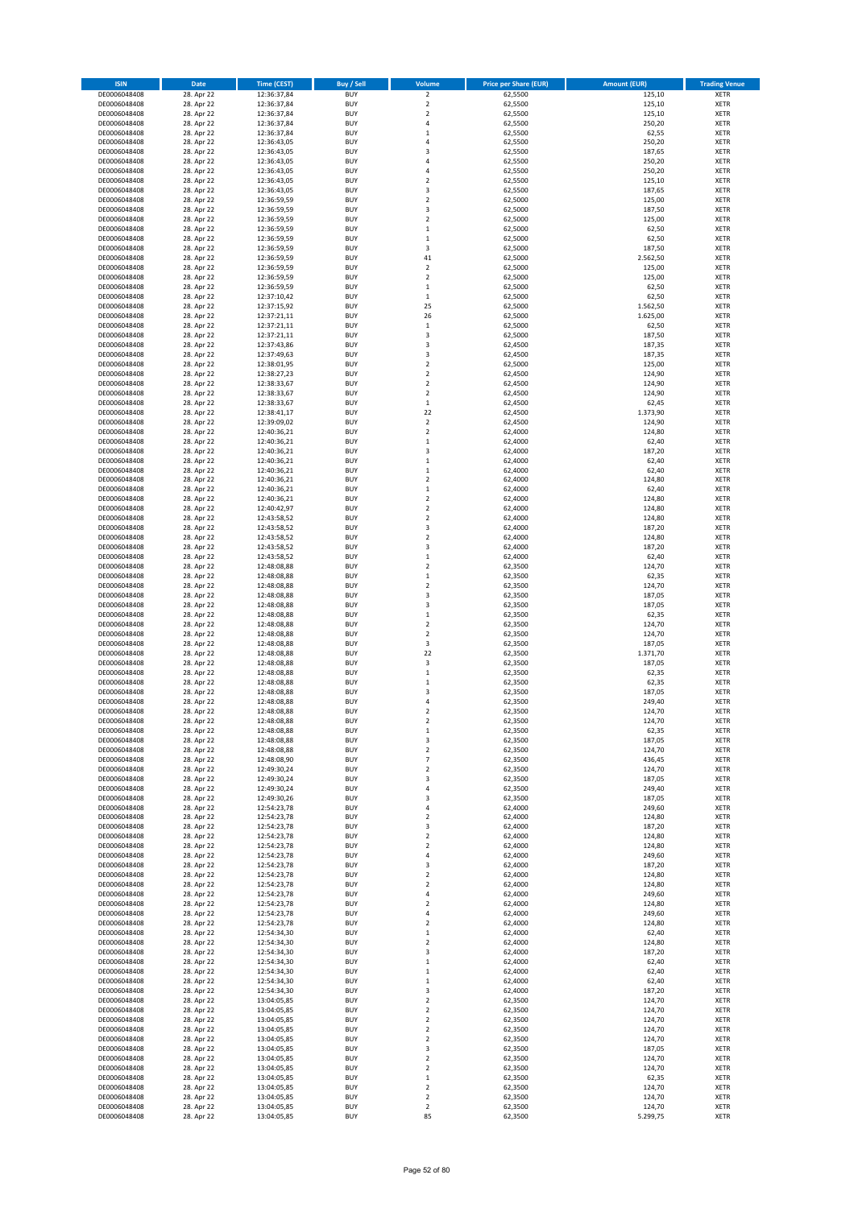| <b>ISIN</b>                  | Date                     | <b>Time (CEST)</b>         | <b>Buy / Sell</b>        | Volume                                 | <b>Price per Share (EUR)</b> | <b>Amount (EUR)</b> | <b>Trading Venue</b>       |
|------------------------------|--------------------------|----------------------------|--------------------------|----------------------------------------|------------------------------|---------------------|----------------------------|
| DE0006048408                 | 28. Apr 22               | 12:36:37,84                | <b>BUY</b>               | $\overline{2}$                         | 62,5500                      | 125,10              | <b>XETR</b>                |
| DE0006048408                 | 28. Apr 22               | 12:36:37,84                | <b>BUY</b>               | $\mathbf 2$                            | 62,5500                      | 125,10              | <b>XETR</b>                |
| DE0006048408<br>DE0006048408 | 28. Apr 22<br>28. Apr 22 | 12:36:37,84<br>12:36:37,84 | <b>BUY</b><br><b>BUY</b> | $\mathbf 2$<br>$\sqrt{4}$              | 62,5500<br>62,5500           | 125,10<br>250,20    | <b>XETR</b><br><b>XETR</b> |
| DE0006048408                 | 28. Apr 22               | 12:36:37,84                | <b>BUY</b>               | $\mathbf 1$                            | 62,5500                      | 62,55               | <b>XETR</b>                |
| DE0006048408                 | 28. Apr 22               | 12:36:43,05                | <b>BUY</b>               | $\overline{4}$                         | 62,5500                      | 250,20              | <b>XETR</b>                |
| DE0006048408                 | 28. Apr 22               | 12:36:43,05                | <b>BUY</b>               | 3                                      | 62,5500                      | 187,65              | <b>XETR</b>                |
| DE0006048408                 | 28. Apr 22               | 12:36:43,05                | <b>BUY</b>               | $\overline{4}$                         | 62,5500                      | 250,20              | <b>XETR</b>                |
| DE0006048408<br>DE0006048408 | 28. Apr 22<br>28. Apr 22 | 12:36:43,05                | <b>BUY</b><br><b>BUY</b> | $\sqrt{4}$<br>$\overline{2}$           | 62,5500<br>62,5500           | 250,20<br>125,10    | XETR<br><b>XETR</b>        |
| DE0006048408                 | 28. Apr 22               | 12:36:43,05<br>12:36:43,05 | <b>BUY</b>               | 3                                      | 62,5500                      | 187,65              | XETR                       |
| DE0006048408                 | 28. Apr 22               | 12:36:59,59                | <b>BUY</b>               | $\overline{2}$                         | 62,5000                      | 125,00              | <b>XETR</b>                |
| DE0006048408                 | 28. Apr 22               | 12:36:59,59                | <b>BUY</b>               | 3                                      | 62,5000                      | 187,50              | XETR                       |
| DE0006048408                 | 28. Apr 22               | 12:36:59,59                | <b>BUY</b>               | $\overline{2}$                         | 62,5000                      | 125,00              | <b>XETR</b>                |
| DE0006048408                 | 28. Apr 22               | 12:36:59,59                | <b>BUY</b>               | $\,$ 1                                 | 62,5000                      | 62,50               | XETR                       |
| DE0006048408<br>DE0006048408 | 28. Apr 22<br>28. Apr 22 | 12:36:59,59<br>12:36:59,59 | <b>BUY</b><br><b>BUY</b> | $\,1\,$<br>3                           | 62,5000<br>62,5000           | 62,50<br>187,50     | <b>XETR</b><br>XETR        |
| DE0006048408                 | 28. Apr 22               | 12:36:59,59                | <b>BUY</b>               | 41                                     | 62,5000                      | 2.562,50            | <b>XETR</b>                |
| DE0006048408                 | 28. Apr 22               | 12:36:59,59                | <b>BUY</b>               | $\mathbf 2$                            | 62,5000                      | 125,00              | XETR                       |
| DE0006048408                 | 28. Apr 22               | 12:36:59,59                | <b>BUY</b>               | $\overline{2}$                         | 62,5000                      | 125,00              | <b>XETR</b>                |
| DE0006048408                 | 28. Apr 22               | 12:36:59,59                | <b>BUY</b><br><b>BUY</b> | $\,1\,$<br>$\,$ 1                      | 62,5000                      | 62,50<br>62,50      | <b>XETR</b><br><b>XETR</b> |
| DE0006048408<br>DE0006048408 | 28. Apr 22<br>28. Apr 22 | 12:37:10,42<br>12:37:15,92 | <b>BUY</b>               | 25                                     | 62,5000<br>62,5000           | 1.562,50            | <b>XETR</b>                |
| DE0006048408                 | 28. Apr 22               | 12:37:21,11                | <b>BUY</b>               | 26                                     | 62,5000                      | 1.625,00            | <b>XETR</b>                |
| DE0006048408                 | 28. Apr 22               | 12:37:21,11                | <b>BUY</b>               | $\,1\,$                                | 62,5000                      | 62,50               | <b>XETR</b>                |
| DE0006048408                 | 28. Apr 22               | 12:37:21,11                | <b>BUY</b>               | 3                                      | 62,5000                      | 187,50              | <b>XETR</b>                |
| DE0006048408                 | 28. Apr 22               | 12:37:43,86                | <b>BUY</b>               | 3                                      | 62,4500                      | 187,35              | <b>XETR</b>                |
| DE0006048408<br>DE0006048408 | 28. Apr 22<br>28. Apr 22 | 12:37:49,63<br>12:38:01,95 | <b>BUY</b><br><b>BUY</b> | 3<br>$\mathbf 2$                       | 62,4500<br>62,5000           | 187,35<br>125,00    | <b>XETR</b><br><b>XETR</b> |
| DE0006048408                 | 28. Apr 22               | 12:38:27,23                | <b>BUY</b>               | $\mathbf 2$                            | 62,4500                      | 124,90              | <b>XETR</b>                |
| DE0006048408                 | 28. Apr 22               | 12:38:33,67                | <b>BUY</b>               | $\sqrt{2}$                             | 62,4500                      | 124,90              | <b>XETR</b>                |
| DE0006048408                 | 28. Apr 22               | 12:38:33,67                | <b>BUY</b>               | $\mathbf 2$                            | 62,4500                      | 124,90              | <b>XETR</b>                |
| DE0006048408                 | 28. Apr 22<br>28. Apr 22 | 12:38:33,67                | <b>BUY</b><br><b>BUY</b> | $\mathbf 1$<br>22                      | 62,4500                      | 62,45<br>1.373,90   | <b>XETR</b><br>XETR        |
| DE0006048408<br>DE0006048408 | 28. Apr 22               | 12:38:41,17<br>12:39:09,02 | <b>BUY</b>               | $\overline{2}$                         | 62,4500<br>62,4500           | 124,90              | <b>XETR</b>                |
| DE0006048408                 | 28. Apr 22               | 12:40:36,21                | <b>BUY</b>               | $\mathbf 2$                            | 62,4000                      | 124,80              | XETR                       |
| DE0006048408                 | 28. Apr 22               | 12:40:36,21                | <b>BUY</b>               | $\,1\,$                                | 62,4000                      | 62,40               | <b>XETR</b>                |
| DE0006048408                 | 28. Apr 22               | 12:40:36,21                | <b>BUY</b>               | 3                                      | 62,4000                      | 187,20              | XETR                       |
| DE0006048408                 | 28. Apr 22               | 12:40:36,21                | <b>BUY</b>               | $\,1\,$                                | 62,4000                      | 62,40               | <b>XETR</b>                |
| DE0006048408<br>DE0006048408 | 28. Apr 22<br>28. Apr 22 | 12:40:36,21                | <b>BUY</b><br><b>BUY</b> | $\,1\,$<br>$\overline{2}$              | 62,4000<br>62.4000           | 62,40<br>124,80     | <b>XETR</b><br><b>XETR</b> |
| DE0006048408                 | 28. Apr 22               | 12:40:36,21<br>12:40:36,21 | <b>BUY</b>               | $\mathbf 1$                            | 62,4000                      | 62,40               | XETR                       |
| DE0006048408                 | 28. Apr 22               | 12:40:36,21                | <b>BUY</b>               | $\overline{2}$                         | 62,4000                      | 124,80              | <b>XETR</b>                |
| DE0006048408                 | 28. Apr 22               | 12:40:42,97                | <b>BUY</b>               | $\overline{2}$                         | 62,4000                      | 124,80              | <b>XETR</b>                |
| DE0006048408                 | 28. Apr 22               | 12:43:58,52                | <b>BUY</b>               | $\overline{2}$                         | 62,4000                      | 124,80              | <b>XETR</b>                |
| DE0006048408                 | 28. Apr 22               | 12:43:58,52                | <b>BUY</b>               | 3                                      | 62,4000                      | 187,20              | XETR                       |
| DE0006048408<br>DE0006048408 | 28. Apr 22<br>28. Apr 22 | 12:43:58,52<br>12:43:58,52 | <b>BUY</b><br><b>BUY</b> | $\mathbf 2$<br>3                       | 62,4000<br>62,4000           | 124,80<br>187,20    | <b>XETR</b><br><b>XETR</b> |
| DE0006048408                 | 28. Apr 22               | 12:43:58,52                | <b>BUY</b>               | $\,$ 1                                 | 62,4000                      | 62,40               | <b>XETR</b>                |
| DE0006048408                 | 28. Apr 22               | 12:48:08,88                | <b>BUY</b>               | $\overline{2}$                         | 62,3500                      | 124,70              | <b>XETR</b>                |
| DE0006048408                 | 28. Apr 22               | 12:48:08,88                | <b>BUY</b>               | $\mathbf 1$                            | 62,3500                      | 62,35               | <b>XETR</b>                |
| DE0006048408                 | 28. Apr 22               | 12:48:08,88                | <b>BUY</b><br><b>BUY</b> | $\overline{2}$<br>3                    | 62,3500                      | 124,70              | <b>XETR</b>                |
| DE0006048408<br>DE0006048408 | 28. Apr 22<br>28. Apr 22 | 12:48:08,88<br>12:48:08,88 | <b>BUY</b>               | 3                                      | 62,3500<br>62,3500           | 187,05<br>187,05    | <b>XETR</b><br><b>XETR</b> |
| DE0006048408                 | 28. Apr 22               | 12:48:08,88                | <b>BUY</b>               | $\,$ 1                                 | 62,3500                      | 62,35               | <b>XETR</b>                |
| DE0006048408                 | 28. Apr 22               | 12:48:08,88                | <b>BUY</b>               | $\overline{2}$                         | 62,3500                      | 124,70              | <b>XETR</b>                |
| DE0006048408                 | 28. Apr 22               | 12:48:08,88                | <b>BUY</b>               | $\mathbf 2$                            | 62,3500                      | 124,70              | <b>XETR</b>                |
| DE0006048408                 | 28. Apr 22               | 12:48:08,88                | <b>BUY</b><br><b>BUY</b> | 3<br>22                                | 62,3500<br>62,3500           | 187,05              | <b>XETR</b><br><b>XETR</b> |
| DE0006048408<br>DE0006048408 | 28. Apr 22<br>28. Apr 22 | 12:48:08,88<br>12:48:08,88 | <b>BUY</b>               | 3                                      | 62,3500                      | 1.371,70<br>187,05  | <b>XETR</b>                |
| DE0006048408                 | 28. Apr 22               | 12:48:08,88                | <b>BUY</b>               | $\,1\,$                                | 62,3500                      | 62,35               | XETR                       |
| DE0006048408                 | 28. Apr 22               | 12:48:08,88                | <b>BUY</b>               | $\,1\,$                                | 62,3500                      | 62,35               | <b>XETR</b>                |
| DE0006048408                 | 28. Apr 22               | 12:48:08,88                | <b>BUY</b>               | 3                                      | 62,3500                      | 187,05              | XETR                       |
| DE0006048408<br>DE0006048408 | 28. Apr 22               | 12:48:08,88<br>12:48:08,88 | <b>BUY</b><br><b>BUY</b> | 4<br>$\overline{2}$                    | 62,3500<br>62,3500           | 249,40<br>124,70    | <b>XETR</b><br><b>XETR</b> |
| DE0006048408                 | 28. Apr 22<br>28. Apr 22 | 12:48:08,88                | <b>BUY</b>               | $\overline{\mathbf{c}}$                | 62,3500                      | 124,70              | XETR                       |
| DE0006048408                 | 28. Apr 22               | 12:48:08,88                | <b>BUY</b>               | $\,$ 1                                 | 62,3500                      | 62,35               | XETR                       |
| DE0006048408                 | 28. Apr 22               | 12:48:08,88                | <b>BUY</b>               | 3                                      | 62,3500                      | 187,05              | XETR                       |
| DE0006048408                 | 28. Apr 22               | 12:48:08,88                | <b>BUY</b>               | $\mathbf 2$                            | 62,3500                      | 124,70              | <b>XETR</b>                |
| DE0006048408                 | 28. Apr 22               | 12:48:08,90                | <b>BUY</b>               | $\overline{7}$                         | 62,3500                      | 436,45              | XETR                       |
| DE0006048408<br>DE0006048408 | 28. Apr 22<br>28. Apr 22 | 12:49:30,24<br>12:49:30,24 | <b>BUY</b><br><b>BUY</b> | $\mathbf 2$<br>3                       | 62,3500<br>62,3500           | 124,70<br>187,05    | XETR<br><b>XETR</b>        |
| DE0006048408                 | 28. Apr 22               | 12:49:30,24                | <b>BUY</b>               | $\sqrt{4}$                             | 62,3500                      | 249,40              | <b>XETR</b>                |
| DE0006048408                 | 28. Apr 22               | 12:49:30,26                | <b>BUY</b>               | 3                                      | 62,3500                      | 187,05              | <b>XETR</b>                |
| DE0006048408                 | 28. Apr 22               | 12:54:23,78                | <b>BUY</b>               | $\overline{4}$                         | 62,4000                      | 249,60              | XETR                       |
| DE0006048408<br>DE0006048408 | 28. Apr 22<br>28. Apr 22 | 12:54:23,78                | <b>BUY</b><br><b>BUY</b> | $\mathbf 2$<br>3                       | 62,4000<br>62,4000           | 124,80<br>187,20    | <b>XETR</b><br><b>XETR</b> |
| DE0006048408                 | 28. Apr 22               | 12:54:23,78<br>12:54:23,78 | <b>BUY</b>               | $\mathbf 2$                            | 62,4000                      | 124,80              | XETR                       |
| DE0006048408                 | 28. Apr 22               | 12:54:23,78                | <b>BUY</b>               | $\mathbf 2$                            | 62,4000                      | 124,80              | XETR                       |
| DE0006048408                 | 28. Apr 22               | 12:54:23,78                | <b>BUY</b>               | 4                                      | 62,4000                      | 249,60              | <b>XETR</b>                |
| DE0006048408                 | 28. Apr 22               | 12:54:23,78                | <b>BUY</b>               | 3                                      | 62,4000                      | 187,20              | <b>XETR</b>                |
| DE0006048408                 | 28. Apr 22               | 12:54:23,78                | <b>BUY</b><br><b>BUY</b> | $\mathbf 2$<br>$\mathbf 2$             | 62,4000<br>62,4000           | 124,80              | <b>XETR</b><br><b>XETR</b> |
| DE0006048408<br>DE0006048408 | 28. Apr 22<br>28. Apr 22 | 12:54:23,78<br>12:54:23,78 | <b>BUY</b>               | 4                                      | 62,4000                      | 124,80<br>249,60    | <b>XETR</b>                |
| DE0006048408                 | 28. Apr 22               | 12:54:23,78                | <b>BUY</b>               | $\sqrt{2}$                             | 62,4000                      | 124,80              | <b>XETR</b>                |
| DE0006048408                 | 28. Apr 22               | 12:54:23,78                | <b>BUY</b>               | 4                                      | 62,4000                      | 249,60              | <b>XETR</b>                |
| DE0006048408                 | 28. Apr 22               | 12:54:23,78                | <b>BUY</b>               | $\mathbf 2$                            | 62,4000                      | 124,80              | XETR                       |
| DE0006048408<br>DE0006048408 | 28. Apr 22<br>28. Apr 22 | 12:54:34,30<br>12:54:34,30 | <b>BUY</b><br><b>BUY</b> | $\,$ 1<br>$\overline{2}$               | 62,4000<br>62,4000           | 62,40<br>124,80     | XETR<br>XETR               |
| DE0006048408                 | 28. Apr 22               | 12:54:34,30                | <b>BUY</b>               | 3                                      | 62,4000                      | 187,20              | XETR                       |
| DE0006048408                 | 28. Apr 22               | 12:54:34,30                | <b>BUY</b>               | $\mathbf 1$                            | 62,4000                      | 62,40               | <b>XETR</b>                |
| DE0006048408                 | 28. Apr 22               | 12:54:34,30                | <b>BUY</b>               | $\,$ 1                                 | 62,4000                      | 62,40               | XETR                       |
| DE0006048408                 | 28. Apr 22               | 12:54:34,30                | <b>BUY</b>               | $\mathbf 1$                            | 62,4000                      | 62,40               | XETR                       |
| DE0006048408                 | 28. Apr 22               | 12:54:34,30                | <b>BUY</b><br><b>BUY</b> | 3                                      | 62,4000                      | 187,20              | XETR                       |
| DE0006048408<br>DE0006048408 | 28. Apr 22<br>28. Apr 22 | 13:04:05,85<br>13:04:05,85 | <b>BUY</b>               | $\mathbf 2$<br>$\overline{\mathbf{c}}$ | 62,3500<br>62,3500           | 124,70<br>124,70    | <b>XETR</b><br>XETR        |
| DE0006048408                 | 28. Apr 22               | 13:04:05,85                | <b>BUY</b>               | $\mathbf 2$                            | 62,3500                      | 124,70              | XETR                       |
| DE0006048408                 | 28. Apr 22               | 13:04:05,85                | <b>BUY</b>               | $\mathbf 2$                            | 62,3500                      | 124,70              | <b>XETR</b>                |
| DE0006048408                 | 28. Apr 22               | 13:04:05,85                | <b>BUY</b>               | $\mathbf 2$                            | 62,3500                      | 124,70              | <b>XETR</b>                |
| DE0006048408<br>DE0006048408 | 28. Apr 22<br>28. Apr 22 | 13:04:05,85<br>13:04:05,85 | <b>BUY</b><br><b>BUY</b> | 3<br>$\overline{2}$                    | 62,3500<br>62,3500           | 187,05<br>124,70    | <b>XETR</b><br><b>XETR</b> |
| DE0006048408                 | 28. Apr 22               | 13:04:05,85                | <b>BUY</b>               | $\mathbf 2$                            | 62,3500                      | 124,70              | <b>XETR</b>                |
| DE0006048408                 | 28. Apr 22               | 13:04:05,85                | <b>BUY</b>               | $\mathbf 1$                            | 62,3500                      | 62,35               | <b>XETR</b>                |
| DE0006048408                 | 28. Apr 22               | 13:04:05,85                | <b>BUY</b>               | $\mathbf 2$                            | 62,3500                      | 124,70              | <b>XETR</b>                |
| DE0006048408                 | 28. Apr 22               | 13:04:05,85                | <b>BUY</b>               | $\overline{2}$                         | 62,3500                      | 124,70              | <b>XETR</b>                |
| DE0006048408<br>DE0006048408 | 28. Apr 22<br>28. Apr 22 | 13:04:05,85<br>13:04:05,85 | <b>BUY</b><br><b>BUY</b> | $\mathbf 2$<br>85                      | 62,3500<br>62,3500           | 124,70<br>5.299,75  | <b>XETR</b><br>XETR        |
|                              |                          |                            |                          |                                        |                              |                     |                            |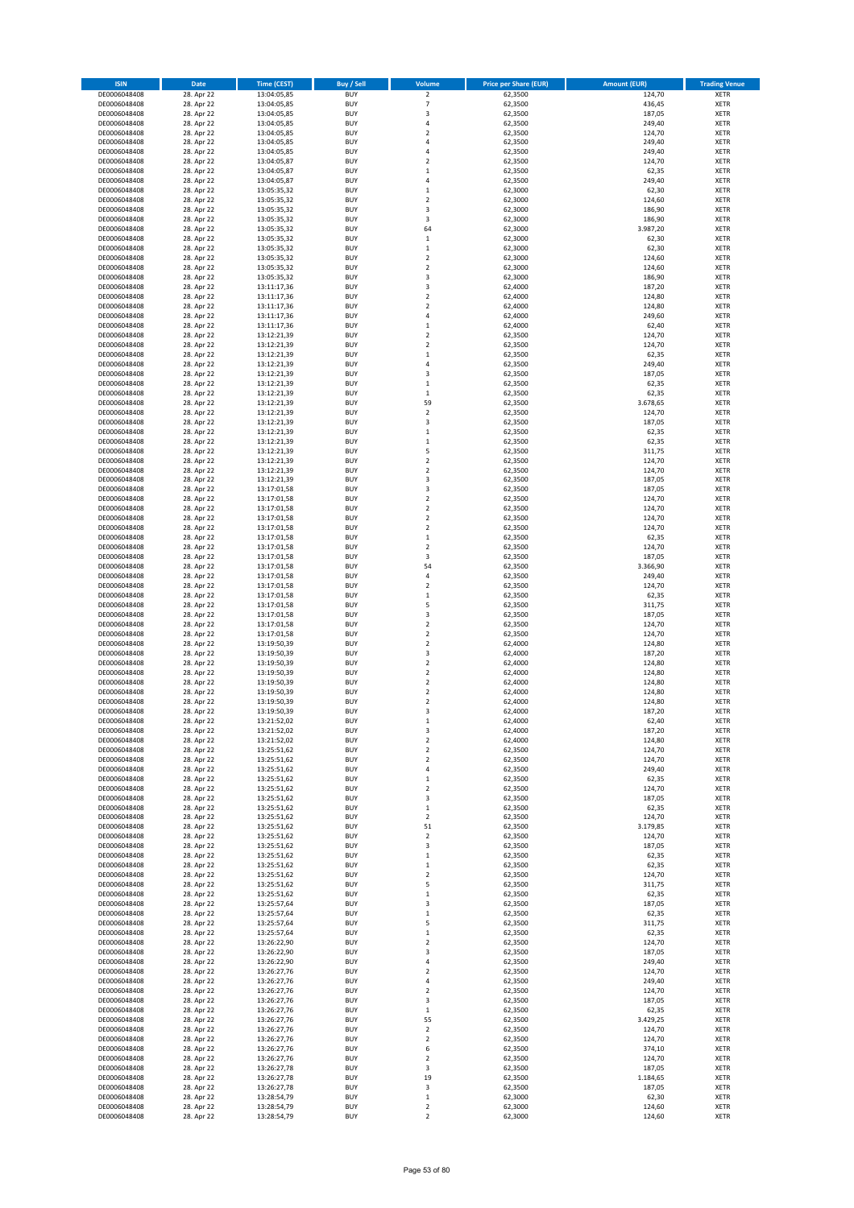| <b>ISIN</b>                  | Date                     | <b>Time (CEST)</b>         | <b>Buy / Sell</b>        | Volume                                 | <b>Price per Share (EUR)</b> | <b>Amount (EUR)</b> | <b>Trading Venue</b>       |
|------------------------------|--------------------------|----------------------------|--------------------------|----------------------------------------|------------------------------|---------------------|----------------------------|
| DE0006048408                 | 28. Apr 22               | 13:04:05,85                | <b>BUY</b>               | $\overline{\mathbf{c}}$                | 62,3500                      | 124,70              | XETR                       |
| DE0006048408                 | 28. Apr 22               | 13:04:05,85                | <b>BUY</b>               | $\overline{7}$                         | 62,3500                      | 436,45              | XETR                       |
| DE0006048408<br>DE0006048408 | 28. Apr 22<br>28. Apr 22 | 13:04:05,85<br>13:04:05,85 | <b>BUY</b><br><b>BUY</b> | 3<br>4                                 | 62,3500<br>62,3500           | 187,05<br>249,40    | XETR<br>XETR               |
| DE0006048408                 | 28. Apr 22               | 13:04:05,85                | <b>BUY</b>               | $\mathbf 2$                            | 62,3500                      | 124,70              | XETR                       |
| DE0006048408                 | 28. Apr 22               | 13:04:05,85                | <b>BUY</b>               | $\overline{4}$                         | 62,3500                      | 249,40              | <b>XETR</b>                |
| DE0006048408                 | 28. Apr 22               | 13:04:05,85                | <b>BUY</b>               | 4                                      | 62,3500                      | 249,40              | <b>XETR</b>                |
| DE0006048408                 | 28. Apr 22               | 13:04:05,87                | <b>BUY</b>               | $\mathbf 2$                            | 62,3500                      | 124,70              | <b>XETR</b>                |
| DE0006048408<br>DE0006048408 | 28. Apr 22<br>28. Apr 22 | 13:04:05,87                | <b>BUY</b><br><b>BUY</b> | $\mathbf 1$<br>$\overline{4}$          | 62,3500<br>62,3500           | 62,35<br>249,40     | <b>XETR</b><br><b>XETR</b> |
| DE0006048408                 | 28. Apr 22               | 13:04:05,87<br>13:05:35,32 | <b>BUY</b>               | $\mathbf 1$                            | 62,3000                      | 62,30               | <b>XETR</b>                |
| DE0006048408                 | 28. Apr 22               | 13:05:35,32                | <b>BUY</b>               | $\mathbf 2$                            | 62,3000                      | 124,60              | <b>XETR</b>                |
| DE0006048408                 | 28. Apr 22               | 13:05:35,32                | <b>BUY</b>               | 3                                      | 62,3000                      | 186,90              | XETR                       |
| DE0006048408                 | 28. Apr 22               | 13:05:35,32                | <b>BUY</b>               | 3                                      | 62,3000                      | 186,90              | <b>XETR</b>                |
| DE0006048408                 | 28. Apr 22               | 13:05:35,32                | <b>BUY</b>               | 64                                     | 62,3000                      | 3.987,20            | XETR                       |
| DE0006048408<br>DE0006048408 | 28. Apr 22<br>28. Apr 22 | 13:05:35,32<br>13:05:35,32 | <b>BUY</b><br><b>BUY</b> | $\mathbf 1$<br>$\mathbf 1$             | 62,3000<br>62,3000           | 62,30<br>62,30      | <b>XETR</b><br>XETR        |
| DE0006048408                 | 28. Apr 22               | 13:05:35,32                | <b>BUY</b>               | $\mathbf 2$                            | 62,3000                      | 124,60              | <b>XETR</b>                |
| DE0006048408                 | 28. Apr 22               | 13:05:35,32                | <b>BUY</b>               | $\mathbf 2$                            | 62,3000                      | 124,60              | XETR                       |
| DE0006048408                 | 28. Apr 22               | 13:05:35,32                | <b>BUY</b>               | 3                                      | 62,3000                      | 186,90              | <b>XETR</b>                |
| DE0006048408<br>DE0006048408 | 28. Apr 22<br>28. Apr 22 | 13:11:17,36<br>13:11:17,36 | <b>BUY</b><br><b>BUY</b> | 3<br>$\mathbf 2$                       | 62,4000<br>62,4000           | 187,20<br>124,80    | XETR<br>XETR               |
| DE0006048408                 | 28. Apr 22               | 13:11:17,36                | <b>BUY</b>               | $\overline{2}$                         | 62,4000                      | 124,80              | <b>XETR</b>                |
| DE0006048408                 | 28. Apr 22               | 13:11:17,36                | <b>BUY</b>               | 4                                      | 62,4000                      | 249,60              | <b>XETR</b>                |
| DE0006048408                 | 28. Apr 22               | 13:11:17,36                | <b>BUY</b>               | $\mathbf 1$                            | 62,4000                      | 62,40               | <b>XETR</b>                |
| DE0006048408                 | 28. Apr 22               | 13:12:21,39                | <b>BUY</b>               | $\mathbf 2$                            | 62,3500                      | 124,70              | <b>XETR</b>                |
| DE0006048408                 | 28. Apr 22               | 13:12:21,39                | <b>BUY</b>               | $\mathbf 2$                            | 62,3500                      | 124,70              | <b>XETR</b>                |
| DE0006048408<br>DE0006048408 | 28. Apr 22<br>28. Apr 22 | 13:12:21,39<br>13:12:21,39 | <b>BUY</b><br><b>BUY</b> | $\mathbf 1$<br>4                       | 62,3500<br>62,3500           | 62,35<br>249,40     | <b>XETR</b><br><b>XETR</b> |
| DE0006048408                 | 28. Apr 22               | 13:12:21,39                | <b>BUY</b>               | 3                                      | 62,3500                      | 187,05              | <b>XETR</b>                |
| DE0006048408                 | 28. Apr 22               | 13:12:21,39                | <b>BUY</b>               | $\mathbf 1$                            | 62,3500                      | 62,35               | <b>XETR</b>                |
| DE0006048408                 | 28. Apr 22               | 13:12:21,39                | <b>BUY</b>               | $\mathbf 1$                            | 62,3500                      | 62,35               | <b>XETR</b>                |
| DE0006048408<br>DE0006048408 | 28. Apr 22<br>28. Apr 22 | 13:12:21,39<br>13:12:21,39 | <b>BUY</b><br><b>BUY</b> | 59<br>$\mathbf 2$                      | 62,3500<br>62,3500           | 3.678,65<br>124,70  | <b>XETR</b><br>XETR        |
| DE0006048408                 | 28. Apr 22               | 13:12:21,39                | <b>BUY</b>               | 3                                      | 62,3500                      | 187,05              | <b>XETR</b>                |
| DE0006048408                 | 28. Apr 22               | 13:12:21,39                | <b>BUY</b>               | $\mathbf 1$                            | 62,3500                      | 62,35               | XETR                       |
| DE0006048408                 | 28. Apr 22               | 13:12:21,39                | <b>BUY</b>               | $\mathbf 1$                            | 62,3500                      | 62,35               | <b>XETR</b>                |
| DE0006048408                 | 28. Apr 22               | 13:12:21,39                | <b>BUY</b>               | 5                                      | 62,3500                      | 311,75              | XETR                       |
| DE0006048408                 | 28. Apr 22               | 13:12:21,39                | <b>BUY</b>               | $\mathbf 2$                            | 62,3500                      | 124,70              | <b>XETR</b>                |
| DE0006048408<br>DE0006048408 | 28. Apr 22<br>28. Apr 22 | 13:12:21,39<br>13:12:21,39 | <b>BUY</b><br><b>BUY</b> | $\mathbf 2$<br>3                       | 62,3500<br>62,3500           | 124,70<br>187,05    | <b>XETR</b><br><b>XETR</b> |
| DE0006048408                 | 28. Apr 22               | 13:17:01,58                | <b>BUY</b>               | 3                                      | 62,3500                      | 187,05              | <b>XETR</b>                |
| DE0006048408                 | 28. Apr 22               | 13:17:01,58                | <b>BUY</b>               | $\mathbf 2$                            | 62,3500                      | 124,70              | <b>XETR</b>                |
| DE0006048408                 | 28. Apr 22               | 13:17:01,58                | <b>BUY</b>               | $\mathbf 2$                            | 62,3500                      | 124,70              | <b>XETR</b>                |
| DE0006048408                 | 28. Apr 22               | 13:17:01,58                | <b>BUY</b>               | $\overline{\mathbf{c}}$                | 62,3500                      | 124,70              | <b>XETR</b>                |
| DE0006048408                 | 28. Apr 22               | 13:17:01,58                | <b>BUY</b><br><b>BUY</b> | $\mathbf 2$                            | 62,3500                      | 124,70              | XETR                       |
| DE0006048408<br>DE0006048408 | 28. Apr 22<br>28. Apr 22 | 13:17:01,58<br>13:17:01,58 | <b>BUY</b>               | $\mathbf 1$<br>$\overline{\mathbf{c}}$ | 62,3500<br>62,3500           | 62,35<br>124,70     | XETR<br><b>XETR</b>        |
| DE0006048408                 | 28. Apr 22               | 13:17:01,58                | <b>BUY</b>               | 3                                      | 62,3500                      | 187,05              | <b>XETR</b>                |
| DE0006048408                 | 28. Apr 22               | 13:17:01,58                | <b>BUY</b>               | 54                                     | 62,3500                      | 3.366,90            | <b>XETR</b>                |
| DE0006048408                 | 28. Apr 22               | 13:17:01,58                | <b>BUY</b>               | 4                                      | 62,3500                      | 249,40              | <b>XETR</b>                |
| DE0006048408                 | 28. Apr 22               | 13:17:01,58                | <b>BUY</b><br><b>BUY</b> | $\overline{\mathbf{c}}$                | 62,3500                      | 124,70              | <b>XETR</b>                |
| DE0006048408<br>DE0006048408 | 28. Apr 22<br>28. Apr 22 | 13:17:01,58<br>13:17:01,58 | <b>BUY</b>               | $\mathbf 1$<br>5                       | 62,3500<br>62,3500           | 62,35<br>311,75     | <b>XETR</b><br><b>XETR</b> |
| DE0006048408                 | 28. Apr 22               | 13:17:01,58                | <b>BUY</b>               | 3                                      | 62,3500                      | 187,05              | XETR                       |
| DE0006048408                 | 28. Apr 22               | 13:17:01,58                | <b>BUY</b>               | $\mathbf 2$                            | 62,3500                      | 124,70              | <b>XETR</b>                |
| DE0006048408                 | 28. Apr 22               | 13:17:01,58                | <b>BUY</b>               | $\mathbf 2$                            | 62,3500                      | 124,70              | <b>XETR</b>                |
| DE0006048408                 | 28. Apr 22               | 13:19:50,39                | <b>BUY</b>               | $\overline{\mathbf{c}}$                | 62,4000                      | 124,80              | <b>XETR</b>                |
| DE0006048408<br>DE0006048408 | 28. Apr 22<br>28. Apr 22 | 13:19:50,39<br>13:19:50,39 | <b>BUY</b><br><b>BUY</b> | 3<br>$\overline{\mathbf{c}}$           | 62,4000<br>62,4000           | 187,20<br>124,80    | <b>XETR</b><br><b>XETR</b> |
| DE0006048408                 | 28. Apr 22               | 13:19:50,39                | <b>BUY</b>               | $\mathbf 2$                            | 62,4000                      | 124,80              | XETR                       |
| DE0006048408                 | 28. Apr 22               | 13:19:50,39                | <b>BUY</b>               | $\overline{\mathbf{c}}$                | 62,4000                      | 124,80              | <b>XETR</b>                |
| DE0006048408                 | 28. Apr 22               | 13:19:50,39                | <b>BUY</b>               | $\mathbf 2$                            | 62,4000                      | 124,80              | XETR                       |
| DE0006048408                 | 28. Apr 22               | 13:19:50,39                | <b>BUY</b>               | $\overline{\mathbf{c}}$                | 62,4000                      | 124,80              | <b>XETR</b>                |
| DE0006048408<br>DE0006048408 | 28. Apr 22<br>28. Apr 22 | 13:19:50,39<br>13:21:52,02 | <b>BUY</b><br><b>BUY</b> | 3<br>$\mathbf{1}$                      | 62,4000<br>62,4000           | 187,20<br>62,40     | <b>XETR</b><br>XETR        |
| DE0006048408                 | 28. Apr 22               | 13:21:52,02                | <b>BUY</b>               | 3                                      | 62,4000                      | 187,20              | XETR                       |
| DE0006048408                 | 28. Apr 22               | 13:21:52,02                | <b>BUY</b>               | $\mathbf 2$                            | 62,4000                      | 124,80              | XETR                       |
| DE0006048408                 | 28. Apr 22               | 13:25:51,62                | <b>BUY</b>               | 2                                      | 62,3500                      | 124,70              | XETR                       |
| DE0006048408                 | 28. Apr 22               | 13:25:51,62                | <b>BUY</b>               | $\mathbf 2$                            | 62,3500                      | 124,70              | <b>XETR</b>                |
| DE0006048408<br>DE0006048408 | 28. Apr 22<br>28. Apr 22 | 13:25:51,62<br>13:25:51,62 | <b>BUY</b><br><b>BUY</b> | 4<br>$\mathbf 1$                       | 62,3500<br>62,3500           | 249,40<br>62,35     | XETR<br><b>XETR</b>        |
| DE0006048408                 | 28. Apr 22               | 13:25:51,62                | <b>BUY</b>               | $\mathbf 2$                            | 62,3500                      | 124,70              | XETR                       |
| DE0006048408                 | 28. Apr 22               | 13:25:51,62                | <b>BUY</b>               | 3                                      | 62,3500                      | 187,05              | <b>XETR</b>                |
| DE0006048408                 | 28. Apr 22               | 13:25:51,62                | <b>BUY</b>               | $\mathbf 1$                            | 62,3500                      | 62,35               | XETR                       |
| DE0006048408<br>DE0006048408 | 28. Apr 22<br>28. Apr 22 | 13:25:51,62<br>13:25:51,62 | <b>BUY</b><br><b>BUY</b> | 2<br>51                                | 62,3500<br>62,3500           | 124,70<br>3.179,85  | <b>XETR</b><br>XETR        |
| DE0006048408                 | 28. Apr 22               | 13:25:51,62                | <b>BUY</b>               | $\mathbf 2$                            | 62,3500                      | 124,70              | <b>XETR</b>                |
| DE0006048408                 | 28. Apr 22               | 13:25:51,62                | <b>BUY</b>               | 3                                      | 62,3500                      | 187,05              | XETR                       |
| DE0006048408                 | 28. Apr 22               | 13:25:51,62                | <b>BUY</b>               | $\mathbf 1$                            | 62,3500                      | 62,35               | <b>XETR</b>                |
| DE0006048408                 | 28. Apr 22               | 13:25:51,62                | <b>BUY</b>               | $\mathbf 1$                            | 62,3500                      | 62,35               | XETR                       |
| DE0006048408<br>DE0006048408 | 28. Apr 22               | 13:25:51,62                | <b>BUY</b>               | 2                                      | 62,3500                      | 124,70              | <b>XETR</b>                |
| DE0006048408                 | 28. Apr 22<br>28. Apr 22 | 13:25:51,62<br>13:25:51,62 | <b>BUY</b><br><b>BUY</b> | 5<br>$\mathbf 1$                       | 62,3500<br>62,3500           | 311,75<br>62,35     | <b>XETR</b><br><b>XETR</b> |
| DE0006048408                 | 28. Apr 22               | 13:25:57,64                | <b>BUY</b>               | 3                                      | 62,3500                      | 187,05              | XETR                       |
| DE0006048408                 | 28. Apr 22               | 13:25:57,64                | <b>BUY</b>               | $\mathbf 1$                            | 62,3500                      | 62,35               | <b>XETR</b>                |
| DE0006048408                 | 28. Apr 22               | 13:25:57,64                | <b>BUY</b>               | 5                                      | 62,3500                      | 311,75              | <b>XETR</b>                |
| DE0006048408<br>DE0006048408 | 28. Apr 22<br>28. Apr 22 | 13:25:57,64<br>13:26:22,90 | <b>BUY</b><br><b>BUY</b> | $\mathbf 1$<br>$\mathbf 2$             | 62,3500<br>62,3500           | 62,35<br>124,70     | XETR<br><b>XETR</b>        |
| DE0006048408                 | 28. Apr 22               | 13:26:22,90                | <b>BUY</b>               | 3                                      | 62,3500                      | 187,05              | XETR                       |
| DE0006048408                 | 28. Apr 22               | 13:26:22,90                | <b>BUY</b>               | 4                                      | 62,3500                      | 249,40              | <b>XETR</b>                |
| DE0006048408                 | 28. Apr 22               | 13:26:27,76                | <b>BUY</b>               | 2                                      | 62,3500                      | 124,70              | XETR                       |
| DE0006048408                 | 28. Apr 22               | 13:26:27,76                | <b>BUY</b>               | 4                                      | 62,3500                      | 249,40              | <b>XETR</b>                |
| DE0006048408                 | 28. Apr 22               | 13:26:27,76                | <b>BUY</b>               | 2                                      | 62,3500                      | 124,70              | XETR                       |
| DE0006048408<br>DE0006048408 | 28. Apr 22<br>28. Apr 22 | 13:26:27,76<br>13:26:27,76 | <b>BUY</b><br><b>BUY</b> | 3<br>$\mathbf 1$                       | 62,3500<br>62,3500           | 187,05<br>62,35     | <b>XETR</b><br>XETR        |
| DE0006048408                 | 28. Apr 22               | 13:26:27,76                | <b>BUY</b>               | 55                                     | 62,3500                      | 3.429,25            | <b>XETR</b>                |
| DE0006048408                 | 28. Apr 22               | 13:26:27,76                | <b>BUY</b>               | $\mathbf 2$                            | 62,3500                      | 124,70              | XETR                       |
| DE0006048408                 | 28. Apr 22               | 13:26:27,76                | <b>BUY</b>               | $\mathbf 2$                            | 62,3500                      | 124,70              | <b>XETR</b>                |
| DE0006048408<br>DE0006048408 | 28. Apr 22<br>28. Apr 22 | 13:26:27,76<br>13:26:27,76 | <b>BUY</b><br><b>BUY</b> | 6<br>2                                 | 62,3500<br>62,3500           | 374,10<br>124,70    | <b>XETR</b><br><b>XETR</b> |
| DE0006048408                 | 28. Apr 22               | 13:26:27,78                | <b>BUY</b>               | 3                                      | 62,3500                      | 187,05              | XETR                       |
| DE0006048408                 | 28. Apr 22               | 13:26:27,78                | <b>BUY</b>               | 19                                     | 62,3500                      | 1.184,65            | <b>XETR</b>                |
| DE0006048408                 | 28. Apr 22               | 13:26:27,78                | <b>BUY</b>               | 3                                      | 62,3500                      | 187,05              | XETR                       |
| DE0006048408                 | 28. Apr 22               | 13:28:54,79                | <b>BUY</b>               | $\mathbf 1$                            | 62,3000                      | 62,30               | XETR                       |
| DE0006048408                 | 28. Apr 22               | 13:28:54,79                | <b>BUY</b>               | $\mathbf 2$                            | 62,3000                      | 124,60              | XETR                       |
| DE0006048408                 | 28. Apr 22               | 13:28:54,79                | <b>BUY</b>               | $\mathbf 2$                            | 62,3000                      | 124,60              | <b>XETR</b>                |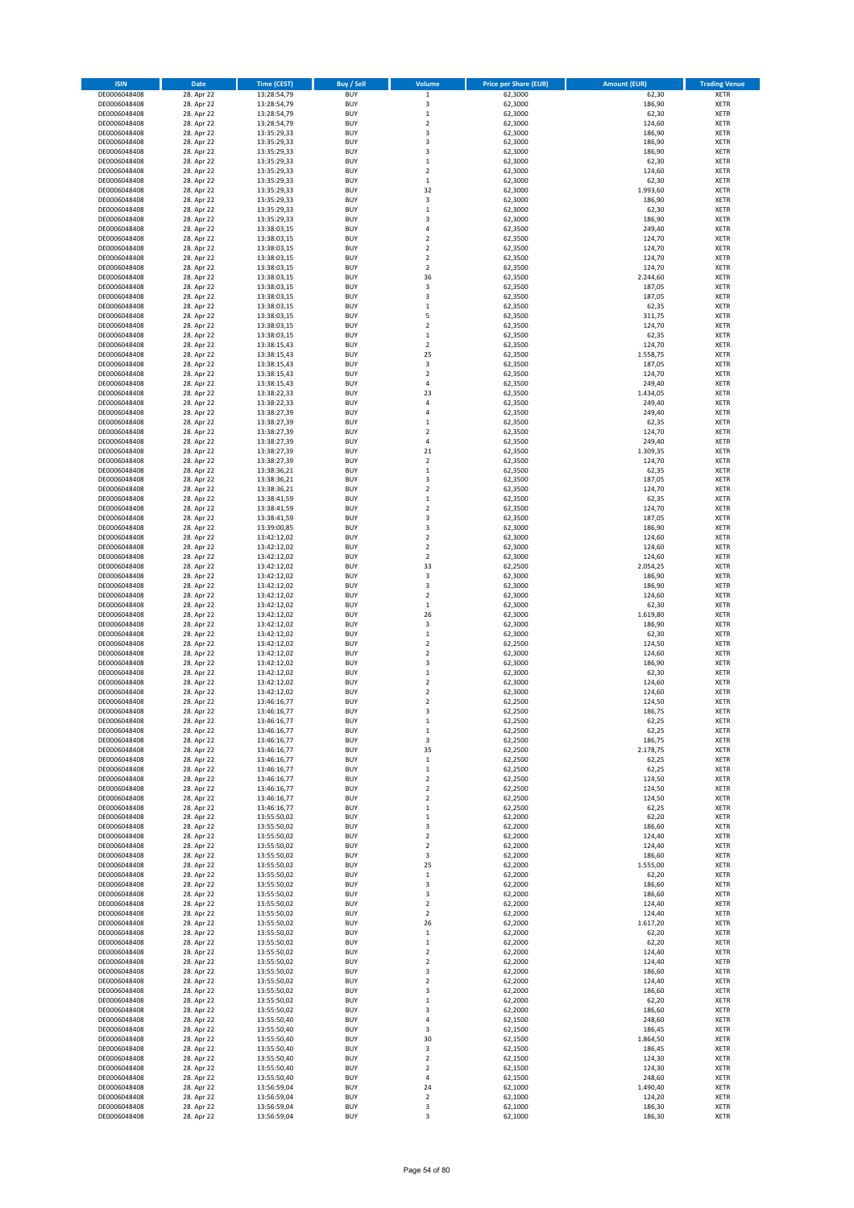| <b>ISIN</b>                  | Date                     | <b>Time (CEST)</b>         | <b>Buy / Sell</b>        | Volume                           | <b>Price per Share (EUR)</b> | <b>Amount (EUR)</b> | <b>Trading Venue</b>       |
|------------------------------|--------------------------|----------------------------|--------------------------|----------------------------------|------------------------------|---------------------|----------------------------|
| DE0006048408                 | 28. Apr 22               | 13:28:54,79                | <b>BUY</b>               | $\mathbf 1$                      | 62,3000                      | 62,30               | <b>XETR</b>                |
| DE0006048408                 | 28. Apr 22               | 13:28:54,79                | <b>BUY</b>               | $\mathsf 3$                      | 62,3000                      | 186,90              | <b>XETR</b>                |
| DE0006048408<br>DE0006048408 | 28. Apr 22<br>28. Apr 22 | 13:28:54,79<br>13:28:54,79 | <b>BUY</b><br><b>BUY</b> | $\,$ 1<br>$\mathbf 2$            | 62,3000<br>62,3000           | 62,30<br>124,60     | <b>XETR</b><br><b>XETR</b> |
| DE0006048408                 | 28. Apr 22               | 13:35:29,33                | <b>BUY</b>               | 3                                | 62,3000                      | 186,90              | <b>XETR</b>                |
| DE0006048408                 | 28. Apr 22               | 13:35:29,33                | <b>BUY</b>               | 3                                | 62,3000                      | 186,90              | <b>XETR</b>                |
| DE0006048408                 | 28. Apr 22               | 13:35:29,33                | <b>BUY</b>               | 3                                | 62,3000                      | 186,90              | <b>XETR</b>                |
| DE0006048408                 | 28. Apr 22               | 13:35:29,33                | <b>BUY</b>               | $\,1\,$                          | 62,3000                      | 62,30               | <b>XETR</b>                |
| DE0006048408                 | 28. Apr 22               | 13:35:29,33                | <b>BUY</b><br><b>BUY</b> | $\overline{2}$<br>$\,1\,$        | 62,3000                      | 124,60              | XETR<br><b>XETR</b>        |
| DE0006048408<br>DE0006048408 | 28. Apr 22<br>28. Apr 22 | 13:35:29,33<br>13:35:29,33 | <b>BUY</b>               | 32                               | 62,3000<br>62,3000           | 62,30<br>1.993,60   | XETR                       |
| DE0006048408                 | 28. Apr 22               | 13:35:29,33                | <b>BUY</b>               | 3                                | 62,3000                      | 186,90              | <b>XETR</b>                |
| DE0006048408                 | 28. Apr 22               | 13:35:29,33                | <b>BUY</b>               | $\,$ 1                           | 62,3000                      | 62,30               | XETR                       |
| DE0006048408                 | 28. Apr 22               | 13:35:29,33                | <b>BUY</b>               | 3                                | 62,3000                      | 186,90              | <b>XETR</b>                |
| DE0006048408                 | 28. Apr 22               | 13:38:03,15                | <b>BUY</b>               | $\sqrt{4}$                       | 62,3500                      | 249,40              | XETR                       |
| DE0006048408                 | 28. Apr 22               | 13:38:03,15                | <b>BUY</b><br><b>BUY</b> | $\overline{2}$                   | 62,3500                      | 124,70              | <b>XETR</b>                |
| DE0006048408<br>DE0006048408 | 28. Apr 22<br>28. Apr 22 | 13:38:03,15<br>13:38:03,15 | <b>BUY</b>               | $\mathbf 2$<br>$\overline{2}$    | 62,3500<br>62,3500           | 124,70<br>124,70    | XETR<br><b>XETR</b>        |
| DE0006048408                 | 28. Apr 22               | 13:38:03,15                | <b>BUY</b>               | $\overline{2}$                   | 62,3500                      | 124,70              | XETR                       |
| DE0006048408                 | 28. Apr 22               | 13:38:03,15                | <b>BUY</b>               | 36                               | 62,3500                      | 2.244,60            | <b>XETR</b>                |
| DE0006048408                 | 28. Apr 22               | 13:38:03,15                | <b>BUY</b>               | 3                                | 62,3500                      | 187,05              | <b>XETR</b>                |
| DE0006048408                 | 28. Apr 22               | 13:38:03,15                | <b>BUY</b>               | 3                                | 62,3500                      | 187,05              | <b>XETR</b>                |
| DE0006048408                 | 28. Apr 22<br>28. Apr 22 | 13:38:03,15                | <b>BUY</b><br><b>BUY</b> | $\mathbf{1}$<br>5                | 62,3500<br>62,3500           | 62,35<br>311,75     | <b>XETR</b><br><b>XETR</b> |
| DE0006048408<br>DE0006048408 | 28. Apr 22               | 13:38:03,15<br>13:38:03,15 | <b>BUY</b>               | $\overline{2}$                   | 62,3500                      | 124,70              | <b>XETR</b>                |
| DE0006048408                 | 28. Apr 22               | 13:38:03,15                | <b>BUY</b>               | $\mathbf 1$                      | 62,3500                      | 62,35               | <b>XETR</b>                |
| DE0006048408                 | 28. Apr 22               | 13:38:15,43                | <b>BUY</b>               | $\overline{2}$                   | 62,3500                      | 124,70              | <b>XETR</b>                |
| DE0006048408                 | 28. Apr 22               | 13:38:15,43                | <b>BUY</b>               | 25                               | 62,3500                      | 1.558,75            | <b>XETR</b>                |
| DE0006048408                 | 28. Apr 22               | 13:38:15,43                | <b>BUY</b>               | 3                                | 62,3500                      | 187,05              | <b>XETR</b>                |
| DE0006048408                 | 28. Apr 22               | 13:38:15,43                | <b>BUY</b><br><b>BUY</b> | $\mathbf 2$<br>$\sqrt{4}$        | 62,3500                      | 124,70              | <b>XETR</b><br><b>XETR</b> |
| DE0006048408<br>DE0006048408 | 28. Apr 22<br>28. Apr 22 | 13:38:15,43<br>13:38:22,33 | <b>BUY</b>               | 23                               | 62,3500<br>62,3500           | 249,40<br>1.434,05  | <b>XETR</b>                |
| DE0006048408                 | 28. Apr 22               | 13:38:22,33                | <b>BUY</b>               | 4                                | 62,3500                      | 249,40              | <b>XETR</b>                |
| DE0006048408                 | 28. Apr 22               | 13:38:27,39                | <b>BUY</b>               | $\sqrt{4}$                       | 62,3500                      | 249,40              | XETR                       |
| DE0006048408                 | 28. Apr 22               | 13:38:27,39                | <b>BUY</b>               | $\mathbf 1$                      | 62,3500                      | 62,35               | <b>XETR</b>                |
| DE0006048408                 | 28. Apr 22               | 13:38:27,39                | <b>BUY</b>               | $\overline{2}$                   | 62,3500                      | 124,70              | XETR                       |
| DE0006048408                 | 28. Apr 22<br>28. Apr 22 | 13:38:27,39                | <b>BUY</b><br><b>BUY</b> | $\sqrt{4}$<br>21                 | 62,3500<br>62,3500           | 249,40<br>1.309,35  | <b>XETR</b><br><b>XETR</b> |
| DE0006048408<br>DE0006048408 | 28. Apr 22               | 13:38:27,39<br>13:38:27,39 | <b>BUY</b>               | $\overline{2}$                   | 62,3500                      | 124,70              | <b>XETR</b>                |
| DE0006048408                 | 28. Apr 22               | 13:38:36,21                | <b>BUY</b>               | $\,1\,$                          | 62,3500                      | 62,35               | <b>XETR</b>                |
| DE0006048408                 | 28. Apr 22               | 13:38:36,21                | <b>BUY</b>               | 3                                | 62,3500                      | 187,05              | <b>XETR</b>                |
| DE0006048408                 | 28. Apr 22               | 13:38:36,21                | <b>BUY</b>               | $\overline{2}$                   | 62,3500                      | 124,70              | XETR                       |
| DE0006048408                 | 28. Apr 22               | 13:38:41,59                | <b>BUY</b>               | $\,1\,$                          | 62,3500                      | 62,35               | <b>XETR</b>                |
| DE0006048408                 | 28. Apr 22               | 13:38:41,59                | <b>BUY</b><br><b>BUY</b> | $\overline{2}$<br>3              | 62,3500                      | 124,70              | <b>XETR</b><br><b>XETR</b> |
| DE0006048408<br>DE0006048408 | 28. Apr 22<br>28. Apr 22 | 13:38:41,59<br>13:39:00,85 | <b>BUY</b>               | 3                                | 62,3500<br>62,3000           | 187,05<br>186,90    | <b>XETR</b>                |
| DE0006048408                 | 28. Apr 22               | 13:42:12,02                | <b>BUY</b>               | $\mathbf 2$                      | 62,3000                      | 124,60              | <b>XETR</b>                |
| DE0006048408                 | 28. Apr 22               | 13:42:12,02                | <b>BUY</b>               | $\sqrt{2}$                       | 62,3000                      | 124,60              | <b>XETR</b>                |
| DE0006048408                 | 28. Apr 22               | 13:42:12,02                | <b>BUY</b>               | $\mathbf 2$                      | 62,3000                      | 124,60              | <b>XETR</b>                |
| DE0006048408                 | 28. Apr 22               | 13:42:12,02                | <b>BUY</b>               | 33                               | 62,2500                      | 2.054,25            | <b>XETR</b>                |
| DE0006048408<br>DE0006048408 | 28. Apr 22<br>28. Apr 22 | 13:42:12,02<br>13:42:12,02 | <b>BUY</b><br><b>BUY</b> | 3<br>3                           | 62,3000<br>62,3000           | 186,90<br>186,90    | <b>XETR</b><br><b>XETR</b> |
| DE0006048408                 | 28. Apr 22               | 13:42:12,02                | <b>BUY</b>               | $\overline{2}$                   | 62,3000                      | 124,60              | <b>XETR</b>                |
| DE0006048408                 | 28. Apr 22               | 13:42:12,02                | <b>BUY</b>               | $\,$ 1                           | 62,3000                      | 62,30               | <b>XETR</b>                |
| DE0006048408                 | 28. Apr 22               | 13:42:12,02                | <b>BUY</b>               | 26                               | 62,3000                      | 1.619,80            | <b>XETR</b>                |
| DE0006048408                 | 28. Apr 22               | 13:42:12,02                | <b>BUY</b>               | 3                                | 62,3000                      | 186,90              | <b>XETR</b>                |
| DE0006048408                 | 28. Apr 22               | 13:42:12,02                | <b>BUY</b>               | $\,1\,$                          | 62,3000                      | 62,30               | <b>XETR</b>                |
| DE0006048408<br>DE0006048408 | 28. Apr 22<br>28. Apr 22 | 13:42:12,02<br>13:42:12,02 | <b>BUY</b><br><b>BUY</b> | $\overline{2}$<br>$\mathbf 2$    | 62,2500<br>62,3000           | 124,50<br>124,60    | <b>XETR</b><br><b>XETR</b> |
| DE0006048408                 | 28. Apr 22               | 13:42:12,02                | <b>BUY</b>               | 3                                | 62,3000                      | 186,90              | <b>XETR</b>                |
| DE0006048408                 | 28. Apr 22               | 13:42:12,02                | <b>BUY</b>               | $\,1\,$                          | 62,3000                      | 62,30               | XETR                       |
| DE0006048408                 | 28. Apr 22               | 13:42:12,02                | <b>BUY</b>               | $\overline{2}$                   | 62,3000                      | 124,60              | <b>XETR</b>                |
| DE0006048408                 | 28. Apr 22               | 13:42:12,02                | <b>BUY</b>               | $\boldsymbol{2}$                 | 62,3000                      | 124,60              | <b>XETR</b>                |
| DE0006048408                 | 28. Apr 22               | 13:46:16,77                | <b>BUY</b><br><b>BUY</b> | $\overline{2}$<br>3              | 62,2500                      | 124,50              | <b>XETR</b>                |
| DE0006048408<br>DE0006048408 | 28. Apr 22<br>28. Apr 22 | 13:46:16,77<br>13:46:16,77 | <b>BUY</b>               | $\mathbf{1}$                     | 62,2500<br>62,2500           | 186,75<br>62,25     | <b>XETR</b><br>XETR        |
| DE0006048408                 | 28. Apr 22               | 13:46:16,77                | <b>BUY</b>               | $\mathbf 1$                      | 62,2500                      | 62,25               | XETR                       |
| DE0006048408                 | 28. Apr 22               | 13:46:16,77                | <b>BUY</b>               | 3                                | 62,2500                      | 186,75              | XETR                       |
| DE0006048408                 | 28. Apr 22               | 13:46:16,77                | <b>BUY</b>               | 35                               | 62,2500                      | 2.178,75            | <b>XETR</b>                |
| DE0006048408                 | 28. Apr 22               | 13:46:16,77                | <b>BUY</b>               | $\,$ 1                           | 62,2500                      | 62,25               | <b>XETR</b>                |
| DE0006048408                 | 28. Apr 22               | 13:46:16,77                | <b>BUY</b>               | $\,$ 1                           | 62,2500                      | 62,25               | XETR                       |
| DE0006048408<br>DE0006048408 | 28. Apr 22<br>28. Apr 22 | 13:46:16,77<br>13:46:16,77 | <b>BUY</b><br><b>BUY</b> | $\overline{2}$<br>$\overline{2}$ | 62,2500<br>62,2500           | 124,50<br>124,50    | <b>XETR</b><br><b>XETR</b> |
| DE0006048408                 | 28. Apr 22               | 13:46:16,77                | <b>BUY</b>               | $\mathbf 2$                      | 62,2500                      | 124,50              | <b>XETR</b>                |
| DE0006048408                 | 28. Apr 22               | 13:46:16,77                | <b>BUY</b>               | $\,$ 1                           | 62,2500                      | 62,25               | <b>XETR</b>                |
| DE0006048408                 | 28. Apr 22               | 13:55:50,02                | <b>BUY</b>               | $\,$ 1                           | 62,2000                      | 62,20               | <b>XETR</b>                |
| DE0006048408                 | 28. Apr 22               | 13:55:50,02                | <b>BUY</b>               | 3                                | 62,2000                      | 186,60              | <b>XETR</b>                |
| DE0006048408<br>DE0006048408 | 28. Apr 22<br>28. Apr 22 | 13:55:50,02<br>13:55:50,02 | <b>BUY</b><br><b>BUY</b> | $\mathbf 2$<br>$\mathbf 2$       | 62,2000<br>62,2000           | 124,40<br>124,40    | <b>XETR</b><br>XETR        |
| DE0006048408                 | 28. Apr 22               | 13:55:50,02                | <b>BUY</b>               | 3                                | 62,2000                      | 186,60              | <b>XETR</b>                |
| DE0006048408                 | 28. Apr 22               | 13:55:50,02                | <b>BUY</b>               | 25                               | 62,2000                      | 1.555,00            | <b>XETR</b>                |
| DE0006048408                 | 28. Apr 22               | 13:55:50,02                | <b>BUY</b>               | $\,$ 1                           | 62,2000                      | 62,20               | <b>XETR</b>                |
| DE0006048408                 | 28. Apr 22               | 13:55:50,02                | <b>BUY</b>               | 3                                | 62,2000                      | 186,60              | <b>XETR</b>                |
| DE0006048408                 | 28. Apr 22               | 13:55:50,02                | <b>BUY</b>               | 3                                | 62,2000                      | 186,60              | <b>XETR</b>                |
| DE0006048408<br>DE0006048408 | 28. Apr 22<br>28. Apr 22 | 13:55:50,02<br>13:55:50,02 | <b>BUY</b><br><b>BUY</b> | $\mathbf 2$<br>$\overline{2}$    | 62,2000<br>62,2000           | 124,40<br>124,40    | <b>XETR</b><br><b>XETR</b> |
| DE0006048408                 | 28. Apr 22               | 13:55:50,02                | <b>BUY</b>               | 26                               | 62,2000                      | 1.617,20            | <b>XETR</b>                |
| DE0006048408                 | 28. Apr 22               | 13:55:50,02                | <b>BUY</b>               | $\,$ 1                           | 62,2000                      | 62,20               | XETR                       |
| DE0006048408                 | 28. Apr 22               | 13:55:50,02                | <b>BUY</b>               | $\mathbf 1$                      | 62,2000                      | 62,20               | XETR                       |
| DE0006048408                 | 28. Apr 22               | 13:55:50,02                | <b>BUY</b>               | $\sqrt{2}$                       | 62,2000                      | 124,40              | <b>XETR</b>                |
| DE0006048408                 | 28. Apr 22               | 13:55:50,02                | <b>BUY</b>               | $\overline{2}$                   | 62,2000                      | 124,40              | <b>XETR</b>                |
| DE0006048408<br>DE0006048408 | 28. Apr 22<br>28. Apr 22 | 13:55:50,02<br>13:55:50,02 | <b>BUY</b><br><b>BUY</b> | 3<br>$\overline{2}$              | 62,2000<br>62,2000           | 186,60<br>124,40    | XETR<br>XETR               |
| DE0006048408                 | 28. Apr 22               | 13:55:50,02                | <b>BUY</b>               | 3                                | 62,2000                      | 186,60              | <b>XETR</b>                |
| DE0006048408                 | 28. Apr 22               | 13:55:50,02                | <b>BUY</b>               | $\,$ 1                           | 62,2000                      | 62,20               | <b>XETR</b>                |
| DE0006048408                 | 28. Apr 22               | 13:55:50,02                | <b>BUY</b>               | 3                                | 62,2000                      | 186,60              | XETR                       |
| DE0006048408                 | 28. Apr 22               | 13:55:50,40                | <b>BUY</b>               | 4                                | 62,1500                      | 248,60              | XETR                       |
| DE0006048408                 | 28. Apr 22               | 13:55:50,40                | <b>BUY</b>               | 3                                | 62,1500                      | 186,45              | <b>XETR</b>                |
| DE0006048408<br>DE0006048408 | 28. Apr 22<br>28. Apr 22 | 13:55:50,40<br>13:55:50,40 | <b>BUY</b><br><b>BUY</b> | 30<br>3                          | 62,1500<br>62,1500           | 1.864,50<br>186,45  | <b>XETR</b><br><b>XETR</b> |
| DE0006048408                 | 28. Apr 22               | 13:55:50,40                | <b>BUY</b>               | $\overline{2}$                   | 62,1500                      | 124,30              | <b>XETR</b>                |
| DE0006048408                 | 28. Apr 22               | 13:55:50,40                | <b>BUY</b>               | $\mathbf 2$                      | 62,1500                      | 124,30              | <b>XETR</b>                |
| DE0006048408                 | 28. Apr 22               | 13:55:50,40                | <b>BUY</b>               | 4                                | 62,1500                      | 248,60              | <b>XETR</b>                |
| DE0006048408                 | 28. Apr 22               | 13:56:59,04                | <b>BUY</b>               | 24                               | 62,1000                      | 1.490,40            | <b>XETR</b>                |
| DE0006048408                 | 28. Apr 22               | 13:56:59,04                | <b>BUY</b>               | $\mathbf 2$                      | 62,1000                      | 124,20              | <b>XETR</b>                |
| DE0006048408<br>DE0006048408 | 28. Apr 22<br>28. Apr 22 | 13:56:59,04<br>13:56:59,04 | <b>BUY</b><br><b>BUY</b> | 3<br>3                           | 62,1000<br>62,1000           | 186,30<br>186,30    | <b>XETR</b><br><b>XETR</b> |
|                              |                          |                            |                          |                                  |                              |                     |                            |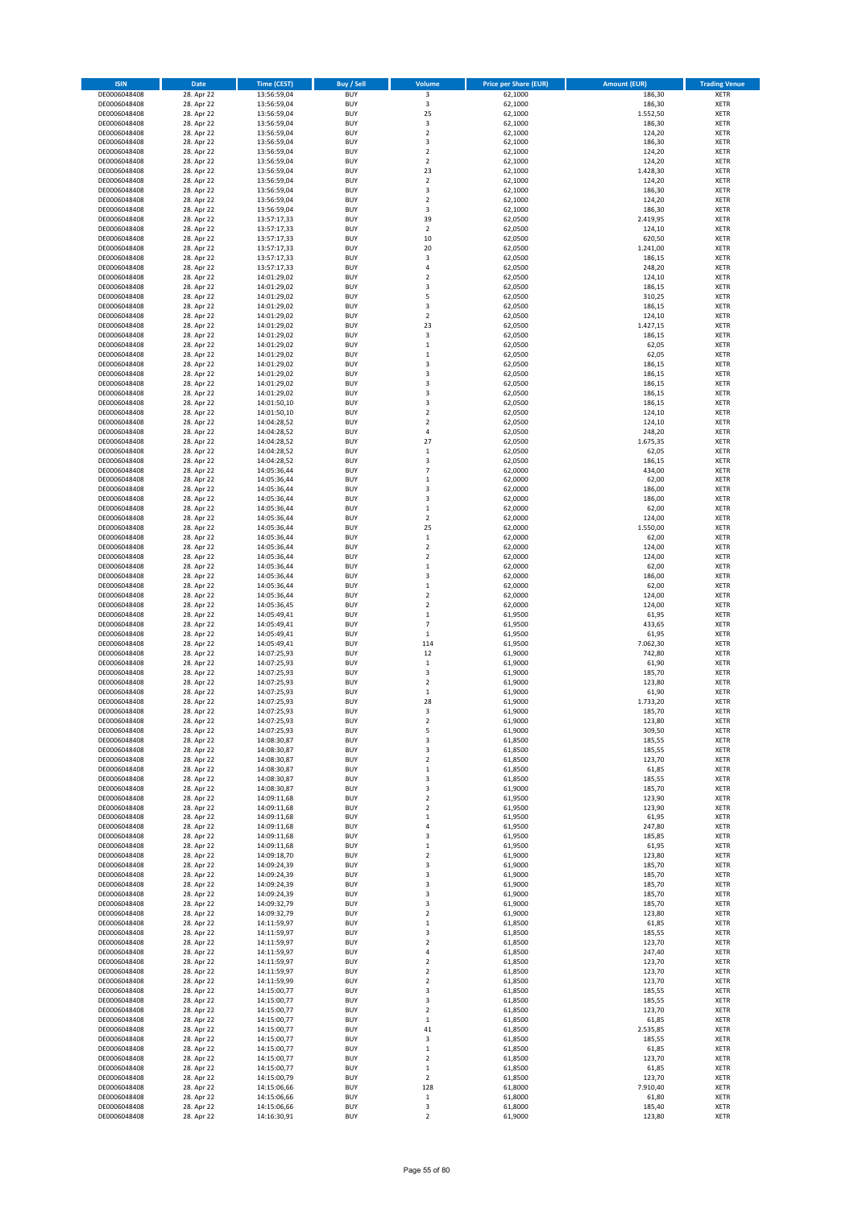| <b>ISIN</b>                  | Date                     | <b>Time (CEST)</b>         | <b>Buy / Sell</b>        | Volume                         | <b>Price per Share (EUR)</b> | <b>Amount (EUR)</b> | <b>Trading Venue</b>       |
|------------------------------|--------------------------|----------------------------|--------------------------|--------------------------------|------------------------------|---------------------|----------------------------|
| DE0006048408                 | 28. Apr 22               | 13:56:59,04                | <b>BUY</b>               | 3                              | 62,1000                      | 186,30              | <b>XETR</b>                |
| DE0006048408                 | 28. Apr 22               | 13:56:59,04                | <b>BUY</b>               | 3                              | 62,1000                      | 186,30              | <b>XETR</b>                |
| DE0006048408<br>DE0006048408 | 28. Apr 22<br>28. Apr 22 | 13:56:59,04<br>13:56:59,04 | <b>BUY</b><br><b>BUY</b> | 25<br>3                        | 62,1000<br>62,1000           | 1.552,50<br>186,30  | <b>XETR</b><br><b>XETR</b> |
| DE0006048408                 | 28. Apr 22               | 13:56:59,04                | <b>BUY</b>               | $\mathbf 2$                    | 62,1000                      | 124,20              | <b>XETR</b>                |
| DE0006048408                 | 28. Apr 22               | 13:56:59,04                | <b>BUY</b>               | 3                              | 62,1000                      | 186,30              | <b>XETR</b>                |
| DE0006048408                 | 28. Apr 22               | 13:56:59,04                | <b>BUY</b>               | $\overline{2}$                 | 62,1000                      | 124,20              | <b>XETR</b>                |
| DE0006048408                 | 28. Apr 22               | 13:56:59,04                | <b>BUY</b>               | $\overline{2}$                 | 62,1000                      | 124,20              | <b>XETR</b>                |
| DE0006048408<br>DE0006048408 | 28. Apr 22<br>28. Apr 22 | 13:56:59,04                | <b>BUY</b><br><b>BUY</b> | 23<br>$\overline{2}$           | 62,1000<br>62,1000           | 1.428,30<br>124,20  | XETR<br><b>XETR</b>        |
| DE0006048408                 | 28. Apr 22               | 13:56:59,04<br>13:56:59,04 | <b>BUY</b>               | 3                              | 62,1000                      | 186,30              | XETR                       |
| DE0006048408                 | 28. Apr 22               | 13:56:59,04                | <b>BUY</b>               | $\overline{2}$                 | 62,1000                      | 124,20              | <b>XETR</b>                |
| DE0006048408                 | 28. Apr 22               | 13:56:59,04                | <b>BUY</b>               | 3                              | 62,1000                      | 186,30              | XETR                       |
| DE0006048408                 | 28. Apr 22               | 13:57:17,33                | <b>BUY</b>               | 39                             | 62,0500                      | 2.419,95            | <b>XETR</b>                |
| DE0006048408                 | 28. Apr 22<br>28. Apr 22 | 13:57:17,33<br>13:57:17,33 | <b>BUY</b><br><b>BUY</b> | $\mathbf 2$<br>10              | 62,0500                      | 124,10              | XETR                       |
| DE0006048408<br>DE0006048408 | 28. Apr 22               | 13:57:17,33                | <b>BUY</b>               | 20                             | 62,0500<br>62,0500           | 620,50<br>1.241,00  | <b>XETR</b><br>XETR        |
| DE0006048408                 | 28. Apr 22               | 13:57:17,33                | <b>BUY</b>               | 3                              | 62,0500                      | 186,15              | <b>XETR</b>                |
| DE0006048408                 | 28. Apr 22               | 13:57:17,33                | <b>BUY</b>               | $\overline{4}$                 | 62,0500                      | 248,20              | XETR                       |
| DE0006048408                 | 28. Apr 22               | 14:01:29,02                | <b>BUY</b>               | $\overline{2}$                 | 62,0500                      | 124,10              | <b>XETR</b>                |
| DE0006048408                 | 28. Apr 22               | 14:01:29,02                | <b>BUY</b><br><b>BUY</b> | 3<br>5                         | 62,0500                      | 186,15<br>310,25    | <b>XETR</b><br><b>XETR</b> |
| DE0006048408<br>DE0006048408 | 28. Apr 22<br>28. Apr 22 | 14:01:29,02<br>14:01:29,02 | <b>BUY</b>               | 3                              | 62,0500<br>62,0500           | 186,15              | <b>XETR</b>                |
| DE0006048408                 | 28. Apr 22               | 14:01:29,02                | <b>BUY</b>               | $\mathbf 2$                    | 62,0500                      | 124,10              | <b>XETR</b>                |
| DE0006048408                 | 28. Apr 22               | 14:01:29,02                | <b>BUY</b>               | 23                             | 62,0500                      | 1.427,15            | <b>XETR</b>                |
| DE0006048408                 | 28. Apr 22               | 14:01:29,02                | <b>BUY</b>               | 3                              | 62,0500                      | 186,15              | <b>XETR</b>                |
| DE0006048408                 | 28. Apr 22               | 14:01:29,02                | <b>BUY</b>               | $\,1\,$                        | 62,0500                      | 62,05               | <b>XETR</b>                |
| DE0006048408<br>DE0006048408 | 28. Apr 22<br>28. Apr 22 | 14:01:29,02<br>14:01:29,02 | <b>BUY</b><br><b>BUY</b> | $\,1\,$<br>3                   | 62,0500<br>62,0500           | 62,05<br>186,15     | <b>XETR</b><br><b>XETR</b> |
| DE0006048408                 | 28. Apr 22               | 14:01:29,02                | <b>BUY</b>               | 3                              | 62,0500                      | 186,15              | <b>XETR</b>                |
| DE0006048408                 | 28. Apr 22               | 14:01:29,02                | <b>BUY</b>               | 3                              | 62,0500                      | 186,15              | <b>XETR</b>                |
| DE0006048408                 | 28. Apr 22               | 14:01:29,02                | <b>BUY</b>               | 3                              | 62,0500                      | 186,15              | <b>XETR</b>                |
| DE0006048408                 | 28. Apr 22<br>28. Apr 22 | 14:01:50,10                | <b>BUY</b><br><b>BUY</b> | 3<br>$\mathbf 2$               | 62,0500                      | 186,15<br>124,10    | <b>XETR</b><br>XETR        |
| DE0006048408<br>DE0006048408 | 28. Apr 22               | 14:01:50,10<br>14:04:28,52 | <b>BUY</b>               | $\overline{2}$                 | 62,0500<br>62,0500           | 124,10              | <b>XETR</b>                |
| DE0006048408                 | 28. Apr 22               | 14:04:28,52                | <b>BUY</b>               | $\sqrt{4}$                     | 62,0500                      | 248,20              | XETR                       |
| DE0006048408                 | 28. Apr 22               | 14:04:28,52                | <b>BUY</b>               | 27                             | 62,0500                      | 1.675,35            | <b>XETR</b>                |
| DE0006048408                 | 28. Apr 22               | 14:04:28,52                | <b>BUY</b>               | $\,$ 1                         | 62,0500                      | 62,05               | XETR                       |
| DE0006048408                 | 28. Apr 22               | 14:04:28,52                | <b>BUY</b>               | 3                              | 62,0500                      | 186,15              | <b>XETR</b>                |
| DE0006048408<br>DE0006048408 | 28. Apr 22               | 14:05:36,44                | <b>BUY</b><br><b>BUY</b> | $\overline{7}$<br>$\,1\,$      | 62,0000                      | 434,00              | <b>XETR</b><br><b>XETR</b> |
| DE0006048408                 | 28. Apr 22<br>28. Apr 22 | 14:05:36,44<br>14:05:36,44 | <b>BUY</b>               | 3                              | 62,0000<br>62,0000           | 62,00<br>186,00     | <b>XETR</b>                |
| DE0006048408                 | 28. Apr 22               | 14:05:36,44                | <b>BUY</b>               | 3                              | 62,0000                      | 186,00              | <b>XETR</b>                |
| DE0006048408                 | 28. Apr 22               | 14:05:36,44                | <b>BUY</b>               | $\,1\,$                        | 62,0000                      | 62,00               | <b>XETR</b>                |
| DE0006048408                 | 28. Apr 22               | 14:05:36,44                | <b>BUY</b>               | $\overline{2}$                 | 62,0000                      | 124,00              | <b>XETR</b>                |
| DE0006048408                 | 28. Apr 22               | 14:05:36,44                | <b>BUY</b>               | 25                             | 62,0000                      | 1.550,00            | XETR                       |
| DE0006048408<br>DE0006048408 | 28. Apr 22<br>28. Apr 22 | 14:05:36,44<br>14:05:36,44 | <b>BUY</b><br><b>BUY</b> | $\,$ 1<br>$\boldsymbol{2}$     | 62,0000<br>62,0000           | 62,00<br>124,00     | <b>XETR</b><br><b>XETR</b> |
| DE0006048408                 | 28. Apr 22               | 14:05:36,44                | <b>BUY</b>               | $\mathbf 2$                    | 62,0000                      | 124,00              | <b>XETR</b>                |
| DE0006048408                 | 28. Apr 22               | 14:05:36,44                | <b>BUY</b>               | $\,$ 1                         | 62,0000                      | 62,00               | <b>XETR</b>                |
| DE0006048408                 | 28. Apr 22               | 14:05:36,44                | <b>BUY</b>               | 3                              | 62,0000                      | 186,00              | <b>XETR</b>                |
| DE0006048408                 | 28. Apr 22               | 14:05:36,44                | <b>BUY</b><br><b>BUY</b> | $\,1\,$<br>$\overline{2}$      | 62,0000                      | 62,00               | <b>XETR</b>                |
| DE0006048408<br>DE0006048408 | 28. Apr 22<br>28. Apr 22 | 14:05:36,44<br>14:05:36,45 | <b>BUY</b>               | $\overline{2}$                 | 62,0000<br>62,0000           | 124,00<br>124,00    | <b>XETR</b><br><b>XETR</b> |
| DE0006048408                 | 28. Apr 22               | 14:05:49,41                | <b>BUY</b>               | $\mathbf 1$                    | 61,9500                      | 61,95               | <b>XETR</b>                |
| DE0006048408                 | 28. Apr 22               | 14:05:49,41                | <b>BUY</b>               | $\overline{7}$                 | 61,9500                      | 433,65              | <b>XETR</b>                |
| DE0006048408                 | 28. Apr 22               | 14:05:49,41                | <b>BUY</b>               | $\,1\,$                        | 61,9500                      | 61,95               | <b>XETR</b>                |
| DE0006048408                 | 28. Apr 22               | 14:05:49,41                | <b>BUY</b>               | 114                            | 61,9500                      | 7.062,30            | <b>XETR</b>                |
| DE0006048408<br>DE0006048408 | 28. Apr 22<br>28. Apr 22 | 14:07:25,93<br>14:07:25,93 | <b>BUY</b><br><b>BUY</b> | 12<br>$\,1\,$                  | 61,9000<br>61,9000           | 742,80<br>61,90     | <b>XETR</b><br><b>XETR</b> |
| DE0006048408                 | 28. Apr 22               | 14:07:25,93                | <b>BUY</b>               | $\overline{\mathbf{3}}$        | 61,9000                      | 185,70              | XETR                       |
| DE0006048408                 | 28. Apr 22               | 14:07:25,93                | <b>BUY</b>               | $\overline{2}$                 | 61,9000                      | 123,80              | <b>XETR</b>                |
| DE0006048408                 | 28. Apr 22               | 14:07:25,93                | <b>BUY</b>               | $\,$ 1                         | 61,9000                      | 61,90               | XETR                       |
| DE0006048408                 | 28. Apr 22               | 14:07:25,93                | <b>BUY</b>               | 28                             | 61,9000                      | 1.733,20            | <b>XETR</b>                |
| DE0006048408<br>DE0006048408 | 28. Apr 22<br>28. Apr 22 | 14:07:25,93<br>14:07:25,93 | <b>BUY</b><br><b>BUY</b> | 3<br>2                         | 61,9000<br>61,9000           | 185,70<br>123,80    | <b>XETR</b><br>XETR        |
| DE0006048408                 | 28. Apr 22               | 14:07:25,93                | <b>BUY</b>               | 5                              | 61,9000                      | 309,50              | XETR                       |
| DE0006048408                 | 28. Apr 22               | 14:08:30,87                | <b>BUY</b>               | 3                              | 61,8500                      | 185,55              | XETR                       |
| DE0006048408                 | 28. Apr 22               | 14:08:30,87                | <b>BUY</b>               | 3                              | 61,8500                      | 185,55              | XETR                       |
| DE0006048408                 | 28. Apr 22               | 14:08:30,87                | <b>BUY</b>               | $\mathbf 2$                    | 61,8500                      | 123,70              | XETR                       |
| DE0006048408<br>DE0006048408 | 28. Apr 22<br>28. Apr 22 | 14:08:30,87<br>14:08:30.87 | <b>BUY</b><br><b>BUY</b> | $\,$ 1<br>3                    | 61,8500<br>61,8500           | 61,85<br>185,55     | XETR<br><b>XETR</b>        |
| DE0006048408                 | 28. Apr 22               | 14:08:30,87                | <b>BUY</b>               | 3                              | 61,9000                      | 185,70              | <b>XETR</b>                |
| DE0006048408                 | 28. Apr 22               | 14:09:11,68                | <b>BUY</b>               | $\mathbf 2$                    | 61,9500                      | 123,90              | <b>XETR</b>                |
| DE0006048408                 | 28. Apr 22               | 14:09:11,68                | <b>BUY</b>               | $\mathbf 2$                    | 61,9500                      | 123,90              | <b>XETR</b>                |
| DE0006048408<br>DE0006048408 | 28. Apr 22<br>28. Apr 22 | 14:09:11,68<br>14:09:11,68 | <b>BUY</b><br><b>BUY</b> | $\,$ 1<br>$\sqrt{4}$           | 61,9500<br>61,9500           | 61,95<br>247,80     | <b>XETR</b><br><b>XETR</b> |
| DE0006048408                 | 28. Apr 22               | 14:09:11,68                | <b>BUY</b>               | 3                              | 61,9500                      | 185,85              | <b>XETR</b>                |
| DE0006048408                 | 28. Apr 22               | 14:09:11,68                | <b>BUY</b>               | $\mathbf 1$                    | 61,9500                      | 61,95               | XETR                       |
| DE0006048408                 | 28. Apr 22               | 14:09:18,70                | <b>BUY</b>               | $\mathbf 2$                    | 61,9000                      | 123,80              | <b>XETR</b>                |
| DE0006048408                 | 28. Apr 22               | 14:09:24,39                | <b>BUY</b>               | 3                              | 61,9000                      | 185,70              | <b>XETR</b>                |
| DE0006048408<br>DE0006048408 | 28. Apr 22<br>28. Apr 22 | 14:09:24,39<br>14:09:24,39 | <b>BUY</b><br><b>BUY</b> | 3<br>3                         | 61,9000<br>61,9000           | 185,70<br>185,70    | <b>XETR</b><br><b>XETR</b> |
| DE0006048408                 | 28. Apr 22               | 14:09:24,39                | <b>BUY</b>               | 3                              | 61,9000                      | 185,70              | <b>XETR</b>                |
| DE0006048408                 | 28. Apr 22               | 14:09:32,79                | <b>BUY</b>               | 3                              | 61,9000                      | 185,70              | <b>XETR</b>                |
| DE0006048408                 | 28. Apr 22               | 14:09:32,79                | <b>BUY</b>               | $\mathbf 2$                    | 61,9000                      | 123,80              | <b>XETR</b>                |
| DE0006048408                 | 28. Apr 22               | 14:11:59,97                | <b>BUY</b>               | $\,$ 1                         | 61,8500                      | 61,85               | XETR                       |
| DE0006048408<br>DE0006048408 | 28. Apr 22<br>28. Apr 22 | 14:11:59,97<br>14:11:59,97 | <b>BUY</b><br><b>BUY</b> | 3<br>$\overline{2}$            | 61,8500<br>61,8500           | 185,55<br>123,70    | XETR<br>XETR               |
| DE0006048408                 | 28. Apr 22               | 14:11:59,97                | <b>BUY</b>               | $\sqrt{4}$                     | 61,8500                      | 247,40              | XETR                       |
| DE0006048408                 | 28. Apr 22               | 14:11:59,97                | <b>BUY</b>               | $\overline{2}$                 | 61,8500                      | 123,70              | <b>XETR</b>                |
| DE0006048408                 | 28. Apr 22               | 14:11:59,97                | <b>BUY</b>               | $\overline{\mathbf{c}}$        | 61,8500                      | 123,70              | XETR                       |
| DE0006048408                 | 28. Apr 22               | 14:11:59,99                | <b>BUY</b>               | $\overline{2}$                 | 61,8500                      | 123,70              | XETR                       |
| DE0006048408                 | 28. Apr 22               | 14:15:00,77                | <b>BUY</b><br><b>BUY</b> | 3<br>3                         | 61,8500                      | 185,55              | XETR                       |
| DE0006048408<br>DE0006048408 | 28. Apr 22<br>28. Apr 22 | 14:15:00,77<br>14:15:00,77 | <b>BUY</b>               | $\overline{\mathbf{c}}$        | 61,8500<br>61,8500           | 185,55<br>123,70    | <b>XETR</b><br>XETR        |
| DE0006048408                 | 28. Apr 22               | 14:15:00,77                | <b>BUY</b>               | $\,$ 1                         | 61,8500                      | 61,85               | XETR                       |
| DE0006048408                 | 28. Apr 22               | 14:15:00,77                | <b>BUY</b>               | 41                             | 61,8500                      | 2.535,85            | <b>XETR</b>                |
| DE0006048408                 | 28. Apr 22               | 14:15:00,77                | <b>BUY</b>               | 3                              | 61,8500                      | 185,55              | <b>XETR</b>                |
| DE0006048408<br>DE0006048408 | 28. Apr 22<br>28. Apr 22 | 14:15:00,77<br>14:15:00,77 | <b>BUY</b><br><b>BUY</b> | $\mathbf{1}$<br>$\overline{2}$ | 61,8500<br>61,8500           | 61,85<br>123,70     | <b>XETR</b><br><b>XETR</b> |
| DE0006048408                 | 28. Apr 22               | 14:15:00,77                | <b>BUY</b>               | $\mathbf 1$                    | 61,8500                      | 61,85               | <b>XETR</b>                |
| DE0006048408                 | 28. Apr 22               | 14:15:00,79                | <b>BUY</b>               | $\overline{2}$                 | 61,8500                      | 123,70              | <b>XETR</b>                |
| DE0006048408                 | 28. Apr 22               | 14:15:06,66                | <b>BUY</b>               | 128                            | 61,8000                      | 7.910,40            | <b>XETR</b>                |
| DE0006048408                 | 28. Apr 22               | 14:15:06,66                | <b>BUY</b>               | $\mathbf 1$                    | 61,8000                      | 61,80               | <b>XETR</b>                |
| DE0006048408<br>DE0006048408 | 28. Apr 22<br>28. Apr 22 | 14:15:06,66<br>14:16:30,91 | <b>BUY</b><br><b>BUY</b> | 3<br>$\mathbf 2$               | 61,8000<br>61,9000           | 185,40<br>123,80    | <b>XETR</b><br>XETR        |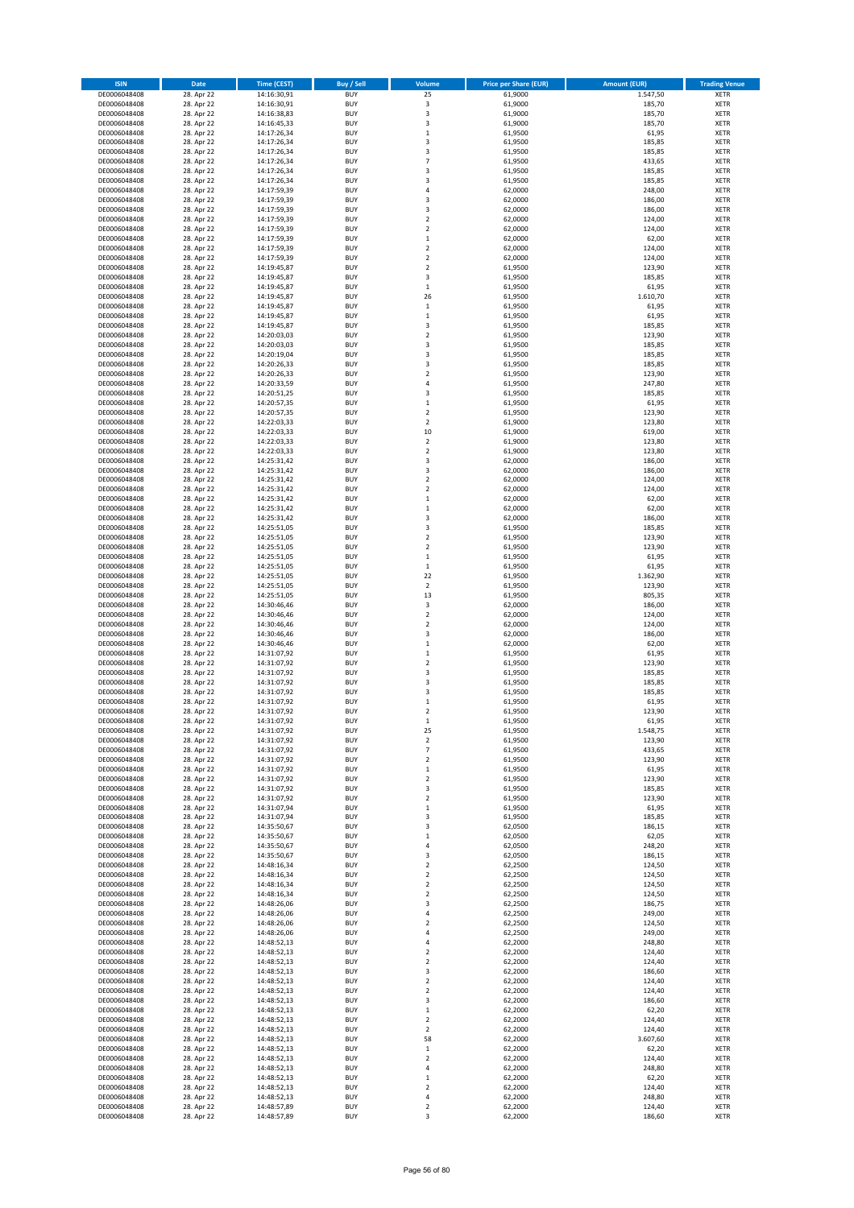| <b>ISIN</b>                  | Date                     | <b>Time (CEST)</b>         | Buy / Sell               | Volume                                 | <b>Price per Share (EUR)</b> | <b>Amount (EUR)</b> | <b>Trading Venue</b>       |
|------------------------------|--------------------------|----------------------------|--------------------------|----------------------------------------|------------------------------|---------------------|----------------------------|
| DE0006048408                 | 28. Apr 22               | 14:16:30,91                | <b>BUY</b>               | 25                                     | 61,9000                      | 1.547,50            | XETR                       |
| DE0006048408                 | 28. Apr 22               | 14:16:30,91                | <b>BUY</b>               | 3                                      | 61,9000                      | 185,70              | XETR                       |
| DE0006048408<br>DE0006048408 | 28. Apr 22<br>28. Apr 22 | 14:16:38,83<br>14:16:45,33 | <b>BUY</b><br><b>BUY</b> | 3<br>3                                 | 61,9000<br>61,9000           | 185,70<br>185,70    | XETR<br>XETR               |
| DE0006048408                 | 28. Apr 22               | 14:17:26,34                | <b>BUY</b>               | $\mathbf 1$                            | 61,9500                      | 61,95               | XETR                       |
| DE0006048408                 | 28. Apr 22               | 14:17:26,34                | <b>BUY</b>               | 3                                      | 61,9500                      | 185,85              | <b>XETR</b>                |
| DE0006048408                 | 28. Apr 22               | 14:17:26,34                | <b>BUY</b>               | 3                                      | 61,9500                      | 185,85              | <b>XETR</b>                |
| DE0006048408                 | 28. Apr 22               | 14:17:26,34                | <b>BUY</b>               | $\overline{7}$                         | 61,9500                      | 433,65              | <b>XETR</b>                |
| DE0006048408<br>DE0006048408 | 28. Apr 22<br>28. Apr 22 | 14:17:26,34                | <b>BUY</b><br><b>BUY</b> | 3<br>$\overline{\mathbf{3}}$           | 61,9500<br>61,9500           | 185,85<br>185,85    | <b>XETR</b><br><b>XETR</b> |
| DE0006048408                 | 28. Apr 22               | 14:17:26,34<br>14:17:59,39 | <b>BUY</b>               | 4                                      | 62,0000                      | 248,00              | XETR                       |
| DE0006048408                 | 28. Apr 22               | 14:17:59,39                | <b>BUY</b>               | 3                                      | 62,0000                      | 186,00              | <b>XETR</b>                |
| DE0006048408                 | 28. Apr 22               | 14:17:59,39                | <b>BUY</b>               | 3                                      | 62,0000                      | 186,00              | XETR                       |
| DE0006048408                 | 28. Apr 22               | 14:17:59,39                | <b>BUY</b>               | $\overline{\mathbf{c}}$                | 62,0000                      | 124,00              | <b>XETR</b>                |
| DE0006048408                 | 28. Apr 22               | 14:17:59,39                | <b>BUY</b>               | $\mathbf 2$                            | 62,0000                      | 124,00              | XETR                       |
| DE0006048408<br>DE0006048408 | 28. Apr 22<br>28. Apr 22 | 14:17:59,39<br>14:17:59,39 | <b>BUY</b><br><b>BUY</b> | $\mathbf 1$<br>$\mathbf 2$             | 62,0000<br>62,0000           | 62,00<br>124,00     | <b>XETR</b><br>XETR        |
| DE0006048408                 | 28. Apr 22               | 14:17:59,39                | <b>BUY</b>               | $\overline{\mathbf{c}}$                | 62,0000                      | 124,00              | <b>XETR</b>                |
| DE0006048408                 | 28. Apr 22               | 14:19:45,87                | <b>BUY</b>               | $\mathbf 2$                            | 61,9500                      | 123,90              | XETR                       |
| DE0006048408                 | 28. Apr 22               | 14:19:45,87                | <b>BUY</b>               | 3                                      | 61,9500                      | 185,85              | <b>XETR</b>                |
| DE0006048408                 | 28. Apr 22               | 14:19:45,87                | <b>BUY</b><br><b>BUY</b> | $\,$ 1<br>26                           | 61,9500                      | 61,95<br>1.610,70   | <b>XETR</b><br>XETR        |
| DE0006048408<br>DE0006048408 | 28. Apr 22<br>28. Apr 22 | 14:19:45,87<br>14:19:45,87 | <b>BUY</b>               | $\,1\,$                                | 61,9500<br>61,9500           | 61,95               | <b>XETR</b>                |
| DE0006048408                 | 28. Apr 22               | 14:19:45,87                | <b>BUY</b>               | $\mathbf 1$                            | 61,9500                      | 61,95               | <b>XETR</b>                |
| DE0006048408                 | 28. Apr 22               | 14:19:45,87                | <b>BUY</b>               | 3                                      | 61,9500                      | 185,85              | <b>XETR</b>                |
| DE0006048408                 | 28. Apr 22               | 14:20:03,03                | <b>BUY</b>               | $\overline{\mathbf{c}}$                | 61,9500                      | 123,90              | <b>XETR</b>                |
| DE0006048408                 | 28. Apr 22               | 14:20:03,03                | <b>BUY</b>               | 3                                      | 61,9500                      | 185,85              | <b>XETR</b>                |
| DE0006048408<br>DE0006048408 | 28. Apr 22<br>28. Apr 22 | 14:20:19,04<br>14:20:26,33 | <b>BUY</b><br><b>BUY</b> | 3<br>3                                 | 61,9500<br>61,9500           | 185,85<br>185,85    | <b>XETR</b><br><b>XETR</b> |
| DE0006048408                 | 28. Apr 22               | 14:20:26,33                | <b>BUY</b>               | $\mathbf 2$                            | 61,9500                      | 123,90              | <b>XETR</b>                |
| DE0006048408                 | 28. Apr 22               | 14:20:33,59                | <b>BUY</b>               | $\overline{4}$                         | 61,9500                      | 247,80              | <b>XETR</b>                |
| DE0006048408                 | 28. Apr 22               | 14:20:51,25                | <b>BUY</b>               | 3                                      | 61,9500                      | 185,85              | <b>XETR</b>                |
| DE0006048408                 | 28. Apr 22               | 14:20:57,35                | <b>BUY</b>               | $\mathbf 1$                            | 61,9500                      | 61,95               | <b>XETR</b>                |
| DE0006048408<br>DE0006048408 | 28. Apr 22<br>28. Apr 22 | 14:20:57,35<br>14:22:03,33 | <b>BUY</b><br><b>BUY</b> | $\mathbf 2$<br>$\overline{\mathbf{c}}$ | 61,9500<br>61,9000           | 123,90<br>123,80    | XETR<br><b>XETR</b>        |
| DE0006048408                 | 28. Apr 22               | 14:22:03,33                | <b>BUY</b>               | 10                                     | 61,9000                      | 619,00              | XETR                       |
| DE0006048408                 | 28. Apr 22               | 14:22:03,33                | <b>BUY</b>               | $\overline{\mathbf{c}}$                | 61,9000                      | 123,80              | <b>XETR</b>                |
| DE0006048408                 | 28. Apr 22               | 14:22:03,33                | <b>BUY</b>               | $\mathbf 2$                            | 61,9000                      | 123,80              | XETR                       |
| DE0006048408                 | 28. Apr 22               | 14:25:31,42                | <b>BUY</b>               | 3                                      | 62,0000                      | 186,00              | <b>XETR</b>                |
| DE0006048408<br>DE0006048408 | 28. Apr 22               | 14:25:31,42                | <b>BUY</b><br><b>BUY</b> | 3<br>$\overline{\mathbf{c}}$           | 62,0000                      | 186,00              | <b>XETR</b><br><b>XETR</b> |
| DE0006048408                 | 28. Apr 22<br>28. Apr 22 | 14:25:31,42<br>14:25:31,42 | <b>BUY</b>               | $\overline{\mathbf{c}}$                | 62,0000<br>62,0000           | 124,00<br>124,00    | <b>XETR</b>                |
| DE0006048408                 | 28. Apr 22               | 14:25:31,42                | <b>BUY</b>               | $\mathbf{1}$                           | 62,0000                      | 62,00               | <b>XETR</b>                |
| DE0006048408                 | 28. Apr 22               | 14:25:31,42                | <b>BUY</b>               | $\mathbf 1$                            | 62,0000                      | 62,00               | <b>XETR</b>                |
| DE0006048408                 | 28. Apr 22               | 14:25:31,42                | <b>BUY</b>               | 3                                      | 62,0000                      | 186,00              | <b>XETR</b>                |
| DE0006048408                 | 28. Apr 22               | 14:25:51,05                | <b>BUY</b>               | 3                                      | 61,9500                      | 185,85              | XETR                       |
| DE0006048408<br>DE0006048408 | 28. Apr 22<br>28. Apr 22 | 14:25:51,05<br>14:25:51,05 | <b>BUY</b><br><b>BUY</b> | 2<br>$\overline{\mathbf{c}}$           | 61,9500<br>61,9500           | 123,90<br>123,90    | XETR<br><b>XETR</b>        |
| DE0006048408                 | 28. Apr 22               | 14:25:51,05                | <b>BUY</b>               | $\mathbf 1$                            | 61,9500                      | 61,95               | <b>XETR</b>                |
| DE0006048408                 | 28. Apr 22               | 14:25:51,05                | <b>BUY</b>               | $\mathbf 1$                            | 61,9500                      | 61,95               | XETR                       |
| DE0006048408                 | 28. Apr 22               | 14:25:51,05                | <b>BUY</b>               | 22                                     | 61,9500                      | 1.362,90            | <b>XETR</b>                |
| DE0006048408                 | 28. Apr 22               | 14:25:51,05                | <b>BUY</b><br><b>BUY</b> | $\mathbf 2$                            | 61,9500                      | 123,90              | <b>XETR</b>                |
| DE0006048408<br>DE0006048408 | 28. Apr 22<br>28. Apr 22 | 14:25:51,05<br>14:30:46,46 | <b>BUY</b>               | 13<br>3                                | 61,9500<br>62,0000           | 805,35<br>186,00    | <b>XETR</b><br><b>XETR</b> |
| DE0006048408                 | 28. Apr 22               | 14:30:46,46                | <b>BUY</b>               | $\mathbf 2$                            | 62,0000                      | 124,00              | XETR                       |
| DE0006048408                 | 28. Apr 22               | 14:30:46,46                | <b>BUY</b>               | $\overline{\mathbf{c}}$                | 62,0000                      | 124,00              | <b>XETR</b>                |
| DE0006048408                 | 28. Apr 22               | 14:30:46,46                | <b>BUY</b>               | 3                                      | 62,0000                      | 186,00              | <b>XETR</b>                |
| DE0006048408                 | 28. Apr 22               | 14:30:46,46                | <b>BUY</b><br><b>BUY</b> | $\mathbf 1$                            | 62,0000                      | 62,00               | <b>XETR</b><br><b>XETR</b> |
| DE0006048408<br>DE0006048408 | 28. Apr 22<br>28. Apr 22 | 14:31:07,92<br>14:31:07,92 | <b>BUY</b>               | $\mathbf 1$<br>$\mathbf 2$             | 61,9500<br>61,9500           | 61,95<br>123,90     | <b>XETR</b>                |
| DE0006048408                 | 28. Apr 22               | 14:31:07,92                | <b>BUY</b>               | 3                                      | 61,9500                      | 185,85              | XETR                       |
| DE0006048408                 | 28. Apr 22               | 14:31:07,92                | <b>BUY</b>               | 3                                      | 61,9500                      | 185,85              | <b>XETR</b>                |
| DE0006048408                 | 28. Apr 22               | 14:31:07,92                | <b>BUY</b>               | 3                                      | 61,9500                      | 185,85              | XETR                       |
| DE0006048408<br>DE0006048408 | 28. Apr 22               | 14:31:07,92<br>14:31:07,92 | <b>BUY</b><br><b>BUY</b> | $\mathbf 1$<br>$\mathbf 2$             | 61,9500<br>61,9500           | 61,95<br>123,90     | <b>XETR</b><br>XETR        |
| DE0006048408                 | 28. Apr 22<br>28. Apr 22 | 14:31:07,92                | <b>BUY</b>               | $\mathbf{1}$                           | 61,9500                      | 61,95               | XETR                       |
| DE0006048408                 | 28. Apr 22               | 14:31:07,92                | <b>BUY</b>               | 25                                     | 61,9500                      | 1.548,75            | XETR                       |
| DE0006048408                 | 28. Apr 22               | 14:31:07,92                | <b>BUY</b>               | $\mathbf 2$                            | 61,9500                      | 123,90              | XETR                       |
| DE0006048408                 | 28. Apr 22               | 14:31:07,92                | <b>BUY</b>               | 7                                      | 61,9500                      | 433,65              | XETR                       |
| DE0006048408                 | 28. Apr 22               | 14:31:07,92<br>14:31:07,92 | <b>BUY</b><br><b>BUY</b> | $\mathbf 2$                            | 61,9500<br>61,9500           | 123,90<br>61,95     | <b>XETR</b><br>XETR        |
| DE0006048408<br>DE0006048408 | 28. Apr 22<br>28. Apr 22 | 14:31:07,92                | <b>BUY</b>               | 1<br>$\mathbf 2$                       | 61.9500                      | 123,90              | <b>XETR</b>                |
| DE0006048408                 | 28. Apr 22               | 14:31:07,92                | <b>BUY</b>               | 3                                      | 61,9500                      | 185,85              | XETR                       |
| DE0006048408                 | 28. Apr 22               | 14:31:07,92                | <b>BUY</b>               | $\mathbf 2$                            | 61,9500                      | 123,90              | <b>XETR</b>                |
| DE0006048408                 | 28. Apr 22               | 14:31:07,94                | <b>BUY</b>               | $\mathbf 1$                            | 61,9500                      | 61,95               | XETR                       |
| DE0006048408<br>DE0006048408 | 28. Apr 22<br>28. Apr 22 | 14:31:07,94<br>14:35:50,67 | <b>BUY</b><br><b>BUY</b> | 3<br>3                                 | 61,9500<br>62,0500           | 185,85<br>186,15    | <b>XETR</b><br>XETR        |
| DE0006048408                 | 28. Apr 22               | 14:35:50,67                | <b>BUY</b>               | $\mathbf 1$                            | 62,0500                      | 62,05               | <b>XETR</b>                |
| DE0006048408                 | 28. Apr 22               | 14:35:50,67                | <b>BUY</b>               | 4                                      | 62,0500                      | 248,20              | XETR                       |
| DE0006048408                 | 28. Apr 22               | 14:35:50,67                | <b>BUY</b>               | 3                                      | 62,0500                      | 186,15              | <b>XETR</b>                |
| DE0006048408                 | 28. Apr 22               | 14:48:16,34                | <b>BUY</b>               | $\mathbf 2$                            | 62,2500                      | 124,50              | XETR                       |
| DE0006048408<br>DE0006048408 | 28. Apr 22<br>28. Apr 22 | 14:48:16,34<br>14:48:16,34 | <b>BUY</b><br><b>BUY</b> | $\mathbf 2$<br>2                       | 62,2500<br>62,2500           | 124,50<br>124,50    | <b>XETR</b><br><b>XETR</b> |
| DE0006048408                 | 28. Apr 22               | 14:48:16,34                | <b>BUY</b>               | 2                                      | 62,2500                      | 124,50              | <b>XETR</b>                |
| DE0006048408                 | 28. Apr 22               | 14:48:26,06                | <b>BUY</b>               | 3                                      | 62,2500                      | 186,75              | XETR                       |
| DE0006048408                 | 28. Apr 22               | 14:48:26,06                | <b>BUY</b>               | 4                                      | 62,2500                      | 249,00              | <b>XETR</b>                |
| DE0006048408                 | 28. Apr 22               | 14:48:26,06                | <b>BUY</b><br><b>BUY</b> | 2                                      | 62,2500                      | 124,50<br>249,00    | <b>XETR</b><br>XETR        |
| DE0006048408<br>DE0006048408 | 28. Apr 22<br>28. Apr 22 | 14:48:26,06<br>14:48:52,13 | <b>BUY</b>               | 4<br>4                                 | 62,2500<br>62,2000           | 248,80              | <b>XETR</b>                |
| DE0006048408                 | 28. Apr 22               | 14:48:52,13                | <b>BUY</b>               | $\mathbf 2$                            | 62,2000                      | 124,40              | XETR                       |
| DE0006048408                 | 28. Apr 22               | 14:48:52,13                | <b>BUY</b>               | $\mathbf 2$                            | 62,2000                      | 124,40              | <b>XETR</b>                |
| DE0006048408                 | 28. Apr 22               | 14:48:52,13                | <b>BUY</b>               | 3                                      | 62,2000                      | 186,60              | XETR                       |
| DE0006048408                 | 28. Apr 22               | 14:48:52,13                | <b>BUY</b>               | $\mathbf 2$                            | 62,2000                      | 124,40              | <b>XETR</b>                |
| DE0006048408<br>DE0006048408 | 28. Apr 22<br>28. Apr 22 | 14:48:52,13<br>14:48:52,13 | <b>BUY</b><br><b>BUY</b> | $\mathbf 2$<br>3                       | 62,2000<br>62,2000           | 124,40<br>186,60    | XETR<br><b>XETR</b>        |
| DE0006048408                 | 28. Apr 22               | 14:48:52,13                | <b>BUY</b>               | $\mathbf 1$                            | 62,2000                      | 62,20               | XETR                       |
| DE0006048408                 | 28. Apr 22               | 14:48:52,13                | <b>BUY</b>               | $\mathbf 2$                            | 62,2000                      | 124,40              | <b>XETR</b>                |
| DE0006048408                 | 28. Apr 22               | 14:48:52,13                | <b>BUY</b>               | 2                                      | 62,2000                      | 124,40              | XETR                       |
| DE0006048408                 | 28. Apr 22               | 14:48:52,13                | <b>BUY</b>               | 58                                     | 62,2000                      | 3.607,60            | <b>XETR</b>                |
| DE0006048408<br>DE0006048408 | 28. Apr 22<br>28. Apr 22 | 14:48:52,13<br>14:48:52,13 | <b>BUY</b><br><b>BUY</b> | 1<br>2                                 | 62,2000<br>62,2000           | 62,20<br>124,40     | <b>XETR</b><br><b>XETR</b> |
| DE0006048408                 | 28. Apr 22               | 14:48:52,13                | <b>BUY</b>               | 4                                      | 62,2000                      | 248,80              | XETR                       |
| DE0006048408                 | 28. Apr 22               | 14:48:52,13                | <b>BUY</b>               | $\mathbf 1$                            | 62,2000                      | 62,20               | <b>XETR</b>                |
| DE0006048408                 | 28. Apr 22               | 14:48:52,13                | <b>BUY</b>               | $\mathbf 2$                            | 62,2000                      | 124,40              | XETR                       |
| DE0006048408<br>DE0006048408 | 28. Apr 22<br>28. Apr 22 | 14:48:52,13<br>14:48:57,89 | <b>BUY</b><br><b>BUY</b> | 4<br>$\mathbf 2$                       | 62,2000<br>62,2000           | 248,80<br>124,40    | XETR<br>XETR               |
| DE0006048408                 | 28. Apr 22               | 14:48:57,89                | <b>BUY</b>               | 3                                      | 62,2000                      | 186,60              | <b>XETR</b>                |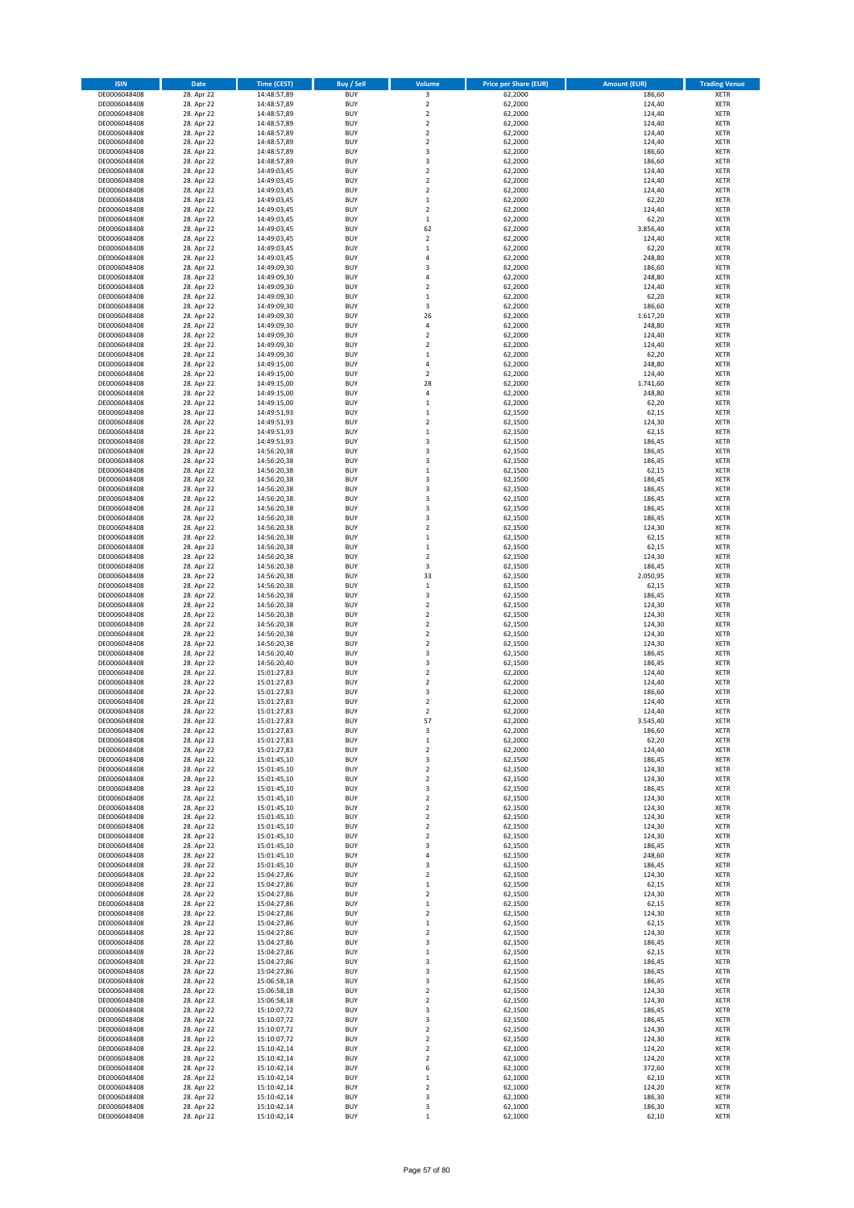| <b>ISIN</b>                  | Date                     | <b>Time (CEST)</b>         | Buy / Sell               | Volume                      | <b>Price per Share (EUR)</b> | <b>Amount (EUR)</b> | <b>Trading Venue</b>       |
|------------------------------|--------------------------|----------------------------|--------------------------|-----------------------------|------------------------------|---------------------|----------------------------|
| DE0006048408                 | 28. Apr 22               | 14:48:57,89                | <b>BUY</b>               | 3                           | 62,2000                      | 186,60              | XETR                       |
| DE0006048408                 | 28. Apr 22               | 14:48:57,89                | <b>BUY</b>               | $\mathbf 2$                 | 62,2000                      | 124,40              | XETR                       |
| DE0006048408<br>DE0006048408 | 28. Apr 22<br>28. Apr 22 | 14:48:57,89<br>14:48:57,89 | <b>BUY</b><br><b>BUY</b> | $\mathbf 2$<br>$\mathbf 2$  | 62,2000<br>62,2000           | 124,40<br>124,40    | XETR<br>XETR               |
| DE0006048408                 | 28. Apr 22               | 14:48:57,89                | <b>BUY</b>               | $\mathbf 2$                 | 62,2000                      | 124,40              | XETR                       |
| DE0006048408                 | 28. Apr 22               | 14:48:57,89                | <b>BUY</b>               | $\mathbf 2$                 | 62,2000                      | 124,40              | <b>XETR</b>                |
| DE0006048408                 | 28. Apr 22               | 14:48:57,89                | <b>BUY</b>               | 3                           | 62,2000                      | 186,60              | <b>XETR</b>                |
| DE0006048408                 | 28. Apr 22               | 14:48:57,89                | <b>BUY</b>               | 3                           | 62,2000                      | 186,60              | <b>XETR</b>                |
| DE0006048408                 | 28. Apr 22<br>28. Apr 22 | 14:49:03,45                | <b>BUY</b><br><b>BUY</b> | $\mathbf 2$<br>$\mathbf 2$  | 62,2000<br>62,2000           | 124,40<br>124,40    | <b>XETR</b><br><b>XETR</b> |
| DE0006048408<br>DE0006048408 | 28. Apr 22               | 14:49:03,45<br>14:49:03,45 | <b>BUY</b>               | $\mathbf 2$                 | 62,2000                      | 124,40              | <b>XETR</b>                |
| DE0006048408                 | 28. Apr 22               | 14:49:03,45                | <b>BUY</b>               | $\mathbf 1$                 | 62,2000                      | 62,20               | <b>XETR</b>                |
| DE0006048408                 | 28. Apr 22               | 14:49:03,45                | <b>BUY</b>               | $\mathbf 2$                 | 62,2000                      | 124,40              | XETR                       |
| DE0006048408                 | 28. Apr 22               | 14:49:03,45                | <b>BUY</b>               | $\mathbf 1$                 | 62,2000                      | 62,20               | <b>XETR</b>                |
| DE0006048408                 | 28. Apr 22               | 14:49:03,45                | <b>BUY</b>               | 62                          | 62,2000                      | 3.856,40            | XETR                       |
| DE0006048408<br>DE0006048408 | 28. Apr 22<br>28. Apr 22 | 14:49:03,45<br>14:49:03,45 | <b>BUY</b><br><b>BUY</b> | $\mathbf 2$<br>$\mathbf 1$  | 62,2000<br>62,2000           | 124,40<br>62,20     | <b>XETR</b><br>XETR        |
| DE0006048408                 | 28. Apr 22               | 14:49:03,45                | <b>BUY</b>               | 4                           | 62,2000                      | 248,80              | <b>XETR</b>                |
| DE0006048408                 | 28. Apr 22               | 14:49:09,30                | <b>BUY</b>               | 3                           | 62,2000                      | 186,60              | XETR                       |
| DE0006048408                 | 28. Apr 22               | 14:49:09,30                | <b>BUY</b>               | 4                           | 62,2000                      | 248,80              | <b>XETR</b>                |
| DE0006048408<br>DE0006048408 | 28. Apr 22<br>28. Apr 22 | 14:49:09,30<br>14:49:09,30 | <b>BUY</b><br><b>BUY</b> | $\mathbf 2$<br>$\mathbf 1$  | 62,2000<br>62,2000           | 124,40<br>62,20     | XETR<br>XETR               |
| DE0006048408                 | 28. Apr 22               | 14:49:09,30                | <b>BUY</b>               | 3                           | 62,2000                      | 186,60              | <b>XETR</b>                |
| DE0006048408                 | 28. Apr 22               | 14:49:09,30                | <b>BUY</b>               | 26                          | 62,2000                      | 1.617,20            | <b>XETR</b>                |
| DE0006048408                 | 28. Apr 22               | 14:49:09,30                | <b>BUY</b>               | 4                           | 62,2000                      | 248,80              | <b>XETR</b>                |
| DE0006048408                 | 28. Apr 22               | 14:49:09,30                | <b>BUY</b>               | $\mathbf 2$                 | 62,2000                      | 124,40              | <b>XETR</b>                |
| DE0006048408                 | 28. Apr 22               | 14:49:09,30                | <b>BUY</b>               | $\mathbf 2$                 | 62,2000                      | 124,40              | <b>XETR</b>                |
| DE0006048408<br>DE0006048408 | 28. Apr 22<br>28. Apr 22 | 14:49:09,30<br>14:49:15,00 | <b>BUY</b><br><b>BUY</b> | $\mathbf 1$<br>4            | 62,2000<br>62,2000           | 62,20<br>248,80     | <b>XETR</b><br><b>XETR</b> |
| DE0006048408                 | 28. Apr 22               | 14:49:15,00                | <b>BUY</b>               | $\mathbf 2$                 | 62,2000                      | 124,40              | <b>XETR</b>                |
| DE0006048408                 | 28. Apr 22               | 14:49:15,00                | <b>BUY</b>               | 28                          | 62,2000                      | 1.741,60            | <b>XETR</b>                |
| DE0006048408                 | 28. Apr 22               | 14:49:15,00                | <b>BUY</b>               | 4                           | 62,2000                      | 248,80              | <b>XETR</b>                |
| DE0006048408                 | 28. Apr 22               | 14:49:15,00                | <b>BUY</b><br><b>BUY</b> | $\mathbf 1$<br>$\mathbf{1}$ | 62,2000                      | 62,20<br>62,15      | <b>XETR</b><br>XETR        |
| DE0006048408<br>DE0006048408 | 28. Apr 22<br>28. Apr 22 | 14:49:51,93<br>14:49:51,93 | <b>BUY</b>               | $\mathbf 2$                 | 62,1500<br>62,1500           | 124,30              | <b>XETR</b>                |
| DE0006048408                 | 28. Apr 22               | 14:49:51,93                | <b>BUY</b>               | $\mathbf 1$                 | 62,1500                      | 62,15               | XETR                       |
| DE0006048408                 | 28. Apr 22               | 14:49:51,93                | <b>BUY</b>               | 3                           | 62,1500                      | 186,45              | <b>XETR</b>                |
| DE0006048408                 | 28. Apr 22               | 14:56:20,38                | <b>BUY</b>               | 3                           | 62,1500                      | 186,45              | XETR                       |
| DE0006048408                 | 28. Apr 22               | 14:56:20,38                | <b>BUY</b>               | 3                           | 62,1500                      | 186,45              | <b>XETR</b>                |
| DE0006048408<br>DE0006048408 | 28. Apr 22<br>28. Apr 22 | 14:56:20,38                | <b>BUY</b><br><b>BUY</b> | $\mathbf{1}$<br>3           | 62,1500<br>62,1500           | 62,15<br>186,45     | <b>XETR</b><br><b>XETR</b> |
| DE0006048408                 | 28. Apr 22               | 14:56:20,38<br>14:56:20,38 | <b>BUY</b>               | 3                           | 62,1500                      | 186,45              | <b>XETR</b>                |
| DE0006048408                 | 28. Apr 22               | 14:56:20,38                | <b>BUY</b>               | 3                           | 62,1500                      | 186,45              | <b>XETR</b>                |
| DE0006048408                 | 28. Apr 22               | 14:56:20,38                | <b>BUY</b>               | 3                           | 62,1500                      | 186,45              | <b>XETR</b>                |
| DE0006048408                 | 28. Apr 22               | 14:56:20,38                | <b>BUY</b>               | 3                           | 62,1500                      | 186,45              | <b>XETR</b>                |
| DE0006048408                 | 28. Apr 22               | 14:56:20,38                | <b>BUY</b>               | $\mathbf 2$                 | 62,1500                      | 124,30              | XETR                       |
| DE0006048408<br>DE0006048408 | 28. Apr 22<br>28. Apr 22 | 14:56:20,38<br>14:56:20,38 | <b>BUY</b><br><b>BUY</b> | $\mathbf 1$<br>$\mathbf 1$  | 62,1500<br>62,1500           | 62,15<br>62,15      | XETR<br><b>XETR</b>        |
| DE0006048408                 | 28. Apr 22               | 14:56:20,38                | <b>BUY</b>               | $\mathbf 2$                 | 62,1500                      | 124,30              | <b>XETR</b>                |
| DE0006048408                 | 28. Apr 22               | 14:56:20,38                | <b>BUY</b>               | 3                           | 62,1500                      | 186,45              | <b>XETR</b>                |
| DE0006048408                 | 28. Apr 22               | 14:56:20,38                | <b>BUY</b>               | 33                          | 62,1500                      | 2.050,95            | <b>XETR</b>                |
| DE0006048408                 | 28. Apr 22               | 14:56:20,38                | <b>BUY</b>               | $\mathbf 1$                 | 62,1500                      | 62,15               | <b>XETR</b>                |
| DE0006048408<br>DE0006048408 | 28. Apr 22               | 14:56:20,38                | <b>BUY</b><br><b>BUY</b> | 3<br>$\mathbf 2$            | 62,1500                      | 186,45<br>124,30    | <b>XETR</b><br><b>XETR</b> |
| DE0006048408                 | 28. Apr 22<br>28. Apr 22 | 14:56:20,38<br>14:56:20,38 | <b>BUY</b>               | $\mathbf 2$                 | 62,1500<br>62,1500           | 124,30              | XETR                       |
| DE0006048408                 | 28. Apr 22               | 14:56:20,38                | <b>BUY</b>               | $\overline{\mathbf{c}}$     | 62,1500                      | 124,30              | <b>XETR</b>                |
| DE0006048408                 | 28. Apr 22               | 14:56:20,38                | <b>BUY</b>               | $\mathbf 2$                 | 62,1500                      | 124,30              | <b>XETR</b>                |
| DE0006048408                 | 28. Apr 22               | 14:56:20,38                | <b>BUY</b>               | $\overline{\mathbf{c}}$     | 62,1500                      | 124,30              | <b>XETR</b>                |
| DE0006048408                 | 28. Apr 22               | 14:56:20,40                | <b>BUY</b>               | 3                           | 62,1500                      | 186,45              | <b>XETR</b>                |
| DE0006048408<br>DE0006048408 | 28. Apr 22<br>28. Apr 22 | 14:56:20,40<br>15:01:27,83 | <b>BUY</b><br><b>BUY</b> | 3<br>$\mathbf 2$            | 62,1500<br>62,2000           | 186,45<br>124,40    | <b>XETR</b><br>XETR        |
| DE0006048408                 | 28. Apr 22               | 15:01:27,83                | <b>BUY</b>               | $\overline{\mathbf{c}}$     | 62,2000                      | 124,40              | <b>XETR</b>                |
| DE0006048408                 | 28. Apr 22               | 15:01:27,83                | <b>BUY</b>               | 3                           | 62,2000                      | 186,60              | XETR                       |
| DE0006048408                 | 28. Apr 22               | 15:01:27,83                | <b>BUY</b>               | $\overline{\mathbf{c}}$     | 62,2000                      | 124,40              | <b>XETR</b>                |
| DE0006048408                 | 28. Apr 22               | 15:01:27,83                | <b>BUY</b>               | $\mathbf 2$                 | 62,2000                      | 124,40              | XETR                       |
| DE0006048408<br>DE0006048408 | 28. Apr 22<br>28. Apr 22 | 15:01:27,83<br>15:01:27,83 | <b>BUY</b><br><b>BUY</b> | 57<br>3                     | 62,2000<br>62,2000           | 3.545,40<br>186,60  | XETR<br><b>XETR</b>        |
| DE0006048408                 | 28. Apr 22               | 15:01:27,83                | <b>BUY</b>               | $\mathbf 1$                 | 62,2000                      | 62,20               | XETR                       |
| DE0006048408                 | 28. Apr 22               | 15:01:27,83                | <b>BUY</b>               | 2                           | 62,2000                      | 124,40              | XETR                       |
| DE0006048408                 | 28. Apr 22               | 15:01:45,10                | <b>BUY</b>               | 3                           | 62,1500                      | 186,45              | <b>XETR</b>                |
| DE0006048408                 | 28. Apr 22               | 15:01:45,10                | <b>BUY</b>               | $\mathbf 2$                 | 62,1500                      | 124,30              | XETR                       |
| DE0006048408<br>DE0006048408 | 28. Apr 22<br>28. Apr 22 | 15:01:45,10<br>15:01:45,10 | <b>BUY</b><br><b>BUY</b> | $\mathbf 2$<br>3            | 62,1500<br>62,1500           | 124,30<br>186,45    | <b>XETR</b><br>XETR        |
| DE0006048408                 | 28. Apr 22               | 15:01:45,10                | <b>BUY</b>               | $\mathbf 2$                 | 62,1500                      | 124,30              | <b>XETR</b>                |
| DE0006048408                 | 28. Apr 22               | 15:01:45,10                | <b>BUY</b>               | $\mathbf 2$                 | 62,1500                      | 124,30              | XETR                       |
| DE0006048408                 | 28. Apr 22               | 15:01:45,10                | <b>BUY</b>               | 2                           | 62,1500                      | 124,30              | <b>XETR</b>                |
| DE0006048408                 | 28. Apr 22               | 15:01:45,10                | <b>BUY</b>               | $\mathbf 2$                 | 62,1500                      | 124,30              | XETR                       |
| DE0006048408<br>DE0006048408 | 28. Apr 22<br>28. Apr 22 | 15:01:45,10<br>15:01:45,10 | <b>BUY</b><br><b>BUY</b> | $\mathbf 2$<br>3            | 62,1500<br>62,1500           | 124,30<br>186,45    | <b>XETR</b><br>XETR        |
| DE0006048408                 | 28. Apr 22               | 15:01:45,10                | <b>BUY</b>               | 4                           | 62,1500                      | 248,60              | <b>XETR</b>                |
| DE0006048408                 | 28. Apr 22               | 15:01:45,10                | <b>BUY</b>               | 3                           | 62,1500                      | 186,45              | XETR                       |
| DE0006048408                 | 28. Apr 22               | 15:04:27,86                | <b>BUY</b>               | 2                           | 62,1500                      | 124,30              | <b>XETR</b>                |
| DE0006048408                 | 28. Apr 22               | 15:04:27,86                | <b>BUY</b>               | 1                           | 62,1500                      | 62,15               | <b>XETR</b>                |
| DE0006048408<br>DE0006048408 | 28. Apr 22<br>28. Apr 22 | 15:04:27,86<br>15:04:27,86 | <b>BUY</b><br><b>BUY</b> | 2<br>$\mathbf 1$            | 62,1500<br>62,1500           | 124,30<br>62,15     | <b>XETR</b><br>XETR        |
| DE0006048408                 | 28. Apr 22               | 15:04:27,86                | <b>BUY</b>               | $\mathbf 2$                 | 62,1500                      | 124,30              | <b>XETR</b>                |
| DE0006048408                 | 28. Apr 22               | 15:04:27,86                | <b>BUY</b>               | $\mathbf 1$                 | 62,1500                      | 62,15               | <b>XETR</b>                |
| DE0006048408                 | 28. Apr 22               | 15:04:27,86                | <b>BUY</b>               | $\mathbf 2$                 | 62,1500                      | 124,30              | XETR                       |
| DE0006048408                 | 28. Apr 22               | 15:04:27,86                | <b>BUY</b>               | 3                           | 62,1500                      | 186,45              | <b>XETR</b>                |
| DE0006048408<br>DE0006048408 | 28. Apr 22<br>28. Apr 22 | 15:04:27,86<br>15:04:27,86 | <b>BUY</b><br><b>BUY</b> | $\mathbf 1$<br>3            | 62,1500<br>62,1500           | 62,15<br>186,45     | XETR<br><b>XETR</b>        |
| DE0006048408                 | 28. Apr 22               | 15:04:27,86                | <b>BUY</b>               | 3                           | 62,1500                      | 186,45              | XETR                       |
| DE0006048408                 | 28. Apr 22               | 15:06:58,18                | <b>BUY</b>               | 3                           | 62,1500                      | 186,45              | <b>XETR</b>                |
| DE0006048408                 | 28. Apr 22               | 15:06:58,18                | <b>BUY</b>               | $\mathbf 2$                 | 62,1500                      | 124,30              | XETR                       |
| DE0006048408                 | 28. Apr 22               | 15:06:58,18                | <b>BUY</b>               | $\mathbf 2$                 | 62,1500                      | 124,30              | <b>XETR</b>                |
| DE0006048408<br>DE0006048408 | 28. Apr 22<br>28. Apr 22 | 15:10:07,72<br>15:10:07,72 | <b>BUY</b><br><b>BUY</b> | 3<br>3                      | 62,1500<br>62,1500           | 186,45<br>186,45    | XETR<br><b>XETR</b>        |
| DE0006048408                 | 28. Apr 22               | 15:10:07,72                | <b>BUY</b>               | $\mathbf 2$                 | 62,1500                      | 124,30              | XETR                       |
| DE0006048408                 | 28. Apr 22               | 15:10:07,72                | <b>BUY</b>               | $\overline{\mathbf{c}}$     | 62,1500                      | 124,30              | <b>XETR</b>                |
| DE0006048408                 | 28. Apr 22               | 15:10:42,14                | <b>BUY</b>               | 2                           | 62,1000                      | 124,20              | <b>XETR</b>                |
| DE0006048408                 | 28. Apr 22               | 15:10:42,14                | <b>BUY</b>               | 2                           | 62,1000                      | 124,20              | <b>XETR</b>                |
| DE0006048408<br>DE0006048408 | 28. Apr 22<br>28. Apr 22 | 15:10:42,14<br>15:10:42,14 | <b>BUY</b><br><b>BUY</b> | 6<br>$\mathbf 1$            | 62,1000<br>62,1000           | 372,60<br>62,10     | XETR<br><b>XETR</b>        |
| DE0006048408                 | 28. Apr 22               | 15:10:42,14                | <b>BUY</b>               | $\boldsymbol{2}$            | 62,1000                      | 124,20              | XETR                       |
| DE0006048408                 | 28. Apr 22               | 15:10:42,14                | <b>BUY</b>               | 3                           | 62,1000                      | 186,30              | XETR                       |
| DE0006048408                 | 28. Apr 22               | 15:10:42,14                | <b>BUY</b>               | 3                           | 62,1000                      | 186,30              | XETR                       |
| DE0006048408                 | 28. Apr 22               | 15:10:42,14                | <b>BUY</b>               | $\mathbf 1$                 | 62,1000                      | 62,10               | <b>XETR</b>                |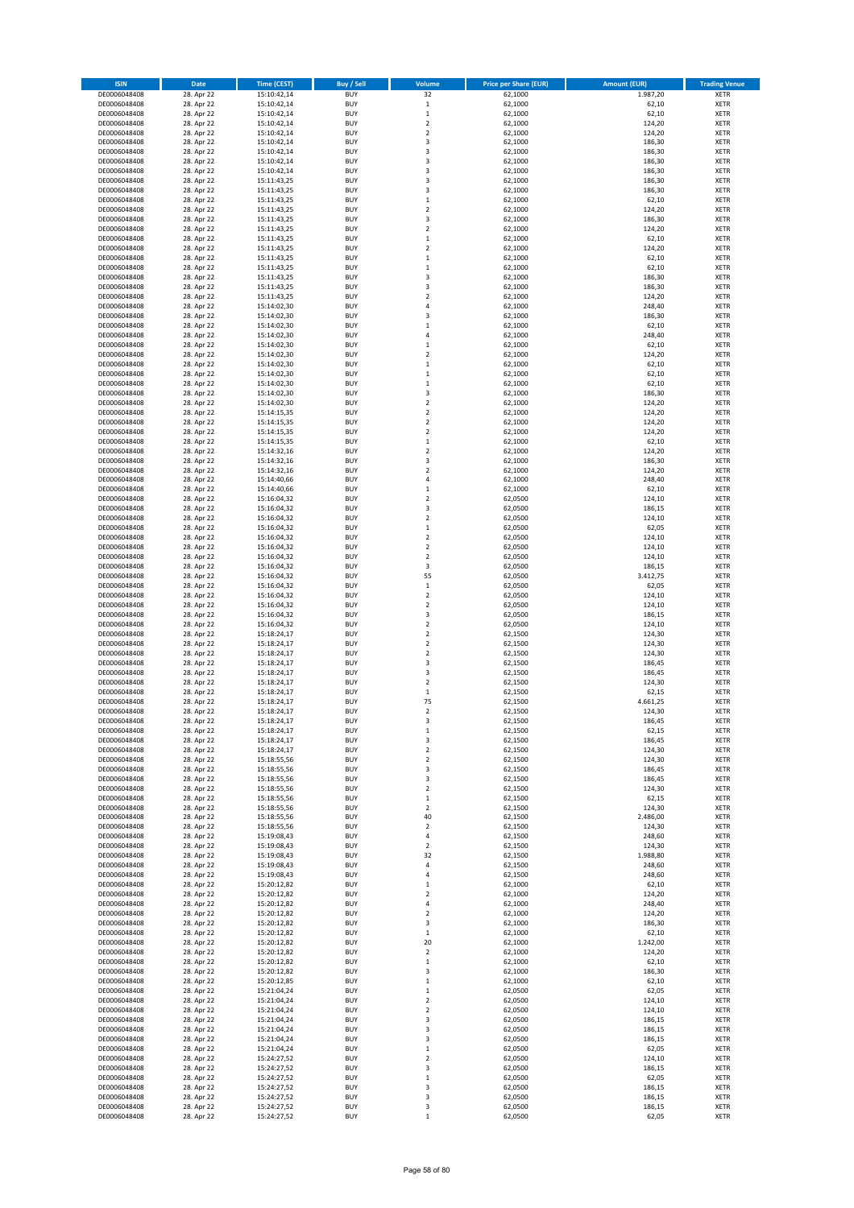| <b>ISIN</b>                  | Date                     | <b>Time (CEST)</b>         | <b>Buy / Sell</b>        | Volume                                              | <b>Price per Share (EUR)</b> | <b>Amount (EUR)</b> | <b>Trading Venue</b>       |
|------------------------------|--------------------------|----------------------------|--------------------------|-----------------------------------------------------|------------------------------|---------------------|----------------------------|
| DE0006048408                 | 28. Apr 22               | 15:10:42,14                | <b>BUY</b>               | 32                                                  | 62,1000                      | 1.987,20            | XETR                       |
| DE0006048408                 | 28. Apr 22               | 15:10:42,14                | <b>BUY</b>               | $\,$ 1 $\,$                                         | 62,1000                      | 62,10               | XETR                       |
| DE0006048408                 | 28. Apr 22               | 15:10:42,14                | <b>BUY</b>               | $\,$ 1 $\,$                                         | 62,1000                      | 62,10               | <b>XETR</b>                |
| DE0006048408                 | 28. Apr 22<br>28. Apr 22 | 15:10:42,14                | <b>BUY</b><br><b>BUY</b> | $\mathbf 2$<br>$\overline{2}$                       | 62,1000<br>62,1000           | 124,20<br>124,20    | <b>XETR</b><br><b>XETR</b> |
| DE0006048408<br>DE0006048408 | 28. Apr 22               | 15:10:42,14<br>15:10:42,14 | <b>BUY</b>               | $\overline{\mathbf{3}}$                             | 62,1000                      | 186,30              | <b>XETR</b>                |
| DE0006048408                 | 28. Apr 22               | 15:10:42,14                | <b>BUY</b>               | $\overline{\mathbf{3}}$                             | 62,1000                      | 186,30              | <b>XETR</b>                |
| DE0006048408                 | 28. Apr 22               | 15:10:42,14                | <b>BUY</b>               | $\overline{\mathbf{3}}$                             | 62,1000                      | 186,30              | <b>XETR</b>                |
| DE0006048408                 | 28. Apr 22               | 15:10:42,14                | <b>BUY</b>               | $\overline{\mathbf{3}}$                             | 62,1000                      | 186,30              | XETR                       |
| DE0006048408                 | 28. Apr 22               | 15:11:43,25                | <b>BUY</b>               | $\overline{\mathbf{3}}$                             | 62,1000                      | 186,30              | <b>XETR</b>                |
| DE0006048408                 | 28. Apr 22               | 15:11:43,25                | <b>BUY</b>               | $\overline{\mathbf{3}}$                             | 62,1000                      | 186,30              | XETR                       |
| DE0006048408<br>DE0006048408 | 28. Apr 22<br>28. Apr 22 | 15:11:43,25<br>15:11:43,25 | <b>BUY</b><br><b>BUY</b> | $\mathbf{1}$<br>$\mathbf 2$                         | 62,1000<br>62,1000           | 62,10<br>124,20     | <b>XETR</b><br>XETR        |
| DE0006048408                 | 28. Apr 22               | 15:11:43,25                | <b>BUY</b>               | $\overline{\mathbf{3}}$                             | 62,1000                      | 186,30              | <b>XETR</b>                |
| DE0006048408                 | 28. Apr 22               | 15:11:43,25                | <b>BUY</b>               | $\overline{2}$                                      | 62,1000                      | 124,20              | <b>XETR</b>                |
| DE0006048408                 | 28. Apr 22               | 15:11:43,25                | <b>BUY</b>               | $\mathbf{1}$                                        | 62,1000                      | 62,10               | <b>XETR</b>                |
| DE0006048408                 | 28. Apr 22               | 15:11:43,25                | <b>BUY</b>               | $\mathbf 2$                                         | 62,1000                      | 124,20              | XETR                       |
| DE0006048408                 | 28. Apr 22               | 15:11:43,25                | <b>BUY</b>               | $\mathbf{1}$                                        | 62,1000                      | 62,10               | <b>XETR</b>                |
| DE0006048408                 | 28. Apr 22               | 15:11:43,25                | <b>BUY</b>               | $\mathbf{1}$                                        | 62,1000                      | 62,10               | <b>XETR</b>                |
| DE0006048408                 | 28. Apr 22               | 15:11:43,25                | <b>BUY</b><br><b>BUY</b> | 3<br>3                                              | 62,1000                      | 186,30              | <b>XETR</b>                |
| DE0006048408<br>DE0006048408 | 28. Apr 22<br>28. Apr 22 | 15:11:43,25<br>15:11:43,25 | <b>BUY</b>               | $\overline{2}$                                      | 62,1000<br>62,1000           | 186,30<br>124,20    | XETR<br><b>XETR</b>        |
| DE0006048408                 | 28. Apr 22               | 15:14:02,30                | <b>BUY</b>               | $\overline{a}$                                      | 62,1000                      | 248,40              | <b>XETR</b>                |
| DE0006048408                 | 28. Apr 22               | 15:14:02,30                | <b>BUY</b>               | $\overline{\mathbf{3}}$                             | 62,1000                      | 186,30              | <b>XETR</b>                |
| DE0006048408                 | 28. Apr 22               | 15:14:02,30                | <b>BUY</b>               | $\mathbf{1}$                                        | 62,1000                      | 62,10               | <b>XETR</b>                |
| DE0006048408                 | 28. Apr 22               | 15:14:02,30                | <b>BUY</b>               | $\overline{4}$                                      | 62,1000                      | 248,40              | <b>XETR</b>                |
| DE0006048408                 | 28. Apr 22               | 15:14:02,30                | <b>BUY</b>               | $\mathbf{1}$                                        | 62,1000                      | 62,10               | <b>XETR</b>                |
| DE0006048408                 | 28. Apr 22               | 15:14:02,30                | <b>BUY</b>               | $\overline{2}$                                      | 62,1000                      | 124,20              | <b>XETR</b>                |
| DE0006048408<br>DE0006048408 | 28. Apr 22<br>28. Apr 22 | 15:14:02,30<br>15:14:02,30 | <b>BUY</b><br><b>BUY</b> | $\mathbf 1$<br>$\mathbf 1$                          | 62,1000<br>62,1000           | 62,10<br>62,10      | <b>XETR</b><br><b>XETR</b> |
| DE0006048408                 | 28. Apr 22               | 15:14:02,30                | <b>BUY</b>               | $\mathbf{1}$                                        | 62,1000                      | 62,10               | <b>XETR</b>                |
| DE0006048408                 | 28. Apr 22               | 15:14:02,30                | <b>BUY</b>               | $\overline{\mathbf{3}}$                             | 62,1000                      | 186,30              | <b>XETR</b>                |
| DE0006048408                 | 28. Apr 22               | 15:14:02,30                | <b>BUY</b>               | $\overline{2}$                                      | 62,1000                      | 124,20              | <b>XETR</b>                |
| DE0006048408                 | 28. Apr 22               | 15:14:15,35                | <b>BUY</b>               | $\overline{2}$                                      | 62,1000                      | 124,20              | XETR                       |
| DE0006048408                 | 28. Apr 22               | 15:14:15,35                | <b>BUY</b>               | $\overline{2}$                                      | 62,1000                      | 124,20              | <b>XETR</b>                |
| DE0006048408                 | 28. Apr 22               | 15:14:15,35                | <b>BUY</b>               | $\overline{2}$                                      | 62,1000                      | 124,20              | XETR                       |
| DE0006048408<br>DE0006048408 | 28. Apr 22               | 15:14:15,35                | <b>BUY</b><br><b>BUY</b> | $\mathbf 1$                                         | 62,1000                      | 62,10               | <b>XETR</b>                |
| DE0006048408                 | 28. Apr 22<br>28. Apr 22 | 15:14:32,16<br>15:14:32,16 | <b>BUY</b>               | $\mathbf 2$<br>$\overline{\mathbf{3}}$              | 62,1000<br>62,1000           | 124,20<br>186,30    | XETR<br><b>XETR</b>        |
| DE0006048408                 | 28. Apr 22               | 15:14:32,16                | <b>BUY</b>               | $\overline{2}$                                      | 62,1000                      | 124,20              | XETR                       |
| DE0006048408                 | 28. Apr 22               | 15:14:40,66                | <b>BUY</b>               | $\overline{4}$                                      | 62,1000                      | 248,40              | <b>XETR</b>                |
| DE0006048408                 | 28. Apr 22               | 15:14:40,66                | <b>BUY</b>               | $\mathbf{1}$                                        | 62,1000                      | 62,10               | <b>XETR</b>                |
| DE0006048408                 | 28. Apr 22               | 15:16:04,32                | <b>BUY</b>               | $\overline{2}$                                      | 62,0500                      | 124,10              | <b>XETR</b>                |
| DE0006048408                 | 28. Apr 22               | 15:16:04,32                | <b>BUY</b>               | $\overline{\mathbf{3}}$                             | 62,0500                      | 186,15              | <b>XETR</b>                |
| DE0006048408                 | 28. Apr 22               | 15:16:04,32                | <b>BUY</b>               | $\overline{2}$                                      | 62,0500                      | 124,10              | <b>XETR</b>                |
| DE0006048408                 | 28. Apr 22               | 15:16:04,32                | <b>BUY</b><br><b>BUY</b> | $\mathbf 1$<br>$\overline{2}$                       | 62,0500                      | 62,05               | XETR                       |
| DE0006048408<br>DE0006048408 | 28. Apr 22<br>28. Apr 22 | 15:16:04,32<br>15:16:04,32 | <b>BUY</b>               | $\overline{2}$                                      | 62,0500<br>62,0500           | 124,10<br>124,10    | <b>XETR</b><br><b>XETR</b> |
| DE0006048408                 | 28. Apr 22               | 15:16:04,32                | <b>BUY</b>               | $\overline{2}$                                      | 62,0500                      | 124,10              | <b>XETR</b>                |
| DE0006048408                 | 28. Apr 22               | 15:16:04,32                | <b>BUY</b>               | $\overline{\mathbf{3}}$                             | 62,0500                      | 186,15              | <b>XETR</b>                |
| DE0006048408                 | 28. Apr 22               | 15:16:04,32                | <b>BUY</b>               | 55                                                  | 62,0500                      | 3.412,75            | <b>XETR</b>                |
| DE0006048408                 | 28. Apr 22               | 15:16:04,32                | <b>BUY</b>               | $\,1\,$                                             | 62,0500                      | 62,05               | <b>XETR</b>                |
| DE0006048408                 | 28. Apr 22               | 15:16:04,32                | <b>BUY</b>               | $\mathbf 2$                                         | 62,0500                      | 124,10              | <b>XETR</b>                |
| DE0006048408                 | 28. Apr 22               | 15:16:04,32                | <b>BUY</b>               | $\overline{2}$                                      | 62,0500                      | 124,10              | <b>XETR</b>                |
| DE0006048408                 | 28. Apr 22               | 15:16:04,32                | <b>BUY</b><br><b>BUY</b> | $\overline{\mathbf{3}}$<br>$\overline{\phantom{a}}$ | 62,0500                      | 186,15              | <b>XETR</b><br><b>XETR</b> |
| DE0006048408<br>DE0006048408 | 28. Apr 22<br>28. Apr 22 | 15:16:04,32<br>15:18:24,17 | <b>BUY</b>               | $\overline{2}$                                      | 62,0500<br>62,1500           | 124,10<br>124,30    | <b>XETR</b>                |
| DE0006048408                 | 28. Apr 22               | 15:18:24,17                | <b>BUY</b>               | $\overline{2}$                                      | 62,1500                      | 124,30              | <b>XETR</b>                |
| DE0006048408                 | 28. Apr 22               | 15:18:24,17                | <b>BUY</b>               | $\overline{2}$                                      | 62,1500                      | 124,30              | <b>XETR</b>                |
| DE0006048408                 | 28. Apr 22               | 15:18:24,17                | <b>BUY</b>               | 3                                                   | 62,1500                      | 186,45              | <b>XETR</b>                |
| DE0006048408                 | 28. Apr 22               | 15:18:24,17                | <b>BUY</b>               | $\overline{\mathbf{3}}$                             | 62,1500                      | 186,45              | XETR                       |
| DE0006048408                 | 28. Apr 22               | 15:18:24,17                | <b>BUY</b>               | $\overline{2}$                                      | 62,1500                      | 124,30              | <b>XETR</b>                |
| DE0006048408                 | 28. Apr 22               | 15:18:24,17<br>15:18:24.17 | <b>BUY</b>               | $\mathbf{1}$                                        | 62,1500                      | 62,15               | <b>XETR</b>                |
| DE0006048408<br>DE0006048408 | 28. Apr 22<br>28. Apr 22 | 15:18:24,17                | <b>BUY</b><br><b>BUY</b> | 75<br>$\overline{2}$                                | 62,1500<br>62,1500           | 4.661,25<br>124,30  | <b>XETR</b><br>XETR        |
| DE0006048408                 | 28. Apr 22               | 15:18:24,17                | <b>BUY</b>               | 3                                                   | 62,1500                      | 186,45              | XETR                       |
| DE0006048408                 | 28. Apr 22               | 15:18:24,17                | <b>BUY</b>               | $\mathbf 1$                                         | 62,1500                      | 62,15               | XETR                       |
| DE0006048408                 | 28. Apr 22               | 15:18:24,17                | <b>BUY</b>               | 3                                                   | 62,1500                      | 186,45              | XETR                       |
| DE0006048408                 | 28. Apr 22               | 15:18:24,17                | <b>BUY</b>               | 2                                                   | 62,1500                      | 124,30              | XETR                       |
| DE0006048408                 | 28. Apr 22               | 15:18:55,56                | <b>BUY</b>               | 2                                                   | 62,1500                      | 124,30              | <b>XETR</b>                |
| DE0006048408<br>DE0006048408 | 28. Apr 22<br>28. Apr 22 | 15:18:55,56<br>15:18:55,56 | <b>BUY</b><br><b>BUY</b> | 3<br>3                                              | 62,1500<br>62,1500           | 186,45<br>186,45    | XETR<br><b>XETR</b>        |
| DE0006048408                 | 28. Apr 22               | 15:18:55,56                | <b>BUY</b>               | $\mathbf 2$                                         | 62,1500                      | 124,30              | <b>XETR</b>                |
| DE0006048408                 | 28. Apr 22               | 15:18:55,56                | <b>BUY</b>               | $\mathbf 1$                                         | 62,1500                      | 62,15               | <b>XETR</b>                |
| DE0006048408                 | 28. Apr 22               | 15:18:55,56                | <b>BUY</b>               | $\mathbf 2$                                         | 62,1500                      | 124,30              | XETR                       |
| DE0006048408                 | 28. Apr 22               | 15:18:55,56                | <b>BUY</b>               | 40                                                  | 62,1500                      | 2.486,00            | XETR                       |
| DE0006048408                 | 28. Apr 22               | 15:18:55,56                | <b>BUY</b>               | $\overline{2}$                                      | 62,1500                      | 124,30              | XETR                       |
| DE0006048408<br>DE0006048408 | 28. Apr 22               | 15:19:08,43                | <b>BUY</b><br><b>BUY</b> | 4<br>$\mathbf 2$                                    | 62,1500                      | 248,60              | <b>XETR</b><br>XETR        |
| DE0006048408                 | 28. Apr 22<br>28. Apr 22 | 15:19:08,43<br>15:19:08,43 | <b>BUY</b>               | 32                                                  | 62,1500<br>62,1500           | 124,30<br>1.988,80  | XETR                       |
| DE0006048408                 | 28. Apr 22               | 15:19:08,43                | <b>BUY</b>               | $\overline{4}$                                      | 62,1500                      | 248,60              | XETR                       |
| DE0006048408                 | 28. Apr 22               | 15:19:08,43                | <b>BUY</b>               | $\overline{4}$                                      | 62,1500                      | 248,60              | <b>XETR</b>                |
| DE0006048408                 | 28. Apr 22               | 15:20:12,82                | <b>BUY</b>               | $\mathbf{1}$                                        | 62,1000                      | 62,10               | XETR                       |
| DE0006048408                 | 28. Apr 22               | 15:20:12,82                | <b>BUY</b>               | $\overline{\mathbf{2}}$                             | 62,1000                      | 124,20              | XETR                       |
| DE0006048408                 | 28. Apr 22               | 15:20:12,82                | <b>BUY</b>               | $\overline{4}$                                      | 62,1000                      | 248,40              | XETR                       |
| DE0006048408<br>DE0006048408 | 28. Apr 22<br>28. Apr 22 | 15:20:12,82<br>15:20:12,82 | <b>BUY</b><br><b>BUY</b> | $\overline{\mathbf{2}}$<br>3                        | 62,1000<br>62,1000           | 124,20<br>186,30    | <b>XETR</b><br>XETR        |
| DE0006048408                 | 28. Apr 22               | 15:20:12,82                | <b>BUY</b>               | $\mathbf{1}$                                        | 62,1000                      | 62,10               | XETR                       |
| DE0006048408                 | 28. Apr 22               | 15:20:12,82                | <b>BUY</b>               | 20                                                  | 62,1000                      | 1.242,00            | <b>XETR</b>                |
| DE0006048408                 | 28. Apr 22               | 15:20:12,82                | <b>BUY</b>               | $\mathbf 2$                                         | 62,1000                      | 124,20              | <b>XETR</b>                |
| DE0006048408                 | 28. Apr 22               | 15:20:12,82                | <b>BUY</b>               | $\mathbf{1}$                                        | 62,1000                      | 62,10               | <b>XETR</b>                |
| DE0006048408                 | 28. Apr 22               | 15:20:12,82                | <b>BUY</b>               | 3                                                   | 62,1000                      | 186,30              | <b>XETR</b>                |
| DE0006048408                 | 28. Apr 22               | 15:20:12,85                | <b>BUY</b>               | $\mathbf{1}$                                        | 62,1000                      | 62,10               | XETR                       |
| DE0006048408                 | 28. Apr 22               | 15:21:04,24                | <b>BUY</b><br><b>BUY</b> | $\,$ 1                                              | 62,0500                      | 62,05               | <b>XETR</b>                |
| DE0006048408<br>DE0006048408 | 28. Apr 22<br>28. Apr 22 | 15:21:04,24<br>15:21:04,24 | <b>BUY</b>               | $\mathbf 2$<br>2                                    | 62,0500<br>62,0500           | 124,10<br>124,10    | <b>XETR</b><br>XETR        |
| DE0006048408                 | 28. Apr 22               | 15:21:04,24                | <b>BUY</b>               | 3                                                   | 62,0500                      | 186,15              | XETR                       |
| DE0006048408                 | 28. Apr 22               | 15:21:04,24                | <b>BUY</b>               | 3                                                   | 62,0500                      | 186,15              | <b>XETR</b>                |
| DE0006048408                 | 28. Apr 22               | 15:21:04,24                | <b>BUY</b>               | $\overline{\mathbf{3}}$                             | 62,0500                      | 186,15              | <b>XETR</b>                |
| DE0006048408                 | 28. Apr 22               | 15:21:04,24                | <b>BUY</b>               | $\mathbf{1}$                                        | 62,0500                      | 62,05               | XETR                       |
| DE0006048408                 | 28. Apr 22               | 15:24:27,52                | <b>BUY</b>               | $\overline{2}$                                      | 62,0500                      | 124,10              | XETR                       |
| DE0006048408                 | 28. Apr 22               | 15:24:27,52                | <b>BUY</b><br><b>BUY</b> | $\overline{\mathbf{3}}$<br>$\mathbf 1$              | 62,0500<br>62,0500           | 186,15<br>62,05     | XETR                       |
| DE0006048408<br>DE0006048408 | 28. Apr 22<br>28. Apr 22 | 15:24:27,52<br>15:24:27,52 | <b>BUY</b>               | 3                                                   | 62,0500                      | 186,15              | <b>XETR</b><br>XETR        |
| DE0006048408                 | 28. Apr 22               | 15:24:27,52                | <b>BUY</b>               | 3                                                   | 62,0500                      | 186,15              | XETR                       |
| DE0006048408                 | 28. Apr 22               | 15:24:27,52                | <b>BUY</b>               | 3                                                   | 62,0500                      | 186,15              | XETR                       |
| DE0006048408                 | 28. Apr 22               | 15:24:27,52                | <b>BUY</b>               | $\mathbf{1}$                                        | 62,0500                      | 62,05               | XETR                       |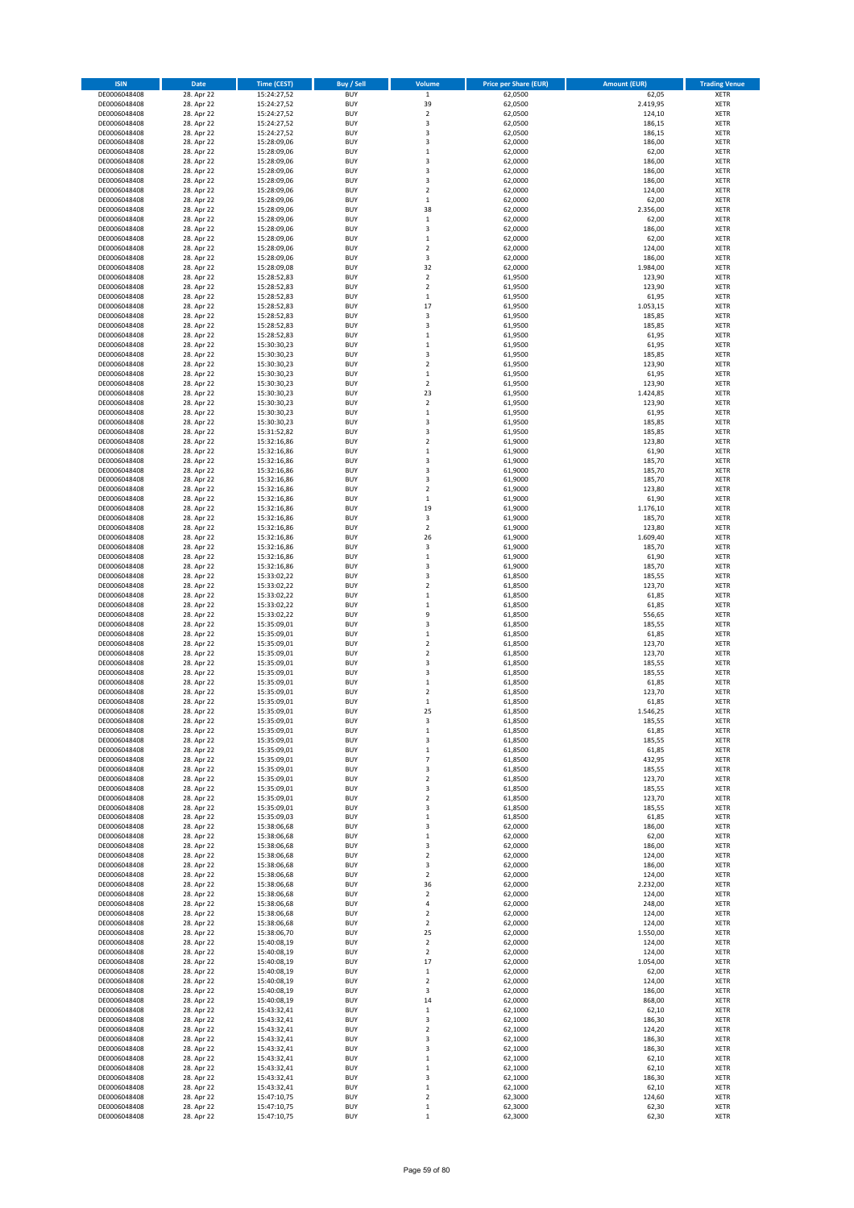| <b>ISIN</b>                  | Date                     | <b>Time (CEST)</b>         | <b>Buy / Sell</b>        | Volume                       | <b>Price per Share (EUR)</b> | <b>Amount (EUR)</b> | <b>Trading Venue</b>       |
|------------------------------|--------------------------|----------------------------|--------------------------|------------------------------|------------------------------|---------------------|----------------------------|
| DE0006048408                 | 28. Apr 22               | 15:24:27,52                | <b>BUY</b>               | $\mathbf 1$                  | 62,0500                      | 62,05               | <b>XETR</b>                |
| DE0006048408                 | 28. Apr 22               | 15:24:27,52                | <b>BUY</b>               | 39                           | 62,0500                      | 2.419,95            | <b>XETR</b>                |
| DE0006048408<br>DE0006048408 | 28. Apr 22<br>28. Apr 22 | 15:24:27,52<br>15:24:27,52 | <b>BUY</b><br><b>BUY</b> | $\mathbf 2$<br>3             | 62,0500<br>62,0500           | 124,10<br>186,15    | <b>XETR</b><br><b>XETR</b> |
| DE0006048408                 | 28. Apr 22               | 15:24:27,52                | <b>BUY</b>               | 3                            | 62,0500                      | 186,15              | <b>XETR</b>                |
| DE0006048408                 | 28. Apr 22               | 15:28:09,06                | <b>BUY</b>               | 3                            | 62,0000                      | 186,00              | <b>XETR</b>                |
| DE0006048408                 | 28. Apr 22               | 15:28:09,06                | <b>BUY</b>               | $\,1\,$                      | 62,0000                      | 62,00               | <b>XETR</b>                |
| DE0006048408                 | 28. Apr 22               | 15:28:09,06                | <b>BUY</b>               | 3                            | 62,0000                      | 186,00              | <b>XETR</b>                |
| DE0006048408<br>DE0006048408 | 28. Apr 22<br>28. Apr 22 | 15:28:09,06                | <b>BUY</b><br><b>BUY</b> | 3<br>3                       | 62,0000<br>62,0000           | 186,00<br>186,00    | XETR<br><b>XETR</b>        |
| DE0006048408                 | 28. Apr 22               | 15:28:09,06<br>15:28:09,06 | <b>BUY</b>               | $\overline{2}$               | 62,0000                      | 124,00              | XETR                       |
| DE0006048408                 | 28. Apr 22               | 15:28:09,06                | <b>BUY</b>               | $\,1\,$                      | 62,0000                      | 62,00               | <b>XETR</b>                |
| DE0006048408                 | 28. Apr 22               | 15:28:09,06                | <b>BUY</b>               | 38                           | 62,0000                      | 2.356,00            | XETR                       |
| DE0006048408                 | 28. Apr 22               | 15:28:09,06                | <b>BUY</b>               | $\,1\,$                      | 62,0000                      | 62,00               | <b>XETR</b>                |
| DE0006048408                 | 28. Apr 22<br>28. Apr 22 | 15:28:09,06<br>15:28:09,06 | <b>BUY</b><br><b>BUY</b> | $\mathsf 3$<br>$\,1\,$       | 62,0000                      | 186,00              | XETR                       |
| DE0006048408<br>DE0006048408 | 28. Apr 22               | 15:28:09,06                | <b>BUY</b>               | $\mathbf 2$                  | 62,0000<br>62,0000           | 62,00<br>124,00     | <b>XETR</b><br>XETR        |
| DE0006048408                 | 28. Apr 22               | 15:28:09,06                | <b>BUY</b>               | 3                            | 62,0000                      | 186,00              | <b>XETR</b>                |
| DE0006048408                 | 28. Apr 22               | 15:28:09,08                | <b>BUY</b>               | 32                           | 62,0000                      | 1.984,00            | XETR                       |
| DE0006048408                 | 28. Apr 22               | 15:28:52,83                | <b>BUY</b>               | $\overline{2}$               | 61,9500                      | 123,90              | <b>XETR</b>                |
| DE0006048408                 | 28. Apr 22               | 15:28:52,83                | <b>BUY</b><br><b>BUY</b> | $\overline{2}$<br>$\,$ 1     | 61,9500                      | 123,90<br>61,95     | <b>XETR</b><br><b>XETR</b> |
| DE0006048408<br>DE0006048408 | 28. Apr 22<br>28. Apr 22 | 15:28:52,83<br>15:28:52,83 | <b>BUY</b>               | 17                           | 61,9500<br>61,9500           | 1.053,15            | <b>XETR</b>                |
| DE0006048408                 | 28. Apr 22               | 15:28:52,83                | <b>BUY</b>               | 3                            | 61,9500                      | 185,85              | <b>XETR</b>                |
| DE0006048408                 | 28. Apr 22               | 15:28:52,83                | <b>BUY</b>               | 3                            | 61,9500                      | 185,85              | <b>XETR</b>                |
| DE0006048408                 | 28. Apr 22               | 15:28:52,83                | <b>BUY</b>               | $\mathbf 1$                  | 61,9500                      | 61,95               | <b>XETR</b>                |
| DE0006048408                 | 28. Apr 22               | 15:30:30,23                | <b>BUY</b>               | $\,1\,$                      | 61,9500                      | 61,95               | <b>XETR</b>                |
| DE0006048408<br>DE0006048408 | 28. Apr 22<br>28. Apr 22 | 15:30:30,23<br>15:30:30,23 | <b>BUY</b><br><b>BUY</b> | 3<br>$\overline{2}$          | 61,9500<br>61,9500           | 185,85<br>123,90    | <b>XETR</b><br><b>XETR</b> |
| DE0006048408                 | 28. Apr 22               | 15:30:30,23                | <b>BUY</b>               | $\,$ 1                       | 61,9500                      | 61,95               | <b>XETR</b>                |
| DE0006048408                 | 28. Apr 22               | 15:30:30,23                | <b>BUY</b>               | $\sqrt{2}$                   | 61,9500                      | 123,90              | <b>XETR</b>                |
| DE0006048408                 | 28. Apr 22               | 15:30:30,23                | <b>BUY</b>               | 23                           | 61,9500                      | 1.424,85            | <b>XETR</b>                |
| DE0006048408                 | 28. Apr 22               | 15:30:30,23                | <b>BUY</b>               | $\overline{2}$               | 61,9500                      | 123,90              | <b>XETR</b>                |
| DE0006048408<br>DE0006048408 | 28. Apr 22<br>28. Apr 22 | 15:30:30,23<br>15:30:30,23 | <b>BUY</b><br><b>BUY</b> | $\,$ 1<br>3                  | 61,9500<br>61,9500           | 61,95<br>185,85     | XETR<br><b>XETR</b>        |
| DE0006048408                 | 28. Apr 22               | 15:31:52,82                | <b>BUY</b>               | $\overline{\mathbf{3}}$      | 61,9500                      | 185,85              | XETR                       |
| DE0006048408                 | 28. Apr 22               | 15:32:16,86                | <b>BUY</b>               | $\overline{2}$               | 61,9000                      | 123,80              | <b>XETR</b>                |
| DE0006048408                 | 28. Apr 22               | 15:32:16,86                | <b>BUY</b>               | $\,$ 1                       | 61,9000                      | 61,90               | XETR                       |
| DE0006048408                 | 28. Apr 22               | 15:32:16,86                | <b>BUY</b>               | 3                            | 61,9000                      | 185,70              | <b>XETR</b>                |
| DE0006048408<br>DE0006048408 | 28. Apr 22<br>28. Apr 22 | 15:32:16,86<br>15:32:16,86 | <b>BUY</b><br><b>BUY</b> | $\overline{\mathbf{3}}$<br>3 | 61,9000<br>61,9000           | 185,70<br>185,70    | <b>XETR</b><br><b>XETR</b> |
| DE0006048408                 | 28. Apr 22               | 15:32:16,86                | <b>BUY</b>               | $\overline{2}$               | 61,9000                      | 123,80              | <b>XETR</b>                |
| DE0006048408                 | 28. Apr 22               | 15:32:16,86                | <b>BUY</b>               | $\,1\,$                      | 61,9000                      | 61,90               | <b>XETR</b>                |
| DE0006048408                 | 28. Apr 22               | 15:32:16,86                | <b>BUY</b>               | 19                           | 61,9000                      | 1.176,10            | <b>XETR</b>                |
| DE0006048408                 | 28. Apr 22               | 15:32:16,86                | <b>BUY</b>               | 3                            | 61,9000                      | 185,70              | <b>XETR</b>                |
| DE0006048408                 | 28. Apr 22               | 15:32:16,86                | <b>BUY</b>               | $\mathbf 2$                  | 61,9000                      | 123,80              | <b>XETR</b>                |
| DE0006048408<br>DE0006048408 | 28. Apr 22<br>28. Apr 22 | 15:32:16,86<br>15:32:16,86 | <b>BUY</b><br><b>BUY</b> | 26<br>3                      | 61,9000<br>61,9000           | 1.609,40<br>185,70  | <b>XETR</b><br><b>XETR</b> |
| DE0006048408                 | 28. Apr 22               | 15:32:16,86                | <b>BUY</b>               | $\,$ 1                       | 61,9000                      | 61,90               | <b>XETR</b>                |
| DE0006048408                 | 28. Apr 22               | 15:32:16,86                | <b>BUY</b>               | 3                            | 61,9000                      | 185,70              | <b>XETR</b>                |
| DE0006048408                 | 28. Apr 22               | 15:33:02,22                | <b>BUY</b>               | 3                            | 61,8500                      | 185,55              | <b>XETR</b>                |
| DE0006048408                 | 28. Apr 22               | 15:33:02,22                | <b>BUY</b><br><b>BUY</b> | $\overline{2}$               | 61,8500                      | 123,70              | <b>XETR</b>                |
| DE0006048408<br>DE0006048408 | 28. Apr 22<br>28. Apr 22 | 15:33:02,22<br>15:33:02,22 | <b>BUY</b>               | $\,$ 1<br>$\,$ 1             | 61,8500<br>61,8500           | 61,85<br>61,85      | <b>XETR</b><br><b>XETR</b> |
| DE0006048408                 | 28. Apr 22               | 15:33:02,22                | <b>BUY</b>               | 9                            | 61,8500                      | 556,65              | <b>XETR</b>                |
| DE0006048408                 | 28. Apr 22               | 15:35:09,01                | <b>BUY</b>               | 3                            | 61,8500                      | 185,55              | <b>XETR</b>                |
| DE0006048408                 | 28. Apr 22               | 15:35:09,01                | <b>BUY</b>               | $\,1\,$                      | 61,8500                      | 61,85               | <b>XETR</b>                |
| DE0006048408                 | 28. Apr 22               | 15:35:09,01                | <b>BUY</b>               | $\overline{2}$               | 61,8500                      | 123,70              | <b>XETR</b>                |
| DE0006048408<br>DE0006048408 | 28. Apr 22<br>28. Apr 22 | 15:35:09,01<br>15:35:09,01 | <b>BUY</b><br><b>BUY</b> | $\overline{2}$<br>3          | 61,8500<br>61,8500           | 123,70<br>185,55    | <b>XETR</b><br><b>XETR</b> |
| DE0006048408                 | 28. Apr 22               | 15:35:09,01                | <b>BUY</b>               | 3                            | 61,8500                      | 185,55              | XETR                       |
| DE0006048408                 | 28. Apr 22               | 15:35:09,01                | <b>BUY</b>               | $\,1\,$                      | 61,8500                      | 61,85               | <b>XETR</b>                |
| DE0006048408                 | 28. Apr 22               | 15:35:09,01                | <b>BUY</b>               | $\boldsymbol{2}$             | 61,8500                      | 123,70              | XETR                       |
| DE0006048408                 | 28. Apr 22               | 15:35:09,01                | <b>BUY</b>               | $\mathbf 1$<br>25            | 61,8500                      | 61,85               | <b>XETR</b>                |
| DE0006048408<br>DE0006048408 | 28. Apr 22<br>28. Apr 22 | 15:35:09,01<br>15:35:09,01 | <b>BUY</b><br><b>BUY</b> | 3                            | 61,8500<br>61,8500           | 1.546,25<br>185,55  | <b>XETR</b><br>XETR        |
| DE0006048408                 | 28. Apr 22               | 15:35:09,01                | <b>BUY</b>               | $\,$ 1                       | 61,8500                      | 61,85               | XETR                       |
| DE0006048408                 | 28. Apr 22               | 15:35:09,01                | <b>BUY</b>               | 3                            | 61,8500                      | 185,55              | XETR                       |
| DE0006048408                 | 28. Apr 22               | 15:35:09,01                | <b>BUY</b>               | $\,$ 1                       | 61,8500                      | 61,85               | XETR                       |
| DE0006048408                 | 28. Apr 22               | 15:35:09,01                | <b>BUY</b>               | $\overline{7}$               | 61,8500                      | 432,95              | <b>XETR</b>                |
| DE0006048408<br>DE0006048408 | 28. Apr 22<br>28. Apr 22 | 15:35:09,01<br>15:35:09,01 | <b>BUY</b><br><b>BUY</b> | 3<br>$\overline{2}$          | 61,8500<br>61,8500           | 185,55<br>123,70    | XETR<br><b>XETR</b>        |
| DE0006048408                 | 28. Apr 22               | 15:35:09,01                | <b>BUY</b>               | 3                            | 61,8500                      | 185,55              | <b>XETR</b>                |
| DE0006048408                 | 28. Apr 22               | 15:35:09,01                | <b>BUY</b>               | $\mathbf 2$                  | 61,8500                      | 123,70              | <b>XETR</b>                |
| DE0006048408                 | 28. Apr 22               | 15:35:09,01                | <b>BUY</b>               | 3                            | 61,8500                      | 185,55              | <b>XETR</b>                |
| DE0006048408<br>DE0006048408 | 28. Apr 22<br>28. Apr 22 | 15:35:09,03<br>15:38:06,68 | <b>BUY</b><br><b>BUY</b> | $\,$ 1<br>3                  | 61,8500<br>62,0000           | 61,85<br>186,00     | <b>XETR</b><br><b>XETR</b> |
| DE0006048408                 | 28. Apr 22               | 15:38:06,68                | <b>BUY</b>               | $\,$ 1                       | 62,0000                      | 62,00               | <b>XETR</b>                |
| DE0006048408                 | 28. Apr 22               | 15:38:06,68                | <b>BUY</b>               | 3                            | 62,0000                      | 186,00              | XETR                       |
| DE0006048408                 | 28. Apr 22               | 15:38:06,68                | <b>BUY</b>               | $\mathbf 2$                  | 62,0000                      | 124,00              | <b>XETR</b>                |
| DE0006048408                 | 28. Apr 22               | 15:38:06,68                | <b>BUY</b>               | 3                            | 62,0000                      | 186,00              | <b>XETR</b>                |
| DE0006048408<br>DE0006048408 | 28. Apr 22<br>28. Apr 22 | 15:38:06,68<br>15:38:06,68 | <b>BUY</b><br><b>BUY</b> | $\mathbf 2$<br>36            | 62,0000<br>62,0000           | 124,00<br>2.232,00  | <b>XETR</b><br><b>XETR</b> |
| DE0006048408                 | 28. Apr 22               | 15:38:06,68                | <b>BUY</b>               | $\overline{2}$               | 62,0000                      | 124,00              | <b>XETR</b>                |
| DE0006048408                 | 28. Apr 22               | 15:38:06,68                | <b>BUY</b>               | $\sqrt{4}$                   | 62,0000                      | 248,00              | <b>XETR</b>                |
| DE0006048408                 | 28. Apr 22               | 15:38:06,68                | <b>BUY</b>               | $\mathbf 2$                  | 62,0000                      | 124,00              | <b>XETR</b>                |
| DE0006048408                 | 28. Apr 22               | 15:38:06,68                | <b>BUY</b><br><b>BUY</b> | $\overline{2}$<br>25         | 62,0000<br>62,0000           | 124,00<br>1.550,00  | <b>XETR</b><br>XETR        |
| DE0006048408<br>DE0006048408 | 28. Apr 22<br>28. Apr 22 | 15:38:06,70<br>15:40:08,19 | <b>BUY</b>               | $\overline{2}$               | 62,0000                      | 124,00              | XETR                       |
| DE0006048408                 | 28. Apr 22               | 15:40:08,19                | <b>BUY</b>               | $\sqrt{2}$                   | 62,0000                      | 124,00              | XETR                       |
| DE0006048408                 | 28. Apr 22               | 15:40:08,19                | <b>BUY</b>               | 17                           | 62,0000                      | 1.054,00            | <b>XETR</b>                |
| DE0006048408                 | 28. Apr 22               | 15:40:08,19                | <b>BUY</b>               | $\,$ 1                       | 62,0000                      | 62,00               | XETR                       |
| DE0006048408                 | 28. Apr 22               | 15:40:08,19                | <b>BUY</b>               | $\overline{2}$               | 62,0000                      | 124,00              | XETR                       |
| DE0006048408<br>DE0006048408 | 28. Apr 22<br>28. Apr 22 | 15:40:08,19<br>15:40:08,19 | <b>BUY</b><br><b>BUY</b> | 3<br>14                      | 62,0000<br>62,0000           | 186,00<br>868,00    | XETR<br><b>XETR</b>        |
| DE0006048408                 | 28. Apr 22               | 15:43:32,41                | <b>BUY</b>               | $\,$ 1                       | 62,1000                      | 62,10               | XETR                       |
| DE0006048408                 | 28. Apr 22               | 15:43:32,41                | <b>BUY</b>               | 3                            | 62,1000                      | 186,30              | XETR                       |
| DE0006048408                 | 28. Apr 22               | 15:43:32,41                | <b>BUY</b>               | $\sqrt{2}$                   | 62,1000                      | 124,20              | <b>XETR</b>                |
| DE0006048408                 | 28. Apr 22               | 15:43:32,41                | <b>BUY</b>               | 3                            | 62,1000                      | 186,30              | <b>XETR</b>                |
| DE0006048408<br>DE0006048408 | 28. Apr 22<br>28. Apr 22 | 15:43:32,41<br>15:43:32,41 | <b>BUY</b><br><b>BUY</b> | 3<br>$\,$ 1                  | 62,1000<br>62,1000           | 186,30<br>62,10     | <b>XETR</b><br><b>XETR</b> |
| DE0006048408                 | 28. Apr 22               | 15:43:32,41                | <b>BUY</b>               | $\,$ 1                       | 62,1000                      | 62,10               | <b>XETR</b>                |
| DE0006048408                 | 28. Apr 22               | 15:43:32,41                | <b>BUY</b>               | 3                            | 62,1000                      | 186,30              | <b>XETR</b>                |
| DE0006048408                 | 28. Apr 22               | 15:43:32,41                | <b>BUY</b>               | $\mathbf 1$                  | 62,1000                      | 62,10               | <b>XETR</b>                |
| DE0006048408                 | 28. Apr 22               | 15:47:10,75                | <b>BUY</b>               | $\mathbf 2$                  | 62,3000                      | 124,60              | <b>XETR</b>                |
| DE0006048408<br>DE0006048408 | 28. Apr 22<br>28. Apr 22 | 15:47:10,75<br>15:47:10,75 | <b>BUY</b><br><b>BUY</b> | $\,$ 1 $\,$<br>$\mathbf 1$   | 62,3000<br>62,3000           | 62,30<br>62,30      | <b>XETR</b><br>XETR        |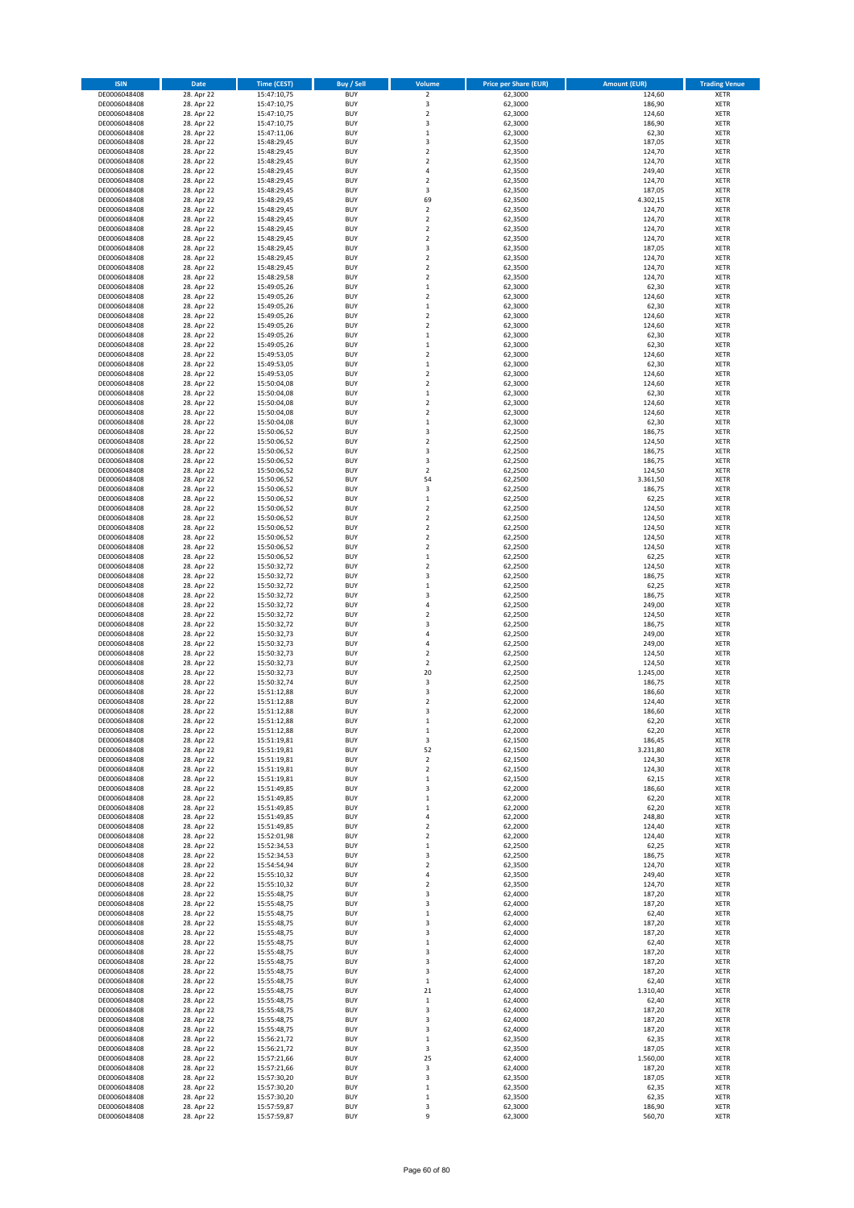| <b>ISIN</b>                  | Date                     | <b>Time (CEST)</b>         | Buy / Sell               | Volume                        | <b>Price per Share (EUR)</b> | <b>Amount (EUR)</b> | <b>Trading Venue</b>       |
|------------------------------|--------------------------|----------------------------|--------------------------|-------------------------------|------------------------------|---------------------|----------------------------|
| DE0006048408                 | 28. Apr 22               | 15:47:10,75                | <b>BUY</b>               | $\mathbf 2$                   | 62,3000                      | 124,60              | XETR                       |
| DE0006048408                 | 28. Apr 22               | 15:47:10,75                | <b>BUY</b>               | 3                             | 62,3000                      | 186,90              | XETR                       |
| DE0006048408<br>DE0006048408 | 28. Apr 22<br>28. Apr 22 | 15:47:10,75<br>15:47:10,75 | <b>BUY</b><br><b>BUY</b> | $\mathbf 2$<br>3              | 62,3000<br>62,3000           | 124,60<br>186,90    | XETR<br>XETR               |
| DE0006048408                 | 28. Apr 22               | 15:47:11,06                | <b>BUY</b>               | $\mathbf 1$                   | 62,3000                      | 62,30               | XETR                       |
| DE0006048408                 | 28. Apr 22               | 15:48:29,45                | <b>BUY</b>               | 3                             | 62,3500                      | 187,05              | <b>XETR</b>                |
| DE0006048408                 | 28. Apr 22               | 15:48:29,45                | <b>BUY</b>               | $\overline{\mathbf{c}}$       | 62,3500                      | 124,70              | <b>XETR</b>                |
| DE0006048408                 | 28. Apr 22               | 15:48:29,45                | <b>BUY</b>               | $\overline{\mathbf{c}}$       | 62,3500                      | 124,70              | <b>XETR</b>                |
| DE0006048408                 | 28. Apr 22<br>28. Apr 22 | 15:48:29,45                | <b>BUY</b><br><b>BUY</b> | 4<br>$\mathbf 2$              | 62,3500<br>62,3500           | 249,40<br>124,70    | <b>XETR</b><br><b>XETR</b> |
| DE0006048408<br>DE0006048408 | 28. Apr 22               | 15:48:29,45<br>15:48:29,45 | <b>BUY</b>               | 3                             | 62,3500                      | 187,05              | XETR                       |
| DE0006048408                 | 28. Apr 22               | 15:48:29,45                | <b>BUY</b>               | 69                            | 62,3500                      | 4.302,15            | <b>XETR</b>                |
| DE0006048408                 | 28. Apr 22               | 15:48:29,45                | <b>BUY</b>               | $\mathbf 2$                   | 62,3500                      | 124,70              | XETR                       |
| DE0006048408                 | 28. Apr 22               | 15:48:29,45                | <b>BUY</b>               | $\mathbf 2$                   | 62,3500                      | 124,70              | <b>XETR</b>                |
| DE0006048408                 | 28. Apr 22               | 15:48:29,45                | <b>BUY</b>               | $\mathbf 2$                   | 62,3500                      | 124,70              | XETR                       |
| DE0006048408<br>DE0006048408 | 28. Apr 22<br>28. Apr 22 | 15:48:29,45<br>15:48:29,45 | <b>BUY</b><br><b>BUY</b> | $\mathbf 2$<br>3              | 62,3500<br>62,3500           | 124,70<br>187,05    | <b>XETR</b><br>XETR        |
| DE0006048408                 | 28. Apr 22               | 15:48:29,45                | <b>BUY</b>               | $\mathbf 2$                   | 62,3500                      | 124,70              | <b>XETR</b>                |
| DE0006048408                 | 28. Apr 22               | 15:48:29,45                | <b>BUY</b>               | $\mathbf 2$                   | 62,3500                      | 124,70              | XETR                       |
| DE0006048408                 | 28. Apr 22               | 15:48:29,58                | <b>BUY</b>               | $\mathbf 2$                   | 62,3500                      | 124,70              | <b>XETR</b>                |
| DE0006048408                 | 28. Apr 22               | 15:49:05,26                | <b>BUY</b><br><b>BUY</b> | $\mathbf 1$<br>$\mathbf 2$    | 62,3000                      | 62,30<br>124,60     | XETR<br>XETR               |
| DE0006048408<br>DE0006048408 | 28. Apr 22<br>28. Apr 22 | 15:49:05,26<br>15:49:05,26 | <b>BUY</b>               | $\mathbf{1}$                  | 62,3000<br>62,3000           | 62,30               | <b>XETR</b>                |
| DE0006048408                 | 28. Apr 22               | 15:49:05,26                | <b>BUY</b>               | $\mathbf 2$                   | 62,3000                      | 124,60              | <b>XETR</b>                |
| DE0006048408                 | 28. Apr 22               | 15:49:05,26                | <b>BUY</b>               | $\mathbf 2$                   | 62,3000                      | 124,60              | <b>XETR</b>                |
| DE0006048408                 | 28. Apr 22               | 15:49:05,26                | <b>BUY</b>               | $\mathbf 1$                   | 62,3000                      | 62,30               | <b>XETR</b>                |
| DE0006048408                 | 28. Apr 22               | 15:49:05,26                | <b>BUY</b>               | $\mathbf 1$                   | 62,3000                      | 62,30               | <b>XETR</b>                |
| DE0006048408<br>DE0006048408 | 28. Apr 22<br>28. Apr 22 | 15:49:53,05<br>15:49:53,05 | <b>BUY</b><br><b>BUY</b> | $\mathbf 2$<br>$\mathbf 1$    | 62,3000<br>62,3000           | 124,60<br>62,30     | <b>XETR</b><br><b>XETR</b> |
| DE0006048408                 | 28. Apr 22               | 15:49:53,05                | <b>BUY</b>               | $\mathbf 2$                   | 62,3000                      | 124,60              | <b>XETR</b>                |
| DE0006048408                 | 28. Apr 22               | 15:50:04,08                | <b>BUY</b>               | $\mathbf 2$                   | 62,3000                      | 124,60              | <b>XETR</b>                |
| DE0006048408                 | 28. Apr 22               | 15:50:04,08                | <b>BUY</b>               | $\mathbf 1$                   | 62,3000                      | 62,30               | <b>XETR</b>                |
| DE0006048408                 | 28. Apr 22               | 15:50:04,08                | <b>BUY</b><br><b>BUY</b> | $\overline{\mathbf{2}}$       | 62,3000                      | 124,60<br>124,60    | <b>XETR</b><br>XETR        |
| DE0006048408<br>DE0006048408 | 28. Apr 22<br>28. Apr 22 | 15:50:04,08<br>15:50:04,08 | <b>BUY</b>               | 2<br>$\mathbf 1$              | 62,3000<br>62,3000           | 62,30               | <b>XETR</b>                |
| DE0006048408                 | 28. Apr 22               | 15:50:06,52                | <b>BUY</b>               | 3                             | 62,2500                      | 186,75              | XETR                       |
| DE0006048408                 | 28. Apr 22               | 15:50:06,52                | <b>BUY</b>               | $\mathbf 2$                   | 62,2500                      | 124,50              | <b>XETR</b>                |
| DE0006048408                 | 28. Apr 22               | 15:50:06,52                | <b>BUY</b>               | 3                             | 62,2500                      | 186,75              | XETR                       |
| DE0006048408                 | 28. Apr 22               | 15:50:06,52                | <b>BUY</b>               | 3                             | 62,2500                      | 186,75              | <b>XETR</b>                |
| DE0006048408<br>DE0006048408 | 28. Apr 22<br>28. Apr 22 | 15:50:06,52                | <b>BUY</b><br><b>BUY</b> | $\mathbf 2$<br>54             | 62,2500<br>62,2500           | 124,50<br>3.361,50  | <b>XETR</b><br><b>XETR</b> |
| DE0006048408                 | 28. Apr 22               | 15:50:06,52<br>15:50:06,52 | <b>BUY</b>               | 3                             | 62,2500                      | 186,75              | <b>XETR</b>                |
| DE0006048408                 | 28. Apr 22               | 15:50:06,52                | <b>BUY</b>               | $\mathbf 1$                   | 62,2500                      | 62,25               | <b>XETR</b>                |
| DE0006048408                 | 28. Apr 22               | 15:50:06,52                | <b>BUY</b>               | $\mathbf 2$                   | 62,2500                      | 124,50              | <b>XETR</b>                |
| DE0006048408                 | 28. Apr 22               | 15:50:06,52                | <b>BUY</b>               | $\mathbf 2$                   | 62,2500                      | 124,50              | <b>XETR</b>                |
| DE0006048408                 | 28. Apr 22               | 15:50:06,52                | <b>BUY</b>               | $\mathbf 2$                   | 62,2500                      | 124,50              | XETR                       |
| DE0006048408<br>DE0006048408 | 28. Apr 22<br>28. Apr 22 | 15:50:06,52<br>15:50:06,52 | <b>BUY</b><br><b>BUY</b> | 2<br>$\mathbf 2$              | 62,2500<br>62,2500           | 124,50<br>124,50    | XETR<br><b>XETR</b>        |
| DE0006048408                 | 28. Apr 22               | 15:50:06,52                | <b>BUY</b>               | $\mathbf 1$                   | 62,2500                      | 62,25               | <b>XETR</b>                |
| DE0006048408                 | 28. Apr 22               | 15:50:32,72                | <b>BUY</b>               | $\mathbf 2$                   | 62,2500                      | 124,50              | <b>XETR</b>                |
| DE0006048408                 | 28. Apr 22               | 15:50:32,72                | <b>BUY</b>               | 3                             | 62,2500                      | 186,75              | <b>XETR</b>                |
| DE0006048408                 | 28. Apr 22               | 15:50:32,72                | <b>BUY</b><br><b>BUY</b> | $\mathbf 1$<br>3              | 62,2500                      | 62,25               | <b>XETR</b>                |
| DE0006048408<br>DE0006048408 | 28. Apr 22<br>28. Apr 22 | 15:50:32,72<br>15:50:32,72 | <b>BUY</b>               | 4                             | 62,2500<br>62,2500           | 186,75<br>249,00    | <b>XETR</b><br><b>XETR</b> |
| DE0006048408                 | 28. Apr 22               | 15:50:32,72                | <b>BUY</b>               | $\mathbf 2$                   | 62,2500                      | 124,50              | <b>XETR</b>                |
| DE0006048408                 | 28. Apr 22               | 15:50:32,72                | <b>BUY</b>               | 3                             | 62,2500                      | 186,75              | <b>XETR</b>                |
| DE0006048408                 | 28. Apr 22               | 15:50:32,73                | <b>BUY</b>               | 4                             | 62,2500                      | 249,00              | <b>XETR</b>                |
| DE0006048408                 | 28. Apr 22               | 15:50:32,73                | <b>BUY</b><br><b>BUY</b> | $\overline{4}$<br>$\mathbf 2$ | 62,2500<br>62,2500           | 249,00              | <b>XETR</b>                |
| DE0006048408<br>DE0006048408 | 28. Apr 22<br>28. Apr 22 | 15:50:32,73<br>15:50:32,73 | <b>BUY</b>               | $\mathbf 2$                   | 62,2500                      | 124,50<br>124,50    | <b>XETR</b><br><b>XETR</b> |
| DE0006048408                 | 28. Apr 22               | 15:50:32,73                | <b>BUY</b>               | 20                            | 62,2500                      | 1.245,00            | XETR                       |
| DE0006048408                 | 28. Apr 22               | 15:50:32,74                | <b>BUY</b>               | 3                             | 62,2500                      | 186,75              | <b>XETR</b>                |
| DE0006048408                 | 28. Apr 22               | 15:51:12,88                | <b>BUY</b>               | 3                             | 62,2000                      | 186,60              | XETR                       |
| DE0006048408                 | 28. Apr 22               | 15:51:12,88                | <b>BUY</b><br><b>BUY</b> | $\mathbf 2$                   | 62,2000                      | 124,40              | <b>XETR</b>                |
| DE0006048408<br>DE0006048408 | 28. Apr 22<br>28. Apr 22 | 15:51:12,88<br>15:51:12,88 | <b>BUY</b>               | 3<br>$\mathbf{1}$             | 62,2000<br>62,2000           | 186,60<br>62,20     | XETR<br>XETR               |
| DE0006048408                 | 28. Apr 22               | 15:51:12,88                | <b>BUY</b>               | $\mathbf 1$                   | 62,2000                      | 62,20               | XETR                       |
| DE0006048408                 | 28. Apr 22               | 15:51:19,81                | <b>BUY</b>               | 3                             | 62,1500                      | 186,45              | XETR                       |
| DE0006048408                 | 28. Apr 22               | 15:51:19,81                | <b>BUY</b>               | 52                            | 62,1500                      | 3.231,80            | XETR                       |
| DE0006048408                 | 28. Apr 22               | 15:51:19,81                | <b>BUY</b>               | $\mathbf 2$                   | 62,1500                      | 124,30              | <b>XETR</b>                |
| DE0006048408<br>DE0006048408 | 28. Apr 22<br>28. Apr 22 | 15:51:19,81<br>15:51:19,81 | <b>BUY</b><br><b>BUY</b> | $\mathbf 2$<br>$\mathbf 1$    | 62,1500<br>62,1500           | 124,30<br>62,15     | XETR<br><b>XETR</b>        |
| DE0006048408                 | 28. Apr 22               | 15:51:49,85                | <b>BUY</b>               | 3                             | 62,2000                      | 186,60              | XETR                       |
| DE0006048408                 | 28. Apr 22               | 15:51:49,85                | <b>BUY</b>               | $\mathbf 1$                   | 62,2000                      | 62,20               | <b>XETR</b>                |
| DE0006048408                 | 28. Apr 22               | 15:51:49,85                | <b>BUY</b>               | $\mathbf 1$                   | 62,2000                      | 62,20               | XETR                       |
| DE0006048408<br>DE0006048408 | 28. Apr 22<br>28. Apr 22 | 15:51:49,85<br>15:51:49,85 | <b>BUY</b><br><b>BUY</b> | 4<br>$\mathbf 2$              | 62,2000<br>62,2000           | 248,80<br>124,40    | <b>XETR</b><br>XETR        |
| DE0006048408                 | 28. Apr 22               | 15:52:01,98                | <b>BUY</b>               | $\mathbf 2$                   | 62,2000                      | 124,40              | <b>XETR</b>                |
| DE0006048408                 | 28. Apr 22               | 15:52:34,53                | <b>BUY</b>               | $\mathbf 1$                   | 62,2500                      | 62,25               | XETR                       |
| DE0006048408                 | 28. Apr 22               | 15:52:34,53                | <b>BUY</b>               | 3                             | 62,2500                      | 186,75              | <b>XETR</b>                |
| DE0006048408                 | 28. Apr 22               | 15:54:54,94                | <b>BUY</b>               | $\mathbf 2$                   | 62,3500                      | 124,70              | XETR                       |
| DE0006048408<br>DE0006048408 | 28. Apr 22<br>28. Apr 22 | 15:55:10,32<br>15:55:10,32 | <b>BUY</b><br><b>BUY</b> | 4<br>2                        | 62,3500<br>62,3500           | 249,40<br>124,70    | <b>XETR</b><br><b>XETR</b> |
| DE0006048408                 | 28. Apr 22               | 15:55:48,75                | <b>BUY</b>               | 3                             | 62,4000                      | 187,20              | <b>XETR</b>                |
| DE0006048408                 | 28. Apr 22               | 15:55:48,75                | <b>BUY</b>               | 3                             | 62,4000                      | 187,20              | XETR                       |
| DE0006048408                 | 28. Apr 22               | 15:55:48,75                | <b>BUY</b>               | $\mathbf 1$                   | 62,4000                      | 62,40               | <b>XETR</b>                |
| DE0006048408                 | 28. Apr 22               | 15:55:48,75                | <b>BUY</b>               | 3                             | 62,4000                      | 187,20              | <b>XETR</b>                |
| DE0006048408<br>DE0006048408 | 28. Apr 22<br>28. Apr 22 | 15:55:48,75<br>15:55:48,75 | <b>BUY</b><br><b>BUY</b> | 3<br>$\mathbf 1$              | 62,4000<br>62,4000           | 187,20<br>62,40     | XETR<br><b>XETR</b>        |
| DE0006048408                 | 28. Apr 22               | 15:55:48,75                | <b>BUY</b>               | 3                             | 62,4000                      | 187,20              | XETR                       |
| DE0006048408                 | 28. Apr 22               | 15:55:48,75                | <b>BUY</b>               | 3                             | 62,4000                      | 187,20              | <b>XETR</b>                |
| DE0006048408                 | 28. Apr 22               | 15:55:48,75                | <b>BUY</b>               | 3                             | 62,4000                      | 187,20              | XETR                       |
| DE0006048408                 | 28. Apr 22               | 15:55:48,75                | <b>BUY</b>               | $\mathbf 1$                   | 62,4000                      | 62,40               | <b>XETR</b>                |
| DE0006048408                 | 28. Apr 22               | 15:55:48,75                | <b>BUY</b><br><b>BUY</b> | 21                            | 62,4000                      | 1.310,40            | XETR<br><b>XETR</b>        |
| DE0006048408<br>DE0006048408 | 28. Apr 22<br>28. Apr 22 | 15:55:48,75<br>15:55:48,75 | <b>BUY</b>               | $\mathbf 1$<br>3              | 62,4000<br>62,4000           | 62,40<br>187,20     | XETR                       |
| DE0006048408                 | 28. Apr 22               | 15:55:48,75                | <b>BUY</b>               | 3                             | 62,4000                      | 187,20              | <b>XETR</b>                |
| DE0006048408                 | 28. Apr 22               | 15:55:48,75                | <b>BUY</b>               | 3                             | 62,4000                      | 187,20              | XETR                       |
| DE0006048408                 | 28. Apr 22               | 15:56:21,72                | <b>BUY</b>               | $\mathbf 1$                   | 62,3500                      | 62,35               | <b>XETR</b>                |
| DE0006048408<br>DE0006048408 | 28. Apr 22<br>28. Apr 22 | 15:56:21,72<br>15:57:21,66 | <b>BUY</b><br><b>BUY</b> | 3<br>25                       | 62,3500<br>62,4000           | 187,05<br>1.560,00  | <b>XETR</b><br><b>XETR</b> |
| DE0006048408                 | 28. Apr 22               | 15:57:21,66                | <b>BUY</b>               | 3                             | 62,4000                      | 187,20              | XETR                       |
| DE0006048408                 | 28. Apr 22               | 15:57:30,20                | <b>BUY</b>               | 3                             | 62,3500                      | 187,05              | <b>XETR</b>                |
| DE0006048408                 | 28. Apr 22               | 15:57:30,20                | <b>BUY</b>               | $\mathbf 1$                   | 62,3500                      | 62,35               | XETR                       |
| DE0006048408                 | 28. Apr 22               | 15:57:30,20                | <b>BUY</b>               | $\mathbf 1$                   | 62,3500                      | 62,35               | XETR                       |
| DE0006048408<br>DE0006048408 | 28. Apr 22<br>28. Apr 22 | 15:57:59,87<br>15:57:59,87 | <b>BUY</b><br><b>BUY</b> | 3<br>9                        | 62,3000<br>62,3000           | 186,90<br>560,70    | XETR<br>XETR               |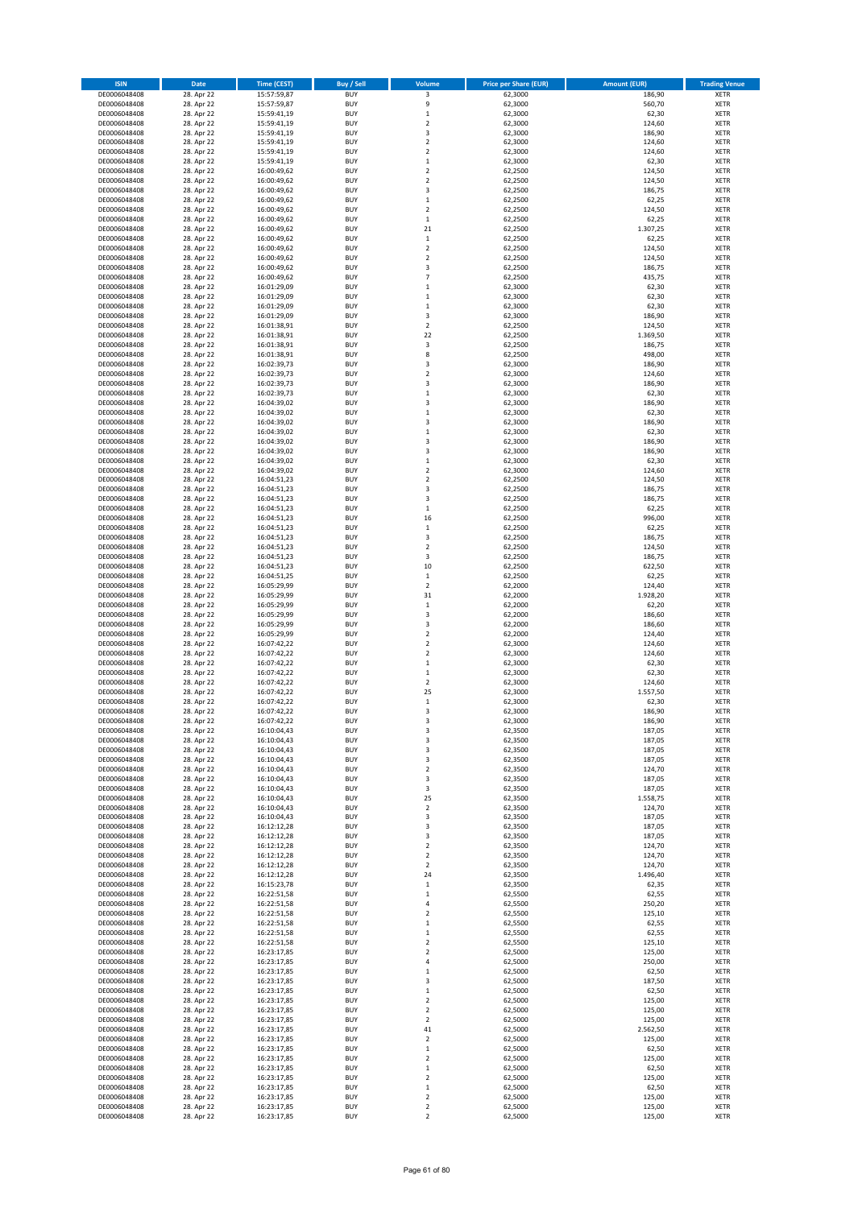| <b>ISIN</b>                  | Date                     | <b>Time (CEST)</b>         | Buy / Sell               | Volume                                             | <b>Price per Share (EUR)</b> | <b>Amount (EUR)</b> | <b>Trading Venue</b>       |
|------------------------------|--------------------------|----------------------------|--------------------------|----------------------------------------------------|------------------------------|---------------------|----------------------------|
| DE0006048408                 | 28. Apr 22               | 15:57:59,87                | <b>BUY</b>               | 3                                                  | 62,3000                      | 186,90              | XETR                       |
| DE0006048408                 | 28. Apr 22               | 15:57:59,87                | <b>BUY</b>               | 9                                                  | 62,3000                      | 560,70              | XETR                       |
| DE0006048408<br>DE0006048408 | 28. Apr 22<br>28. Apr 22 | 15:59:41,19<br>15:59:41,19 | <b>BUY</b><br><b>BUY</b> | $\mathbf 1$<br>$\mathbf 2$                         | 62,3000<br>62,3000           | 62,30<br>124,60     | XETR<br>XETR               |
| DE0006048408                 | 28. Apr 22               | 15:59:41,19                | <b>BUY</b>               | 3                                                  | 62,3000                      | 186,90              | XETR                       |
| DE0006048408                 | 28. Apr 22               | 15:59:41,19                | <b>BUY</b>               | $\overline{2}$                                     | 62,3000                      | 124,60              | <b>XETR</b>                |
| DE0006048408                 | 28. Apr 22               | 15:59:41,19                | <b>BUY</b>               | $\overline{\mathbf{c}}$                            | 62,3000                      | 124,60              | <b>XETR</b>                |
| DE0006048408                 | 28. Apr 22               | 15:59:41,19                | <b>BUY</b>               | $\mathbf 1$                                        | 62,3000                      | 62,30               | <b>XETR</b>                |
| DE0006048408                 | 28. Apr 22               | 16:00:49,62                | <b>BUY</b><br><b>BUY</b> | $\mathbf 2$<br>$\overline{\mathbf{c}}$             | 62,2500                      | 124,50              | <b>XETR</b><br><b>XETR</b> |
| DE0006048408<br>DE0006048408 | 28. Apr 22<br>28. Apr 22 | 16:00:49,62<br>16:00:49,62 | <b>BUY</b>               | 3                                                  | 62,2500<br>62,2500           | 124,50<br>186,75    | <b>XETR</b>                |
| DE0006048408                 | 28. Apr 22               | 16:00:49,62                | <b>BUY</b>               | $\mathbf 1$                                        | 62,2500                      | 62,25               | <b>XETR</b>                |
| DE0006048408                 | 28. Apr 22               | 16:00:49,62                | <b>BUY</b>               | $\mathbf 2$                                        | 62,2500                      | 124,50              | XETR                       |
| DE0006048408                 | 28. Apr 22               | 16:00:49,62                | <b>BUY</b>               | $\mathbf 1$                                        | 62,2500                      | 62,25               | <b>XETR</b>                |
| DE0006048408                 | 28. Apr 22               | 16:00:49,62                | <b>BUY</b>               | 21                                                 | 62,2500                      | 1.307,25            | XETR                       |
| DE0006048408                 | 28. Apr 22               | 16:00:49,62                | <b>BUY</b><br><b>BUY</b> | $\mathbf 1$<br>$\mathbf 2$                         | 62,2500                      | 62,25<br>124,50     | <b>XETR</b><br>XETR        |
| DE0006048408<br>DE0006048408 | 28. Apr 22<br>28. Apr 22 | 16:00:49,62<br>16:00:49,62 | <b>BUY</b>               | $\overline{\mathbf{c}}$                            | 62,2500<br>62,2500           | 124,50              | <b>XETR</b>                |
| DE0006048408                 | 28. Apr 22               | 16:00:49,62                | <b>BUY</b>               | 3                                                  | 62,2500                      | 186,75              | XETR                       |
| DE0006048408                 | 28. Apr 22               | 16:00:49,62                | <b>BUY</b>               | $\overline{7}$                                     | 62,2500                      | 435,75              | <b>XETR</b>                |
| DE0006048408                 | 28. Apr 22               | 16:01:29,09                | <b>BUY</b>               | $\mathbf 1$                                        | 62,3000                      | 62,30               | XETR                       |
| DE0006048408                 | 28. Apr 22               | 16:01:29,09                | <b>BUY</b>               | $\mathbf 1$                                        | 62,3000                      | 62,30               | XETR                       |
| DE0006048408                 | 28. Apr 22<br>28. Apr 22 | 16:01:29,09                | <b>BUY</b><br><b>BUY</b> | $\mathbf{1}$<br>3                                  | 62,3000<br>62,3000           | 62,30<br>186,90     | <b>XETR</b><br><b>XETR</b> |
| DE0006048408<br>DE0006048408 | 28. Apr 22               | 16:01:29,09<br>16:01:38,91 | <b>BUY</b>               | $\mathbf 2$                                        | 62,2500                      | 124,50              | <b>XETR</b>                |
| DE0006048408                 | 28. Apr 22               | 16:01:38,91                | <b>BUY</b>               | 22                                                 | 62,2500                      | 1.369,50            | <b>XETR</b>                |
| DE0006048408                 | 28. Apr 22               | 16:01:38,91                | <b>BUY</b>               | 3                                                  | 62,2500                      | 186,75              | <b>XETR</b>                |
| DE0006048408                 | 28. Apr 22               | 16:01:38,91                | <b>BUY</b>               | 8                                                  | 62,2500                      | 498,00              | <b>XETR</b>                |
| DE0006048408                 | 28. Apr 22               | 16:02:39,73                | <b>BUY</b>               | 3                                                  | 62,3000                      | 186,90              | <b>XETR</b>                |
| DE0006048408                 | 28. Apr 22               | 16:02:39,73                | <b>BUY</b><br><b>BUY</b> | $\mathbf 2$<br>3                                   | 62,3000                      | 124,60              | <b>XETR</b><br><b>XETR</b> |
| DE0006048408<br>DE0006048408 | 28. Apr 22<br>28. Apr 22 | 16:02:39,73<br>16:02:39,73 | <b>BUY</b>               | $\mathbf 1$                                        | 62,3000<br>62,3000           | 186,90<br>62,30     | <b>XETR</b>                |
| DE0006048408                 | 28. Apr 22               | 16:04:39,02                | <b>BUY</b>               | 3                                                  | 62,3000                      | 186,90              | <b>XETR</b>                |
| DE0006048408                 | 28. Apr 22               | 16:04:39,02                | <b>BUY</b>               | $\mathbf 1$                                        | 62,3000                      | 62,30               | XETR                       |
| DE0006048408                 | 28. Apr 22               | 16:04:39,02                | <b>BUY</b>               | $\overline{\mathbf{3}}$                            | 62,3000                      | 186,90              | <b>XETR</b>                |
| DE0006048408                 | 28. Apr 22               | 16:04:39,02                | <b>BUY</b>               | $\mathbf 1$                                        | 62,3000                      | 62,30               | XETR                       |
| DE0006048408                 | 28. Apr 22               | 16:04:39,02                | <b>BUY</b>               | 3                                                  | 62,3000                      | 186,90              | <b>XETR</b>                |
| DE0006048408<br>DE0006048408 | 28. Apr 22<br>28. Apr 22 | 16:04:39,02<br>16:04:39,02 | <b>BUY</b><br><b>BUY</b> | 3<br>$\mathbf 1$                                   | 62,3000<br>62,3000           | 186,90<br>62,30     | XETR<br><b>XETR</b>        |
| DE0006048408                 | 28. Apr 22               | 16:04:39,02                | <b>BUY</b>               | $\mathbf 2$                                        | 62,3000                      | 124,60              | <b>XETR</b>                |
| DE0006048408                 | 28. Apr 22               | 16:04:51,23                | <b>BUY</b>               | $\overline{\mathbf{c}}$                            | 62,2500                      | 124,50              | <b>XETR</b>                |
| DE0006048408                 | 28. Apr 22               | 16:04:51,23                | <b>BUY</b>               | 3                                                  | 62,2500                      | 186,75              | <b>XETR</b>                |
| DE0006048408                 | 28. Apr 22               | 16:04:51,23                | <b>BUY</b>               | 3                                                  | 62,2500                      | 186,75              | <b>XETR</b>                |
| DE0006048408                 | 28. Apr 22               | 16:04:51,23                | <b>BUY</b><br><b>BUY</b> | $\mathbf 1$<br>16                                  | 62,2500                      | 62,25               | <b>XETR</b><br><b>XETR</b> |
| DE0006048408<br>DE0006048408 | 28. Apr 22<br>28. Apr 22 | 16:04:51,23<br>16:04:51,23 | <b>BUY</b>               | $\mathbf 1$                                        | 62,2500<br>62,2500           | 996,00<br>62,25     | XETR                       |
| DE0006048408                 | 28. Apr 22               | 16:04:51,23                | <b>BUY</b>               | 3                                                  | 62,2500                      | 186,75              | XETR                       |
| DE0006048408                 | 28. Apr 22               | 16:04:51,23                | <b>BUY</b>               | $\overline{\mathbf{c}}$                            | 62,2500                      | 124,50              | <b>XETR</b>                |
| DE0006048408                 | 28. Apr 22               | 16:04:51,23                | <b>BUY</b>               | 3                                                  | 62,2500                      | 186,75              | <b>XETR</b>                |
| DE0006048408                 | 28. Apr 22               | 16:04:51,23                | <b>BUY</b>               | 10                                                 | 62,2500                      | 622,50              | <b>XETR</b>                |
| DE0006048408<br>DE0006048408 | 28. Apr 22<br>28. Apr 22 | 16:04:51,25                | <b>BUY</b><br><b>BUY</b> | $\mathbf 1$<br>$\overline{\mathbf{c}}$             | 62,2500<br>62,2000           | 62,25<br>124,40     | <b>XETR</b><br><b>XETR</b> |
| DE0006048408                 | 28. Apr 22               | 16:05:29,99<br>16:05:29,99 | <b>BUY</b>               | 31                                                 | 62,2000                      | 1.928,20            | <b>XETR</b>                |
| DE0006048408                 | 28. Apr 22               | 16:05:29,99                | <b>BUY</b>               | $\,$ 1                                             | 62,2000                      | 62,20               | XETR                       |
| DE0006048408                 | 28. Apr 22               | 16:05:29,99                | <b>BUY</b>               | 3                                                  | 62,2000                      | 186,60              | XETR                       |
| DE0006048408                 | 28. Apr 22               | 16:05:29,99                | <b>BUY</b>               | 3                                                  | 62,2000                      | 186,60              | <b>XETR</b>                |
| DE0006048408                 | 28. Apr 22               | 16:05:29,99                | <b>BUY</b>               | $\overline{\mathbf{c}}$                            | 62,2000                      | 124,40              | <b>XETR</b>                |
| DE0006048408<br>DE0006048408 | 28. Apr 22<br>28. Apr 22 | 16:07:42,22<br>16:07:42,22 | <b>BUY</b><br><b>BUY</b> | $\overline{\mathbf{c}}$<br>$\overline{\mathbf{c}}$ | 62,3000<br>62,3000           | 124,60<br>124,60    | <b>XETR</b><br>XETR        |
| DE0006048408                 | 28. Apr 22               | 16:07:42,22                | <b>BUY</b>               | $\mathbf 1$                                        | 62,3000                      | 62,30               | <b>XETR</b>                |
| DE0006048408                 | 28. Apr 22               | 16:07:42,22                | <b>BUY</b>               | $\mathbf 1$                                        | 62,3000                      | 62,30               | XETR                       |
| DE0006048408                 | 28. Apr 22               | 16:07:42,22                | <b>BUY</b>               | $\overline{\mathbf{c}}$                            | 62,3000                      | 124,60              | <b>XETR</b>                |
| DE0006048408                 | 28. Apr 22               | 16:07:42,22                | <b>BUY</b>               | 25                                                 | 62,3000                      | 1.557,50            | XETR                       |
| DE0006048408<br>DE0006048408 | 28. Apr 22               | 16:07:42,22<br>16:07:42,22 | <b>BUY</b><br><b>BUY</b> | $\mathbf 1$<br>3                                   | 62,3000                      | 62,30               | <b>XETR</b>                |
| DE0006048408                 | 28. Apr 22<br>28. Apr 22 | 16:07:42,22                | <b>BUY</b>               | 3                                                  | 62,3000<br>62,3000           | 186,90<br>186,90    | XETR<br>XETR               |
| DE0006048408                 | 28. Apr 22               | 16:10:04,43                | <b>BUY</b>               | 3                                                  | 62,3500                      | 187,05              | XETR                       |
| DE0006048408                 | 28. Apr 22               | 16:10:04,43                | <b>BUY</b>               | 3                                                  | 62,3500                      | 187,05              | XETR                       |
| DE0006048408                 | 28. Apr 22               | 16:10:04,43                | <b>BUY</b>               | 3                                                  | 62,3500                      | 187,05              | XETR                       |
| DE0006048408                 | 28. Apr 22               | 16:10:04,43                | <b>BUY</b>               | 3                                                  | 62,3500                      | 187,05              | <b>XETR</b>                |
| DE0006048408                 | 28. Apr 22               | 16:10:04,43                | <b>BUY</b>               | $\mathbf 2$                                        | 62,3500                      | 124,70              | XETR                       |
| DE0006048408<br>DE0006048408 | 28. Apr 22<br>28. Apr 22 | 16:10:04,43<br>16:10:04,43 | <b>BUY</b><br><b>BUY</b> | 3<br>3                                             | 62,3500<br>62,3500           | 187,05<br>187,05    | <b>XETR</b><br>XETR        |
| DE0006048408                 | 28. Apr 22               | 16:10:04,43                | <b>BUY</b>               | 25                                                 | 62,3500                      | 1.558,75            | <b>XETR</b>                |
| DE0006048408                 | 28. Apr 22               | 16:10:04,43                | <b>BUY</b>               | $\mathbf 2$                                        | 62,3500                      | 124,70              | XETR                       |
| DE0006048408                 | 28. Apr 22               | 16:10:04,43                | <b>BUY</b>               | 3                                                  | 62,3500                      | 187,05              | <b>XETR</b>                |
| DE0006048408                 | 28. Apr 22               | 16:12:12,28                | <b>BUY</b>               | 3                                                  | 62,3500                      | 187,05              | XETR                       |
| DE0006048408<br>DE0006048408 | 28. Apr 22<br>28. Apr 22 | 16:12:12,28<br>16:12:12,28 | <b>BUY</b><br><b>BUY</b> | 3<br>$\mathbf 2$                                   | 62,3500<br>62,3500           | 187,05<br>124,70    | <b>XETR</b><br>XETR        |
| DE0006048408                 | 28. Apr 22               | 16:12:12,28                | <b>BUY</b>               | 2                                                  | 62,3500                      | 124,70              | <b>XETR</b>                |
| DE0006048408                 | 28. Apr 22               | 16:12:12,28                | <b>BUY</b>               | $\mathbf 2$                                        | 62,3500                      | 124,70              | XETR                       |
| DE0006048408                 | 28. Apr 22               | 16:12:12,28                | <b>BUY</b>               | 24                                                 | 62,3500                      | 1.496,40            | <b>XETR</b>                |
| DE0006048408                 | 28. Apr 22               | 16:15:23,78                | <b>BUY</b>               | $\mathbf 1$                                        | 62,3500                      | 62,35               | <b>XETR</b>                |
| DE0006048408                 | 28. Apr 22               | 16:22:51,58                | <b>BUY</b>               | $\mathbf 1$                                        | 62,5500                      | 62,55               | <b>XETR</b>                |
| DE0006048408<br>DE0006048408 | 28. Apr 22<br>28. Apr 22 | 16:22:51,58<br>16:22:51,58 | <b>BUY</b><br><b>BUY</b> | 4<br>2                                             | 62,5500<br>62,5500           | 250,20<br>125,10    | XETR<br><b>XETR</b>        |
| DE0006048408                 | 28. Apr 22               | 16:22:51,58                | <b>BUY</b>               | $\mathbf 1$                                        | 62,5500                      | 62,55               | <b>XETR</b>                |
| DE0006048408                 | 28. Apr 22               | 16:22:51,58                | <b>BUY</b>               | $\mathbf 1$                                        | 62,5500                      | 62,55               | XETR                       |
| DE0006048408                 | 28. Apr 22               | 16:22:51,58                | <b>BUY</b>               | $\mathbf 2$                                        | 62,5500                      | 125,10              | <b>XETR</b>                |
| DE0006048408                 | 28. Apr 22               | 16:23:17,85                | <b>BUY</b>               | $\mathbf 2$                                        | 62,5000                      | 125,00              | XETR                       |
| DE0006048408                 | 28. Apr 22               | 16:23:17,85                | <b>BUY</b>               | 4                                                  | 62,5000                      | 250,00              | <b>XETR</b>                |
| DE0006048408<br>DE0006048408 | 28. Apr 22<br>28. Apr 22 | 16:23:17,85<br>16:23:17,85 | <b>BUY</b><br><b>BUY</b> | 1<br>3                                             | 62,5000<br>62,5000           | 62,50<br>187,50     | XETR<br><b>XETR</b>        |
| DE0006048408                 | 28. Apr 22               | 16:23:17,85                | <b>BUY</b>               | $\mathbf 1$                                        | 62,5000                      | 62,50               | XETR                       |
| DE0006048408                 | 28. Apr 22               | 16:23:17,85                | <b>BUY</b>               | $\overline{2}$                                     | 62,5000                      | 125,00              | <b>XETR</b>                |
| DE0006048408                 | 28. Apr 22               | 16:23:17,85                | <b>BUY</b>               | 2                                                  | 62,5000                      | 125,00              | XETR                       |
| DE0006048408                 | 28. Apr 22               | 16:23:17,85                | <b>BUY</b>               | $\mathbf 2$                                        | 62,5000                      | 125,00              | <b>XETR</b>                |
| DE0006048408                 | 28. Apr 22               | 16:23:17,85                | <b>BUY</b>               | 41                                                 | 62,5000                      | 2.562,50            | XETR                       |
| DE0006048408<br>DE0006048408 | 28. Apr 22<br>28. Apr 22 | 16:23:17,85<br>16:23:17,85 | <b>BUY</b><br><b>BUY</b> | 2<br>1                                             | 62,5000<br>62,5000           | 125,00<br>62,50     | <b>XETR</b><br><b>XETR</b> |
| DE0006048408                 | 28. Apr 22               | 16:23:17,85                | <b>BUY</b>               | 2                                                  | 62,5000                      | 125,00              | <b>XETR</b>                |
| DE0006048408                 | 28. Apr 22               | 16:23:17,85                | <b>BUY</b>               | $\mathbf 1$                                        | 62,5000                      | 62,50               | XETR                       |
| DE0006048408                 | 28. Apr 22               | 16:23:17,85                | <b>BUY</b>               | $\mathbf 2$                                        | 62,5000                      | 125,00              | <b>XETR</b>                |
| DE0006048408                 | 28. Apr 22               | 16:23:17,85                | <b>BUY</b>               | $\mathbf 1$                                        | 62,5000                      | 62,50               | XETR                       |
| DE0006048408                 | 28. Apr 22               | 16:23:17,85                | <b>BUY</b>               | $\mathbf 2$                                        | 62,5000                      | 125,00              | <b>XETR</b>                |
| DE0006048408<br>DE0006048408 | 28. Apr 22<br>28. Apr 22 | 16:23:17,85<br>16:23:17,85 | <b>BUY</b><br><b>BUY</b> | $\mathbf 2$<br>$\mathbf 2$                         | 62,5000<br>62,5000           | 125,00<br>125,00    | XETR<br><b>XETR</b>        |
|                              |                          |                            |                          |                                                    |                              |                     |                            |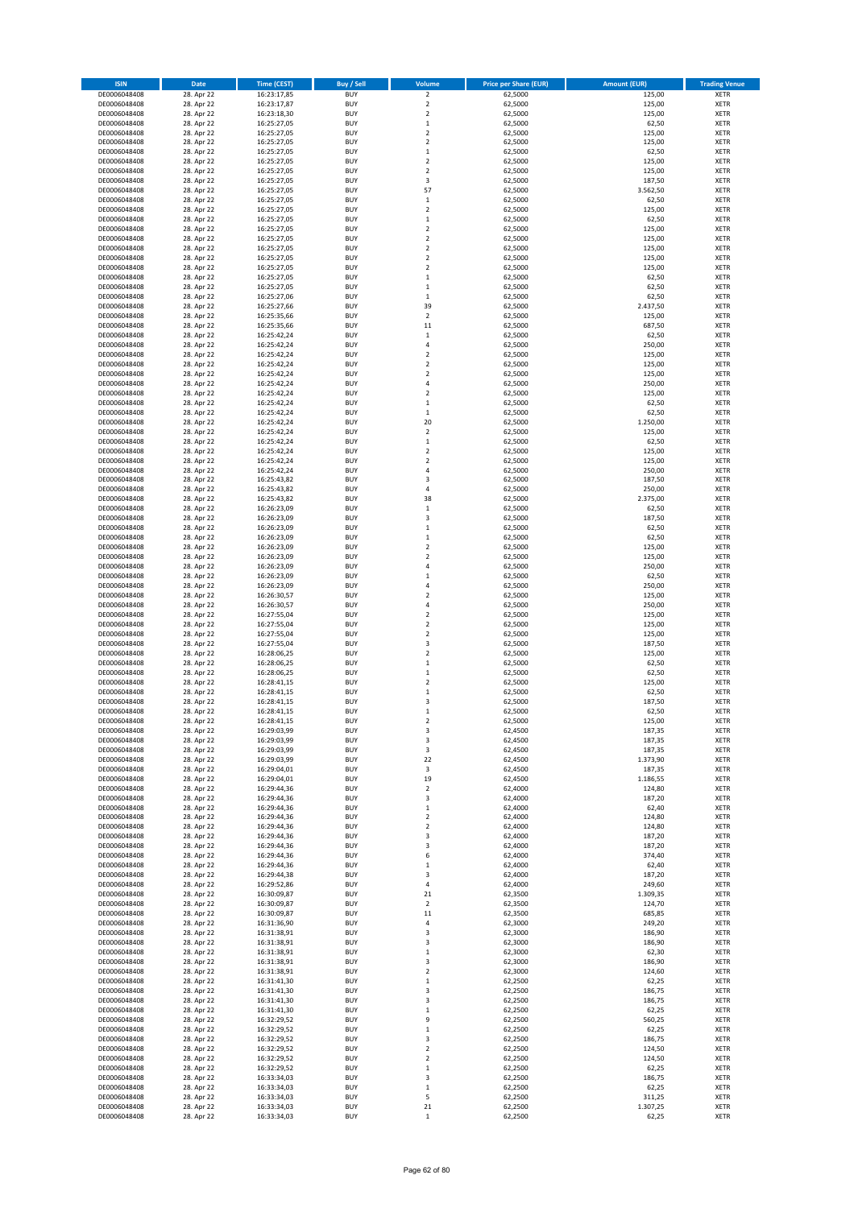| <b>ISIN</b>                  | Date                     | <b>Time (CEST)</b>         | Buy / Sell               | Volume                                    | <b>Price per Share (EUR)</b> | <b>Amount (EUR)</b> | <b>Trading Venue</b>       |
|------------------------------|--------------------------|----------------------------|--------------------------|-------------------------------------------|------------------------------|---------------------|----------------------------|
| DE0006048408                 | 28. Apr 22               | 16:23:17,85                | <b>BUY</b>               | $\overline{\mathbf{c}}$                   | 62,5000                      | 125,00              | XETR                       |
| DE0006048408<br>DE0006048408 | 28. Apr 22<br>28. Apr 22 | 16:23:17,87<br>16:23:18,30 | <b>BUY</b><br><b>BUY</b> | $\mathbf 2$<br>$\mathbf 2$                | 62,5000<br>62,5000           | 125,00<br>125,00    | XETR<br>XETR               |
| DE0006048408                 | 28. Apr 22               | 16:25:27,05                | <b>BUY</b>               | $\mathbf 1$                               | 62,5000                      | 62,50               | XETR                       |
| DE0006048408                 | 28. Apr 22               | 16:25:27,05                | <b>BUY</b>               | $\mathbf 2$                               | 62,5000                      | 125,00              | XETR                       |
| DE0006048408                 | 28. Apr 22               | 16:25:27,05                | <b>BUY</b>               | $\overline{\mathbf{c}}$                   | 62,5000                      | 125,00              | <b>XETR</b>                |
| DE0006048408                 | 28. Apr 22               | 16:25:27,05                | <b>BUY</b>               | $\mathbf 1$                               | 62,5000                      | 62,50               | <b>XETR</b>                |
| DE0006048408<br>DE0006048408 | 28. Apr 22<br>28. Apr 22 | 16:25:27,05<br>16:25:27,05 | <b>BUY</b><br><b>BUY</b> | $\overline{\mathbf{c}}$<br>$\mathbf 2$    | 62,5000<br>62,5000           | 125,00<br>125,00    | <b>XETR</b><br><b>XETR</b> |
| DE0006048408                 | 28. Apr 22               | 16:25:27,05                | <b>BUY</b>               | 3                                         | 62,5000                      | 187,50              | <b>XETR</b>                |
| DE0006048408                 | 28. Apr 22               | 16:25:27,05                | <b>BUY</b>               | 57                                        | 62,5000                      | 3.562,50            | XETR                       |
| DE0006048408                 | 28. Apr 22               | 16:25:27,05                | <b>BUY</b>               | $\mathbf 1$                               | 62,5000                      | 62,50               | <b>XETR</b>                |
| DE0006048408                 | 28. Apr 22               | 16:25:27,05                | <b>BUY</b>               | $\mathbf 2$                               | 62,5000                      | 125,00              | XETR                       |
| DE0006048408                 | 28. Apr 22               | 16:25:27,05<br>16:25:27,05 | <b>BUY</b>               | $\mathbf 1$                               | 62,5000                      | 62,50               | <b>XETR</b>                |
| DE0006048408<br>DE0006048408 | 28. Apr 22<br>28. Apr 22 | 16:25:27,05                | <b>BUY</b><br><b>BUY</b> | $\mathbf 2$<br>$\overline{\mathbf{c}}$    | 62,5000<br>62,5000           | 125,00<br>125,00    | XETR<br><b>XETR</b>        |
| DE0006048408                 | 28. Apr 22               | 16:25:27,05                | <b>BUY</b>               | $\mathbf 2$                               | 62,5000                      | 125,00              | XETR                       |
| DE0006048408                 | 28. Apr 22               | 16:25:27,05                | <b>BUY</b>               | $\overline{\mathbf{c}}$                   | 62,5000                      | 125,00              | <b>XETR</b>                |
| DE0006048408                 | 28. Apr 22               | 16:25:27,05                | <b>BUY</b>               | $\mathbf 2$                               | 62,5000                      | 125,00              | XETR                       |
| DE0006048408                 | 28. Apr 22               | 16:25:27,05                | <b>BUY</b><br><b>BUY</b> | $\mathbf 1$<br>$\mathbf 1$                | 62,5000                      | 62,50               | <b>XETR</b><br>XETR        |
| DE0006048408<br>DE0006048408 | 28. Apr 22<br>28. Apr 22 | 16:25:27,05<br>16:25:27,06 | <b>BUY</b>               | $\mathbf 1$                               | 62,5000<br>62,5000           | 62,50<br>62,50      | XETR                       |
| DE0006048408                 | 28. Apr 22               | 16:25:27,66                | <b>BUY</b>               | 39                                        | 62,5000                      | 2.437,50            | <b>XETR</b>                |
| DE0006048408                 | 28. Apr 22               | 16:25:35,66                | <b>BUY</b>               | $\overline{\mathbf{c}}$                   | 62,5000                      | 125,00              | <b>XETR</b>                |
| DE0006048408                 | 28. Apr 22               | 16:25:35,66                | <b>BUY</b>               | 11                                        | 62,5000                      | 687,50              | <b>XETR</b>                |
| DE0006048408                 | 28. Apr 22               | 16:25:42,24                | <b>BUY</b>               | $\mathbf 1$                               | 62,5000                      | 62,50               | <b>XETR</b>                |
| DE0006048408<br>DE0006048408 | 28. Apr 22<br>28. Apr 22 | 16:25:42,24<br>16:25:42,24 | <b>BUY</b><br><b>BUY</b> | $\overline{4}$<br>$\overline{\mathbf{c}}$ | 62,5000<br>62,5000           | 250,00<br>125,00    | <b>XETR</b><br><b>XETR</b> |
| DE0006048408                 | 28. Apr 22               | 16:25:42,24                | <b>BUY</b>               | $\mathbf 2$                               | 62,5000                      | 125,00              | <b>XETR</b>                |
| DE0006048408                 | 28. Apr 22               | 16:25:42,24                | <b>BUY</b>               | $\mathbf 2$                               | 62,5000                      | 125,00              | <b>XETR</b>                |
| DE0006048408                 | 28. Apr 22               | 16:25:42,24                | <b>BUY</b>               | $\overline{4}$                            | 62,5000                      | 250,00              | <b>XETR</b>                |
| DE0006048408                 | 28. Apr 22               | 16:25:42,24                | <b>BUY</b>               | $\mathbf 2$                               | 62,5000                      | 125,00              | <b>XETR</b>                |
| DE0006048408<br>DE0006048408 | 28. Apr 22<br>28. Apr 22 | 16:25:42,24<br>16:25:42,24 | <b>BUY</b><br><b>BUY</b> | $\mathbf 1$<br>$\mathbf 1$                | 62,5000<br>62,5000           | 62,50<br>62,50      | <b>XETR</b><br>XETR        |
| DE0006048408                 | 28. Apr 22               | 16:25:42,24                | <b>BUY</b>               | 20                                        | 62,5000                      | 1.250,00            | <b>XETR</b>                |
| DE0006048408                 | 28. Apr 22               | 16:25:42,24                | <b>BUY</b>               | $\mathbf 2$                               | 62,5000                      | 125,00              | XETR                       |
| DE0006048408                 | 28. Apr 22               | 16:25:42,24                | <b>BUY</b>               | $\mathbf 1$                               | 62,5000                      | 62,50               | <b>XETR</b>                |
| DE0006048408                 | 28. Apr 22               | 16:25:42,24                | <b>BUY</b>               | $\mathbf 2$                               | 62,5000                      | 125,00              | XETR                       |
| DE0006048408                 | 28. Apr 22               | 16:25:42,24                | <b>BUY</b>               | $\overline{\mathbf{c}}$                   | 62,5000                      | 125,00              | <b>XETR</b>                |
| DE0006048408<br>DE0006048408 | 28. Apr 22<br>28. Apr 22 | 16:25:42,24<br>16:25:43,82 | <b>BUY</b><br><b>BUY</b> | 4<br>3                                    | 62,5000<br>62,5000           | 250,00<br>187,50    | <b>XETR</b><br><b>XETR</b> |
| DE0006048408                 | 28. Apr 22               | 16:25:43,82                | <b>BUY</b>               | 4                                         | 62,5000                      | 250,00              | <b>XETR</b>                |
| DE0006048408                 | 28. Apr 22               | 16:25:43,82                | <b>BUY</b>               | 38                                        | 62,5000                      | 2.375,00            | <b>XETR</b>                |
| DE0006048408                 | 28. Apr 22               | 16:26:23,09                | <b>BUY</b>               | $\mathbf 1$                               | 62,5000                      | 62,50               | <b>XETR</b>                |
| DE0006048408                 | 28. Apr 22               | 16:26:23,09                | <b>BUY</b>               | 3                                         | 62,5000                      | 187,50              | <b>XETR</b>                |
| DE0006048408<br>DE0006048408 | 28. Apr 22<br>28. Apr 22 | 16:26:23,09<br>16:26:23,09 | <b>BUY</b><br><b>BUY</b> | $\mathbf 1$<br>$\mathbf 1$                | 62,5000<br>62,5000           | 62,50<br>62,50      | XETR<br>XETR               |
| DE0006048408                 | 28. Apr 22               | 16:26:23,09                | <b>BUY</b>               | $\overline{\mathbf{c}}$                   | 62,5000                      | 125,00              | <b>XETR</b>                |
| DE0006048408                 | 28. Apr 22               | 16:26:23,09                | <b>BUY</b>               | $\mathbf 2$                               | 62,5000                      | 125,00              | <b>XETR</b>                |
| DE0006048408                 | 28. Apr 22               | 16:26:23,09                | <b>BUY</b>               | 4                                         | 62,5000                      | 250,00              | XETR                       |
| DE0006048408                 | 28. Apr 22               | 16:26:23,09                | <b>BUY</b>               | $\mathbf{1}$                              | 62,5000                      | 62,50               | <b>XETR</b>                |
| DE0006048408<br>DE0006048408 | 28. Apr 22<br>28. Apr 22 | 16:26:23,09<br>16:26:30,57 | <b>BUY</b><br><b>BUY</b> | $\overline{4}$<br>$\mathbf 2$             | 62,5000<br>62,5000           | 250,00<br>125,00    | <b>XETR</b><br><b>XETR</b> |
| DE0006048408                 | 28. Apr 22               | 16:26:30,57                | <b>BUY</b>               | 4                                         | 62,5000                      | 250,00              | <b>XETR</b>                |
| DE0006048408                 | 28. Apr 22               | 16:27:55,04                | <b>BUY</b>               | $\mathbf 2$                               | 62,5000                      | 125,00              | <b>XETR</b>                |
| DE0006048408                 | 28. Apr 22               | 16:27:55,04                | <b>BUY</b>               | $\mathbf 2$                               | 62,5000                      | 125,00              | <b>XETR</b>                |
| DE0006048408                 | 28. Apr 22               | 16:27:55,04                | <b>BUY</b>               | $\mathbf 2$                               | 62,5000                      | 125,00              | <b>XETR</b>                |
| DE0006048408<br>DE0006048408 | 28. Apr 22<br>28. Apr 22 | 16:27:55,04<br>16:28:06,25 | <b>BUY</b><br><b>BUY</b> | 3<br>$\mathbf 2$                          | 62,5000<br>62,5000           | 187,50<br>125,00    | <b>XETR</b><br><b>XETR</b> |
| DE0006048408                 | 28. Apr 22               | 16:28:06,25                | <b>BUY</b>               | $\mathbf 1$                               | 62,5000                      | 62,50               | <b>XETR</b>                |
| DE0006048408                 | 28. Apr 22               | 16:28:06,25                | <b>BUY</b>               | $\mathbf 1$                               | 62,5000                      | 62,50               | XETR                       |
| DE0006048408                 | 28. Apr 22               | 16:28:41,15                | <b>BUY</b>               | $\mathbf 2$                               | 62,5000                      | 125,00              | <b>XETR</b>                |
| DE0006048408                 | 28. Apr 22               | 16:28:41,15                | <b>BUY</b>               | $\mathbf 1$                               | 62,5000                      | 62,50               | XETR                       |
| DE0006048408<br>DE0006048408 | 28. Apr 22<br>28. Apr 22 | 16:28:41,15<br>16:28:41,15 | <b>BUY</b><br><b>BUY</b> | 3<br>$\mathbf 1$                          | 62,5000<br>62,5000           | 187,50<br>62,50     | <b>XETR</b><br>XETR        |
| DE0006048408                 | 28. Apr 22               | 16:28:41,15                | <b>BUY</b>               | 2                                         | 62,5000                      | 125,00              | XETR                       |
| DE0006048408                 | 28. Apr 22               | 16:29:03,99                | <b>BUY</b>               | 3                                         | 62,4500                      | 187,35              | XETR                       |
| DE0006048408                 | 28. Apr 22               | 16:29:03,99                | <b>BUY</b>               | 3                                         | 62,4500                      | 187,35              | XETR                       |
| DE0006048408                 | 28. Apr 22               | 16:29:03,99                | <b>BUY</b>               | 3                                         | 62,4500                      | 187,35              | <b>XETR</b>                |
| DE0006048408<br>DE0006048408 | 28. Apr 22<br>28. Apr 22 | 16:29:03,99<br>16:29:04,01 | <b>BUY</b><br><b>BUY</b> | 22<br>3                                   | 62,4500<br>62,4500           | 1.373,90<br>187,35  | <b>XETR</b><br>XETR        |
| DE0006048408                 | 28. Apr 22               | 16:29:04.01                | <b>BUY</b>               | 19                                        | 62.4500                      | 1.186,55            | <b>XETR</b>                |
| DE0006048408                 | 28. Apr 22               | 16:29:44,36                | <b>BUY</b>               | 2                                         | 62,4000                      | 124,80              | XETR                       |
| DE0006048408                 | 28. Apr 22               | 16:29:44,36                | <b>BUY</b>               | 3                                         | 62,4000                      | 187,20              | <b>XETR</b>                |
| DE0006048408<br>DE0006048408 | 28. Apr 22<br>28. Apr 22 | 16:29:44,36<br>16:29:44,36 | <b>BUY</b><br><b>BUY</b> | $\mathbf 1$<br>2                          | 62,4000<br>62,4000           | 62,40<br>124,80     | XETR<br><b>XETR</b>        |
| DE0006048408                 | 28. Apr 22               | 16:29:44,36                | <b>BUY</b>               | $\mathbf 2$                               | 62,4000                      | 124,80              | XETR                       |
| DE0006048408                 | 28. Apr 22               | 16:29:44,36                | <b>BUY</b>               | 3                                         | 62,4000                      | 187,20              | <b>XETR</b>                |
| DE0006048408                 | 28. Apr 22               | 16:29:44,36                | <b>BUY</b>               | 3                                         | 62,4000                      | 187,20              | XETR                       |
| DE0006048408                 | 28. Apr 22               | 16:29:44,36                | <b>BUY</b>               | 6                                         | 62,4000                      | 374,40              | <b>XETR</b>                |
| DE0006048408<br>DE0006048408 | 28. Apr 22<br>28. Apr 22 | 16:29:44,36<br>16:29:44,38 | <b>BUY</b><br><b>BUY</b> | $\mathbf 1$<br>3                          | 62,4000<br>62,4000           | 62,40<br>187,20     | XETR<br><b>XETR</b>        |
| DE0006048408                 | 28. Apr 22               | 16:29:52,86                | <b>BUY</b>               | 4                                         | 62,4000                      | 249,60              | <b>XETR</b>                |
| DE0006048408                 | 28. Apr 22               | 16:30:09,87                | <b>BUY</b>               | 21                                        | 62,3500                      | 1.309,35            | <b>XETR</b>                |
| DE0006048408                 | 28. Apr 22               | 16:30:09,87                | <b>BUY</b>               | 2                                         | 62,3500                      | 124,70              | XETR                       |
| DE0006048408                 | 28. Apr 22               | 16:30:09,87                | <b>BUY</b><br><b>BUY</b> | 11                                        | 62,3500                      | 685,85              | <b>XETR</b>                |
| DE0006048408<br>DE0006048408 | 28. Apr 22<br>28. Apr 22 | 16:31:36,90<br>16:31:38,91 | <b>BUY</b>               | 4<br>3                                    | 62,3000<br>62,3000           | 249,20<br>186,90    | <b>XETR</b><br>XETR        |
| DE0006048408                 | 28. Apr 22               | 16:31:38,91                | <b>BUY</b>               | 3                                         | 62,3000                      | 186,90              | <b>XETR</b>                |
| DE0006048408                 | 28. Apr 22               | 16:31:38,91                | <b>BUY</b>               | $\mathbf 1$                               | 62,3000                      | 62,30               | XETR                       |
| DE0006048408                 | 28. Apr 22               | 16:31:38,91                | <b>BUY</b>               | 3                                         | 62,3000                      | 186,90              | <b>XETR</b>                |
| DE0006048408                 | 28. Apr 22               | 16:31:38,91                | <b>BUY</b>               | 2                                         | 62,3000                      | 124,60              | XETR                       |
| DE0006048408<br>DE0006048408 | 28. Apr 22<br>28. Apr 22 | 16:31:41,30<br>16:31:41,30 | <b>BUY</b><br><b>BUY</b> | $\mathbf 1$<br>3                          | 62,2500<br>62,2500           | 62,25<br>186,75     | <b>XETR</b><br>XETR        |
| DE0006048408                 | 28. Apr 22               | 16:31:41,30                | <b>BUY</b>               | 3                                         | 62,2500                      | 186,75              | <b>XETR</b>                |
| DE0006048408                 | 28. Apr 22               | 16:31:41,30                | <b>BUY</b>               | 1                                         | 62,2500                      | 62,25               | XETR                       |
| DE0006048408                 | 28. Apr 22               | 16:32:29,52                | <b>BUY</b>               | 9                                         | 62,2500                      | 560,25              | <b>XETR</b>                |
| DE0006048408                 | 28. Apr 22               | 16:32:29,52                | <b>BUY</b>               | $\mathbf 1$                               | 62,2500                      | 62,25               | XETR                       |
| DE0006048408<br>DE0006048408 | 28. Apr 22<br>28. Apr 22 | 16:32:29,52<br>16:32:29,52 | <b>BUY</b><br><b>BUY</b> | 3<br>2                                    | 62,2500<br>62,2500           | 186,75<br>124,50    | <b>XETR</b><br><b>XETR</b> |
| DE0006048408                 | 28. Apr 22               | 16:32:29,52                | <b>BUY</b>               | 2                                         | 62,2500                      | 124,50              | <b>XETR</b>                |
| DE0006048408                 | 28. Apr 22               | 16:32:29,52                | <b>BUY</b>               | $\mathbf 1$                               | 62,2500                      | 62,25               | XETR                       |
| DE0006048408                 | 28. Apr 22               | 16:33:34,03                | <b>BUY</b>               | 3                                         | 62,2500                      | 186,75              | <b>XETR</b>                |
| DE0006048408                 | 28. Apr 22               | 16:33:34,03                | <b>BUY</b>               | $\mathbf 1$                               | 62,2500                      | 62,25               | XETR                       |
| DE0006048408<br>DE0006048408 | 28. Apr 22<br>28. Apr 22 | 16:33:34,03<br>16:33:34,03 | <b>BUY</b><br><b>BUY</b> | 5<br>21                                   | 62,2500<br>62,2500           | 311,25<br>1.307,25  | XETR<br>XETR               |
| DE0006048408                 | 28. Apr 22               | 16:33:34,03                | <b>BUY</b>               | $\,$ 1                                    | 62,2500                      | 62,25               | <b>XETR</b>                |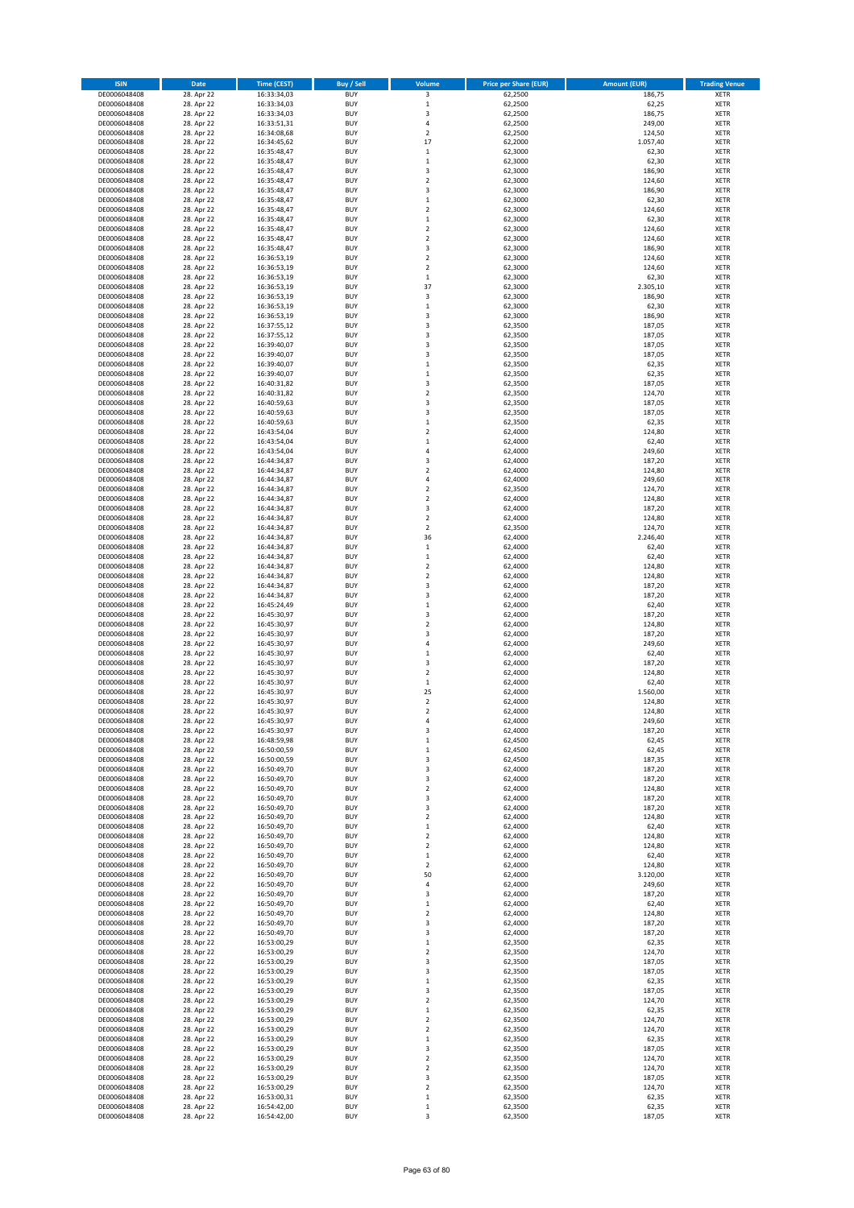| <b>ISIN</b>                  | Date                     | <b>Time (CEST)</b>         | Buy / Sell               | Volume                                 | <b>Price per Share (EUR)</b> | <b>Amount (EUR)</b> | <b>Trading Venue</b>       |
|------------------------------|--------------------------|----------------------------|--------------------------|----------------------------------------|------------------------------|---------------------|----------------------------|
| DE0006048408                 | 28. Apr 22               | 16:33:34,03                | <b>BUY</b>               | 3                                      | 62,2500                      | 186,75              | XETR                       |
| DE0006048408                 | 28. Apr 22               | 16:33:34,03                | <b>BUY</b>               | $\mathbf 1$                            | 62,2500                      | 62,25               | XETR                       |
| DE0006048408<br>DE0006048408 | 28. Apr 22<br>28. Apr 22 | 16:33:34,03<br>16:33:51,31 | <b>BUY</b><br><b>BUY</b> | 3<br>4                                 | 62,2500<br>62,2500           | 186,75<br>249,00    | XETR<br>XETR               |
| DE0006048408                 | 28. Apr 22               | 16:34:08,68                | <b>BUY</b>               | $\mathbf 2$                            | 62,2500                      | 124,50              | XETR                       |
| DE0006048408                 | 28. Apr 22               | 16:34:45,62                | <b>BUY</b>               | 17                                     | 62,2000                      | 1.057,40            | <b>XETR</b>                |
| DE0006048408                 | 28. Apr 22               | 16:35:48,47                | <b>BUY</b>               | $\mathbf 1$                            | 62,3000                      | 62,30               | <b>XETR</b>                |
| DE0006048408                 | 28. Apr 22               | 16:35:48,47                | <b>BUY</b>               | $\mathbf 1$                            | 62,3000                      | 62,30               | <b>XETR</b>                |
| DE0006048408                 | 28. Apr 22<br>28. Apr 22 | 16:35:48,47                | <b>BUY</b><br><b>BUY</b> | 3<br>$\overline{\mathbf{c}}$           | 62,3000<br>62,3000           | 186,90<br>124,60    | <b>XETR</b><br><b>XETR</b> |
| DE0006048408<br>DE0006048408 | 28. Apr 22               | 16:35:48,47<br>16:35:48,47 | <b>BUY</b>               | 3                                      | 62,3000                      | 186,90              | XETR                       |
| DE0006048408                 | 28. Apr 22               | 16:35:48,47                | <b>BUY</b>               | $\mathbf 1$                            | 62,3000                      | 62,30               | <b>XETR</b>                |
| DE0006048408                 | 28. Apr 22               | 16:35:48,47                | <b>BUY</b>               | $\mathbf 2$                            | 62,3000                      | 124,60              | XETR                       |
| DE0006048408                 | 28. Apr 22               | 16:35:48,47                | <b>BUY</b>               | $\mathbf 1$                            | 62,3000                      | 62,30               | <b>XETR</b>                |
| DE0006048408                 | 28. Apr 22               | 16:35:48,47                | <b>BUY</b>               | $\mathbf 2$                            | 62,3000                      | 124,60              | XETR                       |
| DE0006048408<br>DE0006048408 | 28. Apr 22<br>28. Apr 22 | 16:35:48,47<br>16:35:48,47 | <b>BUY</b><br><b>BUY</b> | $\overline{\mathbf{c}}$<br>3           | 62,3000<br>62,3000           | 124,60<br>186,90    | <b>XETR</b><br>XETR        |
| DE0006048408                 | 28. Apr 22               | 16:36:53,19                | <b>BUY</b>               | $\overline{\mathbf{c}}$                | 62,3000                      | 124,60              | <b>XETR</b>                |
| DE0006048408                 | 28. Apr 22               | 16:36:53,19                | <b>BUY</b>               | $\mathbf 2$                            | 62,3000                      | 124,60              | XETR                       |
| DE0006048408                 | 28. Apr 22               | 16:36:53,19                | <b>BUY</b>               | $\mathbf 1$                            | 62,3000                      | 62,30               | <b>XETR</b>                |
| DE0006048408                 | 28. Apr 22               | 16:36:53,19                | <b>BUY</b>               | 37                                     | 62,3000                      | 2.305,10            | XETR                       |
| DE0006048408<br>DE0006048408 | 28. Apr 22<br>28. Apr 22 | 16:36:53,19<br>16:36:53,19 | <b>BUY</b><br><b>BUY</b> | 3<br>$\mathbf{1}$                      | 62,3000<br>62,3000           | 186,90<br>62,30     | XETR<br><b>XETR</b>        |
| DE0006048408                 | 28. Apr 22               | 16:36:53,19                | <b>BUY</b>               | 3                                      | 62,3000                      | 186,90              | <b>XETR</b>                |
| DE0006048408                 | 28. Apr 22               | 16:37:55,12                | <b>BUY</b>               | 3                                      | 62,3500                      | 187,05              | <b>XETR</b>                |
| DE0006048408                 | 28. Apr 22               | 16:37:55,12                | <b>BUY</b>               | 3                                      | 62,3500                      | 187,05              | <b>XETR</b>                |
| DE0006048408                 | 28. Apr 22               | 16:39:40,07                | <b>BUY</b>               | 3                                      | 62,3500                      | 187,05              | <b>XETR</b>                |
| DE0006048408<br>DE0006048408 | 28. Apr 22<br>28. Apr 22 | 16:39:40,07<br>16:39:40,07 | <b>BUY</b><br><b>BUY</b> | 3<br>$\mathbf 1$                       | 62,3500<br>62,3500           | 187,05<br>62,35     | <b>XETR</b><br><b>XETR</b> |
| DE0006048408                 | 28. Apr 22               | 16:39:40,07                | <b>BUY</b>               | $\mathbf 1$                            | 62,3500                      | 62,35               | <b>XETR</b>                |
| DE0006048408                 | 28. Apr 22               | 16:40:31,82                | <b>BUY</b>               | 3                                      | 62,3500                      | 187,05              | <b>XETR</b>                |
| DE0006048408                 | 28. Apr 22               | 16:40:31,82                | <b>BUY</b>               | $\mathbf 2$                            | 62,3500                      | 124,70              | <b>XETR</b>                |
| DE0006048408                 | 28. Apr 22               | 16:40:59,63                | <b>BUY</b>               | 3                                      | 62,3500                      | 187,05              | <b>XETR</b>                |
| DE0006048408                 | 28. Apr 22               | 16:40:59,63                | <b>BUY</b>               | 3                                      | 62,3500                      | 187,05              | XETR                       |
| DE0006048408<br>DE0006048408 | 28. Apr 22<br>28. Apr 22 | 16:40:59,63<br>16:43:54,04 | <b>BUY</b><br><b>BUY</b> | $\mathbf{1}$<br>$\mathbf 2$            | 62,3500<br>62,4000           | 62,35<br>124,80     | <b>XETR</b><br>XETR        |
| DE0006048408                 | 28. Apr 22               | 16:43:54,04                | <b>BUY</b>               | $\mathbf 1$                            | 62,4000                      | 62,40               | <b>XETR</b>                |
| DE0006048408                 | 28. Apr 22               | 16:43:54,04                | <b>BUY</b>               | 4                                      | 62,4000                      | 249,60              | XETR                       |
| DE0006048408                 | 28. Apr 22               | 16:44:34,87                | <b>BUY</b>               | $\overline{\mathbf{3}}$                | 62,4000                      | 187,20              | <b>XETR</b>                |
| DE0006048408                 | 28. Apr 22               | 16:44:34,87                | <b>BUY</b>               | $\overline{\mathbf{c}}$                | 62,4000                      | 124,80              | <b>XETR</b>                |
| DE0006048408                 | 28. Apr 22<br>28. Apr 22 | 16:44:34,87                | <b>BUY</b>               | $\overline{4}$                         | 62,4000                      | 249,60              | <b>XETR</b><br><b>XETR</b> |
| DE0006048408<br>DE0006048408 | 28. Apr 22               | 16:44:34,87<br>16:44:34,87 | <b>BUY</b><br><b>BUY</b> | $\mathbf 2$<br>$\overline{\mathbf{c}}$ | 62,3500<br>62,4000           | 124,70<br>124,80    | <b>XETR</b>                |
| DE0006048408                 | 28. Apr 22               | 16:44:34,87                | <b>BUY</b>               | 3                                      | 62,4000                      | 187,20              | <b>XETR</b>                |
| DE0006048408                 | 28. Apr 22               | 16:44:34,87                | <b>BUY</b>               | $\overline{2}$                         | 62,4000                      | 124,80              | <b>XETR</b>                |
| DE0006048408                 | 28. Apr 22               | 16:44:34,87                | <b>BUY</b>               | $\mathbf 2$                            | 62,3500                      | 124,70              | XETR                       |
| DE0006048408                 | 28. Apr 22               | 16:44:34,87                | <b>BUY</b>               | 36                                     | 62,4000                      | 2.246,40            | XETR                       |
| DE0006048408<br>DE0006048408 | 28. Apr 22<br>28. Apr 22 | 16:44:34,87<br>16:44:34,87 | <b>BUY</b><br><b>BUY</b> | $\mathbf 1$<br>$\mathbf 1$             | 62,4000<br>62,4000           | 62,40<br>62,40      | <b>XETR</b><br><b>XETR</b> |
| DE0006048408                 | 28. Apr 22               | 16:44:34,87                | <b>BUY</b>               | $\mathbf 2$                            | 62,4000                      | 124,80              | XETR                       |
| DE0006048408                 | 28. Apr 22               | 16:44:34,87                | <b>BUY</b>               | 2                                      | 62,4000                      | 124,80              | <b>XETR</b>                |
| DE0006048408                 | 28. Apr 22               | 16:44:34,87                | <b>BUY</b>               | 3                                      | 62,4000                      | 187,20              | <b>XETR</b>                |
| DE0006048408                 | 28. Apr 22               | 16:44:34,87                | <b>BUY</b>               | 3                                      | 62,4000                      | 187,20              | <b>XETR</b>                |
| DE0006048408<br>DE0006048408 | 28. Apr 22<br>28. Apr 22 | 16:45:24,49<br>16:45:30,97 | <b>BUY</b><br><b>BUY</b> | $\mathbf 1$<br>3                       | 62,4000<br>62,4000           | 62,40<br>187,20     | <b>XETR</b><br>XETR        |
| DE0006048408                 | 28. Apr 22               | 16:45:30,97                | <b>BUY</b>               | $\overline{\mathbf{c}}$                | 62,4000                      | 124,80              | <b>XETR</b>                |
| DE0006048408                 | 28. Apr 22               | 16:45:30,97                | <b>BUY</b>               | 3                                      | 62,4000                      | 187,20              | <b>XETR</b>                |
| DE0006048408                 | 28. Apr 22               | 16:45:30,97                | <b>BUY</b>               | 4                                      | 62,4000                      | 249,60              | <b>XETR</b>                |
| DE0006048408                 | 28. Apr 22               | 16:45:30,97                | <b>BUY</b>               | $\mathbf 1$                            | 62,4000                      | 62,40               | <b>XETR</b>                |
| DE0006048408                 | 28. Apr 22               | 16:45:30,97                | <b>BUY</b>               | 3                                      | 62,4000                      | 187,20              | <b>XETR</b>                |
| DE0006048408<br>DE0006048408 | 28. Apr 22<br>28. Apr 22 | 16:45:30,97<br>16:45:30,97 | <b>BUY</b><br><b>BUY</b> | $\mathbf 2$<br>$\mathbf 1$             | 62,4000<br>62,4000           | 124,80<br>62,40     | XETR<br><b>XETR</b>        |
| DE0006048408                 | 28. Apr 22               | 16:45:30,97                | <b>BUY</b>               | 25                                     | 62,4000                      | 1.560,00            | XETR                       |
| DE0006048408                 | 28. Apr 22               | 16:45:30,97                | <b>BUY</b>               | $\overline{\mathbf{c}}$                | 62,4000                      | 124,80              | <b>XETR</b>                |
| DE0006048408                 | 28. Apr 22               | 16:45:30,97                | <b>BUY</b>               | $\mathbf 2$                            | 62,4000                      | 124,80              | XETR                       |
| DE0006048408                 | 28. Apr 22               | 16:45:30,97                | <b>BUY</b>               | 4                                      | 62,4000                      | 249,60              | XETR                       |
| DE0006048408<br>DE0006048408 | 28. Apr 22<br>28. Apr 22 | 16:45:30,97<br>16:48:59,98 | <b>BUY</b><br><b>BUY</b> | 3<br>$\mathbf 1$                       | 62,4000<br>62,4500           | 187,20<br>62,45     | XETR<br>XETR               |
| DE0006048408                 | 28. Apr 22               | 16:50:00,59                | <b>BUY</b>               | $\mathbf 1$                            | 62,4500                      | 62,45               | XETR                       |
| DE0006048408                 | 28. Apr 22               | 16:50:00,59                | <b>BUY</b>               | 3                                      | 62,4500                      | 187,35              | <b>XETR</b>                |
| DE0006048408                 | 28. Apr 22               | 16:50:49,70                | <b>BUY</b>               | 3                                      | 62,4000                      | 187,20              | XETR                       |
| DE0006048408                 | 28. Apr 22               | 16:50:49,70                | <b>BUY</b>               | 3                                      | 62,4000                      | 187,20              | <b>XETR</b>                |
| DE0006048408<br>DE0006048408 | 28. Apr 22<br>28. Apr 22 | 16:50:49,70<br>16:50:49,70 | <b>BUY</b><br><b>BUY</b> | $\overline{\mathbf{c}}$<br>3           | 62,4000<br>62,4000           | 124,80<br>187,20    | XETR<br><b>XETR</b>        |
| DE0006048408                 | 28. Apr 22               | 16:50:49,70                | <b>BUY</b>               | 3                                      | 62,4000                      | 187,20              | XETR                       |
| DE0006048408                 | 28. Apr 22               | 16:50:49,70                | <b>BUY</b>               | 2                                      | 62,4000                      | 124,80              | <b>XETR</b>                |
| DE0006048408                 | 28. Apr 22               | 16:50:49,70                | <b>BUY</b>               | $\mathbf 1$                            | 62,4000                      | 62,40               | XETR                       |
| DE0006048408                 | 28. Apr 22               | 16:50:49,70                | <b>BUY</b>               | $\mathbf 2$                            | 62,4000                      | 124,80              | <b>XETR</b>                |
| DE0006048408<br>DE0006048408 | 28. Apr 22<br>28. Apr 22 | 16:50:49,70<br>16:50:49,70 | <b>BUY</b><br><b>BUY</b> | $\boldsymbol{2}$<br>$\mathbf 1$        | 62,4000<br>62,4000           | 124,80<br>62,40     | XETR<br><b>XETR</b>        |
| DE0006048408                 | 28. Apr 22               | 16:50:49,70                | <b>BUY</b>               | $\mathbf 2$                            | 62,4000                      | 124,80              | XETR                       |
| DE0006048408                 | 28. Apr 22               | 16:50:49,70                | <b>BUY</b>               | 50                                     | 62,4000                      | 3.120,00            | <b>XETR</b>                |
| DE0006048408                 | 28. Apr 22               | 16:50:49,70                | <b>BUY</b>               | 4                                      | 62,4000                      | 249,60              | <b>XETR</b>                |
| DE0006048408                 | 28. Apr 22               | 16:50:49,70                | <b>BUY</b>               | 3                                      | 62,4000                      | 187,20              | <b>XETR</b>                |
| DE0006048408                 | 28. Apr 22               | 16:50:49,70                | <b>BUY</b>               | $\mathbf 1$                            | 62,4000                      | 62,40               | XETR                       |
| DE0006048408<br>DE0006048408 | 28. Apr 22<br>28. Apr 22 | 16:50:49,70<br>16:50:49,70 | <b>BUY</b><br><b>BUY</b> | $\mathbf 2$<br>3                       | 62,4000<br>62,4000           | 124,80<br>187,20    | <b>XETR</b><br><b>XETR</b> |
| DE0006048408                 | 28. Apr 22               | 16:50:49,70                | <b>BUY</b>               | 3                                      | 62,4000                      | 187,20              | XETR                       |
| DE0006048408                 | 28. Apr 22               | 16:53:00,29                | <b>BUY</b>               | $\mathbf 1$                            | 62,3500                      | 62,35               | <b>XETR</b>                |
| DE0006048408                 | 28. Apr 22               | 16:53:00,29                | <b>BUY</b>               | $\mathbf 2$                            | 62,3500                      | 124,70              | XETR                       |
| DE0006048408                 | 28. Apr 22               | 16:53:00,29                | <b>BUY</b>               | 3                                      | 62,3500                      | 187,05              | <b>XETR</b>                |
| DE0006048408<br>DE0006048408 | 28. Apr 22<br>28. Apr 22 | 16:53:00,29<br>16:53:00,29 | <b>BUY</b><br><b>BUY</b> | 3<br>$\mathbf 1$                       | 62,3500<br>62,3500           | 187,05<br>62,35     | XETR<br><b>XETR</b>        |
| DE0006048408                 | 28. Apr 22               | 16:53:00,29                | <b>BUY</b>               | 3                                      | 62,3500                      | 187,05              | XETR                       |
| DE0006048408                 | 28. Apr 22               | 16:53:00,29                | <b>BUY</b>               | $\overline{2}$                         | 62,3500                      | 124,70              | <b>XETR</b>                |
| DE0006048408                 | 28. Apr 22               | 16:53:00,29                | <b>BUY</b>               | 1                                      | 62,3500                      | 62,35               | XETR                       |
| DE0006048408                 | 28. Apr 22               | 16:53:00,29                | <b>BUY</b>               | $\overline{\mathbf{c}}$                | 62,3500                      | 124,70              | <b>XETR</b>                |
| DE0006048408                 | 28. Apr 22               | 16:53:00,29                | <b>BUY</b>               | $\mathbf 2$                            | 62,3500                      | 124,70              | XETR                       |
| DE0006048408<br>DE0006048408 | 28. Apr 22<br>28. Apr 22 | 16:53:00,29<br>16:53:00,29 | <b>BUY</b><br><b>BUY</b> | $\mathbf 1$<br>3                       | 62,3500<br>62,3500           | 62,35<br>187,05     | <b>XETR</b><br><b>XETR</b> |
| DE0006048408                 | 28. Apr 22               | 16:53:00,29                | <b>BUY</b>               | 2                                      | 62,3500                      | 124,70              | <b>XETR</b>                |
| DE0006048408                 | 28. Apr 22               | 16:53:00,29                | <b>BUY</b>               | $\mathbf 2$                            | 62,3500                      | 124,70              | XETR                       |
| DE0006048408                 | 28. Apr 22               | 16:53:00,29                | <b>BUY</b>               | 3                                      | 62,3500                      | 187,05              | <b>XETR</b>                |
| DE0006048408                 | 28. Apr 22               | 16:53:00,29                | <b>BUY</b>               | $\boldsymbol{2}$                       | 62,3500                      | 124,70              | XETR                       |
| DE0006048408<br>DE0006048408 | 28. Apr 22<br>28. Apr 22 | 16:53:00,31<br>16:54:42,00 | <b>BUY</b><br><b>BUY</b> | $\mathbf 1$<br>$\mathbf 1$             | 62,3500<br>62,3500           | 62,35<br>62,35      | XETR<br>XETR               |
| DE0006048408                 | 28. Apr 22               | 16:54:42,00                | <b>BUY</b>               | 3                                      | 62,3500                      | 187,05              | <b>XETR</b>                |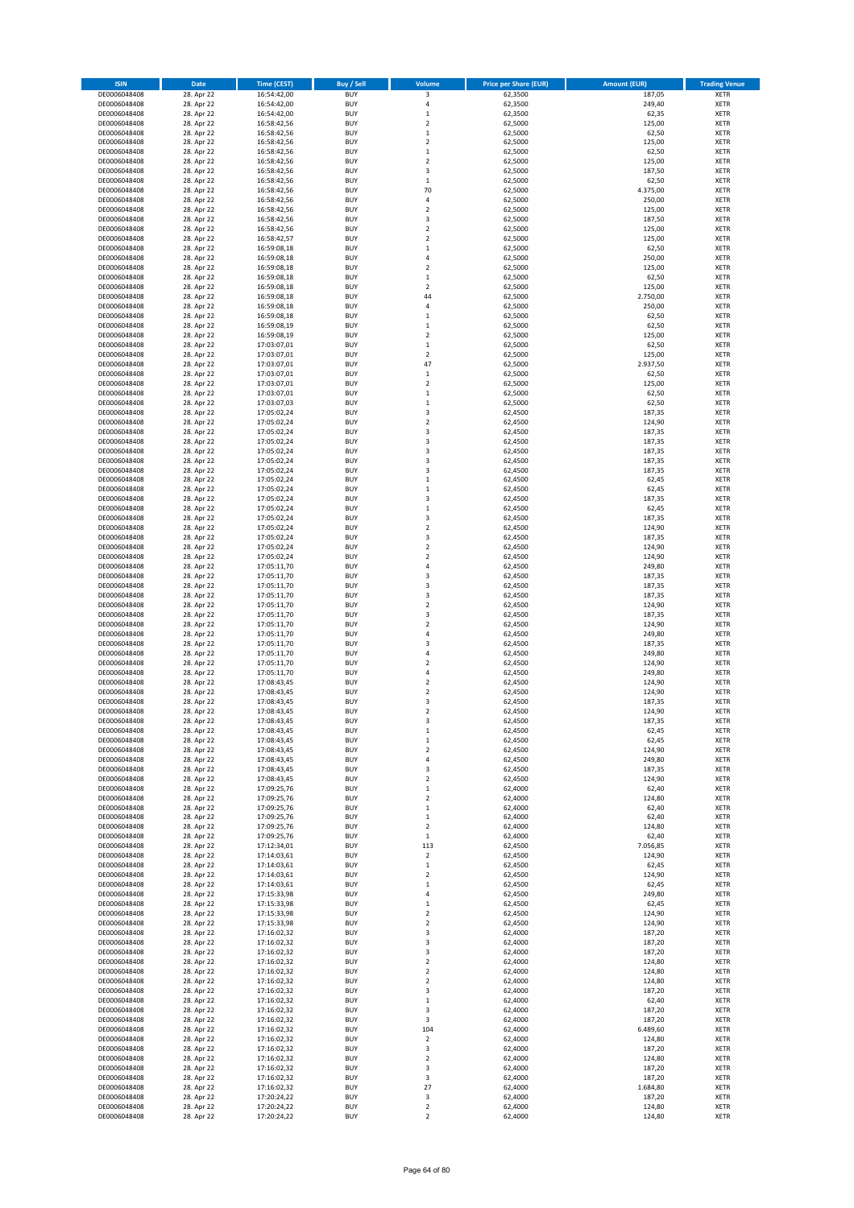| <b>ISIN</b>                  | Date                     | <b>Time (CEST)</b>         | <b>Buy / Sell</b>        | Volume                        | <b>Price per Share (EUR)</b> | <b>Amount (EUR)</b> | <b>Trading Venue</b>       |
|------------------------------|--------------------------|----------------------------|--------------------------|-------------------------------|------------------------------|---------------------|----------------------------|
| DE0006048408                 | 28. Apr 22               | 16:54:42,00                | <b>BUY</b>               | 3                             | 62,3500                      | 187,05              | <b>XETR</b>                |
| DE0006048408                 | 28. Apr 22               | 16:54:42,00                | <b>BUY</b>               | $\sqrt{4}$                    | 62,3500                      | 249,40              | <b>XETR</b>                |
| DE0006048408<br>DE0006048408 | 28. Apr 22<br>28. Apr 22 | 16:54:42,00<br>16:58:42,56 | <b>BUY</b><br><b>BUY</b> | $\mathbf 1$<br>$\overline{2}$ | 62,3500<br>62,5000           | 62,35<br>125,00     | XETR<br><b>XETR</b>        |
| DE0006048408                 | 28. Apr 22               | 16:58:42,56                | <b>BUY</b>               | $\,$ 1                        | 62,5000                      | 62,50               | <b>XETR</b>                |
| DE0006048408                 | 28. Apr 22               | 16:58:42,56                | <b>BUY</b>               | $\overline{2}$                | 62,5000                      | 125,00              | <b>XETR</b>                |
| DE0006048408                 | 28. Apr 22               | 16:58:42,56                | <b>BUY</b>               | $\,1\,$                       | 62,5000                      | 62,50               | <b>XETR</b>                |
| DE0006048408                 | 28. Apr 22               | 16:58:42,56                | <b>BUY</b>               | $\overline{2}$                | 62,5000                      | 125,00              | <b>XETR</b>                |
| DE0006048408                 | 28. Apr 22<br>28. Apr 22 | 16:58:42,56                | <b>BUY</b><br><b>BUY</b> | 3<br>$\,1\,$                  | 62,5000<br>62,5000           | 187,50<br>62,50     | XETR<br><b>XETR</b>        |
| DE0006048408<br>DE0006048408 | 28. Apr 22               | 16:58:42,56<br>16:58:42,56 | <b>BUY</b>               | 70                            | 62,5000                      | 4.375,00            | XETR                       |
| DE0006048408                 | 28. Apr 22               | 16:58:42,56                | <b>BUY</b>               | $\sqrt{4}$                    | 62,5000                      | 250,00              | <b>XETR</b>                |
| DE0006048408                 | 28. Apr 22               | 16:58:42,56                | <b>BUY</b>               | $\sqrt{2}$                    | 62,5000                      | 125,00              | XETR                       |
| DE0006048408                 | 28. Apr 22               | 16:58:42,56                | <b>BUY</b>               | 3                             | 62,5000                      | 187,50              | <b>XETR</b>                |
| DE0006048408                 | 28. Apr 22               | 16:58:42,56                | <b>BUY</b>               | $\sqrt{2}$                    | 62,5000                      | 125,00              | XETR                       |
| DE0006048408<br>DE0006048408 | 28. Apr 22<br>28. Apr 22 | 16:58:42,57<br>16:59:08,18 | <b>BUY</b><br><b>BUY</b> | $\overline{2}$<br>$\,$ 1      | 62,5000<br>62,5000           | 125,00<br>62,50     | <b>XETR</b><br>XETR        |
| DE0006048408                 | 28. Apr 22               | 16:59:08,18                | <b>BUY</b>               | $\sqrt{4}$                    | 62,5000                      | 250,00              | <b>XETR</b>                |
| DE0006048408                 | 28. Apr 22               | 16:59:08,18                | <b>BUY</b>               | $\overline{2}$                | 62,5000                      | 125,00              | XETR                       |
| DE0006048408                 | 28. Apr 22               | 16:59:08,18                | <b>BUY</b>               | $\mathbf 1$                   | 62,5000                      | 62,50               | XETR                       |
| DE0006048408                 | 28. Apr 22               | 16:59:08,18                | <b>BUY</b><br><b>BUY</b> | $\overline{2}$<br>44          | 62,5000                      | 125,00<br>2.750,00  | <b>XETR</b><br><b>XETR</b> |
| DE0006048408<br>DE0006048408 | 28. Apr 22<br>28. Apr 22 | 16:59:08,18<br>16:59:08,18 | <b>BUY</b>               | $\overline{4}$                | 62,5000<br>62,5000           | 250,00              | <b>XETR</b>                |
| DE0006048408                 | 28. Apr 22               | 16:59:08,18                | <b>BUY</b>               | $\,1\,$                       | 62,5000                      | 62,50               | <b>XETR</b>                |
| DE0006048408                 | 28. Apr 22               | 16:59:08,19                | <b>BUY</b>               | $\mathbf 1$                   | 62,5000                      | 62,50               | <b>XETR</b>                |
| DE0006048408                 | 28. Apr 22               | 16:59:08,19                | <b>BUY</b>               | $\overline{2}$                | 62,5000                      | 125,00              | <b>XETR</b>                |
| DE0006048408                 | 28. Apr 22               | 17:03:07,01                | <b>BUY</b>               | $\,1\,$                       | 62,5000                      | 62,50               | <b>XETR</b>                |
| DE0006048408<br>DE0006048408 | 28. Apr 22<br>28. Apr 22 | 17:03:07,01<br>17:03:07,01 | <b>BUY</b><br><b>BUY</b> | $\overline{2}$<br>47          | 62,5000<br>62,5000           | 125,00<br>2.937,50  | <b>XETR</b><br><b>XETR</b> |
| DE0006048408                 | 28. Apr 22               | 17:03:07,01                | <b>BUY</b>               | $\,$ 1                        | 62,5000                      | 62,50               | <b>XETR</b>                |
| DE0006048408                 | 28. Apr 22               | 17:03:07,01                | <b>BUY</b>               | $\sqrt{2}$                    | 62,5000                      | 125,00              | <b>XETR</b>                |
| DE0006048408                 | 28. Apr 22               | 17:03:07,01                | <b>BUY</b>               | $\,$ 1                        | 62,5000                      | 62,50               | <b>XETR</b>                |
| DE0006048408                 | 28. Apr 22               | 17:03:07,03                | <b>BUY</b><br><b>BUY</b> | $\mathbf 1$<br>3              | 62,5000                      | 62,50<br>187,35     | <b>XETR</b><br>XETR        |
| DE0006048408<br>DE0006048408 | 28. Apr 22<br>28. Apr 22 | 17:05:02,24<br>17:05:02,24 | <b>BUY</b>               | $\overline{2}$                | 62,4500<br>62,4500           | 124,90              | <b>XETR</b>                |
| DE0006048408                 | 28. Apr 22               | 17:05:02,24                | <b>BUY</b>               | 3                             | 62,4500                      | 187,35              | XETR                       |
| DE0006048408                 | 28. Apr 22               | 17:05:02,24                | <b>BUY</b>               | 3                             | 62,4500                      | 187,35              | <b>XETR</b>                |
| DE0006048408                 | 28. Apr 22               | 17:05:02,24                | <b>BUY</b>               | 3                             | 62,4500                      | 187,35              | XETR                       |
| DE0006048408                 | 28. Apr 22               | 17:05:02,24                | <b>BUY</b>               | 3                             | 62,4500                      | 187,35              | <b>XETR</b>                |
| DE0006048408<br>DE0006048408 | 28. Apr 22<br>28. Apr 22 | 17:05:02,24                | <b>BUY</b><br><b>BUY</b> | 3<br>$\,1\,$                  | 62,4500<br>62,4500           | 187,35<br>62,45     | <b>XETR</b><br><b>XETR</b> |
| DE0006048408                 | 28. Apr 22               | 17:05:02,24<br>17:05:02,24 | <b>BUY</b>               | $\mathbf 1$                   | 62,4500                      | 62,45               | XETR                       |
| DE0006048408                 | 28. Apr 22               | 17:05:02,24                | <b>BUY</b>               | 3                             | 62,4500                      | 187,35              | <b>XETR</b>                |
| DE0006048408                 | 28. Apr 22               | 17:05:02,24                | <b>BUY</b>               | $\,1\,$                       | 62,4500                      | 62,45               | XETR                       |
| DE0006048408                 | 28. Apr 22               | 17:05:02,24                | <b>BUY</b>               | 3                             | 62,4500                      | 187,35              | <b>XETR</b>                |
| DE0006048408                 | 28. Apr 22               | 17:05:02,24                | <b>BUY</b>               | $\mathbf 2$                   | 62,4500                      | 124,90              | XETR                       |
| DE0006048408<br>DE0006048408 | 28. Apr 22<br>28. Apr 22 | 17:05:02,24<br>17:05:02,24 | <b>BUY</b><br><b>BUY</b> | 3<br>$\overline{2}$           | 62,4500<br>62,4500           | 187,35<br>124,90    | <b>XETR</b><br><b>XETR</b> |
| DE0006048408                 | 28. Apr 22               | 17:05:02,24                | <b>BUY</b>               | $\mathbf 2$                   | 62,4500                      | 124,90              | <b>XETR</b>                |
| DE0006048408                 | 28. Apr 22               | 17:05:11,70                | <b>BUY</b>               | $\sqrt{4}$                    | 62,4500                      | 249,80              | <b>XETR</b>                |
| DE0006048408                 | 28. Apr 22               | 17:05:11,70                | <b>BUY</b>               | 3                             | 62,4500                      | 187,35              | <b>XETR</b>                |
| DE0006048408                 | 28. Apr 22               | 17:05:11,70                | <b>BUY</b>               | 3<br>3                        | 62,4500                      | 187,35              | <b>XETR</b>                |
| DE0006048408<br>DE0006048408 | 28. Apr 22<br>28. Apr 22 | 17:05:11,70<br>17:05:11,70 | <b>BUY</b><br><b>BUY</b> | $\overline{2}$                | 62,4500<br>62,4500           | 187,35<br>124,90    | XETR<br><b>XETR</b>        |
| DE0006048408                 | 28. Apr 22               | 17:05:11,70                | <b>BUY</b>               | 3                             | 62,4500                      | 187,35              | <b>XETR</b>                |
| DE0006048408                 | 28. Apr 22               | 17:05:11,70                | <b>BUY</b>               | $\overline{2}$                | 62,4500                      | 124,90              | <b>XETR</b>                |
| DE0006048408                 | 28. Apr 22               | 17:05:11,70                | <b>BUY</b>               | $\sqrt{4}$                    | 62,4500                      | 249,80              | <b>XETR</b>                |
| DE0006048408                 | 28. Apr 22               | 17:05:11,70                | <b>BUY</b>               | 3                             | 62,4500                      | 187,35              | <b>XETR</b>                |
| DE0006048408<br>DE0006048408 | 28. Apr 22<br>28. Apr 22 | 17:05:11,70<br>17:05:11,70 | <b>BUY</b><br><b>BUY</b> | 4<br>$\overline{2}$           | 62,4500<br>62,4500           | 249,80<br>124,90    | <b>XETR</b><br><b>XETR</b> |
| DE0006048408                 | 28. Apr 22               | 17:05:11,70                | <b>BUY</b>               | $\sqrt{4}$                    | 62,4500                      | 249,80              | XETR                       |
| DE0006048408                 | 28. Apr 22               | 17:08:43,45                | <b>BUY</b>               | $\overline{2}$                | 62,4500                      | 124,90              | <b>XETR</b>                |
| DE0006048408                 | 28. Apr 22               | 17:08:43,45                | <b>BUY</b>               | $\sqrt{2}$                    | 62,4500                      | 124,90              | <b>XETR</b>                |
| DE0006048408                 | 28. Apr 22               | 17:08:43,45                | <b>BUY</b>               | 3                             | 62,4500                      | 187,35              | <b>XETR</b>                |
| DE0006048408<br>DE0006048408 | 28. Apr 22<br>28. Apr 22 | 17:08:43,45<br>17:08:43,45 | <b>BUY</b><br><b>BUY</b> | $\overline{2}$<br>3           | 62,4500<br>62,4500           | 124,90<br>187,35    | <b>XETR</b><br>XETR        |
| DE0006048408                 | 28. Apr 22               | 17:08:43,45                | <b>BUY</b>               | $\,$ 1                        | 62,4500                      | 62,45               | XETR                       |
| DE0006048408                 | 28. Apr 22               | 17:08:43,45                | <b>BUY</b>               | $\,$ 1                        | 62,4500                      | 62,45               | XETR                       |
| DE0006048408                 | 28. Apr 22               | 17:08:43,45                | <b>BUY</b>               | $\overline{\mathbf{c}}$       | 62,4500                      | 124,90              | XETR                       |
| DE0006048408                 | 28. Apr 22               | 17:08:43,45                | <b>BUY</b>               | 4                             | 62,4500                      | 249,80              | XETR                       |
| DE0006048408<br>DE0006048408 | 28. Apr 22<br>28. Apr 22 | 17:08:43,45<br>17:08:43,45 | <b>BUY</b><br><b>BUY</b> | 3<br>$\overline{2}$           | 62,4500<br>62,4500           | 187,35<br>124,90    | XETR<br><b>XETR</b>        |
| DE0006048408                 | 28. Apr 22               | 17:09:25,76                | <b>BUY</b>               | $\,$ 1                        | 62,4000                      | 62,40               | XETR                       |
| DE0006048408                 | 28. Apr 22               | 17:09:25,76                | <b>BUY</b>               | $\overline{2}$                | 62,4000                      | 124,80              | <b>XETR</b>                |
| DE0006048408                 | 28. Apr 22               | 17:09:25,76                | <b>BUY</b>               | $\,$ 1                        | 62,4000                      | 62,40               | XETR                       |
| DE0006048408<br>DE0006048408 | 28. Apr 22<br>28. Apr 22 | 17:09:25,76<br>17:09:25,76 | <b>BUY</b><br><b>BUY</b> | $\,$ 1<br>$\sqrt{2}$          | 62,4000<br>62,4000           | 62,40<br>124,80     | <b>XETR</b><br><b>XETR</b> |
| DE0006048408                 | 28. Apr 22               | 17:09:25,76                | <b>BUY</b>               | $\mathbf 1$                   | 62,4000                      | 62,40               | XETR                       |
| DE0006048408                 | 28. Apr 22               | 17:12:34,01                | <b>BUY</b>               | 113                           | 62,4500                      | 7.056,85            | XETR                       |
| DE0006048408                 | 28. Apr 22               | 17:14:03,61                | <b>BUY</b>               | $\mathbf 2$                   | 62,4500                      | 124,90              | <b>XETR</b>                |
| DE0006048408                 | 28. Apr 22               | 17:14:03,61                | <b>BUY</b>               | $\mathbf 1$                   | 62,4500                      | 62,45               | <b>XETR</b>                |
| DE0006048408<br>DE0006048408 | 28. Apr 22<br>28. Apr 22 | 17:14:03,61<br>17:14:03,61 | <b>BUY</b><br><b>BUY</b> | $\mathbf 2$<br>$\mathbf{1}$   | 62,4500<br>62,4500           | 124,90<br>62,45     | <b>XETR</b><br><b>XETR</b> |
| DE0006048408                 | 28. Apr 22               | 17:15:33,98                | <b>BUY</b>               | 4                             | 62,4500                      | 249,80              | <b>XETR</b>                |
| DE0006048408                 | 28. Apr 22               | 17:15:33,98                | <b>BUY</b>               | $\,$ 1                        | 62,4500                      | 62,45               | <b>XETR</b>                |
| DE0006048408                 | 28. Apr 22               | 17:15:33,98                | <b>BUY</b>               | $\overline{2}$                | 62,4500                      | 124,90              | <b>XETR</b>                |
| DE0006048408                 | 28. Apr 22               | 17:15:33,98                | <b>BUY</b>               | $\mathbf 2$                   | 62,4500                      | 124,90              | XETR                       |
| DE0006048408<br>DE0006048408 | 28. Apr 22<br>28. Apr 22 | 17:16:02,32<br>17:16:02,32 | <b>BUY</b><br><b>BUY</b> | 3<br>3                        | 62,4000<br>62,4000           | 187,20<br>187,20    | XETR<br>XETR               |
| DE0006048408                 | 28. Apr 22               | 17:16:02,32                | <b>BUY</b>               | 3                             | 62,4000                      | 187,20              | XETR                       |
| DE0006048408                 | 28. Apr 22               | 17:16:02,32                | <b>BUY</b>               | $\overline{2}$                | 62,4000                      | 124,80              | <b>XETR</b>                |
| DE0006048408                 | 28. Apr 22               | 17:16:02,32                | <b>BUY</b>               | $\overline{\mathbf{c}}$       | 62,4000                      | 124,80              | XETR                       |
| DE0006048408                 | 28. Apr 22               | 17:16:02,32                | <b>BUY</b>               | $\overline{2}$                | 62,4000                      | 124,80              | XETR                       |
| DE0006048408<br>DE0006048408 | 28. Apr 22<br>28. Apr 22 | 17:16:02,32<br>17:16:02,32 | <b>BUY</b><br><b>BUY</b> | 3<br>$\,$ 1                   | 62,4000<br>62,4000           | 187,20<br>62,40     | XETR<br>XETR               |
| DE0006048408                 | 28. Apr 22               | 17:16:02,32                | <b>BUY</b>               | 3                             | 62,4000                      | 187,20              | XETR                       |
| DE0006048408                 | 28. Apr 22               | 17:16:02,32                | <b>BUY</b>               | 3                             | 62,4000                      | 187,20              | XETR                       |
| DE0006048408                 | 28. Apr 22               | 17:16:02,32                | <b>BUY</b>               | 104                           | 62,4000                      | 6.489,60            | XETR                       |
| DE0006048408                 | 28. Apr 22               | 17:16:02,32                | <b>BUY</b>               | $\mathbf 2$                   | 62,4000                      | 124,80              | <b>XETR</b>                |
| DE0006048408<br>DE0006048408 | 28. Apr 22<br>28. Apr 22 | 17:16:02,32<br>17:16:02,32 | <b>BUY</b><br><b>BUY</b> | 3<br>$\overline{2}$           | 62,4000<br>62,4000           | 187,20<br>124,80    | <b>XETR</b><br><b>XETR</b> |
| DE0006048408                 | 28. Apr 22               | 17:16:02,32                | <b>BUY</b>               | 3                             | 62,4000                      | 187,20              | <b>XETR</b>                |
| DE0006048408                 | 28. Apr 22               | 17:16:02,32                | <b>BUY</b>               | 3                             | 62,4000                      | 187,20              | <b>XETR</b>                |
| DE0006048408                 | 28. Apr 22               | 17:16:02,32                | <b>BUY</b>               | 27                            | 62,4000                      | 1.684,80            | <b>XETR</b>                |
| DE0006048408<br>DE0006048408 | 28. Apr 22<br>28. Apr 22 | 17:20:24,22<br>17:20:24,22 | <b>BUY</b><br><b>BUY</b> | 3<br>$\mathbf 2$              | 62,4000<br>62,4000           | 187,20<br>124,80    | <b>XETR</b><br><b>XETR</b> |
| DE0006048408                 | 28. Apr 22               | 17:20:24,22                | <b>BUY</b>               | $\mathbf 2$                   | 62,4000                      | 124,80              | XETR                       |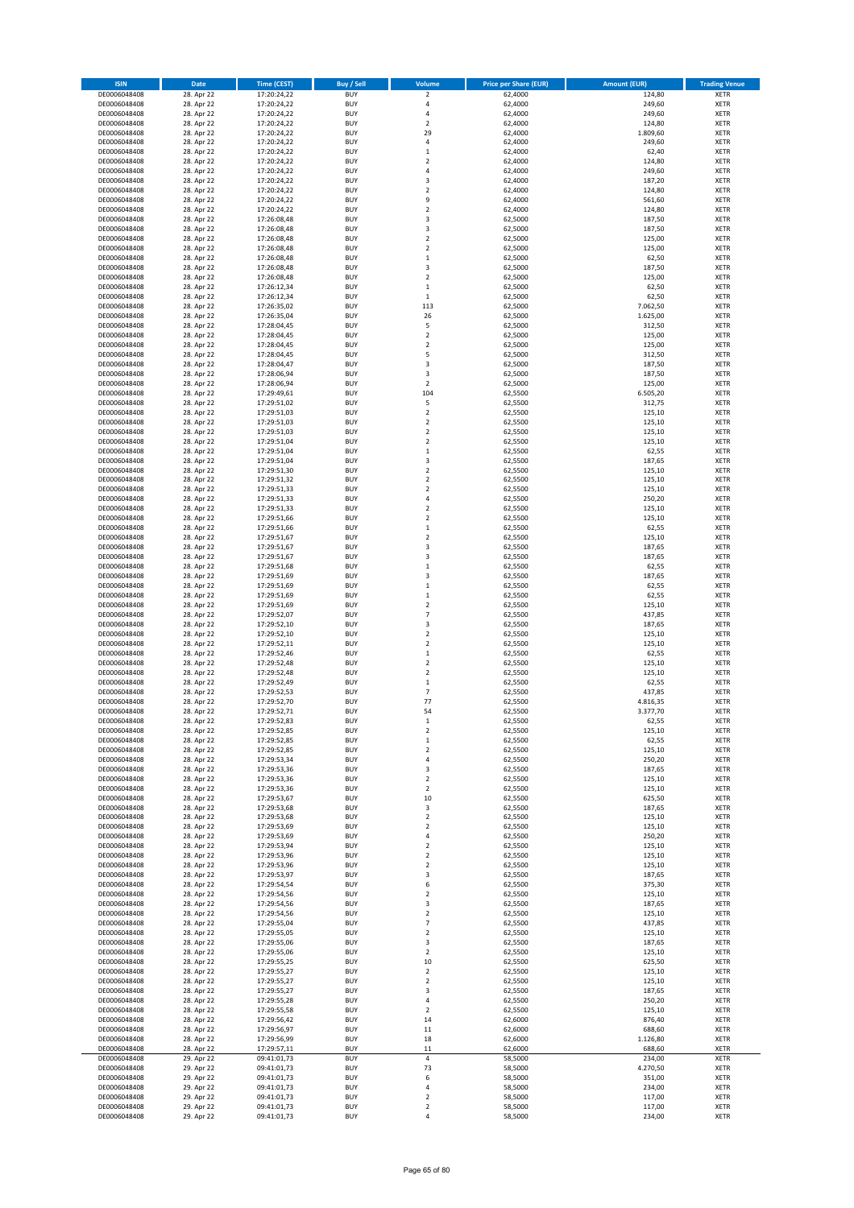| <b>ISIN</b>                  | Date                     | <b>Time (CEST)</b>         | <b>Buy / Sell</b>        | Volume                                    | <b>Price per Share (EUR)</b> | <b>Amount (EUR)</b> | <b>Trading Venue</b>       |
|------------------------------|--------------------------|----------------------------|--------------------------|-------------------------------------------|------------------------------|---------------------|----------------------------|
| DE0006048408                 | 28. Apr 22               | 17:20:24,22                | <b>BUY</b>               | $\mathbf 2$                               | 62,4000                      | 124,80              | <b>XETR</b>                |
| DE0006048408                 | 28. Apr 22               | 17:20:24,22                | <b>BUY</b>               | 4                                         | 62,4000                      | 249,60              | <b>XETR</b>                |
| DE0006048408                 | 28. Apr 22               | 17:20:24,22                | <b>BUY</b>               | 4                                         | 62,4000                      | 249,60              | <b>XETR</b>                |
| DE0006048408                 | 28. Apr 22               | 17:20:24,22                | <b>BUY</b>               | $\overline{\mathbf{2}}$                   | 62,4000                      | 124,80              | <b>XETR</b>                |
| DE0006048408                 | 28. Apr 22               | 17:20:24,22                | <b>BUY</b>               | 29                                        | 62,4000                      | 1.809,60            | <b>XETR</b>                |
| DE0006048408                 | 28. Apr 22               | 17:20:24,22                | <b>BUY</b>               | 4                                         | 62,4000                      | 249,60              | <b>XETR</b>                |
| DE0006048408                 | 28. Apr 22               | 17:20:24,22                | <b>BUY</b>               | $\mathbf 1$                               | 62,4000                      | 62,40               | <b>XETR</b>                |
| DE0006048408                 | 28. Apr 22               | 17:20:24,22                | <b>BUY</b>               | 2                                         | 62,4000                      | 124,80              | <b>XETR</b>                |
| DE0006048408                 | 28. Apr 22               | 17:20:24,22                | <b>BUY</b>               | $\overline{a}$                            | 62,4000                      | 249,60              | <b>XETR</b>                |
| DE0006048408<br>DE0006048408 | 28. Apr 22               | 17:20:24,22                | <b>BUY</b><br><b>BUY</b> | 3<br>$\overline{\mathbf{2}}$              | 62,4000                      | 187,20<br>124,80    | <b>XETR</b><br><b>XETR</b> |
| DE0006048408                 | 28. Apr 22<br>28. Apr 22 | 17:20:24,22<br>17:20:24,22 | <b>BUY</b>               | 9                                         | 62,4000<br>62,4000           | 561,60              | <b>XETR</b>                |
| DE0006048408                 | 28. Apr 22               | 17:20:24,22                | <b>BUY</b>               | $\mathbf 2$                               | 62,4000                      | 124,80              | <b>XETR</b>                |
| DE0006048408                 | 28. Apr 22               | 17:26:08,48                | <b>BUY</b>               | 3                                         | 62,5000                      | 187,50              | <b>XETR</b>                |
| DE0006048408                 | 28. Apr 22               | 17:26:08,48                | <b>BUY</b>               | 3                                         | 62,5000                      | 187,50              | <b>XETR</b>                |
| DE0006048408                 | 28. Apr 22               | 17:26:08,48                | <b>BUY</b>               | 2                                         | 62,5000                      | 125,00              | <b>XETR</b>                |
| DE0006048408                 | 28. Apr 22               | 17:26:08,48                | <b>BUY</b>               | $\overline{\mathbf{2}}$                   | 62,5000                      | 125,00              | <b>XETR</b>                |
| DE0006048408                 | 28. Apr 22               | 17:26:08,48                | <b>BUY</b>               | $\mathbf 1$                               | 62,5000                      | 62,50               | <b>XETR</b>                |
| DE0006048408                 | 28. Apr 22               | 17:26:08,48                | <b>BUY</b>               | 3                                         | 62,5000                      | 187,50              | <b>XETR</b>                |
| DE0006048408                 | 28. Apr 22               | 17:26:08,48                | <b>BUY</b>               | $\overline{\mathbf{2}}$                   | 62,5000                      | 125,00              | <b>XETR</b>                |
| DE0006048408                 | 28. Apr 22               | 17:26:12,34                | <b>BUY</b>               | $\mathbf{1}$                              | 62,5000                      | 62,50               | <b>XETR</b>                |
| DE0006048408                 | 28. Apr 22               | 17:26:12,34                | <b>BUY</b>               | $\mathbf 1$                               | 62,5000                      | 62,50               | <b>XETR</b>                |
| DE0006048408<br>DE0006048408 | 28. Apr 22               | 17:26:35,02                | <b>BUY</b><br><b>BUY</b> | 113                                       | 62,5000                      | 7.062,50            | <b>XETR</b><br><b>XETR</b> |
| DE0006048408                 | 28. Apr 22<br>28. Apr 22 | 17:26:35,04<br>17:28:04,45 | <b>BUY</b>               | 26<br>5                                   | 62,5000<br>62,5000           | 1.625,00<br>312,50  | <b>XETR</b>                |
| DE0006048408                 | 28. Apr 22               | 17:28:04,45                | <b>BUY</b>               | $\mathbf 2$                               | 62,5000                      | 125,00              | <b>XETR</b>                |
| DE0006048408                 | 28. Apr 22               | 17:28:04,45                | <b>BUY</b>               | 2                                         | 62,5000                      | 125,00              | <b>XETR</b>                |
| DE0006048408                 | 28. Apr 22               | 17:28:04,45                | <b>BUY</b>               | 5                                         | 62,5000                      | 312,50              | <b>XETR</b>                |
| DE0006048408                 | 28. Apr 22               | 17:28:04,47                | <b>BUY</b>               | 3                                         | 62,5000                      | 187,50              | <b>XETR</b>                |
| DE0006048408                 | 28. Apr 22               | 17:28:06,94                | <b>BUY</b>               | 3                                         | 62,5000                      | 187,50              | <b>XETR</b>                |
| DE0006048408                 | 28. Apr 22               | 17:28:06,94                | <b>BUY</b>               | $\overline{\mathbf{2}}$                   | 62,5000                      | 125,00              | <b>XETR</b>                |
| DE0006048408                 | 28. Apr 22               | 17:29:49,61                | <b>BUY</b>               | 104                                       | 62,5500                      | 6.505,20            | <b>XETR</b>                |
| DE0006048408                 | 28. Apr 22               | 17:29:51,02                | <b>BUY</b>               | 5                                         | 62,5500                      | 312,75              | <b>XETR</b>                |
| DE0006048408                 | 28. Apr 22               | 17:29:51,03                | <b>BUY</b>               | $\overline{\mathbf{2}}$                   | 62,5500                      | 125,10              | <b>XETR</b>                |
| DE0006048408                 | 28. Apr 22               | 17:29:51,03                | <b>BUY</b>               | 2                                         | 62,5500                      | 125,10              | <b>XETR</b>                |
| DE0006048408                 | 28. Apr 22               | 17:29:51,03                | <b>BUY</b>               | $\overline{\mathbf{2}}$                   | 62,5500                      | 125,10              | <b>XETR</b>                |
| DE0006048408                 | 28. Apr 22               | 17:29:51,04                | <b>BUY</b>               | 2                                         | 62,5500                      | 125,10              | <b>XETR</b>                |
| DE0006048408                 | 28. Apr 22               | 17:29:51,04                | <b>BUY</b>               | $\mathbf 1$                               | 62,5500                      | 62,55               | <b>XETR</b>                |
| DE0006048408<br>DE0006048408 | 28. Apr 22               | 17:29:51,04                | <b>BUY</b><br><b>BUY</b> | 3<br>$\overline{\mathbf{2}}$              | 62,5500                      | 187,65<br>125,10    | <b>XETR</b><br><b>XETR</b> |
| DE0006048408                 | 28. Apr 22<br>28. Apr 22 | 17:29:51,30<br>17:29:51,32 | <b>BUY</b>               | 2                                         | 62,5500<br>62,5500           | 125,10              | <b>XETR</b>                |
| DE0006048408                 | 28. Apr 22               | 17:29:51,33                | <b>BUY</b>               | $\overline{\mathbf{2}}$                   | 62,5500                      | 125,10              | <b>XETR</b>                |
| DE0006048408                 | 28. Apr 22               | 17:29:51,33                | <b>BUY</b>               | 4                                         | 62,5500                      | 250,20              | <b>XETR</b>                |
| DE0006048408                 | 28. Apr 22               | 17:29:51,33                | <b>BUY</b>               | $\overline{\mathbf{2}}$                   | 62,5500                      | 125,10              | <b>XETR</b>                |
| DE0006048408                 | 28. Apr 22               | 17:29:51,66                | <b>BUY</b>               | 2                                         | 62,5500                      | 125,10              | <b>XETR</b>                |
| DE0006048408                 | 28. Apr 22               | 17:29:51,66                | <b>BUY</b>               | $\mathbf 1$                               | 62,5500                      | 62,55               | <b>XETR</b>                |
| DE0006048408                 | 28. Apr 22               | 17:29:51,67                | <b>BUY</b>               | $\overline{\mathbf{c}}$                   | 62,5500                      | 125,10              | <b>XETR</b>                |
| DE0006048408                 | 28. Apr 22               | 17:29:51,67                | <b>BUY</b>               | 3                                         | 62,5500                      | 187,65              | <b>XETR</b>                |
| DE0006048408                 | 28. Apr 22               | 17:29:51,67                | <b>BUY</b>               | 3                                         | 62,5500                      | 187,65              | <b>XETR</b>                |
| DE0006048408                 | 28. Apr 22               | 17:29:51,68                | <b>BUY</b>               | $\mathbf{1}$                              | 62,5500                      | 62,55               | <b>XETR</b>                |
| DE0006048408                 | 28. Apr 22               | 17:29:51,69                | <b>BUY</b>               | 3                                         | 62,5500                      | 187,65              | <b>XETR</b>                |
| DE0006048408                 | 28. Apr 22               | 17:29:51,69                | <b>BUY</b>               | $\mathbf 1$                               | 62,5500                      | 62,55               | <b>XETR</b>                |
| DE0006048408                 | 28. Apr 22               | 17:29:51,69                | <b>BUY</b>               | $\mathbf 1$                               | 62,5500                      | 62,55               | <b>XETR</b>                |
| DE0006048408<br>DE0006048408 | 28. Apr 22<br>28. Apr 22 | 17:29:51,69                | <b>BUY</b><br><b>BUY</b> | $\overline{\mathbf{2}}$<br>$\overline{7}$ | 62,5500                      | 125,10<br>437,85    | <b>XETR</b><br><b>XETR</b> |
| DE0006048408                 | 28. Apr 22               | 17:29:52,07<br>17:29:52,10 | <b>BUY</b>               | 3                                         | 62,5500<br>62,5500           | 187,65              | <b>XETR</b>                |
| DE0006048408                 | 28. Apr 22               | 17:29:52,10                | <b>BUY</b>               | $\overline{\mathbf{2}}$                   | 62,5500                      | 125,10              | <b>XETR</b>                |
| DE0006048408                 | 28. Apr 22               | 17:29:52,11                | <b>BUY</b>               | $\overline{\mathbf{2}}$                   | 62,5500                      | 125,10              | <b>XETR</b>                |
| DE0006048408                 | 28. Apr 22               | 17:29:52,46                | <b>BUY</b>               | $\mathbf{1}$                              | 62,5500                      | 62,55               | <b>XETR</b>                |
| DE0006048408                 | 28. Apr 22               | 17:29:52,48                | <b>BUY</b>               | $\mathbf 2$                               | 62,5500                      | 125,10              | <b>XETR</b>                |
| DE0006048408                 | 28. Apr 22               | 17:29:52,48                | <b>BUY</b>               | $\overline{\mathbf{2}}$                   | 62,5500                      | 125,10              | <b>XETR</b>                |
| DE0006048408                 | 28. Apr 22               | 17:29:52,49                | <b>BUY</b>               | 1                                         | 62,5500                      | 62,55               | <b>XETR</b>                |
| DE0006048408                 | 28. Apr 22               | 17:29:52,53                | <b>BUY</b>               | $\overline{7}$                            | 62,5500                      | 437,85              | <b>XETR</b>                |
| DE0006048408                 | 28. Apr 22               | 17:29:52,70                | <b>BUY</b>               | 77                                        | 62,5500                      | 4.816,35            | <b>XETR</b>                |
| DE0006048408                 | 28. Apr 22               | 17:29:52,71                | <b>BUY</b>               | 54                                        | 62.5500                      | 3.377,70            | <b>XETR</b>                |
| DE0006048408                 | 28. Apr 22               | 17:29:52,83                | <b>BUY</b>               | 1                                         | 62,5500                      | 62,55               | XETR                       |
| DE0006048408                 | 28. Apr 22               | 17:29:52,85                | <b>BUY</b>               | $\overline{\mathbf{2}}$                   | 62,5500                      | 125,10              | <b>XETR</b>                |
| DE0006048408<br>DE0006048408 | 28. Apr 22<br>28. Apr 22 | 17:29:52,85<br>17:29:52,85 | <b>BUY</b><br><b>BUY</b> | $\mathbf 1$<br>$\overline{\mathbf{2}}$    | 62,5500<br>62,5500           | 62,55<br>125,10     | <b>XETR</b><br><b>XETR</b> |
| DE0006048408                 | 28. Apr 22               | 17:29:53,34                | <b>BUY</b>               | 4                                         | 62,5500                      | 250,20              | <b>XETR</b>                |
| DE0006048408                 | 28. Apr 22               | 17:29:53,36                | <b>BUY</b>               | 3                                         | 62,5500                      | 187,65              | <b>XETR</b>                |
| DE0006048408                 | 28. Apr 22               | 17:29:53,36                | <b>BUY</b>               | $\mathbf 2$                               | 62,5500                      | 125,10              | <b>XETR</b>                |
| DE0006048408                 | 28. Apr 22               | 17:29:53,36                | <b>BUY</b>               | 2                                         | 62,5500                      | 125,10              | <b>XETR</b>                |
| DE0006048408                 | 28. Apr 22               | 17:29:53,67                | <b>BUY</b>               | 10                                        | 62,5500                      | 625,50              | <b>XETR</b>                |
| DE0006048408                 | 28. Apr 22               | 17:29:53,68                | <b>BUY</b>               | 3                                         | 62,5500                      | 187,65              | <b>XETR</b>                |
| DE0006048408                 | 28. Apr 22               | 17:29:53,68                | <b>BUY</b>               | $\mathbf 2$                               | 62,5500                      | 125,10              | <b>XETR</b>                |
| DE0006048408                 | 28. Apr 22               | 17:29:53,69                | <b>BUY</b>               | 2                                         | 62,5500                      | 125,10              | <b>XETR</b>                |
| DE0006048408                 | 28. Apr 22               | 17:29:53,69                | <b>BUY</b>               | 4                                         | 62,5500                      | 250,20              | <b>XETR</b>                |
| DE0006048408                 | 28. Apr 22               | 17:29:53,94                | <b>BUY</b>               | 2                                         | 62,5500                      | 125,10              | <b>XETR</b>                |
| DE0006048408<br>DE0006048408 | 28. Apr 22<br>28. Apr 22 | 17:29:53,96<br>17:29:53,96 | <b>BUY</b><br><b>BUY</b> | $\mathbf 2$<br>$\mathbf 2$                | 62,5500<br>62,5500           | 125,10<br>125,10    | <b>XETR</b><br><b>XETR</b> |
| DE0006048408                 | 28. Apr 22               | 17:29:53,97                | <b>BUY</b>               | 3                                         | 62,5500                      | 187,65              | <b>XETR</b>                |
| DE0006048408                 | 28. Apr 22               | 17:29:54,54                | <b>BUY</b>               | 6                                         | 62,5500                      | 375,30              | <b>XETR</b>                |
| DE0006048408                 | 28. Apr 22               | 17:29:54,56                | <b>BUY</b>               | $\overline{\mathbf{c}}$                   | 62,5500                      | 125,10              | <b>XETR</b>                |
| DE0006048408                 | 28. Apr 22               | 17:29:54,56                | <b>BUY</b>               | 3                                         | 62,5500                      | 187,65              | <b>XETR</b>                |
| DE0006048408                 | 28. Apr 22               | 17:29:54,56                | <b>BUY</b>               | $\mathbf 2$                               | 62,5500                      | 125,10              | <b>XETR</b>                |
| DE0006048408                 | 28. Apr 22               | 17:29:55,04                | <b>BUY</b>               | 7                                         | 62,5500                      | 437,85              | <b>XETR</b>                |
| DE0006048408                 | 28. Apr 22               | 17:29:55,05                | <b>BUY</b>               | $\overline{\mathbf{2}}$                   | 62,5500                      | 125,10              | <b>XETR</b>                |
| DE0006048408                 | 28. Apr 22               | 17:29:55,06                | <b>BUY</b>               | 3                                         | 62,5500                      | 187,65              | <b>XETR</b>                |
| DE0006048408                 | 28. Apr 22               | 17:29:55,06                | <b>BUY</b>               | $\overline{\mathbf{2}}$                   | 62,5500                      | 125,10              | <b>XETR</b>                |
| DE0006048408                 | 28. Apr 22               | 17:29:55,25                | <b>BUY</b>               | 10                                        | 62,5500                      | 625,50              | <b>XETR</b>                |
| DE0006048408                 | 28. Apr 22               | 17:29:55,27                | <b>BUY</b>               | $\overline{\mathbf{2}}$                   | 62,5500                      | 125,10              | <b>XETR</b>                |
| DE0006048408                 | 28. Apr 22               | 17:29:55,27                | <b>BUY</b>               | $\mathbf 2$                               | 62,5500                      | 125,10              | <b>XETR</b>                |
| DE0006048408                 | 28. Apr 22               | 17:29:55,27                | <b>BUY</b>               | 3                                         | 62,5500                      | 187,65              | <b>XETR</b>                |
| DE0006048408<br>DE0006048408 | 28. Apr 22               | 17:29:55,28                | <b>BUY</b><br><b>BUY</b> | 4<br>$\overline{\mathbf{2}}$              | 62,5500                      | 250,20              | <b>XETR</b><br><b>XETR</b> |
| DE0006048408                 | 28. Apr 22<br>28. Apr 22 | 17:29:55,58<br>17:29:56,42 | <b>BUY</b>               | 14                                        | 62,5500<br>62,6000           | 125,10<br>876,40    | <b>XETR</b>                |
| DE0006048408                 | 28. Apr 22               | 17:29:56,97                | <b>BUY</b>               | 11                                        | 62,6000                      | 688,60              | <b>XETR</b>                |
| DE0006048408                 | 28. Apr 22               | 17:29:56,99                | <b>BUY</b>               | 18                                        | 62,6000                      | 1.126,80            | <b>XETR</b>                |
| DE0006048408                 | 28. Apr 22               | 17:29:57,11                | <b>BUY</b>               | 11                                        | 62,6000                      | 688,60              | <b>XETR</b>                |
| DE0006048408                 | 29. Apr 22               | 09:41:01,73                | <b>BUY</b>               | 4                                         | 58,5000                      | 234,00              | <b>XETR</b>                |
| DE0006048408                 | 29. Apr 22               | 09:41:01,73                | <b>BUY</b>               | 73                                        | 58,5000                      | 4.270,50            | <b>XETR</b>                |
| DE0006048408                 | 29. Apr 22               | 09:41:01,73                | <b>BUY</b>               | 6                                         | 58,5000                      | 351,00              | <b>XETR</b>                |
| DE0006048408                 | 29. Apr 22               | 09:41:01,73                | <b>BUY</b>               | 4                                         | 58,5000                      | 234,00              | <b>XETR</b>                |
| DE0006048408                 | 29. Apr 22               | 09:41:01,73                | <b>BUY</b>               | $\mathbf 2$                               | 58,5000                      | 117,00              | <b>XETR</b>                |
| DE0006048408                 | 29. Apr 22               | 09:41:01,73                | <b>BUY</b>               | 2                                         | 58,5000                      | 117,00              | <b>XETR</b>                |
| DE0006048408                 | 29. Apr 22               | 09:41:01,73                | <b>BUY</b>               | $\overline{a}$                            | 58,5000                      | 234,00              | <b>XETR</b>                |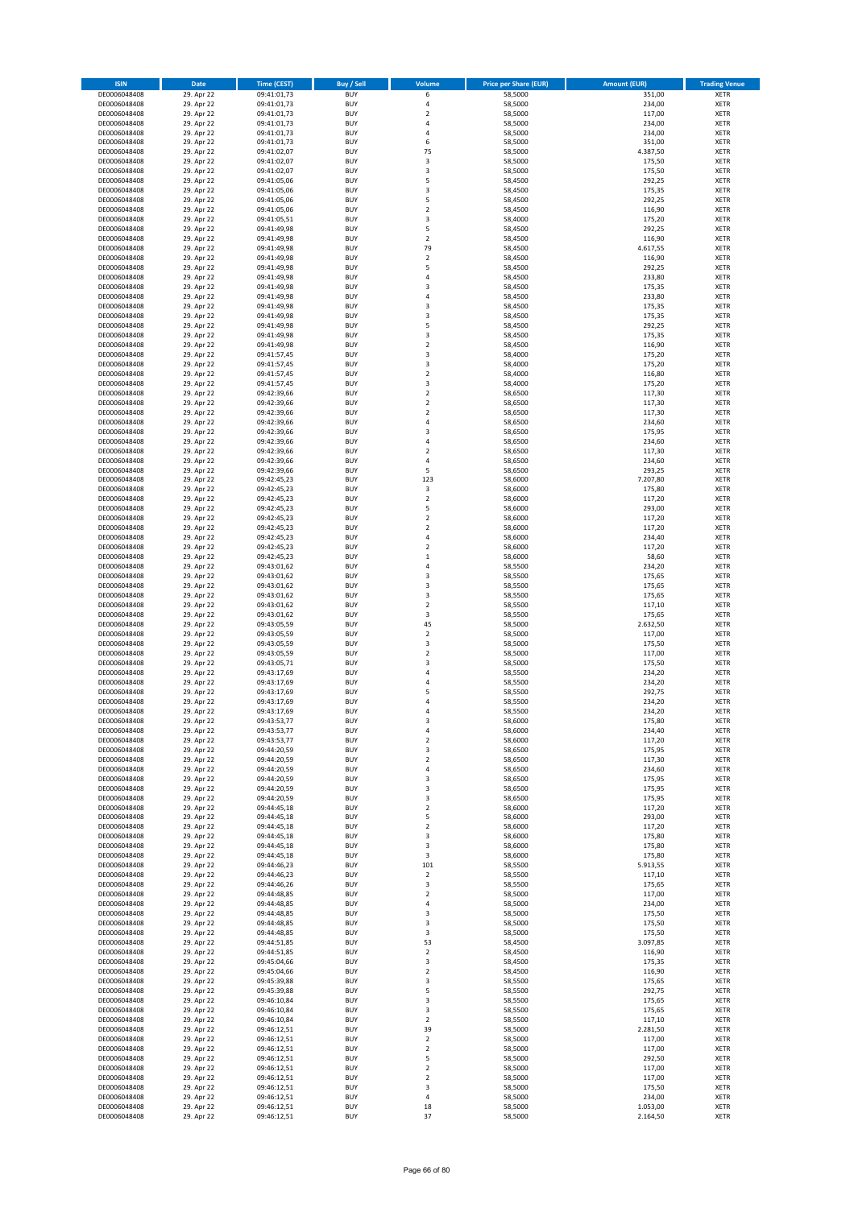| <b>ISIN</b>                  | Date                     | <b>Time (CEST)</b>         | Buy / Sell               | Volume                        | <b>Price per Share (EUR)</b> | <b>Amount (EUR)</b>  | <b>Trading Venue</b>       |
|------------------------------|--------------------------|----------------------------|--------------------------|-------------------------------|------------------------------|----------------------|----------------------------|
| DE0006048408                 | 29. Apr 22               | 09:41:01,73                | <b>BUY</b>               | 6                             | 58,5000                      | 351,00               | XETR                       |
| DE0006048408                 | 29. Apr 22               | 09:41:01,73                | <b>BUY</b>               | 4                             | 58,5000                      | 234,00               | XETR                       |
| DE0006048408<br>DE0006048408 | 29. Apr 22<br>29. Apr 22 | 09:41:01,73<br>09:41:01,73 | <b>BUY</b><br><b>BUY</b> | $\overline{\mathbf{c}}$<br>4  | 58,5000<br>58,5000           | 117,00<br>234,00     | XETR<br>XETR               |
| DE0006048408                 | 29. Apr 22               | 09:41:01,73                | <b>BUY</b>               | 4                             | 58,5000                      | 234,00               | XETR                       |
| DE0006048408                 | 29. Apr 22               | 09:41:01,73                | <b>BUY</b>               | 6                             | 58,5000                      | 351,00               | <b>XETR</b>                |
| DE0006048408                 | 29. Apr 22               | 09:41:02,07                | <b>BUY</b>               | 75                            | 58,5000                      | 4.387,50             | <b>XETR</b>                |
| DE0006048408                 | 29. Apr 22               | 09:41:02,07                | <b>BUY</b>               | 3                             | 58,5000                      | 175,50               | <b>XETR</b>                |
| DE0006048408                 | 29. Apr 22               | 09:41:02,07                | <b>BUY</b><br><b>BUY</b> | 3<br>5                        | 58,5000                      | 175,50               | <b>XETR</b><br><b>XETR</b> |
| DE0006048408<br>DE0006048408 | 29. Apr 22<br>29. Apr 22 | 09:41:05,06<br>09:41:05,06 | <b>BUY</b>               | 3                             | 58,4500<br>58,4500           | 292,25<br>175,35     | XETR                       |
| DE0006048408                 | 29. Apr 22               | 09:41:05,06                | <b>BUY</b>               | 5                             | 58,4500                      | 292,25               | <b>XETR</b>                |
| DE0006048408                 | 29. Apr 22               | 09:41:05,06                | <b>BUY</b>               | $\mathbf 2$                   | 58,4500                      | 116,90               | XETR                       |
| DE0006048408                 | 29. Apr 22               | 09:41:05,51                | <b>BUY</b>               | 3                             | 58,4000                      | 175,20               | <b>XETR</b>                |
| DE0006048408                 | 29. Apr 22               | 09:41:49,98                | <b>BUY</b>               | 5                             | 58,4500                      | 292,25               | XETR                       |
| DE0006048408                 | 29. Apr 22               | 09:41:49,98                | <b>BUY</b>               | $\overline{\mathbf{c}}$       | 58,4500                      | 116,90               | <b>XETR</b>                |
| DE0006048408<br>DE0006048408 | 29. Apr 22<br>29. Apr 22 | 09:41:49,98<br>09:41:49,98 | <b>BUY</b><br><b>BUY</b> | 79<br>$\overline{\mathbf{c}}$ | 58,4500<br>58,4500           | 4.617,55<br>116,90   | XETR<br><b>XETR</b>        |
| DE0006048408                 | 29. Apr 22               | 09:41:49,98                | <b>BUY</b>               | 5                             | 58,4500                      | 292,25               | XETR                       |
| DE0006048408                 | 29. Apr 22               | 09:41:49,98                | <b>BUY</b>               | 4                             | 58,4500                      | 233,80               | <b>XETR</b>                |
| DE0006048408                 | 29. Apr 22               | 09:41:49,98                | <b>BUY</b>               | 3                             | 58,4500                      | 175,35               | XETR                       |
| DE0006048408                 | 29. Apr 22               | 09:41:49,98                | <b>BUY</b>               | 4                             | 58,4500                      | 233,80               | XETR                       |
| DE0006048408                 | 29. Apr 22<br>29. Apr 22 | 09:41:49,98                | <b>BUY</b><br><b>BUY</b> | 3<br>3                        | 58,4500<br>58,4500           | 175,35<br>175,35     | <b>XETR</b><br><b>XETR</b> |
| DE0006048408<br>DE0006048408 | 29. Apr 22               | 09:41:49,98<br>09:41:49,98 | <b>BUY</b>               | 5                             | 58,4500                      | 292,25               | <b>XETR</b>                |
| DE0006048408                 | 29. Apr 22               | 09:41:49,98                | <b>BUY</b>               | 3                             | 58,4500                      | 175,35               | <b>XETR</b>                |
| DE0006048408                 | 29. Apr 22               | 09:41:49,98                | <b>BUY</b>               | $\overline{\mathbf{c}}$       | 58,4500                      | 116,90               | <b>XETR</b>                |
| DE0006048408                 | 29. Apr 22               | 09:41:57,45                | <b>BUY</b>               | 3                             | 58,4000                      | 175,20               | <b>XETR</b>                |
| DE0006048408                 | 29. Apr 22               | 09:41:57,45                | <b>BUY</b>               | 3                             | 58,4000                      | 175,20               | <b>XETR</b>                |
| DE0006048408                 | 29. Apr 22               | 09:41:57,45                | <b>BUY</b><br><b>BUY</b> | $\mathbf 2$<br>3              | 58,4000                      | 116,80               | <b>XETR</b><br><b>XETR</b> |
| DE0006048408<br>DE0006048408 | 29. Apr 22<br>29. Apr 22 | 09:41:57,45<br>09:42:39,66 | <b>BUY</b>               | $\mathbf 2$                   | 58,4000<br>58,6500           | 175,20<br>117,30     | <b>XETR</b>                |
| DE0006048408                 | 29. Apr 22               | 09:42:39,66                | <b>BUY</b>               | $\overline{\mathbf{2}}$       | 58,6500                      | 117,30               | <b>XETR</b>                |
| DE0006048408                 | 29. Apr 22               | 09:42:39,66                | <b>BUY</b>               | 2                             | 58,6500                      | 117,30               | XETR                       |
| DE0006048408                 | 29. Apr 22               | 09:42:39,66                | <b>BUY</b>               | 4                             | 58,6500                      | 234,60               | <b>XETR</b>                |
| DE0006048408                 | 29. Apr 22               | 09:42:39,66                | <b>BUY</b>               | $\overline{\mathbf{3}}$       | 58,6500                      | 175,95               | XETR                       |
| DE0006048408                 | 29. Apr 22               | 09:42:39,66                | <b>BUY</b>               | 4<br>$\overline{\mathbf{c}}$  | 58,6500                      | 234,60               | <b>XETR</b>                |
| DE0006048408<br>DE0006048408 | 29. Apr 22<br>29. Apr 22 | 09:42:39,66<br>09:42:39,66 | <b>BUY</b><br><b>BUY</b> | $\overline{4}$                | 58,6500<br>58,6500           | 117,30<br>234,60     | XETR<br><b>XETR</b>        |
| DE0006048408                 | 29. Apr 22               | 09:42:39,66                | <b>BUY</b>               | 5                             | 58,6500                      | 293,25               | <b>XETR</b>                |
| DE0006048408                 | 29. Apr 22               | 09:42:45,23                | <b>BUY</b>               | 123                           | 58,6000                      | 7.207,80             | <b>XETR</b>                |
| DE0006048408                 | 29. Apr 22               | 09:42:45,23                | <b>BUY</b>               | 3                             | 58,6000                      | 175,80               | <b>XETR</b>                |
| DE0006048408                 | 29. Apr 22               | 09:42:45,23                | <b>BUY</b>               | $\overline{\mathbf{c}}$       | 58,6000                      | 117,20               | <b>XETR</b>                |
| DE0006048408                 | 29. Apr 22               | 09:42:45,23                | <b>BUY</b><br><b>BUY</b> | 5<br>$\overline{\mathbf{c}}$  | 58,6000                      | 293,00               | <b>XETR</b><br><b>XETR</b> |
| DE0006048408<br>DE0006048408 | 29. Apr 22<br>29. Apr 22 | 09:42:45,23<br>09:42:45,23 | <b>BUY</b>               | $\mathbf 2$                   | 58,6000<br>58,6000           | 117,20<br>117,20     | XETR                       |
| DE0006048408                 | 29. Apr 22               | 09:42:45,23                | <b>BUY</b>               | 4                             | 58,6000                      | 234,40               | XETR                       |
| DE0006048408                 | 29. Apr 22               | 09:42:45,23                | <b>BUY</b>               | $\mathbf 2$                   | 58,6000                      | 117,20               | <b>XETR</b>                |
| DE0006048408                 | 29. Apr 22               | 09:42:45,23                | <b>BUY</b>               | $\mathbf 1$                   | 58,6000                      | 58,60                | <b>XETR</b>                |
| DE0006048408                 | 29. Apr 22               | 09:43:01,62                | <b>BUY</b>               | 4                             | 58,5500                      | 234,20               | XETR                       |
| DE0006048408<br>DE0006048408 | 29. Apr 22<br>29. Apr 22 | 09:43:01,62<br>09:43:01,62 | <b>BUY</b><br><b>BUY</b> | 3<br>3                        | 58,5500<br>58,5500           | 175,65<br>175,65     | <b>XETR</b><br><b>XETR</b> |
| DE0006048408                 | 29. Apr 22               | 09:43:01,62                | <b>BUY</b>               | 3                             | 58,5500                      | 175,65               | <b>XETR</b>                |
| DE0006048408                 | 29. Apr 22               | 09:43:01,62                | <b>BUY</b>               | $\mathbf 2$                   | 58,5500                      | 117,10               | <b>XETR</b>                |
| DE0006048408                 | 29. Apr 22               | 09:43:01,62                | <b>BUY</b>               | 3                             | 58,5500                      | 175,65               | XETR                       |
| DE0006048408                 | 29. Apr 22               | 09:43:05,59                | <b>BUY</b>               | 45                            | 58,5000                      | 2.632,50             | <b>XETR</b>                |
| DE0006048408                 | 29. Apr 22               | 09:43:05,59                | <b>BUY</b>               | $\overline{\mathbf{c}}$       | 58,5000                      | 117,00               | <b>XETR</b>                |
| DE0006048408                 | 29. Apr 22<br>29. Apr 22 | 09:43:05,59                | <b>BUY</b><br><b>BUY</b> | 3<br>$\overline{\mathbf{c}}$  | 58,5000<br>58,5000           | 175,50<br>117,00     | <b>XETR</b><br><b>XETR</b> |
| DE0006048408<br>DE0006048408 | 29. Apr 22               | 09:43:05,59<br>09:43:05,71 | <b>BUY</b>               | 3                             | 58,5000                      | 175,50               | <b>XETR</b>                |
| DE0006048408                 | 29. Apr 22               | 09:43:17,69                | <b>BUY</b>               | 4                             | 58,5500                      | 234,20               | XETR                       |
| DE0006048408                 | 29. Apr 22               | 09:43:17,69                | <b>BUY</b>               | 4                             | 58,5500                      | 234,20               | <b>XETR</b>                |
| DE0006048408                 | 29. Apr 22               | 09:43:17,69                | <b>BUY</b>               | 5                             | 58,5500                      | 292,75               | XETR                       |
| DE0006048408                 | 29. Apr 22               | 09:43:17,69                | <b>BUY</b>               | 4                             | 58,5500                      | 234,20               | <b>XETR</b>                |
| DE0006048408                 | 29. Apr 22               | 09:43:17,69                | <b>BUY</b><br><b>BUY</b> | 4<br>3                        | 58,5500                      | 234,20               | XETR                       |
| DE0006048408<br>DE0006048408 | 29. Apr 22<br>29. Apr 22 | 09:43:53,77<br>09:43:53,77 | <b>BUY</b>               | 4                             | 58,6000<br>58,6000           | 175,80<br>234,40     | XETR<br>XETR               |
| DE0006048408                 | 29. Apr 22               | 09:43:53,77                | <b>BUY</b>               | 2                             | 58,6000                      | 117,20               | XETR                       |
| DE0006048408                 | 29. Apr 22               | 09:44:20,59                | <b>BUY</b>               | 3                             | 58,6500                      | 175,95               | XETR                       |
| DE0006048408                 | 29. Apr 22               | 09:44:20,59                | <b>BUY</b>               | $\mathbf 2$                   | 58,6500                      | 117,30               | <b>XETR</b>                |
| DE0006048408<br>DE0006048408 | 29. Apr 22<br>29. Apr 22 | 09:44:20,59<br>09:44:20,59 | <b>BUY</b><br><b>BUY</b> | 4<br>3                        | 58,6500<br>58,6500           | 234,60<br>175,95     | XETR<br><b>XETR</b>        |
| DE0006048408                 | 29. Apr 22               | 09:44:20,59                | <b>BUY</b>               | 3                             | 58,6500                      | 175,95               | XETR                       |
| DE0006048408                 | 29. Apr 22               | 09:44:20,59                | <b>BUY</b>               | 3                             | 58,6500                      | 175,95               | <b>XETR</b>                |
| DE0006048408                 | 29. Apr 22               | 09:44:45,18                | <b>BUY</b>               | $\mathbf 2$                   | 58,6000                      | 117,20               | XETR                       |
| DE0006048408                 | 29. Apr 22               | 09:44:45,18                | <b>BUY</b>               | 5                             | 58,6000                      | 293,00               | <b>XETR</b>                |
| DE0006048408                 | 29. Apr 22               | 09:44:45,18                | <b>BUY</b>               | $\mathbf 2$                   | 58,6000                      | 117,20               | XETR                       |
| DE0006048408<br>DE0006048408 | 29. Apr 22<br>29. Apr 22 | 09:44:45,18<br>09:44:45,18 | <b>BUY</b><br><b>BUY</b> | 3<br>3                        | 58,6000<br>58,6000           | 175,80<br>175,80     | <b>XETR</b><br>XETR        |
| DE0006048408                 | 29. Apr 22               | 09:44:45,18                | <b>BUY</b>               | 3                             | 58,6000                      | 175,80               | <b>XETR</b>                |
| DE0006048408                 | 29. Apr 22               | 09:44:46,23                | <b>BUY</b>               | 101                           | 58,5500                      | 5.913,55             | XETR                       |
| DE0006048408                 | 29. Apr 22               | 09:44:46,23                | <b>BUY</b>               | 2                             | 58,5500                      | 117,10               | <b>XETR</b>                |
| DE0006048408                 | 29. Apr 22               | 09:44:46,26                | <b>BUY</b>               | 3                             | 58,5500                      | 175,65               | <b>XETR</b>                |
| DE0006048408                 | 29. Apr 22               | 09:44:48,85                | <b>BUY</b>               | 2                             | 58,5000                      | 117,00               | <b>XETR</b>                |
| DE0006048408<br>DE0006048408 | 29. Apr 22<br>29. Apr 22 | 09:44:48,85<br>09:44:48,85 | <b>BUY</b><br><b>BUY</b> | 4<br>3                        | 58,5000<br>58,5000           | 234,00<br>175,50     | XETR<br><b>XETR</b>        |
| DE0006048408                 | 29. Apr 22               | 09:44:48,85                | <b>BUY</b>               | 3                             | 58,5000                      | 175,50               | <b>XETR</b>                |
| DE0006048408                 | 29. Apr 22               | 09:44:48,85                | <b>BUY</b>               | 3                             | 58,5000                      | 175,50               | XETR                       |
| DE0006048408                 | 29. Apr 22               | 09:44:51,85                | <b>BUY</b>               | 53                            | 58,4500                      | 3.097,85             | <b>XETR</b>                |
| DE0006048408                 | 29. Apr 22               | 09:44:51,85                | <b>BUY</b>               | $\mathbf 2$                   | 58,4500                      | 116,90               | XETR                       |
| DE0006048408                 | 29. Apr 22               | 09:45:04,66                | <b>BUY</b>               | 3                             | 58,4500                      | 175,35               | <b>XETR</b>                |
| DE0006048408<br>DE0006048408 | 29. Apr 22<br>29. Apr 22 | 09:45:04,66<br>09:45:39,88 | <b>BUY</b><br><b>BUY</b> | 2<br>3                        | 58,4500<br>58,5500           | 116,90<br>175,65     | XETR<br><b>XETR</b>        |
| DE0006048408                 | 29. Apr 22               | 09:45:39,88                | <b>BUY</b>               | 5                             | 58,5500                      | 292,75               | XETR                       |
| DE0006048408                 | 29. Apr 22               | 09:46:10,84                | <b>BUY</b>               | 3                             | 58,5500                      | 175,65               | <b>XETR</b>                |
| DE0006048408                 | 29. Apr 22               | 09:46:10,84                | <b>BUY</b>               | 3                             | 58,5500                      | 175,65               | XETR                       |
| DE0006048408                 | 29. Apr 22               | 09:46:10,84                | <b>BUY</b>               | 2                             | 58,5500                      | 117,10               | <b>XETR</b>                |
| DE0006048408                 | 29. Apr 22               | 09:46:12,51                | <b>BUY</b>               | 39                            | 58,5000                      | 2.281,50             | XETR                       |
| DE0006048408<br>DE0006048408 | 29. Apr 22<br>29. Apr 22 | 09:46:12,51<br>09:46:12,51 | <b>BUY</b><br><b>BUY</b> | 2<br>2                        | 58,5000<br>58,5000           | 117,00<br>117,00     | <b>XETR</b><br><b>XETR</b> |
| DE0006048408                 | 29. Apr 22               | 09:46:12,51                | <b>BUY</b>               | 5                             | 58,5000                      | 292,50               | <b>XETR</b>                |
| DE0006048408                 | 29. Apr 22               | 09:46:12,51                | <b>BUY</b>               | $\mathbf 2$                   | 58,5000                      | 117,00               | XETR                       |
| DE0006048408                 | 29. Apr 22               | 09:46:12,51                | <b>BUY</b>               | $\mathbf 2$                   | 58,5000                      | 117,00               | <b>XETR</b>                |
| DE0006048408                 | 29. Apr 22               | 09:46:12,51                | <b>BUY</b>               | 3                             | 58,5000                      | 175,50               | XETR                       |
| DE0006048408                 | 29. Apr 22               | 09:46:12,51                | <b>BUY</b>               | 4                             | 58,5000                      | 234,00               | XETR                       |
| DE0006048408<br>DE0006048408 | 29. Apr 22<br>29. Apr 22 | 09:46:12,51<br>09:46:12,51 | <b>BUY</b><br><b>BUY</b> | 18<br>37                      | 58,5000<br>58,5000           | 1.053,00<br>2.164,50 | XETR<br><b>XETR</b>        |
|                              |                          |                            |                          |                               |                              |                      |                            |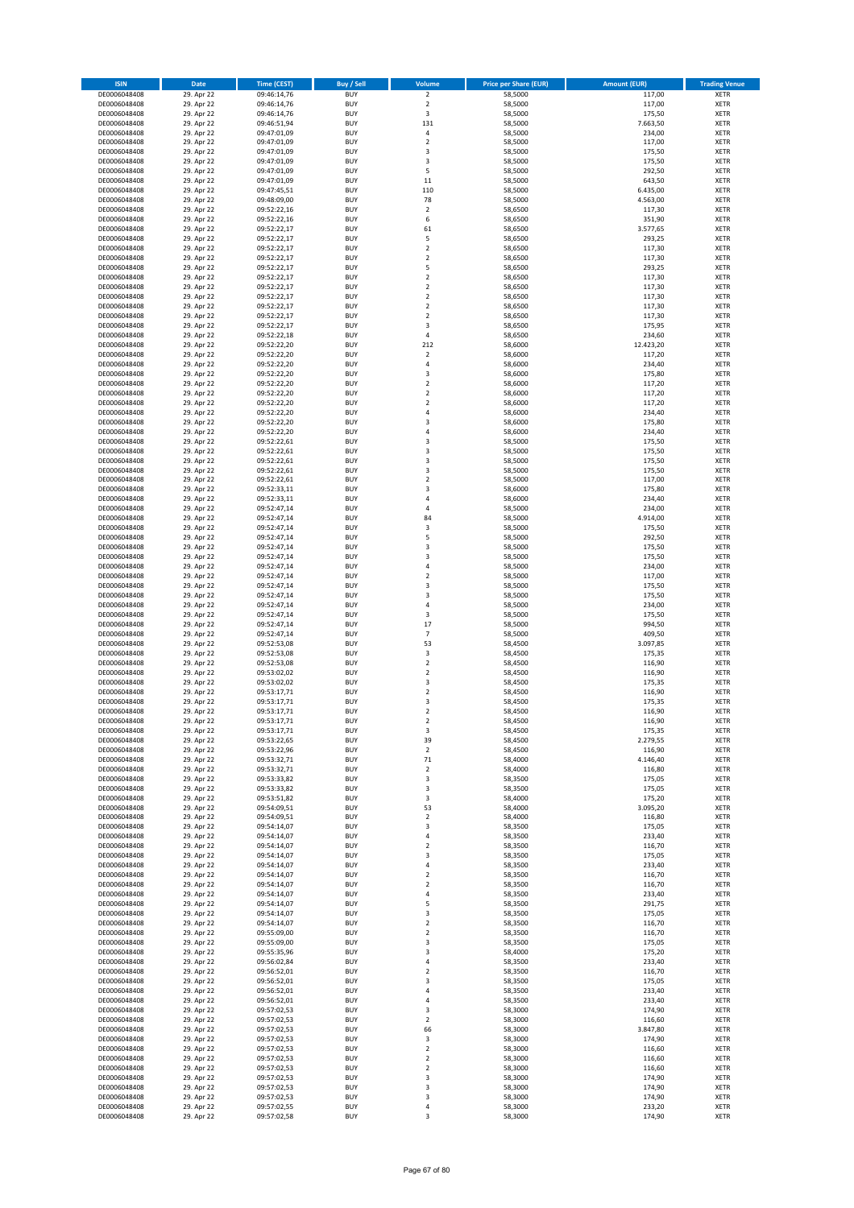| <b>ISIN</b>                  | Date                     | <b>Time (CEST)</b>         | <b>Buy / Sell</b>        | Volume                           | <b>Price per Share (EUR)</b> | <b>Amount (EUR)</b> | <b>Trading Venue</b>       |
|------------------------------|--------------------------|----------------------------|--------------------------|----------------------------------|------------------------------|---------------------|----------------------------|
| DE0006048408                 | 29. Apr 22               | 09:46:14,76                | <b>BUY</b>               | $\overline{2}$                   | 58,5000                      | 117,00              | <b>XETR</b>                |
| DE0006048408                 | 29. Apr 22               | 09:46:14,76                | <b>BUY</b>               | $\mathbf 2$                      | 58,5000                      | 117,00              | <b>XETR</b>                |
| DE0006048408<br>DE0006048408 | 29. Apr 22<br>29. Apr 22 | 09:46:14,76<br>09:46:51,94 | <b>BUY</b><br><b>BUY</b> | 3<br>131                         | 58,5000<br>58,5000           | 175,50<br>7.663,50  | <b>XETR</b><br><b>XETR</b> |
| DE0006048408                 | 29. Apr 22               | 09:47:01,09                | <b>BUY</b>               | $\pmb{4}$                        | 58,5000                      | 234,00              | <b>XETR</b>                |
| DE0006048408                 | 29. Apr 22               | 09:47:01,09                | <b>BUY</b>               | $\overline{2}$                   | 58,5000                      | 117,00              | <b>XETR</b>                |
| DE0006048408                 | 29. Apr 22               | 09:47:01,09                | <b>BUY</b>               | 3                                | 58,5000                      | 175,50              | <b>XETR</b>                |
| DE0006048408                 | 29. Apr 22               | 09:47:01,09                | <b>BUY</b>               | 3                                | 58,5000                      | 175,50              | <b>XETR</b>                |
| DE0006048408<br>DE0006048408 | 29. Apr 22<br>29. Apr 22 | 09:47:01,09                | <b>BUY</b><br><b>BUY</b> | 5<br>11                          | 58,5000<br>58,5000           | 292,50<br>643,50    | XETR<br><b>XETR</b>        |
| DE0006048408                 | 29. Apr 22               | 09:47:01,09<br>09:47:45,51 | <b>BUY</b>               | 110                              | 58,5000                      | 6.435,00            | XETR                       |
| DE0006048408                 | 29. Apr 22               | 09:48:09,00                | <b>BUY</b>               | 78                               | 58,5000                      | 4.563,00            | <b>XETR</b>                |
| DE0006048408                 | 29. Apr 22               | 09:52:22,16                | <b>BUY</b>               | $\mathbf 2$                      | 58,6500                      | 117,30              | XETR                       |
| DE0006048408                 | 29. Apr 22               | 09:52:22,16                | <b>BUY</b>               | 6                                | 58,6500                      | 351,90              | <b>XETR</b>                |
| DE0006048408                 | 29. Apr 22               | 09:52:22,17                | <b>BUY</b>               | 61                               | 58,6500                      | 3.577,65            | <b>XETR</b>                |
| DE0006048408                 | 29. Apr 22<br>29. Apr 22 | 09:52:22,17                | <b>BUY</b><br><b>BUY</b> | 5<br>$\mathbf 2$                 | 58,6500                      | 293,25<br>117,30    | <b>XETR</b><br>XETR        |
| DE0006048408<br>DE0006048408 | 29. Apr 22               | 09:52:22,17<br>09:52:22,17 | <b>BUY</b>               | $\overline{2}$                   | 58,6500<br>58,6500           | 117,30              | <b>XETR</b>                |
| DE0006048408                 | 29. Apr 22               | 09:52:22,17                | <b>BUY</b>               | 5                                | 58,6500                      | 293,25              | XETR                       |
| DE0006048408                 | 29. Apr 22               | 09:52:22,17                | <b>BUY</b>               | $\overline{2}$                   | 58,6500                      | 117,30              | <b>XETR</b>                |
| DE0006048408                 | 29. Apr 22               | 09:52:22,17                | <b>BUY</b>               | $\overline{2}$                   | 58,6500                      | 117,30              | <b>XETR</b>                |
| DE0006048408<br>DE0006048408 | 29. Apr 22               | 09:52:22,17                | <b>BUY</b><br><b>BUY</b> | $\mathbf 2$<br>$\overline{2}$    | 58,6500                      | 117,30              | <b>XETR</b><br><b>XETR</b> |
| DE0006048408                 | 29. Apr 22<br>29. Apr 22 | 09:52:22,17<br>09:52:22,17 | <b>BUY</b>               | $\mathbf 2$                      | 58,6500<br>58,6500           | 117,30<br>117,30    | <b>XETR</b>                |
| DE0006048408                 | 29. Apr 22               | 09:52:22,17                | <b>BUY</b>               | 3                                | 58,6500                      | 175,95              | <b>XETR</b>                |
| DE0006048408                 | 29. Apr 22               | 09:52:22,18                | <b>BUY</b>               | 4                                | 58,6500                      | 234,60              | <b>XETR</b>                |
| DE0006048408                 | 29. Apr 22               | 09:52:22,20                | <b>BUY</b>               | 212                              | 58,6000                      | 12.423,20           | <b>XETR</b>                |
| DE0006048408                 | 29. Apr 22               | 09:52:22,20                | <b>BUY</b>               | $\mathbf 2$                      | 58,6000                      | 117,20              | <b>XETR</b>                |
| DE0006048408<br>DE0006048408 | 29. Apr 22<br>29. Apr 22 | 09:52:22,20<br>09:52:22,20 | <b>BUY</b><br><b>BUY</b> | $\sqrt{4}$<br>3                  | 58,6000<br>58,6000           | 234,40<br>175,80    | <b>XETR</b><br><b>XETR</b> |
| DE0006048408                 | 29. Apr 22               | 09:52:22,20                | <b>BUY</b>               | $\sqrt{2}$                       | 58,6000                      | 117,20              | <b>XETR</b>                |
| DE0006048408                 | 29. Apr 22               | 09:52:22,20                | <b>BUY</b>               | $\mathbf 2$                      | 58,6000                      | 117,20              | <b>XETR</b>                |
| DE0006048408                 | 29. Apr 22               | 09:52:22,20                | <b>BUY</b>               | $\overline{2}$                   | 58,6000                      | 117,20              | <b>XETR</b>                |
| DE0006048408                 | 29. Apr 22               | 09:52:22,20                | <b>BUY</b>               | 4                                | 58,6000                      | 234,40              | XETR                       |
| DE0006048408<br>DE0006048408 | 29. Apr 22<br>29. Apr 22 | 09:52:22,20<br>09:52:22,20 | <b>BUY</b><br><b>BUY</b> | 3<br>$\overline{4}$              | 58,6000<br>58,6000           | 175,80<br>234,40    | <b>XETR</b><br>XETR        |
| DE0006048408                 | 29. Apr 22               | 09:52:22,61                | <b>BUY</b>               | 3                                | 58,5000                      | 175,50              | <b>XETR</b>                |
| DE0006048408                 | 29. Apr 22               | 09:52:22,61                | <b>BUY</b>               | 3                                | 58,5000                      | 175,50              | XETR                       |
| DE0006048408                 | 29. Apr 22               | 09:52:22,61                | <b>BUY</b>               | 3                                | 58,5000                      | 175,50              | <b>XETR</b>                |
| DE0006048408                 | 29. Apr 22               | 09:52:22,61                | <b>BUY</b>               | $\overline{\mathbf{3}}$          | 58,5000                      | 175,50              | <b>XETR</b>                |
| DE0006048408                 | 29. Apr 22<br>29. Apr 22 | 09:52:22,61<br>09:52:33,11 | <b>BUY</b><br><b>BUY</b> | $\overline{2}$<br>3              | 58,5000                      | 117,00<br>175,80    | <b>XETR</b><br>XETR        |
| DE0006048408<br>DE0006048408 | 29. Apr 22               | 09:52:33,11                | <b>BUY</b>               | $\overline{4}$                   | 58,6000<br>58,6000           | 234,40              | <b>XETR</b>                |
| DE0006048408                 | 29. Apr 22               | 09:52:47,14                | <b>BUY</b>               | $\overline{4}$                   | 58,5000                      | 234,00              | <b>XETR</b>                |
| DE0006048408                 | 29. Apr 22               | 09:52:47,14                | <b>BUY</b>               | 84                               | 58,5000                      | 4.914,00            | <b>XETR</b>                |
| DE0006048408                 | 29. Apr 22               | 09:52:47,14                | <b>BUY</b>               | 3                                | 58,5000                      | 175,50              | XETR                       |
| DE0006048408                 | 29. Apr 22               | 09:52:47,14                | <b>BUY</b><br><b>BUY</b> | 5<br>3                           | 58,5000                      | 292,50              | <b>XETR</b><br><b>XETR</b> |
| DE0006048408<br>DE0006048408 | 29. Apr 22<br>29. Apr 22 | 09:52:47,14<br>09:52:47,14 | <b>BUY</b>               | 3                                | 58,5000<br>58,5000           | 175,50<br>175,50    | <b>XETR</b>                |
| DE0006048408                 | 29. Apr 22               | 09:52:47,14                | <b>BUY</b>               | $\sqrt{4}$                       | 58,5000                      | 234,00              | <b>XETR</b>                |
| DE0006048408                 | 29. Apr 22               | 09:52:47,14                | <b>BUY</b>               | $\sqrt{2}$                       | 58,5000                      | 117,00              | <b>XETR</b>                |
| DE0006048408                 | 29. Apr 22               | 09:52:47,14                | <b>BUY</b>               | 3                                | 58,5000                      | 175,50              | <b>XETR</b>                |
| DE0006048408                 | 29. Apr 22               | 09:52:47,14                | <b>BUY</b>               | 3                                | 58,5000                      | 175,50              | <b>XETR</b>                |
| DE0006048408<br>DE0006048408 | 29. Apr 22<br>29. Apr 22 | 09:52:47,14<br>09:52:47,14 | <b>BUY</b><br><b>BUY</b> | $\sqrt{4}$<br>3                  | 58,5000<br>58,5000           | 234,00<br>175,50    | <b>XETR</b><br><b>XETR</b> |
| DE0006048408                 | 29. Apr 22               | 09:52:47,14                | <b>BUY</b>               | 17                               | 58,5000                      | 994,50              | <b>XETR</b>                |
| DE0006048408                 | 29. Apr 22               | 09:52:47,14                | <b>BUY</b>               | $\overline{7}$                   | 58,5000                      | 409,50              | <b>XETR</b>                |
| DE0006048408                 | 29. Apr 22               | 09:52:53,08                | <b>BUY</b>               | 53                               | 58,4500                      | 3.097,85            | <b>XETR</b>                |
| DE0006048408                 | 29. Apr 22               | 09:52:53,08                | <b>BUY</b>               | 3                                | 58,4500                      | 175,35              | <b>XETR</b>                |
| DE0006048408<br>DE0006048408 | 29. Apr 22<br>29. Apr 22 | 09:52:53,08<br>09:53:02,02 | <b>BUY</b><br><b>BUY</b> | $\overline{2}$<br>$\overline{2}$ | 58,4500<br>58,4500           | 116,90<br>116,90    | <b>XETR</b><br>XETR        |
| DE0006048408                 | 29. Apr 22               | 09:53:02,02                | <b>BUY</b>               | 3                                | 58,4500                      | 175,35              | <b>XETR</b>                |
| DE0006048408                 | 29. Apr 22               | 09:53:17,71                | <b>BUY</b>               | $\sqrt{2}$                       | 58,4500                      | 116,90              | <b>XETR</b>                |
| DE0006048408                 | 29. Apr 22               | 09:53:17,71                | <b>BUY</b>               | 3                                | 58,4500                      | 175,35              | <b>XETR</b>                |
| DE0006048408                 | 29. Apr 22               | 09:53:17,71                | <b>BUY</b>               | $\overline{2}$                   | 58,4500                      | 116,90              | <b>XETR</b>                |
| DE0006048408<br>DE0006048408 | 29. Apr 22<br>29. Apr 22 | 09:53:17,71<br>09:53:17,71 | <b>BUY</b><br><b>BUY</b> | $\overline{\mathbf{c}}$<br>3     | 58,4500<br>58,4500           | 116,90<br>175,35    | XETR<br><b>XETR</b>        |
| DE0006048408                 | 29. Apr 22               | 09:53:22,65                | <b>BUY</b>               | 39                               | 58,4500                      | 2.279,55            | XETR                       |
| DE0006048408                 | 29. Apr 22               | 09:53:22,96                | <b>BUY</b>               | $\overline{2}$                   | 58,4500                      | 116,90              | <b>XETR</b>                |
| DE0006048408                 | 29. Apr 22               | 09:53:32,71                | <b>BUY</b>               | 71                               | 58,4000                      | 4.146,40            | <b>XETR</b>                |
| DE0006048408                 | 29. Apr 22               | 09:53:32,71                | <b>BUY</b>               | $\sqrt{2}$                       | 58,4000                      | 116,80              | XETR                       |
| DE0006048408<br>DE0006048408 | 29. Apr 22<br>29. Apr 22 | 09:53:33,82<br>09:53:33,82 | <b>BUY</b><br><b>BUY</b> | 3<br>3                           | 58,3500<br>58,3500           | 175,05<br>175,05    | <b>XETR</b><br><b>XETR</b> |
| DE0006048408                 | 29. Apr 22               | 09:53:51,82                | <b>BUY</b>               | 3                                | 58,4000                      | 175,20              | <b>XETR</b>                |
| DE0006048408                 | 29. Apr 22               | 09:54:09,51                | <b>BUY</b>               | 53                               | 58,4000                      | 3.095,20            | XETR                       |
| DE0006048408                 | 29. Apr 22               | 09:54:09,51                | <b>BUY</b>               | $\mathbf 2$                      | 58,4000                      | 116,80              | <b>XETR</b>                |
| DE0006048408                 | 29. Apr 22               | 09:54:14,07                | <b>BUY</b>               | 3                                | 58,3500                      | 175,05              | <b>XETR</b>                |
| DE0006048408<br>DE0006048408 | 29. Apr 22<br>29. Apr 22 | 09:54:14,07<br>09:54:14,07 | <b>BUY</b><br><b>BUY</b> | 4<br>$\mathbf 2$                 | 58,3500<br>58,3500           | 233,40<br>116,70    | <b>XETR</b><br>XETR        |
| DE0006048408                 | 29. Apr 22               | 09:54:14,07                | <b>BUY</b>               | 3                                | 58,3500                      | 175,05              | <b>XETR</b>                |
| DE0006048408                 | 29. Apr 22               | 09:54:14,07                | <b>BUY</b>               | 4                                | 58,3500                      | 233,40              | <b>XETR</b>                |
| DE0006048408                 | 29. Apr 22               | 09:54:14,07                | <b>BUY</b>               | $\mathbf 2$                      | 58,3500                      | 116,70              | <b>XETR</b>                |
| DE0006048408                 | 29. Apr 22<br>29. Apr 22 | 09:54:14,07                | <b>BUY</b>               | $\overline{2}$                   | 58,3500                      | 116,70              | <b>XETR</b>                |
| DE0006048408<br>DE0006048408 | 29. Apr 22               | 09:54:14,07<br>09:54:14,07 | <b>BUY</b><br><b>BUY</b> | 4<br>5                           | 58,3500<br>58,3500           | 233,40<br>291,75    | <b>XETR</b><br><b>XETR</b> |
| DE0006048408                 | 29. Apr 22               | 09:54:14,07                | <b>BUY</b>               | 3                                | 58,3500                      | 175,05              | <b>XETR</b>                |
| DE0006048408                 | 29. Apr 22               | 09:54:14,07                | <b>BUY</b>               | $\mathbf 2$                      | 58,3500                      | 116,70              | <b>XETR</b>                |
| DE0006048408                 | 29. Apr 22               | 09:55:09,00                | <b>BUY</b>               | $\overline{\mathbf{c}}$          | 58,3500                      | 116,70              | <b>XETR</b>                |
| DE0006048408<br>DE0006048408 | 29. Apr 22<br>29. Apr 22 | 09:55:09,00                | <b>BUY</b><br><b>BUY</b> | 3<br>3                           | 58,3500<br>58,4000           | 175,05              | XETR                       |
| DE0006048408                 | 29. Apr 22               | 09:55:35,96<br>09:56:02,84 | <b>BUY</b>               | 4                                | 58,3500                      | 175,20<br>233,40    | <b>XETR</b><br><b>XETR</b> |
| DE0006048408                 | 29. Apr 22               | 09:56:52,01                | <b>BUY</b>               | $\boldsymbol{2}$                 | 58,3500                      | 116,70              | XETR                       |
| DE0006048408                 | 29. Apr 22               | 09:56:52,01                | <b>BUY</b>               | 3                                | 58,3500                      | 175,05              | XETR                       |
| DE0006048408                 | 29. Apr 22               | 09:56:52,01                | <b>BUY</b>               | 4                                | 58,3500                      | 233,40              | <b>XETR</b>                |
| DE0006048408                 | 29. Apr 22               | 09:56:52,01                | <b>BUY</b>               | 4                                | 58,3500                      | 233,40              | <b>XETR</b>                |
| DE0006048408<br>DE0006048408 | 29. Apr 22<br>29. Apr 22 | 09:57:02,53<br>09:57:02,53 | <b>BUY</b><br><b>BUY</b> | 3<br>$\mathbf 2$                 | 58,3000<br>58,3000           | 174,90<br>116,60    | <b>XETR</b><br>XETR        |
| DE0006048408                 | 29. Apr 22               | 09:57:02,53                | <b>BUY</b>               | 66                               | 58,3000                      | 3.847,80            | <b>XETR</b>                |
| DE0006048408                 | 29. Apr 22               | 09:57:02,53                | <b>BUY</b>               | 3                                | 58,3000                      | 174,90              | <b>XETR</b>                |
| DE0006048408                 | 29. Apr 22               | 09:57:02,53                | <b>BUY</b>               | $\overline{2}$                   | 58,3000                      | 116,60              | <b>XETR</b>                |
| DE0006048408                 | 29. Apr 22               | 09:57:02,53                | <b>BUY</b>               | $\overline{2}$                   | 58,3000                      | 116,60              | <b>XETR</b>                |
| DE0006048408<br>DE0006048408 | 29. Apr 22<br>29. Apr 22 | 09:57:02,53<br>09:57:02,53 | <b>BUY</b><br><b>BUY</b> | $\mathbf 2$<br>3                 | 58,3000<br>58,3000           | 116,60<br>174,90    | <b>XETR</b><br><b>XETR</b> |
| DE0006048408                 | 29. Apr 22               | 09:57:02,53                | <b>BUY</b>               | 3                                | 58,3000                      | 174,90              | <b>XETR</b>                |
| DE0006048408                 | 29. Apr 22               | 09:57:02,53                | <b>BUY</b>               | 3                                | 58,3000                      | 174,90              | <b>XETR</b>                |
| DE0006048408                 | 29. Apr 22               | 09:57:02,55                | <b>BUY</b>               | $\pmb{4}$                        | 58,3000                      | 233,20              | <b>XETR</b>                |
| DE0006048408                 | 29. Apr 22               | 09:57:02,58                | <b>BUY</b>               | 3                                | 58,3000                      | 174,90              | <b>XETR</b>                |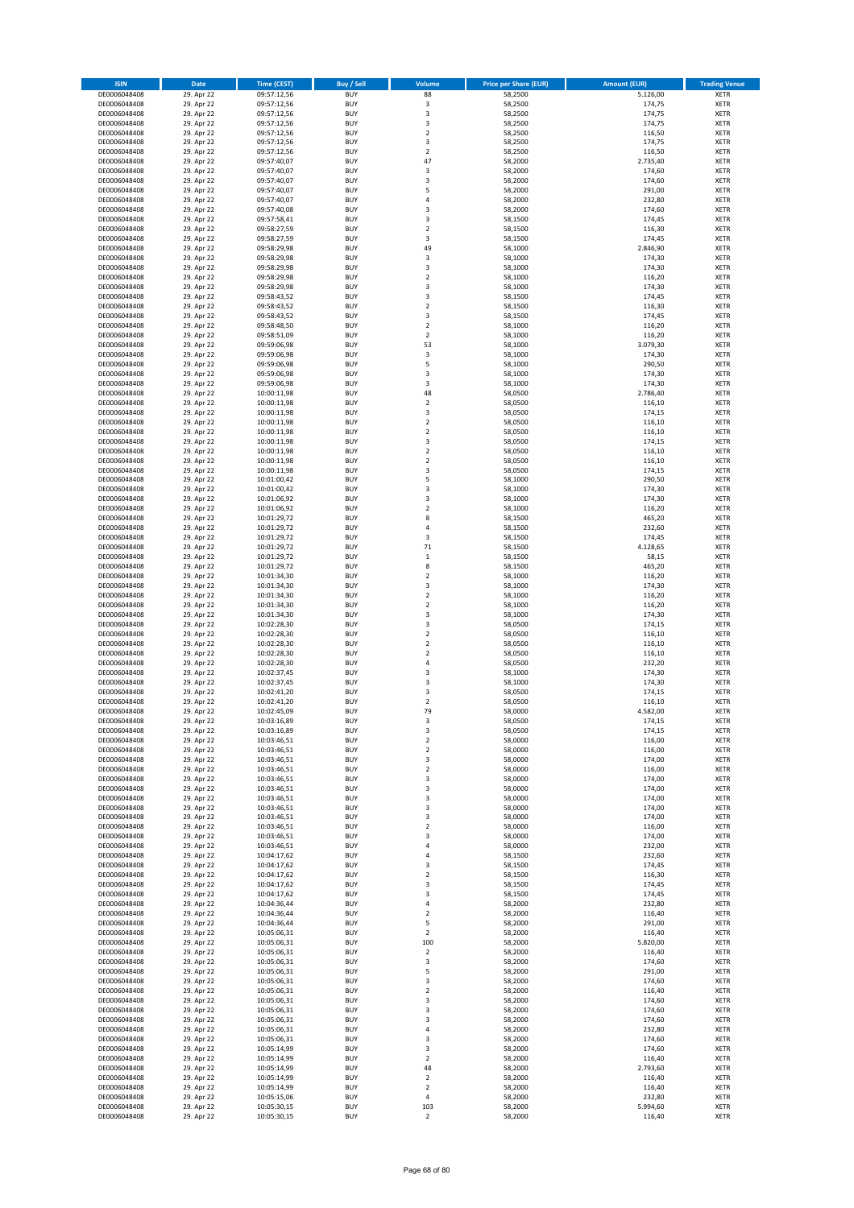| <b>ISIN</b>                  | Date                     | <b>Time (CEST)</b>         | <b>Buy / Sell</b>        | Volume                           | <b>Price per Share (EUR)</b> | <b>Amount (EUR)</b> | <b>Trading Venue</b>       |
|------------------------------|--------------------------|----------------------------|--------------------------|----------------------------------|------------------------------|---------------------|----------------------------|
| DE0006048408                 | 29. Apr 22               | 09:57:12,56                | <b>BUY</b>               | 88                               | 58,2500                      | 5.126,00            | <b>XETR</b>                |
| DE0006048408                 | 29. Apr 22               | 09:57:12,56                | <b>BUY</b>               | 3                                | 58,2500                      | 174,75              | <b>XETR</b>                |
| DE0006048408<br>DE0006048408 | 29. Apr 22<br>29. Apr 22 | 09:57:12,56<br>09:57:12,56 | <b>BUY</b><br><b>BUY</b> | 3<br>3                           | 58,2500<br>58,2500           | 174,75<br>174,75    | <b>XETR</b><br><b>XETR</b> |
| DE0006048408                 | 29. Apr 22               | 09:57:12,56                | <b>BUY</b>               | $\mathbf 2$                      | 58,2500                      | 116,50              | <b>XETR</b>                |
| DE0006048408                 | 29. Apr 22               | 09:57:12,56                | <b>BUY</b>               | 3                                | 58,2500                      | 174,75              | <b>XETR</b>                |
| DE0006048408                 | 29. Apr 22               | 09:57:12,56                | <b>BUY</b>               | $\overline{2}$                   | 58,2500                      | 116,50              | <b>XETR</b>                |
| DE0006048408                 | 29. Apr 22               | 09:57:40,07                | <b>BUY</b>               | 47                               | 58,2000                      | 2.735,40            | <b>XETR</b>                |
| DE0006048408<br>DE0006048408 | 29. Apr 22<br>29. Apr 22 | 09:57:40,07                | <b>BUY</b><br><b>BUY</b> | 3<br>3                           | 58,2000<br>58,2000           | 174,60<br>174,60    | XETR<br><b>XETR</b>        |
| DE0006048408                 | 29. Apr 22               | 09:57:40,07<br>09:57:40,07 | <b>BUY</b>               | 5                                | 58,2000                      | 291,00              | XETR                       |
| DE0006048408                 | 29. Apr 22               | 09:57:40,07                | <b>BUY</b>               | $\sqrt{4}$                       | 58,2000                      | 232,80              | <b>XETR</b>                |
| DE0006048408                 | 29. Apr 22               | 09:57:40,08                | <b>BUY</b>               | 3                                | 58,2000                      | 174,60              | XETR                       |
| DE0006048408                 | 29. Apr 22               | 09:57:58,41                | <b>BUY</b>               | 3                                | 58,1500                      | 174,45              | <b>XETR</b>                |
| DE0006048408                 | 29. Apr 22               | 09:58:27,59                | <b>BUY</b>               | $\sqrt{2}$                       | 58,1500                      | 116,30              | <b>XETR</b>                |
| DE0006048408<br>DE0006048408 | 29. Apr 22<br>29. Apr 22 | 09:58:27,59<br>09:58:29,98 | <b>BUY</b><br><b>BUY</b> | 3<br>49                          | 58,1500<br>58,1000           | 174,45<br>2.846,90  | <b>XETR</b><br>XETR        |
| DE0006048408                 | 29. Apr 22               | 09:58:29,98                | <b>BUY</b>               | 3                                | 58,1000                      | 174,30              | <b>XETR</b>                |
| DE0006048408                 | 29. Apr 22               | 09:58:29,98                | <b>BUY</b>               | 3                                | 58,1000                      | 174,30              | XETR                       |
| DE0006048408                 | 29. Apr 22               | 09:58:29,98                | <b>BUY</b>               | $\overline{2}$                   | 58,1000                      | 116,20              | <b>XETR</b>                |
| DE0006048408                 | 29. Apr 22               | 09:58:29,98                | <b>BUY</b><br><b>BUY</b> | 3<br>3                           | 58,1000                      | 174,30<br>174,45    | <b>XETR</b><br><b>XETR</b> |
| DE0006048408<br>DE0006048408 | 29. Apr 22<br>29. Apr 22 | 09:58:43,52<br>09:58:43,52 | <b>BUY</b>               | $\overline{2}$                   | 58,1500<br>58,1500           | 116,30              | <b>XETR</b>                |
| DE0006048408                 | 29. Apr 22               | 09:58:43,52                | <b>BUY</b>               | 3                                | 58,1500                      | 174,45              | <b>XETR</b>                |
| DE0006048408                 | 29. Apr 22               | 09:58:48,50                | <b>BUY</b>               | $\overline{2}$                   | 58,1000                      | 116,20              | <b>XETR</b>                |
| DE0006048408                 | 29. Apr 22               | 09:58:51,09                | <b>BUY</b>               | $\overline{2}$                   | 58,1000                      | 116,20              | <b>XETR</b>                |
| DE0006048408                 | 29. Apr 22               | 09:59:06,98                | <b>BUY</b>               | 53                               | 58,1000                      | 3.079,30            | <b>XETR</b>                |
| DE0006048408<br>DE0006048408 | 29. Apr 22<br>29. Apr 22 | 09:59:06,98<br>09:59:06,98 | <b>BUY</b><br><b>BUY</b> | 3<br>5                           | 58,1000<br>58,1000           | 174,30<br>290,50    | <b>XETR</b><br><b>XETR</b> |
| DE0006048408                 | 29. Apr 22               | 09:59:06,98                | <b>BUY</b>               | 3                                | 58,1000                      | 174,30              | <b>XETR</b>                |
| DE0006048408                 | 29. Apr 22               | 09:59:06,98                | <b>BUY</b>               | 3                                | 58,1000                      | 174,30              | <b>XETR</b>                |
| DE0006048408                 | 29. Apr 22               | 10:00:11,98                | <b>BUY</b>               | 48                               | 58,0500                      | 2.786,40            | <b>XETR</b>                |
| DE0006048408                 | 29. Apr 22               | 10:00:11,98<br>10:00:11,98 | <b>BUY</b>               | $\overline{2}$                   | 58,0500                      | 116,10              | <b>XETR</b>                |
| DE0006048408<br>DE0006048408 | 29. Apr 22<br>29. Apr 22 | 10:00:11,98                | <b>BUY</b><br><b>BUY</b> | 3<br>$\overline{2}$              | 58,0500<br>58,0500           | 174,15<br>116,10    | XETR<br><b>XETR</b>        |
| DE0006048408                 | 29. Apr 22               | 10:00:11,98                | <b>BUY</b>               | $\overline{2}$                   | 58,0500                      | 116,10              | XETR                       |
| DE0006048408                 | 29. Apr 22               | 10:00:11,98                | <b>BUY</b>               | 3                                | 58,0500                      | 174,15              | <b>XETR</b>                |
| DE0006048408                 | 29. Apr 22               | 10:00:11,98                | <b>BUY</b>               | $\sqrt{2}$                       | 58,0500                      | 116,10              | XETR                       |
| DE0006048408                 | 29. Apr 22               | 10:00:11,98                | <b>BUY</b>               | $\overline{2}$                   | 58,0500                      | 116,10              | <b>XETR</b>                |
| DE0006048408<br>DE0006048408 | 29. Apr 22<br>29. Apr 22 | 10:00:11,98<br>10:01:00,42 | <b>BUY</b><br><b>BUY</b> | $\overline{\mathbf{3}}$<br>5     | 58,0500<br>58,1000           | 174,15<br>290,50    | <b>XETR</b><br><b>XETR</b> |
| DE0006048408                 | 29. Apr 22               | 10:01:00,42                | <b>BUY</b>               | 3                                | 58,1000                      | 174,30              | XETR                       |
| DE0006048408                 | 29. Apr 22               | 10:01:06,92                | <b>BUY</b>               | 3                                | 58,1000                      | 174,30              | <b>XETR</b>                |
| DE0006048408                 | 29. Apr 22               | 10:01:06,92                | <b>BUY</b>               | $\overline{2}$                   | 58,1000                      | 116,20              | <b>XETR</b>                |
| DE0006048408                 | 29. Apr 22               | 10:01:29,72                | <b>BUY</b>               | 8                                | 58,1500                      | 465,20              | <b>XETR</b>                |
| DE0006048408                 | 29. Apr 22               | 10:01:29,72                | <b>BUY</b>               | $\sqrt{4}$                       | 58,1500                      | 232,60              | XETR                       |
| DE0006048408<br>DE0006048408 | 29. Apr 22<br>29. Apr 22 | 10:01:29,72<br>10:01:29,72 | <b>BUY</b><br><b>BUY</b> | 3<br>71                          | 58,1500<br>58,1500           | 174,45<br>4.128,65  | <b>XETR</b><br><b>XETR</b> |
| DE0006048408                 | 29. Apr 22               | 10:01:29,72                | <b>BUY</b>               | $\,$ 1                           | 58,1500                      | 58,15               | <b>XETR</b>                |
| DE0006048408                 | 29. Apr 22               | 10:01:29,72                | <b>BUY</b>               | 8                                | 58,1500                      | 465,20              | <b>XETR</b>                |
| DE0006048408                 | 29. Apr 22               | 10:01:34,30                | <b>BUY</b>               | $\mathbf 2$                      | 58,1000                      | 116,20              | <b>XETR</b>                |
| DE0006048408                 | 29. Apr 22               | 10:01:34,30                | <b>BUY</b><br><b>BUY</b> | 3<br>$\mathbf 2$                 | 58,1000                      | 174,30              | <b>XETR</b>                |
| DE0006048408<br>DE0006048408 | 29. Apr 22<br>29. Apr 22 | 10:01:34,30<br>10:01:34,30 | <b>BUY</b>               | $\overline{2}$                   | 58,1000<br>58,1000           | 116,20<br>116,20    | <b>XETR</b><br><b>XETR</b> |
| DE0006048408                 | 29. Apr 22               | 10:01:34,30                | <b>BUY</b>               | 3                                | 58,1000                      | 174,30              | <b>XETR</b>                |
| DE0006048408                 | 29. Apr 22               | 10:02:28,30                | <b>BUY</b>               | 3                                | 58,0500                      | 174,15              | <b>XETR</b>                |
| DE0006048408                 | 29. Apr 22               | 10:02:28,30                | <b>BUY</b>               | $\mathbf 2$                      | 58,0500                      | 116,10              | <b>XETR</b>                |
| DE0006048408                 | 29. Apr 22               | 10:02:28,30<br>10:02:28,30 | <b>BUY</b><br><b>BUY</b> | $\overline{2}$<br>$\overline{2}$ | 58,0500<br>58,0500           | 116,10              | <b>XETR</b><br><b>XETR</b> |
| DE0006048408<br>DE0006048408 | 29. Apr 22<br>29. Apr 22 | 10:02:28,30                | <b>BUY</b>               | 4                                | 58,0500                      | 116,10<br>232,20    | <b>XETR</b>                |
| DE0006048408                 | 29. Apr 22               | 10:02:37,45                | <b>BUY</b>               | 3                                | 58,1000                      | 174,30              | XETR                       |
| DE0006048408                 | 29. Apr 22               | 10:02:37,45                | <b>BUY</b>               | 3                                | 58,1000                      | 174,30              | <b>XETR</b>                |
| DE0006048408                 | 29. Apr 22               | 10:02:41,20                | <b>BUY</b>               | 3                                | 58,0500                      | 174,15              | <b>XETR</b>                |
| DE0006048408                 | 29. Apr 22               | 10:02:41,20                | <b>BUY</b><br><b>BUY</b> | $\overline{2}$<br>79             | 58,0500                      | 116,10              | <b>XETR</b>                |
| DE0006048408<br>DE0006048408 | 29. Apr 22<br>29. Apr 22 | 10:02:45,09<br>10:03:16,89 | <b>BUY</b>               | 3                                | 58,0000<br>58,0500           | 4.582,00<br>174,15  | <b>XETR</b><br>XETR        |
| DE0006048408                 | 29. Apr 22               | 10:03:16,89                | <b>BUY</b>               | 3                                | 58,0500                      | 174,15              | XETR                       |
| DE0006048408                 | 29. Apr 22               | 10:03:46,51                | <b>BUY</b>               | $\mathbf 2$                      | 58,0000                      | 116,00              | XETR                       |
| DE0006048408                 | 29. Apr 22               | 10:03:46,51                | <b>BUY</b>               | $\overline{2}$                   | 58,0000                      | 116,00              | <b>XETR</b>                |
| DE0006048408                 | 29. Apr 22               | 10:03:46,51                | <b>BUY</b>               | 3                                | 58,0000                      | 174,00              | <b>XETR</b>                |
| DE0006048408<br>DE0006048408 | 29. Apr 22<br>29. Apr 22 | 10:03:46,51<br>10:03:46,51 | <b>BUY</b><br><b>BUY</b> | $\mathbf 2$<br>3                 | 58,0000<br>58,0000           | 116,00<br>174,00    | XETR<br><b>XETR</b>        |
| DE0006048408                 | 29. Apr 22               | 10:03:46,51                | <b>BUY</b>               | 3                                | 58,0000                      | 174,00              | XETR                       |
| DE0006048408                 | 29. Apr 22               | 10:03:46,51                | <b>BUY</b>               | 3                                | 58,0000                      | 174,00              | <b>XETR</b>                |
| DE0006048408                 | 29. Apr 22               | 10:03:46,51                | <b>BUY</b>               | 3                                | 58,0000                      | 174,00              | XETR                       |
| DE0006048408<br>DE0006048408 | 29. Apr 22<br>29. Apr 22 | 10:03:46,51<br>10:03:46,51 | <b>BUY</b><br><b>BUY</b> | 3<br>$\overline{2}$              | 58,0000<br>58,0000           | 174,00<br>116,00    | <b>XETR</b><br><b>XETR</b> |
| DE0006048408                 | 29. Apr 22               | 10:03:46,51                | <b>BUY</b>               | 3                                | 58,0000                      | 174,00              | <b>XETR</b>                |
| DE0006048408                 | 29. Apr 22               | 10:03:46,51                | <b>BUY</b>               | 4                                | 58,0000                      | 232,00              | XETR                       |
| DE0006048408                 | 29. Apr 22               | 10:04:17,62                | <b>BUY</b>               | 4                                | 58,1500                      | 232,60              | <b>XETR</b>                |
| DE0006048408                 | 29. Apr 22               | 10:04:17,62                | <b>BUY</b>               | 3                                | 58,1500                      | 174,45              | <b>XETR</b>                |
| DE0006048408<br>DE0006048408 | 29. Apr 22<br>29. Apr 22 | 10:04:17,62<br>10:04:17,62 | <b>BUY</b><br><b>BUY</b> | $\mathbf 2$<br>3                 | 58,1500<br>58,1500           | 116,30<br>174,45    | <b>XETR</b><br><b>XETR</b> |
| DE0006048408                 | 29. Apr 22               | 10:04:17,62                | <b>BUY</b>               | 3                                | 58,1500                      | 174,45              | <b>XETR</b>                |
| DE0006048408                 | 29. Apr 22               | 10:04:36,44                | <b>BUY</b>               | 4                                | 58,2000                      | 232,80              | <b>XETR</b>                |
| DE0006048408                 | 29. Apr 22               | 10:04:36,44                | <b>BUY</b>               | $\mathbf 2$                      | 58,2000                      | 116,40              | <b>XETR</b>                |
| DE0006048408                 | 29. Apr 22               | 10:04:36,44                | <b>BUY</b>               | 5                                | 58,2000                      | 291,00              | <b>XETR</b>                |
| DE0006048408<br>DE0006048408 | 29. Apr 22<br>29. Apr 22 | 10:05:06,31<br>10:05:06,31 | <b>BUY</b><br><b>BUY</b> | $\overline{2}$<br>100            | 58,2000<br>58,2000           | 116,40<br>5.820,00  | XETR<br>XETR               |
| DE0006048408                 | 29. Apr 22               | 10:05:06,31                | <b>BUY</b>               | $\mathbf 2$                      | 58,2000                      | 116,40              | <b>XETR</b>                |
| DE0006048408                 | 29. Apr 22               | 10:05:06,31                | <b>BUY</b>               | 3                                | 58,2000                      | 174,60              | <b>XETR</b>                |
| DE0006048408                 | 29. Apr 22               | 10:05:06,31                | <b>BUY</b>               | 5                                | 58,2000                      | 291,00              | XETR                       |
| DE0006048408                 | 29. Apr 22               | 10:05:06,31                | <b>BUY</b>               | 3                                | 58,2000                      | 174,60              | XETR                       |
| DE0006048408                 | 29. Apr 22               | 10:05:06,31                | <b>BUY</b><br><b>BUY</b> | $\sqrt{2}$                       | 58,2000                      | 116,40              | <b>XETR</b>                |
| DE0006048408<br>DE0006048408 | 29. Apr 22<br>29. Apr 22 | 10:05:06,31<br>10:05:06,31 | <b>BUY</b>               | 3<br>3                           | 58,2000<br>58,2000           | 174,60<br>174,60    | <b>XETR</b><br>XETR        |
| DE0006048408                 | 29. Apr 22               | 10:05:06,31                | <b>BUY</b>               | 3                                | 58,2000                      | 174,60              | XETR                       |
| DE0006048408                 | 29. Apr 22               | 10:05:06,31                | <b>BUY</b>               | 4                                | 58,2000                      | 232,80              | <b>XETR</b>                |
| DE0006048408                 | 29. Apr 22               | 10:05:06,31                | <b>BUY</b>               | 3                                | 58,2000                      | 174,60              | <b>XETR</b>                |
| DE0006048408<br>DE0006048408 | 29. Apr 22<br>29. Apr 22 | 10:05:14,99<br>10:05:14,99 | <b>BUY</b><br><b>BUY</b> | 3<br>$\overline{2}$              | 58,2000<br>58,2000           | 174,60<br>116,40    | <b>XETR</b><br><b>XETR</b> |
| DE0006048408                 | 29. Apr 22               | 10:05:14,99                | <b>BUY</b>               | 48                               | 58,2000                      | 2.793,60            | <b>XETR</b>                |
| DE0006048408                 | 29. Apr 22               | 10:05:14,99                | <b>BUY</b>               | $\overline{2}$                   | 58,2000                      | 116,40              | <b>XETR</b>                |
| DE0006048408                 | 29. Apr 22               | 10:05:14,99                | <b>BUY</b>               | $\mathbf 2$                      | 58,2000                      | 116,40              | <b>XETR</b>                |
| DE0006048408                 | 29. Apr 22               | 10:05:15,06                | <b>BUY</b>               | 4                                | 58,2000                      | 232,80              | <b>XETR</b>                |
| DE0006048408                 | 29. Apr 22               | 10:05:30,15                | <b>BUY</b>               | 103                              | 58,2000<br>58,2000           | 5.994,60<br>116,40  | <b>XETR</b>                |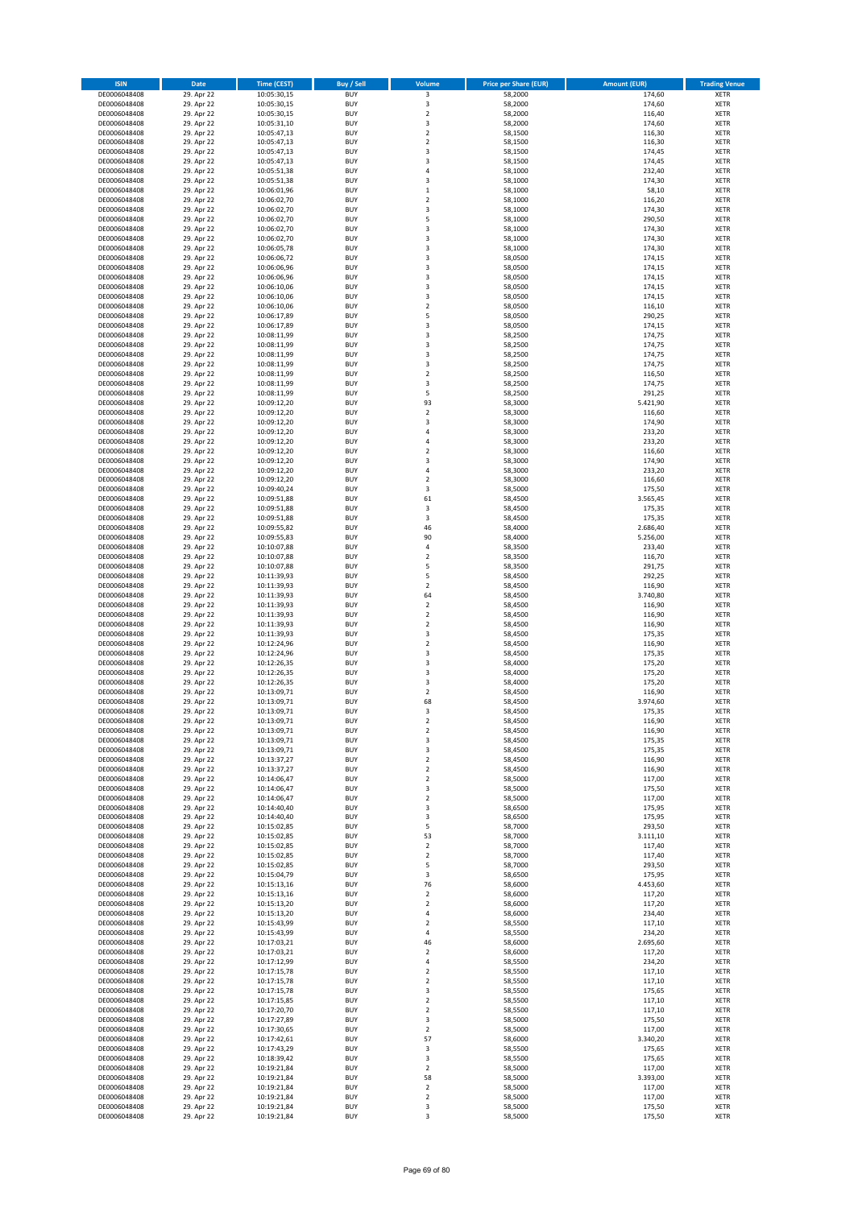| <b>ISIN</b>                  | Date                     | <b>Time (CEST)</b>         | Buy / Sell               | Volume                       | <b>Price per Share (EUR)</b> | <b>Amount (EUR)</b> | <b>Trading Venue</b>       |
|------------------------------|--------------------------|----------------------------|--------------------------|------------------------------|------------------------------|---------------------|----------------------------|
| DE0006048408                 | 29. Apr 22               | 10:05:30,15                | <b>BUY</b>               | 3                            | 58,2000                      | 174,60              | XETR                       |
| DE0006048408<br>DE0006048408 | 29. Apr 22<br>29. Apr 22 | 10:05:30,15<br>10:05:30,15 | <b>BUY</b><br><b>BUY</b> | 3<br>$\mathbf 2$             | 58,2000<br>58,2000           | 174,60<br>116,40    | XETR<br>XETR               |
| DE0006048408                 | 29. Apr 22               | 10:05:31,10                | <b>BUY</b>               | 3                            | 58,2000                      | 174,60              | XETR                       |
| DE0006048408                 | 29. Apr 22               | 10:05:47,13                | <b>BUY</b>               | $\mathbf 2$                  | 58,1500                      | 116,30              | XETR                       |
| DE0006048408                 | 29. Apr 22               | 10:05:47,13                | <b>BUY</b>               | $\overline{\mathbf{c}}$      | 58,1500                      | 116,30              | <b>XETR</b>                |
| DE0006048408<br>DE0006048408 | 29. Apr 22<br>29. Apr 22 | 10:05:47,13<br>10:05:47,13 | <b>BUY</b><br><b>BUY</b> | 3<br>3                       | 58,1500<br>58,1500           | 174,45<br>174,45    | <b>XETR</b><br><b>XETR</b> |
| DE0006048408                 | 29. Apr 22               | 10:05:51,38                | <b>BUY</b>               | 4                            | 58,1000                      | 232,40              | <b>XETR</b>                |
| DE0006048408                 | 29. Apr 22               | 10:05:51,38                | <b>BUY</b>               | 3                            | 58,1000                      | 174,30              | <b>XETR</b>                |
| DE0006048408                 | 29. Apr 22               | 10:06:01,96                | <b>BUY</b>               | $\mathbf 1$                  | 58,1000                      | 58,10               | <b>XETR</b>                |
| DE0006048408<br>DE0006048408 | 29. Apr 22               | 10:06:02,70<br>10:06:02,70 | <b>BUY</b><br><b>BUY</b> | $\overline{\mathbf{c}}$<br>3 | 58,1000<br>58,1000           | 116,20<br>174,30    | <b>XETR</b><br>XETR        |
| DE0006048408                 | 29. Apr 22<br>29. Apr 22 | 10:06:02,70                | <b>BUY</b>               | 5                            | 58,1000                      | 290,50              | <b>XETR</b>                |
| DE0006048408                 | 29. Apr 22               | 10:06:02,70                | <b>BUY</b>               | 3                            | 58,1000                      | 174,30              | XETR                       |
| DE0006048408                 | 29. Apr 22               | 10:06:02,70                | <b>BUY</b>               | 3                            | 58,1000                      | 174,30              | <b>XETR</b>                |
| DE0006048408<br>DE0006048408 | 29. Apr 22<br>29. Apr 22 | 10:06:05,78<br>10:06:06,72 | <b>BUY</b><br><b>BUY</b> | 3<br>3                       | 58,1000<br>58,0500           | 174,30<br>174,15    | XETR<br><b>XETR</b>        |
| DE0006048408                 | 29. Apr 22               | 10:06:06,96                | <b>BUY</b>               | 3                            | 58,0500                      | 174,15              | XETR                       |
| DE0006048408                 | 29. Apr 22               | 10:06:06,96                | <b>BUY</b>               | 3                            | 58,0500                      | 174,15              | <b>XETR</b>                |
| DE0006048408                 | 29. Apr 22               | 10:06:10,06                | <b>BUY</b>               | 3                            | 58,0500                      | 174,15              | XETR                       |
| DE0006048408<br>DE0006048408 | 29. Apr 22<br>29. Apr 22 | 10:06:10,06<br>10:06:10,06 | <b>BUY</b><br><b>BUY</b> | 3<br>$\overline{2}$          | 58,0500<br>58,0500           | 174,15<br>116,10    | XETR<br><b>XETR</b>        |
| DE0006048408                 | 29. Apr 22               | 10:06:17,89                | <b>BUY</b>               | 5                            | 58,0500                      | 290,25              | <b>XETR</b>                |
| DE0006048408                 | 29. Apr 22               | 10:06:17,89                | <b>BUY</b>               | 3                            | 58,0500                      | 174,15              | <b>XETR</b>                |
| DE0006048408                 | 29. Apr 22               | 10:08:11,99                | <b>BUY</b>               | 3                            | 58,2500                      | 174,75              | <b>XETR</b>                |
| DE0006048408<br>DE0006048408 | 29. Apr 22<br>29. Apr 22 | 10:08:11,99<br>10:08:11,99 | <b>BUY</b><br><b>BUY</b> | 3<br>3                       | 58,2500<br>58,2500           | 174,75<br>174,75    | <b>XETR</b><br><b>XETR</b> |
| DE0006048408                 | 29. Apr 22               | 10:08:11,99                | <b>BUY</b>               | 3                            | 58,2500                      | 174,75              | <b>XETR</b>                |
| DE0006048408                 | 29. Apr 22               | 10:08:11,99                | <b>BUY</b>               | $\mathbf 2$                  | 58,2500                      | 116,50              | <b>XETR</b>                |
| DE0006048408                 | 29. Apr 22               | 10:08:11,99                | <b>BUY</b>               | 3                            | 58,2500                      | 174,75              | <b>XETR</b>                |
| DE0006048408<br>DE0006048408 | 29. Apr 22<br>29. Apr 22 | 10:08:11,99<br>10:09:12,20 | <b>BUY</b><br><b>BUY</b> | 5<br>93                      | 58,2500<br>58,3000           | 291,25<br>5.421,90  | <b>XETR</b><br><b>XETR</b> |
| DE0006048408                 | 29. Apr 22               | 10:09:12,20                | <b>BUY</b>               | $\mathbf 2$                  | 58,3000                      | 116,60              | XETR                       |
| DE0006048408                 | 29. Apr 22               | 10:09:12,20                | <b>BUY</b>               | 3                            | 58,3000                      | 174,90              | <b>XETR</b>                |
| DE0006048408                 | 29. Apr 22               | 10:09:12,20                | <b>BUY</b>               | 4                            | 58,3000                      | 233,20              | XETR                       |
| DE0006048408<br>DE0006048408 | 29. Apr 22<br>29. Apr 22 | 10:09:12,20<br>10:09:12,20 | <b>BUY</b><br><b>BUY</b> | 4<br>$\mathbf 2$             | 58,3000<br>58,3000           | 233,20<br>116,60    | <b>XETR</b><br>XETR        |
| DE0006048408                 | 29. Apr 22               | 10:09:12,20                | <b>BUY</b>               | 3                            | 58,3000                      | 174,90              | <b>XETR</b>                |
| DE0006048408                 | 29. Apr 22               | 10:09:12,20                | <b>BUY</b>               | 4                            | 58,3000                      | 233,20              | <b>XETR</b>                |
| DE0006048408                 | 29. Apr 22               | 10:09:12,20                | <b>BUY</b>               | $\overline{\mathbf{c}}$      | 58,3000                      | 116,60              | <b>XETR</b>                |
| DE0006048408<br>DE0006048408 | 29. Apr 22<br>29. Apr 22 | 10:09:40,24<br>10:09:51,88 | <b>BUY</b><br><b>BUY</b> | 3<br>61                      | 58,5000<br>58,4500           | 175,50<br>3.565,45  | <b>XETR</b><br><b>XETR</b> |
| DE0006048408                 | 29. Apr 22               | 10:09:51,88                | <b>BUY</b>               | 3                            | 58,4500                      | 175,35              | <b>XETR</b>                |
| DE0006048408                 | 29. Apr 22               | 10:09:51,88                | <b>BUY</b>               | 3                            | 58,4500                      | 175,35              | <b>XETR</b>                |
| DE0006048408                 | 29. Apr 22               | 10:09:55,82                | <b>BUY</b>               | 46                           | 58,4000                      | 2.686,40            | XETR                       |
| DE0006048408<br>DE0006048408 | 29. Apr 22<br>29. Apr 22 | 10:09:55,83<br>10:10:07,88 | <b>BUY</b><br><b>BUY</b> | 90<br>4                      | 58,4000<br>58,3500           | 5.256,00<br>233,40  | XETR<br><b>XETR</b>        |
| DE0006048408                 | 29. Apr 22               | 10:10:07,88                | <b>BUY</b>               | $\mathbf 2$                  | 58,3500                      | 116,70              | <b>XETR</b>                |
| DE0006048408                 | 29. Apr 22               | 10:10:07,88                | <b>BUY</b>               | 5                            | 58,3500                      | 291,75              | <b>XETR</b>                |
| DE0006048408                 | 29. Apr 22               | 10:11:39,93                | <b>BUY</b>               | 5                            | 58,4500                      | 292,25              | <b>XETR</b>                |
| DE0006048408<br>DE0006048408 | 29. Apr 22<br>29. Apr 22 | 10:11:39,93<br>10:11:39,93 | <b>BUY</b><br><b>BUY</b> | $\mathbf 2$<br>64            | 58,4500<br>58,4500           | 116,90<br>3.740,80  | <b>XETR</b><br><b>XETR</b> |
| DE0006048408                 | 29. Apr 22               | 10:11:39,93                | <b>BUY</b>               | $\mathbf 2$                  | 58,4500                      | 116,90              | <b>XETR</b>                |
| DE0006048408                 | 29. Apr 22               | 10:11:39,93                | <b>BUY</b>               | $\mathbf 2$                  | 58,4500                      | 116,90              | XETR                       |
| DE0006048408<br>DE0006048408 | 29. Apr 22<br>29. Apr 22 | 10:11:39,93<br>10:11:39,93 | <b>BUY</b><br><b>BUY</b> | $\overline{\mathbf{c}}$<br>3 | 58,4500<br>58,4500           | 116,90<br>175,35    | <b>XETR</b><br><b>XETR</b> |
| DE0006048408                 | 29. Apr 22               | 10:12:24,96                | <b>BUY</b>               | $\overline{\mathbf{c}}$      | 58,4500                      | 116,90              | <b>XETR</b>                |
| DE0006048408                 | 29. Apr 22               | 10:12:24,96                | <b>BUY</b>               | 3                            | 58,4500                      | 175,35              | XETR                       |
| DE0006048408                 | 29. Apr 22               | 10:12:26,35                | <b>BUY</b>               | 3                            | 58,4000                      | 175,20              | <b>XETR</b>                |
| DE0006048408<br>DE0006048408 | 29. Apr 22<br>29. Apr 22 | 10:12:26,35<br>10:12:26,35 | <b>BUY</b><br><b>BUY</b> | 3<br>3                       | 58,4000<br>58,4000           | 175,20<br>175,20    | XETR<br><b>XETR</b>        |
| DE0006048408                 | 29. Apr 22               | 10:13:09,71                | <b>BUY</b>               | 2                            | 58,4500                      | 116,90              | XETR                       |
| DE0006048408                 | 29. Apr 22               | 10:13:09,71                | <b>BUY</b>               | 68                           | 58,4500                      | 3.974,60            | <b>XETR</b>                |
| DE0006048408                 | 29. Apr 22               | 10:13:09,71                | <b>BUY</b>               | 3                            | 58,4500                      | 175,35              | XETR                       |
| DE0006048408<br>DE0006048408 | 29. Apr 22<br>29. Apr 22 | 10:13:09,71<br>10:13:09,71 | <b>BUY</b><br><b>BUY</b> | 2<br>$\boldsymbol{2}$        | 58,4500<br>58,4500           | 116,90<br>116,90    | XETR<br>XETR               |
| DE0006048408                 | 29. Apr 22               | 10:13:09,71                | <b>BUY</b>               | 3                            | 58,4500                      | 175,35              | XETR                       |
| DE0006048408                 | 29. Apr 22               | 10:13:09,71                | <b>BUY</b>               | 3                            | 58,4500                      | 175,35              | <b>XETR</b>                |
| DE0006048408                 | 29. Apr 22               | 10:13:37,27<br>10:13:37,27 | <b>BUY</b><br><b>BUY</b> | $\mathbf 2$                  | 58,4500<br>58,4500           | 116,90<br>116,90    | <b>XETR</b><br>XETR        |
| DE0006048408<br>DE0006048408 | 29. Apr 22<br>29. Apr 22 | 10:14:06,47                | <b>BUY</b>               | 2<br>$\overline{\mathbf{c}}$ | 58,5000                      | 117,00              | <b>XETR</b>                |
| DE0006048408                 | 29. Apr 22               | 10:14:06,47                | <b>BUY</b>               | 3                            | 58,5000                      | 175,50              | XETR                       |
| DE0006048408                 | 29. Apr 22               | 10:14:06,47                | <b>BUY</b>               | $\mathbf 2$                  | 58,5000                      | 117,00              | <b>XETR</b>                |
| DE0006048408<br>DE0006048408 | 29. Apr 22<br>29. Apr 22 | 10:14:40,40<br>10:14:40,40 | <b>BUY</b><br><b>BUY</b> | 3<br>3                       | 58,6500<br>58,6500           | 175,95<br>175,95    | XETR<br><b>XETR</b>        |
| DE0006048408                 | 29. Apr 22               | 10:15:02,85                | <b>BUY</b>               | 5                            | 58,7000                      | 293,50              | XETR                       |
| DE0006048408                 | 29. Apr 22               | 10:15:02,85                | <b>BUY</b>               | 53                           | 58,7000                      | 3.111,10            | <b>XETR</b>                |
| DE0006048408                 | 29. Apr 22               | 10:15:02,85                | <b>BUY</b>               | $\boldsymbol{2}$             | 58,7000                      | 117,40              | XETR                       |
| DE0006048408<br>DE0006048408 | 29. Apr 22<br>29. Apr 22 | 10:15:02,85<br>10:15:02,85 | <b>BUY</b><br><b>BUY</b> | $\mathbf 2$<br>5             | 58,7000<br>58,7000           | 117,40<br>293,50    | <b>XETR</b><br>XETR        |
| DE0006048408                 | 29. Apr 22               | 10:15:04,79                | <b>BUY</b>               | 3                            | 58,6500                      | 175,95              | <b>XETR</b>                |
| DE0006048408                 | 29. Apr 22               | 10:15:13,16                | <b>BUY</b>               | 76                           | 58,6000                      | 4.453,60            | <b>XETR</b>                |
| DE0006048408                 | 29. Apr 22               | 10:15:13,16                | <b>BUY</b><br><b>BUY</b> | 2                            | 58,6000<br>58,6000           | 117,20              | <b>XETR</b><br>XETR        |
| DE0006048408<br>DE0006048408 | 29. Apr 22<br>29. Apr 22 | 10:15:13,20<br>10:15:13,20 | <b>BUY</b>               | $\boldsymbol{2}$<br>4        | 58,6000                      | 117,20<br>234,40    | <b>XETR</b>                |
| DE0006048408                 | 29. Apr 22               | 10:15:43,99                | <b>BUY</b>               | 2                            | 58,5500                      | 117,10              | <b>XETR</b>                |
| DE0006048408                 | 29. Apr 22               | 10:15:43,99                | <b>BUY</b>               | 4                            | 58,5500                      | 234,20              | XETR                       |
| DE0006048408<br>DE0006048408 | 29. Apr 22<br>29. Apr 22 | 10:17:03,21<br>10:17:03,21 | <b>BUY</b><br><b>BUY</b> | 46<br>$\mathbf 2$            | 58,6000<br>58,6000           | 2.695,60<br>117,20  | <b>XETR</b><br>XETR        |
| DE0006048408                 | 29. Apr 22               | 10:17:12,99                | <b>BUY</b>               | 4                            | 58,5500                      | 234,20              | <b>XETR</b>                |
| DE0006048408                 | 29. Apr 22               | 10:17:15,78                | <b>BUY</b>               | 2                            | 58,5500                      | 117,10              | XETR                       |
| DE0006048408                 | 29. Apr 22               | 10:17:15,78                | <b>BUY</b>               | $\overline{\mathbf{c}}$      | 58,5500                      | 117,10              | <b>XETR</b>                |
| DE0006048408<br>DE0006048408 | 29. Apr 22<br>29. Apr 22 | 10:17:15,78<br>10:17:15,85 | <b>BUY</b><br><b>BUY</b> | 3<br>$\mathbf 2$             | 58,5500<br>58,5500           | 175,65<br>117,10    | XETR<br><b>XETR</b>        |
| DE0006048408                 | 29. Apr 22               | 10:17:20,70                | <b>BUY</b>               | 2                            | 58,5500                      | 117,10              | XETR                       |
| DE0006048408                 | 29. Apr 22               | 10:17:27,89                | <b>BUY</b>               | 3                            | 58,5000                      | 175,50              | <b>XETR</b>                |
| DE0006048408                 | 29. Apr 22               | 10:17:30,65                | <b>BUY</b>               | $\mathbf 2$                  | 58,5000                      | 117,00              | XETR                       |
| DE0006048408<br>DE0006048408 | 29. Apr 22<br>29. Apr 22 | 10:17:42,61<br>10:17:43,29 | <b>BUY</b><br><b>BUY</b> | 57<br>3                      | 58,6000<br>58,5500           | 3.340,20<br>175,65  | <b>XETR</b><br><b>XETR</b> |
| DE0006048408                 | 29. Apr 22               | 10:18:39,42                | <b>BUY</b>               | 3                            | 58,5500                      | 175,65              | <b>XETR</b>                |
| DE0006048408                 | 29. Apr 22               | 10:19:21,84                | <b>BUY</b>               | $\mathbf 2$                  | 58,5000                      | 117,00              | XETR                       |
| DE0006048408<br>DE0006048408 | 29. Apr 22<br>29. Apr 22 | 10:19:21,84<br>10:19:21,84 | <b>BUY</b><br><b>BUY</b> | 58<br>$\boldsymbol{2}$       | 58,5000<br>58,5000           | 3.393,00<br>117,00  | <b>XETR</b><br>XETR        |
| DE0006048408                 | 29. Apr 22               | 10:19:21,84                | <b>BUY</b>               | $\mathbf 2$                  | 58,5000                      | 117,00              | <b>XETR</b>                |
| DE0006048408                 | 29. Apr 22               | 10:19:21,84                | <b>BUY</b>               | 3                            | 58,5000                      | 175,50              | XETR                       |
| DE0006048408                 | 29. Apr 22               | 10:19:21,84                | <b>BUY</b>               | 3                            | 58,5000                      | 175,50              | <b>XETR</b>                |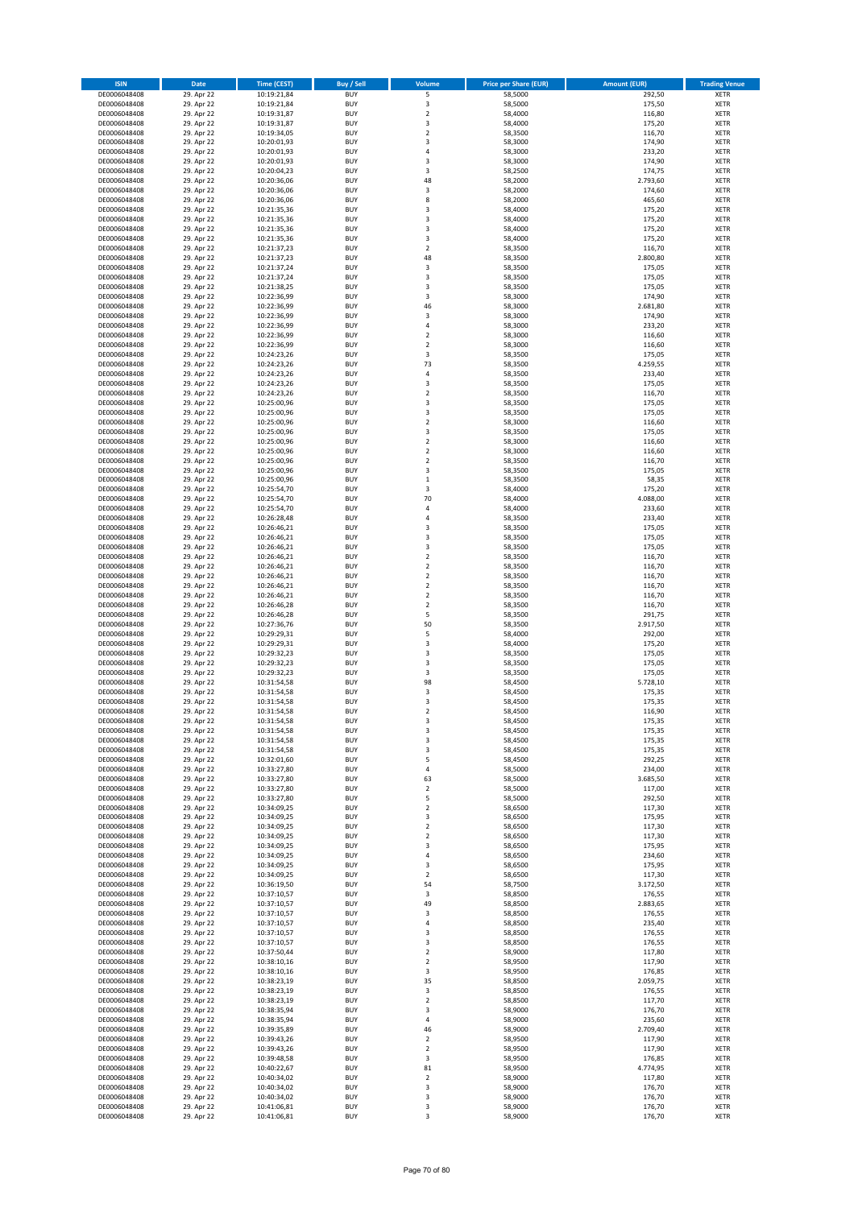| <b>ISIN</b>                  | Date                     | <b>Time (CEST)</b>         | <b>Buy / Sell</b>        | Volume                             | <b>Price per Share (EUR)</b> | <b>Amount (EUR)</b> | <b>Trading Venue</b>       |
|------------------------------|--------------------------|----------------------------|--------------------------|------------------------------------|------------------------------|---------------------|----------------------------|
| DE0006048408                 | 29. Apr 22               | 10:19:21,84                | <b>BUY</b>               | 5                                  | 58,5000                      | 292,50              | <b>XETR</b>                |
| DE0006048408                 | 29. Apr 22               | 10:19:21,84                | <b>BUY</b>               | 3                                  | 58,5000                      | 175,50              | <b>XETR</b>                |
| DE0006048408<br>DE0006048408 | 29. Apr 22<br>29. Apr 22 | 10:19:31,87<br>10:19:31,87 | <b>BUY</b><br><b>BUY</b> | $\mathbf 2$<br>3                   | 58,4000<br>58,4000           | 116,80<br>175,20    | <b>XETR</b><br><b>XETR</b> |
| DE0006048408                 | 29. Apr 22               | 10:19:34,05                | <b>BUY</b>               | $\mathbf 2$                        | 58,3500                      | 116,70              | <b>XETR</b>                |
| DE0006048408                 | 29. Apr 22               | 10:20:01,93                | <b>BUY</b>               | 3                                  | 58,3000                      | 174,90              | <b>XETR</b>                |
| DE0006048408                 | 29. Apr 22               | 10:20:01,93                | <b>BUY</b>               | $\overline{4}$                     | 58,3000                      | 233,20              | <b>XETR</b>                |
| DE0006048408                 | 29. Apr 22               | 10:20:01,93                | <b>BUY</b>               | 3                                  | 58,3000                      | 174,90              | <b>XETR</b>                |
| DE0006048408<br>DE0006048408 | 29. Apr 22<br>29. Apr 22 | 10:20:04,23                | <b>BUY</b><br><b>BUY</b> | 3<br>48                            | 58,2500<br>58,2000           | 174,75<br>2.793,60  | XETR<br><b>XETR</b>        |
| DE0006048408                 | 29. Apr 22               | 10:20:36,06<br>10:20:36,06 | <b>BUY</b>               | $\overline{\mathbf{3}}$            | 58,2000                      | 174,60              | XETR                       |
| DE0006048408                 | 29. Apr 22               | 10:20:36,06                | <b>BUY</b>               | 8                                  | 58,2000                      | 465,60              | <b>XETR</b>                |
| DE0006048408                 | 29. Apr 22               | 10:21:35,36                | <b>BUY</b>               | 3                                  | 58,4000                      | 175,20              | XETR                       |
| DE0006048408                 | 29. Apr 22               | 10:21:35,36                | <b>BUY</b>               | 3                                  | 58,4000                      | 175,20              | <b>XETR</b>                |
| DE0006048408                 | 29. Apr 22               | 10:21:35,36                | <b>BUY</b>               | $\overline{\mathbf{3}}$            | 58,4000                      | 175,20              | <b>XETR</b>                |
| DE0006048408<br>DE0006048408 | 29. Apr 22<br>29. Apr 22 | 10:21:35,36<br>10:21:37,23 | <b>BUY</b><br><b>BUY</b> | 3<br>$\mathbf 2$                   | 58,4000<br>58,3500           | 175,20<br>116,70    | <b>XETR</b><br>XETR        |
| DE0006048408                 | 29. Apr 22               | 10:21:37,23                | <b>BUY</b>               | 48                                 | 58,3500                      | 2.800,80            | <b>XETR</b>                |
| DE0006048408                 | 29. Apr 22               | 10:21:37,24                | <b>BUY</b>               | $\overline{\mathbf{3}}$            | 58,3500                      | 175,05              | XETR                       |
| DE0006048408                 | 29. Apr 22               | 10:21:37,24                | <b>BUY</b>               | 3                                  | 58,3500                      | 175,05              | <b>XETR</b>                |
| DE0006048408                 | 29. Apr 22<br>29. Apr 22 | 10:21:38,25                | <b>BUY</b><br><b>BUY</b> | 3<br>3                             | 58,3500<br>58,3000           | 175,05<br>174,90    | <b>XETR</b><br><b>XETR</b> |
| DE0006048408<br>DE0006048408 | 29. Apr 22               | 10:22:36,99<br>10:22:36,99 | <b>BUY</b>               | 46                                 | 58,3000                      | 2.681,80            | <b>XETR</b>                |
| DE0006048408                 | 29. Apr 22               | 10:22:36,99                | <b>BUY</b>               | 3                                  | 58,3000                      | 174,90              | <b>XETR</b>                |
| DE0006048408                 | 29. Apr 22               | 10:22:36,99                | <b>BUY</b>               | $\sqrt{4}$                         | 58,3000                      | 233,20              | <b>XETR</b>                |
| DE0006048408                 | 29. Apr 22               | 10:22:36,99                | <b>BUY</b>               | $\overline{2}$                     | 58,3000                      | 116,60              | <b>XETR</b>                |
| DE0006048408                 | 29. Apr 22               | 10:22:36,99                | <b>BUY</b>               | $\overline{2}$                     | 58,3000                      | 116,60              | <b>XETR</b>                |
| DE0006048408<br>DE0006048408 | 29. Apr 22<br>29. Apr 22 | 10:24:23,26<br>10:24:23,26 | <b>BUY</b><br><b>BUY</b> | 3<br>73                            | 58,3500<br>58,3500           | 175,05<br>4.259,55  | <b>XETR</b><br><b>XETR</b> |
| DE0006048408                 | 29. Apr 22               | 10:24:23,26                | <b>BUY</b>               | 4                                  | 58,3500                      | 233,40              | <b>XETR</b>                |
| DE0006048408                 | 29. Apr 22               | 10:24:23,26                | <b>BUY</b>               | 3                                  | 58,3500                      | 175,05              | <b>XETR</b>                |
| DE0006048408                 | 29. Apr 22               | 10:24:23,26                | <b>BUY</b>               | $\boldsymbol{2}$                   | 58,3500                      | 116,70              | <b>XETR</b>                |
| DE0006048408                 | 29. Apr 22               | 10:25:00,96                | <b>BUY</b><br><b>BUY</b> | 3<br>3                             | 58,3500                      | 175,05<br>175,05    | <b>XETR</b><br>XETR        |
| DE0006048408<br>DE0006048408 | 29. Apr 22<br>29. Apr 22 | 10:25:00,96<br>10:25:00,96 | <b>BUY</b>               | $\overline{2}$                     | 58,3500<br>58,3000           | 116,60              | <b>XETR</b>                |
| DE0006048408                 | 29. Apr 22               | 10:25:00,96                | <b>BUY</b>               | 3                                  | 58,3500                      | 175,05              | XETR                       |
| DE0006048408                 | 29. Apr 22               | 10:25:00,96                | <b>BUY</b>               | $\overline{2}$                     | 58,3000                      | 116,60              | <b>XETR</b>                |
| DE0006048408                 | 29. Apr 22               | 10:25:00,96                | <b>BUY</b>               | $\sqrt{2}$                         | 58,3000                      | 116,60              | XETR                       |
| DE0006048408                 | 29. Apr 22               | 10:25:00,96                | <b>BUY</b>               | $\overline{2}$                     | 58,3500                      | 116,70              | <b>XETR</b>                |
| DE0006048408<br>DE0006048408 | 29. Apr 22<br>29. Apr 22 | 10:25:00,96<br>10:25:00,96 | <b>BUY</b><br><b>BUY</b> | $\overline{\mathbf{3}}$<br>$\,1\,$ | 58,3500<br>58,3500           | 175,05<br>58,35     | <b>XETR</b><br><b>XETR</b> |
| DE0006048408                 | 29. Apr 22               | 10:25:54,70                | <b>BUY</b>               | 3                                  | 58,4000                      | 175,20              | XETR                       |
| DE0006048408                 | 29. Apr 22               | 10:25:54,70                | <b>BUY</b>               | 70                                 | 58,4000                      | 4.088,00            | <b>XETR</b>                |
| DE0006048408                 | 29. Apr 22               | 10:25:54,70                | <b>BUY</b>               | $\sqrt{4}$                         | 58,4000                      | 233,60              | <b>XETR</b>                |
| DE0006048408                 | 29. Apr 22               | 10:26:28,48                | <b>BUY</b>               | $\sqrt{4}$                         | 58,3500                      | 233,40              | <b>XETR</b>                |
| DE0006048408                 | 29. Apr 22               | 10:26:46,21                | <b>BUY</b>               | 3                                  | 58,3500                      | 175,05              | XETR                       |
| DE0006048408<br>DE0006048408 | 29. Apr 22<br>29. Apr 22 | 10:26:46,21<br>10:26:46,21 | <b>BUY</b><br><b>BUY</b> | 3<br>3                             | 58,3500<br>58,3500           | 175,05<br>175,05    | <b>XETR</b><br><b>XETR</b> |
| DE0006048408                 | 29. Apr 22               | 10:26:46,21                | <b>BUY</b>               | $\boldsymbol{2}$                   | 58,3500                      | 116,70              | <b>XETR</b>                |
| DE0006048408                 | 29. Apr 22               | 10:26:46,21                | <b>BUY</b>               | $\boldsymbol{2}$                   | 58,3500                      | 116,70              | <b>XETR</b>                |
| DE0006048408                 | 29. Apr 22               | 10:26:46,21                | <b>BUY</b>               | $\boldsymbol{2}$                   | 58,3500                      | 116,70              | <b>XETR</b>                |
| DE0006048408                 | 29. Apr 22               | 10:26:46,21                | <b>BUY</b><br><b>BUY</b> | $\overline{2}$<br>$\mathbf 2$      | 58,3500                      | 116,70              | <b>XETR</b>                |
| DE0006048408<br>DE0006048408 | 29. Apr 22<br>29. Apr 22 | 10:26:46,21<br>10:26:46,28 | <b>BUY</b>               | $\boldsymbol{2}$                   | 58,3500<br>58,3500           | 116,70<br>116,70    | <b>XETR</b><br><b>XETR</b> |
| DE0006048408                 | 29. Apr 22               | 10:26:46,28                | <b>BUY</b>               | 5                                  | 58,3500                      | 291,75              | <b>XETR</b>                |
| DE0006048408                 | 29. Apr 22               | 10:27:36,76                | <b>BUY</b>               | 50                                 | 58,3500                      | 2.917,50            | <b>XETR</b>                |
| DE0006048408                 | 29. Apr 22               | 10:29:29,31                | <b>BUY</b>               | 5                                  | 58,4000                      | 292,00              | <b>XETR</b>                |
| DE0006048408                 | 29. Apr 22               | 10:29:29,31                | <b>BUY</b>               | 3                                  | 58,4000                      | 175,20              | <b>XETR</b>                |
| DE0006048408<br>DE0006048408 | 29. Apr 22<br>29. Apr 22 | 10:29:32,23<br>10:29:32,23 | <b>BUY</b><br><b>BUY</b> | 3<br>3                             | 58,3500<br>58,3500           | 175,05<br>175,05    | <b>XETR</b><br><b>XETR</b> |
| DE0006048408                 | 29. Apr 22               | 10:29:32,23                | <b>BUY</b>               | 3                                  | 58,3500                      | 175,05              | XETR                       |
| DE0006048408                 | 29. Apr 22               | 10:31:54,58                | <b>BUY</b>               | 98                                 | 58,4500                      | 5.728,10            | <b>XETR</b>                |
| DE0006048408                 | 29. Apr 22               | 10:31:54,58                | <b>BUY</b>               | 3                                  | 58,4500                      | 175,35              | <b>XETR</b>                |
| DE0006048408                 | 29. Apr 22               | 10:31:54,58                | <b>BUY</b>               | 3                                  | 58,4500                      | 175,35              | <b>XETR</b>                |
| DE0006048408<br>DE0006048408 | 29. Apr 22<br>29. Apr 22 | 10:31:54,58<br>10:31:54,58 | <b>BUY</b><br><b>BUY</b> | $\overline{2}$<br>3                | 58,4500<br>58,4500           | 116,90<br>175,35    | <b>XETR</b><br>XETR        |
| DE0006048408                 | 29. Apr 22               | 10:31:54,58                | <b>BUY</b>               | 3                                  | 58,4500                      | 175,35              | XETR                       |
| DE0006048408                 | 29. Apr 22               | 10:31:54,58                | <b>BUY</b>               | 3                                  | 58,4500                      | 175,35              | XETR                       |
| DE0006048408                 | 29. Apr 22               | 10:31:54,58                | <b>BUY</b>               | 3                                  | 58,4500                      | 175,35              | XETR                       |
| DE0006048408                 | 29. Apr 22               | 10:32:01,60                | <b>BUY</b>               | 5                                  | 58,4500                      | 292,25              | XETR                       |
| DE0006048408<br>DE0006048408 | 29. Apr 22<br>29. Apr 22 | 10:33:27,80<br>10:33:27,80 | <b>BUY</b><br><b>BUY</b> | 4<br>63                            | 58,5000<br>58,5000           | 234,00<br>3.685,50  | XETR<br><b>XETR</b>        |
| DE0006048408                 | 29. Apr 22               | 10:33:27,80                | <b>BUY</b>               | $\sqrt{2}$                         | 58,5000                      | 117,00              | XETR                       |
| DE0006048408                 | 29. Apr 22               | 10:33:27,80                | <b>BUY</b>               | 5                                  | 58,5000                      | 292,50              | <b>XETR</b>                |
| DE0006048408                 | 29. Apr 22               | 10:34:09,25                | <b>BUY</b>               | $\mathbf 2$                        | 58,6500                      | 117,30              | XETR                       |
| DE0006048408<br>DE0006048408 | 29. Apr 22<br>29. Apr 22 | 10:34:09,25<br>10:34:09,25 | <b>BUY</b><br><b>BUY</b> | 3<br>$\sqrt{2}$                    | 58,6500<br>58,6500           | 175,95<br>117,30    | <b>XETR</b><br><b>XETR</b> |
| DE0006048408                 | 29. Apr 22               | 10:34:09,25                | <b>BUY</b>               | $\overline{2}$                     | 58,6500                      | 117,30              | <b>XETR</b>                |
| DE0006048408                 | 29. Apr 22               | 10:34:09,25                | <b>BUY</b>               | 3                                  | 58,6500                      | 175,95              | XETR                       |
| DE0006048408                 | 29. Apr 22               | 10:34:09,25                | <b>BUY</b>               | 4                                  | 58,6500                      | 234,60              | <b>XETR</b>                |
| DE0006048408                 | 29. Apr 22               | 10:34:09,25                | <b>BUY</b>               | 3                                  | 58,6500                      | 175,95              | <b>XETR</b>                |
| DE0006048408<br>DE0006048408 | 29. Apr 22               | 10:34:09,25                | <b>BUY</b><br><b>BUY</b> | $\overline{2}$                     | 58,6500<br>58,7500           | 117,30              | <b>XETR</b><br><b>XETR</b> |
| DE0006048408                 | 29. Apr 22<br>29. Apr 22 | 10:36:19,50<br>10:37:10,57 | <b>BUY</b>               | 54<br>3                            | 58,8500                      | 3.172,50<br>176,55  | <b>XETR</b>                |
| DE0006048408                 | 29. Apr 22               | 10:37:10,57                | <b>BUY</b>               | 49                                 | 58,8500                      | 2.883,65            | <b>XETR</b>                |
| DE0006048408                 | 29. Apr 22               | 10:37:10,57                | <b>BUY</b>               | 3                                  | 58,8500                      | 176,55              | <b>XETR</b>                |
| DE0006048408                 | 29. Apr 22               | 10:37:10,57                | <b>BUY</b>               | 4                                  | 58,8500                      | 235,40              | XETR                       |
| DE0006048408<br>DE0006048408 | 29. Apr 22<br>29. Apr 22 | 10:37:10,57<br>10:37:10,57 | <b>BUY</b><br><b>BUY</b> | 3<br>3                             | 58,8500<br>58,8500           | 176,55<br>176,55    | XETR<br>XETR               |
| DE0006048408                 | 29. Apr 22               | 10:37:50,44                | <b>BUY</b>               | $\sqrt{2}$                         | 58,9000                      | 117,80              | XETR                       |
| DE0006048408                 | 29. Apr 22               | 10:38:10,16                | <b>BUY</b>               | $\overline{2}$                     | 58,9500                      | 117,90              | <b>XETR</b>                |
| DE0006048408                 | 29. Apr 22               | 10:38:10,16                | <b>BUY</b>               | 3                                  | 58,9500                      | 176,85              | XETR                       |
| DE0006048408                 | 29. Apr 22               | 10:38:23,19                | <b>BUY</b>               | 35                                 | 58,8500                      | 2.059,75            | XETR                       |
| DE0006048408                 | 29. Apr 22               | 10:38:23,19                | <b>BUY</b><br><b>BUY</b> | 3                                  | 58,8500                      | 176,55              | XETR                       |
| DE0006048408<br>DE0006048408 | 29. Apr 22<br>29. Apr 22 | 10:38:23,19<br>10:38:35,94 | <b>BUY</b>               | $\mathbf 2$<br>3                   | 58,8500<br>58,9000           | 117,70<br>176,70    | XETR<br>XETR               |
| DE0006048408                 | 29. Apr 22               | 10:38:35,94                | <b>BUY</b>               | 4                                  | 58,9000                      | 235,60              | XETR                       |
| DE0006048408                 | 29. Apr 22               | 10:39:35,89                | <b>BUY</b>               | 46                                 | 58,9000                      | 2.709,40            | <b>XETR</b>                |
| DE0006048408                 | 29. Apr 22               | 10:39:43,26                | <b>BUY</b>               | $\overline{2}$                     | 58,9500                      | 117,90              | <b>XETR</b>                |
| DE0006048408                 | 29. Apr 22               | 10:39:43,26                | <b>BUY</b>               | $\overline{2}$                     | 58,9500                      | 117,90              | <b>XETR</b>                |
| DE0006048408<br>DE0006048408 | 29. Apr 22<br>29. Apr 22 | 10:39:48,58<br>10:40:22,67 | <b>BUY</b><br><b>BUY</b> | 3<br>81                            | 58,9500<br>58,9500           | 176,85<br>4.774,95  | <b>XETR</b><br><b>XETR</b> |
| DE0006048408                 | 29. Apr 22               | 10:40:34,02                | <b>BUY</b>               | $\overline{2}$                     | 58,9000                      | 117,80              | <b>XETR</b>                |
| DE0006048408                 | 29. Apr 22               | 10:40:34,02                | <b>BUY</b>               | 3                                  | 58,9000                      | 176,70              | <b>XETR</b>                |
| DE0006048408                 | 29. Apr 22               | 10:40:34,02                | <b>BUY</b>               | 3                                  | 58,9000                      | 176,70              | <b>XETR</b>                |
| DE0006048408<br>DE0006048408 | 29. Apr 22<br>29. Apr 22 | 10:41:06,81<br>10:41:06,81 | <b>BUY</b><br><b>BUY</b> | 3<br>3                             | 58,9000<br>58,9000           | 176,70<br>176,70    | <b>XETR</b><br><b>XETR</b> |
|                              |                          |                            |                          |                                    |                              |                     |                            |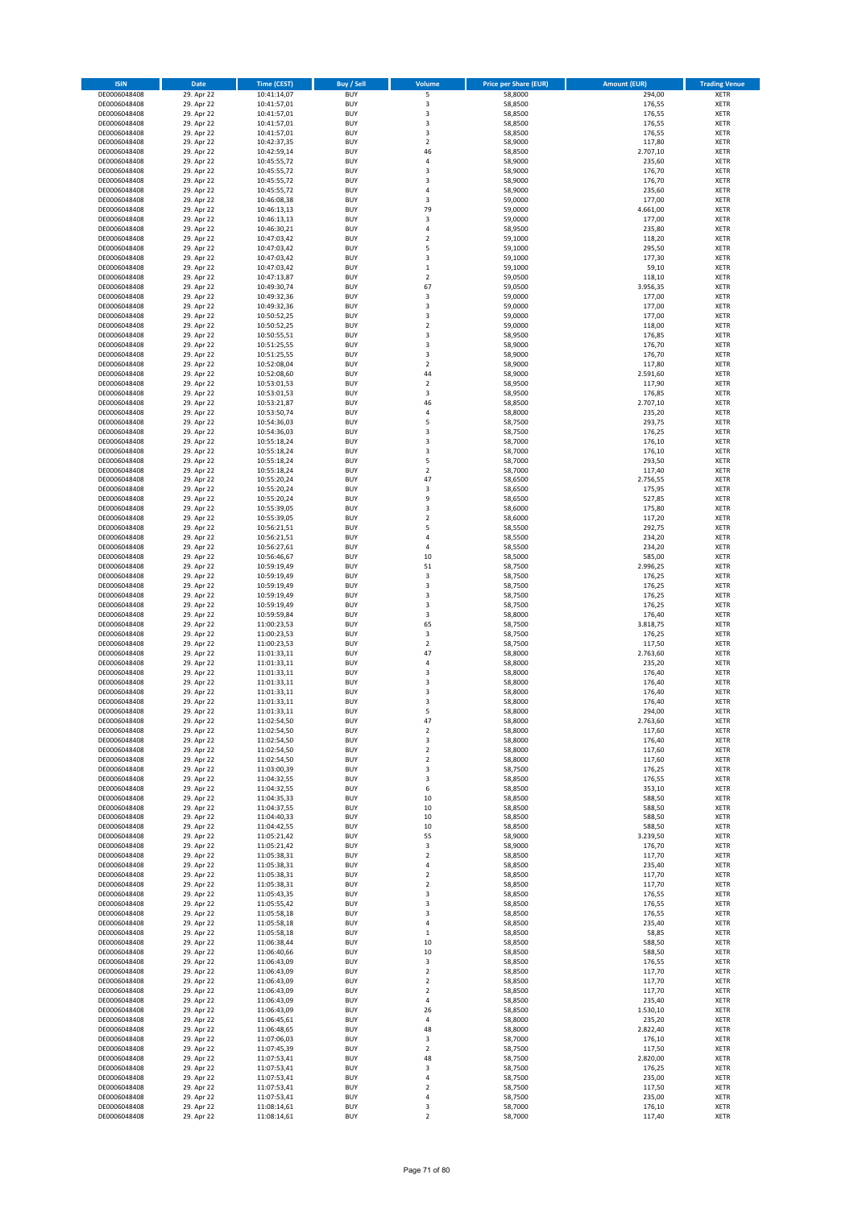| <b>ISIN</b>                  | Date                     | <b>Time (CEST)</b>         | <b>Buy / Sell</b>        | Volume                                    | <b>Price per Share (EUR)</b> | <b>Amount (EUR)</b> | <b>Trading Venue</b>       |
|------------------------------|--------------------------|----------------------------|--------------------------|-------------------------------------------|------------------------------|---------------------|----------------------------|
| DE0006048408                 | 29. Apr 22               | 10:41:14,07                | <b>BUY</b>               | 5                                         | 58,8000                      | 294,00              | <b>XETR</b>                |
| DE0006048408                 | 29. Apr 22               | 10:41:57,01                | <b>BUY</b>               | 3                                         | 58,8500                      | 176,55              | <b>XETR</b>                |
| DE0006048408<br>DE0006048408 | 29. Apr 22<br>29. Apr 22 | 10:41:57,01<br>10:41:57,01 | <b>BUY</b><br><b>BUY</b> | 3<br>3                                    | 58,8500<br>58,8500           | 176,55<br>176,55    | <b>XETR</b><br><b>XETR</b> |
| DE0006048408                 | 29. Apr 22               | 10:41:57,01                | <b>BUY</b>               | 3                                         | 58,8500                      | 176,55              | <b>XETR</b>                |
| DE0006048408                 | 29. Apr 22               | 10:42:37,35                | <b>BUY</b>               | $\overline{2}$                            | 58,9000                      | 117,80              | <b>XETR</b>                |
| DE0006048408                 | 29. Apr 22               | 10:42:59,14                | <b>BUY</b>               | 46                                        | 58,8500                      | 2.707,10            | <b>XETR</b>                |
| DE0006048408                 | 29. Apr 22               | 10:45:55,72                | <b>BUY</b>               | $\sqrt{4}$                                | 58,9000                      | 235,60              | <b>XETR</b>                |
| DE0006048408                 | 29. Apr 22               | 10:45:55,72                | <b>BUY</b><br><b>BUY</b> | 3<br>3                                    | 58,9000                      | 176,70              | XETR<br><b>XETR</b>        |
| DE0006048408<br>DE0006048408 | 29. Apr 22<br>29. Apr 22 | 10:45:55,72<br>10:45:55,72 | <b>BUY</b>               | $\sqrt{4}$                                | 58,9000<br>58,9000           | 176,70<br>235,60    | XETR                       |
| DE0006048408                 | 29. Apr 22               | 10:46:08,38                | <b>BUY</b>               | 3                                         | 59,0000                      | 177,00              | <b>XETR</b>                |
| DE0006048408                 | 29. Apr 22               | 10:46:13,13                | <b>BUY</b>               | 79                                        | 59,0000                      | 4.661,00            | XETR                       |
| DE0006048408                 | 29. Apr 22               | 10:46:13,13                | <b>BUY</b>               | 3                                         | 59,0000                      | 177,00              | <b>XETR</b>                |
| DE0006048408                 | 29. Apr 22               | 10:46:30,21                | <b>BUY</b>               | $\sqrt{4}$                                | 58,9500                      | 235,80              | XETR                       |
| DE0006048408<br>DE0006048408 | 29. Apr 22<br>29. Apr 22 | 10:47:03,42<br>10:47:03,42 | <b>BUY</b><br><b>BUY</b> | $\overline{2}$<br>5                       | 59,1000<br>59,1000           | 118,20<br>295,50    | <b>XETR</b><br>XETR        |
| DE0006048408                 | 29. Apr 22               | 10:47:03,42                | <b>BUY</b>               | 3                                         | 59,1000                      | 177,30              | <b>XETR</b>                |
| DE0006048408                 | 29. Apr 22               | 10:47:03,42                | <b>BUY</b>               | $\,1\,$                                   | 59,1000                      | 59,10               | XETR                       |
| DE0006048408                 | 29. Apr 22               | 10:47:13,87                | <b>BUY</b>               | $\mathbf 2$                               | 59,0500                      | 118,10              | <b>XETR</b>                |
| DE0006048408<br>DE0006048408 | 29. Apr 22<br>29. Apr 22 | 10:49:30,74<br>10:49:32,36 | <b>BUY</b><br><b>BUY</b> | 67<br>3                                   | 59,0500<br>59,0000           | 3.956,35<br>177,00  | <b>XETR</b><br><b>XETR</b> |
| DE0006048408                 | 29. Apr 22               | 10:49:32,36                | <b>BUY</b>               | 3                                         | 59,0000                      | 177,00              | <b>XETR</b>                |
| DE0006048408                 | 29. Apr 22               | 10:50:52,25                | <b>BUY</b>               | 3                                         | 59,0000                      | 177,00              | <b>XETR</b>                |
| DE0006048408                 | 29. Apr 22               | 10:50:52,25                | <b>BUY</b>               | $\overline{2}$                            | 59,0000                      | 118,00              | <b>XETR</b>                |
| DE0006048408                 | 29. Apr 22               | 10:50:55,51                | <b>BUY</b>               | 3                                         | 58,9500                      | 176,85              | <b>XETR</b>                |
| DE0006048408                 | 29. Apr 22               | 10:51:25,55                | <b>BUY</b>               | 3                                         | 58,9000                      | 176,70              | <b>XETR</b>                |
| DE0006048408<br>DE0006048408 | 29. Apr 22<br>29. Apr 22 | 10:51:25,55<br>10:52:08,04 | <b>BUY</b><br><b>BUY</b> | 3<br>$\overline{2}$                       | 58,9000<br>58,9000           | 176,70<br>117,80    | <b>XETR</b><br><b>XETR</b> |
| DE0006048408                 | 29. Apr 22               | 10:52:08,60                | <b>BUY</b>               | 44                                        | 58,9000                      | 2.591,60            | <b>XETR</b>                |
| DE0006048408                 | 29. Apr 22               | 10:53:01,53                | <b>BUY</b>               | $\sqrt{2}$                                | 58,9500                      | 117,90              | <b>XETR</b>                |
| DE0006048408                 | 29. Apr 22               | 10:53:01,53                | <b>BUY</b>               | 3                                         | 58,9500                      | 176,85              | <b>XETR</b>                |
| DE0006048408                 | 29. Apr 22               | 10:53:21,87                | <b>BUY</b><br><b>BUY</b> | 46<br>$\sqrt{4}$                          | 58,8500                      | 2.707,10<br>235,20  | <b>XETR</b><br>XETR        |
| DE0006048408<br>DE0006048408 | 29. Apr 22<br>29. Apr 22 | 10:53:50,74<br>10:54:36,03 | <b>BUY</b>               | 5                                         | 58,8000<br>58,7500           | 293,75              | <b>XETR</b>                |
| DE0006048408                 | 29. Apr 22               | 10:54:36,03                | <b>BUY</b>               | 3                                         | 58,7500                      | 176,25              | XETR                       |
| DE0006048408                 | 29. Apr 22               | 10:55:18,24                | <b>BUY</b>               | 3                                         | 58,7000                      | 176,10              | <b>XETR</b>                |
| DE0006048408                 | 29. Apr 22               | 10:55:18,24                | <b>BUY</b>               | 3                                         | 58,7000                      | 176,10              | XETR                       |
| DE0006048408                 | 29. Apr 22               | 10:55:18,24                | <b>BUY</b>               | 5                                         | 58,7000                      | 293,50              | <b>XETR</b>                |
| DE0006048408<br>DE0006048408 | 29. Apr 22<br>29. Apr 22 | 10:55:18,24<br>10:55:20,24 | <b>BUY</b><br><b>BUY</b> | $\overline{2}$<br>47                      | 58,7000<br>58,6500           | 117,40<br>2.756,55  | <b>XETR</b><br><b>XETR</b> |
| DE0006048408                 | 29. Apr 22               | 10:55:20,24                | <b>BUY</b>               | 3                                         | 58,6500                      | 175,95              | XETR                       |
| DE0006048408                 | 29. Apr 22               | 10:55:20,24                | <b>BUY</b>               | 9                                         | 58,6500                      | 527,85              | <b>XETR</b>                |
| DE0006048408                 | 29. Apr 22               | 10:55:39,05                | <b>BUY</b>               | 3                                         | 58,6000                      | 175,80              | <b>XETR</b>                |
| DE0006048408                 | 29. Apr 22               | 10:55:39,05                | <b>BUY</b>               | $\overline{2}$                            | 58,6000                      | 117,20              | <b>XETR</b>                |
| DE0006048408<br>DE0006048408 | 29. Apr 22<br>29. Apr 22 | 10:56:21,51<br>10:56:21,51 | <b>BUY</b><br><b>BUY</b> | 5<br>4                                    | 58,5500<br>58,5500           | 292,75<br>234,20    | XETR<br><b>XETR</b>        |
| DE0006048408                 | 29. Apr 22               | 10:56:27,61                | <b>BUY</b>               | $\sqrt{4}$                                | 58,5500                      | 234,20              | <b>XETR</b>                |
| DE0006048408                 | 29. Apr 22               | 10:56:46,67                | <b>BUY</b>               | 10                                        | 58,5000                      | 585,00              | <b>XETR</b>                |
| DE0006048408                 | 29. Apr 22               | 10:59:19,49                | <b>BUY</b>               | 51                                        | 58,7500                      | 2.996,25            | <b>XETR</b>                |
| DE0006048408                 | 29. Apr 22               | 10:59:19,49                | <b>BUY</b>               | 3                                         | 58,7500                      | 176,25              | <b>XETR</b>                |
| DE0006048408<br>DE0006048408 | 29. Apr 22<br>29. Apr 22 | 10:59:19,49<br>10:59:19,49 | <b>BUY</b><br><b>BUY</b> | 3<br>3                                    | 58,7500<br>58,7500           | 176,25<br>176,25    | <b>XETR</b><br><b>XETR</b> |
| DE0006048408                 | 29. Apr 22               | 10:59:19,49                | <b>BUY</b>               | 3                                         | 58,7500                      | 176,25              | <b>XETR</b>                |
| DE0006048408                 | 29. Apr 22               | 10:59:59,84                | <b>BUY</b>               | 3                                         | 58,8000                      | 176,40              | <b>XETR</b>                |
| DE0006048408                 | 29. Apr 22               | 11:00:23,53                | <b>BUY</b>               | 65                                        | 58,7500                      | 3.818,75            | <b>XETR</b>                |
| DE0006048408                 | 29. Apr 22               | 11:00:23,53                | <b>BUY</b>               | 3                                         | 58,7500                      | 176,25              | <b>XETR</b>                |
| DE0006048408<br>DE0006048408 | 29. Apr 22<br>29. Apr 22 | 11:00:23,53<br>11:01:33,11 | <b>BUY</b><br><b>BUY</b> | $\overline{2}$<br>47                      | 58,7500<br>58,8000           | 117,50<br>2.763,60  | <b>XETR</b><br><b>XETR</b> |
| DE0006048408                 | 29. Apr 22               | 11:01:33,11                | <b>BUY</b>               | 4                                         | 58,8000                      | 235,20              | <b>XETR</b>                |
| DE0006048408                 | 29. Apr 22               | 11:01:33,11                | <b>BUY</b>               | 3                                         | 58,8000                      | 176,40              | XETR                       |
| DE0006048408                 | 29. Apr 22               | 11:01:33,11                | <b>BUY</b>               | 3                                         | 58,8000                      | 176,40              | <b>XETR</b>                |
| DE0006048408<br>DE0006048408 | 29. Apr 22<br>29. Apr 22 | 11:01:33,11                | <b>BUY</b><br><b>BUY</b> | 3<br>3                                    | 58,8000<br>58,8000           | 176,40<br>176,40    | XETR<br><b>XETR</b>        |
| DE0006048408                 | 29. Apr 22               | 11:01:33,11<br>11:01:33,11 | <b>BUY</b>               | 5                                         | 58,8000                      | 294,00              | <b>XETR</b>                |
| DE0006048408                 | 29. Apr 22               | 11:02:54,50                | <b>BUY</b>               | 47                                        | 58,8000                      | 2.763,60            | XETR                       |
| DE0006048408                 | 29. Apr 22               | 11:02:54,50                | <b>BUY</b>               | $\mathbf 2$                               | 58,8000                      | 117,60              | XETR                       |
| DE0006048408                 | 29. Apr 22               | 11:02:54,50                | <b>BUY</b>               | 3                                         | 58,8000                      | 176,40              | XETR                       |
| DE0006048408<br>DE0006048408 | 29. Apr 22               | 11:02:54,50                | <b>BUY</b><br><b>BUY</b> | $\mathbf 2$<br>$\overline{2}$             | 58,8000<br>58,8000           | 117,60<br>117,60    | <b>XETR</b>                |
| DE0006048408                 | 29. Apr 22<br>29. Apr 22 | 11:02:54,50<br>11:03:00,39 | <b>BUY</b>               | 3                                         | 58,7500                      | 176,25              | <b>XETR</b><br>XETR        |
| DE0006048408                 | 29. Apr 22               | 11:04:32,55                | <b>BUY</b>               | 3                                         | 58,8500                      | 176,55              | <b>XETR</b>                |
| DE0006048408                 | 29. Apr 22               | 11:04:32,55                | <b>BUY</b>               | 6                                         | 58,8500                      | 353,10              | <b>XETR</b>                |
| DE0006048408<br>DE0006048408 | 29. Apr 22<br>29. Apr 22 | 11:04:35,33                | <b>BUY</b><br><b>BUY</b> | 10                                        | 58,8500<br>58,8500           | 588,50<br>588,50    | <b>XETR</b><br>XETR        |
| DE0006048408                 | 29. Apr 22               | 11:04:37,55<br>11:04:40,33 | <b>BUY</b>               | 10<br>10                                  | 58,8500                      | 588,50              | <b>XETR</b>                |
| DE0006048408                 | 29. Apr 22               | 11:04:42,55                | <b>BUY</b>               | 10                                        | 58,8500                      | 588,50              | <b>XETR</b>                |
| DE0006048408                 | 29. Apr 22               | 11:05:21,42                | <b>BUY</b>               | 55                                        | 58,9000                      | 3.239,50            | <b>XETR</b>                |
| DE0006048408                 | 29. Apr 22               | 11:05:21,42                | <b>BUY</b>               | 3                                         | 58,9000                      | 176,70              | XETR                       |
| DE0006048408<br>DE0006048408 | 29. Apr 22<br>29. Apr 22 | 11:05:38,31<br>11:05:38,31 | <b>BUY</b><br><b>BUY</b> | $\sqrt{2}$<br>4                           | 58,8500<br>58,8500           | 117,70<br>235,40    | <b>XETR</b><br><b>XETR</b> |
| DE0006048408                 | 29. Apr 22               | 11:05:38,31                | <b>BUY</b>               | $\mathbf 2$                               | 58,8500                      | 117,70              | <b>XETR</b>                |
| DE0006048408                 | 29. Apr 22               | 11:05:38,31                | <b>BUY</b>               | $\mathbf 2$                               | 58,8500                      | 117,70              | <b>XETR</b>                |
| DE0006048408                 | 29. Apr 22               | 11:05:43,35                | <b>BUY</b>               | 3                                         | 58,8500                      | 176,55              | <b>XETR</b>                |
| DE0006048408                 | 29. Apr 22               | 11:05:55,42                | <b>BUY</b>               | 3                                         | 58,8500                      | 176,55              | <b>XETR</b>                |
| DE0006048408<br>DE0006048408 | 29. Apr 22<br>29. Apr 22 | 11:05:58,18<br>11:05:58,18 | <b>BUY</b><br><b>BUY</b> | 3<br>4                                    | 58,8500<br>58,8500           | 176,55<br>235,40    | <b>XETR</b><br><b>XETR</b> |
| DE0006048408                 | 29. Apr 22               | 11:05:58,18                | <b>BUY</b>               | $\,$ 1                                    | 58,8500                      | 58,85               | XETR                       |
| DE0006048408                 | 29. Apr 22               | 11:06:38,44                | <b>BUY</b>               | 10                                        | 58,8500                      | 588,50              | XETR                       |
| DE0006048408                 | 29. Apr 22               | 11:06:40,66                | <b>BUY</b>               | 10                                        | 58,8500                      | 588,50              | <b>XETR</b>                |
| DE0006048408                 | 29. Apr 22               | 11:06:43,09                | <b>BUY</b>               | 3                                         | 58,8500                      | 176,55              | <b>XETR</b>                |
| DE0006048408                 | 29. Apr 22<br>29. Apr 22 | 11:06:43,09                | <b>BUY</b><br><b>BUY</b> | $\overline{\mathbf{c}}$<br>$\overline{2}$ | 58,8500<br>58,8500           | 117,70<br>117,70    | XETR<br>XETR               |
| DE0006048408<br>DE0006048408 | 29. Apr 22               | 11:06:43,09<br>11:06:43,09 | <b>BUY</b>               | $\overline{2}$                            | 58,8500                      | 117,70              | <b>XETR</b>                |
| DE0006048408                 | 29. Apr 22               | 11:06:43,09                | <b>BUY</b>               | $\sqrt{4}$                                | 58,8500                      | 235,40              | <b>XETR</b>                |
| DE0006048408                 | 29. Apr 22               | 11:06:43,09                | <b>BUY</b>               | 26                                        | 58,8500                      | 1.530,10            | XETR                       |
| DE0006048408                 | 29. Apr 22               | 11:06:45,61                | <b>BUY</b>               | 4                                         | 58,8000                      | 235,20              | XETR                       |
| DE0006048408                 | 29. Apr 22               | 11:06:48,65                | <b>BUY</b>               | 48                                        | 58,8000                      | 2.822,40            | <b>XETR</b>                |
| DE0006048408<br>DE0006048408 | 29. Apr 22<br>29. Apr 22 | 11:07:06,03<br>11:07:45,39 | <b>BUY</b><br><b>BUY</b> | 3<br>$\overline{\mathbf{c}}$              | 58,7000<br>58,7500           | 176,10<br>117,50    | <b>XETR</b><br><b>XETR</b> |
| DE0006048408                 | 29. Apr 22               | 11:07:53,41                | <b>BUY</b>               | 48                                        | 58,7500                      | 2.820,00            | <b>XETR</b>                |
| DE0006048408                 | 29. Apr 22               | 11:07:53,41                | <b>BUY</b>               | 3                                         | 58,7500                      | 176,25              | <b>XETR</b>                |
| DE0006048408                 | 29. Apr 22               | 11:07:53,41                | <b>BUY</b>               | 4                                         | 58,7500                      | 235,00              | <b>XETR</b>                |
| DE0006048408                 | 29. Apr 22               | 11:07:53,41                | <b>BUY</b>               | $\mathbf 2$                               | 58,7500<br>58,7500           | 117,50<br>235,00    | <b>XETR</b>                |
| DE0006048408<br>DE0006048408 | 29. Apr 22<br>29. Apr 22 | 11:07:53,41<br>11:08:14,61 | <b>BUY</b><br><b>BUY</b> | 4<br>3                                    | 58,7000                      | 176,10              | <b>XETR</b><br><b>XETR</b> |
| DE0006048408                 | 29. Apr 22               | 11:08:14,61                | <b>BUY</b>               | $\boldsymbol{2}$                          | 58,7000                      | 117,40              | <b>XETR</b>                |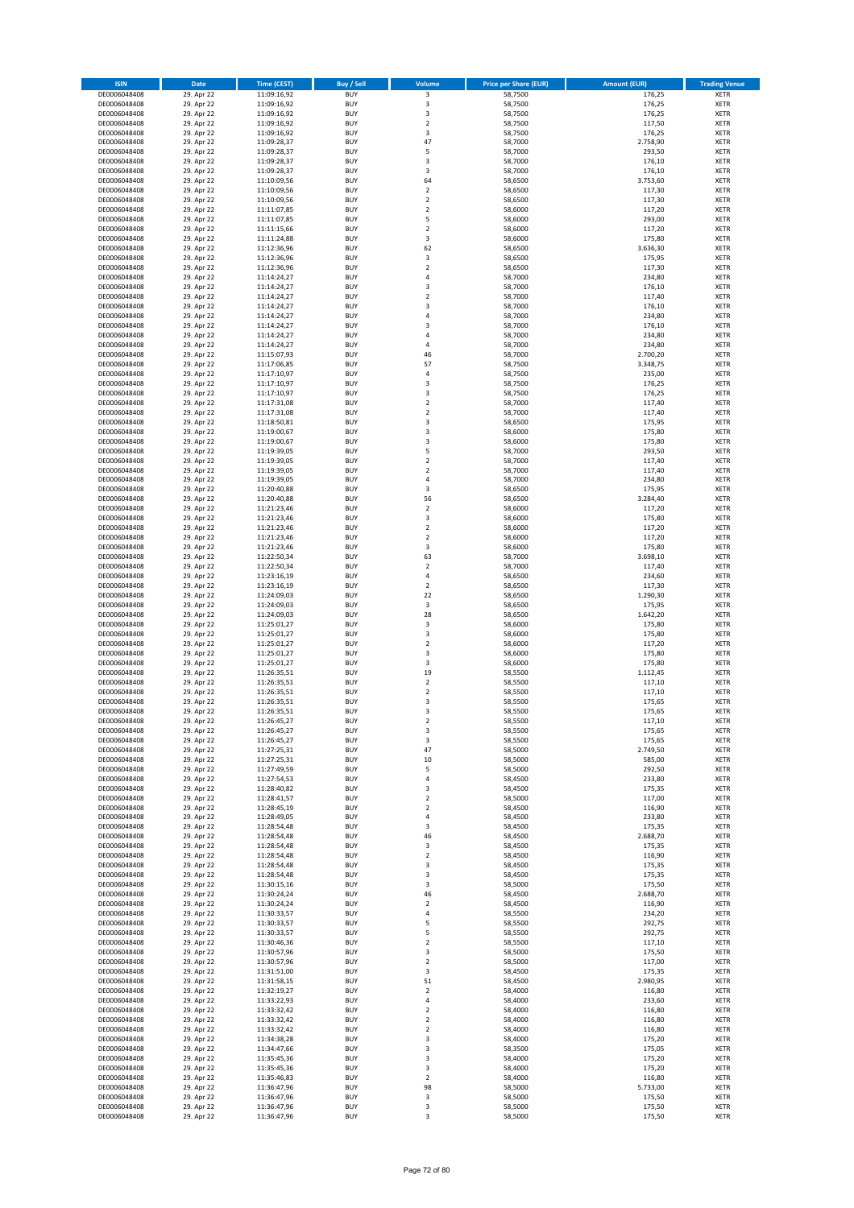| <b>ISIN</b>                  | Date                     | <b>Time (CEST)</b>         | <b>Buy / Sell</b>        | Volume                  | <b>Price per Share (EUR)</b> | <b>Amount (EUR)</b> | <b>Trading Venue</b>       |
|------------------------------|--------------------------|----------------------------|--------------------------|-------------------------|------------------------------|---------------------|----------------------------|
| DE0006048408                 | 29. Apr 22               | 11:09:16,92                | <b>BUY</b>               | 3                       | 58,7500                      | 176,25              | <b>XETR</b>                |
| DE0006048408                 | 29. Apr 22               | 11:09:16,92                | <b>BUY</b>               | $\mathsf 3$             | 58,7500                      | 176,25              | <b>XETR</b>                |
| DE0006048408<br>DE0006048408 | 29. Apr 22<br>29. Apr 22 | 11:09:16,92<br>11:09:16,92 | <b>BUY</b><br><b>BUY</b> | 3<br>$\mathbf 2$        | 58,7500<br>58,7500           | 176,25<br>117,50    | <b>XETR</b><br><b>XETR</b> |
| DE0006048408                 | 29. Apr 22               | 11:09:16,92                | <b>BUY</b>               | 3                       | 58,7500                      | 176,25              | <b>XETR</b>                |
| DE0006048408                 | 29. Apr 22               | 11:09:28,37                | <b>BUY</b>               | 47                      | 58,7000                      | 2.758,90            | <b>XETR</b>                |
| DE0006048408                 | 29. Apr 22               | 11:09:28,37                | <b>BUY</b>               | 5                       | 58,7000                      | 293,50              | <b>XETR</b>                |
| DE0006048408                 | 29. Apr 22               | 11:09:28,37                | <b>BUY</b><br><b>BUY</b> | 3                       | 58,7000                      | 176,10              | <b>XETR</b>                |
| DE0006048408<br>DE0006048408 | 29. Apr 22<br>29. Apr 22 | 11:09:28,37<br>11:10:09,56 | <b>BUY</b>               | 3<br>64                 | 58,7000<br>58,6500           | 176,10<br>3.753,60  | XETR<br><b>XETR</b>        |
| DE0006048408                 | 29. Apr 22               | 11:10:09,56                | <b>BUY</b>               | $\mathbf 2$             | 58,6500                      | 117,30              | XETR                       |
| DE0006048408                 | 29. Apr 22               | 11:10:09,56                | <b>BUY</b>               | $\overline{2}$          | 58,6500                      | 117,30              | <b>XETR</b>                |
| DE0006048408                 | 29. Apr 22               | 11:11:07,85                | <b>BUY</b>               | $\boldsymbol{2}$        | 58,6000                      | 117,20              | XETR                       |
| DE0006048408                 | 29. Apr 22               | 11:11:07,85                | <b>BUY</b>               | 5                       | 58,6000                      | 293,00              | <b>XETR</b>                |
| DE0006048408<br>DE0006048408 | 29. Apr 22<br>29. Apr 22 | 11:11:15,66<br>11:11:24,88 | <b>BUY</b><br><b>BUY</b> | $\mathbf 2$<br>3        | 58,6000<br>58,6000           | 117,20<br>175,80    | XETR<br><b>XETR</b>        |
| DE0006048408                 | 29. Apr 22               | 11:12:36,96                | <b>BUY</b>               | 62                      | 58,6500                      | 3.636,30            | XETR                       |
| DE0006048408                 | 29. Apr 22               | 11:12:36,96                | <b>BUY</b>               | 3                       | 58,6500                      | 175,95              | <b>XETR</b>                |
| DE0006048408                 | 29. Apr 22               | 11:12:36,96                | <b>BUY</b>               | $\mathbf 2$             | 58,6500                      | 117,30              | XETR                       |
| DE0006048408                 | 29. Apr 22               | 11:14:24,27                | <b>BUY</b><br><b>BUY</b> | $\sqrt{4}$<br>3         | 58,7000                      | 234,80              | <b>XETR</b><br><b>XETR</b> |
| DE0006048408<br>DE0006048408 | 29. Apr 22<br>29. Apr 22 | 11:14:24,27<br>11:14:24,27 | <b>BUY</b>               | $\mathbf 2$             | 58,7000<br>58,7000           | 176,10<br>117,40    | <b>XETR</b>                |
| DE0006048408                 | 29. Apr 22               | 11:14:24,27                | <b>BUY</b>               | 3                       | 58,7000                      | 176,10              | <b>XETR</b>                |
| DE0006048408                 | 29. Apr 22               | 11:14:24,27                | <b>BUY</b>               | $\sqrt{4}$              | 58,7000                      | 234,80              | <b>XETR</b>                |
| DE0006048408                 | 29. Apr 22               | 11:14:24,27                | <b>BUY</b>               | 3                       | 58,7000                      | 176,10              | <b>XETR</b>                |
| DE0006048408                 | 29. Apr 22               | 11:14:24,27                | <b>BUY</b><br><b>BUY</b> | 4<br>$\overline{4}$     | 58,7000                      | 234,80              | <b>XETR</b><br><b>XETR</b> |
| DE0006048408<br>DE0006048408 | 29. Apr 22<br>29. Apr 22 | 11:14:24,27<br>11:15:07,93 | <b>BUY</b>               | 46                      | 58,7000<br>58,7000           | 234,80<br>2.700,20  | <b>XETR</b>                |
| DE0006048408                 | 29. Apr 22               | 11:17:06,85                | <b>BUY</b>               | 57                      | 58,7500                      | 3.348,75            | <b>XETR</b>                |
| DE0006048408                 | 29. Apr 22               | 11:17:10,97                | <b>BUY</b>               | 4                       | 58,7500                      | 235,00              | <b>XETR</b>                |
| DE0006048408                 | 29. Apr 22               | 11:17:10,97                | <b>BUY</b>               | 3                       | 58,7500                      | 176,25              | <b>XETR</b>                |
| DE0006048408<br>DE0006048408 | 29. Apr 22<br>29. Apr 22 | 11:17:10,97<br>11:17:31,08 | <b>BUY</b><br><b>BUY</b> | 3<br>$\overline{2}$     | 58,7500<br>58,7000           | 176,25<br>117,40    | <b>XETR</b><br><b>XETR</b> |
| DE0006048408                 | 29. Apr 22               | 11:17:31,08                | <b>BUY</b>               | $\sqrt{2}$              | 58,7000                      | 117,40              | XETR                       |
| DE0006048408                 | 29. Apr 22               | 11:18:50,81                | <b>BUY</b>               | 3                       | 58,6500                      | 175,95              | <b>XETR</b>                |
| DE0006048408                 | 29. Apr 22               | 11:19:00,67                | <b>BUY</b>               | $\overline{\mathbf{3}}$ | 58,6000                      | 175,80              | XETR                       |
| DE0006048408                 | 29. Apr 22               | 11:19:00,67                | <b>BUY</b>               | 3                       | 58,6000                      | 175,80              | <b>XETR</b>                |
| DE0006048408<br>DE0006048408 | 29. Apr 22<br>29. Apr 22 | 11:19:39,05<br>11:19:39,05 | <b>BUY</b><br><b>BUY</b> | 5<br>$\overline{2}$     | 58,7000<br>58,7000           | 293,50<br>117,40    | XETR<br><b>XETR</b>        |
| DE0006048408                 | 29. Apr 22               | 11:19:39,05                | <b>BUY</b>               | $\overline{2}$          | 58,7000                      | 117,40              | <b>XETR</b>                |
| DE0006048408                 | 29. Apr 22               | 11:19:39,05                | <b>BUY</b>               | $\sqrt{4}$              | 58,7000                      | 234,80              | <b>XETR</b>                |
| DE0006048408                 | 29. Apr 22               | 11:20:40,88                | <b>BUY</b>               | 3                       | 58,6500                      | 175,95              | <b>XETR</b>                |
| DE0006048408                 | 29. Apr 22               | 11:20:40,88                | <b>BUY</b>               | 56                      | 58,6500                      | 3.284,40            | <b>XETR</b>                |
| DE0006048408<br>DE0006048408 | 29. Apr 22<br>29. Apr 22 | 11:21:23,46<br>11:21:23,46 | <b>BUY</b><br><b>BUY</b> | $\mathbf 2$<br>3        | 58,6000<br>58,6000           | 117,20<br>175,80    | <b>XETR</b><br><b>XETR</b> |
| DE0006048408                 | 29. Apr 22               | 11:21:23,46                | <b>BUY</b>               | $\mathbf 2$             | 58,6000                      | 117,20              | <b>XETR</b>                |
| DE0006048408                 | 29. Apr 22               | 11:21:23,46                | <b>BUY</b>               | $\mathbf 2$             | 58,6000                      | 117,20              | XETR                       |
| DE0006048408                 | 29. Apr 22               | 11:21:23,46                | <b>BUY</b>               | 3                       | 58,6000                      | 175,80              | <b>XETR</b>                |
| DE0006048408<br>DE0006048408 | 29. Apr 22<br>29. Apr 22 | 11:22:50,34                | <b>BUY</b><br><b>BUY</b> | 63<br>$\mathbf 2$       | 58,7000<br>58,7000           | 3.698,10<br>117,40  | <b>XETR</b><br><b>XETR</b> |
| DE0006048408                 | 29. Apr 22               | 11:22:50,34<br>11:23:16,19 | <b>BUY</b>               | 4                       | 58,6500                      | 234,60              | <b>XETR</b>                |
| DE0006048408                 | 29. Apr 22               | 11:23:16,19                | <b>BUY</b>               | $\overline{2}$          | 58,6500                      | 117,30              | <b>XETR</b>                |
| DE0006048408                 | 29. Apr 22               | 11:24:09,03                | <b>BUY</b>               | 22                      | 58,6500                      | 1.290,30            | <b>XETR</b>                |
| DE0006048408                 | 29. Apr 22               | 11:24:09,03                | <b>BUY</b>               | 3                       | 58,6500                      | 175,95              | <b>XETR</b>                |
| DE0006048408<br>DE0006048408 | 29. Apr 22<br>29. Apr 22 | 11:24:09,03<br>11:25:01,27 | <b>BUY</b><br><b>BUY</b> | 28<br>3                 | 58,6500<br>58,6000           | 1.642,20<br>175,80  | <b>XETR</b><br><b>XETR</b> |
| DE0006048408                 | 29. Apr 22               | 11:25:01,27                | <b>BUY</b>               | $\overline{\mathbf{3}}$ | 58,6000                      | 175,80              | <b>XETR</b>                |
| DE0006048408                 | 29. Apr 22               | 11:25:01,27                | <b>BUY</b>               | $\overline{2}$          | 58,6000                      | 117,20              | <b>XETR</b>                |
| DE0006048408                 | 29. Apr 22               | 11:25:01,27                | <b>BUY</b>               | 3                       | 58,6000                      | 175,80              | <b>XETR</b>                |
| DE0006048408                 | 29. Apr 22               | 11:25:01,27                | <b>BUY</b>               | 3                       | 58,6000                      | 175,80              | <b>XETR</b>                |
| DE0006048408<br>DE0006048408 | 29. Apr 22<br>29. Apr 22 | 11:26:35,51<br>11:26:35,51 | <b>BUY</b><br><b>BUY</b> | 19<br>$\overline{2}$    | 58,5500<br>58,5500           | 1.112,45<br>117,10  | XETR<br><b>XETR</b>        |
| DE0006048408                 | 29. Apr 22               | 11:26:35,51                | <b>BUY</b>               | $\sqrt{2}$              | 58,5500                      | 117,10              | XETR                       |
| DE0006048408                 | 29. Apr 22               | 11:26:35,51                | <b>BUY</b>               | 3                       | 58,5500                      | 175,65              | <b>XETR</b>                |
| DE0006048408                 | 29. Apr 22               | 11:26:35,51                | <b>BUY</b>               | 3                       | 58,5500                      | 175,65              | <b>XETR</b>                |
| DE0006048408                 | 29. Apr 22               | 11:26:45,27                | <b>BUY</b>               | $\overline{\mathbf{c}}$ | 58,5500                      | 117,10              | XETR                       |
| DE0006048408<br>DE0006048408 | 29. Apr 22<br>29. Apr 22 | 11:26:45,27<br>11:26:45,27 | <b>BUY</b><br><b>BUY</b> | 3<br>3                  | 58,5500<br>58,5500           | 175,65<br>175,65    | XETR<br>XETR               |
| DE0006048408                 | 29. Apr 22               | 11:27:25,31                | <b>BUY</b>               | 47                      | 58,5000                      | 2.749,50            | XETR                       |
| DE0006048408                 | 29. Apr 22               | 11:27:25,31                | <b>BUY</b>               | $10\,$                  | 58,5000                      | 585,00              | XETR                       |
| DE0006048408                 | 29. Apr 22               | 11:27:49,59                | <b>BUY</b>               | 5                       | 58,5000                      | 292,50              | XETR                       |
| DE0006048408<br>DE0006048408 | 29. Apr 22<br>29. Apr 22 | 11:27:54,53<br>11:28:40,82 | <b>BUY</b><br><b>BUY</b> | $\sqrt{4}$<br>3         | 58,4500<br>58,4500           | 233,80<br>175,35    | <b>XETR</b><br>XETR        |
| DE0006048408                 | 29. Apr 22               | 11:28:41,57                | <b>BUY</b>               | $\mathbf 2$             | 58,5000                      | 117,00              | <b>XETR</b>                |
| DE0006048408                 | 29. Apr 22               | 11:28:45,19                | <b>BUY</b>               | $\mathbf 2$             | 58,4500                      | 116,90              | XETR                       |
| DE0006048408                 | 29. Apr 22               | 11:28:49,05                | <b>BUY</b>               | 4                       | 58,4500                      | 233,80              | <b>XETR</b>                |
| DE0006048408                 | 29. Apr 22<br>29. Apr 22 | 11:28:54,48<br>11:28:54,48 | <b>BUY</b>               | 3                       | 58,4500                      | 175,35              | <b>XETR</b>                |
| DE0006048408<br>DE0006048408 | 29. Apr 22               | 11:28:54,48                | <b>BUY</b><br><b>BUY</b> | 46<br>3                 | 58,4500<br>58,4500           | 2.688,70<br>175,35  | XETR<br>XETR               |
| DE0006048408                 | 29. Apr 22               | 11:28:54,48                | <b>BUY</b>               | $\mathbf 2$             | 58,4500                      | 116,90              | <b>XETR</b>                |
| DE0006048408                 | 29. Apr 22               | 11:28:54,48                | <b>BUY</b>               | 3                       | 58,4500                      | 175,35              | <b>XETR</b>                |
| DE0006048408                 | 29. Apr 22               | 11:28:54,48                | <b>BUY</b>               | 3                       | 58,4500                      | 175,35              | <b>XETR</b>                |
| DE0006048408<br>DE0006048408 | 29. Apr 22<br>29. Apr 22 | 11:30:15,16<br>11:30:24,24 | <b>BUY</b><br><b>BUY</b> | 3<br>46                 | 58,5000<br>58,4500           | 175,50<br>2.688,70  | <b>XETR</b><br><b>XETR</b> |
| DE0006048408                 | 29. Apr 22               | 11:30:24,24                | <b>BUY</b>               | $\mathbf 2$             | 58,4500                      | 116,90              | <b>XETR</b>                |
| DE0006048408                 | 29. Apr 22               | 11:30:33,57                | <b>BUY</b>               | 4                       | 58,5500                      | 234,20              | <b>XETR</b>                |
| DE0006048408                 | 29. Apr 22               | 11:30:33,57                | <b>BUY</b>               | 5                       | 58,5500                      | 292,75              | XETR                       |
| DE0006048408                 | 29. Apr 22               | 11:30:33,57                | <b>BUY</b>               | 5                       | 58,5500                      | 292,75              | XETR                       |
| DE0006048408<br>DE0006048408 | 29. Apr 22<br>29. Apr 22 | 11:30:46,36<br>11:30:57,96 | <b>BUY</b><br><b>BUY</b> | $\overline{2}$<br>3     | 58,5500<br>58,5000           | 117,10<br>175,50    | XETR<br>XETR               |
| DE0006048408                 | 29. Apr 22               | 11:30:57,96                | <b>BUY</b>               | $\overline{2}$          | 58,5000                      | 117,00              | <b>XETR</b>                |
| DE0006048408                 | 29. Apr 22               | 11:31:51,00                | <b>BUY</b>               | 3                       | 58,4500                      | 175,35              | XETR                       |
| DE0006048408                 | 29. Apr 22               | 11:31:58,15                | <b>BUY</b>               | 51                      | 58,4500                      | 2.980,95            | XETR                       |
| DE0006048408                 | 29. Apr 22               | 11:32:19,27                | <b>BUY</b>               | $\sqrt{2}$              | 58,4000                      | 116,80              | XETR                       |
| DE0006048408<br>DE0006048408 | 29. Apr 22<br>29. Apr 22 | 11:33:22,93<br>11:33:32,42 | <b>BUY</b><br><b>BUY</b> | $\pmb{4}$<br>$\sqrt{2}$ | 58,4000<br>58,4000           | 233,60<br>116,80    | <b>XETR</b><br>XETR        |
| DE0006048408                 | 29. Apr 22               | 11:33:32,42                | <b>BUY</b>               | $\mathbf 2$             | 58,4000                      | 116,80              | XETR                       |
| DE0006048408                 | 29. Apr 22               | 11:33:32,42                | <b>BUY</b>               | $\mathbf 2$             | 58,4000                      | 116,80              | <b>XETR</b>                |
| DE0006048408                 | 29. Apr 22               | 11:34:38,28                | <b>BUY</b>               | 3                       | 58,4000                      | 175,20              | <b>XETR</b>                |
| DE0006048408<br>DE0006048408 | 29. Apr 22<br>29. Apr 22 | 11:34:47,66<br>11:35:45,36 | <b>BUY</b><br><b>BUY</b> | 3<br>3                  | 58,3500<br>58,4000           | 175,05<br>175,20    | <b>XETR</b><br><b>XETR</b> |
| DE0006048408                 | 29. Apr 22               | 11:35:45,36                | <b>BUY</b>               | 3                       | 58,4000                      | 175,20              | <b>XETR</b>                |
| DE0006048408                 | 29. Apr 22               | 11:35:46,83                | <b>BUY</b>               | $\overline{2}$          | 58,4000                      | 116,80              | <b>XETR</b>                |
| DE0006048408                 | 29. Apr 22               | 11:36:47,96                | <b>BUY</b>               | 98                      | 58,5000                      | 5.733,00            | <b>XETR</b>                |
| DE0006048408<br>DE0006048408 | 29. Apr 22<br>29. Apr 22 | 11:36:47,96<br>11:36:47,96 | <b>BUY</b><br><b>BUY</b> | 3<br>3                  | 58,5000<br>58,5000           | 175,50<br>175,50    | <b>XETR</b><br><b>XETR</b> |
| DE0006048408                 | 29. Apr 22               | 11:36:47,96                | <b>BUY</b>               | 3                       | 58,5000                      | 175,50              | <b>XETR</b>                |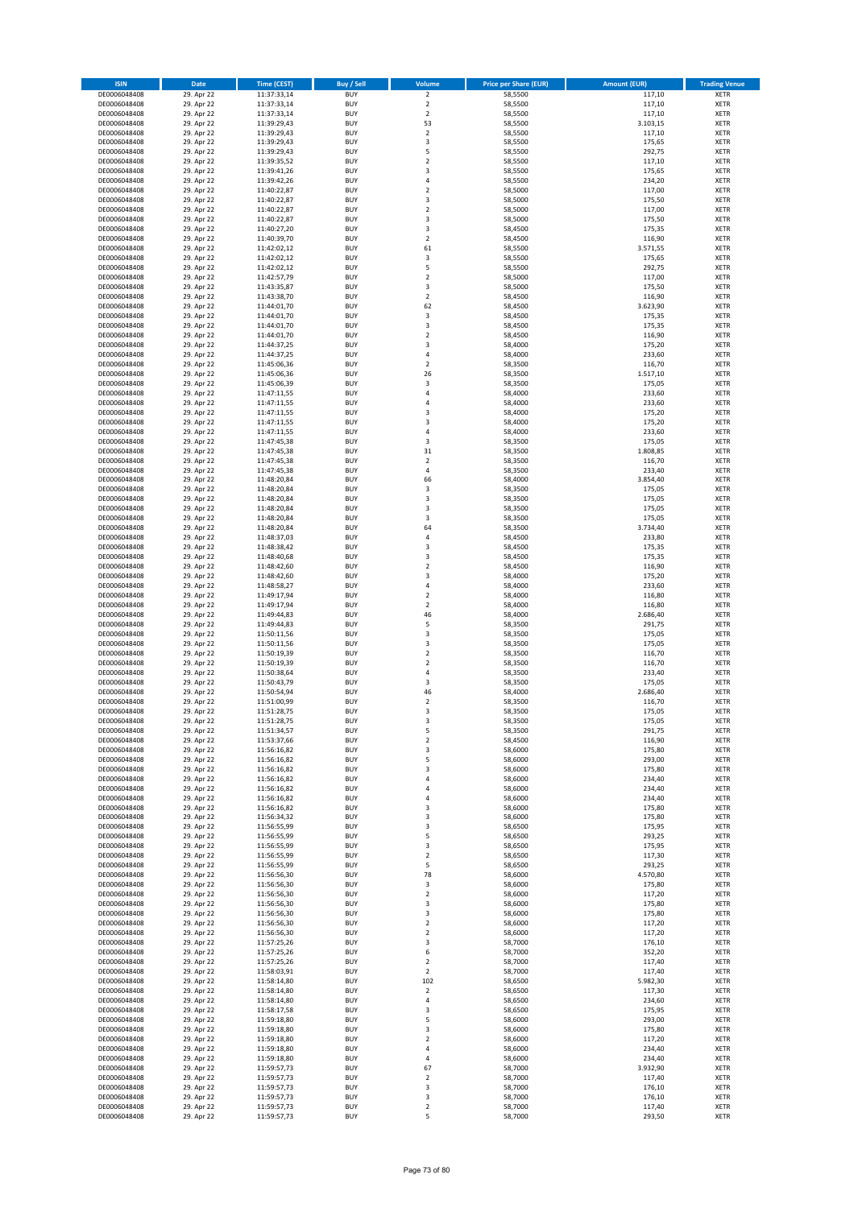| <b>ISIN</b>                  | <b>Date</b>              | <b>Time (CEST)</b>         | <b>Buy / Sell</b>        | Volume                       | <b>Price per Share (EUR)</b> | <b>Amount (EUR)</b> | <b>Trading Venue</b>       |
|------------------------------|--------------------------|----------------------------|--------------------------|------------------------------|------------------------------|---------------------|----------------------------|
| DE0006048408                 | 29. Apr 22               | 11:37:33,14                | <b>BUY</b>               | $\overline{2}$               | 58,5500                      | 117,10              | XETR                       |
| DE0006048408                 | 29. Apr 22               | 11:37:33,14                | <b>BUY</b>               | $\mathbf 2$                  | 58,5500                      | 117,10              | XETR                       |
| DE0006048408<br>DE0006048408 | 29. Apr 22<br>29. Apr 22 | 11:37:33,14<br>11:39:29,43 | <b>BUY</b><br><b>BUY</b> | $\mathbf 2$<br>53            | 58,5500<br>58,5500           | 117,10<br>3.103,15  | XETR<br>XETR               |
| DE0006048408                 | 29. Apr 22               | 11:39:29,43                | <b>BUY</b>               | $\mathbf 2$                  | 58,5500                      | 117,10              | XETR                       |
| DE0006048408                 | 29. Apr 22               | 11:39:29,43                | <b>BUY</b>               | 3                            | 58,5500                      | 175,65              | <b>XETR</b>                |
| DE0006048408                 | 29. Apr 22               | 11:39:29,43                | <b>BUY</b>               | 5                            | 58,5500                      | 292,75              | <b>XETR</b>                |
| DE0006048408                 | 29. Apr 22               | 11:39:35,52                | <b>BUY</b>               | $\mathbf 2$                  | 58,5500                      | 117,10              | <b>XETR</b>                |
| DE0006048408<br>DE0006048408 | 29. Apr 22<br>29. Apr 22 | 11:39:41,26                | <b>BUY</b><br><b>BUY</b> | 3<br>4                       | 58,5500<br>58,5500           | 175,65<br>234,20    | <b>XETR</b><br><b>XETR</b> |
| DE0006048408                 | 29. Apr 22               | 11:39:42,26<br>11:40:22,87 | <b>BUY</b>               | $\mathbf 2$                  | 58,5000                      | 117,00              | <b>XETR</b>                |
| DE0006048408                 | 29. Apr 22               | 11:40:22,87                | <b>BUY</b>               | 3                            | 58,5000                      | 175,50              | <b>XETR</b>                |
| DE0006048408                 | 29. Apr 22               | 11:40:22,87                | <b>BUY</b>               | $\mathbf 2$                  | 58,5000                      | 117,00              | XETR                       |
| DE0006048408                 | 29. Apr 22               | 11:40:22,87                | <b>BUY</b>               | 3                            | 58,5000                      | 175,50              | <b>XETR</b>                |
| DE0006048408                 | 29. Apr 22               | 11:40:27,20                | <b>BUY</b>               | 3                            | 58,4500                      | 175,35              | XETR                       |
| DE0006048408<br>DE0006048408 | 29. Apr 22<br>29. Apr 22 | 11:40:39,70<br>11:42:02,12 | <b>BUY</b><br><b>BUY</b> | $\mathbf 2$<br>61            | 58,4500<br>58,5500           | 116,90<br>3.571,55  | <b>XETR</b><br>XETR        |
| DE0006048408                 | 29. Apr 22               | 11:42:02,12                | <b>BUY</b>               | 3                            | 58,5500                      | 175,65              | <b>XETR</b>                |
| DE0006048408                 | 29. Apr 22               | 11:42:02,12                | <b>BUY</b>               | 5                            | 58,5500                      | 292,75              | XETR                       |
| DE0006048408                 | 29. Apr 22               | 11:42:57,79                | <b>BUY</b>               | $\mathbf 2$                  | 58,5000                      | 117,00              | <b>XETR</b>                |
| DE0006048408                 | 29. Apr 22               | 11:43:35,87                | <b>BUY</b>               | 3                            | 58,5000                      | 175,50              | <b>XETR</b>                |
| DE0006048408<br>DE0006048408 | 29. Apr 22<br>29. Apr 22 | 11:43:38,70<br>11:44:01,70 | <b>BUY</b><br><b>BUY</b> | $\mathbf 2$<br>62            | 58,4500<br>58,4500           | 116,90<br>3.623,90  | <b>XETR</b><br><b>XETR</b> |
| DE0006048408                 | 29. Apr 22               | 11:44:01,70                | <b>BUY</b>               | 3                            | 58,4500                      | 175,35              | <b>XETR</b>                |
| DE0006048408                 | 29. Apr 22               | 11:44:01,70                | <b>BUY</b>               | 3                            | 58,4500                      | 175,35              | <b>XETR</b>                |
| DE0006048408                 | 29. Apr 22               | 11:44:01,70                | <b>BUY</b>               | $\mathbf 2$                  | 58,4500                      | 116,90              | <b>XETR</b>                |
| DE0006048408                 | 29. Apr 22               | 11:44:37,25                | <b>BUY</b>               | 3                            | 58,4000                      | 175,20              | <b>XETR</b>                |
| DE0006048408<br>DE0006048408 | 29. Apr 22<br>29. Apr 22 | 11:44:37,25<br>11:45:06,36 | <b>BUY</b><br><b>BUY</b> | 4<br>$\mathbf 2$             | 58,4000<br>58,3500           | 233,60<br>116,70    | <b>XETR</b><br><b>XETR</b> |
| DE0006048408                 | 29. Apr 22               | 11:45:06,36                | <b>BUY</b>               | 26                           | 58,3500                      | 1.517,10            | <b>XETR</b>                |
| DE0006048408                 | 29. Apr 22               | 11:45:06,39                | <b>BUY</b>               | 3                            | 58,3500                      | 175,05              | <b>XETR</b>                |
| DE0006048408                 | 29. Apr 22               | 11:47:11,55                | <b>BUY</b>               | 4                            | 58,4000                      | 233,60              | <b>XETR</b>                |
| DE0006048408                 | 29. Apr 22               | 11:47:11,55                | <b>BUY</b>               | 4                            | 58,4000                      | 233,60              | <b>XETR</b>                |
| DE0006048408<br>DE0006048408 | 29. Apr 22<br>29. Apr 22 | 11:47:11,55                | <b>BUY</b><br><b>BUY</b> | 3<br>3                       | 58,4000<br>58,4000           | 175,20<br>175,20    | XETR<br><b>XETR</b>        |
| DE0006048408                 | 29. Apr 22               | 11:47:11,55<br>11:47:11,55 | <b>BUY</b>               | 4                            | 58,4000                      | 233,60              | XETR                       |
| DE0006048408                 | 29. Apr 22               | 11:47:45,38                | <b>BUY</b>               | 3                            | 58,3500                      | 175,05              | <b>XETR</b>                |
| DE0006048408                 | 29. Apr 22               | 11:47:45,38                | <b>BUY</b>               | 31                           | 58,3500                      | 1.808,85            | XETR                       |
| DE0006048408                 | 29. Apr 22               | 11:47:45,38                | <b>BUY</b>               | $\overline{\mathbf{c}}$      | 58,3500                      | 116,70              | <b>XETR</b>                |
| DE0006048408                 | 29. Apr 22               | 11:47:45,38                | <b>BUY</b>               | 4                            | 58,3500                      | 233,40              | <b>XETR</b>                |
| DE0006048408<br>DE0006048408 | 29. Apr 22<br>29. Apr 22 | 11:48:20,84<br>11:48:20,84 | <b>BUY</b><br><b>BUY</b> | 66<br>3                      | 58,4000<br>58,3500           | 3.854,40<br>175,05  | <b>XETR</b><br><b>XETR</b> |
| DE0006048408                 | 29. Apr 22               | 11:48:20,84                | <b>BUY</b>               | 3                            | 58,3500                      | 175,05              | <b>XETR</b>                |
| DE0006048408                 | 29. Apr 22               | 11:48:20,84                | <b>BUY</b>               | 3                            | 58,3500                      | 175,05              | <b>XETR</b>                |
| DE0006048408                 | 29. Apr 22               | 11:48:20,84                | <b>BUY</b>               | 3                            | 58,3500                      | 175,05              | <b>XETR</b>                |
| DE0006048408                 | 29. Apr 22               | 11:48:20,84                | <b>BUY</b>               | 64                           | 58,3500                      | 3.734,40            | XETR                       |
| DE0006048408<br>DE0006048408 | 29. Apr 22<br>29. Apr 22 | 11:48:37,03                | <b>BUY</b><br><b>BUY</b> | 4<br>3                       | 58,4500<br>58,4500           | 233,80<br>175,35    | XETR<br><b>XETR</b>        |
| DE0006048408                 | 29. Apr 22               | 11:48:38,42<br>11:48:40,68 | <b>BUY</b>               | 3                            | 58,4500                      | 175,35              | <b>XETR</b>                |
| DE0006048408                 | 29. Apr 22               | 11:48:42,60                | <b>BUY</b>               | $\mathbf 2$                  | 58,4500                      | 116,90              | <b>XETR</b>                |
| DE0006048408                 | 29. Apr 22               | 11:48:42,60                | <b>BUY</b>               | 3                            | 58,4000                      | 175,20              | <b>XETR</b>                |
| DE0006048408                 | 29. Apr 22               | 11:48:58,27                | <b>BUY</b>               | $\overline{4}$               | 58,4000                      | 233,60              | <b>XETR</b>                |
| DE0006048408                 | 29. Apr 22               | 11:49:17,94                | <b>BUY</b>               | $\mathbf 2$                  | 58,4000                      | 116,80              | <b>XETR</b>                |
| DE0006048408<br>DE0006048408 | 29. Apr 22<br>29. Apr 22 | 11:49:17,94<br>11:49:44,83 | <b>BUY</b><br><b>BUY</b> | $\mathbf 2$<br>46            | 58,4000<br>58,4000           | 116,80<br>2.686,40  | <b>XETR</b><br><b>XETR</b> |
| DE0006048408                 | 29. Apr 22               | 11:49:44,83                | <b>BUY</b>               | 5                            | 58,3500                      | 291,75              | <b>XETR</b>                |
| DE0006048408                 | 29. Apr 22               | 11:50:11,56                | <b>BUY</b>               | 3                            | 58,3500                      | 175,05              | <b>XETR</b>                |
| DE0006048408                 | 29. Apr 22               | 11:50:11,56                | <b>BUY</b>               | 3                            | 58,3500                      | 175,05              | <b>XETR</b>                |
| DE0006048408                 | 29. Apr 22               | 11:50:19,39                | <b>BUY</b>               | $\overline{\mathbf{c}}$      | 58,3500                      | 116,70              | <b>XETR</b>                |
| DE0006048408<br>DE0006048408 | 29. Apr 22<br>29. Apr 22 | 11:50:19,39<br>11:50:38,64 | <b>BUY</b><br><b>BUY</b> | $\overline{\mathbf{c}}$<br>4 | 58,3500<br>58,3500           | 116,70<br>233,40    | <b>XETR</b><br>XETR        |
| DE0006048408                 | 29. Apr 22               | 11:50:43,79                | <b>BUY</b>               | 3                            | 58,3500                      | 175,05              | <b>XETR</b>                |
| DE0006048408                 | 29. Apr 22               | 11:50:54,94                | <b>BUY</b>               | 46                           | 58,4000                      | 2.686,40            | XETR                       |
| DE0006048408                 | 29. Apr 22               | 11:51:00,99                | <b>BUY</b>               | $\overline{\mathbf{2}}$      | 58,3500                      | 116,70              | <b>XETR</b>                |
| DE0006048408                 | 29. Apr 22               | 11:51:28,75                | <b>BUY</b>               | 3                            | 58,3500                      | 175,05              | XETR                       |
| DE0006048408<br>DE0006048408 | 29. Apr 22<br>29. Apr 22 | 11:51:28,75<br>11:51:34,57 | <b>BUY</b><br><b>BUY</b> | 3<br>5                       | 58,3500<br>58,3500           | 175,05<br>291,75    | XETR<br>XETR               |
| DE0006048408                 | 29. Apr 22               | 11:53:37,66                | <b>BUY</b>               | $\mathbf 2$                  | 58,4500                      | 116,90              | XETR                       |
| DE0006048408                 | 29. Apr 22               | 11:56:16,82                | <b>BUY</b>               | 3                            | 58,6000                      | 175,80              | XETR                       |
| DE0006048408                 | 29. Apr 22               | 11:56:16,82                | <b>BUY</b>               | 5                            | 58,6000                      | 293,00              | <b>XETR</b>                |
| DE0006048408                 | 29. Apr 22               | 11:56:16,82                | <b>BUY</b>               | 3                            | 58,6000                      | 175,80              | XETR                       |
| DE0006048408<br>DE0006048408 | 29. Apr 22<br>29. Apr 22 | 11:56:16,82<br>11:56:16,82 | <b>BUY</b><br><b>BUY</b> | 4<br>4                       | 58,6000<br>58,6000           | 234,40<br>234,40    | <b>XETR</b><br>XETR        |
| DE0006048408                 | 29. Apr 22               | 11:56:16,82                | <b>BUY</b>               | 4                            | 58,6000                      | 234,40              | <b>XETR</b>                |
| DE0006048408                 | 29. Apr 22               | 11:56:16,82                | <b>BUY</b>               | 3                            | 58,6000                      | 175,80              | XETR                       |
| DE0006048408                 | 29. Apr 22               | 11:56:34,32                | <b>BUY</b>               | 3                            | 58,6000                      | 175,80              | <b>XETR</b>                |
| DE0006048408                 | 29. Apr 22               | 11:56:55,99                | <b>BUY</b>               | 3                            | 58,6500                      | 175,95              | XETR                       |
| DE0006048408<br>DE0006048408 | 29. Apr 22<br>29. Apr 22 | 11:56:55,99<br>11:56:55,99 | <b>BUY</b><br><b>BUY</b> | 5<br>3                       | 58,6500<br>58,6500           | 293,25<br>175,95    | <b>XETR</b><br>XETR        |
| DE0006048408                 | 29. Apr 22               | 11:56:55,99                | <b>BUY</b>               | $\mathbf 2$                  | 58,6500                      | 117,30              | <b>XETR</b>                |
| DE0006048408                 | 29. Apr 22               | 11:56:55,99                | <b>BUY</b>               | 5                            | 58,6500                      | 293,25              | XETR                       |
| DE0006048408                 | 29. Apr 22               | 11:56:56,30                | <b>BUY</b>               | 78                           | 58,6000                      | 4.570,80            | <b>XETR</b>                |
| DE0006048408                 | 29. Apr 22               | 11:56:56,30                | <b>BUY</b>               | 3                            | 58,6000                      | 175,80              | <b>XETR</b>                |
| DE0006048408<br>DE0006048408 | 29. Apr 22<br>29. Apr 22 | 11:56:56,30<br>11:56:56,30 | <b>BUY</b><br><b>BUY</b> | 2<br>3                       | 58,6000<br>58,6000           | 117,20<br>175,80    | <b>XETR</b><br>XETR        |
| DE0006048408                 | 29. Apr 22               | 11:56:56,30                | <b>BUY</b>               | 3                            | 58,6000                      | 175,80              | <b>XETR</b>                |
| DE0006048408                 | 29. Apr 22               | 11:56:56,30                | <b>BUY</b>               | 2                            | 58,6000                      | 117,20              | <b>XETR</b>                |
| DE0006048408                 | 29. Apr 22               | 11:56:56,30                | <b>BUY</b>               | 2                            | 58,6000                      | 117,20              | XETR                       |
| DE0006048408                 | 29. Apr 22               | 11:57:25,26                | <b>BUY</b>               | 3                            | 58,7000                      | 176,10              | <b>XETR</b>                |
| DE0006048408<br>DE0006048408 | 29. Apr 22<br>29. Apr 22 | 11:57:25,26<br>11:57:25,26 | <b>BUY</b><br><b>BUY</b> | 6<br>$\overline{\mathbf{c}}$ | 58,7000<br>58,7000           | 352,20<br>117,40    | XETR<br><b>XETR</b>        |
| DE0006048408                 | 29. Apr 22               | 11:58:03,91                | <b>BUY</b>               | 2                            | 58,7000                      | 117,40              | XETR                       |
| DE0006048408                 | 29. Apr 22               | 11:58:14,80                | <b>BUY</b>               | 102                          | 58,6500                      | 5.982,30            | <b>XETR</b>                |
| DE0006048408                 | 29. Apr 22               | 11:58:14,80                | <b>BUY</b>               | $\mathbf 2$                  | 58,6500                      | 117,30              | XETR                       |
| DE0006048408                 | 29. Apr 22               | 11:58:14,80                | <b>BUY</b>               | 4                            | 58,6500                      | 234,60              | <b>XETR</b>                |
| DE0006048408<br>DE0006048408 | 29. Apr 22<br>29. Apr 22 | 11:58:17,58<br>11:59:18,80 | <b>BUY</b><br><b>BUY</b> | 3<br>5                       | 58,6500<br>58,6000           | 175,95<br>293,00    | XETR<br><b>XETR</b>        |
| DE0006048408                 | 29. Apr 22               | 11:59:18,80                | <b>BUY</b>               | 3                            | 58,6000                      | 175,80              | XETR                       |
| DE0006048408                 | 29. Apr 22               | 11:59:18,80                | <b>BUY</b>               | 2                            | 58,6000                      | 117,20              | <b>XETR</b>                |
| DE0006048408                 | 29. Apr 22               | 11:59:18,80                | <b>BUY</b>               | 4                            | 58,6000                      | 234,40              | <b>XETR</b>                |
| DE0006048408                 | 29. Apr 22               | 11:59:18,80                | <b>BUY</b>               | 4                            | 58,6000                      | 234,40              | <b>XETR</b>                |
| DE0006048408<br>DE0006048408 | 29. Apr 22<br>29. Apr 22 | 11:59:57,73<br>11:59:57,73 | <b>BUY</b><br><b>BUY</b> | 67<br>2                      | 58,7000<br>58,7000           | 3.932,90<br>117,40  | XETR<br><b>XETR</b>        |
| DE0006048408                 | 29. Apr 22               | 11:59:57,73                | <b>BUY</b>               | 3                            | 58,7000                      | 176,10              | XETR                       |
| DE0006048408                 | 29. Apr 22               | 11:59:57,73                | <b>BUY</b>               | 3                            | 58,7000                      | 176,10              | XETR                       |
| DE0006048408                 | 29. Apr 22               | 11:59:57,73                | <b>BUY</b>               | $\mathbf 2$                  | 58,7000                      | 117,40              | XETR                       |
| DE0006048408                 | 29. Apr 22               | 11:59:57,73                | <b>BUY</b>               | 5                            | 58,7000                      | 293,50              | <b>XETR</b>                |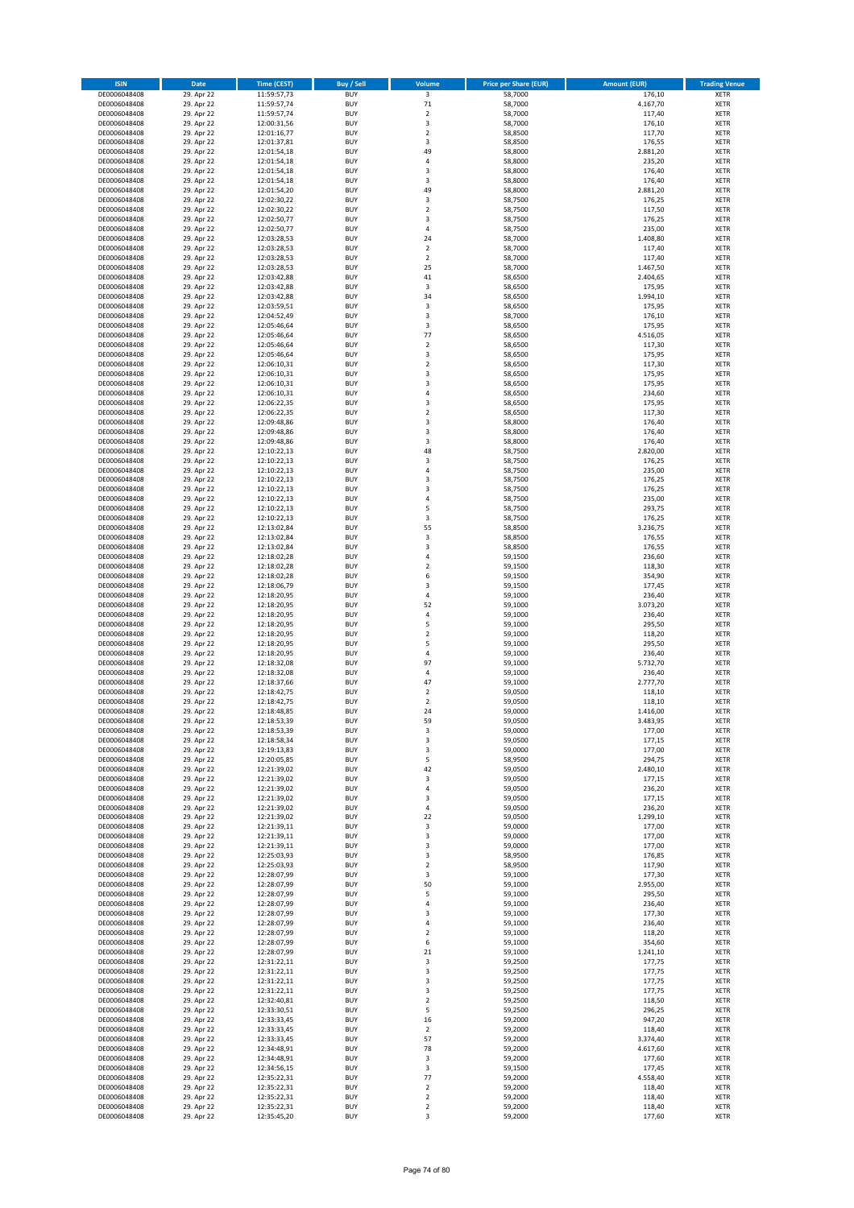| <b>ISIN</b>                  | Date                     | <b>Time (CEST)</b>         | <b>Buy / Sell</b>        | Volume                             | <b>Price per Share (EUR)</b> | <b>Amount (EUR)</b> | <b>Trading Venue</b>       |
|------------------------------|--------------------------|----------------------------|--------------------------|------------------------------------|------------------------------|---------------------|----------------------------|
| DE0006048408                 | 29. Apr 22               | 11:59:57,73                | <b>BUY</b>               | $\overline{\mathbf{3}}$            | 58,7000                      | 176,10              | <b>XETR</b>                |
| DE0006048408                 | 29. Apr 22               | 11:59:57,74                | <b>BUY</b>               | $71\,$                             | 58,7000                      | 4.167,70            | <b>XETR</b>                |
| DE0006048408<br>DE0006048408 | 29. Apr 22<br>29. Apr 22 | 11:59:57,74<br>12:00:31,56 | <b>BUY</b><br><b>BUY</b> | $\mathbf 2$<br>$\mathsf 3$         | 58,7000<br>58,7000           | 117,40<br>176,10    | <b>XETR</b><br><b>XETR</b> |
| DE0006048408                 | 29. Apr 22               | 12:01:16,77                | <b>BUY</b>               | $\mathbf 2$                        | 58,8500                      | 117,70              | <b>XETR</b>                |
| DE0006048408                 | 29. Apr 22               | 12:01:37,81                | <b>BUY</b>               | 3                                  | 58,8500                      | 176,55              | <b>XETR</b>                |
| DE0006048408                 | 29. Apr 22               | 12:01:54,18                | <b>BUY</b>               | 49                                 | 58,8000                      | 2.881,20            | <b>XETR</b>                |
| DE0006048408                 | 29. Apr 22               | 12:01:54,18                | <b>BUY</b>               | $\sqrt{4}$                         | 58,8000                      | 235,20              | <b>XETR</b>                |
| DE0006048408<br>DE0006048408 | 29. Apr 22<br>29. Apr 22 | 12:01:54,18<br>12:01:54,18 | <b>BUY</b><br><b>BUY</b> | 3<br>3                             | 58,8000<br>58,8000           | 176,40<br>176,40    | XETR<br><b>XETR</b>        |
| DE0006048408                 | 29. Apr 22               | 12:01:54,20                | <b>BUY</b>               | 49                                 | 58,8000                      | 2.881,20            | XETR                       |
| DE0006048408                 | 29. Apr 22               | 12:02:30,22                | <b>BUY</b>               | 3                                  | 58,7500                      | 176,25              | <b>XETR</b>                |
| DE0006048408                 | 29. Apr 22               | 12:02:30,22                | <b>BUY</b>               | $\boldsymbol{2}$                   | 58,7500                      | 117,50              | XETR                       |
| DE0006048408                 | 29. Apr 22               | 12:02:50,77                | <b>BUY</b>               | 3                                  | 58,7500                      | 176,25              | <b>XETR</b>                |
| DE0006048408                 | 29. Apr 22               | 12:02:50,77                | <b>BUY</b>               | $\sqrt{4}$                         | 58,7500                      | 235,00              | XETR                       |
| DE0006048408<br>DE0006048408 | 29. Apr 22<br>29. Apr 22 | 12:03:28,53<br>12:03:28,53 | <b>BUY</b><br><b>BUY</b> | 24<br>$\boldsymbol{2}$             | 58,7000<br>58,7000           | 1.408,80<br>117,40  | <b>XETR</b><br>XETR        |
| DE0006048408                 | 29. Apr 22               | 12:03:28,53                | <b>BUY</b>               | $\overline{2}$                     | 58,7000                      | 117,40              | <b>XETR</b>                |
| DE0006048408                 | 29. Apr 22               | 12:03:28,53                | <b>BUY</b>               | 25                                 | 58,7000                      | 1.467,50            | XETR                       |
| DE0006048408                 | 29. Apr 22               | 12:03:42,88                | <b>BUY</b>               | 41                                 | 58,6500                      | 2.404,65            | <b>XETR</b>                |
| DE0006048408                 | 29. Apr 22<br>29. Apr 22 | 12:03:42,88                | <b>BUY</b><br><b>BUY</b> | 3<br>34                            | 58,6500<br>58,6500           | 175,95<br>1.994,10  | <b>XETR</b><br><b>XETR</b> |
| DE0006048408<br>DE0006048408 | 29. Apr 22               | 12:03:42,88<br>12:03:59,51 | <b>BUY</b>               | 3                                  | 58,6500                      | 175,95              | <b>XETR</b>                |
| DE0006048408                 | 29. Apr 22               | 12:04:52,49                | <b>BUY</b>               | 3                                  | 58,7000                      | 176,10              | <b>XETR</b>                |
| DE0006048408                 | 29. Apr 22               | 12:05:46,64                | <b>BUY</b>               | 3                                  | 58,6500                      | 175,95              | <b>XETR</b>                |
| DE0006048408                 | 29. Apr 22               | 12:05:46,64                | <b>BUY</b>               | 77                                 | 58,6500                      | 4.516,05            | <b>XETR</b>                |
| DE0006048408                 | 29. Apr 22               | 12:05:46,64                | <b>BUY</b>               | $\overline{2}$                     | 58,6500                      | 117,30              | <b>XETR</b>                |
| DE0006048408<br>DE0006048408 | 29. Apr 22<br>29. Apr 22 | 12:05:46,64<br>12:06:10,31 | <b>BUY</b><br><b>BUY</b> | 3<br>$\boldsymbol{2}$              | 58,6500<br>58,6500           | 175,95<br>117,30    | <b>XETR</b><br><b>XETR</b> |
| DE0006048408                 | 29. Apr 22               | 12:06:10,31                | <b>BUY</b>               | 3                                  | 58,6500                      | 175,95              | <b>XETR</b>                |
| DE0006048408                 | 29. Apr 22               | 12:06:10,31                | <b>BUY</b>               | 3                                  | 58,6500                      | 175,95              | <b>XETR</b>                |
| DE0006048408                 | 29. Apr 22               | 12:06:10,31                | <b>BUY</b>               | $\sqrt{4}$                         | 58,6500                      | 234,60              | <b>XETR</b>                |
| DE0006048408                 | 29. Apr 22               | 12:06:22,35                | <b>BUY</b>               | 3                                  | 58,6500                      | 175,95              | <b>XETR</b>                |
| DE0006048408<br>DE0006048408 | 29. Apr 22<br>29. Apr 22 | 12:06:22,35<br>12:09:48,86 | <b>BUY</b><br><b>BUY</b> | $\boldsymbol{2}$<br>3              | 58,6500<br>58,8000           | 117,30<br>176,40    | XETR<br><b>XETR</b>        |
| DE0006048408                 | 29. Apr 22               | 12:09:48,86                | <b>BUY</b>               | $\overline{\mathbf{3}}$            | 58,8000                      | 176,40              | XETR                       |
| DE0006048408                 | 29. Apr 22               | 12:09:48,86                | <b>BUY</b>               | 3                                  | 58,8000                      | 176,40              | <b>XETR</b>                |
| DE0006048408                 | 29. Apr 22               | 12:10:22,13                | <b>BUY</b>               | 48                                 | 58,7500                      | 2.820,00            | <b>XETR</b>                |
| DE0006048408                 | 29. Apr 22               | 12:10:22,13                | <b>BUY</b>               | 3                                  | 58,7500                      | 176,25              | <b>XETR</b>                |
| DE0006048408<br>DE0006048408 | 29. Apr 22<br>29. Apr 22 | 12:10:22,13<br>12:10:22,13 | <b>BUY</b><br><b>BUY</b> | $\overline{4}$<br>3                | 58,7500<br>58,7500           | 235,00<br>176,25    | <b>XETR</b><br><b>XETR</b> |
| DE0006048408                 | 29. Apr 22               | 12:10:22,13                | <b>BUY</b>               | 3                                  | 58,7500                      | 176,25              | <b>XETR</b>                |
| DE0006048408                 | 29. Apr 22               | 12:10:22,13                | <b>BUY</b>               | $\sqrt{4}$                         | 58,7500                      | 235,00              | <b>XETR</b>                |
| DE0006048408                 | 29. Apr 22               | 12:10:22,13                | <b>BUY</b>               | 5                                  | 58,7500                      | 293,75              | <b>XETR</b>                |
| DE0006048408                 | 29. Apr 22               | 12:10:22,13                | <b>BUY</b>               | 3                                  | 58,7500                      | 176,25              | <b>XETR</b>                |
| DE0006048408<br>DE0006048408 | 29. Apr 22<br>29. Apr 22 | 12:13:02,84<br>12:13:02,84 | <b>BUY</b><br><b>BUY</b> | 55<br>3                            | 58,8500<br>58,8500           | 3.236,75<br>176,55  | <b>XETR</b><br><b>XETR</b> |
| DE0006048408                 | 29. Apr 22               | 12:13:02,84                | <b>BUY</b>               | 3                                  | 58,8500                      | 176,55              | <b>XETR</b>                |
| DE0006048408                 | 29. Apr 22               | 12:18:02,28                | <b>BUY</b>               | 4                                  | 59,1500                      | 236,60              | <b>XETR</b>                |
| DE0006048408                 | 29. Apr 22               | 12:18:02,28                | <b>BUY</b>               | $\boldsymbol{2}$                   | 59,1500                      | 118,30              | <b>XETR</b>                |
| DE0006048408                 | 29. Apr 22               | 12:18:02,28                | <b>BUY</b>               | 6                                  | 59,1500                      | 354,90              | <b>XETR</b>                |
| DE0006048408<br>DE0006048408 | 29. Apr 22<br>29. Apr 22 | 12:18:06,79<br>12:18:20,95 | <b>BUY</b><br><b>BUY</b> | 3<br>$\sqrt{4}$                    | 59,1500<br>59,1000           | 177,45<br>236,40    | <b>XETR</b><br><b>XETR</b> |
| DE0006048408                 | 29. Apr 22               | 12:18:20,95                | <b>BUY</b>               | 52                                 | 59,1000                      | 3.073,20            | <b>XETR</b>                |
| DE0006048408                 | 29. Apr 22               | 12:18:20,95                | <b>BUY</b>               | $\sqrt{4}$                         | 59,1000                      | 236,40              | <b>XETR</b>                |
| DE0006048408                 | 29. Apr 22               | 12:18:20,95                | <b>BUY</b>               | 5                                  | 59,1000                      | 295,50              | <b>XETR</b>                |
| DE0006048408                 | 29. Apr 22               | 12:18:20,95                | <b>BUY</b>               | $\mathbf 2$                        | 59,1000                      | 118,20              | <b>XETR</b>                |
| DE0006048408<br>DE0006048408 | 29. Apr 22<br>29. Apr 22 | 12:18:20,95<br>12:18:20,95 | <b>BUY</b><br><b>BUY</b> | 5<br>4                             | 59,1000<br>59,1000           | 295,50<br>236,40    | <b>XETR</b><br><b>XETR</b> |
| DE0006048408                 | 29. Apr 22               | 12:18:32,08                | <b>BUY</b>               | 97                                 | 59,1000                      | 5.732,70            | <b>XETR</b>                |
| DE0006048408                 | 29. Apr 22               | 12:18:32,08                | <b>BUY</b>               | $\sqrt{4}$                         | 59,1000                      | 236,40              | XETR                       |
| DE0006048408                 | 29. Apr 22               | 12:18:37,66                | <b>BUY</b>               | 47                                 | 59,1000                      | 2.777,70            | <b>XETR</b>                |
| DE0006048408<br>DE0006048408 | 29. Apr 22               | 12:18:42,75                | <b>BUY</b><br><b>BUY</b> | $\boldsymbol{2}$<br>$\overline{2}$ | 59,0500                      | 118,10<br>118,10    | XETR<br><b>XETR</b>        |
| DE0006048408                 | 29. Apr 22<br>29. Apr 22 | 12:18:42,75<br>12:18:48,85 | <b>BUY</b>               | 24                                 | 59,0500<br>59,0000           | 1.416,00            | <b>XETR</b>                |
| DE0006048408                 | 29. Apr 22               | 12:18:53,39                | <b>BUY</b>               | 59                                 | 59,0500                      | 3.483,95            | XETR                       |
| DE0006048408                 | 29. Apr 22               | 12:18:53,39                | <b>BUY</b>               | 3                                  | 59,0000                      | 177,00              | XETR                       |
| DE0006048408                 | 29. Apr 22               | 12:18:58,34                | <b>BUY</b>               | 3                                  | 59,0500                      | 177,15              | XETR                       |
| DE0006048408                 | 29. Apr 22               | 12:19:13,83                | <b>BUY</b><br><b>BUY</b> | 3                                  | 59,0000                      | 177,00              | <b>XETR</b>                |
| DE0006048408<br>DE0006048408 | 29. Apr 22<br>29. Apr 22 | 12:20:05,85<br>12:21:39,02 | <b>BUY</b>               | 5<br>42                            | 58,9500<br>59,0500           | 294,75<br>2.480,10  | <b>XETR</b><br>XETR        |
| DE0006048408                 | 29. Apr 22               | 12:21:39,02                | <b>BUY</b>               | 3                                  | 59,0500                      | 177,15              | <b>XETR</b>                |
| DE0006048408                 | 29. Apr 22               | 12:21:39,02                | <b>BUY</b>               | $\sqrt{4}$                         | 59,0500                      | 236,20              | XETR                       |
| DE0006048408                 | 29. Apr 22               | 12:21:39,02                | <b>BUY</b>               | 3                                  | 59,0500                      | 177,15              | <b>XETR</b>                |
| DE0006048408<br>DE0006048408 | 29. Apr 22<br>29. Apr 22 | 12:21:39,02<br>12:21:39,02 | <b>BUY</b><br><b>BUY</b> | $\sqrt{4}$<br>22                   | 59,0500<br>59,0500           | 236,20<br>1.299,10  | XETR<br><b>XETR</b>        |
| DE0006048408                 | 29. Apr 22               | 12:21:39,11                | <b>BUY</b>               | 3                                  | 59,0000                      | 177,00              | <b>XETR</b>                |
| DE0006048408                 | 29. Apr 22               | 12:21:39,11                | <b>BUY</b>               | 3                                  | 59,0000                      | 177,00              | <b>XETR</b>                |
| DE0006048408                 | 29. Apr 22               | 12:21:39,11                | <b>BUY</b>               | 3                                  | 59,0000                      | 177,00              | XETR                       |
| DE0006048408                 | 29. Apr 22               | 12:25:03,93                | <b>BUY</b>               | 3                                  | 58,9500                      | 176,85              | <b>XETR</b>                |
| DE0006048408<br>DE0006048408 | 29. Apr 22<br>29. Apr 22 | 12:25:03,93<br>12:28:07,99 | <b>BUY</b><br><b>BUY</b> | $\boldsymbol{2}$<br>3              | 58,9500<br>59,1000           | 117,90<br>177,30    | <b>XETR</b><br><b>XETR</b> |
| DE0006048408                 | 29. Apr 22               | 12:28:07,99                | <b>BUY</b>               | 50                                 | 59,1000                      | 2.955,00            | <b>XETR</b>                |
| DE0006048408                 | 29. Apr 22               | 12:28:07,99                | <b>BUY</b>               | 5                                  | 59,1000                      | 295,50              | <b>XETR</b>                |
| DE0006048408                 | 29. Apr 22               | 12:28:07,99                | <b>BUY</b>               | 4                                  | 59,1000                      | 236,40              | <b>XETR</b>                |
| DE0006048408                 | 29. Apr 22               | 12:28:07,99                | <b>BUY</b>               | 3                                  | 59,1000                      | 177,30              | <b>XETR</b>                |
| DE0006048408<br>DE0006048408 | 29. Apr 22<br>29. Apr 22 | 12:28:07,99<br>12:28:07,99 | <b>BUY</b><br><b>BUY</b> | 4<br>$\overline{2}$                | 59,1000<br>59,1000           | 236,40<br>118,20    | <b>XETR</b><br>XETR        |
| DE0006048408                 | 29. Apr 22               | 12:28:07,99                | <b>BUY</b>               | 6                                  | 59,1000                      | 354,60              | XETR                       |
| DE0006048408                 | 29. Apr 22               | 12:28:07,99                | <b>BUY</b>               | 21                                 | 59,1000                      | 1.241,10            | <b>XETR</b>                |
| DE0006048408                 | 29. Apr 22               | 12:31:22,11                | <b>BUY</b>               | 3                                  | 59,2500                      | 177,75              | <b>XETR</b>                |
| DE0006048408                 | 29. Apr 22               | 12:31:22,11                | <b>BUY</b>               | 3                                  | 59,2500                      | 177,75              | XETR                       |
| DE0006048408                 | 29. Apr 22<br>29. Apr 22 | 12:31:22,11                | <b>BUY</b><br><b>BUY</b> | 3<br>3                             | 59,2500<br>59,2500           | 177,75              | XETR<br>XETR               |
| DE0006048408<br>DE0006048408 | 29. Apr 22               | 12:31:22,11<br>12:32:40,81 | <b>BUY</b>               | $\overline{2}$                     | 59,2500                      | 177,75<br>118,50    | <b>XETR</b>                |
| DE0006048408                 | 29. Apr 22               | 12:33:30,51                | <b>BUY</b>               | 5                                  | 59,2500                      | 296,25              | XETR                       |
| DE0006048408                 | 29. Apr 22               | 12:33:33,45                | <b>BUY</b>               | 16                                 | 59,2000                      | 947,20              | XETR                       |
| DE0006048408                 | 29. Apr 22               | 12:33:33,45                | <b>BUY</b>               | $\boldsymbol{2}$                   | 59,2000                      | 118,40              | <b>XETR</b>                |
| DE0006048408                 | 29. Apr 22               | 12:33:33,45                | <b>BUY</b><br><b>BUY</b> | 57<br>78                           | 59,2000                      | 3.374,40            | <b>XETR</b>                |
| DE0006048408<br>DE0006048408 | 29. Apr 22<br>29. Apr 22 | 12:34:48,91<br>12:34:48,91 | <b>BUY</b>               | 3                                  | 59,2000<br>59,2000           | 4.617,60<br>177,60  | <b>XETR</b><br><b>XETR</b> |
| DE0006048408                 | 29. Apr 22               | 12:34:56,15                | <b>BUY</b>               | 3                                  | 59,1500                      | 177,45              | <b>XETR</b>                |
| DE0006048408                 | 29. Apr 22               | 12:35:22,31                | <b>BUY</b>               | 77                                 | 59,2000                      | 4.558,40            | <b>XETR</b>                |
| DE0006048408                 | 29. Apr 22               | 12:35:22,31                | <b>BUY</b>               | $\mathbf 2$                        | 59,2000                      | 118,40              | <b>XETR</b>                |
| DE0006048408<br>DE0006048408 | 29. Apr 22<br>29. Apr 22 | 12:35:22,31<br>12:35:22,31 | <b>BUY</b><br><b>BUY</b> | $\overline{2}$<br>$\mathbf 2$      | 59,2000<br>59,2000           | 118,40<br>118,40    | <b>XETR</b><br><b>XETR</b> |
| DE0006048408                 | 29. Apr 22               | 12:35:45,20                | <b>BUY</b>               | 3                                  | 59,2000                      | 177,60              | <b>XETR</b>                |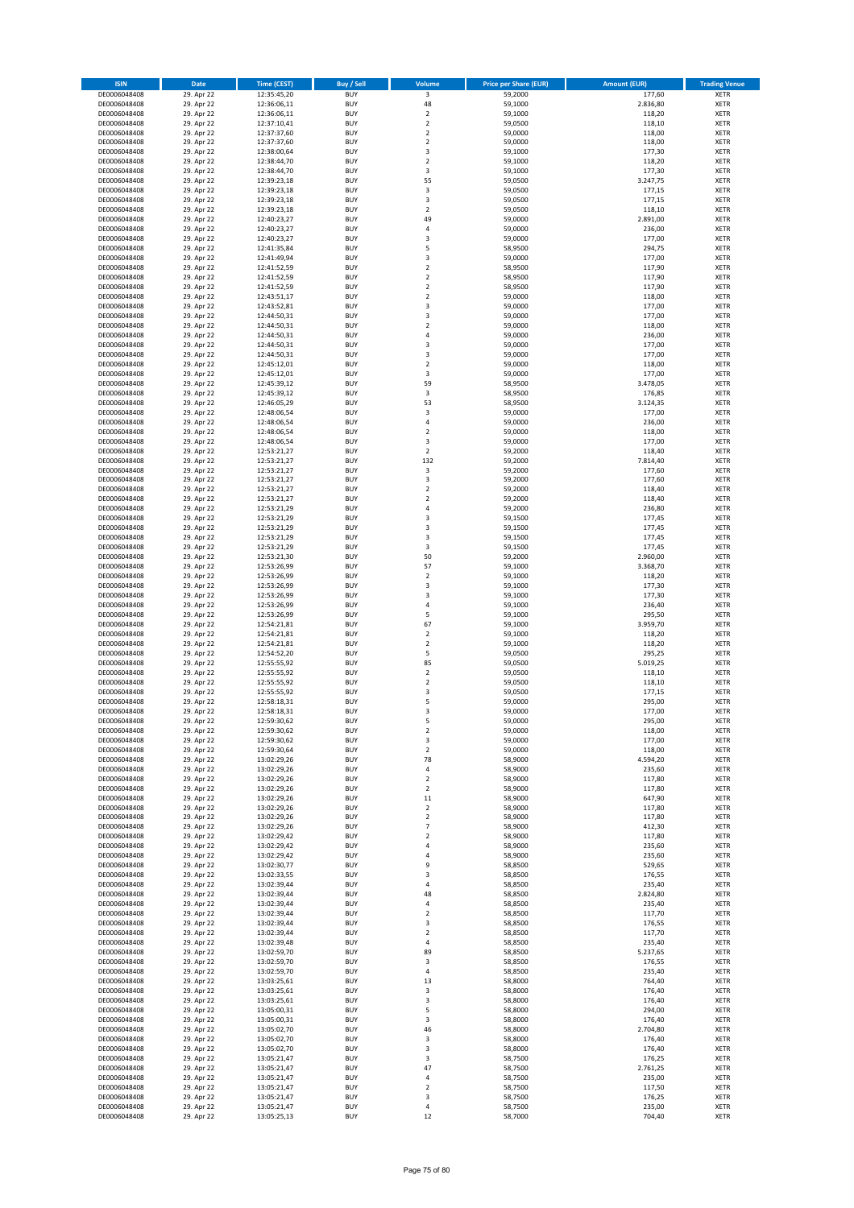| <b>ISIN</b>                  | Date                     | <b>Time (CEST)</b>         | <b>Buy / Sell</b>        | Volume                        | <b>Price per Share (EUR)</b> | <b>Amount (EUR)</b> | <b>Trading Venue</b>       |
|------------------------------|--------------------------|----------------------------|--------------------------|-------------------------------|------------------------------|---------------------|----------------------------|
| DE0006048408                 | 29. Apr 22               | 12:35:45,20                | <b>BUY</b>               | $\overline{\mathbf{3}}$       | 59,2000                      | 177,60              | <b>XETR</b>                |
| DE0006048408                 | 29. Apr 22               | 12:36:06,11                | <b>BUY</b>               | 48                            | 59,1000                      | 2.836,80            | <b>XETR</b>                |
| DE0006048408<br>DE0006048408 | 29. Apr 22<br>29. Apr 22 | 12:36:06,11<br>12:37:10,41 | <b>BUY</b><br><b>BUY</b> | $\mathbf 2$<br>$\mathbf 2$    | 59,1000<br>59,0500           | 118,20<br>118,10    | <b>XETR</b><br><b>XETR</b> |
| DE0006048408                 | 29. Apr 22               | 12:37:37,60                | <b>BUY</b>               | $\mathbf 2$                   | 59,0000                      | 118,00              | <b>XETR</b>                |
| DE0006048408                 | 29. Apr 22               | 12:37:37,60                | <b>BUY</b>               | $\overline{2}$                | 59,0000                      | 118,00              | <b>XETR</b>                |
| DE0006048408                 | 29. Apr 22               | 12:38:00,64                | <b>BUY</b>               | 3                             | 59,1000                      | 177,30              | <b>XETR</b>                |
| DE0006048408                 | 29. Apr 22               | 12:38:44,70                | <b>BUY</b>               | $\overline{2}$                | 59,1000                      | 118,20              | <b>XETR</b>                |
| DE0006048408                 | 29. Apr 22               | 12:38:44,70                | <b>BUY</b><br><b>BUY</b> | 3<br>55                       | 59,1000                      | 177,30              | XETR<br><b>XETR</b>        |
| DE0006048408<br>DE0006048408 | 29. Apr 22<br>29. Apr 22 | 12:39:23,18<br>12:39:23,18 | <b>BUY</b>               | $\overline{\mathbf{3}}$       | 59,0500<br>59,0500           | 3.247,75<br>177,15  | XETR                       |
| DE0006048408                 | 29. Apr 22               | 12:39:23,18                | <b>BUY</b>               | 3                             | 59,0500                      | 177,15              | <b>XETR</b>                |
| DE0006048408                 | 29. Apr 22               | 12:39:23,18                | <b>BUY</b>               | $\boldsymbol{2}$              | 59,0500                      | 118,10              | XETR                       |
| DE0006048408                 | 29. Apr 22               | 12:40:23,27                | <b>BUY</b>               | 49                            | 59,0000                      | 2.891,00            | <b>XETR</b>                |
| DE0006048408                 | 29. Apr 22               | 12:40:23,27                | <b>BUY</b>               | $\sqrt{4}$                    | 59,0000                      | 236,00              | XETR                       |
| DE0006048408<br>DE0006048408 | 29. Apr 22<br>29. Apr 22 | 12:40:23,27<br>12:41:35,84 | <b>BUY</b><br><b>BUY</b> | 3<br>5                        | 59,0000<br>58,9500           | 177,00<br>294,75    | <b>XETR</b><br>XETR        |
| DE0006048408                 | 29. Apr 22               | 12:41:49,94                | <b>BUY</b>               | 3                             | 59,0000                      | 177,00              | <b>XETR</b>                |
| DE0006048408                 | 29. Apr 22               | 12:41:52,59                | <b>BUY</b>               | $\overline{2}$                | 58,9500                      | 117,90              | XETR                       |
| DE0006048408                 | 29. Apr 22               | 12:41:52,59                | <b>BUY</b>               | $\overline{2}$                | 58,9500                      | 117,90              | <b>XETR</b>                |
| DE0006048408<br>DE0006048408 | 29. Apr 22<br>29. Apr 22 | 12:41:52,59<br>12:43:51,17 | <b>BUY</b><br><b>BUY</b> | $\overline{2}$<br>$\mathbf 2$ | 58,9500<br>59,0000           | 117,90<br>118,00    | <b>XETR</b><br><b>XETR</b> |
| DE0006048408                 | 29. Apr 22               | 12:43:52,81                | <b>BUY</b>               | 3                             | 59,0000                      | 177,00              | <b>XETR</b>                |
| DE0006048408                 | 29. Apr 22               | 12:44:50,31                | <b>BUY</b>               | 3                             | 59,0000                      | 177,00              | <b>XETR</b>                |
| DE0006048408                 | 29. Apr 22               | 12:44:50,31                | <b>BUY</b>               | $\overline{2}$                | 59,0000                      | 118,00              | <b>XETR</b>                |
| DE0006048408                 | 29. Apr 22               | 12:44:50,31                | <b>BUY</b>               | 4                             | 59,0000                      | 236,00              | <b>XETR</b>                |
| DE0006048408                 | 29. Apr 22               | 12:44:50,31                | <b>BUY</b>               | 3                             | 59,0000                      | 177,00              | <b>XETR</b>                |
| DE0006048408<br>DE0006048408 | 29. Apr 22<br>29. Apr 22 | 12:44:50,31<br>12:45:12,01 | <b>BUY</b><br><b>BUY</b> | 3<br>$\boldsymbol{2}$         | 59,0000<br>59,0000           | 177,00<br>118,00    | <b>XETR</b><br><b>XETR</b> |
| DE0006048408                 | 29. Apr 22               | 12:45:12,01                | <b>BUY</b>               | 3                             | 59,0000                      | 177,00              | <b>XETR</b>                |
| DE0006048408                 | 29. Apr 22               | 12:45:39,12                | <b>BUY</b>               | 59                            | 58,9500                      | 3.478,05            | <b>XETR</b>                |
| DE0006048408                 | 29. Apr 22               | 12:45:39,12                | <b>BUY</b>               | 3                             | 58,9500                      | 176,85              | <b>XETR</b>                |
| DE0006048408                 | 29. Apr 22               | 12:46:05,29                | <b>BUY</b><br><b>BUY</b> | 53<br>3                       | 58,9500                      | 3.124,35<br>177,00  | <b>XETR</b><br>XETR        |
| DE0006048408<br>DE0006048408 | 29. Apr 22<br>29. Apr 22 | 12:48:06,54<br>12:48:06,54 | <b>BUY</b>               | $\sqrt{4}$                    | 59,0000<br>59,0000           | 236,00              | <b>XETR</b>                |
| DE0006048408                 | 29. Apr 22               | 12:48:06,54                | <b>BUY</b>               | $\overline{2}$                | 59,0000                      | 118,00              | XETR                       |
| DE0006048408                 | 29. Apr 22               | 12:48:06,54                | <b>BUY</b>               | 3                             | 59,0000                      | 177,00              | <b>XETR</b>                |
| DE0006048408                 | 29. Apr 22               | 12:53:21,27                | <b>BUY</b>               | $\boldsymbol{2}$              | 59,2000                      | 118,40              | XETR                       |
| DE0006048408                 | 29. Apr 22               | 12:53:21,27                | <b>BUY</b>               | 132                           | 59,2000                      | 7.814,40            | <b>XETR</b>                |
| DE0006048408<br>DE0006048408 | 29. Apr 22<br>29. Apr 22 | 12:53:21,27<br>12:53:21,27 | <b>BUY</b><br><b>BUY</b> | $\mathsf 3$<br>3              | 59,2000<br>59,2000           | 177,60<br>177,60    | <b>XETR</b><br><b>XETR</b> |
| DE0006048408                 | 29. Apr 22               | 12:53:21,27                | <b>BUY</b>               | $\overline{2}$                | 59,2000                      | 118,40              | XETR                       |
| DE0006048408                 | 29. Apr 22               | 12:53:21,27                | <b>BUY</b>               | $\overline{2}$                | 59,2000                      | 118,40              | <b>XETR</b>                |
| DE0006048408                 | 29. Apr 22               | 12:53:21,29                | <b>BUY</b>               | $\sqrt{4}$                    | 59,2000                      | 236,80              | <b>XETR</b>                |
| DE0006048408                 | 29. Apr 22               | 12:53:21,29                | <b>BUY</b>               | 3                             | 59,1500                      | 177,45              | <b>XETR</b>                |
| DE0006048408<br>DE0006048408 | 29. Apr 22<br>29. Apr 22 | 12:53:21,29<br>12:53:21,29 | <b>BUY</b><br><b>BUY</b> | 3<br>3                        | 59,1500<br>59,1500           | 177,45<br>177,45    | XETR<br><b>XETR</b>        |
| DE0006048408                 | 29. Apr 22               | 12:53:21,29                | <b>BUY</b>               | 3                             | 59,1500                      | 177,45              | <b>XETR</b>                |
| DE0006048408                 | 29. Apr 22               | 12:53:21,30                | <b>BUY</b>               | 50                            | 59,2000                      | 2.960,00            | <b>XETR</b>                |
| DE0006048408                 | 29. Apr 22               | 12:53:26,99                | <b>BUY</b>               | 57                            | 59,1000                      | 3.368,70            | <b>XETR</b>                |
| DE0006048408                 | 29. Apr 22               | 12:53:26,99                | <b>BUY</b>               | $\sqrt{2}$                    | 59,1000                      | 118,20              | <b>XETR</b>                |
| DE0006048408<br>DE0006048408 | 29. Apr 22<br>29. Apr 22 | 12:53:26,99<br>12:53:26,99 | <b>BUY</b><br><b>BUY</b> | 3<br>3                        | 59,1000<br>59,1000           | 177,30<br>177,30    | <b>XETR</b><br><b>XETR</b> |
| DE0006048408                 | 29. Apr 22               | 12:53:26,99                | <b>BUY</b>               | $\sqrt{4}$                    | 59,1000                      | 236,40              | <b>XETR</b>                |
| DE0006048408                 | 29. Apr 22               | 12:53:26,99                | <b>BUY</b>               | 5                             | 59,1000                      | 295,50              | <b>XETR</b>                |
| DE0006048408                 | 29. Apr 22               | 12:54:21,81                | <b>BUY</b>               | 67                            | 59,1000                      | 3.959,70            | <b>XETR</b>                |
| DE0006048408                 | 29. Apr 22               | 12:54:21,81                | <b>BUY</b>               | $\mathbf 2$                   | 59,1000                      | 118,20              | <b>XETR</b>                |
| DE0006048408<br>DE0006048408 | 29. Apr 22<br>29. Apr 22 | 12:54:21,81<br>12:54:52,20 | <b>BUY</b><br><b>BUY</b> | $\overline{2}$<br>5           | 59,1000<br>59,0500           | 118,20<br>295,25    | <b>XETR</b><br><b>XETR</b> |
| DE0006048408                 | 29. Apr 22               | 12:55:55,92                | <b>BUY</b>               | 85                            | 59,0500                      | 5.019,25            | <b>XETR</b>                |
| DE0006048408                 | 29. Apr 22               | 12:55:55,92                | <b>BUY</b>               | $\mathbf 2$                   | 59,0500                      | 118,10              | XETR                       |
| DE0006048408                 | 29. Apr 22               | 12:55:55,92                | <b>BUY</b>               | $\overline{2}$                | 59,0500                      | 118,10              | <b>XETR</b>                |
| DE0006048408<br>DE0006048408 | 29. Apr 22<br>29. Apr 22 | 12:55:55,92                | <b>BUY</b><br><b>BUY</b> | 3<br>5                        | 59,0500<br>59,0000           | 177,15<br>295,00    | XETR<br><b>XETR</b>        |
| DE0006048408                 | 29. Apr 22               | 12:58:18,31<br>12:58:18,31 | <b>BUY</b>               | 3                             | 59,0000                      | 177,00              | <b>XETR</b>                |
| DE0006048408                 | 29. Apr 22               | 12:59:30,62                | <b>BUY</b>               | 5                             | 59,0000                      | 295,00              | XETR                       |
| DE0006048408                 | 29. Apr 22               | 12:59:30,62                | <b>BUY</b>               | $\mathbf 2$                   | 59,0000                      | 118,00              | XETR                       |
| DE0006048408                 | 29. Apr 22               | 12:59:30,62                | <b>BUY</b>               | 3                             | 59,0000                      | 177,00              | XETR                       |
| DE0006048408<br>DE0006048408 | 29. Apr 22<br>29. Apr 22 | 12:59:30,64<br>13:02:29,26 | <b>BUY</b><br><b>BUY</b> | $\overline{2}$<br>78          | 59,0000<br>58,9000           | 118,00<br>4.594,20  | <b>XETR</b><br><b>XETR</b> |
| DE0006048408                 | 29. Apr 22               | 13:02:29,26                | <b>BUY</b>               | 4                             | 58,9000                      | 235,60              | XETR                       |
| DE0006048408                 | 29. Apr 22               | 13:02:29,26                | <b>BUY</b>               | $\boldsymbol{2}$              | 58,9000                      | 117,80              | <b>XETR</b>                |
| DE0006048408                 | 29. Apr 22               | 13:02:29,26                | <b>BUY</b>               | $\boldsymbol{2}$              | 58,9000                      | 117,80              | <b>XETR</b>                |
| DE0006048408<br>DE0006048408 | 29. Apr 22<br>29. Apr 22 | 13:02:29,26                | <b>BUY</b><br><b>BUY</b> | $11\,$<br>$\boldsymbol{2}$    | 58,9000<br>58,9000           | 647,90              | <b>XETR</b><br>XETR        |
| DE0006048408                 | 29. Apr 22               | 13:02:29,26<br>13:02:29,26 | <b>BUY</b>               | $\boldsymbol{2}$              | 58,9000                      | 117,80<br>117,80    | <b>XETR</b>                |
| DE0006048408                 | 29. Apr 22               | 13:02:29,26                | <b>BUY</b>               | $\overline{7}$                | 58,9000                      | 412,30              | <b>XETR</b>                |
| DE0006048408                 | 29. Apr 22               | 13:02:29,42                | <b>BUY</b>               | $\boldsymbol{2}$              | 58,9000                      | 117,80              | <b>XETR</b>                |
| DE0006048408                 | 29. Apr 22               | 13:02:29,42                | <b>BUY</b>               | 4                             | 58,9000                      | 235,60              | XETR                       |
| DE0006048408<br>DE0006048408 | 29. Apr 22<br>29. Apr 22 | 13:02:29,42<br>13:02:30,77 | <b>BUY</b><br><b>BUY</b> | 4<br>9                        | 58,9000<br>58,8500           | 235,60<br>529,65    | <b>XETR</b><br><b>XETR</b> |
| DE0006048408                 | 29. Apr 22               | 13:02:33,55                | <b>BUY</b>               | 3                             | 58,8500                      | 176,55              | <b>XETR</b>                |
| DE0006048408                 | 29. Apr 22               | 13:02:39,44                | <b>BUY</b>               | 4                             | 58,8500                      | 235,40              | <b>XETR</b>                |
| DE0006048408                 | 29. Apr 22               | 13:02:39,44                | <b>BUY</b>               | 48                            | 58,8500                      | 2.824,80            | <b>XETR</b>                |
| DE0006048408                 | 29. Apr 22               | 13:02:39,44                | <b>BUY</b>               | 4                             | 58,8500                      | 235,40              | <b>XETR</b>                |
| DE0006048408<br>DE0006048408 | 29. Apr 22               | 13:02:39,44                | <b>BUY</b><br><b>BUY</b> | $\mathbf 2$<br>3              | 58,8500<br>58,8500           | 117,70<br>176,55    | <b>XETR</b><br><b>XETR</b> |
| DE0006048408                 | 29. Apr 22<br>29. Apr 22 | 13:02:39,44<br>13:02:39,44 | <b>BUY</b>               | $\overline{2}$                | 58,8500                      | 117,70              | XETR                       |
| DE0006048408                 | 29. Apr 22               | 13:02:39,48                | <b>BUY</b>               | 4                             | 58,8500                      | 235,40              | XETR                       |
| DE0006048408                 | 29. Apr 22               | 13:02:59,70                | <b>BUY</b>               | 89                            | 58,8500                      | 5.237,65            | <b>XETR</b>                |
| DE0006048408                 | 29. Apr 22               | 13:02:59,70                | <b>BUY</b>               | 3                             | 58,8500                      | 176,55              | <b>XETR</b>                |
| DE0006048408                 | 29. Apr 22<br>29. Apr 22 | 13:02:59,70                | <b>BUY</b><br><b>BUY</b> | 4<br>13                       | 58,8500<br>58,8000           | 235,40<br>764,40    | XETR<br>XETR               |
| DE0006048408<br>DE0006048408 | 29. Apr 22               | 13:03:25,61<br>13:03:25,61 | <b>BUY</b>               | 3                             | 58,8000                      | 176,40              | <b>XETR</b>                |
| DE0006048408                 | 29. Apr 22               | 13:03:25,61                | <b>BUY</b>               | 3                             | 58,8000                      | 176,40              | <b>XETR</b>                |
| DE0006048408                 | 29. Apr 22               | 13:05:00,31                | <b>BUY</b>               | 5                             | 58,8000                      | 294,00              | XETR                       |
| DE0006048408                 | 29. Apr 22               | 13:05:00,31                | <b>BUY</b>               | 3                             | 58,8000                      | 176,40              | XETR                       |
| DE0006048408                 | 29. Apr 22               | 13:05:02,70                | <b>BUY</b>               | 46                            | 58,8000                      | 2.704,80            | <b>XETR</b>                |
| DE0006048408<br>DE0006048408 | 29. Apr 22<br>29. Apr 22 | 13:05:02,70<br>13:05:02,70 | <b>BUY</b><br><b>BUY</b> | 3<br>3                        | 58,8000<br>58,8000           | 176,40<br>176,40    | <b>XETR</b><br><b>XETR</b> |
| DE0006048408                 | 29. Apr 22               | 13:05:21,47                | <b>BUY</b>               | 3                             | 58,7500                      | 176,25              | <b>XETR</b>                |
| DE0006048408                 | 29. Apr 22               | 13:05:21,47                | <b>BUY</b>               | 47                            | 58,7500                      | 2.761,25            | <b>XETR</b>                |
| DE0006048408                 | 29. Apr 22               | 13:05:21,47                | <b>BUY</b>               | 4                             | 58,7500                      | 235,00              | <b>XETR</b>                |
| DE0006048408                 | 29. Apr 22               | 13:05:21,47                | <b>BUY</b>               | $\mathbf 2$                   | 58,7500<br>58,7500           | 117,50<br>176,25    | <b>XETR</b>                |
| DE0006048408<br>DE0006048408 | 29. Apr 22<br>29. Apr 22 | 13:05:21,47<br>13:05:21,47 | <b>BUY</b><br><b>BUY</b> | 3<br>$\pmb{4}$                | 58,7500                      | 235,00              | <b>XETR</b><br><b>XETR</b> |
| DE0006048408                 | 29. Apr 22               | 13:05:25,13                | <b>BUY</b>               | 12                            | 58,7000                      | 704,40              | <b>XETR</b>                |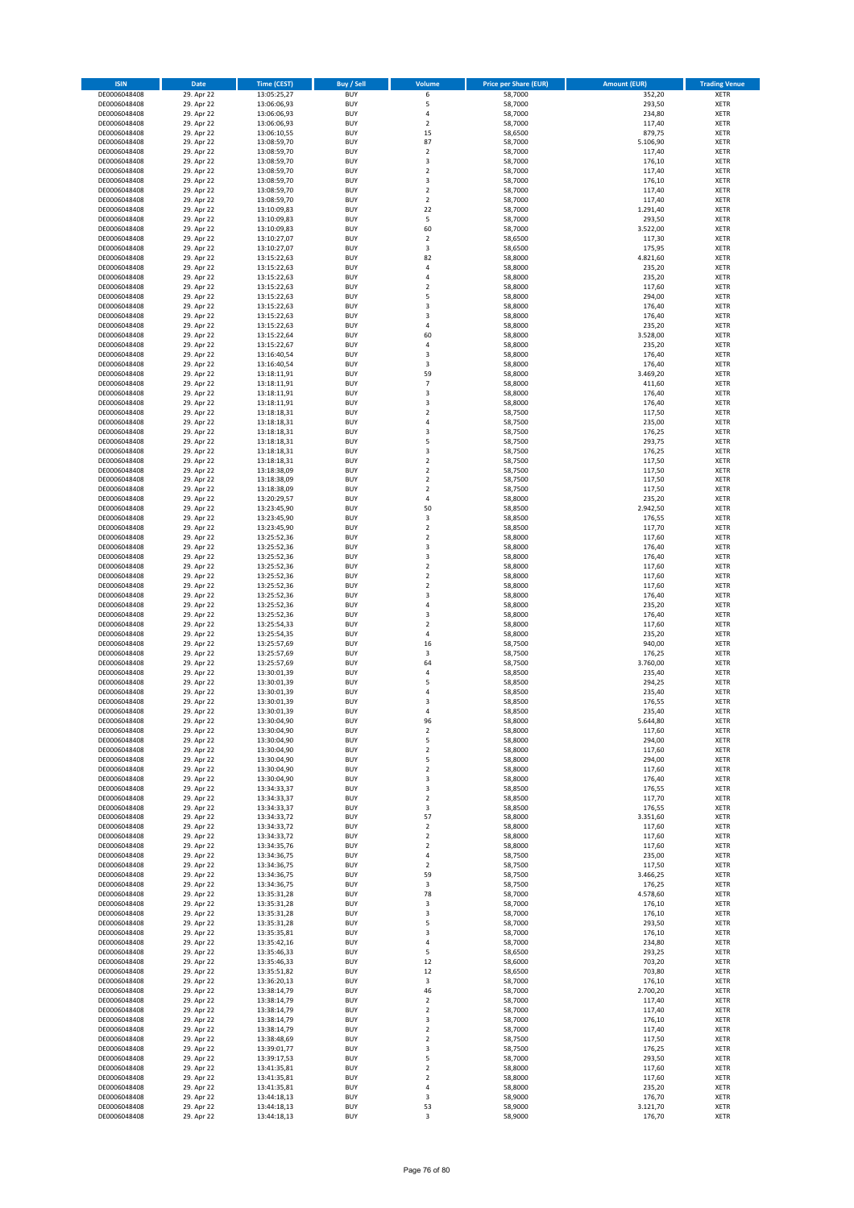| <b>ISIN</b>                  | Date                     | <b>Time (CEST)</b>         | <b>Buy / Sell</b>        | Volume                               | <b>Price per Share (EUR)</b> | <b>Amount (EUR)</b> | <b>Trading Venue</b>       |
|------------------------------|--------------------------|----------------------------|--------------------------|--------------------------------------|------------------------------|---------------------|----------------------------|
| DE0006048408                 | 29. Apr 22               | 13:05:25,27                | <b>BUY</b>               | 6                                    | 58,7000                      | 352,20              | <b>XETR</b>                |
| DE0006048408                 | 29. Apr 22               | 13:06:06,93                | <b>BUY</b>               | 5                                    | 58,7000                      | 293,50              | <b>XETR</b>                |
| DE0006048408<br>DE0006048408 | 29. Apr 22<br>29. Apr 22 | 13:06:06,93<br>13:06:06,93 | <b>BUY</b><br><b>BUY</b> | $\sqrt{4}$<br>$\overline{2}$         | 58,7000<br>58,7000           | 234,80<br>117,40    | <b>XETR</b><br><b>XETR</b> |
| DE0006048408                 | 29. Apr 22               | 13:06:10,55                | <b>BUY</b>               | 15                                   | 58,6500                      | 879,75              | <b>XETR</b>                |
| DE0006048408                 | 29. Apr 22               | 13:08:59,70                | <b>BUY</b>               | 87                                   | 58,7000                      | 5.106,90            | <b>XETR</b>                |
| DE0006048408                 | 29. Apr 22               | 13:08:59,70                | <b>BUY</b>               | $\overline{2}$                       | 58,7000                      | 117,40              | <b>XETR</b>                |
| DE0006048408                 | 29. Apr 22               | 13:08:59,70                | <b>BUY</b>               | 3                                    | 58,7000                      | 176,10              | <b>XETR</b>                |
| DE0006048408<br>DE0006048408 | 29. Apr 22<br>29. Apr 22 | 13:08:59,70                | <b>BUY</b><br><b>BUY</b> | $\mathbf 2$<br>3                     | 58,7000<br>58,7000           | 117,40<br>176,10    | XETR<br><b>XETR</b>        |
| DE0006048408                 | 29. Apr 22               | 13:08:59,70<br>13:08:59,70 | <b>BUY</b>               | $\overline{2}$                       | 58,7000                      | 117,40              | XETR                       |
| DE0006048408                 | 29. Apr 22               | 13:08:59,70                | <b>BUY</b>               | $\overline{2}$                       | 58,7000                      | 117,40              | <b>XETR</b>                |
| DE0006048408                 | 29. Apr 22               | 13:10:09,83                | <b>BUY</b>               | 22                                   | 58,7000                      | 1.291,40            | XETR                       |
| DE0006048408                 | 29. Apr 22               | 13:10:09,83                | <b>BUY</b>               | 5                                    | 58,7000                      | 293,50              | <b>XETR</b>                |
| DE0006048408                 | 29. Apr 22               | 13:10:09,83                | <b>BUY</b>               | 60                                   | 58,7000                      | 3.522,00            | XETR                       |
| DE0006048408<br>DE0006048408 | 29. Apr 22<br>29. Apr 22 | 13:10:27,07<br>13:10:27,07 | <b>BUY</b><br><b>BUY</b> | $\overline{2}$<br>3                  | 58,6500<br>58,6500           | 117,30<br>175,95    | <b>XETR</b><br>XETR        |
| DE0006048408                 | 29. Apr 22               | 13:15:22,63                | <b>BUY</b>               | 82                                   | 58,8000                      | 4.821,60            | <b>XETR</b>                |
| DE0006048408                 | 29. Apr 22               | 13:15:22,63                | <b>BUY</b>               | $\sqrt{4}$                           | 58,8000                      | 235,20              | XETR                       |
| DE0006048408                 | 29. Apr 22               | 13:15:22,63                | <b>BUY</b>               | $\sqrt{4}$                           | 58,8000                      | 235,20              | <b>XETR</b>                |
| DE0006048408                 | 29. Apr 22               | 13:15:22,63                | <b>BUY</b>               | $\overline{2}$                       | 58,8000                      | 117,60              | <b>XETR</b>                |
| DE0006048408<br>DE0006048408 | 29. Apr 22<br>29. Apr 22 | 13:15:22,63<br>13:15:22,63 | <b>BUY</b><br><b>BUY</b> | 5<br>3                               | 58,8000<br>58,8000           | 294,00<br>176,40    | <b>XETR</b><br><b>XETR</b> |
| DE0006048408                 | 29. Apr 22               | 13:15:22,63                | <b>BUY</b>               | 3                                    | 58,8000                      | 176,40              | <b>XETR</b>                |
| DE0006048408                 | 29. Apr 22               | 13:15:22,63                | <b>BUY</b>               | $\sqrt{4}$                           | 58,8000                      | 235,20              | <b>XETR</b>                |
| DE0006048408                 | 29. Apr 22               | 13:15:22,64                | <b>BUY</b>               | 60                                   | 58,8000                      | 3.528,00            | <b>XETR</b>                |
| DE0006048408                 | 29. Apr 22               | 13:15:22,67                | <b>BUY</b>               | $\overline{4}$                       | 58,8000                      | 235,20              | <b>XETR</b>                |
| DE0006048408<br>DE0006048408 | 29. Apr 22<br>29. Apr 22 | 13:16:40,54<br>13:16:40,54 | <b>BUY</b><br><b>BUY</b> | 3<br>3                               | 58,8000<br>58,8000           | 176,40<br>176,40    | <b>XETR</b><br><b>XETR</b> |
| DE0006048408                 | 29. Apr 22               | 13:18:11,91                | <b>BUY</b>               | 59                                   | 58,8000                      | 3.469,20            | <b>XETR</b>                |
| DE0006048408                 | 29. Apr 22               | 13:18:11,91                | <b>BUY</b>               | $\overline{7}$                       | 58,8000                      | 411,60              | <b>XETR</b>                |
| DE0006048408                 | 29. Apr 22               | 13:18:11,91                | <b>BUY</b>               | $\overline{\mathbf{3}}$              | 58,8000                      | 176,40              | <b>XETR</b>                |
| DE0006048408                 | 29. Apr 22               | 13:18:11,91                | <b>BUY</b>               | 3                                    | 58,8000                      | 176,40              | <b>XETR</b>                |
| DE0006048408<br>DE0006048408 | 29. Apr 22<br>29. Apr 22 | 13:18:18,31<br>13:18:18,31 | <b>BUY</b><br><b>BUY</b> | $\sqrt{2}$<br>$\sqrt{4}$             | 58,7500<br>58,7500           | 117,50<br>235,00    | XETR<br><b>XETR</b>        |
| DE0006048408                 | 29. Apr 22               | 13:18:18,31                | <b>BUY</b>               | 3                                    | 58,7500                      | 176,25              | XETR                       |
| DE0006048408                 | 29. Apr 22               | 13:18:18,31                | <b>BUY</b>               | 5                                    | 58,7500                      | 293,75              | <b>XETR</b>                |
| DE0006048408                 | 29. Apr 22               | 13:18:18,31                | <b>BUY</b>               | 3                                    | 58,7500                      | 176,25              | XETR                       |
| DE0006048408                 | 29. Apr 22               | 13:18:18,31                | <b>BUY</b>               | $\overline{2}$                       | 58,7500                      | 117,50              | <b>XETR</b>                |
| DE0006048408                 | 29. Apr 22               | 13:18:38,09                | <b>BUY</b>               | $\overline{2}$                       | 58,7500                      | 117,50              | <b>XETR</b>                |
| DE0006048408<br>DE0006048408 | 29. Apr 22<br>29. Apr 22 | 13:18:38,09<br>13:18:38,09 | <b>BUY</b><br><b>BUY</b> | $\overline{2}$<br>$\overline{2}$     | 58,7500<br>58,7500           | 117,50<br>117,50    | <b>XETR</b><br>XETR        |
| DE0006048408                 | 29. Apr 22               | 13:20:29,57                | <b>BUY</b>               | $\sqrt{4}$                           | 58,8000                      | 235,20              | <b>XETR</b>                |
| DE0006048408                 | 29. Apr 22               | 13:23:45,90                | <b>BUY</b>               | 50                                   | 58,8500                      | 2.942,50            | <b>XETR</b>                |
| DE0006048408                 | 29. Apr 22               | 13:23:45,90                | <b>BUY</b>               | 3                                    | 58,8500                      | 176,55              | <b>XETR</b>                |
| DE0006048408                 | 29. Apr 22               | 13:23:45,90                | <b>BUY</b>               | $\mathbf 2$                          | 58,8500                      | 117,70              | XETR                       |
| DE0006048408                 | 29. Apr 22               | 13:25:52,36                | <b>BUY</b>               | $\mathbf 2$                          | 58,8000                      | 117,60              | <b>XETR</b>                |
| DE0006048408<br>DE0006048408 | 29. Apr 22<br>29. Apr 22 | 13:25:52,36<br>13:25:52,36 | <b>BUY</b><br><b>BUY</b> | 3<br>3                               | 58,8000<br>58,8000           | 176,40<br>176,40    | <b>XETR</b><br><b>XETR</b> |
| DE0006048408                 | 29. Apr 22               | 13:25:52,36                | <b>BUY</b>               | $\mathbf 2$                          | 58,8000                      | 117,60              | <b>XETR</b>                |
| DE0006048408                 | 29. Apr 22               | 13:25:52,36                | <b>BUY</b>               | $\mathbf 2$                          | 58,8000                      | 117,60              | <b>XETR</b>                |
| DE0006048408                 | 29. Apr 22               | 13:25:52,36                | <b>BUY</b>               | $\overline{2}$                       | 58,8000                      | 117,60              | <b>XETR</b>                |
| DE0006048408                 | 29. Apr 22               | 13:25:52,36                | <b>BUY</b>               | 3                                    | 58,8000                      | 176,40              | <b>XETR</b>                |
| DE0006048408<br>DE0006048408 | 29. Apr 22<br>29. Apr 22 | 13:25:52,36<br>13:25:52,36 | <b>BUY</b><br><b>BUY</b> | $\sqrt{4}$<br>3                      | 58,8000<br>58,8000           | 235,20<br>176,40    | <b>XETR</b><br><b>XETR</b> |
| DE0006048408                 | 29. Apr 22               | 13:25:54,33                | <b>BUY</b>               | $\overline{2}$                       | 58,8000                      | 117,60              | <b>XETR</b>                |
| DE0006048408                 | 29. Apr 22               | 13:25:54,35                | <b>BUY</b>               | $\sqrt{4}$                           | 58,8000                      | 235,20              | <b>XETR</b>                |
| DE0006048408                 | 29. Apr 22               | 13:25:57,69                | <b>BUY</b>               | 16                                   | 58,7500                      | 940,00              | <b>XETR</b>                |
| DE0006048408                 | 29. Apr 22               | 13:25:57,69                | <b>BUY</b>               | 3                                    | 58,7500                      | 176,25              | <b>XETR</b>                |
| DE0006048408<br>DE0006048408 | 29. Apr 22               | 13:25:57,69                | <b>BUY</b>               | 64<br>$\sqrt{4}$                     | 58,7500                      | 3.760,00            | <b>XETR</b>                |
| DE0006048408                 | 29. Apr 22<br>29. Apr 22 | 13:30:01,39<br>13:30:01,39 | <b>BUY</b><br><b>BUY</b> | 5                                    | 58,8500<br>58,8500           | 235,40<br>294,25    | XETR<br><b>XETR</b>        |
| DE0006048408                 | 29. Apr 22               | 13:30:01,39                | <b>BUY</b>               | 4                                    | 58,8500                      | 235,40              | <b>XETR</b>                |
| DE0006048408                 | 29. Apr 22               | 13:30:01,39                | <b>BUY</b>               | 3                                    | 58,8500                      | 176,55              | <b>XETR</b>                |
| DE0006048408                 | 29. Apr 22               | 13:30:01,39                | <b>BUY</b>               | $\overline{4}$                       | 58,8500                      | 235,40              | <b>XETR</b>                |
| DE0006048408                 | 29. Apr 22               | 13:30:04,90                | <b>BUY</b>               | 96                                   | 58,8000                      | 5.644,80            | XETR                       |
| DE0006048408<br>DE0006048408 | 29. Apr 22<br>29. Apr 22 | 13:30:04,90<br>13:30:04,90 | <b>BUY</b><br><b>BUY</b> | $\mathbf 2$<br>5                     | 58,8000<br>58,8000           | 117,60<br>294,00    | XETR<br>XETR               |
| DE0006048408                 | 29. Apr 22               | 13:30:04,90                | <b>BUY</b>               | $\boldsymbol{2}$                     | 58,8000                      | 117,60              | <b>XETR</b>                |
| DE0006048408                 | 29. Apr 22               | 13:30:04,90                | <b>BUY</b>               | 5                                    | 58,8000                      | 294,00              | <b>XETR</b>                |
| DE0006048408                 | 29. Apr 22               | 13:30:04,90                | <b>BUY</b>               | $\boldsymbol{2}$                     | 58,8000                      | 117,60              | XETR                       |
| DE0006048408                 | 29. Apr 22               | 13:30:04,90                | <b>BUY</b>               | 3                                    | 58,8000                      | 176,40              | <b>XETR</b>                |
| DE0006048408<br>DE0006048408 | 29. Apr 22<br>29. Apr 22 | 13:34:33,37<br>13:34:33,37 | <b>BUY</b><br><b>BUY</b> | 3<br>$\boldsymbol{2}$                | 58,8500<br>58,8500           | 176,55<br>117,70    | XETR<br><b>XETR</b>        |
| DE0006048408                 | 29. Apr 22               | 13:34:33,37                | <b>BUY</b>               | 3                                    | 58,8500                      | 176,55              | XETR                       |
| DE0006048408                 | 29. Apr 22               | 13:34:33,72                | <b>BUY</b>               | 57                                   | 58,8000                      | 3.351,60            | <b>XETR</b>                |
| DE0006048408                 | 29. Apr 22               | 13:34:33,72                | <b>BUY</b>               | $\sqrt{2}$                           | 58,8000                      | 117,60              | <b>XETR</b>                |
| DE0006048408                 | 29. Apr 22               | 13:34:33,72                | <b>BUY</b>               | $\overline{2}$                       | 58,8000                      | 117,60              | <b>XETR</b>                |
| DE0006048408<br>DE0006048408 | 29. Apr 22<br>29. Apr 22 | 13:34:35,76<br>13:34:36,75 | <b>BUY</b><br><b>BUY</b> | $\boldsymbol{2}$<br>4                | 58,8000<br>58,7500           | 117,60<br>235,00    | XETR<br><b>XETR</b>        |
| DE0006048408                 | 29. Apr 22               | 13:34:36,75                | <b>BUY</b>               | $\sqrt{2}$                           | 58,7500                      | 117,50              | <b>XETR</b>                |
| DE0006048408                 | 29. Apr 22               | 13:34:36,75                | <b>BUY</b>               | 59                                   | 58,7500                      | 3.466,25            | <b>XETR</b>                |
| DE0006048408                 | 29. Apr 22               | 13:34:36,75                | <b>BUY</b>               | 3                                    | 58,7500                      | 176,25              | <b>XETR</b>                |
| DE0006048408                 | 29. Apr 22               | 13:35:31,28                | <b>BUY</b>               | 78                                   | 58,7000                      | 4.578,60            | <b>XETR</b>                |
| DE0006048408<br>DE0006048408 | 29. Apr 22<br>29. Apr 22 | 13:35:31,28<br>13:35:31,28 | <b>BUY</b><br><b>BUY</b> | 3<br>3                               | 58,7000<br>58,7000           | 176,10<br>176,10    | <b>XETR</b><br><b>XETR</b> |
| DE0006048408                 | 29. Apr 22               | 13:35:31,28                | <b>BUY</b>               | 5                                    | 58,7000                      | 293,50              | <b>XETR</b>                |
| DE0006048408                 | 29. Apr 22               | 13:35:35,81                | <b>BUY</b>               | 3                                    | 58,7000                      | 176,10              | XETR                       |
| DE0006048408                 | 29. Apr 22               | 13:35:42,16                | <b>BUY</b>               | 4                                    | 58,7000                      | 234,80              | XETR                       |
| DE0006048408                 | 29. Apr 22               | 13:35:46,33                | <b>BUY</b>               | 5                                    | 58,6500                      | 293,25              | <b>XETR</b>                |
| DE0006048408<br>DE0006048408 | 29. Apr 22<br>29. Apr 22 | 13:35:46,33<br>13:35:51,82 | <b>BUY</b><br><b>BUY</b> | 12<br>12                             | 58,6000<br>58,6500           | 703,20<br>703,80    | <b>XETR</b><br>XETR        |
| DE0006048408                 | 29. Apr 22               | 13:36:20,13                | <b>BUY</b>               | 3                                    | 58,7000                      | 176,10              | XETR                       |
| DE0006048408                 | 29. Apr 22               | 13:38:14,79                | <b>BUY</b>               | 46                                   | 58,7000                      | 2.700,20            | XETR                       |
| DE0006048408                 | 29. Apr 22               | 13:38:14,79                | <b>BUY</b>               | $\boldsymbol{2}$                     | 58,7000                      | 117,40              | <b>XETR</b>                |
| DE0006048408                 | 29. Apr 22               | 13:38:14,79                | <b>BUY</b>               | $\overline{\mathbf{c}}$              | 58,7000                      | 117,40              | XETR                       |
| DE0006048408                 | 29. Apr 22               | 13:38:14,79                | <b>BUY</b>               | 3                                    | 58,7000                      | 176,10              | XETR                       |
| DE0006048408<br>DE0006048408 | 29. Apr 22<br>29. Apr 22 | 13:38:14,79<br>13:38:48,69 | <b>BUY</b><br><b>BUY</b> | $\boldsymbol{2}$<br>$\boldsymbol{2}$ | 58,7000<br>58,7500           | 117,40<br>117,50    | <b>XETR</b><br><b>XETR</b> |
| DE0006048408                 | 29. Apr 22               | 13:39:01,77                | <b>BUY</b>               | 3                                    | 58,7500                      | 176,25              | <b>XETR</b>                |
| DE0006048408                 | 29. Apr 22               | 13:39:17,53                | <b>BUY</b>               | 5                                    | 58,7000                      | 293,50              | <b>XETR</b>                |
| DE0006048408                 | 29. Apr 22               | 13:41:35,81                | <b>BUY</b>               | $\boldsymbol{2}$                     | 58,8000                      | 117,60              | <b>XETR</b>                |
| DE0006048408                 | 29. Apr 22               | 13:41:35,81                | <b>BUY</b>               | $\overline{2}$                       | 58,8000                      | 117,60              | <b>XETR</b>                |
| DE0006048408                 | 29. Apr 22               | 13:41:35,81                | <b>BUY</b>               | $\pmb{4}$                            | 58,8000                      | 235,20              | <b>XETR</b>                |
| DE0006048408<br>DE0006048408 | 29. Apr 22<br>29. Apr 22 | 13:44:18,13<br>13:44:18,13 | <b>BUY</b><br><b>BUY</b> | 3<br>53                              | 58,9000<br>58,9000           | 176,70<br>3.121,70  | <b>XETR</b><br><b>XETR</b> |
| DE0006048408                 | 29. Apr 22               | 13:44:18,13                | <b>BUY</b>               | 3                                    | 58,9000                      | 176,70              | <b>XETR</b>                |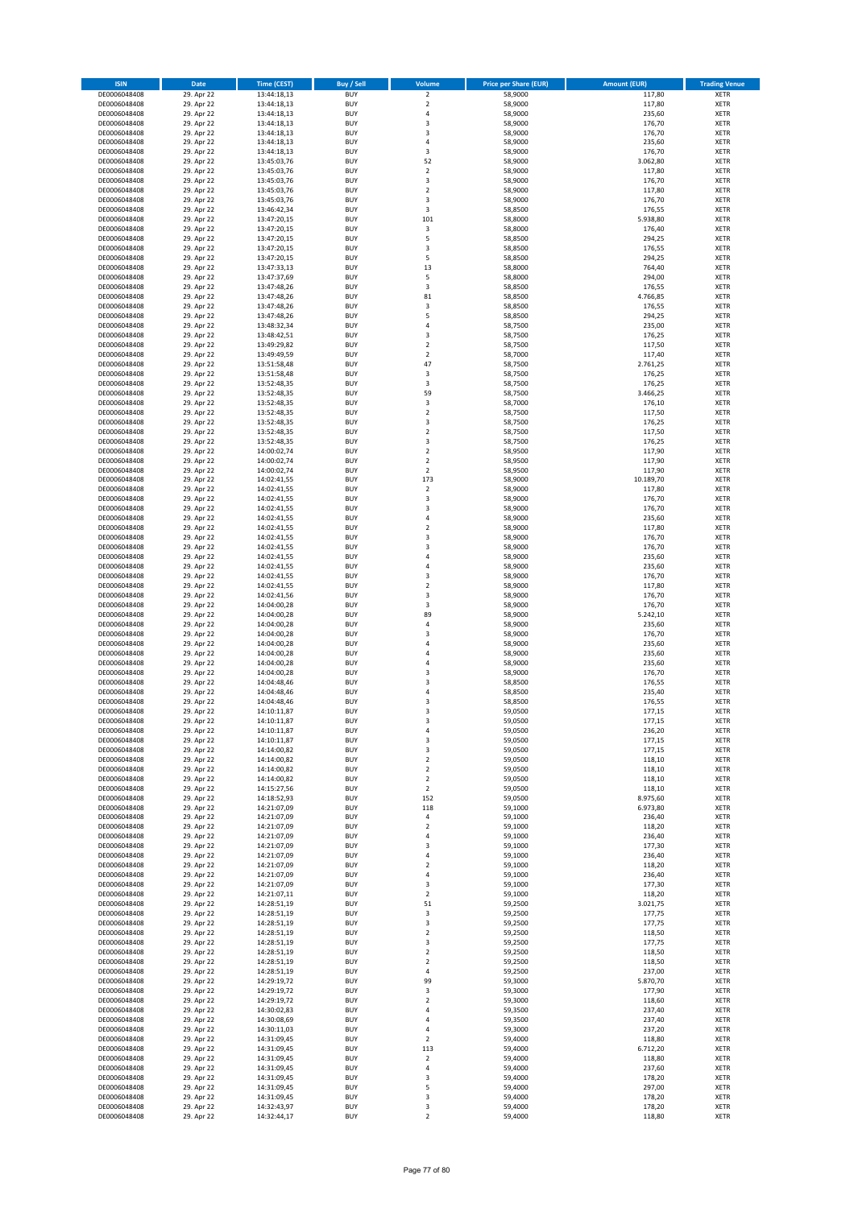| <b>ISIN</b>                  | Date                     | <b>Time (CEST)</b>         | <b>Buy / Sell</b>        | Volume                             | <b>Price per Share (EUR)</b> | <b>Amount (EUR)</b> | <b>Trading Venue</b>       |
|------------------------------|--------------------------|----------------------------|--------------------------|------------------------------------|------------------------------|---------------------|----------------------------|
| DE0006048408                 | 29. Apr 22               | 13:44:18,13                | <b>BUY</b>               | $\overline{2}$                     | 58,9000                      | 117,80              | <b>XETR</b>                |
| DE0006048408                 | 29. Apr 22               | 13:44:18,13                | <b>BUY</b>               | $\mathbf 2$                        | 58,9000                      | 117,80              | <b>XETR</b>                |
| DE0006048408<br>DE0006048408 | 29. Apr 22<br>29. Apr 22 | 13:44:18,13<br>13:44:18,13 | <b>BUY</b><br><b>BUY</b> | $\sqrt{4}$<br>3                    | 58,9000<br>58,9000           | 235,60<br>176,70    | <b>XETR</b><br><b>XETR</b> |
| DE0006048408                 | 29. Apr 22               | 13:44:18,13                | <b>BUY</b>               | 3                                  | 58,9000                      | 176,70              | <b>XETR</b>                |
| DE0006048408                 | 29. Apr 22               | 13:44:18,13                | <b>BUY</b>               | $\overline{4}$                     | 58,9000                      | 235,60              | <b>XETR</b>                |
| DE0006048408                 | 29. Apr 22               | 13:44:18,13                | <b>BUY</b>               | 3                                  | 58,9000                      | 176,70              | <b>XETR</b>                |
| DE0006048408                 | 29. Apr 22               | 13:45:03,76                | <b>BUY</b>               | 52                                 | 58,9000                      | 3.062,80            | <b>XETR</b>                |
| DE0006048408<br>DE0006048408 | 29. Apr 22<br>29. Apr 22 | 13:45:03,76                | <b>BUY</b><br><b>BUY</b> | $\boldsymbol{2}$<br>3              | 58,9000<br>58,9000           | 117,80<br>176,70    | XETR<br><b>XETR</b>        |
| DE0006048408                 | 29. Apr 22               | 13:45:03,76<br>13:45:03,76 | <b>BUY</b>               | $\overline{2}$                     | 58,9000                      | 117,80              | XETR                       |
| DE0006048408                 | 29. Apr 22               | 13:45:03,76                | <b>BUY</b>               | 3                                  | 58,9000                      | 176,70              | <b>XETR</b>                |
| DE0006048408                 | 29. Apr 22               | 13:46:42,34                | <b>BUY</b>               | 3                                  | 58,8500                      | 176,55              | XETR                       |
| DE0006048408                 | 29. Apr 22               | 13:47:20,15                | <b>BUY</b>               | 101                                | 58,8000                      | 5.938,80            | <b>XETR</b>                |
| DE0006048408                 | 29. Apr 22               | 13:47:20,15                | <b>BUY</b>               | $\mathsf 3$                        | 58,8000                      | 176,40              | XETR                       |
| DE0006048408<br>DE0006048408 | 29. Apr 22<br>29. Apr 22 | 13:47:20,15<br>13:47:20,15 | <b>BUY</b><br><b>BUY</b> | 5<br>3                             | 58,8500<br>58,8500           | 294,25<br>176,55    | <b>XETR</b><br>XETR        |
| DE0006048408                 | 29. Apr 22               | 13:47:20,15                | <b>BUY</b>               | 5                                  | 58,8500                      | 294,25              | <b>XETR</b>                |
| DE0006048408                 | 29. Apr 22               | 13:47:33,13                | <b>BUY</b>               | 13                                 | 58,8000                      | 764,40              | XETR                       |
| DE0006048408                 | 29. Apr 22               | 13:47:37,69                | <b>BUY</b>               | 5                                  | 58,8000                      | 294,00              | <b>XETR</b>                |
| DE0006048408                 | 29. Apr 22               | 13:47:48,26                | <b>BUY</b><br><b>BUY</b> | 3<br>81                            | 58,8500                      | 176,55<br>4.766,85  | <b>XETR</b><br><b>XETR</b> |
| DE0006048408<br>DE0006048408 | 29. Apr 22<br>29. Apr 22 | 13:47:48,26<br>13:47:48,26 | <b>BUY</b>               | 3                                  | 58,8500<br>58,8500           | 176,55              | <b>XETR</b>                |
| DE0006048408                 | 29. Apr 22               | 13:47:48,26                | <b>BUY</b>               | 5                                  | 58,8500                      | 294,25              | <b>XETR</b>                |
| DE0006048408                 | 29. Apr 22               | 13:48:32,34                | <b>BUY</b>               | $\overline{4}$                     | 58,7500                      | 235,00              | <b>XETR</b>                |
| DE0006048408                 | 29. Apr 22               | 13:48:42,51                | <b>BUY</b>               | 3                                  | 58,7500                      | 176,25              | <b>XETR</b>                |
| DE0006048408                 | 29. Apr 22               | 13:49:29,82                | <b>BUY</b>               | $\overline{2}$                     | 58,7500                      | 117,50              | <b>XETR</b>                |
| DE0006048408<br>DE0006048408 | 29. Apr 22<br>29. Apr 22 | 13:49:49,59<br>13:51:58,48 | <b>BUY</b><br><b>BUY</b> | $\overline{2}$<br>47               | 58,7000<br>58,7500           | 117,40<br>2.761,25  | <b>XETR</b><br><b>XETR</b> |
| DE0006048408                 | 29. Apr 22               | 13:51:58,48                | <b>BUY</b>               | 3                                  | 58,7500                      | 176,25              | <b>XETR</b>                |
| DE0006048408                 | 29. Apr 22               | 13:52:48,35                | <b>BUY</b>               | 3                                  | 58,7500                      | 176,25              | <b>XETR</b>                |
| DE0006048408                 | 29. Apr 22               | 13:52:48,35                | <b>BUY</b>               | 59                                 | 58,7500                      | 3.466,25            | <b>XETR</b>                |
| DE0006048408                 | 29. Apr 22               | 13:52:48,35                | <b>BUY</b><br><b>BUY</b> | 3<br>$\boldsymbol{2}$              | 58,7000                      | 176,10<br>117,50    | <b>XETR</b><br>XETR        |
| DE0006048408<br>DE0006048408 | 29. Apr 22<br>29. Apr 22 | 13:52:48,35<br>13:52:48,35 | <b>BUY</b>               | 3                                  | 58,7500<br>58,7500           | 176,25              | <b>XETR</b>                |
| DE0006048408                 | 29. Apr 22               | 13:52:48,35                | <b>BUY</b>               | $\overline{2}$                     | 58,7500                      | 117,50              | XETR                       |
| DE0006048408                 | 29. Apr 22               | 13:52:48,35                | <b>BUY</b>               | 3                                  | 58,7500                      | 176,25              | <b>XETR</b>                |
| DE0006048408                 | 29. Apr 22               | 14:00:02,74                | <b>BUY</b>               | $\sqrt{2}$                         | 58,9500                      | 117,90              | XETR                       |
| DE0006048408                 | 29. Apr 22               | 14:00:02,74                | <b>BUY</b>               | $\overline{2}$                     | 58,9500                      | 117,90              | <b>XETR</b>                |
| DE0006048408<br>DE0006048408 | 29. Apr 22<br>29. Apr 22 | 14:00:02,74<br>14:02:41,55 | <b>BUY</b><br><b>BUY</b> | $\overline{2}$<br>173              | 58,9500<br>58,9000           | 117,90<br>10.189,70 | <b>XETR</b><br><b>XETR</b> |
| DE0006048408                 | 29. Apr 22               | 14:02:41,55                | <b>BUY</b>               | $\sqrt{2}$                         | 58,9000                      | 117,80              | XETR                       |
| DE0006048408                 | 29. Apr 22               | 14:02:41,55                | <b>BUY</b>               | 3                                  | 58,9000                      | 176,70              | <b>XETR</b>                |
| DE0006048408                 | 29. Apr 22               | 14:02:41,55                | <b>BUY</b>               | 3                                  | 58,9000                      | 176,70              | <b>XETR</b>                |
| DE0006048408                 | 29. Apr 22               | 14:02:41,55                | <b>BUY</b>               | $\sqrt{4}$                         | 58,9000                      | 235,60              | <b>XETR</b>                |
| DE0006048408                 | 29. Apr 22               | 14:02:41,55                | <b>BUY</b>               | $\sqrt{2}$                         | 58,9000                      | 117,80              | XETR                       |
| DE0006048408<br>DE0006048408 | 29. Apr 22<br>29. Apr 22 | 14:02:41,55<br>14:02:41,55 | <b>BUY</b><br><b>BUY</b> | 3<br>3                             | 58,9000<br>58,9000           | 176,70<br>176,70    | <b>XETR</b><br><b>XETR</b> |
| DE0006048408                 | 29. Apr 22               | 14:02:41,55                | <b>BUY</b>               | 4                                  | 58,9000                      | 235,60              | <b>XETR</b>                |
| DE0006048408                 | 29. Apr 22               | 14:02:41,55                | <b>BUY</b>               | $\sqrt{4}$                         | 58,9000                      | 235,60              | <b>XETR</b>                |
| DE0006048408                 | 29. Apr 22               | 14:02:41,55                | <b>BUY</b>               | 3                                  | 58,9000                      | 176,70              | <b>XETR</b>                |
| DE0006048408                 | 29. Apr 22               | 14:02:41,55                | <b>BUY</b><br><b>BUY</b> | $\overline{2}$<br>3                | 58,9000                      | 117,80              | <b>XETR</b>                |
| DE0006048408<br>DE0006048408 | 29. Apr 22<br>29. Apr 22 | 14:02:41,56<br>14:04:00,28 | <b>BUY</b>               | 3                                  | 58,9000<br>58,9000           | 176,70<br>176,70    | <b>XETR</b><br><b>XETR</b> |
| DE0006048408                 | 29. Apr 22               | 14:04:00,28                | <b>BUY</b>               | 89                                 | 58,9000                      | 5.242,10            | <b>XETR</b>                |
| DE0006048408                 | 29. Apr 22               | 14:04:00,28                | <b>BUY</b>               | $\overline{4}$                     | 58,9000                      | 235,60              | <b>XETR</b>                |
| DE0006048408                 | 29. Apr 22               | 14:04:00,28                | <b>BUY</b>               | $\overline{\mathbf{3}}$            | 58,9000                      | 176,70              | <b>XETR</b>                |
| DE0006048408                 | 29. Apr 22               | 14:04:00,28                | <b>BUY</b>               | $\overline{a}$                     | 58,9000                      | 235,60              | <b>XETR</b>                |
| DE0006048408<br>DE0006048408 | 29. Apr 22<br>29. Apr 22 | 14:04:00,28<br>14:04:00,28 | <b>BUY</b><br><b>BUY</b> | 4<br>$\overline{4}$                | 58,9000<br>58,9000           | 235,60<br>235,60    | <b>XETR</b><br><b>XETR</b> |
| DE0006048408                 | 29. Apr 22               | 14:04:00,28                | <b>BUY</b>               | 3                                  | 58,9000                      | 176,70              | XETR                       |
| DE0006048408                 | 29. Apr 22               | 14:04:48,46                | <b>BUY</b>               | 3                                  | 58,8500                      | 176,55              | <b>XETR</b>                |
| DE0006048408                 | 29. Apr 22               | 14:04:48,46                | <b>BUY</b>               | 4                                  | 58,8500                      | 235,40              | XETR                       |
| DE0006048408                 | 29. Apr 22               | 14:04:48,46                | <b>BUY</b>               | 3                                  | 58,8500                      | 176,55              | <b>XETR</b>                |
| DE0006048408<br>DE0006048408 | 29. Apr 22<br>29. Apr 22 | 14:10:11,87<br>14:10:11,87 | <b>BUY</b><br><b>BUY</b> | 3<br>3                             | 59,0500<br>59,0500           | 177,15<br>177,15    | <b>XETR</b><br>XETR        |
| DE0006048408                 | 29. Apr 22               | 14:10:11,87                | <b>BUY</b>               | 4                                  | 59,0500                      | 236,20              | XETR                       |
| DE0006048408                 | 29. Apr 22               | 14:10:11,87                | <b>BUY</b>               | 3                                  | 59,0500                      | 177,15              | XETR                       |
| DE0006048408                 | 29. Apr 22               | 14:14:00,82                | <b>BUY</b>               | 3                                  | 59,0500                      | 177,15              | XETR                       |
| DE0006048408                 | 29. Apr 22               | 14:14:00,82<br>14:14:00,82 | <b>BUY</b>               | $\overline{2}$                     | 59,0500                      | 118,10              | XETR                       |
| DE0006048408<br>DE0006048408 | 29. Apr 22<br>29. Apr 22 | 14:14:00,82                | <b>BUY</b><br><b>BUY</b> | $\overline{2}$<br>$\boldsymbol{2}$ | 59,0500<br>59,0500           | 118,10<br>118,10    | XETR<br><b>XETR</b>        |
| DE0006048408                 | 29. Apr 22               | 14:15:27,56                | <b>BUY</b>               | $\boldsymbol{2}$                   | 59,0500                      | 118,10              | XETR                       |
| DE0006048408                 | 29. Apr 22               | 14:18:52,93                | <b>BUY</b>               | 152                                | 59,0500                      | 8.975,60            | <b>XETR</b>                |
| DE0006048408                 | 29. Apr 22               | 14:21:07,09                | <b>BUY</b>               | 118                                | 59,1000                      | 6.973,80            | XETR                       |
| DE0006048408<br>DE0006048408 | 29. Apr 22<br>29. Apr 22 | 14:21:07,09<br>14:21:07,09 | <b>BUY</b><br><b>BUY</b> | 4<br>$\boldsymbol{2}$              | 59,1000<br>59,1000           | 236,40<br>118,20    | <b>XETR</b><br><b>XETR</b> |
| DE0006048408                 | 29. Apr 22               | 14:21:07,09                | <b>BUY</b>               | 4                                  | 59,1000                      | 236,40              | XETR                       |
| DE0006048408                 | 29. Apr 22               | 14:21:07,09                | <b>BUY</b>               | 3                                  | 59,1000                      | 177,30              | XETR                       |
| DE0006048408                 | 29. Apr 22               | 14:21:07,09                | <b>BUY</b>               | 4                                  | 59,1000                      | 236,40              | <b>XETR</b>                |
| DE0006048408                 | 29. Apr 22               | 14:21:07,09                | <b>BUY</b>               | $\boldsymbol{2}$                   | 59,1000                      | 118,20              | <b>XETR</b>                |
| DE0006048408<br>DE0006048408 | 29. Apr 22<br>29. Apr 22 | 14:21:07,09<br>14:21:07,09 | <b>BUY</b><br><b>BUY</b> | 4<br>3                             | 59,1000<br>59,1000           | 236,40<br>177,30    | <b>XETR</b><br><b>XETR</b> |
| DE0006048408                 | 29. Apr 22               | 14:21:07,11                | <b>BUY</b>               | $\overline{2}$                     | 59,1000                      | 118,20              | <b>XETR</b>                |
| DE0006048408                 | 29. Apr 22               | 14:28:51,19                | <b>BUY</b>               | 51                                 | 59,2500                      | 3.021,75            | <b>XETR</b>                |
| DE0006048408                 | 29. Apr 22               | 14:28:51,19                | <b>BUY</b>               | 3                                  | 59,2500                      | 177,75              | <b>XETR</b>                |
| DE0006048408                 | 29. Apr 22               | 14:28:51,19                | <b>BUY</b><br><b>BUY</b> | 3<br>$\boldsymbol{2}$              | 59,2500<br>59,2500           | 177,75<br>118,50    | XETR<br>XETR               |
| DE0006048408<br>DE0006048408 | 29. Apr 22<br>29. Apr 22 | 14:28:51,19<br>14:28:51,19 | <b>BUY</b>               | 3                                  | 59,2500                      | 177,75              | XETR                       |
| DE0006048408                 | 29. Apr 22               | 14:28:51,19                | <b>BUY</b>               | $\boldsymbol{2}$                   | 59,2500                      | 118,50              | XETR                       |
| DE0006048408                 | 29. Apr 22               | 14:28:51,19                | <b>BUY</b>               | $\overline{2}$                     | 59,2500                      | 118,50              | <b>XETR</b>                |
| DE0006048408                 | 29. Apr 22               | 14:28:51,19                | <b>BUY</b>               | 4                                  | 59,2500                      | 237,00              | XETR                       |
| DE0006048408                 | 29. Apr 22               | 14:29:19,72                | <b>BUY</b>               | 99                                 | 59,3000                      | 5.870,70            | XETR                       |
| DE0006048408<br>DE0006048408 | 29. Apr 22<br>29. Apr 22 | 14:29:19,72<br>14:29:19,72 | <b>BUY</b><br><b>BUY</b> | 3<br>$\boldsymbol{2}$              | 59,3000<br>59,3000           | 177,90<br>118,60    | XETR<br>XETR               |
| DE0006048408                 | 29. Apr 22               | 14:30:02,83                | <b>BUY</b>               | 4                                  | 59,3500                      | 237,40              | XETR                       |
| DE0006048408                 | 29. Apr 22               | 14:30:08,69                | <b>BUY</b>               | 4                                  | 59,3500                      | 237,40              | XETR                       |
| DE0006048408                 | 29. Apr 22               | 14:30:11,03                | <b>BUY</b>               | 4                                  | 59,3000                      | 237,20              | XETR                       |
| DE0006048408                 | 29. Apr 22               | 14:31:09,45                | <b>BUY</b>               | $\overline{2}$                     | 59,4000                      | 118,80              | <b>XETR</b>                |
| DE0006048408<br>DE0006048408 | 29. Apr 22<br>29. Apr 22 | 14:31:09,45<br>14:31:09,45 | <b>BUY</b><br><b>BUY</b> | 113<br>$\sqrt{2}$                  | 59,4000<br>59,4000           | 6.712,20<br>118,80  | <b>XETR</b><br><b>XETR</b> |
| DE0006048408                 | 29. Apr 22               | 14:31:09,45                | <b>BUY</b>               | 4                                  | 59,4000                      | 237,60              | <b>XETR</b>                |
| DE0006048408                 | 29. Apr 22               | 14:31:09,45                | <b>BUY</b>               | 3                                  | 59,4000                      | 178,20              | <b>XETR</b>                |
| DE0006048408                 | 29. Apr 22               | 14:31:09,45                | <b>BUY</b>               | 5                                  | 59,4000                      | 297,00              | <b>XETR</b>                |
| DE0006048408<br>DE0006048408 | 29. Apr 22<br>29. Apr 22 | 14:31:09,45<br>14:32:43,97 | <b>BUY</b><br><b>BUY</b> | 3<br>3                             | 59,4000<br>59,4000           | 178,20<br>178,20    | <b>XETR</b><br><b>XETR</b> |
| DE0006048408                 | 29. Apr 22               | 14:32:44,17                | <b>BUY</b>               | $\boldsymbol{2}$                   | 59,4000                      | 118,80              | XETR                       |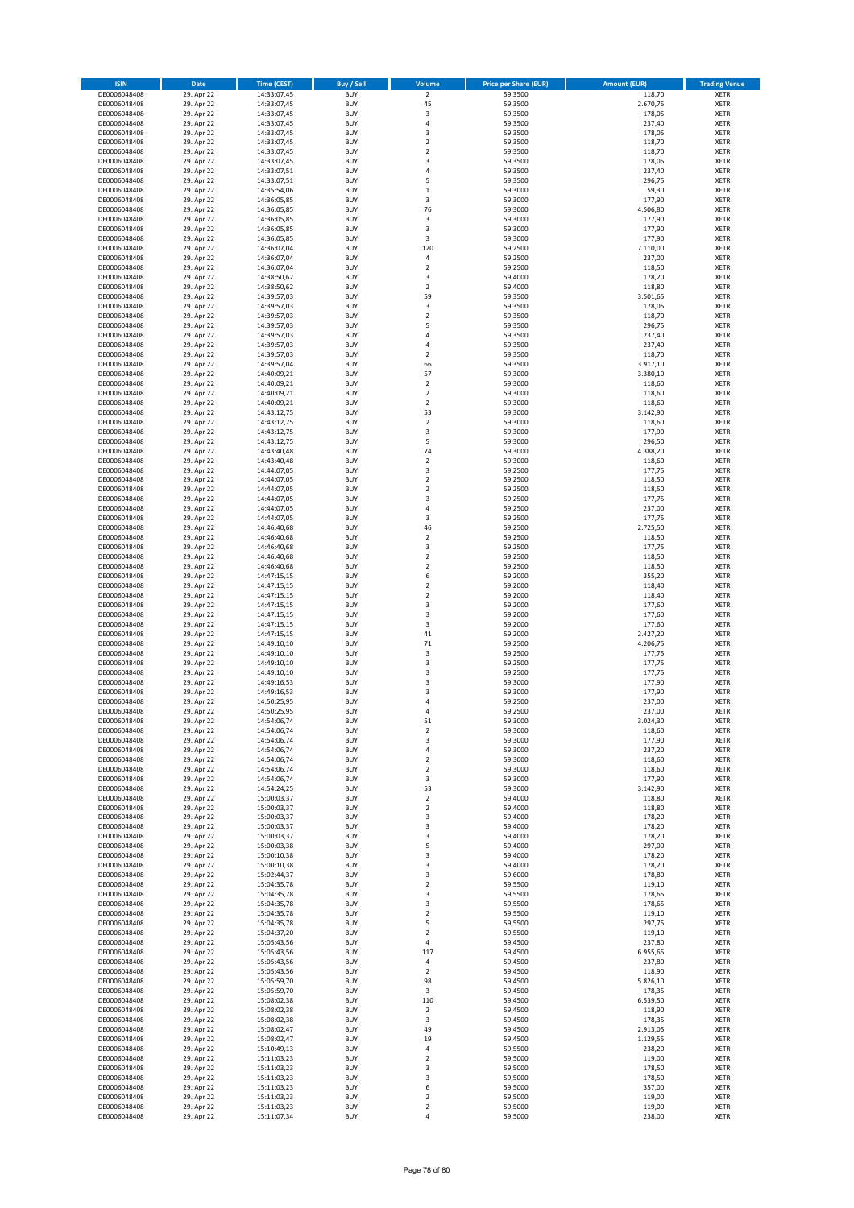| <b>ISIN</b>                  | Date                     | <b>Time (CEST)</b>         | <b>Buy / Sell</b>        | Volume                                    | <b>Price per Share (EUR)</b> | <b>Amount (EUR)</b> | <b>Trading Venue</b>       |
|------------------------------|--------------------------|----------------------------|--------------------------|-------------------------------------------|------------------------------|---------------------|----------------------------|
| DE0006048408                 | 29. Apr 22               | 14:33:07,45                | <b>BUY</b>               | $\overline{2}$                            | 59,3500                      | 118,70              | <b>XETR</b>                |
| DE0006048408                 | 29. Apr 22               | 14:33:07,45                | <b>BUY</b>               | 45                                        | 59,3500                      | 2.670,75            | <b>XETR</b>                |
| DE0006048408<br>DE0006048408 | 29. Apr 22<br>29. Apr 22 | 14:33:07,45<br>14:33:07,45 | <b>BUY</b><br><b>BUY</b> | 3<br>$\sqrt{4}$                           | 59,3500<br>59,3500           | 178,05<br>237,40    | <b>XETR</b><br><b>XETR</b> |
| DE0006048408                 | 29. Apr 22               | 14:33:07,45                | <b>BUY</b>               | 3                                         | 59,3500                      | 178,05              | <b>XETR</b>                |
| DE0006048408                 | 29. Apr 22               | 14:33:07,45                | <b>BUY</b>               | $\overline{2}$                            | 59,3500                      | 118,70              | <b>XETR</b>                |
| DE0006048408                 | 29. Apr 22               | 14:33:07,45                | <b>BUY</b>               | $\overline{2}$                            | 59,3500                      | 118,70              | <b>XETR</b>                |
| DE0006048408                 | 29. Apr 22               | 14:33:07,45                | <b>BUY</b>               | 3                                         | 59,3500                      | 178,05              | <b>XETR</b>                |
| DE0006048408<br>DE0006048408 | 29. Apr 22<br>29. Apr 22 | 14:33:07,51                | <b>BUY</b><br><b>BUY</b> | $\sqrt{4}$<br>5                           | 59,3500<br>59,3500           | 237,40<br>296,75    | XETR<br><b>XETR</b>        |
| DE0006048408                 | 29. Apr 22               | 14:33:07,51<br>14:35:54,06 | <b>BUY</b>               | $\,1\,$                                   | 59,3000                      | 59,30               | XETR                       |
| DE0006048408                 | 29. Apr 22               | 14:36:05,85                | <b>BUY</b>               | 3                                         | 59,3000                      | 177,90              | <b>XETR</b>                |
| DE0006048408                 | 29. Apr 22               | 14:36:05,85                | <b>BUY</b>               | 76                                        | 59,3000                      | 4.506,80            | XETR                       |
| DE0006048408                 | 29. Apr 22               | 14:36:05,85                | <b>BUY</b>               | 3                                         | 59,3000                      | 177,90              | <b>XETR</b>                |
| DE0006048408                 | 29. Apr 22               | 14:36:05,85                | <b>BUY</b>               | $\overline{\mathbf{3}}$                   | 59,3000                      | 177,90              | XETR                       |
| DE0006048408<br>DE0006048408 | 29. Apr 22<br>29. Apr 22 | 14:36:05,85<br>14:36:07,04 | <b>BUY</b><br><b>BUY</b> | 3<br>120                                  | 59,3000<br>59,2500           | 177,90<br>7.110,00  | <b>XETR</b><br>XETR        |
| DE0006048408                 | 29. Apr 22               | 14:36:07,04                | <b>BUY</b>               | $\sqrt{4}$                                | 59,2500                      | 237,00              | <b>XETR</b>                |
| DE0006048408                 | 29. Apr 22               | 14:36:07,04                | <b>BUY</b>               | $\overline{2}$                            | 59,2500                      | 118,50              | XETR                       |
| DE0006048408                 | 29. Apr 22               | 14:38:50,62                | <b>BUY</b>               | 3                                         | 59,4000                      | 178,20              | <b>XETR</b>                |
| DE0006048408<br>DE0006048408 | 29. Apr 22<br>29. Apr 22 | 14:38:50,62<br>14:39:57,03 | <b>BUY</b><br><b>BUY</b> | $\overline{2}$<br>59                      | 59,4000<br>59,3500           | 118,80<br>3.501,65  | <b>XETR</b><br><b>XETR</b> |
| DE0006048408                 | 29. Apr 22               | 14:39:57,03                | <b>BUY</b>               | 3                                         | 59,3500                      | 178,05              | <b>XETR</b>                |
| DE0006048408                 | 29. Apr 22               | 14:39:57,03                | <b>BUY</b>               | $\mathbf 2$                               | 59,3500                      | 118,70              | <b>XETR</b>                |
| DE0006048408                 | 29. Apr 22               | 14:39:57,03                | <b>BUY</b>               | 5                                         | 59,3500                      | 296,75              | <b>XETR</b>                |
| DE0006048408                 | 29. Apr 22               | 14:39:57,03                | <b>BUY</b>               | 4                                         | 59,3500                      | 237,40              | <b>XETR</b>                |
| DE0006048408                 | 29. Apr 22               | 14:39:57,03                | <b>BUY</b>               | $\overline{4}$                            | 59,3500                      | 237,40              | <b>XETR</b>                |
| DE0006048408<br>DE0006048408 | 29. Apr 22<br>29. Apr 22 | 14:39:57,03<br>14:39:57,04 | <b>BUY</b><br><b>BUY</b> | $\overline{2}$<br>66                      | 59,3500<br>59,3500           | 118,70<br>3.917,10  | <b>XETR</b><br><b>XETR</b> |
| DE0006048408                 | 29. Apr 22               | 14:40:09,21                | <b>BUY</b>               | 57                                        | 59,3000                      | 3.380,10            | <b>XETR</b>                |
| DE0006048408                 | 29. Apr 22               | 14:40:09,21                | <b>BUY</b>               | $\sqrt{2}$                                | 59,3000                      | 118,60              | <b>XETR</b>                |
| DE0006048408                 | 29. Apr 22               | 14:40:09,21                | <b>BUY</b>               | $\boldsymbol{2}$                          | 59,3000                      | 118,60              | <b>XETR</b>                |
| DE0006048408                 | 29. Apr 22               | 14:40:09,21                | <b>BUY</b><br><b>BUY</b> | $\overline{2}$<br>53                      | 59,3000                      | 118,60<br>3.142,90  | <b>XETR</b><br>XETR        |
| DE0006048408<br>DE0006048408 | 29. Apr 22<br>29. Apr 22 | 14:43:12,75<br>14:43:12,75 | <b>BUY</b>               | $\overline{2}$                            | 59,3000<br>59,3000           | 118,60              | <b>XETR</b>                |
| DE0006048408                 | 29. Apr 22               | 14:43:12,75                | <b>BUY</b>               | 3                                         | 59,3000                      | 177,90              | XETR                       |
| DE0006048408                 | 29. Apr 22               | 14:43:12,75                | <b>BUY</b>               | 5                                         | 59,3000                      | 296,50              | <b>XETR</b>                |
| DE0006048408                 | 29. Apr 22               | 14:43:40,48                | <b>BUY</b>               | 74                                        | 59,3000                      | 4.388,20            | XETR                       |
| DE0006048408                 | 29. Apr 22               | 14:43:40,48                | <b>BUY</b>               | $\overline{2}$                            | 59,3000                      | 118,60              | <b>XETR</b>                |
| DE0006048408<br>DE0006048408 | 29. Apr 22<br>29. Apr 22 | 14:44:07,05<br>14:44:07,05 | <b>BUY</b><br><b>BUY</b> | $\overline{\mathbf{3}}$<br>$\overline{2}$ | 59,2500<br>59,2500           | 177,75<br>118,50    | <b>XETR</b><br><b>XETR</b> |
| DE0006048408                 | 29. Apr 22               | 14:44:07,05                | <b>BUY</b>               | $\overline{2}$                            | 59,2500                      | 118,50              | XETR                       |
| DE0006048408                 | 29. Apr 22               | 14:44:07,05                | <b>BUY</b>               | 3                                         | 59,2500                      | 177,75              | <b>XETR</b>                |
| DE0006048408                 | 29. Apr 22               | 14:44:07,05                | <b>BUY</b>               | $\sqrt{4}$                                | 59,2500                      | 237,00              | <b>XETR</b>                |
| DE0006048408                 | 29. Apr 22               | 14:44:07,05                | <b>BUY</b>               | 3                                         | 59,2500                      | 177,75              | <b>XETR</b>                |
| DE0006048408                 | 29. Apr 22               | 14:46:40,68                | <b>BUY</b><br><b>BUY</b> | 46                                        | 59,2500                      | 2.725,50            | <b>XETR</b>                |
| DE0006048408<br>DE0006048408 | 29. Apr 22<br>29. Apr 22 | 14:46:40,68<br>14:46:40,68 | <b>BUY</b>               | $\overline{\mathbf{c}}$<br>3              | 59,2500<br>59,2500           | 118,50<br>177,75    | <b>XETR</b><br><b>XETR</b> |
| DE0006048408                 | 29. Apr 22               | 14:46:40,68                | <b>BUY</b>               | $\mathbf 2$                               | 59,2500                      | 118,50              | <b>XETR</b>                |
| DE0006048408                 | 29. Apr 22               | 14:46:40,68                | <b>BUY</b>               | $\mathbf 2$                               | 59,2500                      | 118,50              | <b>XETR</b>                |
| DE0006048408                 | 29. Apr 22               | 14:47:15,15                | <b>BUY</b>               | 6                                         | 59,2000                      | 355,20              | <b>XETR</b>                |
| DE0006048408                 | 29. Apr 22               | 14:47:15,15                | <b>BUY</b><br><b>BUY</b> | $\overline{2}$<br>$\mathbf 2$             | 59,2000                      | 118,40              | <b>XETR</b>                |
| DE0006048408<br>DE0006048408 | 29. Apr 22<br>29. Apr 22 | 14:47:15,15<br>14:47:15,15 | <b>BUY</b>               | 3                                         | 59,2000<br>59,2000           | 118,40<br>177,60    | <b>XETR</b><br><b>XETR</b> |
| DE0006048408                 | 29. Apr 22               | 14:47:15,15                | <b>BUY</b>               | 3                                         | 59,2000                      | 177,60              | <b>XETR</b>                |
| DE0006048408                 | 29. Apr 22               | 14:47:15,15                | <b>BUY</b>               | 3                                         | 59,2000                      | 177,60              | <b>XETR</b>                |
| DE0006048408                 | 29. Apr 22               | 14:47:15,15                | <b>BUY</b>               | 41                                        | 59,2000                      | 2.427,20            | <b>XETR</b>                |
| DE0006048408                 | 29. Apr 22               | 14:49:10,10                | <b>BUY</b>               | 71                                        | 59,2500                      | 4.206,75            | <b>XETR</b>                |
| DE0006048408<br>DE0006048408 | 29. Apr 22<br>29. Apr 22 | 14:49:10,10<br>14:49:10,10 | <b>BUY</b><br><b>BUY</b> | 3<br>3                                    | 59,2500<br>59,2500           | 177,75<br>177,75    | <b>XETR</b><br><b>XETR</b> |
| DE0006048408                 | 29. Apr 22               | 14:49:10,10                | <b>BUY</b>               | 3                                         | 59,2500                      | 177,75              | XETR                       |
| DE0006048408                 | 29. Apr 22               | 14:49:16,53                | <b>BUY</b>               | 3                                         | 59,3000                      | 177,90              | <b>XETR</b>                |
| DE0006048408                 | 29. Apr 22               | 14:49:16,53                | <b>BUY</b>               | 3                                         | 59,3000                      | 177,90              | XETR                       |
| DE0006048408                 | 29. Apr 22               | 14:50:25,95                | <b>BUY</b>               | 4                                         | 59,2500                      | 237,00              | <b>XETR</b>                |
| DE0006048408<br>DE0006048408 | 29. Apr 22<br>29. Apr 22 | 14:50:25,95<br>14:54:06,74 | <b>BUY</b><br><b>BUY</b> | $\overline{4}$<br>51                      | 59,2500<br>59,3000           | 237,00<br>3.024,30  | <b>XETR</b><br>XETR        |
| DE0006048408                 | 29. Apr 22               | 14:54:06,74                | <b>BUY</b>               | $\overline{\mathbf{c}}$                   | 59,3000                      | 118,60              | XETR                       |
| DE0006048408                 | 29. Apr 22               | 14:54:06,74                | <b>BUY</b>               | 3                                         | 59,3000                      | 177,90              | XETR                       |
| DE0006048408                 | 29. Apr 22               | 14:54:06,74                | <b>BUY</b>               | 4                                         | 59,3000                      | 237,20              | <b>XETR</b>                |
| DE0006048408                 | 29. Apr 22               | 14:54:06,74                | <b>BUY</b>               | $\mathbf 2$                               | 59,3000                      | 118,60              | <b>XETR</b>                |
| DE0006048408<br>DE0006048408 | 29. Apr 22<br>29. Apr 22 | 14:54:06,74<br>14:54:06,74 | <b>BUY</b><br><b>BUY</b> | $\overline{2}$<br>3                       | 59,3000<br>59,3000           | 118,60<br>177,90    | XETR<br><b>XETR</b>        |
| DE0006048408                 | 29. Apr 22               | 14:54:24,25                | <b>BUY</b>               | 53                                        | 59,3000                      | 3.142,90            | XETR                       |
| DE0006048408                 | 29. Apr 22               | 15:00:03,37                | <b>BUY</b>               | $\overline{2}$                            | 59,4000                      | 118,80              | <b>XETR</b>                |
| DE0006048408                 | 29. Apr 22               | 15:00:03,37                | <b>BUY</b>               | $\mathbf 2$                               | 59,4000                      | 118,80              | XETR                       |
| DE0006048408<br>DE0006048408 | 29. Apr 22<br>29. Apr 22 | 15:00:03,37<br>15:00:03,37 | <b>BUY</b><br><b>BUY</b> | 3<br>3                                    | 59,4000<br>59,4000           | 178,20<br>178,20    | <b>XETR</b><br><b>XETR</b> |
| DE0006048408                 | 29. Apr 22               | 15:00:03,37                | <b>BUY</b>               | 3                                         | 59,4000                      | 178,20              | <b>XETR</b>                |
| DE0006048408                 | 29. Apr 22               | 15:00:03,38                | <b>BUY</b>               | 5                                         | 59,4000                      | 297,00              | XETR                       |
| DE0006048408                 | 29. Apr 22               | 15:00:10,38                | <b>BUY</b>               | 3                                         | 59,4000                      | 178,20              | <b>XETR</b>                |
| DE0006048408                 | 29. Apr 22               | 15:00:10,38                | <b>BUY</b>               | 3                                         | 59,4000                      | 178,20              | <b>XETR</b>                |
| DE0006048408<br>DE0006048408 | 29. Apr 22               | 15:02:44,37                | <b>BUY</b>               | 3                                         | 59,6000                      | 178,80              | <b>XETR</b>                |
| DE0006048408                 | 29. Apr 22<br>29. Apr 22 | 15:04:35,78<br>15:04:35,78 | <b>BUY</b><br><b>BUY</b> | $\mathbf 2$<br>3                          | 59,5500<br>59,5500           | 119,10<br>178,65    | <b>XETR</b><br><b>XETR</b> |
| DE0006048408                 | 29. Apr 22               | 15:04:35,78                | <b>BUY</b>               | 3                                         | 59,5500                      | 178,65              | <b>XETR</b>                |
| DE0006048408                 | 29. Apr 22               | 15:04:35,78                | <b>BUY</b>               | $\overline{2}$                            | 59,5500                      | 119,10              | <b>XETR</b>                |
| DE0006048408                 | 29. Apr 22               | 15:04:35,78                | <b>BUY</b>               | 5                                         | 59,5500                      | 297,75              | <b>XETR</b>                |
| DE0006048408<br>DE0006048408 | 29. Apr 22<br>29. Apr 22 | 15:04:37,20                | <b>BUY</b><br><b>BUY</b> | $\overline{2}$<br>4                       | 59,5500<br>59,4500           | 119,10<br>237,80    | XETR<br>XETR               |
| DE0006048408                 | 29. Apr 22               | 15:05:43,56<br>15:05:43,56 | <b>BUY</b>               | 117                                       | 59,4500                      | 6.955,65            | <b>XETR</b>                |
| DE0006048408                 | 29. Apr 22               | 15:05:43,56                | <b>BUY</b>               | 4                                         | 59,4500                      | 237,80              | <b>XETR</b>                |
| DE0006048408                 | 29. Apr 22               | 15:05:43,56                | <b>BUY</b>               | $\boldsymbol{2}$                          | 59,4500                      | 118,90              | XETR                       |
| DE0006048408                 | 29. Apr 22               | 15:05:59,70                | <b>BUY</b>               | 98                                        | 59,4500                      | 5.826,10            | XETR                       |
| DE0006048408                 | 29. Apr 22               | 15:05:59,70                | <b>BUY</b>               | 3                                         | 59,4500                      | 178,35              | <b>XETR</b>                |
| DE0006048408<br>DE0006048408 | 29. Apr 22<br>29. Apr 22 | 15:08:02,38<br>15:08:02,38 | <b>BUY</b><br><b>BUY</b> | 110<br>$\overline{\mathbf{c}}$            | 59,4500<br>59,4500           | 6.539,50<br>118,90  | <b>XETR</b><br>XETR        |
| DE0006048408                 | 29. Apr 22               | 15:08:02,38                | <b>BUY</b>               | 3                                         | 59,4500                      | 178,35              | XETR                       |
| DE0006048408                 | 29. Apr 22               | 15:08:02,47                | <b>BUY</b>               | 49                                        | 59,4500                      | 2.913,05            | <b>XETR</b>                |
| DE0006048408                 | 29. Apr 22               | 15:08:02,47                | <b>BUY</b>               | 19                                        | 59,4500                      | 1.129,55            | <b>XETR</b>                |
| DE0006048408<br>DE0006048408 | 29. Apr 22<br>29. Apr 22 | 15:10:49,13<br>15:11:03,23 | <b>BUY</b><br><b>BUY</b> | 4<br>$\overline{2}$                       | 59,5500<br>59,5000           | 238,20<br>119,00    | <b>XETR</b><br><b>XETR</b> |
| DE0006048408                 | 29. Apr 22               | 15:11:03,23                | <b>BUY</b>               | 3                                         | 59,5000                      | 178,50              | <b>XETR</b>                |
| DE0006048408                 | 29. Apr 22               | 15:11:03,23                | <b>BUY</b>               | 3                                         | 59,5000                      | 178,50              | <b>XETR</b>                |
| DE0006048408                 | 29. Apr 22               | 15:11:03,23                | <b>BUY</b>               | 6                                         | 59,5000                      | 357,00              | <b>XETR</b>                |
| DE0006048408                 | 29. Apr 22               | 15:11:03,23                | <b>BUY</b>               | $\overline{2}$                            | 59,5000                      | 119,00              | <b>XETR</b>                |
| DE0006048408                 | 29. Apr 22               | 15:11:03,23                | <b>BUY</b>               | $\mathbf 2$<br>$\sqrt{4}$                 | 59,5000                      | 119,00              | <b>XETR</b>                |
| DE0006048408                 | 29. Apr 22               | 15:11:07,34                | <b>BUY</b>               |                                           | 59,5000                      | 238,00              | <b>XETR</b>                |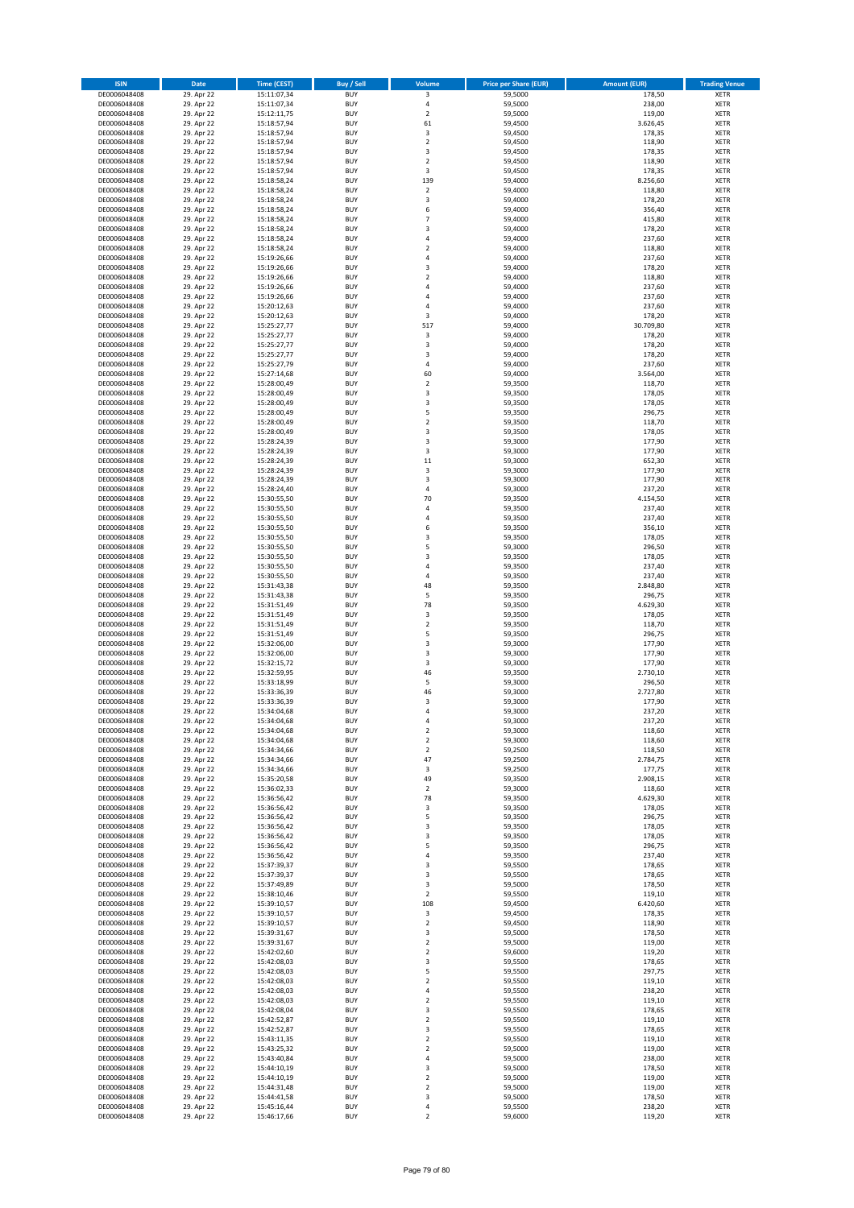| <b>ISIN</b>                  | Date                     | <b>Time (CEST)</b>         | <b>Buy / Sell</b>        | Volume                       | <b>Price per Share (EUR)</b> | <b>Amount (EUR)</b> | <b>Trading Venue</b>       |
|------------------------------|--------------------------|----------------------------|--------------------------|------------------------------|------------------------------|---------------------|----------------------------|
| DE0006048408                 | 29. Apr 22               | 15:11:07,34                | <b>BUY</b>               | 3                            | 59,5000                      | 178,50              | <b>XETR</b>                |
| DE0006048408                 | 29. Apr 22               | 15:11:07,34                | <b>BUY</b>               | $\sqrt{4}$                   | 59,5000                      | 238,00              | <b>XETR</b>                |
| DE0006048408<br>DE0006048408 | 29. Apr 22<br>29. Apr 22 | 15:12:11,75<br>15:18:57,94 | <b>BUY</b><br><b>BUY</b> | $\mathbf 2$<br>61            | 59,5000<br>59,4500           | 119,00<br>3.626,45  | <b>XETR</b><br><b>XETR</b> |
| DE0006048408                 | 29. Apr 22               | 15:18:57,94                | <b>BUY</b>               | 3                            | 59,4500                      | 178,35              | <b>XETR</b>                |
| DE0006048408                 | 29. Apr 22               | 15:18:57,94                | <b>BUY</b>               | $\overline{2}$               | 59,4500                      | 118,90              | <b>XETR</b>                |
| DE0006048408                 | 29. Apr 22               | 15:18:57,94                | <b>BUY</b>               | 3                            | 59,4500                      | 178,35              | <b>XETR</b>                |
| DE0006048408                 | 29. Apr 22               | 15:18:57,94                | <b>BUY</b>               | $\overline{2}$               | 59,4500                      | 118,90              | <b>XETR</b>                |
| DE0006048408<br>DE0006048408 | 29. Apr 22<br>29. Apr 22 | 15:18:57,94                | <b>BUY</b><br><b>BUY</b> | 3<br>139                     | 59,4500<br>59,4000           | 178,35<br>8.256,60  | XETR<br><b>XETR</b>        |
| DE0006048408                 | 29. Apr 22               | 15:18:58,24<br>15:18:58,24 | <b>BUY</b>               | $\mathbf 2$                  | 59,4000                      | 118,80              | XETR                       |
| DE0006048408                 | 29. Apr 22               | 15:18:58,24                | <b>BUY</b>               | 3                            | 59,4000                      | 178,20              | <b>XETR</b>                |
| DE0006048408                 | 29. Apr 22               | 15:18:58,24                | <b>BUY</b>               | 6                            | 59,4000                      | 356,40              | XETR                       |
| DE0006048408                 | 29. Apr 22               | 15:18:58,24                | <b>BUY</b>               | $\overline{7}$               | 59,4000                      | 415,80              | <b>XETR</b>                |
| DE0006048408                 | 29. Apr 22               | 15:18:58,24                | <b>BUY</b>               | $\overline{\mathbf{3}}$      | 59,4000                      | 178,20              | XETR                       |
| DE0006048408<br>DE0006048408 | 29. Apr 22<br>29. Apr 22 | 15:18:58,24<br>15:18:58,24 | <b>BUY</b><br><b>BUY</b> | $\sqrt{4}$<br>$\mathbf 2$    | 59,4000<br>59,4000           | 237,60<br>118,80    | <b>XETR</b><br>XETR        |
| DE0006048408                 | 29. Apr 22               | 15:19:26,66                | <b>BUY</b>               | $\sqrt{4}$                   | 59,4000                      | 237,60              | <b>XETR</b>                |
| DE0006048408                 | 29. Apr 22               | 15:19:26,66                | <b>BUY</b>               | 3                            | 59,4000                      | 178,20              | XETR                       |
| DE0006048408                 | 29. Apr 22               | 15:19:26,66                | <b>BUY</b>               | $\overline{2}$               | 59,4000                      | 118,80              | <b>XETR</b>                |
| DE0006048408                 | 29. Apr 22<br>29. Apr 22 | 15:19:26,66                | <b>BUY</b><br><b>BUY</b> | $\sqrt{4}$<br>4              | 59,4000<br>59,4000           | 237,60<br>237,60    | <b>XETR</b><br><b>XETR</b> |
| DE0006048408<br>DE0006048408 | 29. Apr 22               | 15:19:26,66<br>15:20:12,63 | <b>BUY</b>               | $\overline{4}$               | 59,4000                      | 237,60              | <b>XETR</b>                |
| DE0006048408                 | 29. Apr 22               | 15:20:12,63                | <b>BUY</b>               | 3                            | 59,4000                      | 178,20              | <b>XETR</b>                |
| DE0006048408                 | 29. Apr 22               | 15:25:27,77                | <b>BUY</b>               | 517                          | 59,4000                      | 30.709,80           | <b>XETR</b>                |
| DE0006048408                 | 29. Apr 22               | 15:25:27,77                | <b>BUY</b>               | 3                            | 59,4000                      | 178,20              | <b>XETR</b>                |
| DE0006048408                 | 29. Apr 22               | 15:25:27,77                | <b>BUY</b>               | 3                            | 59,4000                      | 178,20              | <b>XETR</b>                |
| DE0006048408<br>DE0006048408 | 29. Apr 22<br>29. Apr 22 | 15:25:27,77<br>15:25:27,79 | <b>BUY</b><br><b>BUY</b> | 3<br>$\sqrt{4}$              | 59,4000<br>59,4000           | 178,20<br>237,60    | <b>XETR</b><br><b>XETR</b> |
| DE0006048408                 | 29. Apr 22               | 15:27:14,68                | <b>BUY</b>               | 60                           | 59,4000                      | 3.564,00            | <b>XETR</b>                |
| DE0006048408                 | 29. Apr 22               | 15:28:00,49                | <b>BUY</b>               | $\sqrt{2}$                   | 59,3500                      | 118,70              | <b>XETR</b>                |
| DE0006048408                 | 29. Apr 22               | 15:28:00,49                | <b>BUY</b>               | 3                            | 59,3500                      | 178,05              | <b>XETR</b>                |
| DE0006048408                 | 29. Apr 22               | 15:28:00,49                | <b>BUY</b><br><b>BUY</b> | 3<br>5                       | 59,3500                      | 178,05<br>296,75    | <b>XETR</b><br>XETR        |
| DE0006048408<br>DE0006048408 | 29. Apr 22<br>29. Apr 22 | 15:28:00,49<br>15:28:00,49 | <b>BUY</b>               | $\overline{2}$               | 59,3500<br>59,3500           | 118,70              | <b>XETR</b>                |
| DE0006048408                 | 29. Apr 22               | 15:28:00,49                | <b>BUY</b>               | 3                            | 59,3500                      | 178,05              | XETR                       |
| DE0006048408                 | 29. Apr 22               | 15:28:24,39                | <b>BUY</b>               | 3                            | 59,3000                      | 177,90              | <b>XETR</b>                |
| DE0006048408                 | 29. Apr 22               | 15:28:24,39                | <b>BUY</b>               | 3                            | 59,3000                      | 177,90              | XETR                       |
| DE0006048408                 | 29. Apr 22               | 15:28:24,39                | <b>BUY</b>               | 11                           | 59,3000                      | 652,30              | <b>XETR</b>                |
| DE0006048408<br>DE0006048408 | 29. Apr 22<br>29. Apr 22 | 15:28:24,39<br>15:28:24,39 | <b>BUY</b><br><b>BUY</b> | $\overline{\mathbf{3}}$<br>3 | 59,3000<br>59,3000           | 177,90<br>177,90    | <b>XETR</b><br><b>XETR</b> |
| DE0006048408                 | 29. Apr 22               | 15:28:24,40                | <b>BUY</b>               | $\sqrt{4}$                   | 59,3000                      | 237,20              | XETR                       |
| DE0006048408                 | 29. Apr 22               | 15:30:55,50                | <b>BUY</b>               | 70                           | 59,3500                      | 4.154,50            | <b>XETR</b>                |
| DE0006048408                 | 29. Apr 22               | 15:30:55,50                | <b>BUY</b>               | $\sqrt{4}$                   | 59,3500                      | 237,40              | <b>XETR</b>                |
| DE0006048408                 | 29. Apr 22               | 15:30:55,50                | <b>BUY</b>               | $\sqrt{4}$                   | 59,3500                      | 237,40              | <b>XETR</b>                |
| DE0006048408                 | 29. Apr 22               | 15:30:55,50                | <b>BUY</b>               | 6                            | 59,3500                      | 356,10              | XETR                       |
| DE0006048408<br>DE0006048408 | 29. Apr 22<br>29. Apr 22 | 15:30:55,50<br>15:30:55,50 | <b>BUY</b><br><b>BUY</b> | 3<br>5                       | 59,3500<br>59,3000           | 178,05<br>296,50    | <b>XETR</b><br><b>XETR</b> |
| DE0006048408                 | 29. Apr 22               | 15:30:55,50                | <b>BUY</b>               | 3                            | 59,3500                      | 178,05              | <b>XETR</b>                |
| DE0006048408                 | 29. Apr 22               | 15:30:55,50                | <b>BUY</b>               | $\sqrt{4}$                   | 59,3500                      | 237,40              | <b>XETR</b>                |
| DE0006048408                 | 29. Apr 22               | 15:30:55,50                | <b>BUY</b>               | 4                            | 59,3500                      | 237,40              | <b>XETR</b>                |
| DE0006048408                 | 29. Apr 22               | 15:31:43,38                | <b>BUY</b><br><b>BUY</b> | 48<br>5                      | 59,3500                      | 2.848,80            | <b>XETR</b>                |
| DE0006048408<br>DE0006048408 | 29. Apr 22<br>29. Apr 22 | 15:31:43,38<br>15:31:51,49 | <b>BUY</b>               | 78                           | 59,3500<br>59,3500           | 296,75<br>4.629,30  | <b>XETR</b><br><b>XETR</b> |
| DE0006048408                 | 29. Apr 22               | 15:31:51,49                | <b>BUY</b>               | $\mathsf 3$                  | 59,3500                      | 178,05              | <b>XETR</b>                |
| DE0006048408                 | 29. Apr 22               | 15:31:51,49                | <b>BUY</b>               | $\overline{2}$               | 59,3500                      | 118,70              | <b>XETR</b>                |
| DE0006048408                 | 29. Apr 22               | 15:31:51,49                | <b>BUY</b>               | 5                            | 59,3500                      | 296,75              | <b>XETR</b>                |
| DE0006048408                 | 29. Apr 22               | 15:32:06,00                | <b>BUY</b><br><b>BUY</b> | 3<br>3                       | 59,3000                      | 177,90              | <b>XETR</b><br><b>XETR</b> |
| DE0006048408<br>DE0006048408 | 29. Apr 22<br>29. Apr 22 | 15:32:06,00<br>15:32:15,72 | <b>BUY</b>               | 3                            | 59,3000<br>59,3000           | 177,90<br>177,90    | <b>XETR</b>                |
| DE0006048408                 | 29. Apr 22               | 15:32:59,95                | <b>BUY</b>               | 46                           | 59,3500                      | 2.730,10            | XETR                       |
| DE0006048408                 | 29. Apr 22               | 15:33:18,99                | <b>BUY</b>               | 5                            | 59,3000                      | 296,50              | <b>XETR</b>                |
| DE0006048408                 | 29. Apr 22               | 15:33:36,39                | <b>BUY</b>               | 46                           | 59,3000                      | 2.727,80            | XETR                       |
| DE0006048408<br>DE0006048408 | 29. Apr 22<br>29. Apr 22 | 15:33:36,39<br>15:34:04,68 | <b>BUY</b><br><b>BUY</b> | 3<br>$\overline{4}$          | 59,3000<br>59,3000           | 177,90<br>237,20    | <b>XETR</b><br><b>XETR</b> |
| DE0006048408                 | 29. Apr 22               | 15:34:04,68                | <b>BUY</b>               | 4                            | 59,3000                      | 237,20              | XETR                       |
| DE0006048408                 | 29. Apr 22               | 15:34:04,68                | <b>BUY</b>               | $\mathbf 2$                  | 59,3000                      | 118,60              | XETR                       |
| DE0006048408                 | 29. Apr 22               | 15:34:04,68                | <b>BUY</b>               | $\mathbf 2$                  | 59,3000                      | 118,60              | XETR                       |
| DE0006048408                 | 29. Apr 22               | 15:34:34,66                | <b>BUY</b>               | $\overline{2}$               | 59,2500                      | 118,50              | XETR                       |
| DE0006048408                 | 29. Apr 22               | 15:34:34,66<br>15:34:34,66 | <b>BUY</b><br><b>BUY</b> | 47                           | 59,2500<br>59,2500           | 2.784,75            | XETR<br>XETR               |
| DE0006048408<br>DE0006048408 | 29. Apr 22<br>29. Apr 22 | 15:35:20,58                | <b>BUY</b>               | 3<br>49                      | 59,3500                      | 177,75<br>2.908,15  | <b>XETR</b>                |
| DE0006048408                 | 29. Apr 22               | 15:36:02,33                | <b>BUY</b>               | $\boldsymbol{2}$             | 59,3000                      | 118,60              | XETR                       |
| DE0006048408                 | 29. Apr 22               | 15:36:56,42                | <b>BUY</b>               | 78                           | 59,3500                      | 4.629,30            | <b>XETR</b>                |
| DE0006048408                 | 29. Apr 22               | 15:36:56,42                | <b>BUY</b>               | 3                            | 59,3500                      | 178,05              | XETR                       |
| DE0006048408<br>DE0006048408 | 29. Apr 22<br>29. Apr 22 | 15:36:56,42<br>15:36:56,42 | <b>BUY</b><br><b>BUY</b> | 5<br>3                       | 59,3500<br>59,3500           | 296,75<br>178,05    | <b>XETR</b><br><b>XETR</b> |
| DE0006048408                 | 29. Apr 22               | 15:36:56,42                | <b>BUY</b>               | 3                            | 59,3500                      | 178,05              | XETR                       |
| DE0006048408                 | 29. Apr 22               | 15:36:56,42                | <b>BUY</b>               | 5                            | 59,3500                      | 296,75              | XETR                       |
| DE0006048408                 | 29. Apr 22               | 15:36:56,42                | <b>BUY</b>               | 4                            | 59,3500                      | 237,40              | <b>XETR</b>                |
| DE0006048408                 | 29. Apr 22               | 15:37:39,37                | <b>BUY</b>               | 3                            | 59,5500                      | 178,65              | <b>XETR</b>                |
| DE0006048408<br>DE0006048408 | 29. Apr 22<br>29. Apr 22 | 15:37:39,37<br>15:37:49,89 | <b>BUY</b><br><b>BUY</b> | 3<br>3                       | 59,5500<br>59,5000           | 178,65<br>178,50    | <b>XETR</b><br><b>XETR</b> |
| DE0006048408                 | 29. Apr 22               | 15:38:10,46                | <b>BUY</b>               | $\overline{2}$               | 59,5500                      | 119,10              | <b>XETR</b>                |
| DE0006048408                 | 29. Apr 22               | 15:39:10,57                | <b>BUY</b>               | 108                          | 59,4500                      | 6.420,60            | <b>XETR</b>                |
| DE0006048408                 | 29. Apr 22               | 15:39:10,57                | <b>BUY</b>               | 3                            | 59,4500                      | 178,35              | <b>XETR</b>                |
| DE0006048408                 | 29. Apr 22               | 15:39:10,57                | <b>BUY</b>               | $\overline{2}$               | 59,4500                      | 118,90              | XETR                       |
| DE0006048408<br>DE0006048408 | 29. Apr 22<br>29. Apr 22 | 15:39:31,67<br>15:39:31,67 | <b>BUY</b><br><b>BUY</b> | 3<br>$\boldsymbol{2}$        | 59,5000<br>59,5000           | 178,50<br>119,00    | XETR<br>XETR               |
| DE0006048408                 | 29. Apr 22               | 15:42:02,60                | <b>BUY</b>               | $\boldsymbol{2}$             | 59,6000                      | 119,20              | XETR                       |
| DE0006048408                 | 29. Apr 22               | 15:42:08,03                | <b>BUY</b>               | 3                            | 59,5500                      | 178,65              | <b>XETR</b>                |
| DE0006048408                 | 29. Apr 22               | 15:42:08,03                | <b>BUY</b>               | 5                            | 59,5500                      | 297,75              | XETR                       |
| DE0006048408                 | 29. Apr 22               | 15:42:08,03                | <b>BUY</b>               | $\overline{2}$               | 59,5500                      | 119,10              | XETR                       |
| DE0006048408<br>DE0006048408 | 29. Apr 22<br>29. Apr 22 | 15:42:08,03<br>15:42:08,03 | <b>BUY</b><br><b>BUY</b> | 4<br>$\boldsymbol{2}$        | 59,5500<br>59,5500           | 238,20<br>119,10    | XETR<br>XETR               |
| DE0006048408                 | 29. Apr 22               | 15:42:08,04                | <b>BUY</b>               | 3                            | 59,5500                      | 178,65              | XETR                       |
| DE0006048408                 | 29. Apr 22               | 15:42:52,87                | <b>BUY</b>               | $\boldsymbol{2}$             | 59,5500                      | 119,10              | XETR                       |
| DE0006048408                 | 29. Apr 22               | 15:42:52,87                | <b>BUY</b>               | 3                            | 59,5500                      | 178,65              | <b>XETR</b>                |
| DE0006048408                 | 29. Apr 22               | 15:43:11,35                | <b>BUY</b>               | $\boldsymbol{2}$             | 59,5500                      | 119,10              | <b>XETR</b>                |
| DE0006048408<br>DE0006048408 | 29. Apr 22<br>29. Apr 22 | 15:43:25,32<br>15:43:40,84 | <b>BUY</b><br><b>BUY</b> | $\overline{\mathbf{c}}$<br>4 | 59,5000<br>59,5000           | 119,00<br>238,00    | <b>XETR</b><br><b>XETR</b> |
| DE0006048408                 | 29. Apr 22               | 15:44:10,19                | <b>BUY</b>               | 3                            | 59,5000                      | 178,50              | <b>XETR</b>                |
| DE0006048408                 | 29. Apr 22               | 15:44:10,19                | <b>BUY</b>               | $\overline{2}$               | 59,5000                      | 119,00              | <b>XETR</b>                |
| DE0006048408                 | 29. Apr 22               | 15:44:31,48                | <b>BUY</b>               | $\mathbf 2$                  | 59,5000                      | 119,00              | <b>XETR</b>                |
| DE0006048408<br>DE0006048408 | 29. Apr 22<br>29. Apr 22 | 15:44:41,58<br>15:45:16,44 | <b>BUY</b><br><b>BUY</b> | 3<br>$\pmb{4}$               | 59,5000<br>59,5500           | 178,50<br>238,20    | <b>XETR</b><br><b>XETR</b> |
| DE0006048408                 | 29. Apr 22               | 15:46:17,66                | <b>BUY</b>               | $\overline{2}$               | 59,6000                      | 119,20              | <b>XETR</b>                |